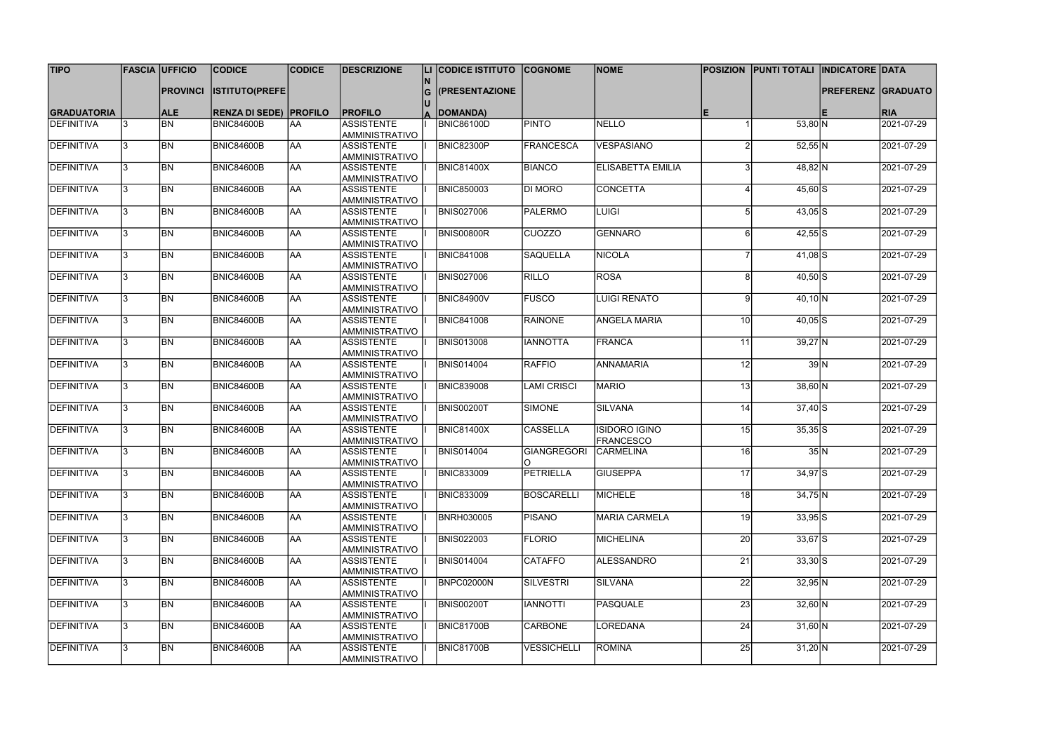| <b>TIPO</b>        |     | <b>FASCIA UFFICIO</b> | <b>CODICE</b>                 | <b>CODICE</b> | <b>DESCRIZIONE</b>                         | <b>LI CODICE ISTITUTO</b> | <b>COGNOME</b>     | <b>NOME</b>                              |                 | POSIZION PUNTI TOTALI INDICATORE DATA |                           |            |
|--------------------|-----|-----------------------|-------------------------------|---------------|--------------------------------------------|---------------------------|--------------------|------------------------------------------|-----------------|---------------------------------------|---------------------------|------------|
|                    |     |                       |                               |               |                                            |                           |                    |                                          |                 |                                       |                           |            |
|                    |     | <b>PROVINCI</b>       | <b>ISTITUTO(PREFE)</b>        |               |                                            | <b>(PRESENTAZIONE</b>     |                    |                                          |                 |                                       | <b>PREFERENZ GRADUATO</b> |            |
| <b>GRADUATORIA</b> |     | <b>ALE</b>            | <b>RENZA DI SEDE) PROFILO</b> |               | <b>PROFILO</b>                             | DOMANDA)                  |                    |                                          | E.              |                                       |                           | <b>RIA</b> |
| <b>DEFINITIVA</b>  | l3  | <b>BN</b>             | <b>BNIC84600B</b>             | laa           | <b>ASSISTENTE</b><br><b>AMMINISTRATIVO</b> | BNIC86100D                | <b>PINTO</b>       | NELLO                                    |                 | $53,80$ N                             |                           | 2021-07-29 |
| <b>DEFINITIVA</b>  | l3  | <b>BN</b>             | <b>BNIC84600B</b>             | <b>AA</b>     | <b>ASSISTENTE</b><br>AMMINISTRATIVO        | BNIC82300P                | FRANCESCA          | <b>VESPASIANO</b>                        |                 | $52,55$ N                             |                           | 2021-07-29 |
| <b>DEFINITIVA</b>  | l3  | <b>BN</b>             | <b>BNIC84600B</b>             | <b>AA</b>     | <b>ASSISTENTE</b><br>AMMINISTRATIVO        | <b>BNIC81400X</b>         | <b>BIANCO</b>      | <b>ELISABETTA EMILIA</b>                 |                 | $48,82$ N                             |                           | 2021-07-29 |
| DEFINITIVA         | l3  | <b>BN</b>             | <b>BNIC84600B</b>             | AA            | <b>ASSISTENTE</b><br>AMMINISTRATIVO        | <b>BNIC850003</b>         | <b>DI MORO</b>     | <b>CONCETTA</b>                          |                 | $45,60$ S                             |                           | 2021-07-29 |
| DEFINITIVA         | l3  | <b>BN</b>             | <b>BNIC84600B</b>             | laa           | <b>ASSISTENTE</b><br><b>AMMINISTRATIVO</b> | <b>BNIS027006</b>         | PALERMO            | <b>LUIGI</b>                             |                 | $43,05$ S                             |                           | 2021-07-29 |
| DEFINITIVA         | l3  | <b>BN</b>             | <b>BNIC84600B</b>             | AA            | <b>ASSISTENTE</b><br><b>AMMINISTRATIVO</b> | <b>BNIS00800R</b>         | CUOZZO             | GENNARO                                  |                 | $42,55$ S                             |                           | 2021-07-29 |
| DEFINITIVA         | 3   | <b>BN</b>             | <b>BNIC84600B</b>             | AA            | <b>ASSISTENTE</b><br>AMMINISTRATIVO        | <b>BNIC841008</b>         | <b>SAQUELLA</b>    | <b>NICOLA</b>                            |                 | $41,08$ S                             |                           | 2021-07-29 |
| DEFINITIVA         | l3  | <b>BN</b>             | <b>BNIC84600B</b>             | AA            | ASSISTENTE<br>AMMINISTRATIVO               | <b>BNIS027006</b>         | RILLO              | <b>ROSA</b>                              |                 | $40,50$ S                             |                           | 2021-07-29 |
| DEFINITIVA         | l3  | <b>BN</b>             | <b>BNIC84600B</b>             | <b>AA</b>     | <b>ASSISTENTE</b><br>AMMINISTRATIVO        | BNIC84900V                | <b>FUSCO</b>       | <b>LUIGI RENATO</b>                      |                 | $40,10$ N                             |                           | 2021-07-29 |
| DEFINITIVA         | l3  | <b>BN</b>             | <b>BNIC84600B</b>             | <b>AA</b>     | <b>ASSISTENTE</b><br>AMMINISTRATIVO        | <b>BNIC841008</b>         | RAINONE            | <b>ANGELA MARIA</b>                      | 10 <sup>1</sup> | $40,05$ S                             |                           | 2021-07-29 |
| DEFINITIVA         | l3  | <b>BN</b>             | <b>BNIC84600B</b>             | AA            | <b>ASSISTENTE</b><br><b>AMMINISTRATIVO</b> | <b>BNIS013008</b>         | <b>IANNOTTA</b>    | FRANCA                                   | 11              | $39,27$ N                             |                           | 2021-07-29 |
| DEFINITIVA         | l3  | <b>BN</b>             | <b>BNIC84600B</b>             | laa           | <b>ASSISTENTE</b><br><b>AMMINISTRATIVO</b> | <b>BNIS014004</b>         | RAFFIO             | <b>ANNAMARIA</b>                         | 12              |                                       | 39 <sub>N</sub>           | 2021-07-29 |
| DEFINITIVA         | l3  | BN <sub></sub>        | <b>BNIC84600B</b>             | AA            | <b>ASSISTENTE</b><br>AMMINISTRATIVO        | <b>BNIC839008</b>         | <b>LAMI CRISCI</b> | <b>MARIO</b>                             | 13              | $38,60 \vert N$                       |                           | 2021-07-29 |
| DEFINITIVA         | l3  | <b>BN</b>             | <b>BNIC84600B</b>             | laa           | <b>ASSISTENTE</b><br>AMMINISTRATIVO        | <b>BNIS00200T</b>         | SIMONE             | <b>SILVANA</b>                           | 14              | $37,40$ $S$                           |                           | 2021-07-29 |
| DEFINITIVA         | l3  | <b>BN</b>             | <b>BNIC84600B</b>             | AA            | <b>ASSISTENTE</b><br>AMMINISTRATIVO        | <b>BNIC81400X</b>         | CASSELLA           | <b>ISIDORO IGINO</b><br><b>FRANCESCO</b> | 15              | $35,35$ S                             |                           | 2021-07-29 |
| <b>DEFINITIVA</b>  | l3  | <b>BN</b>             | <b>BNIC84600B</b>             | AA            | <b>ASSISTENTE</b><br>AMMINISTRATIVO        | <b>BNIS014004</b>         | GIANGREGORI<br>IO. | <b>CARMELINA</b>                         | 16 <sup>1</sup> |                                       | $35\vert N$               | 2021-07-29 |
| <b>DEFINITIVA</b>  | l3  | <b>BN</b>             | <b>BNIC84600B</b>             | <b>AA</b>     | <b>ASSISTENTE</b><br>AMMINISTRATIVO        | <b>BNIC833009</b>         | PETRIELLA          | <b>GIUSEPPA</b>                          | 17              | $34,97$ S                             |                           | 2021-07-29 |
| <b>DEFINITIVA</b>  | 13. | <b>BN</b>             | BNIC84600B                    | <b>AA</b>     | <b>ASSISTENTE</b><br>AMMINISTRATIVO        | <b>BNIC833009</b>         | BOSCARELLI         | <b>MICHELE</b>                           | 18 <sup>1</sup> | $34,75$ N                             |                           | 2021-07-29 |
| <b>DEFINITIVA</b>  | l3  | <b>BN</b>             | <b>BNIC84600B</b>             | <b>AA</b>     | <b>ASSISTENTE</b><br><b>AMMINISTRATIVO</b> | <b>BNRH030005</b>         | <b>PISANO</b>      | MARIA CARMELA                            | 19              | $33,95$ $S$                           |                           | 2021-07-29 |
| <b>DEFINITIVA</b>  | l3  | <b>BN</b>             | <b>BNIC84600B</b>             | <b>AA</b>     | <b>ASSISTENTE</b><br>AMMINISTRATIVO        | <b>BNIS022003</b>         | FLORIO             | <b>MICHELINA</b>                         | 20              | $33,67$ $S$                           |                           | 2021-07-29 |
| <b>DEFINITIVA</b>  | l3  | <b>BN</b>             | <b>BNIC84600B</b>             | AA            | ASSISTENTE<br><b>AMMINISTRATIVO</b>        | <b>BNIS014004</b>         | <b>CATAFFO</b>     | ALESSANDRO                               | 21              | $33,30$ S                             |                           | 2021-07-29 |
| DEFINITIVA         | l3  | <b>BN</b>             | <b>BNIC84600B</b>             | <b>AA</b>     | ASSISTENTE<br>AMMINISTRATIVO               | BNPC02000N                | <b>SILVESTRI</b>   | <b>SILVANA</b>                           | 22              | $32,95 \, N$                          |                           | 2021-07-29 |
| DEFINITIVA         | l3  | <b>BN</b>             | BNIC84600B                    | AA            | ASSISTENTE<br>AMMINISTRATIVO               | <b>BNIS00200T</b>         | IANNOTTI           | PASQUALE                                 | 23              | $32,60 \, N$                          |                           | 2021-07-29 |
| DEFINITIVA         | l3  | <b>BN</b>             | <b>BNIC84600B</b>             | AA            | <b>ASSISTENTE</b><br>AMMINISTRATIVO        | <b>BNIC81700B</b>         | <b>CARBONE</b>     | LOREDANA                                 | 24              | $31,60\,N$                            |                           | 2021-07-29 |
| DEFINITIVA         | l3. | <b>BN</b>             | <b>BNIC84600B</b>             | AA            | <b>ASSISTENTE</b><br>AMMINISTRATIVO        | <b>BNIC81700B</b>         | <b>VESSICHELLI</b> | ROMINA                                   | 25              | $31,20 \, N$                          |                           | 2021-07-29 |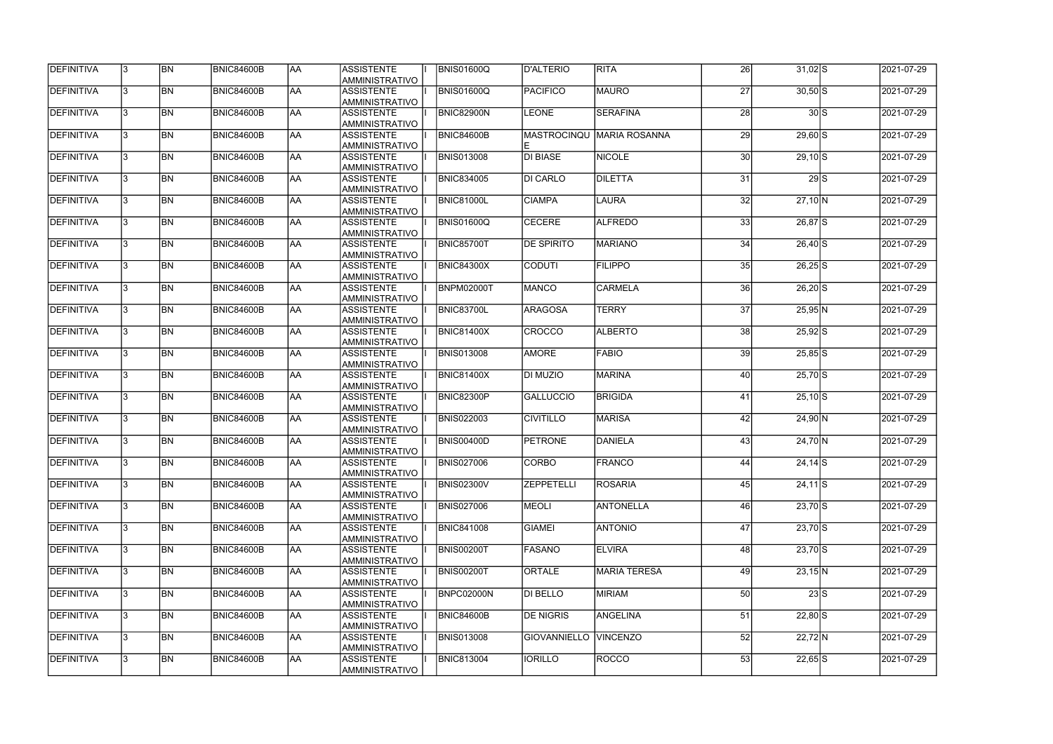| DEFINITIVA        | 13.          | <b>BN</b> | <b>BNIC84600B</b> | laa        | ASSISTENTE<br><b>AMMINISTRATIVO</b>        | <b>BNIS01600Q</b> | D'ALTERIO          | <b>RITA</b>          | 26 | $31,02$ S   |     | 2021-07-29 |
|-------------------|--------------|-----------|-------------------|------------|--------------------------------------------|-------------------|--------------------|----------------------|----|-------------|-----|------------|
| DEFINITIVA        | 3            | <b>BN</b> | <b>BNIC84600B</b> | <b>AA</b>  | <b>ASSISTENTE</b><br>AMMINISTRATIVO        | <b>BNIS01600Q</b> | PACIFICO           | <b>MAURO</b>         | 27 | $30,50$ S   |     | 2021-07-29 |
| DEFINITIVA        | 3            | <b>BN</b> | <b>BNIC84600B</b> | <b>AA</b>  | <b>ASSISTENTE</b><br>AMMINISTRATIVO        | <b>BNIC82900N</b> | <b>LEONE</b>       | <b>SERAFINA</b>      | 28 | 30S         |     | 2021-07-29 |
| DEFINITIVA        |              | <b>BN</b> | <b>BNIC84600B</b> | AA         | <b>ASSISTENTE</b><br>AMMINISTRATIVO        | <b>BNIC84600B</b> | <b>MASTROCINQU</b> | <b>MARIA ROSANNA</b> | 29 | $29,60$ S   |     | 2021-07-29 |
| <b>DEFINITIVA</b> | 3            | <b>BN</b> | BNIC84600B        | <b>AA</b>  | <b>ASSISTENTE</b><br>AMMINISTRATIVO        | <b>BNIS013008</b> | <b>DI BIASE</b>    | <b>NICOLE</b>        | 30 | $29,10$ S   |     | 2021-07-29 |
| <b>DEFINITIVA</b> |              | <b>BN</b> | BNIC84600B        | AA         | <b>ASSISTENTE</b><br><b>AMMINISTRATIVO</b> | <b>BNIC834005</b> | <b>DI CARLO</b>    | <b>DILETTA</b>       | 31 |             | 29S | 2021-07-29 |
| DEFINITIVA        |              | <b>BN</b> | <b>BNIC84600B</b> | AA         | <b>ASSISTENTE</b><br><b>AMMINISTRATIVO</b> | <b>BNIC81000L</b> | <b>CIAMPA</b>      | LAURA                | 32 | $27,10 \ N$ |     | 2021-07-29 |
| DEFINITIVA        |              | <b>BN</b> | <b>BNIC84600B</b> | AA         | <b>ASSISTENTE</b><br>AMMINISTRATIVO        | <b>BNIS01600Q</b> | <b>CECERE</b>      | <b>ALFREDO</b>       | 33 | $26,87$ S   |     | 2021-07-29 |
| DEFINITIVA        |              | <b>BN</b> | BNIC84600B        | AA         | <b>ASSISTENTE</b><br>AMMINISTRATIVO        | <b>BNIC85700T</b> | <b>DE SPIRITO</b>  | <b>MARIANO</b>       | 34 | $26,40$ S   |     | 2021-07-29 |
| DEFINITIVA        |              | <b>BN</b> | <b>BNIC84600B</b> | laa        | <b>ASSISTENTE</b><br>AMMINISTRATIVO        | <b>BNIC84300X</b> | <b>CODUTI</b>      | <b>FILIPPO</b>       | 35 | $26,25$ S   |     | 2021-07-29 |
| DEFINITIVA        | 3            | <b>BN</b> | BNIC84600B        | <b>AA</b>  | <b>ASSISTENTE</b><br>AMMINISTRATIVO        | <b>BNPM02000T</b> | <b>MANCO</b>       | <b>CARMELA</b>       | 36 | $26,20$ S   |     | 2021-07-29 |
| DEFINITIVA        |              | <b>BN</b> | BNIC84600B        | AA         | <b>ASSISTENTE</b><br>AMMINISTRATIVO        | <b>BNIC83700L</b> | <b>ARAGOSA</b>     | <b>TERRY</b>         | 37 | $25,95$ N   |     | 2021-07-29 |
| DEFINITIVA        |              | <b>BN</b> | <b>BNIC84600B</b> | AA         | <b>ASSISTENTE</b><br>AMMINISTRATIVO        | <b>BNIC81400X</b> | CROCCO             | <b>ALBERTO</b>       | 38 | $25,92$ S   |     | 2021-07-29 |
| DEFINITIVA        |              | <b>BN</b> | BNIC84600B        | <b>AA</b>  | <b>ASSISTENTE</b><br>AMMINISTRATIVO        | <b>BNIS013008</b> | <b>AMORE</b>       | FABIO                | 39 | $25,85$ S   |     | 2021-07-29 |
| DEFINITIVA        |              | <b>BN</b> | <b>BNIC84600B</b> | <b>AA</b>  | <b>ASSISTENTE</b><br><b>AMMINISTRATIVO</b> | <b>BNIC81400X</b> | DI MUZIO           | <b>MARINA</b>        | 40 | $25,70$ S   |     | 2021-07-29 |
| DEFINITIVA        |              | <b>BN</b> | BNIC84600B        | <b>AA</b>  | <b>ASSISTENTE</b><br>AMMINISTRATIVO        | <b>BNIC82300P</b> | <b>GALLUCCIO</b>   | <b>BRIGIDA</b>       | 41 | $25,10$ $S$ |     | 2021-07-29 |
| DEFINITIVA        |              | <b>BN</b> | <b>BNIC84600B</b> | AA         | <b>ASSISTENTE</b><br>AMMINISTRATIVO        | <b>BNIS022003</b> | <b>CIVITILLO</b>   | <b>MARISA</b>        | 42 | $24,90$ N   |     | 2021-07-29 |
| <b>DEFINITIVA</b> |              | <b>BN</b> | <b>BNIC84600B</b> | <b>AA</b>  | <b>ASSISTENTE</b><br>AMMINISTRATIVO        | <b>BNIS00400D</b> | PETRONE            | <b>DANIELA</b>       | 43 | $24,70$ N   |     | 2021-07-29 |
| DEFINITIVA        | 13           | BN        | <b>BNIC84600B</b> | <b>JAA</b> | <b>ASSISTENTE</b><br>AMMINISTRATIVO        | <b>BNIS027006</b> | CORBO              | <b>FRANCO</b>        | 44 | $24,14$ $S$ |     | 2021-07-29 |
| <b>DEFINITIVA</b> |              | <b>BN</b> | BNIC84600B        | <b>AA</b>  | ASSISTENTE<br>AMMINISTRATIVO               | <b>BNIS02300V</b> | <b>ZEPPETELLI</b>  | <b>ROSARIA</b>       | 45 | $24,11$ S   |     | 2021-07-29 |
| <b>DEFINITIVA</b> | $\mathbf{3}$ | <b>BN</b> | BNIC84600B        | AA         | ASSISTENTE<br>AMMINISTRATIVO               | <b>BNIS027006</b> | MEOLI              | <b>ANTONELLA</b>     | 46 | $23,70$ S   |     | 2021-07-29 |
| <b>DEFINITIVA</b> |              | <b>BN</b> | BNIC84600B        | AA         | <b>ASSISTENTE</b><br>AMMINISTRATIVO        | <b>BNIC841008</b> | GIAMEI             | <b>ANTONIO</b>       | 47 | $23,70$ S   |     | 2021-07-29 |
| <b>DEFINITIVA</b> |              | BN        | BNIC84600B        | AA         | <b>ASSISTENTE</b><br>AMMINISTRATIVO        | <b>BNIS00200T</b> | FASANO             | <b>ELVIRA</b>        | 48 | $23,70$ S   |     | 2021-07-29 |
| DEFINITIVA        |              | <b>BN</b> | BNIC84600B        | <b>AA</b>  | <b>ASSISTENTE</b><br>AMMINISTRATIVO        | <b>BNIS00200T</b> | <b>ORTALE</b>      | <b>MARIA TERESA</b>  | 49 | $23,15$ N   |     | 2021-07-29 |
| DEFINITIVA        |              | <b>BN</b> | BNIC84600B        | <b>AA</b>  | ASSISTENTE<br>AMMINISTRATIVO               | <b>BNPC02000N</b> | DI BELLO           | <b>MIRIAM</b>        | 50 |             | 23S | 2021-07-29 |
| DEFINITIVA        |              | <b>BN</b> | BNIC84600B        | <b>AA</b>  | ASSISTENTE<br>AMMINISTRATIVO               | <b>BNIC84600B</b> | <b>DE NIGRIS</b>   | <b>ANGELINA</b>      | 51 | $22,80$ S   |     | 2021-07-29 |
| DEFINITIVA        |              | <b>BN</b> | BNIC84600B        | <b>AA</b>  | ASSISTENTE<br>AMMINISTRATIVO               | <b>BNIS013008</b> | GIOVANNIELLO       | <b>VINCENZO</b>      | 52 | $22,72$ N   |     | 2021-07-29 |
| <b>DEFINITIVA</b> |              | <b>BN</b> | BNIC84600B        | <b>AA</b>  | <b>ASSISTENTE</b><br>AMMINISTRATIVO        | <b>BNIC813004</b> | <b>IORILLO</b>     | <b>ROCCO</b>         | 53 | $22,65$ S   |     | 2021-07-29 |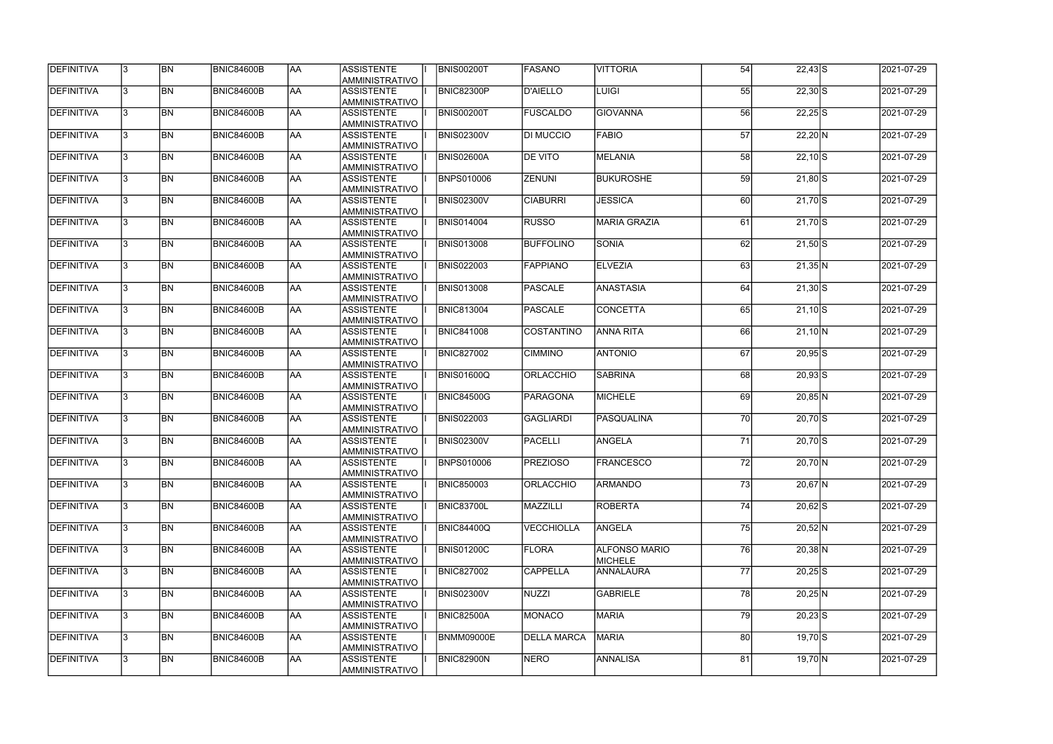| <b>DEFINITIVA</b> | 13. | <b>BN</b> | <b>BNIC84600B</b> | <b>AA</b> | ASSISTENTE<br>AMMINISTRATIVO               | <b>BNIS00200T</b> | FASANO             | <b>VITTORIA</b>                        | 54 | $22,43$ S   | 2021-07-29 |
|-------------------|-----|-----------|-------------------|-----------|--------------------------------------------|-------------------|--------------------|----------------------------------------|----|-------------|------------|
| DEFINITIVA        | l3. | <b>BN</b> | <b>BNIC84600B</b> | laa       | <b>ASSISTENTE</b><br>AMMINISTRATIVO        | <b>BNIC82300P</b> | D'AIELLO           | LUIGI                                  | 55 | $22,30$ S   | 2021-07-29 |
| DEFINITIVA        | 13. | <b>BN</b> | <b>BNIC84600B</b> | laa       | <b>ASSISTENTE</b><br>AMMINISTRATIVO        | <b>BNIS00200T</b> | <b>FUSCALDO</b>    | <b>GIOVANNA</b>                        | 56 | $22,25$ S   | 2021-07-29 |
| DEFINITIVA        | l3. | <b>BN</b> | <b>BNIC84600B</b> | AA        | <b>ASSISTENTE</b><br>AMMINISTRATIVO        | <b>BNIS02300V</b> | <b>DI MUCCIO</b>   | <b>FABIO</b>                           | 57 | $22,20$ N   | 2021-07-29 |
| DEFINITIVA        | l3. | <b>BN</b> | BNIC84600B        | <b>AA</b> | <b>ASSISTENTE</b><br>AMMINISTRATIVO        | <b>BNIS02600A</b> | <b>DE VITO</b>     | <b>MELANIA</b>                         | 58 | $22,10$ S   | 2021-07-29 |
| DEFINITIVA        | l3. | <b>BN</b> | BNIC84600B        | laa       | <b>ASSISTENTE</b><br>AMMINISTRATIVO        | <b>BNPS010006</b> | <b>ZENUNI</b>      | <b>BUKUROSHE</b>                       | 59 | $21,80$ S   | 2021-07-29 |
| <b>DEFINITIVA</b> | 3   | <b>BN</b> | <b>BNIC84600B</b> | laa       | <b>ASSISTENTE</b><br>AMMINISTRATIVO        | <b>BNIS02300V</b> | <b>CIABURRI</b>    | <b>JESSICA</b>                         | 60 | $21,70$ S   | 2021-07-29 |
| DEFINITIVA        |     | <b>BN</b> | <b>BNIC84600B</b> | laa       | <b>ASSISTENTE</b><br><b>AMMINISTRATIVO</b> | <b>BNIS014004</b> | <b>RUSSO</b>       | <b>MARIA GRAZIA</b>                    | 61 | $21,70$ S   | 2021-07-29 |
| DEFINITIVA        |     | <b>BN</b> | <b>BNIC84600B</b> | laa       | <b>ASSISTENTE</b><br>AMMINISTRATIVO        | <b>BNIS013008</b> | <b>BUFFOLINO</b>   | <b>SONIA</b>                           | 62 | $21,50$ S   | 2021-07-29 |
| DEFINITIVA        |     | <b>BN</b> | <b>BNIC84600B</b> | laa       | <b>ASSISTENTE</b><br>AMMINISTRATIVO        | <b>BNIS022003</b> | <b>FAPPIANO</b>    | <b>ELVEZIA</b>                         | 63 | $21,35$ N   | 2021-07-29 |
| DEFINITIVA        | l3. | <b>BN</b> | <b>BNIC84600B</b> | AA        | <b>ASSISTENTE</b><br>AMMINISTRATIVO        | <b>BNIS013008</b> | PASCALE            | <b>ANASTASIA</b>                       | 64 | $21,30$ $S$ | 2021-07-29 |
| DEFINITIVA        | l3. | <b>BN</b> | <b>BNIC84600B</b> | AA        | <b>ASSISTENTE</b><br>AMMINISTRATIVO        | <b>BNIC813004</b> | PASCALE            | <b>CONCETTA</b>                        | 65 | $21,10$ $S$ | 2021-07-29 |
| DEFINITIVA        | 3   | <b>BN</b> | BNIC84600B        | AA        | <b>ASSISTENTE</b><br>AMMINISTRATIVO        | <b>BNIC841008</b> | <b>COSTANTINO</b>  | <b>ANNA RITA</b>                       | 66 | $21,10$ N   | 2021-07-29 |
| DEFINITIVA        |     | <b>BN</b> | <b>BNIC84600B</b> | AA        | <b>ASSISTENTE</b><br>AMMINISTRATIVO        | <b>BNIC827002</b> | <b>CIMMINO</b>     | <b>ANTONIO</b>                         | 67 | $20,95$ S   | 2021-07-29 |
| DEFINITIVA        | 3   | <b>BN</b> | <b>BNIC84600B</b> | laa       | <b>ASSISTENTE</b><br>AMMINISTRATIVO        | <b>BNIS01600Q</b> | <b>ORLACCHIO</b>   | <b>SABRINA</b>                         | 68 | $20,93$ S   | 2021-07-29 |
| DEFINITIVA        | l3. | <b>BN</b> | <b>BNIC84600B</b> | laa       | <b>ASSISTENTE</b><br>AMMINISTRATIVO        | <b>BNIC84500G</b> | PARAGONA           | <b>MICHELE</b>                         | 69 | $20,85$ N   | 2021-07-29 |
| DEFINITIVA        |     | <b>BN</b> | <b>BNIC84600B</b> | laa       | <b>ASSISTENTE</b><br>AMMINISTRATIVO        | <b>BNIS022003</b> | <b>GAGLIARDI</b>   | PASQUALINA                             | 70 | $20,70$ S   | 2021-07-29 |
| DEFINITIVA        |     | <b>BN</b> | <b>BNIC84600B</b> | AA        | <b>ASSISTENTE</b><br>AMMINISTRATIVO        | <b>BNIS02300V</b> | PACELLI            | <b>ANGELA</b>                          | 71 | $20,70$ S   | 2021-07-29 |
| <b>DEFINITIVA</b> | 13  | <b>BN</b> | <b>BNIC84600B</b> | AA        | <b>ASSISTENTE</b><br>AMMINISTRATIVO        | <b>BNPS010006</b> | <b>PREZIOSO</b>    | <b>FRANCESCO</b>                       | 72 | $20,70$ N   | 2021-07-29 |
| DEFINITIVA        | 13. | <b>BN</b> | <b>BNIC84600B</b> | AA        | <b>ASSISTENTE</b><br>AMMINISTRATIVO        | <b>BNIC850003</b> | <b>ORLACCHIO</b>   | <b>ARMANDO</b>                         | 73 | $20,67$ N   | 2021-07-29 |
| DEFINITIVA        | I3. | <b>BN</b> | <b>BNIC84600B</b> | AA        | <b>ASSISTENTE</b><br>AMMINISTRATIVO        | BNIC83700L        | MAZZILLI           | <b>ROBERTA</b>                         | 74 | $20,62$ S   | 2021-07-29 |
| DEFINITIVA        | l3. | <b>BN</b> | <b>BNIC84600B</b> | AA        | <b>ASSISTENTE</b><br>AMMINISTRATIVO        | <b>BNIC84400Q</b> | <b>VECCHIOLLA</b>  | ANGELA                                 | 75 | $20,52$ N   | 2021-07-29 |
| DEFINITIVA        | 3   | <b>BN</b> | <b>BNIC84600B</b> | AA        | <b>ASSISTENTE</b><br>AMMINISTRATIVO        | <b>BNIS01200C</b> | FLORA              | <b>ALFONSO MARIO</b><br><b>MICHELE</b> | 76 | $20,38$ N   | 2021-07-29 |
| DEFINITIVA        | l3. | <b>BN</b> | <b>BNIC84600B</b> | AA        | <b>ASSISTENTE</b><br>AMMINISTRATIVO        | <b>BNIC827002</b> | <b>CAPPELLA</b>    | <b>ANNALAURA</b>                       | 77 | $20,25$ S   | 2021-07-29 |
| DEFINITIVA        |     | <b>BN</b> | <b>BNIC84600B</b> | AA        | <b>ASSISTENTE</b><br>AMMINISTRATIVO        | <b>BNIS02300V</b> | NUZZI              | <b>GABRIELE</b>                        | 78 | 20,25 N     | 2021-07-29 |
| DEFINITIVA        | I3. | <b>BN</b> | <b>BNIC84600B</b> | AA        | <b>ASSISTENTE</b><br>AMMINISTRATIVO        | <b>BNIC82500A</b> | <b>MONACO</b>      | <b>MARIA</b>                           | 79 | $20,23$ S   | 2021-07-29 |
| DEFINITIVA        | 13. | <b>BN</b> | <b>BNIC84600B</b> | AA        | <b>ASSISTENTE</b><br>AMMINISTRATIVO        | <b>BNMM09000E</b> | <b>DELLA MARCA</b> | <b>MARIA</b>                           | 80 | $19,70$ S   | 2021-07-29 |
| DEFINITIVA        |     | <b>BN</b> | <b>BNIC84600B</b> | AA        | <b>ASSISTENTE</b><br>AMMINISTRATIVO        | BNIC82900N        | <b>NERO</b>        | <b>ANNALISA</b>                        | 81 | 19,70 N     | 2021-07-29 |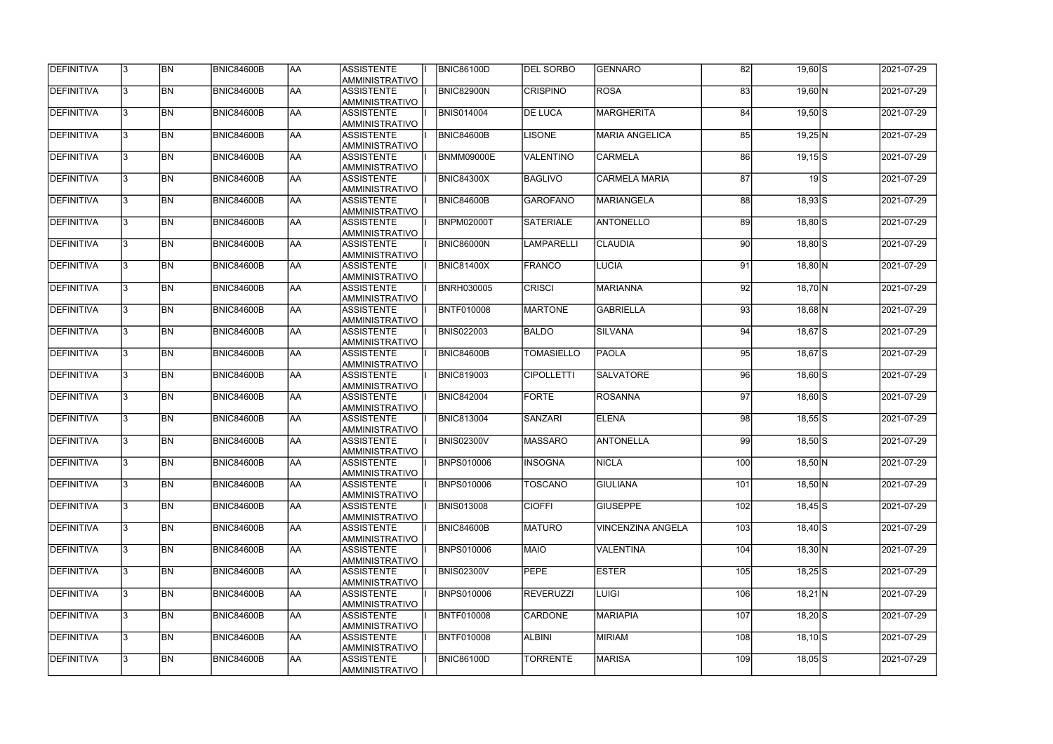| DEFINITIVA        | 13. | <b>BN</b> | <b>BNIC84600B</b> | <b>AA</b> | <b>ASSISTENTE</b><br>AMMINISTRATIVO        | <b>BNIC86100D</b> | <b>DEL SORBO</b>  | <b>GENNARO</b>           | 82  | $19,60$ $S$  |     | 2021-07-29 |
|-------------------|-----|-----------|-------------------|-----------|--------------------------------------------|-------------------|-------------------|--------------------------|-----|--------------|-----|------------|
| DEFINITIVA        | 13. | <b>BN</b> | <b>BNIC84600B</b> | laa       | <b>ASSISTENTE</b><br>AMMINISTRATIVO        | <b>BNIC82900N</b> | <b>CRISPINO</b>   | <b>ROSA</b>              | 83  | 19,60 N      |     | 2021-07-29 |
| DEFINITIVA        | 13. | <b>BN</b> | <b>BNIC84600B</b> | laa       | <b>ASSISTENTE</b><br>AMMINISTRATIVO        | <b>BNIS014004</b> | <b>DE LUCA</b>    | <b>MARGHERITA</b>        | 84  | $19,50$ S    |     | 2021-07-29 |
| DEFINITIVA        | l3. | <b>BN</b> | <b>BNIC84600B</b> | AA        | <b>ASSISTENTE</b><br>AMMINISTRATIVO        | <b>BNIC84600B</b> | <b>LISONE</b>     | <b>MARIA ANGELICA</b>    | 85  | $19,25$ N    |     | 2021-07-29 |
| DEFINITIVA        | l3. | <b>BN</b> | <b>BNIC84600B</b> | <b>AA</b> | <b>ASSISTENTE</b><br>AMMINISTRATIVO        | BNMM09000E        | <b>VALENTINO</b>  | <b>CARMELA</b>           | 86  | $19,15$ $S$  |     | 2021-07-29 |
| DEFINITIVA        | l3. | <b>BN</b> | BNIC84600B        | AA        | <b>ASSISTENTE</b><br>AMMINISTRATIVO        | <b>BNIC84300X</b> | <b>BAGLIVO</b>    | <b>CARMELA MARIA</b>     | 87  |              | 19S | 2021-07-29 |
| <b>DEFINITIVA</b> | 3   | <b>BN</b> | <b>BNIC84600B</b> | laa       | <b>ASSISTENTE</b><br>AMMINISTRATIVO        | BNIC84600B        | <b>GAROFANO</b>   | <b>MARIANGELA</b>        | 88  | $18,93$ S    |     | 2021-07-29 |
| DEFINITIVA        |     | <b>BN</b> | <b>BNIC84600B</b> | laa       | <b>ASSISTENTE</b><br><b>AMMINISTRATIVO</b> | BNPM02000T        | SATERIALE         | <b>ANTONELLO</b>         | 89  | $18,80$ S    |     | 2021-07-29 |
| DEFINITIVA        |     | <b>BN</b> | <b>BNIC84600B</b> | laa       | <b>ASSISTENTE</b><br>AMMINISTRATIVO        | BNIC86000N        | <b>LAMPARELLI</b> | <b>CLAUDIA</b>           | 90  | $18,80$ S    |     | 2021-07-29 |
| DEFINITIVA        |     | <b>BN</b> | <b>BNIC84600B</b> | laa       | <b>ASSISTENTE</b><br>AMMINISTRATIVO        | <b>BNIC81400X</b> | <b>FRANCO</b>     | <b>LUCIA</b>             | 91  | $18,80$ N    |     | 2021-07-29 |
| DEFINITIVA        | l3. | <b>BN</b> | <b>BNIC84600B</b> | AA        | <b>ASSISTENTE</b><br>AMMINISTRATIVO        | <b>BNRH030005</b> | <b>CRISCI</b>     | <b>MARIANNA</b>          | 92  | $18,70$ N    |     | 2021-07-29 |
| DEFINITIVA        | l3. | <b>BN</b> | <b>BNIC84600B</b> | AA        | <b>ASSISTENTE</b><br>AMMINISTRATIVO        | <b>BNTF010008</b> | <b>MARTONE</b>    | <b>GABRIELLA</b>         | 93  | $18,68$ N    |     | 2021-07-29 |
| DEFINITIVA        | 3   | <b>BN</b> | BNIC84600B        | AA        | <b>ASSISTENTE</b><br>AMMINISTRATIVO        | <b>BNIS022003</b> | <b>BALDO</b>      | <b>SILVANA</b>           | 94  | 18,67 S      |     | 2021-07-29 |
| DEFINITIVA        |     | <b>BN</b> | <b>BNIC84600B</b> | AA        | <b>ASSISTENTE</b><br>AMMINISTRATIVO        | <b>BNIC84600B</b> | <b>TOMASIELLO</b> | <b>PAOLA</b>             | 95  | $18,67$ $S$  |     | 2021-07-29 |
| DEFINITIVA        | 3   | <b>BN</b> | <b>BNIC84600B</b> | laa       | <b>ASSISTENTE</b><br>AMMINISTRATIVO        | <b>BNIC819003</b> | <b>CIPOLLETTI</b> | <b>SALVATORE</b>         | 96  | $18,60$ S    |     | 2021-07-29 |
| DEFINITIVA        | l3. | <b>BN</b> | <b>BNIC84600B</b> | laa       | <b>ASSISTENTE</b><br>AMMINISTRATIVO        | <b>BNIC842004</b> | <b>FORTE</b>      | <b>ROSANNA</b>           | 97  | $18,60$ S    |     | 2021-07-29 |
| DEFINITIVA        |     | <b>BN</b> | <b>BNIC84600B</b> | laa       | <b>ASSISTENTE</b><br>AMMINISTRATIVO        | <b>BNIC813004</b> | <b>SANZARI</b>    | <b>ELENA</b>             | 98  | $18,55$ S    |     | 2021-07-29 |
| DEFINITIVA        |     | <b>BN</b> | <b>BNIC84600B</b> | AA        | <b>ASSISTENTE</b><br>AMMINISTRATIVO        | <b>BNIS02300V</b> | <b>MASSARO</b>    | <b>ANTONELLA</b>         | 99  | $18,50$ S    |     | 2021-07-29 |
| <b>DEFINITIVA</b> | 13  | <b>BN</b> | <b>BNIC84600B</b> | AA        | <b>ASSISTENTE</b><br>AMMINISTRATIVO        | <b>BNPS010006</b> | <b>INSOGNA</b>    | <b>NICLA</b>             | 100 | $18,50 \, N$ |     | 2021-07-29 |
| DEFINITIVA        | 13. | <b>BN</b> | <b>BNIC84600B</b> | AA        | <b>ASSISTENTE</b><br>AMMINISTRATIVO        | <b>BNPS010006</b> | <b>TOSCANO</b>    | <b>GIULIANA</b>          | 101 | $18,50$ N    |     | 2021-07-29 |
| DEFINITIVA        | I3. | <b>BN</b> | <b>BNIC84600B</b> | AA        | <b>ASSISTENTE</b><br>AMMINISTRATIVO        | <b>BNIS013008</b> | <b>CIOFFI</b>     | <b>GIUSEPPE</b>          | 102 | $18,45$ S    |     | 2021-07-29 |
| DEFINITIVA        | l3. | <b>BN</b> | <b>BNIC84600B</b> | AA        | <b>ASSISTENTE</b><br>AMMINISTRATIVO        | <b>BNIC84600B</b> | <b>MATURO</b>     | <b>VINCENZINA ANGELA</b> | 103 | $18,40$ S    |     | 2021-07-29 |
| DEFINITIVA        | 3   | <b>BN</b> | <b>BNIC84600B</b> | AA        | <b>ASSISTENTE</b><br>AMMINISTRATIVO        | <b>BNPS010006</b> | <b>MAIO</b>       | <b>VALENTINA</b>         | 104 | $18,30 \, N$ |     | 2021-07-29 |
| DEFINITIVA        | l3. | <b>BN</b> | <b>BNIC84600B</b> | AA        | <b>ASSISTENTE</b><br>AMMINISTRATIVO        | <b>BNIS02300V</b> | <b>PEPE</b>       | <b>ESTER</b>             | 105 | $18,25$ S    |     | 2021-07-29 |
| DEFINITIVA        |     | <b>BN</b> | <b>BNIC84600B</b> | AA        | <b>ASSISTENTE</b><br>AMMINISTRATIVO        | <b>BNPS010006</b> | <b>REVERUZZI</b>  | LUIGI                    | 106 | $18,21$ N    |     | 2021-07-29 |
| DEFINITIVA        | I3. | <b>BN</b> | <b>BNIC84600B</b> | AA        | <b>ASSISTENTE</b><br>AMMINISTRATIVO        | <b>BNTF010008</b> | <b>CARDONE</b>    | <b>MARIAPIA</b>          | 107 | $18,20$ S    |     | 2021-07-29 |
| DEFINITIVA        | 13. | <b>BN</b> | <b>BNIC84600B</b> | AA        | <b>ASSISTENTE</b><br>AMMINISTRATIVO        | <b>BNTF010008</b> | <b>ALBINI</b>     | <b>MIRIAM</b>            | 108 | $18,10$ S    |     | 2021-07-29 |
| DEFINITIVA        |     | <b>BN</b> | <b>BNIC84600B</b> | AA        | <b>ASSISTENTE</b><br>AMMINISTRATIVO        | <b>BNIC86100D</b> | <b>TORRENTE</b>   | <b>MARISA</b>            | 109 | $18,05$ $S$  |     | 2021-07-29 |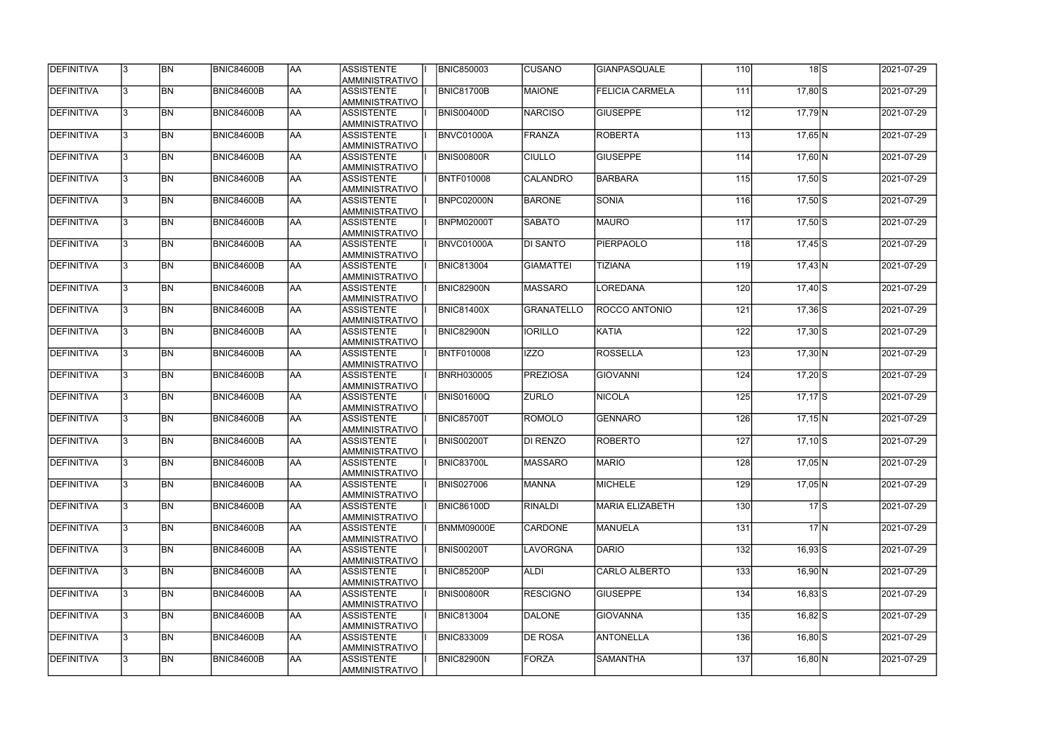| <b>DEFINITIVA</b> |              | <b>BN</b> | <b>BNIC84600B</b> | <b>AA</b> | <b>ASSISTENTE</b><br><b>AMMINISTRATIVO</b> | <b>BNIC850003</b> | <b>CUSANO</b>     | <b>GIANPASQUALE</b>    | 110              |             | 18S | 2021-07-29           |
|-------------------|--------------|-----------|-------------------|-----------|--------------------------------------------|-------------------|-------------------|------------------------|------------------|-------------|-----|----------------------|
| <b>DEFINITIVA</b> | l3.          | <b>BN</b> | <b>BNIC84600B</b> | <b>AA</b> | <b>ASSISTENTE</b><br>AMMINISTRATIVO        | <b>BNIC81700B</b> | <b>MAIONE</b>     | <b>FELICIA CARMELA</b> | 111              | $17,80$ S   |     | 2021-07-29           |
| DEFINITIVA        |              | <b>BN</b> | <b>BNIC84600B</b> | <b>AA</b> | <b>ASSISTENTE</b><br>AMMINISTRATIVO        | <b>BNIS00400D</b> | <b>NARCISO</b>    | <b>GIUSEPPE</b>        | 112              | 17,79 N     |     | 2021-07-29           |
| DEFINITIVA        |              | <b>BN</b> | <b>BNIC84600B</b> | <b>AA</b> | <b>ASSISTENTE</b><br>AMMINISTRATIVO        | <b>BNVC01000A</b> | <b>FRANZA</b>     | <b>ROBERTA</b>         | 113              | 17,65 N     |     | 2021-07-29           |
| DEFINITIVA        |              | <b>BN</b> | BNIC84600B        | AA        | <b>ASSISTENTE</b><br>AMMINISTRATIVO        | <b>BNIS00800R</b> | <b>CIULLO</b>     | <b>GIUSEPPE</b>        | 114              | $17,60$ N   |     | $\sqrt{2021-07}$ -29 |
| <b>DEFINITIVA</b> |              | <b>BN</b> | BNIC84600B        | <b>AA</b> | <b>ASSISTENTE</b><br>AMMINISTRATIVO        | BNTF010008        | CALANDRO          | <b>BARBARA</b>         | 115              | $17,50$ S   |     | 2021-07-29           |
| DEFINITIVA        |              | <b>BN</b> | BNIC84600B        | AA        | <b>ASSISTENTE</b><br><b>AMMINISTRATIVO</b> | <b>BNPC02000N</b> | <b>BARONE</b>     | <b>SONIA</b>           | 116              | $17,50$ S   |     | 2021-07-29           |
| <b>DEFINITIVA</b> |              | <b>BN</b> | BNIC84600B        | <b>AA</b> | <b>ASSISTENTE</b><br>AMMINISTRATIVO        | <b>BNPM02000T</b> | <b>SABATO</b>     | <b>MAURO</b>           | 117              | $17,50$ S   |     | 2021-07-29           |
| DEFINITIVA        |              | <b>BN</b> | <b>BNIC84600B</b> | AA        | <b>ASSISTENTE</b><br>AMMINISTRATIVO        | <b>BNVC01000A</b> | <b>DI SANTO</b>   | <b>PIERPAOLO</b>       | 118              | $17,45$ S   |     | 2021-07-29           |
| DEFINITIVA        |              | <b>BN</b> | <b>BNIC84600B</b> | <b>AA</b> | <b>ASSISTENTE</b><br>AMMINISTRATIVO        | <b>BNIC813004</b> | <b>GIAMATTEI</b>  | <b>TIZIANA</b>         | 119              | 17,43 N     |     | 2021-07-29           |
| DEFINITIVA        |              | <b>BN</b> | BNIC84600B        | <b>AA</b> | <b>ASSISTENTE</b><br>AMMINISTRATIVO        | <b>BNIC82900N</b> | <b>MASSARO</b>    | <b>LOREDANA</b>        | 120              | $17,40$ S   |     | 2021-07-29           |
| DEFINITIVA        |              | <b>BN</b> | BNIC84600B        | <b>AA</b> | <b>ASSISTENTE</b><br>AMMINISTRATIVO        | <b>BNIC81400X</b> | <b>GRANATELLO</b> | ROCCO ANTONIO          | 121              | $17,36$ S   |     | 2021-07-29           |
| DEFINITIVA        |              | <b>BN</b> | BNIC84600B        | <b>AA</b> | <b>ASSISTENTE</b><br>AMMINISTRATIVO        | <b>BNIC82900N</b> | <b>IORILLO</b>    | KATIA                  | 122              | $17,30$ S   |     | 2021-07-29           |
| DEFINITIVA        |              | <b>BN</b> | <b>BNIC84600B</b> | <b>AA</b> | ASSISTENTE<br>AMMINISTRATIVO               | BNTF010008        | <b>IZZO</b>       | <b>ROSSELLA</b>        | 123              | $17,30 \ N$ |     | 2021-07-29           |
| DEFINITIVA        |              | <b>BN</b> | <b>BNIC84600B</b> | <b>AA</b> | <b>ASSISTENTE</b><br><b>AMMINISTRATIVO</b> | BNRH030005        | <b>PREZIOSA</b>   | <b>GIOVANNI</b>        | 124              | $17,20$ S   |     | 2021-07-29           |
| <b>DEFINITIVA</b> |              | <b>BN</b> | <b>BNIC84600B</b> | laa       | <b>ASSISTENTE</b><br>AMMINISTRATIVO        | <b>BNIS01600Q</b> | <b>ZURLO</b>      | <b>NICOLA</b>          | $\overline{125}$ | $17,17$ S   |     | 2021-07-29           |
| DEFINITIVA        |              | <b>BN</b> | <b>BNIC84600B</b> | <b>AA</b> | <b>ASSISTENTE</b><br>AMMINISTRATIVO        | <b>BNIC85700T</b> | ROMOLO            | <b>GENNARO</b>         | 126              | $17,15$ N   |     | 2021-07-29           |
| DEFINITIVA        |              | <b>BN</b> | BNIC84600B        | <b>AA</b> | <b>ASSISTENTE</b><br>AMMINISTRATIVO        | <b>BNIS00200T</b> | <b>DI RENZO</b>   | <b>ROBERTO</b>         | 127              | $17,10$ S   |     | 2021-07-29           |
| DEFINITIVA        |              | BN        | BNIC84600B        | IAA       | ASSISTENTE<br>AMMINISTRATIVO               | <b>BNIC83700L</b> | MASSARO           | MARIO                  | 128              | 17,05 N     |     | 2021-07-29           |
| <b>DEFINITIVA</b> |              | <b>BN</b> | BNIC84600B        | <b>AA</b> | ASSISTENTE<br>AMMINISTRATIVO               | <b>BNIS027006</b> | MANNA             | <b>MICHELE</b>         | 129              | $17,05$ N   |     | 2021-07-29           |
| DEFINITIVA        |              | <b>BN</b> | BNIC84600B        | <b>AA</b> | ASSISTENTE<br>AMMINISTRATIVO               | <b>BNIC86100D</b> | RINALDI           | <b>MARIA ELIZABETH</b> | 130              |             | 17S | 2021-07-29           |
| <b>DEFINITIVA</b> | $\mathbf{3}$ | <b>BN</b> | BNIC84600B        | AA        | <b>ASSISTENTE</b><br>AMMINISTRATIVO        | <b>BNMM09000E</b> | CARDONE           | <b>MANUELA</b>         | 131              |             | 17N | 2021-07-29           |
| DEFINITIVA        | 3            | <b>BN</b> | BNIC84600B        | AA        | <b>ASSISTENTE</b><br>AMMINISTRATIVO        | <b>BNIS00200T</b> | LAVORGNA          | <b>DARIO</b>           | 132              | $16,93$ S   |     | 2021-07-29           |
| DEFINITIVA        |              | <b>BN</b> | BNIC84600B        | <b>AA</b> | <b>ASSISTENTE</b><br>AMMINISTRATIVO        | <b>BNIC85200P</b> | <b>ALDI</b>       | CARLO ALBERTO          | 133              | $16,90$ N   |     | 2021-07-29           |
| DEFINITIVA        |              | <b>BN</b> | BNIC84600B        | <b>AA</b> | <b>ASSISTENTE</b><br>AMMINISTRATIVO        | <b>BNIS00800R</b> | <b>RESCIGNO</b>   | <b>GIUSEPPE</b>        | 134              | $16,83$ S   |     | 2021-07-29           |
| DEFINITIVA        |              | <b>BN</b> | BNIC84600B        | <b>AA</b> | ASSISTENTE<br>AMMINISTRATIVO               | <b>BNIC813004</b> | DALONE            | <b>GIOVANNA</b>        | 135              | $16,82$ S   |     | 2021-07-29           |
| DEFINITIVA        |              | <b>BN</b> | BNIC84600B        | <b>AA</b> | ASSISTENTE<br>AMMINISTRATIVO               | <b>BNIC833009</b> | <b>DE ROSA</b>    | <b>ANTONELLA</b>       | 136              | $16,80$ S   |     | 2021-07-29           |
| <b>DEFINITIVA</b> |              | <b>BN</b> | BNIC84600B        | <b>AA</b> | ASSISTENTE<br>AMMINISTRATIVO               | <b>BNIC82900N</b> | FORZA             | <b>SAMANTHA</b>        | 137              | $16,80$ N   |     | 2021-07-29           |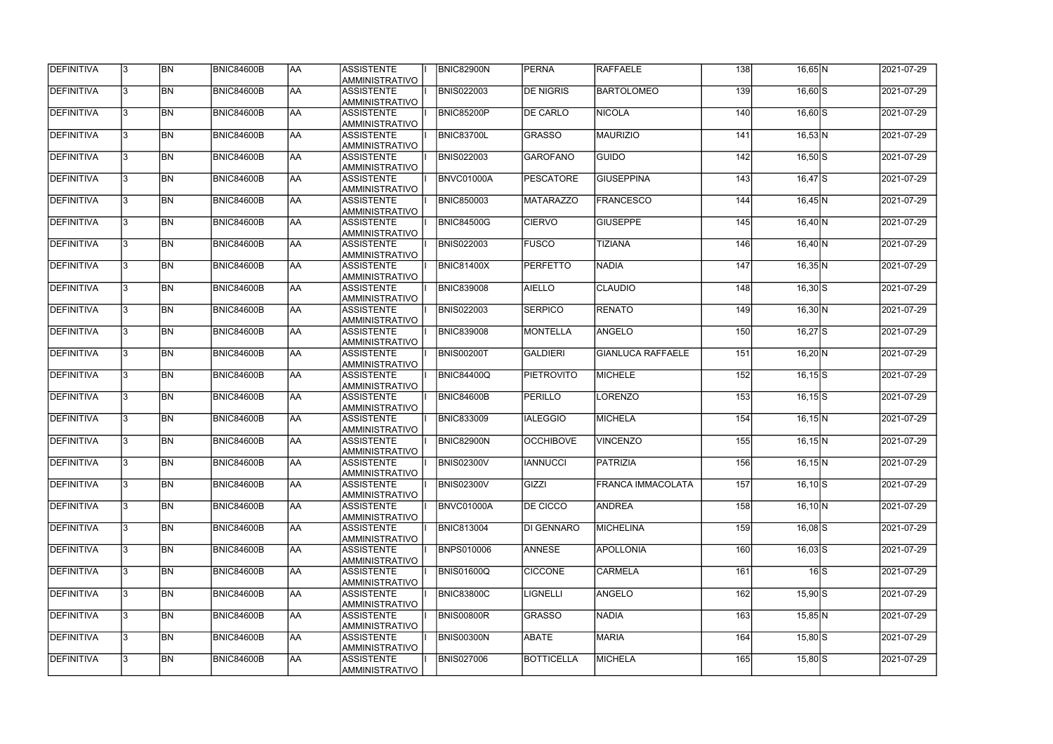| DEFINITIVA        | 13.          | <b>BN</b> | <b>BNIC84600B</b> | <b>AA</b> | <b>ASSISTENTE</b><br>AMMINISTRATIVO        | <b>BNIC82900N</b> | PERNA             | <b>RAFFAELE</b>          | 138 | $16,65$ N   |     | 2021-07-29 |
|-------------------|--------------|-----------|-------------------|-----------|--------------------------------------------|-------------------|-------------------|--------------------------|-----|-------------|-----|------------|
| <b>DEFINITIVA</b> | l3.          | <b>BN</b> | BNIC84600B        | AA        | <b>ASSISTENTE</b><br>AMMINISTRATIVO        | <b>BNIS022003</b> | <b>DE NIGRIS</b>  | BARTOLOMEO               | 139 | $16,60$ S   |     | 2021-07-29 |
| DEFINITIVA        |              | <b>BN</b> | BNIC84600B        | <b>AA</b> | <b>ASSISTENTE</b><br>AMMINISTRATIVO        | <b>BNIC85200P</b> | <b>DE CARLO</b>   | <b>NICOLA</b>            | 140 | $16,60$ S   |     | 2021-07-29 |
| <b>DEFINITIVA</b> | $\mathbf{3}$ | <b>BN</b> | BNIC84600B        | <b>AA</b> | <b>ASSISTENTE</b><br>AMMINISTRATIVO        | <b>BNIC83700L</b> | GRASSO            | <b>MAURIZIO</b>          | 141 | $16,53$ N   |     | 2021-07-29 |
| <b>DEFINITIVA</b> |              | <b>BN</b> | BNIC84600B        | AA        | <b>ASSISTENTE</b><br><b>AMMINISTRATIVO</b> | <b>BNIS022003</b> | GAROFANO          | GUIDO                    | 142 | $16,50$ S   |     | 2021-07-29 |
| DEFINITIVA        |              | <b>BN</b> | BNIC84600B        | AA        | <b>ASSISTENTE</b><br><b>AMMINISTRATIVO</b> | <b>BNVC01000A</b> | <b>PESCATORE</b>  | <b>GIUSEPPINA</b>        | 143 | $16,47$ S   |     | 2021-07-29 |
| DEFINITIVA        |              | <b>BN</b> | <b>BNIC84600B</b> | <b>AA</b> | <b>ASSISTENTE</b><br>AMMINISTRATIVO        | <b>BNIC850003</b> | <b>MATARAZZO</b>  | <b>FRANCESCO</b>         | 144 | $16,45$ N   |     | 2021-07-29 |
| DEFINITIVA        |              | <b>BN</b> | BNIC84600B        | <b>AA</b> | <b>ASSISTENTE</b><br>AMMINISTRATIVO        | <b>BNIC84500G</b> | <b>CIERVO</b>     | <b>GIUSEPPE</b>          | 145 | $16,40$ N   |     | 2021-07-29 |
| DEFINITIVA        |              | <b>BN</b> | BNIC84600B        | <b>AA</b> | <b>ASSISTENTE</b><br>AMMINISTRATIVO        | <b>BNIS022003</b> | <b>FUSCO</b>      | <b>TIZIANA</b>           | 146 | $16,40$ N   |     | 2021-07-29 |
| DEFINITIVA        |              | <b>BN</b> | BNIC84600B        | <b>AA</b> | <b>ASSISTENTE</b><br>AMMINISTRATIVO        | <b>BNIC81400X</b> | <b>PERFETTO</b>   | <b>NADIA</b>             | 147 | $16,35$ N   |     | 2021-07-29 |
| DEFINITIVA        |              | <b>BN</b> | BNIC84600B        | <b>AA</b> | <b>ASSISTENTE</b><br>AMMINISTRATIVO        | <b>BNIC839008</b> | AIELLO            | <b>CLAUDIO</b>           | 148 | $16,30$ $S$ |     | 2021-07-29 |
| DEFINITIVA        |              | <b>BN</b> | BNIC84600B        | <b>AA</b> | <b>ASSISTENTE</b><br>AMMINISTRATIVO        | <b>BNIS022003</b> | <b>SERPICO</b>    | <b>RENATO</b>            | 149 | 16,30 N     |     | 2021-07-29 |
| DEFINITIVA        |              | <b>BN</b> | BNIC84600B        | <b>AA</b> | <b>ASSISTENTE</b><br>AMMINISTRATIVO        | <b>BNIC839008</b> | MONTELLA          | ANGELO                   | 150 | $16,27$ S   |     | 2021-07-29 |
| DEFINITIVA        |              | <b>BN</b> | <b>BNIC84600B</b> | <b>AA</b> | <b>ASSISTENTE</b><br><b>AMMINISTRATIVO</b> | <b>BNIS00200T</b> | <b>GALDIERI</b>   | <b>GIANLUCA RAFFAELE</b> | 151 | $16,20$ N   |     | 2021-07-29 |
| DEFINITIVA        |              | <b>BN</b> | BNIC84600B        | <b>AA</b> | <b>ASSISTENTE</b><br>AMMINISTRATIVO        | <b>BNIC84400Q</b> | <b>PIETROVITO</b> | <b>MICHELE</b>           | 152 | $16,15$ $S$ |     | 2021-07-29 |
| DEFINITIVA        |              | <b>BN</b> | BNIC84600B        | laa       | <b>ASSISTENTE</b><br>AMMINISTRATIVO        | <b>BNIC84600B</b> | <b>PERILLO</b>    | <b>LORENZO</b>           | 153 | $16,15$ $S$ |     | 2021-07-29 |
| DEFINITIVA        | $\mathbf{R}$ | <b>BN</b> | BNIC84600B        | laa       | <b>ASSISTENTE</b><br>AMMINISTRATIVO        | <b>BNIC833009</b> | <b>IALEGGIO</b>   | <b>MICHELA</b>           | 154 | $16,15$ N   |     | 2021-07-29 |
| DEFINITIVA        |              | <b>BN</b> | BNIC84600B        | <b>AA</b> | <b>ASSISTENTE</b><br>AMMINISTRATIVO        | <b>BNIC82900N</b> | <b>OCCHIBOVE</b>  | <b>VINCENZO</b>          | 155 | $16,15$ N   |     | 2021-07-29 |
| <b>DEFINITIVA</b> | 13.          | <b>BN</b> | <b>BNIC84600B</b> | AA        | <b>ASSISTENTE</b><br>AMMINISTRATIVO        | <b>BNIS02300V</b> | <b>IANNUCCI</b>   | PATRIZIA                 | 156 | $16,15$ N   |     | 2021-07-29 |
| <b>DEFINITIVA</b> | $\mathbf{3}$ | <b>BN</b> | BNIC84600B        | AA        | ASSISTENTE<br>AMMINISTRATIVO               | <b>BNIS02300V</b> | GIZZI             | <b>FRANCA IMMACOLATA</b> | 157 | $16,10$ $S$ |     | 2021-07-29 |
| <b>DEFINITIVA</b> | 13.          | <b>BN</b> | BNIC84600B        | AA        | <b>ASSISTENTE</b><br>AMMINISTRATIVO        | <b>BNVC01000A</b> | <b>DE CICCO</b>   | ANDREA                   | 158 | $16,10$ N   |     | 2021-07-29 |
| DEFINITIVA        |              | <b>BN</b> | BNIC84600B        | <b>AA</b> | <b>ASSISTENTE</b><br>AMMINISTRATIVO        | <b>BNIC813004</b> | DI GENNARO        | <b>MICHELINA</b>         | 159 | $16,08$ $S$ |     | 2021-07-29 |
| DEFINITIVA        |              | <b>BN</b> | BNIC84600B        | <b>AA</b> | <b>ASSISTENTE</b><br>AMMINISTRATIVO        | BNPS010006        | <b>ANNESE</b>     | <b>APOLLONIA</b>         | 160 | $16,03$ $S$ |     | 2021-07-29 |
| DEFINITIVA        |              | <b>BN</b> | BNIC84600B        | AA        | <b>ASSISTENTE</b><br>AMMINISTRATIVO        | <b>BNIS01600Q</b> | <b>CICCONE</b>    | <b>CARMELA</b>           | 161 |             | 16S | 2021-07-29 |
| DEFINITIVA        |              | <b>BN</b> | BNIC84600B        | <b>AA</b> | ASSISTENTE<br>AMMINISTRATIVO               | <b>BNIC83800C</b> | <b>LIGNELLI</b>   | <b>ANGELO</b>            | 162 | $15,90$ S   |     | 2021-07-29 |
| DEFINITIVA        |              | <b>BN</b> | BNIC84600B        | <b>AA</b> | ASSISTENTE<br>AMMINISTRATIVO               | <b>BNIS00800R</b> | <b>GRASSO</b>     | <b>NADIA</b>             | 163 | $15,85$ N   |     | 2021-07-29 |
| <b>DEFINITIVA</b> | l3.          | <b>BN</b> | BNIC84600B        | <b>AA</b> | ASSISTENTE<br>AMMINISTRATIVO               | <b>BNIS00300N</b> | ABATE             | <b>MARIA</b>             | 164 | $15,80$ S   |     | 2021-07-29 |
| <b>DEFINITIVA</b> |              | <b>BN</b> | BNIC84600B        | <b>AA</b> | <b>ASSISTENTE</b><br>AMMINISTRATIVO        | <b>BNIS027006</b> | <b>BOTTICELLA</b> | <b>MICHELA</b>           | 165 | $15,80$ S   |     | 2021-07-29 |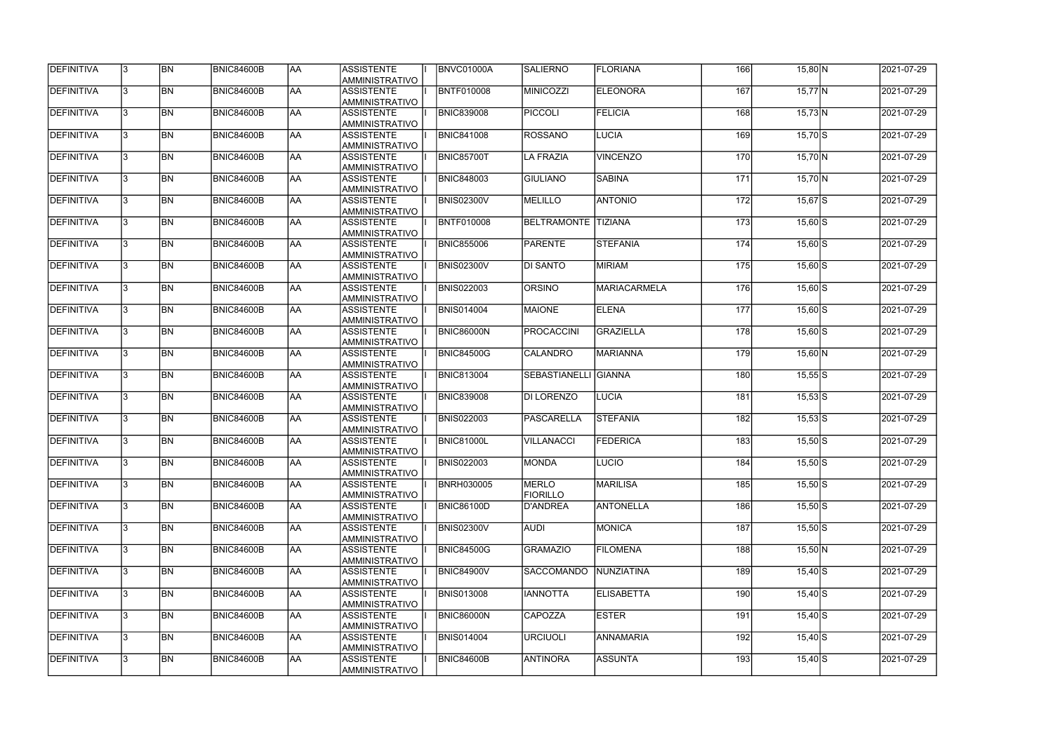| DEFINITIVA        | 13.          | <b>BN</b> | <b>BNIC84600B</b> | <b>AA</b> | <b>ASSISTENTE</b><br>AMMINISTRATIVO        | BNVC01000A        | <b>SALIERNO</b>          | <b>FLORIANA</b>   | 166 | $15,80$ N        | 2021-07-29 |
|-------------------|--------------|-----------|-------------------|-----------|--------------------------------------------|-------------------|--------------------------|-------------------|-----|------------------|------------|
| <b>DEFINITIVA</b> | l3.          | <b>BN</b> | BNIC84600B        | <b>AA</b> | <b>ASSISTENTE</b><br>AMMINISTRATIVO        | <b>BNTF010008</b> | MINICOZZI                | <b>ELEONORA</b>   | 167 | $15,77$ N        | 2021-07-29 |
| DEFINITIVA        |              | <b>BN</b> | BNIC84600B        | <b>AA</b> | <b>ASSISTENTE</b><br>AMMINISTRATIVO        | <b>BNIC839008</b> | PICCOLI                  | <b>FELICIA</b>    | 168 | 15,73 N          | 2021-07-29 |
| <b>DEFINITIVA</b> | $\mathbf{3}$ | <b>BN</b> | BNIC84600B        | <b>AA</b> | <b>ASSISTENTE</b><br>AMMINISTRATIVO        | <b>BNIC841008</b> | ROSSANO                  | <b>LUCIA</b>      | 169 | $15,70$ S        | 2021-07-29 |
| <b>DEFINITIVA</b> |              | <b>BN</b> | BNIC84600B        | AA        | <b>ASSISTENTE</b><br><b>AMMINISTRATIVO</b> | <b>BNIC85700T</b> | LA FRAZIA                | <b>VINCENZO</b>   | 170 | $15,70$ N        | 2021-07-29 |
| DEFINITIVA        |              | <b>BN</b> | BNIC84600B        | AA        | <b>ASSISTENTE</b><br><b>AMMINISTRATIVO</b> | <b>BNIC848003</b> | GIULIANO                 | <b>SABINA</b>     | 171 | $15,70$ N        | 2021-07-29 |
| DEFINITIVA        |              | <b>BN</b> | <b>BNIC84600B</b> | <b>AA</b> | <b>ASSISTENTE</b><br><b>AMMINISTRATIVO</b> | <b>BNIS02300V</b> | MELILLO                  | <b>ANTONIO</b>    | 172 | $15,67$ $S$      | 2021-07-29 |
| DEFINITIVA        |              | <b>BN</b> | BNIC84600B        | <b>AA</b> | <b>ASSISTENTE</b><br>AMMINISTRATIVO        | <b>BNTF010008</b> | BELTRAMONTE TIZIANA      |                   | 173 | $15,60$ S        | 2021-07-29 |
| DEFINITIVA        |              | <b>BN</b> | BNIC84600B        | <b>AA</b> | <b>ASSISTENTE</b><br>AMMINISTRATIVO        | <b>BNIC855006</b> | <b>PARENTE</b>           | <b>STEFANIA</b>   | 174 | $15,60$ S        | 2021-07-29 |
| DEFINITIVA        |              | <b>BN</b> | BNIC84600B        | <b>AA</b> | <b>ASSISTENTE</b><br>AMMINISTRATIVO        | <b>BNIS02300V</b> | <b>DI SANTO</b>          | <b>MIRIAM</b>     | 175 | $15,60$ S        | 2021-07-29 |
| DEFINITIVA        |              | <b>BN</b> | BNIC84600B        | <b>AA</b> | <b>ASSISTENTE</b><br>AMMINISTRATIVO        | <b>BNIS022003</b> | <b>ORSINO</b>            | MARIACARMELA      | 176 | $15,60$ S        | 2021-07-29 |
| DEFINITIVA        |              | <b>BN</b> | BNIC84600B        | <b>AA</b> | <b>ASSISTENTE</b><br>AMMINISTRATIVO        | <b>BNIS014004</b> | <b>MAIONE</b>            | <b>ELENA</b>      | 177 | $15,60$ S        | 2021-07-29 |
| DEFINITIVA        |              | <b>BN</b> | BNIC84600B        | <b>AA</b> | <b>ASSISTENTE</b><br>AMMINISTRATIVO        | <b>BNIC86000N</b> | <b>PROCACCINI</b>        | <b>GRAZIELLA</b>  | 178 | $15,60$ S        | 2021-07-29 |
| DEFINITIVA        |              | <b>BN</b> | <b>BNIC84600B</b> | <b>AA</b> | <b>ASSISTENTE</b><br><b>AMMINISTRATIVO</b> | <b>BNIC84500G</b> | <b>CALANDRO</b>          | <b>MARIANNA</b>   | 179 | $15,60 \text{N}$ | 2021-07-29 |
| DEFINITIVA        |              | <b>BN</b> | BNIC84600B        | <b>AA</b> | <b>ASSISTENTE</b><br><b>AMMINISTRATIVO</b> | <b>BNIC813004</b> | SEBASTIANELLI GIANNA     |                   | 180 | $15,55$ S        | 2021-07-29 |
| DEFINITIVA        |              | <b>BN</b> | BNIC84600B        | laa       | <b>ASSISTENTE</b><br>AMMINISTRATIVO        | <b>BNIC839008</b> | DI LORENZO               | LUCIA             | 181 | $15,53$ S        | 2021-07-29 |
| DEFINITIVA        | $\mathbf{R}$ | <b>BN</b> | BNIC84600B        | laa       | <b>ASSISTENTE</b><br>AMMINISTRATIVO        | <b>BNIS022003</b> | <b>PASCARELLA</b>        | <b>STEFANIA</b>   | 182 | $15,53$ S        | 2021-07-29 |
| DEFINITIVA        |              | <b>BN</b> | <b>BNIC84600B</b> | <b>AA</b> | <b>ASSISTENTE</b><br>AMMINISTRATIVO        | <b>BNIC81000L</b> | VILLANACCI               | <b>FEDERICA</b>   | 183 | $15,50$ S        | 2021-07-29 |
| <b>DEFINITIVA</b> | 13.          | <b>BN</b> | <b>BNIC84600B</b> | AA        | <b>ASSISTENTE</b><br>AMMINISTRATIVO        | <b>BNIS022003</b> | <b>MONDA</b>             | LUCIO             | 184 | $15,50$ S        | 2021-07-29 |
| <b>DEFINITIVA</b> | $\mathbf{3}$ | <b>BN</b> | BNIC84600B        | AA        | <b>ASSISTENTE</b><br>AMMINISTRATIVO        | <b>BNRH030005</b> | MERLO<br><b>FIORILLO</b> | <b>MARILISA</b>   | 185 | $15,50$ S        | 2021-07-29 |
| <b>DEFINITIVA</b> | 13.          | <b>BN</b> | BNIC84600B        | AA        | <b>ASSISTENTE</b><br>AMMINISTRATIVO        | <b>BNIC86100D</b> | D'ANDREA                 | <b>ANTONELLA</b>  | 186 | $15,50$ S        | 2021-07-29 |
| DEFINITIVA        |              | <b>BN</b> | BNIC84600B        | <b>AA</b> | <b>ASSISTENTE</b><br>AMMINISTRATIVO        | <b>BNIS02300V</b> | AUDI                     | <b>MONICA</b>     | 187 | $15,50$ S        | 2021-07-29 |
| DEFINITIVA        |              | <b>BN</b> | BNIC84600B        | <b>AA</b> | <b>ASSISTENTE</b><br>AMMINISTRATIVO        | <b>BNIC84500G</b> | <b>GRAMAZIO</b>          | <b>FILOMENA</b>   | 188 | $15,50$ N        | 2021-07-29 |
| DEFINITIVA        |              | <b>BN</b> | BNIC84600B        | AA        | <b>ASSISTENTE</b><br>AMMINISTRATIVO        | <b>BNIC84900V</b> | <b>SACCOMANDO</b>        | <b>NUNZIATINA</b> | 189 | $15,40$ S        | 2021-07-29 |
| DEFINITIVA        |              | <b>BN</b> | BNIC84600B        | <b>AA</b> | ASSISTENTE<br>AMMINISTRATIVO               | <b>BNIS013008</b> | <b>IANNOTTA</b>          | <b>ELISABETTA</b> | 190 | $15,40$ S        | 2021-07-29 |
| DEFINITIVA        |              | <b>BN</b> | BNIC84600B        | <b>AA</b> | ASSISTENTE<br>AMMINISTRATIVO               | <b>BNIC86000N</b> | <b>CAPOZZA</b>           | <b>ESTER</b>      | 191 | $15,40$ $S$      | 2021-07-29 |
| <b>DEFINITIVA</b> | l3.          | <b>BN</b> | BNIC84600B        | <b>AA</b> | ASSISTENTE<br>AMMINISTRATIVO               | <b>BNIS014004</b> | <b>URCIUOLI</b>          | <b>ANNAMARIA</b>  | 192 | $15,40$ S        | 2021-07-29 |
| <b>DEFINITIVA</b> |              | <b>BN</b> | BNIC84600B        | <b>AA</b> | <b>ASSISTENTE</b><br>AMMINISTRATIVO        | <b>BNIC84600B</b> | <b>ANTINORA</b>          | <b>ASSUNTA</b>    | 193 | $15,40$ $S$      | 2021-07-29 |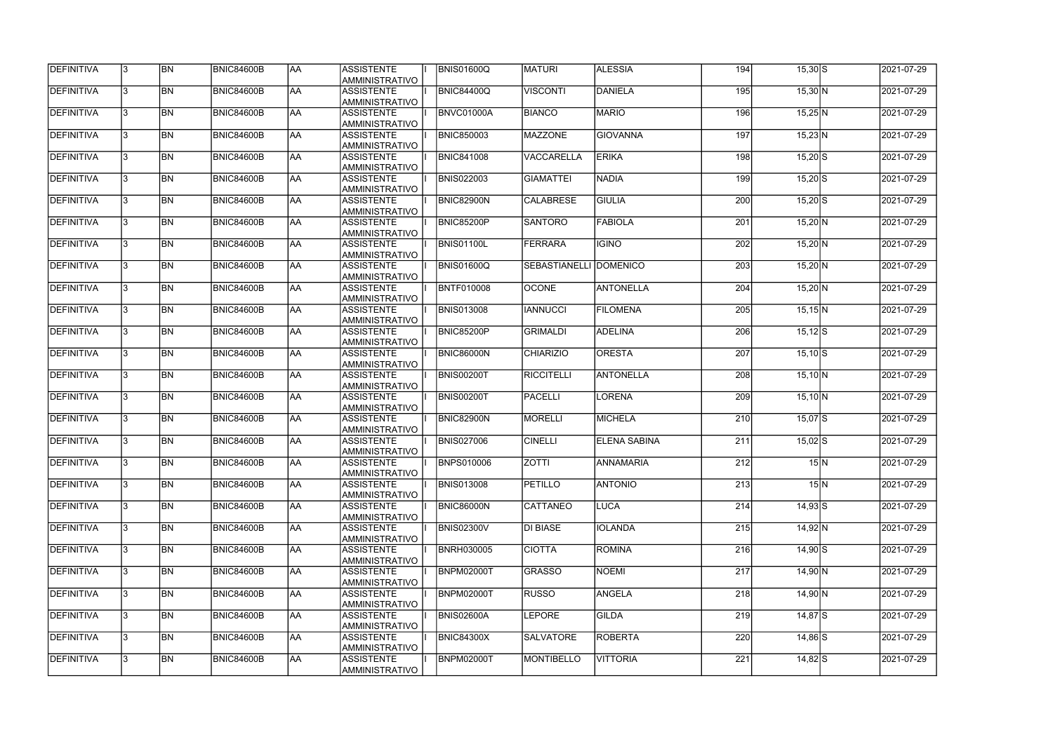| <b>DEFINITIVA</b> | 13. | <b>BN</b> | <b>BNIC84600B</b> | AA        | <b>ASSISTENTE</b><br>AMMINISTRATIVO        | <b>BNIS01600Q</b> | <b>MATURI</b>        | <b>ALESSIA</b>      | 194 | $15,30$ $S$  |             | 2021-07-29 |
|-------------------|-----|-----------|-------------------|-----------|--------------------------------------------|-------------------|----------------------|---------------------|-----|--------------|-------------|------------|
| <b>DEFINITIVA</b> | 13. | <b>BN</b> | BNIC84600B        | laa       | <b>ASSISTENTE</b><br>AMMINISTRATIVO        | BNIC84400Q        | <b>VISCONTI</b>      | <b>DANIELA</b>      | 195 | $15,30 \, N$ |             | 2021-07-29 |
| DEFINITIVA        | l3. | <b>BN</b> | <b>BNIC84600B</b> | AA        | <b>ASSISTENTE</b><br>AMMINISTRATIVO        | BNVC01000A        | <b>BIANCO</b>        | <b>MARIO</b>        | 196 | $15,25$ N    |             | 2021-07-29 |
| <b>DEFINITIVA</b> | l3. | <b>BN</b> | BNIC84600B        | <b>AA</b> | <b>ASSISTENTE</b><br>AMMINISTRATIVO        | <b>BNIC850003</b> | MAZZONE              | <b>GIOVANNA</b>     | 197 | $15,23$ N    |             | 2021-07-29 |
| DEFINITIVA        | l3. | <b>BN</b> | <b>BNIC84600B</b> | laa       | <b>ASSISTENTE</b><br>AMMINISTRATIVO        | <b>BNIC841008</b> | VACCARELLA           | <b>ERIKA</b>        | 198 | $15,20$ S    |             | 2021-07-29 |
| DEFINITIVA        | 3   | <b>BN</b> | <b>BNIC84600B</b> | laa       | <b>ASSISTENTE</b><br>AMMINISTRATIVO        | <b>BNIS022003</b> | <b>GIAMATTEI</b>     | <b>NADIA</b>        | 199 | $15,20$ S    |             | 2021-07-29 |
| DEFINITIVA        |     | <b>BN</b> | <b>BNIC84600B</b> | laa       | <b>ASSISTENTE</b><br><b>AMMINISTRATIVO</b> | <b>BNIC82900N</b> | <b>CALABRESE</b>     | <b>GIULIA</b>       | 200 | $15,20$ S    |             | 2021-07-29 |
| DEFINITIVA        |     | <b>BN</b> | BNIC84600B        | laa       | <b>ASSISTENTE</b><br>AMMINISTRATIVO        | BNIC85200P        | <b>SANTORO</b>       | <b>FABIOLA</b>      | 201 | $15,20$ N    |             | 2021-07-29 |
| DEFINITIVA        |     | <b>BN</b> | <b>BNIC84600B</b> | AA        | <b>ASSISTENTE</b><br>AMMINISTRATIVO        | <b>BNIS01100L</b> | FERRARA              | <b>IGINO</b>        | 202 | $15,20$ N    |             | 2021-07-29 |
| DEFINITIVA        | l3. | <b>BN</b> | <b>BNIC84600B</b> | laa       | <b>ASSISTENTE</b><br>AMMINISTRATIVO        | <b>BNIS01600Q</b> | <b>SEBASTIANELLI</b> | <b>DOMENICO</b>     | 203 | $15,20$ N    |             | 2021-07-29 |
| DEFINITIVA        | l3. | <b>BN</b> | <b>BNIC84600B</b> | AA        | <b>ASSISTENTE</b><br>AMMINISTRATIVO        | <b>BNTF010008</b> | <b>OCONE</b>         | ANTONELLA           | 204 | $15,20$ N    |             | 2021-07-29 |
| <b>DEFINITIVA</b> | 3   | <b>BN</b> | BNIC84600B        | <b>AA</b> | <b>ASSISTENTE</b><br>AMMINISTRATIVO        | <b>BNIS013008</b> | <b>IANNUCCI</b>      | <b>FILOMENA</b>     | 205 | $15,15$ N    |             | 2021-07-29 |
| DEFINITIVA        | 3   | <b>BN</b> | <b>BNIC84600B</b> | AA        | <b>ASSISTENTE</b><br>AMMINISTRATIVO        | <b>BNIC85200P</b> | <b>GRIMALDI</b>      | <b>ADELINA</b>      | 206 | $15,12$ S    |             | 2021-07-29 |
| DEFINITIVA        | 3   | <b>BN</b> | <b>BNIC84600B</b> | laa       | <b>ASSISTENTE</b><br>AMMINISTRATIVO        | <b>BNIC86000N</b> | <b>CHIARIZIO</b>     | <b>ORESTA</b>       | 207 | $15,10$ S    |             | 2021-07-29 |
| DEFINITIVA        |     | <b>BN</b> | <b>BNIC84600B</b> | laa       | <b>ASSISTENTE</b><br><b>AMMINISTRATIVO</b> | <b>BNIS00200T</b> | <b>RICCITELLI</b>    | <b>ANTONELLA</b>    | 208 | $15,10 \, N$ |             | 2021-07-29 |
| DEFINITIVA        |     | <b>BN</b> | <b>BNIC84600B</b> | laa       | <b>ASSISTENTE</b><br>AMMINISTRATIVO        | <b>BNIS00200T</b> | PACELLI              | LORENA              | 209 | $15,10 \, N$ |             | 2021-07-29 |
| DEFINITIVA        | l3. | <b>BN</b> | <b>BNIC84600B</b> | laa       | <b>ASSISTENTE</b><br>AMMINISTRATIVO        | <b>BNIC82900N</b> | <b>MORELLI</b>       | <b>MICHELA</b>      | 210 | $15,07$ $S$  |             | 2021-07-29 |
| DEFINITIVA        | 3   | <b>BN</b> | <b>BNIC84600B</b> | AA        | <b>ASSISTENTE</b><br>AMMINISTRATIVO        | <b>BNIS027006</b> | <b>CINELLI</b>       | <b>ELENA SABINA</b> | 211 | $15,02$ S    |             | 2021-07-29 |
| DEFINITIVA        | 13  | <b>BN</b> | <b>BNIC84600B</b> | <b>AA</b> | <b>ASSISTENTE</b><br>AMMINISTRATIVO        | <b>BNPS010006</b> | <b>ZOTTI</b>         | ANNAMARIA           | 212 |              | $15\vert N$ | 2021-07-29 |
| <b>DEFINITIVA</b> | l3. | <b>BN</b> | <b>BNIC84600B</b> | AA        | <b>ASSISTENTE</b><br>AMMINISTRATIVO        | <b>BNIS013008</b> | <b>PETILLO</b>       | <b>ANTONIO</b>      | 213 |              | 15N         | 2021-07-29 |
| DEFINITIVA        | 13. | <b>BN</b> | <b>BNIC84600B</b> | AA        | <b>ASSISTENTE</b><br>AMMINISTRATIVO        | <b>BNIC86000N</b> | <b>CATTANEO</b>      | <b>LUCA</b>         | 214 | $14,93$ S    |             | 2021-07-29 |
| DEFINITIVA        | 3   | <b>BN</b> | <b>BNIC84600B</b> | laa       | <b>ASSISTENTE</b><br>AMMINISTRATIVO        | <b>BNIS02300V</b> | DI BIASE             | <b>IOLANDA</b>      | 215 | $14,92$ N    |             | 2021-07-29 |
| DEFINITIVA        |     | <b>BN</b> | <b>BNIC84600B</b> | AA        | <b>ASSISTENTE</b><br>AMMINISTRATIVO        | <b>BNRH030005</b> | <b>CIOTTA</b>        | <b>ROMINA</b>       | 216 | $14,90$ S    |             | 2021-07-29 |
| DEFINITIVA        |     | <b>BN</b> | <b>BNIC84600B</b> | AA        | <b>ASSISTENTE</b><br>AMMINISTRATIVO        | <b>BNPM02000T</b> | <b>GRASSO</b>        | <b>NOEMI</b>        | 217 | $14,90 \ N$  |             | 2021-07-29 |
| DEFINITIVA        | l3. | <b>BN</b> | BNIC84600B        | laa       | <b>ASSISTENTE</b><br>AMMINISTRATIVO        | BNPM02000T        | <b>RUSSO</b>         | <b>ANGELA</b>       | 218 | $14,90 \ N$  |             | 2021-07-29 |
| DEFINITIVA        | I3. | <b>BN</b> | <b>BNIC84600B</b> | AA        | <b>ASSISTENTE</b><br>AMMINISTRATIVO        | <b>BNIS02600A</b> | <b>LEPORE</b>        | <b>GILDA</b>        | 219 | 14,87 S      |             | 2021-07-29 |
| DEFINITIVA        | 13. | <b>BN</b> | <b>BNIC84600B</b> | AA        | <b>ASSISTENTE</b><br>AMMINISTRATIVO        | <b>BNIC84300X</b> | <b>SALVATORE</b>     | <b>ROBERTA</b>      | 220 | $14,86$ S    |             | 2021-07-29 |
| DEFINITIVA        |     | <b>BN</b> | <b>BNIC84600B</b> | AA        | <b>ASSISTENTE</b><br>AMMINISTRATIVO        | BNPM02000T        | <b>MONTIBELLO</b>    | <b>VITTORIA</b>     | 221 | $14,82$ S    |             | 2021-07-29 |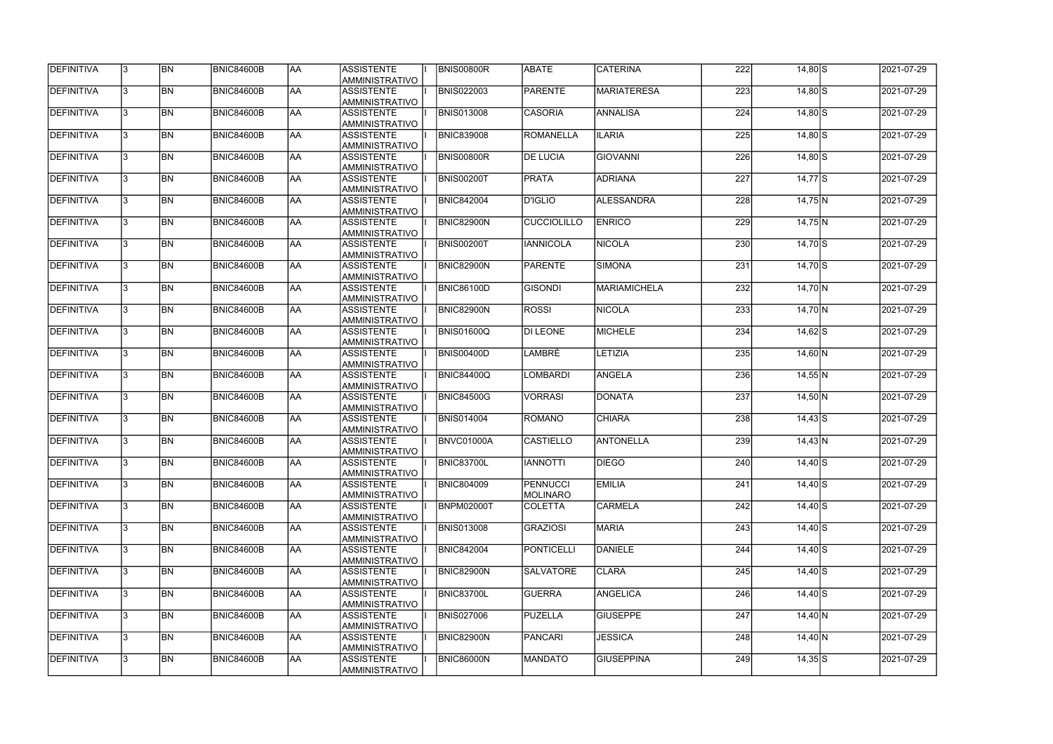| DEFINITIVA        | 13.          | <b>BN</b> | <b>BNIC84600B</b> | laa        | ASSISTENTE<br><b>AMMINISTRATIVO</b>        | <b>BNIS00800R</b> | <b>ABATE</b>                | <b>CATERINA</b>     | 222              | $14,80$ S    | 2021-07-29 |
|-------------------|--------------|-----------|-------------------|------------|--------------------------------------------|-------------------|-----------------------------|---------------------|------------------|--------------|------------|
| DEFINITIVA        | 3            | <b>BN</b> | <b>BNIC84600B</b> | <b>AA</b>  | <b>ASSISTENTE</b><br>AMMINISTRATIVO        | <b>BNIS022003</b> | <b>PARENTE</b>              | <b>MARIATERESA</b>  | 223              | 14,80 S      | 2021-07-29 |
| DEFINITIVA        | 3            | <b>BN</b> | <b>BNIC84600B</b> | <b>AA</b>  | <b>ASSISTENTE</b><br>AMMINISTRATIVO        | <b>BNIS013008</b> | <b>CASORIA</b>              | <b>ANNALISA</b>     | 224              | $14,80$ S    | 2021-07-29 |
| DEFINITIVA        |              | <b>BN</b> | <b>BNIC84600B</b> | AA         | <b>ASSISTENTE</b><br>AMMINISTRATIVO        | <b>BNIC839008</b> | ROMANELLA                   | <b>ILARIA</b>       | 225              | $14,80$ S    | 2021-07-29 |
| <b>DEFINITIVA</b> | 3            | <b>BN</b> | BNIC84600B        | <b>AA</b>  | <b>ASSISTENTE</b><br>AMMINISTRATIVO        | <b>BNIS00800R</b> | <b>DE LUCIA</b>             | <b>GIOVANNI</b>     | 226              | $14,80$ S    | 2021-07-29 |
| DEFINITIVA        |              | <b>BN</b> | BNIC84600B        | AA         | <b>ASSISTENTE</b><br>AMMINISTRATIVO        | <b>BNIS00200T</b> | <b>PRATA</b>                | <b>ADRIANA</b>      | 227              | $14,77$ S    | 2021-07-29 |
| DEFINITIVA        |              | <b>BN</b> | <b>BNIC84600B</b> | <b>AA</b>  | <b>ASSISTENTE</b><br><b>AMMINISTRATIVO</b> | <b>BNIC842004</b> | <b>D'IGLIO</b>              | ALESSANDRA          | 228              | $14,75$ N    | 2021-07-29 |
| DEFINITIVA        |              | <b>BN</b> | <b>BNIC84600B</b> | AA         | <b>ASSISTENTE</b><br>AMMINISTRATIVO        | <b>BNIC82900N</b> | CUCCIOLILLO                 | <b>ENRICO</b>       | 229              | $14,75$ N    | 2021-07-29 |
| DEFINITIVA        |              | <b>BN</b> | BNIC84600B        | AA         | <b>ASSISTENTE</b><br>AMMINISTRATIVO        | <b>BNIS00200T</b> | <b>IANNICOLA</b>            | <b>NICOLA</b>       | 230              | $14,70$ S    | 2021-07-29 |
| DEFINITIVA        |              | <b>BN</b> | <b>BNIC84600B</b> | laa        | <b>ASSISTENTE</b><br>AMMINISTRATIVO        | <b>BNIC82900N</b> | <b>PARENTE</b>              | <b>SIMONA</b>       | 231              | 14,70 S      | 2021-07-29 |
| DEFINITIVA        | 3            | <b>BN</b> | <b>BNIC84600B</b> | <b>AA</b>  | <b>ASSISTENTE</b><br>AMMINISTRATIVO        | <b>BNIC86100D</b> | <b>GISONDI</b>              | <b>MARIAMICHELA</b> | 232              | 14,70 N      | 2021-07-29 |
| DEFINITIVA        |              | <b>BN</b> | BNIC84600B        | AA         | <b>ASSISTENTE</b><br>AMMINISTRATIVO        | <b>BNIC82900N</b> | <b>ROSSI</b>                | <b>NICOLA</b>       | 233              | 14,70 N      | 2021-07-29 |
| DEFINITIVA        |              | <b>BN</b> | <b>BNIC84600B</b> | <b>AA</b>  | <b>ASSISTENTE</b><br>AMMINISTRATIVO        | <b>BNIS01600Q</b> | DI LEONE                    | <b>MICHELE</b>      | 234              | $14,62$ S    | 2021-07-29 |
| DEFINITIVA        |              | <b>BN</b> | BNIC84600B        | <b>AA</b>  | <b>ASSISTENTE</b><br>AMMINISTRATIVO        | <b>BNIS00400D</b> | <b>LAMBRÈ</b>               | <b>LETIZIA</b>      | 235              | $14,60 \, N$ | 2021-07-29 |
| DEFINITIVA        |              | <b>BN</b> | <b>BNIC84600B</b> | <b>AA</b>  | <b>ASSISTENTE</b><br><b>AMMINISTRATIVO</b> | <b>BNIC84400Q</b> | <b>LOMBARDI</b>             | ANGELA              | 236              | $14,55$ N    | 2021-07-29 |
| DEFINITIVA        |              | <b>BN</b> | BNIC84600B        | <b>AA</b>  | <b>ASSISTENTE</b><br>AMMINISTRATIVO        | <b>BNIC84500G</b> | VORRASI                     | <b>DONATA</b>       | 237              | $14,50 \, N$ | 2021-07-29 |
| DEFINITIVA        |              | <b>BN</b> | <b>BNIC84600B</b> | AA         | <b>ASSISTENTE</b><br>AMMINISTRATIVO        | <b>BNIS014004</b> | ROMANO                      | <b>CHIARA</b>       | 238              | $14,43$ S    | 2021-07-29 |
| DEFINITIVA        |              | <b>BN</b> | <b>BNIC84600B</b> | <b>AA</b>  | <b>ASSISTENTE</b><br>AMMINISTRATIVO        | BNVC01000A        | <b>CASTIELLO</b>            | <b>ANTONELLA</b>    | 239              | 14,43 N      | 2021-07-29 |
| DEFINITIVA        | 13           | BN        | <b>BNIC84600B</b> | <b>JAA</b> | <b>ASSISTENTE</b><br>AMMINISTRATIVO        | <b>BNIC83700L</b> | <b>IANNOTTI</b>             | <b>DIEGO</b>        | 240              | $14,40$ S    | 2021-07-29 |
| <b>DEFINITIVA</b> |              | <b>BN</b> | BNIC84600B        | <b>AA</b>  | ASSISTENTE<br>AMMINISTRATIVO               | <b>BNIC804009</b> | <b>PENNUCCI</b><br>MOLINARO | <b>EMILIA</b>       | $\overline{241}$ | $14,40$ S    | 2021-07-29 |
| <b>DEFINITIVA</b> | $\mathbf{3}$ | <b>BN</b> | BNIC84600B        | AA         | ASSISTENTE<br>AMMINISTRATIVO               | <b>BNPM02000T</b> | <b>COLETTA</b>              | <b>CARMELA</b>      | 242              | $14,40$ S    | 2021-07-29 |
| <b>DEFINITIVA</b> |              | <b>BN</b> | BNIC84600B        | <b>AA</b>  | <b>ASSISTENTE</b><br>AMMINISTRATIVO        | <b>BNIS013008</b> | <b>GRAZIOSI</b>             | <b>MARIA</b>        | 243              | $14,40$ S    | 2021-07-29 |
| <b>DEFINITIVA</b> |              | BN        | BNIC84600B        | <b>AA</b>  | <b>ASSISTENTE</b><br>AMMINISTRATIVO        | <b>BNIC842004</b> | PONTICELLI                  | <b>DANIELE</b>      | 244              | $14,40$ S    | 2021-07-29 |
| DEFINITIVA        |              | <b>BN</b> | BNIC84600B        | <b>AA</b>  | <b>ASSISTENTE</b><br>AMMINISTRATIVO        | <b>BNIC82900N</b> | <b>SALVATORE</b>            | <b>CLARA</b>        | 245              | $14,40$ S    | 2021-07-29 |
| DEFINITIVA        |              | <b>BN</b> | BNIC84600B        | <b>AA</b>  | ASSISTENTE<br>AMMINISTRATIVO               | <b>BNIC83700L</b> | <b>GUERRA</b>               | <b>ANGELICA</b>     | 246              | $14,40$ S    | 2021-07-29 |
| DEFINITIVA        |              | <b>BN</b> | BNIC84600B        | <b>AA</b>  | ASSISTENTE<br>AMMINISTRATIVO               | <b>BNIS027006</b> | PUZELLA                     | <b>GIUSEPPE</b>     | 247              | $14,40 \ N$  | 2021-07-29 |
| DEFINITIVA        |              | <b>BN</b> | BNIC84600B        | <b>AA</b>  | ASSISTENTE<br>AMMINISTRATIVO               | <b>BNIC82900N</b> | PANCARI                     | <b>JESSICA</b>      | 248              | $14,40 \ N$  | 2021-07-29 |
| <b>DEFINITIVA</b> |              | <b>BN</b> | BNIC84600B        | <b>AA</b>  | <b>ASSISTENTE</b><br>AMMINISTRATIVO        | <b>BNIC86000N</b> | <b>MANDATO</b>              | <b>GIUSEPPINA</b>   | 249              | $14,35$ S    | 2021-07-29 |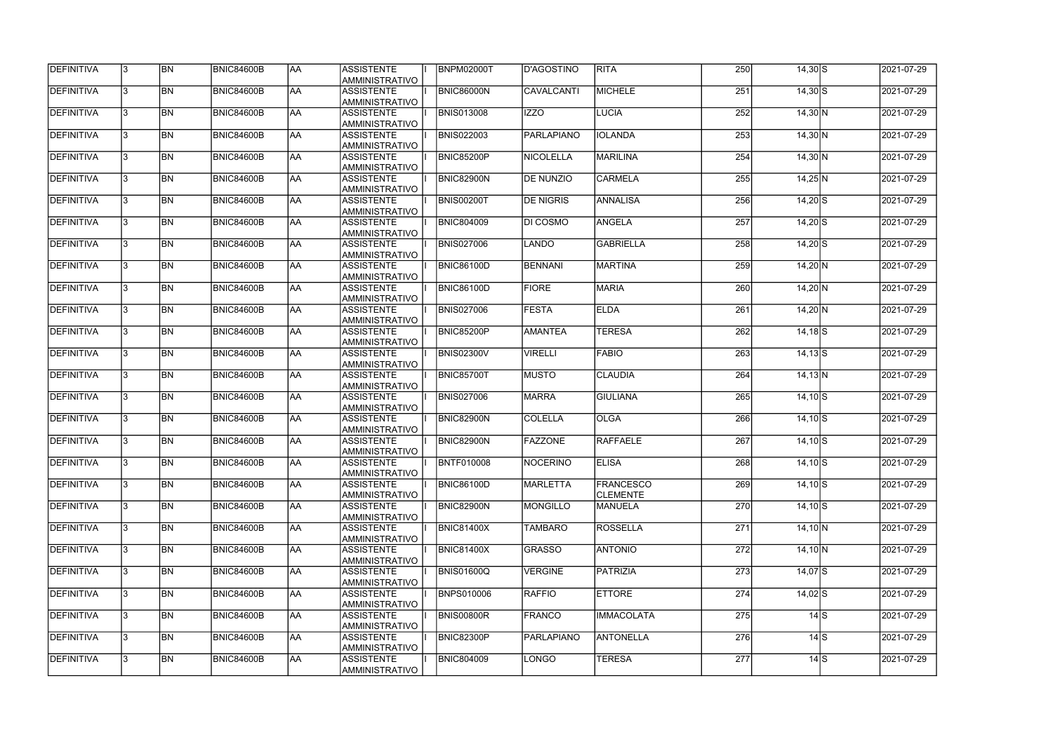| <b>DEFINITIVA</b> | 13. | <b>BN</b> | <b>BNIC84600B</b> | AA        | <b>ASSISTENTE</b><br>AMMINISTRATIVO        | <b>BNPM02000T</b> | D'AGOSTINO       | <b>RITA</b>                         | 250 | $14,30$ S       |                                 | 2021-07-29 |
|-------------------|-----|-----------|-------------------|-----------|--------------------------------------------|-------------------|------------------|-------------------------------------|-----|-----------------|---------------------------------|------------|
| <b>DEFINITIVA</b> | 13. | <b>BN</b> | BNIC84600B        | laa       | <b>ASSISTENTE</b><br>AMMINISTRATIVO        | <b>BNIC86000N</b> | CAVALCANTI       | <b>MICHELE</b>                      | 251 | $14,30$ S       |                                 | 2021-07-29 |
| DEFINITIVA        | l3. | <b>BN</b> | <b>BNIC84600B</b> | AA        | <b>ASSISTENTE</b><br>AMMINISTRATIVO        | <b>BNIS013008</b> | <b>IZZO</b>      | <b>LUCIA</b>                        | 252 | 14,30 N         |                                 | 2021-07-29 |
| <b>DEFINITIVA</b> | l3. | <b>BN</b> | BNIC84600B        | <b>AA</b> | <b>ASSISTENTE</b><br>AMMINISTRATIVO        | <b>BNIS022003</b> | PARLAPIANO       | <b>IOLANDA</b>                      | 253 | $14,30$ N       |                                 | 2021-07-29 |
| DEFINITIVA        | l3. | <b>BN</b> | <b>BNIC84600B</b> | laa       | <b>ASSISTENTE</b><br>AMMINISTRATIVO        | BNIC85200P        | <b>NICOLELLA</b> | <b>MARILINA</b>                     | 254 | $14,30$ N       |                                 | 2021-07-29 |
| DEFINITIVA        | l3  | <b>BN</b> | <b>BNIC84600B</b> | laa       | <b>ASSISTENTE</b><br>AMMINISTRATIVO        | BNIC82900N        | <b>DE NUNZIO</b> | <b>CARMELA</b>                      | 255 | $14,25$ N       |                                 | 2021-07-29 |
| DEFINITIVA        |     | <b>BN</b> | <b>BNIC84600B</b> | laa       | <b>ASSISTENTE</b><br><b>AMMINISTRATIVO</b> | <b>BNIS00200T</b> | <b>DE NIGRIS</b> | <b>ANNALISA</b>                     | 256 | $14,20$ S       |                                 | 2021-07-29 |
| DEFINITIVA        |     | <b>BN</b> | BNIC84600B        | laa       | <b>ASSISTENTE</b><br>AMMINISTRATIVO        | <b>BNIC804009</b> | <b>DI COSMO</b>  | <b>ANGELA</b>                       | 257 | $14,20$ S       |                                 | 2021-07-29 |
| DEFINITIVA        | 13. | <b>BN</b> | <b>BNIC84600B</b> | AA        | <b>ASSISTENTE</b><br>AMMINISTRATIVO        | <b>BNIS027006</b> | <b>LANDO</b>     | <b>GABRIELLA</b>                    | 258 | $14,20$ S       |                                 | 2021-07-29 |
| DEFINITIVA        | l3. | <b>BN</b> | <b>BNIC84600B</b> | laa       | <b>ASSISTENTE</b><br>AMMINISTRATIVO        | <b>BNIC86100D</b> | BENNANI          | <b>MARTINA</b>                      | 259 | $14,20 \, N$    |                                 | 2021-07-29 |
| DEFINITIVA        | l3. | <b>BN</b> | <b>BNIC84600B</b> | AA        | <b>ASSISTENTE</b><br>AMMINISTRATIVO        | <b>BNIC86100D</b> | <b>FIORE</b>     | <b>MARIA</b>                        | 260 | $14,20$ N       |                                 | 2021-07-29 |
| <b>DEFINITIVA</b> | 3   | <b>BN</b> | <b>BNIC84600B</b> | <b>AA</b> | <b>ASSISTENTE</b><br>AMMINISTRATIVO        | <b>BNIS027006</b> | <b>FESTA</b>     | <b>ELDA</b>                         | 261 | $14,20$ N       |                                 | 2021-07-29 |
| DEFINITIVA        | 3   | <b>BN</b> | <b>BNIC84600B</b> | AA        | <b>ASSISTENTE</b><br>AMMINISTRATIVO        | <b>BNIC85200P</b> | <b>AMANTEA</b>   | <b>TERESA</b>                       | 262 | $14,18$ $S$     |                                 | 2021-07-29 |
| DEFINITIVA        | 3   | <b>BN</b> | <b>BNIC84600B</b> | laa       | <b>ASSISTENTE</b><br>AMMINISTRATIVO        | <b>BNIS02300V</b> | <b>VIRELLI</b>   | <b>FABIO</b>                        | 263 | $14,13$ S       |                                 | 2021-07-29 |
| DEFINITIVA        |     | <b>BN</b> | <b>BNIC84600B</b> | laa       | <b>ASSISTENTE</b><br><b>AMMINISTRATIVO</b> | <b>BNIC85700T</b> | <b>MUSTO</b>     | <b>CLAUDIA</b>                      | 264 | $14,13$ N       |                                 | 2021-07-29 |
| DEFINITIVA        | 3   | <b>BN</b> | <b>BNIC84600B</b> | laa       | <b>ASSISTENTE</b><br>AMMINISTRATIVO        | <b>BNIS027006</b> | <b>MARRA</b>     | <b>GIULIANA</b>                     | 265 | $14,10$ S       |                                 | 2021-07-29 |
| DEFINITIVA        | l3. | <b>BN</b> | <b>BNIC84600B</b> | laa       | <b>ASSISTENTE</b><br>AMMINISTRATIVO        | <b>BNIC82900N</b> | <b>COLELLA</b>   | <b>OLGA</b>                         | 266 | $14,10$ S       |                                 | 2021-07-29 |
| DEFINITIVA        | 3   | <b>BN</b> | <b>BNIC84600B</b> | AA        | <b>ASSISTENTE</b><br>AMMINISTRATIVO        | <b>BNIC82900N</b> | <b>FAZZONE</b>   | <b>RAFFAELE</b>                     | 267 | $14,10$ S       |                                 | 2021-07-29 |
| DEFINITIVA        | 13  | <b>BN</b> | <b>BNIC84600B</b> | <b>AA</b> | <b>ASSISTENTE</b><br>AMMINISTRATIVO        | <b>BNTF010008</b> | <b>NOCERINO</b>  | <b>ELISA</b>                        | 268 | $14,10$ S       |                                 | 2021-07-29 |
| <b>DEFINITIVA</b> | l3. | <b>BN</b> | <b>BNIC84600B</b> | AA        | <b>ASSISTENTE</b><br>AMMINISTRATIVO        | <b>BNIC86100D</b> | MARLETTA         | <b>FRANCESCO</b><br><b>CLEMENTE</b> | 269 | $14,10$ S       |                                 | 2021-07-29 |
| DEFINITIVA        | 13. | <b>BN</b> | <b>BNIC84600B</b> | AA        | <b>ASSISTENTE</b><br>AMMINISTRATIVO        | <b>BNIC82900N</b> | MONGILLO         | MANUELA                             | 270 | $14,10$ S       |                                 | 2021-07-29 |
| DEFINITIVA        | 3   | <b>BN</b> | <b>BNIC84600B</b> | laa       | <b>ASSISTENTE</b><br>AMMINISTRATIVO        | <b>BNIC81400X</b> | <b>TAMBARO</b>   | <b>ROSSELLA</b>                     | 271 | $14,10 \, N$    |                                 | 2021-07-29 |
| DEFINITIVA        |     | <b>BN</b> | <b>BNIC84600B</b> | AA        | <b>ASSISTENTE</b><br>AMMINISTRATIVO        | <b>BNIC81400X</b> | <b>GRASSO</b>    | <b>ANTONIO</b>                      | 272 | $14,10 \vert N$ |                                 | 2021-07-29 |
| DEFINITIVA        |     | <b>BN</b> | <b>BNIC84600B</b> | AA        | <b>ASSISTENTE</b><br>AMMINISTRATIVO        | BNIS01600Q        | <b>VERGINE</b>   | <b>PATRIZIA</b>                     | 273 | 14,07 S         |                                 | 2021-07-29 |
| DEFINITIVA        | l3. | <b>BN</b> | BNIC84600B        | laa       | <b>ASSISTENTE</b><br>AMMINISTRATIVO        | <b>BNPS010006</b> | RAFFIO           | <b>ETTORE</b>                       | 274 | $14,02$ S       |                                 | 2021-07-29 |
| DEFINITIVA        | I3. | <b>BN</b> | <b>BNIC84600B</b> | AA        | <b>ASSISTENTE</b><br>AMMINISTRATIVO        | BNIS00800R        | <b>FRANCO</b>    | <b>IMMACOLATA</b>                   | 275 |                 | $14$ S                          | 2021-07-29 |
| DEFINITIVA        | 13. | <b>BN</b> | <b>BNIC84600B</b> | AA        | <b>ASSISTENTE</b><br>AMMINISTRATIVO        | <b>BNIC82300P</b> | PARLAPIANO       | <b>ANTONELLA</b>                    | 276 |                 | $14$ $\text{S}$                 | 2021-07-29 |
| DEFINITIVA        |     | <b>BN</b> | <b>BNIC84600B</b> | AA        | <b>ASSISTENTE</b><br>AMMINISTRATIVO        | <b>BNIC804009</b> | LONGO            | <b>TERESA</b>                       | 277 |                 | $14$ $\overline{\phantom{1}}$ S | 2021-07-29 |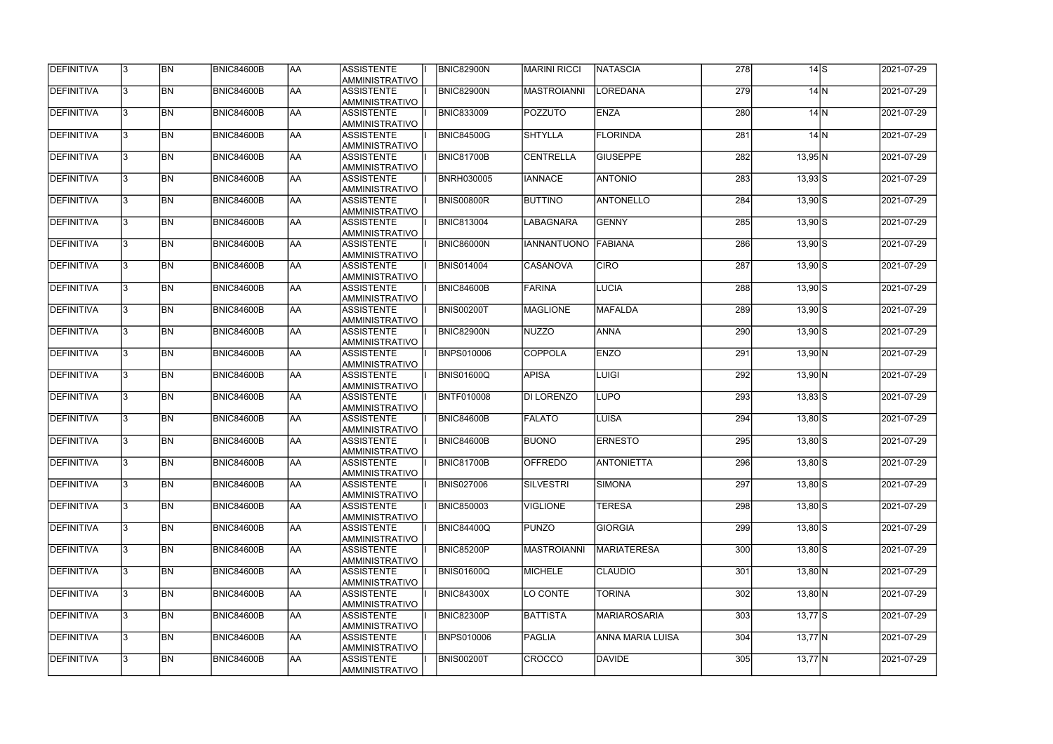| DEFINITIVA        | 13. | <b>BN</b>      | <b>BNIC84600B</b> | <b>AA</b> | ASSISTENTE<br>AMMINISTRATIVO               | <b>BNIC82900N</b> | <b>MARINI RICCI</b> | <b>NATASCIA</b>         | 278              | $\overline{14}$ S | 2021-07-29 |
|-------------------|-----|----------------|-------------------|-----------|--------------------------------------------|-------------------|---------------------|-------------------------|------------------|-------------------|------------|
| DEFINITIVA        | 13. | <b>BN</b>      | <b>BNIC84600B</b> | laa       | <b>ASSISTENTE</b><br>AMMINISTRATIVO        | <b>BNIC82900N</b> | <b>MASTROIANNI</b>  | <b>LOREDANA</b>         | 279              | 14 N              | 2021-07-29 |
| DEFINITIVA        | 13. | <b>BN</b>      | <b>BNIC84600B</b> | laa       | <b>ASSISTENTE</b><br>AMMINISTRATIVO        | <b>BNIC833009</b> | <b>POZZUTO</b>      | <b>ENZA</b>             | 280              | $14$ $N$          | 2021-07-29 |
| DEFINITIVA        | l3. | <b>BN</b>      | <b>BNIC84600B</b> | AA        | <b>ASSISTENTE</b><br>AMMINISTRATIVO        | <b>BNIC84500G</b> | <b>SHTYLLA</b>      | <b>FLORINDA</b>         | $\overline{281}$ | $14$ N            | 2021-07-29 |
| DEFINITIVA        | l3. | <b>BN</b>      | <b>BNIC84600B</b> | <b>AA</b> | <b>ASSISTENTE</b><br>AMMINISTRATIVO        | <b>BNIC81700B</b> | <b>CENTRELLA</b>    | <b>GIUSEPPE</b>         | 282              | $13,95$ N         | 2021-07-29 |
| DEFINITIVA        | l3. | <b>BN</b>      | BNIC84600B        | laa       | <b>ASSISTENTE</b><br>AMMINISTRATIVO        | <b>BNRH030005</b> | <b>IANNACE</b>      | <b>ANTONIO</b>          | 283              | $13,93$ S         | 2021-07-29 |
| <b>DEFINITIVA</b> | 3   | <b>BN</b>      | <b>BNIC84600B</b> | laa       | <b>ASSISTENTE</b><br>AMMINISTRATIVO        | BNIS00800R        | <b>BUTTINO</b>      | <b>ANTONELLO</b>        | 284              | $13,90$ S         | 2021-07-29 |
| DEFINITIVA        |     | <b>BN</b>      | <b>BNIC84600B</b> | laa       | <b>ASSISTENTE</b><br><b>AMMINISTRATIVO</b> | <b>BNIC813004</b> | LABAGNARA           | <b>GENNY</b>            | 285              | $13,90$ S         | 2021-07-29 |
| DEFINITIVA        |     | <b>BN</b>      | <b>BNIC84600B</b> | laa       | <b>ASSISTENTE</b><br>AMMINISTRATIVO        | BNIC86000N        | <b>IANNANTUONO</b>  | <b>FABIANA</b>          | 286              | $13,90$ S         | 2021-07-29 |
| DEFINITIVA        |     | <b>BN</b>      | <b>BNIC84600B</b> | laa       | <b>ASSISTENTE</b><br>AMMINISTRATIVO        | <b>BNIS014004</b> | <b>CASANOVA</b>     | <b>CIRO</b>             | 287              | $13,90$ S         | 2021-07-29 |
| DEFINITIVA        | l3. | <b>BN</b>      | <b>BNIC84600B</b> | AA        | <b>ASSISTENTE</b><br>AMMINISTRATIVO        | <b>BNIC84600B</b> | FARINA              | <b>LUCIA</b>            | 288              | $13,90$ S         | 2021-07-29 |
| DEFINITIVA        | l3. | <b>BN</b>      | <b>BNIC84600B</b> | AA        | <b>ASSISTENTE</b><br>AMMINISTRATIVO        | BNIS00200T        | <b>MAGLIONE</b>     | <b>MAFALDA</b>          | 289              | $13,90$ S         | 2021-07-29 |
| DEFINITIVA        | 3   | <b>BN</b>      | BNIC84600B        | AA        | <b>ASSISTENTE</b><br>AMMINISTRATIVO        | <b>BNIC82900N</b> | NUZZO               | <b>ANNA</b>             | 290              | $13,90$ S         | 2021-07-29 |
| DEFINITIVA        |     | <b>BN</b>      | <b>BNIC84600B</b> | AA        | <b>ASSISTENTE</b><br>AMMINISTRATIVO        | <b>BNPS010006</b> | <b>COPPOLA</b>      | <b>ENZO</b>             | 291              | $13,90$ N         | 2021-07-29 |
| DEFINITIVA        | 3   | <b>BN</b>      | <b>BNIC84600B</b> | laa       | <b>ASSISTENTE</b><br>AMMINISTRATIVO        | <b>BNIS01600Q</b> | <b>APISA</b>        | LUIGI                   | 292              | $13,90$ N         | 2021-07-29 |
| DEFINITIVA        | l3. | <b>BN</b>      | <b>BNIC84600B</b> | laa       | <b>ASSISTENTE</b><br>AMMINISTRATIVO        | <b>BNTF010008</b> | DI LORENZO          | <b>LUPO</b>             | 293              | $13,83$ S         | 2021-07-29 |
| DEFINITIVA        |     | <b>BN</b>      | <b>BNIC84600B</b> | laa       | <b>ASSISTENTE</b><br>AMMINISTRATIVO        | BNIC84600B        | <b>FALATO</b>       | LUISA                   | 294              | $13,80$ S         | 2021-07-29 |
| DEFINITIVA        |     | <b>BN</b>      | <b>BNIC84600B</b> | AA        | <b>ASSISTENTE</b><br>AMMINISTRATIVO        | BNIC84600B        | <b>BUONO</b>        | <b>ERNESTO</b>          | 295              | $13,80$ S         | 2021-07-29 |
| <b>DEFINITIVA</b> | 13  | <b>BN</b>      | <b>BNIC84600B</b> | AA        | <b>ASSISTENTE</b><br>AMMINISTRATIVO        | <b>BNIC81700B</b> | <b>OFFREDO</b>      | <b>ANTONIETTA</b>       | 296              | $13,80$ S         | 2021-07-29 |
| DEFINITIVA        | 13. | <b>BN</b>      | <b>BNIC84600B</b> | AA        | <b>ASSISTENTE</b><br>AMMINISTRATIVO        | <b>BNIS027006</b> | SILVESTRI           | <b>SIMONA</b>           | 297              | $13,80$ S         | 2021-07-29 |
| DEFINITIVA        | I3. | <b>BN</b>      | <b>BNIC84600B</b> | AA        | <b>ASSISTENTE</b><br><b>AMMINISTRATIVO</b> | <b>BNIC850003</b> | <b>VIGLIONE</b>     | <b>TERESA</b>           | 298              | $13,80$ S         | 2021-07-29 |
| DEFINITIVA        | l3. | <b>BN</b>      | <b>BNIC84600B</b> | AA        | <b>ASSISTENTE</b><br>AMMINISTRATIVO        | <b>BNIC84400Q</b> | PUNZO               | <b>GIORGIA</b>          | 299              | $13,80$ S         | 2021-07-29 |
| DEFINITIVA        | 3   | <b>BN</b>      | <b>BNIC84600B</b> | AA        | <b>ASSISTENTE</b><br>AMMINISTRATIVO        | <b>BNIC85200P</b> | <b>MASTROIANNI</b>  | <b>MARIATERESA</b>      | 300              | $13,80$ S         | 2021-07-29 |
| DEFINITIVA        | l3. | <b>BN</b>      | <b>BNIC84600B</b> | AA        | <b>ASSISTENTE</b><br>AMMINISTRATIVO        | BNIS01600Q        | MICHELE             | <b>CLAUDIO</b>          | 301              | $13,80$ N         | 2021-07-29 |
| DEFINITIVA        |     | <b>BN</b>      | <b>BNIC84600B</b> | AA        | <b>ASSISTENTE</b><br>AMMINISTRATIVO        | <b>BNIC84300X</b> | LO CONTE            | <b>TORINA</b>           | 302              | $13,80$ N         | 2021-07-29 |
| DEFINITIVA        | I3. | <b>BN</b>      | BNIC84600B        | AA        | <b>ASSISTENTE</b><br>AMMINISTRATIVO        | BNIC82300P        | <b>BATTISTA</b>     | <b>MARIAROSARIA</b>     | 303              | $13,77$ S         | 2021-07-29 |
| DEFINITIVA        | 13. | <b>BN</b>      | <b>BNIC84600B</b> | AA        | <b>ASSISTENTE</b><br>AMMINISTRATIVO        | <b>BNPS010006</b> | <b>PAGLIA</b>       | <b>ANNA MARIA LUISA</b> | 304              | $13,77$ N         | 2021-07-29 |
| DEFINITIVA        |     | BN <sub></sub> | <b>BNIC84600B</b> | AA        | <b>ASSISTENTE</b><br>AMMINISTRATIVO        | <b>BNIS00200T</b> | <b>CROCCO</b>       | DAVIDE                  | 305              | $13,77$ N         | 2021-07-29 |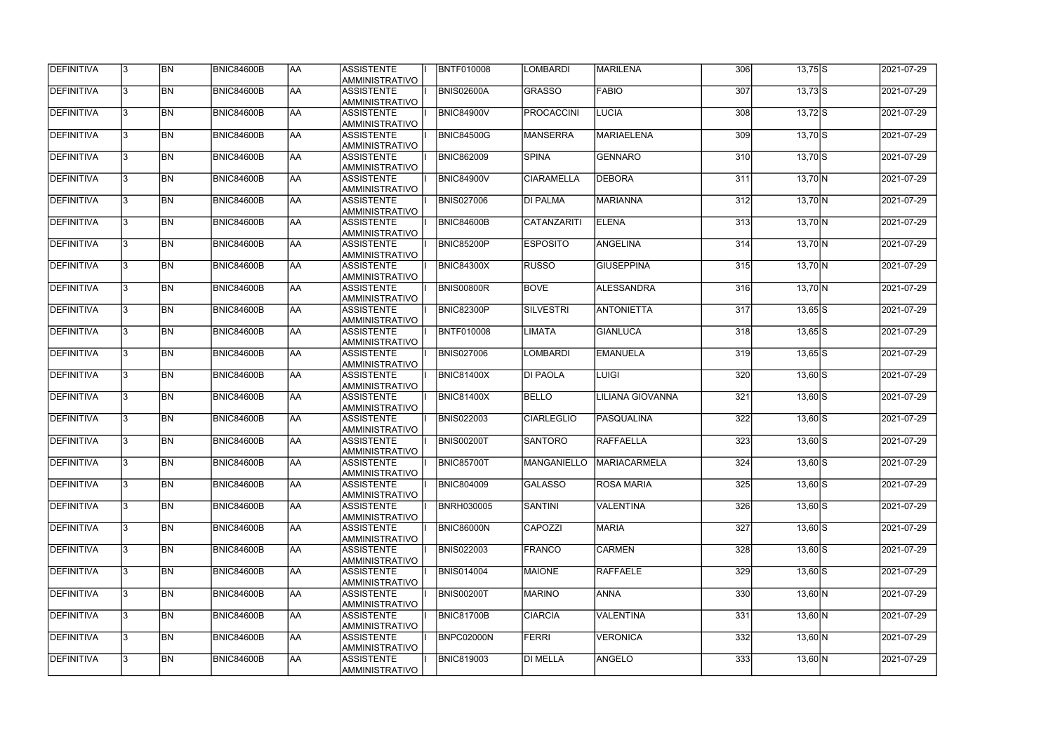| DEFINITIVA        | 13.          | <b>BN</b> | <b>BNIC84600B</b> | laa        | ASSISTENTE<br><b>AMMINISTRATIVO</b>        | <b>BNTF010008</b> | LOMBARDI          | <b>MARILENA</b>          | 306 | $13,75$ S    | 2021-07-29 |
|-------------------|--------------|-----------|-------------------|------------|--------------------------------------------|-------------------|-------------------|--------------------------|-----|--------------|------------|
| DEFINITIVA        | 3            | <b>BN</b> | <b>BNIC84600B</b> | <b>AA</b>  | <b>ASSISTENTE</b><br>AMMINISTRATIVO        | <b>BNIS02600A</b> | <b>GRASSO</b>     | <b>FABIO</b>             | 307 | $13,73$ $S$  | 2021-07-29 |
| DEFINITIVA        | 3            | <b>BN</b> | <b>BNIC84600B</b> | <b>AA</b>  | <b>ASSISTENTE</b><br>AMMINISTRATIVO        | <b>BNIC84900V</b> | <b>PROCACCINI</b> | <b>LUCIA</b>             | 308 | $13,72$ S    | 2021-07-29 |
| DEFINITIVA        |              | <b>BN</b> | <b>BNIC84600B</b> | AA         | <b>ASSISTENTE</b><br>AMMINISTRATIVO        | <b>BNIC84500G</b> | MANSERRA          | <b>MARIAELENA</b>        | 309 | $13,70$ S    | 2021-07-29 |
| <b>DEFINITIVA</b> | 3            | <b>BN</b> | BNIC84600B        | <b>AA</b>  | <b>ASSISTENTE</b><br>AMMINISTRATIVO        | <b>BNIC862009</b> | <b>SPINA</b>      | <b>GENNARO</b>           | 310 | $13,70$ S    | 2021-07-29 |
| <b>DEFINITIVA</b> |              | <b>BN</b> | BNIC84600B        | AA         | <b>ASSISTENTE</b><br>AMMINISTRATIVO        | <b>BNIC84900V</b> | <b>CIARAMELLA</b> | <b>DEBORA</b>            | 311 | $13,70$ N    | 2021-07-29 |
| DEFINITIVA        |              | <b>BN</b> | <b>BNIC84600B</b> | <b>AA</b>  | <b>ASSISTENTE</b><br><b>AMMINISTRATIVO</b> | <b>BNIS027006</b> | <b>DI PALMA</b>   | <b>MARIANNA</b>          | 312 | $13,70$ N    | 2021-07-29 |
| DEFINITIVA        |              | <b>BN</b> | <b>BNIC84600B</b> | AA         | <b>ASSISTENTE</b><br>AMMINISTRATIVO        | <b>BNIC84600B</b> | CATANZARITI       | <b>ELENA</b>             | 313 | $13,70$ N    | 2021-07-29 |
| DEFINITIVA        |              | <b>BN</b> | BNIC84600B        | AA         | <b>ASSISTENTE</b><br>AMMINISTRATIVO        | <b>BNIC85200P</b> | <b>ESPOSITO</b>   | <b>ANGELINA</b>          | 314 | $13,70$ N    | 2021-07-29 |
| DEFINITIVA        |              | <b>BN</b> | <b>BNIC84600B</b> | laa        | <b>ASSISTENTE</b><br>AMMINISTRATIVO        | <b>BNIC84300X</b> | <b>RUSSO</b>      | <b>GIUSEPPINA</b>        | 315 | $13,70\,N$   | 2021-07-29 |
| <b>DEFINITIVA</b> | 3            | <b>BN</b> | <b>BNIC84600B</b> | <b>AA</b>  | <b>ASSISTENTE</b><br>AMMINISTRATIVO        | <b>BNIS00800R</b> | <b>BOVE</b>       | <b>ALESSANDRA</b>        | 316 | $13,70$ N    | 2021-07-29 |
| DEFINITIVA        |              | <b>BN</b> | BNIC84600B        | AA         | <b>ASSISTENTE</b><br>AMMINISTRATIVO        | <b>BNIC82300P</b> | SILVESTRI         | <b>ANTONIETTA</b>        | 317 | $13,65$ S    | 2021-07-29 |
| DEFINITIVA        |              | <b>BN</b> | <b>BNIC84600B</b> | AA         | <b>ASSISTENTE</b><br>AMMINISTRATIVO        | BNTF010008        | LIMATA            | <b>GIANLUCA</b>          | 318 | $13,65$ S    | 2021-07-29 |
| DEFINITIVA        |              | <b>BN</b> | BNIC84600B        | <b>AA</b>  | <b>ASSISTENTE</b><br>AMMINISTRATIVO        | <b>BNIS027006</b> | <b>LOMBARDI</b>   | <b>EMANUELA</b>          | 319 | $13,65$ S    | 2021-07-29 |
| DEFINITIVA        |              | <b>BN</b> | <b>BNIC84600B</b> | <b>AA</b>  | <b>ASSISTENTE</b><br><b>AMMINISTRATIVO</b> | <b>BNIC81400X</b> | <b>DI PAOLA</b>   | <b>LUIGI</b>             | 320 | $13,60$ $S$  | 2021-07-29 |
| DEFINITIVA        |              | <b>BN</b> | <b>BNIC84600B</b> | <b>AA</b>  | <b>ASSISTENTE</b><br>AMMINISTRATIVO        | <b>BNIC81400X</b> | <b>BELLO</b>      | <b>ILIANA GIOVANNA</b>   | 321 | $13,60$ $S$  | 2021-07-29 |
| DEFINITIVA        |              | <b>BN</b> | <b>BNIC84600B</b> | AA         | <b>ASSISTENTE</b><br>AMMINISTRATIVO        | <b>BNIS022003</b> | <b>CIARLEGLIO</b> | PASQUALINA               | 322 | $13,60$ S    | 2021-07-29 |
| DEFINITIVA        |              | <b>BN</b> | <b>BNIC84600B</b> | <b>AA</b>  | <b>ASSISTENTE</b><br>AMMINISTRATIVO        | <b>BNIS00200T</b> | <b>SANTORO</b>    | <b>RAFFAELLA</b>         | 323 | $13,60$ S    | 2021-07-29 |
| DEFINITIVA        | 13           | BN        | <b>BNIC84600B</b> | <b>JAA</b> | <b>ASSISTENTE</b><br>AMMINISTRATIVO        | <b>BNIC85700T</b> |                   | MANGANIELLO MARIACARMELA | 324 | $13,60$ S    | 2021-07-29 |
| <b>DEFINITIVA</b> |              | <b>BN</b> | BNIC84600B        | <b>AA</b>  | <b>ASSISTENTE</b><br>AMMINISTRATIVO        | <b>BNIC804009</b> | <b>GALASSO</b>    | <b>ROSA MARIA</b>        | 325 | $13,60$ S    | 2021-07-29 |
| <b>DEFINITIVA</b> | $\mathbf{3}$ | <b>BN</b> | BNIC84600B        | AA         | <b>ASSISTENTE</b><br>AMMINISTRATIVO        | BNRH030005        | <b>SANTINI</b>    | <b>VALENTINA</b>         | 326 | $13,60$ S    | 2021-07-29 |
| <b>DEFINITIVA</b> |              | <b>BN</b> | BNIC84600B        | <b>AA</b>  | <b>ASSISTENTE</b><br>AMMINISTRATIVO        | <b>BNIC86000N</b> | <b>CAPOZZI</b>    | <b>MARIA</b>             | 327 | $13,60$ S    | 2021-07-29 |
| <b>DEFINITIVA</b> |              | BN        | BNIC84600B        | AA         | <b>ASSISTENTE</b><br>AMMINISTRATIVO        | <b>BNIS022003</b> | FRANCO            | <b>CARMEN</b>            | 328 | $13,60$ S    | 2021-07-29 |
| DEFINITIVA        |              | <b>BN</b> | BNIC84600B        | <b>AA</b>  | <b>ASSISTENTE</b><br>AMMINISTRATIVO        | <b>BNIS014004</b> | MAIONE            | <b>RAFFAELE</b>          | 329 | $13,60$ S    | 2021-07-29 |
| DEFINITIVA        |              | <b>BN</b> | BNIC84600B        | <b>AA</b>  | ASSISTENTE<br>AMMINISTRATIVO               | <b>BNIS00200T</b> | <b>MARINO</b>     | <b>ANNA</b>              | 330 | $13,60 \, N$ | 2021-07-29 |
| DEFINITIVA        |              | <b>BN</b> | BNIC84600B        | <b>AA</b>  | ASSISTENTE<br>AMMINISTRATIVO               | <b>BNIC81700B</b> | <b>CIARCIA</b>    | <b>VALENTINA</b>         | 331 | $13,60 \, N$ | 2021-07-29 |
| DEFINITIVA        |              | <b>BN</b> | BNIC84600B        | <b>AA</b>  | ASSISTENTE<br>AMMINISTRATIVO               | <b>BNPC02000N</b> | FERRI             | <b>VERONICA</b>          | 332 | $13,60 \, N$ | 2021-07-29 |
| <b>DEFINITIVA</b> |              | <b>BN</b> | BNIC84600B        | <b>AA</b>  | <b>ASSISTENTE</b><br>AMMINISTRATIVO        | <b>BNIC819003</b> | DI MELLA          | ANGELO                   | 333 | $13,60$ N    | 2021-07-29 |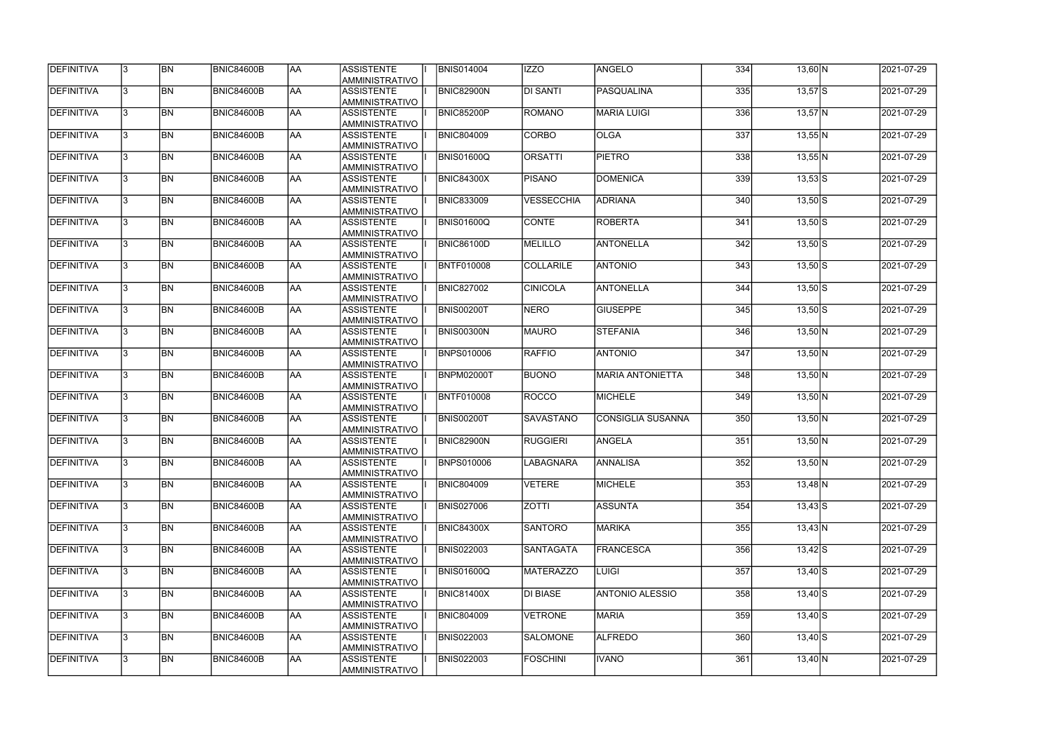| DEFINITIVA        | 13.          | <b>BN</b> | <b>BNIC84600B</b> | <b>AA</b> | <b>ASSISTENTE</b><br>AMMINISTRATIVO        | <b>BNIS014004</b> | <b>IZZO</b>      | ANGELO                   | 334 | $13,60$ N    | 2021-07-29 |
|-------------------|--------------|-----------|-------------------|-----------|--------------------------------------------|-------------------|------------------|--------------------------|-----|--------------|------------|
| <b>DEFINITIVA</b> | l3.          | <b>BN</b> | BNIC84600B        | AA        | <b>ASSISTENTE</b><br>AMMINISTRATIVO        | <b>BNIC82900N</b> | <b>DI SANTI</b>  | <b>PASQUALINA</b>        | 335 | $13,57$ S    | 2021-07-29 |
| DEFINITIVA        |              | <b>BN</b> | <b>BNIC84600B</b> | <b>AA</b> | <b>ASSISTENTE</b><br>AMMINISTRATIVO        | <b>BNIC85200P</b> | ROMANO           | <b>MARIA LUIGI</b>       | 336 | $13,57$ N    | 2021-07-29 |
| <b>DEFINITIVA</b> | $\mathbf{3}$ | <b>BN</b> | BNIC84600B        | <b>AA</b> | <b>ASSISTENTE</b><br>AMMINISTRATIVO        | <b>BNIC804009</b> | <b>CORBO</b>     | <b>OLGA</b>              | 337 | $13,55$ N    | 2021-07-29 |
| <b>DEFINITIVA</b> |              | <b>BN</b> | BNIC84600B        | AA        | <b>ASSISTENTE</b><br><b>AMMINISTRATIVO</b> | <b>BNIS01600Q</b> | <b>ORSATTI</b>   | <b>PIETRO</b>            | 338 | $13,55$ N    | 2021-07-29 |
| DEFINITIVA        |              | <b>BN</b> | BNIC84600B        | AA        | <b>ASSISTENTE</b><br><b>AMMINISTRATIVO</b> | <b>BNIC84300X</b> | <b>PISANO</b>    | <b>DOMENICA</b>          | 339 | $13,53$ S    | 2021-07-29 |
| DEFINITIVA        |              | <b>BN</b> | <b>BNIC84600B</b> | <b>AA</b> | <b>ASSISTENTE</b><br><b>AMMINISTRATIVO</b> | <b>BNIC833009</b> | VESSECCHIA       | ADRIANA                  | 340 | $13,50$ S    | 2021-07-29 |
| DEFINITIVA        |              | <b>BN</b> | BNIC84600B        | <b>AA</b> | <b>ASSISTENTE</b><br>AMMINISTRATIVO        | <b>BNIS01600Q</b> | <b>CONTE</b>     | <b>ROBERTA</b>           | 341 | $13,50$ S    | 2021-07-29 |
| DEFINITIVA        |              | <b>BN</b> | <b>BNIC84600B</b> | <b>AA</b> | <b>ASSISTENTE</b><br>AMMINISTRATIVO        | <b>BNIC86100D</b> | MELILLO          | <b>ANTONELLA</b>         | 342 | $13,50$ S    | 2021-07-29 |
| DEFINITIVA        |              | <b>BN</b> | BNIC84600B        | <b>AA</b> | <b>ASSISTENTE</b><br>AMMINISTRATIVO        | BNTF010008        | <b>COLLARILE</b> | <b>ANTONIO</b>           | 343 | $13,50$ S    | 2021-07-29 |
| DEFINITIVA        |              | <b>BN</b> | <b>BNIC84600B</b> | <b>AA</b> | <b>ASSISTENTE</b><br>AMMINISTRATIVO        | <b>BNIC827002</b> | <b>CINICOLA</b>  | ANTONELLA                | 344 | $13,50$ S    | 2021-07-29 |
| DEFINITIVA        |              | <b>BN</b> | BNIC84600B        | <b>AA</b> | <b>ASSISTENTE</b><br>AMMINISTRATIVO        | <b>BNIS00200T</b> | NERO             | <b>GIUSEPPE</b>          | 345 | $13,50$ S    | 2021-07-29 |
| DEFINITIVA        |              | <b>BN</b> | <b>BNIC84600B</b> | <b>AA</b> | <b>ASSISTENTE</b><br>AMMINISTRATIVO        | <b>BNIS00300N</b> | <b>MAURO</b>     | STEFANIA                 | 346 | $13,50$ N    | 2021-07-29 |
| DEFINITIVA        |              | <b>BN</b> | <b>BNIC84600B</b> | <b>AA</b> | <b>ASSISTENTE</b><br><b>AMMINISTRATIVO</b> | <b>BNPS010006</b> | RAFFIO           | <b>ANTONIO</b>           | 347 | $13,50$ N    | 2021-07-29 |
| DEFINITIVA        |              | <b>BN</b> | <b>BNIC84600B</b> | <b>AA</b> | <b>ASSISTENTE</b><br><b>AMMINISTRATIVO</b> | <b>BNPM02000T</b> | <b>BUONO</b>     | <b>MARIA ANTONIETTA</b>  | 348 | $13,50$ N    | 2021-07-29 |
| DEFINITIVA        |              | <b>BN</b> | BNIC84600B        | laa       | <b>ASSISTENTE</b><br>AMMINISTRATIVO        | BNTF010008        | ROCCO            | <b>MICHELE</b>           | 349 | $13,50$ N    | 2021-07-29 |
| DEFINITIVA        | 3            | <b>BN</b> | BNIC84600B        | laa       | <b>ASSISTENTE</b><br>AMMINISTRATIVO        | <b>BNIS00200T</b> | <b>SAVASTANO</b> | <b>CONSIGLIA SUSANNA</b> | 350 | $13,50$ N    | 2021-07-29 |
| DEFINITIVA        |              | <b>BN</b> | BNIC84600B        | <b>AA</b> | <b>ASSISTENTE</b><br>AMMINISTRATIVO        | <b>BNIC82900N</b> | <b>RUGGIERI</b>  | ANGELA                   | 351 | $13,50$ N    | 2021-07-29 |
| <b>DEFINITIVA</b> | 13.          | <b>BN</b> | <b>BNIC84600B</b> | AA        | <b>ASSISTENTE</b><br>AMMINISTRATIVO        | <b>BNPS010006</b> | LABAGNARA        | <b>ANNALISA</b>          | 352 | $13,50$ N    | 2021-07-29 |
| <b>DEFINITIVA</b> | $\mathbf{3}$ | <b>BN</b> | BNIC84600B        | <b>AA</b> | ASSISTENTE<br>AMMINISTRATIVO               | <b>BNIC804009</b> | <b>VETERE</b>    | <b>MICHELE</b>           | 353 | $13,48$ N    | 2021-07-29 |
| <b>DEFINITIVA</b> | 13.          | <b>BN</b> | BNIC84600B        | AA        | <b>ASSISTENTE</b><br>AMMINISTRATIVO        | <b>BNIS027006</b> | <b>ZOTTI</b>     | <b>ASSUNTA</b>           | 354 | $13,43$ S    | 2021-07-29 |
| DEFINITIVA        |              | <b>BN</b> | BNIC84600B        | <b>AA</b> | <b>ASSISTENTE</b><br>AMMINISTRATIVO        | <b>BNIC84300X</b> | <b>SANTORO</b>   | <b>MARIKA</b>            | 355 | 13,43 N      | 2021-07-29 |
| DEFINITIVA        |              | <b>BN</b> | BNIC84600B        | <b>AA</b> | <b>ASSISTENTE</b><br>AMMINISTRATIVO        | <b>BNIS022003</b> | SANTAGATA        | <b>FRANCESCA</b>         | 356 | $13,42$ $S$  | 2021-07-29 |
| DEFINITIVA        |              | <b>BN</b> | BNIC84600B        | <b>AA</b> | <b>ASSISTENTE</b><br>AMMINISTRATIVO        | <b>BNIS01600Q</b> | <b>MATERAZZO</b> | LUIGI                    | 357 | $13,40$ S    | 2021-07-29 |
| DEFINITIVA        |              | <b>BN</b> | BNIC84600B        | <b>AA</b> | ASSISTENTE<br>AMMINISTRATIVO               | <b>BNIC81400X</b> | DI BIASE         | <b>ANTONIO ALESSIO</b>   | 358 | $13,40$ S    | 2021-07-29 |
| DEFINITIVA        |              | <b>BN</b> | BNIC84600B        | <b>AA</b> | ASSISTENTE<br>AMMINISTRATIVO               | <b>BNIC804009</b> | <b>VETRONE</b>   | <b>MARIA</b>             | 359 | $13,40$ S    | 2021-07-29 |
| <b>DEFINITIVA</b> | l3.          | <b>BN</b> | BNIC84600B        | <b>AA</b> | ASSISTENTE<br>AMMINISTRATIVO               | <b>BNIS022003</b> | <b>SALOMONE</b>  | <b>ALFREDO</b>           | 360 | $13,40$ $S$  | 2021-07-29 |
| <b>DEFINITIVA</b> |              | <b>BN</b> | BNIC84600B        | <b>AA</b> | <b>ASSISTENTE</b><br>AMMINISTRATIVO        | <b>BNIS022003</b> | <b>FOSCHINI</b>  | <b>IVANO</b>             | 361 | $13,40 \, N$ | 2021-07-29 |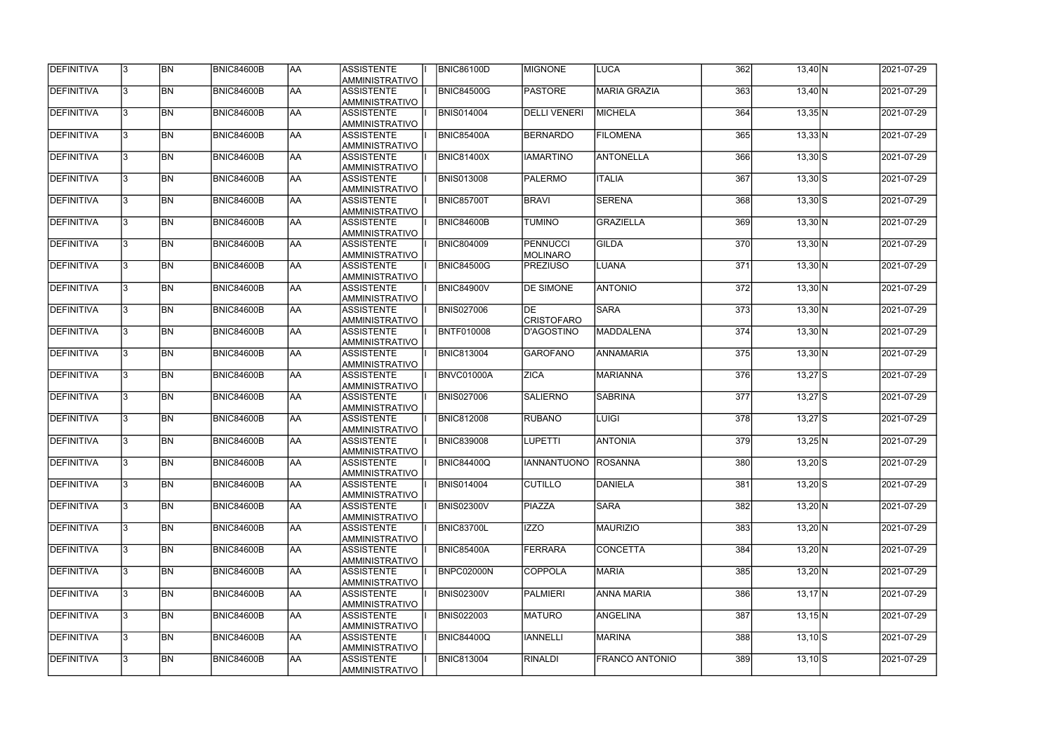| DEFINITIVA         | 13.          | <b>BN</b> | <b>BNIC84600B</b> | <b>AA</b> | <b>ASSISTENTE</b><br>AMMINISTRATIVO        | <b>BNIC86100D</b> | <b>MIGNONE</b>                  | <b>LUCA</b>         | 362 | $13,40$ N        | 2021-07-29 |
|--------------------|--------------|-----------|-------------------|-----------|--------------------------------------------|-------------------|---------------------------------|---------------------|-----|------------------|------------|
| <b>DEFINITIVA</b>  | l3.          | <b>BN</b> | BNIC84600B        | <b>AA</b> | <b>ASSISTENTE</b><br>AMMINISTRATIVO        | <b>BNIC84500G</b> | <b>PASTORE</b>                  | <b>MARIA GRAZIA</b> | 363 | $13,40$ N        | 2021-07-29 |
| DEFINITIVA         |              | <b>BN</b> | <b>BNIC84600B</b> | <b>AA</b> | <b>ASSISTENTE</b><br>AMMINISTRATIVO        | <b>BNIS014004</b> | <b>DELLI VENERI</b>             | <b>MICHELA</b>      | 364 | $13,35$ N        | 2021-07-29 |
| <b>DEFINITIVA</b>  | $\mathbf{3}$ | <b>BN</b> | BNIC84600B        | <b>AA</b> | <b>ASSISTENTE</b><br>AMMINISTRATIVO        | <b>BNIC85400A</b> | BERNARDO                        | <b>FILOMENA</b>     | 365 | $13,33$ N        | 2021-07-29 |
| <b>DEFINITIVA</b>  |              | <b>BN</b> | BNIC84600B        | AA        | <b>ASSISTENTE</b><br><b>AMMINISTRATIVO</b> | <b>BNIC81400X</b> | <b>IAMARTINO</b>                | ANTONELLA           | 366 | $13,30$ S        | 2021-07-29 |
| DEFINITIVA         |              | <b>BN</b> | BNIC84600B        | AA        | <b>ASSISTENTE</b><br><b>AMMINISTRATIVO</b> | <b>BNIS013008</b> | PALERMO                         | <b>ITALIA</b>       | 367 | $13,30$ S        | 2021-07-29 |
| DEFINITIVA         |              | <b>BN</b> | <b>BNIC84600B</b> | <b>AA</b> | <b>ASSISTENTE</b><br><b>AMMINISTRATIVO</b> | <b>BNIC85700T</b> | <b>BRAVI</b>                    | <b>SERENA</b>       | 368 | $13,30$ S        | 2021-07-29 |
| DEFINITIVA         |              | <b>BN</b> | BNIC84600B        | <b>AA</b> | <b>ASSISTENTE</b><br>AMMINISTRATIVO        | <b>BNIC84600B</b> | <b>TUMINO</b>                   | <b>GRAZIELLA</b>    | 369 | $13,30$ N        | 2021-07-29 |
| DEFINITIVA         |              | <b>BN</b> | <b>BNIC84600B</b> | <b>AA</b> | <b>ASSISTENTE</b><br>AMMINISTRATIVO        | <b>BNIC804009</b> | <b>PENNUCCI</b><br>MOLINARO     | <b>GILDA</b>        | 370 | $13,30 \, N$     | 2021-07-29 |
| DEFINITIVA         |              | <b>BN</b> | BNIC84600B        | <b>AA</b> | <b>ASSISTENTE</b><br>AMMINISTRATIVO        | <b>BNIC84500G</b> | <b>PREZIUSO</b>                 | <b>LUANA</b>        | 371 | $13,30$ N        | 2021-07-29 |
| DEFINITIVA         |              | <b>BN</b> | BNIC84600B        | <b>AA</b> | <b>ASSISTENTE</b><br>AMMINISTRATIVO        | <b>BNIC84900V</b> | <b>IDE SIMONE</b>               | <b>ANTONIO</b>      | 372 | $13,30$ N        | 2021-07-29 |
| <b>IDEFINITIVA</b> |              | <b>BN</b> | BNIC84600B        | <b>AA</b> | <b>ASSISTENTE</b><br>AMMINISTRATIVO        | <b>BNIS027006</b> | <b>IDE</b><br><b>CRISTOFARO</b> | <b>SARA</b>         | 373 | $13,30 \ N$      | 2021-07-29 |
| DEFINITIVA         |              | <b>BN</b> | BNIC84600B        | <b>AA</b> | <b>ASSISTENTE</b><br>AMMINISTRATIVO        | BNTF010008        | D'AGOSTINO                      | <b>MADDALENA</b>    | 374 | $13,30 \text{N}$ | 2021-07-29 |
| DEFINITIVA         |              | <b>BN</b> | <b>BNIC84600B</b> | <b>AA</b> | <b>ASSISTENTE</b><br><b>AMMINISTRATIVO</b> | <b>BNIC813004</b> | <b>GAROFANO</b>                 | <b>ANNAMARIA</b>    | 375 | $13,30$ N        | 2021-07-29 |
| DEFINITIVA         |              | <b>BN</b> | BNIC84600B        | <b>AA</b> | <b>ASSISTENTE</b><br>AMMINISTRATIVO        | <b>BNVC01000A</b> | <b>ZICA</b>                     | <b>MARIANNA</b>     | 376 | $13,27$ S        | 2021-07-29 |
| DEFINITIVA         |              | <b>BN</b> | BNIC84600B        | laa       | <b>ASSISTENTE</b><br>AMMINISTRATIVO        | <b>BNIS027006</b> | <b>SALIERNO</b>                 | <b>SABRINA</b>      | 377 | $13,27$ S        | 2021-07-29 |
| DEFINITIVA         | 3            | <b>BN</b> | BNIC84600B        | laa       | <b>ASSISTENTE</b><br>AMMINISTRATIVO        | <b>BNIC812008</b> | <b>RUBANO</b>                   | <b>LUIGI</b>        | 378 | $13,27$ S        | 2021-07-29 |
| DEFINITIVA         |              | <b>BN</b> | BNIC84600B        | <b>AA</b> | <b>ASSISTENTE</b><br>AMMINISTRATIVO        | <b>BNIC839008</b> | <b>LUPETTI</b>                  | <b>ANTONIA</b>      | 379 | $13,25$ N        | 2021-07-29 |
| DEFINITIVA         | 13.          | <b>BN</b> | <b>BNIC84600B</b> | AA        | <b>ASSISTENTE</b><br>AMMINISTRATIVO        | <b>BNIC84400Q</b> | IANNANTUONO ROSANNA             |                     | 380 | $13,20$ S        | 2021-07-29 |
| <b>DEFINITIVA</b>  | $\mathbf{3}$ | <b>BN</b> | BNIC84600B        | <b>AA</b> | ASSISTENTE<br>AMMINISTRATIVO               | <b>BNIS014004</b> | <b>CUTILLO</b>                  | DANIELA             | 381 | $13,20$ S        | 2021-07-29 |
| <b>DEFINITIVA</b>  | 13.          | <b>BN</b> | BNIC84600B        | AA        | <b>ASSISTENTE</b><br>AMMINISTRATIVO        | <b>BNIS02300V</b> | PIAZZA                          | <b>SARA</b>         | 382 | $13,20$ N        | 2021-07-29 |
| DEFINITIVA         |              | <b>BN</b> | BNIC84600B        | <b>AA</b> | <b>ASSISTENTE</b><br>AMMINISTRATIVO        | <b>BNIC83700L</b> | <b>IZZO</b>                     | <b>MAURIZIO</b>     | 383 | $13,20 \text{N}$ | 2021-07-29 |
| DEFINITIVA         |              | <b>BN</b> | BNIC84600B        | <b>AA</b> | <b>ASSISTENTE</b><br>AMMINISTRATIVO        | <b>BNIC85400A</b> | FERRARA                         | <b>CONCETTA</b>     | 384 | $13,20 \, N$     | 2021-07-29 |
| DEFINITIVA         |              | <b>BN</b> | BNIC84600B        | <b>AA</b> | <b>ASSISTENTE</b><br>AMMINISTRATIVO        | <b>BNPC02000N</b> | <b>COPPOLA</b>                  | <b>MARIA</b>        | 385 | $13,20 \, N$     | 2021-07-29 |
| DEFINITIVA         |              | <b>BN</b> | BNIC84600B        | <b>AA</b> | ASSISTENTE<br>AMMINISTRATIVO               | <b>BNIS02300V</b> | PALMIERI                        | <b>ANNA MARIA</b>   | 386 | $13,17$ N        | 2021-07-29 |
| DEFINITIVA         |              | <b>BN</b> | BNIC84600B        | <b>AA</b> | ASSISTENTE<br>AMMINISTRATIVO               | <b>BNIS022003</b> | <b>MATURO</b>                   | ANGELINA            | 387 | $13,15$ N        | 2021-07-29 |
| <b>DEFINITIVA</b>  | l3.          | <b>BN</b> | BNIC84600B        | <b>AA</b> | ASSISTENTE<br>AMMINISTRATIVO               | <b>BNIC84400Q</b> | <b>IANNELLI</b>                 | <b>MARINA</b>       | 388 | $13,10$ S        | 2021-07-29 |
| <b>DEFINITIVA</b>  |              | <b>BN</b> | BNIC84600B        | <b>AA</b> | <b>ASSISTENTE</b><br>AMMINISTRATIVO        | <b>BNIC813004</b> | <b>RINALDI</b>                  | FRANCO ANTONIO      | 389 | $13,10$ S        | 2021-07-29 |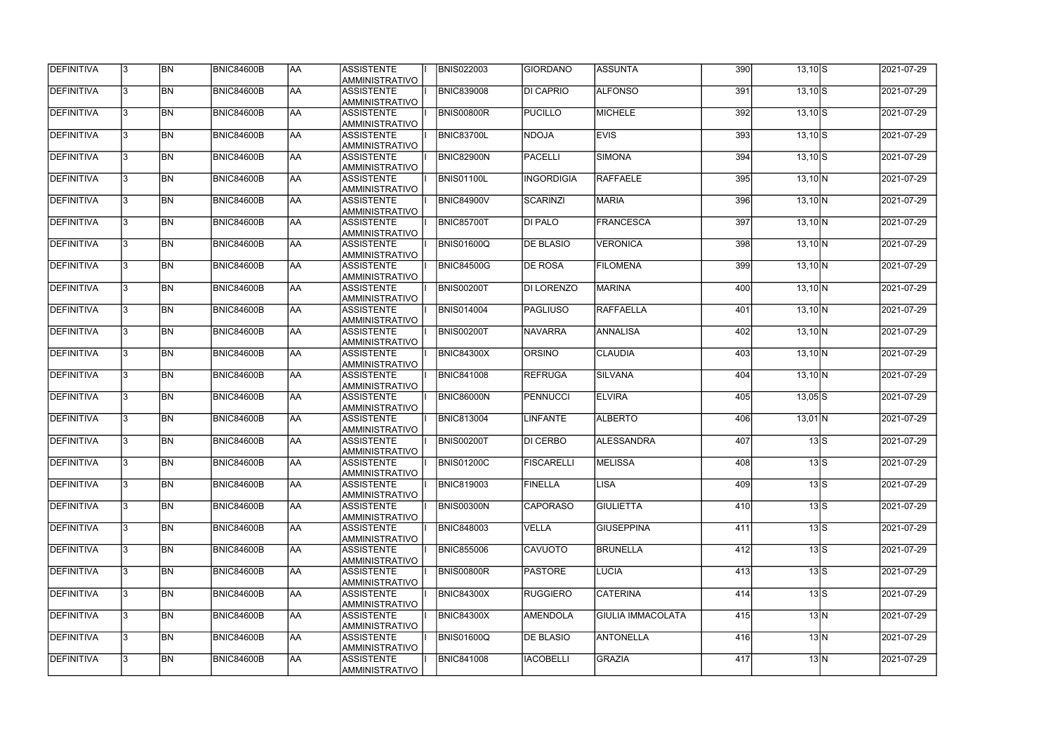| <b>DEFINITIVA</b> | 13. | <b>BN</b> | <b>BNIC84600B</b> | AA        | <b>ASSISTENTE</b><br>AMMINISTRATIVO        | <b>BNIS022003</b> | <b>GIORDANO</b>   | <b>ASSUNTA</b>           | 390 | $13,10$ S       |                   | 2021-07-29 |
|-------------------|-----|-----------|-------------------|-----------|--------------------------------------------|-------------------|-------------------|--------------------------|-----|-----------------|-------------------|------------|
| <b>DEFINITIVA</b> | 13. | <b>BN</b> | <b>BNIC84600B</b> | laa       | <b>ASSISTENTE</b><br>AMMINISTRATIVO        | <b>BNIC839008</b> | <b>DI CAPRIO</b>  | <b>ALFONSO</b>           | 391 | $13,10$ S       |                   | 2021-07-29 |
| DEFINITIVA        | l3. | <b>BN</b> | <b>BNIC84600B</b> | AA        | <b>ASSISTENTE</b><br>AMMINISTRATIVO        | <b>BNIS00800R</b> | PUCILLO           | <b>MICHELE</b>           | 392 | $13,10$ S       |                   | 2021-07-29 |
| <b>DEFINITIVA</b> | l3. | <b>BN</b> | BNIC84600B        | <b>AA</b> | <b>ASSISTENTE</b><br>AMMINISTRATIVO        | BNIC83700L        | <b>NDOJA</b>      | <b>EVIS</b>              | 393 | $13,10$ S       |                   | 2021-07-29 |
| DEFINITIVA        | l3. | <b>BN</b> | <b>BNIC84600B</b> | laa       | <b>ASSISTENTE</b><br>AMMINISTRATIVO        | BNIC82900N        | PACELLI           | <b>SIMONA</b>            | 394 | $13,10$ S       |                   | 2021-07-29 |
| DEFINITIVA        | 3   | <b>BN</b> | <b>BNIC84600B</b> | laa       | <b>ASSISTENTE</b><br>AMMINISTRATIVO        | <b>BNIS01100L</b> | <b>INGORDIGIA</b> | <b>RAFFAELE</b>          | 395 | $13,10$ N       |                   | 2021-07-29 |
| DEFINITIVA        |     | <b>BN</b> | <b>BNIC84600B</b> | laa       | <b>ASSISTENTE</b><br><b>AMMINISTRATIVO</b> | <b>BNIC84900V</b> | SCARINZI          | <b>MARIA</b>             | 396 | $13,10\ N$      |                   | 2021-07-29 |
| DEFINITIVA        |     | <b>BN</b> | <b>BNIC84600B</b> | laa       | <b>ASSISTENTE</b><br>AMMINISTRATIVO        | BNIC85700T        | <b>DI PALO</b>    | <b>FRANCESCA</b>         | 397 | $13,10$ N       |                   | 2021-07-29 |
| DEFINITIVA        |     | <b>BN</b> | <b>BNIC84600B</b> | AA        | <b>ASSISTENTE</b><br>AMMINISTRATIVO        | <b>BNIS01600Q</b> | <b>DE BLASIO</b>  | <b>VERONICA</b>          | 398 | $13,10$ N       |                   | 2021-07-29 |
| DEFINITIVA        | l3. | <b>BN</b> | <b>BNIC84600B</b> | laa       | <b>ASSISTENTE</b><br>AMMINISTRATIVO        | <b>BNIC84500G</b> | <b>DE ROSA</b>    | <b>FILOMENA</b>          | 399 | $13,10\,N$      |                   | 2021-07-29 |
| DEFINITIVA        | l3. | <b>BN</b> | <b>BNIC84600B</b> | AA        | <b>ASSISTENTE</b><br>AMMINISTRATIVO        | BNIS00200T        | DI LORENZO        | <b>MARINA</b>            | 400 | $13,10\,N$      |                   | 2021-07-29 |
| DEFINITIVA        | 3   | <b>BN</b> | <b>BNIC84600B</b> | <b>AA</b> | <b>ASSISTENTE</b><br>AMMINISTRATIVO        | <b>BNIS014004</b> | <b>PAGLIUSO</b>   | <b>RAFFAELLA</b>         | 401 | $13,10\,N$      |                   | 2021-07-29 |
| DEFINITIVA        | 3   | <b>BN</b> | <b>BNIC84600B</b> | AA        | <b>ASSISTENTE</b><br>AMMINISTRATIVO        | <b>BNIS00200T</b> | <b>NAVARRA</b>    | <b>ANNALISA</b>          | 402 | $13,10$ N       |                   | 2021-07-29 |
| DEFINITIVA        | 3   | <b>BN</b> | <b>BNIC84600B</b> | AA        | <b>ASSISTENTE</b><br>AMMINISTRATIVO        | <b>BNIC84300X</b> | <b>ORSINO</b>     | <b>CLAUDIA</b>           | 403 | $13,10 \ N$     |                   | 2021-07-29 |
| DEFINITIVA        |     | <b>BN</b> | <b>BNIC84600B</b> | laa       | <b>ASSISTENTE</b><br><b>AMMINISTRATIVO</b> | <b>BNIC841008</b> | <b>REFRUGA</b>    | <b>SILVANA</b>           | 404 | $13,10\,N$      |                   | 2021-07-29 |
| DEFINITIVA        | 3   | <b>BN</b> | <b>BNIC84600B</b> | laa       | <b>ASSISTENTE</b><br>AMMINISTRATIVO        | <b>BNIC86000N</b> | PENNUCCI          | <b>ELVIRA</b>            | 405 | $13,05$ $S$     |                   | 2021-07-29 |
| DEFINITIVA        | l3. | <b>BN</b> | <b>BNIC84600B</b> | laa       | <b>ASSISTENTE</b><br>AMMINISTRATIVO        | <b>BNIC813004</b> | <b>LINFANTE</b>   | ALBERTO                  | 406 | $13,01$ N       |                   | 2021-07-29 |
| DEFINITIVA        | 3   | <b>BN</b> | <b>BNIC84600B</b> | AA        | <b>ASSISTENTE</b><br>AMMINISTRATIVO        | <b>BNIS00200T</b> | DI CERBO          | ALESSANDRA               | 407 | 13 <sub>S</sub> |                   | 2021-07-29 |
| DEFINITIVA        | 13  | <b>BN</b> | <b>BNIC84600B</b> | <b>AA</b> | <b>ASSISTENTE</b><br>AMMINISTRATIVO        | <b>BNIS01200C</b> | <b>FISCARELLI</b> | <b>MELISSA</b>           | 408 |                 | $13\text{S}$      | 2021-07-29 |
| <b>DEFINITIVA</b> | l3. | <b>BN</b> | <b>BNIC84600B</b> | AA        | <b>ASSISTENTE</b><br>AMMINISTRATIVO        | <b>BNIC819003</b> | FINELLA           | <b>LISA</b>              | 409 |                 | $13\overline{S}$  | 2021-07-29 |
| DEFINITIVA        | 13. | <b>BN</b> | <b>BNIC84600B</b> | laa       | <b>ASSISTENTE</b><br>AMMINISTRATIVO        | <b>BNIS00300N</b> | <b>CAPORASO</b>   | <b>GIULIETTA</b>         | 410 |                 | $\overline{13}$ S | 2021-07-29 |
| DEFINITIVA        | 3   | <b>BN</b> | <b>BNIC84600B</b> | laa       | <b>ASSISTENTE</b><br>AMMINISTRATIVO        | <b>BNIC848003</b> | <b>VELLA</b>      | <b>GIUSEPPINA</b>        | 411 |                 | 13S               | 2021-07-29 |
| DEFINITIVA        |     | <b>BN</b> | <b>BNIC84600B</b> | AA        | <b>ASSISTENTE</b><br>AMMINISTRATIVO        | <b>BNIC855006</b> | <b>CAVUOTO</b>    | <b>BRUNELLA</b>          | 412 |                 | 13S               | 2021-07-29 |
| DEFINITIVA        |     | <b>BN</b> | <b>BNIC84600B</b> | AA        | <b>ASSISTENTE</b><br>AMMINISTRATIVO        | BNIS00800R        | <b>PASTORE</b>    | LUCIA                    | 413 |                 | $13\overline{S}$  | 2021-07-29 |
| DEFINITIVA        | l3. | <b>BN</b> | BNIC84600B        | laa       | <b>ASSISTENTE</b><br>AMMINISTRATIVO        | <b>BNIC84300X</b> | <b>RUGGIERO</b>   | <b>CATERINA</b>          | 414 |                 | $13\overline{S}$  | 2021-07-29 |
| DEFINITIVA        | I3. | <b>BN</b> | <b>BNIC84600B</b> | laa       | <b>ASSISTENTE</b><br>AMMINISTRATIVO        | <b>BNIC84300X</b> | AMENDOLA          | <b>GIULIA IMMACOLATA</b> | 415 |                 | $13\vert N$       | 2021-07-29 |
| DEFINITIVA        | 13. | <b>BN</b> | <b>BNIC84600B</b> | AA        | <b>ASSISTENTE</b><br>AMMINISTRATIVO        | <b>BNIS01600Q</b> | <b>DE BLASIO</b>  | <b>ANTONELLA</b>         | 416 |                 | $13\vert N$       | 2021-07-29 |
| DEFINITIVA        |     | <b>BN</b> | <b>BNIC84600B</b> | AA        | <b>ASSISTENTE</b><br>AMMINISTRATIVO        | <b>BNIC841008</b> | <b>IACOBELLI</b>  | <b>GRAZIA</b>            | 417 |                 | $13\vert N$       | 2021-07-29 |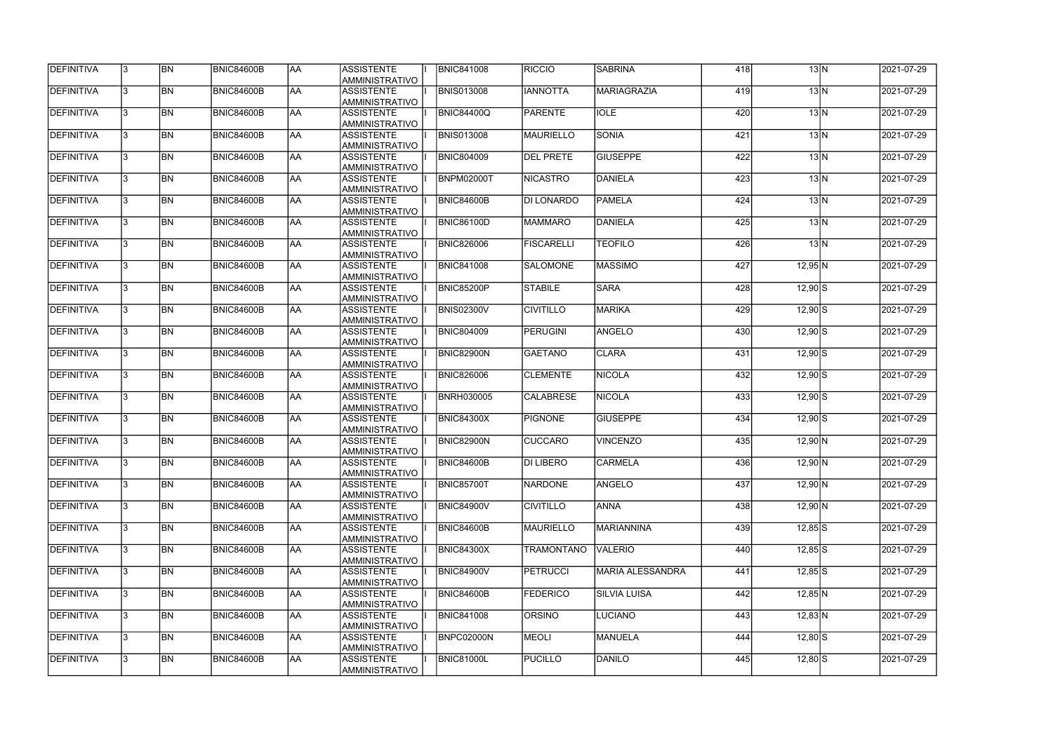| <b>DEFINITIVA</b> | 13.          | <b>BN</b> | <b>BNIC84600B</b> | <b>AA</b>  | <b>ASSISTENTE</b><br><b>AMMINISTRATIVO</b> | <b>BNIC841008</b> | <b>RICCIO</b>     | <b>SABRINA</b>      | 418 | 13 <sub>N</sub>           |                           | 2021-07-29 |
|-------------------|--------------|-----------|-------------------|------------|--------------------------------------------|-------------------|-------------------|---------------------|-----|---------------------------|---------------------------|------------|
| <b>DEFINITIVA</b> | 3            | <b>BN</b> | <b>BNIC84600B</b> | AA         | ASSISTENTE<br>AMMINISTRATIVO               | <b>BNIS013008</b> | <b>IANNOTTA</b>   | <b>MARIAGRAZIA</b>  | 419 | $13\overline{\mathrm{N}}$ |                           | 2021-07-29 |
| DEFINITIVA        | 3            | <b>BN</b> | <b>BNIC84600B</b> | AA         | ASSISTENTE<br>AMMINISTRATIVO               | <b>BNIC84400Q</b> | <b>PARENTE</b>    | <b>IOLE</b>         | 420 | 13 <sub>N</sub>           |                           | 2021-07-29 |
| DEFINITIVA        |              | <b>BN</b> | <b>BNIC84600B</b> | <b>AA</b>  | <b>ASSISTENTE</b><br>AMMINISTRATIVO        | <b>BNIS013008</b> | MAURIELLO         | <b>SONIA</b>        | 421 | $13\overline{\mathrm{N}}$ |                           | 2021-07-29 |
| DEFINITIVA        |              | <b>BN</b> | <b>BNIC84600B</b> | <b>AA</b>  | ASSISTENTE<br>AMMINISTRATIVO               | <b>BNIC804009</b> | <b>DEL PRETE</b>  | <b>GIUSEPPE</b>     | 422 |                           | $13\overline{\mathrm{N}}$ | 2021-07-29 |
| <b>DEFINITIVA</b> |              | <b>BN</b> | BNIC84600B        | AA         | <b>ASSISTENTE</b><br><b>AMMINISTRATIVO</b> | BNPM02000T        | <b>NICASTRO</b>   | <b>DANIELA</b>      | 423 |                           | $13\overline{\text{N}}$   | 2021-07-29 |
| <b>DEFINITIVA</b> |              | <b>BN</b> | BNIC84600B        | AA         | <b>ASSISTENTE</b><br><b>AMMINISTRATIVO</b> | BNIC84600B        | <b>DI LONARDO</b> | <b>PAMELA</b>       | 424 | $13\overline{\mathrm{N}}$ |                           | 2021-07-29 |
| DEFINITIVA        |              | <b>BN</b> | <b>BNIC84600B</b> | AA         | <b>ASSISTENTE</b><br><b>AMMINISTRATIVO</b> | <b>BNIC86100D</b> | <b>MAMMARO</b>    | <b>DANIELA</b>      | 425 | $13\text{N}$              |                           | 2021-07-29 |
| DEFINITIVA        |              | <b>BN</b> | BNIC84600B        | AA         | <b>ASSISTENTE</b><br>AMMINISTRATIVO        | <b>BNIC826006</b> | <b>FISCARELLI</b> | <b>TEOFILO</b>      | 426 | $13\overline{\text{N}}$   |                           | 2021-07-29 |
| <b>DEFINITIVA</b> |              | <b>BN</b> | <b>BNIC84600B</b> | AA         | <b>ASSISTENTE</b><br>AMMINISTRATIVO        | <b>BNIC841008</b> | <b>SALOMONE</b>   | <b>MASSIMO</b>      | 427 | $12,95$ N                 |                           | 2021-07-29 |
| DEFINITIVA        |              | <b>BN</b> | <b>BNIC84600B</b> | AA         | ASSISTENTE<br>AMMINISTRATIVO               | <b>BNIC85200P</b> | <b>STABILE</b>    | <b>SARA</b>         | 428 | $12,90$ S                 |                           | 2021-07-29 |
| <b>DEFINITIVA</b> |              | <b>BN</b> | <b>BNIC84600B</b> | AA         | <b>ASSISTENTE</b><br>AMMINISTRATIVO        | <b>BNIS02300V</b> | <b>CIVITILLO</b>  | <b>MARIKA</b>       | 429 | $12,90$ S                 |                           | 2021-07-29 |
| DEFINITIVA        |              | <b>BN</b> | <b>BNIC84600B</b> | AA         | ASSISTENTE<br>AMMINISTRATIVO               | <b>BNIC804009</b> | <b>PERUGINI</b>   | <b>ANGELO</b>       | 430 | $12,90$ S                 |                           | 2021-07-29 |
| <b>DEFINITIVA</b> |              | <b>BN</b> | <b>BNIC84600B</b> | AA         | ASSISTENTE<br><b>AMMINISTRATIVO</b>        | <b>BNIC82900N</b> | <b>GAETANO</b>    | <b>CLARA</b>        | 431 | $12,90$ S                 |                           | 2021-07-29 |
| <b>DEFINITIVA</b> |              | <b>BN</b> | <b>BNIC84600B</b> | AA         | ASSISTENTE<br><b>AMMINISTRATIVO</b>        | <b>BNIC826006</b> | <b>CLEMENTE</b>   | <b>NICOLA</b>       | 432 | $12,90$ S                 |                           | 2021-07-29 |
| <b>DEFINITIVA</b> |              | <b>BN</b> | <b>BNIC84600B</b> | AA         | <b>ASSISTENTE</b><br><b>AMMINISTRATIVO</b> | <b>BNRH030005</b> | <b>CALABRESE</b>  | <b>NICOLA</b>       | 433 | $12,90$ S                 |                           | 2021-07-29 |
| DEFINITIVA        |              | <b>BN</b> | <b>BNIC84600B</b> | AA         | <b>ASSISTENTE</b><br>AMMINISTRATIVO        | <b>BNIC84300X</b> | <b>PIGNONE</b>    | <b>GIUSEPPE</b>     | 434 | $12,90$ S                 |                           | 2021-07-29 |
| DEFINITIVA        |              | <b>BN</b> | <b>BNIC84600B</b> | AA         | <b>ASSISTENTE</b><br>AMMINISTRATIVO        | <b>BNIC82900N</b> | <b>CUCCARO</b>    | <b>VINCENZO</b>     | 435 | $12,90 \, N$              |                           | 2021-07-29 |
| <b>DEFINITIVA</b> | 13           | BN        | <b>BNIC84600B</b> | <b>JAA</b> | <b>ASSISTENTE</b><br><b>AMMINISTRATIVO</b> | BNIC84600B        | <b>DI LIBERO</b>  | <b>CARMELA</b>      | 436 | $12,90 \, N$              |                           | 2021-07-29 |
| DEFINITIVA        | l3.          | <b>BN</b> | <b>BNIC84600B</b> | AA         | ASSISTENTE<br>AMMINISTRATIVO               | BNIC85700T        | <b>NARDONE</b>    | <b>ANGELO</b>       | 437 | $12,90 \, N$              |                           | 2021-07-29 |
| DEFINITIVA        | 3            | BN        | <b>BNIC84600B</b> | AA         | ASSISTENTE<br>AMMINISTRATIVO               | BNIC84900V        | <b>CIVITILLO</b>  | <b>ANNA</b>         | 438 | $12,90 \, N$              |                           | 2021-07-29 |
| <b>DEFINITIVA</b> | $\mathbf{3}$ | <b>BN</b> | <b>BNIC84600B</b> | AA         | <b>ASSISTENTE</b><br>AMMINISTRATIVO        | <b>BNIC84600B</b> | MAURIELLO         | <b>MARIANNINA</b>   | 439 | $12,85$ S                 |                           | 2021-07-29 |
| DEFINITIVA        |              | <b>BN</b> | <b>BNIC84600B</b> | AA         | <b>ASSISTENTE</b><br><b>AMMINISTRATIVO</b> | <b>BNIC84300X</b> | <b>TRAMONTANO</b> | <b>VALERIO</b>      | 440 | $12,85$ S                 |                           | 2021-07-29 |
| DEFINITIVA        |              | <b>BN</b> | <b>BNIC84600B</b> | AA         | <b>ASSISTENTE</b><br>AMMINISTRATIVO        | <b>BNIC84900V</b> | <b>PETRUCCI</b>   | MARIA ALESSANDRA    | 441 | $12,85$ S                 |                           | 2021-07-29 |
| DEFINITIVA        |              | <b>BN</b> | <b>BNIC84600B</b> | AA         | <b>ASSISTENTE</b><br>AMMINISTRATIVO        | BNIC84600B        | <b>FEDERICO</b>   | <b>SILVIA LUISA</b> | 442 | $12,85$ N                 |                           | 2021-07-29 |
| DEFINITIVA        |              | <b>BN</b> | BNIC84600B        | AA         | ASSISTENTE<br>AMMINISTRATIVO               | <b>BNIC841008</b> | <b>ORSINO</b>     | <b>LUCIANO</b>      | 443 | $12,83$ N                 |                           | 2021-07-29 |
| DEFINITIVA        | Β.           | <b>BN</b> | <b>BNIC84600B</b> | AA         | ASSISTENTE<br>AMMINISTRATIVO               | BNPC02000N        | <b>MEOLI</b>      | <b>MANUELA</b>      | 444 | $12,80$ S                 |                           | 2021-07-29 |
| DEFINITIVA        |              | BN        | <b>BNIC84600B</b> | AA         | ASSISTENTE<br>AMMINISTRATIVO               | <b>BNIC81000L</b> | <b>PUCILLO</b>    | <b>DANILO</b>       | 445 | $12,80$ S                 |                           | 2021-07-29 |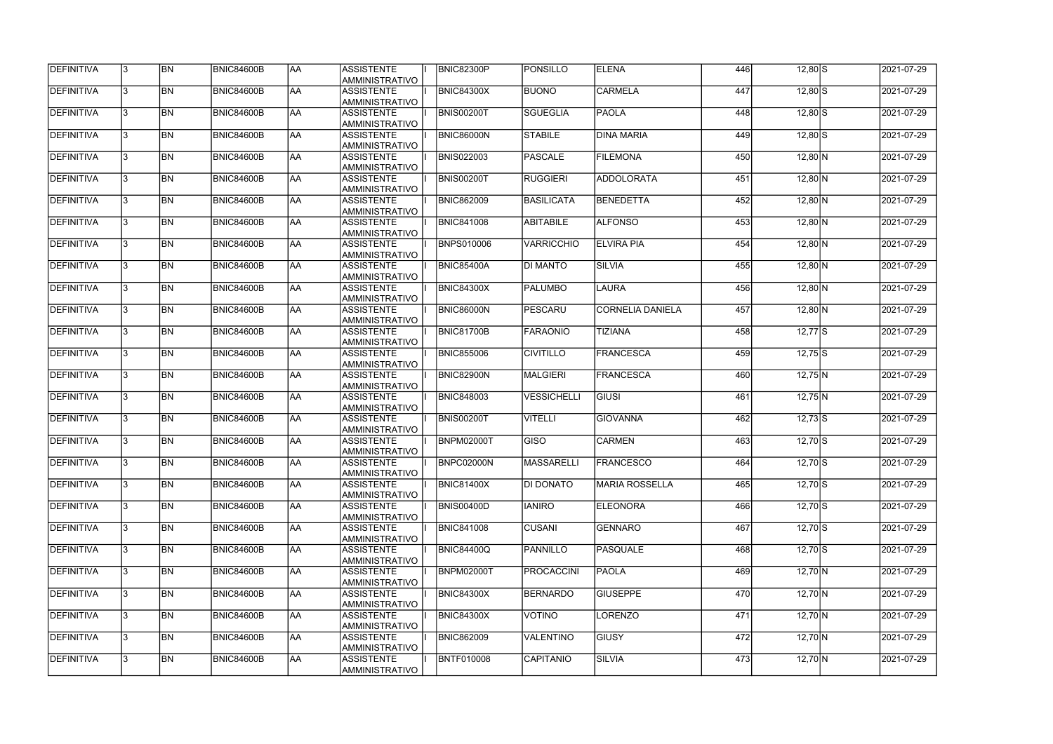| DEFINITIVA        | 13.          | <b>BN</b> | <b>BNIC84600B</b> | laa        | ASSISTENTE<br><b>AMMINISTRATIVO</b>        | <b>BNIC82300P</b> | PONSILLO           | <b>ELENA</b>            | 446 | $12,80$ S    | 2021-07-29 |
|-------------------|--------------|-----------|-------------------|------------|--------------------------------------------|-------------------|--------------------|-------------------------|-----|--------------|------------|
| DEFINITIVA        | 3            | <b>BN</b> | <b>BNIC84600B</b> | <b>AA</b>  | <b>ASSISTENTE</b><br>AMMINISTRATIVO        | <b>BNIC84300X</b> | <b>BUONO</b>       | <b>CARMELA</b>          | 447 | $12,80$ S    | 2021-07-29 |
| DEFINITIVA        | 3            | <b>BN</b> | <b>BNIC84600B</b> | <b>AA</b>  | <b>ASSISTENTE</b><br>AMMINISTRATIVO        | <b>BNIS00200T</b> | <b>SGUEGLIA</b>    | <b>PAOLA</b>            | 448 | $12,80$ S    | 2021-07-29 |
| DEFINITIVA        |              | <b>BN</b> | <b>BNIC84600B</b> | AA         | <b>ASSISTENTE</b><br>AMMINISTRATIVO        | <b>BNIC86000N</b> | <b>STABILE</b>     | <b>DINA MARIA</b>       | 449 | $12,80$ S    | 2021-07-29 |
| <b>DEFINITIVA</b> | 3            | <b>BN</b> | BNIC84600B        | <b>AA</b>  | <b>ASSISTENTE</b><br>AMMINISTRATIVO        | <b>BNIS022003</b> | PASCALE            | <b>FILEMONA</b>         | 450 | $12,80$ N    | 2021-07-29 |
| <b>DEFINITIVA</b> |              | <b>BN</b> | BNIC84600B        | AA         | <b>ASSISTENTE</b><br>AMMINISTRATIVO        | <b>BNIS00200T</b> | <b>RUGGIERI</b>    | ADDOLORATA              | 451 | $12,80 \, N$ | 2021-07-29 |
| DEFINITIVA        |              | <b>BN</b> | <b>BNIC84600B</b> | <b>AA</b>  | <b>ASSISTENTE</b><br><b>AMMINISTRATIVO</b> | <b>BNIC862009</b> | <b>BASILICATA</b>  | <b>BENEDETTA</b>        | 452 | $12,80$ N    | 2021-07-29 |
| DEFINITIVA        |              | <b>BN</b> | <b>BNIC84600B</b> | AA         | <b>ASSISTENTE</b><br>AMMINISTRATIVO        | <b>BNIC841008</b> | ABITABILE          | ALFONSO                 | 453 | $12,80$ N    | 2021-07-29 |
| DEFINITIVA        |              | <b>BN</b> | BNIC84600B        | <b>AA</b>  | <b>ASSISTENTE</b><br>AMMINISTRATIVO        | <b>BNPS010006</b> | VARRICCHIO         | <b>ELVIRA PIA</b>       | 454 | $12,80 \ N$  | 2021-07-29 |
| DEFINITIVA        |              | <b>BN</b> | <b>BNIC84600B</b> | AA         | <b>ASSISTENTE</b><br>AMMINISTRATIVO        | <b>BNIC85400A</b> | <b>DI MANTO</b>    | <b>SILVIA</b>           | 455 | $12,80 \ N$  | 2021-07-29 |
| DEFINITIVA        | 3            | <b>BN</b> | <b>BNIC84600B</b> | <b>AA</b>  | <b>ASSISTENTE</b><br>AMMINISTRATIVO        | <b>BNIC84300X</b> | <b>PALUMBO</b>     | <b>LAURA</b>            | 456 | $12,80$ N    | 2021-07-29 |
| DEFINITIVA        |              | <b>BN</b> | BNIC84600B        | AA         | <b>ASSISTENTE</b><br>AMMINISTRATIVO        | <b>BNIC86000N</b> | PESCARU            | <b>CORNELIA DANIELA</b> | 457 | $12,80$ N    | 2021-07-29 |
| DEFINITIVA        |              | <b>BN</b> | <b>BNIC84600B</b> | <b>AA</b>  | <b>ASSISTENTE</b><br>AMMINISTRATIVO        | <b>BNIC81700B</b> | <b>FARAONIO</b>    | <b>TIZIANA</b>          | 458 | $12,77$ S    | 2021-07-29 |
| DEFINITIVA        |              | <b>BN</b> | BNIC84600B        | <b>AA</b>  | <b>ASSISTENTE</b><br>AMMINISTRATIVO        | <b>BNIC855006</b> | <b>CIVITILLO</b>   | <b>FRANCESCA</b>        | 459 | $12,75$ S    | 2021-07-29 |
| DEFINITIVA        |              | <b>BN</b> | <b>BNIC84600B</b> | <b>AA</b>  | <b>ASSISTENTE</b><br><b>AMMINISTRATIVO</b> | <b>BNIC82900N</b> | MALGIERI           | <b>FRANCESCA</b>        | 460 | $12,75$ N    | 2021-07-29 |
| DEFINITIVA        |              | <b>BN</b> | BNIC84600B        | <b>AA</b>  | <b>ASSISTENTE</b><br><b>AMMINISTRATIVO</b> | <b>BNIC848003</b> | <b>VESSICHELLI</b> | GIUSI                   | 461 | $12,75$ N    | 2021-07-29 |
| DEFINITIVA        |              | <b>BN</b> | <b>BNIC84600B</b> | AA         | <b>ASSISTENTE</b><br>AMMINISTRATIVO        | <b>BNIS00200T</b> | <b>VITELLI</b>     | <b>GIOVANNA</b>         | 462 | $12,73$ S    | 2021-07-29 |
| DEFINITIVA        |              | <b>BN</b> | <b>BNIC84600B</b> | <b>AA</b>  | <b>ASSISTENTE</b><br>AMMINISTRATIVO        | <b>BNPM02000T</b> | <b>GISO</b>        | <b>CARMEN</b>           | 463 | $12,70$ S    | 2021-07-29 |
| DEFINITIVA        | 13           | BN        | <b>BNIC84600B</b> | <b>JAA</b> | <b>ASSISTENTE</b><br>AMMINISTRATIVO        | <b>BNPC02000N</b> | <b>MASSARELLI</b>  | <b>FRANCESCO</b>        | 464 | $12,70$ S    | 2021-07-29 |
| <b>DEFINITIVA</b> |              | <b>BN</b> | BNIC84600B        | <b>AA</b>  | ASSISTENTE<br>AMMINISTRATIVO               | <b>BNIC81400X</b> | <b>DI DONATO</b>   | <b>MARIA ROSSELLA</b>   | 465 | $12,70$ S    | 2021-07-29 |
| <b>DEFINITIVA</b> | $\mathbf{3}$ | <b>BN</b> | BNIC84600B        | AA         | ASSISTENTE<br>AMMINISTRATIVO               | <b>BNIS00400D</b> | <b>IANIRO</b>      | <b>ELEONORA</b>         | 466 | $12,70$ S    | 2021-07-29 |
| <b>DEFINITIVA</b> |              | <b>BN</b> | BNIC84600B        | <b>AA</b>  | <b>ASSISTENTE</b><br>AMMINISTRATIVO        | <b>BNIC841008</b> | <b>CUSANI</b>      | <b>GENNARO</b>          | 467 | $12,70$ S    | 2021-07-29 |
| <b>DEFINITIVA</b> |              | BN        | BNIC84600B        | AA         | <b>ASSISTENTE</b><br>AMMINISTRATIVO        | <b>BNIC84400Q</b> | PANNILLO           | PASQUALE                | 468 | $12,70$ S    | 2021-07-29 |
| DEFINITIVA        |              | <b>BN</b> | BNIC84600B        | <b>AA</b>  | <b>ASSISTENTE</b><br>AMMINISTRATIVO        | <b>BNPM02000T</b> | <b>PROCACCINI</b>  | PAOLA                   | 469 | $12,70 \, N$ | 2021-07-29 |
| DEFINITIVA        |              | <b>BN</b> | BNIC84600B        | <b>AA</b>  | ASSISTENTE<br>AMMINISTRATIVO               | <b>BNIC84300X</b> | BERNARDO           | <b>GIUSEPPE</b>         | 470 | $12,70 \, N$ | 2021-07-29 |
| DEFINITIVA        |              | <b>BN</b> | BNIC84600B        | <b>AA</b>  | ASSISTENTE<br>AMMINISTRATIVO               | <b>BNIC84300X</b> | <b>VOTINO</b>      | <b>LORENZO</b>          | 471 | $12,70$ N    | 2021-07-29 |
| DEFINITIVA        |              | <b>BN</b> | BNIC84600B        | <b>AA</b>  | ASSISTENTE<br>AMMINISTRATIVO               | <b>BNIC862009</b> | <b>VALENTINO</b>   | <b>GIUSY</b>            | 472 | $12,70 \, N$ | 2021-07-29 |
| <b>DEFINITIVA</b> |              | <b>BN</b> | BNIC84600B        | <b>AA</b>  | <b>ASSISTENTE</b><br>AMMINISTRATIVO        | BNTF010008        | CAPITANIO          | <b>SILVIA</b>           | 473 | $12,70$ N    | 2021-07-29 |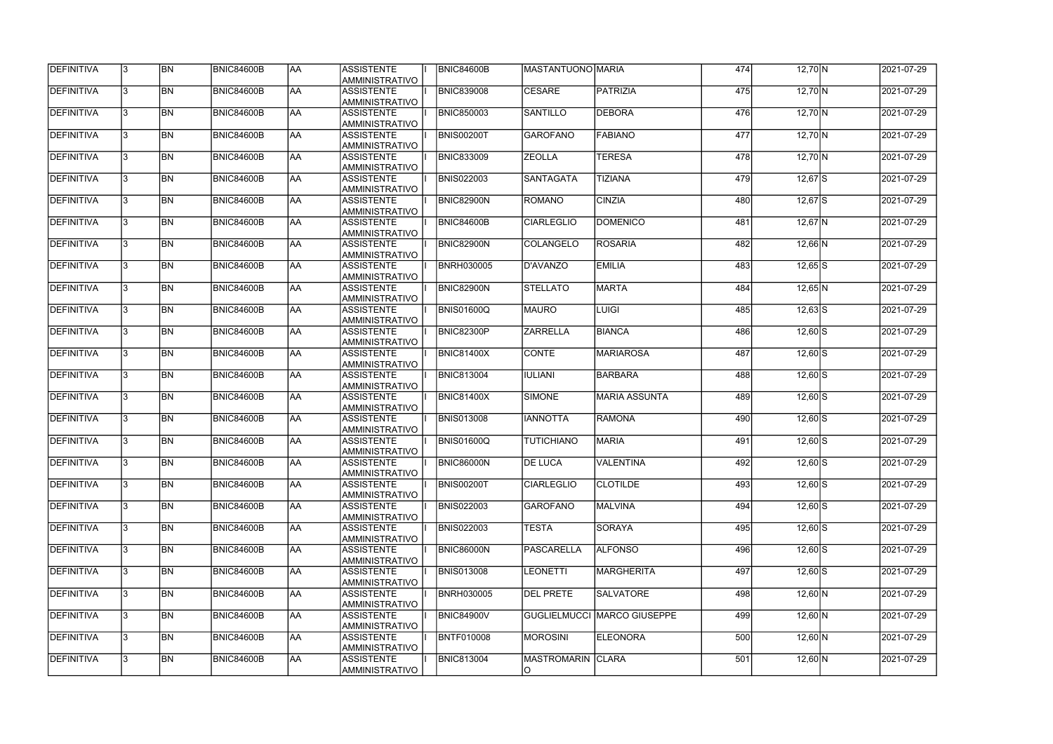| DEFINITIVA        | 13. | <b>BN</b> | <b>BNIC84600B</b> | <b>AA</b> | <b>ASSISTENTE</b><br>AMMINISTRATIVO        | <b>BNIC84600B</b> | MASTANTUONO MARIA        |                                    | 474 | $12,70$ N    | 2021-07-29 |
|-------------------|-----|-----------|-------------------|-----------|--------------------------------------------|-------------------|--------------------------|------------------------------------|-----|--------------|------------|
| <b>DEFINITIVA</b> | l3. | <b>BN</b> | <b>BNIC84600B</b> | AA        | <b>ASSISTENTE</b><br>AMMINISTRATIVO        | <b>BNIC839008</b> | <b>CESARE</b>            | <b>PATRIZIA</b>                    | 475 | $12,70$ N    | 2021-07-29 |
| DEFINITIVA        |     | <b>BN</b> | <b>BNIC84600B</b> | <b>AA</b> | <b>ASSISTENTE</b><br>AMMINISTRATIVO        | <b>BNIC850003</b> | SANTILLO                 | <b>DEBORA</b>                      | 476 | $12,70$ N    | 2021-07-29 |
| <b>DEFINITIVA</b> |     | <b>BN</b> | BNIC84600B        | <b>AA</b> | <b>ASSISTENTE</b><br>AMMINISTRATIVO        | <b>BNIS00200T</b> | GAROFANO                 | <b>FABIANO</b>                     | 477 | $12,70$ N    | 2021-07-29 |
| <b>DEFINITIVA</b> |     | <b>BN</b> | BNIC84600B        | AA        | <b>ASSISTENTE</b><br>AMMINISTRATIVO        | <b>BNIC833009</b> | <b>ZEOLLA</b>            | <b>TERESA</b>                      | 478 | $12,70$ N    | 2021-07-29 |
| DEFINITIVA        |     | <b>BN</b> | BNIC84600B        | AA        | <b>ASSISTENTE</b><br><b>AMMINISTRATIVO</b> | <b>BNIS022003</b> | <b>SANTAGATA</b>         | <b>TIZIANA</b>                     | 479 | $12,67$ S    | 2021-07-29 |
| DEFINITIVA        |     | <b>BN</b> | <b>BNIC84600B</b> | <b>AA</b> | <b>ASSISTENTE</b><br><b>AMMINISTRATIVO</b> | <b>BNIC82900N</b> | ROMANO                   | <b>CINZIA</b>                      | 480 | $12,67$ $S$  | 2021-07-29 |
| DEFINITIVA        |     | <b>BN</b> | BNIC84600B        | AA        | <b>ASSISTENTE</b><br>AMMINISTRATIVO        | <b>BNIC84600B</b> | <b>CIARLEGLIO</b>        | <b>DOMENICO</b>                    | 481 | $12,67$ N    | 2021-07-29 |
| DEFINITIVA        |     | <b>BN</b> | <b>BNIC84600B</b> | <b>AA</b> | <b>ASSISTENTE</b><br>AMMINISTRATIVO        | <b>BNIC82900N</b> | COLANGELO                | <b>ROSARIA</b>                     | 482 | $12,66$ N    | 2021-07-29 |
| DEFINITIVA        |     | <b>BN</b> | BNIC84600B        | <b>AA</b> | <b>ASSISTENTE</b><br>AMMINISTRATIVO        | BNRH030005        | D'AVANZO                 | <b>EMILIA</b>                      | 483 | $12,65$ S    | 2021-07-29 |
| DEFINITIVA        |     | <b>BN</b> | BNIC84600B        | <b>AA</b> | <b>ASSISTENTE</b><br>AMMINISTRATIVO        | <b>BNIC82900N</b> | <b>STELLATO</b>          | <b>MARTA</b>                       | 484 | $12,65$ N    | 2021-07-29 |
| DEFINITIVA        |     | <b>BN</b> | BNIC84600B        | <b>AA</b> | <b>ASSISTENTE</b><br>AMMINISTRATIVO        | <b>BNIS01600Q</b> | <b>MAURO</b>             | <b>LUIGI</b>                       | 485 | $12,63$ S    | 2021-07-29 |
| DEFINITIVA        |     | <b>BN</b> | BNIC84600B        | <b>AA</b> | <b>ASSISTENTE</b><br>AMMINISTRATIVO        | <b>BNIC82300P</b> | <b>ZARRELLA</b>          | <b>BIANCA</b>                      | 486 | $12,60$ S    | 2021-07-29 |
| <b>DEFINITIVA</b> |     | <b>BN</b> | <b>BNIC84600B</b> | <b>AA</b> | <b>ASSISTENTE</b><br><b>AMMINISTRATIVO</b> | <b>BNIC81400X</b> | <b>CONTE</b>             | <b>MARIAROSA</b>                   | 487 | $12,60$ S    | 2021-07-29 |
| DEFINITIVA        |     | <b>BN</b> | BNIC84600B        | <b>AA</b> | <b>ASSISTENTE</b><br><b>AMMINISTRATIVO</b> | <b>BNIC813004</b> | IULIANI                  | <b>BARBARA</b>                     | 488 | $12,60$ S    | 2021-07-29 |
| DEFINITIVA        |     | <b>BN</b> | BNIC84600B        | laa       | <b>ASSISTENTE</b><br>AMMINISTRATIVO        | <b>BNIC81400X</b> | SIMONE                   | <b>MARIA ASSUNTA</b>               | 489 | $12,60$ S    | 2021-07-29 |
| DEFINITIVA        | 3   | <b>BN</b> | BNIC84600B        | laa       | <b>ASSISTENTE</b><br>AMMINISTRATIVO        | <b>BNIS013008</b> | <b>IANNOTTA</b>          | <b>RAMONA</b>                      | 490 | $12,60$ S    | 2021-07-29 |
| DEFINITIVA        |     | <b>BN</b> | BNIC84600B        | <b>AA</b> | <b>ASSISTENTE</b><br>AMMINISTRATIVO        | <b>BNIS01600Q</b> | <b>TUTICHIANO</b>        | <b>MARIA</b>                       | 491 | $12,60$ S    | 2021-07-29 |
| <b>DEFINITIVA</b> | 13. | <b>BN</b> | <b>BNIC84600B</b> | AA        | <b>ASSISTENTE</b><br>AMMINISTRATIVO        | <b>BNIC86000N</b> | <b>DE LUCA</b>           | <b>VALENTINA</b>                   | 492 | $12,60$ S    | 2021-07-29 |
| <b>DEFINITIVA</b> |     | <b>BN</b> | BNIC84600B        | <b>AA</b> | ASSISTENTE<br>AMMINISTRATIVO               | <b>BNIS00200T</b> | <b>CIARLEGLIO</b>        | <b>CLOTILDE</b>                    | 493 | $12,60$ S    | 2021-07-29 |
| <b>DEFINITIVA</b> | 13. | <b>BN</b> | BNIC84600B        | AA        | <b>ASSISTENTE</b><br>AMMINISTRATIVO        | <b>BNIS022003</b> | <b>GAROFANO</b>          | <b>MALVINA</b>                     | 494 | $12,60$ S    | 2021-07-29 |
| DEFINITIVA        |     | <b>BN</b> | BNIC84600B        | <b>AA</b> | <b>ASSISTENTE</b><br>AMMINISTRATIVO        | <b>BNIS022003</b> | <b>TESTA</b>             | <b>SORAYA</b>                      | 495 | $12,60$ S    | 2021-07-29 |
| DEFINITIVA        |     | <b>BN</b> | BNIC84600B        | <b>AA</b> | <b>ASSISTENTE</b><br>AMMINISTRATIVO        | <b>BNIC86000N</b> | PASCARELLA               | <b>ALFONSO</b>                     | 496 | $12,60$ S    | 2021-07-29 |
| DEFINITIVA        |     | <b>BN</b> | BNIC84600B        | <b>AA</b> | <b>ASSISTENTE</b><br>AMMINISTRATIVO        | <b>BNIS013008</b> | <b>LEONETTI</b>          | <b>MARGHERITA</b>                  | 497 | $12,60$ S    | 2021-07-29 |
| DEFINITIVA        |     | <b>BN</b> | BNIC84600B        | <b>AA</b> | ASSISTENTE<br>AMMINISTRATIVO               | <b>BNRH030005</b> | <b>DEL PRETE</b>         | <b>SALVATORE</b>                   | 498 | $12,60 \, N$ | 2021-07-29 |
| DEFINITIVA        |     | <b>BN</b> | BNIC84600B        | <b>AA</b> | ASSISTENTE<br>AMMINISTRATIVO               | <b>BNIC84900V</b> |                          | <b>GUGLIELMUCCI MARCO GIUSEPPE</b> | 499 | $12,60 \, N$ | 2021-07-29 |
| <b>DEFINITIVA</b> |     | <b>BN</b> | BNIC84600B        | <b>AA</b> | ASSISTENTE<br>AMMINISTRATIVO               | BNTF010008        | <b>MOROSINI</b>          | <b>ELEONORA</b>                    | 500 | $12,60 \, N$ | 2021-07-29 |
| <b>DEFINITIVA</b> |     | <b>BN</b> | BNIC84600B        | <b>AA</b> | <b>ASSISTENTE</b><br>AMMINISTRATIVO        | <b>BNIC813004</b> | MASTROMARIN CLARA<br>IO. |                                    | 501 | $12,60 \, N$ | 2021-07-29 |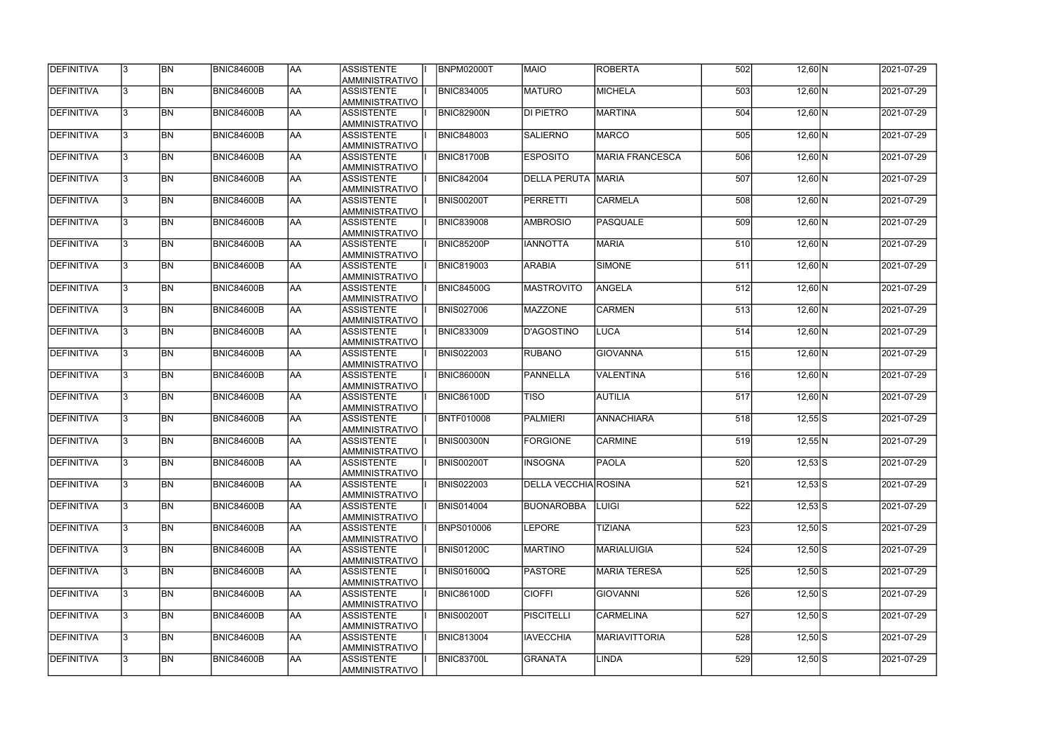| DEFINITIVA        | 13.          | <b>BN</b> | <b>BNIC84600B</b> | <b>AA</b> | <b>ASSISTENTE</b><br>AMMINISTRATIVO        | <b>BNPM02000T</b> | <b>MAIO</b>               | <b>ROBERTA</b>         | 502 | $12,60 \, N$ | 2021-07-29 |
|-------------------|--------------|-----------|-------------------|-----------|--------------------------------------------|-------------------|---------------------------|------------------------|-----|--------------|------------|
| <b>DEFINITIVA</b> | l3.          | <b>BN</b> | BNIC84600B        | <b>AA</b> | <b>ASSISTENTE</b><br>AMMINISTRATIVO        | <b>BNIC834005</b> | <b>MATURO</b>             | <b>MICHELA</b>         | 503 | $12,60$ N    | 2021-07-29 |
| DEFINITIVA        |              | <b>BN</b> | BNIC84600B        | <b>AA</b> | <b>ASSISTENTE</b><br>AMMINISTRATIVO        | <b>BNIC82900N</b> | DI PIETRO                 | <b>MARTINA</b>         | 504 | $12,60 \, N$ | 2021-07-29 |
| <b>DEFINITIVA</b> | $\mathbf{3}$ | <b>BN</b> | BNIC84600B        | <b>AA</b> | <b>ASSISTENTE</b><br>AMMINISTRATIVO        | <b>BNIC848003</b> | <b>SALIERNO</b>           | <b>MARCO</b>           | 505 | $12,60$ N    | 2021-07-29 |
| <b>DEFINITIVA</b> |              | <b>BN</b> | BNIC84600B        | AA        | <b>ASSISTENTE</b><br><b>AMMINISTRATIVO</b> | <b>BNIC81700B</b> | <b>ESPOSITO</b>           | <b>MARIA FRANCESCA</b> | 506 | $12,60$ N    | 2021-07-29 |
| DEFINITIVA        |              | <b>BN</b> | BNIC84600B        | AA        | <b>ASSISTENTE</b><br><b>AMMINISTRATIVO</b> | <b>BNIC842004</b> | <b>DELLA PERUTA MARIA</b> |                        | 507 | $12,60 \, N$ | 2021-07-29 |
| DEFINITIVA        |              | <b>BN</b> | <b>BNIC84600B</b> | <b>AA</b> | <b>ASSISTENTE</b><br><b>AMMINISTRATIVO</b> | <b>BNIS00200T</b> | PERRETTI                  | <b>CARMELA</b>         | 508 | $12,60$ N    | 2021-07-29 |
| DEFINITIVA        |              | <b>BN</b> | BNIC84600B        | <b>AA</b> | <b>ASSISTENTE</b><br>AMMINISTRATIVO        | <b>BNIC839008</b> | <b>AMBROSIO</b>           | PASQUALE               | 509 | $12,60 \, N$ | 2021-07-29 |
| DEFINITIVA        |              | <b>BN</b> | BNIC84600B        | <b>AA</b> | <b>ASSISTENTE</b><br>AMMINISTRATIVO        | <b>BNIC85200P</b> | <b>IANNOTTA</b>           | <b>MARIA</b>           | 510 | $12,60 \, N$ | 2021-07-29 |
| DEFINITIVA        |              | <b>BN</b> | BNIC84600B        | <b>AA</b> | <b>ASSISTENTE</b><br>AMMINISTRATIVO        | <b>BNIC819003</b> | ARABIA                    | <b>SIMONE</b>          | 511 | $12,60 \, N$ | 2021-07-29 |
| DEFINITIVA        |              | <b>BN</b> | BNIC84600B        | <b>AA</b> | <b>ASSISTENTE</b><br>AMMINISTRATIVO        | <b>BNIC84500G</b> | <b>MASTROVITO</b>         | ANGELA                 | 512 | $12,60 \, N$ | 2021-07-29 |
| DEFINITIVA        |              | <b>BN</b> | BNIC84600B        | <b>AA</b> | <b>ASSISTENTE</b><br>AMMINISTRATIVO        | <b>BNIS027006</b> | MAZZONE                   | <b>CARMEN</b>          | 513 | $12,60 \, N$ | 2021-07-29 |
| DEFINITIVA        |              | <b>BN</b> | BNIC84600B        | <b>AA</b> | <b>ASSISTENTE</b><br>AMMINISTRATIVO        | <b>BNIC833009</b> | D'AGOSTINO                | <b>LUCA</b>            | 514 | $12,60 \, N$ | 2021-07-29 |
| DEFINITIVA        |              | <b>BN</b> | <b>BNIC84600B</b> | <b>AA</b> | <b>ASSISTENTE</b><br><b>AMMINISTRATIVO</b> | <b>BNIS022003</b> | <b>RUBANO</b>             | <b>GIOVANNA</b>        | 515 | $12,60 \, N$ | 2021-07-29 |
| DEFINITIVA        |              | <b>BN</b> | BNIC84600B        | <b>AA</b> | <b>ASSISTENTE</b><br>AMMINISTRATIVO        | <b>BNIC86000N</b> | PANNELLA                  | VALENTINA              | 516 | $12,60 \, N$ | 2021-07-29 |
| DEFINITIVA        |              | <b>BN</b> | BNIC84600B        | laa       | <b>ASSISTENTE</b><br>AMMINISTRATIVO        | <b>BNIC86100D</b> | <b>TISO</b>               | <b>AUTILIA</b>         | 517 | $12,60 \, N$ | 2021-07-29 |
| DEFINITIVA        | 3            | <b>BN</b> | BNIC84600B        | laa       | <b>ASSISTENTE</b><br>AMMINISTRATIVO        | BNTF010008        | PALMIERI                  | <b>ANNACHIARA</b>      | 518 | $12,55$ S    | 2021-07-29 |
| DEFINITIVA        |              | <b>BN</b> | BNIC84600B        | <b>AA</b> | <b>ASSISTENTE</b><br>AMMINISTRATIVO        | <b>BNIS00300N</b> | <b>FORGIONE</b>           | <b>CARMINE</b>         | 519 | $12,55$ N    | 2021-07-29 |
| <b>DEFINITIVA</b> | 13.          | <b>BN</b> | <b>BNIC84600B</b> | AA        | <b>ASSISTENTE</b><br>AMMINISTRATIVO        | <b>BNIS00200T</b> | <b>INSOGNA</b>            | <b>PAOLA</b>           | 520 | $12,53$ S    | 2021-07-29 |
| <b>DEFINITIVA</b> | $\mathbf{3}$ | <b>BN</b> | BNIC84600B        | <b>AA</b> | <b>ASSISTENTE</b><br>AMMINISTRATIVO        | <b>BNIS022003</b> | DELLA VECCHIA ROSINA      |                        | 521 | $12,53$ S    | 2021-07-29 |
| <b>DEFINITIVA</b> | 13.          | <b>BN</b> | BNIC84600B        | AA        | <b>ASSISTENTE</b><br>AMMINISTRATIVO        | <b>BNIS014004</b> | <b>BUONAROBBA</b>         | <b>LUIGI</b>           | 522 | $12,53$ S    | 2021-07-29 |
| DEFINITIVA        |              | <b>BN</b> | BNIC84600B        | <b>AA</b> | <b>ASSISTENTE</b><br>AMMINISTRATIVO        | <b>BNPS010006</b> | <b>LEPORE</b>             | <b>TIZIANA</b>         | 523 | $12,50$ S    | 2021-07-29 |
| DEFINITIVA        |              | <b>BN</b> | BNIC84600B        | <b>AA</b> | <b>ASSISTENTE</b><br>AMMINISTRATIVO        | <b>BNIS01200C</b> | <b>MARTINO</b>            | <b>MARIALUIGIA</b>     | 524 | $12,50$ S    | 2021-07-29 |
| DEFINITIVA        |              | <b>BN</b> | BNIC84600B        | <b>AA</b> | <b>ASSISTENTE</b><br>AMMINISTRATIVO        | <b>BNIS01600Q</b> | <b>PASTORE</b>            | <b>MARIA TERESA</b>    | 525 | $12,50$ S    | 2021-07-29 |
| DEFINITIVA        |              | <b>BN</b> | BNIC84600B        | <b>AA</b> | ASSISTENTE<br>AMMINISTRATIVO               | <b>BNIC86100D</b> | <b>CIOFFI</b>             | <b>GIOVANNI</b>        | 526 | $12,50$ S    | 2021-07-29 |
| DEFINITIVA        |              | <b>BN</b> | BNIC84600B        | <b>AA</b> | ASSISTENTE<br>AMMINISTRATIVO               | <b>BNIS00200T</b> | <b>PISCITELLI</b>         | <b>CARMELINA</b>       | 527 | $12,50$ S    | 2021-07-29 |
| <b>DEFINITIVA</b> | l3.          | <b>BN</b> | BNIC84600B        | <b>AA</b> | ASSISTENTE<br>AMMINISTRATIVO               | <b>BNIC813004</b> | <b>IAVECCHIA</b>          | <b>MARIAVITTORIA</b>   | 528 | $12,50$ S    | 2021-07-29 |
| <b>DEFINITIVA</b> |              | <b>BN</b> | BNIC84600B        | <b>AA</b> | <b>ASSISTENTE</b><br>AMMINISTRATIVO        | <b>BNIC83700L</b> | GRANATA                   | LINDA                  | 529 | $12,50$ S    | 2021-07-29 |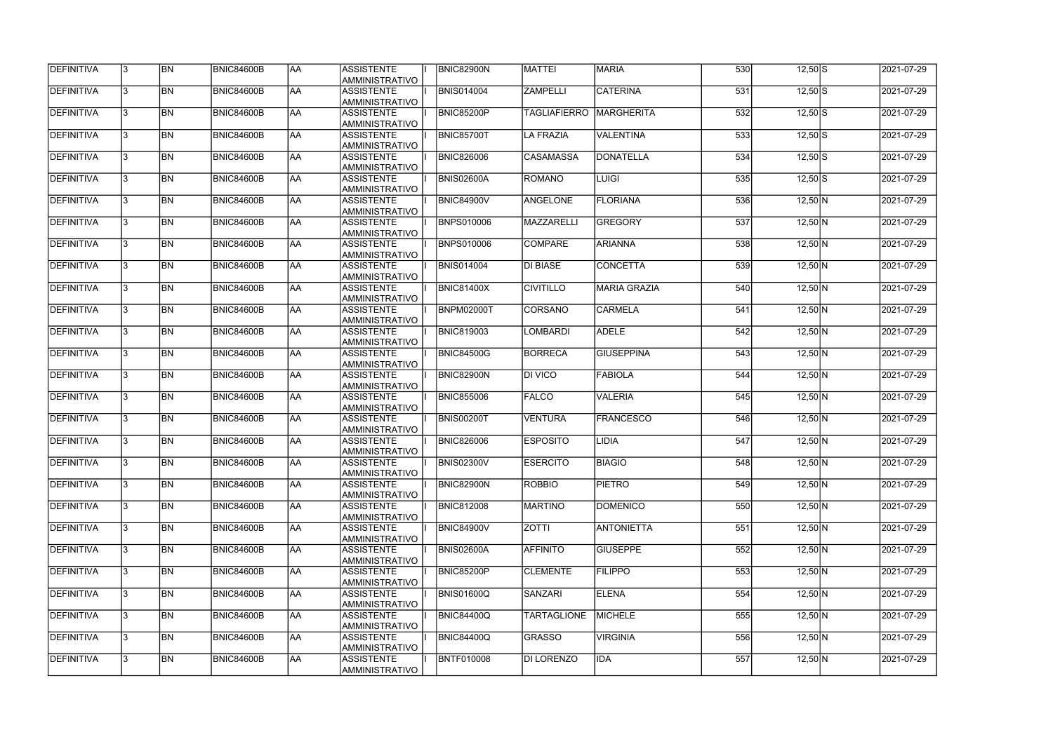| DEFINITIVA        | 13. | <b>BN</b> | <b>BNIC84600B</b> | AA         | <b>ASSISTENTE</b><br>AMMINISTRATIVO        | <b>BNIC82900N</b> | <b>MATTEI</b>       | <b>MARIA</b>        | 530 | $12,50$ S        | 2021-07-29 |
|-------------------|-----|-----------|-------------------|------------|--------------------------------------------|-------------------|---------------------|---------------------|-----|------------------|------------|
| DEFINITIVA        | 13. | <b>BN</b> | <b>BNIC84600B</b> | laa        | <b>ASSISTENTE</b><br>AMMINISTRATIVO        | <b>BNIS014004</b> | <b>ZAMPELLI</b>     | <b>CATERINA</b>     | 531 | $12,50$ S        | 2021-07-29 |
| DEFINITIVA        | 13. | <b>BN</b> | <b>BNIC84600B</b> | AA         | <b>ASSISTENTE</b><br>AMMINISTRATIVO        | BNIC85200P        | <b>TAGLIAFIERRO</b> | <b>MARGHERITA</b>   | 532 | $12,50$ S        | 2021-07-29 |
| DEFINITIVA        | l3. | <b>BN</b> | <b>BNIC84600B</b> | laa        | <b>ASSISTENTE</b><br>AMMINISTRATIVO        | BNIC85700T        | <b>LA FRAZIA</b>    | <b>VALENTINA</b>    | 533 | $12,50$ S        | 2021-07-29 |
| DEFINITIVA        | 13. | <b>BN</b> | <b>BNIC84600B</b> | laa        | <b>ASSISTENTE</b><br>AMMINISTRATIVO        | <b>BNIC826006</b> | <b>CASAMASSA</b>    | <b>DONATELLA</b>    | 534 | $12,50$ S        | 2021-07-29 |
| DEFINITIVA        | 3   | <b>BN</b> | <b>BNIC84600B</b> | laa        | <b>ASSISTENTE</b><br>AMMINISTRATIVO        | <b>BNIS02600A</b> | ROMANO              | <b>LUIGI</b>        | 535 | $12,50$ S        | 2021-07-29 |
| DEFINITIVA        |     | <b>BN</b> | <b>BNIC84600B</b> | laa        | <b>ASSISTENTE</b><br><b>AMMINISTRATIVO</b> | <b>BNIC84900V</b> | <b>ANGELONE</b>     | <b>FLORIANA</b>     | 536 | $12,50 \, N$     | 2021-07-29 |
| DEFINITIVA        |     | <b>BN</b> | <b>BNIC84600B</b> | laa        | <b>ASSISTENTE</b><br>AMMINISTRATIVO        | <b>BNPS010006</b> | MAZZARELLI          | <b>GREGORY</b>      | 537 | $12,50 \, N$     | 2021-07-29 |
| DEFINITIVA        |     | <b>BN</b> | <b>BNIC84600B</b> | laa        | <b>ASSISTENTE</b><br>AMMINISTRATIVO        | <b>BNPS010006</b> | <b>COMPARE</b>      | <b>ARIANNA</b>      | 538 | $12,50 \, N$     | 2021-07-29 |
| DEFINITIVA        | l3. | <b>BN</b> | <b>BNIC84600B</b> | laa        | <b>ASSISTENTE</b><br>AMMINISTRATIVO        | <b>BNIS014004</b> | <b>DI BIASE</b>     | <b>CONCETTA</b>     | 539 | $12,50 \, N$     | 2021-07-29 |
| DEFINITIVA        | 13. | <b>BN</b> | <b>BNIC84600B</b> | AA         | <b>ASSISTENTE</b><br>AMMINISTRATIVO        | <b>BNIC81400X</b> | <b>CIVITILLO</b>    | <b>MARIA GRAZIA</b> | 540 | $12,50$ N        | 2021-07-29 |
| DEFINITIVA        | 3   | <b>BN</b> | <b>BNIC84600B</b> | <b>AA</b>  | <b>ASSISTENTE</b><br>AMMINISTRATIVO        | BNPM02000T        | <b>CORSANO</b>      | <b>CARMELA</b>      | 541 | $12,50$ N        | 2021-07-29 |
| DEFINITIVA        | l3. | <b>BN</b> | <b>BNIC84600B</b> | laa        | <b>ASSISTENTE</b><br>AMMINISTRATIVO        | <b>BNIC819003</b> | <b>LOMBARDI</b>     | <b>ADELE</b>        | 542 | $12,50 \text{N}$ | 2021-07-29 |
| DEFINITIVA        | 3   | <b>BN</b> | <b>BNIC84600B</b> | AA         | <b>ASSISTENTE</b><br>AMMINISTRATIVO        | <b>BNIC84500G</b> | BORRECA             | <b>GIUSEPPINA</b>   | 543 | $12,50$ N        | 2021-07-29 |
| DEFINITIVA        |     | <b>BN</b> | <b>BNIC84600B</b> | AA         | <b>ASSISTENTE</b><br><b>AMMINISTRATIVO</b> | <b>BNIC82900N</b> | <b>DI VICO</b>      | <b>FABIOLA</b>      | 544 | $12,50 \, N$     | 2021-07-29 |
| DEFINITIVA        |     | <b>BN</b> | <b>BNIC84600B</b> | AA         | <b>ASSISTENTE</b><br>AMMINISTRATIVO        | <b>BNIC855006</b> | <b>FALCO</b>        | <b>VALERIA</b>      | 545 | $12,50 \, N$     | 2021-07-29 |
| DEFINITIVA        | 3   | <b>BN</b> | <b>BNIC84600B</b> | AA         | <b>ASSISTENTE</b><br>AMMINISTRATIVO        | <b>BNIS00200T</b> | <b>VENTURA</b>      | <b>FRANCESCO</b>    | 546 | $12,50 \, N$     | 2021-07-29 |
| DEFINITIVA        |     | <b>BN</b> | <b>BNIC84600B</b> | AA         | <b>ASSISTENTE</b><br>AMMINISTRATIVO        | <b>BNIC826006</b> | <b>ESPOSITO</b>     | LIDIA               | 547 | $12,50 \text{N}$ | 2021-07-29 |
| DEFINITIVA        | 13. | BN        | <b>BNIC84600B</b> | <b>JAA</b> | <b>ASSISTENTE</b><br><b>AMMINISTRATIVO</b> | <b>BNIS02300V</b> | <b>ESERCITO</b>     | <b>BIAGIO</b>       | 548 | $12,50 \, N$     | 2021-07-29 |
| <b>DEFINITIVA</b> | l3. | <b>BN</b> | <b>BNIC84600B</b> | <b>AA</b>  | <b>ASSISTENTE</b><br>AMMINISTRATIVO        | <b>BNIC82900N</b> | <b>ROBBIO</b>       | <b>PIETRO</b>       | 549 | $12,50$ N        | 2021-07-29 |
| DEFINITIVA        | l3. | <b>BN</b> | <b>BNIC84600B</b> | <b>AA</b>  | <b>ASSISTENTE</b><br>AMMINISTRATIVO        | <b>BNIC812008</b> | <b>MARTINO</b>      | <b>DOMENICO</b>     | 550 | $12,50$ N        | 2021-07-29 |
| DEFINITIVA        | 3   | <b>BN</b> | <b>BNIC84600B</b> | AA         | <b>ASSISTENTE</b><br>AMMINISTRATIVO        | <b>BNIC84900V</b> | <b>ZOTTI</b>        | <b>ANTONIETTA</b>   | 551 | $12,50 \, N$     | 2021-07-29 |
| DEFINITIVA        | 3   | <b>BN</b> | <b>BNIC84600B</b> | AA         | <b>ASSISTENTE</b><br>AMMINISTRATIVO        | <b>BNIS02600A</b> | <b>AFFINITO</b>     | <b>GIUSEPPE</b>     | 552 | $12,50 \, N$     | 2021-07-29 |
| DEFINITIVA        |     | <b>BN</b> | <b>BNIC84600B</b> | AA         | <b>ASSISTENTE</b><br>AMMINISTRATIVO        | BNIC85200P        | <b>CLEMENTE</b>     | <b>FILIPPO</b>      | 553 | $12,50\,N$       | 2021-07-29 |
| DEFINITIVA        |     | <b>BN</b> | <b>BNIC84600B</b> | AA         | <b>ASSISTENTE</b><br>AMMINISTRATIVO        | <b>BNIS01600Q</b> | SANZARI             | <b>ELENA</b>        | 554 | $12,50 \, N$     | 2021-07-29 |
| DEFINITIVA        | I3. | <b>BN</b> | BNIC84600B        | AA         | <b>ASSISTENTE</b><br>AMMINISTRATIVO        | <b>BNIC84400Q</b> | <b>TARTAGLIONE</b>  | <b>MICHELE</b>      | 555 | $12,50 \, N$     | 2021-07-29 |
| DEFINITIVA        | 13. | <b>BN</b> | <b>BNIC84600B</b> | laa        | <b>ASSISTENTE</b><br>AMMINISTRATIVO        | <b>BNIC84400Q</b> | <b>GRASSO</b>       | <b>VIRGINIA</b>     | 556 | $12,50 \, N$     | 2021-07-29 |
| DEFINITIVA        |     | <b>BN</b> | <b>BNIC84600B</b> | AA         | <b>ASSISTENTE</b><br>AMMINISTRATIVO        | <b>BNTF010008</b> | DI LORENZO          | IDA                 | 557 | $12,50\,N$       | 2021-07-29 |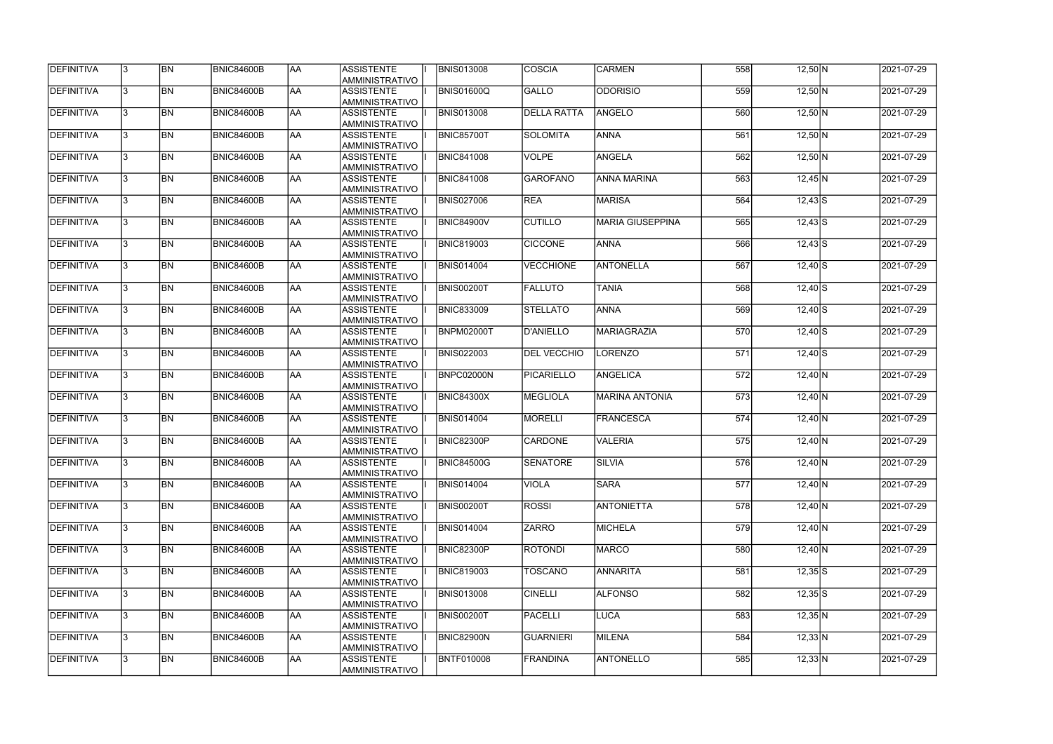| DEFINITIVA         | 13.          | <b>BN</b> | <b>BNIC84600B</b> | AA        | <b>ASSISTENTE</b><br>AMMINISTRATIVO        | <b>BNIS013008</b> | <b>COSCIA</b>      | <b>CARMEN</b>           | 558 | $12,50 \, N$ | 2021-07-29 |
|--------------------|--------------|-----------|-------------------|-----------|--------------------------------------------|-------------------|--------------------|-------------------------|-----|--------------|------------|
| <b>DEFINITIVA</b>  | l3.          | <b>BN</b> | BNIC84600B        | <b>AA</b> | <b>ASSISTENTE</b><br>AMMINISTRATIVO        | <b>BNIS01600Q</b> | GALLO              | <b>ODORISIO</b>         | 559 | $12,50$ N    | 2021-07-29 |
| DEFINITIVA         |              | <b>BN</b> | <b>BNIC84600B</b> | <b>AA</b> | <b>ASSISTENTE</b><br>AMMINISTRATIVO        | <b>BNIS013008</b> | <b>DELLA RATTA</b> | ANGELO                  | 560 | $12,50$ N    | 2021-07-29 |
| <b>DEFINITIVA</b>  | $\mathbf{3}$ | <b>BN</b> | BNIC84600B        | <b>AA</b> | <b>ASSISTENTE</b><br>AMMINISTRATIVO        | <b>BNIC85700T</b> | SOLOMITA           | <b>ANNA</b>             | 561 | $12,50$ N    | 2021-07-29 |
| <b>DEFINITIVA</b>  |              | <b>BN</b> | BNIC84600B        | AA        | <b>ASSISTENTE</b><br><b>AMMINISTRATIVO</b> | <b>BNIC841008</b> | <b>VOLPE</b>       | <b>ANGELA</b>           | 562 | $12,50$ N    | 2021-07-29 |
| DEFINITIVA         |              | <b>BN</b> | BNIC84600B        | laa       | <b>ASSISTENTE</b><br><b>AMMINISTRATIVO</b> | <b>BNIC841008</b> | <b>GAROFANO</b>    | <b>ANNA MARINA</b>      | 563 | $12,45$ N    | 2021-07-29 |
| DEFINITIVA         |              | <b>BN</b> | <b>BNIC84600B</b> | <b>AA</b> | <b>ASSISTENTE</b><br><b>AMMINISTRATIVO</b> | <b>BNIS027006</b> | <b>REA</b>         | <b>MARISA</b>           | 564 | $12,43$ $S$  | 2021-07-29 |
| DEFINITIVA         |              | <b>BN</b> | BNIC84600B        | <b>AA</b> | <b>ASSISTENTE</b><br>AMMINISTRATIVO        | <b>BNIC84900V</b> | <b>CUTILLO</b>     | <b>MARIA GIUSEPPINA</b> | 565 | $12,43$ S    | 2021-07-29 |
| DEFINITIVA         |              | <b>BN</b> | <b>BNIC84600B</b> | <b>AA</b> | <b>ASSISTENTE</b><br>AMMINISTRATIVO        | <b>BNIC819003</b> | <b>CICCONE</b>     | <b>ANNA</b>             | 566 | $12,43$ $S$  | 2021-07-29 |
| DEFINITIVA         |              | <b>BN</b> | BNIC84600B        | <b>AA</b> | <b>ASSISTENTE</b><br>AMMINISTRATIVO        | <b>BNIS014004</b> | <b>VECCHIONE</b>   | <b>ANTONELLA</b>        | 567 | $12,40$ $S$  | 2021-07-29 |
| DEFINITIVA         |              | <b>BN</b> | <b>BNIC84600B</b> | <b>AA</b> | <b>ASSISTENTE</b><br>AMMINISTRATIVO        | <b>BNIS00200T</b> | <b>FALLUTO</b>     | <b>TANIA</b>            | 568 | $12,40$ $S$  | 2021-07-29 |
| <b>IDEFINITIVA</b> |              | <b>BN</b> | BNIC84600B        | <b>AA</b> | <b>ASSISTENTE</b><br>AMMINISTRATIVO        | <b>BNIC833009</b> | <b>STELLATO</b>    | <b>ANNA</b>             | 569 | $12,40$ S    | 2021-07-29 |
| DEFINITIVA         |              | <b>BN</b> | <b>BNIC84600B</b> | <b>AA</b> | <b>ASSISTENTE</b><br>AMMINISTRATIVO        | <b>BNPM02000T</b> | D'ANIELLO          | <b>MARIAGRAZIA</b>      | 570 | $12,40$ S    | 2021-07-29 |
| DEFINITIVA         |              | <b>BN</b> | <b>BNIC84600B</b> | <b>AA</b> | <b>ASSISTENTE</b><br><b>AMMINISTRATIVO</b> | <b>BNIS022003</b> | <b>DEL VECCHIO</b> | <b>LORENZO</b>          | 571 | $12,40$ S    | 2021-07-29 |
| DEFINITIVA         |              | <b>BN</b> | <b>BNIC84600B</b> | <b>AA</b> | <b>ASSISTENTE</b><br><b>AMMINISTRATIVO</b> | <b>BNPC02000N</b> | PICARIELLO         | <b>ANGELICA</b>         | 572 | $12,40$ N    | 2021-07-29 |
| DEFINITIVA         |              | <b>BN</b> | BNIC84600B        | laa       | <b>ASSISTENTE</b><br>AMMINISTRATIVO        | <b>BNIC84300X</b> | MEGLIOLA           | <b>MARINA ANTONIA</b>   | 573 | $12,40$ N    | 2021-07-29 |
| DEFINITIVA         | $\mathbf{R}$ | <b>BN</b> | BNIC84600B        | laa       | <b>ASSISTENTE</b><br>AMMINISTRATIVO        | <b>BNIS014004</b> | MORELLI            | <b>FRANCESCA</b>        | 574 | $12,40$ N    | 2021-07-29 |
| DEFINITIVA         |              | <b>BN</b> | <b>BNIC84600B</b> | <b>AA</b> | <b>ASSISTENTE</b><br>AMMINISTRATIVO        | <b>BNIC82300P</b> | <b>CARDONE</b>     | <b>VALERIA</b>          | 575 | $12,40$ N    | 2021-07-29 |
| DEFINITIVA         | 13.          | <b>BN</b> | <b>BNIC84600B</b> | AA        | <b>ASSISTENTE</b><br>AMMINISTRATIVO        | <b>BNIC84500G</b> | <b>SENATORE</b>    | <b>SILVIA</b>           | 576 | $12,40$ N    | 2021-07-29 |
| <b>DEFINITIVA</b>  | $\mathbf{3}$ | <b>BN</b> | BNIC84600B        | <b>AA</b> | ASSISTENTE<br>AMMINISTRATIVO               | <b>BNIS014004</b> | VIOLA              | <b>SARA</b>             | 577 | $12,40 \, N$ | 2021-07-29 |
| <b>DEFINITIVA</b>  | 13.          | <b>BN</b> | BNIC84600B        | AA        | <b>ASSISTENTE</b><br>AMMINISTRATIVO        | <b>BNIS00200T</b> | <b>ROSSI</b>       | <b>ANTONIETTA</b>       | 578 | $12,40$ N    | 2021-07-29 |
| DEFINITIVA         |              | <b>BN</b> | BNIC84600B        | <b>AA</b> | <b>ASSISTENTE</b><br>AMMINISTRATIVO        | <b>BNIS014004</b> | <b>ZARRO</b>       | <b>MICHELA</b>          | 579 | $12,40$ N    | 2021-07-29 |
| DEFINITIVA         |              | <b>BN</b> | BNIC84600B        | <b>AA</b> | ASSISTENTE<br>AMMINISTRATIVO               | <b>BNIC82300P</b> | <b>ROTONDI</b>     | <b>MARCO</b>            | 580 | $12,40$ N    | 2021-07-29 |
| DEFINITIVA         |              | <b>BN</b> | BNIC84600B        | AA        | <b>ASSISTENTE</b><br>AMMINISTRATIVO        | <b>BNIC819003</b> | <b>TOSCANO</b>     | <b>ANNARITA</b>         | 581 | $12,35$ S    | 2021-07-29 |
| DEFINITIVA         |              | <b>BN</b> | BNIC84600B        | <b>AA</b> | ASSISTENTE<br>AMMINISTRATIVO               | <b>BNIS013008</b> | <b>CINELLI</b>     | <b>ALFONSO</b>          | 582 | $12,35$ S    | 2021-07-29 |
| DEFINITIVA         |              | <b>BN</b> | BNIC84600B        | <b>AA</b> | ASSISTENTE<br>AMMINISTRATIVO               | <b>BNIS00200T</b> | PACELLI            | <b>LUCA</b>             | 583 | $12,35$ N    | 2021-07-29 |
| <b>DEFINITIVA</b>  | l3.          | <b>BN</b> | BNIC84600B        | <b>AA</b> | ASSISTENTE<br>AMMINISTRATIVO               | <b>BNIC82900N</b> | <b>GUARNIERI</b>   | <b>MILENA</b>           | 584 | $12,33$ N    | 2021-07-29 |
| <b>DEFINITIVA</b>  |              | <b>BN</b> | BNIC84600B        | <b>AA</b> | <b>ASSISTENTE</b><br>AMMINISTRATIVO        | BNTF010008        | FRANDINA           | <b>ANTONELLO</b>        | 585 | $12,33$ N    | 2021-07-29 |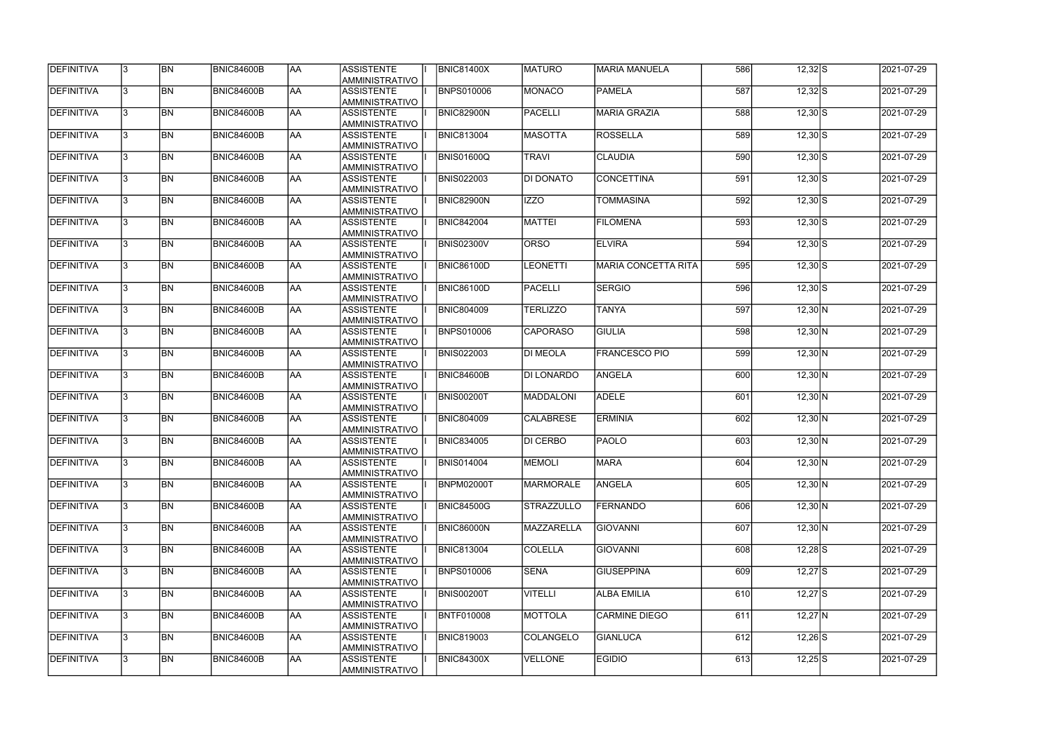| DEFINITIVA        | 13. | <b>BN</b> | <b>BNIC84600B</b> | AA         | <b>ASSISTENTE</b><br>AMMINISTRATIVO        | <b>BNIC81400X</b> | <b>MATURO</b>     | <b>MARIA MANUELA</b>       | 586 | $12,32$ S        | 2021-07-29 |
|-------------------|-----|-----------|-------------------|------------|--------------------------------------------|-------------------|-------------------|----------------------------|-----|------------------|------------|
| DEFINITIVA        | 13. | <b>BN</b> | <b>BNIC84600B</b> | laa        | <b>ASSISTENTE</b><br>AMMINISTRATIVO        | <b>BNPS010006</b> | MONACO            | <b>PAMELA</b>              | 587 | $12,32$ $S$      | 2021-07-29 |
| DEFINITIVA        | 13. | <b>BN</b> | <b>BNIC84600B</b> | AA         | <b>ASSISTENTE</b><br>AMMINISTRATIVO        | <b>BNIC82900N</b> | PACELLI           | <b>MARIA GRAZIA</b>        | 588 | $12,30$ S        | 2021-07-29 |
| DEFINITIVA        | l3. | <b>BN</b> | <b>BNIC84600B</b> | laa        | <b>ASSISTENTE</b><br>AMMINISTRATIVO        | <b>BNIC813004</b> | <b>MASOTTA</b>    | <b>ROSSELLA</b>            | 589 | $12,30$ S        | 2021-07-29 |
| DEFINITIVA        | 13. | <b>BN</b> | BNIC84600B        | laa        | <b>ASSISTENTE</b><br>AMMINISTRATIVO        | <b>BNIS01600Q</b> | <b>TRAVI</b>      | <b>CLAUDIA</b>             | 590 | $12,30$ S        | 2021-07-29 |
| DEFINITIVA        | 3   | <b>BN</b> | <b>BNIC84600B</b> | laa        | <b>ASSISTENTE</b><br>AMMINISTRATIVO        | <b>BNIS022003</b> | <b>DI DONATO</b>  | <b>CONCETTINA</b>          | 591 | $12,30$ S        | 2021-07-29 |
| DEFINITIVA        |     | <b>BN</b> | <b>BNIC84600B</b> | laa        | <b>ASSISTENTE</b><br><b>AMMINISTRATIVO</b> | <b>BNIC82900N</b> | <b>IZZO</b>       | <b>TOMMASINA</b>           | 592 | $12,30$ S        | 2021-07-29 |
| DEFINITIVA        |     | <b>BN</b> | <b>BNIC84600B</b> | laa        | <b>ASSISTENTE</b><br>AMMINISTRATIVO        | <b>BNIC842004</b> | MATTEI            | <b>FILOMENA</b>            | 593 | $12,30$ S        | 2021-07-29 |
| DEFINITIVA        |     | <b>BN</b> | <b>BNIC84600B</b> | laa        | <b>ASSISTENTE</b><br>AMMINISTRATIVO        | <b>BNIS02300V</b> | <b>ORSO</b>       | <b>ELVIRA</b>              | 594 | $12,30$ S        | 2021-07-29 |
| DEFINITIVA        | l3. | <b>BN</b> | <b>BNIC84600B</b> | laa        | <b>ASSISTENTE</b><br>AMMINISTRATIVO        | <b>BNIC86100D</b> | <b>LEONETTI</b>   | <b>MARIA CONCETTA RITA</b> | 595 | $12,30$ S        | 2021-07-29 |
| DEFINITIVA        | l3. | <b>BN</b> | <b>BNIC84600B</b> | AA         | <b>ASSISTENTE</b><br>AMMINISTRATIVO        | <b>BNIC86100D</b> | PACELLI           | <b>SERGIO</b>              | 596 | $12,30$ S        | 2021-07-29 |
| DEFINITIVA        | 3   | <b>BN</b> | <b>BNIC84600B</b> | <b>AA</b>  | <b>ASSISTENTE</b><br>AMMINISTRATIVO        | <b>BNIC804009</b> | <b>TERLIZZO</b>   | <b>TANYA</b>               | 597 | $12,30$ N        | 2021-07-29 |
| DEFINITIVA        | l3. | <b>BN</b> | <b>BNIC84600B</b> | AA         | <b>ASSISTENTE</b><br>AMMINISTRATIVO        | <b>BNPS010006</b> | <b>CAPORASO</b>   | <b>GIULIA</b>              | 598 | $12,30 \text{N}$ | 2021-07-29 |
| DEFINITIVA        | 3   | <b>BN</b> | <b>BNIC84600B</b> | AA         | <b>ASSISTENTE</b><br>AMMINISTRATIVO        | <b>BNIS022003</b> | <b>DI MEOLA</b>   | <b>FRANCESCO PIO</b>       | 599 | $12,30$ N        | 2021-07-29 |
| DEFINITIVA        |     | <b>BN</b> | <b>BNIC84600B</b> | AA         | <b>ASSISTENTE</b><br><b>AMMINISTRATIVO</b> | <b>BNIC84600B</b> | DI LONARDO        | <b>ANGELA</b>              | 600 | $12,30 \text{N}$ | 2021-07-29 |
| DEFINITIVA        |     | <b>BN</b> | <b>BNIC84600B</b> | AA         | <b>ASSISTENTE</b><br>AMMINISTRATIVO        | <b>BNIS00200T</b> | MADDALONI         | <b>ADELE</b>               | 601 | $12,30 \, N$     | 2021-07-29 |
| DEFINITIVA        | 3   | <b>BN</b> | <b>BNIC84600B</b> | AA         | <b>ASSISTENTE</b><br>AMMINISTRATIVO        | <b>BNIC804009</b> | <b>CALABRESE</b>  | <b>ERMINIA</b>             | 602 | $12,30 \, N$     | 2021-07-29 |
| DEFINITIVA        |     | <b>BN</b> | <b>BNIC84600B</b> | AA         | <b>ASSISTENTE</b><br>AMMINISTRATIVO        | <b>BNIC834005</b> | DI CERBO          | <b>PAOLO</b>               | 603 | $12,30 \, N$     | 2021-07-29 |
| DEFINITIVA        | 13  | BN        | <b>BNIC84600B</b> | <b>JAA</b> | <b>ASSISTENTE</b><br>AMMINISTRATIVO        | <b>BNIS014004</b> | MEMOLI            | <b>MARA</b>                | 604 | $12,30 \ N$      | 2021-07-29 |
| <b>DEFINITIVA</b> | l3. | <b>BN</b> | <b>BNIC84600B</b> | <b>AA</b>  | <b>ASSISTENTE</b><br>AMMINISTRATIVO        | <b>BNPM02000T</b> | <b>MARMORALE</b>  | <b>ANGELA</b>              | 605 | $12,30 \, N$     | 2021-07-29 |
| DEFINITIVA        | l3. | <b>BN</b> | <b>BNIC84600B</b> | <b>AA</b>  | <b>ASSISTENTE</b><br>AMMINISTRATIVO        | <b>BNIC84500G</b> | <b>STRAZZULLO</b> | <b>FERNANDO</b>            | 606 | $12,30$ N        | 2021-07-29 |
| DEFINITIVA        | 3   | <b>BN</b> | <b>BNIC84600B</b> | AA         | <b>ASSISTENTE</b><br>AMMINISTRATIVO        | BNIC86000N        | MAZZARELLA        | <b>GIOVANNI</b>            | 607 | $12,30 \, N$     | 2021-07-29 |
| <b>DEFINITIVA</b> | 3   | <b>BN</b> | <b>BNIC84600B</b> | AA         | <b>ASSISTENTE</b><br>AMMINISTRATIVO        | <b>BNIC813004</b> | <b>COLELLA</b>    | <b>GIOVANNI</b>            | 608 | $12,28$ S        | 2021-07-29 |
| DEFINITIVA        |     | <b>BN</b> | <b>BNIC84600B</b> | AA         | <b>ASSISTENTE</b><br>AMMINISTRATIVO        | <b>BNPS010006</b> | <b>SENA</b>       | <b>GIUSEPPINA</b>          | 609 | $12,27$ $S$      | 2021-07-29 |
| DEFINITIVA        |     | <b>BN</b> | <b>BNIC84600B</b> | AA         | <b>ASSISTENTE</b><br>AMMINISTRATIVO        | <b>BNIS00200T</b> | <b>VITELLI</b>    | <b>ALBA EMILIA</b>         | 610 | $12,27$ $S$      | 2021-07-29 |
| DEFINITIVA        | I3. | <b>BN</b> | <b>BNIC84600B</b> | AA         | <b>ASSISTENTE</b><br>AMMINISTRATIVO        | <b>BNTF010008</b> | <b>MOTTOLA</b>    | <b>CARMINE DIEGO</b>       | 611 | $12,27$ N        | 2021-07-29 |
| DEFINITIVA        | 13. | <b>BN</b> | <b>BNIC84600B</b> | laa        | <b>ASSISTENTE</b><br>AMMINISTRATIVO        | <b>BNIC819003</b> | <b>COLANGELO</b>  | <b>GIANLUCA</b>            | 612 | $12,26$ S        | 2021-07-29 |
| DEFINITIVA        |     | <b>BN</b> | <b>BNIC84600B</b> | <b>AA</b>  | <b>ASSISTENTE</b><br>AMMINISTRATIVO        | <b>BNIC84300X</b> | <b>VELLONE</b>    | <b>EGIDIO</b>              | 613 | $12,25$ S        | 2021-07-29 |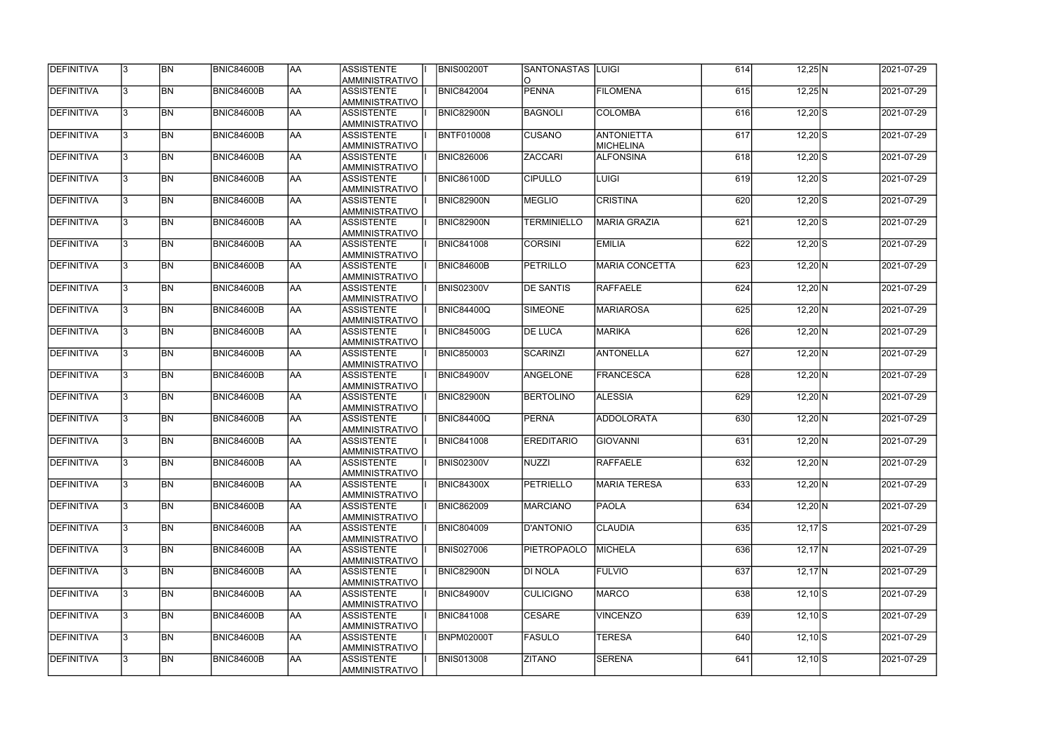| DEFINITIVA        | 13.          | <b>BN</b> | <b>BNIC84600B</b> | <b>AA</b> | <b>ASSISTENTE</b><br>AMMINISTRATIVO        | <b>BNIS00200T</b> | SANTONASTAS   LUIGI |                                       | 614 | $12,25$ N        | 2021-07-29 |
|-------------------|--------------|-----------|-------------------|-----------|--------------------------------------------|-------------------|---------------------|---------------------------------------|-----|------------------|------------|
| <b>DEFINITIVA</b> | l3.          | <b>BN</b> | <b>BNIC84600B</b> | AA        | <b>ASSISTENTE</b><br>AMMINISTRATIVO        | <b>BNIC842004</b> | <b>PENNA</b>        | <b>FILOMENA</b>                       | 615 | $12,25$ N        | 2021-07-29 |
| DEFINITIVA        |              | <b>BN</b> | <b>BNIC84600B</b> | <b>AA</b> | <b>ASSISTENTE</b><br>AMMINISTRATIVO        | <b>BNIC82900N</b> | BAGNOLI             | <b>COLOMBA</b>                        | 616 | $12,20$ S        | 2021-07-29 |
| <b>DEFINITIVA</b> |              | <b>BN</b> | BNIC84600B        | <b>AA</b> | <b>ASSISTENTE</b><br>AMMINISTRATIVO        | <b>BNTF010008</b> | <b>CUSANO</b>       | <b>ANTONIETTA</b><br><b>MICHELINA</b> | 617 | $12,20$ S        | 2021-07-29 |
| <b>DEFINITIVA</b> |              | <b>BN</b> | BNIC84600B        | AA        | <b>ASSISTENTE</b><br><b>AMMINISTRATIVO</b> | <b>BNIC826006</b> | <b>ZACCARI</b>      | <b>ALFONSINA</b>                      | 618 | $12,20$ S        | 2021-07-29 |
| DEFINITIVA        |              | <b>BN</b> | BNIC84600B        | laa       | <b>ASSISTENTE</b><br><b>AMMINISTRATIVO</b> | <b>BNIC86100D</b> | <b>CIPULLO</b>      | <b>LUIGI</b>                          | 619 | $12,20$ S        | 2021-07-29 |
| DEFINITIVA        |              | <b>BN</b> | <b>BNIC84600B</b> | <b>AA</b> | <b>ASSISTENTE</b><br><b>AMMINISTRATIVO</b> | <b>BNIC82900N</b> | MEGLIO              | <b>CRISTINA</b>                       | 620 | $12,20$ S        | 2021-07-29 |
| DEFINITIVA        |              | <b>BN</b> | BNIC84600B        | <b>AA</b> | <b>ASSISTENTE</b><br>AMMINISTRATIVO        | <b>BNIC82900N</b> | <b>TERMINIELLO</b>  | <b>MARIA GRAZIA</b>                   | 621 | $12,20$ S        | 2021-07-29 |
| DEFINITIVA        |              | <b>BN</b> | <b>BNIC84600B</b> | <b>AA</b> | <b>ASSISTENTE</b><br>AMMINISTRATIVO        | <b>BNIC841008</b> | <b>CORSINI</b>      | <b>EMILIA</b>                         | 622 | $12,20$ S        | 2021-07-29 |
| DEFINITIVA        |              | <b>BN</b> | BNIC84600B        | <b>AA</b> | <b>ASSISTENTE</b><br>AMMINISTRATIVO        | <b>BNIC84600B</b> | PETRILLO            | <b>MARIA CONCETTA</b>                 | 623 | $12,20 \, N$     | 2021-07-29 |
| DEFINITIVA        |              | <b>BN</b> | <b>BNIC84600B</b> | <b>AA</b> | <b>ASSISTENTE</b><br>AMMINISTRATIVO        | <b>BNIS02300V</b> | <b>DE SANTIS</b>    | <b>RAFFAELE</b>                       | 624 | $12,20$ N        | 2021-07-29 |
| DEFINITIVA        |              | <b>BN</b> | BNIC84600B        | <b>AA</b> | <b>ASSISTENTE</b><br>AMMINISTRATIVO        | <b>BNIC84400Q</b> | SIMEONE             | <b>MARIAROSA</b>                      | 625 | $12,20$ N        | 2021-07-29 |
| DEFINITIVA        |              | <b>BN</b> | <b>BNIC84600B</b> | <b>AA</b> | <b>ASSISTENTE</b><br>AMMINISTRATIVO        | <b>BNIC84500G</b> | <b>DE LUCA</b>      | <b>MARIKA</b>                         | 626 | $12,20 \text{N}$ | 2021-07-29 |
| <b>DEFINITIVA</b> |              | <b>BN</b> | <b>BNIC84600B</b> | <b>AA</b> | <b>ASSISTENTE</b><br><b>AMMINISTRATIVO</b> | <b>BNIC850003</b> | SCARINZI            | <b>ANTONELLA</b>                      | 627 | $12,20 \, N$     | 2021-07-29 |
| DEFINITIVA        |              | <b>BN</b> | BNIC84600B        | <b>AA</b> | <b>ASSISTENTE</b><br><b>AMMINISTRATIVO</b> | <b>BNIC84900V</b> | ANGELONE            | <b>FRANCESCA</b>                      | 628 | $12,20 \, N$     | 2021-07-29 |
| DEFINITIVA        |              | <b>BN</b> | BNIC84600B        | laa       | <b>ASSISTENTE</b><br>AMMINISTRATIVO        | <b>BNIC82900N</b> | <b>BERTOLINO</b>    | <b>ALESSIA</b>                        | 629 | $12,20 \, N$     | 2021-07-29 |
| DEFINITIVA        | 3            | <b>BN</b> | BNIC84600B        | laa       | <b>ASSISTENTE</b><br>AMMINISTRATIVO        | <b>BNIC84400Q</b> | PERNA               | <b>ADDOLORATA</b>                     | 630 | $12,20 \, N$     | 2021-07-29 |
| DEFINITIVA        |              | <b>BN</b> | BNIC84600B        | <b>AA</b> | <b>ASSISTENTE</b><br>AMMINISTRATIVO        | <b>BNIC841008</b> | <b>EREDITARIO</b>   | <b>GIOVANNI</b>                       | 631 | $12,20 \text{N}$ | 2021-07-29 |
| DEFINITIVA        | 13.          | <b>BN</b> | <b>BNIC84600B</b> | AA        | <b>ASSISTENTE</b><br>AMMINISTRATIVO        | <b>BNIS02300V</b> | NUZZI               | RAFFAELE                              | 632 | $12,20 \, N$     | 2021-07-29 |
| <b>DEFINITIVA</b> | $\mathbf{3}$ | <b>BN</b> | BNIC84600B        | <b>AA</b> | ASSISTENTE<br>AMMINISTRATIVO               | <b>BNIC84300X</b> | PETRIELLO           | <b>MARIA TERESA</b>                   | 633 | $12,20$ N        | 2021-07-29 |
| <b>DEFINITIVA</b> | 13.          | <b>BN</b> | BNIC84600B        | AA        | <b>ASSISTENTE</b><br>AMMINISTRATIVO        | <b>BNIC862009</b> | <b>MARCIANO</b>     | <b>PAOLA</b>                          | 634 | $12,20$ N        | 2021-07-29 |
| DEFINITIVA        |              | <b>BN</b> | BNIC84600B        | <b>AA</b> | <b>ASSISTENTE</b><br>AMMINISTRATIVO        | <b>BNIC804009</b> | D'ANTONIO           | <b>CLAUDIA</b>                        | 635 | $12,17$ S        | 2021-07-29 |
| DEFINITIVA        |              | <b>BN</b> | BNIC84600B        | <b>AA</b> | ASSISTENTE<br>AMMINISTRATIVO               | <b>BNIS027006</b> | <b>PIETROPAOLO</b>  | <b>MICHELA</b>                        | 636 | $12,17$ N        | 2021-07-29 |
| DEFINITIVA        |              | <b>BN</b> | BNIC84600B        | <b>AA</b> | <b>ASSISTENTE</b><br>AMMINISTRATIVO        | <b>BNIC82900N</b> | DI NOLA             | <b>FULVIO</b>                         | 637 | $12,17$ N        | 2021-07-29 |
| DEFINITIVA        |              | <b>BN</b> | BNIC84600B        | <b>AA</b> | ASSISTENTE<br>AMMINISTRATIVO               | <b>BNIC84900V</b> | <b>CULICIGNO</b>    | <b>MARCO</b>                          | 638 | $12,10$ S        | 2021-07-29 |
| DEFINITIVA        |              | <b>BN</b> | BNIC84600B        | <b>AA</b> | ASSISTENTE<br>AMMINISTRATIVO               | <b>BNIC841008</b> | <b>CESARE</b>       | <b>VINCENZO</b>                       | 639 | $12,10$ S        | 2021-07-29 |
| <b>DEFINITIVA</b> | l3.          | <b>BN</b> | BNIC84600B        | <b>AA</b> | ASSISTENTE<br>AMMINISTRATIVO               | <b>BNPM02000T</b> | <b>FASULO</b>       | <b>TERESA</b>                         | 640 | $12,10$ S        | 2021-07-29 |
| <b>DEFINITIVA</b> |              | <b>BN</b> | BNIC84600B        | <b>AA</b> | <b>ASSISTENTE</b><br>AMMINISTRATIVO        | <b>BNIS013008</b> | <b>ZITANO</b>       | <b>SERENA</b>                         | 641 | $12,10$ S        | 2021-07-29 |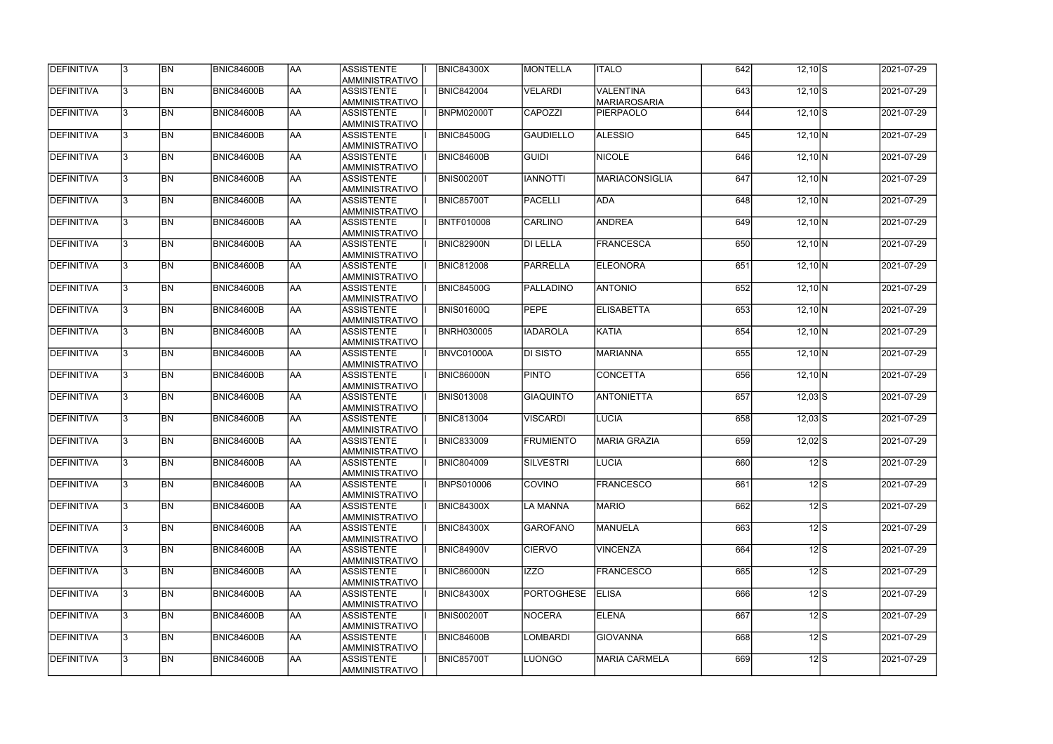| DEFINITIVA         | 13.          | <b>BN</b> | <b>BNIC84600B</b> | <b>AA</b> | <b>ASSISTENTE</b><br>AMMINISTRATIVO        | <b>BNIC84300X</b> | MONTELLA         | <b>ITALO</b>                            | 642 | $12,10$ $S$  |                                      | 2021-07-29 |
|--------------------|--------------|-----------|-------------------|-----------|--------------------------------------------|-------------------|------------------|-----------------------------------------|-----|--------------|--------------------------------------|------------|
| <b>DEFINITIVA</b>  | l3.          | <b>BN</b> | BNIC84600B        | <b>AA</b> | <b>ASSISTENTE</b><br>AMMINISTRATIVO        | <b>BNIC842004</b> | <b>VELARDI</b>   | <b>VALENTINA</b><br><b>MARIAROSARIA</b> | 643 | $12,10$ S    |                                      | 2021-07-29 |
| DEFINITIVA         |              | <b>BN</b> | BNIC84600B        | <b>AA</b> | <b>ASSISTENTE</b><br>AMMINISTRATIVO        | <b>BNPM02000T</b> | CAPOZZI          | <b>PIERPAOLO</b>                        | 644 | $12,10$ $S$  |                                      | 2021-07-29 |
| <b>DEFINITIVA</b>  | $\mathbf{3}$ | <b>BN</b> | BNIC84600B        | <b>AA</b> | <b>ASSISTENTE</b><br>AMMINISTRATIVO        | <b>BNIC84500G</b> | GAUDIELLO        | <b>ALESSIO</b>                          | 645 | $12,10$ N    |                                      | 2021-07-29 |
| <b>DEFINITIVA</b>  |              | <b>BN</b> | BNIC84600B        | AA        | <b>ASSISTENTE</b><br><b>AMMINISTRATIVO</b> | <b>BNIC84600B</b> | <b>GUIDI</b>     | <b>NICOLE</b>                           | 646 | $12,10$ N    |                                      | 2021-07-29 |
| DEFINITIVA         |              | <b>BN</b> | BNIC84600B        | AA        | <b>ASSISTENTE</b><br><b>AMMINISTRATIVO</b> | <b>BNIS00200T</b> | <b>IANNOTTI</b>  | <b>MARIACONSIGLIA</b>                   | 647 | $12,10 \, N$ |                                      | 2021-07-29 |
| DEFINITIVA         |              | <b>BN</b> | <b>BNIC84600B</b> | <b>AA</b> | <b>ASSISTENTE</b><br>AMMINISTRATIVO        | <b>BNIC85700T</b> | PACELLI          | <b>ADA</b>                              | 648 | $12,10 \, N$ |                                      | 2021-07-29 |
| DEFINITIVA         |              | <b>BN</b> | BNIC84600B        | <b>AA</b> | <b>ASSISTENTE</b><br>AMMINISTRATIVO        | <b>BNTF010008</b> | <b>CARLINO</b>   | <b>ANDREA</b>                           | 649 | $12,10 \, N$ |                                      | 2021-07-29 |
| DEFINITIVA         |              | <b>BN</b> | BNIC84600B        | <b>AA</b> | <b>ASSISTENTE</b><br><b>AMMINISTRATIVO</b> | <b>BNIC82900N</b> | <b>DI LELLA</b>  | <b>FRANCESCA</b>                        | 650 | $12,10 \, N$ |                                      | 2021-07-29 |
| DEFINITIVA         |              | <b>BN</b> | BNIC84600B        | <b>AA</b> | <b>ASSISTENTE</b><br>AMMINISTRATIVO        | <b>BNIC812008</b> | PARRELLA         | <b>ELEONORA</b>                         | 651 | $12,10\,N$   |                                      | 2021-07-29 |
| DEFINITIVA         |              | <b>BN</b> | BNIC84600B        | <b>AA</b> | <b>ASSISTENTE</b><br>AMMINISTRATIVO        | <b>BNIC84500G</b> | PALLADINO        | <b>ANTONIO</b>                          | 652 | $12,10 \, N$ |                                      | 2021-07-29 |
| <b>IDEFINITIVA</b> |              | <b>BN</b> | BNIC84600B        | <b>AA</b> | <b>ASSISTENTE</b><br>AMMINISTRATIVO        | <b>BNIS01600Q</b> | PEPE             | <b>ELISABETTA</b>                       | 653 | $12,10 \, N$ |                                      | 2021-07-29 |
| DEFINITIVA         |              | <b>BN</b> | BNIC84600B        | <b>AA</b> | <b>ASSISTENTE</b><br>AMMINISTRATIVO        | <b>BNRH030005</b> | <b>IADAROLA</b>  | <b>KATIA</b>                            | 654 | $12,10 \, N$ |                                      | 2021-07-29 |
| DEFINITIVA         |              | <b>BN</b> | <b>BNIC84600B</b> | <b>AA</b> | <b>ASSISTENTE</b><br><b>AMMINISTRATIVO</b> | <b>BNVC01000A</b> | <b>DI SISTO</b>  | <b>MARIANNA</b>                         | 655 | $12,10 \, N$ |                                      | 2021-07-29 |
| DEFINITIVA         |              | <b>BN</b> | BNIC84600B        | <b>AA</b> | <b>ASSISTENTE</b><br>AMMINISTRATIVO        | <b>BNIC86000N</b> | <b>PINTO</b>     | <b>CONCETTA</b>                         | 656 | $12,10 \, N$ |                                      | 2021-07-29 |
| DEFINITIVA         |              | <b>BN</b> | BNIC84600B        | laa       | <b>ASSISTENTE</b><br>AMMINISTRATIVO        | <b>BNIS013008</b> | <b>GIAQUINTO</b> | <b>ANTONIETTA</b>                       | 657 | $12,03$ $S$  |                                      | 2021-07-29 |
| DEFINITIVA         | $\mathbf{R}$ | <b>BN</b> | BNIC84600B        | laa       | <b>ASSISTENTE</b><br>AMMINISTRATIVO        | <b>BNIC813004</b> | VISCARDI         | <b>LUCIA</b>                            | 658 | $12,03$ $S$  |                                      | 2021-07-29 |
| DEFINITIVA         |              | <b>BN</b> | BNIC84600B        | <b>AA</b> | <b>ASSISTENTE</b><br>AMMINISTRATIVO        | <b>BNIC833009</b> | <b>FRUMIENTO</b> | <b>MARIA GRAZIA</b>                     | 659 | $12,02$ S    |                                      | 2021-07-29 |
| <b>DEFINITIVA</b>  | 13.          | <b>BN</b> | <b>BNIC84600B</b> | AA        | <b>ASSISTENTE</b><br>AMMINISTRATIVO        | <b>BNIC804009</b> | <b>SILVESTRI</b> | <b>LUCIA</b>                            | 660 |              | $12\overline{\smash{\vert S \vert}}$ | 2021-07-29 |
| <b>DEFINITIVA</b>  |              | <b>BN</b> | BNIC84600B        | AA        | <b>ASSISTENTE</b><br>AMMINISTRATIVO        | BNPS010006        | <b>COVINO</b>    | <b>FRANCESCO</b>                        | 661 |              | $\overline{12}$ S                    | 2021-07-29 |
| <b>DEFINITIVA</b>  | l3.          | <b>BN</b> | BNIC84600B        | AA        | <b>ASSISTENTE</b><br>AMMINISTRATIVO        | <b>BNIC84300X</b> | LA MANNA         | <b>MARIO</b>                            | 662 |              | $\overline{12}$ S                    | 2021-07-29 |
| DEFINITIVA         |              | <b>BN</b> | BNIC84600B        | <b>AA</b> | <b>ASSISTENTE</b><br>AMMINISTRATIVO        | <b>BNIC84300X</b> | GAROFANO         | <b>MANUELA</b>                          | 663 |              | $\overline{12}$ S                    | 2021-07-29 |
| DEFINITIVA         |              | <b>BN</b> | BNIC84600B        | <b>AA</b> | ASSISTENTE<br>AMMINISTRATIVO               | <b>BNIC84900V</b> | <b>CIERVO</b>    | <b>VINCENZA</b>                         | 664 |              | $12\overline{\smash{\vert S \vert}}$ | 2021-07-29 |
| DEFINITIVA         |              | <b>BN</b> | BNIC84600B        | AA        | <b>ASSISTENTE</b><br>AMMINISTRATIVO        | <b>BNIC86000N</b> | IZZO             | <b>FRANCESCO</b>                        | 665 |              | $12\overline{\smash{\vert S \vert}}$ | 2021-07-29 |
| DEFINITIVA         |              | <b>BN</b> | BNIC84600B        | <b>AA</b> | ASSISTENTE<br>AMMINISTRATIVO               | <b>BNIC84300X</b> | PORTOGHESE       | <b>ELISA</b>                            | 666 |              | $12\overline{\smash{\vert S \vert}}$ | 2021-07-29 |
| DEFINITIVA         |              | <b>BN</b> | BNIC84600B        | <b>AA</b> | ASSISTENTE<br>AMMINISTRATIVO               | <b>BNIS00200T</b> | NOCERA           | <b>ELENA</b>                            | 667 |              | $12\overline{\smash{\vert S \vert}}$ | 2021-07-29 |
| <b>DEFINITIVA</b>  |              | <b>BN</b> | BNIC84600B        | <b>AA</b> | ASSISTENTE<br>AMMINISTRATIVO               | <b>BNIC84600B</b> | LOMBARDI         | <b>GIOVANNA</b>                         | 668 |              | $12\overline{\smash{\big }S}$        | 2021-07-29 |
| <b>DEFINITIVA</b>  |              | <b>BN</b> | BNIC84600B        | <b>AA</b> | <b>ASSISTENTE</b><br>AMMINISTRATIVO        | <b>BNIC85700T</b> | LUONGO           | <b>MARIA CARMELA</b>                    | 669 |              | $12\overline{\smash{\big }S}$        | 2021-07-29 |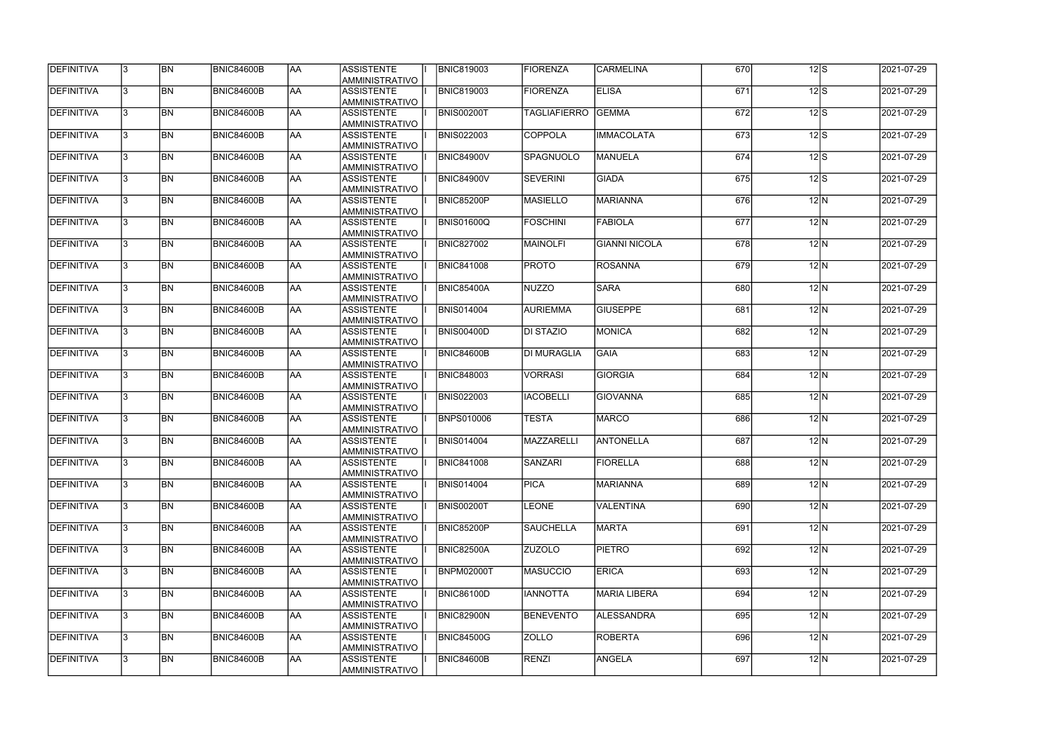| <b>DEFINITIVA</b> | 13.          | <b>BN</b> | <b>BNIC84600B</b> | <b>AA</b>  | <b>ASSISTENTE</b><br><b>AMMINISTRATIVO</b> | <b>BNIC819003</b> | FIORENZA            | <b>CARMELINA</b>     | 670 | $\overline{12}$ S         | 2021-07-29 |
|-------------------|--------------|-----------|-------------------|------------|--------------------------------------------|-------------------|---------------------|----------------------|-----|---------------------------|------------|
| DEFINITIVA        | 3            | <b>BN</b> | <b>BNIC84600B</b> | AA         | ASSISTENTE<br>AMMINISTRATIVO               | <b>BNIC819003</b> | <b>FIORENZA</b>     | <b>ELISA</b>         | 671 | $\overline{12}$ S         | 2021-07-29 |
| <b>DEFINITIVA</b> | 3            | <b>BN</b> | <b>BNIC84600B</b> | AA         | ASSISTENTE<br>AMMINISTRATIVO               | <b>BNIS00200T</b> | <b>TAGLIAFIERRO</b> | <b>GEMMA</b>         | 672 | $12\overline{S}$          | 2021-07-29 |
| DEFINITIVA        |              | <b>BN</b> | <b>BNIC84600B</b> | <b>AA</b>  | <b>ASSISTENTE</b><br>AMMINISTRATIVO        | <b>BNIS022003</b> | <b>COPPOLA</b>      | <b>IMMACOLATA</b>    | 673 | 12S                       | 2021-07-29 |
| DEFINITIVA        |              | <b>BN</b> | <b>BNIC84600B</b> | <b>AA</b>  | ASSISTENTE<br>AMMINISTRATIVO               | <b>BNIC84900V</b> | <b>SPAGNUOLO</b>    | <b>MANUELA</b>       | 674 | 12S                       | 2021-07-29 |
| <b>DEFINITIVA</b> |              | <b>BN</b> | BNIC84600B        | AA         | <b>ASSISTENTE</b><br><b>AMMINISTRATIVO</b> | <b>BNIC84900V</b> | <b>SEVERINI</b>     | <b>GIADA</b>         | 675 | 12S                       | 2021-07-29 |
| <b>DEFINITIVA</b> |              | <b>BN</b> | BNIC84600B        | AA         | <b>ASSISTENTE</b><br><b>AMMINISTRATIVO</b> | BNIC85200P        | <b>MASIELLO</b>     | <b>MARIANNA</b>      | 676 | $12\overline{\mathrm{N}}$ | 2021-07-29 |
| DEFINITIVA        |              | <b>BN</b> | <b>BNIC84600B</b> | AA         | <b>ASSISTENTE</b><br><b>AMMINISTRATIVO</b> | <b>BNIS01600Q</b> | <b>FOSCHINI</b>     | <b>FABIOLA</b>       | 677 | $12\vert N$               | 2021-07-29 |
| DEFINITIVA        |              | <b>BN</b> | BNIC84600B        | AA         | <b>ASSISTENTE</b><br>AMMINISTRATIVO        | <b>BNIC827002</b> | <b>MAINOLFI</b>     | <b>GIANNI NICOLA</b> | 678 | $12\overline{\mathrm{N}}$ | 2021-07-29 |
| <b>DEFINITIVA</b> |              | <b>BN</b> | <b>BNIC84600B</b> | AA         | <b>ASSISTENTE</b><br>AMMINISTRATIVO        | <b>BNIC841008</b> | <b>PROTO</b>        | <b>ROSANNA</b>       | 679 | $12\vert N$               | 2021-07-29 |
| DEFINITIVA        |              | <b>BN</b> | <b>BNIC84600B</b> | AA         | ASSISTENTE<br>AMMINISTRATIVO               | <b>BNIC85400A</b> | NUZZO               | <b>SARA</b>          | 680 | $12\overline{\mathrm{N}}$ | 2021-07-29 |
| <b>DEFINITIVA</b> |              | <b>BN</b> | <b>BNIC84600B</b> | AA         | <b>ASSISTENTE</b><br>AMMINISTRATIVO        | <b>BNIS014004</b> | AURIEMMA            | <b>GIUSEPPE</b>      | 681 | $12\overline{\mathrm{N}}$ | 2021-07-29 |
| DEFINITIVA        |              | <b>BN</b> | <b>BNIC84600B</b> | AA         | ASSISTENTE<br>AMMINISTRATIVO               | <b>BNIS00400D</b> | <b>DI STAZIO</b>    | <b>MONICA</b>        | 682 | $12\overline{\mathrm{N}}$ | 2021-07-29 |
| <b>DEFINITIVA</b> |              | <b>BN</b> | <b>BNIC84600B</b> | AA         | ASSISTENTE<br><b>AMMINISTRATIVO</b>        | <b>BNIC84600B</b> | <b>DI MURAGLIA</b>  | <b>GAIA</b>          | 683 | $12\overline{\mathrm{N}}$ | 2021-07-29 |
| <b>DEFINITIVA</b> |              | <b>BN</b> | <b>BNIC84600B</b> | AA         | ASSISTENTE<br><b>AMMINISTRATIVO</b>        | <b>BNIC848003</b> | <b>VORRASI</b>      | <b>GIORGIA</b>       | 684 | $12\overline{\mathrm{N}}$ | 2021-07-29 |
| <b>DEFINITIVA</b> |              | <b>BN</b> | <b>BNIC84600B</b> | AA         | <b>ASSISTENTE</b><br><b>AMMINISTRATIVO</b> | <b>BNIS022003</b> | <b>IACOBELLI</b>    | <b>GIOVANNA</b>      | 685 | $12\text{N}$              | 2021-07-29 |
| DEFINITIVA        |              | <b>BN</b> | <b>BNIC84600B</b> | AA         | <b>ASSISTENTE</b><br>AMMINISTRATIVO        | <b>BNPS010006</b> | <b>TESTA</b>        | <b>MARCO</b>         | 686 | $12\text{N}$              | 2021-07-29 |
| DEFINITIVA        |              | <b>BN</b> | BNIC84600B        | AA         | <b>ASSISTENTE</b><br>AMMINISTRATIVO        | <b>BNIS014004</b> | MAZZARELLI          | <b>ANTONELLA</b>     | 687 | 12 N                      | 2021-07-29 |
| <b>DEFINITIVA</b> | 13           | BN        | <b>BNIC84600B</b> | <b>JAA</b> | <b>ASSISTENTE</b><br>AMMINISTRATIVO        | <b>BNIC841008</b> | <b>SANZARI</b>      | <b>FIORELLA</b>      | 688 | 12 N                      | 2021-07-29 |
| DEFINITIVA        |              | <b>BN</b> | <b>BNIC84600B</b> | AA         | ASSISTENTE<br>AMMINISTRATIVO               | <b>BNIS014004</b> | <b>PICA</b>         | <b>MARIANNA</b>      | 689 | $12\text{N}$              | 2021-07-29 |
| DEFINITIVA        | $\mathbf{3}$ | BN        | <b>BNIC84600B</b> | AA         | ASSISTENTE<br>AMMINISTRATIVO               | BNIS00200T        | <b>LEONE</b>        | <b>VALENTINA</b>     | 690 | 12N                       | 2021-07-29 |
| <b>DEFINITIVA</b> | 3            | <b>BN</b> | <b>BNIC84600B</b> | AA         | <b>ASSISTENTE</b><br>AMMINISTRATIVO        | BNIC85200P        | <b>SAUCHELLA</b>    | <b>MARTA</b>         | 691 | 12N                       | 2021-07-29 |
| DEFINITIVA        |              | <b>BN</b> | <b>BNIC84600B</b> | AA         | ASSISTENTE<br><b>AMMINISTRATIVO</b>        | <b>BNIC82500A</b> | <b>ZUZOLO</b>       | <b>PIETRO</b>        | 692 | 12N                       | 2021-07-29 |
| DEFINITIVA        |              | <b>BN</b> | <b>BNIC84600B</b> | AA         | <b>ASSISTENTE</b><br>AMMINISTRATIVO        | <b>BNPM02000T</b> | <b>MASUCCIO</b>     | <b>ERICA</b>         | 693 | $12\text{N}$              | 2021-07-29 |
| DEFINITIVA        |              | <b>BN</b> | <b>BNIC84600B</b> | AA         | <b>ASSISTENTE</b><br>AMMINISTRATIVO        | <b>BNIC86100D</b> | <b>IANNOTTA</b>     | <b>MARIA LIBERA</b>  | 694 | $12\overline{\mathrm{N}}$ | 2021-07-29 |
| DEFINITIVA        |              | <b>BN</b> | BNIC84600B        | AA         | ASSISTENTE<br>AMMINISTRATIVO               | BNIC82900N        | <b>BENEVENTO</b>    | ALESSANDRA           | 695 | 12 N                      | 2021-07-29 |
| DEFINITIVA        |              | <b>BN</b> | <b>BNIC84600B</b> | AA         | ASSISTENTE<br>AMMINISTRATIVO               | <b>BNIC84500G</b> | <b>ZOLLO</b>        | <b>ROBERTA</b>       | 696 | $12\text{N}$              | 2021-07-29 |
| DEFINITIVA        |              | BN        | <b>BNIC84600B</b> | AA         | ASSISTENTE<br>AMMINISTRATIVO               | BNIC84600B        | <b>RENZI</b>        | <b>ANGELA</b>        | 697 | $12\text{N}$              | 2021-07-29 |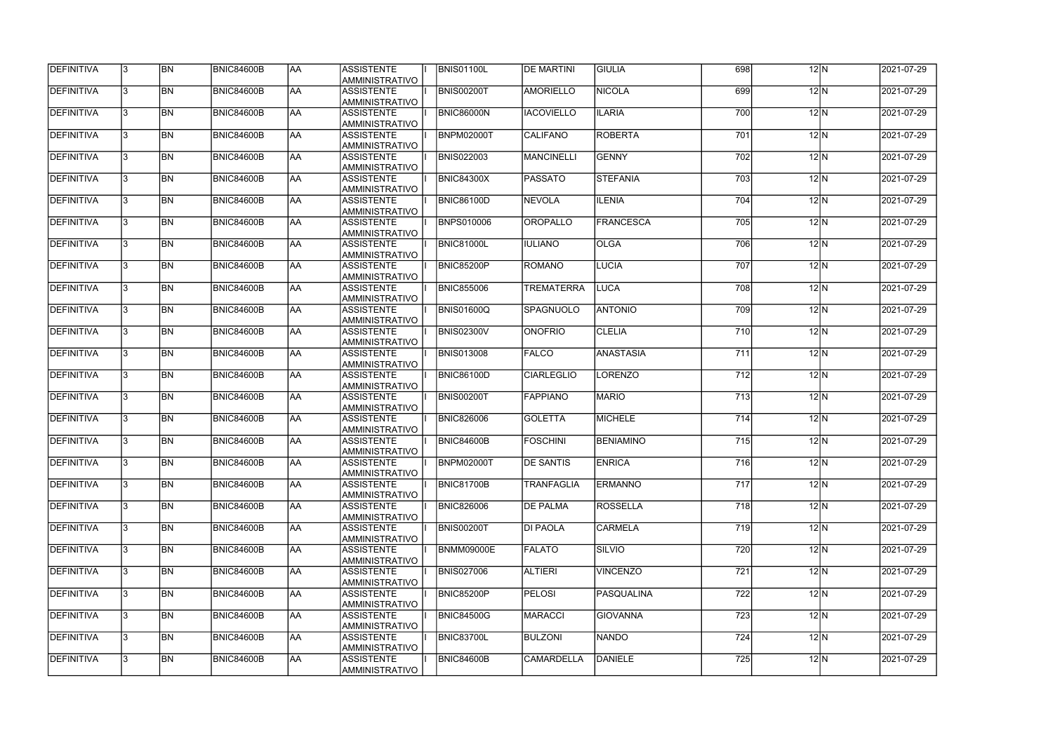| <b>DEFINITIVA</b> | 13. | <b>BN</b> | <b>BNIC84600B</b> | <b>AA</b> | ASSISTENTE<br>AMMINISTRATIVO         | <b>BNIS01100L</b> | <b>DE MARTINI</b> | <b>GIULIA</b>     | 698 | 12N                       | 2021-07-29 |
|-------------------|-----|-----------|-------------------|-----------|--------------------------------------|-------------------|-------------------|-------------------|-----|---------------------------|------------|
| DEFINITIVA        | l3. | <b>BN</b> | <b>BNIC84600B</b> | AA        | <b>ASSISTENTE</b><br>AMMINISTRATIVO  | <b>BNIS00200T</b> | AMORIELLO         | <b>NICOLA</b>     | 699 | 12N                       | 2021-07-29 |
| DEFINITIVA        | 13. | <b>BN</b> | <b>BNIC84600B</b> | AA        | <b>ASSISTENTE</b><br>AMMINISTRATIVO  | <b>BNIC86000N</b> | <b>IACOVIELLO</b> | <b>ILARIA</b>     | 700 | 12N                       | 2021-07-29 |
| DEFINITIVA        | l3. | <b>BN</b> | <b>BNIC84600B</b> | AA        | <b>ASSISTENTE</b><br>AMMINISTRATIVO  | <b>BNPM02000T</b> | <b>CALIFANO</b>   | <b>ROBERTA</b>    | 701 | 12N                       | 2021-07-29 |
| DEFINITIVA        | l3. | <b>BN</b> | <b>BNIC84600B</b> | <b>AA</b> | <b>ASSISTENTE</b><br>AMMINISTRATIVO  | <b>BNIS022003</b> | <b>MANCINELLI</b> | <b>GENNY</b>      | 702 | 12N                       | 2021-07-29 |
| DEFINITIVA        | l3. | <b>BN</b> | <b>BNIC84600B</b> | <b>AA</b> | <b>ASSISTENTE</b><br>AMMINISTRATIVO  | <b>BNIC84300X</b> | <b>PASSATO</b>    | <b>STEFANIA</b>   | 703 | $12\overline{\mathrm{N}}$ | 2021-07-29 |
| <b>DEFINITIVA</b> | 3   | <b>BN</b> | BNIC84600B        | laa       | <b>ASSISTENTE</b><br>AMMINISTRATIVO  | <b>BNIC86100D</b> | <b>NEVOLA</b>     | <b>ILENIA</b>     | 704 | $12\overline{\mathrm{N}}$ | 2021-07-29 |
| DEFINITIVA        |     | <b>BN</b> | <b>BNIC84600B</b> | AA        | <b>ASSISTENTE</b><br>AMMINISTRATIVO  | <b>BNPS010006</b> | <b>OROPALLO</b>   | <b>FRANCESCA</b>  | 705 | $12\vert N$               | 2021-07-29 |
| DEFINITIVA        |     | <b>BN</b> | <b>BNIC84600B</b> | AA        | <b>ASSISTENTE</b><br>AMMINISTRATIVO  | <b>BNIC81000L</b> | <b>IULIANO</b>    | <b>OLGA</b>       | 706 | $12\overline{\mathrm{N}}$ | 2021-07-29 |
| DEFINITIVA        |     | <b>BN</b> | <b>BNIC84600B</b> | laa       | <b>ASSISTENTE</b><br>AMMINISTRATIVO  | BNIC85200P        | <b>ROMANO</b>     | LUCIA             | 707 | 12 N                      | 2021-07-29 |
| DEFINITIVA        | l3. | <b>BN</b> | <b>BNIC84600B</b> | laa       | <b>ASSISTENTE</b><br>Iamministrativo | <b>BNIC855006</b> | <b>TREMATERRA</b> | LUCA              | 708 | $12\overline{\mathrm{N}}$ | 2021-07-29 |
| DEFINITIVA        | l3. | <b>BN</b> | <b>BNIC84600B</b> | AA        | <b>ASSISTENTE</b><br>AMMINISTRATIVO  | <b>BNIS01600Q</b> | SPAGNUOLO         | <b>ANTONIO</b>    | 709 | $12\overline{\mathrm{N}}$ | 2021-07-29 |
| DEFINITIVA        | 3   | <b>BN</b> | BNIC84600B        | AA        | <b>ASSISTENTE</b><br>AMMINISTRATIVO  | <b>BNIS02300V</b> | <b>ONOFRIO</b>    | <b>CLELIA</b>     | 710 | $12\overline{\mathrm{N}}$ | 2021-07-29 |
| DEFINITIVA        |     | <b>BN</b> | <b>BNIC84600B</b> | AA        | <b>ASSISTENTE</b><br>AMMINISTRATIVO  | <b>BNIS013008</b> | <b>FALCO</b>      | <b>ANASTASIA</b>  | 711 | $12\overline{\mathrm{N}}$ | 2021-07-29 |
| DEFINITIVA        | 3   | <b>BN</b> | <b>BNIC84600B</b> | AA        | <b>ASSISTENTE</b><br>AMMINISTRATIVO  | <b>BNIC86100D</b> | <b>CIARLEGLIO</b> | <b>LORENZO</b>    | 712 | $12\overline{\mathrm{N}}$ | 2021-07-29 |
| DEFINITIVA        | l3. | <b>BN</b> | <b>BNIC84600B</b> | AA        | <b>ASSISTENTE</b><br>AMMINISTRATIVO  | <b>BNIS00200T</b> | <b>FAPPIANO</b>   | <b>MARIO</b>      | 713 | $12\text{N}$              | 2021-07-29 |
| <b>DEFINITIVA</b> |     | <b>BN</b> | <b>BNIC84600B</b> | AA        | <b>ASSISTENTE</b><br>AMMINISTRATIVO  | <b>BNIC826006</b> | <b>GOLETTA</b>    | <b>MICHELE</b>    | 714 | $12\text{N}$              | 2021-07-29 |
| DEFINITIVA        |     | <b>BN</b> | <b>BNIC84600B</b> | AA        | <b>ASSISTENTE</b><br>AMMINISTRATIVO  | <b>BNIC84600B</b> | <b>FOSCHINI</b>   | <b>BENIAMINO</b>  | 715 | 12 N                      | 2021-07-29 |
| <b>DEFINITIVA</b> | 13  | <b>BN</b> | <b>BNIC84600B</b> | AA        | ASSISTENTE <br> AMMINISTRATIVO       | <b>BNPM02000T</b> | <b>DE SANTIS</b>  | <b>ENRICA</b>     | 716 | 12 N                      | 2021-07-29 |
| DEFINITIVA        | 13. | <b>BN</b> | <b>BNIC84600B</b> | AA        | ASSISTENTE<br>AMMINISTRATIVO         | <b>BNIC81700B</b> | <b>TRANFAGLIA</b> | <b>ERMANNO</b>    | 717 | $12\text{N}$              | 2021-07-29 |
| DEFINITIVA        | l3. | <b>BN</b> | <b>BNIC84600B</b> | AA        | ASSISTENTE<br>AMMINISTRATIVO         | <b>BNIC826006</b> | <b>DE PALMA</b>   | ROSSELLA          | 718 | 12N                       | 2021-07-29 |
| DEFINITIVA        | l3. | <b>BN</b> | <b>BNIC84600B</b> | <b>AA</b> | <b>ASSISTENTE</b><br>AMMINISTRATIVO  | <b>BNIS00200T</b> | <b>DI PAOLA</b>   | <b>CARMELA</b>    | 719 | $12\overline{\mathrm{N}}$ | 2021-07-29 |
| DEFINITIVA        |     | <b>BN</b> | <b>BNIC84600B</b> | AA        | <b>ASSISTENTE</b><br>AMMINISTRATIVO  | <b>BNMM09000E</b> | <b>FALATO</b>     | SILVIO            | 720 | $12\text{N}$              | 2021-07-29 |
| DEFINITIVA        |     | <b>BN</b> | <b>BNIC84600B</b> | AA        | ASSISTENTE<br>AMMINISTRATIVO         | <b>BNIS027006</b> | <b>ALTIERI</b>    | <b>VINCENZO</b>   | 721 | $12\text{N}$              | 2021-07-29 |
| DEFINITIVA        |     | BN        | <b>BNIC84600B</b> | AA        | <b>ASSISTENTE</b><br>AMMINISTRATIVO  | <b>BNIC85200P</b> | <b>PELOSI</b>     | <b>PASQUALINA</b> | 722 | $12\text{N}$              | 2021-07-29 |
| DEFINITIVA        | l3. | <b>BN</b> | <b>BNIC84600B</b> | AA        | <b>ASSISTENTE</b><br>AMMINISTRATIVO  | <b>BNIC84500G</b> | <b>MARACCI</b>    | <b>GIOVANNA</b>   | 723 | 12 N                      | 2021-07-29 |
| DEFINITIVA        | 13. | <b>BN</b> | <b>BNIC84600B</b> | AA        | <b>ASSISTENTE</b><br>AMMINISTRATIVO  | BNIC83700L        | <b>BULZONI</b>    | <b>NANDO</b>      | 724 | $12\text{N}$              | 2021-07-29 |
| DEFINITIVA        |     | <b>BN</b> | <b>BNIC84600B</b> | AA        | ASSISTENTE<br>AMMINISTRATIVO         | <b>BNIC84600B</b> | <b>CAMARDELLA</b> | <b>DANIELE</b>    | 725 | $12\text{N}$              | 2021-07-29 |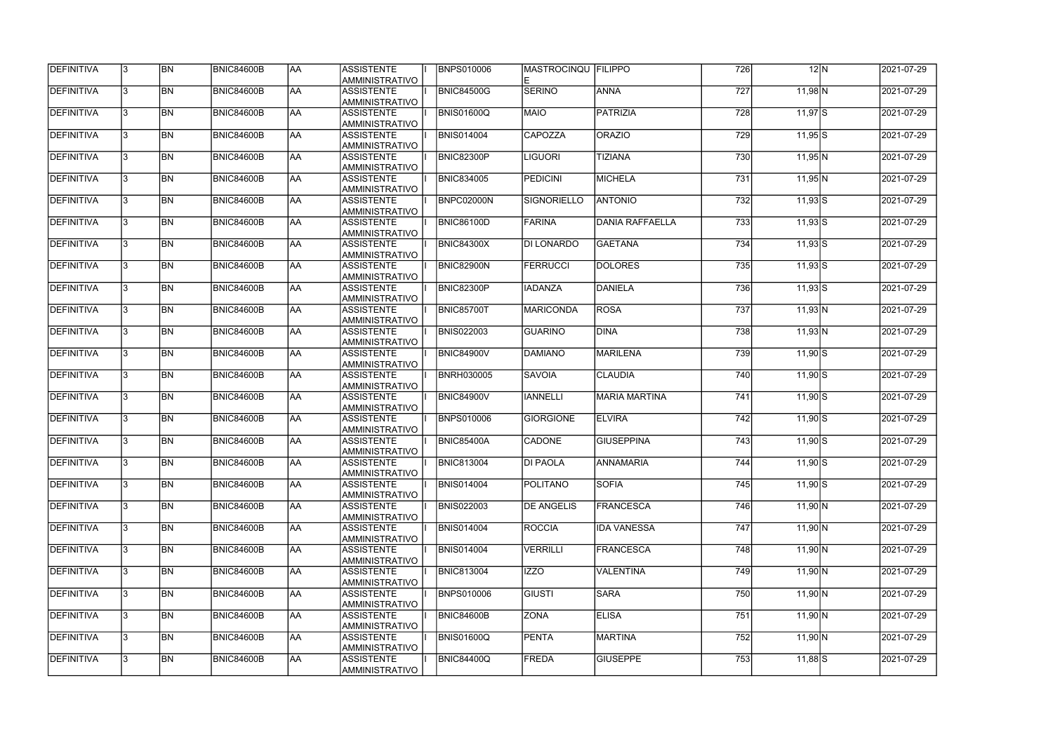| <b>DEFINITIVA</b> |     | <b>BN</b> | <b>BNIC84600B</b> | laa       | IASSISTENTE<br><b>AMMINISTRATIVO</b>       | <b>BNPS010006</b> | MASTROCINQU FILIPPO |                        | 726 | 12N            | 2021-07-29 |
|-------------------|-----|-----------|-------------------|-----------|--------------------------------------------|-------------------|---------------------|------------------------|-----|----------------|------------|
| DEFINITIVA        | 13. | <b>BN</b> | <b>BNIC84600B</b> | laa       | <b>ASSISTENTE</b><br>AMMINISTRATIVO        | <b>BNIC84500G</b> | <b>SERINO</b>       | <b>ANNA</b>            | 727 | $11,98$ N      | 2021-07-29 |
| DEFINITIVA        | I3. | <b>BN</b> | <b>BNIC84600B</b> | laa       | <b>ASSISTENTE</b><br>AMMINISTRATIVO        | <b>BNIS01600Q</b> | <b>MAIO</b>         | <b>PATRIZIA</b>        | 728 | 11,97 S        | 2021-07-29 |
| DEFINITIVA        | l3. | <b>BN</b> | <b>BNIC84600B</b> | AA        | <b>ASSISTENTE</b><br>AMMINISTRATIVO        | <b>BNIS014004</b> | <b>CAPOZZA</b>      | <b>ORAZIO</b>          | 729 | $11,95$ S      | 2021-07-29 |
| DEFINITIVA        | l3. | <b>BN</b> | BNIC84600B        | AA        | <b>ASSISTENTE</b><br>AMMINISTRATIVO        | BNIC82300P        | <b>LIGUORI</b>      | <b>TIZIANA</b>         | 730 | $11,95$ N      | 2021-07-29 |
| <b>DEFINITIVA</b> | l3. | <b>BN</b> | <b>BNIC84600B</b> | AA        | <b>ASSISTENTE</b><br>AMMINISTRATIVO        | <b>BNIC834005</b> | <b>PEDICINI</b>     | <b>MICHELA</b>         | 731 | $11,95$ N      | 2021-07-29 |
| DEFINITIVA        | 3   | <b>BN</b> | <b>BNIC84600B</b> | laa       | <b>ASSISTENTE</b><br>AMMINISTRATIVO        | BNPC02000N        | <b>SIGNORIELLO</b>  | <b>ANTONIO</b>         | 732 | $11,93$ S      | 2021-07-29 |
| <b>DEFINITIVA</b> |     | <b>BN</b> | <b>BNIC84600B</b> | laa       | <b>ASSISTENTE</b><br><b>AMMINISTRATIVO</b> | <b>BNIC86100D</b> | FARINA              | <b>DANIA RAFFAELLA</b> | 733 | $11,93$ S      | 2021-07-29 |
| DEFINITIVA        |     | <b>BN</b> | <b>BNIC84600B</b> | laa       | <b>ASSISTENTE</b><br>AMMINISTRATIVO        | <b>BNIC84300X</b> | <b>DI LONARDO</b>   | <b>GAETANA</b>         | 734 | 11,93 <b>S</b> | 2021-07-29 |
| DEFINITIVA        | l3. | <b>BN</b> | <b>BNIC84600B</b> | laa       | <b>ASSISTENTE</b><br>AMMINISTRATIVO        | <b>BNIC82900N</b> | <b>FERRUCCI</b>     | <b>DOLORES</b>         | 735 | $11,93$ S      | 2021-07-29 |
| DEFINITIVA        | I3. | <b>BN</b> | <b>BNIC84600B</b> | laa       | <b>ASSISTENTE</b><br>AMMINISTRATIVO        | BNIC82300P        | <b>IADANZA</b>      | <b>DANIELA</b>         | 736 | $11,93$ S      | 2021-07-29 |
| DEFINITIVA        | l3  | <b>BN</b> | <b>BNIC84600B</b> | AA        | <b>ASSISTENTE</b><br>AMMINISTRATIVO        | BNIC85700T        | <b>MARICONDA</b>    | <b>ROSA</b>            | 737 | $11,93$ N      | 2021-07-29 |
| DEFINITIVA        | 3   | <b>BN</b> | <b>BNIC84600B</b> | AA        | <b>ASSISTENTE</b><br>AMMINISTRATIVO        | <b>BNIS022003</b> | <b>GUARINO</b>      | <b>DINA</b>            | 738 | $11,93$ N      | 2021-07-29 |
| DEFINITIVA        | 3   | <b>BN</b> | <b>BNIC84600B</b> | AA        | <b>ASSISTENTE</b><br>AMMINISTRATIVO        | <b>BNIC84900V</b> | <b>DAMIANO</b>      | <b>MARILENA</b>        | 739 | $11,90$ S      | 2021-07-29 |
| DEFINITIVA        |     | <b>BN</b> | <b>BNIC84600B</b> | AA        | <b>ASSISTENTE</b><br>AMMINISTRATIVO        | <b>BNRH030005</b> | <b>SAVOIA</b>       | <b>CLAUDIA</b>         | 740 | $11,90$ S      | 2021-07-29 |
| DEFINITIVA        | 3   | <b>BN</b> | <b>BNIC84600B</b> | laa       | <b>ASSISTENTE</b><br>AMMINISTRATIVO        | <b>BNIC84900V</b> | <b>IANNELLI</b>     | <b>MARIA MARTINA</b>   | 741 | $11,90$ S      | 2021-07-29 |
| DEFINITIVA        |     | <b>BN</b> | <b>BNIC84600B</b> | AA        | <b>ASSISTENTE</b><br><b>AMMINISTRATIVO</b> | <b>BNPS010006</b> | <b>GIORGIONE</b>    | <b>ELVIRA</b>          | 742 | $11,90$ S      | 2021-07-29 |
| DEFINITIVA        |     | <b>BN</b> | <b>BNIC84600B</b> | AA        | <b>ASSISTENTE</b><br>AMMINISTRATIVO        | <b>BNIC85400A</b> | <b>CADONE</b>       | <b>GIUSEPPINA</b>      | 743 | $11,90$ S      | 2021-07-29 |
| <b>DEFINITIVA</b> | 13. | BN        | <b>BNIC84600B</b> | AA        | ASSISTENTE<br>AMMINISTRATIVO               | <b>BNIC813004</b> | <b>DI PAOLA</b>     | ANNAMARIA              | 744 | 11,90 S        | 2021-07-29 |
| <b>DEFINITIVA</b> | 13. | <b>BN</b> | BNIC84600B        | laa       | <b>ASSISTENTE</b><br>AMMINISTRATIVO        | <b>BNIS014004</b> | POLITANO            | <b>SOFIA</b>           | 745 | $11,90$ S      | 2021-07-29 |
| DEFINITIVA        | l3. | <b>BN</b> | <b>BNIC84600B</b> | AA        | <b>ASSISTENTE</b><br>AMMINISTRATIVO        | <b>BNIS022003</b> | <b>DE ANGELIS</b>   | <b>FRANCESCA</b>       | 746 | $11,90 \ N$    | 2021-07-29 |
| DEFINITIVA        | l3. | <b>BN</b> | <b>BNIC84600B</b> | <b>AA</b> | <b>ASSISTENTE</b><br>AMMINISTRATIVO        | <b>BNIS014004</b> | <b>ROCCIA</b>       | <b>IDA VANESSA</b>     | 747 | $11,90$ N      | 2021-07-29 |
| DEFINITIVA        | l3. | <b>BN</b> | <b>BNIC84600B</b> | AA        | <b>ASSISTENTE</b><br>AMMINISTRATIVO        | <b>BNIS014004</b> | VERRILLI            | <b>FRANCESCA</b>       | 748 | $11,90$ N      | 2021-07-29 |
| DEFINITIVA        |     | <b>BN</b> | <b>BNIC84600B</b> | AA        | <b>ASSISTENTE</b><br>AMMINISTRATIVO        | <b>BNIC813004</b> | <b>IZZO</b>         | <b>VALENTINA</b>       | 749 | $11,90 \ N$    | 2021-07-29 |
| DEFINITIVA        |     | <b>BN</b> | <b>BNIC84600B</b> | AA        | <b>ASSISTENTE</b><br>AMMINISTRATIVO        | <b>BNPS010006</b> | <b>GIUSTI</b>       | <b>SARA</b>            | 750 | 11,90 N        | 2021-07-29 |
| DEFINITIVA        |     | <b>BN</b> | BNIC84600B        | AA        | <b>ASSISTENTE</b><br>AMMINISTRATIVO        | BNIC84600B        | <b>ZONA</b>         | <b>ELISA</b>           | 751 | 11,90 N        | 2021-07-29 |
| DEFINITIVA        | I3. | <b>BN</b> | <b>BNIC84600B</b> | AA        | <b>ASSISTENTE</b><br>AMMINISTRATIVO        | <b>BNIS01600Q</b> | PENTA               | <b>MARTINA</b>         | 752 | $11,90 \, N$   | 2021-07-29 |
| DEFINITIVA        |     | <b>BN</b> | <b>BNIC84600B</b> | AA        | <b>ASSISTENTE</b><br>AMMINISTRATIVO        | <b>BNIC84400Q</b> | <b>FREDA</b>        | <b>GIUSEPPE</b>        | 753 | 11,88S         | 2021-07-29 |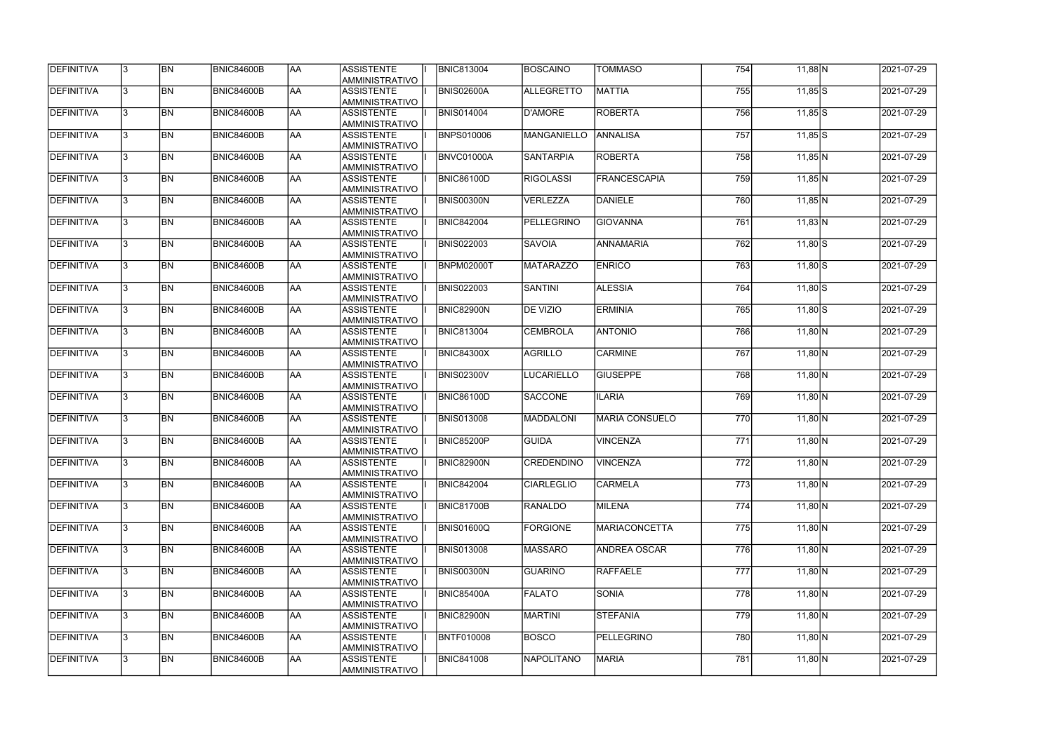| <b>DEFINITIVA</b> |     | <b>BN</b>                | <b>BNIC84600B</b> | laa       | IASSISTENTE<br><b>AMMINISTRATIVO</b>       | <b>BNIC813004</b> | BOSCAINO           | <b>TOMMASO</b>        | 754 | $11,88$ N    | 2021-07-29 |
|-------------------|-----|--------------------------|-------------------|-----------|--------------------------------------------|-------------------|--------------------|-----------------------|-----|--------------|------------|
| DEFINITIVA        | 13. | <b>BN</b>                | <b>BNIC84600B</b> | laa       | <b>ASSISTENTE</b><br>AMMINISTRATIVO        | <b>BNIS02600A</b> | ALLEGRETTO         | <b>MATTIA</b>         | 755 | $11,85$ S    | 2021-07-29 |
| DEFINITIVA        | I3. | <b>BN</b>                | BNIC84600B        | laa       | <b>ASSISTENTE</b><br>AMMINISTRATIVO        | <b>BNIS014004</b> | D'AMORE            | <b>ROBERTA</b>        | 756 | $11,85$ S    | 2021-07-29 |
| DEFINITIVA        | l3. | <b>BN</b>                | <b>BNIC84600B</b> | AA        | <b>ASSISTENTE</b><br>AMMINISTRATIVO        | <b>BNPS010006</b> | <b>MANGANIELLO</b> | <b>ANNALISA</b>       | 757 | $11,85$ S    | 2021-07-29 |
| DEFINITIVA        | l3. | <b>BN</b>                | <b>BNIC84600B</b> | AA        | <b>ASSISTENTE</b><br>AMMINISTRATIVO        | BNVC01000A        | <b>SANTARPIA</b>   | <b>ROBERTA</b>        | 758 | $11,85$ N    | 2021-07-29 |
| <b>DEFINITIVA</b> | l3  | <b>BN</b>                | BNIC84600B        | AA        | <b>ASSISTENTE</b><br>AMMINISTRATIVO        | <b>BNIC86100D</b> | <b>RIGOLASSI</b>   | <b>FRANCESCAPIA</b>   | 759 | $11,85$ N    | 2021-07-29 |
| DEFINITIVA        | 3   | <b>BN</b>                | <b>BNIC84600B</b> | laa       | <b>ASSISTENTE</b><br>AMMINISTRATIVO        | <b>BNIS00300N</b> | <b>VERLEZZA</b>    | <b>DANIELE</b>        | 760 | $11,85$ N    | 2021-07-29 |
| <b>DEFINITIVA</b> | l3  | <b>BN</b>                | <b>BNIC84600B</b> | laa       | <b>ASSISTENTE</b><br><b>AMMINISTRATIVO</b> | <b>BNIC842004</b> | PELLEGRINO         | <b>GIOVANNA</b>       | 761 | $11,83$ N    | 2021-07-29 |
| DEFINITIVA        |     | <b>BN</b>                | <b>BNIC84600B</b> | laa       | <b>ASSISTENTE</b><br>AMMINISTRATIVO        | <b>BNIS022003</b> | <b>SAVOIA</b>      | <b>ANNAMARIA</b>      | 762 | $11,80$ S    | 2021-07-29 |
| DEFINITIVA        | l3. | <b>BN</b>                | <b>BNIC84600B</b> | laa       | <b>ASSISTENTE</b><br>AMMINISTRATIVO        | BNPM02000T        | <b>MATARAZZO</b>   | <b>ENRICO</b>         | 763 | $11,80$ S    | 2021-07-29 |
| DEFINITIVA        | I3. | <b>BN</b>                | BNIC84600B        | laa       | <b>ASSISTENTE</b><br>AMMINISTRATIVO        | <b>BNIS022003</b> | <b>SANTINI</b>     | <b>ALESSIA</b>        | 764 | 11,80 S      | 2021-07-29 |
| DEFINITIVA        | l3  | <b>BN</b>                | <b>BNIC84600B</b> | AA        | <b>ASSISTENTE</b><br>AMMINISTRATIVO        | BNIC82900N        | <b>DE VIZIO</b>    | <b>ERMINIA</b>        | 765 | 11,80 S      | 2021-07-29 |
| DEFINITIVA        | l3. | <b>BN</b>                | <b>BNIC84600B</b> | AA        | <b>ASSISTENTE</b><br>AMMINISTRATIVO        | <b>BNIC813004</b> | <b>CEMBROLA</b>    | <b>ANTONIO</b>        | 766 | $11,80$ N    | 2021-07-29 |
| DEFINITIVA        | 3   | <b>BN</b>                | <b>BNIC84600B</b> | AA        | <b>ASSISTENTE</b><br>AMMINISTRATIVO        | <b>BNIC84300X</b> | <b>AGRILLO</b>     | <b>CARMINE</b>        | 767 | $11,80$ N    | 2021-07-29 |
| DEFINITIVA        |     | <b>BN</b>                | <b>BNIC84600B</b> | laa       | <b>ASSISTENTE</b><br>AMMINISTRATIVO        | <b>BNIS02300V</b> | LUCARIELLO         | <b>GIUSEPPE</b>       | 768 | $11,80$ N    | 2021-07-29 |
| DEFINITIVA        | 3   | <b>BN</b>                | <b>BNIC84600B</b> | laa       | <b>ASSISTENTE</b><br>AMMINISTRATIVO        | <b>BNIC86100D</b> | <b>SACCONE</b>     | <b>ILARIA</b>         | 769 | $11,80$ N    | 2021-07-29 |
| DEFINITIVA        |     | $\overline{\mathsf{BN}}$ | <b>BNIC84600B</b> | AA        | <b>ASSISTENTE</b><br><b>AMMINISTRATIVO</b> | <b>BNIS013008</b> | MADDALONI          | <b>MARIA CONSUELO</b> | 770 | $11,80$ N    | 2021-07-29 |
| DEFINITIVA        |     | <b>BN</b>                | <b>BNIC84600B</b> | AA        | <b>ASSISTENTE</b><br>AMMINISTRATIVO        | BNIC85200P        | <b>GUIDA</b>       | <b>VINCENZA</b>       | 771 | $11,80 \, N$ | 2021-07-29 |
| <b>DEFINITIVA</b> | 13. | BN                       | <b>BNIC84600B</b> | AA        | ASSISTENTE<br>AMMINISTRATIVO               | <b>BNIC82900N</b> | <b>CREDENDINO</b>  | <b>VINCENZA</b>       | 772 | 11,80 N      | 2021-07-29 |
| <b>DEFINITIVA</b> | 13. | <b>BN</b>                | BNIC84600B        | laa       | <b>ASSISTENTE</b><br>AMMINISTRATIVO        | <b>BNIC842004</b> | <b>CIARLEGLIO</b>  | <b>CARMELA</b>        | 773 | 11,80 N      | 2021-07-29 |
| DEFINITIVA        | l3. | <b>BN</b>                | <b>BNIC84600B</b> | AA        | <b>ASSISTENTE</b><br>AMMINISTRATIVO        | <b>BNIC81700B</b> | RANALDO            | <b>MILENA</b>         | 774 | $11,80$ N    | 2021-07-29 |
| DEFINITIVA        | l3. | <b>BN</b>                | <b>BNIC84600B</b> | <b>AA</b> | <b>ASSISTENTE</b><br>AMMINISTRATIVO        | <b>BNIS01600Q</b> | <b>FORGIONE</b>    | <b>MARIACONCETTA</b>  | 775 | $11,80$ N    | 2021-07-29 |
| DEFINITIVA        | l3. | <b>BN</b>                | <b>BNIC84600B</b> | AA        | <b>ASSISTENTE</b><br>AMMINISTRATIVO        | <b>BNIS013008</b> | <b>MASSARO</b>     | <b>ANDREA OSCAR</b>   | 776 | $11,80$ N    | 2021-07-29 |
| DEFINITIVA        |     | <b>BN</b>                | <b>BNIC84600B</b> | AA        | <b>ASSISTENTE</b><br>AMMINISTRATIVO        | <b>BNIS00300N</b> | <b>GUARINO</b>     | <b>RAFFAELE</b>       | 777 | $11,80$ N    | 2021-07-29 |
| DEFINITIVA        |     | <b>BN</b>                | <b>BNIC84600B</b> | AA        | <b>ASSISTENTE</b><br>AMMINISTRATIVO        | <b>BNIC85400A</b> | <b>FALATO</b>      | <b>SONIA</b>          | 778 | 11,80 N      | 2021-07-29 |
| DEFINITIVA        |     | <b>BN</b>                | <b>BNIC84600B</b> | AA        | <b>ASSISTENTE</b><br>AMMINISTRATIVO        | BNIC82900N        | <b>MARTINI</b>     | <b>STEFANIA</b>       | 779 | 11,80 N      | 2021-07-29 |
| DEFINITIVA        | I3. | <b>BN</b>                | <b>BNIC84600B</b> | AA        | <b>ASSISTENTE</b><br>AMMINISTRATIVO        | <b>BNTF010008</b> | <b>BOSCO</b>       | <b>PELLEGRINO</b>     | 780 | $11,80 \, N$ | 2021-07-29 |
| DEFINITIVA        |     | <b>BN</b>                | <b>BNIC84600B</b> | AA        | <b>ASSISTENTE</b><br>AMMINISTRATIVO        | <b>BNIC841008</b> | <b>NAPOLITANO</b>  | <b>MARIA</b>          | 781 | 11,80 N      | 2021-07-29 |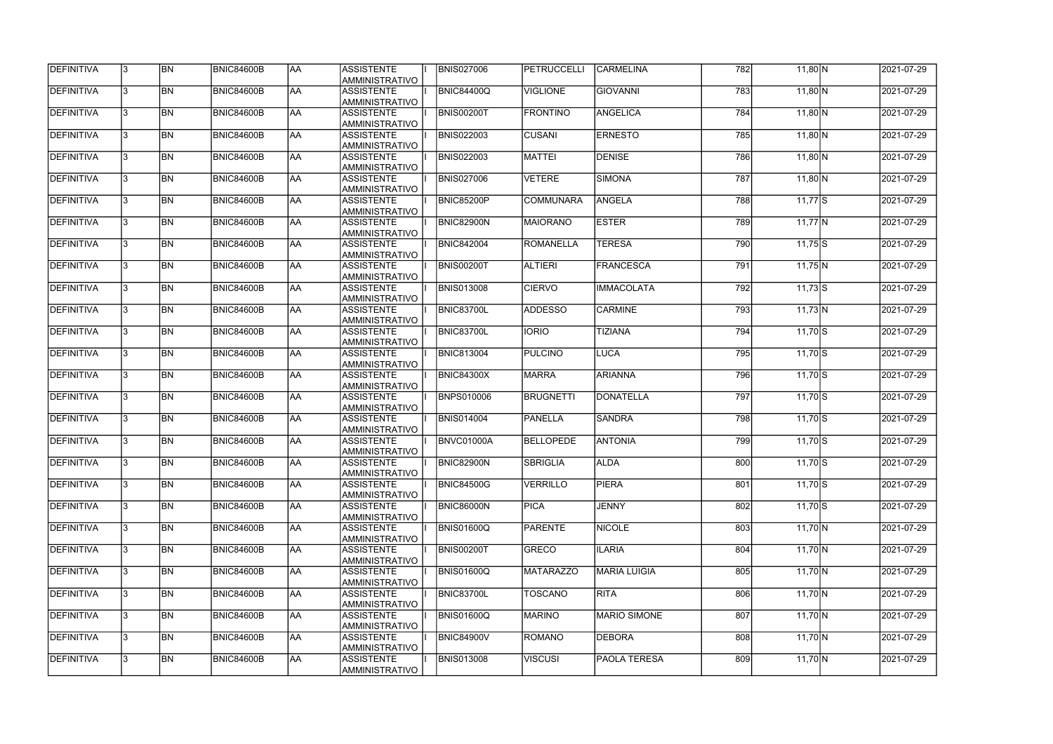| DEFINITIVA        | 13. | <b>BN</b> | <b>BNIC84600B</b> | AA         | ASSISTENTE<br>AMMINISTRATIVO               | <b>BNIS027006</b> | <b>IPETRUCCELLI</b> | <b>CARMELINA</b>    | 782 | $11,80$ N   | 2021-07-29 |
|-------------------|-----|-----------|-------------------|------------|--------------------------------------------|-------------------|---------------------|---------------------|-----|-------------|------------|
| DEFINITIVA        | 13. | <b>BN</b> | <b>BNIC84600B</b> | laa        | <b>ASSISTENTE</b><br>AMMINISTRATIVO        | <b>BNIC84400Q</b> | <b>VIGLIONE</b>     | <b>GIOVANNI</b>     | 783 | 11,80 N     | 2021-07-29 |
| DEFINITIVA        | 13. | <b>BN</b> | <b>BNIC84600B</b> | AA         | <b>ASSISTENTE</b><br>AMMINISTRATIVO        | <b>BNIS00200T</b> | <b>FRONTINO</b>     | <b>ANGELICA</b>     | 784 | $11,80$ N   | 2021-07-29 |
| DEFINITIVA        | l3. | <b>BN</b> | <b>BNIC84600B</b> | laa        | <b>ASSISTENTE</b><br>AMMINISTRATIVO        | <b>BNIS022003</b> | <b>CUSANI</b>       | <b>ERNESTO</b>      | 785 | $11,80$ N   | 2021-07-29 |
| DEFINITIVA        | 13. | <b>BN</b> | BNIC84600B        | laa        | <b>ASSISTENTE</b><br>AMMINISTRATIVO        | <b>BNIS022003</b> | <b>MATTEI</b>       | <b>DENISE</b>       | 786 | $11,80$ N   | 2021-07-29 |
| DEFINITIVA        | 3   | <b>BN</b> | <b>BNIC84600B</b> | laa        | <b>ASSISTENTE</b><br>AMMINISTRATIVO        | <b>BNIS027006</b> | <b>VETERE</b>       | <b>SIMONA</b>       | 787 | $11,80$ N   | 2021-07-29 |
| DEFINITIVA        |     | <b>BN</b> | <b>BNIC84600B</b> | laa        | <b>ASSISTENTE</b><br><b>AMMINISTRATIVO</b> | <b>BNIC85200P</b> | <b>COMMUNARA</b>    | <b>ANGELA</b>       | 788 | $11,77$ S   | 2021-07-29 |
| DEFINITIVA        |     | <b>BN</b> | <b>BNIC84600B</b> | laa        | <b>ASSISTENTE</b><br>AMMINISTRATIVO        | <b>BNIC82900N</b> | <b>MAIORANO</b>     | <b>ESTER</b>        | 789 | $11,77$ N   | 2021-07-29 |
| DEFINITIVA        |     | <b>BN</b> | <b>BNIC84600B</b> | laa        | <b>ASSISTENTE</b><br>AMMINISTRATIVO        | <b>BNIC842004</b> | ROMANELLA           | <b>TERESA</b>       | 790 | $11,75$ S   | 2021-07-29 |
| DEFINITIVA        | l3. | <b>BN</b> | <b>BNIC84600B</b> | laa        | <b>ASSISTENTE</b><br>AMMINISTRATIVO        | <b>BNIS00200T</b> | <b>ALTIERI</b>      | <b>FRANCESCA</b>    | 791 | $11,75$ N   | 2021-07-29 |
| DEFINITIVA        | l3. | <b>BN</b> | <b>BNIC84600B</b> | AA         | <b>ASSISTENTE</b><br>AMMINISTRATIVO        | <b>BNIS013008</b> | <b>CIERVO</b>       | <b>IMMACOLATA</b>   | 792 | $11,73$ S   | 2021-07-29 |
| DEFINITIVA        | 3   | <b>BN</b> | <b>BNIC84600B</b> | <b>AA</b>  | <b>ASSISTENTE</b><br>AMMINISTRATIVO        | BNIC83700L        | ADDESSO             | <b>CARMINE</b>      | 793 | $11,73$ N   | 2021-07-29 |
| DEFINITIVA        | l3. | <b>BN</b> | <b>BNIC84600B</b> | AA         | <b>ASSISTENTE</b><br>AMMINISTRATIVO        | BNIC83700L        | <b>IORIO</b>        | <b>TIZIANA</b>      | 794 | $11,70$ S   | 2021-07-29 |
| DEFINITIVA        | 3   | <b>BN</b> | <b>BNIC84600B</b> | AA         | <b>ASSISTENTE</b><br>AMMINISTRATIVO        | <b>BNIC813004</b> | PULCINO             | <b>LUCA</b>         | 795 | $11,70$ S   | 2021-07-29 |
| DEFINITIVA        |     | <b>BN</b> | <b>BNIC84600B</b> | AA         | <b>ASSISTENTE</b><br><b>AMMINISTRATIVO</b> | <b>BNIC84300X</b> | <b>MARRA</b>        | <b>ARIANNA</b>      | 796 | $11,70$ S   | 2021-07-29 |
| DEFINITIVA        |     | <b>BN</b> | <b>BNIC84600B</b> | AA         | <b>ASSISTENTE</b><br>AMMINISTRATIVO        | <b>BNPS010006</b> | <b>BRUGNETTI</b>    | <b>DONATELLA</b>    | 797 | $11,70$ S   | 2021-07-29 |
| DEFINITIVA        | 3   | <b>BN</b> | <b>BNIC84600B</b> | AA         | <b>ASSISTENTE</b><br>AMMINISTRATIVO        | <b>BNIS014004</b> | PANELLA             | <b>SANDRA</b>       | 798 | $11,70$ S   | 2021-07-29 |
| DEFINITIVA        |     | <b>BN</b> | <b>BNIC84600B</b> | AA         | <b>ASSISTENTE</b><br><b>AMMINISTRATIVO</b> | BNVC01000A        | BELLOPEDE           | <b>ANTONIA</b>      | 799 | $11,70$ S   | 2021-07-29 |
| DEFINITIVA        | 13. | BN        | <b>BNIC84600B</b> | <b>JAA</b> | <b>ASSISTENTE</b><br>AMMINISTRATIVO        | <b>BNIC82900N</b> | <b>SBRIGLIA</b>     | <b>ALDA</b>         | 800 | 11,70 S     | 2021-07-29 |
| <b>DEFINITIVA</b> | l3. | <b>BN</b> | <b>BNIC84600B</b> | <b>AA</b>  | <b>ASSISTENTE</b><br>AMMINISTRATIVO        | <b>BNIC84500G</b> | <b>VERRILLO</b>     | <b>PIERA</b>        | 801 | $11,70$ S   | 2021-07-29 |
| DEFINITIVA        | l3. | <b>BN</b> | <b>BNIC84600B</b> | <b>AA</b>  | <b>ASSISTENTE</b><br>AMMINISTRATIVO        | <b>BNIC86000N</b> | <b>PICA</b>         | <b>JENNY</b>        | 802 | $11,70$ S   | 2021-07-29 |
| DEFINITIVA        | l3. | <b>BN</b> | <b>BNIC84600B</b> | AA         | <b>ASSISTENTE</b><br>AMMINISTRATIVO        | <b>BNIS01600Q</b> | <b>PARENTE</b>      | <b>NICOLE</b>       | 803 | $11,70$ N   | 2021-07-29 |
| DEFINITIVA        | 3   | <b>BN</b> | <b>BNIC84600B</b> | AA         | <b>ASSISTENTE</b><br>AMMINISTRATIVO        | <b>BNIS00200T</b> | GRECO               | <b>ILARIA</b>       | 804 | $11,70$ N   | 2021-07-29 |
| DEFINITIVA        |     | <b>BN</b> | <b>BNIC84600B</b> | AA         | <b>ASSISTENTE</b><br>AMMINISTRATIVO        | <b>BNIS01600Q</b> | <b>MATARAZZO</b>    | <b>MARIA LUIGIA</b> | 805 | 11,70 N     | 2021-07-29 |
| DEFINITIVA        |     | <b>BN</b> | <b>BNIC84600B</b> | AA         | <b>ASSISTENTE</b><br>AMMINISTRATIVO        | BNIC83700L        | <b>TOSCANO</b>      | <b>RITA</b>         | 806 | 11,70 N     | 2021-07-29 |
| DEFINITIVA        | I3. | <b>BN</b> | BNIC84600B        | AA         | <b>ASSISTENTE</b><br>AMMINISTRATIVO        | <b>BNIS01600Q</b> | <b>MARINO</b>       | <b>MARIO SIMONE</b> | 807 | $11,70 \ N$ | 2021-07-29 |
| DEFINITIVA        | 13. | <b>BN</b> | <b>BNIC84600B</b> | laa        | <b>ASSISTENTE</b><br>AMMINISTRATIVO        | <b>BNIC84900V</b> | ROMANO              | DEBORA              | 808 | 11,70 N     | 2021-07-29 |
| DEFINITIVA        |     | <b>BN</b> | <b>BNIC84600B</b> | <b>AA</b>  | <b>ASSISTENTE</b><br>AMMINISTRATIVO        | <b>BNIS013008</b> | <b>VISCUSI</b>      | <b>PAOLA TERESA</b> | 809 | 11,70 N     | 2021-07-29 |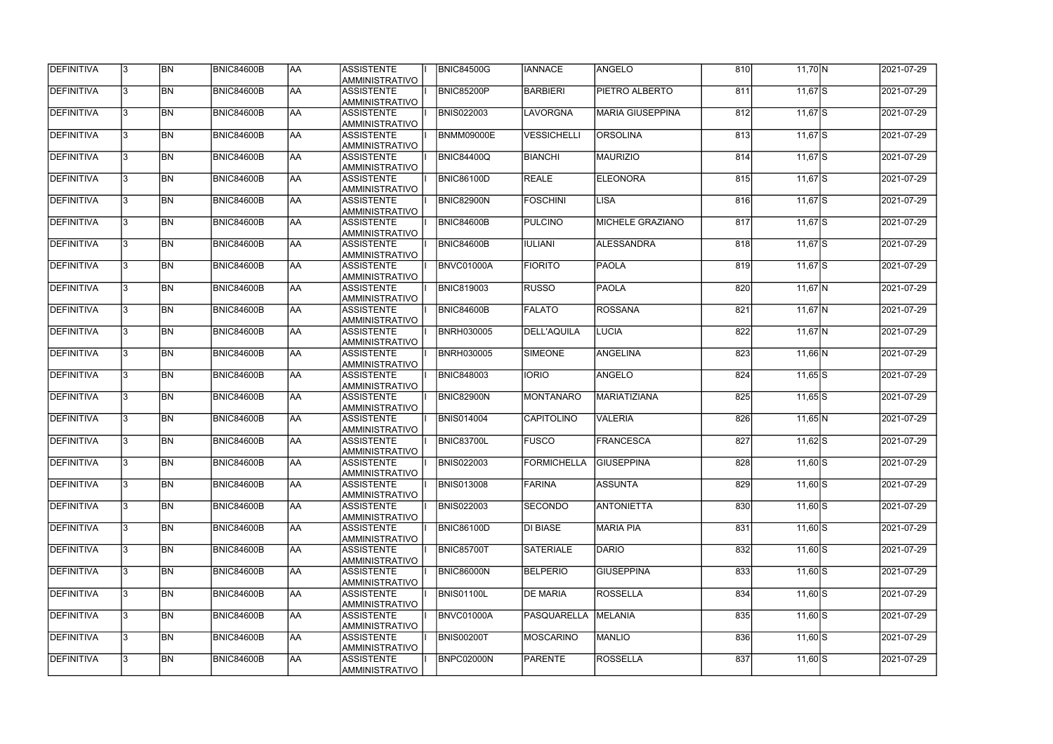| <b>DEFINITIVA</b> | 13. | <b>BN</b> | <b>BNIC84600B</b> | <b>AA</b> | <b>ASSISTENTE</b><br>AMMINISTRATIVO        | <b>BNIC84500G</b> | <b>IANNACE</b>           | <b>ANGELO</b>           | 810 | $11,70$ N   | 2021-07-29 |
|-------------------|-----|-----------|-------------------|-----------|--------------------------------------------|-------------------|--------------------------|-------------------------|-----|-------------|------------|
| DEFINITIVA        | 3   | <b>BN</b> | BNIC84600B        | <b>AA</b> | <b>ASSISTENTE</b><br>AMMINISTRATIVO        | <b>BNIC85200P</b> | BARBIERI                 | PIETRO ALBERTO          | 811 | 11,67 S     | 2021-07-29 |
| <b>DEFINITIVA</b> | 3   | <b>BN</b> | <b>BNIC84600B</b> | <b>AA</b> | <b>ASSISTENTE</b><br>AMMINISTRATIVO        | <b>BNIS022003</b> | <b>LAVORGNA</b>          | <b>MARIA GIUSEPPINA</b> | 812 | $11,67$ S   | 2021-07-29 |
| DEFINITIVA        |     | <b>BN</b> | <b>BNIC84600B</b> | <b>AA</b> | <b>ASSISTENTE</b><br>AMMINISTRATIVO        | <b>BNMM09000E</b> | VESSICHELLI              | <b>ORSOLINA</b>         | 813 | $11,67$ S   | 2021-07-29 |
| DEFINITIVA        |     | <b>BN</b> | BNIC84600B        | <b>AA</b> | <b>ASSISTENTE</b><br>AMMINISTRATIVO        | <b>BNIC84400Q</b> | <b>BIANCHI</b>           | <b>MAURIZIO</b>         | 814 | $11,67$ S   | 2021-07-29 |
| <b>DEFINITIVA</b> |     | <b>BN</b> | BNIC84600B        | AA        | <b>ASSISTENTE</b><br>AMMINISTRATIVO        | <b>BNIC86100D</b> | <b>REALE</b>             | <b>ELEONORA</b>         | 815 | $11,67$ $S$ | 2021-07-29 |
| <b>DEFINITIVA</b> |     | <b>BN</b> | BNIC84600B        | <b>AA</b> | <b>ASSISTENTE</b><br>AMMINISTRATIVO        | <b>BNIC82900N</b> | <b>FOSCHINI</b>          | <b>LISA</b>             | 816 | $11,67$ $S$ | 2021-07-29 |
| DEFINITIVA        |     | <b>BN</b> | <b>BNIC84600B</b> | <b>AA</b> | <b>ASSISTENTE</b><br><b>AMMINISTRATIVO</b> | <b>BNIC84600B</b> | PULCINO                  | MICHELE GRAZIANO        | 817 | $11,67$ $S$ | 2021-07-29 |
| DEFINITIVA        |     | <b>BN</b> | BNIC84600B        | laa       | <b>ASSISTENTE</b><br>AMMINISTRATIVO        | <b>BNIC84600B</b> | IULIANI                  | <b>ALESSANDRA</b>       | 818 | $11,67$ $S$ | 2021-07-29 |
| DEFINITIVA        |     | <b>BN</b> | BNIC84600B        | <b>AA</b> | <b>ASSISTENTE</b><br>IAMMINISTRATIVO       | BNVC01000A        | <b>FIORITO</b>           | <b>PAOLA</b>            | 819 | $11,67$ $S$ | 2021-07-29 |
| DEFINITIVA        |     | <b>BN</b> | BNIC84600B        | <b>AA</b> | <b>ASSISTENTE</b><br>AMMINISTRATIVO        | <b>BNIC819003</b> | <b>RUSSO</b>             | PAOLA                   | 820 | $11,67$ N   | 2021-07-29 |
| DEFINITIVA        |     | <b>BN</b> | BNIC84600B        | <b>AA</b> | <b>ASSISTENTE</b><br>AMMINISTRATIVO        | <b>BNIC84600B</b> | <b>FALATO</b>            | <b>ROSSANA</b>          | 821 | $11,67$ N   | 2021-07-29 |
| DEFINITIVA        |     | <b>BN</b> | BNIC84600B        | <b>AA</b> | <b>ASSISTENTE</b><br>AMMINISTRATIVO        | <b>BNRH030005</b> | DELL'AQUILA              | <b>LUCIA</b>            | 822 | 11,67 N     | 2021-07-29 |
| DEFINITIVA        |     | <b>BN</b> | BNIC84600B        | AA        | <b>ASSISTENTE</b><br>AMMINISTRATIVO        | BNRH030005        | <b>SIMEONE</b>           | <b>ANGELINA</b>         | 823 | $11,66$ N   | 2021-07-29 |
| DEFINITIVA        |     | <b>BN</b> | <b>BNIC84600B</b> | <b>AA</b> | <b>ASSISTENTE</b><br>AMMINISTRATIVO        | <b>BNIC848003</b> | <b>IORIO</b>             | <b>ANGELO</b>           | 824 | $11,65$ S   | 2021-07-29 |
| DEFINITIVA        |     | <b>BN</b> | BNIC84600B        | <b>AA</b> | <b>ASSISTENTE</b><br>AMMINISTRATIVO        | <b>BNIC82900N</b> | <b>MONTANARO</b>         | <b>MARIATIZIANA</b>     | 825 | $11,65$ S   | 2021-07-29 |
| DEFINITIVA        |     | <b>BN</b> | BNIC84600B        | <b>AA</b> | <b>ASSISTENTE</b><br>AMMINISTRATIVO        | <b>BNIS014004</b> | <i><b>CAPITOLINO</b></i> | <b>VALERIA</b>          | 826 | $11,65$ N   | 2021-07-29 |
| DEFINITIVA        |     | <b>BN</b> | BNIC84600B        | <b>AA</b> | <b>ASSISTENTE</b><br>AMMINISTRATIVO        | <b>BNIC83700L</b> | FUSCO                    | <b>FRANCESCA</b>        | 827 | $11,62$ $S$ | 2021-07-29 |
| <b>DEFINITIVA</b> | 13  | BN        | <b>BNIC84600B</b> | AA        | <b>ASSISTENTE</b><br><b>AMMINISTRATIVO</b> | <b>BNIS022003</b> | <b>FORMICHELLA</b>       | <b>GIUSEPPINA</b>       | 828 | $11,60$ S   | 2021-07-29 |
| <b>DEFINITIVA</b> |     | <b>BN</b> | BNIC84600B        | <b>AA</b> | ASSISTENTE<br>AMMINISTRATIVO               | <b>BNIS013008</b> | FARINA                   | <b>ASSUNTA</b>          | 829 | $11,60$ S   | 2021-07-29 |
| DEFINITIVA        | 3.  | <b>BN</b> | <b>BNIC84600B</b> | <b>AA</b> | ASSISTENTE<br>AMMINISTRATIVO               | <b>BNIS022003</b> | <b>SECONDO</b>           | <b>ANTONIETTA</b>       | 830 | $11,60$ S   | 2021-07-29 |
| <b>DEFINITIVA</b> | 3.  | <b>BN</b> | BNIC84600B        | <b>AA</b> | <b>ASSISTENTE</b><br>AMMINISTRATIVO        | <b>BNIC86100D</b> | <b>DI BIASE</b>          | <b>MARIA PIA</b>        | 831 | $11,60$ S   | 2021-07-29 |
| DEFINITIVA        |     | <b>BN</b> | BNIC84600B        | AA        | <b>ASSISTENTE</b><br>AMMINISTRATIVO        | <b>BNIC85700T</b> | SATERIALE                | DARIO                   | 832 | 11,60 S     | 2021-07-29 |
| DEFINITIVA        |     | <b>BN</b> | BNIC84600B        | <b>AA</b> | <b>ASSISTENTE</b><br>AMMINISTRATIVO        | <b>BNIC86000N</b> | <b>BELPERIO</b>          | <b>GIUSEPPINA</b>       | 833 | $11,60$ S   | 2021-07-29 |
| DEFINITIVA        |     | <b>BN</b> | BNIC84600B        | AA        | <b>ASSISTENTE</b><br>AMMINISTRATIVO        | <b>BNIS01100L</b> | <b>DE MARIA</b>          | <b>ROSSELLA</b>         | 834 | $11,60$ S   | 2021-07-29 |
| DEFINITIVA        |     | <b>BN</b> | BNIC84600B        | <b>AA</b> | ASSISTENTE<br>AMMINISTRATIVO               | BNVC01000A        | <b>PASQUARELLA</b>       | <b>MELANIA</b>          | 835 | $11,60$ S   | 2021-07-29 |
| DEFINITIVA        |     | <b>BN</b> | BNIC84600B        | <b>AA</b> | ASSISTENTE<br>AMMINISTRATIVO               | <b>BNIS00200T</b> | <b>MOSCARINO</b>         | <b>MANLIO</b>           | 836 | $11,60$ S   | 2021-07-29 |
| DEFINITIVA        |     | BN        | BNIC84600B        | <b>AA</b> | <b>ASSISTENTE</b><br>AMMINISTRATIVO        | <b>BNPC02000N</b> | PARENTE                  | <b>ROSSELLA</b>         | 837 | 11,60 S     | 2021-07-29 |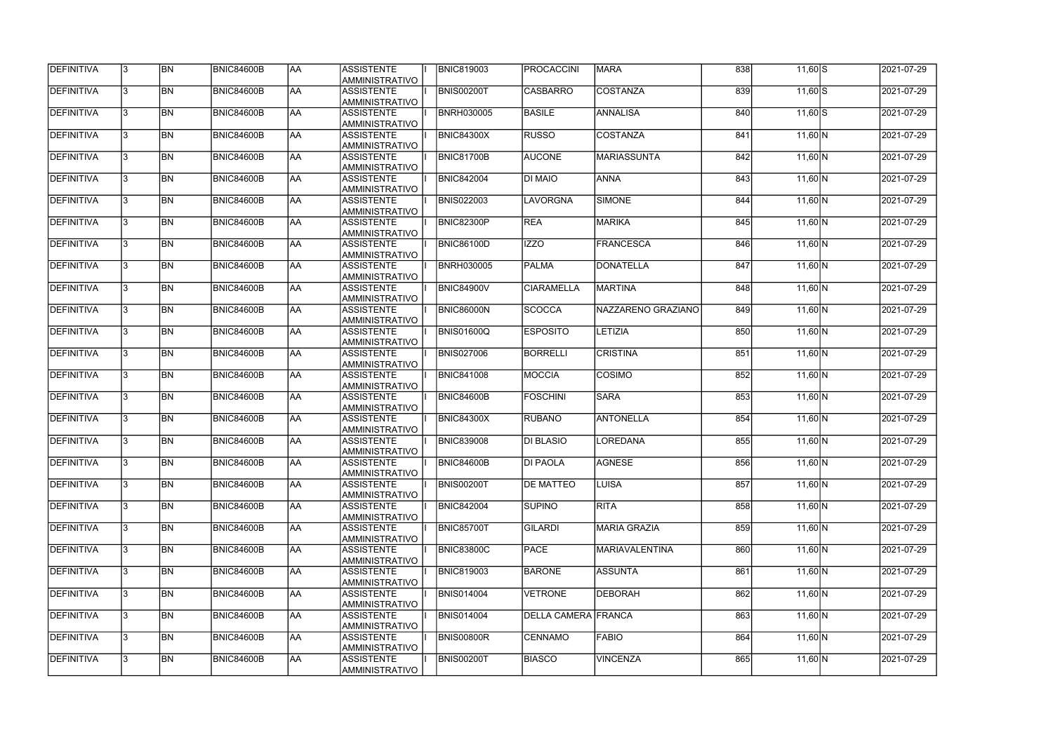| <b>DEFINITIVA</b> | <b>BN</b>      | <b>BNIC84600B</b> | AA              | IASSISTENTE<br>AMMINISTRATIVO       | <b>BNIC819003</b> | <b>PROCACCINI</b>          | <b>MARA</b>           | 838 | $11,60$ S        | 2021-07-29 |
|-------------------|----------------|-------------------|-----------------|-------------------------------------|-------------------|----------------------------|-----------------------|-----|------------------|------------|
| <b>DEFINITIVA</b> | <b>BN</b>      | <b>BNIC84600B</b> | AA              | <b>ASSISTENTE</b><br>AMMINISTRATIVO | <b>BNIS00200T</b> | <b>CASBARRO</b>            | <b>COSTANZA</b>       | 839 | $11,60$ S        | 2021-07-29 |
| <b>DEFINITIVA</b> | <b>BN</b>      | <b>BNIC84600B</b> | AA              | <b>ASSISTENTE</b><br>AMMINISTRATIVO | <b>BNRH030005</b> | <b>BASILE</b>              | <b>ANNALISA</b>       | 840 | 11,60 S          | 2021-07-29 |
| <b>DEFINITIVA</b> | <b>BN</b>      | <b>BNIC84600B</b> | AA              | <b>ASSISTENTE</b><br>AMMINISTRATIVO | <b>BNIC84300X</b> | <b>RUSSO</b>               | <b>COSTANZA</b>       | 841 | 11,60 N          | 2021-07-29 |
| DEFINITIVA        | <b>BN</b>      | <b>BNIC84600B</b> | $\overline{AA}$ | <b>ASSISTENTE</b><br>AMMINISTRATIVO | BNIC81700B        | <b>AUCONE</b>              | <b>MARIASSUNTA</b>    | 842 | 11,60 N          | 2021-07-29 |
| DEFINITIVA        | <b>BN</b>      | <b>BNIC84600B</b> | AA              | <b>ASSISTENTE</b><br>AMMINISTRATIVO | <b>BNIC842004</b> | <b>DI MAIO</b>             | <b>ANNA</b>           | 843 | $11,60$ N        | 2021-07-29 |
| <b>DEFINITIVA</b> | <b>BN</b>      | <b>BNIC84600B</b> | AA              | <b>ASSISTENTE</b><br>AMMINISTRATIVO | <b>BNIS022003</b> | <b>LAVORGNA</b>            | <b>SIMONE</b>         | 844 | $11,60$ N        | 2021-07-29 |
| DEFINITIVA        | <b>BN</b>      | <b>BNIC84600B</b> | AA              | <b>ASSISTENTE</b><br>AMMINISTRATIVO | <b>BNIC82300P</b> | <b>REA</b>                 | <b>MARIKA</b>         | 845 | 11,60 N          | 2021-07-29 |
| <b>DEFINITIVA</b> | <b>BN</b>      | <b>BNIC84600B</b> | AA              | <b>ASSISTENTE</b><br>AMMINISTRATIVO | <b>BNIC86100D</b> | <b>IZZO</b>                | <b>FRANCESCA</b>      | 846 | $11,60 \ N$      | 2021-07-29 |
| DEFINITIVA        | <b>BN</b>      | <b>BNIC84600B</b> | AA              | <b>ASSISTENTE</b><br>AMMINISTRATIVO | <b>BNRH030005</b> | PALMA                      | <b>DONATELLA</b>      | 847 | $11,60 \ N$      | 2021-07-29 |
| <b>DEFINITIVA</b> | <b>BN</b>      | BNIC84600B        | AA              | <b>ASSISTENTE</b><br>AMMINISTRATIVO | <b>BNIC84900V</b> | <b>CIARAMELLA</b>          | <b>MARTINA</b>        | 848 | 11,60 N          | 2021-07-29 |
| DEFINITIVA        | <b>BN</b>      | BNIC84600B        | AA              | <b>ASSISTENTE</b><br>AMMINISTRATIVO | <b>BNIC86000N</b> | <b>SCOCCA</b>              | NAZZARENO GRAZIANO    | 849 | 11,60 N          | 2021-07-29 |
| <b>DEFINITIVA</b> | <b>BN</b>      | BNIC84600B        | AA              | <b>ASSISTENTE</b><br>AMMINISTRATIVO | <b>BNIS01600Q</b> | <b>ESPOSITO</b>            | LETIZIA               | 850 | $11,60 \ N$      | 2021-07-29 |
| DEFINITIVA        | <b>BN</b>      | <b>BNIC84600B</b> | <b>AA</b>       | <b>ASSISTENTE</b><br>AMMINISTRATIVO | <b>BNIS027006</b> | BORRELLI                   | <b>CRISTINA</b>       | 851 | $11,60$ N        | 2021-07-29 |
| DEFINITIVA        | <b>BN</b>      | <b>BNIC84600B</b> | AA              | <b>ASSISTENTE</b><br>AMMINISTRATIVO | <b>BNIC841008</b> | <b>MOCCIA</b>              | COSIMO                | 852 | $11,60 \text{N}$ | 2021-07-29 |
| <b>DEFINITIVA</b> | <b>BN</b>      | <b>BNIC84600B</b> | AA              | <b>ASSISTENTE</b><br>AMMINISTRATIVO | <b>BNIC84600B</b> | <b>FOSCHINI</b>            | <b>SARA</b>           | 853 | $11,60 \ N$      | 2021-07-29 |
| <b>DEFINITIVA</b> | <b>BN</b>      | BNIC84600B        | AA              | <b>ASSISTENTE</b><br>AMMINISTRATIVO | <b>BNIC84300X</b> | <b>RUBANO</b>              | <b>ANTONELLA</b>      | 854 | $11,60 \ N$      | 2021-07-29 |
| <b>DEFINITIVA</b> | <b>BN</b>      | BNIC84600B        | AA              | <b>ASSISTENTE</b><br>AMMINISTRATIVO | <b>BNIC839008</b> | <b>DI BLASIO</b>           | LOREDANA              | 855 | $11,60 \, N$     | 2021-07-29 |
| DEFINITIVA        | BN             | <b>BNIC84600B</b> | AA              | IASSISTENTE<br>AMMINISTRATIVO       | <b>BNIC84600B</b> | DI PAOLA                   | <b>AGNESE</b>         | 856 | 11,60 N          | 2021-07-29 |
| <b>DEFINITIVA</b> | <b>BN</b>      | BNIC84600B        | AA              | ASSISTENTE<br>AMMINISTRATIVO        | <b>BNIS00200T</b> | <b>DE MATTEO</b>           | LUISA                 | 857 | 11,60 N          | 2021-07-29 |
| <b>DEFINITIVA</b> | <b>BN</b>      | <b>BNIC84600B</b> | AA              | ASSISTENTE<br>AMMINISTRATIVO        | <b>BNIC842004</b> | <b>SUPINO</b>              | <b>RITA</b>           | 858 | 11,60 N          | 2021-07-29 |
| DEFINITIVA        | <b>BN</b>      | BNIC84600B        | AA              | ASSISTENTE<br>AMMINISTRATIVO        | <b>BNIC85700T</b> | GILARDI                    | <b>MARIA GRAZIA</b>   | 859 | $11,60$ N        | 2021-07-29 |
| <b>DEFINITIVA</b> | <b>BN</b>      | <b>BNIC84600B</b> | AA              | ASSISTENTE<br>AMMINISTRATIVO        | <b>BNIC83800C</b> | <b>PACE</b>                | <b>MARIAVALENTINA</b> | 860 | $11,60 \ N$      | 2021-07-29 |
| <b>DEFINITIVA</b> | <b>BN</b>      | <b>BNIC84600B</b> | AA              | ASSISTENTE<br>AMMINISTRATIVO        | <b>BNIC819003</b> | <b>BARONE</b>              | <b>ASSUNTA</b>        | 861 | 11,60 N          | 2021-07-29 |
| <b>DEFINITIVA</b> | <b>BN</b>      | <b>BNIC84600B</b> | AA              | <b>ASSISTENTE</b><br>AMMINISTRATIVO | <b>BNIS014004</b> | <b>VETRONE</b>             | <b>DEBORAH</b>        | 862 | 11,60 N          | 2021-07-29 |
| DEFINITIVA        | <b>BN</b>      | <b>BNIC84600B</b> | AA              | <b>ASSISTENTE</b><br>AMMINISTRATIVO | <b>BNIS014004</b> | <b>DELLA CAMERA FRANCA</b> |                       | 863 | 11,60 N          | 2021-07-29 |
| <b>DEFINITIVA</b> | <b>BN</b>      | <b>BNIC84600B</b> | AA              | <b>ASSISTENTE</b><br>AMMINISTRATIVO | <b>BNIS00800R</b> | <b>CENNAMO</b>             | <b>FABIO</b>          | 864 | 11,60 N          | 2021-07-29 |
| <b>DEFINITIVA</b> | BN <sub></sub> | <b>BNIC84600B</b> | AA              | ASSISTENTE<br>AMMINISTRATIVO        | <b>BNIS00200T</b> | <b>BIASCO</b>              | <b>VINCENZA</b>       | 865 | 11,60 N          | 2021-07-29 |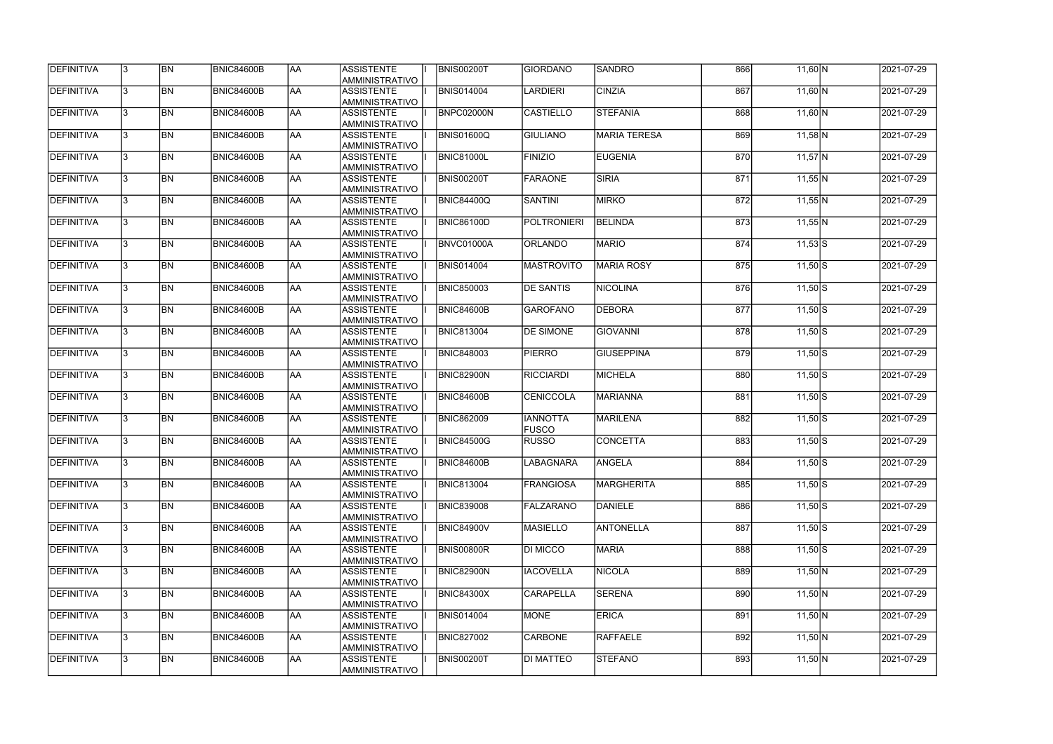| <b>DEFINITIVA</b> | 13. | <b>BN</b> | <b>BNIC84600B</b> | <b>AA</b>  | ASSISTENTE<br>AMMINISTRATIVO               | <b>BNIS00200T</b> | <b>GIORDANO</b>                 | <b>SANDRO</b>       | 866 | $11,60 \ N$  | 2021-07-29 |
|-------------------|-----|-----------|-------------------|------------|--------------------------------------------|-------------------|---------------------------------|---------------------|-----|--------------|------------|
| DEFINITIVA        | l3. | <b>BN</b> | <b>BNIC84600B</b> | laa        | <b>ASSISTENTE</b><br>AMMINISTRATIVO        | <b>BNIS014004</b> | <b>LARDIERI</b>                 | <b>CINZIA</b>       | 867 | $11,60 \ N$  | 2021-07-29 |
| DEFINITIVA        | 13. | <b>BN</b> | <b>BNIC84600B</b> | laa        | <b>ASSISTENTE</b><br>AMMINISTRATIVO        | BNPC02000N        | <b>CASTIELLO</b>                | <b>STEFANIA</b>     | 868 | $11,60$ N    | 2021-07-29 |
| DEFINITIVA        | l3. | <b>BN</b> | <b>BNIC84600B</b> | AA         | <b>ASSISTENTE</b><br>AMMINISTRATIVO        | <b>BNIS01600Q</b> | <b>GIULIANO</b>                 | <b>MARIA TERESA</b> | 869 | $11,58$ N    | 2021-07-29 |
| DEFINITIVA        | l3. | <b>BN</b> | <b>BNIC84600B</b> | <b>AA</b>  | <b>ASSISTENTE</b><br>AMMINISTRATIVO        | BNIC81000L        | <b>FINIZIO</b>                  | <b>EUGENIA</b>      | 870 | $11,57$ N    | 2021-07-29 |
| DEFINITIVA        | l3. | <b>BN</b> | BNIC84600B        | AA         | <b>ASSISTENTE</b><br>AMMINISTRATIVO        | <b>BNIS00200T</b> | <b>FARAONE</b>                  | <b>SIRIA</b>        | 871 | $11,55$ N    | 2021-07-29 |
| <b>DEFINITIVA</b> | 3   | <b>BN</b> | <b>BNIC84600B</b> | laa        | <b>ASSISTENTE</b><br>AMMINISTRATIVO        | <b>BNIC84400Q</b> | <b>SANTINI</b>                  | <b>MIRKO</b>        | 872 | $11,55$ N    | 2021-07-29 |
| DEFINITIVA        |     | <b>BN</b> | <b>BNIC84600B</b> | laa        | <b>ASSISTENTE</b><br><b>AMMINISTRATIVO</b> | <b>BNIC86100D</b> | POLTRONIERI                     | <b>BELINDA</b>      | 873 | $11,55$ N    | 2021-07-29 |
| DEFINITIVA        |     | <b>BN</b> | <b>BNIC84600B</b> | laa        | <b>ASSISTENTE</b><br>AMMINISTRATIVO        | BNVC01000A        | <b>ORLANDO</b>                  | <b>MARIO</b>        | 874 | $11,53$ S    | 2021-07-29 |
| DEFINITIVA        |     | <b>BN</b> | <b>BNIC84600B</b> | laa        | <b>ASSISTENTE</b><br>AMMINISTRATIVO        | <b>BNIS014004</b> | <b>MASTROVITO</b>               | <b>MARIA ROSY</b>   | 875 | $11,50$ S    | 2021-07-29 |
| DEFINITIVA        | l3. | <b>BN</b> | <b>BNIC84600B</b> | AA         | <b>ASSISTENTE</b><br>AMMINISTRATIVO        | <b>BNIC850003</b> | <b>DE SANTIS</b>                | <b>NICOLINA</b>     | 876 | $11,50$ S    | 2021-07-29 |
| DEFINITIVA        | l3. | <b>BN</b> | <b>BNIC84600B</b> | AA         | <b>ASSISTENTE</b><br>AMMINISTRATIVO        | BNIC84600B        | <b>GAROFANO</b>                 | <b>DEBORA</b>       | 877 | $11,50$ S    | 2021-07-29 |
| DEFINITIVA        | 3   | <b>BN</b> | BNIC84600B        | AA         | <b>ASSISTENTE</b><br>AMMINISTRATIVO        | <b>BNIC813004</b> | <b>DE SIMONE</b>                | <b>GIOVANNI</b>     | 878 | $11,50$ S    | 2021-07-29 |
| DEFINITIVA        |     | <b>BN</b> | <b>BNIC84600B</b> | AA         | <b>ASSISTENTE</b><br>AMMINISTRATIVO        | <b>BNIC848003</b> | <b>PIERRO</b>                   | <b>GIUSEPPINA</b>   | 879 | $11,50$ S    | 2021-07-29 |
| DEFINITIVA        | 3   | <b>BN</b> | <b>BNIC84600B</b> | laa        | <b>ASSISTENTE</b><br>AMMINISTRATIVO        | <b>BNIC82900N</b> | <b>RICCIARDI</b>                | <b>MICHELA</b>      | 880 | $11,50$ S    | 2021-07-29 |
| DEFINITIVA        | l3. | <b>BN</b> | <b>BNIC84600B</b> | laa        | <b>ASSISTENTE</b><br>AMMINISTRATIVO        | BNIC84600B        | <b>CENICCOLA</b>                | <b>MARIANNA</b>     | 881 | $11,50$ S    | 2021-07-29 |
| DEFINITIVA        |     | <b>BN</b> | <b>BNIC84600B</b> | laa        | <b>ASSISTENTE</b><br>AMMINISTRATIVO        | <b>BNIC862009</b> | <b>IANNOTTA</b><br><b>FUSCO</b> | <b>MARILENA</b>     | 882 | $11,50$ S    | 2021-07-29 |
| DEFINITIVA        |     | <b>BN</b> | <b>BNIC84600B</b> | AA         | <b>ASSISTENTE</b><br>AMMINISTRATIVO        | <b>BNIC84500G</b> | <b>RUSSO</b>                    | <b>CONCETTA</b>     | 883 | $11,50$ S    | 2021-07-29 |
| <b>DEFINITIVA</b> | 13  | <b>BN</b> | <b>BNIC84600B</b> | <b>JAA</b> | <b>ASSISTENTE</b><br>AMMINISTRATIVO        | <b>BNIC84600B</b> | LABAGNARA                       | <b>ANGELA</b>       | 884 | $11,50$ S    | 2021-07-29 |
| DEFINITIVA        | 13. | <b>BN</b> | <b>BNIC84600B</b> | AA         | <b>ASSISTENTE</b><br>AMMINISTRATIVO        | <b>BNIC813004</b> | <b>FRANGIOSA</b>                | <b>MARGHERITA</b>   | 885 | $11,50$ S    | 2021-07-29 |
| <b>DEFINITIVA</b> | I3. | <b>BN</b> | <b>BNIC84600B</b> | AA         | <b>ASSISTENTE</b><br>AMMINISTRATIVO        | <b>BNIC839008</b> | FALZARANO                       | <b>DANIELE</b>      | 886 | $11,50$ S    | 2021-07-29 |
| DEFINITIVA        | l3. | <b>BN</b> | <b>BNIC84600B</b> | AA         | <b>ASSISTENTE</b><br>AMMINISTRATIVO        | <b>BNIC84900V</b> | <b>MASIELLO</b>                 | <b>ANTONELLA</b>    | 887 | $11,50$ S    | 2021-07-29 |
| DEFINITIVA        | 3   | <b>BN</b> | <b>BNIC84600B</b> | AA         | <b>ASSISTENTE</b><br>AMMINISTRATIVO        | BNIS00800R        | <b>DI MICCO</b>                 | <b>MARIA</b>        | 888 | $11,50$ S    | 2021-07-29 |
| DEFINITIVA        | l3. | <b>BN</b> | <b>BNIC84600B</b> | AA         | <b>ASSISTENTE</b><br>AMMINISTRATIVO        | BNIC82900N        | <b>IACOVELLA</b>                | <b>NICOLA</b>       | 889 | $11,50 \, N$ | 2021-07-29 |
| DEFINITIVA        |     | <b>BN</b> | <b>BNIC84600B</b> | AA         | <b>ASSISTENTE</b><br>AMMINISTRATIVO        | <b>BNIC84300X</b> | <b>CARAPELLA</b>                | <b>SERENA</b>       | 890 | 11,50 N      | 2021-07-29 |
| DEFINITIVA        | I3. | <b>BN</b> | <b>BNIC84600B</b> | AA         | <b>ASSISTENTE</b><br>AMMINISTRATIVO        | <b>BNIS014004</b> | MONE                            | <b>ERICA</b>        | 891 | 11,50 N      | 2021-07-29 |
| DEFINITIVA        | 13. | <b>BN</b> | <b>BNIC84600B</b> | AA         | <b>ASSISTENTE</b><br>AMMINISTRATIVO        | <b>BNIC827002</b> | <b>CARBONE</b>                  | <b>RAFFAELE</b>     | 892 | 11,50 N      | 2021-07-29 |
| DEFINITIVA        |     | <b>BN</b> | <b>BNIC84600B</b> | AA         | <b>ASSISTENTE</b><br>AMMINISTRATIVO        | <b>BNIS00200T</b> | DI MATTEO                       | <b>STEFANO</b>      | 893 | 11,50 N      | 2021-07-29 |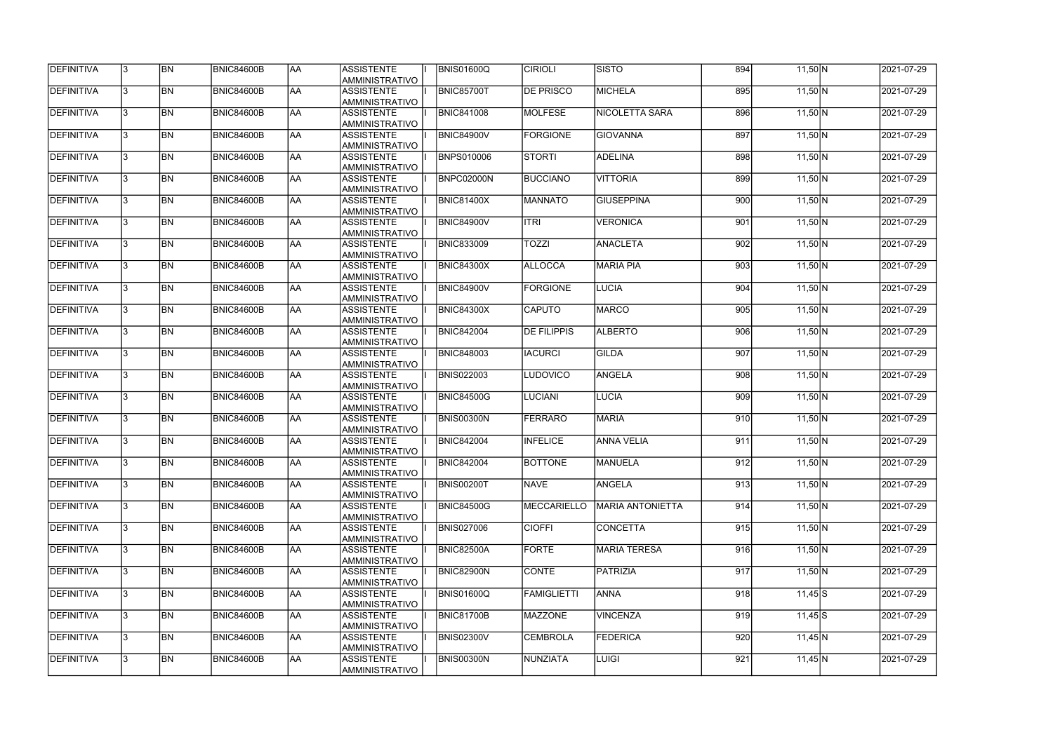| <b>DEFINITIVA</b> | 13.          | <b>BN</b> | <b>BNIC84600B</b> | <b>AA</b>  | <b>ASSISTENTE</b><br>AMMINISTRATIVO        | <b>BNIS01600Q</b> | <b>CIRIOLI</b>     | <b>SISTO</b>            | 894 | $11,50$ N        | 2021-07-29 |
|-------------------|--------------|-----------|-------------------|------------|--------------------------------------------|-------------------|--------------------|-------------------------|-----|------------------|------------|
| DEFINITIVA        | 3            | <b>BN</b> | BNIC84600B        | <b>AA</b>  | <b>ASSISTENTE</b><br>AMMINISTRATIVO        | <b>BNIC85700T</b> | <b>DE PRISCO</b>   | <b>MICHELA</b>          | 895 | $11,50$ N        | 2021-07-29 |
| DEFINITIVA        | 3            | <b>BN</b> | BNIC84600B        | <b>AA</b>  | <b>ASSISTENTE</b><br>AMMINISTRATIVO        | <b>BNIC841008</b> | MOLFESE            | <b>NICOLETTA SARA</b>   | 896 | $11,50$ N        | 2021-07-29 |
| DEFINITIVA        |              | <b>BN</b> | <b>BNIC84600B</b> | <b>AA</b>  | <b>ASSISTENTE</b><br>AMMINISTRATIVO        | <b>BNIC84900V</b> | FORGIONE           | <b>GIOVANNA</b>         | 897 | $11,50$ N        | 2021-07-29 |
| DEFINITIVA        |              | <b>BN</b> | BNIC84600B        | <b>AA</b>  | <b>ASSISTENTE</b><br>AMMINISTRATIVO        | BNPS010006        | STORTI             | <b>ADELINA</b>          | 898 | $11,50$ N        | 2021-07-29 |
| <b>DEFINITIVA</b> |              | <b>BN</b> | BNIC84600B        | AA         | <b>ASSISTENTE</b><br>AMMINISTRATIVO        | <b>BNPC02000N</b> | <b>BUCCIANO</b>    | <b>VITTORIA</b>         | 899 | $11,50$ N        | 2021-07-29 |
| <b>DEFINITIVA</b> |              | <b>BN</b> | BNIC84600B        | <b>AA</b>  | <b>ASSISTENTE</b><br>AMMINISTRATIVO        | <b>BNIC81400X</b> | MANNATO            | <b>GIUSEPPINA</b>       | 900 | $11,50$ N        | 2021-07-29 |
| DEFINITIVA        |              | <b>BN</b> | <b>BNIC84600B</b> | <b>AA</b>  | <b>ASSISTENTE</b><br><b>AMMINISTRATIVO</b> | <b>BNIC84900V</b> | <b>ITRI</b>        | <b>VERONICA</b>         | 901 | $11,50 \, N$     | 2021-07-29 |
| DEFINITIVA        |              | <b>BN</b> | BNIC84600B        | <b>AA</b>  | <b>ASSISTENTE</b><br>AMMINISTRATIVO        | <b>BNIC833009</b> | <b>TOZZI</b>       | <b>ANACLETA</b>         | 902 | $11,50 \, N$     | 2021-07-29 |
| DEFINITIVA        |              | <b>BN</b> | <b>BNIC84600B</b> | <b>AA</b>  | <b>ASSISTENTE</b><br><b>AMMINISTRATIVO</b> | <b>BNIC84300X</b> | <b>ALLOCCA</b>     | <b>MARIA PIA</b>        | 903 | $11,50 \, N$     | 2021-07-29 |
| <b>DEFINITIVA</b> |              | <b>BN</b> | <b>BNIC84600B</b> | <b>AA</b>  | <b>ASSISTENTE</b><br>AMMINISTRATIVO        | <b>BNIC84900V</b> | FORGIONE           | <b>LUCIA</b>            | 904 | $11,50 \text{N}$ | 2021-07-29 |
| DEFINITIVA        |              | <b>BN</b> | <b>BNIC84600B</b> | <b>AA</b>  | <b>ASSISTENTE</b><br>AMMINISTRATIVO        | <b>BNIC84300X</b> | <b>CAPUTO</b>      | <b>MARCO</b>            | 905 | $11,50$ N        | 2021-07-29 |
| DEFINITIVA        |              | <b>BN</b> | BNIC84600B        | <b>AA</b>  | <b>ASSISTENTE</b><br>AMMINISTRATIVO        | <b>BNIC842004</b> | <b>DE FILIPPIS</b> | <b>ALBERTO</b>          | 906 | $11,50$ N        | 2021-07-29 |
| DEFINITIVA        |              | <b>BN</b> | <b>BNIC84600B</b> | AA         | <b>ASSISTENTE</b><br>AMMINISTRATIVO        | <b>BNIC848003</b> | <b>IACURCI</b>     | GILDA                   | 907 | $11,50$ N        | 2021-07-29 |
| DEFINITIVA        |              | <b>BN</b> | <b>BNIC84600B</b> | <b>AA</b>  | <b>ASSISTENTE</b><br>AMMINISTRATIVO        | <b>BNIS022003</b> | <b>LUDOVICO</b>    | ANGELA                  | 908 | $11,50$ N        | 2021-07-29 |
| DEFINITIVA        |              | <b>BN</b> | <b>BNIC84600B</b> | <b>AA</b>  | <b>ASSISTENTE</b><br>AMMINISTRATIVO        | <b>BNIC84500G</b> | <b>LUCIANI</b>     | LUCIA                   | 909 | $11,50 \, N$     | 2021-07-29 |
| DEFINITIVA        |              | <b>BN</b> | BNIC84600B        | <b>AA</b>  | <b>ASSISTENTE</b><br>AMMINISTRATIVO        | <b>BNIS00300N</b> | FERRARO            | <b>MARIA</b>            | 910 | $11,50 \, N$     | 2021-07-29 |
| DEFINITIVA        |              | <b>BN</b> | BNIC84600B        | <b>AA</b>  | <b>ASSISTENTE</b><br>AMMINISTRATIVO        | <b>BNIC842004</b> | <b>INFELICE</b>    | <b>ANNA VELIA</b>       | 911 | $11,50 \, N$     | 2021-07-29 |
| <b>DEFINITIVA</b> | 13           | BN        | BNIC84600B        | <b>JAA</b> | <b>ASSISTENTE</b><br><b>AMMINISTRATIVO</b> | <b>BNIC842004</b> | <b>BOTTONE</b>     | MANUELA                 | 912 | $11,50 \, N$     | 2021-07-29 |
| <b>DEFINITIVA</b> |              | <b>BN</b> | BNIC84600B        | <b>AA</b>  | ASSISTENTE<br>AMMINISTRATIVO               | <b>BNIS00200T</b> | <b>NAVE</b>        | ANGELA                  | 913 | 11,50 N          | 2021-07-29 |
| DEFINITIVA        | $\mathbf{3}$ | <b>BN</b> | <b>BNIC84600B</b> | <b>AA</b>  | <b>ASSISTENTE</b><br>AMMINISTRATIVO        | <b>BNIC84500G</b> | MECCARIELLO        | <b>MARIA ANTONIETTA</b> | 914 | $11,50$ N        | 2021-07-29 |
| <b>DEFINITIVA</b> | 3.           | <b>BN</b> | BNIC84600B        | <b>AA</b>  | <b>ASSISTENTE</b><br>AMMINISTRATIVO        | <b>BNIS027006</b> | <b>CIOFFI</b>      | <b>CONCETTA</b>         | 915 | $11,50$ N        | 2021-07-29 |
| DEFINITIVA        |              | <b>BN</b> | BNIC84600B        | AA         | <b>ASSISTENTE</b><br>AMMINISTRATIVO        | <b>BNIC82500A</b> | FORTE              | <b>MARIA TERESA</b>     | 916 | 11,50 N          | 2021-07-29 |
| DEFINITIVA        |              | <b>BN</b> | BNIC84600B        | <b>AA</b>  | <b>ASSISTENTE</b><br>AMMINISTRATIVO        | <b>BNIC82900N</b> | <b>CONTE</b>       | <b>PATRIZIA</b>         | 917 | $11,50 \, N$     | 2021-07-29 |
| DEFINITIVA        |              | <b>BN</b> | BNIC84600B        | AA         | <b>ASSISTENTE</b><br>AMMINISTRATIVO        | <b>BNIS01600Q</b> | <b>FAMIGLIETTI</b> | <b>ANNA</b>             | 918 | $11,45$ S        | 2021-07-29 |
| DEFINITIVA        |              | <b>BN</b> | BNIC84600B        | <b>AA</b>  | ASSISTENTE<br>AMMINISTRATIVO               | <b>BNIC81700B</b> | MAZZONE            | <b>VINCENZA</b>         | 919 | $11,45$ $S$      | 2021-07-29 |
| DEFINITIVA        |              | <b>BN</b> | BNIC84600B        | <b>AA</b>  | ASSISTENTE<br>AMMINISTRATIVO               | <b>BNIS02300V</b> | <b>CEMBROLA</b>    | <b>FEDERICA</b>         | 920 | 11,45 $N$        | 2021-07-29 |
| DEFINITIVA        |              | BN        | BNIC84600B        | <b>AA</b>  | <b>ASSISTENTE</b><br>AMMINISTRATIVO        | <b>BNIS00300N</b> | NUNZIATA           | <b>LUIGI</b>            | 921 | 11,45 $N$        | 2021-07-29 |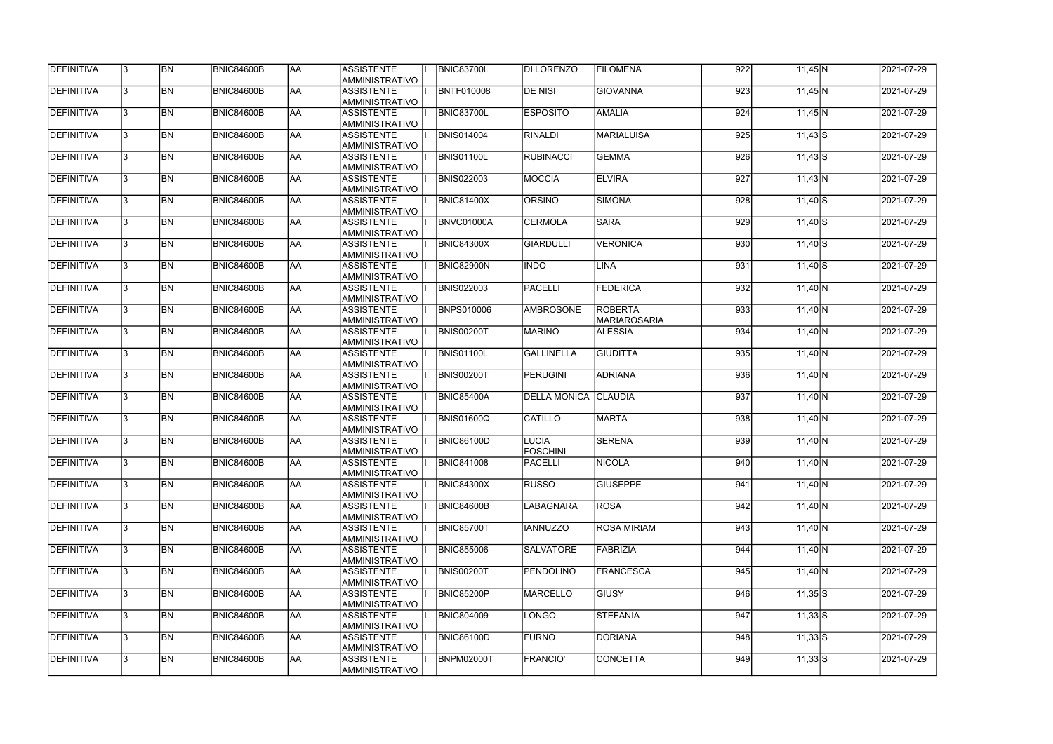| <b>DEFINITIVA</b> | 13.          | <b>BN</b> | <b>BNIC84600B</b> | <b>AA</b>  | ASSISTENTE<br><b>AMMINISTRATIVO</b>        | BNIC83700L        | <b>DI LORENZO</b>           | <b>FILOMENA</b>                       | 922 | $11,45$ N    | 2021-07-29 |
|-------------------|--------------|-----------|-------------------|------------|--------------------------------------------|-------------------|-----------------------------|---------------------------------------|-----|--------------|------------|
| DEFINITIVA        | 3            | <b>BN</b> | <b>BNIC84600B</b> | AA         | ASSISTENTE<br>AMMINISTRATIVO               | <b>BNTF010008</b> | <b>DE NISI</b>              | <b>GIOVANNA</b>                       | 923 | $11,45$ N    | 2021-07-29 |
| DEFINITIVA        | 3            | <b>BN</b> | <b>BNIC84600B</b> | AA         | ASSISTENTE<br>AMMINISTRATIVO               | BNIC83700L        | <b>ESPOSITO</b>             | <b>AMALIA</b>                         | 924 | $11,45$ N    | 2021-07-29 |
| DEFINITIVA        |              | <b>BN</b> | <b>BNIC84600B</b> | <b>AA</b>  | <b>ASSISTENTE</b><br>AMMINISTRATIVO        | <b>BNIS014004</b> | <b>RINALDI</b>              | <b>MARIALUISA</b>                     | 925 | $11,43$ S    | 2021-07-29 |
| DEFINITIVA        |              | <b>BN</b> | <b>BNIC84600B</b> | <b>AA</b>  | <b>ASSISTENTE</b><br>AMMINISTRATIVO        | BNIS01100L        | RUBINACCI                   | <b>GEMMA</b>                          | 926 | $11,43$ $S$  | 2021-07-29 |
| <b>DEFINITIVA</b> |              | <b>BN</b> | BNIC84600B        | AA         | <b>ASSISTENTE</b><br><b>AMMINISTRATIVO</b> | <b>BNIS022003</b> | <b>MOCCIA</b>               | <b>ELVIRA</b>                         | 927 | $11,43$ N    | 2021-07-29 |
| <b>DEFINITIVA</b> |              | <b>BN</b> | BNIC84600B        | AA         | <b>ASSISTENTE</b><br><b>AMMINISTRATIVO</b> | BNIC81400X        | ORSINO                      | <b>SIMONA</b>                         | 928 | $11,40$ S    | 2021-07-29 |
| DEFINITIVA        |              | <b>BN</b> | <b>BNIC84600B</b> | AA         | <b>ASSISTENTE</b><br><b>AMMINISTRATIVO</b> | BNVC01000A        | <b>CERMOLA</b>              | <b>SARA</b>                           | 929 | $11,40$ S    | 2021-07-29 |
| DEFINITIVA        |              | <b>BN</b> | BNIC84600B        | AA         | <b>ASSISTENTE</b><br>AMMINISTRATIVO        | <b>BNIC84300X</b> | <b>GIARDULLI</b>            | <b>VERONICA</b>                       | 930 | $11,40$ S    | 2021-07-29 |
| DEFINITIVA        |              | <b>BN</b> | <b>BNIC84600B</b> | AA         | <b>ASSISTENTE</b><br>AMMINISTRATIVO        | BNIC82900N        | <b>INDO</b>                 | LINA                                  | 931 | $11,40$ S    | 2021-07-29 |
| DEFINITIVA        |              | <b>BN</b> | <b>BNIC84600B</b> | AA         | ASSISTENTE<br>AMMINISTRATIVO               | <b>BNIS022003</b> | PACELLI                     | <b>FEDERICA</b>                       | 932 | $11,40 \, N$ | 2021-07-29 |
| <b>DEFINITIVA</b> |              | <b>BN</b> | <b>BNIC84600B</b> | AA         | <b>ASSISTENTE</b><br>AMMINISTRATIVO        | <b>BNPS010006</b> | <b>AMBROSONE</b>            | <b>ROBERTA</b><br><b>MARIAROSARIA</b> | 933 | $11,40 \, N$ | 2021-07-29 |
| DEFINITIVA        |              | <b>BN</b> | <b>BNIC84600B</b> | AA         | ASSISTENTE<br>AMMINISTRATIVO               | <b>BNIS00200T</b> | <b>MARINO</b>               | <b>ALESSIA</b>                        | 934 | $11,40 \, N$ | 2021-07-29 |
| <b>DEFINITIVA</b> |              | <b>BN</b> | <b>BNIC84600B</b> | AA         | <b>ASSISTENTE</b><br><b>AMMINISTRATIVO</b> | <b>BNIS01100L</b> | <b>GALLINELLA</b>           | <b>GIUDITTA</b>                       | 935 | $11,40$ N    | 2021-07-29 |
| <b>DEFINITIVA</b> |              | <b>BN</b> | <b>BNIC84600B</b> | AA         | ASSISTENTE<br><b>AMMINISTRATIVO</b>        | <b>BNIS00200T</b> | PERUGINI                    | <b>ADRIANA</b>                        | 936 | $11,40$ N    | 2021-07-29 |
| <b>DEFINITIVA</b> |              | <b>BN</b> | <b>BNIC84600B</b> | AA         | <b>ASSISTENTE</b><br><b>AMMINISTRATIVO</b> | <b>BNIC85400A</b> | <b>DELLA MONICA CLAUDIA</b> |                                       | 937 | $11,40$ N    | 2021-07-29 |
| DEFINITIVA        |              | <b>BN</b> | <b>BNIC84600B</b> | AA         | <b>ASSISTENTE</b><br>AMMINISTRATIVO        | <b>BNIS01600Q</b> | <b>CATILLO</b>              | <b>MARTA</b>                          | 938 | $11,40 \, N$ | 2021-07-29 |
| DEFINITIVA        | $\mathbf{R}$ | <b>BN</b> | <b>BNIC84600B</b> | AA         | <b>ASSISTENTE</b><br>AMMINISTRATIVO        | <b>BNIC86100D</b> | LUCIA<br><b>FOSCHINI</b>    | <b>SERENA</b>                         | 939 | $11,40 \, N$ | 2021-07-29 |
| <b>DEFINITIVA</b> | 13           | BN        | <b>BNIC84600B</b> | <b>JAA</b> | <b>ASSISTENTE</b><br><b>AMMINISTRATIVO</b> | <b>BNIC841008</b> | <b>PACELLI</b>              | <b>NICOLA</b>                         | 940 | $11,40 \, N$ | 2021-07-29 |
| DEFINITIVA        | l3.          | <b>BN</b> | <b>BNIC84600B</b> | AA         | ASSISTENTE<br>AMMINISTRATIVO               | <b>BNIC84300X</b> | <b>RUSSO</b>                | <b>GIUSEPPE</b>                       | 941 | $11,40$ N    | 2021-07-29 |
| DEFINITIVA        | $\mathbf{3}$ | <b>BN</b> | <b>BNIC84600B</b> | AA         | ASSISTENTE<br>AMMINISTRATIVO               | BNIC84600B        | LABAGNARA                   | <b>ROSA</b>                           | 942 | $11,40 \, N$ | 2021-07-29 |
| <b>DEFINITIVA</b> | $\mathbf{3}$ | <b>BN</b> | <b>BNIC84600B</b> | AA         | <b>ASSISTENTE</b><br>AMMINISTRATIVO        | BNIC85700T        | <b>IANNUZZO</b>             | <b>ROSA MIRIAM</b>                    | 943 | $11,40$ N    | 2021-07-29 |
| DEFINITIVA        |              | <b>BN</b> | <b>BNIC84600B</b> | AA         | <b>ASSISTENTE</b><br><b>AMMINISTRATIVO</b> | <b>BNIC855006</b> | <b>SALVATORE</b>            | <b>FABRIZIA</b>                       | 944 | $11,40$ N    | 2021-07-29 |
| DEFINITIVA        |              | <b>BN</b> | <b>BNIC84600B</b> | AA         | <b>ASSISTENTE</b><br>AMMINISTRATIVO        | <b>BNIS00200T</b> | PENDOLINO                   | <b>FRANCESCA</b>                      | 945 | $11,40 \, N$ | 2021-07-29 |
| DEFINITIVA        |              | <b>BN</b> | <b>BNIC84600B</b> | AA         | <b>ASSISTENTE</b><br>AMMINISTRATIVO        | BNIC85200P        | MARCELLO                    | <b>GIUSY</b>                          | 946 | $11,35$ S    | 2021-07-29 |
| DEFINITIVA        |              | <b>BN</b> | BNIC84600B        | AA         | ASSISTENTE<br>AMMINISTRATIVO               | <b>BNIC804009</b> | LONGO                       | <b>STEFANIA</b>                       | 947 | $11,33$ S    | 2021-07-29 |
| DEFINITIVA        |              | <b>BN</b> | <b>BNIC84600B</b> | AA         | ASSISTENTE<br>AMMINISTRATIVO               | <b>BNIC86100D</b> | <b>FURNO</b>                | <b>DORIANA</b>                        | 948 | $11,33$ S    | 2021-07-29 |
| DEFINITIVA        |              | BN        | <b>BNIC84600B</b> | AA         | ASSISTENTE<br>AMMINISTRATIVO               | <b>BNPM02000T</b> | <b>FRANCIO'</b>             | <b>CONCETTA</b>                       | 949 | $11,33$ S    | 2021-07-29 |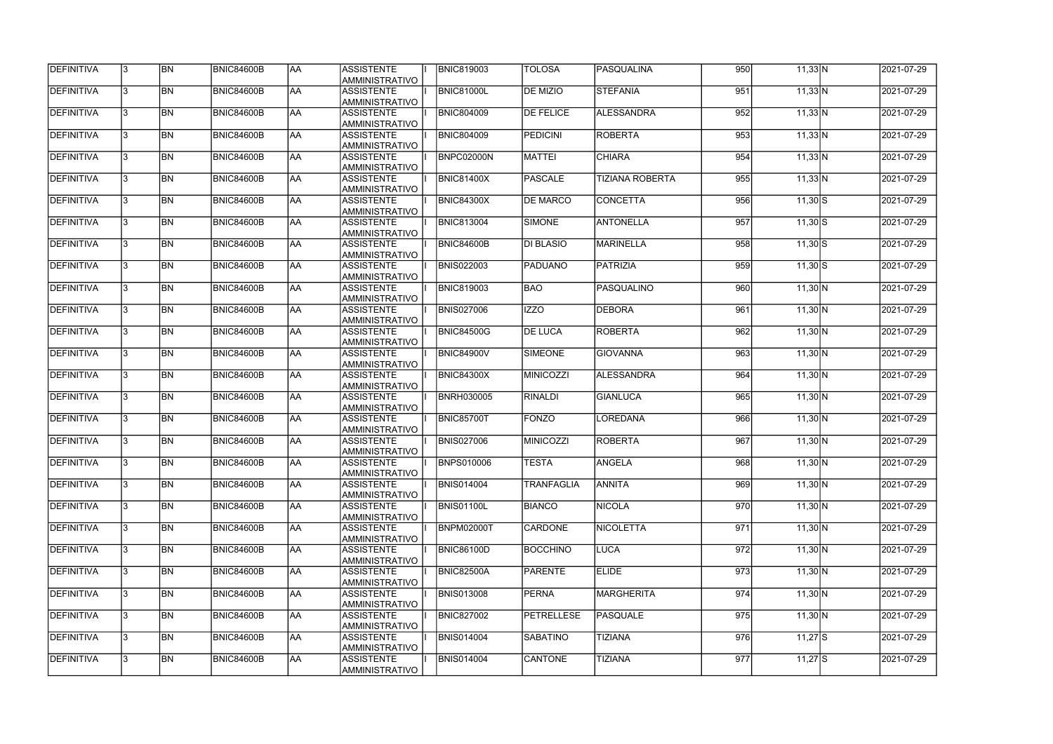| <b>DEFINITIVA</b> | 13.          | <b>BN</b> | <b>BNIC84600B</b> | <b>AA</b>  | ASSISTENTE<br><b>AMMINISTRATIVO</b>        | <b>BNIC819003</b> | <b>TOLOSA</b>     | <b>PASQUALINA</b>      | 950 | $11,33$ N    | 2021-07-29 |
|-------------------|--------------|-----------|-------------------|------------|--------------------------------------------|-------------------|-------------------|------------------------|-----|--------------|------------|
| DEFINITIVA        | 3            | <b>BN</b> | <b>BNIC84600B</b> | AA         | ASSISTENTE<br>AMMINISTRATIVO               | BNIC81000L        | <b>DE MIZIO</b>   | <b>STEFANIA</b>        | 951 | $11,33$ N    | 2021-07-29 |
| DEFINITIVA        | 3            | <b>BN</b> | <b>BNIC84600B</b> | AA         | ASSISTENTE<br>AMMINISTRATIVO               | <b>BNIC804009</b> | <b>DE FELICE</b>  | <b>ALESSANDRA</b>      | 952 | $11,33$ N    | 2021-07-29 |
| DEFINITIVA        |              | <b>BN</b> | <b>BNIC84600B</b> | <b>AA</b>  | <b>ASSISTENTE</b><br>AMMINISTRATIVO        | <b>BNIC804009</b> | <b>PEDICINI</b>   | <b>ROBERTA</b>         | 953 | $11,33$ N    | 2021-07-29 |
| DEFINITIVA        |              | <b>BN</b> | <b>BNIC84600B</b> | <b>AA</b>  | ASSISTENTE<br>AMMINISTRATIVO               | <b>BNPC02000N</b> | <b>MATTEI</b>     | <b>CHIARA</b>          | 954 | $11,33$ N    | 2021-07-29 |
| <b>DEFINITIVA</b> |              | <b>BN</b> | BNIC84600B        | AA         | <b>ASSISTENTE</b><br><b>AMMINISTRATIVO</b> | <b>BNIC81400X</b> | PASCALE           | <b>TIZIANA ROBERTA</b> | 955 | $11,33$ N    | 2021-07-29 |
| <b>DEFINITIVA</b> |              | <b>BN</b> | BNIC84600B        | AA         | <b>ASSISTENTE</b><br><b>AMMINISTRATIVO</b> | <b>BNIC84300X</b> | <b>DE MARCO</b>   | <b>CONCETTA</b>        | 956 | $11,30$ S    | 2021-07-29 |
| DEFINITIVA        |              | <b>BN</b> | <b>BNIC84600B</b> | AA         | <b>ASSISTENTE</b><br><b>AMMINISTRATIVO</b> | <b>BNIC813004</b> | SIMONE            | <b>ANTONELLA</b>       | 957 | $11,30$ S    | 2021-07-29 |
| DEFINITIVA        |              | <b>BN</b> | BNIC84600B        | AA         | <b>ASSISTENTE</b><br>AMMINISTRATIVO        | BNIC84600B        | <b>DI BLASIO</b>  | <b>MARINELLA</b>       | 958 | $11,30$ S    | 2021-07-29 |
| <b>DEFINITIVA</b> |              | <b>BN</b> | <b>BNIC84600B</b> | AA         | <b>ASSISTENTE</b><br>AMMINISTRATIVO        | <b>BNIS022003</b> | PADUANO           | <b>PATRIZIA</b>        | 959 | $11,30$ S    | 2021-07-29 |
| DEFINITIVA        |              | <b>BN</b> | <b>BNIC84600B</b> | AA         | ASSISTENTE<br>AMMINISTRATIVO               | <b>BNIC819003</b> | <b>BAO</b>        | PASQUALINO             | 960 | $11,30 \, N$ | 2021-07-29 |
| <b>DEFINITIVA</b> |              | <b>BN</b> | <b>BNIC84600B</b> | AA         | <b>ASSISTENTE</b><br>AMMINISTRATIVO        | <b>BNIS027006</b> | <b>IZZO</b>       | <b>DEBORA</b>          | 961 | $11,30 \, N$ | 2021-07-29 |
| DEFINITIVA        |              | <b>BN</b> | <b>BNIC84600B</b> | AA         | ASSISTENTE<br>AMMINISTRATIVO               | <b>BNIC84500G</b> | <b>DE LUCA</b>    | <b>ROBERTA</b>         | 962 | $11,30$ N    | 2021-07-29 |
| <b>DEFINITIVA</b> |              | <b>BN</b> | <b>BNIC84600B</b> | AA         | <b>ASSISTENTE</b><br><b>AMMINISTRATIVO</b> | <b>BNIC84900V</b> | <b>SIMEONE</b>    | <b>GIOVANNA</b>        | 963 | $11,30$ N    | 2021-07-29 |
| <b>DEFINITIVA</b> |              | <b>BN</b> | <b>BNIC84600B</b> | AA         | <b>ASSISTENTE</b><br><b>AMMINISTRATIVO</b> | <b>BNIC84300X</b> | MINICOZZI         | <b>ALESSANDRA</b>      | 964 | $11,30$ N    | 2021-07-29 |
| <b>DEFINITIVA</b> |              | <b>BN</b> | <b>BNIC84600B</b> | AA         | <b>ASSISTENTE</b><br><b>AMMINISTRATIVO</b> | <b>BNRH030005</b> | <b>RINALDI</b>    | <b>GIANLUCA</b>        | 965 | $11,30$ N    | 2021-07-29 |
| DEFINITIVA        |              | <b>BN</b> | <b>BNIC84600B</b> | AA         | <b>ASSISTENTE</b><br>AMMINISTRATIVO        | <b>BNIC85700T</b> | <b>FONZO</b>      | LOREDANA               | 966 | $11,30 \, N$ | 2021-07-29 |
| DEFINITIVA        |              | <b>BN</b> | BNIC84600B        | AA         | <b>ASSISTENTE</b><br>AMMINISTRATIVO        | <b>BNIS027006</b> | <b>MINICOZZI</b>  | <b>ROBERTA</b>         | 967 | $11,30 \, N$ | 2021-07-29 |
| <b>DEFINITIVA</b> | 13           | BN        | <b>BNIC84600B</b> | <b>JAA</b> | <b>ASSISTENTE</b><br><b>AMMINISTRATIVO</b> | <b>BNPS010006</b> | TESTA             | <b>ANGELA</b>          | 968 | $11,30 \, N$ | 2021-07-29 |
| DEFINITIVA        | l3.          | <b>BN</b> | <b>BNIC84600B</b> | AA         | ASSISTENTE<br>AMMINISTRATIVO               | <b>BNIS014004</b> | <b>TRANFAGLIA</b> | <b>ANNITA</b>          | 969 | $11,30 \, N$ | 2021-07-29 |
| DEFINITIVA        | 3            | <b>BN</b> | <b>BNIC84600B</b> | AA         | ASSISTENTE<br>AMMINISTRATIVO               | BNIS01100L        | <b>BIANCO</b>     | <b>NICOLA</b>          | 970 | $11,30 \, N$ | 2021-07-29 |
| <b>DEFINITIVA</b> | $\mathbf{3}$ | <b>BN</b> | <b>BNIC84600B</b> | AA         | <b>ASSISTENTE</b><br>AMMINISTRATIVO        | BNPM02000T        | <b>CARDONE</b>    | <b>NICOLETTA</b>       | 971 | $11,30$ N    | 2021-07-29 |
| DEFINITIVA        |              | <b>BN</b> | <b>BNIC84600B</b> | AA         | <b>ASSISTENTE</b><br><b>AMMINISTRATIVO</b> | <b>BNIC86100D</b> | <b>BOCCHINO</b>   | <b>LUCA</b>            | 972 | $11,30$ N    | 2021-07-29 |
| DEFINITIVA        |              | <b>BN</b> | <b>BNIC84600B</b> | AA         | <b>ASSISTENTE</b><br>AMMINISTRATIVO        | <b>BNIC82500A</b> | <b>PARENTE</b>    | <b>ELIDE</b>           | 973 | $11,30 \, N$ | 2021-07-29 |
| DEFINITIVA        |              | <b>BN</b> | <b>BNIC84600B</b> | AA         | <b>ASSISTENTE</b><br>AMMINISTRATIVO        | <b>BNIS013008</b> | PERNA             | <b>MARGHERITA</b>      | 974 | $11,30 \, N$ | 2021-07-29 |
| DEFINITIVA        |              | <b>BN</b> | BNIC84600B        | AA         | ASSISTENTE<br>AMMINISTRATIVO               | <b>BNIC827002</b> | <b>PETRELLESE</b> | PASQUALE               | 975 | $11,30$ N    | 2021-07-29 |
| DEFINITIVA        | 3.           | <b>BN</b> | <b>BNIC84600B</b> | AA         | ASSISTENTE<br>AMMINISTRATIVO               | <b>BNIS014004</b> | <b>SABATINO</b>   | <b>TIZIANA</b>         | 976 | $11,27$ $S$  | 2021-07-29 |
| DEFINITIVA        |              | BN        | <b>BNIC84600B</b> | AA         | ASSISTENTE<br>AMMINISTRATIVO               | <b>BNIS014004</b> | <b>CANTONE</b>    | <b>TIZIANA</b>         | 977 | $11,27$ S    | 2021-07-29 |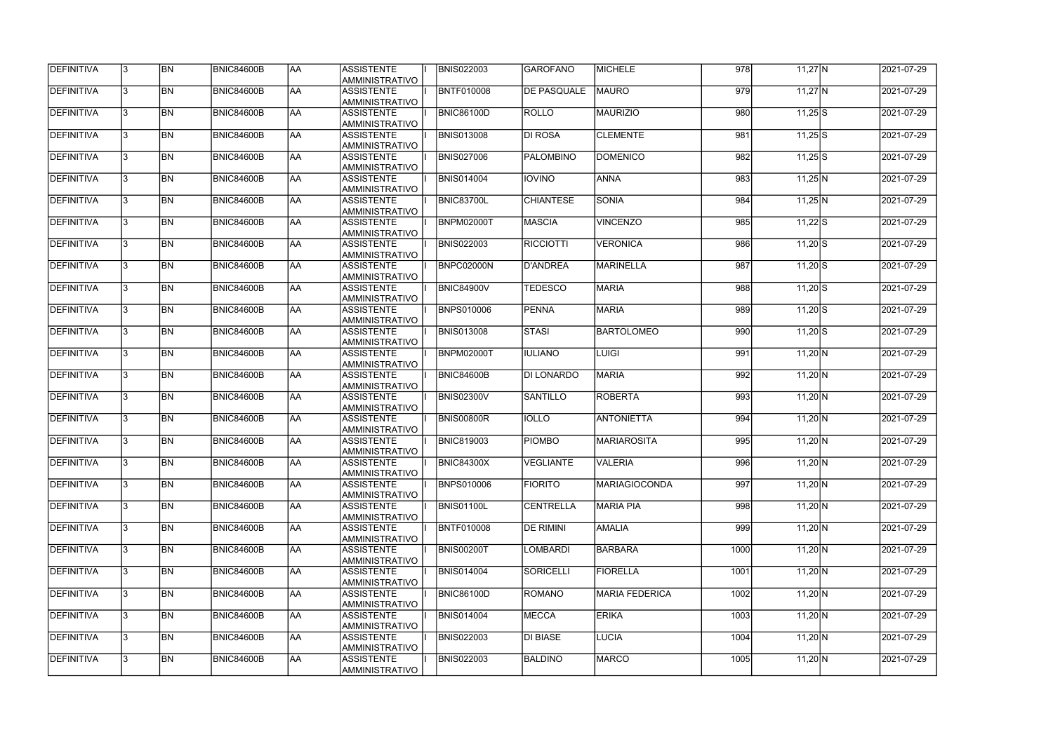| <b>DEFINITIVA</b> | 13. | <b>BN</b> | <b>BNIC84600B</b> | AA        | <b>ASSISTENTE</b><br>AMMINISTRATIVO        | <b>BNIS022003</b> | GAROFANO           | <b>MICHELE</b>        | 978  | $11,27$ N        | 2021-07-29 |
|-------------------|-----|-----------|-------------------|-----------|--------------------------------------------|-------------------|--------------------|-----------------------|------|------------------|------------|
| <b>DEFINITIVA</b> | 13. | <b>BN</b> | BNIC84600B        | laa       | <b>ASSISTENTE</b><br>AMMINISTRATIVO        | <b>BNTF010008</b> | <b>DE PASQUALE</b> | <b>MAURO</b>          | 979  | $11,27$ N        | 2021-07-29 |
| DEFINITIVA        | l3. | <b>BN</b> | <b>BNIC84600B</b> | AA        | <b>ASSISTENTE</b><br>AMMINISTRATIVO        | <b>BNIC86100D</b> | <b>ROLLO</b>       | <b>MAURIZIO</b>       | 980  | $11,25$ S        | 2021-07-29 |
| <b>DEFINITIVA</b> | l3. | <b>BN</b> | BNIC84600B        | <b>AA</b> | <b>ASSISTENTE</b><br>AMMINISTRATIVO        | <b>BNIS013008</b> | <b>DI ROSA</b>     | <b>CLEMENTE</b>       | 981  | $11,25$ S        | 2021-07-29 |
| DEFINITIVA        | l3. | <b>BN</b> | <b>BNIC84600B</b> | laa       | <b>ASSISTENTE</b><br>AMMINISTRATIVO        | <b>BNIS027006</b> | PALOMBINO          | <b>DOMENICO</b>       | 982  | $11,25$ S        | 2021-07-29 |
| DEFINITIVA        | l3  | <b>BN</b> | <b>BNIC84600B</b> | laa       | <b>ASSISTENTE</b><br>AMMINISTRATIVO        | <b>BNIS014004</b> | <b>IOVINO</b>      | <b>ANNA</b>           | 983  | $11,25$ N        | 2021-07-29 |
| DEFINITIVA        |     | <b>BN</b> | <b>BNIC84600B</b> | laa       | <b>ASSISTENTE</b><br><b>AMMINISTRATIVO</b> | BNIC83700L        | <b>CHIANTESE</b>   | <b>SONIA</b>          | 984  | $11,25$ N        | 2021-07-29 |
| DEFINITIVA        |     | <b>BN</b> | <b>BNIC84600B</b> | laa       | <b>ASSISTENTE</b><br>AMMINISTRATIVO        | BNPM02000T        | <b>MASCIA</b>      | <b>VINCENZO</b>       | 985  | $11,22$ S        | 2021-07-29 |
| DEFINITIVA        |     | <b>BN</b> | <b>BNIC84600B</b> | AA        | <b>ASSISTENTE</b><br>AMMINISTRATIVO        | <b>BNIS022003</b> | <b>RICCIOTTI</b>   | <b>VERONICA</b>       | 986  | $11,20$ S        | 2021-07-29 |
| DEFINITIVA        | l3. | <b>BN</b> | <b>BNIC84600B</b> | laa       | <b>ASSISTENTE</b><br>AMMINISTRATIVO        | BNPC02000N        | D'ANDREA           | <b>MARINELLA</b>      | 987  | $11,20$ S        | 2021-07-29 |
| DEFINITIVA        | l3. | <b>BN</b> | <b>BNIC84600B</b> | AA        | <b>ASSISTENTE</b><br>AMMINISTRATIVO        | <b>BNIC84900V</b> | <b>TEDESCO</b>     | <b>MARIA</b>          | 988  | $11,20$ S        | 2021-07-29 |
| DEFINITIVA        | 3   | <b>BN</b> | <b>BNIC84600B</b> | <b>AA</b> | <b>ASSISTENTE</b><br>AMMINISTRATIVO        | <b>BNPS010006</b> | PENNA              | <b>MARIA</b>          | 989  | $11,20$ S        | 2021-07-29 |
| DEFINITIVA        | 3   | <b>BN</b> | <b>BNIC84600B</b> | AA        | <b>ASSISTENTE</b><br>AMMINISTRATIVO        | <b>BNIS013008</b> | <b>STASI</b>       | <b>BARTOLOMEO</b>     | 990  | $11,20$ S        | 2021-07-29 |
| DEFINITIVA        | 3   | <b>BN</b> | <b>BNIC84600B</b> | AA        | <b>ASSISTENTE</b><br>AMMINISTRATIVO        | BNPM02000T        | <b>IULIANO</b>     | LUIGI                 | 991  | $11,20 \text{N}$ | 2021-07-29 |
| DEFINITIVA        |     | <b>BN</b> | <b>BNIC84600B</b> | laa       | <b>ASSISTENTE</b><br><b>AMMINISTRATIVO</b> | BNIC84600B        | DI LONARDO         | <b>MARIA</b>          | 992  | $11,20$ N        | 2021-07-29 |
| DEFINITIVA        | 3   | <b>BN</b> | <b>BNIC84600B</b> | laa       | <b>ASSISTENTE</b><br>AMMINISTRATIVO        | <b>BNIS02300V</b> | <b>SANTILLO</b>    | <b>ROBERTA</b>        | 993  | $11,20$ N        | 2021-07-29 |
| DEFINITIVA        | l3. | <b>BN</b> | <b>BNIC84600B</b> | laa       | <b>ASSISTENTE</b><br>AMMINISTRATIVO        | <b>BNIS00800R</b> | <b>IOLLO</b>       | <b>ANTONIETTA</b>     | 994  | $11,20$ N        | 2021-07-29 |
| DEFINITIVA        | 3   | <b>BN</b> | <b>BNIC84600B</b> | AA        | <b>ASSISTENTE</b><br>AMMINISTRATIVO        | <b>BNIC819003</b> | <b>PIOMBO</b>      | <b>MARIAROSITA</b>    | 995  | $11,20$ N        | 2021-07-29 |
| DEFINITIVA        | 13  | <b>BN</b> | <b>BNIC84600B</b> | <b>AA</b> | <b>ASSISTENTE</b><br>AMMINISTRATIVO        | <b>BNIC84300X</b> | <b>VEGLIANTE</b>   | <b>VALERIA</b>        | 996  | $11,20 \text{N}$ | 2021-07-29 |
| <b>DEFINITIVA</b> | l3. | <b>BN</b> | <b>BNIC84600B</b> | AA        | <b>ASSISTENTE</b><br>AMMINISTRATIVO        | <b>BNPS010006</b> | <b>FIORITO</b>     | <b>MARIAGIOCONDA</b>  | 997  | $11,20$ N        | 2021-07-29 |
| DEFINITIVA        | 13. | <b>BN</b> | <b>BNIC84600B</b> | AA        | <b>ASSISTENTE</b><br>AMMINISTRATIVO        | BNIS01100L        | <b>CENTRELLA</b>   | <b>MARIA PIA</b>      | 998  | $11,20$ N        | 2021-07-29 |
| DEFINITIVA        | 3   | <b>BN</b> | <b>BNIC84600B</b> | laa       | <b>ASSISTENTE</b><br>AMMINISTRATIVO        | <b>BNTF010008</b> | <b>DE RIMINI</b>   | <b>AMALIA</b>         | 999  | 11,20 N          | 2021-07-29 |
| DEFINITIVA        |     | <b>BN</b> | <b>BNIC84600B</b> | AA        | <b>ASSISTENTE</b><br>AMMINISTRATIVO        | <b>BNIS00200T</b> | <b>LOMBARDI</b>    | <b>BARBARA</b>        | 1000 | $11,20 \text{N}$ | 2021-07-29 |
| DEFINITIVA        |     | <b>BN</b> | <b>BNIC84600B</b> | AA        | <b>ASSISTENTE</b><br>AMMINISTRATIVO        | <b>BNIS014004</b> | SORICELLI          | <b>FIORELLA</b>       | 1001 | 11,20 N          | 2021-07-29 |
| DEFINITIVA        | I3. | <b>BN</b> | BNIC84600B        | laa       | <b>ASSISTENTE</b><br>AMMINISTRATIVO        | <b>BNIC86100D</b> | ROMANO             | <b>MARIA FEDERICA</b> | 1002 | 11,20 N          | 2021-07-29 |
| DEFINITIVA        | 13. | <b>BN</b> | <b>BNIC84600B</b> | AA        | <b>ASSISTENTE</b><br>AMMINISTRATIVO        | <b>BNIS014004</b> | <b>MECCA</b>       | <b>ERIKA</b>          | 1003 | 11,20 N          | 2021-07-29 |
| DEFINITIVA        | 13. | <b>BN</b> | <b>BNIC84600B</b> | AA        | <b>ASSISTENTE</b><br>AMMINISTRATIVO        | <b>BNIS022003</b> | DI BIASE           | <b>LUCIA</b>          | 1004 | 11,20 N          | 2021-07-29 |
| DEFINITIVA        |     | <b>BN</b> | <b>BNIC84600B</b> | AA        | <b>ASSISTENTE</b><br>AMMINISTRATIVO        | <b>BNIS022003</b> | <b>BALDINO</b>     | <b>MARCO</b>          | 1005 | $11,20$ N        | 2021-07-29 |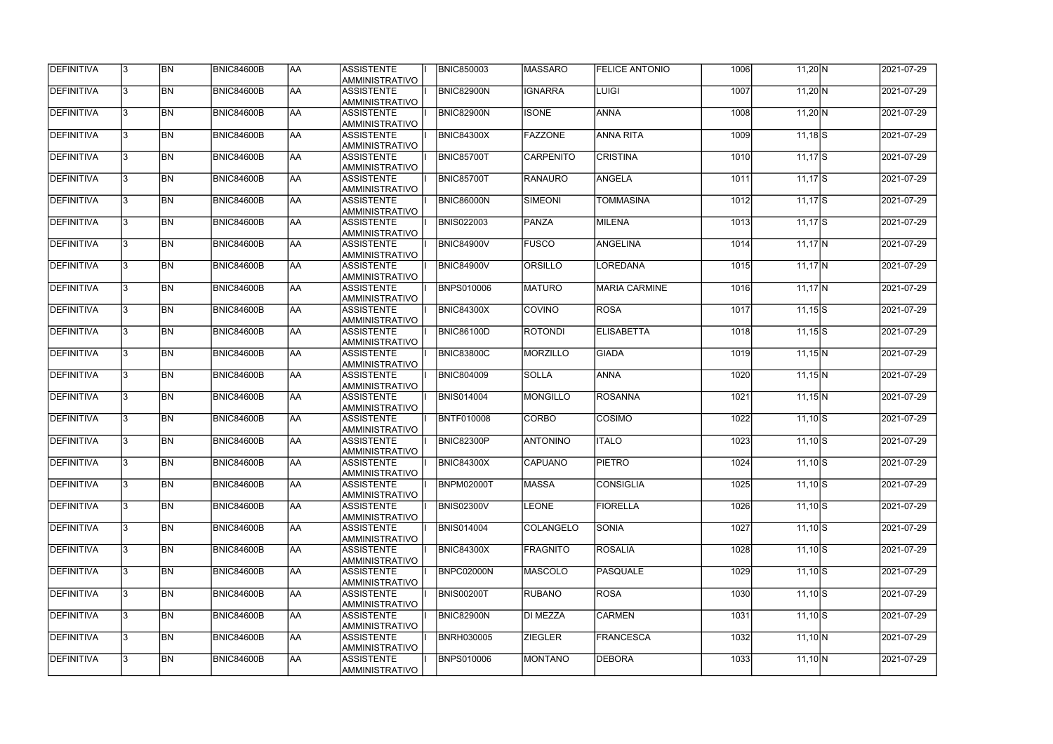| DEFINITIVA        | 13  | <b>BN</b> | <b>BNIC84600B</b> | AA         | <b>ASSISTENTE</b><br>AMMINISTRATIVO        | <b>BNIC850003</b> | <b>MASSARO</b>   | <b>FELICE ANTONIO</b> | 1006 | $11,20$ N    | 2021-07-29 |
|-------------------|-----|-----------|-------------------|------------|--------------------------------------------|-------------------|------------------|-----------------------|------|--------------|------------|
| DEFINITIVA        | 13. | <b>BN</b> | <b>BNIC84600B</b> | laa        | <b>ASSISTENTE</b><br>AMMINISTRATIVO        | <b>BNIC82900N</b> | <b>IGNARRA</b>   | LUIGI                 | 1007 | $11,20$ N    | 2021-07-29 |
| DEFINITIVA        | 13. | <b>BN</b> | <b>BNIC84600B</b> | laa        | <b>ASSISTENTE</b><br>AMMINISTRATIVO        | <b>BNIC82900N</b> | <b>ISONE</b>     | <b>ANNA</b>           | 1008 | $11,20$ N    | 2021-07-29 |
| DEFINITIVA        | l3. | <b>BN</b> | <b>BNIC84600B</b> | laa        | <b>ASSISTENTE</b><br>AMMINISTRATIVO        | <b>BNIC84300X</b> | FAZZONE          | <b>ANNA RITA</b>      | 1009 | $11,18$ S    | 2021-07-29 |
| DEFINITIVA        | 13. | <b>BN</b> | BNIC84600B        | laa        | <b>ASSISTENTE</b><br>AMMINISTRATIVO        | <b>BNIC85700T</b> | <b>CARPENITO</b> | <b>CRISTINA</b>       | 1010 | $11,17$ S    | 2021-07-29 |
| DEFINITIVA        | 3   | <b>BN</b> | <b>BNIC84600B</b> | laa        | <b>ASSISTENTE</b><br>AMMINISTRATIVO        | BNIC85700T        | RANAURO          | <b>ANGELA</b>         | 1011 | $11,17$ S    | 2021-07-29 |
| DEFINITIVA        |     | <b>BN</b> | <b>BNIC84600B</b> | laa        | <b>ASSISTENTE</b><br><b>AMMINISTRATIVO</b> | <b>BNIC86000N</b> | SIMEONI          | <b>TOMMASINA</b>      | 1012 | $11,17$ S    | 2021-07-29 |
| DEFINITIVA        |     | <b>BN</b> | <b>BNIC84600B</b> | laa        | <b>ASSISTENTE</b><br>AMMINISTRATIVO        | <b>BNIS022003</b> | PANZA            | <b>MILENA</b>         | 1013 | $11,17$ S    | 2021-07-29 |
| DEFINITIVA        |     | <b>BN</b> | <b>BNIC84600B</b> | laa        | <b>ASSISTENTE</b><br>AMMINISTRATIVO        | <b>BNIC84900V</b> | <b>FUSCO</b>     | <b>ANGELINA</b>       | 1014 | $11,17$ N    | 2021-07-29 |
| DEFINITIVA        | l3. | <b>BN</b> | <b>BNIC84600B</b> | laa        | <b>ASSISTENTE</b><br>AMMINISTRATIVO        | <b>BNIC84900V</b> | ORSILLO          | LOREDANA              | 1015 | $11,17$ N    | 2021-07-29 |
| DEFINITIVA        | 13. | <b>BN</b> | <b>BNIC84600B</b> | AA         | <b>ASSISTENTE</b><br>AMMINISTRATIVO        | <b>BNPS010006</b> | <b>MATURO</b>    | <b>MARIA CARMINE</b>  | 1016 | $11,17$ N    | 2021-07-29 |
| DEFINITIVA        | 3   | <b>BN</b> | BNIC84600B        | <b>AA</b>  | <b>ASSISTENTE</b><br>AMMINISTRATIVO        | <b>BNIC84300X</b> | COVINO           | <b>ROSA</b>           | 1017 | $11,15$ S    | 2021-07-29 |
| DEFINITIVA        | l3. | <b>BN</b> | <b>BNIC84600B</b> | laa        | <b>ASSISTENTE</b><br>AMMINISTRATIVO        | <b>BNIC86100D</b> | <b>ROTONDI</b>   | <b>ELISABETTA</b>     | 1018 | $11,15$ S    | 2021-07-29 |
| DEFINITIVA        | 3   | <b>BN</b> | <b>BNIC84600B</b> | AA         | <b>ASSISTENTE</b><br>AMMINISTRATIVO        | <b>BNIC83800C</b> | MORZILLO         | <b>GIADA</b>          | 1019 | $11,15$ N    | 2021-07-29 |
| DEFINITIVA        |     | <b>BN</b> | <b>BNIC84600B</b> | AA         | <b>ASSISTENTE</b><br><b>AMMINISTRATIVO</b> | <b>BNIC804009</b> | <b>SOLLA</b>     | <b>ANNA</b>           | 1020 | $11,15$ N    | 2021-07-29 |
| DEFINITIVA        |     | <b>BN</b> | <b>BNIC84600B</b> | AA         | <b>ASSISTENTE</b><br>AMMINISTRATIVO        | <b>BNIS014004</b> | <b>MONGILLO</b>  | <b>ROSANNA</b>        | 1021 | $11,15$ N    | 2021-07-29 |
| DEFINITIVA        | 3   | <b>BN</b> | <b>BNIC84600B</b> | AA         | <b>ASSISTENTE</b><br>AMMINISTRATIVO        | <b>BNTF010008</b> | <b>CORBO</b>     | COSIMO                | 1022 | $11,10$ S    | 2021-07-29 |
| DEFINITIVA        |     | <b>BN</b> | <b>BNIC84600B</b> | AA         | <b>ASSISTENTE</b><br>AMMINISTRATIVO        | <b>BNIC82300P</b> | <b>ANTONINO</b>  | <b>ITALO</b>          | 1023 | $11,10$ S    | 2021-07-29 |
| DEFINITIVA        | 13  | BN        | <b>BNIC84600B</b> | <b>JAA</b> | <b>ASSISTENTE</b><br>AMMINISTRATIVO        | <b>BNIC84300X</b> | <b>CAPUANO</b>   | <b>PIETRO</b>         | 1024 | $11,10$ S    | 2021-07-29 |
| <b>DEFINITIVA</b> | 13. | <b>BN</b> | <b>BNIC84600B</b> | <b>AA</b>  | <b>ASSISTENTE</b><br>AMMINISTRATIVO        | <b>BNPM02000T</b> | MASSA            | <b>CONSIGLIA</b>      | 1025 | $11,10$ S    | 2021-07-29 |
| DEFINITIVA        | l3. | <b>BN</b> | <b>BNIC84600B</b> | <b>AA</b>  | <b>ASSISTENTE</b><br>AMMINISTRATIVO        | <b>BNIS02300V</b> | <b>LEONE</b>     | <b>FIORELLA</b>       | 1026 | $11,10$ S    | 2021-07-29 |
| DEFINITIVA        | l3. | <b>BN</b> | <b>BNIC84600B</b> | AA         | <b>ASSISTENTE</b><br>AMMINISTRATIVO        | <b>BNIS014004</b> | COLANGELO        | <b>SONIA</b>          | 1027 | $11,10$ S    | 2021-07-29 |
| <b>DEFINITIVA</b> | l3. | <b>BN</b> | <b>BNIC84600B</b> | AA         | <b>ASSISTENTE</b><br>AMMINISTRATIVO        | <b>BNIC84300X</b> | <b>FRAGNITO</b>  | <b>ROSALIA</b>        | 1028 | $11,10$ S    | 2021-07-29 |
| DEFINITIVA        |     | <b>BN</b> | <b>BNIC84600B</b> | AA         | <b>ASSISTENTE</b><br>AMMINISTRATIVO        | BNPC02000N        | <b>MASCOLO</b>   | PASQUALE              | 1029 | $11,10$ S    | 2021-07-29 |
| DEFINITIVA        |     | <b>BN</b> | <b>BNIC84600B</b> | AA         | <b>ASSISTENTE</b><br>AMMINISTRATIVO        | <b>BNIS00200T</b> | <b>RUBANO</b>    | <b>ROSA</b>           | 1030 | $11,10$ S    | 2021-07-29 |
| DEFINITIVA        | 13. | <b>BN</b> | BNIC84600B        | AA         | <b>ASSISTENTE</b><br>AMMINISTRATIVO        | BNIC82900N        | DI MEZZA         | <b>CARMEN</b>         | 1031 | $11,10$ S    | 2021-07-29 |
| DEFINITIVA        | 13. | <b>BN</b> | <b>BNIC84600B</b> | laa        | <b>ASSISTENTE</b><br>AMMINISTRATIVO        | <b>BNRH030005</b> | <b>ZIEGLER</b>   | <b>FRANCESCA</b>      | 1032 | $11,10\ N$   | 2021-07-29 |
| DEFINITIVA        |     | <b>BN</b> | <b>BNIC84600B</b> | <b>AA</b>  | <b>ASSISTENTE</b><br>AMMINISTRATIVO        | <b>BNPS010006</b> | <b>MONTANO</b>   | <b>DEBORA</b>         | 1033 | $11,10 \, N$ | 2021-07-29 |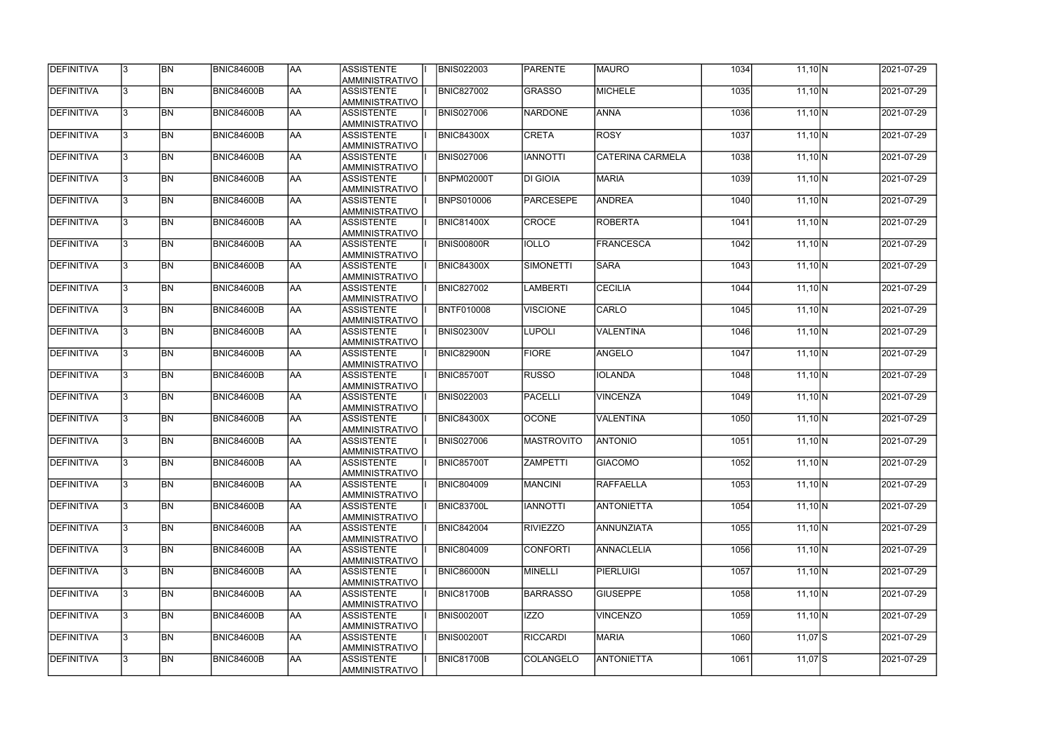| DEFINITIVA        | 13.          | <b>BN</b> | <b>BNIC84600B</b> | <b>AA</b> | <b>ASSISTENTE</b><br>IAMMINISTRATIVO       | <b>BNIS022003</b> | PARENTE           | <b>MAURO</b>            | 1034 | $11,10\ N$      | 2021-07-29 |
|-------------------|--------------|-----------|-------------------|-----------|--------------------------------------------|-------------------|-------------------|-------------------------|------|-----------------|------------|
| <b>DEFINITIVA</b> | l3.          | <b>BN</b> | BNIC84600B        | AA        | <b>ASSISTENTE</b><br>AMMINISTRATIVO        | <b>BNIC827002</b> | GRASSO            | <b>MICHELE</b>          | 1035 | $11,10\ N$      | 2021-07-29 |
| DEFINITIVA        |              | <b>BN</b> | BNIC84600B        | <b>AA</b> | <b>ASSISTENTE</b><br>AMMINISTRATIVO        | <b>BNIS027006</b> | <b>NARDONE</b>    | <b>ANNA</b>             | 1036 | $11,10 \ N$     | 2021-07-29 |
| <b>DEFINITIVA</b> | $\mathbf{3}$ | <b>BN</b> | BNIC84600B        | <b>AA</b> | <b>ASSISTENTE</b><br>AMMINISTRATIVO        | <b>BNIC84300X</b> | <b>CRETA</b>      | <b>ROSY</b>             | 1037 | $11,10$ N       | 2021-07-29 |
| <b>DEFINITIVA</b> |              | <b>BN</b> | BNIC84600B        | AA        | <b>ASSISTENTE</b><br><b>AMMINISTRATIVO</b> | <b>BNIS027006</b> | <b>IANNOTTI</b>   | <b>CATERINA CARMELA</b> | 1038 | $11,10$ N       | 2021-07-29 |
| DEFINITIVA        |              | <b>BN</b> | BNIC84600B        | AA        | <b>ASSISTENTE</b><br><b>AMMINISTRATIVO</b> | <b>BNPM02000T</b> | <b>DI GIOIA</b>   | <b>MARIA</b>            | 1039 | $11,10$ N       | 2021-07-29 |
| DEFINITIVA        |              | <b>BN</b> | <b>BNIC84600B</b> | <b>AA</b> | <b>ASSISTENTE</b><br><b>AMMINISTRATIVO</b> | BNPS010006        | PARCESEPE         | <b>ANDREA</b>           | 1040 | $11,10$ N       | 2021-07-29 |
| DEFINITIVA        |              | <b>BN</b> | BNIC84600B        | <b>AA</b> | <b>ASSISTENTE</b><br>AMMINISTRATIVO        | <b>BNIC81400X</b> | <b>CROCE</b>      | <b>ROBERTA</b>          | 1041 | $11,10$ N       | 2021-07-29 |
| DEFINITIVA        |              | <b>BN</b> | BNIC84600B        | <b>AA</b> | <b>ASSISTENTE</b><br><b>AMMINISTRATIVO</b> | <b>BNIS00800R</b> | <b>IOLLO</b>      | <b>FRANCESCA</b>        | 1042 | $11,10$ N       | 2021-07-29 |
| DEFINITIVA        |              | <b>BN</b> | BNIC84600B        | <b>AA</b> | <b>ASSISTENTE</b><br>AMMINISTRATIVO        | <b>BNIC84300X</b> | SIMONETTI         | <b>SARA</b>             | 1043 | $11,10\ N$      | 2021-07-29 |
| DEFINITIVA        |              | <b>BN</b> | BNIC84600B        | <b>AA</b> | <b>ASSISTENTE</b><br>AMMINISTRATIVO        | <b>BNIC827002</b> | <b>LAMBERTI</b>   | <b>CECILIA</b>          | 1044 | $11,10\ N$      | 2021-07-29 |
| DEFINITIVA        |              | <b>BN</b> | BNIC84600B        | <b>AA</b> | <b>ASSISTENTE</b><br>AMMINISTRATIVO        | BNTF010008        | <b>VISCIONE</b>   | CARLO                   | 1045 | $11,10 \ N$     | 2021-07-29 |
| DEFINITIVA        |              | <b>BN</b> | BNIC84600B        | <b>AA</b> | <b>ASSISTENTE</b><br>AMMINISTRATIVO        | <b>BNIS02300V</b> | <b>LUPOLI</b>     | VALENTINA               | 1046 | $11,10$ N       | 2021-07-29 |
| DEFINITIVA        |              | <b>BN</b> | <b>BNIC84600B</b> | <b>AA</b> | <b>ASSISTENTE</b><br><b>AMMINISTRATIVO</b> | <b>BNIC82900N</b> | <b>FIORE</b>      | ANGELO                  | 1047 | $11,10$ N       | 2021-07-29 |
| DEFINITIVA        |              | <b>BN</b> | BNIC84600B        | <b>AA</b> | <b>ASSISTENTE</b><br><b>AMMINISTRATIVO</b> | <b>BNIC85700T</b> | <b>RUSSO</b>      | <b>IOLANDA</b>          | 1048 | $11,10$ N       | 2021-07-29 |
| DEFINITIVA        |              | <b>BN</b> | BNIC84600B        | laa       | <b>ASSISTENTE</b><br>AMMINISTRATIVO        | <b>BNIS022003</b> | PACELLI           | <b>VINCENZA</b>         | 1049 | $11,10$ N       | 2021-07-29 |
| DEFINITIVA        | $\mathbf{R}$ | <b>BN</b> | BNIC84600B        | laa       | <b>ASSISTENTE</b><br>AMMINISTRATIVO        | <b>BNIC84300X</b> | <b>OCONE</b>      | <b>VALENTINA</b>        | 1050 | $11,10 \vert N$ | 2021-07-29 |
| DEFINITIVA        |              | <b>BN</b> | BNIC84600B        | <b>AA</b> | <b>ASSISTENTE</b><br>AMMINISTRATIVO        | <b>BNIS027006</b> | <b>MASTROVITO</b> | <b>ANTONIO</b>          | 1051 | $11,10$ N       | 2021-07-29 |
| <b>DEFINITIVA</b> | 13.          | <b>BN</b> | <b>BNIC84600B</b> | AA        | <b>ASSISTENTE</b><br>AMMINISTRATIVO        | <b>BNIC85700T</b> | <b>ZAMPETTI</b>   | <b>GIACOMO</b>          | 1052 | $11,10$ N       | 2021-07-29 |
| <b>DEFINITIVA</b> | $\mathbf{3}$ | <b>BN</b> | BNIC84600B        | AA        | ASSISTENTE<br>AMMINISTRATIVO               | <b>BNIC804009</b> | MANCINI           | RAFFAELLA               | 1053 | $11,10 \, N$    | 2021-07-29 |
| <b>DEFINITIVA</b> | 13.          | <b>BN</b> | BNIC84600B        | AA        | <b>ASSISTENTE</b><br>AMMINISTRATIVO        | <b>BNIC83700L</b> | <b>ITOUNAI</b>    | <b>ANTONIETTA</b>       | 1054 | $11,10$ N       | 2021-07-29 |
| DEFINITIVA        |              | <b>BN</b> | BNIC84600B        | <b>AA</b> | <b>ASSISTENTE</b><br>AMMINISTRATIVO        | <b>BNIC842004</b> | <b>RIVIEZZO</b>   | ANNUNZIATA              | 1055 | $11,10 \, N$    | 2021-07-29 |
| DEFINITIVA        |              | <b>BN</b> | BNIC84600B        | <b>AA</b> | <b>ASSISTENTE</b><br>AMMINISTRATIVO        | <b>BNIC804009</b> | <b>CONFORTI</b>   | <b>ANNACLELIA</b>       | 1056 | $11,10$ N       | 2021-07-29 |
| DEFINITIVA        |              | <b>BN</b> | BNIC84600B        | AA        | <b>ASSISTENTE</b><br>AMMINISTRATIVO        | <b>BNIC86000N</b> | MINELLI           | <b>PIERLUIGI</b>        | 1057 | $11,10 \, N$    | 2021-07-29 |
| DEFINITIVA        |              | <b>BN</b> | BNIC84600B        | <b>AA</b> | ASSISTENTE<br>AMMINISTRATIVO               | <b>BNIC81700B</b> | <b>BARRASSO</b>   | <b>GIUSEPPE</b>         | 1058 | $11,10 \, N$    | 2021-07-29 |
| DEFINITIVA        |              | <b>BN</b> | BNIC84600B        | <b>AA</b> | ASSISTENTE<br>AMMINISTRATIVO               | <b>BNIS00200T</b> | IZZO              | <b>VINCENZO</b>         | 1059 | $11,10 \, N$    | 2021-07-29 |
| <b>DEFINITIVA</b> | l3.          | <b>BN</b> | BNIC84600B        | <b>AA</b> | ASSISTENTE<br>AMMINISTRATIVO               | <b>BNIS00200T</b> | <b>RICCARDI</b>   | <b>MARIA</b>            | 1060 | $11,07$ S       | 2021-07-29 |
| <b>DEFINITIVA</b> |              | <b>BN</b> | BNIC84600B        | <b>AA</b> | <b>ASSISTENTE</b><br>AMMINISTRATIVO        | <b>BNIC81700B</b> | COLANGELO         | ANTONIETTA              | 1061 | $11,07$ S       | 2021-07-29 |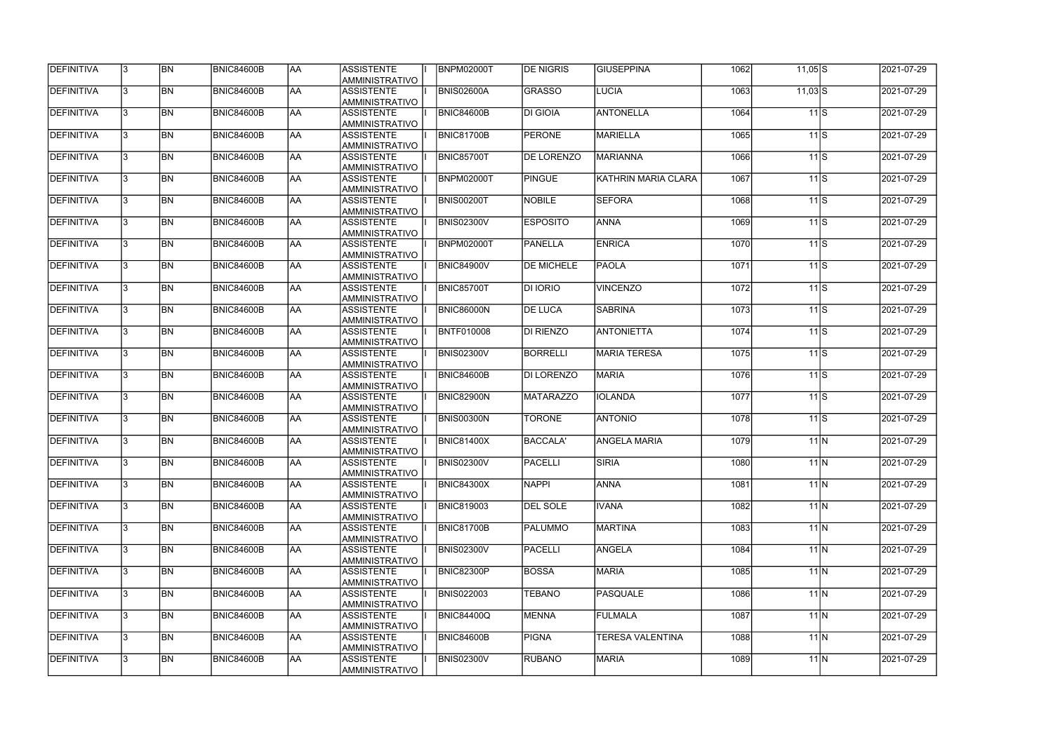| <b>DEFINITIVA</b> | 13.          | <b>BN</b> | <b>BNIC84600B</b> | <b>AA</b>  | <b>ASSISTENTE</b><br><b>AMMINISTRATIVO</b> | <b>BNPM02000T</b> | <b>DE NIGRIS</b>  | <b>GIUSEPPINA</b>   | 1062 | $11,05$ S         |          | 2021-07-29 |
|-------------------|--------------|-----------|-------------------|------------|--------------------------------------------|-------------------|-------------------|---------------------|------|-------------------|----------|------------|
| DEFINITIVA        | 3            | <b>BN</b> | <b>BNIC84600B</b> | AA         | ASSISTENTE<br>AMMINISTRATIVO               | <b>BNIS02600A</b> | <b>GRASSO</b>     | <b>LUCIA</b>        | 1063 | $11,03$ $S$       |          | 2021-07-29 |
| DEFINITIVA        | 3            | <b>BN</b> | BNIC84600B        | AA         | ASSISTENTE<br>AMMINISTRATIVO               | <b>BNIC84600B</b> | <b>DI GIOIA</b>   | <b>ANTONELLA</b>    | 1064 | $11$ S            |          | 2021-07-29 |
| DEFINITIVA        |              | <b>BN</b> | <b>BNIC84600B</b> | <b>AA</b>  | <b>ASSISTENTE</b><br>AMMINISTRATIVO        | <b>BNIC81700B</b> | <b>PERONE</b>     | <b>MARIELLA</b>     | 1065 | $\overline{11}$ S |          | 2021-07-29 |
| DEFINITIVA        |              | <b>BN</b> | <b>BNIC84600B</b> | <b>AA</b>  | ASSISTENTE<br>AMMINISTRATIVO               | BNIC85700T        | <b>DE LORENZO</b> | <b>MARIANNA</b>     | 1066 | $11$ S            |          | 2021-07-29 |
| <b>DEFINITIVA</b> |              | <b>BN</b> | BNIC84600B        | AA         | <b>ASSISTENTE</b><br><b>AMMINISTRATIVO</b> | BNPM02000T        | PINGUE            | KATHRIN MARIA CLARA | 1067 | 11S               |          | 2021-07-29 |
| <b>DEFINITIVA</b> |              | <b>BN</b> | BNIC84600B        | AA         | <b>ASSISTENTE</b><br><b>AMMINISTRATIVO</b> | <b>BNIS00200T</b> | <b>NOBILE</b>     | <b>SEFORA</b>       | 1068 | $11$ S            |          | 2021-07-29 |
| DEFINITIVA        |              | <b>BN</b> | <b>BNIC84600B</b> | AA         | <b>ASSISTENTE</b><br><b>AMMINISTRATIVO</b> | <b>BNIS02300V</b> | <b>ESPOSITO</b>   | <b>ANNA</b>         | 1069 | $11$ S            |          | 2021-07-29 |
| DEFINITIVA        |              | <b>BN</b> | BNIC84600B        | AA         | <b>ASSISTENTE</b><br>AMMINISTRATIVO        | BNPM02000T        | PANELLA           | <b>ENRICA</b>       | 1070 | $11$ S            |          | 2021-07-29 |
| <b>DEFINITIVA</b> |              | <b>BN</b> | <b>BNIC84600B</b> | AA         | <b>ASSISTENTE</b><br>AMMINISTRATIVO        | <b>BNIC84900V</b> | <b>DE MICHELE</b> | <b>PAOLA</b>        | 1071 | $11$ S            |          | 2021-07-29 |
| DEFINITIVA        |              | <b>BN</b> | <b>BNIC84600B</b> | <b>JAA</b> | ASSISTENTE<br>AMMINISTRATIVO               | BNIC85700T        | DI IORIO          | <b>VINCENZO</b>     | 1072 | $11$ S            |          | 2021-07-29 |
| <b>DEFINITIVA</b> |              | <b>BN</b> | <b>BNIC84600B</b> | AA         | <b>ASSISTENTE</b><br>AMMINISTRATIVO        | <b>BNIC86000N</b> | <b>DE LUCA</b>    | <b>SABRINA</b>      | 1073 | $11$ S            |          | 2021-07-29 |
| DEFINITIVA        |              | <b>BN</b> | <b>BNIC84600B</b> | AA         | ASSISTENTE<br>AMMINISTRATIVO               | <b>BNTF010008</b> | DI RIENZO         | <b>ANTONIETTA</b>   | 1074 | $11$ S            |          | 2021-07-29 |
| <b>DEFINITIVA</b> |              | <b>BN</b> | <b>BNIC84600B</b> | AA         | <b>ASSISTENTE</b><br><b>AMMINISTRATIVO</b> | <b>BNIS02300V</b> | <b>BORRELLI</b>   | <b>MARIA TERESA</b> | 1075 | 11 IS             |          | 2021-07-29 |
| <b>DEFINITIVA</b> |              | <b>BN</b> | <b>BNIC84600B</b> | AA         | ASSISTENTE<br><b>AMMINISTRATIVO</b>        | <b>BNIC84600B</b> | DI LORENZO        | <b>MARIA</b>        | 1076 | $11$ S            |          | 2021-07-29 |
| <b>DEFINITIVA</b> |              | <b>BN</b> | <b>BNIC84600B</b> | AA         | <b>ASSISTENTE</b><br><b>AMMINISTRATIVO</b> | <b>BNIC82900N</b> | <b>MATARAZZO</b>  | <b>IOLANDA</b>      | 1077 | 11 IS             |          | 2021-07-29 |
| DEFINITIVA        |              | <b>BN</b> | <b>BNIC84600B</b> | AA         | <b>ASSISTENTE</b><br>AMMINISTRATIVO        | <b>BNIS00300N</b> | <b>TORONE</b>     | <b>ANTONIO</b>      | 1078 | $11$ S            |          | 2021-07-29 |
| DEFINITIVA        |              | <b>BN</b> | BNIC84600B        | AA         | <b>ASSISTENTE</b><br>AMMINISTRATIVO        | <b>BNIC81400X</b> | BACCALA'          | <b>ANGELA MARIA</b> | 1079 |                   | $11$ $N$ | 2021-07-29 |
| <b>DEFINITIVA</b> | 13           | BN        | <b>BNIC84600B</b> | <b>JAA</b> | <b>ASSISTENTE</b><br><b>AMMINISTRATIVO</b> | <b>BNIS02300V</b> | <b>PACELLI</b>    | <b>SIRIA</b>        | 1080 | $11\text{N}$      |          | 2021-07-29 |
| DEFINITIVA        | l3.          | <b>BN</b> | <b>BNIC84600B</b> | AA         | ASSISTENTE<br>AMMINISTRATIVO               | <b>BNIC84300X</b> | <b>NAPPI</b>      | <b>ANNA</b>         | 1081 |                   | $11$ $N$ | 2021-07-29 |
| DEFINITIVA        | $\mathbf{3}$ | BN        | <b>BNIC84600B</b> | AA         | <b>ASSISTENTE</b><br>AMMINISTRATIVO        | <b>BNIC819003</b> | <b>DEL SOLE</b>   | <b>IVANA</b>        | 1082 |                   | $11$ N   | 2021-07-29 |
| <b>DEFINITIVA</b> | $\mathbf{3}$ | <b>BN</b> | <b>BNIC84600B</b> | AA         | <b>ASSISTENTE</b><br>AMMINISTRATIVO        | <b>BNIC81700B</b> | <b>PALUMMO</b>    | <b>MARTINA</b>      | 1083 |                   | $11$ N   | 2021-07-29 |
| DEFINITIVA        |              | <b>BN</b> | <b>BNIC84600B</b> | AA         | <b>ASSISTENTE</b><br><b>AMMINISTRATIVO</b> | <b>BNIS02300V</b> | PACELLI           | <b>ANGELA</b>       | 1084 | $11$ N            |          | 2021-07-29 |
| <b>DEFINITIVA</b> |              | <b>BN</b> | <b>BNIC84600B</b> | AA         | <b>ASSISTENTE</b><br>AMMINISTRATIVO        | BNIC82300P        | <b>BOSSA</b>      | <b>MARIA</b>        | 1085 | $11$ N            |          | 2021-07-29 |
| DEFINITIVA        |              | <b>BN</b> | <b>BNIC84600B</b> | AA         | <b>ASSISTENTE</b><br>AMMINISTRATIVO        | <b>BNIS022003</b> | <b>TEBANO</b>     | <b>PASQUALE</b>     | 1086 | $11$ N            |          | 2021-07-29 |
| DEFINITIVA        |              | <b>BN</b> | BNIC84600B        | AA         | ASSISTENTE<br>AMMINISTRATIVO               | <b>BNIC84400Q</b> | <b>MENNA</b>      | <b>FULMALA</b>      | 1087 |                   | $11$ $N$ | 2021-07-29 |
| DEFINITIVA        | Β.           | <b>BN</b> | <b>BNIC84600B</b> | AA         | ASSISTENTE<br>AMMINISTRATIVO               | BNIC84600B        | <b>PIGNA</b>      | TERESA VALENTINA    | 1088 | $11$ IN           |          | 2021-07-29 |
| DEFINITIVA        |              | BN        | <b>BNIC84600B</b> | AA         | ASSISTENTE<br>AMMINISTRATIVO               | <b>BNIS02300V</b> | <b>RUBANO</b>     | <b>MARIA</b>        | 1089 |                   | $11$ IN  | 2021-07-29 |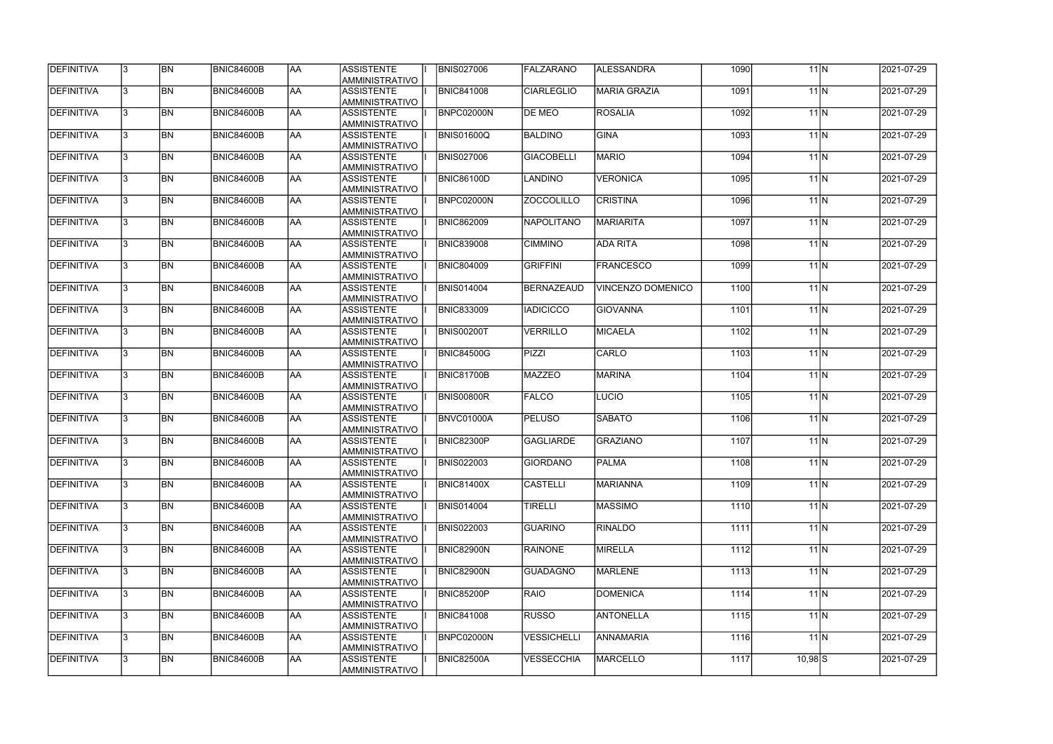| DEFINITIVA        |              | <b>BN</b> | <b>BNIC84600B</b> | <b>AA</b>  | ASSISTENTE<br><b>AMMINISTRATIVO</b>        | <b>BNIS027006</b> | FALZARANO          | <b>ALESSANDRA</b>        | 1090 | $11$ N      | 2021-07-29 |
|-------------------|--------------|-----------|-------------------|------------|--------------------------------------------|-------------------|--------------------|--------------------------|------|-------------|------------|
| DEFINITIVA        | l3.          | <b>BN</b> | <b>BNIC84600B</b> | AA         | <b>ASSISTENTE</b><br>AMMINISTRATIVO        | <b>BNIC841008</b> | <b>CIARLEGLIO</b>  | <b>MARIA GRAZIA</b>      | 1091 | $11$ N      | 2021-07-29 |
| DEFINITIVA        |              | <b>BN</b> | <b>BNIC84600B</b> | AA         | <b>ASSISTENTE</b><br>AMMINISTRATIVO        | BNPC02000N        | <b>DE MEO</b>      | <b>ROSALIA</b>           | 1092 | $11$ N      | 2021-07-29 |
| DEFINITIVA        | 3            | <b>BN</b> | <b>BNIC84600B</b> | AA         | ASSISTENTE<br>AMMINISTRATIVO               | <b>BNIS01600Q</b> | <b>BALDINO</b>     | <b>GINA</b>              | 1093 | $11$ N      | 2021-07-29 |
| DEFINITIVA        |              | <b>BN</b> | BNIC84600B        | AA         | ASSISTENTE<br><b>AMMINISTRATIVO</b>        | <b>BNIS027006</b> | <b>GIACOBELLI</b>  | <b>MARIO</b>             | 1094 | $11$ N      | 2021-07-29 |
| <b>DEFINITIVA</b> |              | <b>BN</b> | BNIC84600B        | AA         | ASSISTENTE<br>AMMINISTRATIVO               | <b>BNIC86100D</b> | <b>LANDINO</b>     | <b>VERONICA</b>          | 1095 | 11N         | 2021-07-29 |
| DEFINITIVA        |              | <b>BN</b> | BNIC84600B        | <b>JAA</b> | <b>ASSISTENTE</b><br>AMMINISTRATIVO        | BNPC02000N        | <b>ZOCCOLILLO</b>  | <b>CRISTINA</b>          | 1096 | $11$ N      | 2021-07-29 |
| <b>DEFINITIVA</b> |              | BN        | BNIC84600B        | AA         | <b>ASSISTENTE</b><br><b>AMMINISTRATIVO</b> | <b>BNIC862009</b> | NAPOLITANO         | <b>MARIARITA</b>         | 1097 | 11N         | 2021-07-29 |
| DEFINITIVA        |              | <b>BN</b> | <b>BNIC84600B</b> | AA         | <b>ASSISTENTE</b><br><b>AMMINISTRATIVO</b> | <b>BNIC839008</b> | <b>CIMMINO</b>     | <b>ADA RITA</b>          | 1098 | $11$ N      | 2021-07-29 |
| DEFINITIVA        |              | <b>BN</b> | <b>BNIC84600B</b> | AA         | <b>ASSISTENTE</b><br>AMMINISTRATIVO        | <b>BNIC804009</b> | <b>GRIFFINI</b>    | <b>FRANCESCO</b>         | 1099 | $11$ $N$    | 2021-07-29 |
| DEFINITIVA        |              | <b>BN</b> | BNIC84600B        | AA         | <b>ASSISTENTE</b><br>AMMINISTRATIVO        | <b>BNIS014004</b> | BERNAZEAUD         | <b>VINCENZO DOMENICO</b> | 1100 | $11$ N      | 2021-07-29 |
| DEFINITIVA        |              | <b>BN</b> | <b>BNIC84600B</b> | AA         | <b>ASSISTENTE</b><br>AMMINISTRATIVO        | <b>BNIC833009</b> | <b>IADICICCO</b>   | <b>GIOVANNA</b>          | 1101 | $11$ N      | 2021-07-29 |
| DEFINITIVA        |              | <b>BN</b> | <b>BNIC84600B</b> | AA         | <b>ASSISTENTE</b><br><b>AMMINISTRATIVO</b> | <b>BNIS00200T</b> | <b>VERRILLO</b>    | <b>MICAELA</b>           | 1102 | $11$ N      | 2021-07-29 |
| DEFINITIVA        |              | <b>BN</b> | <b>BNIC84600B</b> | AA         | ASSISTENTE<br>AMMINISTRATIVO               | <b>BNIC84500G</b> | PIZZI              | CARLO                    | 1103 | 11N         | 2021-07-29 |
| <b>DEFINITIVA</b> |              | <b>BN</b> | <b>BNIC84600B</b> | AA         | <b>ASSISTENTE</b><br><b>AMMINISTRATIVO</b> | BNIC81700B        | <b>MAZZEO</b>      | <b>MARINA</b>            | 1104 | $11$ $N$    | 2021-07-29 |
| <b>DEFINITIVA</b> |              | <b>BN</b> | <b>BNIC84600B</b> | AA         | <b>ASSISTENTE</b><br><b>AMMINISTRATIVO</b> | <b>BNIS00800R</b> | <b>FALCO</b>       | <b>LUCIO</b>             | 1105 | $11$ N      | 2021-07-29 |
| <b>DEFINITIVA</b> |              | BN        | <b>BNIC84600B</b> | AA         | <b>ASSISTENTE</b><br><b>AMMINISTRATIVO</b> | BNVC01000A        | <b>PELUSO</b>      | <b>SABATO</b>            | 1106 | $11$ $N$    | 2021-07-29 |
| DEFINITIVA        |              | <b>BN</b> | BNIC84600B        | AA         | <b>ASSISTENTE</b><br>AMMINISTRATIVO        | BNIC82300P        | <b>GAGLIARDE</b>   | <b>GRAZIANO</b>          | 1107 | $11$ N      | 2021-07-29 |
| DEFINITIVA        | 13           | BN        | <b>BNIC84600B</b> | AA         | ASSISTENTE<br>AMMINISTRATIVO               | <b>BNIS022003</b> | <b>GIORDANO</b>    | <b>PALMA</b>             | 1108 | 11 $ N $    | 2021-07-29 |
| <b>DEFINITIVA</b> |              | <b>BN</b> | BNIC84600B        | AA         | ASSISTENTE<br>AMMINISTRATIVO               | BNIC81400X        | <b>CASTELLI</b>    | <b>MARIANNA</b>          | 1109 | $11$ N      | 2021-07-29 |
| DEFINITIVA        |              | <b>BN</b> | BNIC84600B        | <b>AA</b>  | ASSISTENTE<br>AMMINISTRATIVO               | <b>BNIS014004</b> | <b>TIRELLI</b>     | <b>MASSIMO</b>           | 1110 | $11$ N      | 2021-07-29 |
| <b>DEFINITIVA</b> | $\mathbf{3}$ | <b>BN</b> | <b>BNIC84600B</b> | <b>AA</b>  | <b>ASSISTENTE</b><br>AMMINISTRATIVO        | <b>BNIS022003</b> | GUARINO            | RINALDO                  | 1111 | $11$ N      | 2021-07-29 |
| DEFINITIVA        | 3            | <b>BN</b> | <b>BNIC84600B</b> | AA         | <b>ASSISTENTE</b><br>AMMINISTRATIVO        | <b>BNIC82900N</b> | <b>RAINONE</b>     | <b>MIRELLA</b>           | 1112 | $11$ N      | 2021-07-29 |
| DEFINITIVA        |              | <b>BN</b> | <b>BNIC84600B</b> | AA         | <b>ASSISTENTE</b><br><b>AMMINISTRATIVO</b> | <b>BNIC82900N</b> | <b>GUADAGNO</b>    | <b>MARLENE</b>           | 1113 | $11$ $N$    | 2021-07-29 |
| DEFINITIVA        |              | <b>BN</b> | BNIC84600B        | AA         | <b>ASSISTENTE</b><br><b>AMMINISTRATIVO</b> | <b>BNIC85200P</b> | RAIO               | <b>DOMENICA</b>          | 1114 | $11$ $N$    | 2021-07-29 |
| DEFINITIVA        |              | <b>BN</b> | <b>BNIC84600B</b> | AA         | ASSISTENTE<br>AMMINISTRATIVO               | <b>BNIC841008</b> | <b>RUSSO</b>       | <b>ANTONELLA</b>         | 1115 | $11$ $N$    | 2021-07-29 |
| DEFINITIVA        |              | <b>BN</b> | BNIC84600B        | AA         | ASSISTENTE<br>AMMINISTRATIVO               | BNPC02000N        | <b>VESSICHELLI</b> | <b>ANNAMARIA</b>         | 1116 | $11$ $N$    | 2021-07-29 |
| <b>DEFINITIVA</b> |              | <b>BN</b> | BNIC84600B        | AA         | ASSISTENTE<br>AMMINISTRATIVO               | <b>BNIC82500A</b> | <b>VESSECCHIA</b>  | <b>MARCELLO</b>          | 1117 | $10,98$ $S$ | 2021-07-29 |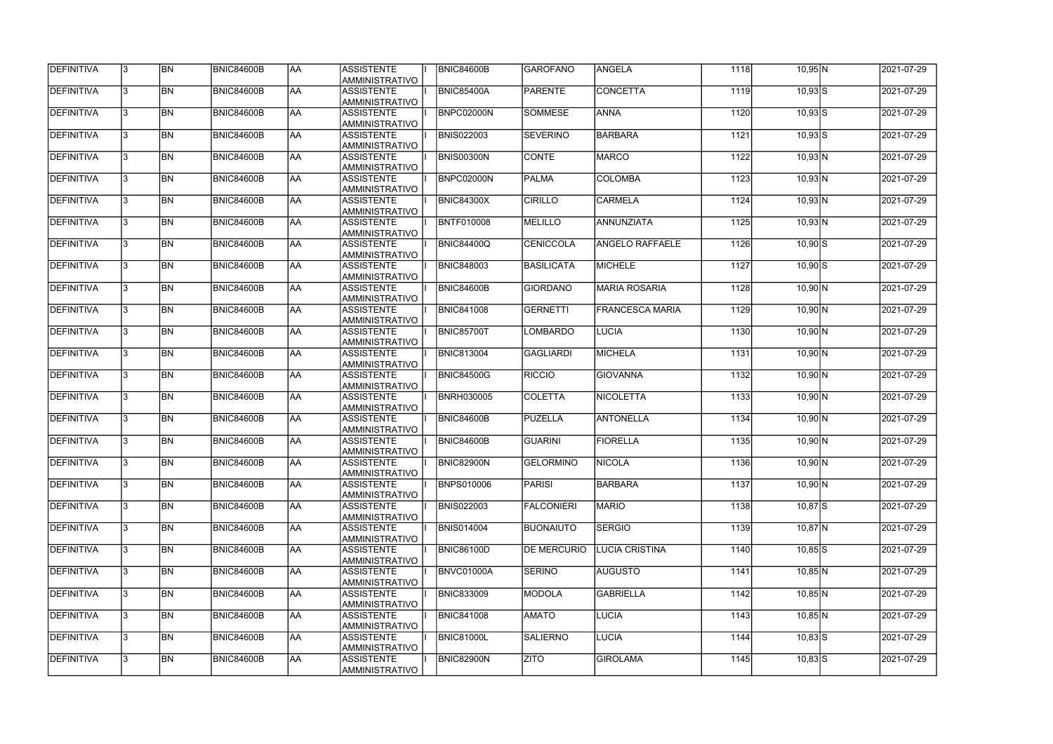| <b>DEFINITIVA</b> | 13. | <b>BN</b> | <b>BNIC84600B</b> | <b>AA</b>  | <b>ASSISTENTE</b><br>AMMINISTRATIVO        | <b>BNIC84600B</b> | <b>GAROFANO</b>    | <b>ANGELA</b>          | 1118 | $10,95$ N    | 2021-07-29 |
|-------------------|-----|-----------|-------------------|------------|--------------------------------------------|-------------------|--------------------|------------------------|------|--------------|------------|
| DEFINITIVA        | l3. | <b>BN</b> | <b>BNIC84600B</b> | laa        | <b>ASSISTENTE</b><br>AMMINISTRATIVO        | <b>BNIC85400A</b> | <b>PARENTE</b>     | <b>CONCETTA</b>        | 1119 | $10,93$ $S$  | 2021-07-29 |
| DEFINITIVA        | 13. | <b>BN</b> | <b>BNIC84600B</b> | laa        | <b>ASSISTENTE</b><br>AMMINISTRATIVO        | BNPC02000N        | <b>SOMMESE</b>     | <b>ANNA</b>            | 1120 | $10,93$ S    | 2021-07-29 |
| DEFINITIVA        | l3. | <b>BN</b> | <b>BNIC84600B</b> | AA         | <b>ASSISTENTE</b><br>AMMINISTRATIVO        | <b>BNIS022003</b> | <b>SEVERINO</b>    | <b>BARBARA</b>         | 1121 | $10,93$ S    | 2021-07-29 |
| DEFINITIVA        | 3   | <b>BN</b> | <b>BNIC84600B</b> | <b>AA</b>  | <b>ASSISTENTE</b><br>AMMINISTRATIVO        | <b>BNIS00300N</b> | <b>CONTE</b>       | <b>MARCO</b>           | 1122 | $10,93$ N    | 2021-07-29 |
| DEFINITIVA        | 3   | <b>BN</b> | BNIC84600B        | laa        | <b>ASSISTENTE</b><br>AMMINISTRATIVO        | BNPC02000N        | PALMA              | <b>COLOMBA</b>         | 1123 | $10,93$ N    | 2021-07-29 |
| <b>DEFINITIVA</b> | 3   | <b>BN</b> | <b>BNIC84600B</b> | laa        | <b>ASSISTENTE</b><br>AMMINISTRATIVO        | BNIC84300X        | <b>CIRILLO</b>     | <b>CARMELA</b>         | 1124 | $10,93$ N    | 2021-07-29 |
| DEFINITIVA        |     | <b>BN</b> | <b>BNIC84600B</b> | laa        | <b>ASSISTENTE</b><br><b>AMMINISTRATIVO</b> | <b>BNTF010008</b> | MELILLO            | ANNUNZIATA             | 1125 | $10,93$ N    | 2021-07-29 |
| DEFINITIVA        |     | <b>BN</b> | <b>BNIC84600B</b> | laa        | <b>ASSISTENTE</b><br>AMMINISTRATIVO        | BNIC84400Q        | <b>CENICCOLA</b>   | ANGELO RAFFAELE        | 1126 | $10,90$ S    | 2021-07-29 |
| DEFINITIVA        |     | <b>BN</b> | <b>BNIC84600B</b> | laa        | <b>ASSISTENTE</b><br>AMMINISTRATIVO        | <b>BNIC848003</b> | BASILICATA         | <b>MICHELE</b>         | 1127 | $10,90$ S    | 2021-07-29 |
| DEFINITIVA        | l3. | <b>BN</b> | <b>BNIC84600B</b> | AA         | <b>ASSISTENTE</b><br>AMMINISTRATIVO        | <b>BNIC84600B</b> | <b>GIORDANO</b>    | <b>MARIA ROSARIA</b>   | 1128 | $10,90$ N    | 2021-07-29 |
| DEFINITIVA        | l3. | <b>BN</b> | <b>BNIC84600B</b> | AA         | <b>ASSISTENTE</b><br>AMMINISTRATIVO        | <b>BNIC841008</b> | <b>GERNETTI</b>    | <b>FRANCESCA MARIA</b> | 1129 | $10,90$ N    | 2021-07-29 |
| DEFINITIVA        | 3   | <b>BN</b> | BNIC84600B        | AA         | <b>ASSISTENTE</b><br>AMMINISTRATIVO        | BNIC85700T        | LOMBARDO           | <b>LUCIA</b>           | 1130 | $10,90$ N    | 2021-07-29 |
| DEFINITIVA        |     | <b>BN</b> | <b>BNIC84600B</b> | AA         | <b>ASSISTENTE</b><br>AMMINISTRATIVO        | <b>BNIC813004</b> | <b>GAGLIARDI</b>   | <b>MICHELA</b>         | 1131 | $10,90$ N    | 2021-07-29 |
| DEFINITIVA        | 3   | <b>BN</b> | <b>BNIC84600B</b> | laa        | <b>ASSISTENTE</b><br>AMMINISTRATIVO        | <b>BNIC84500G</b> | <b>RICCIO</b>      | <b>GIOVANNA</b>        | 1132 | $10,90$ N    | 2021-07-29 |
| DEFINITIVA        | l3. | <b>BN</b> | <b>BNIC84600B</b> | laa        | <b>ASSISTENTE</b><br>AMMINISTRATIVO        | <b>BNRH030005</b> | <b>COLETTA</b>     | <b>NICOLETTA</b>       | 1133 | $10,90$ N    | 2021-07-29 |
| <b>DEFINITIVA</b> |     | <b>BN</b> | <b>BNIC84600B</b> | laa        | <b>ASSISTENTE</b><br>AMMINISTRATIVO        | BNIC84600B        | PUZELLA            | <b>ANTONELLA</b>       | 1134 | $10,90$ N    | 2021-07-29 |
| DEFINITIVA        |     | <b>BN</b> | <b>BNIC84600B</b> | AA         | <b>ASSISTENTE</b><br>AMMINISTRATIVO        | BNIC84600B        | <b>GUARINI</b>     | <b>FIORELLA</b>        | 1135 | $10,90$ N    | 2021-07-29 |
| <b>DEFINITIVA</b> | 13  | <b>BN</b> | <b>BNIC84600B</b> | <b>JAA</b> | <b>ASSISTENTE</b><br>AMMINISTRATIVO        | <b>BNIC82900N</b> | <b>GELORMINO</b>   | <b>NICOLA</b>          | 1136 | $10,90 \, N$ | 2021-07-29 |
| DEFINITIVA        | 13. | <b>BN</b> | <b>BNIC84600B</b> | AA         | <b>ASSISTENTE</b><br>AMMINISTRATIVO        | <b>BNPS010006</b> | <b>PARISI</b>      | BARBARA                | 1137 | $10,90 \, N$ | 2021-07-29 |
| DEFINITIVA        | I3. | <b>BN</b> | <b>BNIC84600B</b> | AA         | <b>ASSISTENTE</b><br>AMMINISTRATIVO        | <b>BNIS022003</b> | <b>FALCONIERI</b>  | <b>MARIO</b>           | 1138 | $10,87$ $S$  | 2021-07-29 |
| DEFINITIVA        | l3. | <b>BN</b> | <b>BNIC84600B</b> | AA         | <b>ASSISTENTE</b><br>AMMINISTRATIVO        | <b>BNIS014004</b> | BUONAIUTO          | <b>SERGIO</b>          | 1139 | $10,87$ N    | 2021-07-29 |
| DEFINITIVA        | 3   | <b>BN</b> | <b>BNIC84600B</b> | AA         | <b>ASSISTENTE</b><br>AMMINISTRATIVO        | <b>BNIC86100D</b> | <b>DE MERCURIO</b> | LUCIA CRISTINA         | 1140 | $10,85$ S    | 2021-07-29 |
| DEFINITIVA        | l3. | <b>BN</b> | <b>BNIC84600B</b> | AA         | <b>ASSISTENTE</b><br>AMMINISTRATIVO        | BNVC01000A        | SERINO             | AUGUSTO                | 1141 | $10,85$ N    | 2021-07-29 |
| DEFINITIVA        |     | <b>BN</b> | <b>BNIC84600B</b> | AA         | <b>ASSISTENTE</b><br>AMMINISTRATIVO        | <b>BNIC833009</b> | <b>MODOLA</b>      | <b>GABRIELLA</b>       | 1142 | $10,85$ N    | 2021-07-29 |
| DEFINITIVA        | I3. | <b>BN</b> | <b>BNIC84600B</b> | laa        | <b>ASSISTENTE</b><br>AMMINISTRATIVO        | <b>BNIC841008</b> | <b>AMATO</b>       | <b>LUCIA</b>           | 1143 | $10,85$ N    | 2021-07-29 |
| DEFINITIVA        | 13. | <b>BN</b> | <b>BNIC84600B</b> | AA         | <b>ASSISTENTE</b><br>AMMINISTRATIVO        | <b>BNIC81000L</b> | <b>SALIERNO</b>    | <b>LUCIA</b>           | 1144 | $10,83$ $S$  | 2021-07-29 |
| DEFINITIVA        |     | <b>BN</b> | <b>BNIC84600B</b> | AA         | <b>ASSISTENTE</b><br>AMMINISTRATIVO        | <b>BNIC82900N</b> | <b>ZITO</b>        | <b>GIROLAMA</b>        | 1145 | $10,83$ $S$  | 2021-07-29 |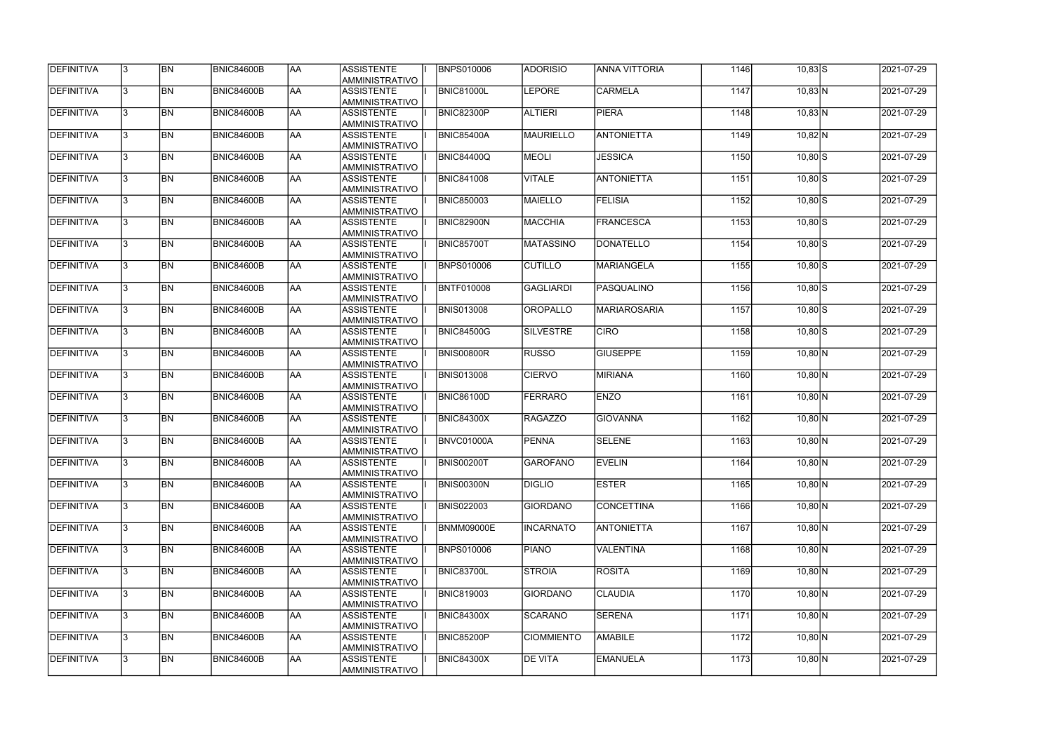| <b>DEFINITIVA</b> |     | <b>BN</b> | <b>BNIC84600B</b> | <b>AA</b> | <b>ASSISTENTE</b><br><b>AMMINISTRATIVO</b> | <b>BNPS010006</b> | <b>ADORISIO</b>   | <b>ANNA VITTORIA</b> | 1146 | $10,83$ S    | 2021-07-29 |
|-------------------|-----|-----------|-------------------|-----------|--------------------------------------------|-------------------|-------------------|----------------------|------|--------------|------------|
| DEFINITIVA        | 13. | <b>BN</b> | <b>BNIC84600B</b> | laa       | <b>ASSISTENTE</b><br>AMMINISTRATIVO        | <b>BNIC81000L</b> | <b>LEPORE</b>     | <b>CARMELA</b>       | 1147 | $10,83$ N    | 2021-07-29 |
| DEFINITIVA        | I3. | <b>BN</b> | BNIC84600B        | laa       | <b>ASSISTENTE</b><br>AMMINISTRATIVO        | BNIC82300P        | <b>ALTIERI</b>    | <b>PIERA</b>         | 1148 | $10,83$ N    | 2021-07-29 |
| DEFINITIVA        | l3. | <b>BN</b> | <b>BNIC84600B</b> | AA        | <b>ASSISTENTE</b><br>AMMINISTRATIVO        | <b>BNIC85400A</b> | <b>MAURIELLO</b>  | <b>ANTONIETTA</b>    | 1149 | $10,82$ N    | 2021-07-29 |
| DEFINITIVA        | l3. | <b>BN</b> | <b>BNIC84600B</b> | AA        | <b>ASSISTENTE</b><br>AMMINISTRATIVO        | BNIC84400Q        | <b>MEOLI</b>      | <b>JESSICA</b>       | 1150 | $10,80$ S    | 2021-07-29 |
| <b>DEFINITIVA</b> | l3  | <b>BN</b> | BNIC84600B        | AA        | <b>ASSISTENTE</b><br>AMMINISTRATIVO        | <b>BNIC841008</b> | <b>VITALE</b>     | ANTONIETTA           | 1151 | $10,80$ S    | 2021-07-29 |
| DEFINITIVA        | 3   | <b>BN</b> | <b>BNIC84600B</b> | laa       | <b>ASSISTENTE</b><br>AMMINISTRATIVO        | <b>BNIC850003</b> | <b>MAIELLO</b>    | <b>FELISIA</b>       | 1152 | $10,80$ S    | 2021-07-29 |
| DEFINITIVA        | l3  | <b>BN</b> | <b>BNIC84600B</b> | laa       | <b>ASSISTENTE</b><br><b>AMMINISTRATIVO</b> | <b>BNIC82900N</b> | <b>MACCHIA</b>    | <b>FRANCESCA</b>     | 1153 | $10,80$ S    | 2021-07-29 |
| DEFINITIVA        |     | <b>BN</b> | <b>BNIC84600B</b> | laa       | <b>ASSISTENTE</b><br>AMMINISTRATIVO        | BNIC85700T        | <b>MATASSINO</b>  | <b>DONATELLO</b>     | 1154 | $10,80$ S    | 2021-07-29 |
| DEFINITIVA        | l3. | <b>BN</b> | <b>BNIC84600B</b> | laa       | <b>ASSISTENTE</b><br>AMMINISTRATIVO        | <b>BNPS010006</b> | <b>CUTILLO</b>    | <b>MARIANGELA</b>    | 1155 | $10,80$ S    | 2021-07-29 |
| DEFINITIVA        | I3. | <b>BN</b> | BNIC84600B        | laa       | <b>ASSISTENTE</b><br>AMMINISTRATIVO        | <b>BNTF010008</b> | <b>GAGLIARDI</b>  | <b>PASQUALINO</b>    | 1156 | $10,80$ S    | 2021-07-29 |
| DEFINITIVA        | l3  | <b>BN</b> | <b>BNIC84600B</b> | AA        | <b>ASSISTENTE</b><br>AMMINISTRATIVO        | <b>BNIS013008</b> | <b>OROPALLO</b>   | <b>MARIAROSARIA</b>  | 1157 | $10,80$ S    | 2021-07-29 |
| DEFINITIVA        | 3   | <b>BN</b> | <b>BNIC84600B</b> | AA        | <b>ASSISTENTE</b><br>AMMINISTRATIVO        | <b>BNIC84500G</b> | <b>SILVESTRE</b>  | <b>CIRO</b>          | 1158 | $10,80$ S    | 2021-07-29 |
| DEFINITIVA        | 3   | <b>BN</b> | <b>BNIC84600B</b> | AA        | <b>ASSISTENTE</b><br>AMMINISTRATIVO        | <b>BNIS00800R</b> | <b>RUSSO</b>      | <b>GIUSEPPE</b>      | 1159 | $10,80$ N    | 2021-07-29 |
| DEFINITIVA        |     | <b>BN</b> | <b>BNIC84600B</b> | laa       | <b>ASSISTENTE</b><br>AMMINISTRATIVO        | <b>BNIS013008</b> | <b>CIERVO</b>     | <b>MIRIANA</b>       | 1160 | $10,80$ N    | 2021-07-29 |
| DEFINITIVA        | 3   | <b>BN</b> | <b>BNIC84600B</b> | laa       | <b>ASSISTENTE</b><br>AMMINISTRATIVO        | <b>BNIC86100D</b> | <b>FERRARO</b>    | <b>ENZO</b>          | 1161 | $10,80$ N    | 2021-07-29 |
| DEFINITIVA        |     | <b>BN</b> | <b>BNIC84600B</b> | AA        | <b>ASSISTENTE</b><br><b>AMMINISTRATIVO</b> | <b>BNIC84300X</b> | <b>RAGAZZO</b>    | <b>GIOVANNA</b>      | 1162 | $10,80$ N    | 2021-07-29 |
| DEFINITIVA        |     | <b>BN</b> | <b>BNIC84600B</b> | AA        | <b>ASSISTENTE</b><br>AMMINISTRATIVO        | BNVC01000A        | <b>PENNA</b>      | <b>SELENE</b>        | 1163 | $10,80$ N    | 2021-07-29 |
| DEFINITIVA        | 13. | BN        | <b>BNIC84600B</b> | AA        | ASSISTENTE<br>AMMINISTRATIVO               | <b>BNIS00200T</b> | GAROFANO          | <b>EVELIN</b>        | 1164 | $10,80 \, N$ | 2021-07-29 |
| <b>DEFINITIVA</b> | 13. | <b>BN</b> | BNIC84600B        | laa       | <b>ASSISTENTE</b><br>AMMINISTRATIVO        | BNIS00300N        | <b>DIGLIO</b>     | <b>ESTER</b>         | 1165 | $10,80$ N    | 2021-07-29 |
| DEFINITIVA        | l3. | <b>BN</b> | <b>BNIC84600B</b> | AA        | <b>ASSISTENTE</b><br>AMMINISTRATIVO        | <b>BNIS022003</b> | <b>GIORDANO</b>   | <b>CONCETTINA</b>    | 1166 | $10,80$ N    | 2021-07-29 |
| DEFINITIVA        | l3. | <b>BN</b> | <b>BNIC84600B</b> | <b>AA</b> | <b>ASSISTENTE</b><br>AMMINISTRATIVO        | BNMM09000E        | INCARNATO         | <b>ANTONIETTA</b>    | 1167 | $10,80$ N    | 2021-07-29 |
| DEFINITIVA        | l3. | <b>BN</b> | <b>BNIC84600B</b> | AA        | <b>ASSISTENTE</b><br>AMMINISTRATIVO        | <b>BNPS010006</b> | <b>PIANO</b>      | <b>VALENTINA</b>     | 1168 | $10,80$ N    | 2021-07-29 |
| DEFINITIVA        |     | <b>BN</b> | <b>BNIC84600B</b> | AA        | <b>ASSISTENTE</b><br>AMMINISTRATIVO        | BNIC83700L        | <b>STROIA</b>     | <b>ROSITA</b>        | 1169 | $10,80$ N    | 2021-07-29 |
| DEFINITIVA        |     | <b>BN</b> | <b>BNIC84600B</b> | AA        | <b>ASSISTENTE</b><br>AMMINISTRATIVO        | <b>BNIC819003</b> | <b>GIORDANO</b>   | <b>CLAUDIA</b>       | 1170 | $10,80$ N    | 2021-07-29 |
| DEFINITIVA        |     | <b>BN</b> | <b>BNIC84600B</b> | AA        | <b>ASSISTENTE</b><br>AMMINISTRATIVO        | <b>BNIC84300X</b> | <b>SCARANO</b>    | <b>SERENA</b>        | 1171 | $10,80 \, N$ | 2021-07-29 |
| DEFINITIVA        | I3. | <b>BN</b> | <b>BNIC84600B</b> | AA        | <b>ASSISTENTE</b><br>AMMINISTRATIVO        | BNIC85200P        | <b>CIOMMIENTO</b> | <b>AMABILE</b>       | 1172 | $10,80$ N    | 2021-07-29 |
| DEFINITIVA        | l3. | <b>BN</b> | <b>BNIC84600B</b> | AA        | <b>ASSISTENTE</b><br>AMMINISTRATIVO        | <b>BNIC84300X</b> | <b>DE VITA</b>    | <b>EMANUELA</b>      | 1173 | $10,80$ N    | 2021-07-29 |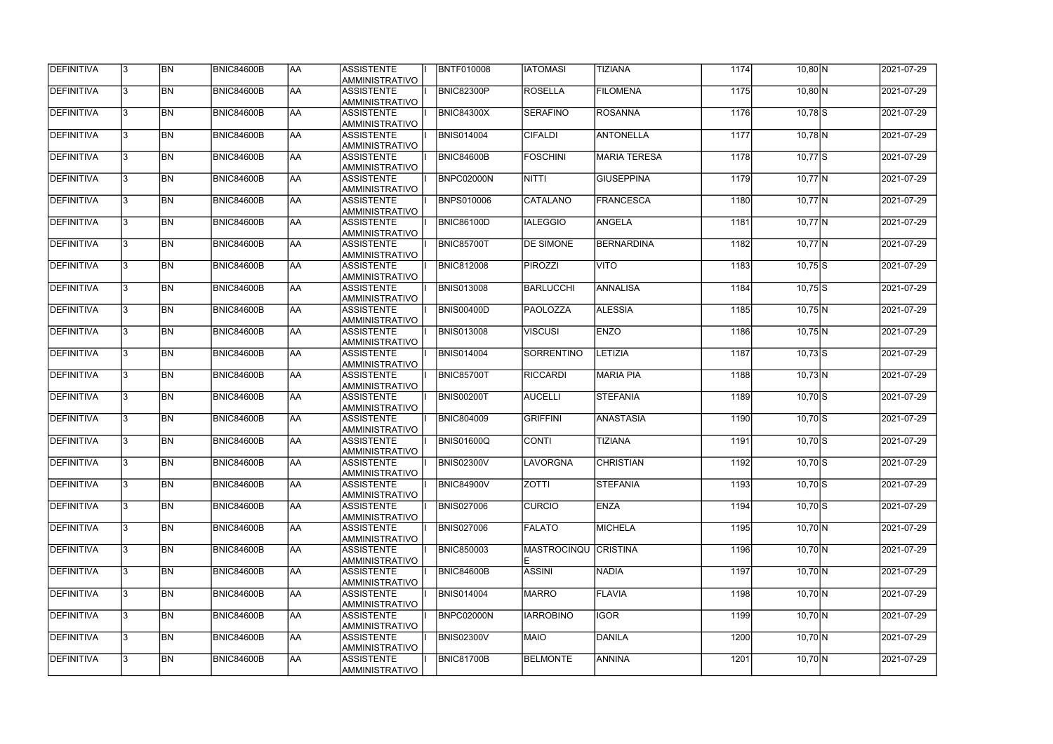| <b>DEFINITIVA</b> | 13. | <b>BN</b> | <b>BNIC84600B</b> | AA        | <b>ASSISTENTE</b><br>AMMINISTRATIVO        | <b>BNTF010008</b> | <b>IATOMASI</b>             | <b>TIZIANA</b>      | 1174 | $10,80$ N    | 2021-07-29 |
|-------------------|-----|-----------|-------------------|-----------|--------------------------------------------|-------------------|-----------------------------|---------------------|------|--------------|------------|
| <b>DEFINITIVA</b> | 13. | <b>BN</b> | <b>BNIC84600B</b> | laa       | <b>ASSISTENTE</b><br>AMMINISTRATIVO        | BNIC82300P        | <b>ROSELLA</b>              | <b>FILOMENA</b>     | 1175 | $10,80$ N    | 2021-07-29 |
| DEFINITIVA        | l3. | <b>BN</b> | <b>BNIC84600B</b> | AA        | <b>ASSISTENTE</b><br>AMMINISTRATIVO        | <b>BNIC84300X</b> | <b>SERAFINO</b>             | <b>ROSANNA</b>      | 1176 | $10,78$ S    | 2021-07-29 |
| <b>DEFINITIVA</b> | l3. | <b>BN</b> | BNIC84600B        | <b>AA</b> | <b>ASSISTENTE</b><br>AMMINISTRATIVO        | <b>BNIS014004</b> | <b>CIFALDI</b>              | ANTONELLA           | 1177 | $10,78$ N    | 2021-07-29 |
| DEFINITIVA        | l3. | <b>BN</b> | <b>BNIC84600B</b> | laa       | <b>ASSISTENTE</b><br>AMMINISTRATIVO        | BNIC84600B        | <b>FOSCHINI</b>             | <b>MARIA TERESA</b> | 1178 | $10,77$ S    | 2021-07-29 |
| DEFINITIVA        | 3   | <b>BN</b> | <b>BNIC84600B</b> | laa       | <b>ASSISTENTE</b><br>AMMINISTRATIVO        | BNPC02000N        | <b>NITTI</b>                | <b>GIUSEPPINA</b>   | 1179 | $10,77$ N    | 2021-07-29 |
| DEFINITIVA        |     | <b>BN</b> | <b>BNIC84600B</b> | laa       | <b>ASSISTENTE</b><br><b>AMMINISTRATIVO</b> | <b>BNPS010006</b> | <b>CATALANO</b>             | <b>FRANCESCA</b>    | 1180 | $10,77$ N    | 2021-07-29 |
| DEFINITIVA        |     | <b>BN</b> | BNIC84600B        | laa       | <b>ASSISTENTE</b><br>AMMINISTRATIVO        | <b>BNIC86100D</b> | <b>IALEGGIO</b>             | <b>ANGELA</b>       | 1181 | $10,77$ N    | 2021-07-29 |
| DEFINITIVA        |     | <b>BN</b> | <b>BNIC84600B</b> | AA        | <b>ASSISTENTE</b><br>AMMINISTRATIVO        | <b>BNIC85700T</b> | <b>DE SIMONE</b>            | <b>BERNARDINA</b>   | 1182 | $10,77$ N    | 2021-07-29 |
| DEFINITIVA        | l3. | <b>BN</b> | <b>BNIC84600B</b> | laa       | <b>ASSISTENTE</b><br>AMMINISTRATIVO        | <b>BNIC812008</b> | PIROZZI                     | <b>VITO</b>         | 1183 | $10,75$ S    | 2021-07-29 |
| DEFINITIVA        | l3  | <b>BN</b> | <b>BNIC84600B</b> | AA        | <b>ASSISTENTE</b><br>AMMINISTRATIVO        | <b>BNIS013008</b> | <b>BARLUCCHI</b>            | <b>ANNALISA</b>     | 1184 | $10,75$ S    | 2021-07-29 |
| <b>DEFINITIVA</b> | 3   | <b>BN</b> | <b>BNIC84600B</b> | <b>AA</b> | <b>ASSISTENTE</b><br>AMMINISTRATIVO        | BNIS00400D        | <b>PAOLOZZA</b>             | <b>ALESSIA</b>      | 1185 | $10,75$ N    | 2021-07-29 |
| DEFINITIVA        | 3   | <b>BN</b> | <b>BNIC84600B</b> | AA        | <b>ASSISTENTE</b><br>AMMINISTRATIVO        | <b>BNIS013008</b> | <b>VISCUSI</b>              | <b>ENZO</b>         | 1186 | $10,75$ N    | 2021-07-29 |
| DEFINITIVA        | 3   | <b>BN</b> | <b>BNIC84600B</b> | laa       | <b>ASSISTENTE</b><br>AMMINISTRATIVO        | <b>BNIS014004</b> | <b>SORRENTINO</b>           | <b>LETIZIA</b>      | 1187 | $10,73$ S    | 2021-07-29 |
| DEFINITIVA        | 3   | <b>BN</b> | <b>BNIC84600B</b> | laa       | <b>ASSISTENTE</b><br><b>AMMINISTRATIVO</b> | <b>BNIC85700T</b> | <b>RICCARDI</b>             | <b>MARIA PIA</b>    | 1188 | $10,73$ N    | 2021-07-29 |
| DEFINITIVA        | 3   | <b>BN</b> | <b>BNIC84600B</b> | laa       | <b>ASSISTENTE</b><br>AMMINISTRATIVO        | <b>BNIS00200T</b> | <b>AUCELLI</b>              | <b>STEFANIA</b>     | 1189 | $10,70$ S    | 2021-07-29 |
| DEFINITIVA        | l3. | <b>BN</b> | <b>BNIC84600B</b> | laa       | <b>ASSISTENTE</b><br>AMMINISTRATIVO        | <b>BNIC804009</b> | <b>GRIFFINI</b>             | <b>ANASTASIA</b>    | 1190 | $10,70$ S    | 2021-07-29 |
| DEFINITIVA        | 3   | <b>BN</b> | <b>BNIC84600B</b> | AA        | <b>ASSISTENTE</b><br>AMMINISTRATIVO        | <b>BNIS01600Q</b> | <b>CONTI</b>                | <b>TIZIANA</b>      | 1191 | $10,70$ S    | 2021-07-29 |
| DEFINITIVA        | 13  | <b>BN</b> | <b>BNIC84600B</b> | <b>AA</b> | <b>ASSISTENTE</b><br>AMMINISTRATIVO        | <b>BNIS02300V</b> | LAVORGNA                    | <b>CHRISTIAN</b>    | 1192 | $10,70$ S    | 2021-07-29 |
| <b>DEFINITIVA</b> | I3. | <b>BN</b> | <b>BNIC84600B</b> | AA        | <b>ASSISTENTE</b><br>AMMINISTRATIVO        | <b>BNIC84900V</b> | <b>ZOTTI</b>                | <b>STEFANIA</b>     | 1193 | $10,70$ S    | 2021-07-29 |
| DEFINITIVA        | 13. | <b>BN</b> | <b>BNIC84600B</b> | AA        | <b>ASSISTENTE</b><br>AMMINISTRATIVO        | <b>BNIS027006</b> | <b>CURCIO</b>               | <b>ENZA</b>         | 1194 | $10,70$ S    | 2021-07-29 |
| DEFINITIVA        | 3   | <b>BN</b> | <b>BNIC84600B</b> | laa       | <b>ASSISTENTE</b><br>AMMINISTRATIVO        | <b>BNIS027006</b> | <b>FALATO</b>               | <b>MICHELA</b>      | 1195 | $10,70$ N    | 2021-07-29 |
| DEFINITIVA        |     | <b>BN</b> | <b>BNIC84600B</b> | AA        | <b>ASSISTENTE</b><br>AMMINISTRATIVO        | <b>BNIC850003</b> | <b>MASTROCINQU CRISTINA</b> |                     | 1196 | $10,70$ N    | 2021-07-29 |
| DEFINITIVA        |     | <b>BN</b> | <b>BNIC84600B</b> | AA        | <b>ASSISTENTE</b><br>AMMINISTRATIVO        | BNIC84600B        | <b>ASSINI</b>               | <b>NADIA</b>        | 1197 | $10,70$ N    | 2021-07-29 |
| DEFINITIVA        | I3. | <b>BN</b> | BNIC84600B        | laa       | <b>ASSISTENTE</b><br>AMMINISTRATIVO        | <b>BNIS014004</b> | <b>MARRO</b>                | <b>FLAVIA</b>       | 1198 | $10,70$ N    | 2021-07-29 |
| DEFINITIVA        | 13. | <b>BN</b> | <b>BNIC84600B</b> | AA        | <b>ASSISTENTE</b><br>AMMINISTRATIVO        | BNPC02000N        | <b>IARROBINO</b>            | <b>IGOR</b>         | 1199 | $10,70$ N    | 2021-07-29 |
| DEFINITIVA        | 13. | <b>BN</b> | <b>BNIC84600B</b> | AA        | <b>ASSISTENTE</b><br>AMMINISTRATIVO        | <b>BNIS02300V</b> | <b>MAIO</b>                 | <b>DANILA</b>       | 1200 | $10,70$ N    | 2021-07-29 |
| DEFINITIVA        |     | <b>BN</b> | <b>BNIC84600B</b> | AA        | <b>ASSISTENTE</b><br>AMMINISTRATIVO        | <b>BNIC81700B</b> | <b>BELMONTE</b>             | <b>ANNINA</b>       | 1201 | $10,70 \, N$ | 2021-07-29 |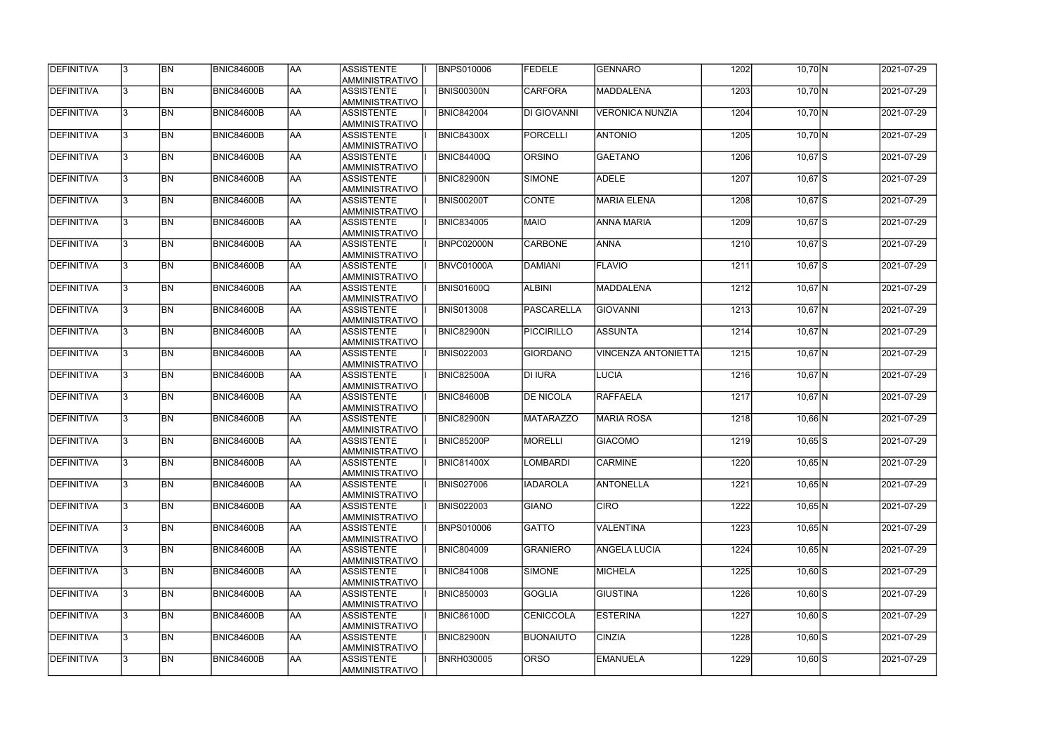| <b>DEFINITIVA</b> | 13. | <b>BN</b> | <b>BNIC84600B</b> | <b>AA</b>  | <b>ASSISTENTE</b><br>AMMINISTRATIVO        | <b>BNPS010006</b> | FEDELE             | <b>GENNARO</b>         | 1202 | $10,70$ N   | 2021-07-29 |
|-------------------|-----|-----------|-------------------|------------|--------------------------------------------|-------------------|--------------------|------------------------|------|-------------|------------|
| DEFINITIVA        | l3. | <b>BN</b> | <b>BNIC84600B</b> | laa        | <b>ASSISTENTE</b><br>AMMINISTRATIVO        | <b>BNIS00300N</b> | <b>CARFORA</b>     | <b>MADDALENA</b>       | 1203 | $10,70$ N   | 2021-07-29 |
| DEFINITIVA        | 13. | <b>BN</b> | <b>BNIC84600B</b> | laa        | <b>ASSISTENTE</b><br>AMMINISTRATIVO        | <b>BNIC842004</b> | <b>DI GIOVANNI</b> | <b>VERONICA NUNZIA</b> | 1204 | $10,70$ N   | 2021-07-29 |
| DEFINITIVA        | l3. | <b>BN</b> | <b>BNIC84600B</b> | AA         | <b>ASSISTENTE</b><br>AMMINISTRATIVO        | <b>BNIC84300X</b> | PORCELLI           | <b>ANTONIO</b>         | 1205 | $10,70$ N   | 2021-07-29 |
| DEFINITIVA        | l3. | <b>BN</b> | <b>BNIC84600B</b> | <b>AA</b>  | <b>ASSISTENTE</b><br>AMMINISTRATIVO        | <b>BNIC84400Q</b> | ORSINO             | <b>GAETANO</b>         | 1206 | $10,67$ S   | 2021-07-29 |
| DEFINITIVA        | l3. | <b>BN</b> | BNIC84600B        | laa        | <b>ASSISTENTE</b><br>AMMINISTRATIVO        | <b>BNIC82900N</b> | <b>SIMONE</b>      | <b>ADELE</b>           | 1207 | $10,67$ S   | 2021-07-29 |
| <b>DEFINITIVA</b> | 3   | <b>BN</b> | <b>BNIC84600B</b> | laa        | <b>ASSISTENTE</b><br>AMMINISTRATIVO        | <b>BNIS00200T</b> | <b>CONTE</b>       | <b>MARIA ELENA</b>     | 1208 | $10,67$ S   | 2021-07-29 |
| DEFINITIVA        |     | <b>BN</b> | <b>BNIC84600B</b> | laa        | <b>ASSISTENTE</b><br><b>AMMINISTRATIVO</b> | <b>BNIC834005</b> | <b>MAIO</b>        | <b>ANNA MARIA</b>      | 1209 | $10,67$ $S$ | 2021-07-29 |
| DEFINITIVA        |     | <b>BN</b> | <b>BNIC84600B</b> | laa        | <b>ASSISTENTE</b><br>AMMINISTRATIVO        | BNPC02000N        | <b>CARBONE</b>     | <b>ANNA</b>            | 1210 | $10,67$ $S$ | 2021-07-29 |
| DEFINITIVA        |     | <b>BN</b> | <b>BNIC84600B</b> | laa        | <b>ASSISTENTE</b><br>AMMINISTRATIVO        | BNVC01000A        | <b>DAMIANI</b>     | <b>FLAVIO</b>          | 1211 | $10,67$ S   | 2021-07-29 |
| DEFINITIVA        | l3. | <b>BN</b> | <b>BNIC84600B</b> | AA         | <b>ASSISTENTE</b><br>AMMINISTRATIVO        | BNIS01600Q        | <b>ALBINI</b>      | <b>MADDALENA</b>       | 1212 | $10,67$ N   | 2021-07-29 |
| DEFINITIVA        | l3. | <b>BN</b> | <b>BNIC84600B</b> | AA         | <b>ASSISTENTE</b><br>AMMINISTRATIVO        | <b>BNIS013008</b> | PASCARELLA         | <b>GIOVANNI</b>        | 1213 | $10,67$ N   | 2021-07-29 |
| DEFINITIVA        | 3   | <b>BN</b> | BNIC84600B        | AA         | <b>ASSISTENTE</b><br>AMMINISTRATIVO        | BNIC82900N        | PICCIRILLO         | <b>ASSUNTA</b>         | 1214 | $10,67$ N   | 2021-07-29 |
| DEFINITIVA        |     | <b>BN</b> | <b>BNIC84600B</b> | AA         | <b>ASSISTENTE</b><br>AMMINISTRATIVO        | <b>BNIS022003</b> | <b>GIORDANO</b>    | VINCENZA ANTONIETTA    | 1215 | $10,67$ N   | 2021-07-29 |
| DEFINITIVA        | 3   | <b>BN</b> | <b>BNIC84600B</b> | laa        | <b>ASSISTENTE</b><br>AMMINISTRATIVO        | <b>BNIC82500A</b> | DI IURA            | <b>LUCIA</b>           | 1216 | $10,67$ N   | 2021-07-29 |
| DEFINITIVA        | l3. | <b>BN</b> | <b>BNIC84600B</b> | laa        | <b>ASSISTENTE</b><br>AMMINISTRATIVO        | BNIC84600B        | <b>DE NICOLA</b>   | <b>RAFFAELA</b>        | 1217 | $10,67$ N   | 2021-07-29 |
| <b>DEFINITIVA</b> |     | <b>BN</b> | <b>BNIC84600B</b> | laa        | <b>ASSISTENTE</b><br>AMMINISTRATIVO        | <b>BNIC82900N</b> | <b>MATARAZZO</b>   | <b>MARIA ROSA</b>      | 1218 | $10,66$ N   | 2021-07-29 |
| DEFINITIVA        | 3   | <b>BN</b> | <b>BNIC84600B</b> | AA         | <b>ASSISTENTE</b><br>AMMINISTRATIVO        | <b>BNIC85200P</b> | <b>MORELLI</b>     | <b>GIACOMO</b>         | 1219 | $10,65$ S   | 2021-07-29 |
| <b>DEFINITIVA</b> | 13  | <b>BN</b> | <b>BNIC84600B</b> | <b>JAA</b> | <b>ASSISTENTE</b><br>AMMINISTRATIVO        | <b>BNIC81400X</b> | <b>LOMBARDI</b>    | <b>CARMINE</b>         | 1220 | $10,65$ N   | 2021-07-29 |
| DEFINITIVA        | 13. | <b>BN</b> | <b>BNIC84600B</b> | AA         | <b>ASSISTENTE</b><br>AMMINISTRATIVO        | <b>BNIS027006</b> | <b>IADAROLA</b>    | <b>ANTONELLA</b>       | 1221 | $10,65$ N   | 2021-07-29 |
| DEFINITIVA        | I3. | <b>BN</b> | <b>BNIC84600B</b> | AA         | <b>ASSISTENTE</b><br>AMMINISTRATIVO        | <b>BNIS022003</b> | <b>GIANO</b>       | <b>CIRO</b>            | 1222 | $10,65$ N   | 2021-07-29 |
| DEFINITIVA        | l3. | <b>BN</b> | <b>BNIC84600B</b> | AA         | <b>ASSISTENTE</b><br>AMMINISTRATIVO        | <b>BNPS010006</b> | <b>GATTO</b>       | <b>VALENTINA</b>       | 1223 | $10,65$ N   | 2021-07-29 |
| DEFINITIVA        | 3   | <b>BN</b> | <b>BNIC84600B</b> | AA         | <b>ASSISTENTE</b><br>AMMINISTRATIVO        | <b>BNIC804009</b> | <b>GRANIERO</b>    | <b>ANGELA LUCIA</b>    | 1224 | $10,65$ N   | 2021-07-29 |
| DEFINITIVA        | l3. | <b>BN</b> | <b>BNIC84600B</b> | AA         | <b>ASSISTENTE</b><br>AMMINISTRATIVO        | <b>BNIC841008</b> | SIMONE             | <b>MICHELA</b>         | 1225 | $10,60$ S   | 2021-07-29 |
| DEFINITIVA        |     | <b>BN</b> | <b>BNIC84600B</b> | AA         | <b>ASSISTENTE</b><br>AMMINISTRATIVO        | <b>BNIC850003</b> | <b>GOGLIA</b>      | <b>GIUSTINA</b>        | 1226 | $10,60$ S   | 2021-07-29 |
| DEFINITIVA        | I3. | <b>BN</b> | <b>BNIC84600B</b> | AA         | <b>ASSISTENTE</b><br>AMMINISTRATIVO        | <b>BNIC86100D</b> | <b>CENICCOLA</b>   | <b>ESTERINA</b>        | 1227 | $10,60$ S   | 2021-07-29 |
| DEFINITIVA        | 13. | <b>BN</b> | <b>BNIC84600B</b> | AA         | <b>ASSISTENTE</b><br>AMMINISTRATIVO        | BNIC82900N        | <b>BUONAIUTO</b>   | <b>CINZIA</b>          | 1228 | $10,60$ S   | 2021-07-29 |
| DEFINITIVA        |     | <b>BN</b> | <b>BNIC84600B</b> | AA         | <b>ASSISTENTE</b><br>AMMINISTRATIVO        | <b>BNRH030005</b> | <b>ORSO</b>        | <b>EMANUELA</b>        | 1229 | $10,60$ S   | 2021-07-29 |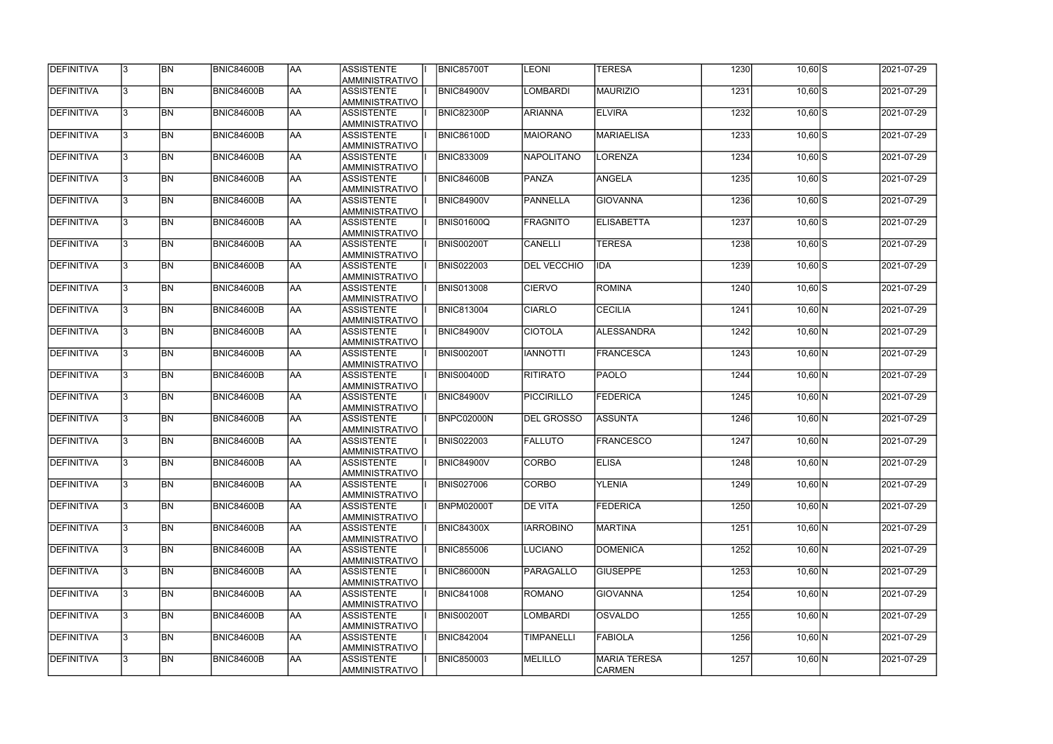| <b>DEFINITIVA</b> |              | <b>BN</b> | <b>BNIC84600B</b> | <b>AA</b> | <b>ASSISTENTE</b><br><b>AMMINISTRATIVO</b> | <b>BNIC85700T</b> | <b>LEONI</b>       | <b>TERESA</b>                        | 1230 | $10,60$ S    | 2021-07-29 |
|-------------------|--------------|-----------|-------------------|-----------|--------------------------------------------|-------------------|--------------------|--------------------------------------|------|--------------|------------|
| DEFINITIVA        |              | <b>BN</b> | BNIC84600B        | AA        | <b>ASSISTENTE</b><br>AMMINISTRATIVO        | <b>BNIC84900V</b> | LOMBARDI           | <b>MAURIZIO</b>                      | 1231 | $10,60$ S    | 2021-07-29 |
| <b>DEFINITIVA</b> |              | <b>BN</b> | BNIC84600B        | <b>AA</b> | <b>ASSISTENTE</b><br>AMMINISTRATIVO        | <b>BNIC82300P</b> | ARIANNA            | <b>ELVIRA</b>                        | 1232 | $10,60$ S    | 2021-07-29 |
| <b>DEFINITIVA</b> |              | <b>BN</b> | BNIC84600B        | <b>AA</b> | <b>ASSISTENTE</b><br>AMMINISTRATIVO        | <b>BNIC86100D</b> | <b>MAIORANO</b>    | <b>MARIAELISA</b>                    | 1233 | $10,60$ S    | 2021-07-29 |
| DEFINITIVA        |              | <b>BN</b> | BNIC84600B        | <b>AA</b> | <b>ASSISTENTE</b><br>AMMINISTRATIVO        | <b>BNIC833009</b> | <b>NAPOLITANO</b>  | LORENZA                              | 1234 | $10,60$ S    | 2021-07-29 |
| <b>DEFINITIVA</b> |              | <b>BN</b> | BNIC84600B        | <b>AA</b> | <b>ASSISTENTE</b><br>AMMINISTRATIVO        | <b>BNIC84600B</b> | PANZA              | <b>ANGELA</b>                        | 1235 | $10,60$ S    | 2021-07-29 |
| <b>DEFINITIVA</b> |              | <b>BN</b> | BNIC84600B        | <b>AA</b> | <b>ASSISTENTE</b><br><b>AMMINISTRATIVO</b> | <b>BNIC84900V</b> | PANNELLA           | <b>GIOVANNA</b>                      | 1236 | $10,60$ S    | 2021-07-29 |
| DEFINITIVA        |              | <b>BN</b> | <b>BNIC84600B</b> | <b>AA</b> | <b>ASSISTENTE</b><br><b>AMMINISTRATIVO</b> | <b>BNIS01600Q</b> | <b>FRAGNITO</b>    | <b>ELISABETTA</b>                    | 1237 | $10,60$ S    | 2021-07-29 |
| DEFINITIVA        |              | <b>BN</b> | BNIC84600B        | <b>AA</b> | <b>ASSISTENTE</b><br><b>AMMINISTRATIVO</b> | <b>BNIS00200T</b> | <b>CANELLI</b>     | <b>TERESA</b>                        | 1238 | $10,60$ S    | 2021-07-29 |
| DEFINITIVA        |              | <b>BN</b> | BNIC84600B        | <b>AA</b> | <b>ASSISTENTE</b><br>AMMINISTRATIVO        | <b>BNIS022003</b> | <b>DEL VECCHIO</b> | <b>IDA</b>                           | 1239 | $10,60$ S    | 2021-07-29 |
| DEFINITIVA        |              | <b>BN</b> | BNIC84600B        | <b>AA</b> | <b>ASSISTENTE</b><br>AMMINISTRATIVO        | <b>BNIS013008</b> | <b>CIERVO</b>      | <b>ROMINA</b>                        | 1240 | $10,60$ S    | 2021-07-29 |
| DEFINITIVA        |              | <b>BN</b> | BNIC84600B        | <b>AA</b> | <b>ASSISTENTE</b><br>AMMINISTRATIVO        | <b>BNIC813004</b> | <b>CIARLO</b>      | <b>CECILIA</b>                       | 1241 | $10,60$ N    | 2021-07-29 |
| DEFINITIVA        |              | <b>BN</b> | BNIC84600B        | <b>AA</b> | <b>ASSISTENTE</b><br>AMMINISTRATIVO        | <b>BNIC84900V</b> | <b>CIOTOLA</b>     | <b>ALESSANDRA</b>                    | 1242 | $10,60$ N    | 2021-07-29 |
| DEFINITIVA        |              | <b>BN</b> | BNIC84600B        | <b>AA</b> | <b>ASSISTENTE</b><br>AMMINISTRATIVO        | <b>BNIS00200T</b> | <b>ITOUNAI</b>     | <b>FRANCESCA</b>                     | 1243 | $10,60$ N    | 2021-07-29 |
| DEFINITIVA        |              | <b>BN</b> | BNIC84600B        | <b>AA</b> | <b>ASSISTENTE</b><br>AMMINISTRATIVO        | <b>BNIS00400D</b> | <b>RITIRATO</b>    | PAOLO                                | 1244 | $10,60$ N    | 2021-07-29 |
| DEFINITIVA        |              | <b>BN</b> | <b>BNIC84600B</b> | <b>AA</b> | <b>ASSISTENTE</b><br>AMMINISTRATIVO        | <b>BNIC84900V</b> | PICCIRILLO         | <b>FEDERICA</b>                      | 1245 | $10,60$ N    | 2021-07-29 |
| DEFINITIVA        |              | <b>BN</b> | BNIC84600B        | <b>AA</b> | <b>ASSISTENTE</b><br><b>AMMINISTRATIVO</b> | <b>BNPC02000N</b> | <b>DEL GROSSO</b>  | <b>ASSUNTA</b>                       | 1246 | $10,60$ N    | 2021-07-29 |
| DEFINITIVA        |              | <b>BN</b> | BNIC84600B        | <b>AA</b> | <b>ASSISTENTE</b><br>AMMINISTRATIVO        | <b>BNIS022003</b> | FALLUTO            | <b>FRANCESCO</b>                     | 1247 | $10,60$ N    | 2021-07-29 |
| DEFINITIVA        | 13.          | IBN.      | BNIC84600B        | IAA       | IASSISTENTE<br><b>AMMINISTRATIVO</b>       | BNIC84900V        | CORBO              | ELISA                                | 1248 | $10,60 \, N$ | 2021-07-29 |
| <b>DEFINITIVA</b> |              | <b>BN</b> | BNIC84600B        | <b>AA</b> | ASSISTENTE<br>AMMINISTRATIVO               | <b>BNIS027006</b> | <b>CORBO</b>       | <b>YLENIA</b>                        | 1249 | $10,60$ N    | 2021-07-29 |
| DEFINITIVA        | l3.          | <b>BN</b> | BNIC84600B        | <b>AA</b> | ASSISTENTE<br>AMMINISTRATIVO               | <b>BNPM02000T</b> | <b>DE VITA</b>     | <b>FEDERICA</b>                      | 1250 | $10,60$ N    | 2021-07-29 |
| DEFINITIVA        | Β.           | <b>BN</b> | BNIC84600B        | AA        | ASSISTENTE<br>AMMINISTRATIVO               | <b>BNIC84300X</b> | <b>IARROBINO</b>   | <b>MARTINA</b>                       | 1251 | $10,60$ N    | 2021-07-29 |
| <b>DEFINITIVA</b> | $\mathbf{3}$ | <b>BN</b> | BNIC84600B        | <b>AA</b> | <b>ASSISTENTE</b><br>AMMINISTRATIVO        | <b>BNIC855006</b> | <b>LUCIANO</b>     | <b>DOMENICA</b>                      | 1252 | $10,60$ N    | 2021-07-29 |
| DEFINITIVA        |              | <b>BN</b> | BNIC84600B        | <b>AA</b> | <b>ASSISTENTE</b><br>AMMINISTRATIVO        | <b>BNIC86000N</b> | PARAGALLO          | <b>GIUSEPPE</b>                      | 1253 | $10,60$ N    | 2021-07-29 |
| DEFINITIVA        |              | <b>BN</b> | BNIC84600B        | <b>AA</b> | <b>ASSISTENTE</b><br>AMMINISTRATIVO        | <b>BNIC841008</b> | ROMANO             | <b>GIOVANNA</b>                      | 1254 | $10,60$ N    | 2021-07-29 |
| DEFINITIVA        |              | <b>BN</b> | BNIC84600B        | <b>AA</b> | <b>ASSISTENTE</b><br>AMMINISTRATIVO        | <b>BNIS00200T</b> | <b>LOMBARDI</b>    | OSVALDO                              | 1255 | $10,60$ N    | 2021-07-29 |
| DEFINITIVA        |              | <b>BN</b> | BNIC84600B        | <b>AA</b> | ASSISTENTE<br>AMMINISTRATIVO               | <b>BNIC842004</b> | <b>TIMPANELLI</b>  | <b>FABIOLA</b>                       | 1256 | $10,60$ N    | 2021-07-29 |
| DEFINITIVA        |              | <b>BN</b> | BNIC84600B        | <b>AA</b> | <b>ASSISTENTE</b><br>AMMINISTRATIVO        | <b>BNIC850003</b> | MELILLO            | <b>MARIA TERESA</b><br><b>CARMEN</b> | 1257 | $10,60$ N    | 2021-07-29 |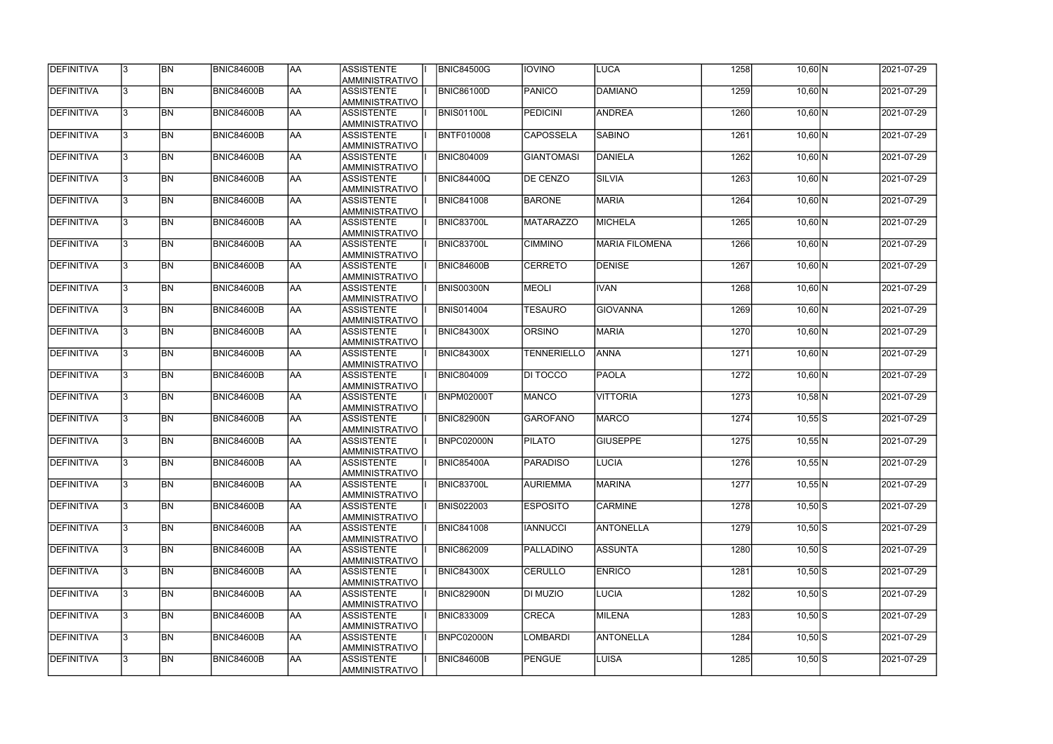| <b>DEFINITIVA</b> | 13. | <b>BN</b> | <b>BNIC84600B</b> | <b>AA</b> | <b>ASSISTENTE</b><br>AMMINISTRATIVO        | <b>BNIC84500G</b> | <b>IOVINO</b>      | LUCA                  | 1258 | $10,60$ N | $\sqrt{2021-07-29}$ |
|-------------------|-----|-----------|-------------------|-----------|--------------------------------------------|-------------------|--------------------|-----------------------|------|-----------|---------------------|
| DEFINITIVA        | 13. | <b>BN</b> | <b>BNIC84600B</b> | laa       | <b>ASSISTENTE</b><br>AMMINISTRATIVO        | <b>BNIC86100D</b> | PANICO             | <b>DAMIANO</b>        | 1259 | $10,60$ N | 2021-07-29          |
| DEFINITIVA        | 13. | <b>BN</b> | <b>BNIC84600B</b> | laa       | <b>ASSISTENTE</b><br>AMMINISTRATIVO        | <b>BNIS01100L</b> | <b>PEDICINI</b>    | <b>ANDREA</b>         | 1260 | $10,60$ N | 2021-07-29          |
| DEFINITIVA        | l3. | <b>BN</b> | <b>BNIC84600B</b> | AA        | <b>ASSISTENTE</b><br>AMMINISTRATIVO        | <b>BNTF010008</b> | <b>CAPOSSELA</b>   | <b>SABINO</b>         | 1261 | $10,60$ N | 2021-07-29          |
| DEFINITIVA        | l3. | <b>BN</b> | <b>BNIC84600B</b> | <b>AA</b> | <b>ASSISTENTE</b><br>AMMINISTRATIVO        | <b>BNIC804009</b> | <b>GIANTOMASI</b>  | <b>DANIELA</b>        | 1262 | $10,60$ N | 2021-07-29          |
| DEFINITIVA        | l3. | <b>BN</b> | BNIC84600B        | laa       | <b>ASSISTENTE</b><br>AMMINISTRATIVO        | <b>BNIC84400Q</b> | <b>DE CENZO</b>    | <b>SILVIA</b>         | 1263 | $10,60$ N | 2021-07-29          |
| <b>DEFINITIVA</b> | 3   | <b>BN</b> | <b>BNIC84600B</b> | laa       | <b>ASSISTENTE</b><br>AMMINISTRATIVO        | <b>BNIC841008</b> | <b>BARONE</b>      | <b>MARIA</b>          | 1264 | $10,60$ N | 2021-07-29          |
| DEFINITIVA        |     | <b>BN</b> | <b>BNIC84600B</b> | laa       | <b>ASSISTENTE</b><br><b>AMMINISTRATIVO</b> | BNIC83700L        | <b>MATARAZZO</b>   | <b>MICHELA</b>        | 1265 | $10,60$ N | 2021-07-29          |
| DEFINITIVA        |     | <b>BN</b> | <b>BNIC84600B</b> | laa       | <b>ASSISTENTE</b><br>AMMINISTRATIVO        | BNIC83700L        | <b>CIMMINO</b>     | <b>MARIA FILOMENA</b> | 1266 | $10,60$ N | 2021-07-29          |
| DEFINITIVA        |     | <b>BN</b> | <b>BNIC84600B</b> | laa       | <b>ASSISTENTE</b><br>AMMINISTRATIVO        | BNIC84600B        | <b>CERRETO</b>     | <b>DENISE</b>         | 1267 | $10,60$ N | 2021-07-29          |
| DEFINITIVA        | l3. | <b>BN</b> | <b>BNIC84600B</b> | AA        | <b>ASSISTENTE</b><br>AMMINISTRATIVO        | BNIS00300N        | <b>MEOLI</b>       | <b>IVAN</b>           | 1268 | $10,60$ N | 2021-07-29          |
| DEFINITIVA        | l3. | <b>BN</b> | <b>BNIC84600B</b> | AA        | <b>ASSISTENTE</b><br>AMMINISTRATIVO        | <b>BNIS014004</b> | <b>TESAURO</b>     | <b>GIOVANNA</b>       | 1269 | $10,60$ N | 2021-07-29          |
| DEFINITIVA        | 3   | <b>BN</b> | BNIC84600B        | laa       | <b>ASSISTENTE</b><br>AMMINISTRATIVO        | <b>BNIC84300X</b> | <b>ORSINO</b>      | <b>MARIA</b>          | 1270 | $10,60$ N | 2021-07-29          |
| DEFINITIVA        |     | <b>BN</b> | <b>BNIC84600B</b> | AA        | <b>ASSISTENTE</b><br>AMMINISTRATIVO        | <b>BNIC84300X</b> | <b>TENNERIELLO</b> | <b>ANNA</b>           | 1271 | $10,60$ N | 2021-07-29          |
| DEFINITIVA        | 3   | <b>BN</b> | <b>BNIC84600B</b> | laa       | <b>ASSISTENTE</b><br>AMMINISTRATIVO        | <b>BNIC804009</b> | <b>DI TOCCO</b>    | PAOLA                 | 1272 | $10,60$ N | 2021-07-29          |
| DEFINITIVA        | l3. | <b>BN</b> | <b>BNIC84600B</b> | laa       | <b>ASSISTENTE</b><br>AMMINISTRATIVO        | <b>BNPM02000T</b> | <b>MANCO</b>       | <b>VITTORIA</b>       | 1273 | $10,58$ N | 2021-07-29          |
| <b>DEFINITIVA</b> |     | <b>BN</b> | <b>BNIC84600B</b> | laa       | <b>ASSISTENTE</b><br>AMMINISTRATIVO        | <b>BNIC82900N</b> | <b>GAROFANO</b>    | <b>MARCO</b>          | 1274 | $10,55$ S | 2021-07-29          |
| DEFINITIVA        |     | <b>BN</b> | <b>BNIC84600B</b> | AA        | <b>ASSISTENTE</b><br>AMMINISTRATIVO        | BNPC02000N        | <b>PILATO</b>      | <b>GIUSEPPE</b>       | 1275 | $10,55$ N | 2021-07-29          |
| <b>DEFINITIVA</b> | 13  | <b>BN</b> | <b>BNIC84600B</b> | AA        | <b>ASSISTENTE</b><br>AMMINISTRATIVO        | <b>BNIC85400A</b> | <b>PARADISO</b>    | <b>LUCIA</b>          | 1276 | $10,55$ N | 2021-07-29          |
| DEFINITIVA        | 13. | <b>BN</b> | <b>BNIC84600B</b> | AA        | <b>ASSISTENTE</b><br>AMMINISTRATIVO        | BNIC83700L        | <b>AURIEMMA</b>    | <b>MARINA</b>         | 1277 | $10,55$ N | 2021-07-29          |
| DEFINITIVA        | I3. | <b>BN</b> | <b>BNIC84600B</b> | AA        | <b>ASSISTENTE</b><br>AMMINISTRATIVO        | <b>BNIS022003</b> | <b>ESPOSITO</b>    | <b>CARMINE</b>        | 1278 | $10,50$ S | 2021-07-29          |
| DEFINITIVA        | l3. | <b>BN</b> | <b>BNIC84600B</b> | AA        | <b>ASSISTENTE</b><br>AMMINISTRATIVO        | <b>BNIC841008</b> | <b>IANNUCCI</b>    | ANTONELLA             | 1279 | $10,50$ S | 2021-07-29          |
| DEFINITIVA        | 3   | <b>BN</b> | <b>BNIC84600B</b> | AA        | <b>ASSISTENTE</b><br>AMMINISTRATIVO        | <b>BNIC862009</b> | PALLADINO          | <b>ASSUNTA</b>        | 1280 | $10,50$ S | 2021-07-29          |
| <b>DEFINITIVA</b> | l3. | <b>BN</b> | <b>BNIC84600B</b> | AA        | <b>ASSISTENTE</b><br>AMMINISTRATIVO        | <b>BNIC84300X</b> | <b>CERULLO</b>     | <b>ENRICO</b>         | 1281 | $10,50$ S | 2021-07-29          |
| DEFINITIVA        |     | <b>BN</b> | <b>BNIC84600B</b> | AA        | <b>ASSISTENTE</b><br>AMMINISTRATIVO        | BNIC82900N        | DI MUZIO           | <b>LUCIA</b>          | 1282 | $10,50$ S | 2021-07-29          |
| DEFINITIVA        | I3. | <b>BN</b> | <b>BNIC84600B</b> | AA        | <b>ASSISTENTE</b><br>AMMINISTRATIVO        | <b>BNIC833009</b> | <b>CRECA</b>       | <b>MILENA</b>         | 1283 | $10,50$ S | 2021-07-29          |
| DEFINITIVA        | 13. | <b>BN</b> | <b>BNIC84600B</b> | AA        | <b>ASSISTENTE</b><br>AMMINISTRATIVO        | BNPC02000N        | <b>LOMBARDI</b>    | <b>ANTONELLA</b>      | 1284 | $10,50$ S | 2021-07-29          |
| DEFINITIVA        |     | <b>BN</b> | <b>BNIC84600B</b> | AA        | <b>ASSISTENTE</b><br>AMMINISTRATIVO        | BNIC84600B        | PENGUE             | LUISA                 | 1285 | $10,50$ S | 2021-07-29          |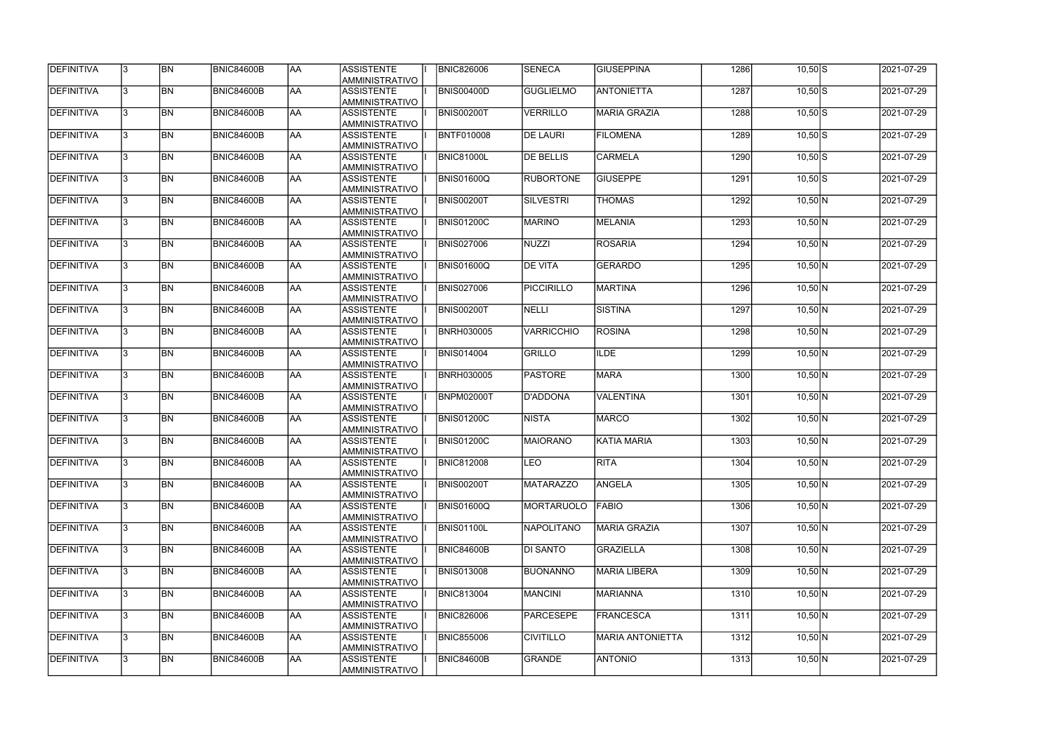| <b>DEFINITIVA</b> | 13. | <b>BN</b>      | <b>BNIC84600B</b> | <b>AA</b> | <b>ASSISTENTE</b><br>AMMINISTRATIVO        | <b>BNIC826006</b> | <b>SENECA</b>     | <b>GIUSEPPINA</b>       | 1286 | $10,50$ S    | 2021-07-29 |
|-------------------|-----|----------------|-------------------|-----------|--------------------------------------------|-------------------|-------------------|-------------------------|------|--------------|------------|
| DEFINITIVA        | 13. | <b>BN</b>      | <b>BNIC84600B</b> | laa       | <b>ASSISTENTE</b><br>AMMINISTRATIVO        | <b>BNIS00400D</b> | <b>GUGLIELMO</b>  | <b>ANTONIETTA</b>       | 1287 | $10,50$ S    | 2021-07-29 |
| DEFINITIVA        | 13. | <b>BN</b>      | <b>BNIC84600B</b> | laa       | <b>ASSISTENTE</b><br>AMMINISTRATIVO        | <b>BNIS00200T</b> | <b>VERRILLO</b>   | <b>MARIA GRAZIA</b>     | 1288 | $10,50$ S    | 2021-07-29 |
| DEFINITIVA        | l3. | <b>BN</b>      | <b>BNIC84600B</b> | AA        | <b>ASSISTENTE</b><br>AMMINISTRATIVO        | <b>BNTF010008</b> | <b>DE LAURI</b>   | <b>FILOMENA</b>         | 1289 | $10,50$ S    | 2021-07-29 |
| DEFINITIVA        | l3. | <b>BN</b>      | <b>BNIC84600B</b> | <b>AA</b> | <b>ASSISTENTE</b><br>AMMINISTRATIVO        | BNIC81000L        | <b>DE BELLIS</b>  | <b>CARMELA</b>          | 1290 | $10,50$ S    | 2021-07-29 |
| DEFINITIVA        | l3. | <b>BN</b>      | BNIC84600B        | laa       | <b>ASSISTENTE</b><br>AMMINISTRATIVO        | <b>BNIS01600Q</b> | <b>RUBORTONE</b>  | <b>GIUSEPPE</b>         | 1291 | $10,50$ S    | 2021-07-29 |
| <b>DEFINITIVA</b> | 3   | <b>BN</b>      | <b>BNIC84600B</b> | laa       | <b>ASSISTENTE</b><br>AMMINISTRATIVO        | <b>BNIS00200T</b> | SILVESTRI         | <b>THOMAS</b>           | 1292 | $10,50$ N    | 2021-07-29 |
| DEFINITIVA        |     | <b>BN</b>      | <b>BNIC84600B</b> | laa       | <b>ASSISTENTE</b><br><b>AMMINISTRATIVO</b> | <b>BNIS01200C</b> | <b>MARINO</b>     | <b>MELANIA</b>          | 1293 | $10,50$ N    | 2021-07-29 |
| DEFINITIVA        |     | <b>BN</b>      | <b>BNIC84600B</b> | laa       | <b>ASSISTENTE</b><br>AMMINISTRATIVO        | <b>BNIS027006</b> | <b>NUZZI</b>      | <b>ROSARIA</b>          | 1294 | $10,50$ N    | 2021-07-29 |
| DEFINITIVA        |     | <b>BN</b>      | <b>BNIC84600B</b> | laa       | <b>ASSISTENTE</b><br>AMMINISTRATIVO        | BNIS01600Q        | <b>DE VITA</b>    | <b>GERARDO</b>          | 1295 | $10,50$ N    | 2021-07-29 |
| DEFINITIVA        | l3. | <b>BN</b>      | <b>BNIC84600B</b> | AA        | <b>ASSISTENTE</b><br>AMMINISTRATIVO        | <b>BNIS027006</b> | PICCIRILLO        | <b>MARTINA</b>          | 1296 | $10,50$ N    | 2021-07-29 |
| DEFINITIVA        | l3. | <b>BN</b>      | <b>BNIC84600B</b> | AA        | <b>ASSISTENTE</b><br>AMMINISTRATIVO        | <b>BNIS00200T</b> | <b>NELLI</b>      | <b>SISTINA</b>          | 1297 | $10,50 \, N$ | 2021-07-29 |
| DEFINITIVA        | 3   | <b>BN</b>      | BNIC84600B        | AA        | <b>ASSISTENTE</b><br>AMMINISTRATIVO        | <b>BNRH030005</b> | <b>VARRICCHIO</b> | <b>ROSINA</b>           | 1298 | $10,50$ N    | 2021-07-29 |
| DEFINITIVA        |     | <b>BN</b>      | <b>BNIC84600B</b> | AA        | <b>ASSISTENTE</b><br>AMMINISTRATIVO        | <b>BNIS014004</b> | GRILLO            | <b>ILDE</b>             | 1299 | $10,50$ N    | 2021-07-29 |
| DEFINITIVA        | 3   | <b>BN</b>      | <b>BNIC84600B</b> | laa       | <b>ASSISTENTE</b><br>AMMINISTRATIVO        | <b>BNRH030005</b> | <b>PASTORE</b>    | <b>MARA</b>             | 1300 | $10,50$ N    | 2021-07-29 |
| DEFINITIVA        | l3. | <b>BN</b>      | <b>BNIC84600B</b> | laa       | <b>ASSISTENTE</b><br>AMMINISTRATIVO        | <b>BNPM02000T</b> | D'ADDONA          | <b>VALENTINA</b>        | 1301 | $10,50$ N    | 2021-07-29 |
| <b>DEFINITIVA</b> |     | <b>BN</b>      | <b>BNIC84600B</b> | laa       | <b>ASSISTENTE</b><br>AMMINISTRATIVO        | <b>BNIS01200C</b> | <b>NISTA</b>      | <b>MARCO</b>            | 1302 | $10,50$ N    | 2021-07-29 |
| DEFINITIVA        | 3   | <b>BN</b>      | <b>BNIC84600B</b> | AA        | <b>ASSISTENTE</b><br>AMMINISTRATIVO        | <b>BNIS01200C</b> | <b>MAIORANO</b>   | <b>KATIA MARIA</b>      | 1303 | $10,50$ N    | 2021-07-29 |
| <b>DEFINITIVA</b> | 13  | <b>BN</b>      | <b>BNIC84600B</b> | AA        | <b>ASSISTENTE</b><br>AMMINISTRATIVO        | <b>BNIC812008</b> | <b>LEO</b>        | <b>RITA</b>             | 1304 | $10,50 \, N$ | 2021-07-29 |
| DEFINITIVA        | 13. | <b>BN</b>      | <b>BNIC84600B</b> | AA        | <b>ASSISTENTE</b><br>AMMINISTRATIVO        | <b>BNIS00200T</b> | <b>MATARAZZO</b>  | <b>ANGELA</b>           | 1305 | $10,50 \, N$ | 2021-07-29 |
| DEFINITIVA        | I3. | <b>BN</b>      | <b>BNIC84600B</b> | AA        | <b>ASSISTENTE</b><br>AMMINISTRATIVO        | BNIS01600Q        | MORTARUOLO        | <b>FABIO</b>            | 1306 | $10,50$ N    | 2021-07-29 |
| DEFINITIVA        | l3. | <b>BN</b>      | <b>BNIC84600B</b> | AA        | <b>ASSISTENTE</b><br>AMMINISTRATIVO        | BNIS01100L        | <b>NAPOLITANO</b> | <b>MARIA GRAZIA</b>     | 1307 | $10,50$ N    | 2021-07-29 |
| DEFINITIVA        | 3   | <b>BN</b>      | <b>BNIC84600B</b> | AA        | <b>ASSISTENTE</b><br>AMMINISTRATIVO        | BNIC84600B        | DI SANTO          | <b>GRAZIELLA</b>        | 1308 | $10,50$ N    | 2021-07-29 |
| <b>DEFINITIVA</b> | l3. | <b>BN</b>      | <b>BNIC84600B</b> | AA        | <b>ASSISTENTE</b><br>AMMINISTRATIVO        | <b>BNIS013008</b> | <b>BUONANNO</b>   | <b>MARIA LIBERA</b>     | 1309 | $10,50$ N    | 2021-07-29 |
| DEFINITIVA        |     | <b>BN</b>      | <b>BNIC84600B</b> | AA        | <b>ASSISTENTE</b><br>AMMINISTRATIVO        | <b>BNIC813004</b> | MANCINI           | <b>MARIANNA</b>         | 1310 | $10,50$ N    | 2021-07-29 |
| DEFINITIVA        | I3. | <b>BN</b>      | <b>BNIC84600B</b> | AA        | <b>ASSISTENTE</b><br>AMMINISTRATIVO        | <b>BNIC826006</b> | PARCESEPE         | <b>FRANCESCA</b>        | 1311 | $10,50$ N    | 2021-07-29 |
| DEFINITIVA        | 13. | <b>BN</b>      | <b>BNIC84600B</b> | AA        | <b>ASSISTENTE</b><br>AMMINISTRATIVO        | <b>BNIC855006</b> | <b>CIVITILLO</b>  | <b>MARIA ANTONIETTA</b> | 1312 | $10,50 \, N$ | 2021-07-29 |
| DEFINITIVA        |     | BN <sub></sub> | <b>BNIC84600B</b> | AA        | <b>ASSISTENTE</b><br>AMMINISTRATIVO        | BNIC84600B        | <b>GRANDE</b>     | <b>ANTONIO</b>          | 1313 | $10,50 \, N$ | 2021-07-29 |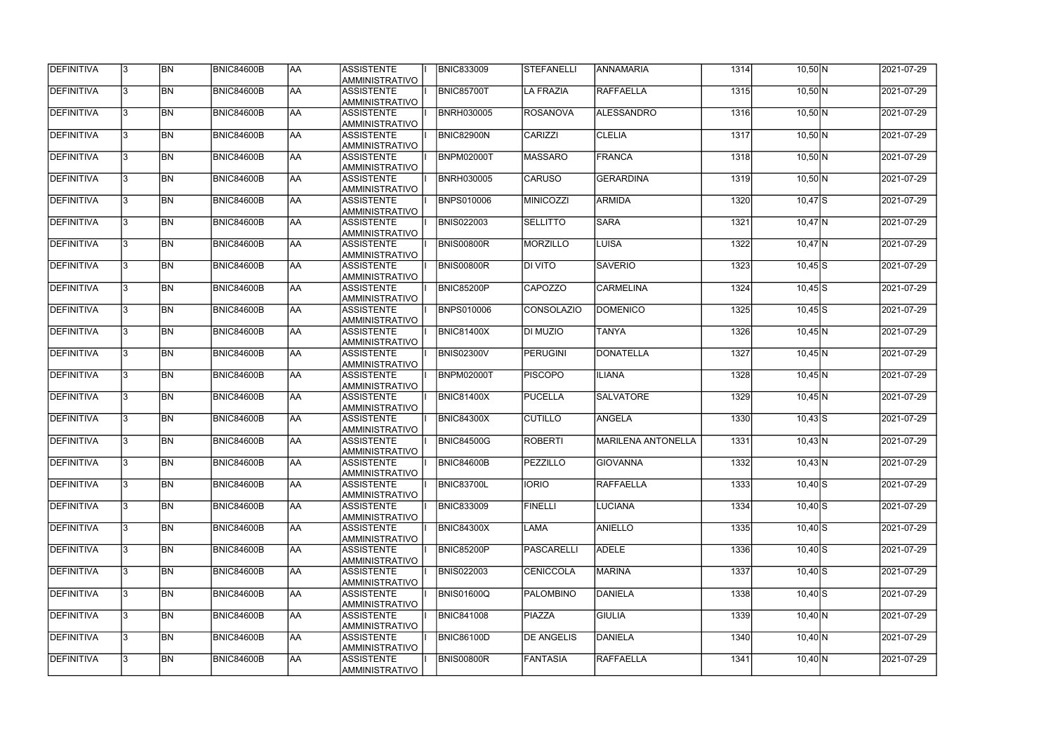| <b>DEFINITIVA</b> | 13.          | <b>BN</b> | <b>BNIC84600B</b> | <b>AA</b> | <b>ASSISTENTE</b><br>AMMINISTRATIVO        | <b>BNIC833009</b> | STEFANELLI        | <b>ANNAMARIA</b>          | 1314 | $10,50$ N   | 2021-07-29           |
|-------------------|--------------|-----------|-------------------|-----------|--------------------------------------------|-------------------|-------------------|---------------------------|------|-------------|----------------------|
| DEFINITIVA        | 3            | <b>BN</b> | BNIC84600B        | <b>AA</b> | <b>ASSISTENTE</b><br>AMMINISTRATIVO        | <b>BNIC85700T</b> | LA FRAZIA         | <b>RAFFAELLA</b>          | 1315 | $10,50$ N   | 2021-07-29           |
| DEFINITIVA        | 3            | <b>BN</b> | BNIC84600B        | <b>AA</b> | <b>ASSISTENTE</b><br>AMMINISTRATIVO        | BNRH030005        | <b>ROSANOVA</b>   | <b>ALESSANDRO</b>         | 1316 | $10,50$ N   | 2021-07-29           |
| DEFINITIVA        |              | <b>BN</b> | <b>BNIC84600B</b> | AA        | <b>ASSISTENTE</b><br>AMMINISTRATIVO        | <b>BNIC82900N</b> | <b>CARIZZI</b>    | <b>CLELIA</b>             | 1317 | $10,50$ N   | 2021-07-29           |
| DEFINITIVA        |              | <b>BN</b> | BNIC84600B        | <b>AA</b> | <b>ASSISTENTE</b><br>AMMINISTRATIVO        | <b>BNPM02000T</b> | <b>MASSARO</b>    | <b>FRANCA</b>             | 1318 | $10,50$ N   | $\sqrt{2021-07}$ -29 |
| <b>DEFINITIVA</b> |              | <b>BN</b> | BNIC84600B        | AA        | <b>ASSISTENTE</b><br>AMMINISTRATIVO        | BNRH030005        | CARUSO            | <b>GERARDINA</b>          | 1319 | $10,50$ N   | 2021-07-29           |
| <b>DEFINITIVA</b> |              | <b>BN</b> | BNIC84600B        | <b>AA</b> | <b>ASSISTENTE</b><br>AMMINISTRATIVO        | BNPS010006        | <b>MINICOZZI</b>  | <b>ARMIDA</b>             | 1320 | $10,47$ S   | 2021-07-29           |
| DEFINITIVA        |              | <b>BN</b> | <b>BNIC84600B</b> | <b>AA</b> | <b>ASSISTENTE</b><br><b>AMMINISTRATIVO</b> | <b>BNIS022003</b> | <b>SELLITTO</b>   | <b>SARA</b>               | 1321 | $10,47$ N   | 2021-07-29           |
| DEFINITIVA        |              | <b>BN</b> | BNIC84600B        | <b>AA</b> | <b>ASSISTENTE</b><br>AMMINISTRATIVO        | <b>BNIS00800R</b> | <b>MORZILLO</b>   | LUISA                     | 1322 | $10,47$ N   | 2021-07-29           |
| DEFINITIVA        |              | <b>BN</b> | <b>BNIC84600B</b> | <b>AA</b> | <b>ASSISTENTE</b><br>AMMINISTRATIVO        | <b>BNIS00800R</b> | DI VITO           | <b>SAVERIO</b>            | 1323 | $10,45$ S   | 2021-07-29           |
| DEFINITIVA        |              | <b>BN</b> | <b>BNIC84600B</b> | <b>AA</b> | <b>ASSISTENTE</b><br>AMMINISTRATIVO        | <b>BNIC85200P</b> | <b>CAPOZZO</b>    | <b>CARMELINA</b>          | 1324 | $10,45$ S   | 2021-07-29           |
| DEFINITIVA        |              | <b>BN</b> | <b>BNIC84600B</b> | <b>AA</b> | <b>ASSISTENTE</b><br>AMMINISTRATIVO        | BNPS010006        | ICONSOLAZIO       | <b>DOMENICO</b>           | 1325 | $10,45$ S   | 2021-07-29           |
| DEFINITIVA        |              | <b>BN</b> | BNIC84600B        | <b>AA</b> | <b>ASSISTENTE</b><br>AMMINISTRATIVO        | <b>BNIC81400X</b> | <b>DI MUZIO</b>   | <b>TANYA</b>              | 1326 | $10,45$ N   | 2021-07-29           |
| DEFINITIVA        |              | <b>BN</b> | <b>BNIC84600B</b> | AA        | <b>ASSISTENTE</b><br>AMMINISTRATIVO        | <b>BNIS02300V</b> | PERUGINI          | <b>DONATELLA</b>          | 1327 | $10,45$ N   | 2021-07-29           |
| DEFINITIVA        |              | <b>BN</b> | <b>BNIC84600B</b> | <b>AA</b> | <b>ASSISTENTE</b><br>AMMINISTRATIVO        | <b>BNPM02000T</b> | <b>PISCOPO</b>    | LIANA                     | 1328 | $10,45$ N   | 2021-07-29           |
| DEFINITIVA        |              | <b>BN</b> | <b>BNIC84600B</b> | <b>AA</b> | <b>ASSISTENTE</b><br>AMMINISTRATIVO        | <b>BNIC81400X</b> | PUCELLA           | <b>SALVATORE</b>          | 1329 | $10,45$ N   | 2021-07-29           |
| DEFINITIVA        |              | <b>BN</b> | BNIC84600B        | <b>AA</b> | <b>ASSISTENTE</b><br>AMMINISTRATIVO        | <b>BNIC84300X</b> | <b>CUTILLO</b>    | ANGELA                    | 1330 | $10,43$ $S$ | 2021-07-29           |
| DEFINITIVA        |              | <b>BN</b> | BNIC84600B        | <b>AA</b> | <b>ASSISTENTE</b><br>AMMINISTRATIVO        | <b>BNIC84500G</b> | <b>ROBERTI</b>    | <b>MARILENA ANTONELLA</b> | 1331 | $10,43$ N   | 2021-07-29           |
| <b>DEFINITIVA</b> | 13           | BN        | <b>BNIC84600B</b> | AA        | <b>ASSISTENTE</b><br>AMMINISTRATIVO        | <b>BNIC84600B</b> | PEZZILLO          | <b>GIOVANNA</b>           | 1332 | $10,43$ N   | 2021-07-29           |
| DEFINITIVA        |              | <b>BN</b> | BNIC84600B        | <b>AA</b> | ASSISTENTE<br>AMMINISTRATIVO               | <b>BNIC83700L</b> | <b>IORIO</b>      | <b>RAFFAELLA</b>          | 1333 | $10,40$ S   | 2021-07-29           |
| DEFINITIVA        | $\mathbf{3}$ | <b>BN</b> | <b>BNIC84600B</b> | <b>AA</b> | ASSISTENTE<br>AMMINISTRATIVO               | <b>BNIC833009</b> | FINELLI           | LUCIANA                   | 1334 | $10,40$ S   | 2021-07-29           |
| <b>DEFINITIVA</b> | 3            | <b>BN</b> | BNIC84600B        | <b>AA</b> | <b>ASSISTENTE</b><br>AMMINISTRATIVO        | <b>BNIC84300X</b> | LAMA              | <b>ANIELLO</b>            | 1335 | $10,40$ S   | 2021-07-29           |
| DEFINITIVA        |              | <b>BN</b> | BNIC84600B        | AA        | <b>ASSISTENTE</b><br>AMMINISTRATIVO        | <b>BNIC85200P</b> | PASCARELLI        | <b>ADELE</b>              | 1336 | $10,40$ S   | 2021-07-29           |
| DEFINITIVA        |              | <b>BN</b> | BNIC84600B        | <b>AA</b> | <b>ASSISTENTE</b><br>AMMINISTRATIVO        | <b>BNIS022003</b> | CENICCOLA         | <b>MARINA</b>             | 1337 | $10,40$ S   | 2021-07-29           |
| DEFINITIVA        |              | <b>BN</b> | BNIC84600B        | AA        | <b>ASSISTENTE</b><br>AMMINISTRATIVO        | <b>BNIS01600Q</b> | <b>PALOMBINO</b>  | <b>DANIELA</b>            | 1338 | $10,40$ S   | 2021-07-29           |
| DEFINITIVA        |              | <b>BN</b> | BNIC84600B        | <b>AA</b> | ASSISTENTE<br>AMMINISTRATIVO               | <b>BNIC841008</b> | <b>PIAZZA</b>     | <b>GIULIA</b>             | 1339 | $10,40$ N   | 2021-07-29           |
| DEFINITIVA        |              | <b>BN</b> | BNIC84600B        | <b>AA</b> | ASSISTENTE<br>AMMINISTRATIVO               | <b>BNIC86100D</b> | <b>DE ANGELIS</b> | <b>DANIELA</b>            | 1340 | $10,40$ N   | 2021-07-29           |
| DEFINITIVA        |              | BN        | BNIC84600B        | AA        | <b>ASSISTENTE</b><br>AMMINISTRATIVO        | <b>BNIS00800R</b> | <b>FANTASIA</b>   | <b>RAFFAELLA</b>          | 1341 | $10,40$ N   | 2021-07-29           |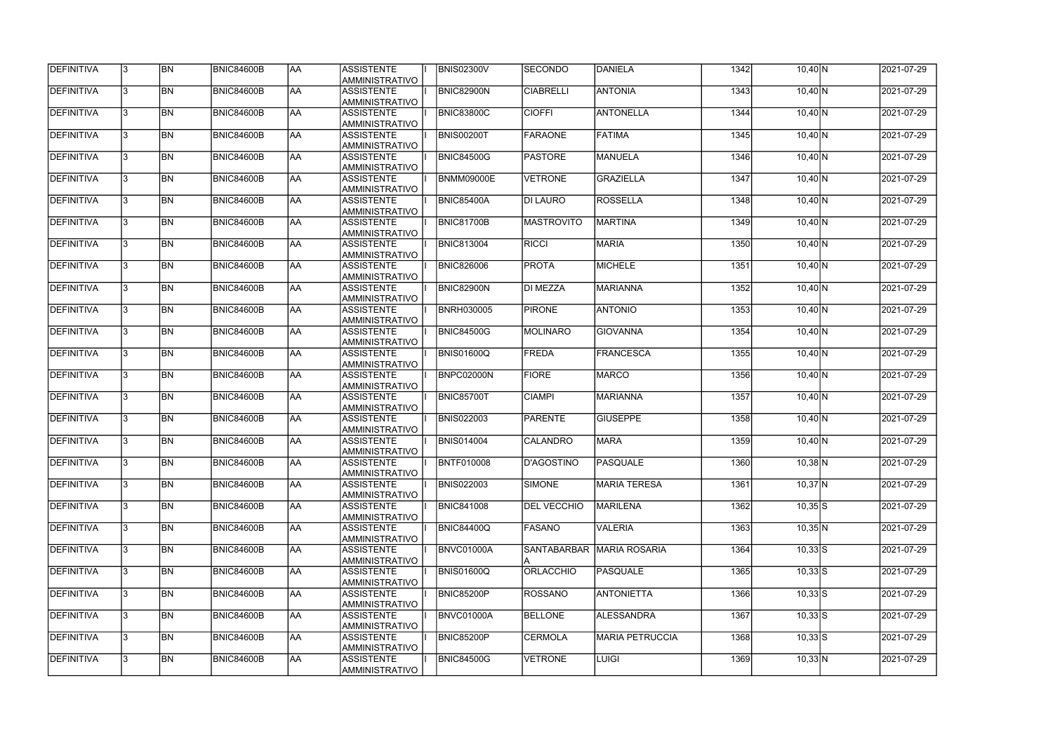| DEFINITIVA        | 13.          | <b>BN</b> | <b>BNIC84600B</b> | laa        | ASSISTENTE<br><b>AMMINISTRATIVO</b>        | <b>BNIS02300V</b> | <b>SECONDO</b>     | DANIELA                   | 1342 | $10,40$ N | 2021-07-29 |
|-------------------|--------------|-----------|-------------------|------------|--------------------------------------------|-------------------|--------------------|---------------------------|------|-----------|------------|
| DEFINITIVA        | 3            | <b>BN</b> | <b>BNIC84600B</b> | <b>AA</b>  | <b>ASSISTENTE</b><br>AMMINISTRATIVO        | <b>BNIC82900N</b> | <b>CIABRELLI</b>   | <b>ANTONIA</b>            | 1343 | $10,40$ N | 2021-07-29 |
| DEFINITIVA        | 3            | <b>BN</b> | <b>BNIC84600B</b> | <b>AA</b>  | <b>ASSISTENTE</b><br>AMMINISTRATIVO        | <b>BNIC83800C</b> | <b>CIOFFI</b>      | ANTONELLA                 | 1344 | $10,40$ N | 2021-07-29 |
| DEFINITIVA        |              | <b>BN</b> | <b>BNIC84600B</b> | AA         | <b>ASSISTENTE</b><br>AMMINISTRATIVO        | <b>BNIS00200T</b> | FARAONE            | FATIMA                    | 1345 | $10,40$ N | 2021-07-29 |
| <b>DEFINITIVA</b> | 3            | <b>BN</b> | BNIC84600B        | <b>AA</b>  | <b>ASSISTENTE</b><br>AMMINISTRATIVO        | <b>BNIC84500G</b> | <b>PASTORE</b>     | <b>MANUELA</b>            | 1346 | $10,40$ N | 2021-07-29 |
| DEFINITIVA        |              | <b>BN</b> | BNIC84600B        | AA         | <b>ASSISTENTE</b><br><b>AMMINISTRATIVO</b> | <b>BNMM09000E</b> | <b>VETRONE</b>     | <b>GRAZIELLA</b>          | 1347 | $10,40$ N | 2021-07-29 |
| DEFINITIVA        |              | <b>BN</b> | <b>BNIC84600B</b> | <b>AA</b>  | <b>ASSISTENTE</b><br><b>AMMINISTRATIVO</b> | <b>BNIC85400A</b> | DI LAURO           | <b>ROSSELLA</b>           | 1348 | $10,40$ N | 2021-07-29 |
| DEFINITIVA        |              | <b>BN</b> | <b>BNIC84600B</b> | AA         | <b>ASSISTENTE</b><br>AMMINISTRATIVO        | <b>BNIC81700B</b> | <b>MASTROVITO</b>  | <b>MARTINA</b>            | 1349 | $10,40$ N | 2021-07-29 |
| DEFINITIVA        |              | <b>BN</b> | <b>BNIC84600B</b> | <b>AA</b>  | <b>ASSISTENTE</b><br>AMMINISTRATIVO        | <b>BNIC813004</b> | <b>RICCI</b>       | <b>MARIA</b>              | 1350 | $10,40$ N | 2021-07-29 |
| DEFINITIVA        |              | <b>BN</b> | <b>BNIC84600B</b> | laa        | <b>ASSISTENTE</b><br>AMMINISTRATIVO        | <b>BNIC826006</b> | <b>PROTA</b>       | <b>MICHELE</b>            | 1351 | $10,40$ N | 2021-07-29 |
| DEFINITIVA        | 3            | <b>BN</b> | <b>BNIC84600B</b> | <b>AA</b>  | <b>ASSISTENTE</b><br>AMMINISTRATIVO        | <b>BNIC82900N</b> | <b>DI MEZZA</b>    | <b>MARIANNA</b>           | 1352 | $10,40$ N | 2021-07-29 |
| DEFINITIVA        |              | <b>BN</b> | BNIC84600B        | AA         | <b>ASSISTENTE</b><br>AMMINISTRATIVO        | <b>BNRH030005</b> | PIRONE             | <b>ANTONIO</b>            | 1353 | $10,40$ N | 2021-07-29 |
| DEFINITIVA        |              | <b>BN</b> | <b>BNIC84600B</b> | AA         | <b>ASSISTENTE</b><br>AMMINISTRATIVO        | <b>BNIC84500G</b> | MOLINARO           | <b>GIOVANNA</b>           | 1354 | $10,40$ N | 2021-07-29 |
| DEFINITIVA        |              | <b>BN</b> | BNIC84600B        | <b>AA</b>  | <b>ASSISTENTE</b><br>AMMINISTRATIVO        | <b>BNIS01600Q</b> | FREDA              | <b>FRANCESCA</b>          | 1355 | $10,40$ N | 2021-07-29 |
| DEFINITIVA        |              | <b>BN</b> | <b>BNIC84600B</b> | <b>AA</b>  | <b>ASSISTENTE</b><br><b>AMMINISTRATIVO</b> | <b>BNPC02000N</b> | <b>FIORE</b>       | <b>MARCO</b>              | 1356 | $10,40$ N | 2021-07-29 |
| DEFINITIVA        |              | <b>BN</b> | BNIC84600B        | <b>AA</b>  | <b>ASSISTENTE</b><br><b>AMMINISTRATIVO</b> | <b>BNIC85700T</b> | <b>CIAMPI</b>      | <b>MARIANNA</b>           | 1357 | $10,40$ N | 2021-07-29 |
| DEFINITIVA        |              | <b>BN</b> | <b>BNIC84600B</b> | AA         | <b>ASSISTENTE</b><br>AMMINISTRATIVO        | <b>BNIS022003</b> | <b>PARENTE</b>     | <b>GIUSEPPE</b>           | 1358 | $10,40$ N | 2021-07-29 |
| DEFINITIVA        |              | <b>BN</b> | <b>BNIC84600B</b> | <b>AA</b>  | <b>ASSISTENTE</b><br>AMMINISTRATIVO        | <b>BNIS014004</b> | <b>CALANDRO</b>    | <b>MARA</b>               | 1359 | $10,40$ N | 2021-07-29 |
| DEFINITIVA        | 13           | BN        | <b>BNIC84600B</b> | <b>JAA</b> | <b>ASSISTENTE</b><br>AMMINISTRATIVO        | <b>BNTF010008</b> | D'AGOSTINO         | PASQUALE                  | 1360 | $10,38$ N | 2021-07-29 |
| <b>DEFINITIVA</b> |              | <b>BN</b> | BNIC84600B        | <b>AA</b>  | ASSISTENTE<br>AMMINISTRATIVO               | <b>BNIS022003</b> | SIMONE             | <b>MARIA TERESA</b>       | 1361 | $10,37$ N | 2021-07-29 |
| <b>DEFINITIVA</b> | $\mathbf{3}$ | <b>BN</b> | BNIC84600B        | AA         | <b>ASSISTENTE</b><br>AMMINISTRATIVO        | <b>BNIC841008</b> | <b>DEL VECCHIO</b> | <b>MARILENA</b>           | 1362 | $10,35$ S | 2021-07-29 |
| <b>DEFINITIVA</b> |              | <b>BN</b> | BNIC84600B        | <b>AA</b>  | <b>ASSISTENTE</b><br>AMMINISTRATIVO        | <b>BNIC84400Q</b> | <b>FASANO</b>      | <b>VALERIA</b>            | 1363 | 10,35 N   | 2021-07-29 |
| <b>DEFINITIVA</b> |              | BN        | BNIC84600B        | <b>AA</b>  | <b>ASSISTENTE</b><br>AMMINISTRATIVO        | BNVC01000A        |                    | SANTABARBAR MARIA ROSARIA | 1364 | $10,33$ S | 2021-07-29 |
| DEFINITIVA        |              | <b>BN</b> | BNIC84600B        | <b>AA</b>  | <b>ASSISTENTE</b><br>AMMINISTRATIVO        | <b>BNIS01600Q</b> | ORLACCHIO          | PASQUALE                  | 1365 | $10,33$ S | 2021-07-29 |
| DEFINITIVA        |              | <b>BN</b> | BNIC84600B        | <b>AA</b>  | ASSISTENTE<br>AMMINISTRATIVO               | <b>BNIC85200P</b> | ROSSANO            | <b>ANTONIETTA</b>         | 1366 | $10,33$ S | 2021-07-29 |
| DEFINITIVA        |              | <b>BN</b> | BNIC84600B        | <b>AA</b>  | ASSISTENTE<br>AMMINISTRATIVO               | BNVC01000A        | <b>BELLONE</b>     | ALESSANDRA                | 1367 | $10,33$ S | 2021-07-29 |
| DEFINITIVA        |              | <b>BN</b> | BNIC84600B        | <b>AA</b>  | ASSISTENTE<br>AMMINISTRATIVO               | <b>BNIC85200P</b> | <b>CERMOLA</b>     | <b>MARIA PETRUCCIA</b>    | 1368 | $10,33$ S | 2021-07-29 |
| <b>DEFINITIVA</b> |              | <b>BN</b> | BNIC84600B        | <b>AA</b>  | <b>ASSISTENTE</b><br>AMMINISTRATIVO        | <b>BNIC84500G</b> | <b>VETRONE</b>     | <b>LUIGI</b>              | 1369 | $10,33$ N | 2021-07-29 |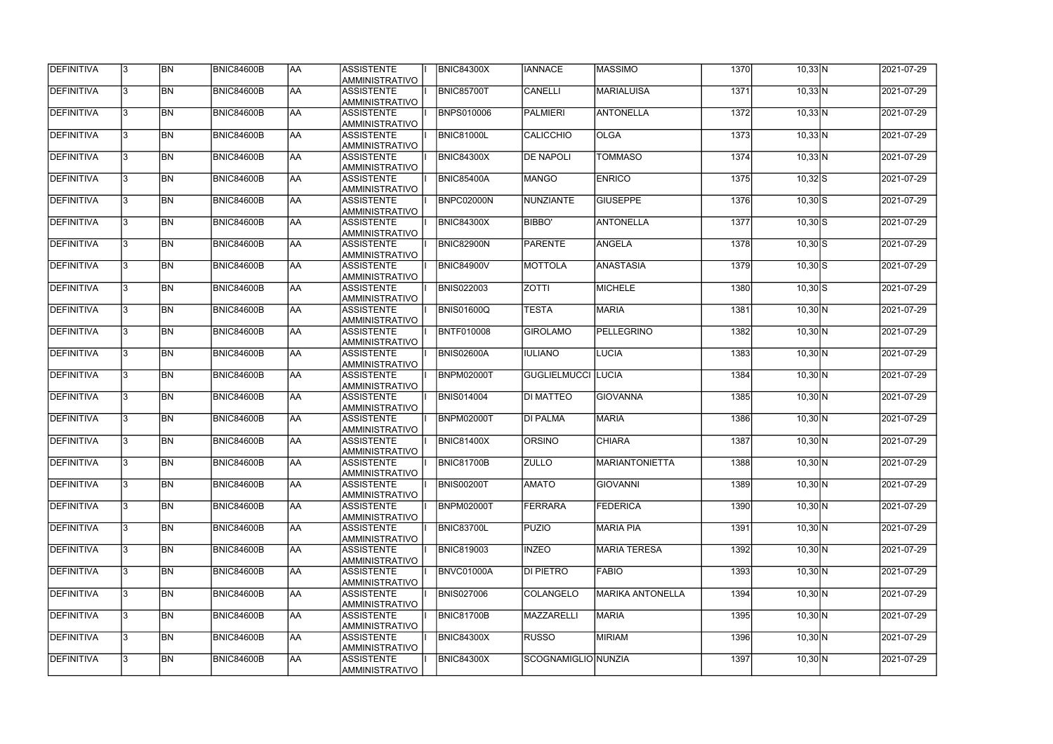| <b>DEFINITIVA</b> | 13. | <b>BN</b> | <b>BNIC84600B</b> | <b>AA</b> | <b>ASSISTENTE</b><br>AMMINISTRATIVO        | <b>BNIC84300X</b> | <b>IANNACE</b>      | <b>MASSIMO</b>          | 1370 | 10,33 N      | 2021-07-29 |
|-------------------|-----|-----------|-------------------|-----------|--------------------------------------------|-------------------|---------------------|-------------------------|------|--------------|------------|
| DEFINITIVA        | 13. | <b>BN</b> | <b>BNIC84600B</b> | laa       | <b>ASSISTENTE</b><br>AMMINISTRATIVO        | <b>BNIC85700T</b> | <b>CANELLI</b>      | <b>MARIALUISA</b>       | 1371 | 10,33 N      | 2021-07-29 |
| DEFINITIVA        | 13. | <b>BN</b> | <b>BNIC84600B</b> | laa       | <b>ASSISTENTE</b><br>AMMINISTRATIVO        | <b>BNPS010006</b> | PALMIERI            | <b>ANTONELLA</b>        | 1372 | $10,33$ N    | 2021-07-29 |
| DEFINITIVA        | l3. | <b>BN</b> | <b>BNIC84600B</b> | AA        | <b>ASSISTENTE</b><br>AMMINISTRATIVO        | BNIC81000L        | <b>CALICCHIO</b>    | <b>OLGA</b>             | 1373 | $10,33$ N    | 2021-07-29 |
| DEFINITIVA        | l3. | <b>BN</b> | <b>BNIC84600B</b> | <b>AA</b> | <b>ASSISTENTE</b><br>AMMINISTRATIVO        | <b>BNIC84300X</b> | <b>DE NAPOLI</b>    | <b>TOMMASO</b>          | 1374 | 10,33 N      | 2021-07-29 |
| DEFINITIVA        | l3. | <b>BN</b> | BNIC84600B        | laa       | <b>ASSISTENTE</b><br>AMMINISTRATIVO        | <b>BNIC85400A</b> | <b>MANGO</b>        | <b>ENRICO</b>           | 1375 | $10,32$ S    | 2021-07-29 |
| <b>DEFINITIVA</b> | 3   | <b>BN</b> | <b>BNIC84600B</b> | laa       | <b>ASSISTENTE</b><br>AMMINISTRATIVO        | BNPC02000N        | NUNZIANTE           | <b>GIUSEPPE</b>         | 1376 | $10,30$ S    | 2021-07-29 |
| DEFINITIVA        |     | <b>BN</b> | <b>BNIC84600B</b> | laa       | <b>ASSISTENTE</b><br><b>AMMINISTRATIVO</b> | <b>BNIC84300X</b> | <b>BIBBO'</b>       | <b>ANTONELLA</b>        | 1377 | $10,30$ S    | 2021-07-29 |
| DEFINITIVA        |     | <b>BN</b> | <b>BNIC84600B</b> | laa       | <b>ASSISTENTE</b><br>AMMINISTRATIVO        | BNIC82900N        | <b>PARENTE</b>      | <b>ANGELA</b>           | 1378 | $10,30$ S    | 2021-07-29 |
| DEFINITIVA        |     | <b>BN</b> | <b>BNIC84600B</b> | laa       | <b>ASSISTENTE</b><br>AMMINISTRATIVO        | <b>BNIC84900V</b> | <b>MOTTOLA</b>      | <b>ANASTASIA</b>        | 1379 | $10,30$ S    | 2021-07-29 |
| DEFINITIVA        | l3. | <b>BN</b> | <b>BNIC84600B</b> | AA        | <b>ASSISTENTE</b><br>AMMINISTRATIVO        | <b>BNIS022003</b> | <b>ZOTTI</b>        | <b>MICHELE</b>          | 1380 | $10,30$ S    | 2021-07-29 |
| DEFINITIVA        | l3. | <b>BN</b> | <b>BNIC84600B</b> | AA        | <b>ASSISTENTE</b><br>AMMINISTRATIVO        | <b>BNIS01600Q</b> | <b>TESTA</b>        | <b>MARIA</b>            | 1381 | $10,30$ N    | 2021-07-29 |
| DEFINITIVA        | 3   | <b>BN</b> | BNIC84600B        | laa       | <b>ASSISTENTE</b><br>AMMINISTRATIVO        | <b>BNTF010008</b> | <b>GIROLAMO</b>     | <b>PELLEGRINO</b>       | 1382 | $10,30$ N    | 2021-07-29 |
| DEFINITIVA        |     | <b>BN</b> | <b>BNIC84600B</b> | AA        | <b>ASSISTENTE</b><br>AMMINISTRATIVO        | <b>BNIS02600A</b> | <b>IULIANO</b>      | LUCIA                   | 1383 | $10,30$ N    | 2021-07-29 |
| DEFINITIVA        | 3   | <b>BN</b> | <b>BNIC84600B</b> | laa       | <b>ASSISTENTE</b><br>AMMINISTRATIVO        | <b>BNPM02000T</b> | <b>GUGLIELMUCCI</b> | <b>LUCIA</b>            | 1384 | 10,30 N      | 2021-07-29 |
| DEFINITIVA        | l3. | <b>BN</b> | <b>BNIC84600B</b> | laa       | <b>ASSISTENTE</b><br>AMMINISTRATIVO        | <b>BNIS014004</b> | DI MATTEO           | <b>GIOVANNA</b>         | 1385 | $10,30$ N    | 2021-07-29 |
| <b>DEFINITIVA</b> |     | <b>BN</b> | <b>BNIC84600B</b> | laa       | <b>ASSISTENTE</b><br>AMMINISTRATIVO        | BNPM02000T        | <b>DI PALMA</b>     | <b>MARIA</b>            | 1386 | $10,30$ N    | 2021-07-29 |
| DEFINITIVA        |     | <b>BN</b> | <b>BNIC84600B</b> | AA        | <b>ASSISTENTE</b><br>AMMINISTRATIVO        | <b>BNIC81400X</b> | <b>ORSINO</b>       | <b>CHIARA</b>           | 1387 | 10,30 N      | 2021-07-29 |
| <b>DEFINITIVA</b> | 13  | <b>BN</b> | <b>BNIC84600B</b> | AA        | <b>ASSISTENTE</b><br>AMMINISTRATIVO        | <b>BNIC81700B</b> | <b>ZULLO</b>        | <b>MARIANTONIETTA</b>   | 1388 | $10,30 \, N$ | 2021-07-29 |
| DEFINITIVA        | 13. | <b>BN</b> | <b>BNIC84600B</b> | AA        | <b>ASSISTENTE</b><br>AMMINISTRATIVO        | <b>BNIS00200T</b> | <b>AMATO</b>        | <b>GIOVANNI</b>         | 1389 | $10,30$ N    | 2021-07-29 |
| DEFINITIVA        | I3. | <b>BN</b> | <b>BNIC84600B</b> | AA        | <b>ASSISTENTE</b><br>AMMINISTRATIVO        | <b>BNPM02000T</b> | FERRARA             | <b>FEDERICA</b>         | 1390 | $10,30$ N    | 2021-07-29 |
| DEFINITIVA        | l3. | <b>BN</b> | <b>BNIC84600B</b> | AA        | <b>ASSISTENTE</b><br>AMMINISTRATIVO        | BNIC83700L        | <b>PUZIO</b>        | <b>MARIA PIA</b>        | 1391 | $10,30$ N    | 2021-07-29 |
| DEFINITIVA        | 3   | <b>BN</b> | <b>BNIC84600B</b> | AA        | <b>ASSISTENTE</b><br>AMMINISTRATIVO        | <b>BNIC819003</b> | <b>INZEO</b>        | <b>MARIA TERESA</b>     | 1392 | $10,30$ N    | 2021-07-29 |
| DEFINITIVA        | l3. | <b>BN</b> | <b>BNIC84600B</b> | AA        | <b>ASSISTENTE</b><br>AMMINISTRATIVO        | BNVC01000A        | <b>DI PIETRO</b>    | <b>FABIO</b>            | 1393 | $10,30$ N    | 2021-07-29 |
| DEFINITIVA        |     | <b>BN</b> | <b>BNIC84600B</b> | AA        | <b>ASSISTENTE</b><br>AMMINISTRATIVO        | <b>BNIS027006</b> | <b>COLANGELO</b>    | <b>MARIKA ANTONELLA</b> | 1394 | $10,30$ N    | 2021-07-29 |
| DEFINITIVA        | I3. | <b>BN</b> | <b>BNIC84600B</b> | laa       | <b>ASSISTENTE</b><br>AMMINISTRATIVO        | <b>BNIC81700B</b> | <b>MAZZARELLI</b>   | <b>MARIA</b>            | 1395 | 10,30 N      | 2021-07-29 |
| DEFINITIVA        | 13. | <b>BN</b> | <b>BNIC84600B</b> | AA        | <b>ASSISTENTE</b><br>AMMINISTRATIVO        | <b>BNIC84300X</b> | <b>RUSSO</b>        | <b>MIRIAM</b>           | 1396 | $10,30$ N    | 2021-07-29 |
| DEFINITIVA        |     | <b>BN</b> | <b>BNIC84600B</b> | AA        | <b>ASSISTENTE</b><br>AMMINISTRATIVO        | <b>BNIC84300X</b> | SCOGNAMIGLIO NUNZIA |                         | 1397 | $10,30 \, N$ | 2021-07-29 |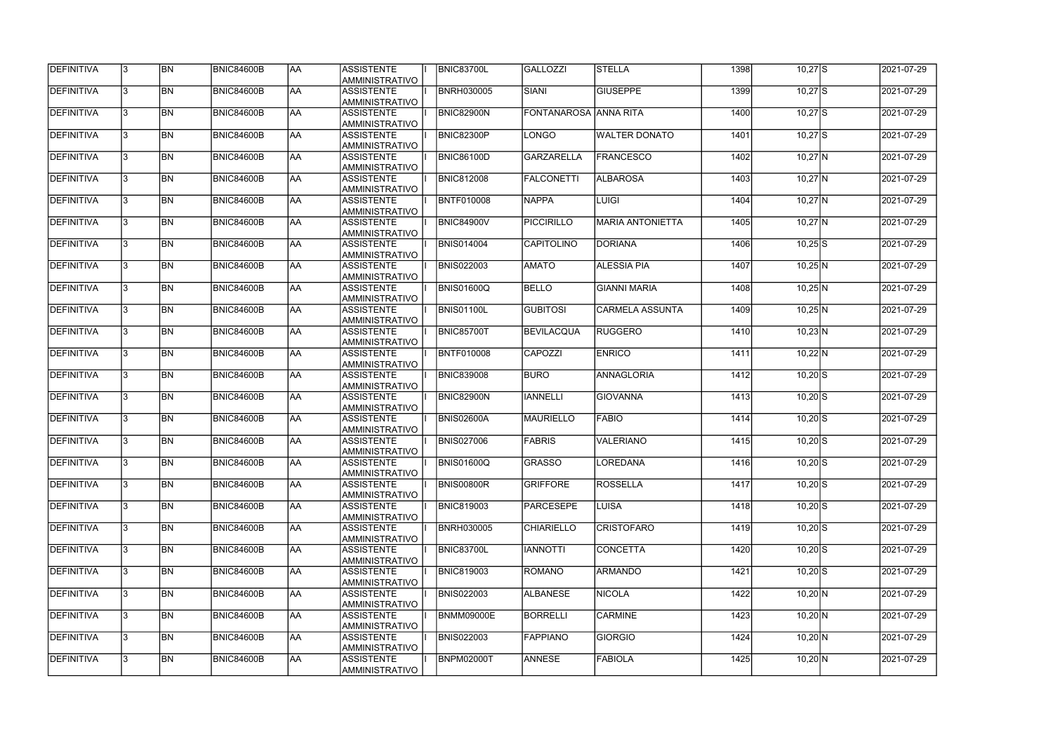| <b>DEFINITIVA</b> | <b>BN</b>      | BNIC84600B        | AA  | ASSISTENTE<br>AMMINISTRATIVO        | <b>BNIC83700L</b> | GALLOZZI              | <b>STELLA</b>           | 1398 | $10,27$ S    | 2021-07-29 |
|-------------------|----------------|-------------------|-----|-------------------------------------|-------------------|-----------------------|-------------------------|------|--------------|------------|
| DEFINITIVA        | <b>BN</b>      | <b>BNIC84600B</b> | AA  | <b>ASSISTENTE</b><br>AMMINISTRATIVO | <b>BNRH030005</b> | SIANI                 | <b>GIUSEPPE</b>         | 1399 | $10,27$ S    | 2021-07-29 |
| <b>DEFINITIVA</b> | <b>BN</b>      | <b>BNIC84600B</b> | AA  | <b>ASSISTENTE</b><br>AMMINISTRATIVO | BNIC82900N        | FONTANAROSA ANNA RITA |                         | 1400 | $10,27$ S    | 2021-07-29 |
| DEFINITIVA        | <b>BN</b>      | BNIC84600B        | AA  | <b>ASSISTENTE</b><br>AMMINISTRATIVO | <b>BNIC82300P</b> | <b>LONGO</b>          | <b>WALTER DONATO</b>    | 1401 | $10,27$ S    | 2021-07-29 |
| DEFINITIVA        | <b>BN</b>      | BNIC84600B        | AA  | ASSISTENTE<br>AMMINISTRATIVO        | <b>BNIC86100D</b> | <b>GARZARELLA</b>     | <b>FRANCESCO</b>        | 1402 | $10,27$ N    | 2021-07-29 |
| <b>DEFINITIVA</b> | <b>BN</b>      | BNIC84600B        | AA  | <b>ASSISTENTE</b><br>AMMINISTRATIVO | <b>BNIC812008</b> | <b>FALCONETTI</b>     | <b>ALBAROSA</b>         | 1403 | $10,27$ N    | 2021-07-29 |
| DEFINITIVA        | <b>BN</b>      | <b>BNIC84600B</b> | AA  | <b>ASSISTENTE</b><br>AMMINISTRATIVO | <b>BNTF010008</b> | <b>NAPPA</b>          | LUIGI                   | 1404 | $10,27$ N    | 2021-07-29 |
| DEFINITIVA        | <b>BN</b>      | <b>BNIC84600B</b> | AA  | <b>ASSISTENTE</b><br>AMMINISTRATIVO | <b>BNIC84900V</b> | PICCIRILLO            | <b>MARIA ANTONIETTA</b> | 1405 | $10,27$ N    | 2021-07-29 |
| <b>DEFINITIVA</b> | <b>BN</b>      | <b>BNIC84600B</b> | AA  | <b>ASSISTENTE</b><br>AMMINISTRATIVO | <b>BNIS014004</b> | <b>CAPITOLINO</b>     | <b>DORIANA</b>          | 1406 | $10,25$ S    | 2021-07-29 |
| DEFINITIVA        | <b>BN</b>      | <b>BNIC84600B</b> | AA  | <b>ASSISTENTE</b><br>AMMINISTRATIVO | <b>BNIS022003</b> | AMATO                 | <b>ALESSIA PIA</b>      | 1407 | $10,25$ N    | 2021-07-29 |
| <b>DEFINITIVA</b> | <b>BN</b>      | BNIC84600B        | AA  | <b>ASSISTENTE</b><br>AMMINISTRATIVO | <b>BNIS01600Q</b> | <b>BELLO</b>          | <b>GIANNI MARIA</b>     | 1408 | $10,25$ N    | 2021-07-29 |
| DEFINITIVA        | <b>BN</b>      | BNIC84600B        | AA  | <b>ASSISTENTE</b><br>AMMINISTRATIVO | <b>BNIS01100L</b> | GUBITOSI              | <b>CARMELA ASSUNTA</b>  | 1409 | $10,25$ N    | 2021-07-29 |
| <b>DEFINITIVA</b> | <b>BN</b>      | BNIC84600B        | AA  | ASSISTENTE<br>AMMINISTRATIVO        | <b>BNIC85700T</b> | <b>BEVILACQUA</b>     | RUGGERO                 | 1410 | $10,23$ N    | 2021-07-29 |
| DEFINITIVA        | <b>BN</b>      | <b>BNIC84600B</b> | AA  | <b>ASSISTENTE</b><br>AMMINISTRATIVO | <b>BNTF010008</b> | <b>CAPOZZI</b>        | <b>ENRICO</b>           | 1411 | $10,22$ N    | 2021-07-29 |
| <b>DEFINITIVA</b> | <b>BN</b>      | BNIC84600B        | AA  | <b>ASSISTENTE</b><br>AMMINISTRATIVO | <b>BNIC839008</b> | <b>BURO</b>           | <b>ANNAGLORIA</b>       | 1412 | $10,20$ S    | 2021-07-29 |
| <b>DEFINITIVA</b> | <b>BN</b>      | <b>BNIC84600B</b> | AA  | <b>ASSISTENTE</b><br>AMMINISTRATIVO | <b>BNIC82900N</b> | <b>IANNELLI</b>       | <b>GIOVANNA</b>         | 1413 | $10,20$ S    | 2021-07-29 |
| <b>DEFINITIVA</b> | <b>BN</b>      | <b>BNIC84600B</b> | AA  | <b>ASSISTENTE</b><br>AMMINISTRATIVO | <b>BNIS02600A</b> | IMAURIELLO            | <b>FABIO</b>            | 1414 | $10,20$ S    | 2021-07-29 |
| DEFINITIVA        | <b>BN</b>      | BNIC84600B        | AA  | <b>ASSISTENTE</b><br>AMMINISTRATIVO | <b>BNIS027006</b> | <b>FABRIS</b>         | <b>VALERIANO</b>        | 1415 | $10,20$ S    | 2021-07-29 |
| DEFINITIVA        | <b>BN</b>      | <b>BNIC84600B</b> | lAA | ASSISTENTE <br> AMMINISTRATIVO      | <b>BNIS01600Q</b> | <b>GRASSO</b>         | LOREDANA                | 1416 | $10,20$ S    | 2021-07-29 |
| <b>DEFINITIVA</b> | BN <sub></sub> | <b>BNIC84600B</b> | AA  | ASSISTENTE<br>AMMINISTRATIVO        | <b>BNIS00800R</b> | <b>GRIFFORE</b>       | <b>ROSSELLA</b>         | 1417 | $10,20$ S    | 2021-07-29 |
| DEFINITIVA        | <b>BN</b>      | <b>BNIC84600B</b> | AA  | ASSISTENTE<br>AMMINISTRATIVO        | <b>BNIC819003</b> | <b>PARCESEPE</b>      | LUISA                   | 1418 | $10,20$ S    | 2021-07-29 |
| DEFINITIVA        | <b>BN</b>      | <b>BNIC84600B</b> | AA  | ASSISTENTE<br>AMMINISTRATIVO        | <b>BNRH030005</b> | CHIARIELLO            | <b>CRISTOFARO</b>       | 1419 | $10,20$ S    | 2021-07-29 |
| <b>DEFINITIVA</b> | <b>BN</b>      | <b>BNIC84600B</b> | AA  | <b>ASSISTENTE</b><br>AMMINISTRATIVO | BNIC83700L        | <b>IANNOTTI</b>       | <b>CONCETTA</b>         | 1420 | $10,20$ S    | 2021-07-29 |
| <b>DEFINITIVA</b> | <b>BN</b>      | <b>BNIC84600B</b> | AA  | <b>ASSISTENTE</b><br>AMMINISTRATIVO | <b>BNIC819003</b> | <b>ROMANO</b>         | <b>ARMANDO</b>          | 1421 | $10,20$ S    | 2021-07-29 |
| DEFINITIVA        | <b>BN</b>      | <b>BNIC84600B</b> | AA  | <b>ASSISTENTE</b><br>AMMINISTRATIVO | <b>BNIS022003</b> | <b>ALBANESE</b>       | <b>NICOLA</b>           | 1422 | $10,20$ N    | 2021-07-29 |
| DEFINITIVA        | <b>BN</b>      | <b>BNIC84600B</b> | AA  | <b>ASSISTENTE</b><br>AMMINISTRATIVO | BNMM09000E        | BORRELLI              | <b>CARMINE</b>          | 1423 | $10,20$ N    | 2021-07-29 |
| <b>DEFINITIVA</b> | <b>BN</b>      | <b>BNIC84600B</b> | AA  | ASSISTENTE<br>AMMINISTRATIVO        | <b>BNIS022003</b> | <b>FAPPIANO</b>       | <b>GIORGIO</b>          | 1424 | $10,20 \, N$ | 2021-07-29 |
| <b>DEFINITIVA</b> | <b>BN</b>      | <b>BNIC84600B</b> | AA  | ASSISTENTE<br>AMMINISTRATIVO        | <b>BNPM02000T</b> | <b>ANNESE</b>         | <b>FABIOLA</b>          | 1425 | $10,20 \, N$ | 2021-07-29 |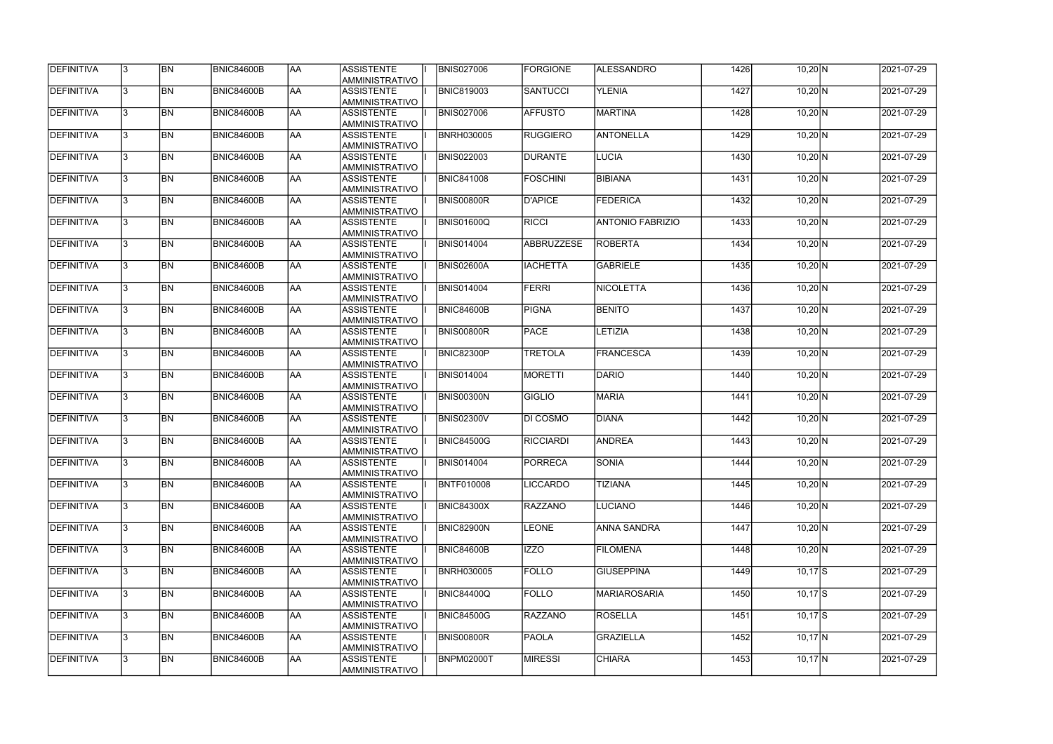| <b>DEFINITIVA</b> | 13. | <b>BN</b> | <b>BNIC84600B</b> | <b>AA</b>  | <b>ASSISTENTE</b><br>AMMINISTRATIVO        | <b>BNIS027006</b> | FORGIONE         | <b>ALESSANDRO</b>       | 1426 | $10,20$ N    | 2021-07-29 |
|-------------------|-----|-----------|-------------------|------------|--------------------------------------------|-------------------|------------------|-------------------------|------|--------------|------------|
| DEFINITIVA        | 13. | <b>BN</b> | <b>BNIC84600B</b> | laa        | <b>ASSISTENTE</b><br>AMMINISTRATIVO        | <b>BNIC819003</b> | <b>SANTUCCI</b>  | <b>YLENIA</b>           | 1427 | $10,20$ N    | 2021-07-29 |
| DEFINITIVA        | 13. | <b>BN</b> | <b>BNIC84600B</b> | laa        | <b>ASSISTENTE</b><br>AMMINISTRATIVO        | <b>BNIS027006</b> | <b>AFFUSTO</b>   | <b>MARTINA</b>          | 1428 | $10,20$ N    | 2021-07-29 |
| DEFINITIVA        | l3. | <b>BN</b> | <b>BNIC84600B</b> | AA         | <b>ASSISTENTE</b><br>AMMINISTRATIVO        | <b>BNRH030005</b> | RUGGIERO         | <b>ANTONELLA</b>        | 1429 | $10,20$ N    | 2021-07-29 |
| DEFINITIVA        | l3. | <b>BN</b> | <b>BNIC84600B</b> | <b>AA</b>  | <b>ASSISTENTE</b><br>AMMINISTRATIVO        | <b>BNIS022003</b> | DURANTE          | <b>LUCIA</b>            | 1430 | $10,20$ N    | 2021-07-29 |
| DEFINITIVA        | l3. | <b>BN</b> | BNIC84600B        | laa        | <b>ASSISTENTE</b><br>AMMINISTRATIVO        | <b>BNIC841008</b> | <b>FOSCHINI</b>  | <b>BIBIANA</b>          | 1431 | $10,20$ N    | 2021-07-29 |
| <b>DEFINITIVA</b> | 3   | <b>BN</b> | <b>BNIC84600B</b> | laa        | <b>ASSISTENTE</b><br>AMMINISTRATIVO        | <b>BNIS00800R</b> | <b>D'APICE</b>   | <b>FEDERICA</b>         | 1432 | $10,20$ N    | 2021-07-29 |
| DEFINITIVA        |     | <b>BN</b> | <b>BNIC84600B</b> | laa        | <b>ASSISTENTE</b><br><b>AMMINISTRATIVO</b> | <b>BNIS01600Q</b> | RICCI            | <b>ANTONIO FABRIZIO</b> | 1433 | $10,20$ N    | 2021-07-29 |
| DEFINITIVA        |     | <b>BN</b> | <b>BNIC84600B</b> | laa        | <b>ASSISTENTE</b><br>AMMINISTRATIVO        | <b>BNIS014004</b> | ABBRUZZESE       | <b>ROBERTA</b>          | 1434 | $10,20$ N    | 2021-07-29 |
| DEFINITIVA        |     | <b>BN</b> | <b>BNIC84600B</b> | laa        | <b>ASSISTENTE</b><br>AMMINISTRATIVO        | BNIS02600A        | <b>IACHETTA</b>  | <b>GABRIELE</b>         | 1435 | $10,20$ N    | 2021-07-29 |
| DEFINITIVA        | l3. | <b>BN</b> | <b>BNIC84600B</b> | AA         | <b>ASSISTENTE</b><br>AMMINISTRATIVO        | <b>BNIS014004</b> | <b>FERRI</b>     | <b>NICOLETTA</b>        | 1436 | $10,20$ N    | 2021-07-29 |
| DEFINITIVA        | l3. | <b>BN</b> | <b>BNIC84600B</b> | AA         | <b>ASSISTENTE</b><br>AMMINISTRATIVO        | BNIC84600B        | <b>PIGNA</b>     | <b>BENITO</b>           | 1437 | $10,20$ N    | 2021-07-29 |
| DEFINITIVA        | 3   | <b>BN</b> | BNIC84600B        | AA         | <b>ASSISTENTE</b><br>AMMINISTRATIVO        | BNIS00800R        | <b>PACE</b>      | LETIZIA                 | 1438 | $10,20$ N    | 2021-07-29 |
| DEFINITIVA        |     | <b>BN</b> | <b>BNIC84600B</b> | AA         | <b>ASSISTENTE</b><br>AMMINISTRATIVO        | <b>BNIC82300P</b> | <b>TRETOLA</b>   | <b>FRANCESCA</b>        | 1439 | $10,20$ N    | 2021-07-29 |
| DEFINITIVA        | 3   | <b>BN</b> | <b>BNIC84600B</b> | laa        | <b>ASSISTENTE</b><br>AMMINISTRATIVO        | <b>BNIS014004</b> | <b>MORETTI</b>   | <b>DARIO</b>            | 1440 | $10,20$ N    | 2021-07-29 |
| DEFINITIVA        | l3. | <b>BN</b> | <b>BNIC84600B</b> | laa        | <b>ASSISTENTE</b><br>AMMINISTRATIVO        | <b>BNIS00300N</b> | <b>GIGLIO</b>    | <b>MARIA</b>            | 1441 | $10,20$ N    | 2021-07-29 |
| <b>DEFINITIVA</b> |     | <b>BN</b> | <b>BNIC84600B</b> | laa        | <b>ASSISTENTE</b><br>AMMINISTRATIVO        | <b>BNIS02300V</b> | DI COSMO         | <b>DIANA</b>            | 1442 | $10,20 \, N$ | 2021-07-29 |
| DEFINITIVA        | 3   | <b>BN</b> | <b>BNIC84600B</b> | AA         | <b>ASSISTENTE</b><br>AMMINISTRATIVO        | <b>BNIC84500G</b> | <b>RICCIARDI</b> | <b>ANDREA</b>           | 1443 | $10,20$ N    | 2021-07-29 |
| <b>DEFINITIVA</b> | 13  | <b>BN</b> | <b>BNIC84600B</b> | <b>JAA</b> | <b>ASSISTENTE</b><br>AMMINISTRATIVO        | <b>BNIS014004</b> | <b>PORRECA</b>   | <b>SONIA</b>            | 1444 | $10,20$ N    | 2021-07-29 |
| DEFINITIVA        | 13. | <b>BN</b> | <b>BNIC84600B</b> | AA         | <b>ASSISTENTE</b><br>AMMINISTRATIVO        | <b>BNTF010008</b> | <b>LICCARDO</b>  | <b>TIZIANA</b>          | 1445 | $10,20 \, N$ | 2021-07-29 |
| DEFINITIVA        | I3. | <b>BN</b> | <b>BNIC84600B</b> | AA         | <b>ASSISTENTE</b><br>AMMINISTRATIVO        | <b>BNIC84300X</b> | <b>RAZZANO</b>   | <b>LUCIANO</b>          | 1446 | $10,20$ N    | 2021-07-29 |
| DEFINITIVA        | l3. | <b>BN</b> | <b>BNIC84600B</b> | AA         | <b>ASSISTENTE</b><br>AMMINISTRATIVO        | <b>BNIC82900N</b> | <b>LEONE</b>     | ANNA SANDRA             | 1447 | $10,20$ N    | 2021-07-29 |
| DEFINITIVA        | 3   | <b>BN</b> | <b>BNIC84600B</b> | AA         | <b>ASSISTENTE</b><br>AMMINISTRATIVO        | BNIC84600B        | <b>IZZO</b>      | <b>FILOMENA</b>         | 1448 | $10,20$ N    | 2021-07-29 |
| DEFINITIVA        | l3. | <b>BN</b> | <b>BNIC84600B</b> | AA         | <b>ASSISTENTE</b><br>AMMINISTRATIVO        | <b>BNRH030005</b> | <b>FOLLO</b>     | <b>GIUSEPPINA</b>       | 1449 | $10,17$ S    | 2021-07-29 |
| DEFINITIVA        |     | <b>BN</b> | <b>BNIC84600B</b> | AA         | <b>ASSISTENTE</b><br>AMMINISTRATIVO        | <b>BNIC84400Q</b> | <b>FOLLO</b>     | <b>MARIAROSARIA</b>     | 1450 | $10,17$ $S$  | 2021-07-29 |
| DEFINITIVA        | I3. | <b>BN</b> | <b>BNIC84600B</b> | AA         | <b>ASSISTENTE</b><br>AMMINISTRATIVO        | <b>BNIC84500G</b> | <b>RAZZANO</b>   | <b>ROSELLA</b>          | 1451 | $10,17$ $S$  | 2021-07-29 |
| DEFINITIVA        | 13. | <b>BN</b> | <b>BNIC84600B</b> | AA         | <b>ASSISTENTE</b><br>AMMINISTRATIVO        | BNIS00800R        | <b>PAOLA</b>     | <b>GRAZIELLA</b>        | 1452 | $10,17$ N    | 2021-07-29 |
| DEFINITIVA        |     | <b>BN</b> | <b>BNIC84600B</b> | AA         | <b>ASSISTENTE</b><br>AMMINISTRATIVO        | <b>BNPM02000T</b> | <b>MIRESSI</b>   | <b>CHIARA</b>           | 1453 | $10,17$ N    | 2021-07-29 |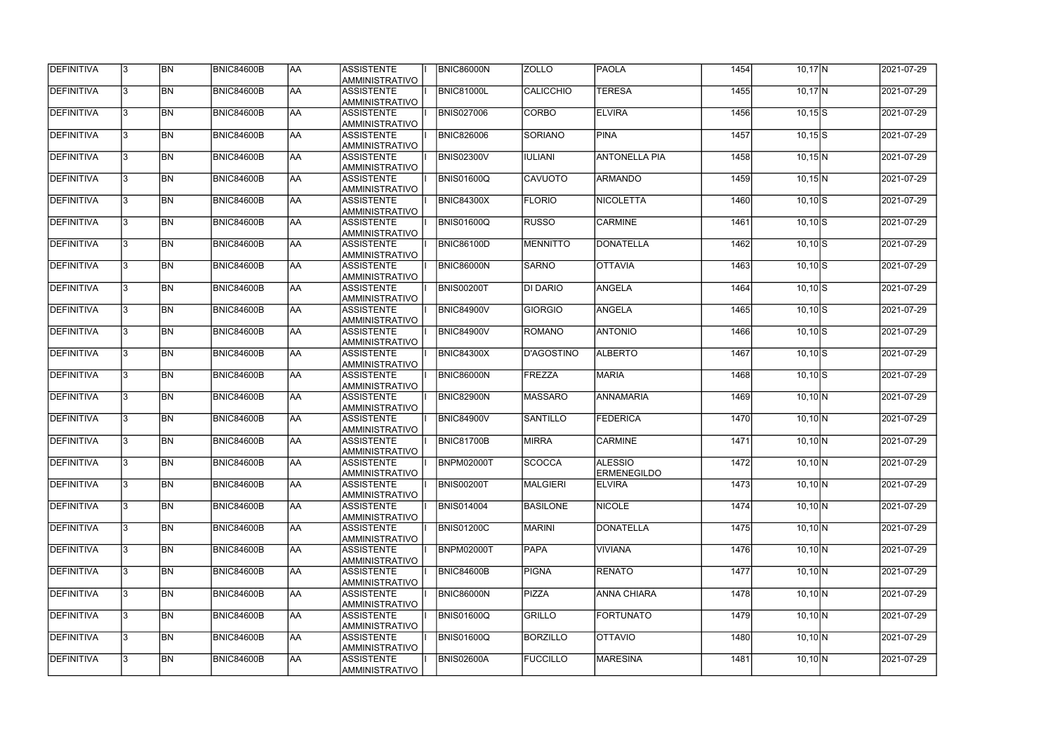| DEFINITIVA        | 13. | <b>BN</b> | <b>BNIC84600B</b> | AA         | <b>ASSISTENTE</b><br>AMMINISTRATIVO        | <b>BNIC86000N</b> | <b>ZOLLO</b>     | <b>PAOLA</b>                         | 1454 | $10,17$ N    | 2021-07-29 |
|-------------------|-----|-----------|-------------------|------------|--------------------------------------------|-------------------|------------------|--------------------------------------|------|--------------|------------|
| DEFINITIVA        | 13. | <b>BN</b> | <b>BNIC84600B</b> | laa        | <b>ASSISTENTE</b><br>AMMINISTRATIVO        | <b>BNIC81000L</b> | <b>CALICCHIO</b> | <b>TERESA</b>                        | 1455 | $10,17$ N    | 2021-07-29 |
| DEFINITIVA        | 13. | <b>BN</b> | <b>BNIC84600B</b> | laa        | <b>ASSISTENTE</b><br>AMMINISTRATIVO        | <b>BNIS027006</b> | <b>CORBO</b>     | <b>ELVIRA</b>                        | 1456 | $10,15$ S    | 2021-07-29 |
| DEFINITIVA        | l3. | <b>BN</b> | <b>BNIC84600B</b> | laa        | <b>ASSISTENTE</b><br>AMMINISTRATIVO        | <b>BNIC826006</b> | SORIANO          | <b>PINA</b>                          | 1457 | $10,15$ $S$  | 2021-07-29 |
| DEFINITIVA        | 13. | <b>BN</b> | <b>BNIC84600B</b> | laa        | <b>ASSISTENTE</b><br>AMMINISTRATIVO        | <b>BNIS02300V</b> | <b>IULIANI</b>   | <b>ANTONELLA PIA</b>                 | 1458 | $10,15$ N    | 2021-07-29 |
| DEFINITIVA        | 3   | <b>BN</b> | <b>BNIC84600B</b> | laa        | <b>ASSISTENTE</b><br>AMMINISTRATIVO        | <b>BNIS01600Q</b> | <b>CAVUOTO</b>   | <b>ARMANDO</b>                       | 1459 | $10,15$ N    | 2021-07-29 |
| DEFINITIVA        |     | <b>BN</b> | <b>BNIC84600B</b> | laa        | <b>ASSISTENTE</b><br><b>AMMINISTRATIVO</b> | <b>BNIC84300X</b> | <b>FLORIO</b>    | <b>NICOLETTA</b>                     | 1460 | $10,10$ S    | 2021-07-29 |
| DEFINITIVA        |     | <b>BN</b> | <b>BNIC84600B</b> | laa        | <b>ASSISTENTE</b><br>AMMINISTRATIVO        | BNIS01600Q        | <b>RUSSO</b>     | <b>CARMINE</b>                       | 1461 | $10,10$ $S$  | 2021-07-29 |
| DEFINITIVA        |     | <b>BN</b> | <b>BNIC84600B</b> | laa        | <b>ASSISTENTE</b><br>AMMINISTRATIVO        | <b>BNIC86100D</b> | <b>MENNITTO</b>  | <b>DONATELLA</b>                     | 1462 | $10,10$ S    | 2021-07-29 |
| DEFINITIVA        | l3. | <b>BN</b> | <b>BNIC84600B</b> | laa        | <b>ASSISTENTE</b><br>AMMINISTRATIVO        | <b>BNIC86000N</b> | <b>SARNO</b>     | <b>OTTAVIA</b>                       | 1463 | $10,10$ S    | 2021-07-29 |
| DEFINITIVA        | 13. | <b>BN</b> | <b>BNIC84600B</b> | AA         | <b>ASSISTENTE</b><br>AMMINISTRATIVO        | <b>BNIS00200T</b> | <b>DI DARIO</b>  | <b>ANGELA</b>                        | 1464 | $10,10$ S    | 2021-07-29 |
| DEFINITIVA        | 3   | <b>BN</b> | <b>BNIC84600B</b> | <b>AA</b>  | <b>ASSISTENTE</b><br>AMMINISTRATIVO        | BNIC84900V        | GIORGIO          | <b>ANGELA</b>                        | 1465 | $10,10$ $S$  | 2021-07-29 |
| DEFINITIVA        | l3. | <b>BN</b> | <b>BNIC84600B</b> | AA         | <b>ASSISTENTE</b><br>AMMINISTRATIVO        | <b>BNIC84900V</b> | ROMANO           | <b>ANTONIO</b>                       | 1466 | $10,10$ $S$  | 2021-07-29 |
| DEFINITIVA        | 3   | <b>BN</b> | <b>BNIC84600B</b> | AA         | <b>ASSISTENTE</b><br>AMMINISTRATIVO        | <b>BNIC84300X</b> | D'AGOSTINO       | <b>ALBERTO</b>                       | 1467 | $10,10$ S    | 2021-07-29 |
| DEFINITIVA        | 3   | <b>BN</b> | <b>BNIC84600B</b> | AA         | <b>ASSISTENTE</b><br><b>AMMINISTRATIVO</b> | <b>BNIC86000N</b> | <b>FREZZA</b>    | <b>MARIA</b>                         | 1468 | $10,10$ S    | 2021-07-29 |
| DEFINITIVA        |     | <b>BN</b> | <b>BNIC84600B</b> | AA         | <b>ASSISTENTE</b><br><b>AMMINISTRATIVO</b> | <b>BNIC82900N</b> | <b>MASSARO</b>   | <b>ANNAMARIA</b>                     | 1469 | 10,10 N      | 2021-07-29 |
| DEFINITIVA        | 3   | <b>BN</b> | <b>BNIC84600B</b> | AA         | <b>ASSISTENTE</b><br>AMMINISTRATIVO        | <b>BNIC84900V</b> | <b>SANTILLO</b>  | <b>FEDERICA</b>                      | 1470 | $10,10$ N    | 2021-07-29 |
| DEFINITIVA        |     | <b>BN</b> | <b>BNIC84600B</b> | AA         | <b>ASSISTENTE</b><br>AMMINISTRATIVO        | <b>BNIC81700B</b> | <b>MIRRA</b>     | <b>CARMINE</b>                       | 1471 | $10,10$ N    | 2021-07-29 |
| DEFINITIVA        | 13  | BN        | <b>BNIC84600B</b> | <b>JAA</b> | <b>ASSISTENTE</b><br>AMMINISTRATIVO        | <b>BNPM02000T</b> | <b>SCOCCA</b>    | <b>ALESSIO</b><br><b>ERMENEGILDO</b> | 1472 | 10,10 N      | 2021-07-29 |
| <b>DEFINITIVA</b> | l3. | <b>BN</b> | <b>BNIC84600B</b> | <b>AA</b>  | <b>ASSISTENTE</b><br>AMMINISTRATIVO        | <b>BNIS00200T</b> | MALGIERI         | <b>ELVIRA</b>                        | 1473 | $10,10$ N    | 2021-07-29 |
| DEFINITIVA        | l3. | <b>BN</b> | <b>BNIC84600B</b> | <b>AA</b>  | <b>ASSISTENTE</b><br>AMMINISTRATIVO        | <b>BNIS014004</b> | BASILONE         | <b>NICOLE</b>                        | 1474 | $10,10$ N    | 2021-07-29 |
| DEFINITIVA        | l3. | <b>BN</b> | <b>BNIC84600B</b> | AA         | <b>ASSISTENTE</b><br>AMMINISTRATIVO        | <b>BNIS01200C</b> | <b>MARINI</b>    | <b>DONATELLA</b>                     | 1475 | $10,10$ N    | 2021-07-29 |
| <b>DEFINITIVA</b> | l3. | <b>BN</b> | <b>BNIC84600B</b> | AA         | <b>ASSISTENTE</b><br>AMMINISTRATIVO        | <b>BNPM02000T</b> | <b>PAPA</b>      | <b>VIVIANA</b>                       | 1476 | $10,10$ N    | 2021-07-29 |
| DEFINITIVA        |     | <b>BN</b> | <b>BNIC84600B</b> | AA         | <b>ASSISTENTE</b><br>AMMINISTRATIVO        | BNIC84600B        | <b>PIGNA</b>     | <b>RENATO</b>                        | 1477 | $10,10$ N    | 2021-07-29 |
| DEFINITIVA        |     | <b>BN</b> | <b>BNIC84600B</b> | <b>AA</b>  | <b>ASSISTENTE</b><br>AMMINISTRATIVO        | BNIC86000N        | PIZZA            | <b>ANNA CHIARA</b>                   | 1478 | $10,10 \, N$ | 2021-07-29 |
| DEFINITIVA        | I3. | <b>BN</b> | <b>BNIC84600B</b> | AA         | <b>ASSISTENTE</b><br>AMMINISTRATIVO        | <b>BNIS01600Q</b> | <b>GRILLO</b>    | <b>FORTUNATO</b>                     | 1479 | $10,10$ N    | 2021-07-29 |
| DEFINITIVA        | 13. | <b>BN</b> | <b>BNIC84600B</b> | laa        | <b>ASSISTENTE</b><br>AMMINISTRATIVO        | <b>BNIS01600Q</b> | <b>BORZILLO</b>  | <b>OTTAVIO</b>                       | 1480 | $10,10$ N    | 2021-07-29 |
| DEFINITIVA        |     | <b>BN</b> | <b>BNIC84600B</b> | <b>AA</b>  | <b>ASSISTENTE</b><br>AMMINISTRATIVO        | <b>BNIS02600A</b> | <b>FUCCILLO</b>  | <b>MARESINA</b>                      | 1481 | $10,10 \, N$ | 2021-07-29 |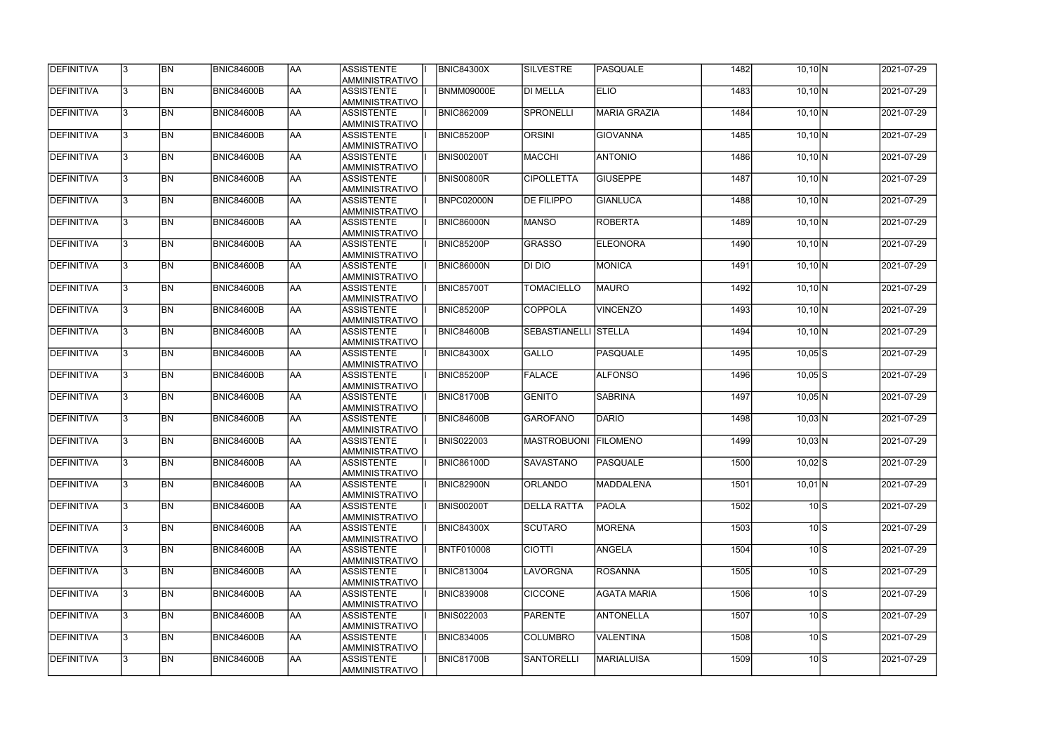| <b>DEFINITIVA</b> | 13. | <b>BN</b> | <b>BNIC84600B</b> | AA        | <b>ASSISTENTE</b><br>AMMINISTRATIVO        | <b>BNIC84300X</b> | <b>SILVESTRE</b>            | <b>PASQUALE</b>     | 1482 | $10,10$ N                     | 2021-07-29 |
|-------------------|-----|-----------|-------------------|-----------|--------------------------------------------|-------------------|-----------------------------|---------------------|------|-------------------------------|------------|
| <b>DEFINITIVA</b> | 13. | <b>BN</b> | <b>BNIC84600B</b> | laa       | <b>ASSISTENTE</b><br>AMMINISTRATIVO        | BNMM09000E        | DI MELLA                    | <b>ELIO</b>         | 1483 | $10,10$ N                     | 2021-07-29 |
| DEFINITIVA        | l3. | <b>BN</b> | <b>BNIC84600B</b> | AA        | <b>ASSISTENTE</b><br>AMMINISTRATIVO        | <b>BNIC862009</b> | <b>SPRONELLI</b>            | <b>MARIA GRAZIA</b> | 1484 | $10,10$ N                     | 2021-07-29 |
| <b>DEFINITIVA</b> | l3. | <b>BN</b> | BNIC84600B        | <b>AA</b> | <b>ASSISTENTE</b><br>AMMINISTRATIVO        | <b>BNIC85200P</b> | <b>ORSINI</b>               | <b>GIOVANNA</b>     | 1485 | $10,10$ N                     | 2021-07-29 |
| DEFINITIVA        | l3. | <b>BN</b> | <b>BNIC84600B</b> | laa       | <b>ASSISTENTE</b><br>AMMINISTRATIVO        | <b>BNIS00200T</b> | <b>MACCHI</b>               | <b>ANTONIO</b>      | 1486 | $10,10$ N                     | 2021-07-29 |
| DEFINITIVA        | l3  | <b>BN</b> | <b>BNIC84600B</b> | laa       | <b>ASSISTENTE</b><br>AMMINISTRATIVO        | <b>BNIS00800R</b> | <b>CIPOLLETTA</b>           | <b>GIUSEPPE</b>     | 1487 | $10,10$ N                     | 2021-07-29 |
| DEFINITIVA        |     | <b>BN</b> | <b>BNIC84600B</b> | laa       | <b>ASSISTENTE</b><br><b>AMMINISTRATIVO</b> | BNPC02000N        | <b>DE FILIPPO</b>           | <b>GIANLUCA</b>     | 1488 | $10,10$ N                     | 2021-07-29 |
| DEFINITIVA        |     | <b>BN</b> | BNIC84600B        | laa       | <b>ASSISTENTE</b><br>AMMINISTRATIVO        | BNIC86000N        | <b>MANSO</b>                | <b>ROBERTA</b>      | 1489 | $10,10$ N                     | 2021-07-29 |
| DEFINITIVA        |     | <b>BN</b> | <b>BNIC84600B</b> | AA        | <b>ASSISTENTE</b><br>AMMINISTRATIVO        | <b>BNIC85200P</b> | <b>GRASSO</b>               | <b>ELEONORA</b>     | 1490 | $10,10$ N                     | 2021-07-29 |
| DEFINITIVA        | l3. | <b>BN</b> | <b>BNIC84600B</b> | laa       | <b>ASSISTENTE</b><br>AMMINISTRATIVO        | BNIC86000N        | DI DIO                      | <b>MONICA</b>       | 1491 | $10,10$ N                     | 2021-07-29 |
| DEFINITIVA        | l3. | <b>BN</b> | <b>BNIC84600B</b> | AA        | <b>ASSISTENTE</b><br>AMMINISTRATIVO        | BNIC85700T        | <b>TOMACIELLO</b>           | <b>MAURO</b>        | 1492 | $10,10$ N                     | 2021-07-29 |
| DEFINITIVA        | 3   | <b>BN</b> | <b>BNIC84600B</b> | <b>AA</b> | <b>ASSISTENTE</b><br>AMMINISTRATIVO        | BNIC85200P        | <b>COPPOLA</b>              | <b>VINCENZO</b>     | 1493 | $10,10$ N                     | 2021-07-29 |
| DEFINITIVA        | 3   | <b>BN</b> | <b>BNIC84600B</b> | AA        | <b>ASSISTENTE</b><br>AMMINISTRATIVO        | <b>BNIC84600B</b> | <b>SEBASTIANELLI STELLA</b> |                     | 1494 | $10,10$ N                     | 2021-07-29 |
| DEFINITIVA        | 3   | <b>BN</b> | <b>BNIC84600B</b> | laa       | <b>ASSISTENTE</b><br>AMMINISTRATIVO        | <b>BNIC84300X</b> | GALLO                       | PASQUALE            | 1495 | $10,05$ S                     | 2021-07-29 |
| DEFINITIVA        | 3   | <b>BN</b> | <b>BNIC84600B</b> | laa       | <b>ASSISTENTE</b><br><b>AMMINISTRATIVO</b> | <b>BNIC85200P</b> | FALACE                      | <b>ALFONSO</b>      | 1496 | $10,05$ S                     | 2021-07-29 |
| DEFINITIVA        | 3   | <b>BN</b> | <b>BNIC84600B</b> | laa       | <b>ASSISTENTE</b><br>AMMINISTRATIVO        | <b>BNIC81700B</b> | <b>GENITO</b>               | <b>SABRINA</b>      | 1497 | $10,05$ N                     | 2021-07-29 |
| DEFINITIVA        | l3. | <b>BN</b> | <b>BNIC84600B</b> | laa       | <b>ASSISTENTE</b><br>AMMINISTRATIVO        | BNIC84600B        | <b>GAROFANO</b>             | <b>DARIO</b>        | 1498 | $10,03$ N                     | 2021-07-29 |
| DEFINITIVA        | 3   | <b>BN</b> | <b>BNIC84600B</b> | AA        | <b>ASSISTENTE</b><br>AMMINISTRATIVO        | <b>BNIS022003</b> | <b>MASTROBUONI</b>          | <b>FILOMENO</b>     | 1499 | $10,03$ N                     | 2021-07-29 |
| DEFINITIVA        | 13  | <b>BN</b> | <b>BNIC84600B</b> | <b>AA</b> | <b>ASSISTENTE</b><br>AMMINISTRATIVO        | <b>BNIC86100D</b> | <b>SAVASTANO</b>            | PASQUALE            | 1500 | $10,02$ S                     | 2021-07-29 |
| <b>DEFINITIVA</b> | l3. | <b>BN</b> | <b>BNIC84600B</b> | AA        | <b>ASSISTENTE</b><br>AMMINISTRATIVO        | BNIC82900N        | <b>ORLANDO</b>              | <b>MADDALENA</b>    | 1501 | $10,01$ N                     | 2021-07-29 |
| DEFINITIVA        | 13. | <b>BN</b> | <b>BNIC84600B</b> | AA        | <b>ASSISTENTE</b><br>AMMINISTRATIVO        | <b>BNIS00200T</b> | <b>DELLA RATTA</b>          | <b>PAOLA</b>        | 1502 | $10\overline{\smash{\big }S}$ | 2021-07-29 |
| DEFINITIVA        | 3   | <b>BN</b> | <b>BNIC84600B</b> | laa       | <b>ASSISTENTE</b><br>AMMINISTRATIVO        | <b>BNIC84300X</b> | <b>SCUTARO</b>              | <b>MORENA</b>       | 1503 | $10\overline{\smash{\big }S}$ | 2021-07-29 |
| DEFINITIVA        |     | <b>BN</b> | <b>BNIC84600B</b> | AA        | <b>ASSISTENTE</b><br>AMMINISTRATIVO        | <b>BNTF010008</b> | <b>CIOTTI</b>               | <b>ANGELA</b>       | 1504 | $10\overline{\text{S}}$       | 2021-07-29 |
| DEFINITIVA        |     | <b>BN</b> | <b>BNIC84600B</b> | AA        | <b>ASSISTENTE</b><br>AMMINISTRATIVO        | <b>BNIC813004</b> | LAVORGNA                    | <b>ROSANNA</b>      | 1505 | 10 <sub>l</sub>               | 2021-07-29 |
| DEFINITIVA        | l3. | <b>BN</b> | BNIC84600B        | laa       | <b>ASSISTENTE</b><br>AMMINISTRATIVO        | <b>BNIC839008</b> | <b>CICCONE</b>              | <b>AGATA MARIA</b>  | 1506 | 10 <sub>l</sub>               | 2021-07-29 |
| DEFINITIVA        | I3. | <b>BN</b> | <b>BNIC84600B</b> | laa       | <b>ASSISTENTE</b><br>AMMINISTRATIVO        | <b>BNIS022003</b> | <b>PARENTE</b>              | <b>ANTONELLA</b>    | 1507 | 10 <sub>l</sub>               | 2021-07-29 |
| <b>DEFINITIVA</b> | 13. | <b>BN</b> | <b>BNIC84600B</b> | AA        | <b>ASSISTENTE</b><br>AMMINISTRATIVO        | <b>BNIC834005</b> | <b>COLUMBRO</b>             | <b>VALENTINA</b>    | 1508 | 10 <sub>l</sub>               | 2021-07-29 |
| DEFINITIVA        |     | <b>BN</b> | <b>BNIC84600B</b> | AA        | <b>ASSISTENTE</b><br>AMMINISTRATIVO        | <b>BNIC81700B</b> | <b>SANTORELLI</b>           | <b>MARIALUISA</b>   | 1509 | $10\text{S}$                  | 2021-07-29 |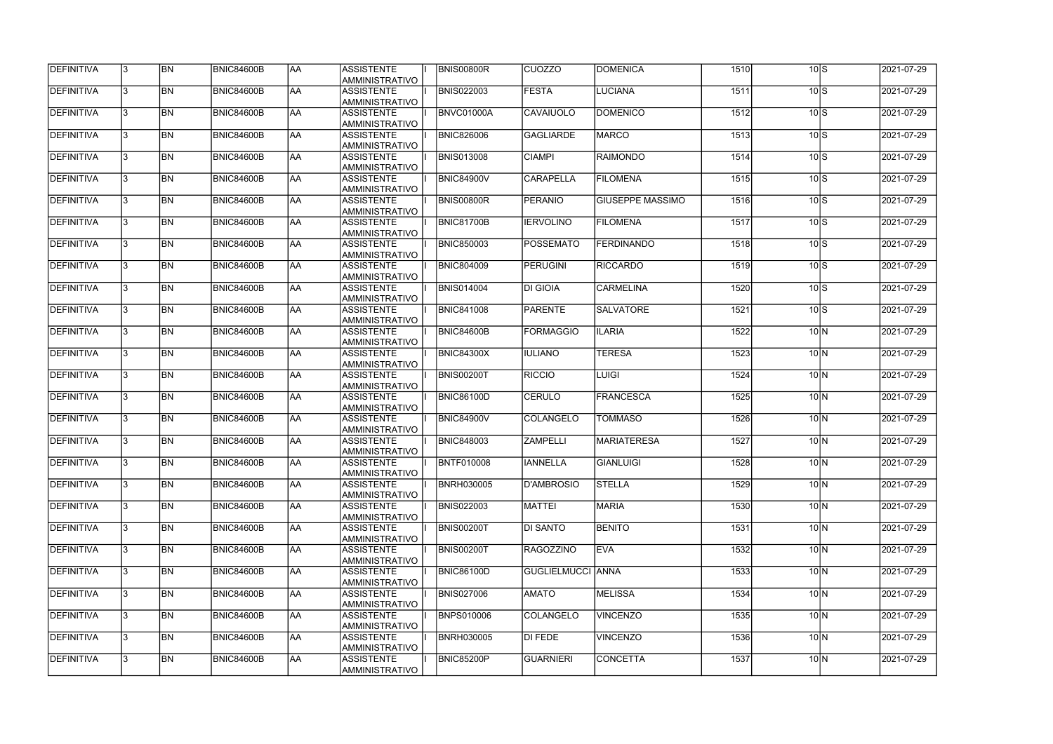| <b>DEFINITIVA</b> |     | <b>BN</b> | <b>BNIC84600B</b> | AA        | ASSISTENTE<br>AMMINISTRATIVO        | <b>BNIS00800R</b> | CUOZZO             | <b>DOMENICA</b>         | 1510 | 10 <sub>l</sub>           | 2021-07-29 |
|-------------------|-----|-----------|-------------------|-----------|-------------------------------------|-------------------|--------------------|-------------------------|------|---------------------------|------------|
| DEFINITIVA        | 13. | <b>BN</b> | <b>BNIC84600B</b> | AA        | <b>ASSISTENTE</b><br>AMMINISTRATIVO | <b>BNIS022003</b> | <b>FESTA</b>       | LUCIANA                 | 1511 | $10\text{S}$              | 2021-07-29 |
| DEFINITIVA        | I3. | <b>BN</b> | <b>BNIC84600B</b> | AA        | <b>ASSISTENTE</b><br>AMMINISTRATIVO | BNVC01000A        | CAVAIUOLO          | <b>DOMENICO</b>         | 1512 | $10\text{S}$              | 2021-07-29 |
| DEFINITIVA        | l3. | <b>BN</b> | <b>BNIC84600B</b> | AA        | <b>ASSISTENTE</b><br>AMMINISTRATIVO | <b>BNIC826006</b> | <b>GAGLIARDE</b>   | <b>MARCO</b>            | 1513 | $10\text{S}$              | 2021-07-29 |
| DEFINITIVA        | l3. | <b>BN</b> | <b>BNIC84600B</b> | <b>AA</b> | <b>ASSISTENTE</b><br>AMMINISTRATIVO | <b>BNIS013008</b> | <b>CIAMPI</b>      | <b>RAIMONDO</b>         | 1514 | $10\overline{\text{S}}$   | 2021-07-29 |
| DEFINITIVA        | l3  | <b>BN</b> | <b>BNIC84600B</b> | <b>AA</b> | <b>ASSISTENTE</b><br>AMMINISTRATIVO | <b>BNIC84900V</b> | <b>CARAPELLA</b>   | <b>FILOMENA</b>         | 1515 | $10\overline{\text{S}}$   | 2021-07-29 |
| DEFINITIVA        |     | <b>BN</b> | <b>BNIC84600B</b> | laa       | <b>ASSISTENTE</b><br>AMMINISTRATIVO | <b>BNIS00800R</b> | PERANIO            | <b>GIUSEPPE MASSIMO</b> | 1516 | $10\text{S}$              | 2021-07-29 |
| DEFINITIVA        | l3  | <b>BN</b> | <b>BNIC84600B</b> | AA        | <b>ASSISTENTE</b><br>AMMINISTRATIVO | <b>BNIC81700B</b> | <b>IERVOLINO</b>   | <b>FILOMENA</b>         | 1517 | $10\text{S}$              | 2021-07-29 |
| DEFINITIVA        |     | <b>BN</b> | <b>BNIC84600B</b> | AA        | <b>ASSISTENTE</b><br>AMMINISTRATIVO | <b>BNIC850003</b> | POSSEMATO          | <b>FERDINANDO</b>       | 1518 | $10\text{S}$              | 2021-07-29 |
| DEFINITIVA        |     | <b>BN</b> | <b>BNIC84600B</b> | laa       | <b>ASSISTENTE</b><br>AMMINISTRATIVO | <b>BNIC804009</b> | <b>PERUGINI</b>    | <b>RICCARDO</b>         | 1519 | $10\text{S}$              | 2021-07-29 |
| DEFINITIVA        | 3   | <b>BN</b> | <b>BNIC84600B</b> | AA        | <b>ASSISTENTE</b><br>AMMINISTRATIVO | <b>BNIS014004</b> | DI GIOIA           | <b>CARMELINA</b>        | 1520 | $10\text{S}$              | 2021-07-29 |
| DEFINITIVA        | l3  | <b>BN</b> | <b>BNIC84600B</b> | AA        | <b>ASSISTENTE</b><br>AMMINISTRATIVO | <b>BNIC841008</b> | PARENTE            | <b>SALVATORE</b>        | 1521 | $10\text{S}$              | 2021-07-29 |
| DEFINITIVA        | l3. | <b>BN</b> | <b>BNIC84600B</b> | AA        | <b>ASSISTENTE</b><br>AMMINISTRATIVO | <b>BNIC84600B</b> | <b>FORMAGGIO</b>   | <b>ILARIA</b>           | 1522 | 10 <sub>N</sub>           | 2021-07-29 |
| DEFINITIVA        | 3   | <b>BN</b> | <b>BNIC84600B</b> | AA        | <b>ASSISTENTE</b><br>AMMINISTRATIVO | <b>BNIC84300X</b> | <b>IULIANO</b>     | <b>TERESA</b>           | 1523 | 10 <sub>N</sub>           | 2021-07-29 |
| DEFINITIVA        |     | <b>BN</b> | <b>BNIC84600B</b> | AA        | <b>ASSISTENTE</b><br>AMMINISTRATIVO | <b>BNIS00200T</b> | <b>RICCIO</b>      | <b>LUIGI</b>            | 1524 | 10 <sub>N</sub>           | 2021-07-29 |
| DEFINITIVA        | 3   | <b>BN</b> | <b>BNIC84600B</b> | AA        | <b>ASSISTENTE</b><br>AMMINISTRATIVO | <b>BNIC86100D</b> | <b>CERULO</b>      | <b>FRANCESCA</b>        | 1525 | $10\vert N$               | 2021-07-29 |
| DEFINITIVA        |     | <b>BN</b> | <b>BNIC84600B</b> | AA        | <b>ASSISTENTE</b><br>AMMINISTRATIVO | <b>BNIC84900V</b> | <b>COLANGELO</b>   | <b>TOMMASO</b>          | 1526 | $10\text{N}$              | 2021-07-29 |
| DEFINITIVA        |     | <b>BN</b> | <b>BNIC84600B</b> | AA        | <b>ASSISTENTE</b><br>AMMINISTRATIVO | <b>BNIC848003</b> | <b>ZAMPELLI</b>    | <b>MARIATERESA</b>      | 1527 | $10\text{N}$              | 2021-07-29 |
| DEFINITIVA        | 13. | BN        | <b>BNIC84600B</b> | IAA       | ASSISTENTE<br>AMMINISTRATIVO        | <b>BNTF010008</b> | <b>IANNELLA</b>    | <b>GIANLUIGI</b>        | 1528 | 10 N                      | 2021-07-29 |
| <b>DEFINITIVA</b> | 13. | <b>BN</b> | BNIC84600B        | AA        | <b>ASSISTENTE</b><br>AMMINISTRATIVO | <b>BNRH030005</b> | D'AMBROSIO         | <b>STELLA</b>           | 1529 | $10\text{N}$              | 2021-07-29 |
| DEFINITIVA        | I3. | <b>BN</b> | <b>BNIC84600B</b> | AA        | <b>ASSISTENTE</b><br>AMMINISTRATIVO | <b>BNIS022003</b> | <b>MATTEI</b>      | <b>MARIA</b>            | 1530 | $10\vert N$               | 2021-07-29 |
| DEFINITIVA        | l3. | <b>BN</b> | <b>BNIC84600B</b> | <b>AA</b> | <b>ASSISTENTE</b><br>AMMINISTRATIVO | <b>BNIS00200T</b> | DI SANTO           | <b>BENITO</b>           | 1531 | $10\overline{\mathrm{N}}$ | 2021-07-29 |
| DEFINITIVA        | l3. | <b>BN</b> | <b>BNIC84600B</b> | <b>AA</b> | <b>ASSISTENTE</b><br>AMMINISTRATIVO | <b>BNIS00200T</b> | <b>RAGOZZINO</b>   | <b>EVA</b>              | 1532 | $10\overline{\mathrm{N}}$ | 2021-07-29 |
| DEFINITIVA        |     | <b>BN</b> | <b>BNIC84600B</b> | AA        | <b>ASSISTENTE</b><br>AMMINISTRATIVO | <b>BNIC86100D</b> | GUGLIELMUCCI  ANNA |                         | 1533 | $10\vert N$               | 2021-07-29 |
| DEFINITIVA        |     | <b>BN</b> | <b>BNIC84600B</b> | AA        | <b>ASSISTENTE</b><br>AMMINISTRATIVO | <b>BNIS027006</b> | AMATO              | <b>MELISSA</b>          | 1534 | $10\text{N}$              | 2021-07-29 |
| DEFINITIVA        |     | <b>BN</b> | <b>BNIC84600B</b> | AA        | <b>ASSISTENTE</b><br>AMMINISTRATIVO | <b>BNPS010006</b> | COLANGELO          | <b>VINCENZO</b>         | 1535 | $10\text{N}$              | 2021-07-29 |
| DEFINITIVA        |     | <b>BN</b> | <b>BNIC84600B</b> | AA        | <b>ASSISTENTE</b><br>AMMINISTRATIVO | <b>BNRH030005</b> | DI FEDE            | <b>VINCENZO</b>         | 1536 | $10\text{N}$              | 2021-07-29 |
| DEFINITIVA        |     | <b>BN</b> | <b>BNIC84600B</b> | AA        | <b>ASSISTENTE</b><br>AMMINISTRATIVO | <b>BNIC85200P</b> | <b>GUARNIERI</b>   | <b>CONCETTA</b>         | 1537 | $10\text{N}$              | 2021-07-29 |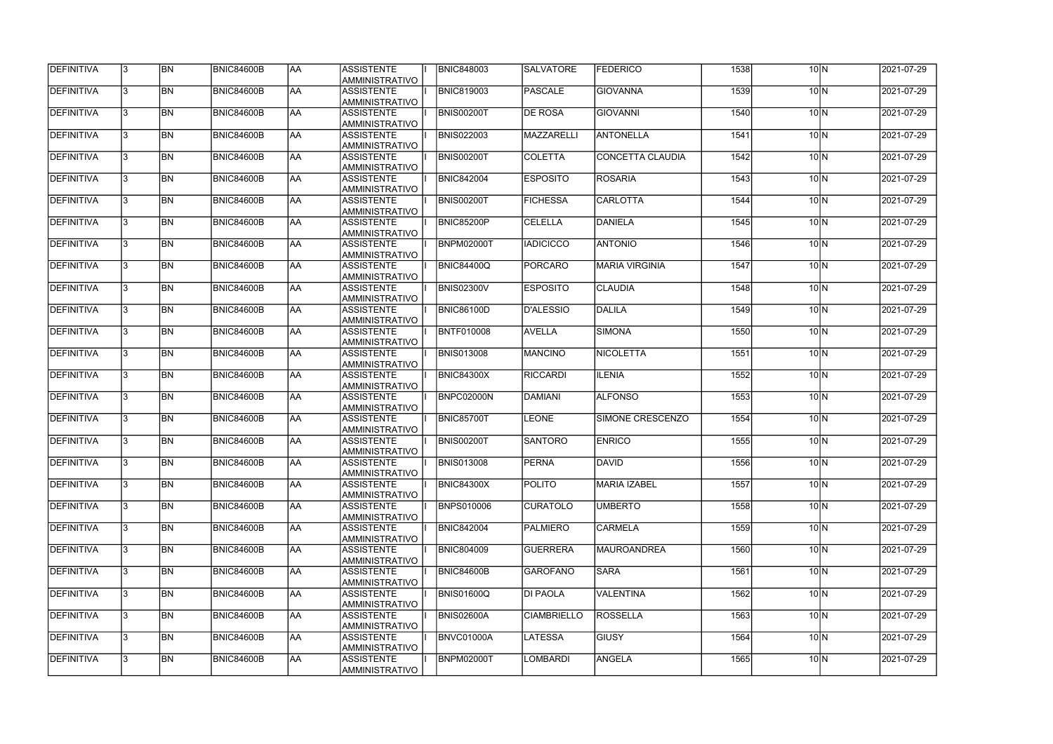| <b>DEFINITIVA</b> | 13. | <b>BN</b> | <b>BNIC84600B</b> | <b>AA</b> | ASSISTENTE<br>AMMINISTRATIVO        | <b>BNIC848003</b> | <b>SALVATORE</b>   | <b>FEDERICO</b>       | 1538 | 10 <sub>N</sub>           | 2021-07-29 |
|-------------------|-----|-----------|-------------------|-----------|-------------------------------------|-------------------|--------------------|-----------------------|------|---------------------------|------------|
| DEFINITIVA        | l3. | <b>BN</b> | <b>BNIC84600B</b> | AA        | <b>ASSISTENTE</b><br>AMMINISTRATIVO | <b>BNIC819003</b> | PASCALE            | <b>GIOVANNA</b>       | 1539 | $10\text{N}$              | 2021-07-29 |
| DEFINITIVA        | 13. | <b>BN</b> | <b>BNIC84600B</b> | AA        | <b>ASSISTENTE</b><br>AMMINISTRATIVO | <b>BNIS00200T</b> | <b>DE ROSA</b>     | <b>GIOVANNI</b>       | 1540 | $10\text{N}$              | 2021-07-29 |
| DEFINITIVA        | l3. | <b>BN</b> | <b>BNIC84600B</b> | AA        | <b>ASSISTENTE</b><br>AMMINISTRATIVO | <b>BNIS022003</b> | MAZZARELLI         | ANTONELLA             | 1541 | $10\overline{\mathrm{N}}$ | 2021-07-29 |
| DEFINITIVA        | l3. | <b>BN</b> | <b>BNIC84600B</b> | <b>AA</b> | <b>ASSISTENTE</b><br>AMMINISTRATIVO | <b>BNIS00200T</b> | <b>COLETTA</b>     | CONCETTA CLAUDIA      | 1542 | 10 <sub>N</sub>           | 2021-07-29 |
| DEFINITIVA        | l3. | <b>BN</b> | <b>BNIC84600B</b> | <b>AA</b> | <b>ASSISTENTE</b><br>AMMINISTRATIVO | <b>BNIC842004</b> | <b>ESPOSITO</b>    | <b>ROSARIA</b>        | 1543 | $10\overline{\mathrm{N}}$ | 2021-07-29 |
| <b>DEFINITIVA</b> | 3   | <b>BN</b> | BNIC84600B        | laa       | <b>ASSISTENTE</b><br>AMMINISTRATIVO | <b>BNIS00200T</b> | <b>FICHESSA</b>    | <b>CARLOTTA</b>       | 1544 | 10 <sub>N</sub>           | 2021-07-29 |
| DEFINITIVA        |     | <b>BN</b> | <b>BNIC84600B</b> | AA        | <b>ASSISTENTE</b><br>AMMINISTRATIVO | <b>BNIC85200P</b> | <b>CELELLA</b>     | <b>DANIELA</b>        | 1545 | $10\text{N}$              | 2021-07-29 |
| DEFINITIVA        |     | <b>BN</b> | <b>BNIC84600B</b> | AA        | <b>ASSISTENTE</b><br>AMMINISTRATIVO | BNPM02000T        | <b>IADICICCO</b>   | <b>ANTONIO</b>        | 1546 | $10\text{N}$              | 2021-07-29 |
| DEFINITIVA        |     | <b>BN</b> | <b>BNIC84600B</b> | laa       | <b>ASSISTENTE</b><br>AMMINISTRATIVO | <b>BNIC84400Q</b> | PORCARO            | <b>MARIA VIRGINIA</b> | 1547 | $10\text{N}$              | 2021-07-29 |
| DEFINITIVA        | l3. | <b>BN</b> | <b>BNIC84600B</b> | laa       | <b>ASSISTENTE</b><br>AMMINISTRATIVO | <b>BNIS02300V</b> | <b>ESPOSITO</b>    | <b>CLAUDIA</b>        | 1548 | $10\text{N}$              | 2021-07-29 |
| DEFINITIVA        | l3. | <b>BN</b> | <b>BNIC84600B</b> | AA        | <b>ASSISTENTE</b><br>AMMINISTRATIVO | <b>BNIC86100D</b> | D'ALESSIO          | DALILA                | 1549 | $10\text{N}$              | 2021-07-29 |
| DEFINITIVA        | 3   | <b>BN</b> | BNIC84600B        | AA        | <b>ASSISTENTE</b><br>AMMINISTRATIVO | <b>BNTF010008</b> | <b>AVELLA</b>      | <b>SIMONA</b>         | 1550 | 10 <sub>N</sub>           | 2021-07-29 |
| DEFINITIVA        |     | <b>BN</b> | <b>BNIC84600B</b> | AA        | <b>ASSISTENTE</b><br>AMMINISTRATIVO | <b>BNIS013008</b> | <b>MANCINO</b>     | NICOLETTA             | 1551 | 10 <sub>N</sub>           | 2021-07-29 |
| DEFINITIVA        | 3   | <b>BN</b> | <b>BNIC84600B</b> | AA        | <b>ASSISTENTE</b><br>AMMINISTRATIVO | <b>BNIC84300X</b> | <b>RICCARDI</b>    | <b>ILENIA</b>         | 1552 | 10 <sub>N</sub>           | 2021-07-29 |
| DEFINITIVA        | l3. | <b>BN</b> | <b>BNIC84600B</b> | AA        | <b>ASSISTENTE</b><br>AMMINISTRATIVO | <b>BNPC02000N</b> | DAMIANI            | <b>ALFONSO</b>        | 1553 | $10\text{N}$              | 2021-07-29 |
| <b>DEFINITIVA</b> |     | <b>BN</b> | <b>BNIC84600B</b> | AA        | <b>ASSISTENTE</b><br>AMMINISTRATIVO | <b>BNIC85700T</b> | <b>LEONE</b>       | SIMONE CRESCENZO      | 1554 | $10\text{N}$              | 2021-07-29 |
| DEFINITIVA        |     | <b>BN</b> | <b>BNIC84600B</b> | AA        | <b>ASSISTENTE</b><br>AMMINISTRATIVO | <b>BNIS00200T</b> | <b>SANTORO</b>     | <b>ENRICO</b>         | 1555 | $10\vert N$               | 2021-07-29 |
| <b>DEFINITIVA</b> | 13  | <b>BN</b> | <b>BNIC84600B</b> | AA        | ASSISTENTE <br> AMMINISTRATIVO      | <b>BNIS013008</b> | <b>PERNA</b>       | <b>DAVID</b>          | 1556 | $10\vert N$               | 2021-07-29 |
| DEFINITIVA        | 13. | <b>BN</b> | <b>BNIC84600B</b> | AA        | ASSISTENTE<br>AMMINISTRATIVO        | <b>BNIC84300X</b> | <b>POLITO</b>      | <b>MARIA IZABEL</b>   | 1557 | $10\vert N$               | 2021-07-29 |
| DEFINITIVA        | l3. | <b>BN</b> | <b>BNIC84600B</b> | AA        | ASSISTENTE<br>AMMINISTRATIVO        | <b>BNPS010006</b> | CURATOLO           | <b>UMBERTO</b>        | 1558 | $10\overline{N}$          | 2021-07-29 |
| DEFINITIVA        | l3. | <b>BN</b> | <b>BNIC84600B</b> | <b>AA</b> | <b>ASSISTENTE</b><br>AMMINISTRATIVO | <b>BNIC842004</b> | PALMIERO           | <b>CARMELA</b>        | 1559 | $10\overline{\mathrm{N}}$ | 2021-07-29 |
| DEFINITIVA        | 3   | <b>BN</b> | <b>BNIC84600B</b> | AA        | <b>ASSISTENTE</b><br>AMMINISTRATIVO | <b>BNIC804009</b> | <b>GUERRERA</b>    | <b>MAUROANDREA</b>    | 1560 | $10\text{N}$              | 2021-07-29 |
| DEFINITIVA        | l3. | <b>BN</b> | <b>BNIC84600B</b> | AA        | <b>ASSISTENTE</b><br>AMMINISTRATIVO | <b>BNIC84600B</b> | GAROFANO           | <b>SARA</b>           | 1561 | $10\text{N}$              | 2021-07-29 |
| DEFINITIVA        |     | <b>BN</b> | <b>BNIC84600B</b> | AA        | <b>ASSISTENTE</b><br>AMMINISTRATIVO | <b>BNIS01600Q</b> | <b>DI PAOLA</b>    | <b>VALENTINA</b>      | 1562 | $10\text{N}$              | 2021-07-29 |
| DEFINITIVA        | I3. | <b>BN</b> | <b>BNIC84600B</b> | AA        | <b>ASSISTENTE</b><br>AMMINISTRATIVO | <b>BNIS02600A</b> | <b>CIAMBRIELLO</b> | <b>ROSSELLA</b>       | 1563 | $10\text{N}$              | 2021-07-29 |
| DEFINITIVA        | 13. | <b>BN</b> | <b>BNIC84600B</b> | AA        | <b>ASSISTENTE</b><br>AMMINISTRATIVO | BNVC01000A        | <b>LATESSA</b>     | <b>GIUSY</b>          | 1564 | $10\text{N}$              | 2021-07-29 |
| DEFINITIVA        |     | <b>BN</b> | <b>BNIC84600B</b> | AA        | <b>ASSISTENTE</b><br>AMMINISTRATIVO | <b>BNPM02000T</b> | <b>LOMBARDI</b>    | <b>ANGELA</b>         | 1565 | $10\text{N}$              | 2021-07-29 |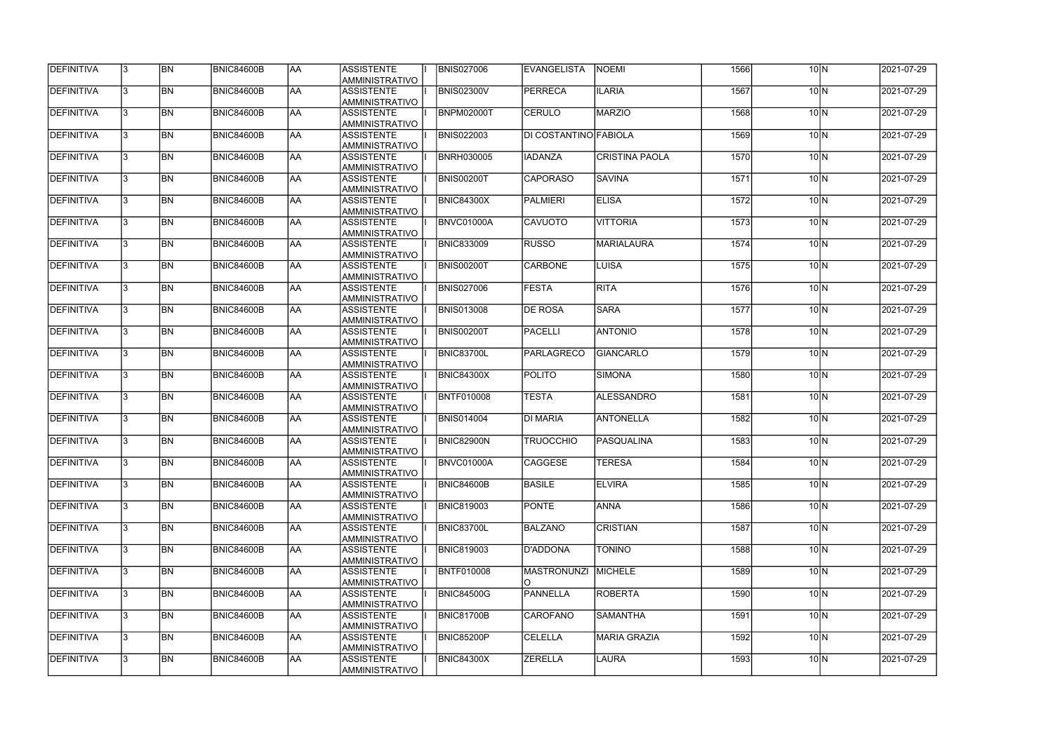| DEFINITIVA        |              | <b>BN</b> | <b>BNIC84600B</b> | <b>AA</b>  | ASSISTENTE<br><b>AMMINISTRATIVO</b>        | <b>BNIS027006</b> | EVANGELISTA                  | <b>NOEMI</b>          | 1566 | 10 <sub>N</sub>           | 2021-07-29          |
|-------------------|--------------|-----------|-------------------|------------|--------------------------------------------|-------------------|------------------------------|-----------------------|------|---------------------------|---------------------|
| DEFINITIVA        | l3.          | <b>BN</b> | <b>BNIC84600B</b> | AA         | <b>ASSISTENTE</b><br>AMMINISTRATIVO        | <b>BNIS02300V</b> | PERRECA                      | <b>ILARIA</b>         | 1567 | $10\overline{\rm N}$      | 2021-07-29          |
| DEFINITIVA        |              | <b>BN</b> | <b>BNIC84600B</b> | AA         | <b>ASSISTENTE</b><br>AMMINISTRATIVO        | BNPM02000T        | <b>CERULO</b>                | <b>MARZIO</b>         | 1568 | $10\text{N}$              | 2021-07-29          |
| DEFINITIVA        | 3            | <b>BN</b> | <b>BNIC84600B</b> | AA         | ASSISTENTE<br>AMMINISTRATIVO               | <b>BNIS022003</b> | <b>DI COSTANTINO FABIOLA</b> |                       | 1569 | $10\text{N}$              | 2021-07-29          |
| DEFINITIVA        |              | <b>BN</b> | BNIC84600B        | AA         | ASSISTENTE<br><b>AMMINISTRATIVO</b>        | <b>BNRH030005</b> | <b>IADANZA</b>               | <b>CRISTINA PAOLA</b> | 1570 | 10 <sub>N</sub>           | 2021-07-29          |
| <b>DEFINITIVA</b> |              | <b>BN</b> | BNIC84600B        | AA         | ASSISTENTE<br><b>AMMINISTRATIVO</b>        | <b>BNIS00200T</b> | <b>CAPORASO</b>              | <b>SAVINA</b>         | 1571 | 10 <sub>N</sub>           | 2021-07-29          |
| DEFINITIVA        |              | <b>BN</b> | BNIC84600B        | <b>JAA</b> | <b>ASSISTENTE</b><br>AMMINISTRATIVO        | <b>BNIC84300X</b> | PALMIERI                     | <b>ELISA</b>          | 1572 | $10\overline{\mathrm{N}}$ | 2021-07-29          |
| <b>DEFINITIVA</b> |              | BN        | BNIC84600B        | AA         | <b>ASSISTENTE</b><br><b>AMMINISTRATIVO</b> | BNVC01000A        | <b>CAVUOTO</b>               | <b>VITTORIA</b>       | 1573 | 10 <sub>N</sub>           | 2021-07-29          |
| DEFINITIVA        |              | <b>BN</b> | <b>BNIC84600B</b> | AA         | <b>ASSISTENTE</b><br><b>AMMINISTRATIVO</b> | <b>BNIC833009</b> | <b>RUSSO</b>                 | <b>MARIALAURA</b>     | 1574 | 10 <sub>N</sub>           | 2021-07-29          |
| DEFINITIVA        |              | <b>BN</b> | <b>BNIC84600B</b> | <b>JAA</b> | <b>ASSISTENTE</b><br>AMMINISTRATIVO        | <b>BNIS00200T</b> | <b>CARBONE</b>               | LUISA                 | 1575 | $10\vert N$               | 2021-07-29          |
| DEFINITIVA        |              | <b>BN</b> | BNIC84600B        | AA         | <b>ASSISTENTE</b><br>AMMINISTRATIVO        | <b>BNIS027006</b> | <b>FESTA</b>                 | <b>RITA</b>           | 1576 | $10\overline{\mathrm{N}}$ | 2021-07-29          |
| DEFINITIVA        |              | <b>BN</b> | <b>BNIC84600B</b> | AA         | <b>ASSISTENTE</b><br>AMMINISTRATIVO        | <b>BNIS013008</b> | <b>DE ROSA</b>               | <b>SARA</b>           | 1577 | $10\text{N}$              | 2021-07-29          |
| DEFINITIVA        |              | <b>BN</b> | <b>BNIC84600B</b> | AA         | <b>ASSISTENTE</b><br><b>AMMINISTRATIVO</b> | <b>BNIS00200T</b> | PACELLI                      | <b>ANTONIO</b>        | 1578 | $10\vert N$               | 2021-07-29          |
| DEFINITIVA        |              | <b>BN</b> | <b>BNIC84600B</b> | AA         | ASSISTENTE<br>AMMINISTRATIVO               | BNIC83700L        | PARLAGRECO                   | <b>GIANCARLO</b>      | 1579 | 10 <sub>N</sub>           | 2021-07-29          |
| <b>DEFINITIVA</b> |              | <b>BN</b> | <b>BNIC84600B</b> | AA         | <b>ASSISTENTE</b><br><b>AMMINISTRATIVO</b> | <b>BNIC84300X</b> | <b>POLITO</b>                | <b>SIMONA</b>         | 1580 | 10 <sub>N</sub>           | 2021-07-29          |
| <b>DEFINITIVA</b> |              | <b>BN</b> | <b>BNIC84600B</b> | <b>JAA</b> | <b>ASSISTENTE</b><br><b>AMMINISTRATIVO</b> | <b>BNTF010008</b> | <b>TESTA</b>                 | <b>ALESSANDRO</b>     | 1581 | $10\text{N}$              | 2021-07-29          |
| <b>DEFINITIVA</b> |              | BN        | <b>BNIC84600B</b> | AA         | <b>ASSISTENTE</b><br><b>AMMINISTRATIVO</b> | <b>BNIS014004</b> | <b>DI MARIA</b>              | <b>ANTONELLA</b>      | 1582 | $10\overline{\rm N}$      | 2021-07-29          |
| DEFINITIVA        |              | <b>BN</b> | BNIC84600B        | AA         | <b>ASSISTENTE</b><br>AMMINISTRATIVO        | <b>BNIC82900N</b> | <b>TRUOCCHIO</b>             | PASQUALINA            | 1583 | $10\overline{\rm N}$      | 2021-07-29          |
| DEFINITIVA        |              | BN        | <b>BNIC84600B</b> | AA         | ASSISTENTE<br>AMMINISTRATIVO               | BNVC01000A        | CAGGESE                      | TERESA                | 1584 | 10 N                      | 2021-07-29          |
| <b>DEFINITIVA</b> |              | <b>BN</b> | BNIC84600B        | AA         | ASSISTENTE<br>AMMINISTRATIVO               | BNIC84600B        | <b>BASILE</b>                | <b>ELVIRA</b>         | 1585 | $10\text{N}$              | 2021-07-29          |
| DEFINITIVA        |              | <b>BN</b> | BNIC84600B        | <b>AA</b>  | ASSISTENTE<br>AMMINISTRATIVO               | <b>BNIC819003</b> | <b>PONTE</b>                 | <b>ANNA</b>           | 1586 | $10\text{N}$              | 2021-07-29          |
| <b>DEFINITIVA</b> | $\mathbf{3}$ | <b>BN</b> | <b>BNIC84600B</b> | <b>AA</b>  | <b>ASSISTENTE</b><br>AMMINISTRATIVO        | BNIC83700L        | <b>BALZANO</b>               | <b>CRISTIAN</b>       | 1587 | $10\overline{\mathrm{N}}$ | $\sqrt{2021-07-29}$ |
| DEFINITIVA        | 3            | <b>BN</b> | <b>BNIC84600B</b> | AA         | <b>ASSISTENTE</b><br>AMMINISTRATIVO        | <b>BNIC819003</b> | D'ADDONA                     | <b>TONINO</b>         | 1588 | $10\overline{\mathrm{N}}$ | 2021-07-29          |
| DEFINITIVA        |              | <b>BN</b> | <b>BNIC84600B</b> | AA         | <b>ASSISTENTE</b><br><b>AMMINISTRATIVO</b> | <b>BNTF010008</b> | <b>MASTRONUNZI</b>           | <b>MICHELE</b>        | 1589 | $10\text{N}$              | 2021-07-29          |
| DEFINITIVA        |              | <b>BN</b> | BNIC84600B        | AA         | <b>ASSISTENTE</b><br><b>AMMINISTRATIVO</b> | <b>BNIC84500G</b> | PANNELLA                     | <b>ROBERTA</b>        | 1590 | $10\text{N}$              | 2021-07-29          |
| DEFINITIVA        |              | <b>BN</b> | <b>BNIC84600B</b> | AA         | ASSISTENTE<br>AMMINISTRATIVO               | BNIC81700B        | <b>CAROFANO</b>              | <b>SAMANTHA</b>       | 1591 | $10\text{N}$              | 2021-07-29          |
| DEFINITIVA        |              | <b>BN</b> | BNIC84600B        | AA         | ASSISTENTE<br>AMMINISTRATIVO               | BNIC85200P        | <b>CELELLA</b>               | <b>MARIA GRAZIA</b>   | 1592 | $10\text{N}$              | 2021-07-29          |
| DEFINITIVA        |              | <b>BN</b> | BNIC84600B        | AA         | ASSISTENTE<br>AMMINISTRATIVO               | <b>BNIC84300X</b> | <b>ZERELLA</b>               | LAURA                 | 1593 | $10\text{N}$              | 2021-07-29          |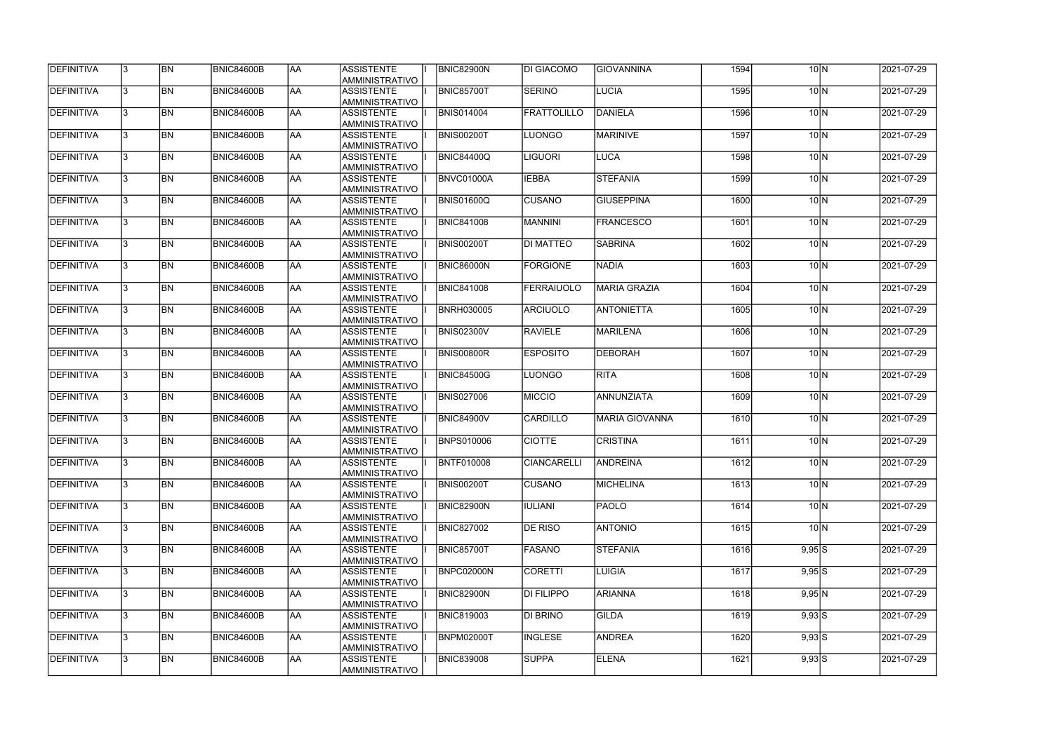| DEFINITIVA         |              | <b>BN</b> | <b>BNIC84600B</b> | <b>AA</b>  | ASSISTENTE<br><b>AMMINISTRATIVO</b>        | <b>BNIC82900N</b> | <b>DI GIACOMO</b>  | <b>GIOVANNINA</b>     | 1594 |            | 10 <sub>N</sub>           | 2021-07-29          |
|--------------------|--------------|-----------|-------------------|------------|--------------------------------------------|-------------------|--------------------|-----------------------|------|------------|---------------------------|---------------------|
| <b>DEFINITIVA</b>  | l3.          | <b>BN</b> | <b>BNIC84600B</b> | AA         | <b>ASSISTENTE</b><br>AMMINISTRATIVO        | <b>BNIC85700T</b> | SERINO             | <b>LUCIA</b>          | 1595 |            | $10\text{N}$              | 2021-07-29          |
| DEFINITIVA         |              | <b>BN</b> | <b>BNIC84600B</b> | AA         | <b>ASSISTENTE</b><br>AMMINISTRATIVO        | <b>BNIS014004</b> | <b>FRATTOLILLO</b> | <b>DANIELA</b>        | 1596 |            | $10\text{N}$              | 2021-07-29          |
| DEFINITIVA         | 3            | <b>BN</b> | <b>BNIC84600B</b> | AA         | ASSISTENTE<br>AMMINISTRATIVO               | <b>BNIS00200T</b> | <b>LUONGO</b>      | <b>MARINIVE</b>       | 1597 |            | $10\overline{\rm N}$      | 2021-07-29          |
| DEFINITIVA         |              | <b>BN</b> | <b>BNIC84600B</b> | AA         | ASSISTENTE<br><b>AMMINISTRATIVO</b>        | <b>BNIC84400Q</b> | <b>LIGUORI</b>     | <b>LUCA</b>           | 1598 |            | 10 <sub>N</sub>           | 2021-07-29          |
| <b>DEFINITIVA</b>  |              | <b>BN</b> | BNIC84600B        | AA         | ASSISTENTE<br><b>AMMINISTRATIVO</b>        | BNVC01000A        | <b>IEBBA</b>       | <b>STEFANIA</b>       | 1599 |            | 10 <sub>N</sub>           | 2021-07-29          |
| DEFINITIVA         |              | <b>BN</b> | BNIC84600B        | <b>JAA</b> | <b>ASSISTENTE</b><br>AMMINISTRATIVO        | <b>BNIS01600Q</b> | <b>CUSANO</b>      | <b>GIUSEPPINA</b>     | 1600 |            | 10 <sub>N</sub>           | 2021-07-29          |
| <b>DEFINITIVA</b>  |              | BN        | BNIC84600B        | AA         | <b>ASSISTENTE</b><br><b>AMMINISTRATIVO</b> | <b>BNIC841008</b> | <b>MANNINI</b>     | <b>FRANCESCO</b>      | 1601 |            | 10 <sub>N</sub>           | 2021-07-29          |
| DEFINITIVA         |              | <b>BN</b> | <b>BNIC84600B</b> | AA         | <b>ASSISTENTE</b><br><b>AMMINISTRATIVO</b> | <b>BNIS00200T</b> | <b>DI MATTEO</b>   | <b>SABRINA</b>        | 1602 |            | 10 <sub>N</sub>           | 2021-07-29          |
| DEFINITIVA         |              | <b>BN</b> | <b>BNIC84600B</b> | AA         | <b>ASSISTENTE</b><br>AMMINISTRATIVO        | <b>BNIC86000N</b> | <b>FORGIONE</b>    | <b>NADIA</b>          | 1603 |            | 10 <sub>N</sub>           | 2021-07-29          |
| DEFINITIVA         |              | <b>BN</b> | BNIC84600B        | AA         | <b>ASSISTENTE</b><br>AMMINISTRATIVO        | <b>BNIC841008</b> | <b>FERRAIUOLO</b>  | <b>MARIA GRAZIA</b>   | 1604 |            | $10\overline{\mathrm{N}}$ | 2021-07-29          |
| DEFINITIVA         |              | <b>BN</b> | <b>BNIC84600B</b> | AA         | <b>ASSISTENTE</b><br>AMMINISTRATIVO        | <b>BNRH030005</b> | <b>ARCIUOLO</b>    | <b>ANTONIETTA</b>     | 1605 |            | $10\overline{\text{N}}$   | 2021-07-29          |
| DEFINITIVA         |              | <b>BN</b> | <b>BNIC84600B</b> | AA         | <b>ASSISTENTE</b><br><b>AMMINISTRATIVO</b> | <b>BNIS02300V</b> | RAVIELE            | <b>MARILENA</b>       | 1606 |            | 10 <sub>N</sub>           | 2021-07-29          |
| DEFINITIVA         |              | <b>BN</b> | <b>BNIC84600B</b> | AA         | ASSISTENTE<br>AMMINISTRATIVO               | <b>BNIS00800R</b> | <b>ESPOSITO</b>    | <b>DEBORAH</b>        | 1607 |            | 10 <sub>N</sub>           | 2021-07-29          |
| <b>DEFINITIVA</b>  |              | <b>BN</b> | <b>BNIC84600B</b> | AA         | <b>ASSISTENTE</b><br><b>AMMINISTRATIVO</b> | <b>BNIC84500G</b> | LUONGO             | <b>RITA</b>           | 1608 |            | 10 <sub>N</sub>           | 2021-07-29          |
| <b>DEFINITIVA</b>  |              | <b>BN</b> | <b>BNIC84600B</b> | AA         | <b>ASSISTENTE</b><br><b>AMMINISTRATIVO</b> | <b>BNIS027006</b> | <b>MICCIO</b>      | ANNUNZIATA            | 1609 |            | $10\text{N}$              | 2021-07-29          |
| <b>DEFINITIVA</b>  |              | BN        | <b>BNIC84600B</b> | AA         | <b>ASSISTENTE</b><br><b>AMMINISTRATIVO</b> | <b>BNIC84900V</b> | <b>CARDILLO</b>    | <b>MARIA GIOVANNA</b> | 1610 |            | $10\text{N}$              | 2021-07-29          |
| DEFINITIVA         |              | <b>BN</b> | BNIC84600B        | AA         | <b>ASSISTENTE</b><br>AMMINISTRATIVO        | <b>BNPS010006</b> | <b>CIOTTE</b>      | <b>CRISTINA</b>       | 1611 |            | $10\text{N}$              | 2021-07-29          |
| <b>IDEFINITIVA</b> |              | BN        | <b>BNIC84600B</b> | AA         | ASSISTENTE<br>AMMINISTRATIVO               | <b>BNTF010008</b> | <b>CIANCARELLI</b> | <b>ANDREINA</b>       | 1612 |            | 10 N                      | 2021-07-29          |
| <b>DEFINITIVA</b>  | l3.          | <b>BN</b> | BNIC84600B        | AA         | ASSISTENTE<br>AMMINISTRATIVO               | <b>BNIS00200T</b> | <b>CUSANO</b>      | <b>MICHELINA</b>      | 1613 |            | $10\text{N}$              | 2021-07-29          |
| DEFINITIVA         |              | <b>BN</b> | BNIC84600B        | <b>AA</b>  | ASSISTENTE<br>AMMINISTRATIVO               | BNIC82900N        | <b>IULIANI</b>     | <b>PAOLO</b>          | 1614 |            | $10\text{N}$              | 2021-07-29          |
| <b>DEFINITIVA</b>  | $\mathbf{3}$ | <b>BN</b> | <b>BNIC84600B</b> | <b>AA</b>  | <b>ASSISTENTE</b><br>AMMINISTRATIVO        | <b>BNIC827002</b> | <b>DE RISO</b>     | <b>ANTONIO</b>        | 1615 |            | $10\overline{\mathrm{N}}$ | $\sqrt{2021-07-29}$ |
| DEFINITIVA         | 3            | <b>BN</b> | <b>BNIC84600B</b> | AA         | <b>ASSISTENTE</b><br>AMMINISTRATIVO        | BNIC85700T        | <b>FASANO</b>      | <b>STEFANIA</b>       | 1616 | $9,95$ S   |                           | 2021-07-29          |
| DEFINITIVA         |              | <b>BN</b> | <b>BNIC84600B</b> | AA         | <b>ASSISTENTE</b><br><b>AMMINISTRATIVO</b> | BNPC02000N        | <b>CORETTI</b>     | <b>LUIGIA</b>         | 1617 | $9,95$ S   |                           | 2021-07-29          |
| DEFINITIVA         |              | <b>BN</b> | BNIC84600B        | AA         | <b>ASSISTENTE</b><br><b>AMMINISTRATIVO</b> | <b>BNIC82900N</b> | DI FILIPPO         | <b>ARIANNA</b>        | 1618 | $9,95$ N   |                           | 2021-07-29          |
| DEFINITIVA         |              | <b>BN</b> | <b>BNIC84600B</b> | AA         | ASSISTENTE<br>AMMINISTRATIVO               | <b>BNIC819003</b> | DI BRINO           | <b>GILDA</b>          | 1619 | $9,93$ $S$ |                           | 2021-07-29          |
| DEFINITIVA         |              | <b>BN</b> | BNIC84600B        | AA         | ASSISTENTE<br>AMMINISTRATIVO               | <b>BNPM02000T</b> | <b>INGLESE</b>     | <b>ANDREA</b>         | 1620 | $9,93$ S   |                           | 2021-07-29          |
| DEFINITIVA         |              | <b>BN</b> | BNIC84600B        | AA         | ASSISTENTE<br>AMMINISTRATIVO               | <b>BNIC839008</b> | <b>SUPPA</b>       | <b>ELENA</b>          | 1621 | $9,93$ $S$ |                           | 2021-07-29          |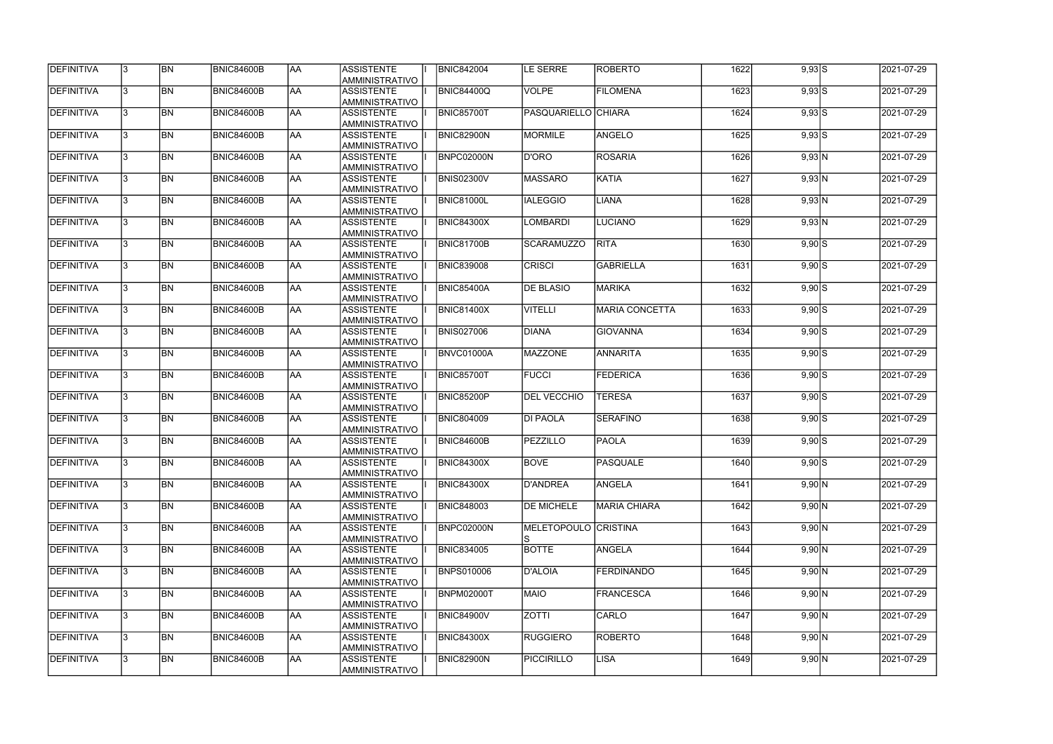| <b>DEFINITIVA</b> | 13. | <b>BN</b> | <b>BNIC84600B</b> | <b>AA</b> | ASSISTENTE<br>AMMINISTRATIVO         | <b>BNIC842004</b> | LE SERRE                    | <b>ROBERTO</b>        | 1622 | $9,93$ S    | 2021-07-29 |
|-------------------|-----|-----------|-------------------|-----------|--------------------------------------|-------------------|-----------------------------|-----------------------|------|-------------|------------|
| DEFINITIVA        | 13. | <b>BN</b> | <b>BNIC84600B</b> | AA        | <b>ASSISTENTE</b><br>AMMINISTRATIVO  | <b>BNIC84400Q</b> | <b>VOLPE</b>                | <b>FILOMENA</b>       | 1623 | $9,93$ S    | 2021-07-29 |
| DEFINITIVA        | 13. | <b>BN</b> | <b>BNIC84600B</b> | AA        | <b>ASSISTENTE</b><br>AMMINISTRATIVO  | <b>BNIC85700T</b> | IPASQUARIELLO ICHIARA       |                       | 1624 | $9,93$ S    | 2021-07-29 |
| DEFINITIVA        | l3. | <b>BN</b> | <b>BNIC84600B</b> | AA        | <b>ASSISTENTE</b><br>AMMINISTRATIVO  | <b>BNIC82900N</b> | <b>MORMILE</b>              | <b>ANGELO</b>         | 1625 | $9,93$ S    | 2021-07-29 |
| DEFINITIVA        | l3. | <b>BN</b> | <b>BNIC84600B</b> | <b>AA</b> | <b>ASSISTENTE</b><br>AMMINISTRATIVO  | BNPC02000N        | D'ORO                       | <b>ROSARIA</b>        | 1626 | 9,93 N      | 2021-07-29 |
| DEFINITIVA        | l3. | <b>BN</b> | <b>BNIC84600B</b> | <b>AA</b> | <b>ASSISTENTE</b><br>AMMINISTRATIVO  | <b>BNIS02300V</b> | <b>MASSARO</b>              | <b>KATIA</b>          | 1627 | 9,93 N      | 2021-07-29 |
| <b>DEFINITIVA</b> | 3   | <b>BN</b> | BNIC84600B        | laa       | <b>ASSISTENTE</b><br>AMMINISTRATIVO  | <b>BNIC81000L</b> | <b>IALEGGIO</b>             | <b>LIANA</b>          | 1628 | 9,93 N      | 2021-07-29 |
| DEFINITIVA        |     | <b>BN</b> | <b>BNIC84600B</b> | AA        | <b>ASSISTENTE</b><br>AMMINISTRATIVO  | <b>BNIC84300X</b> | <b>LOMBARDI</b>             | <b>LUCIANO</b>        | 1629 | 9,93 N      | 2021-07-29 |
| DEFINITIVA        |     | <b>BN</b> | <b>BNIC84600B</b> | AA        | <b>ASSISTENTE</b><br>AMMINISTRATIVO  | BNIC81700B        | <b>SCARAMUZZO</b>           | <b>RITA</b>           | 1630 | $9,90$ S    | 2021-07-29 |
| DEFINITIVA        |     | <b>BN</b> | <b>BNIC84600B</b> | laa       | <b>ASSISTENTE</b><br>AMMINISTRATIVO  | <b>BNIC839008</b> | <b>CRISCI</b>               | <b>GABRIELLA</b>      | 1631 | $9,90$ S    | 2021-07-29 |
| DEFINITIVA        | l3. | <b>BN</b> | <b>BNIC84600B</b> | laa       | <b>ASSISTENTE</b><br>Iamministrativo | <b>BNIC85400A</b> | <b>DE BLASIO</b>            | <b>MARIKA</b>         | 1632 | $9,90$ S    | 2021-07-29 |
| DEFINITIVA        | l3. | <b>BN</b> | <b>BNIC84600B</b> | AA        | <b>ASSISTENTE</b><br>AMMINISTRATIVO  | <b>BNIC81400X</b> | <b>VITELLI</b>              | <b>MARIA CONCETTA</b> | 1633 | $9,90$ S    | 2021-07-29 |
| DEFINITIVA        | 3   | <b>BN</b> | BNIC84600B        | AA        | <b>ASSISTENTE</b><br>AMMINISTRATIVO  | <b>BNIS027006</b> | DIANA                       | <b>GIOVANNA</b>       | 1634 | $9,90$ S    | 2021-07-29 |
| DEFINITIVA        |     | <b>BN</b> | <b>BNIC84600B</b> | laa       | <b>ASSISTENTE</b><br>AMMINISTRATIVO  | BNVC01000A        | <b>MAZZONE</b>              | ANNARITA              | 1635 | $9,90$ S    | 2021-07-29 |
| DEFINITIVA        | l3  | <b>BN</b> | <b>BNIC84600B</b> | AA        | <b>ASSISTENTE</b><br>AMMINISTRATIVO  | <b>BNIC85700T</b> | <b>FUCCI</b>                | <b>FEDERICA</b>       | 1636 | $9,90$ S    | 2021-07-29 |
| DEFINITIVA        | l3. | <b>BN</b> | <b>BNIC84600B</b> | AA        | <b>ASSISTENTE</b><br>AMMINISTRATIVO  | <b>BNIC85200P</b> | <b>DEL VECCHIO</b>          | <b>TERESA</b>         | 1637 | $9,90$ $S$  | 2021-07-29 |
| <b>DEFINITIVA</b> |     | <b>BN</b> | <b>BNIC84600B</b> | AA        | <b>ASSISTENTE</b><br>AMMINISTRATIVO  | <b>BNIC804009</b> | <b>DI PAOLA</b>             | <b>SERAFINO</b>       | 1638 | $9,90$ S    | 2021-07-29 |
| DEFINITIVA        |     | <b>BN</b> | <b>BNIC84600B</b> | AA        | <b>ASSISTENTE</b><br>AMMINISTRATIVO  | <b>BNIC84600B</b> | PEZZILLO                    | <b>PAOLA</b>          | 1639 | $9,90$ $S$  | 2021-07-29 |
| <b>DEFINITIVA</b> | 13  | <b>BN</b> | <b>BNIC84600B</b> | AA        | ASSISTENTE <br>IAMMINISTRATIVO       | <b>BNIC84300X</b> | <b>BOVE</b>                 | <b>PASQUALE</b>       | 1640 | $9,90$ S    | 2021-07-29 |
| DEFINITIVA        | 13. | <b>BN</b> | <b>BNIC84600B</b> | AA        | ASSISTENTE<br>AMMINISTRATIVO         | <b>BNIC84300X</b> | D'ANDREA                    | ANGELA                | 1641 | 9,90 N      | 2021-07-29 |
| DEFINITIVA        | l3. | <b>BN</b> | <b>BNIC84600B</b> | AA        | ASSISTENTE<br>AMMINISTRATIVO         | <b>BNIC848003</b> | <b>DE MICHELE</b>           | <b>MARIA CHIARA</b>   | 1642 | 9,90 N      | 2021-07-29 |
| DEFINITIVA        | l3. | <b>BN</b> | <b>BNIC84600B</b> | <b>AA</b> | <b>ASSISTENTE</b><br>AMMINISTRATIVO  | BNPC02000N        | MELETOPOULO CRISTINA<br>IS. |                       | 1643 | 9,90 N      | 2021-07-29 |
| DEFINITIVA        | 3   | <b>BN</b> | <b>BNIC84600B</b> | AA        | <b>ASSISTENTE</b><br>AMMINISTRATIVO  | <b>BNIC834005</b> | <b>BOTTE</b>                | <b>ANGELA</b>         | 1644 | 9,90 N      | 2021-07-29 |
| DEFINITIVA        |     | <b>BN</b> | <b>BNIC84600B</b> | AA        | ASSISTENTE<br>AMMINISTRATIVO         | <b>BNPS010006</b> | <b>D'ALOIA</b>              | <b>FERDINANDO</b>     | 1645 | 9,90 N      | 2021-07-29 |
| DEFINITIVA        |     | BN        | <b>BNIC84600B</b> | AA        | <b>ASSISTENTE</b><br>AMMINISTRATIVO  | <b>BNPM02000T</b> | <b>MAIO</b>                 | <b>FRANCESCA</b>      | 1646 | $9,90 \, N$ | 2021-07-29 |
| DEFINITIVA        | l3. | <b>BN</b> | BNIC84600B        | AA        | <b>ASSISTENTE</b><br>AMMINISTRATIVO  | <b>BNIC84900V</b> | <b>ZOTTI</b>                | <b>CARLO</b>          | 1647 | $9,90 \, N$ | 2021-07-29 |
| DEFINITIVA        | 13. | <b>BN</b> | <b>BNIC84600B</b> | AA        | <b>ASSISTENTE</b><br>AMMINISTRATIVO  | <b>BNIC84300X</b> | <b>RUGGIERO</b>             | <b>ROBERTO</b>        | 1648 | 9,90 N      | 2021-07-29 |
| DEFINITIVA        |     | <b>BN</b> | <b>BNIC84600B</b> | AA        | ASSISTENTE<br>AMMINISTRATIVO         | <b>BNIC82900N</b> | PICCIRILLO                  | <b>LISA</b>           | 1649 | 9,90 N      | 2021-07-29 |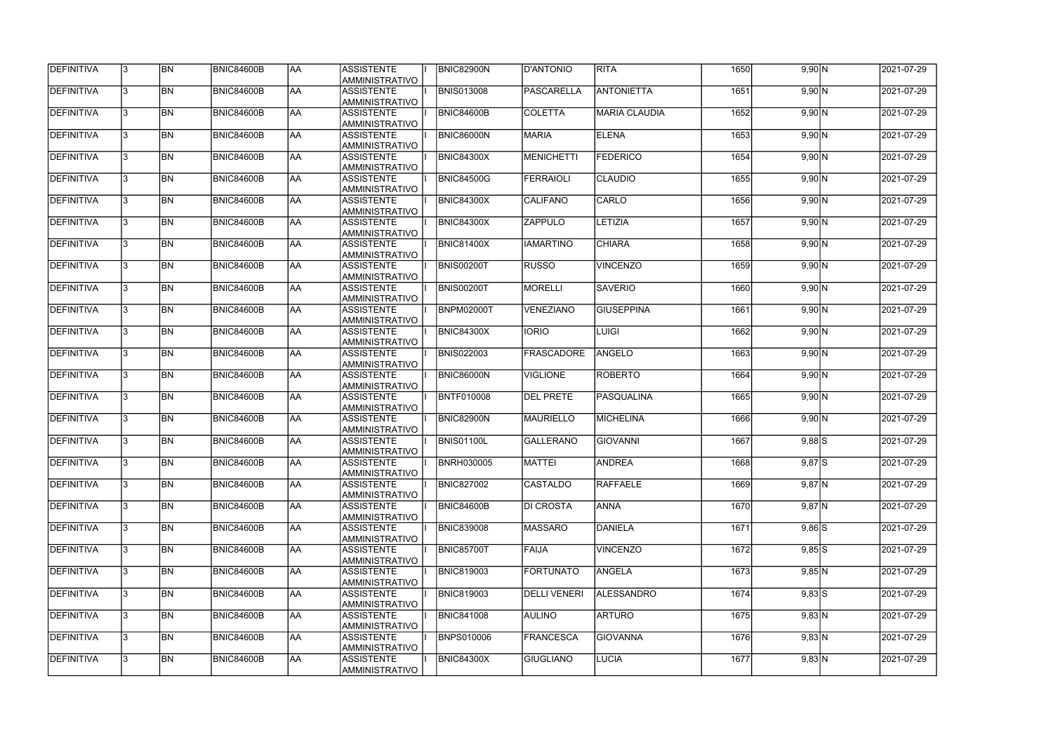| DEFINITIVA        | 13.          | <b>BN</b> | <b>BNIC84600B</b> | <b>JAA</b> | ASSISTENTE<br><b>AMMINISTRATIVO</b>        | <b>BNIC82900N</b> | D'ANTONIO           | <b>RITA</b>          | 1650 | $9,90$ N    | 2021-07-29           |
|-------------------|--------------|-----------|-------------------|------------|--------------------------------------------|-------------------|---------------------|----------------------|------|-------------|----------------------|
| DEFINITIVA        | 3            | <b>BN</b> | <b>BNIC84600B</b> | AA         | ASSISTENTE<br>AMMINISTRATIVO               | <b>BNIS013008</b> | PASCARELLA          | <b>ANTONIETTA</b>    | 1651 | 9,90 N      | 2021-07-29           |
| DEFINITIVA        | l3.          | <b>BN</b> | <b>BNIC84600B</b> | AA         | <b>ASSISTENTE</b><br>AMMINISTRATIVO        | BNIC84600B        | <b>COLETTA</b>      | <b>MARIA CLAUDIA</b> | 1652 | 9,90 N      | 2021-07-29           |
| DEFINITIVA        |              | <b>BN</b> | <b>BNIC84600B</b> | AA         | ASSISTENTE<br><b>AMMINISTRATIVO</b>        | <b>BNIC86000N</b> | <b>MARIA</b>        | <b>ELENA</b>         | 1653 | 9,90 N      | 2021-07-29           |
| DEFINITIVA        | 3            | <b>BN</b> | BNIC84600B        | <b>JAA</b> | ASSISTENTE<br><b>AMMINISTRATIVO</b>        | <b>BNIC84300X</b> | <b>MENICHETTI</b>   | <b>FEDERICO</b>      | 1654 | $9,90$ N    | 2021-07-29           |
| DEFINITIVA        |              | <b>BN</b> | BNIC84600B        | AA         | <b>ASSISTENTE</b><br><b>AMMINISTRATIVO</b> | <b>BNIC84500G</b> | <b>FERRAIOLI</b>    | <b>CLAUDIO</b>       | 1655 | 9,90 N      | 2021-07-29           |
| DEFINITIVA        |              | <b>BN</b> | <b>BNIC84600B</b> | <b>JAA</b> | <b>ASSISTENTE</b><br><b>AMMINISTRATIVO</b> | <b>BNIC84300X</b> | <b>CALIFANO</b>     | CARLO                | 1656 | 9,90 N      | 2021-07-29           |
| DEFINITIVA        |              | <b>BN</b> | <b>BNIC84600B</b> | AA         | <b>ASSISTENTE</b><br><b>AMMINISTRATIVO</b> | <b>BNIC84300X</b> | <b>ZAPPULO</b>      | LETIZIA              | 1657 | 9,90 N      | 2021-07-29           |
| DEFINITIVA        |              | <b>BN</b> | <b>BNIC84600B</b> | <b>JAA</b> | <b>ASSISTENTE</b><br>AMMINISTRATIVO        | <b>BNIC81400X</b> | <b>IAMARTINO</b>    | <b>CHIARA</b>        | 1658 | $9,90 \, N$ | 2021-07-29           |
| <b>DEFINITIVA</b> |              | <b>BN</b> | <b>BNIC84600B</b> | <b>JAA</b> | <b>ASSISTENTE</b><br>AMMINISTRATIVO        | <b>BNIS00200T</b> | <b>RUSSO</b>        | <b>VINCENZO</b>      | 1659 | 9,90 N      | 2021-07-29           |
| DEFINITIVA        | 3            | <b>BN</b> | <b>BNIC84600B</b> | AA         | <b>ASSISTENTE</b><br>AMMINISTRATIVO        | <b>BNIS00200T</b> | <b>MORELLI</b>      | <b>SAVERIO</b>       | 1660 | 9,90 N      | 2021-07-29           |
| DEFINITIVA        |              | <b>BN</b> | <b>BNIC84600B</b> | <b>AA</b>  | <b>ASSISTENTE</b><br><b>AMMINISTRATIVO</b> | <b>BNPM02000T</b> | <b>VENEZIANO</b>    | <b>GIUSEPPINA</b>    | 1661 | 9,90 N      | 2021-07-29           |
| DEFINITIVA        | 3            | <b>BN</b> | <b>BNIC84600B</b> | AA         | ASSISTENTE<br>AMMINISTRATIVO               | <b>BNIC84300X</b> | <b>IORIO</b>        | <b>LUIGI</b>         | 1662 | 9,90 N      | 2021-07-29           |
| <b>DEFINITIVA</b> |              | <b>BN</b> | <b>BNIC84600B</b> | AA         | <b>ASSISTENTE</b><br><b>AMMINISTRATIVO</b> | <b>BNIS022003</b> | <b>FRASCADORE</b>   | <b>ANGELO</b>        | 1663 | 9,90 N      | 2021-07-29           |
| DEFINITIVA        |              | <b>BN</b> | <b>BNIC84600B</b> | AA         | <b>ASSISTENTE</b><br><b>AMMINISTRATIVO</b> | <b>BNIC86000N</b> | <b>VIGLIONE</b>     | <b>ROBERTO</b>       | 1664 | 9,90 N      | 2021-07-29           |
| DEFINITIVA        |              | <b>BN</b> | <b>BNIC84600B</b> | AA         | <b>ASSISTENTE</b><br><b>AMMINISTRATIVO</b> | <b>BNTF010008</b> | <b>DEL PRETE</b>    | PASQUALINA           | 1665 | 9,90 N      | 2021-07-29           |
| DEFINITIVA        |              | <b>BN</b> | <b>BNIC84600B</b> | AA         | <b>ASSISTENTE</b><br>AMMINISTRATIVO        | <b>BNIC82900N</b> | MAURIELLO           | <b>MICHELINA</b>     | 1666 | 9,90 N      | 2021-07-29           |
| DEFINITIVA        |              | <b>BN</b> | <b>BNIC84600B</b> | AA         | <b>ASSISTENTE</b><br>AMMINISTRATIVO        | <b>BNIS01100L</b> | <b>GALLERANO</b>    | <b>GIOVANNI</b>      | 1667 | $9,88$ S    | 2021-07-29           |
| DEFINITIVA        | 13           | BN        | <b>BNIC84600B</b> | <b>JAA</b> | <b>ASSISTENTE</b><br>AMMINISTRATIVO        | <b>BNRH030005</b> | <b>MATTEI</b>       | <b>ANDREA</b>        | 1668 | $9,87$ $S$  | 2021-07-29           |
| <b>DEFINITIVA</b> | $\mathbf{3}$ | <b>BN</b> | BNIC84600B        | <b>AA</b>  | <b>ASSISTENTE</b><br>AMMINISTRATIVO        | <b>BNIC827002</b> | <b>CASTALDO</b>     | <b>RAFFAELE</b>      | 1669 | $9,87$ N    | 2021-07-29           |
| <b>DEFINITIVA</b> | $\mathbf{3}$ | <b>BN</b> | <b>BNIC84600B</b> | <b>AA</b>  | <b>ASSISTENTE</b><br>AMMINISTRATIVO        | <b>BNIC84600B</b> | <b>DI CROSTA</b>    | <b>ANNA</b>          | 1670 | $9,87$ N    | $\sqrt{2021-07}$ -29 |
| <b>DEFINITIVA</b> |              | <b>BN</b> | <b>BNIC84600B</b> | AA         | ASSISTENTE<br><b>AMMINISTRATIVO</b>        | <b>BNIC839008</b> | <b>MASSARO</b>      | <b>DANIELA</b>       | 1671 | $9,86$ S    | 2021-07-29           |
| <b>DEFINITIVA</b> |              | BN        | <b>BNIC84600B</b> | AA         | ASSISTENTE<br>AMMINISTRATIVO               | BNIC85700T        | FAIJA               | <b>VINCENZO</b>      | 1672 | $9,85$ S    | 2021-07-29           |
| DEFINITIVA        |              | <b>BN</b> | <b>BNIC84600B</b> | AA         | <b>ASSISTENTE</b><br>AMMINISTRATIVO        | <b>BNIC819003</b> | <b>FORTUNATO</b>    | <b>ANGELA</b>        | 1673 | $9,85$ N    | 2021-07-29           |
| DEFINITIVA        |              | <b>BN</b> | BNIC84600B        | AA         | ASSISTENTE<br>AMMINISTRATIVO               | <b>BNIC819003</b> | <b>DELLI VENERI</b> | <b>ALESSANDRO</b>    | 1674 | $9,83$ $S$  | 2021-07-29           |
| DEFINITIVA        |              | <b>BN</b> | BNIC84600B        | AA         | ASSISTENTE<br>AMMINISTRATIVO               | <b>BNIC841008</b> | <b>AULINO</b>       | <b>ARTURO</b>        | 1675 | 9,83 N      | 2021-07-29           |
| DEFINITIVA        |              | <b>BN</b> | <b>BNIC84600B</b> | AA         | ASSISTENTE<br>AMMINISTRATIVO               | <b>BNPS010006</b> | <b>FRANCESCA</b>    | <b>GIOVANNA</b>      | 1676 | $9,83$ N    | 2021-07-29           |
| <b>DEFINITIVA</b> |              | <b>BN</b> | <b>BNIC84600B</b> | <b>AA</b>  | <b>ASSISTENTE</b><br>AMMINISTRATIVO        | BNIC84300X        | <b>GIUGLIANO</b>    | <b>LUCIA</b>         | 1677 | 9,83 N      | 2021-07-29           |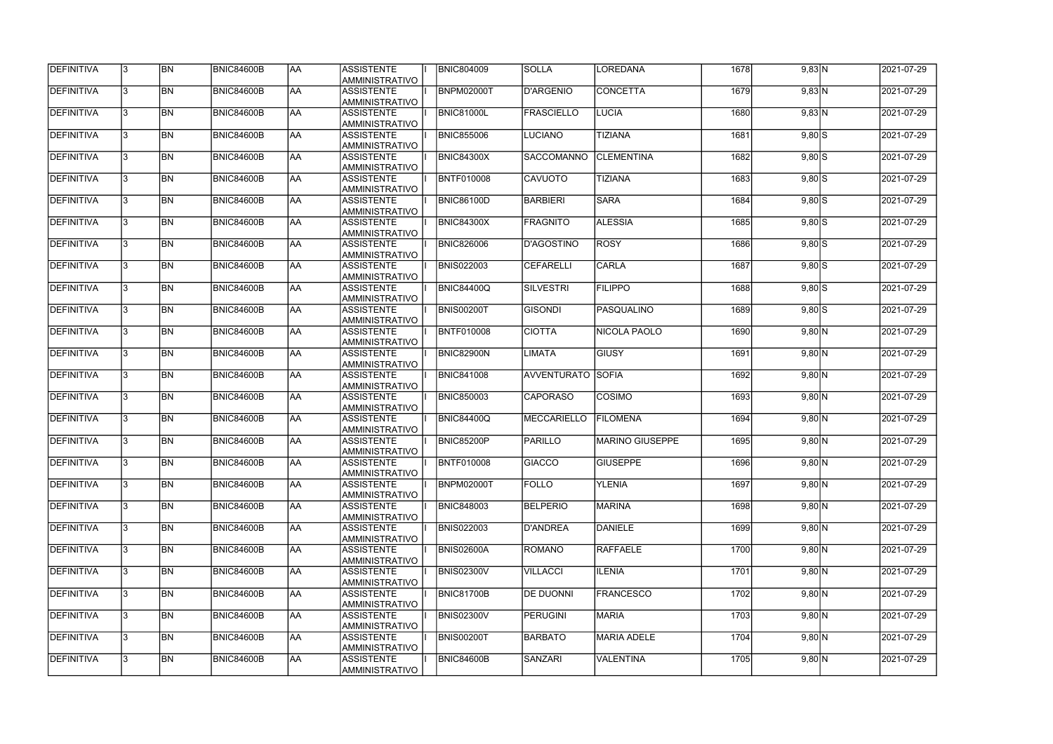| DEFINITIVA        | 13.          | <b>BN</b> | <b>BNIC84600B</b> | AA        | <b>ASSISTENTE</b><br>AMMINISTRATIVO        | <b>BNIC804009</b> | <b>SOLLA</b>      | <b>LOREDANA</b>        | 1678 | 9,83 N     | 2021-07-29 |
|-------------------|--------------|-----------|-------------------|-----------|--------------------------------------------|-------------------|-------------------|------------------------|------|------------|------------|
| <b>DEFINITIVA</b> | l3.          | <b>BN</b> | BNIC84600B        | AA        | <b>ASSISTENTE</b><br>AMMINISTRATIVO        | <b>BNPM02000T</b> | <b>D'ARGENIO</b>  | <b>CONCETTA</b>        | 1679 | $9,83$ N   | 2021-07-29 |
| DEFINITIVA        |              | <b>BN</b> | <b>BNIC84600B</b> | <b>AA</b> | <b>ASSISTENTE</b><br>AMMINISTRATIVO        | <b>BNIC81000L</b> | <b>FRASCIELLO</b> | <b>LUCIA</b>           | 1680 | $9,83$ N   | 2021-07-29 |
| <b>DEFINITIVA</b> | $\mathbf{3}$ | <b>BN</b> | BNIC84600B        | <b>AA</b> | <b>ASSISTENTE</b><br>AMMINISTRATIVO        | <b>BNIC855006</b> | <b>LUCIANO</b>    | <b>TIZIANA</b>         | 1681 | $9,80$ S   | 2021-07-29 |
| <b>DEFINITIVA</b> |              | <b>BN</b> | BNIC84600B        | <b>AA</b> | <b>ASSISTENTE</b><br>AMMINISTRATIVO        | <b>BNIC84300X</b> | SACCOMANNO        | <b>CLEMENTINA</b>      | 1682 | $9,80$ S   | 2021-07-29 |
| DEFINITIVA        |              | <b>BN</b> | BNIC84600B        | laa       | <b>ASSISTENTE</b><br><b>AMMINISTRATIVO</b> | BNTF010008        | CAVUOTO           | <b>TIZIANA</b>         | 1683 | $9,80$ S   | 2021-07-29 |
| DEFINITIVA        |              | <b>BN</b> | <b>BNIC84600B</b> | <b>AA</b> | <b>ASSISTENTE</b><br><b>AMMINISTRATIVO</b> | <b>BNIC86100D</b> | BARBIERI          | <b>SARA</b>            | 1684 | $9,80$ S   | 2021-07-29 |
| DEFINITIVA        |              | <b>BN</b> | BNIC84600B        | <b>AA</b> | <b>ASSISTENTE</b><br>AMMINISTRATIVO        | <b>BNIC84300X</b> | <b>FRAGNITO</b>   | <b>ALESSIA</b>         | 1685 | $9,80$ S   | 2021-07-29 |
| DEFINITIVA        |              | <b>BN</b> | <b>BNIC84600B</b> | <b>AA</b> | <b>ASSISTENTE</b><br>AMMINISTRATIVO        | <b>BNIC826006</b> | D'AGOSTINO        | <b>ROSY</b>            | 1686 | $9,80$ $S$ | 2021-07-29 |
| DEFINITIVA        |              | <b>BN</b> | BNIC84600B        | <b>AA</b> | <b>ASSISTENTE</b><br>AMMINISTRATIVO        | <b>BNIS022003</b> | CEFARELLI         | <b>CARLA</b>           | 1687 | $9,80$ S   | 2021-07-29 |
| DEFINITIVA        |              | <b>BN</b> | <b>BNIC84600B</b> | <b>AA</b> | <b>ASSISTENTE</b><br>AMMINISTRATIVO        | <b>BNIC84400Q</b> | SILVESTRI         | <b>FILIPPO</b>         | 1688 | $9,80$ S   | 2021-07-29 |
| DEFINITIVA        |              | <b>BN</b> | BNIC84600B        | <b>AA</b> | <b>ASSISTENTE</b><br>AMMINISTRATIVO        | <b>BNIS00200T</b> | <b>GISONDI</b>    | PASQUALINO             | 1689 | $9,80$ S   | 2021-07-29 |
| DEFINITIVA        |              | <b>BN</b> | <b>BNIC84600B</b> | <b>AA</b> | <b>ASSISTENTE</b><br>AMMINISTRATIVO        | BNTF010008        | CIOTTA            | NICOLA PAOLO           | 1690 | $9,80$ N   | 2021-07-29 |
| DEFINITIVA        |              | <b>BN</b> | <b>BNIC84600B</b> | <b>AA</b> | <b>ASSISTENTE</b><br><b>AMMINISTRATIVO</b> | <b>BNIC82900N</b> | <b>LIMATA</b>     | <b>GIUSY</b>           | 1691 | 9,80 N     | 2021-07-29 |
| DEFINITIVA        |              | <b>BN</b> | <b>BNIC84600B</b> | <b>AA</b> | <b>ASSISTENTE</b><br><b>AMMINISTRATIVO</b> | <b>BNIC841008</b> | AVVENTURATO       | <b>SOFIA</b>           | 1692 | 9,80 N     | 2021-07-29 |
| DEFINITIVA        |              | <b>BN</b> | <b>BNIC84600B</b> | laa       | <b>ASSISTENTE</b><br>AMMINISTRATIVO        | <b>BNIC850003</b> | <b>CAPORASO</b>   | <b>COSIMO</b>          | 1693 | $9,80\,N$  | 2021-07-29 |
| DEFINITIVA        | $\mathbf{R}$ | <b>BN</b> | BNIC84600B        | laa       | <b>ASSISTENTE</b><br>AMMINISTRATIVO        | <b>BNIC84400Q</b> | MECCARIELLO       | <b>FILOMENA</b>        | 1694 | $9,80$ N   | 2021-07-29 |
| DEFINITIVA        |              | <b>BN</b> | BNIC84600B        | <b>AA</b> | <b>ASSISTENTE</b><br>AMMINISTRATIVO        | <b>BNIC85200P</b> | PARILLO           | <b>MARINO GIUSEPPE</b> | 1695 | $9,80$ N   | 2021-07-29 |
| DEFINITIVA        | 13.          | <b>BN</b> | <b>BNIC84600B</b> | AA        | <b>ASSISTENTE</b><br>AMMINISTRATIVO        | <b>BNTF010008</b> | <b>GIACCO</b>     | <b>GIUSEPPE</b>        | 1696 | 9,80 N     | 2021-07-29 |
| <b>DEFINITIVA</b> | $\mathbf{3}$ | <b>BN</b> | BNIC84600B        | <b>AA</b> | <b>ASSISTENTE</b><br>AMMINISTRATIVO        | <b>BNPM02000T</b> | <b>FOLLO</b>      | <b>YLENIA</b>          | 1697 | 9,80 N     | 2021-07-29 |
| <b>DEFINITIVA</b> | 13.          | <b>BN</b> | BNIC84600B        | AA        | <b>ASSISTENTE</b><br>AMMINISTRATIVO        | <b>BNIC848003</b> | <b>BELPERIO</b>   | <b>MARINA</b>          | 1698 | $9,80$ N   | 2021-07-29 |
| DEFINITIVA        |              | <b>BN</b> | BNIC84600B        | <b>AA</b> | <b>ASSISTENTE</b><br>AMMINISTRATIVO        | <b>BNIS022003</b> | D'ANDREA          | <b>DANIELE</b>         | 1699 | $9,80$ N   | 2021-07-29 |
| DEFINITIVA        |              | <b>BN</b> | BNIC84600B        | <b>AA</b> | <b>ASSISTENTE</b><br>AMMINISTRATIVO        | <b>BNIS02600A</b> | ROMANO            | <b>RAFFAELE</b>        | 1700 | $9,80$ N   | 2021-07-29 |
| DEFINITIVA        |              | <b>BN</b> | BNIC84600B        | AA        | <b>ASSISTENTE</b><br>AMMINISTRATIVO        | <b>BNIS02300V</b> | <b>VILLACCI</b>   | <b>LENIA</b>           | 1701 | $9,80$ N   | 2021-07-29 |
| DEFINITIVA        |              | <b>BN</b> | BNIC84600B        | <b>AA</b> | ASSISTENTE<br>AMMINISTRATIVO               | <b>BNIC81700B</b> | <b>DE DUONNI</b>  | <b>FRANCESCO</b>       | 1702 | $9,80$ N   | 2021-07-29 |
| DEFINITIVA        |              | <b>BN</b> | BNIC84600B        | <b>AA</b> | ASSISTENTE<br>AMMINISTRATIVO               | <b>BNIS02300V</b> | PERUGINI          | <b>MARIA</b>           | 1703 | 9,80 N     | 2021-07-29 |
| <b>DEFINITIVA</b> | l3.          | <b>BN</b> | BNIC84600B        | <b>AA</b> | ASSISTENTE<br>AMMINISTRATIVO               | <b>BNIS00200T</b> | <b>BARBATO</b>    | <b>MARIA ADELE</b>     | 1704 | 9,80 N     | 2021-07-29 |
| <b>DEFINITIVA</b> |              | <b>BN</b> | BNIC84600B        | <b>AA</b> | <b>ASSISTENTE</b><br>AMMINISTRATIVO        | <b>BNIC84600B</b> | SANZARI           | <b>VALENTINA</b>       | 1705 | 9,80 N     | 2021-07-29 |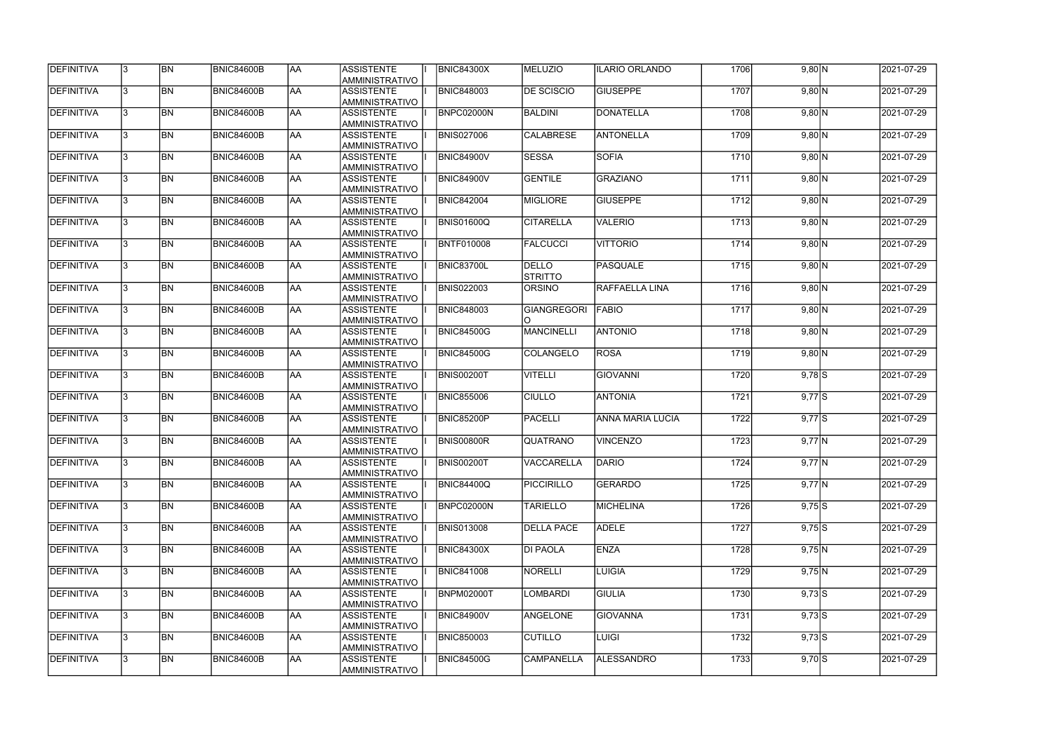| DEFINITIVA        | 13.          | <b>BN</b>       | <b>BNIC84600B</b> | <b>JAA</b> | <b>ASSISTENTE</b>                                     | <b>BNIC84300X</b> | MELUZIO                 | <b>ILARIO ORLANDO</b>   | 1706 | $9,80$ N | 2021-07-29 |
|-------------------|--------------|-----------------|-------------------|------------|-------------------------------------------------------|-------------------|-------------------------|-------------------------|------|----------|------------|
| <b>DEFINITIVA</b> | l3.          | <b>BN</b>       | BNIC84600B        | <b>JAA</b> | AMMINISTRATIVO<br><b>ASSISTENTE</b><br>AMMINISTRATIVO | <b>BNIC848003</b> | <b>DE SCISCIO</b>       | <b>GIUSEPPE</b>         | 1707 | 9,80 N   | 2021-07-29 |
| DEFINITIVA        |              | <b>BN</b>       | <b>BNIC84600B</b> | AA         | <b>ASSISTENTE</b><br>AMMINISTRATIVO                   | <b>BNPC02000N</b> | <b>BALDINI</b>          | <b>DONATELLA</b>        | 1708 | 9,80 N   | 2021-07-29 |
| <b>DEFINITIVA</b> | $\mathbf{3}$ | <b>BN</b>       | BNIC84600B        | <b>AA</b>  | ASSISTENTE<br>AMMINISTRATIVO                          | <b>BNIS027006</b> | <b>CALABRESE</b>        | <b>ANTONELLA</b>        | 1709 | $9,80$ N | 2021-07-29 |
| <b>DEFINITIVA</b> |              | <b>BN</b>       | BNIC84600B        | AA         | ASSISTENTE<br><b>AMMINISTRATIVO</b>                   | <b>BNIC84900V</b> | <b>SESSA</b>            | <b>SOFIA</b>            | 1710 | 9,80 N   | 2021-07-29 |
| DEFINITIVA        |              | <b>BN</b>       | BNIC84600B        | <b>JAA</b> | <b>ASSISTENTE</b><br>AMMINISTRATIVO                   | <b>BNIC84900V</b> | <b>GENTILE</b>          | <b>GRAZIANO</b>         | 1711 | 9,80 N   | 2021-07-29 |
| DEFINITIVA        |              | <b>BN</b>       | <b>BNIC84600B</b> | AA         | <b>ASSISTENTE</b><br><b>AMMINISTRATIVO</b>            | <b>BNIC842004</b> | MIGLIORE                | <b>GIUSEPPE</b>         | 1712 | 9,80 N   | 2021-07-29 |
| DEFINITIVA        |              | <b>BN</b>       | BNIC84600B        | AA         | <b>ASSISTENTE</b><br>AMMINISTRATIVO                   | <b>BNIS01600Q</b> | <b>CITARELLA</b>        | <b>VALERIO</b>          | 1713 | $9,80$ N | 2021-07-29 |
| <b>DEFINITIVA</b> |              | <b>BN</b>       | <b>BNIC84600B</b> | AA         | <b>ASSISTENTE</b><br>AMMINISTRATIVO                   | <b>BNTF010008</b> | <b>FALCUCCI</b>         | <b>VITTORIO</b>         | 1714 | 9,80 N   | 2021-07-29 |
| DEFINITIVA        |              | <b>BN</b>       | BNIC84600B        | <b>JAA</b> | ASSISTENTE<br>AMMINISTRATIVO                          | BNIC83700L        | <b>DELLO</b><br>STRITTO | PASQUALE                | 1715 | 9,80 N   | 2021-07-29 |
| DEFINITIVA        |              | <b>BN</b>       | <b>BNIC84600B</b> | AA         | ASSISTENTE<br>AMMINISTRATIVO                          | <b>BNIS022003</b> | <b>ORSINO</b>           | <b>RAFFAELLA LINA</b>   | 1716 | 9,80 N   | 2021-07-29 |
| DEFINITIVA        |              | <b>BN</b>       | BNIC84600B        | <b>AA</b>  | ASSISTENTE<br>AMMINISTRATIVO                          | <b>BNIC848003</b> | <b>GIANGREGORI</b>      | <b>FABIO</b>            | 1717 | 9,80 N   | 2021-07-29 |
| <b>DEFINITIVA</b> |              | <b>BN</b>       | <b>BNIC84600B</b> | AA         | ASSISTENTE<br>AMMINISTRATIVO                          | <b>BNIC84500G</b> | MANCINELLI              | <b>ANTONIO</b>          | 1718 | 9,80 N   | 2021-07-29 |
| <b>DEFINITIVA</b> |              | <b>BN</b>       | <b>BNIC84600B</b> | <b>JAA</b> | <b>ASSISTENTE</b><br><b>AMMINISTRATIVO</b>            | <b>BNIC84500G</b> | <b>COLANGELO</b>        | <b>ROSA</b>             | 1719 | 9,80 N   | 2021-07-29 |
| <b>DEFINITIVA</b> |              | <b>BN</b>       | <b>BNIC84600B</b> | AA         | <b>ASSISTENTE</b><br><b>AMMINISTRATIVO</b>            | <b>BNIS00200T</b> | <b>VITELLI</b>          | <b>GIOVANNI</b>         | 1720 | $9,78$ S | 2021-07-29 |
| DEFINITIVA        |              | <b>BN</b>       | <b>BNIC84600B</b> | AA         | <b>ASSISTENTE</b><br>AMMINISTRATIVO                   | <b>BNIC855006</b> | <b>CIULLO</b>           | <b>ANTONIA</b>          | 1721 | $9,77$ S | 2021-07-29 |
| DEFINITIVA        | 3            | <b>BN</b>       | BNIC84600B        | AA         | <b>ASSISTENTE</b><br>AMMINISTRATIVO                   | BNIC85200P        | PACELLI                 | <b>ANNA MARIA LUCIA</b> | 1722 | $9,77$ S | 2021-07-29 |
| DEFINITIVA        |              | <b>BN</b>       | <b>BNIC84600B</b> | AA         | <b>ASSISTENTE</b><br>AMMINISTRATIVO                   | BNIS00800R        | <b>QUATRANO</b>         | <b>VINCENZO</b>         | 1723 | $9,77$ N | 2021-07-29 |
| DEFINITIVA        | 13.          | <b>BN</b>       | <b>BNIC84600B</b> | <b>JAA</b> | <b>ASSISTENTE</b><br>AMMINISTRATIVO                   | <b>BNIS00200T</b> | VACCARELLA              | <b>DARIO</b>            | 1724 | $9,77$ N | 2021-07-29 |
| <b>DEFINITIVA</b> | $\mathbf{3}$ | $\overline{BN}$ | <b>BNIC84600B</b> | AA         | ASSISTENTE<br>AMMINISTRATIVO                          | <b>BNIC84400Q</b> | PICCIRILLO              | <b>GERARDO</b>          | 1725 | $9,77$ N | 2021-07-29 |
| <b>DEFINITIVA</b> | 13.          | <b>BN</b>       | <b>BNIC84600B</b> | AA         | <b>ASSISTENTE</b><br>AMMINISTRATIVO                   | BNPC02000N        | <b>TARIELLO</b>         | <b>MICHELINA</b>        | 1726 | $9,75$ S | 2021-07-29 |
| DEFINITIVA        |              | <b>BN</b>       | <b>BNIC84600B</b> | AA         | ASSISTENTE<br>AMMINISTRATIVO                          | <b>BNIS013008</b> | <b>DELLA PACE</b>       | <b>ADELE</b>            | 1727 | $9,75$ S | 2021-07-29 |
| DEFINITIVA        |              | <b>BN</b>       | <b>BNIC84600B</b> | AA         | ASSISTENTE<br><b>AMMINISTRATIVO</b>                   | <b>BNIC84300X</b> | <b>DI PAOLA</b>         | <b>ENZA</b>             | 1728 | 9,75 N   | 2021-07-29 |
| DEFINITIVA        |              | <b>BN</b>       | <b>BNIC84600B</b> | AA         | ASSISTENTE<br>AMMINISTRATIVO                          | <b>BNIC841008</b> | <b>NORELLI</b>          | LUIGIA                  | 1729 | $9,75$ N | 2021-07-29 |
| DEFINITIVA        |              | <b>BN</b>       | <b>BNIC84600B</b> | AA         | ASSISTENTE<br>AMMINISTRATIVO                          | BNPM02000T        | <b>LOMBARDI</b>         | <b>GIULIA</b>           | 1730 | $9,73$ S | 2021-07-29 |
| DEFINITIVA        |              | <b>BN</b>       | BNIC84600B        | AA         | ASSISTENTE<br>AMMINISTRATIVO                          | <b>BNIC84900V</b> | ANGELONE                | <b>GIOVANNA</b>         | 1731 | $9,73$ S | 2021-07-29 |
| <b>DEFINITIVA</b> | l3.          | <b>BN</b>       | BNIC84600B        | AA         | ASSISTENTE<br>AMMINISTRATIVO                          | <b>BNIC850003</b> | <b>CUTILLO</b>          | <b>LUIGI</b>            | 1732 | $9,73$ S | 2021-07-29 |
| <b>DEFINITIVA</b> |              | <b>BN</b>       | <b>BNIC84600B</b> | <b>AA</b>  | <b>ASSISTENTE</b><br>AMMINISTRATIVO                   | <b>BNIC84500G</b> | <b>CAMPANELLA</b>       | <b>ALESSANDRO</b>       | 1733 | $9,70$ S | 2021-07-29 |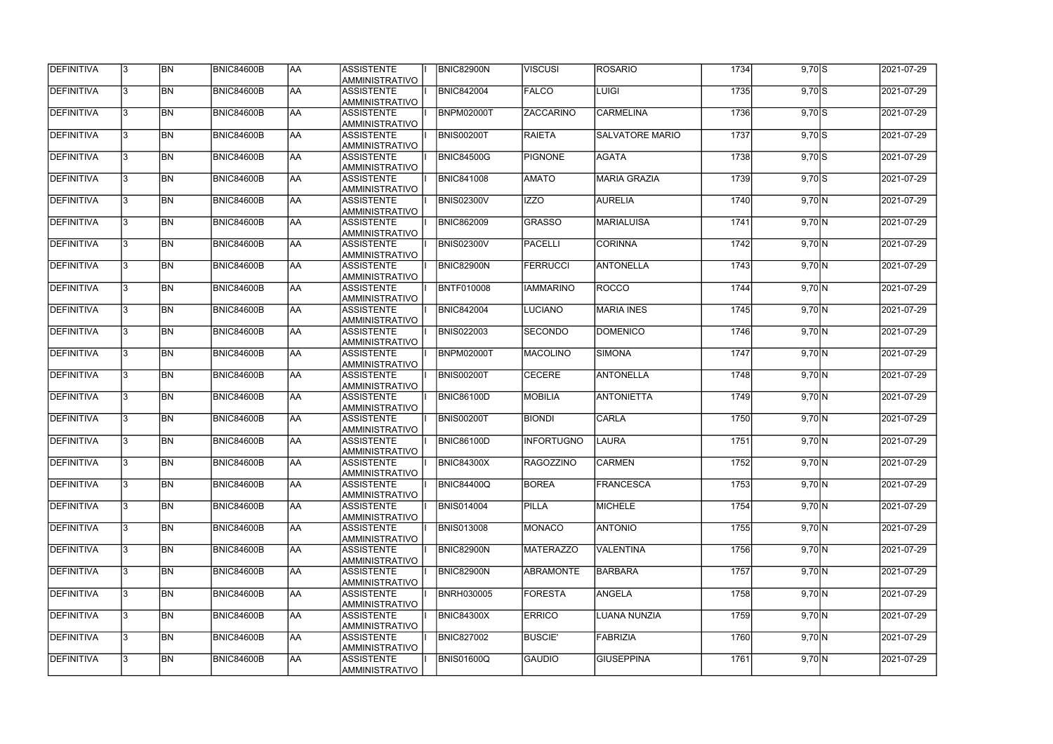| <b>DEFINITIVA</b> | 13. | <b>BN</b> | <b>BNIC84600B</b> | AA        | <b>ASSISTENTE</b><br>AMMINISTRATIVO        | <b>BNIC82900N</b> | <b>VISCUSI</b>    | <b>ROSARIO</b>         | 1734 | $9,70$ S    | 2021-07-29 |
|-------------------|-----|-----------|-------------------|-----------|--------------------------------------------|-------------------|-------------------|------------------------|------|-------------|------------|
| <b>DEFINITIVA</b> | 13. | <b>BN</b> | <b>BNIC84600B</b> | laa       | <b>ASSISTENTE</b><br>AMMINISTRATIVO        | <b>BNIC842004</b> | FALCO             | <b>LUIGI</b>           | 1735 | $9,70$ S    | 2021-07-29 |
| DEFINITIVA        | l3. | <b>BN</b> | <b>BNIC84600B</b> | AA        | <b>ASSISTENTE</b><br>AMMINISTRATIVO        | <b>BNPM02000T</b> | <b>ZACCARINO</b>  | <b>CARMELINA</b>       | 1736 | $9,70$ S    | 2021-07-29 |
| <b>DEFINITIVA</b> | l3. | <b>BN</b> | BNIC84600B        | <b>AA</b> | <b>ASSISTENTE</b><br>AMMINISTRATIVO        | <b>BNIS00200T</b> | <b>RAIETA</b>     | <b>SALVATORE MARIO</b> | 1737 | $9,70$ S    | 2021-07-29 |
| DEFINITIVA        | l3. | <b>BN</b> | <b>BNIC84600B</b> | laa       | <b>ASSISTENTE</b><br>AMMINISTRATIVO        | <b>BNIC84500G</b> | PIGNONE           | <b>AGATA</b>           | 1738 | $9,70$ S    | 2021-07-29 |
| DEFINITIVA        | 3   | <b>BN</b> | <b>BNIC84600B</b> | laa       | <b>ASSISTENTE</b><br>AMMINISTRATIVO        | <b>BNIC841008</b> | <b>AMATO</b>      | <b>MARIA GRAZIA</b>    | 1739 | $9,70$ S    | 2021-07-29 |
| DEFINITIVA        |     | <b>BN</b> | <b>BNIC84600B</b> | laa       | <b>ASSISTENTE</b><br><b>AMMINISTRATIVO</b> | <b>BNIS02300V</b> | <b>IZZO</b>       | <b>AURELIA</b>         | 1740 | 9,70 N      | 2021-07-29 |
| DEFINITIVA        |     | <b>BN</b> | BNIC84600B        | laa       | <b>ASSISTENTE</b><br>AMMINISTRATIVO        | <b>BNIC862009</b> | <b>GRASSO</b>     | <b>MARIALUISA</b>      | 1741 | 9,70 N      | 2021-07-29 |
| DEFINITIVA        |     | <b>BN</b> | <b>BNIC84600B</b> | AA        | <b>ASSISTENTE</b><br>AMMINISTRATIVO        | <b>BNIS02300V</b> | PACELLI           | <b>CORINNA</b>         | 1742 | 9,70 N      | 2021-07-29 |
| DEFINITIVA        | l3. | <b>BN</b> | <b>BNIC84600B</b> | laa       | <b>ASSISTENTE</b><br>AMMINISTRATIVO        | BNIC82900N        | <b>FERRUCCI</b>   | <b>ANTONELLA</b>       | 1743 | 9,70 N      | 2021-07-29 |
| DEFINITIVA        | l3  | <b>BN</b> | <b>BNIC84600B</b> | AA        | <b>ASSISTENTE</b><br>AMMINISTRATIVO        | <b>BNTF010008</b> | <b>IAMMARINO</b>  | <b>ROCCO</b>           | 1744 | 9,70 N      | 2021-07-29 |
| <b>DEFINITIVA</b> | 3   | <b>BN</b> | BNIC84600B        | <b>AA</b> | <b>ASSISTENTE</b><br>AMMINISTRATIVO        | <b>BNIC842004</b> | <b>LUCIANO</b>    | <b>MARIA INES</b>      | 1745 | $9,70$ N    | 2021-07-29 |
| DEFINITIVA        | 3   | <b>BN</b> | <b>BNIC84600B</b> | laa       | <b>ASSISTENTE</b><br>AMMINISTRATIVO        | <b>BNIS022003</b> | <b>SECONDO</b>    | <b>DOMENICO</b>        | 1746 | 9,70 N      | 2021-07-29 |
| DEFINITIVA        | 3   | <b>BN</b> | <b>BNIC84600B</b> | laa       | <b>ASSISTENTE</b><br>AMMINISTRATIVO        | BNPM02000T        | <b>MACOLINO</b>   | <b>SIMONA</b>          | 1747 | 9,70 N      | 2021-07-29 |
| DEFINITIVA        |     | <b>BN</b> | <b>BNIC84600B</b> | laa       | <b>ASSISTENTE</b><br><b>AMMINISTRATIVO</b> | <b>BNIS00200T</b> | <b>CECERE</b>     | <b>ANTONELLA</b>       | 1748 | 9,70 N      | 2021-07-29 |
| DEFINITIVA        | 3   | <b>BN</b> | <b>BNIC84600B</b> | laa       | <b>ASSISTENTE</b><br>AMMINISTRATIVO        | <b>BNIC86100D</b> | <b>MOBILIA</b>    | <b>ANTONIETTA</b>      | 1749 | 9,70 N      | 2021-07-29 |
| DEFINITIVA        | l3. | <b>BN</b> | <b>BNIC84600B</b> | laa       | <b>ASSISTENTE</b><br>AMMINISTRATIVO        | <b>BNIS00200T</b> | <b>BIONDI</b>     | <b>CARLA</b>           | 1750 | 9,70 N      | 2021-07-29 |
| DEFINITIVA        | 3   | <b>BN</b> | <b>BNIC84600B</b> | AA        | <b>ASSISTENTE</b><br>AMMINISTRATIVO        | <b>BNIC86100D</b> | <b>INFORTUGNO</b> | LAURA                  | 1751 | 9,70 N      | 2021-07-29 |
| DEFINITIVA        | 13  | <b>BN</b> | <b>BNIC84600B</b> | <b>AA</b> | <b>ASSISTENTE</b><br>AMMINISTRATIVO        | <b>BNIC84300X</b> | <b>RAGOZZINO</b>  | <b>CARMEN</b>          | 1752 | 9,70 N      | 2021-07-29 |
| <b>DEFINITIVA</b> | l3. | <b>BN</b> | <b>BNIC84600B</b> | AA        | <b>ASSISTENTE</b><br>AMMINISTRATIVO        | <b>BNIC84400Q</b> | <b>BOREA</b>      | <b>FRANCESCA</b>       | 1753 | $9,70$ N    | 2021-07-29 |
| DEFINITIVA        | 13. | <b>BN</b> | <b>BNIC84600B</b> | AA        | <b>ASSISTENTE</b><br>AMMINISTRATIVO        | <b>BNIS014004</b> | PILLA             | <b>MICHELE</b>         | 1754 | $9,70$ N    | 2021-07-29 |
| DEFINITIVA        | 3   | <b>BN</b> | <b>BNIC84600B</b> | laa       | <b>ASSISTENTE</b><br>AMMINISTRATIVO        | <b>BNIS013008</b> | <b>MONACO</b>     | <b>ANTONIO</b>         | 1755 | $9,70 \, N$ | 2021-07-29 |
| DEFINITIVA        |     | <b>BN</b> | <b>BNIC84600B</b> | AA        | <b>ASSISTENTE</b><br>AMMINISTRATIVO        | <b>BNIC82900N</b> | <b>MATERAZZO</b>  | <b>VALENTINA</b>       | 1756 | $9,70 \, N$ | 2021-07-29 |
| DEFINITIVA        |     | <b>BN</b> | <b>BNIC84600B</b> | AA        | <b>ASSISTENTE</b><br>AMMINISTRATIVO        | BNIC82900N        | <b>ABRAMONTE</b>  | <b>BARBARA</b>         | 1757 | $9,70$ N    | 2021-07-29 |
| DEFINITIVA        | I3. | <b>BN</b> | BNIC84600B        | laa       | <b>ASSISTENTE</b><br>AMMINISTRATIVO        | <b>BNRH030005</b> | <b>FORESTA</b>    | <b>ANGELA</b>          | 1758 | $9,70$ N    | 2021-07-29 |
| DEFINITIVA        | 13. | <b>BN</b> | <b>BNIC84600B</b> | AA        | <b>ASSISTENTE</b><br>AMMINISTRATIVO        | <b>BNIC84300X</b> | <b>ERRICO</b>     | LUANA NUNZIA           | 1759 | $9,70$ N    | 2021-07-29 |
| DEFINITIVA        | 13. | <b>BN</b> | <b>BNIC84600B</b> | AA        | <b>ASSISTENTE</b><br>AMMINISTRATIVO        | <b>BNIC827002</b> | <b>BUSCIE'</b>    | <b>FABRIZIA</b>        | 1760 | $9,70$ N    | 2021-07-29 |
| DEFINITIVA        |     | <b>BN</b> | <b>BNIC84600B</b> | AA        | <b>ASSISTENTE</b><br>AMMINISTRATIVO        | <b>BNIS01600Q</b> | <b>GAUDIO</b>     | <b>GIUSEPPINA</b>      | 1761 | $9,70$ N    | 2021-07-29 |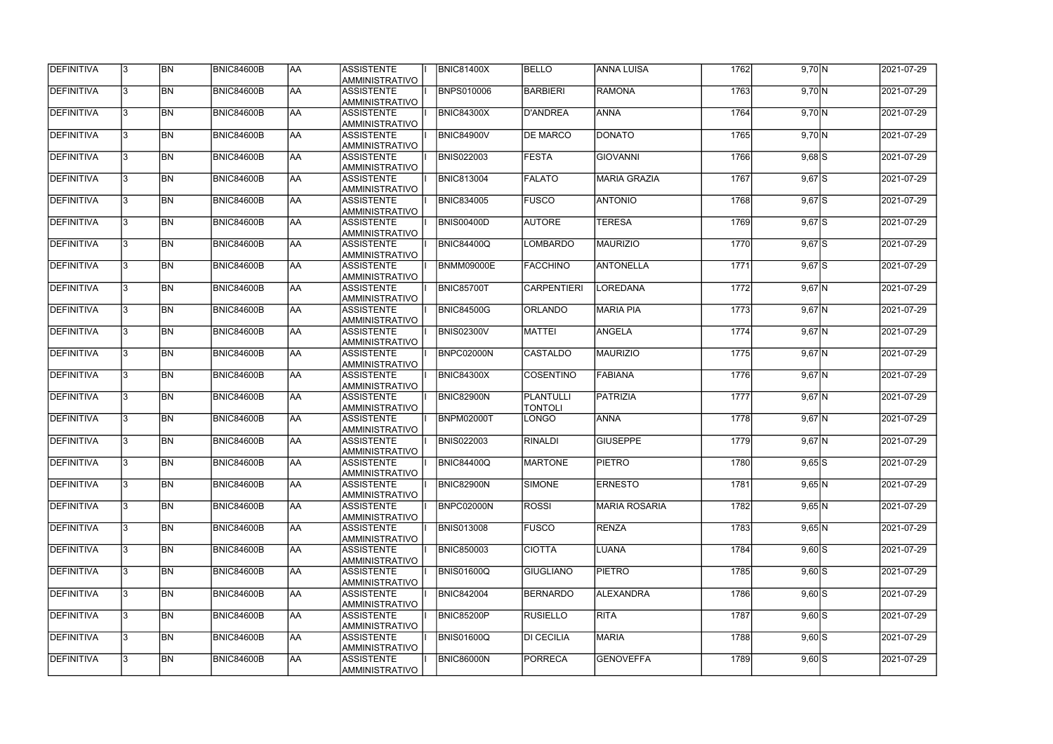| <b>DEFINITIVA</b> | 13. | <b>BN</b>      | <b>BNIC84600B</b> | laa        | ASSISTENTE<br>AMMINISTRATIVO        | <b>BNIC81400X</b> | <b>BELLO</b>                | ANNA LUISA           | 1762 | 9,70 N              | 2021-07-29 |
|-------------------|-----|----------------|-------------------|------------|-------------------------------------|-------------------|-----------------------------|----------------------|------|---------------------|------------|
| DEFINITIVA        | 13. | <b>BN</b>      | <b>BNIC84600B</b> | AA         | <b>ASSISTENTE</b><br>AMMINISTRATIVO | <b>BNPS010006</b> | BARBIERI                    | <b>RAMONA</b>        | 1763 | 9,70 N              | 2021-07-29 |
| DEFINITIVA        | l3. | <b>BN</b>      | <b>BNIC84600B</b> | AA         | <b>ASSISTENTE</b><br>AMMINISTRATIVO | <b>BNIC84300X</b> | D'ANDREA                    | <b>ANNA</b>          | 1764 | 9,70 N              | 2021-07-29 |
| DEFINITIVA        | l3. | <b>BN</b>      | <b>BNIC84600B</b> | <b>AA</b>  | <b>ASSISTENTE</b><br>AMMINISTRATIVO | <b>BNIC84900V</b> | <b>DE MARCO</b>             | <b>DONATO</b>        | 1765 | 9,70 N              | 2021-07-29 |
| DEFINITIVA        | l3. | <b>BN</b>      | <b>BNIC84600B</b> | <b>AA</b>  | <b>ASSISTENTE</b><br>AMMINISTRATIVO | <b>BNIS022003</b> | <b>FESTA</b>                | <b>GIOVANNI</b>      | 1766 | $9,68$ S            | 2021-07-29 |
| DEFINITIVA        | 3   | <b>BN</b>      | <b>BNIC84600B</b> | AA         | <b>ASSISTENTE</b><br>AMMINISTRATIVO | <b>BNIC813004</b> | <b>FALATO</b>               | <b>MARIA GRAZIA</b>  | 1767 | $9,67$ S            | 2021-07-29 |
| DEFINITIVA        |     | <b>BN</b>      | <b>BNIC84600B</b> | AA         | <b>ASSISTENTE</b><br>AMMINISTRATIVO | <b>BNIC834005</b> | <b>FUSCO</b>                | <b>ANTONIO</b>       | 1768 | $9,67$ $S$          | 2021-07-29 |
| DEFINITIVA        |     | <b>BN</b>      | <b>BNIC84600B</b> | AA         | <b>ASSISTENTE</b><br>AMMINISTRATIVO | <b>BNIS00400D</b> | AUTORE                      | <b>TERESA</b>        | 1769 | $9,67$ $S$          | 2021-07-29 |
| DEFINITIVA        |     | <b>BN</b>      | <b>BNIC84600B</b> | laa        | <b>ASSISTENTE</b><br>AMMINISTRATIVO | <b>BNIC84400Q</b> | LOMBARDO                    | MAURIZIO             | 1770 | $9,67$ S            | 2021-07-29 |
| DEFINITIVA        |     | <b>BN</b>      | <b>BNIC84600B</b> | laa        | <b>ASSISTENTE</b><br>AMMINISTRATIVO | <b>BNMM09000E</b> | <b>FACCHINO</b>             | <b>ANTONELLA</b>     | 1771 | $9,67$ S            | 2021-07-29 |
| DEFINITIVA        | l3. | <b>BN</b>      | <b>BNIC84600B</b> | AA         | <b>ASSISTENTE</b><br>AMMINISTRATIVO | BNIC85700T        | <b>CARPENTIERI</b>          | LOREDANA             | 1772 | $9,67$ N            | 2021-07-29 |
| DEFINITIVA        | 3   | <b>BN</b>      | <b>BNIC84600B</b> | AA         | <b>ASSISTENTE</b><br>AMMINISTRATIVO | <b>BNIC84500G</b> | <b>ORLANDO</b>              | <b>MARIA PIA</b>     | 1773 | $9,67$ N            | 2021-07-29 |
| DEFINITIVA        | l3. | <b>BN</b>      | <b>BNIC84600B</b> | AA         | <b>ASSISTENTE</b><br>AMMINISTRATIVO | <b>BNIS02300V</b> | <b>MATTEI</b>               | ANGELA               | 1774 | $9,67$ N            | 2021-07-29 |
| DEFINITIVA        | 3   | <b>BN</b>      | <b>BNIC84600B</b> | AA         | <b>ASSISTENTE</b><br>AMMINISTRATIVO | BNPC02000N        | CASTALDO                    | <b>MAURIZIO</b>      | 1775 | $9,67$ N            | 2021-07-29 |
| DEFINITIVA        |     | <b>BN</b>      | <b>BNIC84600B</b> | AA         | <b>ASSISTENTE</b><br>AMMINISTRATIVO | <b>BNIC84300X</b> | COSENTINO                   | <b>FABIANA</b>       | 1776 | $9,67$ N            | 2021-07-29 |
| DEFINITIVA        |     | <b>BN</b>      | <b>BNIC84600B</b> | AA         | <b>ASSISTENTE</b><br>AMMINISTRATIVO | <b>BNIC82900N</b> | PLANTULLI<br><b>TONTOLI</b> | PATRIZIA             | 1777 | $9,67$ N            | 2021-07-29 |
| DEFINITIVA        | 3   | <b>BN</b>      | <b>BNIC84600B</b> | AA         | <b>ASSISTENTE</b><br>AMMINISTRATIVO | <b>BNPM02000T</b> | LONGO                       | <b>ANNA</b>          | 1778 | $9,67$ N            | 2021-07-29 |
| DEFINITIVA        |     | <b>BN</b>      | <b>BNIC84600B</b> | AA         | <b>ASSISTENTE</b><br>AMMINISTRATIVO | <b>BNIS022003</b> | <b>RINALDI</b>              | <b>GIUSEPPE</b>      | 1779 | $9,67$ N            | 2021-07-29 |
| DEFINITIVA        | 13  | BN             | <b>BNIC84600B</b> | <b>JAA</b> | ASSISTENTE<br>AMMINISTRATIVO        | <b>BNIC84400Q</b> | <b>MARTONE</b>              | <b>PIETRO</b>        | 1780 | $9,65$ S            | 2021-07-29 |
| <b>DEFINITIVA</b> | 13. | <b>BN</b>      | <b>BNIC84600B</b> | AA         | <b>ASSISTENTE</b><br>AMMINISTRATIVO | <b>BNIC82900N</b> | SIMONE                      | <b>ERNESTO</b>       | 1781 | $9,65$ <sub>N</sub> | 2021-07-29 |
| DEFINITIVA        | l3. | <b>BN</b>      | <b>BNIC84600B</b> | <b>AA</b>  | <b>ASSISTENTE</b><br>AMMINISTRATIVO | BNPC02000N        | <b>ROSSI</b>                | <b>MARIA ROSARIA</b> | 1782 | $9,65$ N            | 2021-07-29 |
| DEFINITIVA        | 3   | <b>BN</b>      | <b>BNIC84600B</b> | <b>AA</b>  | <b>ASSISTENTE</b><br>AMMINISTRATIVO | <b>BNIS013008</b> | <b>FUSCO</b>                | <b>RENZA</b>         | 1783 | 9,65 N              | 2021-07-29 |
| DEFINITIVA        | l3. | <b>BN</b>      | <b>BNIC84600B</b> | <b>AA</b>  | <b>ASSISTENTE</b><br>AMMINISTRATIVO | <b>BNIC850003</b> | <b>CIOTTA</b>               | <b>LUANA</b>         | 1784 | $9,60$ S            | 2021-07-29 |
| DEFINITIVA        |     | <b>BN</b>      | <b>BNIC84600B</b> | AA         | <b>ASSISTENTE</b><br>AMMINISTRATIVO | <b>BNIS01600Q</b> | GIUGLIANO                   | <b>PIETRO</b>        | 1785 | $9,60$ S            | 2021-07-29 |
| DEFINITIVA        |     | <b>BN</b>      | <b>BNIC84600B</b> | <b>AA</b>  | <b>ASSISTENTE</b><br>AMMINISTRATIVO | <b>BNIC842004</b> | <b>BERNARDO</b>             | <b>ALEXANDRA</b>     | 1786 | $9,60$ S            | 2021-07-29 |
| DEFINITIVA        | I3. | BN <sub></sub> | <b>BNIC84600B</b> | AA         | <b>ASSISTENTE</b><br>AMMINISTRATIVO | <b>BNIC85200P</b> | <b>RUSIELLO</b>             | RITA                 | 1787 | $9,60$ S            | 2021-07-29 |
| DEFINITIVA        | 13. | <b>BN</b>      | <b>BNIC84600B</b> | AA         | <b>ASSISTENTE</b><br>AMMINISTRATIVO | <b>BNIS01600Q</b> | <b>DI CECILIA</b>           | <b>MARIA</b>         | 1788 | $9,60$ S            | 2021-07-29 |
| DEFINITIVA        |     | <b>BN</b>      | <b>BNIC84600B</b> | AA         | <b>ASSISTENTE</b><br>AMMINISTRATIVO | <b>BNIC86000N</b> | <b>PORRECA</b>              | <b>GENOVEFFA</b>     | 1789 | $9,60$ S            | 2021-07-29 |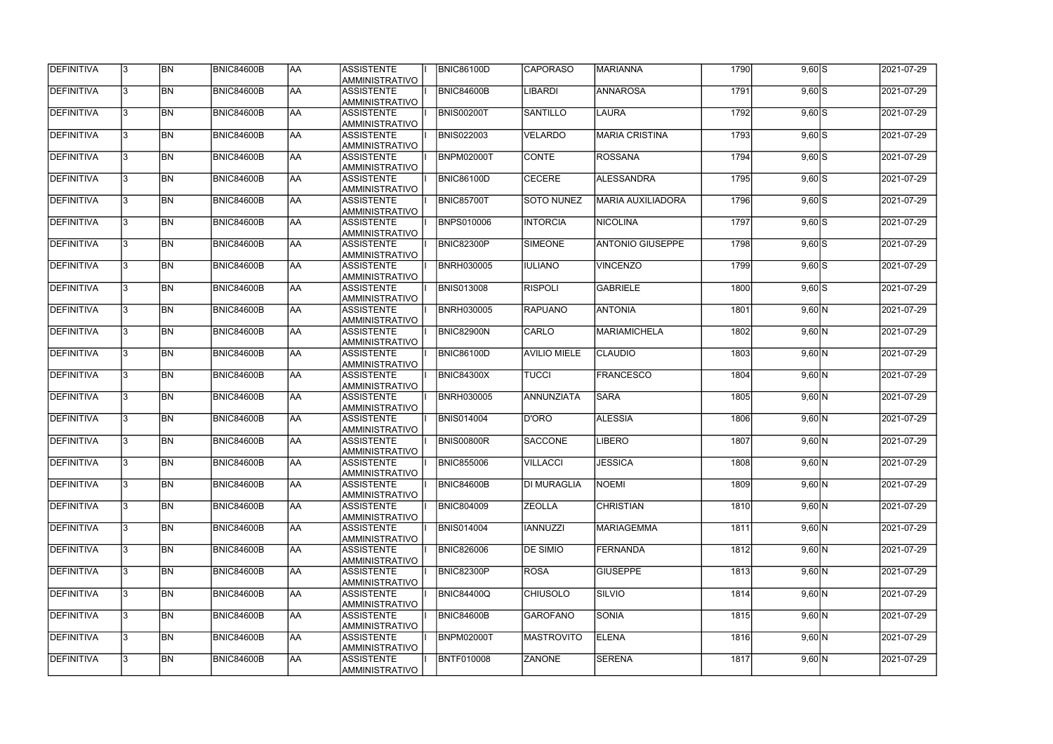| <b>DEFINITIVA</b> | 13.          | <b>BN</b> | <b>BNIC84600B</b> | <b>AA</b>  | ASSISTENTE<br><b>AMMINISTRATIVO</b>        | <b>BNIC86100D</b> | <b>CAPORASO</b>     | <b>MARIANNA</b>          | 1790 | $9,60$ S | 2021-07-29 |
|-------------------|--------------|-----------|-------------------|------------|--------------------------------------------|-------------------|---------------------|--------------------------|------|----------|------------|
| DEFINITIVA        | 3            | <b>BN</b> | <b>BNIC84600B</b> | AA         | <b>ASSISTENTE</b><br>AMMINISTRATIVO        | <b>BNIC84600B</b> | <b>LIBARDI</b>      | <b>ANNAROSA</b>          | 1791 | $9,60$ S | 2021-07-29 |
| <b>DEFINITIVA</b> | 3            | <b>BN</b> | <b>BNIC84600B</b> | AA         | ASSISTENTE<br>AMMINISTRATIVO               | <b>BNIS00200T</b> | <b>SANTILLO</b>     | <b>LAURA</b>             | 1792 | $9,60$ S | 2021-07-29 |
| DEFINITIVA        |              | <b>BN</b> | <b>BNIC84600B</b> | <b>AA</b>  | <b>ASSISTENTE</b><br>AMMINISTRATIVO        | <b>BNIS022003</b> | <b>VELARDO</b>      | <b>MARIA CRISTINA</b>    | 1793 | $9,60$ S | 2021-07-29 |
| DEFINITIVA        |              | <b>BN</b> | <b>BNIC84600B</b> | <b>AA</b>  | ASSISTENTE<br>AMMINISTRATIVO               | BNPM02000T        | <b>CONTE</b>        | <b>ROSSANA</b>           | 1794 | $9,60$ S | 2021-07-29 |
| <b>DEFINITIVA</b> |              | <b>BN</b> | BNIC84600B        | AA         | <b>ASSISTENTE</b><br><b>AMMINISTRATIVO</b> | <b>BNIC86100D</b> | <b>CECERE</b>       | ALESSANDRA               | 1795 | $9,60$ S | 2021-07-29 |
| <b>DEFINITIVA</b> |              | <b>BN</b> | BNIC84600B        | AA         | <b>ASSISTENTE</b><br><b>AMMINISTRATIVO</b> | BNIC85700T        | <b>SOTO NUNEZ</b>   | <b>MARIA AUXILIADORA</b> | 1796 | $9,60$ S | 2021-07-29 |
| DEFINITIVA        |              | <b>BN</b> | <b>BNIC84600B</b> | AA         | <b>ASSISTENTE</b><br><b>AMMINISTRATIVO</b> | <b>BNPS010006</b> | <b>INTORCIA</b>     | <b>NICOLINA</b>          | 1797 | $9,60$ S | 2021-07-29 |
| DEFINITIVA        |              | <b>BN</b> | BNIC84600B        | AA         | <b>ASSISTENTE</b><br>AMMINISTRATIVO        | BNIC82300P        | SIMEONE             | <b>ANTONIO GIUSEPPE</b>  | 1798 | $9,60$ S | 2021-07-29 |
| DEFINITIVA        |              | <b>BN</b> | <b>BNIC84600B</b> | AA         | <b>ASSISTENTE</b><br>AMMINISTRATIVO        | <b>BNRH030005</b> | <b>IULIANO</b>      | <b>VINCENZO</b>          | 1799 | $9,60$ S | 2021-07-29 |
| DEFINITIVA        |              | <b>BN</b> | <b>BNIC84600B</b> | <b>JAA</b> | ASSISTENTE<br>AMMINISTRATIVO               | <b>BNIS013008</b> | <b>RISPOLI</b>      | <b>GABRIELE</b>          | 1800 | $9,60$ S | 2021-07-29 |
| <b>DEFINITIVA</b> |              | <b>BN</b> | <b>BNIC84600B</b> | AA         | <b>ASSISTENTE</b><br>AMMINISTRATIVO        | <b>BNRH030005</b> | RAPUANO             | <b>ANTONIA</b>           | 1801 | 9,60 N   | 2021-07-29 |
| DEFINITIVA        |              | <b>BN</b> | <b>BNIC84600B</b> | AA         | ASSISTENTE<br>AMMINISTRATIVO               | <b>BNIC82900N</b> | CARLO               | <b>MARIAMICHELA</b>      | 1802 | 9,60 N   | 2021-07-29 |
| <b>DEFINITIVA</b> |              | <b>BN</b> | <b>BNIC84600B</b> | <b>JAA</b> | ASSISTENTE<br><b>AMMINISTRATIVO</b>        | <b>BNIC86100D</b> | <b>AVILIO MIELE</b> | <b>CLAUDIO</b>           | 1803 | 9,60 N   | 2021-07-29 |
| <b>DEFINITIVA</b> |              | <b>BN</b> | <b>BNIC84600B</b> | AA         | <b>ASSISTENTE</b><br><b>AMMINISTRATIVO</b> | <b>BNIC84300X</b> | <b>TUCCI</b>        | <b>FRANCESCO</b>         | 1804 | 9,60 N   | 2021-07-29 |
| <b>DEFINITIVA</b> |              | <b>BN</b> | <b>BNIC84600B</b> | AA         | <b>ASSISTENTE</b><br><b>AMMINISTRATIVO</b> | <b>BNRH030005</b> | ANNUNZIATA          | <b>SARA</b>              | 1805 | 9,60 N   | 2021-07-29 |
| DEFINITIVA        |              | <b>BN</b> | <b>BNIC84600B</b> | AA         | <b>ASSISTENTE</b><br>AMMINISTRATIVO        | <b>BNIS014004</b> | D'ORO               | <b>ALESSIA</b>           | 1806 | 9,60 N   | 2021-07-29 |
| DEFINITIVA        | $\mathbf{R}$ | <b>BN</b> | <b>BNIC84600B</b> | AA         | <b>ASSISTENTE</b><br>AMMINISTRATIVO        | BNIS00800R        | <b>SACCONE</b>      | <b>LIBERO</b>            | 1807 | 9,60 N   | 2021-07-29 |
| <b>DEFINITIVA</b> | 13           | BN        | <b>BNIC84600B</b> | <b>JAA</b> | <b>ASSISTENTE</b><br><b>AMMINISTRATIVO</b> | <b>BNIC855006</b> | <b>VILLACCI</b>     | JESSICA                  | 1808 | 9,60 N   | 2021-07-29 |
| DEFINITIVA        | l3.          | <b>BN</b> | <b>BNIC84600B</b> | AA         | ASSISTENTE<br>AMMINISTRATIVO               | BNIC84600B        | DI MURAGLIA         | <b>NOEMI</b>             | 1809 | 9,60 N   | 2021-07-29 |
| DEFINITIVA        | 3            | <b>BN</b> | <b>BNIC84600B</b> | AA         | ASSISTENTE<br>AMMINISTRATIVO               | <b>BNIC804009</b> | <b>ZEOLLA</b>       | <b>CHRISTIAN</b>         | 1810 | $9,60$ N | 2021-07-29 |
| <b>DEFINITIVA</b> | $\mathbf{3}$ | <b>BN</b> | <b>BNIC84600B</b> | AA         | <b>ASSISTENTE</b><br>AMMINISTRATIVO        | <b>BNIS014004</b> | <b>IANNUZZI</b>     | <b>MARIAGEMMA</b>        | 1811 | $9,60$ N | 2021-07-29 |
| DEFINITIVA        |              | <b>BN</b> | <b>BNIC84600B</b> | AA         | <b>ASSISTENTE</b><br><b>AMMINISTRATIVO</b> | <b>BNIC826006</b> | <b>DE SIMIO</b>     | <b>FERNANDA</b>          | 1812 | $9,60$ N | 2021-07-29 |
| DEFINITIVA        |              | <b>BN</b> | <b>BNIC84600B</b> | AA         | <b>ASSISTENTE</b><br><b>AMMINISTRATIVO</b> | <b>BNIC82300P</b> | <b>ROSA</b>         | <b>GIUSEPPE</b>          | 1813 | $9,60$ N | 2021-07-29 |
| DEFINITIVA        |              | <b>BN</b> | <b>BNIC84600B</b> | AA         | <b>ASSISTENTE</b><br>AMMINISTRATIVO        | <b>BNIC84400Q</b> | <b>CHIUSOLO</b>     | <b>SILVIO</b>            | 1814 | $9,60$ N | 2021-07-29 |
| DEFINITIVA        |              | <b>BN</b> | BNIC84600B        | AA         | ASSISTENTE<br>AMMINISTRATIVO               | BNIC84600B        | <b>GAROFANO</b>     | <b>SONIA</b>             | 1815 | $9,60$ N | 2021-07-29 |
| DEFINITIVA        | 3.           | <b>BN</b> | <b>BNIC84600B</b> | AA         | ASSISTENTE<br>AMMINISTRATIVO               | <b>BNPM02000T</b> | <b>MASTROVITO</b>   | <b>ELENA</b>             | 1816 | $9,60$ N | 2021-07-29 |
| DEFINITIVA        |              | BN        | <b>BNIC84600B</b> | AA         | ASSISTENTE<br>AMMINISTRATIVO               | <b>BNTF010008</b> | <b>ZANONE</b>       | <b>SERENA</b>            | 1817 | 9,60 N   | 2021-07-29 |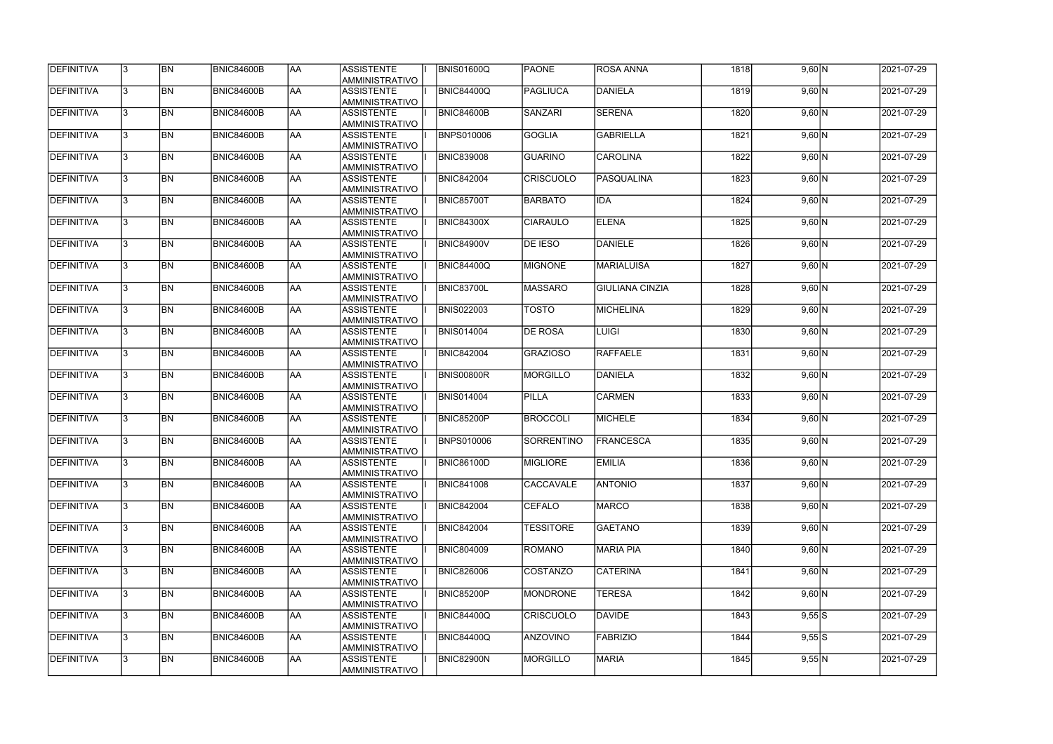| <b>DEFINITIVA</b> | 13. | <b>BN</b> | <b>BNIC84600B</b> | laa        | <b>ASSISTENTE</b><br>AMMINISTRATIVO        | <b>BNIS01600Q</b> | <b>PAONE</b>      | <b>ROSA ANNA</b>       | 1818 | 9,60 N      | $\sqrt{2021-07-29}$ |
|-------------------|-----|-----------|-------------------|------------|--------------------------------------------|-------------------|-------------------|------------------------|------|-------------|---------------------|
| DEFINITIVA        | 13. | <b>BN</b> | <b>BNIC84600B</b> | laa        | <b>ASSISTENTE</b><br>AMMINISTRATIVO        | <b>BNIC84400Q</b> | PAGLIUCA          | <b>DANIELA</b>         | 1819 | 9,60 N      | 2021-07-29          |
| DEFINITIVA        | 13. | <b>BN</b> | <b>BNIC84600B</b> | laa        | <b>ASSISTENTE</b><br>AMMINISTRATIVO        | <b>BNIC84600B</b> | <b>SANZARI</b>    | <b>SERENA</b>          | 1820 | 9,60 N      | 2021-07-29          |
| DEFINITIVA        | l3. | <b>BN</b> | <b>BNIC84600B</b> | AA         | <b>ASSISTENTE</b><br>AMMINISTRATIVO        | <b>BNPS010006</b> | <b>GOGLIA</b>     | <b>GABRIELLA</b>       | 1821 | 9,60 N      | 2021-07-29          |
| DEFINITIVA        | l3. | <b>BN</b> | <b>BNIC84600B</b> | <b>AA</b>  | <b>ASSISTENTE</b><br>AMMINISTRATIVO        | <b>BNIC839008</b> | <b>GUARINO</b>    | <b>CAROLINA</b>        | 1822 | $9,60\,N$   | 2021-07-29          |
| DEFINITIVA        | l3. | <b>BN</b> | BNIC84600B        | laa        | <b>ASSISTENTE</b><br>AMMINISTRATIVO        | <b>BNIC842004</b> | <b>CRISCUOLO</b>  | <b>PASQUALINA</b>      | 1823 | $9,60$ N    | 2021-07-29          |
| <b>DEFINITIVA</b> | 3   | <b>BN</b> | BNIC84600B        | laa        | <b>ASSISTENTE</b><br>AMMINISTRATIVO        | BNIC85700T        | <b>BARBATO</b>    | <b>IDA</b>             | 1824 | 9,60 N      | 2021-07-29          |
| DEFINITIVA        |     | <b>BN</b> | <b>BNIC84600B</b> | laa        | <b>ASSISTENTE</b><br><b>AMMINISTRATIVO</b> | <b>BNIC84300X</b> | <b>CIARAULO</b>   | <b>ELENA</b>           | 1825 | 9,60 N      | 2021-07-29          |
| DEFINITIVA        |     | <b>BN</b> | <b>BNIC84600B</b> | laa        | <b>ASSISTENTE</b><br>AMMINISTRATIVO        | BNIC84900V        | <b>DE IESO</b>    | <b>DANIELE</b>         | 1826 | 9,60 N      | 2021-07-29          |
| DEFINITIVA        |     | <b>BN</b> | <b>BNIC84600B</b> | laa        | <b>ASSISTENTE</b><br>AMMINISTRATIVO        | <b>BNIC84400Q</b> | <b>MIGNONE</b>    | <b>MARIALUISA</b>      | 1827 | 9,60 N      | 2021-07-29          |
| DEFINITIVA        | l3. | <b>BN</b> | <b>BNIC84600B</b> | AA         | <b>ASSISTENTE</b><br>AMMINISTRATIVO        | BNIC83700L        | <b>MASSARO</b>    | <b>GIULIANA CINZIA</b> | 1828 | 9,60 N      | 2021-07-29          |
| DEFINITIVA        | l3. | <b>BN</b> | <b>BNIC84600B</b> | AA         | <b>ASSISTENTE</b><br>AMMINISTRATIVO        | <b>BNIS022003</b> | <b>TOSTO</b>      | <b>MICHELINA</b>       | 1829 | 9,60 N      | 2021-07-29          |
| DEFINITIVA        | 3   | <b>BN</b> | BNIC84600B        | laa        | <b>ASSISTENTE</b><br>AMMINISTRATIVO        | <b>BNIS014004</b> | <b>DE ROSA</b>    | <b>LUIGI</b>           | 1830 | 9,60 N      | 2021-07-29          |
| DEFINITIVA        |     | <b>BN</b> | <b>BNIC84600B</b> | AA         | <b>ASSISTENTE</b><br>AMMINISTRATIVO        | <b>BNIC842004</b> | <b>GRAZIOSO</b>   | <b>RAFFAELE</b>        | 1831 | 9,60 N      | 2021-07-29          |
| DEFINITIVA        | 3   | <b>BN</b> | <b>BNIC84600B</b> | laa        | <b>ASSISTENTE</b><br>AMMINISTRATIVO        | <b>BNIS00800R</b> | <b>MORGILLO</b>   | <b>DANIELA</b>         | 1832 | 9,60 N      | 2021-07-29          |
| DEFINITIVA        | l3. | <b>BN</b> | <b>BNIC84600B</b> | laa        | <b>ASSISTENTE</b><br>AMMINISTRATIVO        | <b>BNIS014004</b> | PILLA             | <b>CARMEN</b>          | 1833 | 9,60 N      | 2021-07-29          |
| DEFINITIVA        |     | <b>BN</b> | <b>BNIC84600B</b> | laa        | <b>ASSISTENTE</b><br>AMMINISTRATIVO        | BNIC85200P        | <b>BROCCOLI</b>   | <b>MICHELE</b>         | 1834 | $9,60 \, N$ | 2021-07-29          |
| DEFINITIVA        |     | <b>BN</b> | <b>BNIC84600B</b> | AA         | <b>ASSISTENTE</b><br>AMMINISTRATIVO        | <b>BNPS010006</b> | <b>SORRENTINO</b> | <b>FRANCESCA</b>       | 1835 | 9,60 N      | 2021-07-29          |
| <b>DEFINITIVA</b> | 13  | <b>BN</b> | <b>BNIC84600B</b> | <b>JAA</b> | <b>ASSISTENTE</b><br>AMMINISTRATIVO        | <b>BNIC86100D</b> | <b>MIGLIORE</b>   | <b>EMILIA</b>          | 1836 | $9,60 \, N$ | 2021-07-29          |
| DEFINITIVA        | 13. | <b>BN</b> | <b>BNIC84600B</b> | AA         | <b>ASSISTENTE</b><br>AMMINISTRATIVO        | <b>BNIC841008</b> | <b>CACCAVALE</b>  | <b>ANTONIO</b>         | 1837 | $9,60$ N    | 2021-07-29          |
| DEFINITIVA        | I3. | <b>BN</b> | <b>BNIC84600B</b> | AA         | <b>ASSISTENTE</b><br>AMMINISTRATIVO        | <b>BNIC842004</b> | <b>CEFALO</b>     | <b>MARCO</b>           | 1838 | $9,60\,N$   | 2021-07-29          |
| DEFINITIVA        | l3. | <b>BN</b> | <b>BNIC84600B</b> | AA         | <b>ASSISTENTE</b><br>AMMINISTRATIVO        | <b>BNIC842004</b> | <b>TESSITORE</b>  | <b>GAETANO</b>         | 1839 | $9,60$ N    | 2021-07-29          |
| DEFINITIVA        | 3   | <b>BN</b> | <b>BNIC84600B</b> | AA         | <b>ASSISTENTE</b><br>AMMINISTRATIVO        | <b>BNIC804009</b> | ROMANO            | <b>MARIA PIA</b>       | 1840 | $9,60$ N    | 2021-07-29          |
| DEFINITIVA        | l3. | <b>BN</b> | <b>BNIC84600B</b> | AA         | <b>ASSISTENTE</b><br>AMMINISTRATIVO        | <b>BNIC826006</b> | <b>COSTANZO</b>   | <b>CATERINA</b>        | 1841 | 9,60 N      | 2021-07-29          |
| DEFINITIVA        |     | <b>BN</b> | <b>BNIC84600B</b> | AA         | <b>ASSISTENTE</b><br>AMMINISTRATIVO        | <b>BNIC85200P</b> | <b>MONDRONE</b>   | <b>TERESA</b>          | 1842 | $9,60$ N    | 2021-07-29          |
| DEFINITIVA        | I3. | <b>BN</b> | BNIC84600B        | laa        | <b>ASSISTENTE</b><br>AMMINISTRATIVO        | <b>BNIC84400Q</b> | <b>CRISCUOLO</b>  | <b>DAVIDE</b>          | 1843 | $9,55$ S    | 2021-07-29          |
| DEFINITIVA        | 13. | <b>BN</b> | <b>BNIC84600B</b> | AA         | <b>ASSISTENTE</b><br>AMMINISTRATIVO        | <b>BNIC84400Q</b> | <b>ANZOVINO</b>   | <b>FABRIZIO</b>        | 1844 | $9,55$ S    | 2021-07-29          |
| DEFINITIVA        |     | <b>BN</b> | <b>BNIC84600B</b> | AA         | <b>ASSISTENTE</b><br>AMMINISTRATIVO        | <b>BNIC82900N</b> | <b>MORGILLO</b>   | <b>MARIA</b>           | 1845 | $9,55$ N    | 2021-07-29          |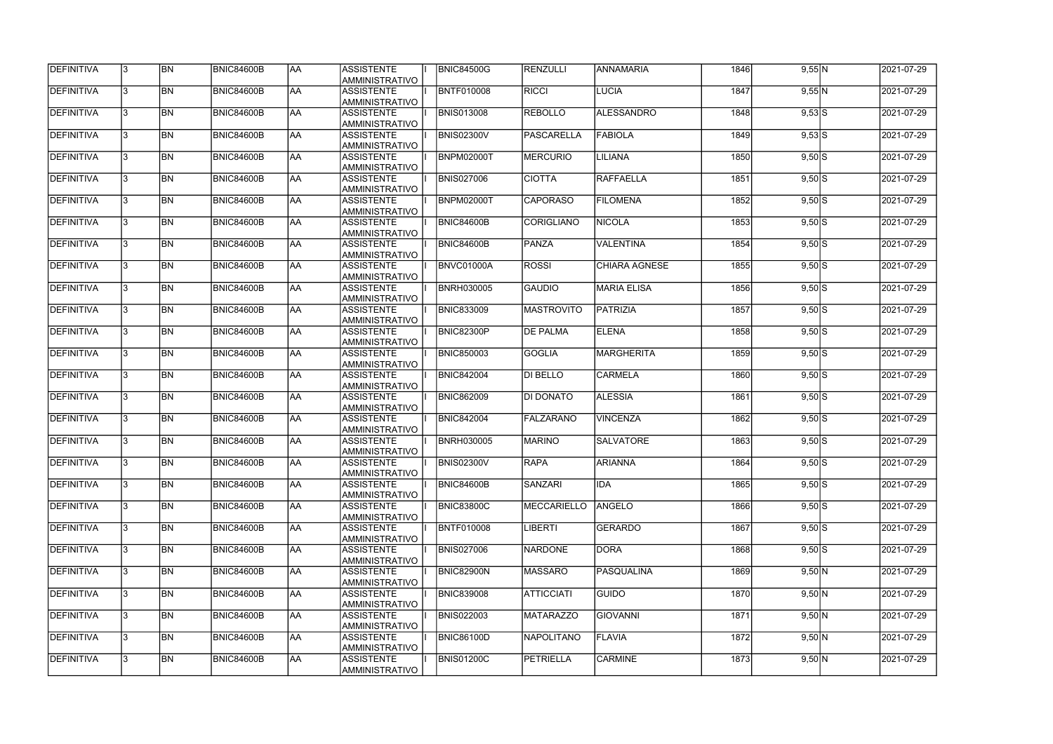| DEFINITIVA        | 13.          | <b>BN</b> | <b>BNIC84600B</b> | <b>JAA</b> | ASSISTENTE<br><b>AMMINISTRATIVO</b>        | <b>BNIC84500G</b> | <b>RENZULLI</b>   | <b>ANNAMARIA</b>     | 1846 | $9,55$ N   | 2021-07-29 |
|-------------------|--------------|-----------|-------------------|------------|--------------------------------------------|-------------------|-------------------|----------------------|------|------------|------------|
| DEFINITIVA        | 3            | <b>BN</b> | <b>BNIC84600B</b> | AA         | ASSISTENTE<br>AMMINISTRATIVO               | <b>BNTF010008</b> | <b>RICCI</b>      | <b>LUCIA</b>         | 1847 | $9,55$ N   | 2021-07-29 |
| DEFINITIVA        | l3.          | <b>BN</b> | <b>BNIC84600B</b> | AA         | ASSISTENTE<br>AMMINISTRATIVO               | <b>BNIS013008</b> | <b>REBOLLO</b>    | <b>ALESSANDRO</b>    | 1848 | $9,53$ S   | 2021-07-29 |
| DEFINITIVA        |              | <b>BN</b> | <b>BNIC84600B</b> | AA         | ASSISTENTE<br><b>AMMINISTRATIVO</b>        | <b>BNIS02300V</b> | PASCARELLA        | <b>FABIOLA</b>       | 1849 | $9,53$ S   | 2021-07-29 |
| <b>DEFINITIVA</b> | 3            | <b>BN</b> | BNIC84600B        | <b>JAA</b> | ASSISTENTE<br><b>AMMINISTRATIVO</b>        | BNPM02000T        | <b>MERCURIO</b>   | <b>LILIANA</b>       | 1850 | $9,50$ S   | 2021-07-29 |
| DEFINITIVA        |              | <b>BN</b> | BNIC84600B        | AA         | <b>ASSISTENTE</b><br><b>AMMINISTRATIVO</b> | <b>BNIS027006</b> | <b>CIOTTA</b>     | <b>RAFFAELLA</b>     | 1851 | $9,50$ S   | 2021-07-29 |
| DEFINITIVA        |              | <b>BN</b> | <b>BNIC84600B</b> | <b>JAA</b> | <b>ASSISTENTE</b><br><b>AMMINISTRATIVO</b> | BNPM02000T        | <b>CAPORASO</b>   | <b>FILOMENA</b>      | 1852 | $9,50$ S   | 2021-07-29 |
| DEFINITIVA        |              | <b>BN</b> | <b>BNIC84600B</b> | AA         | <b>ASSISTENTE</b><br><b>AMMINISTRATIVO</b> | <b>BNIC84600B</b> | <b>CORIGLIANO</b> | <b>NICOLA</b>        | 1853 | $9,50$ S   | 2021-07-29 |
| DEFINITIVA        |              | <b>BN</b> | <b>BNIC84600B</b> | AA         | <b>ASSISTENTE</b><br>AMMINISTRATIVO        | BNIC84600B        | PANZA             | <b>VALENTINA</b>     | 1854 | $9,50$ $S$ | 2021-07-29 |
| <b>DEFINITIVA</b> |              | <b>BN</b> | <b>BNIC84600B</b> | <b>JAA</b> | <b>ASSISTENTE</b><br>AMMINISTRATIVO        | BNVC01000A        | <b>ROSSI</b>      | <b>CHIARA AGNESE</b> | 1855 | $9,50$ S   | 2021-07-29 |
| DEFINITIVA        | 3            | <b>BN</b> | <b>BNIC84600B</b> | AA         | <b>ASSISTENTE</b><br>AMMINISTRATIVO        | <b>BNRH030005</b> | <b>GAUDIO</b>     | <b>MARIA ELISA</b>   | 1856 | $9,50$ S   | 2021-07-29 |
| DEFINITIVA        |              | <b>BN</b> | <b>BNIC84600B</b> | <b>AA</b>  | <b>ASSISTENTE</b><br><b>AMMINISTRATIVO</b> | <b>BNIC833009</b> | MASTROVITO        | <b>PATRIZIA</b>      | 1857 | $9,50$ S   | 2021-07-29 |
| DEFINITIVA        | 3            | <b>BN</b> | <b>BNIC84600B</b> | AA         | <b>ASSISTENTE</b><br>AMMINISTRATIVO        | BNIC82300P        | <b>DE PALMA</b>   | <b>ELENA</b>         | 1858 | $9,50$ S   | 2021-07-29 |
| <b>DEFINITIVA</b> |              | <b>BN</b> | <b>BNIC84600B</b> | AA         | <b>ASSISTENTE</b><br><b>AMMINISTRATIVO</b> | <b>BNIC850003</b> | <b>GOGLIA</b>     | <b>MARGHERITA</b>    | 1859 | $9,50$ S   | 2021-07-29 |
| DEFINITIVA        |              | <b>BN</b> | <b>BNIC84600B</b> | AA         | <b>ASSISTENTE</b><br><b>AMMINISTRATIVO</b> | <b>BNIC842004</b> | <b>DI BELLO</b>   | <b>CARMELA</b>       | 1860 | $9,50$ S   | 2021-07-29 |
| DEFINITIVA        |              | <b>BN</b> | BNIC84600B        | AA         | <b>ASSISTENTE</b><br><b>AMMINISTRATIVO</b> | <b>BNIC862009</b> | <b>DI DONATO</b>  | <b>ALESSIA</b>       | 1861 | $9,50$ S   | 2021-07-29 |
| DEFINITIVA        |              | <b>BN</b> | <b>BNIC84600B</b> | AA         | <b>ASSISTENTE</b><br>AMMINISTRATIVO        | <b>BNIC842004</b> | FALZARANO         | <b>VINCENZA</b>      | 1862 | $9,50$ S   | 2021-07-29 |
| DEFINITIVA        |              | <b>BN</b> | <b>BNIC84600B</b> | AA         | <b>ASSISTENTE</b><br>AMMINISTRATIVO        | <b>BNRH030005</b> | <b>MARINO</b>     | <b>SALVATORE</b>     | 1863 | $9,50$ S   | 2021-07-29 |
| DEFINITIVA        | 13           | BN        | <b>BNIC84600B</b> | <b>JAA</b> | <b>ASSISTENTE</b><br>AMMINISTRATIVO        | <b>BNIS02300V</b> | RAPA              | <b>ARIANNA</b>       | 1864 | $9,50$ S   | 2021-07-29 |
| <b>DEFINITIVA</b> | 3            | <b>BN</b> | BNIC84600B        | <b>AA</b>  | <b>ASSISTENTE</b><br>AMMINISTRATIVO        | <b>BNIC84600B</b> | <b>SANZARI</b>    | IDA                  | 1865 | $9,50$ S   | 2021-07-29 |
| <b>DEFINITIVA</b> | $\mathbf{3}$ | <b>BN</b> | <b>BNIC84600B</b> | <b>AA</b>  | <b>ASSISTENTE</b><br>AMMINISTRATIVO        | <b>BNIC83800C</b> | MECCARIELLO       | <b>ANGELO</b>        | 1866 | $9,50$ S   | 2021-07-29 |
| <b>DEFINITIVA</b> |              | <b>BN</b> | <b>BNIC84600B</b> | AA         | ASSISTENTE<br><b>AMMINISTRATIVO</b>        | <b>BNTF010008</b> | <b>LIBERTI</b>    | <b>GERARDO</b>       | 1867 | $9,50$ S   | 2021-07-29 |
| <b>DEFINITIVA</b> |              | BN        | <b>BNIC84600B</b> | AA         | ASSISTENTE<br>AMMINISTRATIVO               | <b>BNIS027006</b> | <b>NARDONE</b>    | <b>DORA</b>          | 1868 | $9,50$ S   | 2021-07-29 |
| DEFINITIVA        |              | <b>BN</b> | <b>BNIC84600B</b> | AA         | <b>ASSISTENTE</b><br>AMMINISTRATIVO        | BNIC82900N        | <b>MASSARO</b>    | PASQUALINA           | 1869 | 9,50 N     | 2021-07-29 |
| DEFINITIVA        |              | <b>BN</b> | BNIC84600B        | AA         | ASSISTENTE<br>AMMINISTRATIVO               | <b>BNIC839008</b> | <b>ATTICCIATI</b> | <b>GUIDO</b>         | 1870 | 9,50 N     | 2021-07-29 |
| DEFINITIVA        |              | <b>BN</b> | BNIC84600B        | AA         | ASSISTENTE<br>AMMINISTRATIVO               | <b>BNIS022003</b> | <b>MATARAZZO</b>  | <b>GIOVANNI</b>      | 1871 | 9,50 N     | 2021-07-29 |
| DEFINITIVA        |              | <b>BN</b> | <b>BNIC84600B</b> | AA         | ASSISTENTE<br>AMMINISTRATIVO               | <b>BNIC86100D</b> | NAPOLITANO        | <b>FLAVIA</b>        | 1872 | 9,50 N     | 2021-07-29 |
| <b>DEFINITIVA</b> |              | <b>BN</b> | BNIC84600B        | <b>AA</b>  | <b>ASSISTENTE</b><br>AMMINISTRATIVO        | <b>BNIS01200C</b> | PETRIELLA         | <b>CARMINE</b>       | 1873 | 9,50 N     | 2021-07-29 |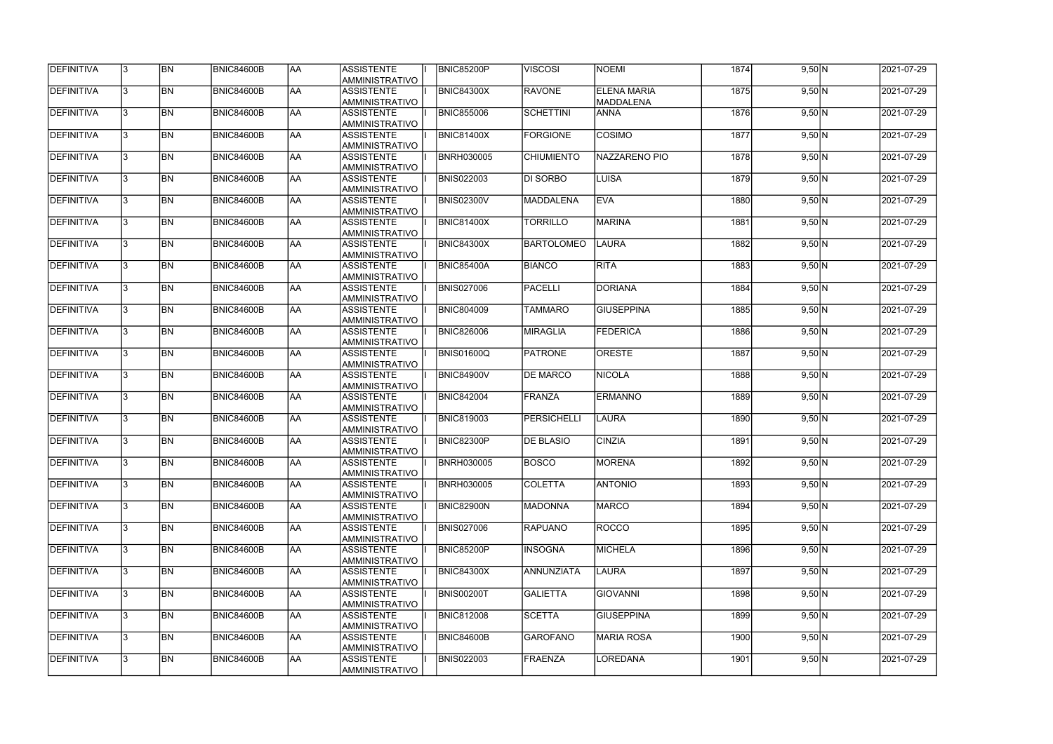| DEFINITIVA        | 13.          | <b>BN</b> | <b>BNIC84600B</b> | <b>JAA</b> | ASSISTENTE<br><b>AMMINISTRATIVO</b>        | BNIC85200P        | <b>VISCOSI</b>    | <b>NOEMI</b>                           | 1874 | 9,50 N   | 2021-07-29 |
|-------------------|--------------|-----------|-------------------|------------|--------------------------------------------|-------------------|-------------------|----------------------------------------|------|----------|------------|
| DEFINITIVA        | 3            | <b>BN</b> | <b>BNIC84600B</b> | AA         | ASSISTENTE<br>AMMINISTRATIVO               | <b>BNIC84300X</b> | <b>RAVONE</b>     | <b>ELENA MARIA</b><br><b>MADDALENA</b> | 1875 | 9,50 N   | 2021-07-29 |
| DEFINITIVA        | l3.          | <b>BN</b> | <b>BNIC84600B</b> | AA         | <b>ASSISTENTE</b><br>AMMINISTRATIVO        | <b>BNIC855006</b> | SCHETTINI         | <b>ANNA</b>                            | 1876 | 9,50 N   | 2021-07-29 |
| DEFINITIVA        |              | <b>BN</b> | <b>BNIC84600B</b> | AA         | ASSISTENTE<br><b>AMMINISTRATIVO</b>        | <b>BNIC81400X</b> | FORGIONE          | <b>COSIMO</b>                          | 1877 | 9,50 N   | 2021-07-29 |
| DEFINITIVA        | 3            | <b>BN</b> | BNIC84600B        | <b>JAA</b> | ASSISTENTE<br><b>AMMINISTRATIVO</b>        | <b>BNRH030005</b> | <b>CHIUMIENTO</b> | NAZZARENO PIO                          | 1878 | $9,50$ N | 2021-07-29 |
| DEFINITIVA        |              | <b>BN</b> | BNIC84600B        | AA         | <b>ASSISTENTE</b><br><b>AMMINISTRATIVO</b> | <b>BNIS022003</b> | DI SORBO          | LUISA                                  | 1879 | 9,50 N   | 2021-07-29 |
| DEFINITIVA        |              | <b>BN</b> | <b>BNIC84600B</b> | <b>JAA</b> | <b>ASSISTENTE</b><br><b>AMMINISTRATIVO</b> | <b>BNIS02300V</b> | MADDALENA         | <b>EVA</b>                             | 1880 | 9,50 N   | 2021-07-29 |
| DEFINITIVA        |              | <b>BN</b> | <b>BNIC84600B</b> | AA         | <b>ASSISTENTE</b><br><b>AMMINISTRATIVO</b> | <b>BNIC81400X</b> | <b>TORRILLO</b>   | <b>MARINA</b>                          | 1881 | $9,50$ N | 2021-07-29 |
| DEFINITIVA        |              | <b>BN</b> | <b>BNIC84600B</b> | <b>JAA</b> | <b>ASSISTENTE</b><br>AMMINISTRATIVO        | <b>BNIC84300X</b> | BARTOLOMEO        | <b>LAURA</b>                           | 1882 | 9,50 N   | 2021-07-29 |
| <b>DEFINITIVA</b> |              | <b>BN</b> | <b>BNIC84600B</b> | <b>JAA</b> | <b>ASSISTENTE</b><br>AMMINISTRATIVO        | <b>BNIC85400A</b> | <b>BIANCO</b>     | <b>RITA</b>                            | 1883 | 9,50 N   | 2021-07-29 |
| DEFINITIVA        | 3            | <b>BN</b> | <b>BNIC84600B</b> | AA         | <b>ASSISTENTE</b><br>AMMINISTRATIVO        | <b>BNIS027006</b> | PACELLI           | <b>DORIANA</b>                         | 1884 | 9,50 N   | 2021-07-29 |
| DEFINITIVA        |              | <b>BN</b> | <b>BNIC84600B</b> | <b>AA</b>  | <b>ASSISTENTE</b><br><b>AMMINISTRATIVO</b> | <b>BNIC804009</b> | <b>TAMMARO</b>    | <b>GIUSEPPINA</b>                      | 1885 | 9,50 N   | 2021-07-29 |
| DEFINITIVA        | 3            | <b>BN</b> | <b>BNIC84600B</b> | AA         | ASSISTENTE<br>AMMINISTRATIVO               | <b>BNIC826006</b> | <b>MIRAGLIA</b>   | <b>FEDERICA</b>                        | 1886 | 9,50 N   | 2021-07-29 |
| <b>DEFINITIVA</b> |              | <b>BN</b> | <b>BNIC84600B</b> | AA         | <b>ASSISTENTE</b><br><b>AMMINISTRATIVO</b> | <b>BNIS01600Q</b> | <b>PATRONE</b>    | <b>ORESTE</b>                          | 1887 | 9,50 N   | 2021-07-29 |
| DEFINITIVA        |              | <b>BN</b> | <b>BNIC84600B</b> | AA         | <b>ASSISTENTE</b><br><b>AMMINISTRATIVO</b> | <b>BNIC84900V</b> | <b>DE MARCO</b>   | <b>NICOLA</b>                          | 1888 | 9,50 N   | 2021-07-29 |
| DEFINITIVA        |              | <b>BN</b> | <b>BNIC84600B</b> | AA         | <b>ASSISTENTE</b><br><b>AMMINISTRATIVO</b> | <b>BNIC842004</b> | FRANZA            | <b>ERMANNO</b>                         | 1889 | 9,50 N   | 2021-07-29 |
| DEFINITIVA        |              | <b>BN</b> | <b>BNIC84600B</b> | AA         | <b>ASSISTENTE</b><br>AMMINISTRATIVO        | <b>BNIC819003</b> | PERSICHELLI       | <b>LAURA</b>                           | 1890 | 9,50 N   | 2021-07-29 |
| DEFINITIVA        |              | <b>BN</b> | <b>BNIC84600B</b> | AA         | <b>ASSISTENTE</b><br>AMMINISTRATIVO        | BNIC82300P        | <b>DE BLASIO</b>  | <b>CINZIA</b>                          | 1891 | 9,50 N   | 2021-07-29 |
| DEFINITIVA        | 13           | BN        | <b>BNIC84600B</b> | <b>JAA</b> | <b>ASSISTENTE</b><br>AMMINISTRATIVO        | <b>BNRH030005</b> | <b>BOSCO</b>      | <b>MORENA</b>                          | 1892 | 9,50 N   | 2021-07-29 |
| <b>DEFINITIVA</b> | 3            | <b>BN</b> | BNIC84600B        | <b>AA</b>  | <b>ASSISTENTE</b><br>AMMINISTRATIVO        | <b>BNRH030005</b> | <b>COLETTA</b>    | <b>ANTONIO</b>                         | 1893 | 9,50 N   | 2021-07-29 |
| <b>DEFINITIVA</b> | $\mathbf{3}$ | <b>BN</b> | <b>BNIC84600B</b> | <b>AA</b>  | <b>ASSISTENTE</b><br><b>AMMINISTRATIVO</b> | BNIC82900N        | <b>MADONNA</b>    | <b>MARCO</b>                           | 1894 | 9,50 N   | 2021-07-29 |
| <b>DEFINITIVA</b> |              | <b>BN</b> | <b>BNIC84600B</b> | AA         | ASSISTENTE<br>AMMINISTRATIVO               | <b>BNIS027006</b> | <b>RAPUANO</b>    | <b>ROCCO</b>                           | 1895 | 9,50 N   | 2021-07-29 |
| <b>DEFINITIVA</b> |              | BN        | <b>BNIC84600B</b> | AA         | ASSISTENTE<br>AMMINISTRATIVO               | <b>BNIC85200P</b> | <b>INSOGNA</b>    | <b>MICHELA</b>                         | 1896 | 9,50 N   | 2021-07-29 |
| DEFINITIVA        |              | <b>BN</b> | <b>BNIC84600B</b> | AA         | <b>ASSISTENTE</b><br>AMMINISTRATIVO        | <b>BNIC84300X</b> | ANNUNZIATA        | <b>LAURA</b>                           | 1897 | 9,50 N   | 2021-07-29 |
| DEFINITIVA        |              | <b>BN</b> | BNIC84600B        | AA         | ASSISTENTE<br>AMMINISTRATIVO               | <b>BNIS00200T</b> | <b>GALIETTA</b>   | <b>GIOVANNI</b>                        | 1898 | 9,50 N   | 2021-07-29 |
| DEFINITIVA        |              | <b>BN</b> | BNIC84600B        | AA         | ASSISTENTE<br>AMMINISTRATIVO               | <b>BNIC812008</b> | <b>SCETTA</b>     | <b>GIUSEPPINA</b>                      | 1899 | 9,50 N   | 2021-07-29 |
| DEFINITIVA        |              | <b>BN</b> | <b>BNIC84600B</b> | AA         | ASSISTENTE<br>AMMINISTRATIVO               | BNIC84600B        | <b>GAROFANO</b>   | <b>MARIA ROSA</b>                      | 1900 | 9,50 N   | 2021-07-29 |
| DEFINITIVA        |              | <b>BN</b> | BNIC84600B        | <b>AA</b>  | <b>ASSISTENTE</b><br>AMMINISTRATIVO        | <b>BNIS022003</b> | FRAENZA           | LOREDANA                               | 1901 | 9,50 N   | 2021-07-29 |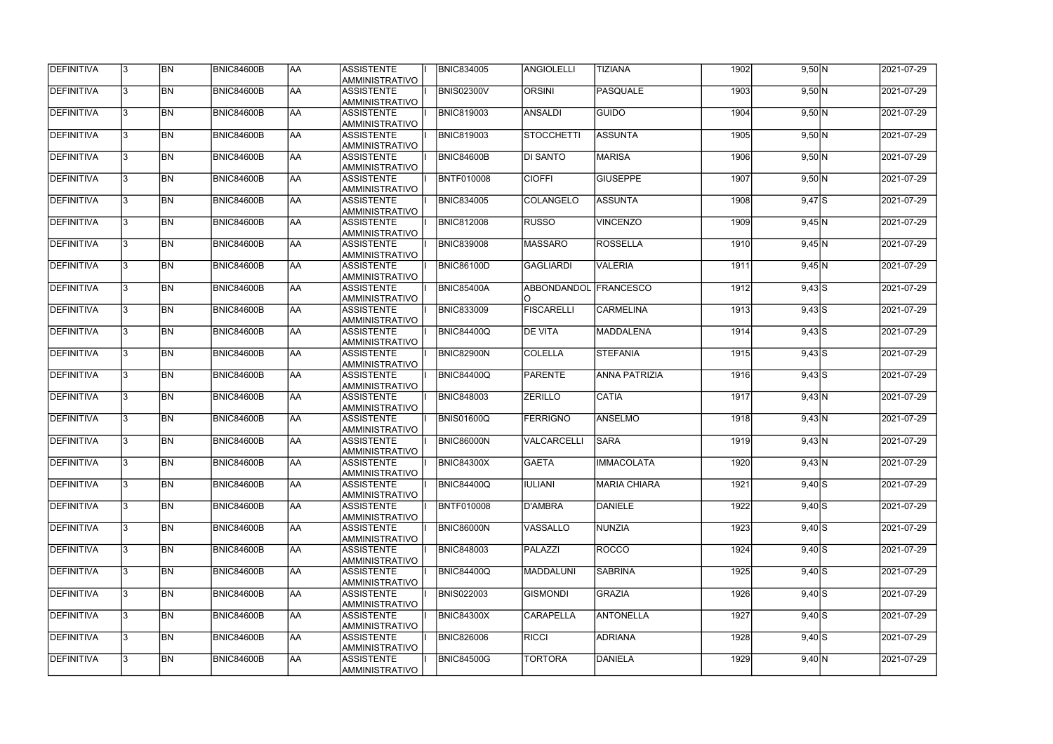| DEFINITIVA        | 13. | <b>BN</b> | <b>BNIC84600B</b> | AA        | <b>ASSISTENTE</b><br>AMMINISTRATIVO        | <b>BNIC834005</b> | <b>ANGIOLELLI</b>            | <b>TIZIANA</b>       | 1902 | 9,50 N     | 2021-07-29 |
|-------------------|-----|-----------|-------------------|-----------|--------------------------------------------|-------------------|------------------------------|----------------------|------|------------|------------|
| <b>DEFINITIVA</b> | 13. | <b>BN</b> | <b>BNIC84600B</b> | laa       | <b>ASSISTENTE</b><br>AMMINISTRATIVO        | <b>BNIS02300V</b> | <b>ORSINI</b>                | <b>PASQUALE</b>      | 1903 | 9,50 N     | 2021-07-29 |
| DEFINITIVA        | l3. | <b>BN</b> | <b>BNIC84600B</b> | AA        | <b>ASSISTENTE</b><br>AMMINISTRATIVO        | <b>BNIC819003</b> | <b>ANSALDI</b>               | <b>GUIDO</b>         | 1904 | 9,50 N     | 2021-07-29 |
| <b>DEFINITIVA</b> | l3. | <b>BN</b> | BNIC84600B        | <b>AA</b> | <b>ASSISTENTE</b><br>AMMINISTRATIVO        | <b>BNIC819003</b> | STOCCHETTI                   | <b>ASSUNTA</b>       | 1905 | $9,50$ N   | 2021-07-29 |
| DEFINITIVA        | l3. | <b>BN</b> | <b>BNIC84600B</b> | laa       | <b>ASSISTENTE</b><br>AMMINISTRATIVO        | BNIC84600B        | <b>DI SANTO</b>              | <b>MARISA</b>        | 1906 | 9,50 N     | 2021-07-29 |
| DEFINITIVA        | 3   | <b>BN</b> | <b>BNIC84600B</b> | laa       | <b>ASSISTENTE</b><br>AMMINISTRATIVO        | <b>BNTF010008</b> | <b>CIOFFI</b>                | <b>GIUSEPPE</b>      | 1907 | 9,50 N     | 2021-07-29 |
| DEFINITIVA        |     | <b>BN</b> | <b>BNIC84600B</b> | laa       | <b>ASSISTENTE</b><br><b>AMMINISTRATIVO</b> | <b>BNIC834005</b> | <b>COLANGELO</b>             | <b>ASSUNTA</b>       | 1908 | $9,47$ S   | 2021-07-29 |
| DEFINITIVA        |     | <b>BN</b> | BNIC84600B        | laa       | <b>ASSISTENTE</b><br>AMMINISTRATIVO        | <b>BNIC812008</b> | <b>RUSSO</b>                 | <b>VINCENZO</b>      | 1909 | $9,45$ N   | 2021-07-29 |
| DEFINITIVA        |     | <b>BN</b> | <b>BNIC84600B</b> | AA        | <b>ASSISTENTE</b><br>AMMINISTRATIVO        | <b>BNIC839008</b> | <b>MASSARO</b>               | <b>ROSSELLA</b>      | 1910 | 9,45 N     | 2021-07-29 |
| DEFINITIVA        | l3. | <b>BN</b> | <b>BNIC84600B</b> | laa       | <b>ASSISTENTE</b><br>AMMINISTRATIVO        | <b>BNIC86100D</b> | <b>GAGLIARDI</b>             | <b>VALERIA</b>       | 1911 | $9,45$ N   | 2021-07-29 |
| DEFINITIVA        | l3. | <b>BN</b> | <b>BNIC84600B</b> | AA        | <b>ASSISTENTE</b><br>AMMINISTRATIVO        | <b>BNIC85400A</b> | <b>ABBONDANDOL FRANCESCO</b> |                      | 1912 | $9,43$ S   | 2021-07-29 |
| <b>DEFINITIVA</b> | 3   | <b>BN</b> | BNIC84600B        | <b>AA</b> | <b>ASSISTENTE</b><br>AMMINISTRATIVO        | <b>BNIC833009</b> | <b>FISCARELLI</b>            | <b>CARMELINA</b>     | 1913 | $9,43$ S   | 2021-07-29 |
| DEFINITIVA        | 3   | <b>BN</b> | <b>BNIC84600B</b> | laa       | <b>ASSISTENTE</b><br>AMMINISTRATIVO        | <b>BNIC84400Q</b> | <b>DE VITA</b>               | <b>MADDALENA</b>     | 1914 | $9,43$ S   | 2021-07-29 |
| DEFINITIVA        | 3   | <b>BN</b> | <b>BNIC84600B</b> | laa       | <b>ASSISTENTE</b><br>AMMINISTRATIVO        | <b>BNIC82900N</b> | <b>COLELLA</b>               | <b>STEFANIA</b>      | 1915 | $9,43$ S   | 2021-07-29 |
| DEFINITIVA        |     | <b>BN</b> | <b>BNIC84600B</b> | laa       | <b>ASSISTENTE</b><br><b>AMMINISTRATIVO</b> | <b>BNIC84400Q</b> | PARENTE                      | <b>ANNA PATRIZIA</b> | 1916 | $9,43$ S   | 2021-07-29 |
| DEFINITIVA        | 3   | <b>BN</b> | <b>BNIC84600B</b> | laa       | <b>ASSISTENTE</b><br>AMMINISTRATIVO        | <b>BNIC848003</b> | <b>ZERILLO</b>               | <b>CATIA</b>         | 1917 | 9,43 N     | 2021-07-29 |
| DEFINITIVA        | l3. | <b>BN</b> | <b>BNIC84600B</b> | laa       | <b>ASSISTENTE</b><br>AMMINISTRATIVO        | <b>BNIS01600Q</b> | <b>FERRIGNO</b>              | <b>ANSELMO</b>       | 1918 | 9,43 N     | 2021-07-29 |
| DEFINITIVA        | 3   | <b>BN</b> | <b>BNIC84600B</b> | AA        | <b>ASSISTENTE</b><br>AMMINISTRATIVO        | <b>BNIC86000N</b> | VALCARCELL                   | <b>SARA</b>          | 1919 | 9,43 N     | 2021-07-29 |
| DEFINITIVA        | 13  | <b>BN</b> | <b>BNIC84600B</b> | <b>AA</b> | <b>ASSISTENTE</b><br>AMMINISTRATIVO        | <b>BNIC84300X</b> | <b>GAETA</b>                 | <b>IMMACOLATA</b>    | 1920 | 9,43 N     | 2021-07-29 |
| <b>DEFINITIVA</b> | I3. | <b>BN</b> | <b>BNIC84600B</b> | AA        | <b>ASSISTENTE</b><br>AMMINISTRATIVO        | <b>BNIC84400Q</b> | <b>IULIANI</b>               | <b>MARIA CHIARA</b>  | 1921 | $9,40$ $S$ | 2021-07-29 |
| DEFINITIVA        | 13. | <b>BN</b> | <b>BNIC84600B</b> | AA        | <b>ASSISTENTE</b><br>AMMINISTRATIVO        | BNTF010008        | D'AMBRA                      | <b>DANIELE</b>       | 1922 | $9,40$ S   | 2021-07-29 |
| DEFINITIVA        | 3   | <b>BN</b> | <b>BNIC84600B</b> | laa       | <b>ASSISTENTE</b><br>AMMINISTRATIVO        | <b>BNIC86000N</b> | <b>VASSALLO</b>              | <b>NUNZIA</b>        | 1923 | $9,40$ S   | 2021-07-29 |
| DEFINITIVA        |     | <b>BN</b> | BNIC84600B        | AA        | <b>ASSISTENTE</b><br>AMMINISTRATIVO        | <b>BNIC848003</b> | PALAZZI                      | <b>ROCCO</b>         | 1924 | $9,40$ S   | 2021-07-29 |
| DEFINITIVA        |     | <b>BN</b> | <b>BNIC84600B</b> | AA        | <b>ASSISTENTE</b><br>AMMINISTRATIVO        | <b>BNIC84400Q</b> | MADDALUNI                    | <b>SABRINA</b>       | 1925 | $9,40$ S   | 2021-07-29 |
| DEFINITIVA        | I3. | <b>BN</b> | BNIC84600B        | laa       | <b>ASSISTENTE</b><br>AMMINISTRATIVO        | <b>BNIS022003</b> | <b>GISMONDI</b>              | <b>GRAZIA</b>        | 1926 | $9,40$ S   | 2021-07-29 |
| DEFINITIVA        | 13. | <b>BN</b> | <b>BNIC84600B</b> | AA        | <b>ASSISTENTE</b><br>AMMINISTRATIVO        | <b>BNIC84300X</b> | <b>CARAPELLA</b>             | <b>ANTONELLA</b>     | 1927 | $9,40$ S   | 2021-07-29 |
| DEFINITIVA        | 13. | <b>BN</b> | <b>BNIC84600B</b> | AA        | <b>ASSISTENTE</b><br>AMMINISTRATIVO        | <b>BNIC826006</b> | <b>RICCI</b>                 | <b>ADRIANA</b>       | 1928 | $9,40$ $S$ | 2021-07-29 |
| DEFINITIVA        |     | <b>BN</b> | <b>BNIC84600B</b> | AA        | <b>ASSISTENTE</b><br>AMMINISTRATIVO        | <b>BNIC84500G</b> | <b>TORTORA</b>               | <b>DANIELA</b>       | 1929 | 9,40 N     | 2021-07-29 |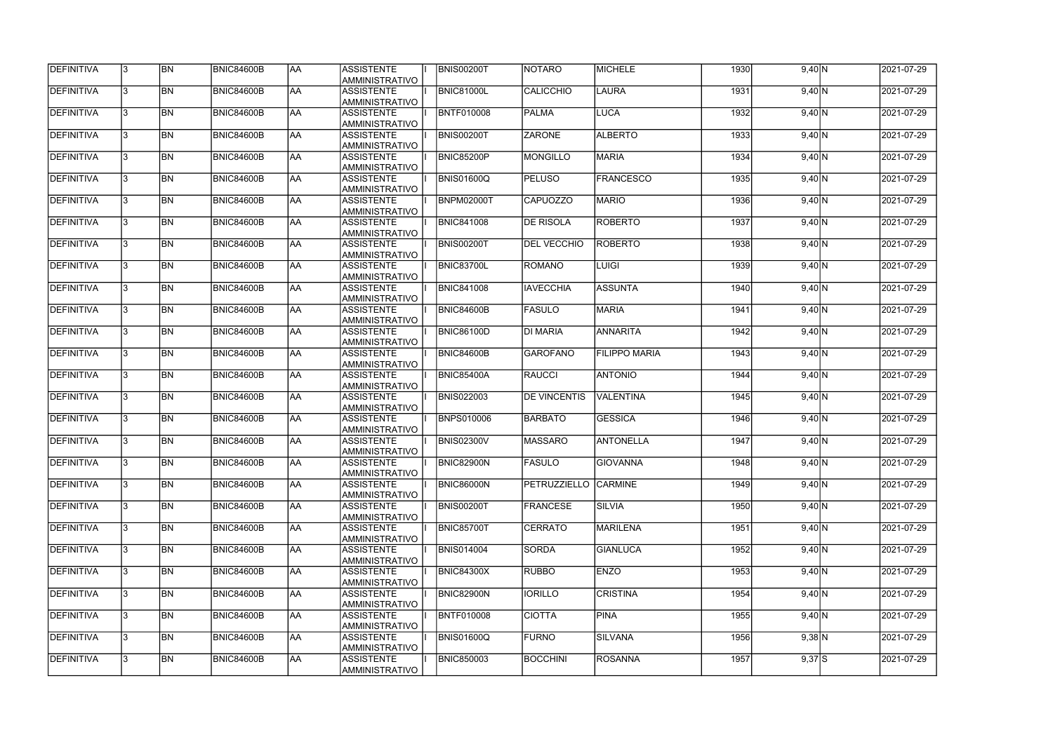| <b>DEFINITIVA</b> | 13. | <b>BN</b> | <b>BNIC84600B</b> | AA         | <b>ASSISTENTE</b><br>AMMINISTRATIVO        | <b>BNIS00200T</b> | <b>NOTARO</b>       | <b>MICHELE</b>       | 1930 | $9,40 \vert N$ | 2021-07-29 |
|-------------------|-----|-----------|-------------------|------------|--------------------------------------------|-------------------|---------------------|----------------------|------|----------------|------------|
| DEFINITIVA        | 13. | <b>BN</b> | <b>BNIC84600B</b> | laa        | <b>ASSISTENTE</b><br>AMMINISTRATIVO        | <b>BNIC81000L</b> | <b>CALICCHIO</b>    | <b>LAURA</b>         | 1931 | $9,40 \vert N$ | 2021-07-29 |
| DEFINITIVA        | 13. | <b>BN</b> | <b>BNIC84600B</b> | laa        | <b>ASSISTENTE</b><br>AMMINISTRATIVO        | <b>BNTF010008</b> | <b>PALMA</b>        | LUCA                 | 1932 | $9,40$ N       | 2021-07-29 |
| DEFINITIVA        | l3. | <b>BN</b> | <b>BNIC84600B</b> | laa        | <b>ASSISTENTE</b><br>AMMINISTRATIVO        | <b>BNIS00200T</b> | <b>ZARONE</b>       | <b>ALBERTO</b>       | 1933 | 9,40 N         | 2021-07-29 |
| DEFINITIVA        | 13. | <b>BN</b> | <b>BNIC84600B</b> | laa        | <b>ASSISTENTE</b><br>AMMINISTRATIVO        | <b>BNIC85200P</b> | <b>MONGILLO</b>     | <b>MARIA</b>         | 1934 | $9,40 \vert N$ | 2021-07-29 |
| DEFINITIVA        | 3   | <b>BN</b> | <b>BNIC84600B</b> | laa        | <b>ASSISTENTE</b><br>AMMINISTRATIVO        | <b>BNIS01600Q</b> | <b>PELUSO</b>       | <b>FRANCESCO</b>     | 1935 | $9,40 \vert N$ | 2021-07-29 |
| DEFINITIVA        |     | <b>BN</b> | <b>BNIC84600B</b> | laa        | <b>ASSISTENTE</b><br><b>AMMINISTRATIVO</b> | BNPM02000T        | <b>CAPUOZZO</b>     | <b>MARIO</b>         | 1936 | $9,40 \vert N$ | 2021-07-29 |
| DEFINITIVA        |     | <b>BN</b> | <b>BNIC84600B</b> | laa        | <b>ASSISTENTE</b><br>AMMINISTRATIVO        | <b>BNIC841008</b> | <b>DE RISOLA</b>    | <b>ROBERTO</b>       | 1937 | $9,40 \vert N$ | 2021-07-29 |
| DEFINITIVA        |     | <b>BN</b> | <b>BNIC84600B</b> | laa        | <b>ASSISTENTE</b><br>AMMINISTRATIVO        | <b>BNIS00200T</b> | <b>DEL VECCHIO</b>  | <b>ROBERTO</b>       | 1938 | $9,40 \vert N$ | 2021-07-29 |
| DEFINITIVA        | l3. | <b>BN</b> | <b>BNIC84600B</b> | laa        | <b>ASSISTENTE</b><br>AMMINISTRATIVO        | BNIC83700L        | ROMANO              | LUIGI                | 1939 | $9,40 \vert N$ | 2021-07-29 |
| DEFINITIVA        | 13. | <b>BN</b> | <b>BNIC84600B</b> | laa        | <b>ASSISTENTE</b><br>AMMINISTRATIVO        | <b>BNIC841008</b> | <b>IAVECCHIA</b>    | <b>ASSUNTA</b>       | 1940 | 9,40 N         | 2021-07-29 |
| DEFINITIVA        | 3   | <b>BN</b> | <b>BNIC84600B</b> | <b>AA</b>  | <b>ASSISTENTE</b><br>AMMINISTRATIVO        | BNIC84600B        | FASULO              | <b>MARIA</b>         | 1941 | 9,40 N         | 2021-07-29 |
| DEFINITIVA        | l3. | <b>BN</b> | <b>BNIC84600B</b> | laa        | <b>ASSISTENTE</b><br>AMMINISTRATIVO        | <b>BNIC86100D</b> | <b>DI MARIA</b>     | <b>ANNARITA</b>      | 1942 | $9,40$ N       | 2021-07-29 |
| DEFINITIVA        | 3   | <b>BN</b> | <b>BNIC84600B</b> | AA         | <b>ASSISTENTE</b><br>AMMINISTRATIVO        | BNIC84600B        | <b>GAROFANO</b>     | <b>FILIPPO MARIA</b> | 1943 | $9,40$ N       | 2021-07-29 |
| DEFINITIVA        |     | <b>BN</b> | <b>BNIC84600B</b> | AA         | <b>ASSISTENTE</b><br><b>AMMINISTRATIVO</b> | <b>BNIC85400A</b> | <b>RAUCCI</b>       | <b>ANTONIO</b>       | 1944 | 9,40 N         | 2021-07-29 |
| DEFINITIVA        |     | <b>BN</b> | <b>BNIC84600B</b> | AA         | <b>ASSISTENTE</b><br>AMMINISTRATIVO        | <b>BNIS022003</b> | <b>DE VINCENTIS</b> | <b>VALENTINA</b>     | 1945 | 9,40 N         | 2021-07-29 |
| DEFINITIVA        | 3   | <b>BN</b> | <b>BNIC84600B</b> | laa        | <b>ASSISTENTE</b><br>AMMINISTRATIVO        | <b>BNPS010006</b> | <b>BARBATO</b>      | <b>GESSICA</b>       | 1946 | $9,40 \vert N$ | 2021-07-29 |
| DEFINITIVA        |     | <b>BN</b> | <b>BNIC84600B</b> | AA         | <b>ASSISTENTE</b><br>AMMINISTRATIVO        | <b>BNIS02300V</b> | <b>MASSARO</b>      | <b>ANTONELLA</b>     | 1947 | $9,40 \vert N$ | 2021-07-29 |
| DEFINITIVA        | 13  | BN        | <b>BNIC84600B</b> | <b>JAA</b> | <b>ASSISTENTE</b><br>AMMINISTRATIVO        | <b>BNIC82900N</b> | <b>FASULO</b>       | <b>GIOVANNA</b>      | 1948 | $9,40 \vert N$ | 2021-07-29 |
| <b>DEFINITIVA</b> | 13. | <b>BN</b> | <b>BNIC84600B</b> | <b>AA</b>  | <b>ASSISTENTE</b><br>AMMINISTRATIVO        | BNIC86000N        | PETRUZZIELLO        | <b>CARMINE</b>       | 1949 | 9,40 N         | 2021-07-29 |
| DEFINITIVA        | l3. | <b>BN</b> | <b>BNIC84600B</b> | <b>AA</b>  | <b>ASSISTENTE</b><br>AMMINISTRATIVO        | <b>BNIS00200T</b> | FRANCESE            | <b>SILVIA</b>        | 1950 | $9,40$ N       | 2021-07-29 |
| DEFINITIVA        | l3. | <b>BN</b> | <b>BNIC84600B</b> | AA         | <b>ASSISTENTE</b><br>AMMINISTRATIVO        | BNIC85700T        | <b>CERRATO</b>      | <b>MARILENA</b>      | 1951 | 9,40 N         | 2021-07-29 |
| DEFINITIVA        | l3. | <b>BN</b> | <b>BNIC84600B</b> | AA         | <b>ASSISTENTE</b><br>AMMINISTRATIVO        | <b>BNIS014004</b> | SORDA               | <b>GIANLUCA</b>      | 1952 | $9,40$ N       | 2021-07-29 |
| DEFINITIVA        |     | <b>BN</b> | <b>BNIC84600B</b> | AA         | <b>ASSISTENTE</b><br>AMMINISTRATIVO        | <b>BNIC84300X</b> | <b>RUBBO</b>        | <b>ENZO</b>          | 1953 | 9,40 N         | 2021-07-29 |
| DEFINITIVA        |     | <b>BN</b> | <b>BNIC84600B</b> | AA         | <b>ASSISTENTE</b><br>AMMINISTRATIVO        | BNIC82900N        | <b>IORILLO</b>      | <b>CRISTINA</b>      | 1954 | $9,40 \vert N$ | 2021-07-29 |
| DEFINITIVA        | I3. | <b>BN</b> | <b>BNIC84600B</b> | AA         | <b>ASSISTENTE</b><br>AMMINISTRATIVO        | <b>BNTF010008</b> | <b>CIOTTA</b>       | <b>PINA</b>          | 1955 | 9,40 N         | 2021-07-29 |
| DEFINITIVA        | 13. | <b>BN</b> | <b>BNIC84600B</b> | laa        | <b>ASSISTENTE</b><br>AMMINISTRATIVO        | <b>BNIS01600Q</b> | <b>FURNO</b>        | <b>SILVANA</b>       | 1956 | $9,38$ N       | 2021-07-29 |
| DEFINITIVA        |     | <b>BN</b> | <b>BNIC84600B</b> | AA         | <b>ASSISTENTE</b><br>AMMINISTRATIVO        | <b>BNIC850003</b> | <b>BOCCHINI</b>     | <b>ROSANNA</b>       | 1957 | $9,37$ $S$     | 2021-07-29 |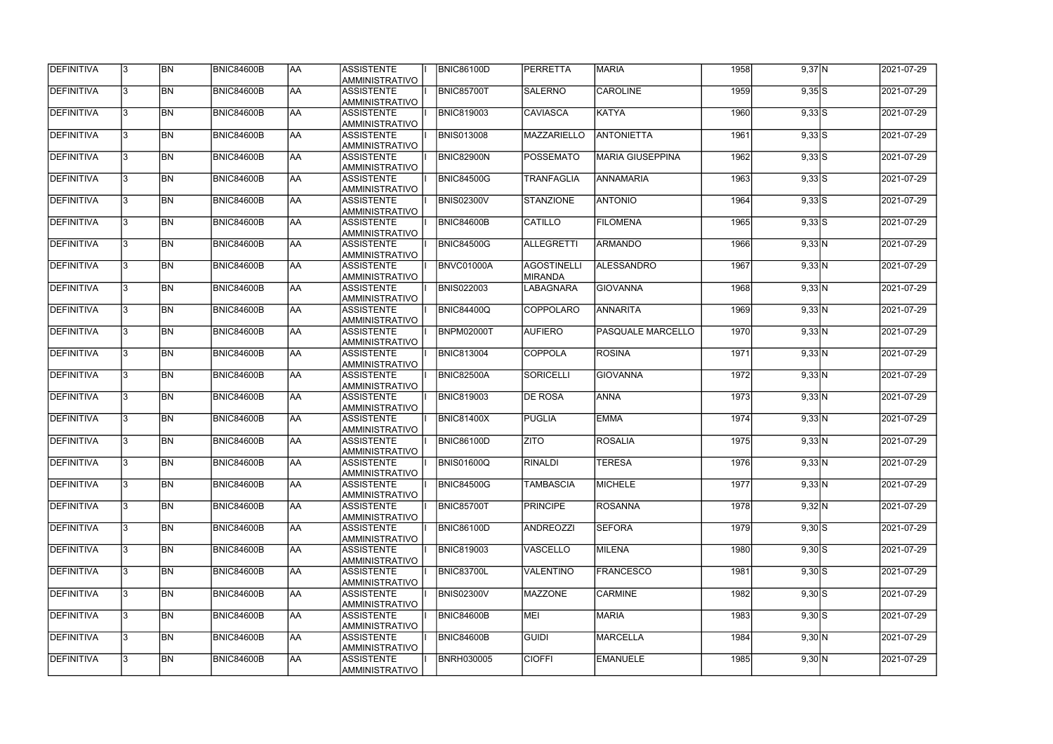| DEFINITIVA        | 13. | <b>BN</b> | <b>BNIC84600B</b> | AA         | <b>ASSISTENTE</b><br>AMMINISTRATIVO        | <b>BNIC86100D</b> | PERRETTA                             | <b>MARIA</b>            | 1958 | $9,37$ N   | 2021-07-29 |
|-------------------|-----|-----------|-------------------|------------|--------------------------------------------|-------------------|--------------------------------------|-------------------------|------|------------|------------|
| DEFINITIVA        | 13. | <b>BN</b> | <b>BNIC84600B</b> | laa        | <b>ASSISTENTE</b><br>AMMINISTRATIVO        | <b>BNIC85700T</b> | <b>SALERNO</b>                       | <b>CAROLINE</b>         | 1959 | $9,35$ S   | 2021-07-29 |
| DEFINITIVA        | 13. | <b>BN</b> | <b>BNIC84600B</b> | laa        | <b>ASSISTENTE</b><br>AMMINISTRATIVO        | <b>BNIC819003</b> | <b>CAVIASCA</b>                      | <b>KATYA</b>            | 1960 | $9,33$ $S$ | 2021-07-29 |
| DEFINITIVA        | l3. | <b>BN</b> | <b>BNIC84600B</b> | laa        | <b>ASSISTENTE</b><br>AMMINISTRATIVO        | <b>BNIS013008</b> | <b>MAZZARIELLO</b>                   | <b>ANTONIETTA</b>       | 1961 | $9,33$ S   | 2021-07-29 |
| DEFINITIVA        | 13. | <b>BN</b> | <b>BNIC84600B</b> | laa        | <b>ASSISTENTE</b><br>AMMINISTRATIVO        | BNIC82900N        | POSSEMATO                            | <b>MARIA GIUSEPPINA</b> | 1962 | $9,33$ S   | 2021-07-29 |
| DEFINITIVA        | 3   | <b>BN</b> | <b>BNIC84600B</b> | laa        | <b>ASSISTENTE</b><br>AMMINISTRATIVO        | <b>BNIC84500G</b> | <b>TRANFAGLIA</b>                    | <b>ANNAMARIA</b>        | 1963 | $9,33$ S   | 2021-07-29 |
| DEFINITIVA        |     | <b>BN</b> | <b>BNIC84600B</b> | laa        | <b>ASSISTENTE</b><br><b>AMMINISTRATIVO</b> | <b>BNIS02300V</b> | STANZIONE                            | <b>ANTONIO</b>          | 1964 | $9,33$ S   | 2021-07-29 |
| DEFINITIVA        |     | <b>BN</b> | <b>BNIC84600B</b> | laa        | <b>ASSISTENTE</b><br>AMMINISTRATIVO        | BNIC84600B        | CATILLO                              | <b>FILOMENA</b>         | 1965 | $9,33$ S   | 2021-07-29 |
| DEFINITIVA        |     | <b>BN</b> | <b>BNIC84600B</b> | laa        | <b>ASSISTENTE</b><br>AMMINISTRATIVO        | <b>BNIC84500G</b> | ALLEGRETTI                           | <b>ARMANDO</b>          | 1966 | 9,33 N     | 2021-07-29 |
| DEFINITIVA        | l3. | <b>BN</b> | <b>BNIC84600B</b> | laa        | <b>ASSISTENTE</b><br>AMMINISTRATIVO        | BNVC01000A        | <b>AGOSTINELLI</b><br><b>MIRANDA</b> | <b>ALESSANDRO</b>       | 1967 | 9,33 N     | 2021-07-29 |
| DEFINITIVA        | l3. | <b>BN</b> | <b>BNIC84600B</b> | laa        | <b>ASSISTENTE</b><br>AMMINISTRATIVO        | <b>BNIS022003</b> | LABAGNARA                            | <b>GIOVANNA</b>         | 1968 | $9,33$ N   | 2021-07-29 |
| DEFINITIVA        | 3   | <b>BN</b> | BNIC84600B        | <b>AA</b>  | <b>ASSISTENTE</b><br>AMMINISTRATIVO        | BNIC84400Q        | <b>COPPOLARO</b>                     | <b>ANNARITA</b>         | 1969 | 9,33 N     | 2021-07-29 |
| DEFINITIVA        | l3. | <b>BN</b> | <b>BNIC84600B</b> | laa        | <b>ASSISTENTE</b><br>AMMINISTRATIVO        | BNPM02000T        | <b>AUFIERO</b>                       | PASQUALE MARCELLO       | 1970 | $9,33$ N   | 2021-07-29 |
| DEFINITIVA        | 3   | <b>BN</b> | <b>BNIC84600B</b> | AA         | <b>ASSISTENTE</b><br>AMMINISTRATIVO        | <b>BNIC813004</b> | <b>COPPOLA</b>                       | <b>ROSINA</b>           | 1971 | 9,33 N     | 2021-07-29 |
| DEFINITIVA        |     | <b>BN</b> | <b>BNIC84600B</b> | AA         | <b>ASSISTENTE</b><br><b>AMMINISTRATIVO</b> | <b>BNIC82500A</b> | SORICELLI                            | <b>GIOVANNA</b>         | 1972 | 9,33 N     | 2021-07-29 |
| DEFINITIVA        |     | <b>BN</b> | <b>BNIC84600B</b> | AA         | <b>ASSISTENTE</b><br>AMMINISTRATIVO        | <b>BNIC819003</b> | <b>DE ROSA</b>                       | <b>ANNA</b>             | 1973 | 9,33 N     | 2021-07-29 |
| DEFINITIVA        | 3   | <b>BN</b> | <b>BNIC84600B</b> | laa        | <b>ASSISTENTE</b><br>AMMINISTRATIVO        | BNIC81400X        | PUGLIA                               | <b>EMMA</b>             | 1974 | 9,33 N     | 2021-07-29 |
| DEFINITIVA        |     | <b>BN</b> | <b>BNIC84600B</b> | AA         | <b>ASSISTENTE</b><br>AMMINISTRATIVO        | <b>BNIC86100D</b> | <b>ZITO</b>                          | <b>ROSALIA</b>          | 1975 | 9,33 N     | 2021-07-29 |
| DEFINITIVA        | 13  | BN        | <b>BNIC84600B</b> | <b>JAA</b> | <b>ASSISTENTE</b><br><b>AMMINISTRATIVO</b> | <b>BNIS01600Q</b> | <b>RINALDI</b>                       | <b>TERESA</b>           | 1976 | 9,33 N     | 2021-07-29 |
| <b>DEFINITIVA</b> | I3. | <b>BN</b> | <b>BNIC84600B</b> | <b>AA</b>  | <b>ASSISTENTE</b><br>AMMINISTRATIVO        | <b>BNIC84500G</b> | <b>TAMBASCIA</b>                     | <b>MICHELE</b>          | 1977 | 9,33 N     | 2021-07-29 |
| DEFINITIVA        | l3. | <b>BN</b> | <b>BNIC84600B</b> | <b>AA</b>  | <b>ASSISTENTE</b><br>AMMINISTRATIVO        | BNIC85700T        | <b>PRINCIPE</b>                      | <b>ROSANNA</b>          | 1978 | $9,32$ N   | 2021-07-29 |
| DEFINITIVA        | 3   | <b>BN</b> | <b>BNIC84600B</b> | AA         | <b>ASSISTENTE</b><br>AMMINISTRATIVO        | <b>BNIC86100D</b> | <b>ANDREOZZI</b>                     | <b>SEFORA</b>           | 1979 | $9,30$ S   | 2021-07-29 |
| DEFINITIVA        | 3   | <b>BN</b> | <b>BNIC84600B</b> | AA         | <b>ASSISTENTE</b><br>AMMINISTRATIVO        | <b>BNIC819003</b> | VASCELLO                             | <b>MILENA</b>           | 1980 | $9,30$ S   | 2021-07-29 |
| DEFINITIVA        |     | <b>BN</b> | <b>BNIC84600B</b> | AA         | <b>ASSISTENTE</b><br>AMMINISTRATIVO        | BNIC83700L        | <b>VALENTINO</b>                     | <b>FRANCESCO</b>        | 1981 | $9,30$ S   | 2021-07-29 |
| DEFINITIVA        |     | <b>BN</b> | <b>BNIC84600B</b> | AA         | <b>ASSISTENTE</b><br>AMMINISTRATIVO        | <b>BNIS02300V</b> | MAZZONE                              | <b>CARMINE</b>          | 1982 | $9,30$ S   | 2021-07-29 |
| DEFINITIVA        | I3. | <b>BN</b> | BNIC84600B        | AA         | <b>ASSISTENTE</b><br>AMMINISTRATIVO        | BNIC84600B        | MEI                                  | <b>MARIA</b>            | 1983 | $9,30$ S   | 2021-07-29 |
| DEFINITIVA        | 13. | <b>BN</b> | <b>BNIC84600B</b> | laa        | <b>ASSISTENTE</b><br>AMMINISTRATIVO        | BNIC84600B        | <b>GUIDI</b>                         | <b>MARCELLA</b>         | 1984 | 9,30 N     | 2021-07-29 |
| DEFINITIVA        |     | <b>BN</b> | <b>BNIC84600B</b> | <b>AA</b>  | <b>ASSISTENTE</b><br>AMMINISTRATIVO        | <b>BNRH030005</b> | <b>CIOFFI</b>                        | <b>EMANUELE</b>         | 1985 | 9,30 N     | 2021-07-29 |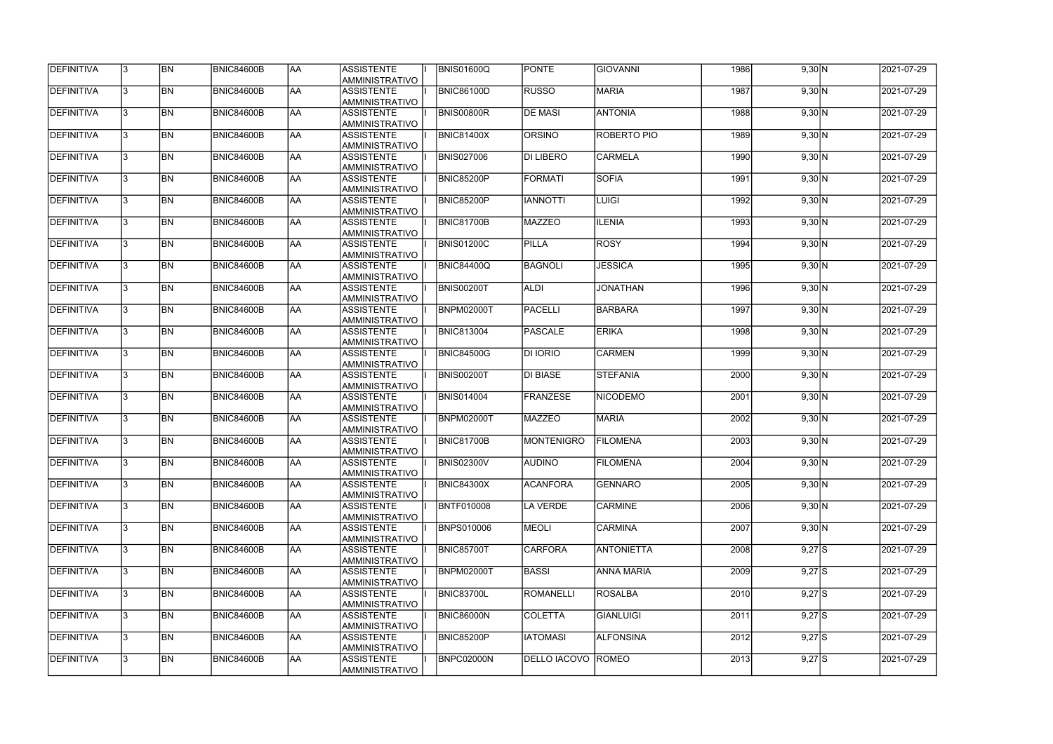| DEFINITIVA        | 13. | <b>BN</b>      | <b>BNIC84600B</b> | AA         | ASSISTENTE<br>AMMINISTRATIVO        | <b>BNIS01600Q</b> | <b>PONTE</b>       | <b>GIOVANNI</b>   | 1986 | 9,30 N   | 2021-07-29 |
|-------------------|-----|----------------|-------------------|------------|-------------------------------------|-------------------|--------------------|-------------------|------|----------|------------|
| DEFINITIVA        | 13. | <b>BN</b>      | <b>BNIC84600B</b> | AA         | <b>ASSISTENTE</b><br>AMMINISTRATIVO | <b>BNIC86100D</b> | <b>RUSSO</b>       | <b>MARIA</b>      | 1987 | 9,30 N   | 2021-07-29 |
| DEFINITIVA        | 13. | <b>BN</b>      | <b>BNIC84600B</b> | AA         | <b>ASSISTENTE</b><br>AMMINISTRATIVO | <b>BNIS00800R</b> | <b>DE MASI</b>     | <b>ANTONIA</b>    | 1988 | 9,30 N   | 2021-07-29 |
| DEFINITIVA        | l3. | <b>BN</b>      | <b>BNIC84600B</b> | <b>AA</b>  | <b>ASSISTENTE</b><br>AMMINISTRATIVO | <b>BNIC81400X</b> | <b>ORSINO</b>      | ROBERTO PIO       | 1989 | 9,30 N   | 2021-07-29 |
| DEFINITIVA        | l3. | <b>BN</b>      | <b>BNIC84600B</b> | <b>AA</b>  | <b>ASSISTENTE</b><br>AMMINISTRATIVO | <b>BNIS027006</b> | <b>DI LIBERO</b>   | <b>CARMELA</b>    | 1990 | 9,30 N   | 2021-07-29 |
| DEFINITIVA        | 3   | <b>BN</b>      | <b>BNIC84600B</b> | AA         | <b>ASSISTENTE</b><br>AMMINISTRATIVO | <b>BNIC85200P</b> | FORMATI            | <b>SOFIA</b>      | 1991 | 9,30 N   | 2021-07-29 |
| DEFINITIVA        |     | <b>BN</b>      | <b>BNIC84600B</b> | AA         | <b>ASSISTENTE</b><br>AMMINISTRATIVO | <b>BNIC85200P</b> | <b>IANNOTTI</b>    | <b>LUIGI</b>      | 1992 | 9,30 N   | 2021-07-29 |
| DEFINITIVA        |     | <b>BN</b>      | <b>BNIC84600B</b> | AA         | <b>ASSISTENTE</b><br>AMMINISTRATIVO | <b>BNIC81700B</b> | <b>MAZZEO</b>      | <b>ILENIA</b>     | 1993 | 9,30 N   | 2021-07-29 |
| DEFINITIVA        |     | <b>BN</b>      | <b>BNIC84600B</b> | laa        | <b>ASSISTENTE</b><br>AMMINISTRATIVO | <b>BNIS01200C</b> | PILLA              | <b>ROSY</b>       | 1994 | 9,30 N   | 2021-07-29 |
| DEFINITIVA        | l3. | <b>BN</b>      | <b>BNIC84600B</b> | laa        | <b>ASSISTENTE</b><br>AMMINISTRATIVO | <b>BNIC84400Q</b> | BAGNOLI            | <b>JESSICA</b>    | 1995 | 9,30 N   | 2021-07-29 |
| DEFINITIVA        | l3. | <b>BN</b>      | <b>BNIC84600B</b> | AA         | <b>ASSISTENTE</b><br>AMMINISTRATIVO | <b>BNIS00200T</b> | <b>ALDI</b>        | <b>JONATHAN</b>   | 1996 | 9,30 N   | 2021-07-29 |
| DEFINITIVA        | 3   | <b>BN</b>      | BNIC84600B        | AA         | <b>ASSISTENTE</b><br>AMMINISTRATIVO | BNPM02000T        | PACELLI            | <b>BARBARA</b>    | 1997 | 9,30 N   | 2021-07-29 |
| DEFINITIVA        | l3. | <b>BN</b>      | <b>BNIC84600B</b> | AA         | <b>ASSISTENTE</b><br>AMMINISTRATIVO | <b>BNIC813004</b> | PASCALE            | <b>ERIKA</b>      | 1998 | 9,30 N   | 2021-07-29 |
| DEFINITIVA        | 3   | <b>BN</b>      | <b>BNIC84600B</b> | AA         | <b>ASSISTENTE</b><br>AMMINISTRATIVO | <b>BNIC84500G</b> | <b>DI IORIO</b>    | <b>CARMEN</b>     | 1999 | 9,30 N   | 2021-07-29 |
| DEFINITIVA        |     | <b>BN</b>      | <b>BNIC84600B</b> | AA         | <b>ASSISTENTE</b><br>AMMINISTRATIVO | <b>BNIS00200T</b> | DI BIASE           | <b>STEFANIA</b>   | 2000 | 9,30 N   | 2021-07-29 |
| DEFINITIVA        |     | <b>BN</b>      | <b>BNIC84600B</b> | AA         | <b>ASSISTENTE</b><br>AMMINISTRATIVO | <b>BNIS014004</b> | <b>FRANZESE</b>    | <b>NICODEMO</b>   | 2001 | 9,30 N   | 2021-07-29 |
| DEFINITIVA        | 3   | <b>BN</b>      | <b>BNIC84600B</b> | AA         | <b>ASSISTENTE</b><br>AMMINISTRATIVO | <b>BNPM02000T</b> | <b>MAZZEO</b>      | <b>MARIA</b>      | 2002 | 9,30 N   | 2021-07-29 |
| DEFINITIVA        |     | <b>BN</b>      | BNIC84600B        | AA         | <b>ASSISTENTE</b><br>AMMINISTRATIVO | <b>BNIC81700B</b> | <b>MONTENIGRO</b>  | <b>FILOMENA</b>   | 2003 | 9,30 N   | 2021-07-29 |
| DEFINITIVA        | 13  | BN             | <b>BNIC84600B</b> | <b>JAA</b> | <b>ASSISTENTE</b><br>AMMINISTRATIVO | <b>BNIS02300V</b> | <b>AUDINO</b>      | <b>FILOMENA</b>   | 2004 | 9,30 N   | 2021-07-29 |
| <b>DEFINITIVA</b> | 13. | <b>BN</b>      | <b>BNIC84600B</b> | AA         | <b>ASSISTENTE</b><br>AMMINISTRATIVO | <b>BNIC84300X</b> | <b>ACANFORA</b>    | <b>GENNARO</b>    | 2005 | 9,30 N   | 2021-07-29 |
| DEFINITIVA        | l3. | <b>BN</b>      | <b>BNIC84600B</b> | <b>AA</b>  | <b>ASSISTENTE</b><br>AMMINISTRATIVO | <b>BNTF010008</b> | <b>LA VERDE</b>    | <b>CARMINE</b>    | 2006 | 9,30 N   | 2021-07-29 |
| DEFINITIVA        | l3. | <b>BN</b>      | <b>BNIC84600B</b> | <b>AA</b>  | <b>ASSISTENTE</b><br>AMMINISTRATIVO | <b>BNPS010006</b> | <b>MEOLI</b>       | <b>CARMINA</b>    | 2007 | 9,30 N   | 2021-07-29 |
| DEFINITIVA        | l3. | <b>BN</b>      | <b>BNIC84600B</b> | <b>AA</b>  | <b>ASSISTENTE</b><br>AMMINISTRATIVO | <b>BNIC85700T</b> | <b>CARFORA</b>     | <b>ANTONIETTA</b> | 2008 | $9,27$ S | 2021-07-29 |
| DEFINITIVA        |     | <b>BN</b>      | <b>BNIC84600B</b> | AA         | <b>ASSISTENTE</b><br>AMMINISTRATIVO | <b>BNPM02000T</b> | <b>BASSI</b>       | <b>ANNA MARIA</b> | 2009 | $9,27$ S | 2021-07-29 |
| DEFINITIVA        |     | <b>BN</b>      | <b>BNIC84600B</b> | <b>AA</b>  | <b>ASSISTENTE</b><br>AMMINISTRATIVO | <b>BNIC83700L</b> | ROMANELLI          | <b>ROSALBA</b>    | 2010 | $9,27$ S | 2021-07-29 |
| DEFINITIVA        | I3. | BN <sub></sub> | <b>BNIC84600B</b> | AA         | <b>ASSISTENTE</b><br>AMMINISTRATIVO | <b>BNIC86000N</b> | <b>COLETTA</b>     | <b>GIANLUIGI</b>  | 2011 | $9,27$ S | 2021-07-29 |
| DEFINITIVA        | 13. | <b>BN</b>      | <b>BNIC84600B</b> | AA         | <b>ASSISTENTE</b><br>AMMINISTRATIVO | <b>BNIC85200P</b> | <b>IATOMASI</b>    | <b>ALFONSINA</b>  | 2012 | $9,27$ S | 2021-07-29 |
| DEFINITIVA        |     | <b>BN</b>      | <b>BNIC84600B</b> | AA         | <b>ASSISTENTE</b><br>AMMINISTRATIVO | BNPC02000N        | DELLO IACOVO ROMEO |                   | 2013 | $9,27$ S | 2021-07-29 |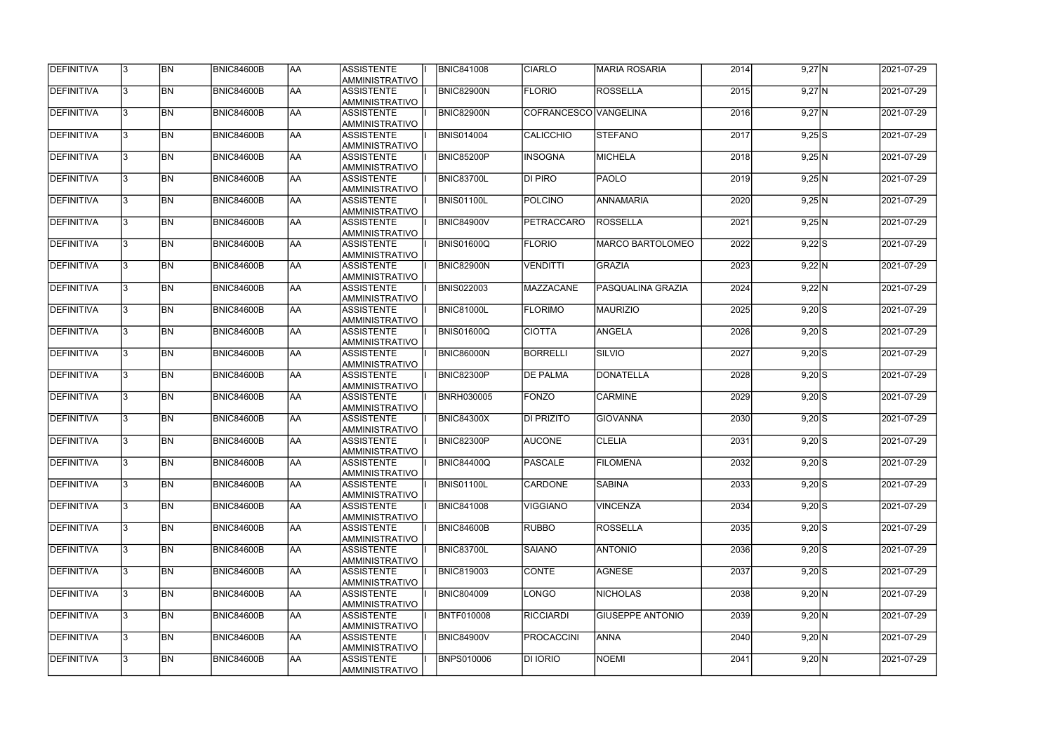| DEFINITIVA        |              | BN        | <b>BNIC84600B</b> | laa       | <b>ASSISTENTE</b><br><b>AMMINISTRATIVO</b> | <b>BNIC841008</b> | <b>CIARLO</b>     | <b>MARIA ROSARIA</b>    | 2014 | $9,27$ N | 2021-07-29 |
|-------------------|--------------|-----------|-------------------|-----------|--------------------------------------------|-------------------|-------------------|-------------------------|------|----------|------------|
| DEFINITIVA        | $\mathbf{3}$ | <b>BN</b> | BNIC84600B        | <b>AA</b> | <b>ASSISTENTE</b><br>AMMINISTRATIVO        | <b>BNIC82900N</b> | <b>FLORIO</b>     | <b>ROSSELLA</b>         | 2015 | $9,27$ N | 2021-07-29 |
| DEFINITIVA        | 3            | <b>BN</b> | <b>BNIC84600B</b> | laa       | <b>ASSISTENTE</b><br>AMMINISTRATIVO        | <b>BNIC82900N</b> |                   | COFRANCESCO VANGELINA   | 2016 | $9,27$ N | 2021-07-29 |
| DEFINITIVA        | l3.          | <b>BN</b> | <b>BNIC84600B</b> | laa       | <b>ASSISTENTE</b><br>AMMINISTRATIVO        | <b>BNIS014004</b> | CALICCHIO         | <b>STEFANO</b>          | 2017 | $9,25$ S | 2021-07-29 |
| DEFINITIVA        | l3.          | <b>BN</b> | <b>BNIC84600B</b> | <b>AA</b> | <b>ASSISTENTE</b><br>AMMINISTRATIVO        | <b>BNIC85200P</b> | <b>INSOGNA</b>    | MICHELA                 | 2018 | 9,25 N   | 2021-07-29 |
| DEFINITIVA        | l3.          | <b>BN</b> | BNIC84600B        | <b>AA</b> | <b>ASSISTENTE</b><br>AMMINISTRATIVO        | <b>BNIC83700L</b> | <b>DI PIRO</b>    | PAOLO                   | 2019 | 9,25 N   | 2021-07-29 |
| <b>DEFINITIVA</b> | l3.          | BN        | BNIC84600B        | <b>AA</b> | <b>ASSISTENTE</b><br>AMMINISTRATIVO        | <b>BNIS01100L</b> | POLCINO           | ANNAMARIA               | 2020 | 9,25 N   | 2021-07-29 |
| DEFINITIVA        | l3.          | <b>BN</b> | BNIC84600B        | laa       | <b>ASSISTENTE</b><br><b>AMMINISTRATIVO</b> | <b>BNIC84900V</b> | PETRACCARO        | <b>ROSSELLA</b>         | 2021 | 9,25 N   | 2021-07-29 |
| DEFINITIVA        |              | BN        | BNIC84600B        | laa       | <b>ASSISTENTE</b><br><b>AMMINISTRATIVO</b> | <b>BNIS01600Q</b> | FLORIO            | MARCO BARTOLOMEO        | 2022 | $9,22$ S | 2021-07-29 |
| DEFINITIVA        |              | BN        | BNIC84600B        | AA        | <b>ASSISTENTE</b><br>AMMINISTRATIVO        | BNIC82900N        | VENDITTI          | GRAZIA                  | 2023 | 9,22 N   | 2021-07-29 |
| DEFINITIVA        |              | <b>BN</b> | <b>BNIC84600B</b> | laa       | <b>ASSISTENTE</b><br>AMMINISTRATIVO        | <b>BNIS022003</b> | MAZZACANE         | PASQUALINA GRAZIA       | 2024 | 9,22 N   | 2021-07-29 |
| DEFINITIVA        | l3.          | <b>BN</b> | <b>BNIC84600B</b> | laa       | <b>ASSISTENTE</b><br>AMMINISTRATIVO        | <b>BNIC81000L</b> | <b>FLORIMO</b>    | MAURIZIO                | 2025 | $9,20$ S | 2021-07-29 |
| DEFINITIVA        | l3.          | <b>BN</b> | <b>BNIC84600B</b> | <b>AA</b> | <b>ASSISTENTE</b><br>AMMINISTRATIVO        | <b>BNIS01600Q</b> | <b>CIOTTA</b>     | ANGELA                  | 2026 | $9,20$ S | 2021-07-29 |
| DEFINITIVA        | l3.          | <b>BN</b> | <b>BNIC84600B</b> | <b>AA</b> | <b>ASSISTENTE</b><br>AMMINISTRATIVO        | BNIC86000N        | <b>BORRELLI</b>   | SILVIO                  | 2027 | $9,20$ S | 2021-07-29 |
| DEFINITIVA        | ା୧           | <b>BN</b> | <b>BNIC84600B</b> | laa       | <b>ASSISTENTE</b><br>AMMINISTRATIVO        | <b>BNIC82300P</b> | <b>DE PALMA</b>   | DONATELLA               | 2028 | $9,20$ S | 2021-07-29 |
| DEFINITIVA        |              | <b>BN</b> | <b>BNIC84600B</b> | laa       | <b>ASSISTENTE</b><br>AMMINISTRATIVO        | <b>BNRH030005</b> | FONZO             | <b>CARMINE</b>          | 2029 | $9,20$ S | 2021-07-29 |
| DEFINITIVA        | l3.          | <b>BN</b> | <b>BNIC84600B</b> | laa       | <b>ASSISTENTE</b><br>AMMINISTRATIVO        | <b>BNIC84300X</b> | <b>DI PRIZITO</b> | <b>GIOVANNA</b>         | 2030 | $9,20$ S | 2021-07-29 |
| DEFINITIVA        |              | <b>BN</b> | <b>BNIC84600B</b> | <b>AA</b> | <b>ASSISTENTE</b><br><b>AMMINISTRATIVO</b> | <b>BNIC82300P</b> | <b>AUCONE</b>     | <b>CLELIA</b>           | 2031 | $9,20$ S | 2021-07-29 |
| <b>DEFINITIVA</b> | 13.          | <b>BN</b> | BNIC84600B        | IAA.      | <b>ASSISTENTE</b><br>AMMINISTRATIVO        | BNIC84400Q        | <b>PASCALE</b>    | <b>FILOMENA</b>         | 2032 | $9,20$ S | 2021-07-29 |
| DEFINITIVA        | l3.          | <b>BN</b> | <b>BNIC84600B</b> | laa       | <b>ASSISTENTE</b><br>AMMINISTRATIVO        | <b>BNIS01100L</b> | <b>CARDONE</b>    | <b>SABINA</b>           | 2033 | $9,20$ S | 2021-07-29 |
| DEFINITIVA        | I3.          | <b>BN</b> | <b>BNIC84600B</b> | laa       | ASSISTENTE<br>AMMINISTRATIVO               | <b>BNIC841008</b> | <b>VIGGIANO</b>   | <b>VINCENZA</b>         | 2034 | $9,20$ S | 2021-07-29 |
| DEFINITIVA        | l3.          | <b>BN</b> | <b>BNIC84600B</b> | laa       | <b>ASSISTENTE</b><br>AMMINISTRATIVO        | <b>BNIC84600B</b> | <b>RUBBO</b>      | <b>ROSSELLA</b>         | 2035 | $9,20$ S | 2021-07-29 |
| DEFINITIVA        | l3.          | <b>BN</b> | <b>BNIC84600B</b> | laa       | <b>ASSISTENTE</b><br>AMMINISTRATIVO        | <b>BNIC83700L</b> | <b>SAIANO</b>     | <b>ANTONIO</b>          | 2036 | $9,20$ S | 2021-07-29 |
| DEFINITIVA        | l٩.          | <b>BN</b> | <b>BNIC84600B</b> | laa       | <b>ASSISTENTE</b><br><b>AMMINISTRATIVO</b> | <b>BNIC819003</b> | <b>CONTE</b>      | <b>AGNESE</b>           | 2037 | $9,20$ S | 2021-07-29 |
| DEFINITIVA        | 3.           | <b>BN</b> | <b>BNIC84600B</b> | laa       | <b>ASSISTENTE</b><br>AMMINISTRATIVO        | <b>BNIC804009</b> | LONGO             | <b>NICHOLAS</b>         | 2038 | 9,20 N   | 2021-07-29 |
| DEFINITIVA        |              | <b>BN</b> | BNIC84600B        | <b>AA</b> | <b>ASSISTENTE</b><br>AMMINISTRATIVO        | <b>BNTF010008</b> | <b>RICCIARDI</b>  | <b>GIUSEPPE ANTONIO</b> | 2039 | 9,20 N   | 2021-07-29 |
| DEFINITIVA        |              | <b>BN</b> | BNIC84600B        | laa       | <b>ASSISTENTE</b><br>AMMINISTRATIVO        | <b>BNIC84900V</b> | <b>PROCACCINI</b> | <b>ANNA</b>             | 2040 | 9,20 N   | 2021-07-29 |
| DEFINITIVA        |              | BN        | BNIC84600B        | AA        | <b>ASSISTENTE</b><br>AMMINISTRATIVO        | <b>BNPS010006</b> | DI IORIO          | <b>NOEMI</b>            | 2041 | 9,20 N   | 2021-07-29 |

| $9,27$ N            |              | 2021-07-29       |
|---------------------|--------------|------------------|
| $9,27$ N            |              | 2021-07-29       |
| $9,27$ N            |              | 2021-07-29       |
| $9,25$ S            |              | 2021-07-29       |
| $9,25$ N            |              | 2021-07-29       |
| $9,25$ N            |              | 2021-07-29       |
| 9,25 N              |              | 2021-07-29       |
| $9,25$ <sub>N</sub> |              | 2021-07-29       |
| $9,22$ S            |              | 2021-07-29       |
| $9,22$ N            |              | 2021-07-29       |
| $9,22$ N            |              | 2021-07-29       |
| $9,20$ S            |              | 2021-07-29       |
| $9,20$ S            |              | 2021-07-29       |
| $9,20$ S            |              | 2021-07-29       |
| $9,20$ S            |              | 2021-07-29       |
| $9,20$ $S$          |              | $2021 - 07 - 29$ |
| $9,20$ S            |              | 2021-07-29       |
| $9,20$ $S$          |              | 2021-07-29       |
| 9,20 S              |              | 2021-07-29       |
| $9,20$ $S$          |              | 2021-07-29       |
| $9,20$ $S$          |              | 2021-07-29       |
| 9,20                | ls           | 2021-07-29       |
| 9,20                | ls           | 2021-07-29       |
| 9,20                | $\mathsf{S}$ | 2021-07-29       |
| 9,20                | N            | 2021-07-29       |
| 9,20                | N            | 2021-07-29       |
| 9,20                | N            | 2021-07-29       |
| 9,20                | N            | 2021-07-29       |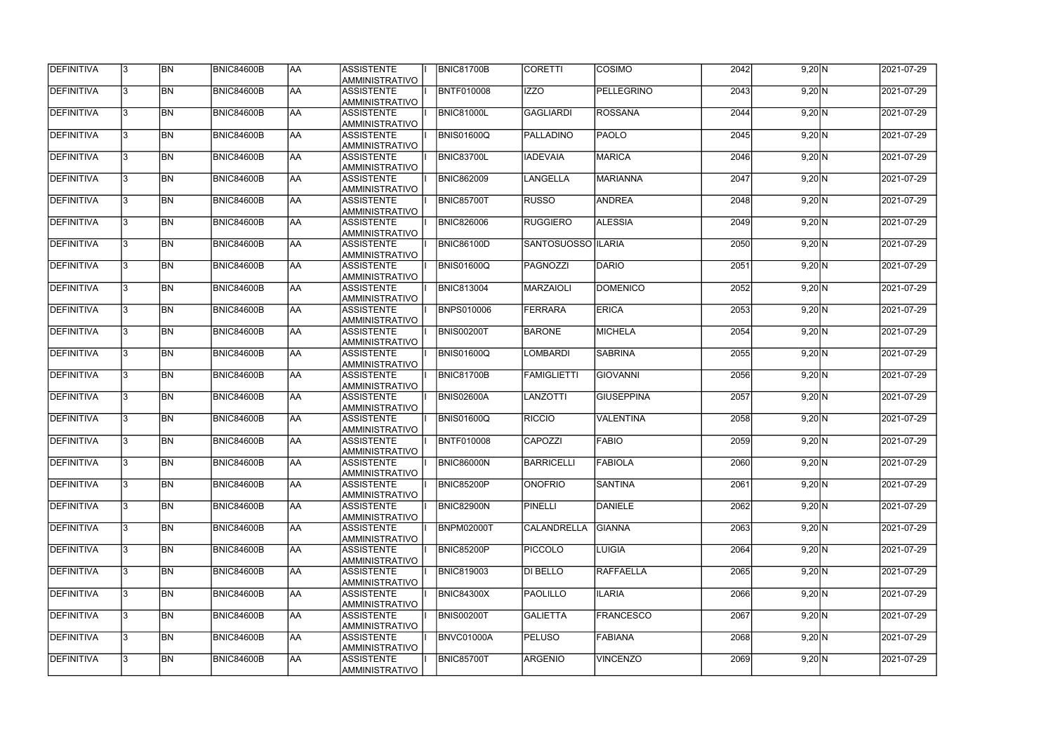| DEFINITIVA        | 13. | <b>BN</b> | <b>BNIC84600B</b> | laa        | ASSISTENTE<br>AMMINISTRATIVO        | <b>BNIC81700B</b> | ICORETTI            | <b>COSIMO</b>     | 2042 | 9,20 N      | 2021-07-29 |
|-------------------|-----|-----------|-------------------|------------|-------------------------------------|-------------------|---------------------|-------------------|------|-------------|------------|
| DEFINITIVA        | 13. | <b>BN</b> | <b>BNIC84600B</b> | AA         | <b>ASSISTENTE</b><br>AMMINISTRATIVO | <b>BNTF010008</b> | <b>IZZO</b>         | <b>PELLEGRINO</b> | 2043 | 9,20 N      | 2021-07-29 |
| DEFINITIVA        | l3. | <b>BN</b> | <b>BNIC84600B</b> | AA         | <b>ASSISTENTE</b><br>AMMINISTRATIVO | <b>BNIC81000L</b> | <b>GAGLIARDI</b>    | <b>ROSSANA</b>    | 2044 | 9,20 N      | 2021-07-29 |
| DEFINITIVA        | l3. | <b>BN</b> | <b>BNIC84600B</b> | AA         | <b>ASSISTENTE</b><br>AMMINISTRATIVO | <b>BNIS01600Q</b> | PALLADINO           | PAOLO             | 2045 | 9,20 N      | 2021-07-29 |
| DEFINITIVA        | l3. | <b>BN</b> | <b>BNIC84600B</b> | <b>AA</b>  | <b>ASSISTENTE</b><br>AMMINISTRATIVO | <b>BNIC83700L</b> | <b>IADEVAIA</b>     | <b>MARICA</b>     | 2046 | 9,20 N      | 2021-07-29 |
| DEFINITIVA        | 3   | <b>BN</b> | <b>BNIC84600B</b> | AA         | <b>ASSISTENTE</b><br>AMMINISTRATIVO | <b>BNIC862009</b> | <b>LANGELLA</b>     | <b>MARIANNA</b>   | 2047 | 9,20 N      | 2021-07-29 |
| DEFINITIVA        |     | <b>BN</b> | <b>BNIC84600B</b> | AA         | <b>ASSISTENTE</b><br>AMMINISTRATIVO | <b>BNIC85700T</b> | RUSSO               | ANDREA            | 2048 | 9,20 N      | 2021-07-29 |
| DEFINITIVA        |     | <b>BN</b> | <b>BNIC84600B</b> | AA         | <b>ASSISTENTE</b><br>AMMINISTRATIVO | <b>BNIC826006</b> | RUGGIERO            | <b>ALESSIA</b>    | 2049 | 9,20 N      | 2021-07-29 |
| DEFINITIVA        |     | <b>BN</b> | <b>BNIC84600B</b> | laa        | <b>ASSISTENTE</b><br>AMMINISTRATIVO | <b>BNIC86100D</b> | SANTOSUOSSO  ILARIA |                   | 2050 | 9,20 N      | 2021-07-29 |
| DEFINITIVA        | l3. | <b>BN</b> | <b>BNIC84600B</b> | laa        | <b>ASSISTENTE</b><br>AMMINISTRATIVO | <b>BNIS01600Q</b> | PAGNOZZI            | <b>DARIO</b>      | 2051 | 9,20 N      | 2021-07-29 |
| DEFINITIVA        | l3. | <b>BN</b> | <b>BNIC84600B</b> | AA         | <b>ASSISTENTE</b><br>AMMINISTRATIVO | <b>BNIC813004</b> | <b>MARZAIOLI</b>    | <b>DOMENICO</b>   | 2052 | 9,20 N      | 2021-07-29 |
| DEFINITIVA        | 3   | <b>BN</b> | BNIC84600B        | <b>AA</b>  | <b>ASSISTENTE</b><br>AMMINISTRATIVO | <b>BNPS010006</b> | FERRARA             | <b>ERICA</b>      | 2053 | 9,20 N      | 2021-07-29 |
| DEFINITIVA        | l3. | <b>BN</b> | <b>BNIC84600B</b> | AA         | <b>ASSISTENTE</b><br>AMMINISTRATIVO | <b>BNIS00200T</b> | <b>BARONE</b>       | <b>MICHELA</b>    | 2054 | 9,20 N      | 2021-07-29 |
| DEFINITIVA        | 3   | <b>BN</b> | <b>BNIC84600B</b> | AA         | <b>ASSISTENTE</b><br>AMMINISTRATIVO | <b>BNIS01600Q</b> | LOMBARDI            | <b>SABRINA</b>    | 2055 | 9,20 N      | 2021-07-29 |
| DEFINITIVA        |     | <b>BN</b> | <b>BNIC84600B</b> | AA         | <b>ASSISTENTE</b><br>AMMINISTRATIVO | <b>BNIC81700B</b> | <b>FAMIGLIETTI</b>  | <b>GIOVANNI</b>   | 2056 | 9,20 N      | 2021-07-29 |
| DEFINITIVA        |     | <b>BN</b> | <b>BNIC84600B</b> | AA         | <b>ASSISTENTE</b><br>AMMINISTRATIVO | <b>BNIS02600A</b> | <b>LANZOTTI</b>     | <b>GIUSEPPINA</b> | 2057 | $9,20 \, N$ | 2021-07-29 |
| DEFINITIVA        | 3   | <b>BN</b> | <b>BNIC84600B</b> | AA         | <b>ASSISTENTE</b><br>AMMINISTRATIVO | <b>BNIS01600Q</b> | <b>RICCIO</b>       | <b>VALENTINA</b>  | 2058 | 9,20 N      | 2021-07-29 |
| DEFINITIVA        |     | <b>BN</b> | BNIC84600B        | AA         | <b>ASSISTENTE</b><br>AMMINISTRATIVO | <b>BNTF010008</b> | <b>CAPOZZI</b>      | <b>FABIO</b>      | 2059 | 9,20 N      | 2021-07-29 |
| DEFINITIVA        | 13  | BN        | <b>BNIC84600B</b> | <b>JAA</b> | <b>ASSISTENTE</b><br>AMMINISTRATIVO | BNIC86000N        | BARRICELLI          | <b>FABIOLA</b>    | 2060 | 9,20 N      | 2021-07-29 |
| <b>DEFINITIVA</b> | 13. | <b>BN</b> | <b>BNIC84600B</b> | AA         | <b>ASSISTENTE</b><br>AMMINISTRATIVO | <b>BNIC85200P</b> | <b>ONOFRIO</b>      | <b>SANTINA</b>    | 2061 | 9,20 N      | 2021-07-29 |
| DEFINITIVA        | l3. | <b>BN</b> | <b>BNIC84600B</b> | <b>AA</b>  | <b>ASSISTENTE</b><br>AMMINISTRATIVO | <b>BNIC82900N</b> | PINELLI             | <b>DANIELE</b>    | 2062 | 9,20 N      | 2021-07-29 |
| DEFINITIVA        | 3   | <b>BN</b> | <b>BNIC84600B</b> | <b>AA</b>  | <b>ASSISTENTE</b><br>AMMINISTRATIVO | <b>BNPM02000T</b> | <b>CALANDRELLA</b>  | <b>GIANNA</b>     | 2063 | 9,20 N      | 2021-07-29 |
| <b>DEFINITIVA</b> | l3. | <b>BN</b> | <b>BNIC84600B</b> | <b>AA</b>  | <b>ASSISTENTE</b><br>AMMINISTRATIVO | <b>BNIC85200P</b> | <b>PICCOLO</b>      | <b>LUIGIA</b>     | 2064 | 9,20 N      | 2021-07-29 |
| DEFINITIVA        |     | <b>BN</b> | <b>BNIC84600B</b> | AA         | <b>ASSISTENTE</b><br>AMMINISTRATIVO | <b>BNIC819003</b> | DI BELLO            | <b>RAFFAELLA</b>  | 2065 | 9,20 N      | 2021-07-29 |
| DEFINITIVA        |     | <b>BN</b> | <b>BNIC84600B</b> | <b>AA</b>  | <b>ASSISTENTE</b><br>AMMINISTRATIVO | <b>BNIC84300X</b> | <b>PAOLILLO</b>     | <b>ILARIA</b>     | 2066 | 9,20 N      | 2021-07-29 |
| DEFINITIVA        | I3. | <b>BN</b> | <b>BNIC84600B</b> | AA         | <b>ASSISTENTE</b><br>AMMINISTRATIVO | <b>BNIS00200T</b> | <b>GALIETTA</b>     | <b>FRANCESCO</b>  | 2067 | 9,20 N      | 2021-07-29 |
| DEFINITIVA        | 13. | <b>BN</b> | <b>BNIC84600B</b> | AA         | <b>ASSISTENTE</b><br>AMMINISTRATIVO | BNVC01000A        | <b>PELUSO</b>       | <b>FABIANA</b>    | 2068 | 9,20 N      | 2021-07-29 |
| DEFINITIVA        |     | <b>BN</b> | <b>BNIC84600B</b> | AA         | <b>ASSISTENTE</b><br>AMMINISTRATIVO | <b>BNIC85700T</b> | ARGENIO             | <b>VINCENZO</b>   | 2069 | 9,20 N      | 2021-07-29 |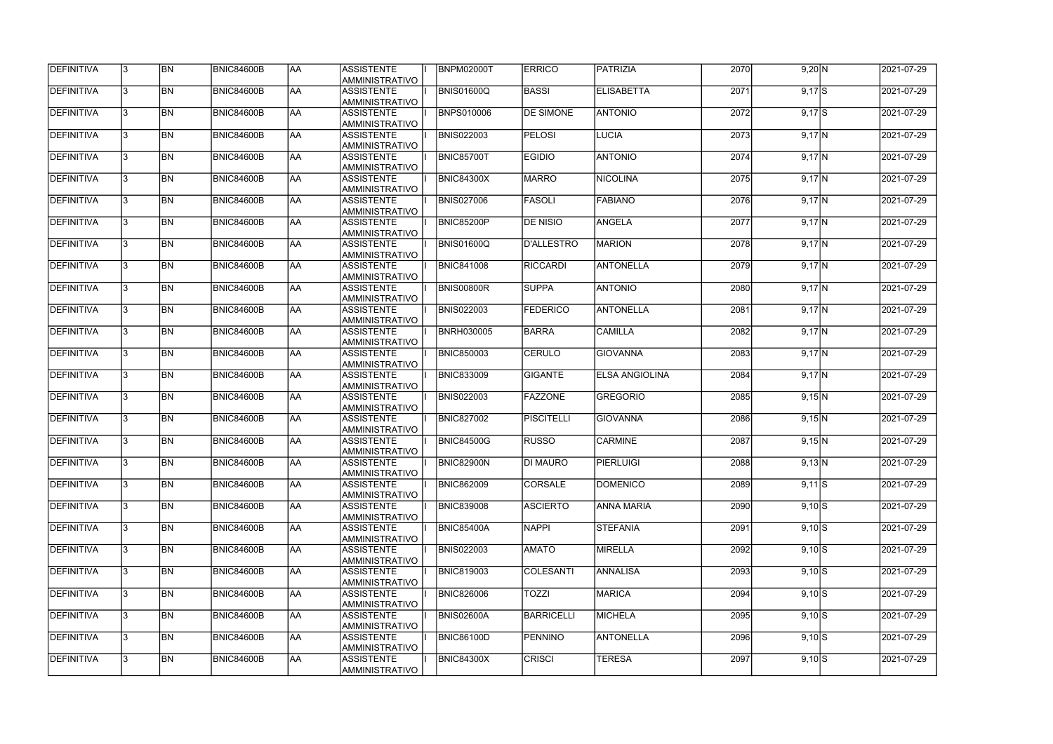| DEFINITIVA        | 13. | <b>BN</b> | <b>BNIC84600B</b> | AA         | <b>ASSISTENTE</b><br>AMMINISTRATIVO | <b>BNPM02000T</b> | <b>ERRICO</b>    | PATRIZIA              | 2070 | 9,20 N     | 2021-07-29 |
|-------------------|-----|-----------|-------------------|------------|-------------------------------------|-------------------|------------------|-----------------------|------|------------|------------|
| <b>DEFINITIVA</b> | 13. | <b>BN</b> | <b>BNIC84600B</b> | laa        | <b>ASSISTENTE</b><br>AMMINISTRATIVO | <b>BNIS01600Q</b> | <b>BASSI</b>     | <b>ELISABETTA</b>     | 2071 | $9,17$ S   | 2021-07-29 |
| DEFINITIVA        | l3. | <b>BN</b> | <b>BNIC84600B</b> | AA         | <b>ASSISTENTE</b><br>AMMINISTRATIVO | <b>BNPS010006</b> | <b>DE SIMONE</b> | <b>ANTONIO</b>        | 2072 | $9,17$ S   | 2021-07-29 |
| <b>DEFINITIVA</b> | l3. | <b>BN</b> | BNIC84600B        | <b>AA</b>  | <b>ASSISTENTE</b><br>AMMINISTRATIVO | <b>BNIS022003</b> | <b>PELOSI</b>    | <b>LUCIA</b>          | 2073 | $9,17$ N   | 2021-07-29 |
| DEFINITIVA        | l3. | <b>BN</b> | <b>BNIC84600B</b> | AA         | <b>ASSISTENTE</b><br>AMMINISTRATIVO | <b>BNIC85700T</b> | <b>EGIDIO</b>    | <b>ANTONIO</b>        | 2074 | $9,17$ N   | 2021-07-29 |
| DEFINITIVA        | l3  | <b>BN</b> | <b>BNIC84600B</b> | laa        | <b>ASSISTENTE</b><br>AMMINISTRATIVO | <b>BNIC84300X</b> | MARRO            | NICOLINA              | 2075 | $9,17$ N   | 2021-07-29 |
| DEFINITIVA        |     | <b>BN</b> | <b>BNIC84600B</b> | AA         | <b>ASSISTENTE</b><br>AMMINISTRATIVO | <b>BNIS027006</b> | FASOLI           | <b>FABIANO</b>        | 2076 | $9,17$ N   | 2021-07-29 |
| DEFINITIVA        |     | <b>BN</b> | <b>BNIC84600B</b> | laa        | <b>ASSISTENTE</b><br>AMMINISTRATIVO | <b>BNIC85200P</b> | DE NISIO         | <b>ANGELA</b>         | 2077 | $9,17$ N   | 2021-07-29 |
| DEFINITIVA        |     | <b>BN</b> | <b>BNIC84600B</b> | laa        | <b>ASSISTENTE</b><br>AMMINISTRATIVO | <b>BNIS01600Q</b> | D'ALLESTRO       | <b>MARION</b>         | 2078 | $9,17$ N   | 2021-07-29 |
| DEFINITIVA        | l3. | <b>BN</b> | <b>BNIC84600B</b> | laa        | <b>ASSISTENTE</b><br>AMMINISTRATIVO | <b>BNIC841008</b> | <b>RICCARDI</b>  | <b>ANTONELLA</b>      | 2079 | $9,17$ N   | 2021-07-29 |
| DEFINITIVA        | l3. | <b>BN</b> | <b>BNIC84600B</b> | AA         | <b>ASSISTENTE</b><br>AMMINISTRATIVO | <b>BNIS00800R</b> | <b>SUPPA</b>     | <b>ANTONIO</b>        | 2080 | $9,17$ N   | 2021-07-29 |
| <b>DEFINITIVA</b> | l3. | <b>BN</b> | <b>BNIC84600B</b> | <b>AA</b>  | ASSISTENTE<br>AMMINISTRATIVO        | <b>BNIS022003</b> | <b>FEDERICO</b>  | ANTONELLA             | 2081 | $9,17$ N   | 2021-07-29 |
| DEFINITIVA        | l3  | <b>BN</b> | <b>BNIC84600B</b> | AA         | <b>ASSISTENTE</b><br>AMMINISTRATIVO | <b>BNRH030005</b> | <b>BARRA</b>     | <b>CAMILLA</b>        | 2082 | $9,17$ N   | 2021-07-29 |
| DEFINITIVA        | 3   | <b>BN</b> | <b>BNIC84600B</b> | AA         | <b>ASSISTENTE</b><br>AMMINISTRATIVO | <b>BNIC850003</b> | <b>CERULO</b>    | <b>GIOVANNA</b>       | 2083 | $9,17$ N   | 2021-07-29 |
| DEFINITIVA        |     | <b>BN</b> | <b>BNIC84600B</b> | AA         | <b>ASSISTENTE</b><br>AMMINISTRATIVO | <b>BNIC833009</b> | <b>GIGANTE</b>   | <b>ELSA ANGIOLINA</b> | 2084 | $9,17$ N   | 2021-07-29 |
| DEFINITIVA        | 3   | <b>BN</b> | <b>BNIC84600B</b> | AA         | <b>ASSISTENTE</b><br>AMMINISTRATIVO | <b>BNIS022003</b> | <b>FAZZONE</b>   | <b>GREGORIO</b>       | 2085 | 9,15 N     | 2021-07-29 |
| DEFINITIVA        | l3. | <b>BN</b> | <b>BNIC84600B</b> | laa        | <b>ASSISTENTE</b><br>AMMINISTRATIVO | <b>BNIC827002</b> | PISCITELLI       | <b>GIOVANNA</b>       | 2086 | 9,15 N     | 2021-07-29 |
| DEFINITIVA        |     | <b>BN</b> | BNIC84600B        | AA         | <b>ASSISTENTE</b><br>AMMINISTRATIVO | <b>BNIC84500G</b> | RUSSO            | <b>CARMINE</b>        | 2087 | 9,15 N     | 2021-07-29 |
| <b>DEFINITIVA</b> | 13. | <b>BN</b> | <b>BNIC84600B</b> | <b>JAA</b> | <b>ASSISTENTE</b><br>AMMINISTRATIVO | BNIC82900N        | <b>DI MAURO</b>  | PIERLUIGI             | 2088 | 9,13 N     | 2021-07-29 |
| <b>DEFINITIVA</b> | l3. | <b>BN</b> | <b>BNIC84600B</b> | AA         | ASSISTENTE<br>AMMINISTRATIVO        | <b>BNIC862009</b> | <b>CORSALE</b>   | <b>DOMENICO</b>       | 2089 | $9,11$ $S$ | 2021-07-29 |
| DEFINITIVA        | 13. | <b>BN</b> | <b>BNIC84600B</b> | AA         | ASSISTENTE<br>AMMINISTRATIVO        | <b>BNIC839008</b> | <b>ASCIERTO</b>  | <b>ANNA MARIA</b>     | 2090 | $9,10$ S   | 2021-07-29 |
| DEFINITIVA        | 3   | <b>BN</b> | <b>BNIC84600B</b> | AA         | <b>ASSISTENTE</b><br>AMMINISTRATIVO | <b>BNIC85400A</b> | <b>NAPPI</b>     | <b>STEFANIA</b>       | 2091 | $9,10$ S   | 2021-07-29 |
| DEFINITIVA        |     | <b>BN</b> | <b>BNIC84600B</b> | AA         | <b>ASSISTENTE</b><br>AMMINISTRATIVO | <b>BNIS022003</b> | AMATO            | <b>MIRELLA</b>        | 2092 | $9,10$ S   | 2021-07-29 |
| DEFINITIVA        |     | <b>BN</b> | <b>BNIC84600B</b> | AA         | <b>ASSISTENTE</b><br>AMMINISTRATIVO | <b>BNIC819003</b> | COLESANTI        | <b>ANNALISA</b>       | 2093 | $9,10$ S   | 2021-07-29 |
| DEFINITIVA        | I3. | <b>BN</b> | BNIC84600B        | AA         | <b>ASSISTENTE</b><br>AMMINISTRATIVO | <b>BNIC826006</b> | <b>TOZZI</b>     | <b>MARICA</b>         | 2094 | $9,10$ S   | 2021-07-29 |
| DEFINITIVA        | 13. | <b>BN</b> | <b>BNIC84600B</b> | AA         | <b>ASSISTENTE</b><br>AMMINISTRATIVO | <b>BNIS02600A</b> | BARRICELLI       | <b>MICHELA</b>        | 2095 | $9,10$ S   | 2021-07-29 |
| DEFINITIVA        | 13. | <b>BN</b> | <b>BNIC84600B</b> | AA         | <b>ASSISTENTE</b><br>AMMINISTRATIVO | <b>BNIC86100D</b> | PENNINO          | <b>ANTONELLA</b>      | 2096 | $9,10$ S   | 2021-07-29 |
| DEFINITIVA        |     | <b>BN</b> | <b>BNIC84600B</b> | AA         | <b>ASSISTENTE</b><br>AMMINISTRATIVO | <b>BNIC84300X</b> | <b>CRISCI</b>    | <b>TERESA</b>         | 2097 | $9,10$ $S$ | 2021-07-29 |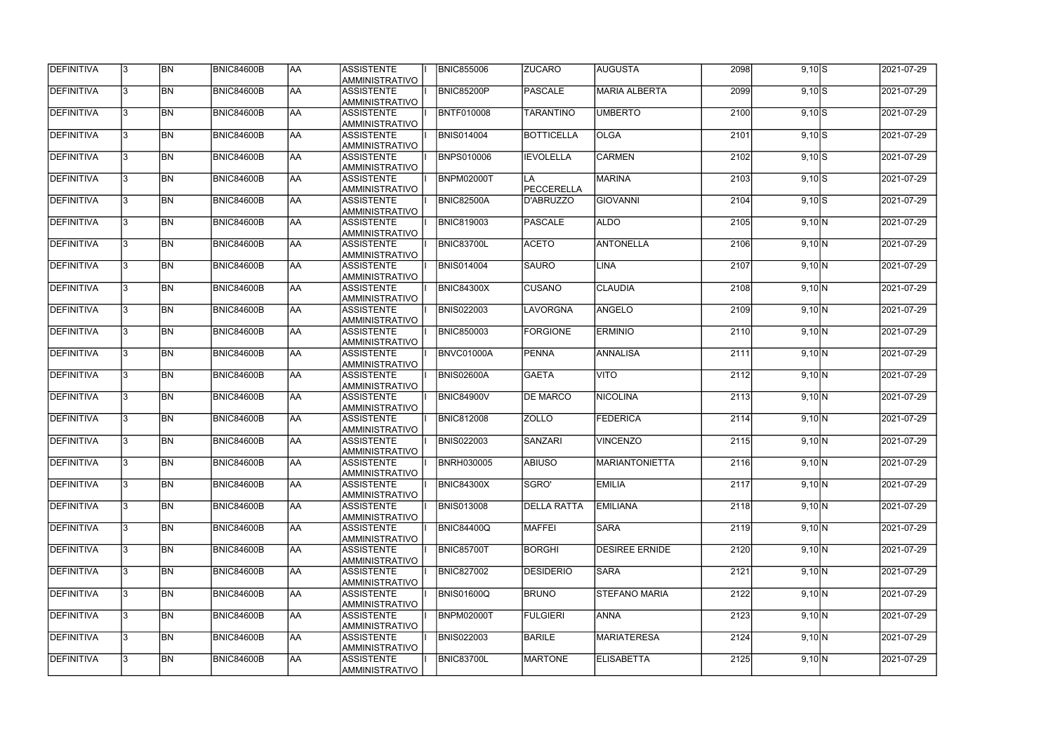| DEFINITIVA        | 13. | <b>BN</b> | <b>BNIC84600B</b> | AA         | <b>ASSISTENTE</b><br>AMMINISTRATIVO | <b>BNIC855006</b> | <b>ZUCARO</b>      | <b>AUGUSTA</b>        | 2098 | $9,10$ $S$  | 2021-07-29 |
|-------------------|-----|-----------|-------------------|------------|-------------------------------------|-------------------|--------------------|-----------------------|------|-------------|------------|
| <b>DEFINITIVA</b> | 13. | <b>BN</b> | BNIC84600B        | laa        | <b>ASSISTENTE</b><br>AMMINISTRATIVO | BNIC85200P        | PASCALE            | <b>MARIA ALBERTA</b>  | 2099 | $9,10$ S    | 2021-07-29 |
| DEFINITIVA        | l3. | <b>BN</b> | <b>BNIC84600B</b> | AA         | <b>ASSISTENTE</b><br>AMMINISTRATIVO | <b>BNTF010008</b> | <b>TARANTINO</b>   | <b>UMBERTO</b>        | 2100 | $9,10$ $S$  | 2021-07-29 |
| <b>DEFINITIVA</b> | l3. | <b>BN</b> | BNIC84600B        | <b>AA</b>  | <b>ASSISTENTE</b><br>AMMINISTRATIVO | <b>BNIS014004</b> | BOTTICELLA         | <b>OLGA</b>           | 2101 | $9,10$ $S$  | 2021-07-29 |
| DEFINITIVA        | l3  | <b>BN</b> | <b>BNIC84600B</b> | AA         | <b>ASSISTENTE</b><br>AMMINISTRATIVO | <b>BNPS010006</b> | <b>IEVOLELLA</b>   | <b>CARMEN</b>         | 2102 | $9,10$ $S$  | 2021-07-29 |
| DEFINITIVA        | l3  | <b>BN</b> | <b>BNIC84600B</b> | laa        | <b>ASSISTENTE</b><br>AMMINISTRATIVO | <b>BNPM02000T</b> | LA<br>PECCERELLA   | <b>MARINA</b>         | 2103 | $9,10$ S    | 2021-07-29 |
| DEFINITIVA        |     | <b>BN</b> | <b>BNIC84600B</b> | AA         | <b>ASSISTENTE</b><br>AMMINISTRATIVO | <b>BNIC82500A</b> | D'ABRUZZO          | <b>GIOVANNI</b>       | 2104 | $9,10$ S    | 2021-07-29 |
| DEFINITIVA        |     | <b>BN</b> | <b>BNIC84600B</b> | laa        | <b>ASSISTENTE</b><br>AMMINISTRATIVO | <b>BNIC819003</b> | PASCALE            | <b>ALDO</b>           | 2105 | $9,10 \, N$ | 2021-07-29 |
| DEFINITIVA        |     | <b>BN</b> | <b>BNIC84600B</b> | laa        | <b>ASSISTENTE</b><br>AMMINISTRATIVO | BNIC83700L        | <b>ACETO</b>       | ANTONELLA             | 2106 | 9,10 N      | 2021-07-29 |
| DEFINITIVA        | l3. | <b>BN</b> | BNIC84600B        | laa        | <b>ASSISTENTE</b><br>AMMINISTRATIVO | <b>BNIS014004</b> | <b>SAURO</b>       | <b>LINA</b>           | 2107 | $9,10 \, N$ | 2021-07-29 |
| DEFINITIVA        | l3. | <b>BN</b> | <b>BNIC84600B</b> | AA         | <b>ASSISTENTE</b><br>AMMINISTRATIVO | <b>BNIC84300X</b> | ICUSANO            | <b>CLAUDIA</b>        | 2108 | 9,10 N      | 2021-07-29 |
| <b>DEFINITIVA</b> | 3   | <b>BN</b> | <b>BNIC84600B</b> | <b>AA</b>  | ASSISTENTE<br>AMMINISTRATIVO        | <b>BNIS022003</b> | <b>LAVORGNA</b>    | <b>ANGELO</b>         | 2109 | 9,10 N      | 2021-07-29 |
| DEFINITIVA        | 3   | <b>BN</b> | <b>BNIC84600B</b> | AA         | <b>ASSISTENTE</b><br>AMMINISTRATIVO | <b>BNIC850003</b> | <b>FORGIONE</b>    | <b>ERMINIO</b>        | 2110 | 9,10 N      | 2021-07-29 |
| DEFINITIVA        | 3   | <b>BN</b> | <b>BNIC84600B</b> | AA         | <b>ASSISTENTE</b><br>AMMINISTRATIVO | BNVC01000A        | <b>PENNA</b>       | <b>ANNALISA</b>       | 2111 | 9,10 N      | 2021-07-29 |
| DEFINITIVA        |     | <b>BN</b> | <b>BNIC84600B</b> | AA         | <b>ASSISTENTE</b><br>AMMINISTRATIVO | <b>BNIS02600A</b> | <b>GAETA</b>       | <b>NITO</b>           | 2112 | 9,10 N      | 2021-07-29 |
| DEFINITIVA        |     | <b>BN</b> | <b>BNIC84600B</b> | AA         | <b>ASSISTENTE</b><br>AMMINISTRATIVO | <b>BNIC84900V</b> | <b>DE MARCO</b>    | <b>NICOLINA</b>       | 2113 | 9,10 N      | 2021-07-29 |
| DEFINITIVA        | 13. | <b>BN</b> | <b>BNIC84600B</b> | laa        | <b>ASSISTENTE</b><br>AMMINISTRATIVO | <b>BNIC812008</b> | <b>ZOLLO</b>       | <b>FEDERICA</b>       | 2114 | 9,10 N      | 2021-07-29 |
| DEFINITIVA        |     | <b>BN</b> | <b>BNIC84600B</b> | AA         | <b>ASSISTENTE</b><br>AMMINISTRATIVO | <b>BNIS022003</b> | <b>SANZARI</b>     | <b>VINCENZO</b>       | 2115 | 9,10 N      | 2021-07-29 |
| DEFINITIVA        | 13. | <b>BN</b> | <b>BNIC84600B</b> | <b>JAA</b> | <b>ASSISTENTE</b><br>AMMINISTRATIVO | <b>BNRH030005</b> | <b>ABIUSO</b>      | <b>MARIANTONIETTA</b> | 2116 | 9,10 N      | 2021-07-29 |
| <b>DEFINITIVA</b> | l3. | <b>BN</b> | <b>BNIC84600B</b> | AA         | ASSISTENTE<br>AMMINISTRATIVO        | <b>BNIC84300X</b> | SGRO'              | <b>EMILIA</b>         | 2117 | 9,10 N      | 2021-07-29 |
| DEFINITIVA        | 13. | <b>BN</b> | <b>BNIC84600B</b> | AA         | ASSISTENTE<br>AMMINISTRATIVO        | <b>BNIS013008</b> | <b>DELLA RATTA</b> | <b>EMILIANA</b>       | 2118 | $9,10 \, N$ | 2021-07-29 |
| DEFINITIVA        | 3   | <b>BN</b> | <b>BNIC84600B</b> | AA         | <b>ASSISTENTE</b><br>AMMINISTRATIVO | <b>BNIC84400Q</b> | <b>MAFFEI</b>      | <b>SARA</b>           | 2119 | 9,10 N      | 2021-07-29 |
| DEFINITIVA        |     | <b>BN</b> | <b>BNIC84600B</b> | AA         | <b>ASSISTENTE</b><br>AMMINISTRATIVO | <b>BNIC85700T</b> | <b>BORGHI</b>      | <b>DESIREE ERNIDE</b> | 2120 | $9,10 \, N$ | 2021-07-29 |
| DEFINITIVA        |     | <b>BN</b> | <b>BNIC84600B</b> | AA         | <b>ASSISTENTE</b><br>AMMINISTRATIVO | <b>BNIC827002</b> | <b>DESIDERIO</b>   | <b>SARA</b>           | 2121 | $9,10 \, N$ | 2021-07-29 |
| DEFINITIVA        | I3. | <b>BN</b> | BNIC84600B        | AA         | <b>ASSISTENTE</b><br>AMMINISTRATIVO | <b>BNIS01600Q</b> | <b>BRUNO</b>       | <b>STEFANO MARIA</b>  | 2122 | $9,10 \, N$ | 2021-07-29 |
| DEFINITIVA        | 13. | <b>BN</b> | <b>BNIC84600B</b> | AA         | <b>ASSISTENTE</b><br>AMMINISTRATIVO | <b>BNPM02000T</b> | <b>FULGIERI</b>    | <b>ANNA</b>           | 2123 | 9,10 N      | 2021-07-29 |
| DEFINITIVA        | 13. | <b>BN</b> | <b>BNIC84600B</b> | AA         | <b>ASSISTENTE</b><br>AMMINISTRATIVO | <b>BNIS022003</b> | BARILE             | <b>MARIATERESA</b>    | 2124 | 9,10 N      | 2021-07-29 |
| DEFINITIVA        |     | <b>BN</b> | <b>BNIC84600B</b> | AA         | <b>ASSISTENTE</b><br>AMMINISTRATIVO | <b>BNIC83700L</b> | <b>MARTONE</b>     | <b>ELISABETTA</b>     | 2125 | 9,10 N      | 2021-07-29 |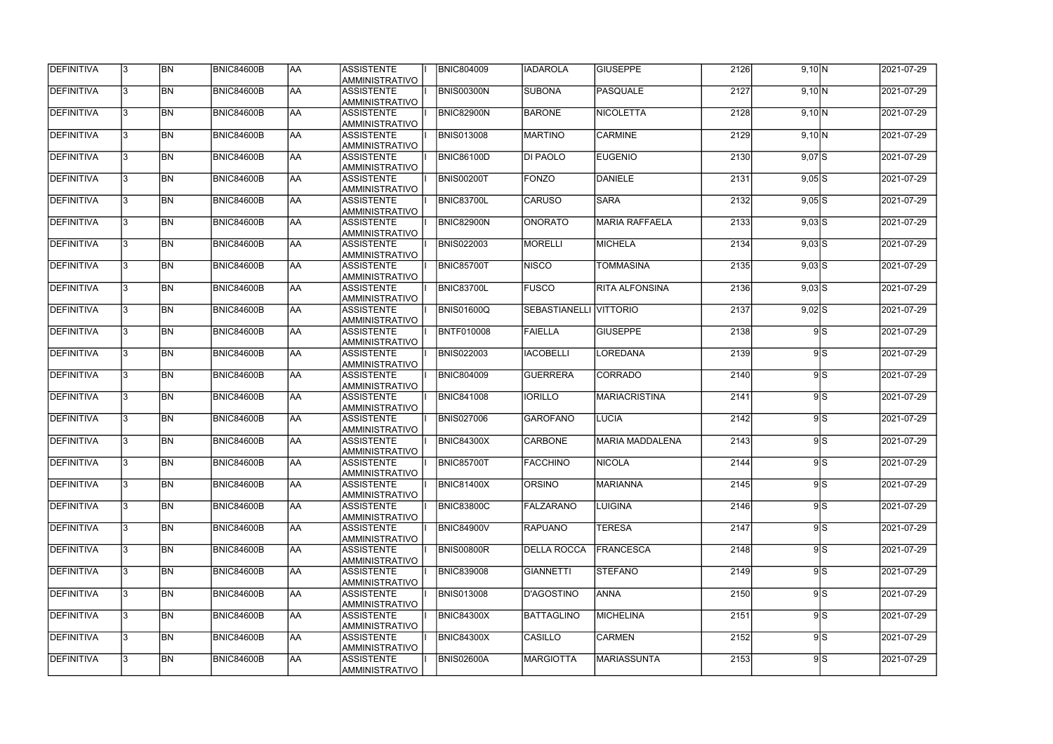| <b>DEFINITIVA</b> | 13. | <b>BN</b> | <b>BNIC84600B</b> | AA        | <b>ASSISTENTE</b><br>AMMINISTRATIVO        | <b>BNIC804009</b> | <b>IADAROLA</b>               | <b>GIUSEPPE</b>        | 2126 | 9,10 N     |     | 2021-07-29 |
|-------------------|-----|-----------|-------------------|-----------|--------------------------------------------|-------------------|-------------------------------|------------------------|------|------------|-----|------------|
| <b>DEFINITIVA</b> | 13. | <b>BN</b> | BNIC84600B        | laa       | <b>ASSISTENTE</b><br>AMMINISTRATIVO        | BNIS00300N        | <b>SUBONA</b>                 | PASQUALE               | 2127 | $9,10 \ N$ |     | 2021-07-29 |
| DEFINITIVA        | l3. | <b>BN</b> | <b>BNIC84600B</b> | AA        | <b>ASSISTENTE</b><br>AMMINISTRATIVO        | <b>BNIC82900N</b> | <b>BARONE</b>                 | <b>NICOLETTA</b>       | 2128 | 9,10 N     |     | 2021-07-29 |
| <b>DEFINITIVA</b> | l3. | <b>BN</b> | BNIC84600B        | <b>AA</b> | <b>ASSISTENTE</b><br>AMMINISTRATIVO        | <b>BNIS013008</b> | MARTINO                       | <b>CARMINE</b>         | 2129 | 9,10 N     |     | 2021-07-29 |
| DEFINITIVA        | l3. | <b>BN</b> | <b>BNIC84600B</b> | laa       | <b>ASSISTENTE</b><br>AMMINISTRATIVO        | <b>BNIC86100D</b> | <b>DI PAOLO</b>               | <b>EUGENIO</b>         | 2130 | $9,07$ S   |     | 2021-07-29 |
| DEFINITIVA        | 3   | <b>BN</b> | <b>BNIC84600B</b> | laa       | <b>ASSISTENTE</b><br>AMMINISTRATIVO        | <b>BNIS00200T</b> | FONZO                         | <b>DANIELE</b>         | 2131 | $9,05$ S   |     | 2021-07-29 |
| DEFINITIVA        |     | <b>BN</b> | <b>BNIC84600B</b> | laa       | <b>ASSISTENTE</b><br><b>AMMINISTRATIVO</b> | BNIC83700L        | <b>CARUSO</b>                 | <b>SARA</b>            | 2132 | $9,05$ S   |     | 2021-07-29 |
| DEFINITIVA        |     | <b>BN</b> | BNIC84600B        | laa       | <b>ASSISTENTE</b><br>AMMINISTRATIVO        | BNIC82900N        | <b>ONORATO</b>                | <b>MARIA RAFFAELA</b>  | 2133 | $9,03$ $S$ |     | 2021-07-29 |
| DEFINITIVA        |     | <b>BN</b> | <b>BNIC84600B</b> | AA        | <b>ASSISTENTE</b><br>AMMINISTRATIVO        | <b>BNIS022003</b> | MORELLI                       | <b>MICHELA</b>         | 2134 | $9,03$ $S$ |     | 2021-07-29 |
| DEFINITIVA        | l3. | <b>BN</b> | <b>BNIC84600B</b> | laa       | <b>ASSISTENTE</b><br>AMMINISTRATIVO        | BNIC85700T        | <b>NISCO</b>                  | <b>TOMMASINA</b>       | 2135 | $9,03$ S   |     | 2021-07-29 |
| DEFINITIVA        | l3. | <b>BN</b> | <b>BNIC84600B</b> | AA        | <b>ASSISTENTE</b><br>AMMINISTRATIVO        | BNIC83700L        | <b>FUSCO</b>                  | <b>RITA ALFONSINA</b>  | 2136 | $9,03$ $S$ |     | 2021-07-29 |
| DEFINITIVA        | 3   | <b>BN</b> | BNIC84600B        | <b>AA</b> | <b>ASSISTENTE</b><br>AMMINISTRATIVO        | <b>BNIS01600Q</b> | <b>SEBASTIANELLI VITTORIO</b> |                        | 2137 | $9,02$ S   |     | 2021-07-29 |
| DEFINITIVA        | 3   | <b>BN</b> | <b>BNIC84600B</b> | laa       | <b>ASSISTENTE</b><br>AMMINISTRATIVO        | <b>BNTF010008</b> | FAIELLA                       | <b>GIUSEPPE</b>        | 2138 |            | 9S  | 2021-07-29 |
| DEFINITIVA        |     | <b>BN</b> | <b>BNIC84600B</b> | laa       | <b>ASSISTENTE</b><br>AMMINISTRATIVO        | <b>BNIS022003</b> | <b>IACOBELLI</b>              | LOREDANA               | 2139 |            | 9S  | 2021-07-29 |
| DEFINITIVA        |     | <b>BN</b> | <b>BNIC84600B</b> | laa       | <b>ASSISTENTE</b><br><b>AMMINISTRATIVO</b> | <b>BNIC804009</b> | <b>GUERRERA</b>               | CORRADO                | 2140 |            | 9ls | 2021-07-29 |
| DEFINITIVA        |     | <b>BN</b> | <b>BNIC84600B</b> | laa       | <b>ASSISTENTE</b><br>AMMINISTRATIVO        | <b>BNIC841008</b> | <b>IORILLO</b>                | <b>MARIACRISTINA</b>   | 2141 |            | 9S  | 2021-07-29 |
| DEFINITIVA        | l3. | <b>BN</b> | <b>BNIC84600B</b> | laa       | <b>ASSISTENTE</b><br>AMMINISTRATIVO        | <b>BNIS027006</b> | <b>GAROFANO</b>               | <b>LUCIA</b>           | 2142 |            | 9S  | 2021-07-29 |
| DEFINITIVA        | 3   | <b>BN</b> | <b>BNIC84600B</b> | AA        | <b>ASSISTENTE</b><br>AMMINISTRATIVO        | <b>BNIC84300X</b> | <b>CARBONE</b>                | <b>MARIA MADDALENA</b> | 2143 |            | 9S  | 2021-07-29 |
| DEFINITIVA        | 13  | <b>BN</b> | <b>BNIC84600B</b> | <b>AA</b> | <b>ASSISTENTE</b><br>AMMINISTRATIVO        | <b>BNIC85700T</b> | <b>FACCHINO</b>               | NICOLA                 | 2144 |            | 9S  | 2021-07-29 |
| <b>DEFINITIVA</b> | l3. | <b>BN</b> | <b>BNIC84600B</b> | AA        | <b>ASSISTENTE</b><br>AMMINISTRATIVO        | <b>BNIC81400X</b> | <b>ORSINO</b>                 | <b>MARIANNA</b>        | 2145 |            | 9S  | 2021-07-29 |
| DEFINITIVA        | 13. | <b>BN</b> | <b>BNIC84600B</b> | laa       | <b>ASSISTENTE</b><br>AMMINISTRATIVO        | <b>BNIC83800C</b> | FALZARANO                     | LUIGINA                | 2146 |            | 9S  | 2021-07-29 |
| DEFINITIVA        | 3   | <b>BN</b> | <b>BNIC84600B</b> | laa       | <b>ASSISTENTE</b><br>AMMINISTRATIVO        | <b>BNIC84900V</b> | <b>RAPUANO</b>                | <b>TERESA</b>          | 2147 |            | 9S  | 2021-07-29 |
| DEFINITIVA        |     | <b>BN</b> | BNIC84600B        | AA        | <b>ASSISTENTE</b><br>AMMINISTRATIVO        | BNIS00800R        | <b>DELLA ROCCA</b>            | <b>FRANCESCA</b>       | 2148 |            | 9S  | 2021-07-29 |
| DEFINITIVA        |     | <b>BN</b> | <b>BNIC84600B</b> | AA        | <b>ASSISTENTE</b><br>AMMINISTRATIVO        | <b>BNIC839008</b> | <b>GIANNETTI</b>              | <b>STEFANO</b>         | 2149 |            | 9S  | 2021-07-29 |
| DEFINITIVA        | I3. | <b>BN</b> | BNIC84600B        | laa       | <b>ASSISTENTE</b><br>AMMINISTRATIVO        | <b>BNIS013008</b> | D'AGOSTINO                    | <b>ANNA</b>            | 2150 |            | 9S  | 2021-07-29 |
| DEFINITIVA        | 13. | <b>BN</b> | <b>BNIC84600B</b> | laa       | <b>ASSISTENTE</b><br>AMMINISTRATIVO        | <b>BNIC84300X</b> | BATTAGLINO                    | <b>MICHELINA</b>       | 2151 |            | 9S  | 2021-07-29 |
| DEFINITIVA        | 13. | <b>BN</b> | <b>BNIC84600B</b> | AA        | <b>ASSISTENTE</b><br>AMMINISTRATIVO        | <b>BNIC84300X</b> | <b>CASILLO</b>                | <b>CARMEN</b>          | 2152 |            | 9S  | 2021-07-29 |
| DEFINITIVA        |     | <b>BN</b> | <b>BNIC84600B</b> | AA        | <b>ASSISTENTE</b><br>AMMINISTRATIVO        | <b>BNIS02600A</b> | <b>MARGIOTTA</b>              | <b>MARIASSUNTA</b>     | 2153 |            | 9S  | 2021-07-29 |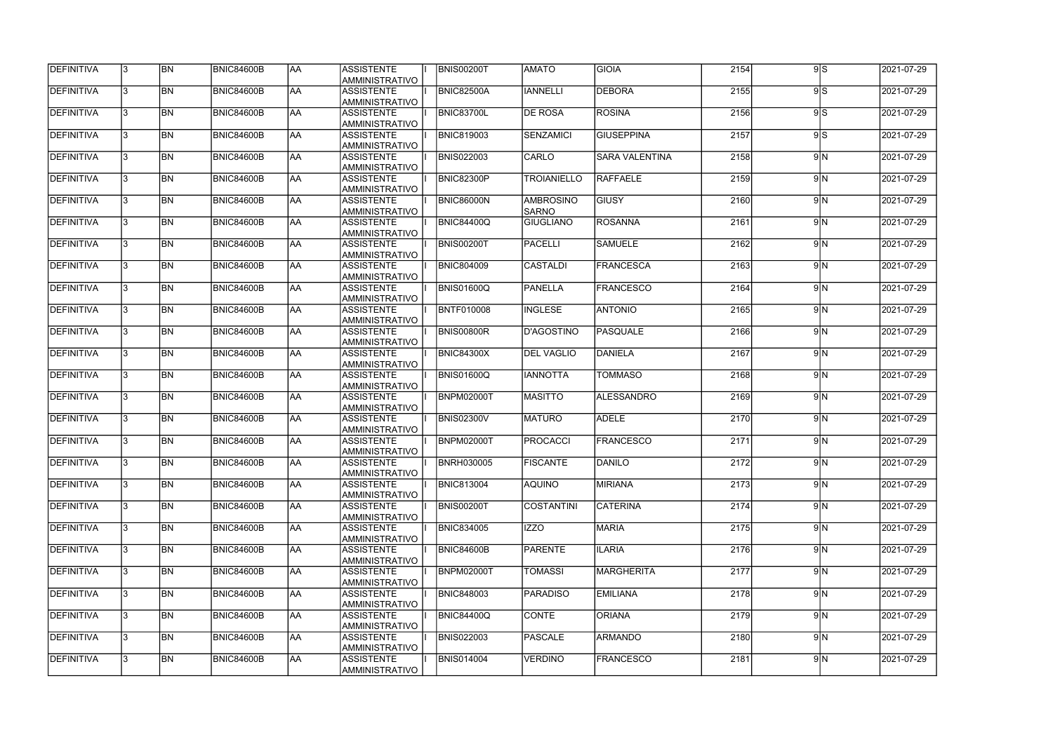| <b>DEFINITIVA</b> | 13. | <b>BN</b> | <b>BNIC84600B</b> | <b>AA</b> | ASSISTENTE<br>AMMINISTRATIVO        | <b>BNIS00200T</b> | <b>AMATO</b>              | <b>GIOIA</b>          | 2154 | 9S               | 2021-07-29 |
|-------------------|-----|-----------|-------------------|-----------|-------------------------------------|-------------------|---------------------------|-----------------------|------|------------------|------------|
| DEFINITIVA        | l3. | <b>BN</b> | <b>BNIC84600B</b> | AA        | <b>ASSISTENTE</b><br>AMMINISTRATIVO | <b>BNIC82500A</b> | <b>IANNELLI</b>           | <b>DEBORA</b>         | 2155 | 9S               | 2021-07-29 |
| DEFINITIVA        | 13. | <b>BN</b> | <b>BNIC84600B</b> | AA        | <b>ASSISTENTE</b><br>AMMINISTRATIVO | BNIC83700L        | <b>DE ROSA</b>            | <b>ROSINA</b>         | 2156 | 9S               | 2021-07-29 |
| DEFINITIVA        | l3. | <b>BN</b> | <b>BNIC84600B</b> | AA        | <b>ASSISTENTE</b><br>AMMINISTRATIVO | <b>BNIC819003</b> | <b>SENZAMICI</b>          | <b>GIUSEPPINA</b>     | 2157 | 9lS              | 2021-07-29 |
| DEFINITIVA        | l3. | <b>BN</b> | <b>BNIC84600B</b> | <b>AA</b> | <b>ASSISTENTE</b><br>AMMINISTRATIVO | <b>BNIS022003</b> | CARLO                     | <b>SARA VALENTINA</b> | 2158 | 9N               | 2021-07-29 |
| DEFINITIVA        | l3. | <b>BN</b> | <b>BNIC84600B</b> | <b>AA</b> | <b>ASSISTENTE</b><br>AMMINISTRATIVO | <b>BNIC82300P</b> | <b>TROIANIELLO</b>        | <b>RAFFAELE</b>       | 2159 | 9N               | 2021-07-29 |
| <b>DEFINITIVA</b> | 3   | <b>BN</b> | <b>BNIC84600B</b> | laa       | <b>ASSISTENTE</b><br>AMMINISTRATIVO | BNIC86000N        | AMBROSINO<br><b>SARNO</b> | <b>GIUSY</b>          | 2160 | 9N               | 2021-07-29 |
| DEFINITIVA        |     | <b>BN</b> | <b>BNIC84600B</b> | AA        | <b>ASSISTENTE</b><br>AMMINISTRATIVO | <b>BNIC84400Q</b> | <b>GIUGLIANO</b>          | <b>ROSANNA</b>        | 2161 | 9 N              | 2021-07-29 |
| DEFINITIVA        |     | <b>BN</b> | <b>BNIC84600B</b> | AA        | <b>ASSISTENTE</b><br>AMMINISTRATIVO | <b>BNIS00200T</b> | PACELLI                   | <b>SAMUELE</b>        | 2162 | 9N               | 2021-07-29 |
| DEFINITIVA        |     | <b>BN</b> | <b>BNIC84600B</b> | laa       | <b>ASSISTENTE</b><br>AMMINISTRATIVO | <b>BNIC804009</b> | <b>CASTALDI</b>           | <b>FRANCESCA</b>      | 2163 | 9N               | 2021-07-29 |
| DEFINITIVA        | l3. | <b>BN</b> | <b>BNIC84600B</b> | laa       | <b>ASSISTENTE</b><br>AMMINISTRATIVO | <b>BNIS01600Q</b> | PANELLA                   | <b>FRANCESCO</b>      | 2164 | 9N               | 2021-07-29 |
| DEFINITIVA        | l3. | <b>BN</b> | <b>BNIC84600B</b> | AA        | <b>ASSISTENTE</b><br>AMMINISTRATIVO | <b>BNTF010008</b> | <b>INGLESE</b>            | <b>ANTONIO</b>        | 2165 | 9 N              | 2021-07-29 |
| DEFINITIVA        | 3   | <b>BN</b> | BNIC84600B        | AA        | <b>ASSISTENTE</b><br>AMMINISTRATIVO | <b>BNIS00800R</b> | D'AGOSTINO                | PASQUALE              | 2166 | 9 N              | 2021-07-29 |
| DEFINITIVA        |     | <b>BN</b> | <b>BNIC84600B</b> | laa       | <b>ASSISTENTE</b><br>AMMINISTRATIVO | <b>BNIC84300X</b> | <b>DEL VAGLIO</b>         | <b>DANIELA</b>        | 2167 | $9\vert N \vert$ | 2021-07-29 |
| DEFINITIVA        | 3   | <b>BN</b> | <b>BNIC84600B</b> | AA        | <b>ASSISTENTE</b><br>AMMINISTRATIVO | <b>BNIS01600Q</b> | <b>IANNOTTA</b>           | <b>TOMMASO</b>        | 2168 | $9\vert N \vert$ | 2021-07-29 |
| DEFINITIVA        | l3. | <b>BN</b> | <b>BNIC84600B</b> | AA        | <b>ASSISTENTE</b><br>AMMINISTRATIVO | <b>BNPM02000T</b> | <b>IMASITTO</b>           | ALESSANDRO            | 2169 | 9 N              | 2021-07-29 |
| DEFINITIVA        |     | <b>BN</b> | <b>BNIC84600B</b> | AA        | <b>ASSISTENTE</b><br>AMMINISTRATIVO | <b>BNIS02300V</b> | <b>MATURO</b>             | <b>ADELE</b>          | 2170 | 9 N              | 2021-07-29 |
| DEFINITIVA        |     | <b>BN</b> | <b>BNIC84600B</b> | AA        | <b>ASSISTENTE</b><br>AMMINISTRATIVO | <b>BNPM02000T</b> | PROCACCI                  | <b>FRANCESCO</b>      | 2171 | 9 N              | 2021-07-29 |
| <b>DEFINITIVA</b> | 13  | <b>BN</b> | <b>BNIC84600B</b> | AA        | ASSISTENTE <br> AMMINISTRATIVO      | <b>BNRH030005</b> | <b>FISCANTE</b>           | <b>DANILO</b>         | 2172 | $9\vert N$       | 2021-07-29 |
| DEFINITIVA        | 13. | <b>BN</b> | <b>BNIC84600B</b> | AA        | ASSISTENTE<br>AMMINISTRATIVO        | <b>BNIC813004</b> | AQUINO                    | <b>MIRIANA</b>        | 2173 | 9N               | 2021-07-29 |
| DEFINITIVA        | l3. | <b>BN</b> | <b>BNIC84600B</b> | AA        | ASSISTENTE<br>AMMINISTRATIVO        | <b>BNIS00200T</b> | ICOSTANTINI               | <b>CATERINA</b>       | 2174 | 9N               | 2021-07-29 |
| DEFINITIVA        | l3. | <b>BN</b> | <b>BNIC84600B</b> | <b>AA</b> | <b>ASSISTENTE</b><br>AMMINISTRATIVO | <b>BNIC834005</b> | <b>IZZO</b>               | <b>MARIA</b>          | 2175 | 9N               | 2021-07-29 |
| DEFINITIVA        | 3   | <b>BN</b> | <b>BNIC84600B</b> | AA        | <b>ASSISTENTE</b><br>AMMINISTRATIVO | <b>BNIC84600B</b> | PARENTE                   | <b>ILARIA</b>         | 2176 | 9N               | 2021-07-29 |
| DEFINITIVA        | l3. | <b>BN</b> | <b>BNIC84600B</b> | AA        | <b>ASSISTENTE</b><br>AMMINISTRATIVO | <b>BNPM02000T</b> | <b>TOMASSI</b>            | <b>MARGHERITA</b>     | 2177 | 9 N              | 2021-07-29 |
| DEFINITIVA        |     | BN        | <b>BNIC84600B</b> | AA        | <b>ASSISTENTE</b><br>AMMINISTRATIVO | <b>BNIC848003</b> | <b>PARADISO</b>           | <b>EMILIANA</b>       | 2178 | 9 N              | 2021-07-29 |
| DEFINITIVA        | l3. | <b>BN</b> | BNIC84600B        | AA        | <b>ASSISTENTE</b><br>AMMINISTRATIVO | <b>BNIC84400Q</b> | CONTE                     | <b>ORIANA</b>         | 2179 | 9N               | 2021-07-29 |
| DEFINITIVA        | 13. | <b>BN</b> | <b>BNIC84600B</b> | AA        | <b>ASSISTENTE</b><br>AMMINISTRATIVO | <b>BNIS022003</b> | <b>PASCALE</b>            | <b>ARMANDO</b>        | 2180 | 9N               | 2021-07-29 |
| DEFINITIVA        |     | <b>BN</b> | <b>BNIC84600B</b> | AA        | <b>ASSISTENTE</b><br>AMMINISTRATIVO | <b>BNIS014004</b> | VERDINO                   | <b>FRANCESCO</b>      | 2181 | 9N               | 2021-07-29 |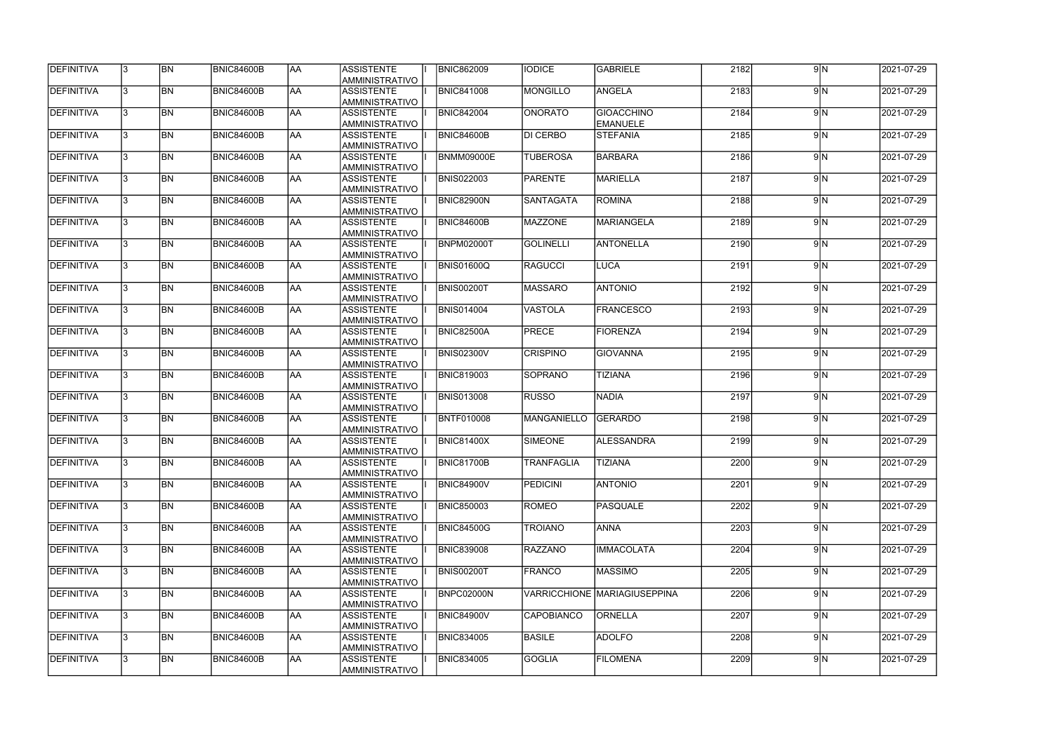| <b>DEFINITIVA</b> | 13.          | <b>BN</b> | <b>BNIC84600B</b> | <b>AA</b>  | ASSISTENTE<br><b>AMMINISTRATIVO</b>        | <b>BNIC862009</b> | <b>IODICE</b>      | <b>GABRIELE</b>                      | 2182 | 9N         | 2021-07-29 |
|-------------------|--------------|-----------|-------------------|------------|--------------------------------------------|-------------------|--------------------|--------------------------------------|------|------------|------------|
| <b>DEFINITIVA</b> | 3            | <b>BN</b> | <b>BNIC84600B</b> | AA         | ASSISTENTE<br>AMMINISTRATIVO               | <b>BNIC841008</b> | <b>MONGILLO</b>    | <b>ANGELA</b>                        | 2183 | 9N         | 2021-07-29 |
| DEFINITIVA        | 3            | <b>BN</b> | <b>BNIC84600B</b> | AA         | ASSISTENTE<br>AMMINISTRATIVO               | <b>BNIC842004</b> | <b>ONORATO</b>     | <b>GIOACCHINO</b><br><b>EMANUELE</b> | 2184 | 9N         | 2021-07-29 |
| DEFINITIVA        |              | <b>BN</b> | <b>BNIC84600B</b> | <b>AA</b>  | <b>ASSISTENTE</b><br>AMMINISTRATIVO        | <b>BNIC84600B</b> | <b>DI CERBO</b>    | <b>STEFANIA</b>                      | 2185 | 9N         | 2021-07-29 |
| DEFINITIVA        |              | <b>BN</b> | <b>BNIC84600B</b> | <b>AA</b>  | ASSISTENTE<br>AMMINISTRATIVO               | <b>BNMM09000E</b> | <b>TUBEROSA</b>    | <b>BARBARA</b>                       | 2186 | 9N         | 2021-07-29 |
| <b>DEFINITIVA</b> |              | <b>BN</b> | BNIC84600B        | AA         | <b>ASSISTENTE</b><br><b>AMMINISTRATIVO</b> | <b>BNIS022003</b> | PARENTE            | <b>MARIELLA</b>                      | 2187 | 9N         | 2021-07-29 |
| <b>DEFINITIVA</b> |              | <b>BN</b> | BNIC84600B        | AA         | <b>ASSISTENTE</b><br><b>AMMINISTRATIVO</b> | BNIC82900N        | <b>SANTAGATA</b>   | <b>ROMINA</b>                        | 2188 | 9N         | 2021-07-29 |
| DEFINITIVA        |              | <b>BN</b> | <b>BNIC84600B</b> | AA         | <b>ASSISTENTE</b><br><b>AMMINISTRATIVO</b> | BNIC84600B        | <b>MAZZONE</b>     | <b>MARIANGELA</b>                    | 2189 | 9N         | 2021-07-29 |
| DEFINITIVA        |              | <b>BN</b> | BNIC84600B        | AA         | <b>ASSISTENTE</b><br>AMMINISTRATIVO        | BNPM02000T        | <b>GOLINELLI</b>   | <b>ANTONELLA</b>                     | 2190 | 9N         | 2021-07-29 |
| <b>DEFINITIVA</b> |              | <b>BN</b> | <b>BNIC84600B</b> | AA         | <b>ASSISTENTE</b><br>AMMINISTRATIVO        | <b>BNIS01600Q</b> | RAGUCCI            | LUCA                                 | 2191 | 9N         | 2021-07-29 |
| DEFINITIVA        |              | <b>BN</b> | <b>BNIC84600B</b> | <b>JAA</b> | ASSISTENTE<br>AMMINISTRATIVO               | <b>BNIS00200T</b> | <b>MASSARO</b>     | <b>ANTONIO</b>                       | 2192 | 9N         | 2021-07-29 |
| <b>DEFINITIVA</b> |              | <b>BN</b> | <b>BNIC84600B</b> | AA         | <b>ASSISTENTE</b><br>AMMINISTRATIVO        | <b>BNIS014004</b> | <b>VASTOLA</b>     | <b>FRANCESCO</b>                     | 2193 | $9\vert N$ | 2021-07-29 |
| DEFINITIVA        |              | <b>BN</b> | <b>BNIC84600B</b> | AA         | ASSISTENTE<br>AMMINISTRATIVO               | <b>BNIC82500A</b> | PRECE              | <b>FIORENZA</b>                      | 2194 | 9 N        | 2021-07-29 |
| <b>DEFINITIVA</b> |              | <b>BN</b> | <b>BNIC84600B</b> | AA         | ASSISTENTE<br><b>AMMINISTRATIVO</b>        | <b>BNIS02300V</b> | <b>CRISPINO</b>    | <b>GIOVANNA</b>                      | 2195 | 9N         | 2021-07-29 |
| <b>DEFINITIVA</b> |              | <b>BN</b> | <b>BNIC84600B</b> | AA         | ASSISTENTE<br><b>AMMINISTRATIVO</b>        | <b>BNIC819003</b> | SOPRANO            | <b>TIZIANA</b>                       | 2196 | 9N         | 2021-07-29 |
| <b>DEFINITIVA</b> |              | <b>BN</b> | <b>BNIC84600B</b> | AA         | <b>ASSISTENTE</b><br><b>AMMINISTRATIVO</b> | <b>BNIS013008</b> | <b>RUSSO</b>       | <b>NADIA</b>                         | 2197 | 9 N        | 2021-07-29 |
| DEFINITIVA        |              | <b>BN</b> | <b>BNIC84600B</b> | AA         | <b>ASSISTENTE</b><br>AMMINISTRATIVO        | <b>BNTF010008</b> | <b>MANGANIELLO</b> | <b>GERARDO</b>                       | 2198 | 9 N        | 2021-07-29 |
| DEFINITIVA        |              | <b>BN</b> | BNIC84600B        | AA         | <b>ASSISTENTE</b><br>AMMINISTRATIVO        | <b>BNIC81400X</b> | <b>SIMEONE</b>     | <b>ALESSANDRA</b>                    | 2199 | 9N         | 2021-07-29 |
| <b>DEFINITIVA</b> | 13           | BN        | <b>BNIC84600B</b> | <b>JAA</b> | <b>ASSISTENTE</b><br>AMMINISTRATIVO        | <b>BNIC81700B</b> | <b>TRANFAGLIA</b>  | TIZIANA                              | 2200 | 9 N        | 2021-07-29 |
| DEFINITIVA        |              | <b>BN</b> | <b>BNIC84600B</b> | AA         | <b>ASSISTENTE</b><br>AMMINISTRATIVO        | <b>BNIC84900V</b> | <b>PEDICINI</b>    | <b>ANTONIO</b>                       | 2201 | 9N         | 2021-07-29 |
| DEFINITIVA        | $\mathbf{3}$ | <b>BN</b> | <b>BNIC84600B</b> | AA         | ASSISTENTE<br>AMMINISTRATIVO               | <b>BNIC850003</b> | <b>ROMEO</b>       | <b>PASQUALE</b>                      | 2202 | 9N         | 2021-07-29 |
| <b>DEFINITIVA</b> | 3.           | <b>BN</b> | <b>BNIC84600B</b> | AA         | <b>ASSISTENTE</b><br>AMMINISTRATIVO        | <b>BNIC84500G</b> | <b>TROIANO</b>     | <b>ANNA</b>                          | 2203 | 9N         | 2021-07-29 |
| DEFINITIVA        |              | <b>BN</b> | <b>BNIC84600B</b> | AA         | <b>ASSISTENTE</b><br><b>AMMINISTRATIVO</b> | <b>BNIC839008</b> | <b>RAZZANO</b>     | <b>IMMACOLATA</b>                    | 2204 | 9N         | 2021-07-29 |
| DEFINITIVA        |              | <b>BN</b> | <b>BNIC84600B</b> | AA         | <b>ASSISTENTE</b><br>AMMINISTRATIVO        | <b>BNIS00200T</b> | <b>FRANCO</b>      | <b>MASSIMO</b>                       | 2205 | 9 N        | 2021-07-29 |
| DEFINITIVA        |              | <b>BN</b> | <b>BNIC84600B</b> | AA         | <b>ASSISTENTE</b><br>AMMINISTRATIVO        | BNPC02000N        |                    | VARRICCHIONE MARIAGIUSEPPINA         | 2206 | 9N         | 2021-07-29 |
| DEFINITIVA        |              | <b>BN</b> | BNIC84600B        | AA         | ASSISTENTE<br>AMMINISTRATIVO               | <b>BNIC84900V</b> | <b>CAPOBIANCO</b>  | <b>ORNELLA</b>                       | 2207 | 9N         | 2021-07-29 |
| DEFINITIVA        |              | <b>BN</b> | <b>BNIC84600B</b> | AA         | ASSISTENTE<br>AMMINISTRATIVO               | <b>BNIC834005</b> | <b>BASILE</b>      | <b>ADOLFO</b>                        | 2208 | 9N         | 2021-07-29 |
| DEFINITIVA        |              | BN        | <b>BNIC84600B</b> | AA         | ASSISTENTE<br>AMMINISTRATIVO               | <b>BNIC834005</b> | <b>GOGLIA</b>      | <b>FILOMENA</b>                      | 2209 | 9N         | 2021-07-29 |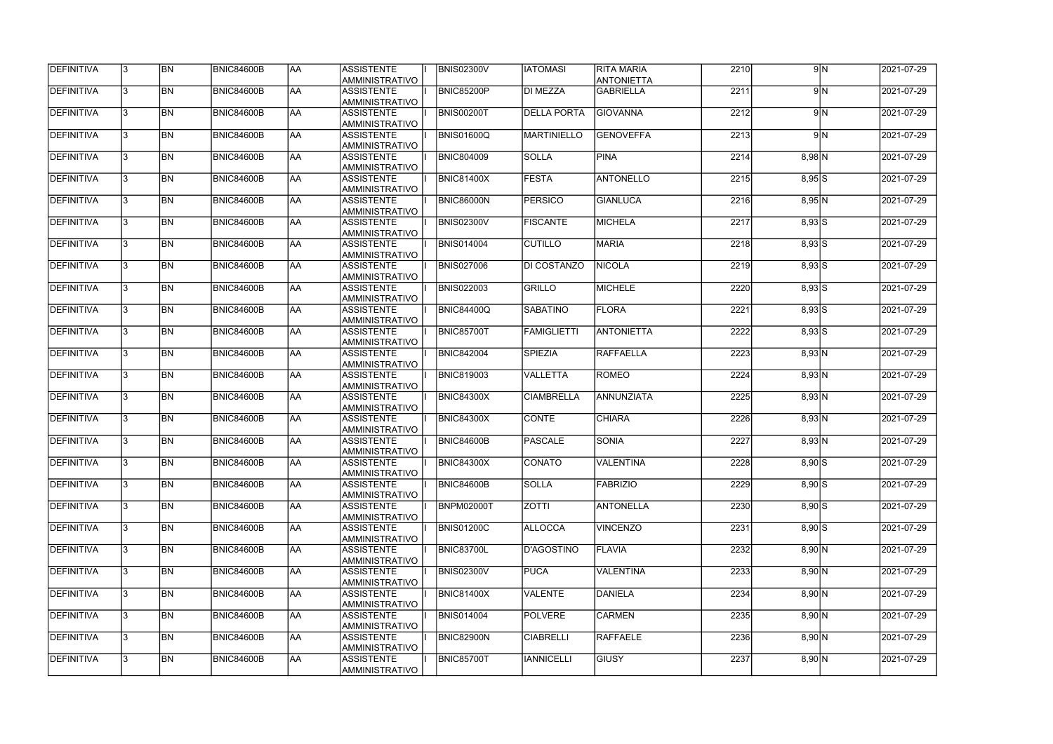| <b>DEFINITIVA</b> | 13. | <b>BN</b> | <b>BNIC84600B</b> | <b>AA</b> | ASSISTENTE<br>AMMINISTRATIVO         | <b>BNIS02300V</b> | <b>IATOMASI</b>    | <b>RITA MARIA</b><br><b>ANTONIETTA</b> | 2210 |             | 9N | 2021-07-29 |
|-------------------|-----|-----------|-------------------|-----------|--------------------------------------|-------------------|--------------------|----------------------------------------|------|-------------|----|------------|
| DEFINITIVA        | 13. | <b>BN</b> | <b>BNIC84600B</b> | AA        | <b>ASSISTENTE</b><br>AMMINISTRATIVO  | <b>BNIC85200P</b> | DI MEZZA           | <b>GABRIELLA</b>                       | 2211 |             | 9N | 2021-07-29 |
| DEFINITIVA        | 13. | <b>BN</b> | <b>BNIC84600B</b> | AA        | <b>ASSISTENTE</b><br>AMMINISTRATIVO  | <b>BNIS00200T</b> | <b>DELLA PORTA</b> | <b>GIOVANNA</b>                        | 2212 |             | 9N | 2021-07-29 |
| DEFINITIVA        | l3. | <b>BN</b> | <b>BNIC84600B</b> | AA        | <b>ASSISTENTE</b><br>AMMINISTRATIVO  | <b>BNIS01600Q</b> | MARTINIELLO        | <b>GENOVEFFA</b>                       | 2213 |             | 9N | 2021-07-29 |
| DEFINITIVA        | l3. | <b>BN</b> | <b>BNIC84600B</b> | <b>AA</b> | <b>ASSISTENTE</b><br>AMMINISTRATIVO  | <b>BNIC804009</b> | SOLLA              | <b>PINA</b>                            | 2214 | $8,98$ N    |    | 2021-07-29 |
| DEFINITIVA        | l3. | <b>BN</b> | <b>BNIC84600B</b> | <b>AA</b> | <b>ASSISTENTE</b><br>AMMINISTRATIVO  | <b>BNIC81400X</b> | <b>FESTA</b>       | <b>ANTONELLO</b>                       | 2215 | $8,95$ S    |    | 2021-07-29 |
| <b>DEFINITIVA</b> | 3   | <b>BN</b> | <b>BNIC84600B</b> | laa       | <b>ASSISTENTE</b><br>AMMINISTRATIVO  | BNIC86000N        | <b>PERSICO</b>     | <b>GIANLUCA</b>                        | 2216 | 8,95 N      |    | 2021-07-29 |
| DEFINITIVA        |     | <b>BN</b> | <b>BNIC84600B</b> | AA        | <b>ASSISTENTE</b><br>AMMINISTRATIVO  | <b>BNIS02300V</b> | <b>FISCANTE</b>    | <b>MICHELA</b>                         | 2217 | $8,93$ S    |    | 2021-07-29 |
| DEFINITIVA        |     | <b>BN</b> | <b>BNIC84600B</b> | AA        | <b>ASSISTENTE</b><br>AMMINISTRATIVO  | <b>BNIS014004</b> | <b>CUTILLO</b>     | <b>MARIA</b>                           | 2218 | $8,93$ S    |    | 2021-07-29 |
| DEFINITIVA        |     | <b>BN</b> | <b>BNIC84600B</b> | laa       | <b>ASSISTENTE</b><br>AMMINISTRATIVO  | <b>BNIS027006</b> | DI COSTANZO        | <b>NICOLA</b>                          | 2219 | $8,93$ S    |    | 2021-07-29 |
| DEFINITIVA        | l3. | <b>BN</b> | <b>BNIC84600B</b> | laa       | <b>ASSISTENTE</b><br>Iamministrativo | <b>BNIS022003</b> | <b>GRILLO</b>      | <b>MICHELE</b>                         | 2220 | $8,93$ S    |    | 2021-07-29 |
| DEFINITIVA        | l3. | <b>BN</b> | <b>BNIC84600B</b> | AA        | <b>ASSISTENTE</b><br>AMMINISTRATIVO  | <b>BNIC84400Q</b> | <b>SABATINO</b>    | <b>FLORA</b>                           | 2221 | $8,93$ S    |    | 2021-07-29 |
| DEFINITIVA        | 3   | <b>BN</b> | BNIC84600B        | AA        | <b>ASSISTENTE</b><br>AMMINISTRATIVO  | <b>BNIC85700T</b> | <b>FAMIGLIETTI</b> | <b>ANTONIETTA</b>                      | 2222 | $8,93$ S    |    | 2021-07-29 |
| DEFINITIVA        |     | <b>BN</b> | <b>BNIC84600B</b> | laa       | <b>ASSISTENTE</b><br>AMMINISTRATIVO  | <b>BNIC842004</b> | <b>SPIEZIA</b>     | RAFFAELLA                              | 2223 | 8,93 N      |    | 2021-07-29 |
| DEFINITIVA        | 3   | <b>BN</b> | <b>BNIC84600B</b> | AA        | <b>ASSISTENTE</b><br>AMMINISTRATIVO  | <b>BNIC819003</b> | <b>VALLETTA</b>    | <b>ROMEO</b>                           | 2224 | 8,93 N      |    | 2021-07-29 |
| DEFINITIVA        | l3. | <b>BN</b> | <b>BNIC84600B</b> | AA        | <b>ASSISTENTE</b><br>AMMINISTRATIVO  | <b>BNIC84300X</b> | <b>CIAMBRELLA</b>  | ANNUNZIATA                             | 2225 | 8,93 N      |    | 2021-07-29 |
| <b>DEFINITIVA</b> |     | <b>BN</b> | <b>BNIC84600B</b> | AA        | <b>ASSISTENTE</b><br>AMMINISTRATIVO  | <b>BNIC84300X</b> | <b>CONTE</b>       | <b>CHIARA</b>                          | 2226 | 8,93 N      |    | 2021-07-29 |
| DEFINITIVA        |     | <b>BN</b> | <b>BNIC84600B</b> | AA        | <b>ASSISTENTE</b><br>AMMINISTRATIVO  | <b>BNIC84600B</b> | <b>PASCALE</b>     | <b>SONIA</b>                           | 2227 | 8,93 N      |    | 2021-07-29 |
| <b>DEFINITIVA</b> | 13  | <b>BN</b> | <b>BNIC84600B</b> | AA        | ASSISTENTE <br>IAMMINISTRATIVO       | <b>BNIC84300X</b> | <b>CONATO</b>      | <b>VALENTINA</b>                       | 2228 | $8,90$ S    |    | 2021-07-29 |
| DEFINITIVA        | 13. | <b>BN</b> | <b>BNIC84600B</b> | AA        | ASSISTENTE<br>AMMINISTRATIVO         | <b>BNIC84600B</b> | <b>SOLLA</b>       | <b>FABRIZIO</b>                        | 2229 | $8,90$ S    |    | 2021-07-29 |
| DEFINITIVA        | l3. | <b>BN</b> | <b>BNIC84600B</b> | AA        | ASSISTENTE<br>AMMINISTRATIVO         | <b>BNPM02000T</b> | <b>ZOTTI</b>       | <b>ANTONELLA</b>                       | 2230 | $8,90$ S    |    | 2021-07-29 |
| DEFINITIVA        | l3. | <b>BN</b> | <b>BNIC84600B</b> | <b>AA</b> | <b>ASSISTENTE</b><br>AMMINISTRATIVO  | <b>BNIS01200C</b> | <b>ALLOCCA</b>     | <b>VINCENZO</b>                        | 2231 | $8,90$ S    |    | 2021-07-29 |
| DEFINITIVA        | 3   | <b>BN</b> | <b>BNIC84600B</b> | AA        | <b>ASSISTENTE</b><br>AMMINISTRATIVO  | BNIC83700L        | D'AGOSTINO         | FLAVIA                                 | 2232 | 8,90 N      |    | 2021-07-29 |
| DEFINITIVA        | l3. | <b>BN</b> | <b>BNIC84600B</b> | AA        | ASSISTENTE<br>AMMINISTRATIVO         | <b>BNIS02300V</b> | <b>PUCA</b>        | <b>VALENTINA</b>                       | 2233 | $8,90 \, N$ |    | 2021-07-29 |
| DEFINITIVA        |     | <b>BN</b> | <b>BNIC84600B</b> | AA        | <b>ASSISTENTE</b><br>AMMINISTRATIVO  | <b>BNIC81400X</b> | VALENTE            | <b>DANIELA</b>                         | 2234 | $8,90 \, N$ |    | 2021-07-29 |
| DEFINITIVA        | I3. | <b>BN</b> | BNIC84600B        | AA        | <b>ASSISTENTE</b><br>AMMINISTRATIVO  | <b>BNIS014004</b> | <b>POLVERE</b>     | <b>CARMEN</b>                          | 2235 | $8,90 \, N$ |    | 2021-07-29 |
| DEFINITIVA        | 13. | <b>BN</b> | <b>BNIC84600B</b> | AA        | <b>ASSISTENTE</b><br>AMMINISTRATIVO  | <b>BNIC82900N</b> | <b>CIABRELLI</b>   | RAFFAELE                               | 2236 | 8,90 N      |    | 2021-07-29 |
| DEFINITIVA        |     | <b>BN</b> | <b>BNIC84600B</b> | AA        | ASSISTENTE<br>AMMINISTRATIVO         | <b>BNIC85700T</b> | <b>IANNICELLI</b>  | <b>GIUSY</b>                           | 2237 | $8,90 \, N$ |    | 2021-07-29 |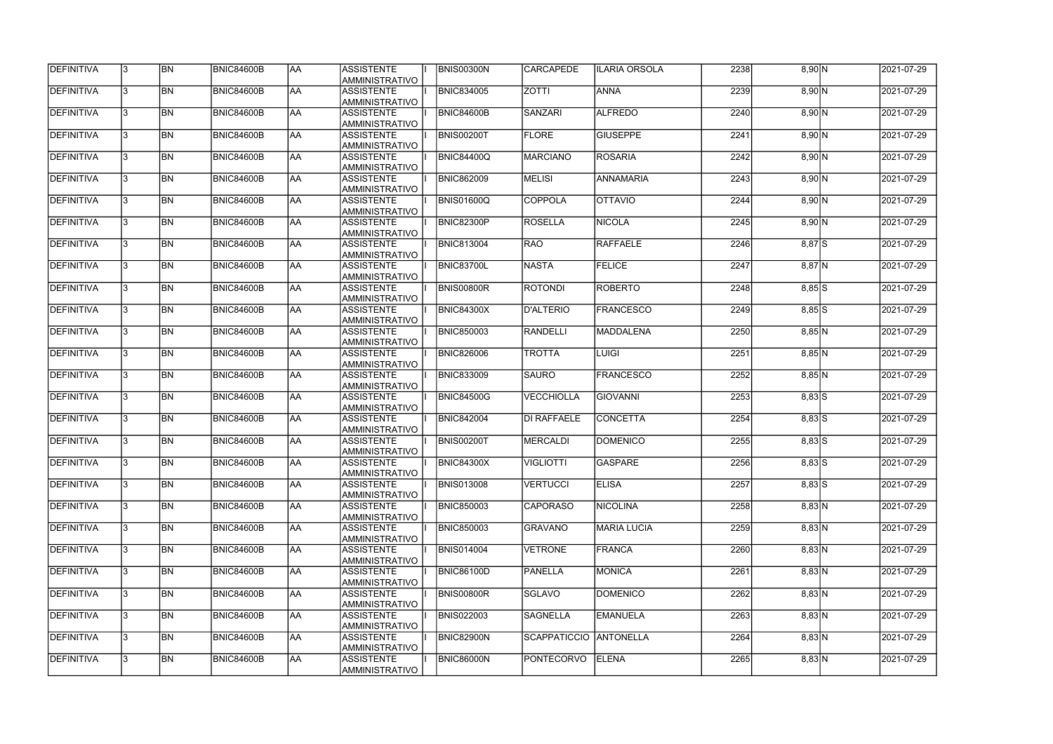| DEFINITIVA        | 13. | <b>BN</b> | <b>BNIC84600B</b> | AA        | <b>ASSISTENTE</b><br>AMMINISTRATIVO        | <b>BNIS00300N</b> | <b>CARCAPEDE</b>    | LARIA ORSOLA       | 2238 | 8,90 N    | 2021-07-29 |
|-------------------|-----|-----------|-------------------|-----------|--------------------------------------------|-------------------|---------------------|--------------------|------|-----------|------------|
| <b>DEFINITIVA</b> | 13. | <b>BN</b> | <b>BNIC84600B</b> | laa       | <b>ASSISTENTE</b><br>AMMINISTRATIVO        | <b>BNIC834005</b> | <b>ZOTTI</b>        | <b>ANNA</b>        | 2239 | $8,90\ N$ | 2021-07-29 |
| DEFINITIVA        | l3. | <b>BN</b> | <b>BNIC84600B</b> | AA        | <b>ASSISTENTE</b><br>AMMINISTRATIVO        | <b>BNIC84600B</b> | <b>SANZARI</b>      | <b>ALFREDO</b>     | 2240 | 8,90 N    | 2021-07-29 |
| <b>DEFINITIVA</b> | l3. | <b>BN</b> | BNIC84600B        | <b>AA</b> | <b>ASSISTENTE</b><br>AMMINISTRATIVO        | <b>BNIS00200T</b> | <b>FLORE</b>        | <b>GIUSEPPE</b>    | 2241 | 8,90 N    | 2021-07-29 |
| DEFINITIVA        | l3. | <b>BN</b> | <b>BNIC84600B</b> | laa       | <b>ASSISTENTE</b><br>AMMINISTRATIVO        | BNIC84400Q        | <b>MARCIANO</b>     | <b>ROSARIA</b>     | 2242 | $8,90$ N  | 2021-07-29 |
| DEFINITIVA        | 3   | <b>BN</b> | <b>BNIC84600B</b> | laa       | <b>ASSISTENTE</b><br>AMMINISTRATIVO        | <b>BNIC862009</b> | <b>MELISI</b>       | <b>ANNAMARIA</b>   | 2243 | $8,90\,N$ | 2021-07-29 |
| DEFINITIVA        |     | <b>BN</b> | <b>BNIC84600B</b> | laa       | <b>ASSISTENTE</b><br><b>AMMINISTRATIVO</b> | <b>BNIS01600Q</b> | <b>COPPOLA</b>      | <b>OTTAVIO</b>     | 2244 | $8,90\,N$ | 2021-07-29 |
| DEFINITIVA        |     | <b>BN</b> | BNIC84600B        | laa       | <b>ASSISTENTE</b><br>AMMINISTRATIVO        | BNIC82300P        | ROSELLA             | <b>NICOLA</b>      | 2245 | $8,90\,N$ | 2021-07-29 |
| DEFINITIVA        |     | <b>BN</b> | <b>BNIC84600B</b> | AA        | <b>ASSISTENTE</b><br>AMMINISTRATIVO        | <b>BNIC813004</b> | RAO                 | <b>RAFFAELE</b>    | 2246 | $8,87$ S  | 2021-07-29 |
| DEFINITIVA        | l3. | <b>BN</b> | <b>BNIC84600B</b> | laa       | <b>ASSISTENTE</b><br>AMMINISTRATIVO        | BNIC83700L        | <b>NASTA</b>        | <b>FELICE</b>      | 2247 | $8,87$ N  | 2021-07-29 |
| DEFINITIVA        | l3. | <b>BN</b> | <b>BNIC84600B</b> | AA        | <b>ASSISTENTE</b><br>AMMINISTRATIVO        | BNIS00800R        | ROTONDI             | <b>ROBERTO</b>     | 2248 | $8,85$ S  | 2021-07-29 |
| DEFINITIVA        | 3   | <b>BN</b> | <b>BNIC84600B</b> | <b>AA</b> | <b>ASSISTENTE</b><br>AMMINISTRATIVO        | <b>BNIC84300X</b> | D'ALTERIO           | <b>FRANCESCO</b>   | 2249 | $8,85$ S  | 2021-07-29 |
| DEFINITIVA        | 3   | <b>BN</b> | <b>BNIC84600B</b> | laa       | <b>ASSISTENTE</b><br>AMMINISTRATIVO        | <b>BNIC850003</b> | RANDELLI            | <b>MADDALENA</b>   | 2250 | $8,85$ N  | 2021-07-29 |
| DEFINITIVA        | 3   | <b>BN</b> | <b>BNIC84600B</b> | laa       | <b>ASSISTENTE</b><br>AMMINISTRATIVO        | <b>BNIC826006</b> | <b>TROTTA</b>       | LUIGI              | 2251 | $8,85$ N  | 2021-07-29 |
| DEFINITIVA        |     | <b>BN</b> | <b>BNIC84600B</b> | laa       | <b>ASSISTENTE</b><br><b>AMMINISTRATIVO</b> | <b>BNIC833009</b> | <b>SAURO</b>        | <b>FRANCESCO</b>   | 2252 | $8,85$ N  | 2021-07-29 |
| DEFINITIVA        | 3   | <b>BN</b> | <b>BNIC84600B</b> | laa       | <b>ASSISTENTE</b><br>AMMINISTRATIVO        | <b>BNIC84500G</b> | <b>VECCHIOLLA</b>   | <b>GIOVANNI</b>    | 2253 | $8,83$ S  | 2021-07-29 |
| DEFINITIVA        | l3. | <b>BN</b> | <b>BNIC84600B</b> | laa       | <b>ASSISTENTE</b><br>AMMINISTRATIVO        | <b>BNIC842004</b> | <b>DI RAFFAELE</b>  | <b>CONCETTA</b>    | 2254 | $8,83$ S  | 2021-07-29 |
| DEFINITIVA        | 3   | <b>BN</b> | <b>BNIC84600B</b> | laa       | <b>ASSISTENTE</b><br>AMMINISTRATIVO        | <b>BNIS00200T</b> | <b>MERCALDI</b>     | <b>DOMENICO</b>    | 2255 | $8,83$ S  | 2021-07-29 |
| DEFINITIVA        | 13  | <b>BN</b> | <b>BNIC84600B</b> | <b>AA</b> | <b>ASSISTENTE</b><br>AMMINISTRATIVO        | <b>BNIC84300X</b> | <b>VIGLIOTTI</b>    | <b>GASPARE</b>     | 2256 | $8,83$ S  | 2021-07-29 |
| <b>DEFINITIVA</b> | l3. | <b>BN</b> | <b>BNIC84600B</b> | AA        | <b>ASSISTENTE</b><br>AMMINISTRATIVO        | <b>BNIS013008</b> | <b>VERTUCCI</b>     | <b>ELISA</b>       | 2257 | $8,83$ S  | 2021-07-29 |
| DEFINITIVA        | 13. | <b>BN</b> | <b>BNIC84600B</b> | AA        | <b>ASSISTENTE</b><br>AMMINISTRATIVO        | <b>BNIC850003</b> | <b>CAPORASO</b>     | <b>NICOLINA</b>    | 2258 | 8,83 N    | 2021-07-29 |
| DEFINITIVA        | 3   | <b>BN</b> | <b>BNIC84600B</b> | laa       | <b>ASSISTENTE</b><br>AMMINISTRATIVO        | <b>BNIC850003</b> | <b>GRAVANO</b>      | <b>MARIA LUCIA</b> | 2259 | 8,83 N    | 2021-07-29 |
| DEFINITIVA        |     | <b>BN</b> | BNIC84600B        | AA        | <b>ASSISTENTE</b><br>AMMINISTRATIVO        | <b>BNIS014004</b> | <b>VETRONE</b>      | <b>FRANCA</b>      | 2260 | 8,83 N    | 2021-07-29 |
| DEFINITIVA        |     | <b>BN</b> | <b>BNIC84600B</b> | AA        | <b>ASSISTENTE</b><br>AMMINISTRATIVO        | <b>BNIC86100D</b> | PANELLA             | <b>MONICA</b>      | 2261 | 8,83 N    | 2021-07-29 |
| DEFINITIVA        | I3. | <b>BN</b> | BNIC84600B        | laa       | <b>ASSISTENTE</b><br>AMMINISTRATIVO        | BNIS00800R        | <b>SGLAVO</b>       | <b>DOMENICO</b>    | 2262 | 8,83 N    | 2021-07-29 |
| DEFINITIVA        | I3. | <b>BN</b> | <b>BNIC84600B</b> | AA        | <b>ASSISTENTE</b><br>AMMINISTRATIVO        | <b>BNIS022003</b> | <b>SAGNELLA</b>     | <b>EMANUELA</b>    | 2263 | 8,83 N    | 2021-07-29 |
| DEFINITIVA        | 13. | <b>BN</b> | <b>BNIC84600B</b> | AA        | <b>ASSISTENTE</b><br>AMMINISTRATIVO        | <b>BNIC82900N</b> | <b>SCAPPATICCIO</b> | <b>ANTONELLA</b>   | 2264 | 8,83 N    | 2021-07-29 |
| DEFINITIVA        |     | <b>BN</b> | <b>BNIC84600B</b> | AA        | <b>ASSISTENTE</b><br>AMMINISTRATIVO        | BNIC86000N        | PONTECORVO          | <b>ELENA</b>       | 2265 | 8,83 N    | 2021-07-29 |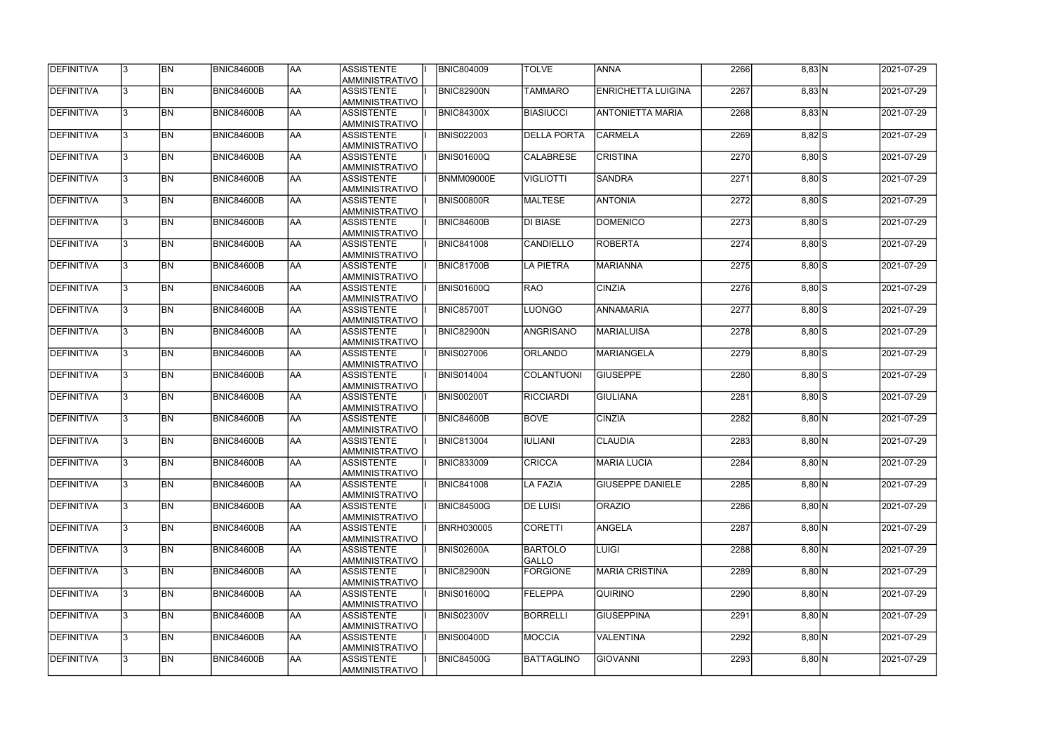| <b>DEFINITIVA</b> | 13. | <b>BN</b> | <b>BNIC84600B</b> | AA        | <b>ASSISTENTE</b><br>AMMINISTRATIVO        | <b>BNIC804009</b> | <b>TOLVE</b>            | <b>ANNA</b>               | 2266 | 8,83 N    | 2021-07-29 |
|-------------------|-----|-----------|-------------------|-----------|--------------------------------------------|-------------------|-------------------------|---------------------------|------|-----------|------------|
| <b>DEFINITIVA</b> | 13. | <b>BN</b> | BNIC84600B        | laa       | <b>ASSISTENTE</b><br>AMMINISTRATIVO        | BNIC82900N        | <b>TAMMARO</b>          | <b>ENRICHETTA LUIGINA</b> | 2267 | 8,83 N    | 2021-07-29 |
| DEFINITIVA        | l3. | <b>BN</b> | <b>BNIC84600B</b> | AA        | <b>ASSISTENTE</b><br>AMMINISTRATIVO        | <b>BNIC84300X</b> | <b>BIASIUCCI</b>        | ANTONIETTA MARIA          | 2268 | 8,83 N    | 2021-07-29 |
| <b>DEFINITIVA</b> | l3. | <b>BN</b> | BNIC84600B        | <b>AA</b> | <b>ASSISTENTE</b><br>AMMINISTRATIVO        | <b>BNIS022003</b> | <b>DELLA PORTA</b>      | <b>CARMELA</b>            | 2269 | $8,82$ S  | 2021-07-29 |
| DEFINITIVA        | l3. | <b>BN</b> | <b>BNIC84600B</b> | laa       | <b>ASSISTENTE</b><br>AMMINISTRATIVO        | <b>BNIS01600Q</b> | <b>CALABRESE</b>        | <b>CRISTINA</b>           | 2270 | $8,80$ S  | 2021-07-29 |
| DEFINITIVA        | 3   | <b>BN</b> | <b>BNIC84600B</b> | laa       | <b>ASSISTENTE</b><br>AMMINISTRATIVO        | <b>BNMM09000E</b> | <b>VIGLIOTTI</b>        | <b>SANDRA</b>             | 2271 | $8,80$ S  | 2021-07-29 |
| DEFINITIVA        |     | <b>BN</b> | <b>BNIC84600B</b> | laa       | <b>ASSISTENTE</b><br><b>AMMINISTRATIVO</b> | <b>BNIS00800R</b> | MALTESE                 | <b>ANTONIA</b>            | 2272 | $8,80$ S  | 2021-07-29 |
| DEFINITIVA        |     | <b>BN</b> | BNIC84600B        | laa       | <b>ASSISTENTE</b><br>AMMINISTRATIVO        | BNIC84600B        | <b>DI BIASE</b>         | <b>DOMENICO</b>           | 2273 | $8,80$ S  | 2021-07-29 |
| DEFINITIVA        |     | <b>BN</b> | <b>BNIC84600B</b> | AA        | <b>ASSISTENTE</b><br>AMMINISTRATIVO        | <b>BNIC841008</b> | <b>CANDIELLO</b>        | <b>ROBERTA</b>            | 2274 | $8,80$ S  | 2021-07-29 |
| DEFINITIVA        | l3. | <b>BN</b> | <b>BNIC84600B</b> | laa       | <b>ASSISTENTE</b><br>AMMINISTRATIVO        | BNIC81700B        | <b>LA PIETRA</b>        | <b>MARIANNA</b>           | 2275 | $8,80$ S  | 2021-07-29 |
| DEFINITIVA        | l3  | <b>BN</b> | <b>BNIC84600B</b> | AA        | <b>ASSISTENTE</b><br>AMMINISTRATIVO        | BNIS01600Q        | <b>RAO</b>              | <b>CINZIA</b>             | 2276 | $8,80$ S  | 2021-07-29 |
| <b>DEFINITIVA</b> | 3   | <b>BN</b> | <b>BNIC84600B</b> | <b>AA</b> | <b>ASSISTENTE</b><br>AMMINISTRATIVO        | BNIC85700T        | <b>LUONGO</b>           | <b>ANNAMARIA</b>          | 2277 | $8,80$ S  | 2021-07-29 |
| DEFINITIVA        | 3   | <b>BN</b> | <b>BNIC84600B</b> | laa       | <b>ASSISTENTE</b><br>AMMINISTRATIVO        | <b>BNIC82900N</b> | ANGRISANO               | <b>MARIALUISA</b>         | 2278 | $8,80$ S  | 2021-07-29 |
| DEFINITIVA        | 3   | <b>BN</b> | <b>BNIC84600B</b> | laa       | <b>ASSISTENTE</b><br>AMMINISTRATIVO        | <b>BNIS027006</b> | <b>ORLANDO</b>          | <b>MARIANGELA</b>         | 2279 | $8,80$ S  | 2021-07-29 |
| DEFINITIVA        |     | <b>BN</b> | <b>BNIC84600B</b> | laa       | <b>ASSISTENTE</b><br><b>AMMINISTRATIVO</b> | <b>BNIS014004</b> | <b>COLANTUONI</b>       | <b>GIUSEPPE</b>           | 2280 | $8,80$ S  | 2021-07-29 |
| DEFINITIVA        | 3   | <b>BN</b> | <b>BNIC84600B</b> | laa       | <b>ASSISTENTE</b><br>AMMINISTRATIVO        | <b>BNIS00200T</b> | <b>RICCIARDI</b>        | <b>GIULIANA</b>           | 2281 | $8,80$ S  | 2021-07-29 |
| DEFINITIVA        | l3. | <b>BN</b> | <b>BNIC84600B</b> | laa       | <b>ASSISTENTE</b><br>AMMINISTRATIVO        | BNIC84600B        | <b>BOVE</b>             | <b>CINZIA</b>             | 2282 | 8,80 N    | 2021-07-29 |
| DEFINITIVA        | 3   | <b>BN</b> | <b>BNIC84600B</b> | AA        | <b>ASSISTENTE</b><br>AMMINISTRATIVO        | <b>BNIC813004</b> | <b>IULIANI</b>          | <b>CLAUDIA</b>            | 2283 | 8,80 N    | 2021-07-29 |
| DEFINITIVA        | 13  | <b>BN</b> | <b>BNIC84600B</b> | <b>AA</b> | <b>ASSISTENTE</b><br>AMMINISTRATIVO        | <b>BNIC833009</b> | <b>CRICCA</b>           | <b>MARIA LUCIA</b>        | 2284 | 8,80 N    | 2021-07-29 |
| <b>DEFINITIVA</b> | l3. | <b>BN</b> | <b>BNIC84600B</b> | AA        | <b>ASSISTENTE</b><br>AMMINISTRATIVO        | <b>BNIC841008</b> | <b>LA FAZIA</b>         | <b>GIUSEPPE DANIELE</b>   | 2285 | 8,80 N    | 2021-07-29 |
| DEFINITIVA        | 13. | <b>BN</b> | <b>BNIC84600B</b> | AA        | <b>ASSISTENTE</b><br>AMMINISTRATIVO        | <b>BNIC84500G</b> | <b>DE LUISI</b>         | <b>ORAZIO</b>             | 2286 | 8,80 N    | 2021-07-29 |
| DEFINITIVA        | 3   | <b>BN</b> | <b>BNIC84600B</b> | laa       | <b>ASSISTENTE</b><br>AMMINISTRATIVO        | <b>BNRH030005</b> | <b>CORETTI</b>          | <b>ANGELA</b>             | 2287 | $8,80$ N  | 2021-07-29 |
| DEFINITIVA        |     | <b>BN</b> | BNIC84600B        | AA        | <b>ASSISTENTE</b><br>AMMINISTRATIVO        | <b>BNIS02600A</b> | <b>BARTOLO</b><br>GALLO | <b>LUIGI</b>              | 2288 | 8,80 N    | 2021-07-29 |
| DEFINITIVA        |     | <b>BN</b> | <b>BNIC84600B</b> | AA        | <b>ASSISTENTE</b><br>AMMINISTRATIVO        | BNIC82900N        | <b>FORGIONE</b>         | <b>MARIA CRISTINA</b>     | 2289 | 8,80 N    | 2021-07-29 |
| DEFINITIVA        | I3. | <b>BN</b> | BNIC84600B        | laa       | <b>ASSISTENTE</b><br>AMMINISTRATIVO        | <b>BNIS01600Q</b> | <b>FELEPPA</b>          | <b>QUIRINO</b>            | 2290 | 8,80 N    | 2021-07-29 |
| DEFINITIVA        | I3. | <b>BN</b> | <b>BNIC84600B</b> | AA        | <b>ASSISTENTE</b><br>AMMINISTRATIVO        | <b>BNIS02300V</b> | <b>BORRELLI</b>         | <b>GIUSEPPINA</b>         | 2291 | 8,80 N    | 2021-07-29 |
| DEFINITIVA        | 13. | <b>BN</b> | <b>BNIC84600B</b> | AA        | <b>ASSISTENTE</b><br>AMMINISTRATIVO        | <b>BNIS00400D</b> | <b>MOCCIA</b>           | <b>VALENTINA</b>          | 2292 | $8,80\ N$ | 2021-07-29 |
| DEFINITIVA        |     | <b>BN</b> | <b>BNIC84600B</b> | AA        | <b>ASSISTENTE</b><br>AMMINISTRATIVO        | <b>BNIC84500G</b> | BATTAGLINO              | <b>GIOVANNI</b>           | 2293 | 8,80 N    | 2021-07-29 |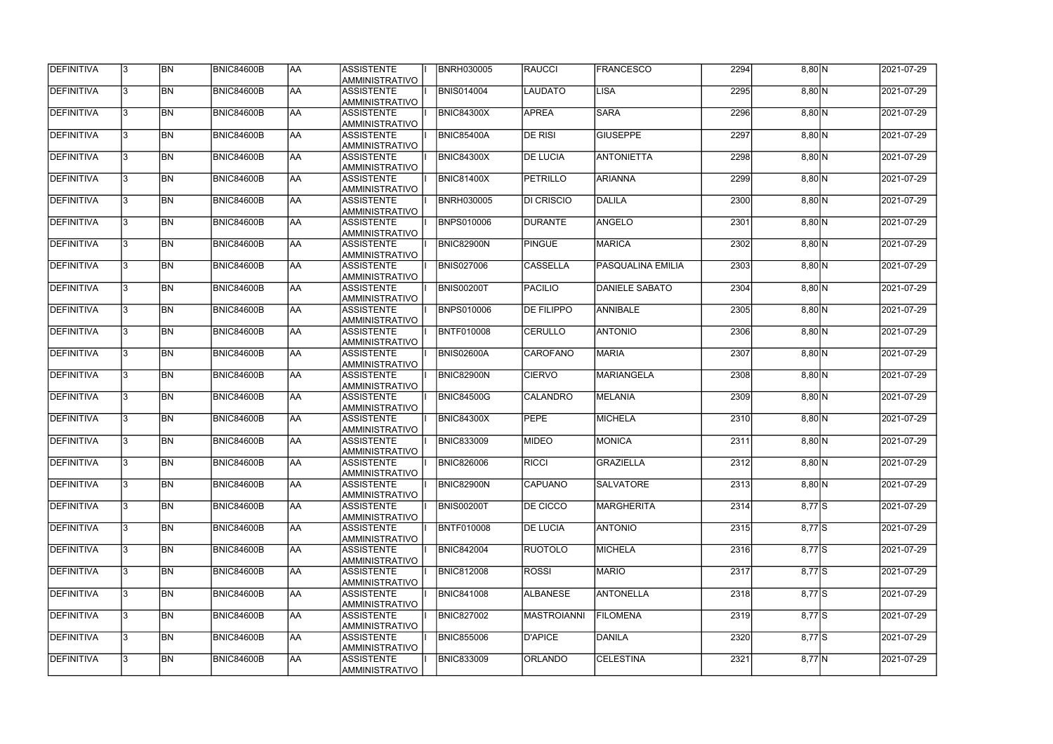| DEFINITIVA        | 13. | <b>BN</b> | <b>BNIC84600B</b> | AA        | <b>ASSISTENTE</b><br>AMMINISTRATIVO        | <b>BNRH030005</b> | <b>RAUCCI</b>      | <b>FRANCESCO</b>      | 2294 | 8,80 N    | 2021-07-29 |
|-------------------|-----|-----------|-------------------|-----------|--------------------------------------------|-------------------|--------------------|-----------------------|------|-----------|------------|
| <b>DEFINITIVA</b> | 13. | <b>BN</b> | <b>BNIC84600B</b> | laa       | <b>ASSISTENTE</b><br>AMMINISTRATIVO        | <b>BNIS014004</b> | <b>LAUDATO</b>     | <b>LISA</b>           | 2295 | 8,80 N    | 2021-07-29 |
| DEFINITIVA        | l3. | <b>BN</b> | <b>BNIC84600B</b> | AA        | <b>ASSISTENTE</b><br>AMMINISTRATIVO        | <b>BNIC84300X</b> | <b>APREA</b>       | <b>SARA</b>           | 2296 | $8,80$ N  | 2021-07-29 |
| <b>DEFINITIVA</b> | l3. | <b>BN</b> | BNIC84600B        | <b>AA</b> | <b>ASSISTENTE</b><br>AMMINISTRATIVO        | <b>BNIC85400A</b> | <b>DE RISI</b>     | <b>GIUSEPPE</b>       | 2297 | 8,80 N    | 2021-07-29 |
| DEFINITIVA        | l3. | <b>BN</b> | <b>BNIC84600B</b> | laa       | <b>ASSISTENTE</b><br>AMMINISTRATIVO        | BNIC84300X        | <b>DE LUCIA</b>    | ANTONIETTA            | 2298 | $8,80$ N  | 2021-07-29 |
| DEFINITIVA        | 3   | <b>BN</b> | <b>BNIC84600B</b> | laa       | <b>ASSISTENTE</b><br>AMMINISTRATIVO        | <b>BNIC81400X</b> | <b>PETRILLO</b>    | <b>ARIANNA</b>        | 2299 | $8,80\,N$ | 2021-07-29 |
| DEFINITIVA        |     | <b>BN</b> | <b>BNIC84600B</b> | laa       | <b>ASSISTENTE</b><br><b>AMMINISTRATIVO</b> | <b>BNRH030005</b> | DI CRISCIO         | <b>DALILA</b>         | 2300 | 8,80 N    | 2021-07-29 |
| DEFINITIVA        |     | <b>BN</b> | BNIC84600B        | laa       | <b>ASSISTENTE</b><br>AMMINISTRATIVO        | <b>BNPS010006</b> | <b>DURANTE</b>     | <b>ANGELO</b>         | 2301 | $8,80\,N$ | 2021-07-29 |
| DEFINITIVA        |     | <b>BN</b> | <b>BNIC84600B</b> | AA        | <b>ASSISTENTE</b><br>AMMINISTRATIVO        | BNIC82900N        | PINGUE             | <b>MARICA</b>         | 2302 | 8,80 N    | 2021-07-29 |
| DEFINITIVA        | l3. | <b>BN</b> | <b>BNIC84600B</b> | laa       | <b>ASSISTENTE</b><br>AMMINISTRATIVO        | <b>BNIS027006</b> | <b>CASSELLA</b>    | PASQUALINA EMILIA     | 2303 | $8,80\,N$ | 2021-07-29 |
| DEFINITIVA        | l3  | <b>BN</b> | <b>BNIC84600B</b> | AA        | <b>ASSISTENTE</b><br>AMMINISTRATIVO        | <b>BNIS00200T</b> | PACILIO            | <b>DANIELE SABATO</b> | 2304 | 8,80 N    | 2021-07-29 |
| DEFINITIVA        | 3   | <b>BN</b> | <b>BNIC84600B</b> | <b>AA</b> | <b>ASSISTENTE</b><br>AMMINISTRATIVO        | <b>BNPS010006</b> | <b>DE FILIPPO</b>  | <b>ANNIBALE</b>       | 2305 | 8,80 N    | 2021-07-29 |
| DEFINITIVA        | 3   | <b>BN</b> | <b>BNIC84600B</b> | laa       | <b>ASSISTENTE</b><br>AMMINISTRATIVO        | <b>BNTF010008</b> | <b>CERULLO</b>     | <b>ANTONIO</b>        | 2306 | 8,80 N    | 2021-07-29 |
| DEFINITIVA        | 3   | <b>BN</b> | <b>BNIC84600B</b> | laa       | <b>ASSISTENTE</b><br>AMMINISTRATIVO        | <b>BNIS02600A</b> | <b>CAROFANO</b>    | <b>MARIA</b>          | 2307 | $8,80\,N$ | 2021-07-29 |
| DEFINITIVA        |     | <b>BN</b> | <b>BNIC84600B</b> | laa       | <b>ASSISTENTE</b><br><b>AMMINISTRATIVO</b> | <b>BNIC82900N</b> | <b>CIERVO</b>      | <b>MARIANGELA</b>     | 2308 | $8,80\,N$ | 2021-07-29 |
| DEFINITIVA        | 3   | <b>BN</b> | <b>BNIC84600B</b> | laa       | <b>ASSISTENTE</b><br>AMMINISTRATIVO        | <b>BNIC84500G</b> | <b>CALANDRO</b>    | <b>MELANIA</b>        | 2309 | $8,80\,N$ | 2021-07-29 |
| DEFINITIVA        | l3. | <b>BN</b> | <b>BNIC84600B</b> | laa       | <b>ASSISTENTE</b><br>AMMINISTRATIVO        | <b>BNIC84300X</b> | <b>PEPE</b>        | <b>MICHELA</b>        | 2310 | 8,80 N    | 2021-07-29 |
| DEFINITIVA        | 3   | <b>BN</b> | <b>BNIC84600B</b> | AA        | <b>ASSISTENTE</b><br>AMMINISTRATIVO        | <b>BNIC833009</b> | <b>MIDEO</b>       | <b>MONICA</b>         | 2311 | 8,80 N    | 2021-07-29 |
| DEFINITIVA        | 13  | <b>BN</b> | <b>BNIC84600B</b> | <b>AA</b> | <b>ASSISTENTE</b><br>AMMINISTRATIVO        | <b>BNIC826006</b> | <b>RICCI</b>       | <b>GRAZIELLA</b>      | 2312 | 8,80 N    | 2021-07-29 |
| <b>DEFINITIVA</b> | l3. | <b>BN</b> | <b>BNIC84600B</b> | AA        | <b>ASSISTENTE</b><br>AMMINISTRATIVO        | BNIC82900N        | <b>CAPUANO</b>     | <b>SALVATORE</b>      | 2313 | 8,80 N    | 2021-07-29 |
| DEFINITIVA        | 13. | <b>BN</b> | <b>BNIC84600B</b> | AA        | <b>ASSISTENTE</b><br>AMMINISTRATIVO        | <b>BNIS00200T</b> | <b>DE CICCO</b>    | <b>MARGHERITA</b>     | 2314 | $8,77$ S  | 2021-07-29 |
| DEFINITIVA        | 3   | <b>BN</b> | <b>BNIC84600B</b> | laa       | <b>ASSISTENTE</b><br>AMMINISTRATIVO        | <b>BNTF010008</b> | <b>DE LUCIA</b>    | <b>ANTONIO</b>        | 2315 | $8,77$ S  | 2021-07-29 |
| DEFINITIVA        |     | <b>BN</b> | BNIC84600B        | AA        | <b>ASSISTENTE</b><br>AMMINISTRATIVO        | <b>BNIC842004</b> | <b>RUOTOLO</b>     | <b>MICHELA</b>        | 2316 | $8,77$ S  | 2021-07-29 |
| DEFINITIVA        |     | <b>BN</b> | <b>BNIC84600B</b> | AA        | <b>ASSISTENTE</b><br>AMMINISTRATIVO        | <b>BNIC812008</b> | <b>ROSSI</b>       | <b>MARIO</b>          | 2317 | $8,77$ S  | 2021-07-29 |
| DEFINITIVA        | l3. | <b>BN</b> | BNIC84600B        | laa       | <b>ASSISTENTE</b><br>AMMINISTRATIVO        | <b>BNIC841008</b> | ALBANESE           | <b>ANTONELLA</b>      | 2318 | $8,77$ S  | 2021-07-29 |
| DEFINITIVA        | 13. | <b>BN</b> | <b>BNIC84600B</b> | laa       | <b>ASSISTENTE</b><br>AMMINISTRATIVO        | <b>BNIC827002</b> | <b>MASTROIANNI</b> | <b>FILOMENA</b>       | 2319 | $8,77$ S  | 2021-07-29 |
| DEFINITIVA        | 13. | <b>BN</b> | <b>BNIC84600B</b> | AA        | <b>ASSISTENTE</b><br>AMMINISTRATIVO        | <b>BNIC855006</b> | <b>D'APICE</b>     | <b>DANILA</b>         | 2320 | 8.77 S    | 2021-07-29 |
| DEFINITIVA        |     | <b>BN</b> | <b>BNIC84600B</b> | AA        | <b>ASSISTENTE</b><br>AMMINISTRATIVO        | <b>BNIC833009</b> | <b>ORLANDO</b>     | <b>CELESTINA</b>      | 2321 | $8.77$ N  | 2021-07-29 |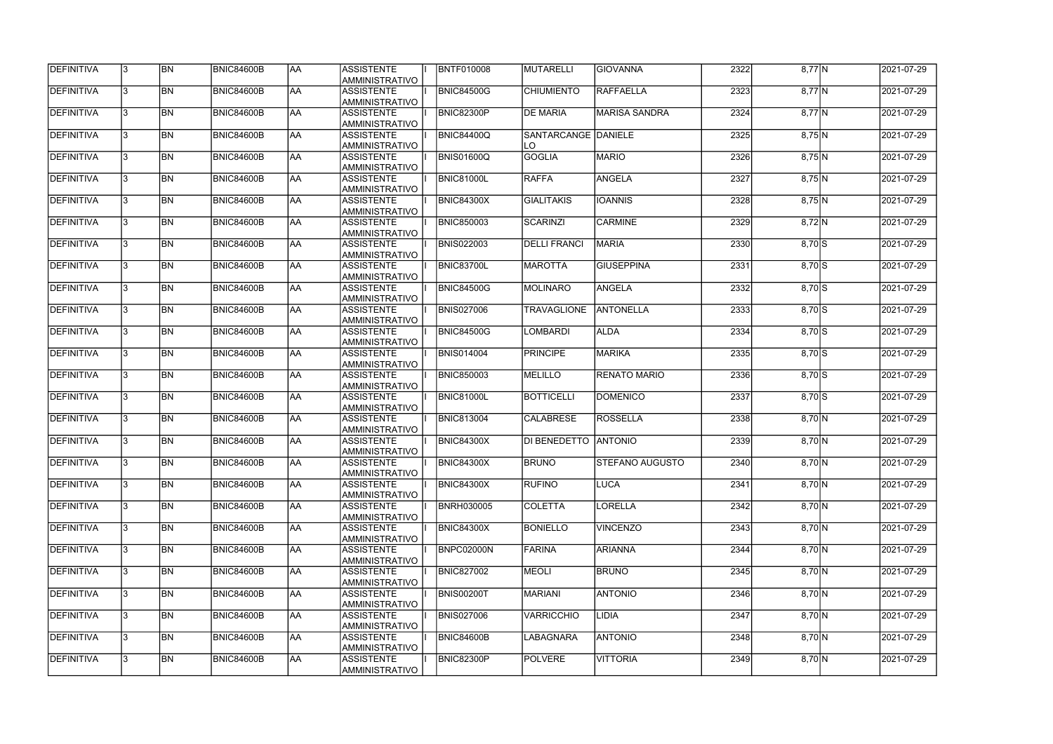| <b>DEFINITIVA</b> | 13.          | <b>BN</b> | <b>BNIC84600B</b> | <b>JAA</b> | <b>ASSISTENTE</b><br>AMMINISTRATIVO        | <b>BNTF010008</b> | MUTARELLI                 | <b>GIOVANNA</b>      | 2322 | $8,77$ N        | 2021-07-29           |
|-------------------|--------------|-----------|-------------------|------------|--------------------------------------------|-------------------|---------------------------|----------------------|------|-----------------|----------------------|
| DEFINITIVA        | l3.          | <b>BN</b> | <b>BNIC84600B</b> | <b>AA</b>  | <b>ASSISTENTE</b><br>AMMINISTRATIVO        | <b>BNIC84500G</b> | CHIUMIENTO                | <b>RAFFAELLA</b>     | 2323 | $8,77$ N        | 2021-07-29           |
| DEFINITIVA        |              | <b>BN</b> | BNIC84600B        | AA         | <b>ASSISTENTE</b><br>AMMINISTRATIVO        | <b>BNIC82300P</b> | <b>DE MARIA</b>           | <b>MARISA SANDRA</b> | 2324 | $8,77$ N        | $\sqrt{2021-07}$ -29 |
| <b>DEFINITIVA</b> |              | <b>BN</b> | BNIC84600B        | laa        | <b>ASSISTENTE</b><br>AMMINISTRATIVO        | <b>BNIC84400Q</b> | SANTARCANGE DANIELE<br>LO |                      | 2325 | $8,75$ N        | 2021-07-29           |
| DEFINITIVA        |              | <b>BN</b> | BNIC84600B        | laa        | <b>ASSISTENTE</b><br>AMMINISTRATIVO        | <b>BNIS01600Q</b> | GOGLIA                    | <b>MARIO</b>         | 2326 | $8,75$ N        | 2021-07-29           |
| <b>DEFINITIVA</b> |              | <b>BN</b> | <b>BNIC84600B</b> | laa        | <b>ASSISTENTE</b><br>AMMINISTRATIVO        | <b>BNIC81000L</b> | <b>RAFFA</b>              | <b>ANGELA</b>        | 2327 | $8,75$ N        | 2021-07-29           |
| DEFINITIVA        |              | <b>BN</b> | <b>BNIC84600B</b> | <b>AA</b>  | <b>ASSISTENTE</b><br>AMMINISTRATIVO        | <b>BNIC84300X</b> | <b>GIALITAKIS</b>         | <b>IOANNIS</b>       | 2328 | $8,75$ N        | 2021-07-29           |
| DEFINITIVA        | 3            | <b>BN</b> | <b>BNIC84600B</b> | laa        | <b>ASSISTENTE</b><br>AMMINISTRATIVO        | <b>BNIC850003</b> | SCARINZI                  | <b>CARMINE</b>       | 2329 | 8,72 N          | 2021-07-29           |
| DEFINITIVA        |              | <b>BN</b> | <b>BNIC84600B</b> | AA         | <b>ASSISTENTE</b><br>AMMINISTRATIVO        | <b>BNIS022003</b> | <b>DELLI FRANCI</b>       | <b>MARIA</b>         | 2330 | $8,70$ S        | 2021-07-29           |
| DEFINITIVA        |              | <b>BN</b> | <b>BNIC84600B</b> | <b>AA</b>  | <b>ASSISTENTE</b><br>AMMINISTRATIVO        | <b>BNIC83700L</b> | <b>MAROTTA</b>            | <b>GIUSEPPINA</b>    | 2331 | $8,70$ S        | 2021-07-29           |
| DEFINITIVA        |              | <b>BN</b> | BNIC84600B        | AA         | <b>ASSISTENTE</b><br>AMMINISTRATIVO        | <b>BNIC84500G</b> | <b>MOLINARO</b>           | <b>ANGELA</b>        | 2332 | $8,70$ S        | 2021-07-29           |
| DEFINITIVA        | $\mathbf{R}$ | <b>BN</b> | <b>BNIC84600B</b> | AA         | <b>ASSISTENTE</b><br>AMMINISTRATIVO        | <b>BNIS027006</b> | <b>TRAVAGLIONE</b>        | ANTONELLA            | 2333 | $8,70$ S        | 2021-07-29           |
| DEFINITIVA        |              | <b>BN</b> | <b>BNIC84600B</b> | laa        | <b>ASSISTENTE</b><br><b>AMMINISTRATIVO</b> | <b>BNIC84500G</b> | <b>LOMBARDI</b>           | <b>ALDA</b>          | 2334 | $8,70$ S        | 2021-07-29           |
| DEFINITIVA        |              | <b>BN</b> | <b>BNIC84600B</b> | <b>AA</b>  | <b>ASSISTENTE</b><br>AMMINISTRATIVO        | <b>BNIS014004</b> | <b>PRINCIPE</b>           | <b>MARIKA</b>        | 2335 | $8,70$ S        | 2021-07-29           |
| DEFINITIVA        |              | <b>BN</b> | BNIC84600B        | <b>AA</b>  | <b>ASSISTENTE</b><br>AMMINISTRATIVO        | <b>BNIC850003</b> | MELILLO                   | <b>RENATO MARIO</b>  | 2336 | $8,70$ S        | 2021-07-29           |
| DEFINITIVA        |              | <b>BN</b> | BNIC84600B        | AA         | <b>ASSISTENTE</b><br>AMMINISTRATIVO        | <b>BNIC81000L</b> | <b>BOTTICELLI</b>         | <b>DOMENICO</b>      | 2337 | $8,70$ S        | 2021-07-29           |
| <b>DEFINITIVA</b> |              | <b>BN</b> | <b>BNIC84600B</b> | <b>AA</b>  | <b>ASSISTENTE</b><br>AMMINISTRATIVO        | <b>BNIC813004</b> | <b>CALABRESE</b>          | <b>ROSSELLA</b>      | 2338 | 8,70 N          | 2021-07-29           |
| <b>DEFINITIVA</b> |              | <b>BN</b> | <b>BNIC84600B</b> | laa        | <b>ASSISTENTE</b><br>AMMINISTRATIVO        | <b>BNIC84300X</b> | DI BENEDETTO ANTONIO      |                      | 2339 | 8,70 N          | 2021-07-29           |
| <b>DEFINITIVA</b> | 13.          | <b>BN</b> | <b>BNIC84600B</b> | <b>JAA</b> | <b>ASSISTENTE</b><br>IAMMINISTRATIVO       | <b>BNIC84300X</b> | <b>BRUNO</b>              | STEFANO AUGUSTO      | 2340 | 8,70 N          | 2021-07-29           |
| <b>DEFINITIVA</b> | 3            | <b>BN</b> | BNIC84600B        | <b>AA</b>  | ASSISTENTE<br>AMMINISTRATIVO               | <b>BNIC84300X</b> | <b>RUFINO</b>             | <b>LUCA</b>          | 2341 | 8,70 N          | 2021-07-29           |
| <b>DEFINITIVA</b> | 3            | <b>BN</b> | BNIC84600B        | AA         | <b>ASSISTENTE</b><br>AMMINISTRATIVO        | <b>BNRH030005</b> | <b>COLETTA</b>            | <b>LORELLA</b>       | 2342 | 8,70 N          | 2021-07-29           |
| DEFINITIVA        |              | <b>BN</b> | BNIC84600B        | <b>AA</b>  | <b>ASSISTENTE</b><br>AMMINISTRATIVO        | <b>BNIC84300X</b> | <b>BONIELLO</b>           | <b>VINCENZO</b>      | 2343 | 8,70 N          | 2021-07-29           |
| DEFINITIVA        |              | <b>BN</b> | BNIC84600B        | <b>AA</b>  | <b>ASSISTENTE</b><br>AMMINISTRATIVO        | <b>BNPC02000N</b> | FARINA                    | <b>ARIANNA</b>       | 2344 | 8,70 N          | 2021-07-29           |
| DEFINITIVA        |              | <b>BN</b> | BNIC84600B        | <b>AA</b>  | ASSISTENTE<br>AMMINISTRATIVO               | <b>BNIC827002</b> | MEOLI                     | <b>BRUNO</b>         | 2345 | $\sqrt{8,70}$ N | 2021-07-29           |
| DEFINITIVA        |              | <b>BN</b> | BNIC84600B        | <b>AA</b>  | ASSISTENTE<br>AMMINISTRATIVO               | <b>BNIS00200T</b> | <b>MARIANI</b>            | <b>ANTONIO</b>       | 2346 | 8,70 N          | 2021-07-29           |
| <b>DEFINITIVA</b> |              | <b>BN</b> | BNIC84600B        | <b>AA</b>  | ASSISTENTE<br>AMMINISTRATIVO               | <b>BNIS027006</b> | VARRICCHIO                | LIDIA                | 2347 | 8,70 N          | 2021-07-29           |
| DEFINITIVA        |              | <b>BN</b> | BNIC84600B        | <b>AA</b>  | ASSISTENTE<br>AMMINISTRATIVO               | <b>BNIC84600B</b> | LABAGNARA                 | <b>ANTONIO</b>       | 2348 | 8,70 N          | 2021-07-29           |
| <b>DEFINITIVA</b> |              | <b>BN</b> | BNIC84600B        | AA         | <b>ASSISTENTE</b><br>AMMINISTRATIVO        | <b>BNIC82300P</b> | POLVERE                   | <b>VITTORIA</b>      | 2349 | 8,70 N          | 2021-07-29           |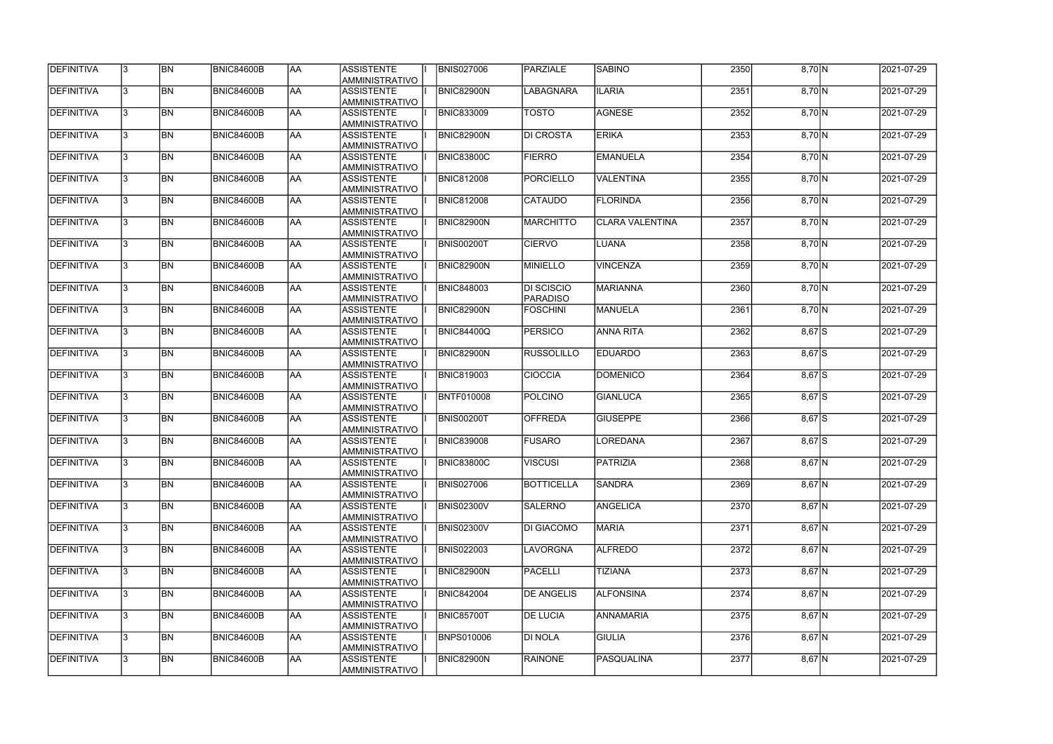| DEFINITIVA        | IЗ | <b>BN</b> | <b>BNIC84600B</b> | <b>AA</b>       | ASSISTENTE<br>AMMINISTRATIVO         | <b>BNIS027006</b> | PARZIALE                             | <b>SABINO</b>          | 2350 | $8,70\ N$ | 2021-07-29 |
|-------------------|----|-----------|-------------------|-----------------|--------------------------------------|-------------------|--------------------------------------|------------------------|------|-----------|------------|
| DEFINITIVA        | З  | <b>BN</b> | <b>BNIC84600B</b> | AA              | <b>ASSISTENTE</b><br>AMMINISTRATIVO  | BNIC82900N        | LABAGNARA                            | <b>ILARIA</b>          | 2351 | $8,70\ N$ | 2021-07-29 |
| DEFINITIVA        |    | <b>BN</b> | <b>BNIC84600B</b> | AA              | <b>ASSISTENTE</b><br>AMMINISTRATIVO  | <b>BNIC833009</b> | <b>TOSTO</b>                         | <b>AGNESE</b>          | 2352 | $8,70$ N  | 2021-07-29 |
| <b>DEFINITIVA</b> |    | <b>BN</b> | BNIC84600B        | AA              | ASSISTENTE<br>AMMINISTRATIVO         | BNIC82900N        | <b>DI CROSTA</b>                     | <b>ERIKA</b>           | 2353 | $8,70$ N  | 2021-07-29 |
| DEFINITIVA        |    | <b>BN</b> | <b>BNIC84600B</b> | AA              | <b>ASSISTENTE</b><br>AMMINISTRATIVO  | <b>BNIC83800C</b> | <b>FIERRO</b>                        | <b>EMANUELA</b>        | 2354 | 8,70 N    | 2021-07-29 |
| <b>DEFINITIVA</b> |    | <b>BN</b> | <b>BNIC84600B</b> | AA              | ASSISTENTE<br>AMMINISTRATIVO         | <b>BNIC812008</b> | PORCIELLO                            | <b>VALENTINA</b>       | 2355 | $8,70$ N  | 2021-07-29 |
| <b>DEFINITIVA</b> |    | <b>BN</b> | <b>BNIC84600B</b> | AA              | <b>ASSISTENTE</b><br>AMMINISTRATIVO  | <b>BNIC812008</b> | <b>CATAUDO</b>                       | <b>FLORINDA</b>        | 2356 | 8,70 N    | 2021-07-29 |
| <b>DEFINITIVA</b> |    | <b>BN</b> | <b>BNIC84600B</b> | AA              | <b>ASSISTENTE</b><br>AMMINISTRATIVO  | BNIC82900N        | <b>IMARCHITTO</b>                    | <b>CLARA VALENTINA</b> | 2357 | 8,70 N    | 2021-07-29 |
| <b>DEFINITIVA</b> |    | <b>BN</b> | <b>BNIC84600B</b> | AA              | <b>ASSISTENTE</b><br>AMMINISTRATIVO  | <b>BNIS00200T</b> | <b>CIERVO</b>                        | LUANA                  | 2358 | $8,70\ N$ | 2021-07-29 |
| <b>DEFINITIVA</b> |    | <b>BN</b> | <b>BNIC84600B</b> | AA              | <b>ASSISTENTE</b><br>Iamministrativo | <b>BNIC82900N</b> | MINIELLO                             | <b>VINCENZA</b>        | 2359 | $8,70\ N$ | 2021-07-29 |
| DEFINITIVA        |    | <b>BN</b> | <b>BNIC84600B</b> | AA              | <b>ASSISTENTE</b><br>AMMINISTRATIVO  | <b>BNIC848003</b> | <b>DI SCISCIO</b><br><b>PARADISO</b> | <b>MARIANNA</b>        | 2360 | 8,70 N    | 2021-07-29 |
| <b>DEFINITIVA</b> |    | <b>BN</b> | BNIC84600B        | AA              | ASSISTENTE<br>AMMINISTRATIVO         | <b>BNIC82900N</b> | <b>FOSCHINI</b>                      | <b>MANUELA</b>         | 2361 | 8,70 N    | 2021-07-29 |
| <b>DEFINITIVA</b> |    | <b>BN</b> | <b>BNIC84600B</b> | AA              | <b>ASSISTENTE</b><br>AMMINISTRATIVO  | <b>BNIC84400Q</b> | <b>PERSICO</b>                       | <b>ANNA RITA</b>       | 2362 | $8,67$ S  | 2021-07-29 |
| DEFINITIVA        |    | <b>BN</b> | BNIC84600B        | AA              | <b>ASSISTENTE</b><br>AMMINISTRATIVO  | <b>BNIC82900N</b> | RUSSOLILLO                           | <b>EDUARDO</b>         | 2363 | $8,67$ S  | 2021-07-29 |
| DEFINITIVA        |    | <b>BN</b> | BNIC84600B        | AA              | <b>ASSISTENTE</b><br>AMMINISTRATIVO  | <b>BNIC819003</b> | <b>CIOCCIA</b>                       | <b>DOMENICO</b>        | 2364 | $8,67$ S  | 2021-07-29 |
| <b>DEFINITIVA</b> |    | <b>BN</b> | BNIC84600B        | AA              | <b>ASSISTENTE</b><br>AMMINISTRATIVO  | <b>BNTF010008</b> | <b>POLCINO</b>                       | <b>GIANLUCA</b>        | 2365 | $8,67$ S  | 2021-07-29 |
| DEFINITIVA        |    | <b>BN</b> | <b>BNIC84600B</b> | AA              | <b>ASSISTENTE</b><br>AMMINISTRATIVO  | <b>BNIS00200T</b> | <b>OFFREDA</b>                       | <b>GIUSEPPE</b>        | 2366 | $8,67$ S  | 2021-07-29 |
| DEFINITIVA        |    | <b>BN</b> | BNIC84600B        | AA              | <b>ASSISTENTE</b><br>AMMINISTRATIVO  | <b>BNIC839008</b> | <b>FUSARO</b>                        | LOREDANA               | 2367 | 8,67 S    | 2021-07-29 |
| <b>DEFINITIVA</b> | 13 | <b>BN</b> | <b>BNIC84600B</b> | laa             | <b>ASSISTENTE</b><br>AMMINISTRATIVO  | <b>BNIC83800C</b> | <b>VISCUSI</b>                       | PATRIZIA               | 2368 | $8,67$ N  | 2021-07-29 |
| <b>DEFINITIVA</b> |    | <b>BN</b> | <b>BNIC84600B</b> | AA              | ASSISTENTE<br>AMMINISTRATIVO         | <b>BNIS027006</b> | BOTTICELLA                           | <b>SANDRA</b>          | 2369 | $8,67$ N  | 2021-07-29 |
| <b>DEFINITIVA</b> |    | <b>BN</b> | <b>BNIC84600B</b> | AA              | ASSISTENTE<br>AMMINISTRATIVO         | <b>BNIS02300V</b> | <b>SALERNO</b>                       | ANGELICA               | 2370 | $8,67$ N  | 2021-07-29 |
| <b>DEFINITIVA</b> |    | <b>BN</b> | <b>BNIC84600B</b> | AA              | <b>ASSISTENTE</b><br>AMMINISTRATIVO  | <b>BNIS02300V</b> | <b>DI GIACOMO</b>                    | <b>MARIA</b>           | 2371 | $8,67$ N  | 2021-07-29 |
| <b>DEFINITIVA</b> |    | <b>BN</b> | <b>BNIC84600B</b> | AA              | <b>ASSISTENTE</b><br>AMMINISTRATIVO  | <b>BNIS022003</b> | LAVORGNA                             | <b>ALFREDO</b>         | 2372 | $8,67$ N  | 2021-07-29 |
| <b>DEFINITIVA</b> |    | <b>BN</b> | <b>BNIC84600B</b> | $\overline{AA}$ | <b>ASSISTENTE</b><br>AMMINISTRATIVO  | <b>BNIC82900N</b> | <b>PACELLI</b>                       | <b>TIZIANA</b>         | 2373 | $8,67$ N  | 2021-07-29 |
| DEFINITIVA        |    | <b>BN</b> | <b>BNIC84600B</b> | AA              | <b>ASSISTENTE</b><br>AMMINISTRATIVO  | <b>BNIC842004</b> | <b>DE ANGELIS</b>                    | <b>ALFONSINA</b>       | 2374 | $8,67$ N  | 2021-07-29 |
| <b>DEFINITIVA</b> |    | <b>BN</b> | <b>BNIC84600B</b> | AA              | <b>ASSISTENTE</b><br>AMMINISTRATIVO  | <b>BNIC85700T</b> | <b>DE LUCIA</b>                      | <b>ANNAMARIA</b>       | 2375 | $8,67$ N  | 2021-07-29 |
| <b>DEFINITIVA</b> |    | <b>BN</b> | <b>BNIC84600B</b> | AA              | ASSISTENTE<br>AMMINISTRATIVO         | <b>BNPS010006</b> | DI NOLA                              | <b>GIULIA</b>          | 2376 | $8,67$ N  | 2021-07-29 |
| <b>DEFINITIVA</b> |    | <b>BN</b> | <b>BNIC84600B</b> | AA              | <b>ASSISTENTE</b><br>AMMINISTRATIVO  | <b>BNIC82900N</b> | RAINONE                              | PASQUALINA             | 2377 | $8,67$ N  | 2021-07-29 |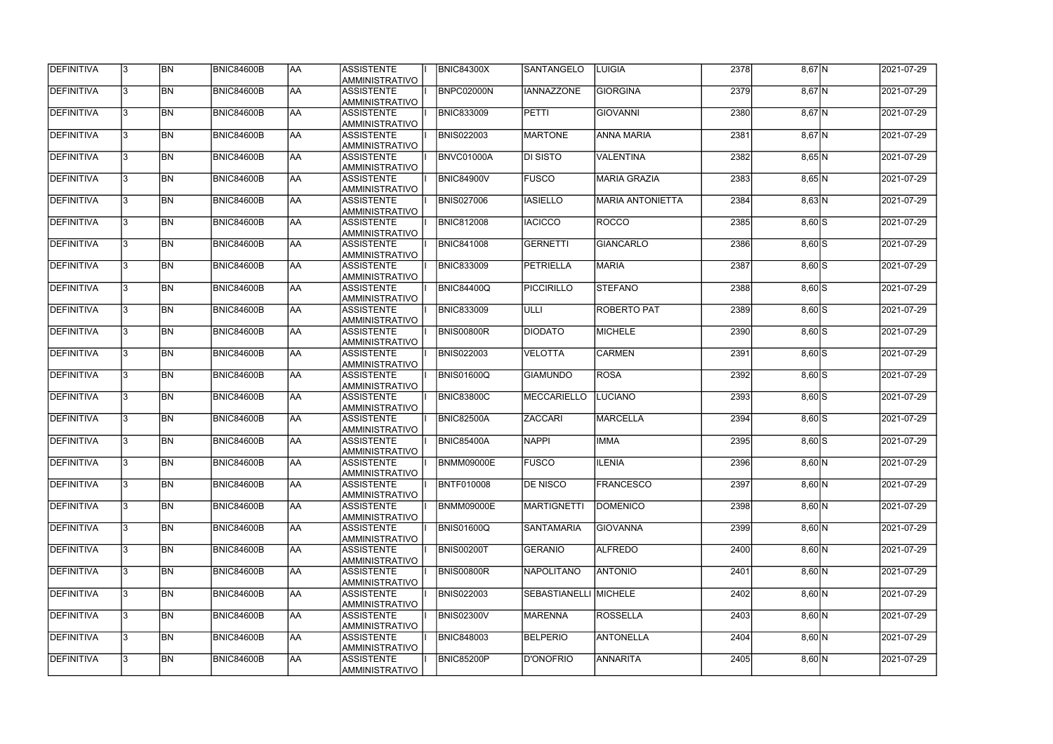| <b>DEFINITIVA</b> | IЗ | <b>BN</b> | <b>BNIC84600B</b> | laa             | ASSISTENTE<br>AMMINISTRATIVO         | <b>BNIC84300X</b> | ISANTANGELO                  | LUIGIA                  | 2378 | $8,67$ N      | 2021-07-29 |
|-------------------|----|-----------|-------------------|-----------------|--------------------------------------|-------------------|------------------------------|-------------------------|------|---------------|------------|
| DEFINITIVA        | З  | <b>BN</b> | <b>BNIC84600B</b> | AA              | <b>ASSISTENTE</b><br>AMMINISTRATIVO  | BNPC02000N        | <b>IANNAZZONE</b>            | <b>GIORGINA</b>         | 2379 | $8,67$ N      | 2021-07-29 |
| DEFINITIVA        |    | <b>BN</b> | BNIC84600B        | AA              | <b>ASSISTENTE</b><br>AMMINISTRATIVO  | <b>BNIC833009</b> | PETTI                        | <b>GIOVANNI</b>         | 2380 | $8,67$ N      | 2021-07-29 |
| <b>DEFINITIVA</b> |    | <b>BN</b> | BNIC84600B        | AA              | ASSISTENTE<br>AMMINISTRATIVO         | <b>BNIS022003</b> | <b>MARTONE</b>               | <b>ANNA MARIA</b>       | 2381 | $8,67$ N      | 2021-07-29 |
| DEFINITIVA        |    | <b>BN</b> | <b>BNIC84600B</b> | AA              | <b>ASSISTENTE</b><br>AMMINISTRATIVO  | BNVC01000A        | <b>DI SISTO</b>              | <b>VALENTINA</b>        | 2382 | $8,65$ N      | 2021-07-29 |
| <b>DEFINITIVA</b> |    | <b>BN</b> | BNIC84600B        | AA              | ASSISTENTE<br>AMMINISTRATIVO         | <b>BNIC84900V</b> | <b>FUSCO</b>                 | <b>MARIA GRAZIA</b>     | 2383 | $8,65$ N      | 2021-07-29 |
| <b>DEFINITIVA</b> |    | <b>BN</b> | <b>BNIC84600B</b> | AA              | <b>ASSISTENTE</b><br>AMMINISTRATIVO  | <b>BNIS027006</b> | <b>IASIELLO</b>              | <b>MARIA ANTONIETTA</b> | 2384 | 8,63 N        | 2021-07-29 |
| <b>DEFINITIVA</b> |    | <b>BN</b> | <b>BNIC84600B</b> | AA              | <b>ASSISTENTE</b><br>AMMINISTRATIVO  | <b>BNIC812008</b> | <b>IACICCO</b>               | <b>ROCCO</b>            | 2385 | $8,60$ S      | 2021-07-29 |
| <b>DEFINITIVA</b> |    | <b>BN</b> | <b>BNIC84600B</b> | AA              | <b>ASSISTENTE</b><br>AMMINISTRATIVO  | <b>BNIC841008</b> | <b>GERNETTI</b>              | <b>GIANCARLO</b>        | 2386 | $8,60$ S      | 2021-07-29 |
| <b>DEFINITIVA</b> |    | <b>BN</b> | <b>BNIC84600B</b> | AA              | <b>ASSISTENTE</b><br>Iamministrativo | <b>BNIC833009</b> | PETRIELLA                    | <b>MARIA</b>            | 2387 | $8,60$ S      | 2021-07-29 |
| DEFINITIVA        |    | <b>BN</b> | BNIC84600B        | AA              | <b>ASSISTENTE</b><br>AMMINISTRATIVO  | <b>BNIC84400Q</b> | PICCIRILLO                   | <b>STEFANO</b>          | 2388 | $8,60$ S      | 2021-07-29 |
| <b>DEFINITIVA</b> |    | <b>BN</b> | BNIC84600B        | AA              | ASSISTENTE<br>AMMINISTRATIVO         | <b>BNIC833009</b> | JULLI                        | <b>ROBERTO PAT</b>      | 2389 | $8,60$ S      | 2021-07-29 |
| <b>DEFINITIVA</b> |    | <b>BN</b> | <b>BNIC84600B</b> | AA              | <b>ASSISTENTE</b><br>AMMINISTRATIVO  | <b>BNIS00800R</b> | <b>DIODATO</b>               | <b>MICHELE</b>          | 2390 | $8,60$ S      | 2021-07-29 |
| DEFINITIVA        |    | <b>BN</b> | BNIC84600B        | AA              | <b>ASSISTENTE</b><br>AMMINISTRATIVO  | <b>BNIS022003</b> | <b>VELOTTA</b>               | <b>CARMEN</b>           | 2391 | $8,60$ S      | 2021-07-29 |
| <b>DEFINITIVA</b> |    | <b>BN</b> | BNIC84600B        | AA              | <b>ASSISTENTE</b><br>AMMINISTRATIVO  | <b>BNIS01600Q</b> | GIAMUNDO                     | <b>ROSA</b>             | 2392 | $8,60$ S      | 2021-07-29 |
| <b>DEFINITIVA</b> |    | <b>BN</b> | BNIC84600B        | AA              | <b>ASSISTENTE</b><br>AMMINISTRATIVO  | <b>BNIC83800C</b> | <b>MECCARIELLO</b>           | LUCIANO                 | 2393 | $8,60$ S      | 2021-07-29 |
| DEFINITIVA        |    | <b>BN</b> | <b>BNIC84600B</b> | AA              | <b>ASSISTENTE</b><br>AMMINISTRATIVO  | <b>BNIC82500A</b> | <b>ZACCARI</b>               | <b>MARCELLA</b>         | 2394 | $8,60$ S      | 2021-07-29 |
| DEFINITIVA        |    | <b>BN</b> | BNIC84600B        | AA              | <b>ASSISTENTE</b><br>AMMINISTRATIVO  | <b>BNIC85400A</b> | <b>NAPPI</b>                 | <b>IMMA</b>             | 2395 | $8,60$ S      | 2021-07-29 |
| <b>DEFINITIVA</b> | 13 | <b>BN</b> | <b>BNIC84600B</b> | laa             | <b>ASSISTENTE</b><br>AMMINISTRATIVO  | BNMM09000E        | <b>FUSCO</b>                 | <b>ILENIA</b>           | 2396 | 8,60 N        | 2021-07-29 |
| <b>DEFINITIVA</b> |    | <b>BN</b> | <b>BNIC84600B</b> | AA              | <b>ASSISTENTE</b><br>AMMINISTRATIVO  | <b>BNTF010008</b> | <b>DE NISCO</b>              | <b>FRANCESCO</b>        | 2397 | 8,60 N        | 2021-07-29 |
| <b>DEFINITIVA</b> |    | <b>BN</b> | <b>BNIC84600B</b> | AA              | ASSISTENTE<br>AMMINISTRATIVO         | <b>BNMM09000E</b> | <b>MARTIGNETTI</b>           | DOMENICO                | 2398 | $8,60\,N$     | 2021-07-29 |
| <b>DEFINITIVA</b> |    | <b>BN</b> | <b>BNIC84600B</b> | AA              | <b>ASSISTENTE</b><br>AMMINISTRATIVO  | <b>BNIS01600Q</b> | <b>SANTAMARIA</b>            | <b>GIOVANNA</b>         | 2399 | 8,60 N        | 2021-07-29 |
| <b>DEFINITIVA</b> |    | <b>BN</b> | <b>BNIC84600B</b> | AA              | <b>ASSISTENTE</b><br>AMMINISTRATIVO  | <b>BNIS00200T</b> | GERANIO                      | <b>ALFREDO</b>          | 2400 | 8,60 N        | 2021-07-29 |
| <b>DEFINITIVA</b> |    | <b>BN</b> | <b>BNIC84600B</b> | $\overline{AA}$ | <b>ASSISTENTE</b><br>AMMINISTRATIVO  | <b>BNIS00800R</b> | <b>NAPOLITANO</b>            | <b>ANTONIO</b>          | 2401 | 8,60 N        | 2021-07-29 |
| DEFINITIVA        |    | <b>BN</b> | <b>BNIC84600B</b> | AA              | <b>ASSISTENTE</b><br>AMMINISTRATIVO  | <b>BNIS022003</b> | <b>SEBASTIANELLI MICHELE</b> |                         | 2402 | 8,60 N        | 2021-07-29 |
| <b>DEFINITIVA</b> |    | <b>BN</b> | <b>BNIC84600B</b> | AA              | <b>ASSISTENTE</b><br>AMMINISTRATIVO  | <b>BNIS02300V</b> | <b>MARENNA</b>               | <b>ROSSELLA</b>         | 2403 | 8,60 N        | 2021-07-29 |
| <b>DEFINITIVA</b> |    | <b>BN</b> | <b>BNIC84600B</b> | AA              | ASSISTENTE<br>AMMINISTRATIVO         | <b>BNIC848003</b> | <b>BELPERIO</b>              | <b>ANTONELLA</b>        | 2404 | $8,60\vert N$ | 2021-07-29 |
| <b>DEFINITIVA</b> |    | <b>BN</b> | <b>BNIC84600B</b> | AA              | <b>ASSISTENTE</b><br>AMMINISTRATIVO  | <b>BNIC85200P</b> | D'ONOFRIO                    | <b>ANNARITA</b>         | 2405 | 8,60 N        | 2021-07-29 |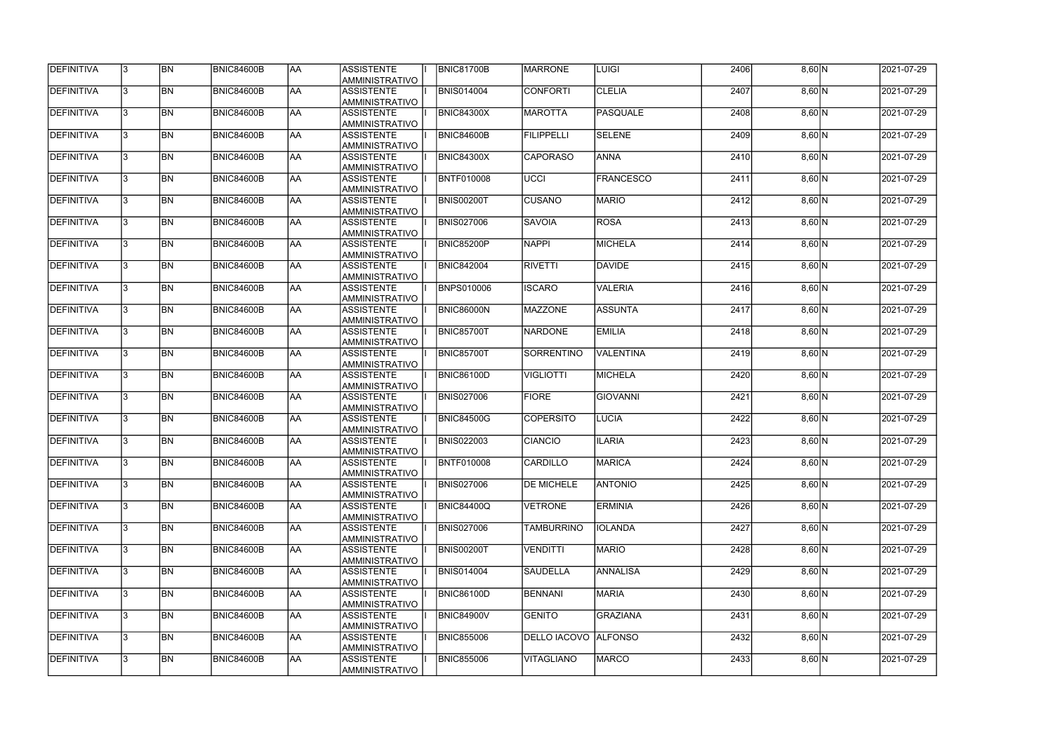| DEFINITIVA        | 13. | <b>BN</b> | <b>BNIC84600B</b> | AA        | <b>ASSISTENTE</b><br>AMMINISTRATIVO        | <b>BNIC81700B</b> | MARRONE              | LUIGI            | 2406 | 8,60 N    | 2021-07-29 |
|-------------------|-----|-----------|-------------------|-----------|--------------------------------------------|-------------------|----------------------|------------------|------|-----------|------------|
| <b>DEFINITIVA</b> | 13. | <b>BN</b> | <b>BNIC84600B</b> | laa       | <b>ASSISTENTE</b><br>AMMINISTRATIVO        | <b>BNIS014004</b> | <b>CONFORTI</b>      | <b>CLELIA</b>    | 2407 | 8,60 N    | 2021-07-29 |
| DEFINITIVA        | l3. | <b>BN</b> | <b>BNIC84600B</b> | AA        | <b>ASSISTENTE</b><br>AMMINISTRATIVO        | <b>BNIC84300X</b> | <b>MAROTTA</b>       | <b>PASQUALE</b>  | 2408 | $8,60\,N$ | 2021-07-29 |
| <b>DEFINITIVA</b> | l3. | <b>BN</b> | BNIC84600B        | <b>AA</b> | <b>ASSISTENTE</b><br>AMMINISTRATIVO        | BNIC84600B        | FILIPPELLI           | <b>SELENE</b>    | 2409 | 8,60 N    | 2021-07-29 |
| DEFINITIVA        | l3. | <b>BN</b> | <b>BNIC84600B</b> | laa       | <b>ASSISTENTE</b><br>AMMINISTRATIVO        | BNIC84300X        | <b>CAPORASO</b>      | <b>ANNA</b>      | 2410 | $8,60$ N  | 2021-07-29 |
| DEFINITIVA        | l3  | <b>BN</b> | <b>BNIC84600B</b> | laa       | <b>ASSISTENTE</b><br>AMMINISTRATIVO        | <b>BNTF010008</b> | UCCI                 | <b>FRANCESCO</b> | 2411 | $8,60\,N$ | 2021-07-29 |
| DEFINITIVA        |     | <b>BN</b> | <b>BNIC84600B</b> | laa       | <b>ASSISTENTE</b><br><b>AMMINISTRATIVO</b> | <b>BNIS00200T</b> | <b>CUSANO</b>        | <b>MARIO</b>     | 2412 | $8,60\,N$ | 2021-07-29 |
| DEFINITIVA        |     | <b>BN</b> | BNIC84600B        | laa       | <b>ASSISTENTE</b><br>AMMINISTRATIVO        | <b>BNIS027006</b> | <b>SAVOIA</b>        | <b>ROSA</b>      | 2413 | $8,60\,N$ | 2021-07-29 |
| DEFINITIVA        | l3. | <b>BN</b> | <b>BNIC84600B</b> | AA        | <b>ASSISTENTE</b><br>AMMINISTRATIVO        | <b>BNIC85200P</b> | <b>NAPPI</b>         | <b>MICHELA</b>   | 2414 | 8,60 N    | 2021-07-29 |
| DEFINITIVA        | l3. | <b>BN</b> | <b>BNIC84600B</b> | laa       | <b>ASSISTENTE</b><br>AMMINISTRATIVO        | <b>BNIC842004</b> | <b>RIVETTI</b>       | <b>DAVIDE</b>    | 2415 | $8,60\,N$ | 2021-07-29 |
| DEFINITIVA        | l3  | <b>BN</b> | <b>BNIC84600B</b> | AA        | <b>ASSISTENTE</b><br>AMMINISTRATIVO        | <b>BNPS010006</b> | <b>ISCARO</b>        | <b>VALERIA</b>   | 2416 | 8,60 N    | 2021-07-29 |
| <b>DEFINITIVA</b> | 3   | <b>BN</b> | <b>BNIC84600B</b> | <b>AA</b> | <b>ASSISTENTE</b><br>AMMINISTRATIVO        | <b>BNIC86000N</b> | MAZZONE              | <b>ASSUNTA</b>   | 2417 | 8,60 N    | 2021-07-29 |
| DEFINITIVA        | l3. | <b>BN</b> | <b>BNIC84600B</b> | laa       | <b>ASSISTENTE</b><br>AMMINISTRATIVO        | <b>BNIC85700T</b> | <b>NARDONE</b>       | <b>EMILIA</b>    | 2418 | 8,60 N    | 2021-07-29 |
| DEFINITIVA        | 3   | <b>BN</b> | <b>BNIC84600B</b> | laa       | <b>ASSISTENTE</b><br>AMMINISTRATIVO        | BNIC85700T        | SORRENTINO           | <b>VALENTINA</b> | 2419 | $8,60\,N$ | 2021-07-29 |
| DEFINITIVA        |     | <b>BN</b> | <b>BNIC84600B</b> | laa       | <b>ASSISTENTE</b><br><b>AMMINISTRATIVO</b> | <b>BNIC86100D</b> | <b>VIGLIOTTI</b>     | <b>MICHELA</b>   | 2420 | $8,60\,N$ | 2021-07-29 |
| DEFINITIVA        | 3   | <b>BN</b> | <b>BNIC84600B</b> | laa       | <b>ASSISTENTE</b><br>AMMINISTRATIVO        | <b>BNIS027006</b> | <b>FIORE</b>         | <b>GIOVANNI</b>  | 2421 | $8,60\,N$ | 2021-07-29 |
| DEFINITIVA        | l3. | <b>BN</b> | <b>BNIC84600B</b> | laa       | <b>ASSISTENTE</b><br>AMMINISTRATIVO        | <b>BNIC84500G</b> | <b>COPERSITO</b>     | LUCIA            | 2422 | 8,60 N    | 2021-07-29 |
| DEFINITIVA        | 3   | <b>BN</b> | <b>BNIC84600B</b> | AA        | <b>ASSISTENTE</b><br>AMMINISTRATIVO        | <b>BNIS022003</b> | <b>CIANCIO</b>       | LARIA            | 2423 | 8,60 N    | 2021-07-29 |
| DEFINITIVA        | 13  | <b>BN</b> | <b>BNIC84600B</b> | <b>AA</b> | <b>ASSISTENTE</b><br>AMMINISTRATIVO        | <b>BNTF010008</b> | <b>CARDILLO</b>      | MARICA           | 2424 | 8,60 N    | 2021-07-29 |
| <b>DEFINITIVA</b> | I3. | <b>BN</b> | <b>BNIC84600B</b> | AA        | <b>ASSISTENTE</b><br>AMMINISTRATIVO        | <b>BNIS027006</b> | <b>DE MICHELE</b>    | <b>ANTONIO</b>   | 2425 | 8,60 N    | 2021-07-29 |
| DEFINITIVA        | 13. | <b>BN</b> | <b>BNIC84600B</b> | AA        | <b>ASSISTENTE</b><br>AMMINISTRATIVO        | BNIC84400Q        | <b>VETRONE</b>       | <b>ERMINIA</b>   | 2426 | 8,60 N    | 2021-07-29 |
| DEFINITIVA        | 3   | <b>BN</b> | <b>BNIC84600B</b> | laa       | <b>ASSISTENTE</b><br>AMMINISTRATIVO        | <b>BNIS027006</b> | <b>TAMBURRINO</b>    | <b>IOLANDA</b>   | 2427 | 8,60 N    | 2021-07-29 |
| DEFINITIVA        |     | <b>BN</b> | <b>BNIC84600B</b> | AA        | <b>ASSISTENTE</b><br>AMMINISTRATIVO        | <b>BNIS00200T</b> | <b>VENDITTI</b>      | <b>MARIO</b>     | 2428 | 8,60 N    | 2021-07-29 |
| DEFINITIVA        |     | <b>BN</b> | <b>BNIC84600B</b> | AA        | <b>ASSISTENTE</b><br>AMMINISTRATIVO        | <b>BNIS014004</b> | <b>SAUDELLA</b>      | <b>ANNALISA</b>  | 2429 | 8,60 N    | 2021-07-29 |
| DEFINITIVA        | I3. | <b>BN</b> | BNIC84600B        | laa       | <b>ASSISTENTE</b><br>AMMINISTRATIVO        | <b>BNIC86100D</b> | BENNANI              | <b>MARIA</b>     | 2430 | 8,60 N    | 2021-07-29 |
| DEFINITIVA        | 13. | <b>BN</b> | <b>BNIC84600B</b> | AA        | <b>ASSISTENTE</b><br>AMMINISTRATIVO        | <b>BNIC84900V</b> | <b>GENITO</b>        | <b>GRAZIANA</b>  | 2431 | 8,60 N    | 2021-07-29 |
| DEFINITIVA        | 13. | <b>BN</b> | <b>BNIC84600B</b> | AA        | <b>ASSISTENTE</b><br>AMMINISTRATIVO        | <b>BNIC855006</b> | DELLO IACOVO ALFONSO |                  | 2432 | $8,60\,N$ | 2021-07-29 |
| DEFINITIVA        |     | <b>BN</b> | <b>BNIC84600B</b> | AA        | <b>ASSISTENTE</b><br>AMMINISTRATIVO        | <b>BNIC855006</b> | VITAGLIANO           | <b>MARCO</b>     | 2433 | 8,60 N    | 2021-07-29 |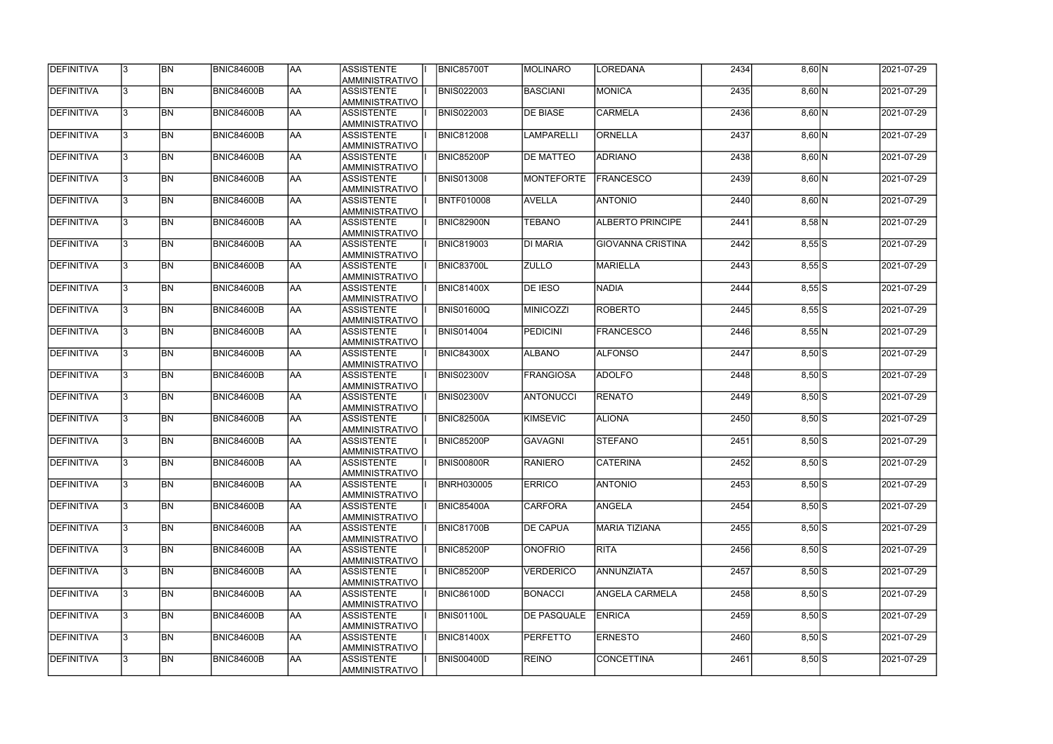| DEFINITIVA        | 13. | <b>BN</b> | <b>BNIC84600B</b> | AA        | <b>ASSISTENTE</b><br>AMMINISTRATIVO        | <b>BNIC85700T</b> | MOLINARO           | LOREDANA                 | 2434 | 8,60 N    | 2021-07-29 |
|-------------------|-----|-----------|-------------------|-----------|--------------------------------------------|-------------------|--------------------|--------------------------|------|-----------|------------|
| <b>DEFINITIVA</b> | 13. | <b>BN</b> | <b>BNIC84600B</b> | laa       | <b>ASSISTENTE</b><br>AMMINISTRATIVO        | <b>BNIS022003</b> | BASCIANI           | <b>MONICA</b>            | 2435 | $8,60\,N$ | 2021-07-29 |
| DEFINITIVA        | l3. | <b>BN</b> | <b>BNIC84600B</b> | AA        | <b>ASSISTENTE</b><br>AMMINISTRATIVO        | <b>BNIS022003</b> | <b>DE BIASE</b>    | <b>CARMELA</b>           | 2436 | $8,60\,N$ | 2021-07-29 |
| <b>DEFINITIVA</b> | l3. | <b>BN</b> | BNIC84600B        | <b>AA</b> | <b>ASSISTENTE</b><br>AMMINISTRATIVO        | <b>BNIC812008</b> | <b>LAMPARELLI</b>  | <b>ORNELLA</b>           | 2437 | $8,60$ N  | 2021-07-29 |
| DEFINITIVA        | l3. | <b>BN</b> | <b>BNIC84600B</b> | laa       | <b>ASSISTENTE</b><br>AMMINISTRATIVO        | BNIC85200P        | <b>DE MATTEO</b>   | <b>ADRIANO</b>           | 2438 | $8,60$ N  | 2021-07-29 |
| DEFINITIVA        | l3  | <b>BN</b> | <b>BNIC84600B</b> | laa       | <b>ASSISTENTE</b><br>AMMINISTRATIVO        | <b>BNIS013008</b> | <b>MONTEFORTE</b>  | <b>FRANCESCO</b>         | 2439 | 8,60 N    | 2021-07-29 |
| DEFINITIVA        |     | <b>BN</b> | <b>BNIC84600B</b> | laa       | <b>ASSISTENTE</b><br><b>AMMINISTRATIVO</b> | <b>BNTF010008</b> | <b>AVELLA</b>      | <b>ANTONIO</b>           | 2440 | $8,60\,N$ | 2021-07-29 |
| DEFINITIVA        |     | <b>BN</b> | <b>BNIC84600B</b> | laa       | <b>ASSISTENTE</b><br>AMMINISTRATIVO        | BNIC82900N        | <b>TEBANO</b>      | <b>ALBERTO PRINCIPE</b>  | 2441 | $8,58$ N  | 2021-07-29 |
| DEFINITIVA        |     | <b>BN</b> | <b>BNIC84600B</b> | AA        | <b>ASSISTENTE</b><br>AMMINISTRATIVO        | <b>BNIC819003</b> | <b>DI MARIA</b>    | <b>GIOVANNA CRISTINA</b> | 2442 | $8,55$ S  | 2021-07-29 |
| DEFINITIVA        | l3. | <b>BN</b> | <b>BNIC84600B</b> | laa       | <b>ASSISTENTE</b><br>AMMINISTRATIVO        | BNIC83700L        | <b>ZULLO</b>       | <b>MARIELLA</b>          | 2443 | $8,55$ S  | 2021-07-29 |
| DEFINITIVA        | l3. | <b>BN</b> | <b>BNIC84600B</b> | AA        | <b>ASSISTENTE</b><br>AMMINISTRATIVO        | <b>BNIC81400X</b> | <b>DE IESO</b>     | <b>NADIA</b>             | 2444 | $8,55$ S  | 2021-07-29 |
| DEFINITIVA        | 3   | <b>BN</b> | <b>BNIC84600B</b> | <b>AA</b> | <b>ASSISTENTE</b><br>AMMINISTRATIVO        | BNIS01600Q        | <b>MINICOZZI</b>   | <b>ROBERTO</b>           | 2445 | $8,55$ S  | 2021-07-29 |
| DEFINITIVA        | l3. | <b>BN</b> | <b>BNIC84600B</b> | laa       | <b>ASSISTENTE</b><br>AMMINISTRATIVO        | <b>BNIS014004</b> | <b>PEDICINI</b>    | <b>FRANCESCO</b>         | 2446 | $8,55$ N  | 2021-07-29 |
| DEFINITIVA        | 3   | <b>BN</b> | <b>BNIC84600B</b> | laa       | <b>ASSISTENTE</b><br>AMMINISTRATIVO        | <b>BNIC84300X</b> | <b>ALBANO</b>      | <b>ALFONSO</b>           | 2447 | $8,50$ S  | 2021-07-29 |
| DEFINITIVA        | 3   | <b>BN</b> | <b>BNIC84600B</b> | laa       | <b>ASSISTENTE</b><br><b>AMMINISTRATIVO</b> | <b>BNIS02300V</b> | <b>FRANGIOSA</b>   | <b>ADOLFO</b>            | 2448 | $8,50$ S  | 2021-07-29 |
| DEFINITIVA        | 3   | <b>BN</b> | <b>BNIC84600B</b> | laa       | <b>ASSISTENTE</b><br>AMMINISTRATIVO        | <b>BNIS02300V</b> | <b>ANTONUCCI</b>   | <b>RENATO</b>            | 2449 | $8,50$ S  | 2021-07-29 |
| DEFINITIVA        | l3. | <b>BN</b> | <b>BNIC84600B</b> | laa       | <b>ASSISTENTE</b><br>AMMINISTRATIVO        | <b>BNIC82500A</b> | <b>KIMSEVIC</b>    | <b>ALIONA</b>            | 2450 | $8,50$ S  | 2021-07-29 |
| DEFINITIVA        | 3   | <b>BN</b> | <b>BNIC84600B</b> | AA        | <b>ASSISTENTE</b><br>AMMINISTRATIVO        | <b>BNIC85200P</b> | <b>GAVAGNI</b>     | <b>STEFANO</b>           | 2451 | $8,50$ S  | 2021-07-29 |
| DEFINITIVA        | 13  | <b>BN</b> | <b>BNIC84600B</b> | <b>AA</b> | <b>ASSISTENTE</b><br>AMMINISTRATIVO        | <b>BNIS00800R</b> | <b>RANIERO</b>     | <b>CATERINA</b>          | 2452 | $8,50$ S  | 2021-07-29 |
| <b>DEFINITIVA</b> | l3. | <b>BN</b> | <b>BNIC84600B</b> | AA        | <b>ASSISTENTE</b><br>AMMINISTRATIVO        | <b>BNRH030005</b> | <b>ERRICO</b>      | <b>ANTONIO</b>           | 2453 | $8,50$ S  | 2021-07-29 |
| DEFINITIVA        | 13. | <b>BN</b> | <b>BNIC84600B</b> | AA        | <b>ASSISTENTE</b><br>AMMINISTRATIVO        | <b>BNIC85400A</b> | <b>CARFORA</b>     | ANGELA                   | 2454 | $8,50$ S  | 2021-07-29 |
| DEFINITIVA        | 3   | <b>BN</b> | <b>BNIC84600B</b> | laa       | <b>ASSISTENTE</b><br>AMMINISTRATIVO        | <b>BNIC81700B</b> | <b>DE CAPUA</b>    | <b>MARIA TIZIANA</b>     | 2455 | $8,50$ S  | 2021-07-29 |
| DEFINITIVA        |     | <b>BN</b> | <b>BNIC84600B</b> | AA        | <b>ASSISTENTE</b><br>AMMINISTRATIVO        | BNIC85200P        | <b>ONOFRIO</b>     | RITA                     | 2456 | $8,50$ S  | 2021-07-29 |
| DEFINITIVA        |     | <b>BN</b> | <b>BNIC84600B</b> | AA        | <b>ASSISTENTE</b><br>AMMINISTRATIVO        | <b>BNIC85200P</b> | <b>VERDERICO</b>   | ANNUNZIATA               | 2457 | $8,50$ S  | 2021-07-29 |
| DEFINITIVA        | I3. | <b>BN</b> | BNIC84600B        | laa       | <b>ASSISTENTE</b><br>AMMINISTRATIVO        | <b>BNIC86100D</b> | BONACCI            | <b>ANGELA CARMELA</b>    | 2458 | $8,50$ S  | 2021-07-29 |
| DEFINITIVA        | 13. | <b>BN</b> | <b>BNIC84600B</b> | AA        | <b>ASSISTENTE</b><br>AMMINISTRATIVO        | <b>BNIS01100L</b> | <b>DE PASQUALE</b> | <b>ENRICA</b>            | 2459 | $8,50$ S  | 2021-07-29 |
| DEFINITIVA        | 13. | <b>BN</b> | <b>BNIC84600B</b> | AA        | <b>ASSISTENTE</b><br>AMMINISTRATIVO        | <b>BNIC81400X</b> | <b>PERFETTO</b>    | <b>ERNESTO</b>           | 2460 | $8,50$ S  | 2021-07-29 |
| DEFINITIVA        |     | <b>BN</b> | <b>BNIC84600B</b> | AA        | <b>ASSISTENTE</b><br>AMMINISTRATIVO        | <b>BNIS00400D</b> | <b>REINO</b>       | <b>CONCETTINA</b>        | 2461 | $8,50$ S  | 2021-07-29 |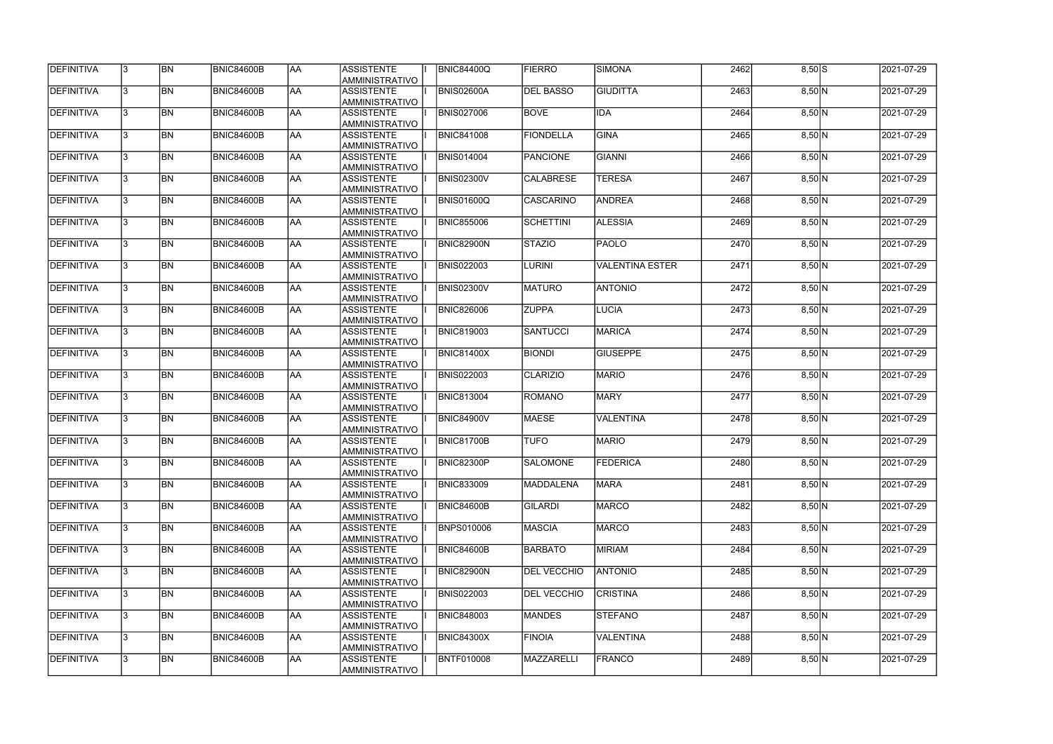| DEFINITIVA        |   | <b>BN</b>      | <b>BNIC84600B</b> | AA              | ASSISTENTE<br>AMMINISTRATIVO         | <b>BNIC84400Q</b> | <b>FIERRO</b>      | <b>SIMONA</b>          | 2462 | $8,50$ S | 2021-07-29 |
|-------------------|---|----------------|-------------------|-----------------|--------------------------------------|-------------------|--------------------|------------------------|------|----------|------------|
| <b>DEFINITIVA</b> | 3 | <b>BN</b>      | <b>BNIC84600B</b> | AA              | <b>ASSISTENTE</b><br>AMMINISTRATIVO  | <b>BNIS02600A</b> | <b>DEL BASSO</b>   | <b>GIUDITTA</b>        | 2463 | 8,50 N   | 2021-07-29 |
| DEFINITIVA        |   | <b>BN</b>      | <b>BNIC84600B</b> | AA              | <b>ASSISTENTE</b><br>AMMINISTRATIVO  | <b>BNIS027006</b> | <b>BOVE</b>        | <b>IDA</b>             | 2464 | $8,50$ N | 2021-07-29 |
| DEFINITIVA        |   | <b>BN</b>      | BNIC84600B        | AA              | <b>ASSISTENTE</b><br>AMMINISTRATIVO  | <b>BNIC841008</b> | <b>FIONDELLA</b>   | <b>GINA</b>            | 2465 | 8,50 N   | 2021-07-29 |
| <b>DEFINITIVA</b> |   | <b>BN</b>      | BNIC84600B        | AA              | <b>ASSISTENTE</b><br>AMMINISTRATIVO  | <b>BNIS014004</b> | <b>PANCIONE</b>    | <b>GIANNI</b>          | 2466 | 8,50 N   | 2021-07-29 |
| DEFINITIVA        |   | <b>BN</b>      | <b>BNIC84600B</b> | AA              | ASSISTENTE<br>AMMINISTRATIVO         | <b>BNIS02300V</b> | <b>CALABRESE</b>   | <b>TERESA</b>          | 2467 | 8,50 N   | 2021-07-29 |
| DEFINITIVA        |   | <b>BN</b>      | <b>BNIC84600B</b> | AA              | <b>ASSISTENTE</b><br>AMMINISTRATIVO  | <b>BNIS01600Q</b> | <b>CASCARINO</b>   | <b>ANDREA</b>          | 2468 | 8,50 N   | 2021-07-29 |
| <b>DEFINITIVA</b> |   | <b>BN</b>      | <b>BNIC84600B</b> | AA              | <b>ASSISTENTE</b><br>AMMINISTRATIVO  | <b>BNIC855006</b> | <b>SCHETTINI</b>   | <b>ALESSIA</b>         | 2469 | 8,50 N   | 2021-07-29 |
| DEFINITIVA        |   | <b>BN</b>      | <b>BNIC84600B</b> | AA              | <b>ASSISTENTE</b><br>AMMINISTRATIVO  | <b>BNIC82900N</b> | <b>STAZIO</b>      | <b>PAOLO</b>           | 2470 | 8,50 N   | 2021-07-29 |
| DEFINITIVA        |   | <b>BN</b>      | <b>BNIC84600B</b> | AA              | <b>ASSISTENTE</b><br>AMMINISTRATIVO  | <b>BNIS022003</b> | <b>LURINI</b>      | <b>VALENTINA ESTER</b> | 2471 | 8,50 N   | 2021-07-29 |
| <b>DEFINITIVA</b> |   | <b>BN</b>      | <b>BNIC84600B</b> | AA              | <b>ASSISTENTE</b><br>AMMINISTRATIVO  | <b>BNIS02300V</b> | IMATURO            | <b>ANTONIO</b>         | 2472 | 8,50 N   | 2021-07-29 |
| <b>DEFINITIVA</b> |   | <b>BN</b>      | BNIC84600B        | AA              | <b>ASSISTENTE</b><br>AMMINISTRATIVO  | <b>BNIC826006</b> | <b>ZUPPA</b>       | <b>LUCIA</b>           | 2473 | 8,50 N   | 2021-07-29 |
| DEFINITIVA        |   | <b>BN</b>      | <b>BNIC84600B</b> | $\overline{AA}$ | <b>ASSISTENTE</b><br>AMMINISTRATIVO  | <b>BNIC819003</b> | <b>SANTUCCI</b>    | <b>MARICA</b>          | 2474 | 8,50 N   | 2021-07-29 |
| <b>DEFINITIVA</b> |   | <b>BN</b>      | <b>BNIC84600B</b> | AA              | <b>ASSISTENTE</b><br>AMMINISTRATIVO  | <b>BNIC81400X</b> | <b>BIONDI</b>      | <b>GIUSEPPE</b>        | 2475 | 8,50 N   | 2021-07-29 |
| <b>DEFINITIVA</b> |   | <b>BN</b>      | <b>BNIC84600B</b> | AA              | <b>ASSISTENTE</b><br>AMMINISTRATIVO  | <b>BNIS022003</b> | <b>CLARIZIO</b>    | <b>MARIO</b>           | 2476 | 8,50 N   | 2021-07-29 |
| <b>DEFINITIVA</b> |   | <b>BN</b>      | <b>BNIC84600B</b> | AA              | <b>ASSISTENTE</b><br>AMMINISTRATIVO  | <b>BNIC813004</b> | <b>ROMANO</b>      | <b>MARY</b>            | 2477 | 8,50 N   | 2021-07-29 |
| <b>DEFINITIVA</b> |   | <b>BN</b>      | <b>BNIC84600B</b> | AA              | <b>ASSISTENTE</b><br>AMMINISTRATIVO  | <b>BNIC84900V</b> | MAESE              | <b>VALENTINA</b>       | 2478 | 8,50 N   | 2021-07-29 |
| DEFINITIVA        |   | <b>BN</b>      | BNIC84600B        | AA              | <b>ASSISTENTE</b><br>AMMINISTRATIVO  | <b>BNIC81700B</b> | <b>TUFO</b>        | <b>MARIO</b>           | 2479 | 8,50 N   | 2021-07-29 |
| <b>DEFINITIVA</b> |   | <b>BN</b>      | <b>BNIC84600B</b> | AA              | <b>ASSISTENTE</b><br>IAMMINISTRATIVO | <b>BNIC82300P</b> | <b>SALOMONE</b>    | <b>FEDERICA</b>        | 2480 | 8,50 N   | 2021-07-29 |
| <b>DEFINITIVA</b> |   | <b>BN</b>      | BNIC84600B        | AA              | <b>ASSISTENTE</b><br>AMMINISTRATIVO  | <b>BNIC833009</b> | MADDALENA          | <b>MARA</b>            | 2481 | 8,50 N   | 2021-07-29 |
| DEFINITIVA        |   | <b>BN</b>      | <b>BNIC84600B</b> | AA              | ASSISTENTE<br>AMMINISTRATIVO         | <b>BNIC84600B</b> | GILARDI            | <b>MARCO</b>           | 2482 | 8,50 N   | 2021-07-29 |
| <b>DEFINITIVA</b> |   | <b>BN</b>      | <b>BNIC84600B</b> | AA              | ASSISTENTE<br>AMMINISTRATIVO         | <b>BNPS010006</b> | <b>MASCIA</b>      | <b>MARCO</b>           | 2483 | 8,50 N   | 2021-07-29 |
| <b>DEFINITIVA</b> |   | <b>BN</b>      | <b>BNIC84600B</b> | AA              | ASSISTENTE<br>AMMINISTRATIVO         | <b>BNIC84600B</b> | <b>BARBATO</b>     | <b>MIRIAM</b>          | 2484 | 8,50 N   | 2021-07-29 |
| <b>DEFINITIVA</b> |   | <b>BN</b>      | <b>BNIC84600B</b> | AA              | <b>ASSISTENTE</b><br>AMMINISTRATIVO  | <b>BNIC82900N</b> | <b>DEL VECCHIO</b> | <b>ANTONIO</b>         | 2485 | 8,50 N   | 2021-07-29 |
| DEFINITIVA        |   | <b>BN</b>      | <b>BNIC84600B</b> | AA              | <b>ASSISTENTE</b><br>AMMINISTRATIVO  | <b>BNIS022003</b> | <b>DEL VECCHIO</b> | <b>CRISTINA</b>        | 2486 | 8,50 N   | 2021-07-29 |
| DEFINITIVA        |   | BN <sub></sub> | <b>BNIC84600B</b> | AA              | <b>ASSISTENTE</b><br>AMMINISTRATIVO  | <b>BNIC848003</b> | <b>MANDES</b>      | <b>STEFANO</b>         | 2487 | 8,50 N   | 2021-07-29 |
| <b>DEFINITIVA</b> |   | <b>BN</b>      | <b>BNIC84600B</b> | AA              | <b>ASSISTENTE</b><br>AMMINISTRATIVO  | <b>BNIC84300X</b> | <b>FINOIA</b>      | <b>VALENTINA</b>       | 2488 | 8,50 N   | 2021-07-29 |
| <b>DEFINITIVA</b> |   | BN <sub></sub> | <b>BNIC84600B</b> | AA              | ASSISTENTE<br>AMMINISTRATIVO         | <b>BNTF010008</b> | MAZZARELLI         | <b>FRANCO</b>          | 2489 | 8,50 N   | 2021-07-29 |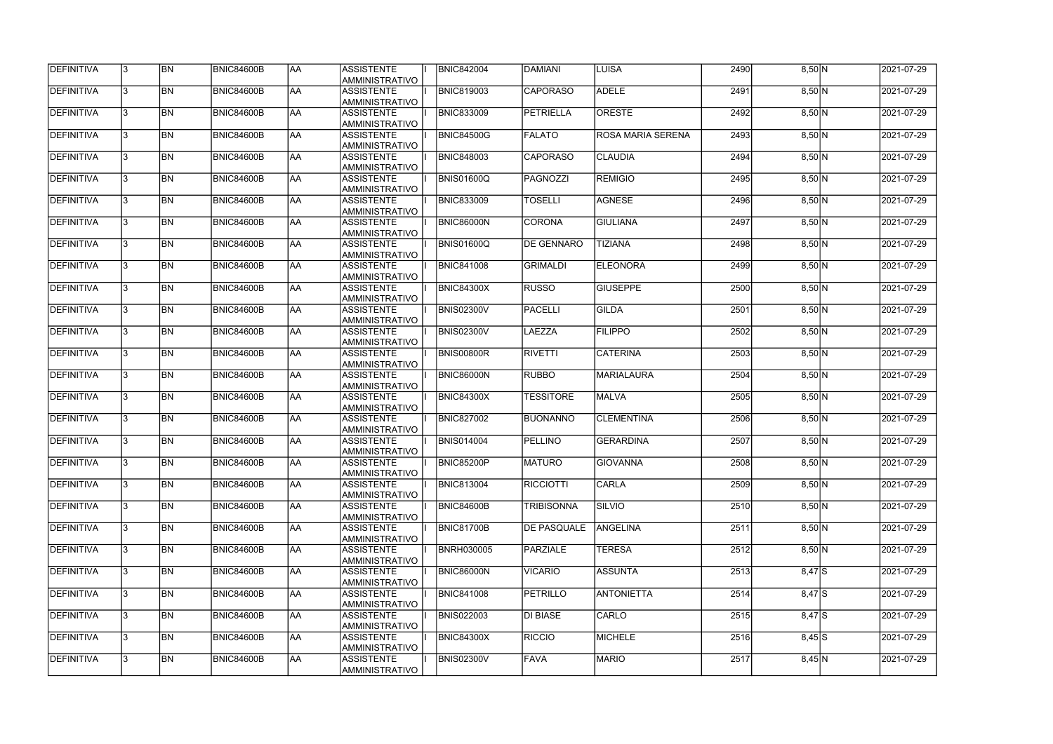| DEFINITIVA        | 13.          | <b>BN</b> | <b>BNIC84600B</b> | AA        | <b>ASSISTENTE</b><br>AMMINISTRATIVO        | <b>BNIC842004</b> | DAMIANI            | <b>LUISA</b>      | 2490 | 8,50 N    | 2021-07-29 |
|-------------------|--------------|-----------|-------------------|-----------|--------------------------------------------|-------------------|--------------------|-------------------|------|-----------|------------|
| <b>DEFINITIVA</b> | l3.          | <b>BN</b> | BNIC84600B        | AA        | <b>ASSISTENTE</b><br>AMMINISTRATIVO        | <b>BNIC819003</b> | <b>CAPORASO</b>    | <b>ADELE</b>      | 2491 | 8,50 N    | 2021-07-29 |
| DEFINITIVA        |              | <b>BN</b> | <b>BNIC84600B</b> | <b>AA</b> | <b>ASSISTENTE</b><br>AMMINISTRATIVO        | <b>BNIC833009</b> | PETRIELLA          | <b>ORESTE</b>     | 2492 | 8,50 N    | 2021-07-29 |
| <b>DEFINITIVA</b> | $\mathbf{3}$ | <b>BN</b> | BNIC84600B        | <b>AA</b> | <b>ASSISTENTE</b><br>AMMINISTRATIVO        | <b>BNIC84500G</b> | <b>FALATO</b>      | ROSA MARIA SERENA | 2493 | 8,50 N    | 2021-07-29 |
| <b>DEFINITIVA</b> |              | <b>BN</b> | BNIC84600B        | <b>AA</b> | <b>ASSISTENTE</b><br>AMMINISTRATIVO        | <b>BNIC848003</b> | <b>CAPORASO</b>    | <b>CLAUDIA</b>    | 2494 | 8,50 N    | 2021-07-29 |
| DEFINITIVA        |              | <b>BN</b> | BNIC84600B        | laa       | <b>ASSISTENTE</b><br><b>AMMINISTRATIVO</b> | <b>BNIS01600Q</b> | PAGNOZZI           | <b>REMIGIO</b>    | 2495 | 8,50 N    | 2021-07-29 |
| DEFINITIVA        |              | <b>BN</b> | <b>BNIC84600B</b> | <b>AA</b> | <b>ASSISTENTE</b><br><b>AMMINISTRATIVO</b> | <b>BNIC833009</b> | <b>TOSELLI</b>     | <b>AGNESE</b>     | 2496 | 8,50 N    | 2021-07-29 |
| DEFINITIVA        |              | <b>BN</b> | BNIC84600B        | AA        | <b>ASSISTENTE</b><br>AMMINISTRATIVO        | <b>BNIC86000N</b> | <b>CORONA</b>      | <b>GIULIANA</b>   | 2497 | 8,50 N    | 2021-07-29 |
| DEFINITIVA        |              | <b>BN</b> | <b>BNIC84600B</b> | <b>AA</b> | <b>ASSISTENTE</b><br>AMMINISTRATIVO        | <b>BNIS01600Q</b> | <b>DE GENNARO</b>  | <b>TIZIANA</b>    | 2498 | 8,50 N    | 2021-07-29 |
| DEFINITIVA        |              | <b>BN</b> | BNIC84600B        | <b>AA</b> | <b>ASSISTENTE</b><br>AMMINISTRATIVO        | <b>BNIC841008</b> | GRIMALDI           | <b>ELEONORA</b>   | 2499 | 8,50 N    | 2021-07-29 |
| DEFINITIVA        |              | <b>BN</b> | <b>BNIC84600B</b> | <b>AA</b> | <b>ASSISTENTE</b><br>AMMINISTRATIVO        | <b>BNIC84300X</b> | <b>RUSSO</b>       | <b>GIUSEPPE</b>   | 2500 | 8,50 N    | 2021-07-29 |
| DEFINITIVA        |              | <b>BN</b> | BNIC84600B        | <b>AA</b> | <b>ASSISTENTE</b><br>AMMINISTRATIVO        | <b>BNIS02300V</b> | <b>PACELLI</b>     | <b>GILDA</b>      | 2501 | 8,50 N    | 2021-07-29 |
| DEFINITIVA        |              | <b>BN</b> | <b>BNIC84600B</b> | <b>AA</b> | <b>ASSISTENTE</b><br>AMMINISTRATIVO        | <b>BNIS02300V</b> | LAEZZA             | <b>FILIPPO</b>    | 2502 | 8,50 N    | 2021-07-29 |
| DEFINITIVA        |              | <b>BN</b> | <b>BNIC84600B</b> | <b>AA</b> | <b>ASSISTENTE</b><br><b>AMMINISTRATIVO</b> | <b>BNIS00800R</b> | <b>RIVETTI</b>     | <b>CATERINA</b>   | 2503 | 8,50 N    | 2021-07-29 |
| DEFINITIVA        |              | <b>BN</b> | <b>BNIC84600B</b> | <b>AA</b> | <b>ASSISTENTE</b><br><b>AMMINISTRATIVO</b> | <b>BNIC86000N</b> | <b>RUBBO</b>       | <b>MARIALAURA</b> | 2504 | 8,50 N    | 2021-07-29 |
| DEFINITIVA        |              | <b>BN</b> | <b>BNIC84600B</b> | laa       | <b>ASSISTENTE</b><br>AMMINISTRATIVO        | <b>BNIC84300X</b> | <b>TESSITORE</b>   | <b>MALVA</b>      | 2505 | $8,50\,N$ | 2021-07-29 |
| DEFINITIVA        | 3            | <b>BN</b> | BNIC84600B        | laa       | <b>ASSISTENTE</b><br>AMMINISTRATIVO        | <b>BNIC827002</b> | BUONANNO           | <b>CLEMENTINA</b> | 2506 | 8,50 N    | 2021-07-29 |
| DEFINITIVA        |              | <b>BN</b> | <b>BNIC84600B</b> | <b>AA</b> | <b>ASSISTENTE</b><br>AMMINISTRATIVO        | <b>BNIS014004</b> | PELLINO            | <b>GERARDINA</b>  | 2507 | 8,50 N    | 2021-07-29 |
| DEFINITIVA        | 13.          | <b>BN</b> | <b>BNIC84600B</b> | AA        | <b>ASSISTENTE</b><br>AMMINISTRATIVO        | <b>BNIC85200P</b> | <b>MATURO</b>      | <b>GIOVANNA</b>   | 2508 | 8,50 N    | 2021-07-29 |
| <b>DEFINITIVA</b> | $\mathbf{3}$ | <b>BN</b> | BNIC84600B        | <b>AA</b> | ASSISTENTE<br>AMMINISTRATIVO               | <b>BNIC813004</b> | <b>RICCIOTTI</b>   | <b>CARLA</b>      | 2509 | 8,50 N    | 2021-07-29 |
| <b>DEFINITIVA</b> | 13.          | <b>BN</b> | BNIC84600B        | AA        | <b>ASSISTENTE</b><br>AMMINISTRATIVO        | <b>BNIC84600B</b> | <b>TRIBISONNA</b>  | <b>SILVIO</b>     | 2510 | 8,50 N    | 2021-07-29 |
| DEFINITIVA        |              | <b>BN</b> | BNIC84600B        | <b>AA</b> | <b>ASSISTENTE</b><br>AMMINISTRATIVO        | <b>BNIC81700B</b> | <b>DE PASQUALE</b> | <b>ANGELINA</b>   | 2511 | 8,50 N    | 2021-07-29 |
| DEFINITIVA        |              | <b>BN</b> | BNIC84600B        | <b>AA</b> | <b>ASSISTENTE</b><br>AMMINISTRATIVO        | <b>BNRH030005</b> | PARZIALE           | <b>TERESA</b>     | 2512 | 8,50 N    | 2021-07-29 |
| DEFINITIVA        |              | <b>BN</b> | BNIC84600B        | <b>AA</b> | <b>ASSISTENTE</b><br>AMMINISTRATIVO        | <b>BNIC86000N</b> | <b>VICARIO</b>     | <b>ASSUNTA</b>    | 2513 | $8,47$ S  | 2021-07-29 |
| DEFINITIVA        |              | <b>BN</b> | BNIC84600B        | <b>AA</b> | ASSISTENTE<br>AMMINISTRATIVO               | <b>BNIC841008</b> | PETRILLO           | ANTONIETTA        | 2514 | $8,47$ S  | 2021-07-29 |
| DEFINITIVA        |              | <b>BN</b> | BNIC84600B        | <b>AA</b> | ASSISTENTE<br>AMMINISTRATIVO               | <b>BNIS022003</b> | DI BIASE           | CARLO             | 2515 | $8,47$ S  | 2021-07-29 |
| <b>DEFINITIVA</b> | l3.          | <b>BN</b> | BNIC84600B        | <b>AA</b> | ASSISTENTE<br>AMMINISTRATIVO               | <b>BNIC84300X</b> | <b>RICCIO</b>      | <b>MICHELE</b>    | 2516 | $8,45$ S  | 2021-07-29 |
| <b>DEFINITIVA</b> |              | <b>BN</b> | BNIC84600B        | <b>AA</b> | <b>ASSISTENTE</b><br>AMMINISTRATIVO        | <b>BNIS02300V</b> | FAVA               | <b>MARIO</b>      | 2517 | 8,45 N    | 2021-07-29 |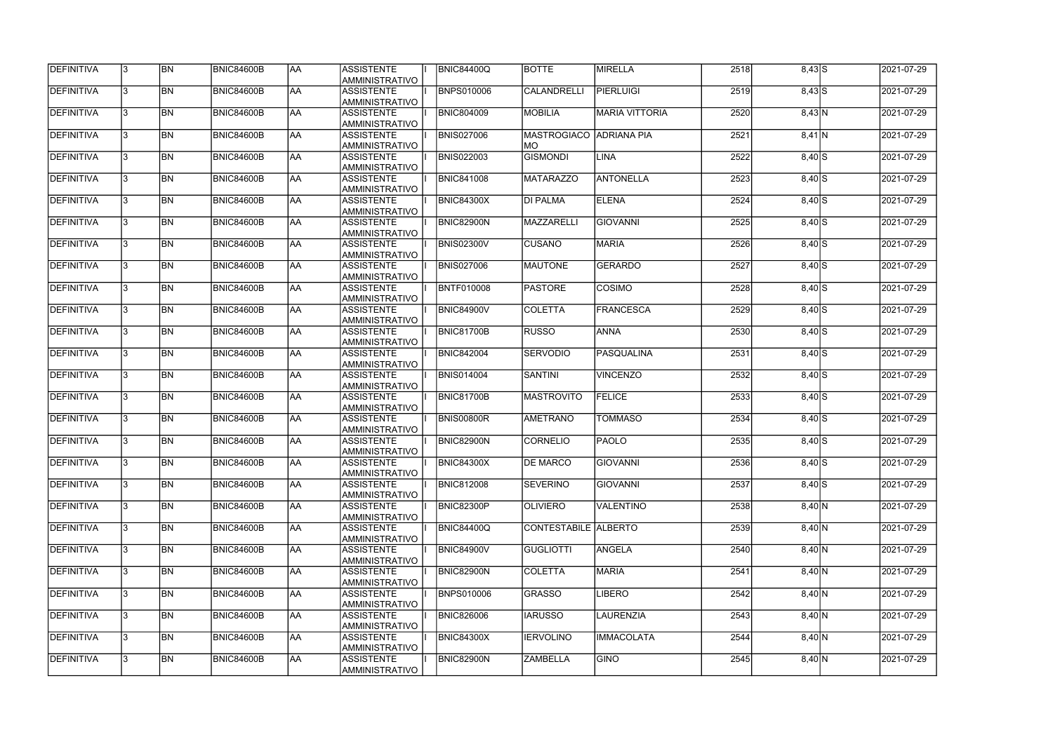| DEFINITIVA        | 13.          | <b>BN</b> | <b>BNIC84600B</b> | AA        | <b>ASSISTENTE</b><br>AMMINISTRATIVO        | <b>BNIC84400Q</b> | <b>BOTTE</b>                   | <b>MIRELLA</b>        | 2518 | $8,43$ $S$ | 2021-07-29 |
|-------------------|--------------|-----------|-------------------|-----------|--------------------------------------------|-------------------|--------------------------------|-----------------------|------|------------|------------|
| <b>DEFINITIVA</b> | l3.          | <b>BN</b> | BNIC84600B        | AA        | <b>ASSISTENTE</b><br>AMMINISTRATIVO        | <b>BNPS010006</b> | CALANDRELLI                    | <b>PIERLUIGI</b>      | 2519 | $8,43$ S   | 2021-07-29 |
| DEFINITIVA        |              | <b>BN</b> | BNIC84600B        | <b>AA</b> | <b>ASSISTENTE</b><br>AMMINISTRATIVO        | <b>BNIC804009</b> | <b>MOBILIA</b>                 | <b>MARIA VITTORIA</b> | 2520 | 8,43 N     | 2021-07-29 |
| <b>DEFINITIVA</b> | $\mathbf{3}$ | <b>BN</b> | BNIC84600B        | <b>AA</b> | <b>ASSISTENTE</b><br>AMMINISTRATIVO        | <b>BNIS027006</b> | MASTROGIACO ADRIANA PIA<br> MO |                       | 2521 | $8,41$ N   | 2021-07-29 |
| <b>DEFINITIVA</b> |              | <b>BN</b> | BNIC84600B        | <b>AA</b> | <b>ASSISTENTE</b><br>AMMINISTRATIVO        | <b>BNIS022003</b> | GISMONDI                       | <b>LINA</b>           | 2522 | $8,40$ S   | 2021-07-29 |
| DEFINITIVA        |              | <b>BN</b> | BNIC84600B        | laa       | <b>ASSISTENTE</b><br><b>AMMINISTRATIVO</b> | <b>BNIC841008</b> | MATARAZZO                      | ANTONELLA             | 2523 | $8,40$ S   | 2021-07-29 |
| DEFINITIVA        |              | <b>BN</b> | <b>BNIC84600B</b> | <b>AA</b> | <b>ASSISTENTE</b><br><b>AMMINISTRATIVO</b> | <b>BNIC84300X</b> | <b>DI PALMA</b>                | <b>ELENA</b>          | 2524 | $8,40$ S   | 2021-07-29 |
| DEFINITIVA        |              | <b>BN</b> | BNIC84600B        | <b>AA</b> | <b>ASSISTENTE</b><br>AMMINISTRATIVO        | <b>BNIC82900N</b> | MAZZARELLI                     | <b>GIOVANNI</b>       | 2525 | $8,40$ S   | 2021-07-29 |
| DEFINITIVA        |              | <b>BN</b> | BNIC84600B        | <b>AA</b> | <b>ASSISTENTE</b><br><b>AMMINISTRATIVO</b> | <b>BNIS02300V</b> | <b>CUSANO</b>                  | <b>MARIA</b>          | 2526 | $8,40$ S   | 2021-07-29 |
| DEFINITIVA        |              | <b>BN</b> | BNIC84600B        | <b>AA</b> | <b>ASSISTENTE</b><br>AMMINISTRATIVO        | <b>BNIS027006</b> | <b>MAUTONE</b>                 | <b>GERARDO</b>        | 2527 | $8,40$ S   | 2021-07-29 |
| DEFINITIVA        |              | <b>BN</b> | BNIC84600B        | <b>AA</b> | <b>ASSISTENTE</b><br>AMMINISTRATIVO        | BNTF010008        | <b>PASTORE</b>                 | COSIMO                | 2528 | $8,40$ S   | 2021-07-29 |
| DEFINITIVA        |              | <b>BN</b> | BNIC84600B        | <b>AA</b> | <b>ASSISTENTE</b><br>AMMINISTRATIVO        | <b>BNIC84900V</b> | <b>COLETTA</b>                 | <b>FRANCESCA</b>      | 2529 | $8,40$ $S$ | 2021-07-29 |
| DEFINITIVA        |              | <b>BN</b> | BNIC84600B        | <b>AA</b> | <b>ASSISTENTE</b><br>AMMINISTRATIVO        | <b>BNIC81700B</b> | <b>RUSSO</b>                   | <b>ANNA</b>           | 2530 | $8,40$ S   | 2021-07-29 |
| DEFINITIVA        |              | <b>BN</b> | <b>BNIC84600B</b> | <b>AA</b> | <b>ASSISTENTE</b><br><b>AMMINISTRATIVO</b> | <b>BNIC842004</b> | <b>SERVODIO</b>                | PASQUALINA            | 2531 | $8,40$ S   | 2021-07-29 |
| DEFINITIVA        |              | <b>BN</b> | BNIC84600B        | <b>AA</b> | <b>ASSISTENTE</b><br><b>AMMINISTRATIVO</b> | <b>BNIS014004</b> | SANTINI                        | <b>VINCENZO</b>       | 2532 | $8,40$ $S$ | 2021-07-29 |
| DEFINITIVA        |              | <b>BN</b> | <b>BNIC84600B</b> | laa       | <b>ASSISTENTE</b><br>AMMINISTRATIVO        | <b>BNIC81700B</b> | <b>IMASTROVITO</b>             | <b>FELICE</b>         | 2533 | $8,40$ S   | 2021-07-29 |
| DEFINITIVA        | $\mathbf{R}$ | <b>BN</b> | BNIC84600B        | laa       | <b>ASSISTENTE</b><br>AMMINISTRATIVO        | <b>BNIS00800R</b> | AMETRANO                       | <b>TOMMASO</b>        | 2534 | $8,40$ S   | 2021-07-29 |
| DEFINITIVA        |              | <b>BN</b> | BNIC84600B        | <b>AA</b> | <b>ASSISTENTE</b><br>AMMINISTRATIVO        | <b>BNIC82900N</b> | <b>CORNELIO</b>                | PAOLO                 | 2535 | $8,40$ $S$ | 2021-07-29 |
| DEFINITIVA        | 13.          | <b>BN</b> | <b>BNIC84600B</b> | AA        | <b>ASSISTENTE</b><br>AMMINISTRATIVO        | <b>BNIC84300X</b> | <b>DE MARCO</b>                | <b>GIOVANNI</b>       | 2536 | $8,40$ S   | 2021-07-29 |
| <b>DEFINITIVA</b> | $\mathbf{3}$ | <b>BN</b> | BNIC84600B        | <b>AA</b> | ASSISTENTE<br>AMMINISTRATIVO               | <b>BNIC812008</b> | <b>SEVERINO</b>                | <b>GIOVANNI</b>       | 2537 | $8,40$ S   | 2021-07-29 |
| <b>DEFINITIVA</b> | 13.          | <b>BN</b> | BNIC84600B        | AA        | <b>ASSISTENTE</b><br>AMMINISTRATIVO        | <b>BNIC82300P</b> | <b>OLIVIERO</b>                | <b>VALENTINO</b>      | 2538 | 8,40 N     | 2021-07-29 |
| DEFINITIVA        |              | <b>BN</b> | BNIC84600B        | <b>AA</b> | <b>ASSISTENTE</b><br>AMMINISTRATIVO        | <b>BNIC84400Q</b> | CONTESTABILE ALBERTO           |                       | 2539 | 8,40 N     | 2021-07-29 |
| DEFINITIVA        |              | <b>BN</b> | BNIC84600B        | <b>AA</b> | ASSISTENTE<br>AMMINISTRATIVO               | BNIC84900V        | <b>GUGLIOTTI</b>               | ANGELA                | 2540 | 8,40 N     | 2021-07-29 |
| DEFINITIVA        |              | <b>BN</b> | BNIC84600B        | <b>AA</b> | <b>ASSISTENTE</b><br>AMMINISTRATIVO        | <b>BNIC82900N</b> | <b>COLETTA</b>                 | <b>MARIA</b>          | 2541 | 8,40 N     | 2021-07-29 |
| DEFINITIVA        |              | <b>BN</b> | BNIC84600B        | <b>AA</b> | ASSISTENTE<br>AMMINISTRATIVO               | <b>BNPS010006</b> | GRASSO                         | <b>LIBERO</b>         | 2542 | 8,40 N     | 2021-07-29 |
| DEFINITIVA        |              | <b>BN</b> | BNIC84600B        | <b>AA</b> | ASSISTENTE<br>AMMINISTRATIVO               | <b>BNIC826006</b> | <b>IARUSSO</b>                 | <b>LAURENZIA</b>      | 2543 | 8,40 N     | 2021-07-29 |
| <b>DEFINITIVA</b> | l3.          | <b>BN</b> | BNIC84600B        | <b>AA</b> | ASSISTENTE<br>AMMINISTRATIVO               | <b>BNIC84300X</b> | <b>IERVOLINO</b>               | <b>IMMACOLATA</b>     | 2544 | 8,40 N     | 2021-07-29 |
| <b>DEFINITIVA</b> |              | <b>BN</b> | BNIC84600B        | <b>AA</b> | <b>ASSISTENTE</b><br>AMMINISTRATIVO        | <b>BNIC82900N</b> | <b>ZAMBELLA</b>                | <b>GINO</b>           | 2545 | 8,40 N     | 2021-07-29 |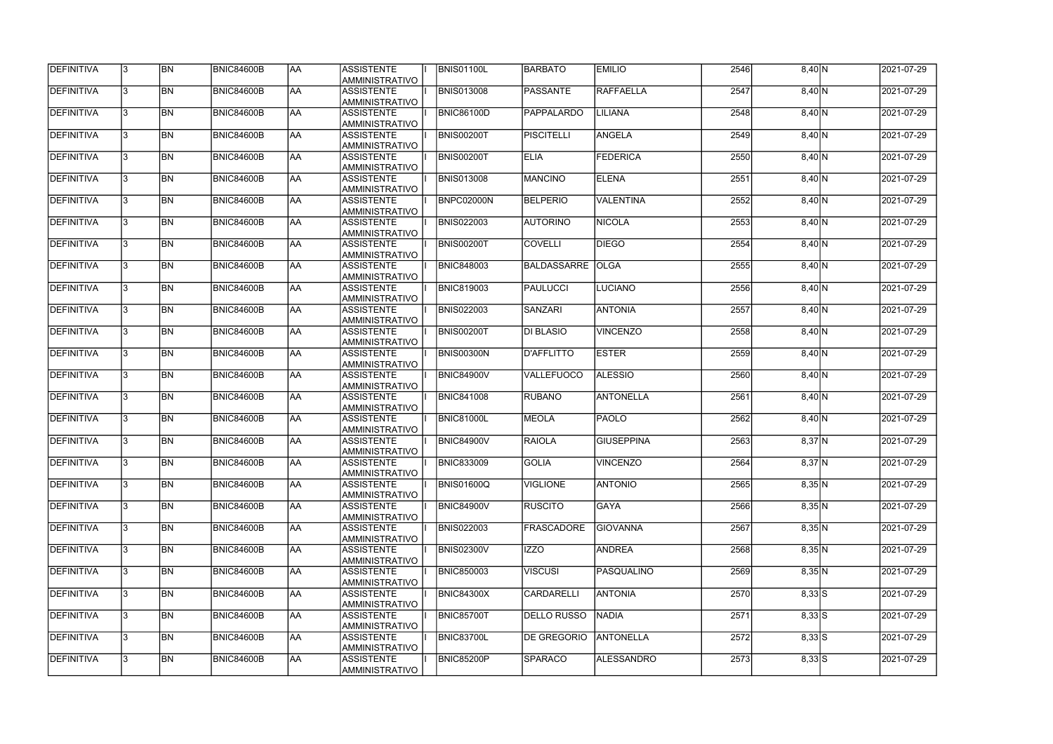| DEFINITIVA        | 13. | <b>BN</b> | <b>BNIC84600B</b> | laa        | <b>ASSISTENTE</b>                   | <b>BNIS01100L</b> | <b>IBARBATO</b>    | <b>EMILIO</b>     | 2546 | 8,40 N   | 2021-07-29 |
|-------------------|-----|-----------|-------------------|------------|-------------------------------------|-------------------|--------------------|-------------------|------|----------|------------|
|                   |     |           |                   |            | AMMINISTRATIVO                      |                   |                    |                   |      |          |            |
| DEFINITIVA        | 13. | <b>BN</b> | <b>BNIC84600B</b> | laa        | <b>ASSISTENTE</b><br>AMMINISTRATIVO | <b>BNIS013008</b> | <b>PASSANTE</b>    | <b>RAFFAELLA</b>  | 2547 | 8,40 N   | 2021-07-29 |
| DEFINITIVA        | l3. | <b>BN</b> | <b>BNIC84600B</b> | AA         | <b>ASSISTENTE</b><br>AMMINISTRATIVO | <b>BNIC86100D</b> | <b>PAPPALARDO</b>  | <b>ILIANA</b>     | 2548 | 8,40 N   | 2021-07-29 |
| DEFINITIVA        | l3. | <b>BN</b> | <b>BNIC84600B</b> | laa        | <b>ASSISTENTE</b><br>AMMINISTRATIVO | <b>BNIS00200T</b> | <b>PISCITELLI</b>  | <b>ANGELA</b>     | 2549 | 8,40 N   | 2021-07-29 |
| DEFINITIVA        | I3. | <b>BN</b> | <b>BNIC84600B</b> | laa        | <b>ASSISTENTE</b><br>AMMINISTRATIVO | <b>BNIS00200T</b> | <b>ELIA</b>        | <b>FEDERICA</b>   | 2550 | 8,40 N   | 2021-07-29 |
| DEFINITIVA        | l3. | <b>BN</b> | <b>BNIC84600B</b> | laa        | <b>ASSISTENTE</b><br>AMMINISTRATIVO | <b>BNIS013008</b> | <b>MANCINO</b>     | <b>ELENA</b>      | 2551 | 8,40 N   | 2021-07-29 |
| DEFINITIVA        |     | <b>BN</b> | <b>BNIC84600B</b> | laa        | <b>ASSISTENTE</b><br>AMMINISTRATIVO | BNPC02000N        | <b>BELPERIO</b>    | <b>VALENTINA</b>  | 2552 | 8,40 N   | 2021-07-29 |
| DEFINITIVA        | l3. | <b>BN</b> | <b>BNIC84600B</b> | laa        | <b>ASSISTENTE</b><br>AMMINISTRATIVO | <b>BNIS022003</b> | <b>AUTORINO</b>    | <b>NICOLA</b>     | 2553 | 8,40 N   | 2021-07-29 |
| DEFINITIVA        | l3. | <b>BN</b> | <b>BNIC84600B</b> | laa        | <b>ASSISTENTE</b><br>AMMINISTRATIVO | BNIS00200T        | <b>COVELLI</b>     | <b>DIEGO</b>      | 2554 | 8,40 N   | 2021-07-29 |
| <b>DEFINITIVA</b> | l3. | <b>BN</b> | <b>BNIC84600B</b> | AA         | <b>ASSISTENTE</b><br>AMMINISTRATIVO | <b>BNIC848003</b> | BALDASSARRE        | <b>OLGA</b>       | 2555 | 8,40 N   | 2021-07-29 |
| DEFINITIVA        | l3. | <b>BN</b> | BNIC84600B        | AA         | <b>ASSISTENTE</b><br>AMMINISTRATIVO | <b>BNIC819003</b> | PAULUCCI           | LUCIANO           | 2556 | 8,40 N   | 2021-07-29 |
| DEFINITIVA        | l3  | <b>BN</b> | <b>BNIC84600B</b> | <b>AA</b>  | <b>ASSISTENTE</b><br>AMMINISTRATIVO | <b>BNIS022003</b> | <b>SANZARI</b>     | <b>ANTONIA</b>    | 2557 | 8,40 N   | 2021-07-29 |
| DEFINITIVA        |     | <b>BN</b> | <b>BNIC84600B</b> | laa        | <b>ASSISTENTE</b><br>AMMINISTRATIVO | <b>BNIS00200T</b> | <b>DI BLASIO</b>   | <b>VINCENZO</b>   | 2558 | 8,40 N   | 2021-07-29 |
| DEFINITIVA        | l3. | <b>BN</b> | <b>BNIC84600B</b> | laa        | <b>ASSISTENTE</b><br>AMMINISTRATIVO | <b>BNIS00300N</b> | D'AFFLITTO         | <b>ESTER</b>      | 2559 | 8,40 N   | 2021-07-29 |
| DEFINITIVA        |     | <b>BN</b> | <b>BNIC84600B</b> | laa        | <b>ASSISTENTE</b><br>AMMINISTRATIVO | <b>BNIC84900V</b> | <b>VALLEFUOCO</b>  | <b>ALESSIO</b>    | 2560 | 8,40 N   | 2021-07-29 |
| DEFINITIVA        | l3. | <b>BN</b> | <b>BNIC84600B</b> | laa        | <b>ASSISTENTE</b><br>AMMINISTRATIVO | <b>BNIC841008</b> | <b>RUBANO</b>      | <b>ANTONELLA</b>  | 2561 | 8,40 N   | 2021-07-29 |
| DEFINITIVA        | l3. | <b>BN</b> | <b>BNIC84600B</b> | laa        | <b>ASSISTENTE</b><br>AMMINISTRATIVO | <b>BNIC81000L</b> | <b>MEOLA</b>       | <b>PAOLO</b>      | 2562 | 8,40 N   | 2021-07-29 |
| <b>DEFINITIVA</b> | l3. | <b>BN</b> | <b>BNIC84600B</b> | laa        | <b>ASSISTENTE</b><br>AMMINISTRATIVO | <b>BNIC84900V</b> | <b>RAIOLA</b>      | <b>GIUSEPPINA</b> | 2563 | $8,37$ N | 2021-07-29 |
| DEFINITIVA        | 13  | <b>BN</b> | <b>BNIC84600B</b> | <b>JAA</b> | <b>ASSISTENTE</b><br>AMMINISTRATIVO | <b>BNIC833009</b> | <b>GOLIA</b>       | <b>VINCENZO</b>   | 2564 | $8,37$ N | 2021-07-29 |
| <b>DEFINITIVA</b> | l3. | <b>BN</b> | <b>BNIC84600B</b> | <b>AA</b>  | <b>ASSISTENTE</b><br>AMMINISTRATIVO | <b>BNIS01600Q</b> | <b>VIGLIONE</b>    | <b>ANTONIO</b>    | 2565 | 8,35 N   | 2021-07-29 |
| DEFINITIVA        | l3. | <b>BN</b> | <b>BNIC84600B</b> | AA         | <b>ASSISTENTE</b><br>AMMINISTRATIVO | <b>BNIC84900V</b> | <b>RUSCITO</b>     | <b>GAYA</b>       | 2566 | 8,35 N   | 2021-07-29 |
| DEFINITIVA        | 3   | <b>BN</b> | <b>BNIC84600B</b> | laa        | <b>ASSISTENTE</b><br>AMMINISTRATIVO | <b>BNIS022003</b> | <b>FRASCADORE</b>  | <b>GIOVANNA</b>   | 2567 | 8,35 N   | 2021-07-29 |
| DEFINITIVA        |     | <b>BN</b> | <b>BNIC84600B</b> | AA         | <b>ASSISTENTE</b><br>AMMINISTRATIVO | <b>BNIS02300V</b> | <b>IZZO</b>        | <b>ANDREA</b>     | 2568 | 8,35 N   | 2021-07-29 |
| DEFINITIVA        |     | <b>BN</b> | <b>BNIC84600B</b> | laa        | <b>ASSISTENTE</b><br>AMMINISTRATIVO | <b>BNIC850003</b> | <b>VISCUSI</b>     | <b>PASQUALINO</b> | 2569 | 8,35 N   | 2021-07-29 |
| DEFINITIVA        | I3. | <b>BN</b> | <b>BNIC84600B</b> | AA         | <b>ASSISTENTE</b><br>AMMINISTRATIVO | <b>BNIC84300X</b> | <b>CARDARELLI</b>  | <b>ANTONIA</b>    | 2570 | $8,33$ S | 2021-07-29 |
| DEFINITIVA        | 13. | <b>BN</b> | <b>BNIC84600B</b> | laa        | <b>ASSISTENTE</b><br>AMMINISTRATIVO | BNIC85700T        | <b>DELLO RUSSO</b> | <b>NADIA</b>      | 2571 | $8,33$ S | 2021-07-29 |
| DEFINITIVA        | l3. | <b>BN</b> | <b>BNIC84600B</b> | AA         | <b>ASSISTENTE</b><br>AMMINISTRATIVO | BNIC83700L        | <b>DE GREGORIO</b> | <b>ANTONELLA</b>  | 2572 | $8,33$ S | 2021-07-29 |
| DEFINITIVA        |     | <b>BN</b> | <b>BNIC84600B</b> | AA         | <b>ASSISTENTE</b><br>AMMINISTRATIVO | <b>BNIC85200P</b> | SPARACO            | ALESSANDRO        | 2573 | $8,33$ S | 2021-07-29 |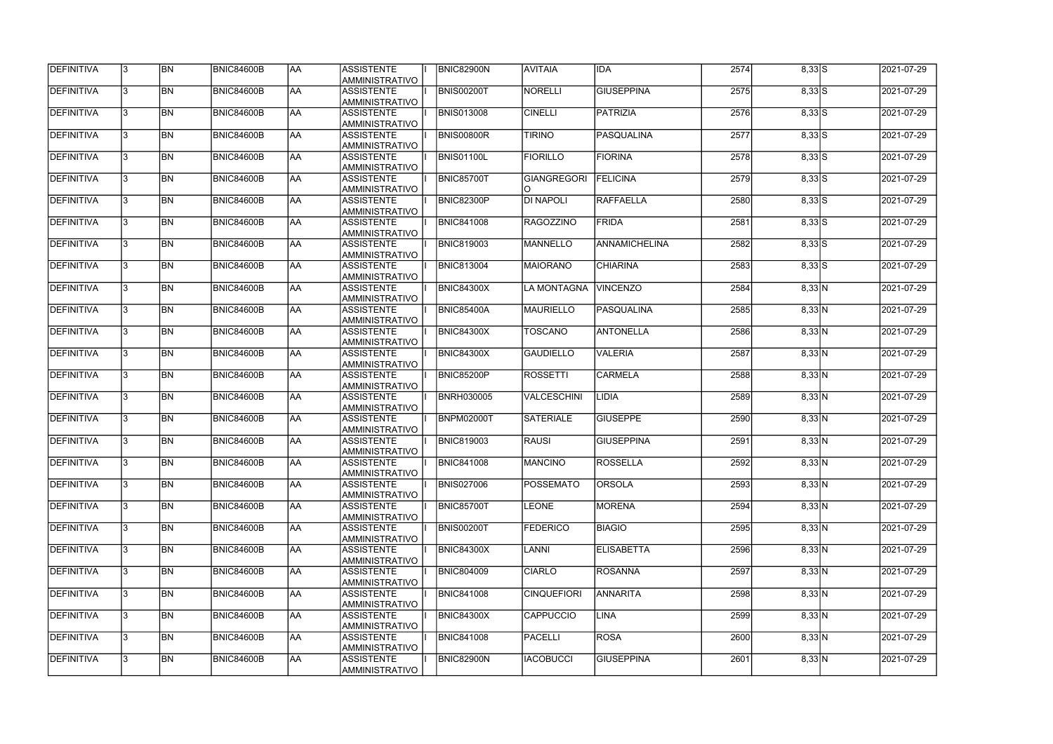| DEFINITIVA        | 13.          | <b>BN</b> | <b>BNIC84600B</b> | <b>JAA</b> | ASSISTENTE<br><b>AMMINISTRATIVO</b>        | <b>BNIC82900N</b> | <b>AVITAIA</b>     | <b>IDA</b>           | 2574 | $8,33$ S | 2021-07-29           |
|-------------------|--------------|-----------|-------------------|------------|--------------------------------------------|-------------------|--------------------|----------------------|------|----------|----------------------|
| DEFINITIVA        | 3            | <b>BN</b> | <b>BNIC84600B</b> | AA         | ASSISTENTE<br>AMMINISTRATIVO               | <b>BNIS00200T</b> | NORELLI            | <b>GIUSEPPINA</b>    | 2575 | $8,33$ S | 2021-07-29           |
| DEFINITIVA        | l3.          | <b>BN</b> | <b>BNIC84600B</b> | AA         | <b>ASSISTENTE</b><br>AMMINISTRATIVO        | <b>BNIS013008</b> | <b>CINELLI</b>     | <b>PATRIZIA</b>      | 2576 | $8,33$ S | 2021-07-29           |
| DEFINITIVA        |              | <b>BN</b> | <b>BNIC84600B</b> | AA         | ASSISTENTE<br><b>AMMINISTRATIVO</b>        | <b>BNIS00800R</b> | <b>TIRINO</b>      | PASQUALINA           | 2577 | $8,33$ S | 2021-07-29           |
| <b>DEFINITIVA</b> | l3.          | <b>BN</b> | BNIC84600B        | <b>JAA</b> | ASSISTENTE<br><b>AMMINISTRATIVO</b>        | <b>BNIS01100L</b> | <b>FIORILLO</b>    | <b>FIORINA</b>       | 2578 | $8,33$ S | 2021-07-29           |
| DEFINITIVA        |              | <b>BN</b> | BNIC84600B        | AA         | <b>ASSISTENTE</b><br><b>AMMINISTRATIVO</b> | BNIC85700T        | <b>GIANGREGORI</b> | <b>FELICINA</b>      | 2579 | $8,33$ S | 2021-07-29           |
| DEFINITIVA        |              | <b>BN</b> | <b>BNIC84600B</b> | <b>AA</b>  | <b>ASSISTENTE</b><br><b>AMMINISTRATIVO</b> | BNIC82300P        | <b>DI NAPOLI</b>   | <b>RAFFAELLA</b>     | 2580 | $8,33$ S | 2021-07-29           |
| DEFINITIVA        |              | <b>BN</b> | <b>BNIC84600B</b> | AA         | <b>ASSISTENTE</b><br>AMMINISTRATIVO        | <b>BNIC841008</b> | <b>RAGOZZINO</b>   | <b>FRIDA</b>         | 2581 | $8,33$ S | 2021-07-29           |
| DEFINITIVA        |              | <b>BN</b> | <b>BNIC84600B</b> | AA         | <b>ASSISTENTE</b><br>AMMINISTRATIVO        | <b>BNIC819003</b> | MANNELLO           | <b>ANNAMICHELINA</b> | 2582 | $8,33$ S | 2021-07-29           |
| <b>DEFINITIVA</b> |              | <b>BN</b> | <b>BNIC84600B</b> | <b>JAA</b> | <b>ASSISTENTE</b><br>AMMINISTRATIVO        | <b>BNIC813004</b> | <b>MAIORANO</b>    | <b>CHIARINA</b>      | 2583 | $8,33$ S | 2021-07-29           |
| DEFINITIVA        | 3            | <b>BN</b> | <b>BNIC84600B</b> | AA         | <b>ASSISTENTE</b><br>AMMINISTRATIVO        | <b>BNIC84300X</b> | LA MONTAGNA        | <b>VINCENZO</b>      | 2584 | 8,33 N   | 2021-07-29           |
| DEFINITIVA        |              | <b>BN</b> | <b>BNIC84600B</b> | <b>AA</b>  | <b>ASSISTENTE</b><br><b>AMMINISTRATIVO</b> | <b>BNIC85400A</b> | MAURIELLO          | PASQUALINA           | 2585 | 8,33 N   | 2021-07-29           |
| DEFINITIVA        | 3            | <b>BN</b> | <b>BNIC84600B</b> | AA         | <b>ASSISTENTE</b><br>AMMINISTRATIVO        | <b>BNIC84300X</b> | <b>TOSCANO</b>     | <b>ANTONELLA</b>     | 2586 | 8,33 N   | 2021-07-29           |
| <b>DEFINITIVA</b> |              | <b>BN</b> | <b>BNIC84600B</b> | AA         | <b>ASSISTENTE</b><br><b>AMMINISTRATIVO</b> | <b>BNIC84300X</b> | <b>GAUDIELLO</b>   | <b>VALERIA</b>       | 2587 | 8,33 N   | 2021-07-29           |
| DEFINITIVA        |              | <b>BN</b> | <b>BNIC84600B</b> | AA         | <b>ASSISTENTE</b><br><b>AMMINISTRATIVO</b> | <b>BNIC85200P</b> | <b>ROSSETTI</b>    | <b>CARMELA</b>       | 2588 | 8,33 N   | 2021-07-29           |
| DEFINITIVA        |              | <b>BN</b> | BNIC84600B        | AA         | <b>ASSISTENTE</b><br><b>AMMINISTRATIVO</b> | <b>BNRH030005</b> | VALCESCHINI        | <b>LIDIA</b>         | 2589 | 8,33 N   | 2021-07-29           |
| DEFINITIVA        |              | <b>BN</b> | <b>BNIC84600B</b> | AA         | <b>ASSISTENTE</b><br>AMMINISTRATIVO        | <b>BNPM02000T</b> | <b>SATERIALE</b>   | <b>GIUSEPPE</b>      | 2590 | 8,33 N   | 2021-07-29           |
| DEFINITIVA        |              | <b>BN</b> | BNIC84600B        | AA         | <b>ASSISTENTE</b><br>AMMINISTRATIVO        | <b>BNIC819003</b> | <b>RAUSI</b>       | <b>GIUSEPPINA</b>    | 2591 | 8,33 N   | 2021-07-29           |
| DEFINITIVA        | 13           | BN        | <b>BNIC84600B</b> | <b>JAA</b> | <b>ASSISTENTE</b><br>AMMINISTRATIVO        | <b>BNIC841008</b> | <b>MANCINO</b>     | <b>ROSSELLA</b>      | 2592 | 8,33 N   | 2021-07-29           |
| <b>DEFINITIVA</b> | 3            | <b>BN</b> | BNIC84600B        | <b>AA</b>  | <b>ASSISTENTE</b><br>AMMINISTRATIVO        | <b>BNIS027006</b> | POSSEMATO          | <b>ORSOLA</b>        | 2593 | 8,33 N   | 2021-07-29           |
| <b>DEFINITIVA</b> | $\mathbf{3}$ | <b>BN</b> | <b>BNIC84600B</b> | <b>AA</b>  | <b>ASSISTENTE</b><br>AMMINISTRATIVO        | BNIC85700T        | <b>LEONE</b>       | <b>MORENA</b>        | 2594 | 8,33 N   | $\sqrt{2021-07}$ -29 |
| <b>DEFINITIVA</b> |              | <b>BN</b> | <b>BNIC84600B</b> | AA         | ASSISTENTE<br><b>AMMINISTRATIVO</b>        | <b>BNIS00200T</b> | <b>FEDERICO</b>    | <b>BIAGIO</b>        | 2595 | 8,33 N   | 2021-07-29           |
| <b>DEFINITIVA</b> |              | BN        | <b>BNIC84600B</b> | AA         | ASSISTENTE<br><b>AMMINISTRATIVO</b>        | <b>BNIC84300X</b> | LANNI              | <b>ELISABETTA</b>    | 2596 | 8,33 N   | 2021-07-29           |
| DEFINITIVA        |              | <b>BN</b> | <b>BNIC84600B</b> | AA         | <b>ASSISTENTE</b><br><b>AMMINISTRATIVO</b> | <b>BNIC804009</b> | <b>CIARLO</b>      | <b>ROSANNA</b>       | 2597 | 8,33 N   | 2021-07-29           |
| DEFINITIVA        |              | <b>BN</b> | BNIC84600B        | AA         | ASSISTENTE<br>AMMINISTRATIVO               | <b>BNIC841008</b> | <b>CINQUEFIORI</b> | <b>ANNARITA</b>      | 2598 | 8,33 N   | 2021-07-29           |
| DEFINITIVA        |              | <b>BN</b> | BNIC84600B        | AA         | ASSISTENTE<br>AMMINISTRATIVO               | <b>BNIC84300X</b> | <b>CAPPUCCIO</b>   | LINA                 | 2599 | 8,33 N   | 2021-07-29           |
| DEFINITIVA        |              | <b>BN</b> | <b>BNIC84600B</b> | AA         | ASSISTENTE<br>AMMINISTRATIVO               | <b>BNIC841008</b> | PACELLI            | <b>ROSA</b>          | 2600 | 8,33 N   | 2021-07-29           |
| DEFINITIVA        |              | <b>BN</b> | BNIC84600B        | <b>AA</b>  | <b>ASSISTENTE</b><br>AMMINISTRATIVO        | BNIC82900N        | <b>IACOBUCCI</b>   | <b>GIUSEPPINA</b>    | 2601 | 8,33 N   | 2021-07-29           |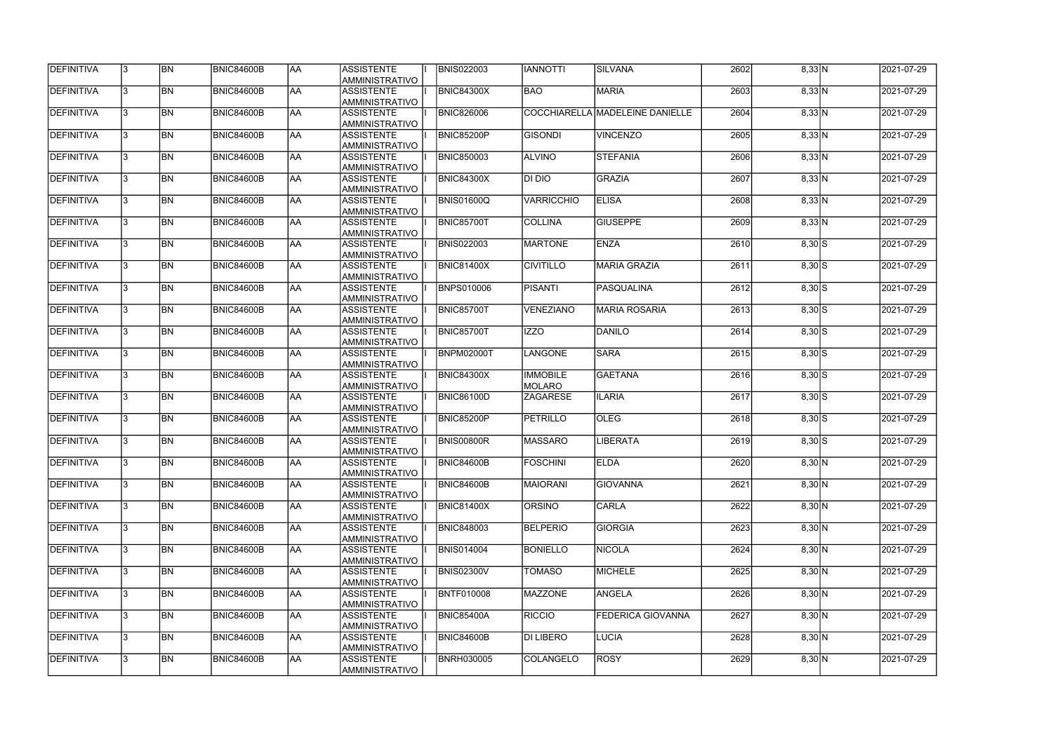| DEFINITIVA        | l3  | <b>BN</b> | <b>BNIC84600B</b> | AA        | ASSISTENTE<br>AMMINISTRATIVO        | <b>BNIS022003</b> | <b>IANNOTTI</b>                  | <b>SILVANA</b>                  | 2602 | 8,33 N   | 2021-07-29 |
|-------------------|-----|-----------|-------------------|-----------|-------------------------------------|-------------------|----------------------------------|---------------------------------|------|----------|------------|
| <b>DEFINITIVA</b> | З   | <b>BN</b> | <b>BNIC84600B</b> | AA        | <b>ASSISTENTE</b><br>AMMINISTRATIVO | <b>BNIC84300X</b> | <b>BAO</b>                       | <b>MARIA</b>                    | 2603 | 8,33 N   | 2021-07-29 |
| DEFINITIVA        |     | <b>BN</b> | <b>BNIC84600B</b> | AA        | <b>ASSISTENTE</b><br>AMMINISTRATIVO | <b>BNIC826006</b> |                                  | COCCHIARELLA MADELEINE DANIELLE | 2604 | $8,33$ N | 2021-07-29 |
| DEFINITIVA        |     | <b>BN</b> | <b>BNIC84600B</b> | AA        | <b>ASSISTENTE</b><br>AMMINISTRATIVO | <b>BNIC85200P</b> | <b>GISONDI</b>                   | <b>VINCENZO</b>                 | 2605 | 8,33 N   | 2021-07-29 |
| DEFINITIVA        |     | <b>BN</b> | <b>BNIC84600B</b> | AA        | <b>ASSISTENTE</b><br>AMMINISTRATIVO | <b>BNIC850003</b> | <b>ALVINO</b>                    | <b>STEFANIA</b>                 | 2606 | 8,33 N   | 2021-07-29 |
| DEFINITIVA        |     | <b>BN</b> | <b>BNIC84600B</b> | AA        | <b>ASSISTENTE</b><br>AMMINISTRATIVO | <b>BNIC84300X</b> | DI DIO                           | <b>GRAZIA</b>                   | 2607 | 8,33 N   | 2021-07-29 |
| <b>DEFINITIVA</b> |     | <b>BN</b> | <b>BNIC84600B</b> | AA        | <b>ASSISTENTE</b><br>AMMINISTRATIVO | <b>BNIS01600Q</b> | <b>VARRICCHIO</b>                | <b>ELISA</b>                    | 2608 | 8,33 N   | 2021-07-29 |
| DEFINITIVA        |     | <b>BN</b> | <b>BNIC84600B</b> | AA        | <b>ASSISTENTE</b><br>AMMINISTRATIVO | <b>BNIC85700T</b> | ICOLLINA                         | <b>GIUSEPPE</b>                 | 2609 | 8,33 N   | 2021-07-29 |
| <b>DEFINITIVA</b> |     | <b>BN</b> | <b>BNIC84600B</b> | AA        | <b>ASSISTENTE</b><br>AMMINISTRATIVO | <b>BNIS022003</b> | <b>MARTONE</b>                   | <b>ENZA</b>                     | 2610 | $8,30$ S | 2021-07-29 |
| DEFINITIVA        |     | <b>BN</b> | <b>BNIC84600B</b> | AA        | <b>ASSISTENTE</b><br>AMMINISTRATIVO | <b>BNIC81400X</b> | <b>CIVITILLO</b>                 | <b>MARIA GRAZIA</b>             | 2611 | $8,30$ S | 2021-07-29 |
| <b>DEFINITIVA</b> |     | <b>BN</b> | <b>BNIC84600B</b> | AA        | <b>ASSISTENTE</b><br>AMMINISTRATIVO | <b>BNPS010006</b> | PISANTI                          | PASQUALINA                      | 2612 | $8,30$ S | 2021-07-29 |
| <b>DEFINITIVA</b> |     | <b>BN</b> | <b>BNIC84600B</b> | <b>AA</b> | <b>ASSISTENTE</b><br>AMMINISTRATIVO | <b>BNIC85700T</b> | <b>VENEZIANO</b>                 | <b>MARIA ROSARIA</b>            | 2613 | $8,30$ S | 2021-07-29 |
| DEFINITIVA        |     | <b>BN</b> | <b>BNIC84600B</b> | AA        | <b>ASSISTENTE</b><br>AMMINISTRATIVO | <b>BNIC85700T</b> | <b>IZZO</b>                      | <b>DANILO</b>                   | 2614 | $8,30$ S | 2021-07-29 |
| <b>DEFINITIVA</b> |     | <b>BN</b> | <b>BNIC84600B</b> | AA        | <b>ASSISTENTE</b><br>AMMINISTRATIVO | <b>BNPM02000T</b> | LANGONE                          | <b>SARA</b>                     | 2615 | $8,30$ S | 2021-07-29 |
| <b>DEFINITIVA</b> |     | <b>BN</b> | BNIC84600B        | AA        | <b>ASSISTENTE</b><br>AMMINISTRATIVO | <b>BNIC84300X</b> | <b>IMMOBILE</b><br><b>MOLARO</b> | <b>GAETANA</b>                  | 2616 | $8,30$ S | 2021-07-29 |
| DEFINITIVA        |     | <b>BN</b> | <b>BNIC84600B</b> | <b>AA</b> | <b>ASSISTENTE</b><br>AMMINISTRATIVO | <b>BNIC86100D</b> | <b>ZAGARESE</b>                  | <b>ILARIA</b>                   | 2617 | $8,30$ S | 2021-07-29 |
| DEFINITIVA        |     | <b>BN</b> | <b>BNIC84600B</b> | AA        | <b>ASSISTENTE</b><br>AMMINISTRATIVO | <b>BNIC85200P</b> | PETRILLO                         | <b>OLEG</b>                     | 2618 | $8,30$ S | 2021-07-29 |
| DEFINITIVA        |     | <b>BN</b> | <b>BNIC84600B</b> | AA        | <b>ASSISTENTE</b><br>AMMINISTRATIVO | <b>BNIS00800R</b> | <b>MASSARO</b>                   | <b>LIBERATA</b>                 | 2619 | $8,30$ S | 2021-07-29 |
| DEFINITIVA        | 13. | <b>BN</b> | <b>BNIC84600B</b> | IAA.      | <b>ASSISTENTE</b><br>AMMINISTRATIVO | <b>BNIC84600B</b> | <b>FOSCHINI</b>                  | <b>ELDA</b>                     | 2620 | $8,30$ N | 2021-07-29 |
| <b>DEFINITIVA</b> |     | <b>BN</b> | <b>BNIC84600B</b> | AA        | ASSISTENTE<br>AMMINISTRATIVO        | <b>BNIC84600B</b> | MAIORANI                         | <b>GIOVANNA</b>                 | 2621 | 8,30 N   | 2021-07-29 |
| <b>DEFINITIVA</b> |     | <b>BN</b> | <b>BNIC84600B</b> | AA        | ASSISTENTE<br>AMMINISTRATIVO        | <b>BNIC81400X</b> | <b>ORSINO</b>                    | <b>CARLA</b>                    | 2622 | 8,30 N   | 2021-07-29 |
| <b>DEFINITIVA</b> |     | <b>BN</b> | <b>BNIC84600B</b> | AA        | ASSISTENTE<br>AMMINISTRATIVO        | <b>BNIC848003</b> | <b>BELPERIO</b>                  | <b>GIORGIA</b>                  | 2623 | 8,30 N   | 2021-07-29 |
| <b>DEFINITIVA</b> |     | <b>BN</b> | <b>BNIC84600B</b> | AA        | <b>ASSISTENTE</b><br>AMMINISTRATIVO | <b>BNIS014004</b> | <b>BONIELLO</b>                  | <b>NICOLA</b>                   | 2624 | 8,30 N   | 2021-07-29 |
| DEFINITIVA        |     | <b>BN</b> | <b>BNIC84600B</b> | AA        | <b>ASSISTENTE</b><br>AMMINISTRATIVO | <b>BNIS02300V</b> | <b>TOMASO</b>                    | <b>MICHELE</b>                  | 2625 | 8,30 N   | 2021-07-29 |
| <b>DEFINITIVA</b> |     | <b>BN</b> | <b>BNIC84600B</b> | AA        | <b>ASSISTENTE</b><br>AMMINISTRATIVO | <b>BNTF010008</b> | <b>MAZZONE</b>                   | <b>ANGELA</b>                   | 2626 | 8,30 N   | 2021-07-29 |
| <b>DEFINITIVA</b> |     | <b>BN</b> | <b>BNIC84600B</b> | AA        | ASSISTENTE<br>AMMINISTRATIVO        | <b>BNIC85400A</b> | <b>RICCIO</b>                    | <b>FEDERICA GIOVANNA</b>        | 2627 | 8,30 N   | 2021-07-29 |
| <b>DEFINITIVA</b> |     | <b>BN</b> | <b>BNIC84600B</b> | AA        | <b>ASSISTENTE</b><br>AMMINISTRATIVO | <b>BNIC84600B</b> | DI LIBERO                        | <b>LUCIA</b>                    | 2628 | 8,30 N   | 2021-07-29 |
| <b>DEFINITIVA</b> |     | <b>BN</b> | <b>BNIC84600B</b> | AA        | ASSISTENTE<br>AMMINISTRATIVO        | <b>BNRH030005</b> | <b>COLANGELO</b>                 | <b>ROSY</b>                     | 2629 | 8,30 N   | 2021-07-29 |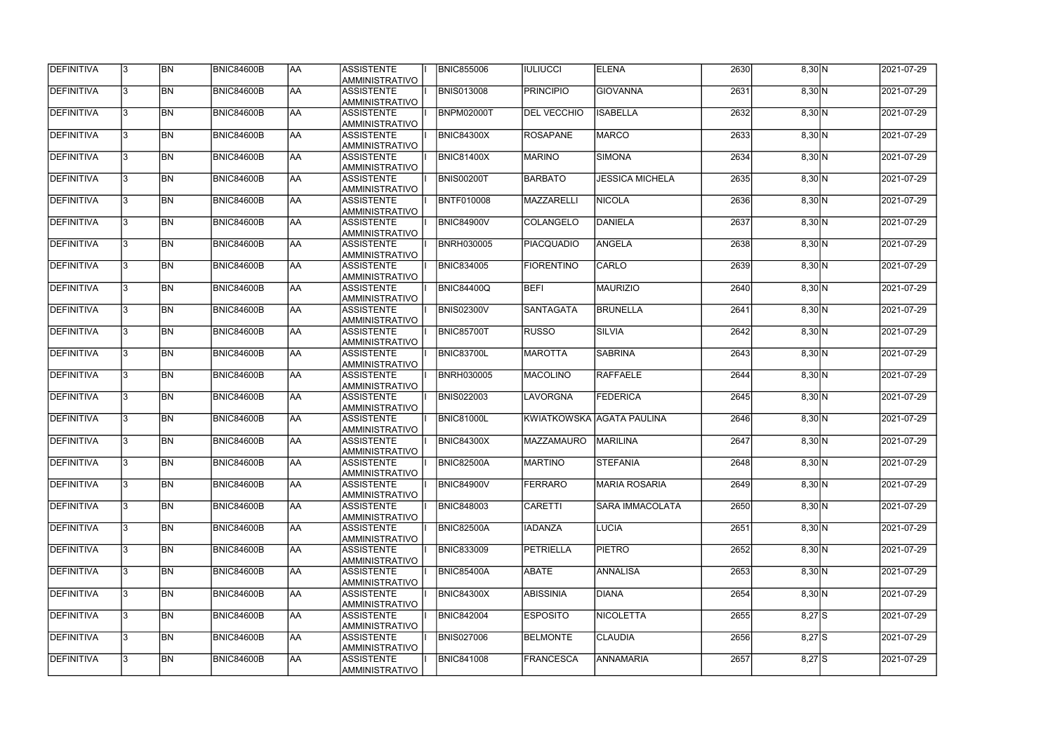| DEFINITIVA        | 13. | <b>BN</b> | <b>BNIC84600B</b> | AA        | <b>ASSISTENTE</b><br>AMMINISTRATIVO        | <b>BNIC855006</b> | <b>IULIUCCI</b>    | <b>ELENA</b>                | 2630 | 8,30 N     | 2021-07-29 |
|-------------------|-----|-----------|-------------------|-----------|--------------------------------------------|-------------------|--------------------|-----------------------------|------|------------|------------|
| <b>DEFINITIVA</b> | 13. | <b>BN</b> | <b>BNIC84600B</b> | laa       | <b>ASSISTENTE</b><br>AMMINISTRATIVO        | <b>BNIS013008</b> | <b>PRINCIPIO</b>   | <b>GIOVANNA</b>             | 2631 | 8,30 N     | 2021-07-29 |
| DEFINITIVA        | l3. | <b>BN</b> | <b>BNIC84600B</b> | AA        | <b>ASSISTENTE</b><br>AMMINISTRATIVO        | <b>BNPM02000T</b> | <b>DEL VECCHIO</b> | <b>ISABELLA</b>             | 2632 | 8,30 N     | 2021-07-29 |
| <b>DEFINITIVA</b> | l3. | <b>BN</b> | BNIC84600B        | <b>AA</b> | <b>ASSISTENTE</b><br>AMMINISTRATIVO        | <b>BNIC84300X</b> | <b>ROSAPANE</b>    | <b>MARCO</b>                | 2633 | 8,30 N     | 2021-07-29 |
| DEFINITIVA        | l3. | <b>BN</b> | <b>BNIC84600B</b> | laa       | <b>ASSISTENTE</b><br>AMMINISTRATIVO        | BNIC81400X        | <b>MARINO</b>      | <b>SIMONA</b>               | 2634 | 8,30 N     | 2021-07-29 |
| DEFINITIVA        | 3   | <b>BN</b> | <b>BNIC84600B</b> | laa       | <b>ASSISTENTE</b><br>AMMINISTRATIVO        | <b>BNIS00200T</b> | <b>BARBATO</b>     | <b>JESSICA MICHELA</b>      | 2635 | 8,30 N     | 2021-07-29 |
| DEFINITIVA        |     | <b>BN</b> | <b>BNIC84600B</b> | laa       | <b>ASSISTENTE</b><br><b>AMMINISTRATIVO</b> | <b>BNTF010008</b> | MAZZARELLI         | <b>NICOLA</b>               | 2636 | 8,30 N     | 2021-07-29 |
| DEFINITIVA        |     | <b>BN</b> | BNIC84600B        | laa       | <b>ASSISTENTE</b><br>AMMINISTRATIVO        | <b>BNIC84900V</b> | <b>COLANGELO</b>   | <b>DANIELA</b>              | 2637 | 8,30 N     | 2021-07-29 |
| DEFINITIVA        |     | <b>BN</b> | <b>BNIC84600B</b> | AA        | <b>ASSISTENTE</b><br>AMMINISTRATIVO        | <b>BNRH030005</b> | PIACQUADIO         | <b>ANGELA</b>               | 2638 | 8,30 N     | 2021-07-29 |
| DEFINITIVA        | l3. | <b>BN</b> | <b>BNIC84600B</b> | laa       | <b>ASSISTENTE</b><br>AMMINISTRATIVO        | <b>BNIC834005</b> | <b>FIORENTINO</b>  | CARLO                       | 2639 | 8,30 N     | 2021-07-29 |
| DEFINITIVA        | l3. | <b>BN</b> | <b>BNIC84600B</b> | AA        | <b>ASSISTENTE</b><br>AMMINISTRATIVO        | <b>BNIC84400Q</b> | <b>BEFI</b>        | <b>MAURIZIO</b>             | 2640 | 8,30 N     | 2021-07-29 |
| <b>DEFINITIVA</b> | 3   | <b>BN</b> | BNIC84600B        | <b>AA</b> | <b>ASSISTENTE</b><br>AMMINISTRATIVO        | <b>BNIS02300V</b> | <b>SANTAGATA</b>   | <b>BRUNELLA</b>             | 2641 | 8,30 N     | 2021-07-29 |
| DEFINITIVA        | 3   | <b>BN</b> | <b>BNIC84600B</b> | laa       | <b>ASSISTENTE</b><br>AMMINISTRATIVO        | <b>BNIC85700T</b> | <b>RUSSO</b>       | <b>SILVIA</b>               | 2642 | 8,30 N     | 2021-07-29 |
| DEFINITIVA        | 3   | <b>BN</b> | <b>BNIC84600B</b> | laa       | <b>ASSISTENTE</b><br>AMMINISTRATIVO        | BNIC83700L        | <b>MAROTTA</b>     | <b>SABRINA</b>              | 2643 | 8,30 N     | 2021-07-29 |
| DEFINITIVA        |     | <b>BN</b> | <b>BNIC84600B</b> | laa       | <b>ASSISTENTE</b><br><b>AMMINISTRATIVO</b> | <b>BNRH030005</b> | <b>MACOLINO</b>    | <b>RAFFAELE</b>             | 2644 | 8,30 N     | 2021-07-29 |
| DEFINITIVA        | 3   | <b>BN</b> | <b>BNIC84600B</b> | laa       | <b>ASSISTENTE</b><br>AMMINISTRATIVO        | <b>BNIS022003</b> | <b>LAVORGNA</b>    | <b>FEDERICA</b>             | 2645 | 8,30 N     | 2021-07-29 |
| DEFINITIVA        | l3. | <b>BN</b> | <b>BNIC84600B</b> | laa       | <b>ASSISTENTE</b><br>AMMINISTRATIVO        | <b>BNIC81000L</b> |                    | KWIATKOWSKA   AGATA PAULINA | 2646 | 8,30 N     | 2021-07-29 |
| DEFINITIVA        | 3   | <b>BN</b> | <b>BNIC84600B</b> | AA        | <b>ASSISTENTE</b><br>AMMINISTRATIVO        | <b>BNIC84300X</b> | <b>MAZZAMAURO</b>  | <b>MARILINA</b>             | 2647 | 8,30 N     | 2021-07-29 |
| DEFINITIVA        | 13  | <b>BN</b> | <b>BNIC84600B</b> | <b>AA</b> | <b>ASSISTENTE</b><br>AMMINISTRATIVO        | <b>BNIC82500A</b> | <b>MARTINO</b>     | <b>STEFANIA</b>             | 2648 | 8,30 N     | 2021-07-29 |
| <b>DEFINITIVA</b> | l3. | <b>BN</b> | <b>BNIC84600B</b> | AA        | <b>ASSISTENTE</b><br><b>AMMINISTRATIVO</b> | BNIC84900V        | <b>FERRARO</b>     | <b>MARIA ROSARIA</b>        | 2649 | 8,30 N     | 2021-07-29 |
| DEFINITIVA        | 13. | <b>BN</b> | <b>BNIC84600B</b> | AA        | <b>ASSISTENTE</b><br>AMMINISTRATIVO        | <b>BNIC848003</b> | <b>CARETTI</b>     | SARA IMMACOLATA             | 2650 | 8,30 N     | 2021-07-29 |
| DEFINITIVA        | 3   | <b>BN</b> | <b>BNIC84600B</b> | laa       | <b>ASSISTENTE</b><br>AMMINISTRATIVO        | <b>BNIC82500A</b> | <b>IADANZA</b>     | <b>LUCIA</b>                | 2651 | 8,30 N     | 2021-07-29 |
| DEFINITIVA        |     | <b>BN</b> | BNIC84600B        | AA        | <b>ASSISTENTE</b><br>AMMINISTRATIVO        | <b>BNIC833009</b> | PETRIELLA          | <b>PIETRO</b>               | 2652 | 8,30 N     | 2021-07-29 |
| DEFINITIVA        |     | <b>BN</b> | <b>BNIC84600B</b> | AA        | <b>ASSISTENTE</b><br>AMMINISTRATIVO        | <b>BNIC85400A</b> | ABATE              | <b>ANNALISA</b>             | 2653 | 8,30 N     | 2021-07-29 |
| DEFINITIVA        | I3. | <b>BN</b> | BNIC84600B        | laa       | <b>ASSISTENTE</b><br>AMMINISTRATIVO        | <b>BNIC84300X</b> | <b>ABISSINIA</b>   | <b>DIANA</b>                | 2654 | 8,30 N     | 2021-07-29 |
| DEFINITIVA        | 13. | <b>BN</b> | <b>BNIC84600B</b> | laa       | <b>ASSISTENTE</b><br>AMMINISTRATIVO        | <b>BNIC842004</b> | <b>ESPOSITO</b>    | <b>NICOLETTA</b>            | 2655 | $8,27$ S   | 2021-07-29 |
| DEFINITIVA        | 13. | <b>BN</b> | <b>BNIC84600B</b> | AA        | <b>ASSISTENTE</b><br>AMMINISTRATIVO        | <b>BNIS027006</b> | <b>BELMONTE</b>    | <b>CLAUDIA</b>              | 2656 | $8,27$ S   | 2021-07-29 |
| DEFINITIVA        |     | <b>BN</b> | <b>BNIC84600B</b> | AA        | <b>ASSISTENTE</b><br>AMMINISTRATIVO        | <b>BNIC841008</b> | <b>FRANCESCA</b>   | <b>ANNAMARIA</b>            | 2657 | $8,27$ $S$ | 2021-07-29 |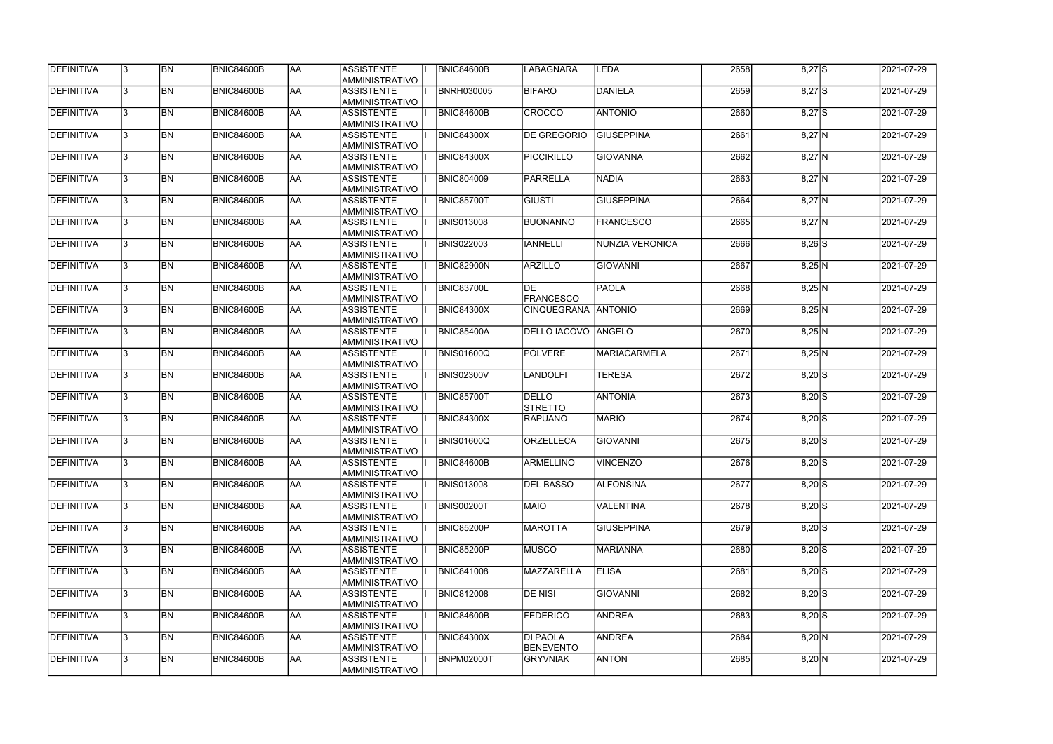| DEFINITIVA        | 13. | <b>BN</b> | <b>BNIC84600B</b> | AA         | <b>ASSISTENTE</b><br>AMMINISTRATIVO        | BNIC84600B        | <b>LABAGNARA</b>                    | LEDA                   | 2658 | $8,27$ S | 2021-07-29 |
|-------------------|-----|-----------|-------------------|------------|--------------------------------------------|-------------------|-------------------------------------|------------------------|------|----------|------------|
| DEFINITIVA        | 13. | <b>BN</b> | <b>BNIC84600B</b> | laa        | <b>ASSISTENTE</b><br>AMMINISTRATIVO        | <b>BNRH030005</b> | <b>BIFARO</b>                       | <b>DANIELA</b>         | 2659 | $8,27$ S | 2021-07-29 |
| DEFINITIVA        | 13. | <b>BN</b> | <b>BNIC84600B</b> | laa        | <b>ASSISTENTE</b><br>AMMINISTRATIVO        | BNIC84600B        | <b>CROCCO</b>                       | ANTONIO                | 2660 | $8,27$ S | 2021-07-29 |
| DEFINITIVA        | l3. | <b>BN</b> | <b>BNIC84600B</b> | laa        | <b>ASSISTENTE</b><br>AMMINISTRATIVO        | <b>BNIC84300X</b> | <b>DE GREGORIO</b>                  | <b>GIUSEPPINA</b>      | 2661 | $8,27$ N | 2021-07-29 |
| DEFINITIVA        | 13. | <b>BN</b> | <b>BNIC84600B</b> | laa        | <b>ASSISTENTE</b><br>AMMINISTRATIVO        | BNIC84300X        | PICCIRILLO                          | <b>GIOVANNA</b>        | 2662 | $8,27$ N | 2021-07-29 |
| DEFINITIVA        | 3   | <b>BN</b> | <b>BNIC84600B</b> | laa        | <b>ASSISTENTE</b><br>AMMINISTRATIVO        | <b>BNIC804009</b> | PARRELLA                            | <b>NADIA</b>           | 2663 | $8,27$ N | 2021-07-29 |
| DEFINITIVA        |     | <b>BN</b> | <b>BNIC84600B</b> | laa        | <b>ASSISTENTE</b><br><b>AMMINISTRATIVO</b> | <b>BNIC85700T</b> | <b>GIUSTI</b>                       | <b>GIUSEPPINA</b>      | 2664 | $8,27$ N | 2021-07-29 |
| DEFINITIVA        |     | <b>BN</b> | <b>BNIC84600B</b> | laa        | <b>ASSISTENTE</b><br>AMMINISTRATIVO        | <b>BNIS013008</b> | BUONANNO                            | <b>FRANCESCO</b>       | 2665 | $8,27$ N | 2021-07-29 |
| DEFINITIVA        |     | <b>BN</b> | <b>BNIC84600B</b> | laa        | <b>ASSISTENTE</b><br>AMMINISTRATIVO        | <b>BNIS022003</b> | <b>IANNELLI</b>                     | <b>NUNZIA VERONICA</b> | 2666 | $8,26$ S | 2021-07-29 |
| DEFINITIVA        | l3. | <b>BN</b> | <b>BNIC84600B</b> | laa        | <b>ASSISTENTE</b><br>AMMINISTRATIVO        | <b>BNIC82900N</b> | ARZILLO                             | <b>GIOVANNI</b>        | 2667 | 8,25 N   | 2021-07-29 |
| DEFINITIVA        | 13. | <b>BN</b> | <b>BNIC84600B</b> | laa        | <b>ASSISTENTE</b><br>AMMINISTRATIVO        | BNIC83700L        | lde.<br>FRANCESCO                   | PAOLA                  | 2668 | 8,25 N   | 2021-07-29 |
| DEFINITIVA        | 3   | <b>BN</b> | BNIC84600B        | <b>AA</b>  | <b>ASSISTENTE</b><br>AMMINISTRATIVO        | <b>BNIC84300X</b> | <b>CINQUEGRANA</b>                  | <b>ANTONIO</b>         | 2669 | 8,25 N   | 2021-07-29 |
| DEFINITIVA        | l3. | <b>BN</b> | <b>BNIC84600B</b> | laa        | <b>ASSISTENTE</b><br>AMMINISTRATIVO        | <b>BNIC85400A</b> | DELLO IACOVO                        | ANGELO                 | 2670 | 8,25 N   | 2021-07-29 |
| DEFINITIVA        | 3   | <b>BN</b> | <b>BNIC84600B</b> | AA         | <b>ASSISTENTE</b><br>AMMINISTRATIVO        | <b>BNIS01600Q</b> | POLVERE                             | <b>MARIACARMELA</b>    | 2671 | 8,25 N   | 2021-07-29 |
| DEFINITIVA        | 3   | <b>BN</b> | <b>BNIC84600B</b> | AA         | <b>ASSISTENTE</b><br>AMMINISTRATIVO        | <b>BNIS02300V</b> | <b>LANDOLFI</b>                     | <b>TERESA</b>          | 2672 | $8,20$ S | 2021-07-29 |
| DEFINITIVA        |     | <b>BN</b> | <b>BNIC84600B</b> | laa        | <b>ASSISTENTE</b><br>AMMINISTRATIVO        | <b>BNIC85700T</b> | <b>DELLO</b><br><b>STRETTO</b>      | <b>ANTONIA</b>         | 2673 | $8,20$ S | 2021-07-29 |
| DEFINITIVA        | 3   | <b>BN</b> | <b>BNIC84600B</b> | laa        | <b>ASSISTENTE</b><br>AMMINISTRATIVO        | <b>BNIC84300X</b> | <b>RAPUANO</b>                      | <b>MARIO</b>           | 2674 | $8,20$ S | 2021-07-29 |
| DEFINITIVA        |     | <b>BN</b> | <b>BNIC84600B</b> | AA         | <b>ASSISTENTE</b><br>AMMINISTRATIVO        | <b>BNIS01600Q</b> | ORZELLECA                           | <b>GIOVANNI</b>        | 2675 | $8,20$ S | 2021-07-29 |
| DEFINITIVA        | 13  | BN        | <b>BNIC84600B</b> | <b>JAA</b> | <b>ASSISTENTE</b><br>AMMINISTRATIVO        | <b>BNIC84600B</b> | <b>ARMELLINO</b>                    | <b>VINCENZO</b>        | 2676 | $8,20$ S | 2021-07-29 |
| <b>DEFINITIVA</b> | l3. | <b>BN</b> | <b>BNIC84600B</b> | <b>AA</b>  | <b>ASSISTENTE</b><br>AMMINISTRATIVO        | <b>BNIS013008</b> | <b>DEL BASSO</b>                    | <b>ALFONSINA</b>       | 2677 | $8,20$ S | 2021-07-29 |
| DEFINITIVA        | l3. | <b>BN</b> | <b>BNIC84600B</b> | <b>AA</b>  | <b>ASSISTENTE</b><br>AMMINISTRATIVO        | <b>BNIS00200T</b> | <b>MAIO</b>                         | <b>VALENTINA</b>       | 2678 | $8,20$ S | 2021-07-29 |
| DEFINITIVA        | l3. | <b>BN</b> | <b>BNIC84600B</b> | AA         | <b>ASSISTENTE</b><br>AMMINISTRATIVO        | BNIC85200P        | <b>MAROTTA</b>                      | <b>GIUSEPPINA</b>      | 2679 | $8,20$ S | 2021-07-29 |
| DEFINITIVA        | l3. | <b>BN</b> | <b>BNIC84600B</b> | <b>AA</b>  | <b>ASSISTENTE</b><br>AMMINISTRATIVO        | <b>BNIC85200P</b> | <b>MUSCO</b>                        | <b>MARIANNA</b>        | 2680 | $8,20$ S | 2021-07-29 |
| DEFINITIVA        |     | <b>BN</b> | <b>BNIC84600B</b> | AA         | <b>ASSISTENTE</b><br>AMMINISTRATIVO        | <b>BNIC841008</b> | MAZZARELLA                          | <b>ELISA</b>           | 2681 | $8,20$ S | 2021-07-29 |
| DEFINITIVA        |     | <b>BN</b> | <b>BNIC84600B</b> | <b>AA</b>  | <b>ASSISTENTE</b><br>AMMINISTRATIVO        | <b>BNIC812008</b> | <b>DE NISI</b>                      | <b>GIOVANNI</b>        | 2682 | $8,20$ S | 2021-07-29 |
| DEFINITIVA        | I3. | <b>BN</b> | <b>BNIC84600B</b> | AA         | <b>ASSISTENTE</b><br>AMMINISTRATIVO        | BNIC84600B        | <b>FEDERICO</b>                     | <b>ANDREA</b>          | 2683 | $8,20$ S | 2021-07-29 |
| DEFINITIVA        | 13. | <b>BN</b> | <b>BNIC84600B</b> | laa        | <b>ASSISTENTE</b><br>AMMINISTRATIVO        | <b>BNIC84300X</b> | <b>DI PAOLA</b><br><b>BENEVENTO</b> | ANDREA                 | 2684 | 8,20 N   | 2021-07-29 |
| DEFINITIVA        |     | <b>BN</b> | <b>BNIC84600B</b> | AA         | <b>ASSISTENTE</b><br>AMMINISTRATIVO        | <b>BNPM02000T</b> | <b>GRYVNIAK</b>                     | <b>ANTON</b>           | 2685 | 8,20 N   | 2021-07-29 |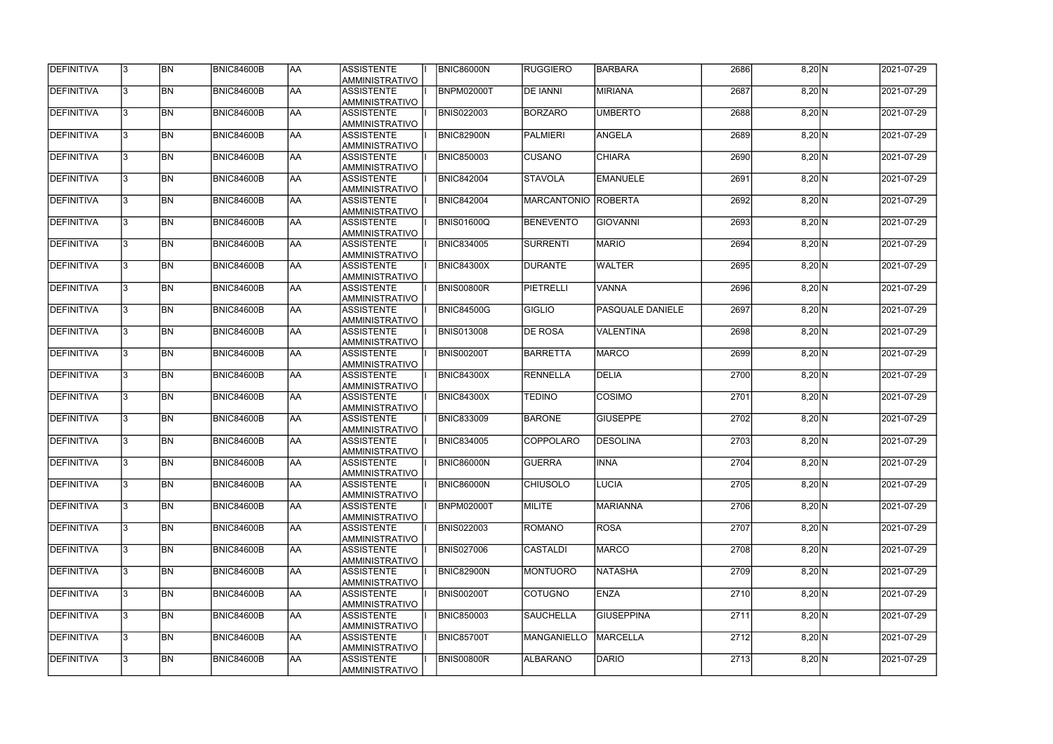| DEFINITIVA        | 13. | <b>BN</b> | <b>BNIC84600B</b> | AA        | <b>ASSISTENTE</b><br>AMMINISTRATIVO        | <b>BNIC86000N</b> | <b>RUGGIERO</b>     | <b>BARBARA</b>          | 2686 | 8,20 N      | 2021-07-29 |
|-------------------|-----|-----------|-------------------|-----------|--------------------------------------------|-------------------|---------------------|-------------------------|------|-------------|------------|
| <b>DEFINITIVA</b> | 13. | <b>BN</b> | <b>BNIC84600B</b> | laa       | <b>ASSISTENTE</b><br>AMMINISTRATIVO        | BNPM02000T        | <b>DE IANNI</b>     | <b>MIRIANA</b>          | 2687 | 8,20 N      | 2021-07-29 |
| DEFINITIVA        | l3. | <b>BN</b> | <b>BNIC84600B</b> | AA        | <b>ASSISTENTE</b><br>AMMINISTRATIVO        | <b>BNIS022003</b> | <b>BORZARO</b>      | <b>UMBERTO</b>          | 2688 | 8,20 N      | 2021-07-29 |
| <b>DEFINITIVA</b> | l3. | <b>BN</b> | BNIC84600B        | <b>AA</b> | <b>ASSISTENTE</b><br>AMMINISTRATIVO        | BNIC82900N        | PALMIERI            | <b>ANGELA</b>           | 2689 | 8,20 N      | 2021-07-29 |
| DEFINITIVA        | l3. | <b>BN</b> | <b>BNIC84600B</b> | laa       | <b>ASSISTENTE</b><br>AMMINISTRATIVO        | <b>BNIC850003</b> | <b>CUSANO</b>       | <b>CHIARA</b>           | 2690 | 8,20 N      | 2021-07-29 |
| DEFINITIVA        | l3  | <b>BN</b> | <b>BNIC84600B</b> | laa       | <b>ASSISTENTE</b><br>AMMINISTRATIVO        | <b>BNIC842004</b> | <b>STAVOLA</b>      | EMANUELE                | 2691 | 8,20 N      | 2021-07-29 |
| DEFINITIVA        |     | <b>BN</b> | <b>BNIC84600B</b> | laa       | <b>ASSISTENTE</b><br><b>AMMINISTRATIVO</b> | <b>BNIC842004</b> | MARCANTONIO ROBERTA |                         | 2692 | 8,20 N      | 2021-07-29 |
| DEFINITIVA        |     | <b>BN</b> | BNIC84600B        | laa       | <b>ASSISTENTE</b><br>AMMINISTRATIVO        | <b>BNIS01600Q</b> | <b>BENEVENTO</b>    | <b>GIOVANNI</b>         | 2693 | 8,20 N      | 2021-07-29 |
| DEFINITIVA        |     | <b>BN</b> | <b>BNIC84600B</b> | AA        | <b>ASSISTENTE</b><br>AMMINISTRATIVO        | <b>BNIC834005</b> | SURRENTI            | <b>MARIO</b>            | 2694 | 8,20 N      | 2021-07-29 |
| DEFINITIVA        | l3. | <b>BN</b> | <b>BNIC84600B</b> | laa       | <b>ASSISTENTE</b><br>AMMINISTRATIVO        | <b>BNIC84300X</b> | <b>DURANTE</b>      | <b>WALTER</b>           | 2695 | 8,20 N      | 2021-07-29 |
| DEFINITIVA        | l3. | <b>BN</b> | <b>BNIC84600B</b> | AA        | <b>ASSISTENTE</b><br>AMMINISTRATIVO        | BNIS00800R        | PIETRELLI           | <b>VANNA</b>            | 2696 | 8,20 N      | 2021-07-29 |
| <b>DEFINITIVA</b> | 3   | <b>BN</b> | <b>BNIC84600B</b> | <b>AA</b> | <b>ASSISTENTE</b><br>AMMINISTRATIVO        | <b>BNIC84500G</b> | <b>GIGLIO</b>       | <b>PASQUALE DANIELE</b> | 2697 | 8,20 N      | 2021-07-29 |
| DEFINITIVA        | 3   | <b>BN</b> | <b>BNIC84600B</b> | laa       | <b>ASSISTENTE</b><br>AMMINISTRATIVO        | <b>BNIS013008</b> | <b>DE ROSA</b>      | <b>VALENTINA</b>        | 2698 | 8,20 N      | 2021-07-29 |
| DEFINITIVA        | 3   | <b>BN</b> | <b>BNIC84600B</b> | laa       | <b>ASSISTENTE</b><br>AMMINISTRATIVO        | <b>BNIS00200T</b> | BARRETTA            | <b>MARCO</b>            | 2699 | 8,20 N      | 2021-07-29 |
| DEFINITIVA        |     | <b>BN</b> | <b>BNIC84600B</b> | laa       | <b>ASSISTENTE</b><br><b>AMMINISTRATIVO</b> | <b>BNIC84300X</b> | <b>RENNELLA</b>     | <b>DELIA</b>            | 2700 | 8,20 N      | 2021-07-29 |
| DEFINITIVA        | 3   | <b>BN</b> | <b>BNIC84600B</b> | laa       | <b>ASSISTENTE</b><br>AMMINISTRATIVO        | <b>BNIC84300X</b> | <b>TEDINO</b>       | <b>COSIMO</b>           | 2701 | 8,20 N      | 2021-07-29 |
| DEFINITIVA        | l3. | <b>BN</b> | <b>BNIC84600B</b> | laa       | <b>ASSISTENTE</b><br>AMMINISTRATIVO        | <b>BNIC833009</b> | <b>BARONE</b>       | <b>GIUSEPPE</b>         | 2702 | 8,20 N      | 2021-07-29 |
| DEFINITIVA        | 3   | <b>BN</b> | <b>BNIC84600B</b> | AA        | <b>ASSISTENTE</b><br>AMMINISTRATIVO        | <b>BNIC834005</b> | <b>COPPOLARO</b>    | <b>DESOLINA</b>         | 2703 | 8,20 N      | 2021-07-29 |
| DEFINITIVA        | 13  | <b>BN</b> | <b>BNIC84600B</b> | <b>AA</b> | <b>ASSISTENTE</b><br>AMMINISTRATIVO        | <b>BNIC86000N</b> | <b>GUERRA</b>       | <b>INNA</b>             | 2704 | 8,20 N      | 2021-07-29 |
| <b>DEFINITIVA</b> | l3. | <b>BN</b> | <b>BNIC84600B</b> | AA        | <b>ASSISTENTE</b><br><b>AMMINISTRATIVO</b> | <b>BNIC86000N</b> | <b>CHIUSOLO</b>     | <b>LUCIA</b>            | 2705 | 8,20 N      | 2021-07-29 |
| DEFINITIVA        | 13. | <b>BN</b> | <b>BNIC84600B</b> | AA        | <b>ASSISTENTE</b><br>AMMINISTRATIVO        | <b>BNPM02000T</b> | MILITE              | <b>MARIANNA</b>         | 2706 | 8,20 N      | 2021-07-29 |
| DEFINITIVA        | 3   | <b>BN</b> | <b>BNIC84600B</b> | laa       | <b>ASSISTENTE</b><br>AMMINISTRATIVO        | <b>BNIS022003</b> | ROMANO              | <b>ROSA</b>             | 2707 | $8,20 \, N$ | 2021-07-29 |
| DEFINITIVA        |     | <b>BN</b> | BNIC84600B        | AA        | <b>ASSISTENTE</b><br>AMMINISTRATIVO        | <b>BNIS027006</b> | <b>CASTALDI</b>     | <b>MARCO</b>            | 2708 | 8,20 N      | 2021-07-29 |
| DEFINITIVA        |     | <b>BN</b> | <b>BNIC84600B</b> | AA        | <b>ASSISTENTE</b><br>AMMINISTRATIVO        | BNIC82900N        | <b>MONTUORO</b>     | <b>NATASHA</b>          | 2709 | $8,20 \, N$ | 2021-07-29 |
| DEFINITIVA        | I3. | <b>BN</b> | BNIC84600B        | laa       | <b>ASSISTENTE</b><br>AMMINISTRATIVO        | <b>BNIS00200T</b> | <b>COTUGNO</b>      | <b>ENZA</b>             | 2710 | 8,20 N      | 2021-07-29 |
| DEFINITIVA        | 13. | <b>BN</b> | <b>BNIC84600B</b> | laa       | <b>ASSISTENTE</b><br>AMMINISTRATIVO        | <b>BNIC850003</b> | <b>SAUCHELLA</b>    | <b>GIUSEPPINA</b>       | 2711 | 8,20 N      | 2021-07-29 |
| DEFINITIVA        | 13. | <b>BN</b> | <b>BNIC84600B</b> | AA        | <b>ASSISTENTE</b><br>AMMINISTRATIVO        | BNIC85700T        | MANGANIELLO         | <b>MARCELLA</b>         | 2712 | 8,20 N      | 2021-07-29 |
| DEFINITIVA        |     | <b>BN</b> | <b>BNIC84600B</b> | AA        | <b>ASSISTENTE</b><br>AMMINISTRATIVO        | BNIS00800R        | ALBARANO            | <b>DARIO</b>            | 2713 | 8,20 N      | 2021-07-29 |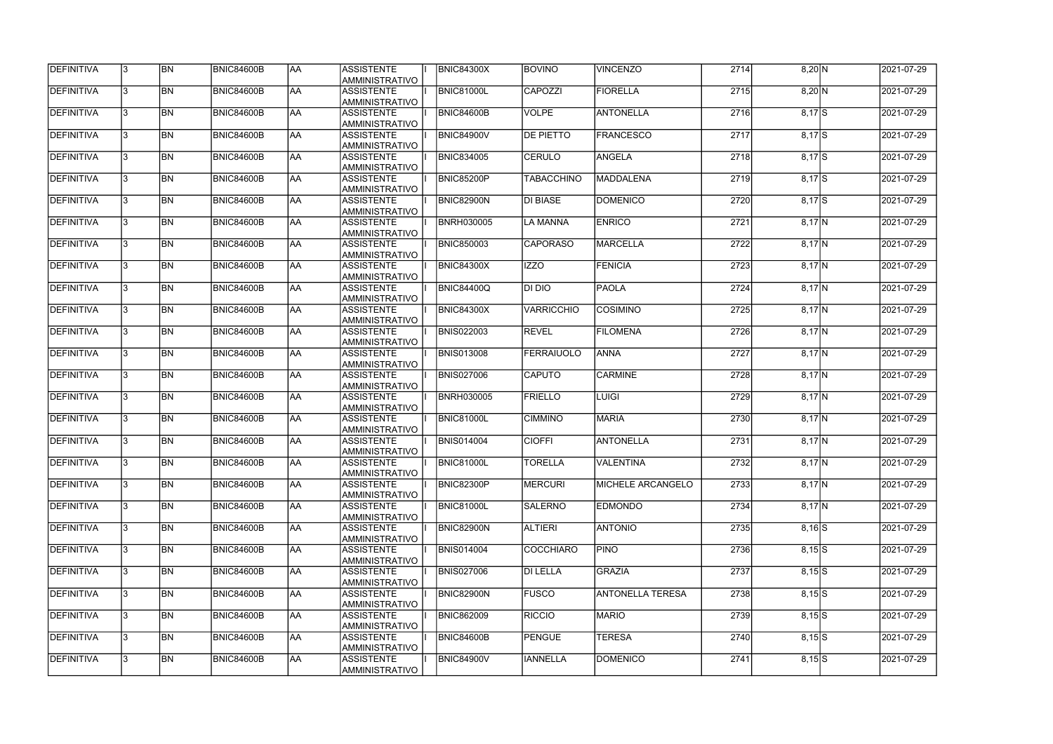| DEFINITIVA        | 13. | <b>BN</b> | <b>BNIC84600B</b> | AA         | ASSISTENTE<br>AMMINISTRATIVO        | <b>BNIC84300X</b> | <b>BOVINO</b>     | <b>VINCENZO</b>          | 2714 | 8,20 N     | 2021-07-29 |
|-------------------|-----|-----------|-------------------|------------|-------------------------------------|-------------------|-------------------|--------------------------|------|------------|------------|
| <b>DEFINITIVA</b> | 13. | <b>BN</b> | BNIC84600B        | laa        | <b>ASSISTENTE</b><br>AMMINISTRATIVO | BNIC81000L        | CAPOZZI           | <b>FIORELLA</b>          | 2715 | 8,20 N     | 2021-07-29 |
| DEFINITIVA        | l3. | <b>BN</b> | <b>BNIC84600B</b> | AA         | <b>ASSISTENTE</b><br>AMMINISTRATIVO | <b>BNIC84600B</b> | VOLPE             | <b>ANTONELLA</b>         | 2716 | $8,17$ S   | 2021-07-29 |
| <b>DEFINITIVA</b> | l3. | <b>BN</b> | BNIC84600B        | <b>AA</b>  | <b>ASSISTENTE</b><br>AMMINISTRATIVO | <b>BNIC84900V</b> | <b>DE PIETTO</b>  | <b>FRANCESCO</b>         | 2717 | $8,17$ S   | 2021-07-29 |
| DEFINITIVA        | l3  | <b>BN</b> | <b>BNIC84600B</b> | AA         | <b>ASSISTENTE</b><br>AMMINISTRATIVO | <b>BNIC834005</b> | <b>CERULO</b>     | ANGELA                   | 2718 | $8,17$ S   | 2021-07-29 |
| DEFINITIVA        | l3  | <b>BN</b> | BNIC84600B        | AA         | <b>ASSISTENTE</b><br>AMMINISTRATIVO | <b>BNIC85200P</b> | <b>TABACCHINO</b> | <b>MADDALENA</b>         | 2719 | $8,17$ S   | 2021-07-29 |
| DEFINITIVA        |     | <b>BN</b> | <b>BNIC84600B</b> | AA         | <b>ASSISTENTE</b><br>AMMINISTRATIVO | <b>BNIC82900N</b> | DI BIASE          | <b>DOMENICO</b>          | 2720 | $8,17$ S   | 2021-07-29 |
| DEFINITIVA        |     | <b>BN</b> | <b>BNIC84600B</b> | laa        | <b>ASSISTENTE</b><br>AMMINISTRATIVO | <b>BNRH030005</b> | <b>LA MANNA</b>   | <b>ENRICO</b>            | 2721 | $8,17$ N   | 2021-07-29 |
| DEFINITIVA        |     | <b>BN</b> | <b>BNIC84600B</b> | laa        | <b>ASSISTENTE</b><br>AMMINISTRATIVO | <b>BNIC850003</b> | <b>CAPORASO</b>   | <b>MARCELLA</b>          | 2722 | $8,17$ N   | 2021-07-29 |
| DEFINITIVA        | l3. | <b>BN</b> | BNIC84600B        | laa        | <b>ASSISTENTE</b><br>AMMINISTRATIVO | <b>BNIC84300X</b> | <b>IZZO</b>       | <b>FENICIA</b>           | 2723 | $8,17$ N   | 2021-07-29 |
| DEFINITIVA        | l3. | <b>BN</b> | <b>BNIC84600B</b> | AA         | <b>ASSISTENTE</b><br>AMMINISTRATIVO | <b>BNIC84400Q</b> | DI DIO            | <b>PAOLA</b>             | 2724 | $8,17$ N   | 2021-07-29 |
| <b>DEFINITIVA</b> | l3. | <b>BN</b> | <b>BNIC84600B</b> | <b>AA</b>  | ASSISTENTE<br>AMMINISTRATIVO        | <b>BNIC84300X</b> | <b>VARRICCHIO</b> | <b>COSIMINO</b>          | 2725 | $8,17$ N   | 2021-07-29 |
| DEFINITIVA        | 3   | <b>BN</b> | <b>BNIC84600B</b> | AA         | <b>ASSISTENTE</b><br>AMMINISTRATIVO | <b>BNIS022003</b> | <b>REVEL</b>      | <b>FILOMENA</b>          | 2726 | $8,17$ N   | 2021-07-29 |
| DEFINITIVA        | 3   | <b>BN</b> | <b>BNIC84600B</b> | AA         | <b>ASSISTENTE</b><br>AMMINISTRATIVO | <b>BNIS013008</b> | FERRAIUOLO        | <b>ANNA</b>              | 2727 | $8,17$ N   | 2021-07-29 |
| DEFINITIVA        |     | <b>BN</b> | <b>BNIC84600B</b> | AA         | <b>ASSISTENTE</b><br>AMMINISTRATIVO | <b>BNIS027006</b> | <b>CAPUTO</b>     | <b>CARMINE</b>           | 2728 | $8,17$ N   | 2021-07-29 |
| DEFINITIVA        |     | <b>BN</b> | <b>BNIC84600B</b> | AA         | <b>ASSISTENTE</b><br>AMMINISTRATIVO | <b>BNRH030005</b> | FRIELLO           | LUIGI                    | 2729 | $8,17$ N   | 2021-07-29 |
| DEFINITIVA        | l3. | <b>BN</b> | <b>BNIC84600B</b> | laa        | <b>ASSISTENTE</b><br>AMMINISTRATIVO | <b>BNIC81000L</b> | <b>CIMMINO</b>    | <b>MARIA</b>             | 2730 | $8,17$ N   | 2021-07-29 |
| DEFINITIVA        |     | <b>BN</b> | BNIC84600B        | AA         | <b>ASSISTENTE</b><br>AMMINISTRATIVO | <b>BNIS014004</b> | <b>CIOFFI</b>     | <b>ANTONELLA</b>         | 2731 | $8,17$ N   | 2021-07-29 |
| DEFINITIVA        | 13  | <b>BN</b> | <b>BNIC84600B</b> | <b>JAA</b> | <b>ASSISTENTE</b><br>AMMINISTRATIVO | <b>BNIC81000L</b> | <b>TORELLA</b>    | <b>VALENTINA</b>         | 2732 | $8,17$ N   | 2021-07-29 |
| <b>DEFINITIVA</b> | l3. | <b>BN</b> | <b>BNIC84600B</b> | AA         | ASSISTENTE<br>AMMINISTRATIVO        | <b>BNIC82300P</b> | <b>IMERCURI</b>   | <b>MICHELE ARCANGELO</b> | 2733 | $8,17$ N   | 2021-07-29 |
| DEFINITIVA        | 13. | <b>BN</b> | <b>BNIC84600B</b> | AA         | ASSISTENTE<br>AMMINISTRATIVO        | <b>BNIC81000L</b> | <b>SALERNO</b>    | <b>EDMONDO</b>           | 2734 | $8,17$ N   | 2021-07-29 |
| DEFINITIVA        | 3   | <b>BN</b> | <b>BNIC84600B</b> | AA         | <b>ASSISTENTE</b><br>AMMINISTRATIVO | <b>BNIC82900N</b> | <b>ALTIERI</b>    | <b>ANTONIO</b>           | 2735 | $8,16$ $S$ | 2021-07-29 |
| DEFINITIVA        |     | <b>BN</b> | <b>BNIC84600B</b> | AA         | ASSISTENTE<br>AMMINISTRATIVO        | <b>BNIS014004</b> | COCCHIARO         | <b>PINO</b>              | 2736 | $8,15$ $S$ | 2021-07-29 |
| DEFINITIVA        |     | <b>BN</b> | <b>BNIC84600B</b> | AA         | <b>ASSISTENTE</b><br>AMMINISTRATIVO | <b>BNIS027006</b> | DI LELLA          | <b>GRAZIA</b>            | 2737 | $8,15$ $S$ | 2021-07-29 |
| DEFINITIVA        | I3. | <b>BN</b> | BNIC84600B        | AA         | <b>ASSISTENTE</b><br>AMMINISTRATIVO | <b>BNIC82900N</b> | <b>FUSCO</b>      | <b>ANTONELLA TERESA</b>  | 2738 | $8,15$ S   | 2021-07-29 |
| DEFINITIVA        | l3. | <b>BN</b> | <b>BNIC84600B</b> | AA         | <b>ASSISTENTE</b><br>AMMINISTRATIVO | <b>BNIC862009</b> | <b>RICCIO</b>     | <b>MARIO</b>             | 2739 | $8,15$ S   | 2021-07-29 |
| DEFINITIVA        | 13. | <b>BN</b> | <b>BNIC84600B</b> | AA         | <b>ASSISTENTE</b><br>AMMINISTRATIVO | <b>BNIC84600B</b> | PENGUE            | <b>TERESA</b>            | 2740 | $8,15$ S   | 2021-07-29 |
| DEFINITIVA        |     | <b>BN</b> | <b>BNIC84600B</b> | AA         | <b>ASSISTENTE</b><br>AMMINISTRATIVO | <b>BNIC84900V</b> | <b>IANNELLA</b>   | <b>DOMENICO</b>          | 2741 | $8,15$ $S$ | 2021-07-29 |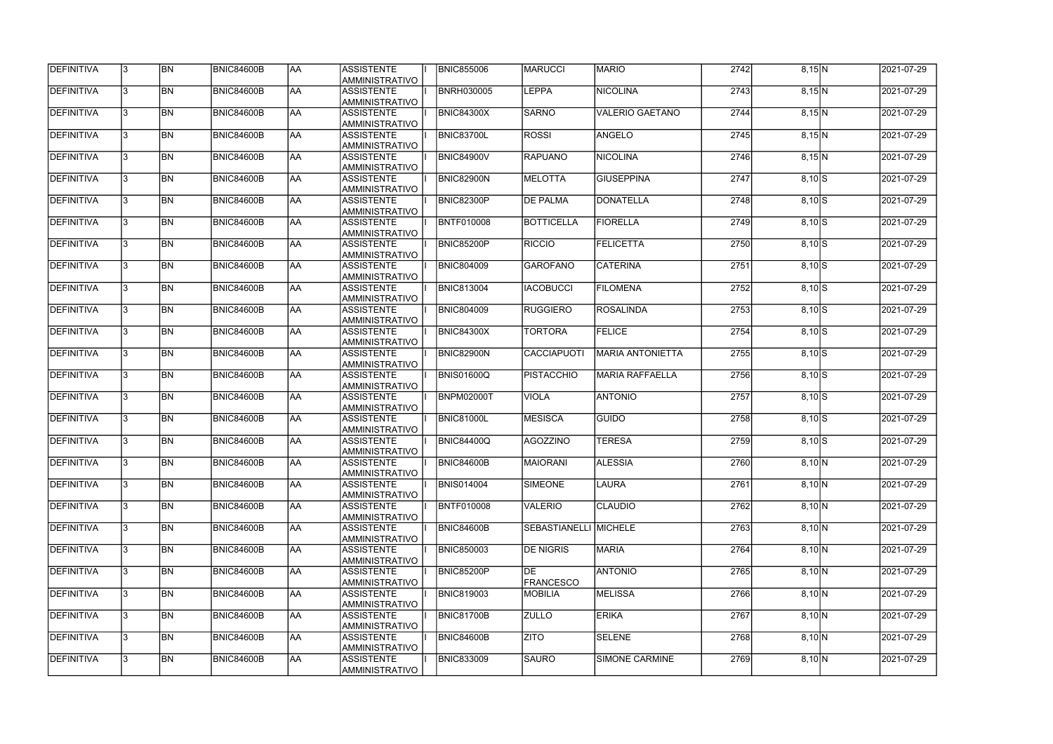| DEFINITIVA        | IЗ | <b>BN</b> | <b>BNIC84600B</b> | <b>AA</b> | ASSISTENTE<br>AMMINISTRATIVO         | <b>BNIC855006</b> | <b>MARUCCI</b>               | <b>MARIO</b>            | 2742 | $8,15$ N | 2021-07-29 |
|-------------------|----|-----------|-------------------|-----------|--------------------------------------|-------------------|------------------------------|-------------------------|------|----------|------------|
| DEFINITIVA        | З  | <b>BN</b> | <b>BNIC84600B</b> | AA        | <b>ASSISTENTE</b><br>AMMINISTRATIVO  | <b>BNRH030005</b> | <b>LEPPA</b>                 | <b>NICOLINA</b>         | 2743 | $8,15$ N | 2021-07-29 |
| DEFINITIVA        |    | <b>BN</b> | <b>BNIC84600B</b> | AA        | <b>ASSISTENTE</b><br>AMMINISTRATIVO  | <b>BNIC84300X</b> | <b>SARNO</b>                 | <b>VALERIO GAETANO</b>  | 2744 | $8,15$ N | 2021-07-29 |
| <b>DEFINITIVA</b> |    | <b>BN</b> | BNIC84600B        | AA        | ASSISTENTE<br>AMMINISTRATIVO         | <b>BNIC83700L</b> | <b>ROSSI</b>                 | <b>ANGELO</b>           | 2745 | $8,15$ N | 2021-07-29 |
| DEFINITIVA        |    | <b>BN</b> | BNIC84600B        | AA        | <b>ASSISTENTE</b><br>AMMINISTRATIVO  | <b>BNIC84900V</b> | <b>RAPUANO</b>               | <b>NICOLINA</b>         | 2746 | $8,15$ N | 2021-07-29 |
| <b>DEFINITIVA</b> |    | <b>BN</b> | BNIC84600B        | AA        | ASSISTENTE<br>AMMINISTRATIVO         | BNIC82900N        | MELOTTA                      | <b>GIUSEPPINA</b>       | 2747 | $8,10$ S | 2021-07-29 |
| <b>DEFINITIVA</b> |    | <b>BN</b> | <b>BNIC84600B</b> | AA        | <b>ASSISTENTE</b><br>AMMINISTRATIVO  | <b>BNIC82300P</b> | <b>DE PALMA</b>              | <b>DONATELLA</b>        | 2748 | $8,10$ S | 2021-07-29 |
| <b>DEFINITIVA</b> |    | <b>BN</b> | <b>BNIC84600B</b> | AA        | <b>ASSISTENTE</b><br>AMMINISTRATIVO  | <b>BNTF010008</b> | BOTTICELLA                   | <b>FIORELLA</b>         | 2749 | $8,10$ S | 2021-07-29 |
| <b>DEFINITIVA</b> |    | <b>BN</b> | <b>BNIC84600B</b> | AA        | <b>ASSISTENTE</b><br>AMMINISTRATIVO  | <b>BNIC85200P</b> | <b>RICCIO</b>                | <b>FELICETTA</b>        | 2750 | $8,10$ S | 2021-07-29 |
| <b>DEFINITIVA</b> |    | <b>BN</b> | <b>BNIC84600B</b> | AA        | <b>ASSISTENTE</b><br>Iamministrativo | <b>BNIC804009</b> | <b>GAROFANO</b>              | <b>CATERINA</b>         | 2751 | $8,10$ S | 2021-07-29 |
| DEFINITIVA        |    | <b>BN</b> | <b>BNIC84600B</b> | AA        | <b>ASSISTENTE</b><br>AMMINISTRATIVO  | <b>BNIC813004</b> | <b>IACOBUCCI</b>             | <b>FILOMENA</b>         | 2752 | $8,10$ S | 2021-07-29 |
| <b>DEFINITIVA</b> |    | <b>BN</b> | BNIC84600B        | AA        | ASSISTENTE<br>AMMINISTRATIVO         | <b>BNIC804009</b> | <b>RUGGIERO</b>              | <b>ROSALINDA</b>        | 2753 | $8,10$ S | 2021-07-29 |
| <b>DEFINITIVA</b> |    | <b>BN</b> | <b>BNIC84600B</b> | AA        | <b>ASSISTENTE</b><br>AMMINISTRATIVO  | <b>BNIC84300X</b> | <b>TORTORA</b>               | <b>FELICE</b>           | 2754 | $8,10$ S | 2021-07-29 |
| DEFINITIVA        |    | <b>BN</b> | <b>BNIC84600B</b> | AA        | <b>ASSISTENTE</b><br>AMMINISTRATIVO  | <b>BNIC82900N</b> | <b>CACCIAPUOTI</b>           | <b>MARIA ANTONIETTA</b> | 2755 | $8,10$ S | 2021-07-29 |
| <b>DEFINITIVA</b> |    | <b>BN</b> | <b>BNIC84600B</b> | AA        | <b>ASSISTENTE</b><br>AMMINISTRATIVO  | <b>BNIS01600Q</b> | <b>PISTACCHIO</b>            | <b>MARIA RAFFAELLA</b>  | 2756 | $8,10$ S | 2021-07-29 |
| <b>DEFINITIVA</b> |    | <b>BN</b> | <b>BNIC84600B</b> | AA        | <b>ASSISTENTE</b><br>AMMINISTRATIVO  | <b>BNPM02000T</b> | <b>VIOLA</b>                 | <b>ANTONIO</b>          | 2757 | $8,10$ S | 2021-07-29 |
| DEFINITIVA        |    | <b>BN</b> | <b>BNIC84600B</b> | AA        | <b>ASSISTENTE</b><br>AMMINISTRATIVO  | <b>BNIC81000L</b> | <b>MESISCA</b>               | <b>GUIDO</b>            | 2758 | $8,10$ S | 2021-07-29 |
| DEFINITIVA        |    | <b>BN</b> | <b>BNIC84600B</b> | AA        | <b>ASSISTENTE</b><br>AMMINISTRATIVO  | <b>BNIC84400Q</b> | AGOZZINO                     | <b>TERESA</b>           | 2759 | $8,10$ S | 2021-07-29 |
| <b>DEFINITIVA</b> | 13 | <b>BN</b> | <b>BNIC84600B</b> | laa       | <b>ASSISTENTE</b><br>AMMINISTRATIVO  | <b>BNIC84600B</b> | <b>MAIORANI</b>              | <b>ALESSIA</b>          | 2760 | 8,10 N   | 2021-07-29 |
| <b>DEFINITIVA</b> |    | <b>BN</b> | <b>BNIC84600B</b> | AA        | ASSISTENTE<br>AMMINISTRATIVO         | <b>BNIS014004</b> | SIMEONE                      | <b>LAURA</b>            | 2761 | 8,10 N   | 2021-07-29 |
| <b>DEFINITIVA</b> |    | <b>BN</b> | <b>BNIC84600B</b> | AA        | ASSISTENTE<br>AMMINISTRATIVO         | <b>BNTF010008</b> | <b>VALERIO</b>               | <b>CLAUDIO</b>          | 2762 | 8,10 N   | 2021-07-29 |
| <b>DEFINITIVA</b> |    | <b>BN</b> | <b>BNIC84600B</b> | AA        | <b>ASSISTENTE</b><br>AMMINISTRATIVO  | <b>BNIC84600B</b> | <b>SEBASTIANELLI MICHELE</b> |                         | 2763 | 8,10 N   | 2021-07-29 |
| <b>DEFINITIVA</b> |    | <b>BN</b> | <b>BNIC84600B</b> | AA        | <b>ASSISTENTE</b><br>AMMINISTRATIVO  | <b>BNIC850003</b> | <b>DE NIGRIS</b>             | <b>MARIA</b>            | 2764 | 8,10 N   | 2021-07-29 |
| <b>DEFINITIVA</b> |    | <b>BN</b> | <b>BNIC84600B</b> | AA        | <b>ASSISTENTE</b><br>AMMINISTRATIVO  | <b>BNIC85200P</b> | DE<br><b>FRANCESCO</b>       | <b>ANTONIO</b>          | 2765 | 8,10 N   | 2021-07-29 |
| DEFINITIVA        |    | <b>BN</b> | <b>BNIC84600B</b> | AA        | <b>ASSISTENTE</b><br>AMMINISTRATIVO  | <b>BNIC819003</b> | <b>MOBILIA</b>               | <b>MELISSA</b>          | 2766 | 8,10 N   | 2021-07-29 |
| <b>DEFINITIVA</b> |    | <b>BN</b> | <b>BNIC84600B</b> | AA        | <b>ASSISTENTE</b><br>AMMINISTRATIVO  | <b>BNIC81700B</b> | <b>ZULLO</b>                 | <b>ERIKA</b>            | 2767 | 8,10 N   | 2021-07-29 |
| <b>DEFINITIVA</b> |    | <b>BN</b> | <b>BNIC84600B</b> | AA        | ASSISTENTE<br>AMMINISTRATIVO         | <b>BNIC84600B</b> | <b>ZITO</b>                  | <b>SELENE</b>           | 2768 | 8,10 N   | 2021-07-29 |
| <b>DEFINITIVA</b> |    | <b>BN</b> | <b>BNIC84600B</b> | AA        | <b>ASSISTENTE</b><br>AMMINISTRATIVO  | <b>BNIC833009</b> | <b>SAURO</b>                 | SIMONE CARMINE          | 2769 | 8,10 N   | 2021-07-29 |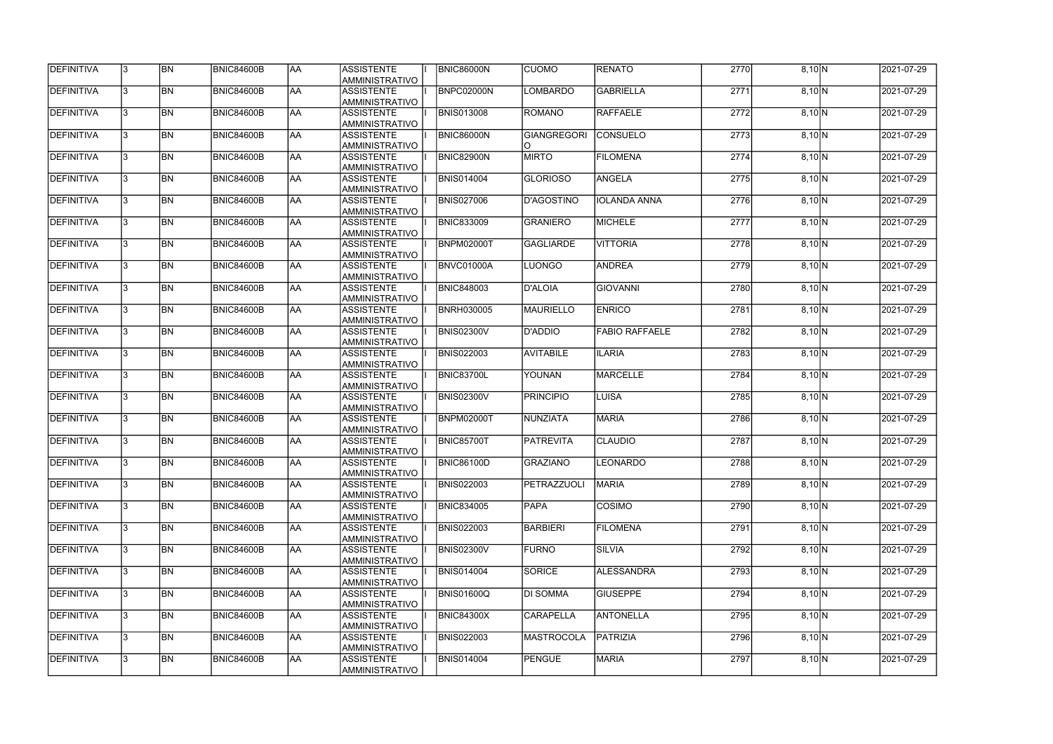| DEFINITIVA        | l3  | BN        | <b>BNIC84600B</b> | laa       | ASSISTENTE<br><b>AMMINISTRATIVO</b>        | BNIC86000N        | CUOMO              | RENATO                | 2770 | 8,10 N | 2021-07-29 |
|-------------------|-----|-----------|-------------------|-----------|--------------------------------------------|-------------------|--------------------|-----------------------|------|--------|------------|
| DEFINITIVA        | 3   | <b>BN</b> | BNIC84600B        | AA        | <b>ASSISTENTE</b><br><b>AMMINISTRATIVO</b> | BNPC02000N        | <b>LOMBARDO</b>    | <b>GABRIELLA</b>      | 2771 | 8,10 N | 2021-07-29 |
| DEFINITIVA        |     | <b>BN</b> | <b>BNIC84600B</b> | AA        | <b>ASSISTENTE</b><br>AMMINISTRATIVO        | <b>BNIS013008</b> | ROMANO             | RAFFAELE              | 2772 | 8,10 N | 2021-07-29 |
| <b>DEFINITIVA</b> |     | <b>BN</b> | BNIC84600B        | AA        | ASSISTENTE<br><b>AMMINISTRATIVO</b>        | BNIC86000N        | <b>GIANGREGORI</b> | CONSUELO              | 2773 | 8,10 N | 2021-07-29 |
| DEFINITIVA        |     | <b>BN</b> | BNIC84600B        | AA        | <b>ASSISTENTE</b><br><b>AMMINISTRATIVO</b> | BNIC82900N        | <b>MIRTO</b>       | <b>FILOMENA</b>       | 2774 | 8,10 N | 2021-07-29 |
| DEFINITIVA        |     | <b>BN</b> | BNIC84600B        | AA        | <b>ASSISTENTE</b><br><b>AMMINISTRATIVO</b> | <b>BNIS014004</b> | <b>GLORIOSO</b>    | ANGELA                | 2775 | 8,10 N | 2021-07-29 |
| DEFINITIVA        |     | <b>BN</b> | <b>BNIC84600B</b> | AA        | <b>ASSISTENTE</b><br><b>AMMINISTRATIVO</b> | <b>BNIS027006</b> | D'AGOSTINO         | <b>IOLANDA ANNA</b>   | 2776 | 8,10 N | 2021-07-29 |
| <b>DEFINITIVA</b> |     | <b>BN</b> | BNIC84600B        | AA        | <b>ASSISTENTE</b><br><b>AMMINISTRATIVO</b> | <b>BNIC833009</b> | <b>GRANIERO</b>    | MICHELE               | 2777 | 8,10 N | 2021-07-29 |
| DEFINITIVA        |     | BN        | BNIC84600B        | AA        | <b>ASSISTENTE</b><br><b>AMMINISTRATIVO</b> | <b>BNPM02000T</b> | <b>GAGLIARDE</b>   | <b>VITTORIA</b>       | 2778 | 8,10 N | 2021-07-29 |
| <b>DEFINITIVA</b> |     | <b>BN</b> | BNIC84600B        | AA        | <b>ASSISTENTE</b><br><b>AMMINISTRATIVO</b> | BNVC01000A        | <b>LUONGO</b>      | ANDREA                | 2779 | 8,10 N | 2021-07-29 |
| DEFINITIVA        |     | <b>BN</b> | BNIC84600B        | AA        | <b>ASSISTENTE</b><br>AMMINISTRATIVO        | <b>BNIC848003</b> | D'ALOIA            | GIOVANNI              | 2780 | 8,10 N | 2021-07-29 |
| <b>DEFINITIVA</b> |     | <b>BN</b> | BNIC84600B        | AA        | ASSISTENTE<br><b>AMMINISTRATIVO</b>        | <b>BNRH030005</b> | MAURIELLO          | <b>ENRICO</b>         | 2781 | 8,10 N | 2021-07-29 |
| DEFINITIVA        |     | <b>BN</b> | <b>BNIC84600B</b> | AA        | <b>ASSISTENTE</b><br><b>AMMINISTRATIVO</b> | <b>BNIS02300V</b> | D'ADDIO            | <b>FABIO RAFFAELE</b> | 2782 | 8,10 N | 2021-07-29 |
| <b>DEFINITIVA</b> |     | <b>BN</b> | <b>BNIC84600B</b> | AA        | <b>ASSISTENTE</b><br><b>AMMINISTRATIVO</b> | <b>BNIS022003</b> | AVITABILE          | <b>ILARIA</b>         | 2783 | 8,10 N | 2021-07-29 |
| <b>DEFINITIVA</b> |     | <b>BN</b> | <b>BNIC84600B</b> | AA        | <b>ASSISTENTE</b><br><b>AMMINISTRATIVO</b> | <b>BNIC83700L</b> | <b>YOUNAN</b>      | MARCELLE              | 2784 | 8,10 N | 2021-07-29 |
| <b>DEFINITIVA</b> |     | <b>BN</b> | BNIC84600B        | AA        | <b>ASSISTENTE</b><br><b>AMMINISTRATIVO</b> | <b>BNIS02300V</b> | <b>PRINCIPIO</b>   | LUISA                 | 2785 | 8,10 N | 2021-07-29 |
| DEFINITIVA        |     | <b>BN</b> | BNIC84600B        | AA        | <b>ASSISTENTE</b><br><b>AMMINISTRATIVO</b> | <b>BNPM02000T</b> | NUNZIATA           | <b>MARIA</b>          | 2786 | 8,10 N | 2021-07-29 |
| DEFINITIVA        |     | <b>BN</b> | <b>BNIC84600B</b> | AA        | <b>ASSISTENTE</b><br><b>AMMINISTRATIVO</b> | BNIC85700T        | <b>PATREVITA</b>   | <b>CLAUDIO</b>        | 2787 | 8,10 N | 2021-07-29 |
| <b>DEFINITIVA</b> | 13. | <b>BN</b> | <b>BNIC84600B</b> | AA        | <b>ASSISTENTE</b><br>AMMINISTRATIVO        | <b>BNIC86100D</b> | GRAZIANO           | <b>LEONARDO</b>       | 2788 | 8,10 N | 2021-07-29 |
| <b>DEFINITIVA</b> |     | BN        | <b>BNIC84600B</b> | AA        | IASSISTENTE<br>AMMINISTRATIVO              | <b>BNIS022003</b> | PETRAZZUOLI        | <b>MARIA</b>          | 2789 | 8,10 N | 2021-07-29 |
| <b>DEFINITIVA</b> |     | <b>BN</b> | <b>BNIC84600B</b> | <b>AA</b> | ASSISTENTE<br><b>AMMINISTRATIVO</b>        | <b>BNIC834005</b> | <b>PAPA</b>        | COSIMO                | 2790 | 8,10 N | 2021-07-29 |
| <b>DEFINITIVA</b> |     | <b>BN</b> | <b>BNIC84600B</b> | AA        | ASSISTENTE<br><b>AMMINISTRATIVO</b>        | <b>BNIS022003</b> | <b>BARBIERI</b>    | <b>FILOMENA</b>       | 2791 | 8,10 N | 2021-07-29 |
| <b>DEFINITIVA</b> |     | <b>BN</b> | BNIC84600B        | AA        | <b>ASSISTENTE</b><br><b>AMMINISTRATIVO</b> | <b>BNIS02300V</b> | <b>FURNO</b>       | <b>SILVIA</b>         | 2792 | 8,10 N | 2021-07-29 |
| <b>DEFINITIVA</b> |     | BN        | BNIC84600B        | AA        | <b>ASSISTENTE</b><br><b>AMMINISTRATIVO</b> | <b>BNIS014004</b> | SORICE             | ALESSANDRA            | 2793 | 8,10 N | 2021-07-29 |
| <b>DEFINITIVA</b> |     | <b>BN</b> | <b>BNIC84600B</b> | AA        | <b>ASSISTENTE</b><br><b>AMMINISTRATIVO</b> | <b>BNIS01600Q</b> | <b>DI SOMMA</b>    | <b>GIUSEPPE</b>       | 2794 | 8,10 N | 2021-07-29 |
| <b>DEFINITIVA</b> |     | BN        | BNIC84600B        | AA        | ASSISTENTE<br>AMMINISTRATIVO               | <b>BNIC84300X</b> | <b>CARAPELLA</b>   | <b>ANTONELLA</b>      | 2795 | 8,10 N | 2021-07-29 |
| <b>DEFINITIVA</b> |     | BN        | <b>BNIC84600B</b> | AA        | ASSISTENTE<br>AMMINISTRATIVO               | <b>BNIS022003</b> | MASTROCOLA         | PATRIZIA              | 2796 | 8,10 N | 2021-07-29 |
| <b>DEFINITIVA</b> |     | BN        | <b>BNIC84600B</b> | AA        | ASSISTENTE<br><b>AMMINISTRATIVO</b>        | <b>BNIS014004</b> | PENGUE             | <b>MARIA</b>          | 2797 | 8,10 N | 2021-07-29 |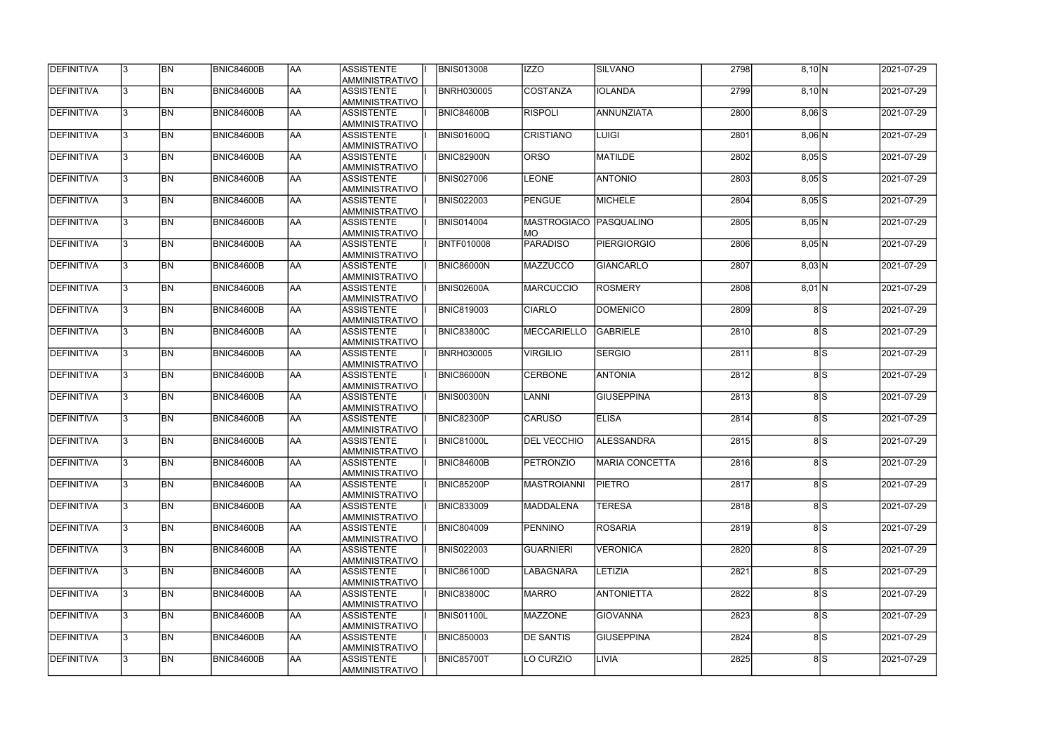| DEFINITIVA        | 13. | <b>BN</b> | <b>BNIC84600B</b> | laa        | <b>ASSISTENTE</b>                   | <b>BNIS013008</b> | IZZO                                  | <b>SILVANO</b>        | 2798 | 8,10 N   |                  | 2021-07-29 |
|-------------------|-----|-----------|-------------------|------------|-------------------------------------|-------------------|---------------------------------------|-----------------------|------|----------|------------------|------------|
|                   |     |           |                   |            | AMMINISTRATIVO                      |                   |                                       |                       |      |          |                  |            |
| DEFINITIVA        | 13. | <b>BN</b> | <b>BNIC84600B</b> | AA         | <b>ASSISTENTE</b><br>AMMINISTRATIVO | <b>BNRH030005</b> | <b>COSTANZA</b>                       | <b>IOLANDA</b>        | 2799 | 8,10 N   |                  | 2021-07-29 |
| DEFINITIVA        | l3. | <b>BN</b> | <b>BNIC84600B</b> | AA         | <b>ASSISTENTE</b><br>AMMINISTRATIVO | BNIC84600B        | <b>RISPOLI</b>                        | <b>ANNUNZIATA</b>     | 2800 | $8,06$ S |                  | 2021-07-29 |
| DEFINITIVA        | l3. | <b>BN</b> | <b>BNIC84600B</b> | laa        | <b>ASSISTENTE</b><br>AMMINISTRATIVO | <b>BNIS01600Q</b> | <b>CRISTIANO</b>                      | LUIGI                 | 2801 | $8,06$ N |                  | 2021-07-29 |
| DEFINITIVA        | 3   | <b>BN</b> | <b>BNIC84600B</b> | laa        | <b>ASSISTENTE</b><br>AMMINISTRATIVO | <b>BNIC82900N</b> | <b>ORSO</b>                           | <b>MATILDE</b>        | 2802 | $8,05$ S |                  | 2021-07-29 |
| <b>DEFINITIVA</b> | l3. | <b>BN</b> | <b>BNIC84600B</b> | laa        | <b>ASSISTENTE</b><br>AMMINISTRATIVO | <b>BNIS027006</b> | <b>LEONE</b>                          | <b>ANTONIO</b>        | 2803 | $8,05$ S |                  | 2021-07-29 |
| DEFINITIVA        |     | <b>BN</b> | <b>BNIC84600B</b> | laa        | <b>ASSISTENTE</b><br>AMMINISTRATIVO | <b>BNIS022003</b> | PENGUE                                | <b>MICHELE</b>        | 2804 | $8,05$ S |                  | 2021-07-29 |
| DEFINITIVA        | l3  | <b>BN</b> | <b>BNIC84600B</b> | laa        | <b>ASSISTENTE</b><br>AMMINISTRATIVO | <b>BNIS014004</b> | MASTROGIACO   PASQUALINO<br><b>MO</b> |                       | 2805 | $8,05$ N |                  | 2021-07-29 |
| DEFINITIVA        | l3. | <b>BN</b> | BNIC84600B        | laa        | <b>ASSISTENTE</b><br>AMMINISTRATIVO | <b>BNTF010008</b> | PARADISO                              | <b>PIERGIORGIO</b>    | 2806 | $8,05$ N |                  | 2021-07-29 |
| DEFINITIVA        | l3. | <b>BN</b> | <b>BNIC84600B</b> | AA         | <b>ASSISTENTE</b><br>AMMINISTRATIVO | BNIC86000N        | MAZZUCCO                              | <b>GIANCARLO</b>      | 2807 | 8,03 N   |                  | 2021-07-29 |
| DEFINITIVA        | l3. | <b>BN</b> | BNIC84600B        | AA         | <b>ASSISTENTE</b><br>AMMINISTRATIVO | BNIS02600A        | <b>MARCUCCIO</b>                      | <b>ROSMERY</b>        | 2808 | $8,01$ N |                  | 2021-07-29 |
| DEFINITIVA        | l3. | <b>BN</b> | <b>BNIC84600B</b> | <b>AA</b>  | <b>ASSISTENTE</b><br>AMMINISTRATIVO | <b>BNIC819003</b> | <b>CIARLO</b>                         | <b>DOMENICO</b>       | 2809 |          | 8S               | 2021-07-29 |
| DEFINITIVA        |     | <b>BN</b> | <b>BNIC84600B</b> | laa        | <b>ASSISTENTE</b><br>AMMINISTRATIVO | <b>BNIC83800C</b> | <b>MECCARIELLO</b>                    | <b>GABRIELE</b>       | 2810 |          | 8S               | 2021-07-29 |
| DEFINITIVA        | l3. | <b>BN</b> | <b>BNIC84600B</b> | laa        | <b>ASSISTENTE</b><br>AMMINISTRATIVO | <b>BNRH030005</b> | <b>VIRGILIO</b>                       | <b>SERGIO</b>         | 2811 |          | 8S               | 2021-07-29 |
| DEFINITIVA        |     | <b>BN</b> | <b>BNIC84600B</b> | laa        | <b>ASSISTENTE</b><br>AMMINISTRATIVO | <b>BNIC86000N</b> | <b>CERBONE</b>                        | <b>ANTONIA</b>        | 2812 |          | 8S               | 2021-07-29 |
| DEFINITIVA        | l3. | <b>BN</b> | <b>BNIC84600B</b> | laa        | <b>ASSISTENTE</b><br>AMMINISTRATIVO | BNIS00300N        | <b>LANNI</b>                          | <b>GIUSEPPINA</b>     | 2813 |          | $\overline{8}$ S | 2021-07-29 |
| DEFINITIVA        | l3. | <b>BN</b> | <b>BNIC84600B</b> | laa        | <b>ASSISTENTE</b><br>AMMINISTRATIVO | <b>BNIC82300P</b> | <b>CARUSO</b>                         | <b>ELISA</b>          | 2814 |          | 8S               | 2021-07-29 |
| <b>DEFINITIVA</b> | l3. | <b>BN</b> | <b>BNIC84600B</b> | laa        | <b>ASSISTENTE</b><br>AMMINISTRATIVO | BNIC81000L        | <b>DEL VECCHIO</b>                    | <b>ALESSANDRA</b>     | 2815 |          | 8 <sub>l</sub> S | 2021-07-29 |
| DEFINITIVA        | 13  | <b>BN</b> | <b>BNIC84600B</b> | <b>JAA</b> | <b>ASSISTENTE</b><br>AMMINISTRATIVO | <b>BNIC84600B</b> | <b>PETRONZIO</b>                      | <b>MARIA CONCETTA</b> | 2816 |          | 8 S              | 2021-07-29 |
| <b>DEFINITIVA</b> | l3. | <b>BN</b> | <b>BNIC84600B</b> | <b>AA</b>  | <b>ASSISTENTE</b><br>AMMINISTRATIVO | <b>BNIC85200P</b> | <b>MASTROIANNI</b>                    | <b>PIETRO</b>         | 2817 |          | 8S               | 2021-07-29 |
| <b>DEFINITIVA</b> | l3. | <b>BN</b> | <b>BNIC84600B</b> | AA         | <b>ASSISTENTE</b><br>AMMINISTRATIVO | <b>BNIC833009</b> | <b>MADDALENA</b>                      | <b>TERESA</b>         | 2818 |          | 8S               | 2021-07-29 |
| DEFINITIVA        |     | <b>BN</b> | <b>BNIC84600B</b> | laa        | <b>ASSISTENTE</b><br>AMMINISTRATIVO | <b>BNIC804009</b> | PENNINO                               | <b>ROSARIA</b>        | 2819 |          | 8S               | 2021-07-29 |
| DEFINITIVA        |     | <b>BN</b> | <b>BNIC84600B</b> | AA         | <b>ASSISTENTE</b><br>AMMINISTRATIVO | <b>BNIS022003</b> | <b>GUARNIERI</b>                      | <b>VERONICA</b>       | 2820 |          | 8S               | 2021-07-29 |
| DEFINITIVA        |     | <b>BN</b> | BNIC84600B        | laa        | <b>ASSISTENTE</b><br>AMMINISTRATIVO | <b>BNIC86100D</b> | LABAGNARA                             | LETIZIA               | 2821 |          | 8S               | 2021-07-29 |
| DEFINITIVA        | l3. | <b>BN</b> | <b>BNIC84600B</b> | AA         | <b>ASSISTENTE</b><br>AMMINISTRATIVO | <b>BNIC83800C</b> | <b>MARRO</b>                          | <b>ANTONIETTA</b>     | 2822 |          | 8SS              | 2021-07-29 |
| DEFINITIVA        | 13. | <b>BN</b> | <b>BNIC84600B</b> | laa        | <b>ASSISTENTE</b><br>AMMINISTRATIVO | BNIS01100L        | <b>MAZZONE</b>                        | <b>GIOVANNA</b>       | 2823 |          | 8S               | 2021-07-29 |
| DEFINITIVA        | l3. | <b>BN</b> | <b>BNIC84600B</b> | AA         | <b>ASSISTENTE</b><br>AMMINISTRATIVO | <b>BNIC850003</b> | <b>DE SANTIS</b>                      | <b>GIUSEPPINA</b>     | 2824 |          | 8S               | 2021-07-29 |
| DEFINITIVA        |     | <b>BN</b> | <b>BNIC84600B</b> | AA         | <b>ASSISTENTE</b><br>AMMINISTRATIVO | <b>BNIC85700T</b> | LO CURZIO                             | LIVIA                 | 2825 |          | 8S               | 2021-07-29 |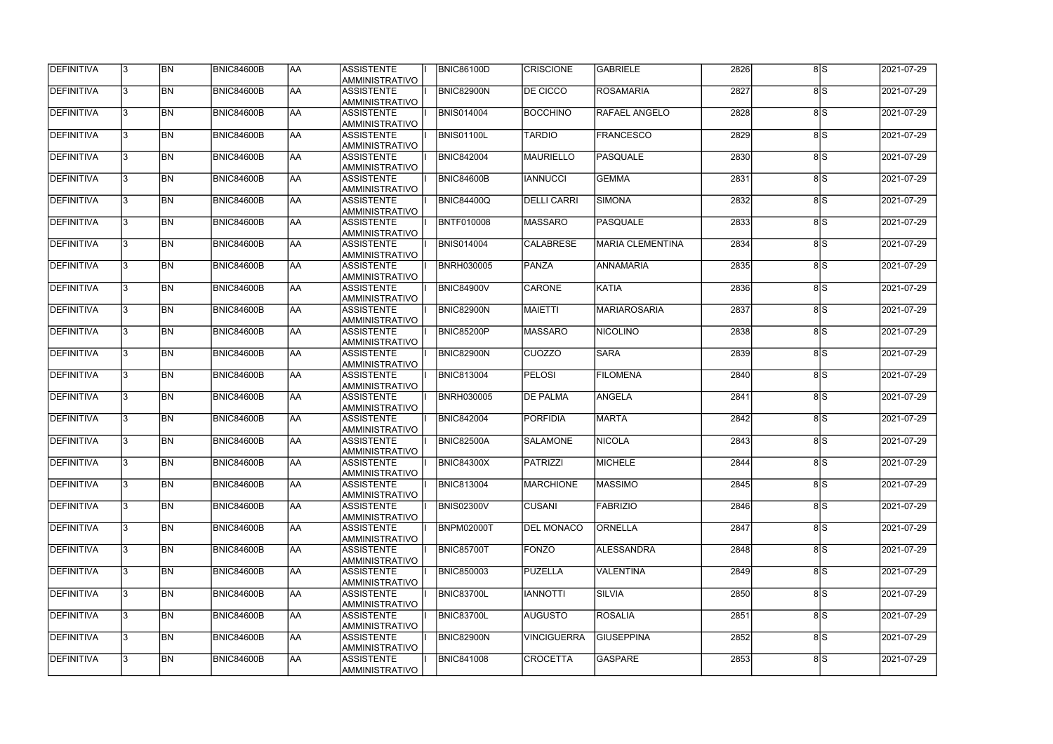| <b>DEFINITIVA</b> | 13. | <b>BN</b> | <b>BNIC84600B</b> | laa       | ASSISTENTE<br>AMMINISTRATIVO        | <b>BNIC86100D</b> | <b>CRISCIONE</b>   | <b>GABRIELE</b>         | 2826 | $\overline{8}$ s | 2021-07-29 |
|-------------------|-----|-----------|-------------------|-----------|-------------------------------------|-------------------|--------------------|-------------------------|------|------------------|------------|
| DEFINITIVA        | 13. | <b>BN</b> | <b>BNIC84600B</b> | AA        | <b>ASSISTENTE</b><br>AMMINISTRATIVO | <b>BNIC82900N</b> | <b>DE CICCO</b>    | <b>ROSAMARIA</b>        | 2827 | 8S               | 2021-07-29 |
| DEFINITIVA        | l3. | <b>BN</b> | <b>BNIC84600B</b> | AA        | <b>ASSISTENTE</b><br>AMMINISTRATIVO | <b>BNIS014004</b> | <b>BOCCHINO</b>    | <b>RAFAEL ANGELO</b>    | 2828 | 8lS              | 2021-07-29 |
| DEFINITIVA        | l3. | <b>BN</b> | <b>BNIC84600B</b> | <b>AA</b> | <b>ASSISTENTE</b><br>AMMINISTRATIVO | <b>BNIS01100L</b> | <b>TARDIO</b>      | <b>FRANCESCO</b>        | 2829 | $\overline{8}$ s | 2021-07-29 |
| DEFINITIVA        | l3. | <b>BN</b> | <b>BNIC84600B</b> | <b>AA</b> | <b>ASSISTENTE</b><br>AMMINISTRATIVO | <b>BNIC842004</b> | <b>MAURIELLO</b>   | PASQUALE                | 2830 | 8S               | 2021-07-29 |
| DEFINITIVA        | 3   | <b>BN</b> | <b>BNIC84600B</b> | AA        | <b>ASSISTENTE</b><br>AMMINISTRATIVO | <b>BNIC84600B</b> | <b>IANNUCCI</b>    | <b>GEMMA</b>            | 2831 | 8ls              | 2021-07-29 |
| DEFINITIVA        |     | <b>BN</b> | <b>BNIC84600B</b> | AA        | <b>ASSISTENTE</b><br>AMMINISTRATIVO | <b>BNIC84400Q</b> | <b>DELLI CARRI</b> | <b>SIMONA</b>           | 2832 | 8S               | 2021-07-29 |
| DEFINITIVA        |     | <b>BN</b> | <b>BNIC84600B</b> | AA        | <b>ASSISTENTE</b><br>AMMINISTRATIVO | <b>BNTF010008</b> | <b>MASSARO</b>     | <b>PASQUALE</b>         | 2833 | 8S               | 2021-07-29 |
| DEFINITIVA        |     | <b>BN</b> | <b>BNIC84600B</b> | laa       | <b>ASSISTENTE</b><br>AMMINISTRATIVO | <b>BNIS014004</b> | <b>CALABRESE</b>   | <b>MARIA CLEMENTINA</b> | 2834 | 8S               | 2021-07-29 |
| DEFINITIVA        |     | <b>BN</b> | <b>BNIC84600B</b> | laa       | <b>ASSISTENTE</b><br>AMMINISTRATIVO | <b>BNRH030005</b> | <b>PANZA</b>       | <b>ANNAMARIA</b>        | 2835 | 8S               | 2021-07-29 |
| DEFINITIVA        | l3. | <b>BN</b> | <b>BNIC84600B</b> | AA        | <b>ASSISTENTE</b><br>AMMINISTRATIVO | <b>BNIC84900V</b> | <b>CARONE</b>      | <b>KATIA</b>            | 2836 | 8S               | 2021-07-29 |
| DEFINITIVA        |     | <b>BN</b> | <b>BNIC84600B</b> | <b>AA</b> | <b>ASSISTENTE</b><br>AMMINISTRATIVO | <b>BNIC82900N</b> | MAIETTI            | <b>MARIAROSARIA</b>     | 2837 | 8S               | 2021-07-29 |
| DEFINITIVA        | 3   | <b>BN</b> | <b>BNIC84600B</b> | AA        | <b>ASSISTENTE</b><br>AMMINISTRATIVO | <b>BNIC85200P</b> | <b>MASSARO</b>     | NICOLINO                | 2838 | 8lS              | 2021-07-29 |
| DEFINITIVA        | 3   | <b>BN</b> | <b>BNIC84600B</b> | AA        | <b>ASSISTENTE</b><br>AMMINISTRATIVO | <b>BNIC82900N</b> | lcuozzo            | <b>SARA</b>             | 2839 | $\overline{8}$ s | 2021-07-29 |
| DEFINITIVA        |     | <b>BN</b> | <b>BNIC84600B</b> | AA        | <b>ASSISTENTE</b><br>AMMINISTRATIVO | <b>BNIC813004</b> | PELOSI             | <b>FILOMENA</b>         | 2840 | 8S               | 2021-07-29 |
| DEFINITIVA        |     | <b>BN</b> | <b>BNIC84600B</b> | AA        | <b>ASSISTENTE</b><br>AMMINISTRATIVO | <b>BNRH030005</b> | <b>DE PALMA</b>    | <b>ANGELA</b>           | 2841 | 8lS              | 2021-07-29 |
| DEFINITIVA        | 3   | <b>BN</b> | <b>BNIC84600B</b> | AA        | <b>ASSISTENTE</b><br>AMMINISTRATIVO | <b>BNIC842004</b> | PORFIDIA           | <b>MARTA</b>            | 2842 | 8lS              | 2021-07-29 |
| DEFINITIVA        |     | <b>BN</b> | BNIC84600B        | AA        | <b>ASSISTENTE</b><br>AMMINISTRATIVO | <b>BNIC82500A</b> | <b>SALAMONE</b>    | <b>NICOLA</b>           | 2843 | 8lS              | 2021-07-29 |
| DEFINITIVA        | 13  | BN        | <b>BNIC84600B</b> | AA        | <b>ASSISTENTE</b><br>AMMINISTRATIVO | <b>BNIC84300X</b> | PATRIZZI           | MICHELE                 | 2844 | 8 S              | 2021-07-29 |
| <b>DEFINITIVA</b> | l3. | <b>BN</b> | <b>BNIC84600B</b> | AA        | <b>ASSISTENTE</b><br>AMMINISTRATIVO | <b>BNIC813004</b> | <b>MARCHIONE</b>   | <b>MASSIMO</b>          | 2845 | 8S               | 2021-07-29 |
| DEFINITIVA        | l3. | <b>BN</b> | <b>BNIC84600B</b> | <b>AA</b> | <b>ASSISTENTE</b><br>AMMINISTRATIVO | <b>BNIS02300V</b> | <b>CUSANI</b>      | <b>FABRIZIO</b>         | 2846 | $\overline{8}$ S | 2021-07-29 |
| DEFINITIVA        |     | <b>BN</b> | <b>BNIC84600B</b> | <b>AA</b> | <b>ASSISTENTE</b><br>AMMINISTRATIVO | <b>BNPM02000T</b> | <b>DEL MONACO</b>  | <b>ORNELLA</b>          | 2847 | 8S               | 2021-07-29 |
| <b>DEFINITIVA</b> | l3. | <b>BN</b> | <b>BNIC84600B</b> | <b>AA</b> | <b>ASSISTENTE</b><br>AMMINISTRATIVO | <b>BNIC85700T</b> | FONZO              | <b>ALESSANDRA</b>       | 2848 | 8S               | 2021-07-29 |
| DEFINITIVA        |     | <b>BN</b> | <b>BNIC84600B</b> | AA        | <b>ASSISTENTE</b><br>AMMINISTRATIVO | <b>BNIC850003</b> | <b>PUZELLA</b>     | <b>VALENTINA</b>        | 2849 | 8S               | 2021-07-29 |
| DEFINITIVA        |     | <b>BN</b> | <b>BNIC84600B</b> | <b>AA</b> | <b>ASSISTENTE</b><br>AMMINISTRATIVO | <b>BNIC83700L</b> | <b>IANNOTTI</b>    | <b>SILVIA</b>           | 2850 | 8ls              | 2021-07-29 |
| DEFINITIVA        | I3. | <b>BN</b> | <b>BNIC84600B</b> | AA        | <b>ASSISTENTE</b><br>AMMINISTRATIVO | <b>BNIC83700L</b> | <b>AUGUSTO</b>     | <b>ROSALIA</b>          | 2851 | 8lS              | 2021-07-29 |
| DEFINITIVA        | 13. | <b>BN</b> | <b>BNIC84600B</b> | AA        | <b>ASSISTENTE</b><br>AMMINISTRATIVO | <b>BNIC82900N</b> | <b>VINCIGUERRA</b> | <b>GIUSEPPINA</b>       | 2852 | 8S               | 2021-07-29 |
| DEFINITIVA        |     | <b>BN</b> | <b>BNIC84600B</b> | AA        | <b>ASSISTENTE</b><br>AMMINISTRATIVO | <b>BNIC841008</b> | <b>CROCETTA</b>    | <b>GASPARE</b>          | 2853 | 8lS              | 2021-07-29 |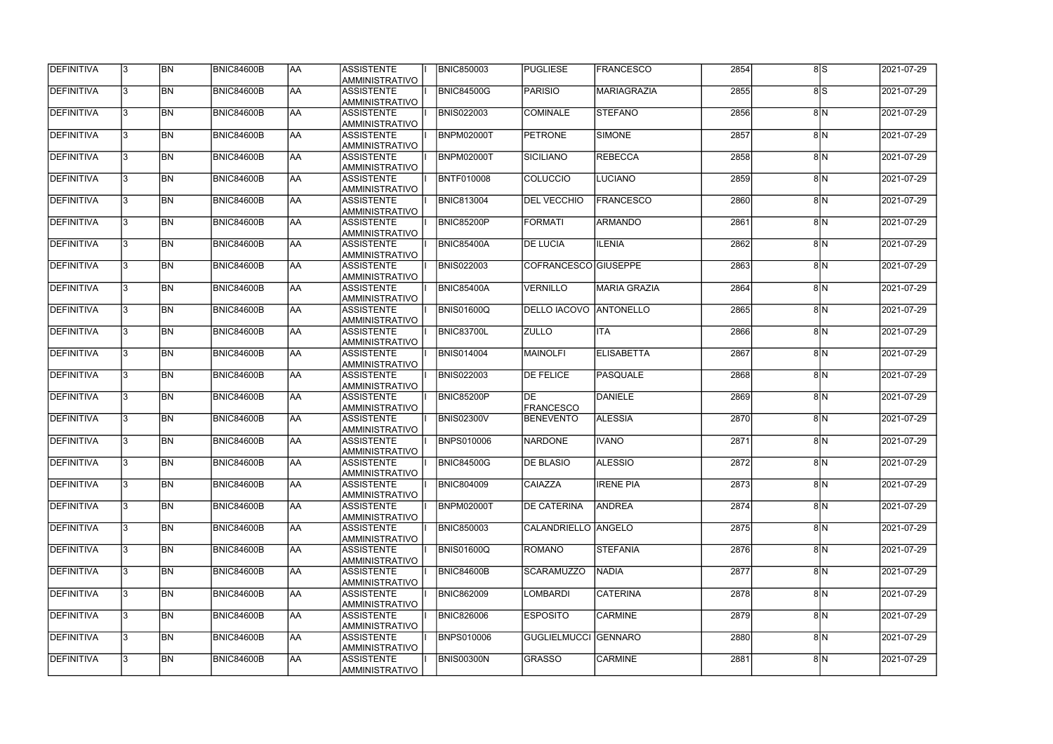| <b>DEFINITIVA</b> | 13. | <b>BN</b> | <b>BNIC84600B</b> | <b>AA</b> | ASSISTENTE<br>AMMINISTRATIVO        | <b>BNIC850003</b> | PUGLIESE                       | <b>FRANCESCO</b>    | 2854 | $\overline{8}$ s | 2021-07-29 |
|-------------------|-----|-----------|-------------------|-----------|-------------------------------------|-------------------|--------------------------------|---------------------|------|------------------|------------|
| DEFINITIVA        | l3. | <b>BN</b> | <b>BNIC84600B</b> | AA        | <b>ASSISTENTE</b><br>AMMINISTRATIVO | <b>BNIC84500G</b> | PARISIO                        | <b>MARIAGRAZIA</b>  | 2855 | 8S               | 2021-07-29 |
| DEFINITIVA        | 13. | <b>BN</b> | <b>BNIC84600B</b> | AA        | <b>ASSISTENTE</b><br>AMMINISTRATIVO | <b>BNIS022003</b> | <b>COMINALE</b>                | <b>STEFANO</b>      | 2856 | 8N               | 2021-07-29 |
| DEFINITIVA        | l3. | <b>BN</b> | <b>BNIC84600B</b> | AA        | <b>ASSISTENTE</b><br>AMMINISTRATIVO | <b>BNPM02000T</b> | PETRONE                        | <b>SIMONE</b>       | 2857 | 8N               | 2021-07-29 |
| DEFINITIVA        | l3. | <b>BN</b> | <b>BNIC84600B</b> | <b>AA</b> | <b>ASSISTENTE</b><br>AMMINISTRATIVO | <b>BNPM02000T</b> | SICILIANO                      | <b>REBECCA</b>      | 2858 | 8N               | 2021-07-29 |
| DEFINITIVA        | l3. | <b>BN</b> | <b>BNIC84600B</b> | <b>AA</b> | <b>ASSISTENTE</b><br>AMMINISTRATIVO | <b>BNTF010008</b> | <b>COLUCCIO</b>                | <b>LUCIANO</b>      | 2859 | 8N               | 2021-07-29 |
| <b>DEFINITIVA</b> | 3   | <b>BN</b> | BNIC84600B        | laa       | <b>ASSISTENTE</b><br>AMMINISTRATIVO | <b>BNIC813004</b> | <b>DEL VECCHIO</b>             | <b>FRANCESCO</b>    | 2860 | 8N               | 2021-07-29 |
| DEFINITIVA        |     | <b>BN</b> | <b>BNIC84600B</b> | AA        | <b>ASSISTENTE</b><br>AMMINISTRATIVO | <b>BNIC85200P</b> | FORMATI                        | <b>ARMANDO</b>      | 2861 | 8lN              | 2021-07-29 |
| DEFINITIVA        |     | <b>BN</b> | <b>BNIC84600B</b> | AA        | <b>ASSISTENTE</b><br>AMMINISTRATIVO | <b>BNIC85400A</b> | <b>DE LUCIA</b>                | <b>ILENIA</b>       | 2862 | 8lN              | 2021-07-29 |
| DEFINITIVA        |     | <b>BN</b> | <b>BNIC84600B</b> | laa       | <b>ASSISTENTE</b><br>AMMINISTRATIVO | <b>BNIS022003</b> | COFRANCESCO GIUSEPPE           |                     | 2863 | 8 N              | 2021-07-29 |
| DEFINITIVA        | l3. | <b>BN</b> | <b>BNIC84600B</b> | laa       | <b>ASSISTENTE</b><br>AMMINISTRATIVO | <b>BNIC85400A</b> | <b>VERNILLO</b>                | <b>MARIA GRAZIA</b> | 2864 | 8 N              | 2021-07-29 |
| DEFINITIVA        | l3. | <b>BN</b> | <b>BNIC84600B</b> | AA        | <b>ASSISTENTE</b><br>AMMINISTRATIVO | <b>BNIS01600Q</b> | DELLO IACOVO ANTONELLO         |                     | 2865 | 8 N              | 2021-07-29 |
| DEFINITIVA        | 3   | <b>BN</b> | BNIC84600B        | AA        | <b>ASSISTENTE</b><br>AMMINISTRATIVO | <b>BNIC83700L</b> | <b>ZULLO</b>                   | IITA                | 2866 | 8lN              | 2021-07-29 |
| DEFINITIVA        |     | <b>BN</b> | <b>BNIC84600B</b> | laa       | <b>ASSISTENTE</b><br>AMMINISTRATIVO | <b>BNIS014004</b> | <b>MAINOLFI</b>                | <b>ELISABETTA</b>   | 2867 | 8 N              | 2021-07-29 |
| DEFINITIVA        | 3   | <b>BN</b> | <b>BNIC84600B</b> | AA        | <b>ASSISTENTE</b><br>AMMINISTRATIVO | <b>BNIS022003</b> | <b>DE FELICE</b>               | <b>PASQUALE</b>     | 2868 | 8lN              | 2021-07-29 |
| DEFINITIVA        | l3. | <b>BN</b> | <b>BNIC84600B</b> | AA        | <b>ASSISTENTE</b><br>AMMINISTRATIVO | <b>BNIC85200P</b> | <b>IDE</b><br><b>FRANCESCO</b> | <b>DANIELE</b>      | 2869 | 8 N              | 2021-07-29 |
| DEFINITIVA        |     | <b>BN</b> | <b>BNIC84600B</b> | AA        | <b>ASSISTENTE</b><br>AMMINISTRATIVO | <b>BNIS02300V</b> | <b>BENEVENTO</b>               | <b>ALESSIA</b>      | 2870 | 8 N              | 2021-07-29 |
| DEFINITIVA        |     | <b>BN</b> | <b>BNIC84600B</b> | AA        | <b>ASSISTENTE</b><br>AMMINISTRATIVO | <b>BNPS010006</b> | <b>NARDONE</b>                 | <b>IVANO</b>        | 2871 | 8lN              | 2021-07-29 |
| <b>DEFINITIVA</b> | 13  | <b>BN</b> | <b>BNIC84600B</b> | AA        | ASSISTENTE <br>IAMMINISTRATIVO      | <b>BNIC84500G</b> | <b>DE BLASIO</b>               | <b>ALESSIO</b>      | 2872 | 8 N              | 2021-07-29 |
| DEFINITIVA        | 13. | <b>BN</b> | <b>BNIC84600B</b> | AA        | ASSISTENTE<br>AMMINISTRATIVO        | <b>BNIC804009</b> | <b>CAIAZZA</b>                 | <b>IRENE PIA</b>    | 2873 | 8 N              | 2021-07-29 |
| DEFINITIVA        | l3. | <b>BN</b> | <b>BNIC84600B</b> | AA        | ASSISTENTE<br>AMMINISTRATIVO        | BNPM02000T        | <b>DE CATERINA</b>             | <b>ANDREA</b>       | 2874 | 8N               | 2021-07-29 |
| DEFINITIVA        | l3. | <b>BN</b> | <b>BNIC84600B</b> | <b>AA</b> | <b>ASSISTENTE</b><br>AMMINISTRATIVO | <b>BNIC850003</b> | CALANDRIELLO ANGELO            |                     | 2875 | 8N               | 2021-07-29 |
| DEFINITIVA        | 3   | <b>BN</b> | <b>BNIC84600B</b> | AA        | <b>ASSISTENTE</b><br>AMMINISTRATIVO | <b>BNIS01600Q</b> | <b>ROMANO</b>                  | <b>STEFANIA</b>     | 2876 | 8N               | 2021-07-29 |
| DEFINITIVA        | l3. | <b>BN</b> | <b>BNIC84600B</b> | AA        | ASSISTENTE<br>AMMINISTRATIVO        | <b>BNIC84600B</b> | SCARAMUZZO                     | <b>NADIA</b>        | 2877 | 8 N              | 2021-07-29 |
| DEFINITIVA        |     | <b>BN</b> | <b>BNIC84600B</b> | AA        | <b>ASSISTENTE</b><br>AMMINISTRATIVO | <b>BNIC862009</b> | LOMBARDI                       | <b>CATERINA</b>     | 2878 | 8N               | 2021-07-29 |
| DEFINITIVA        | I3. | <b>BN</b> | BNIC84600B        | AA        | <b>ASSISTENTE</b><br>AMMINISTRATIVO | <b>BNIC826006</b> | <b>ESPOSITO</b>                | <b>CARMINE</b>      | 2879 | 8 N              | 2021-07-29 |
| DEFINITIVA        | 13. | <b>BN</b> | <b>BNIC84600B</b> | AA        | <b>ASSISTENTE</b><br>AMMINISTRATIVO | <b>BNPS010006</b> | GUGLIELMUCCI  GENNARO          |                     | 2880 | 8 N              | 2021-07-29 |
| DEFINITIVA        |     | <b>BN</b> | <b>BNIC84600B</b> | AA        | ASSISTENTE<br>AMMINISTRATIVO        | <b>BNIS00300N</b> | <b>GRASSO</b>                  | <b>CARMINE</b>      | 2881 | 8 N              | 2021-07-29 |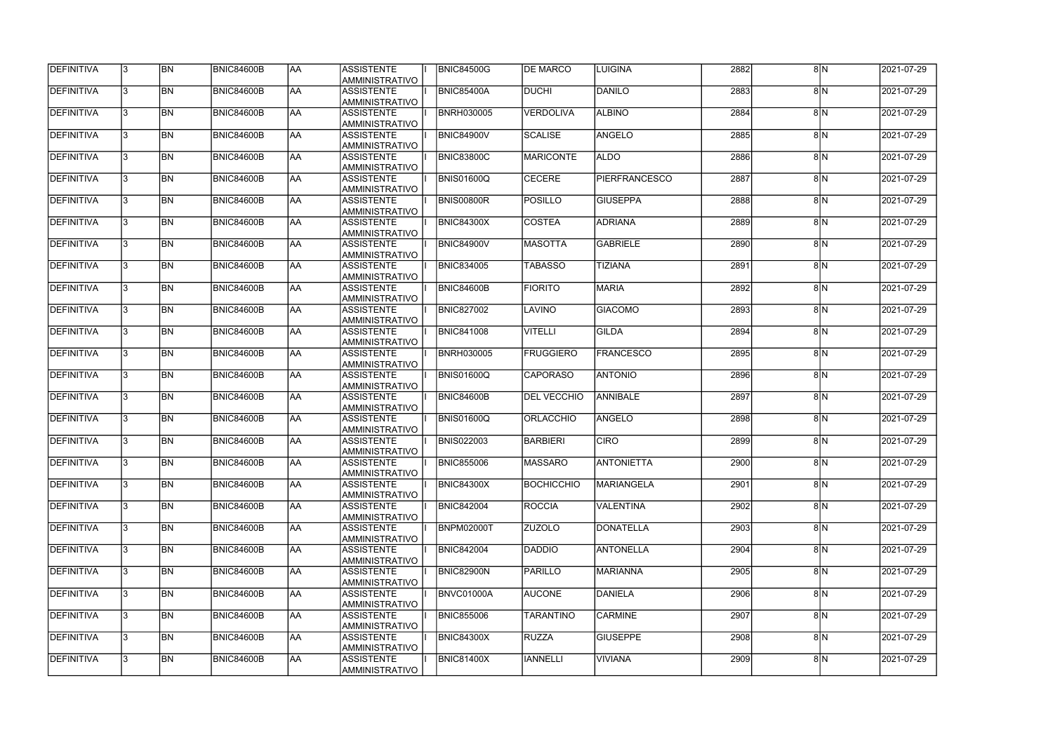| DEFINITIVA        | <b>BN</b> | BNIC84600B        | AA  | ASSISTENTE<br><b>AMMINISTRATIVO</b>        | <b>BNIC84500G</b> | <b>DE MARCO</b>    | <b>LUIGINA</b>       | 2882 | 8N         | 2021-07-29 |
|-------------------|-----------|-------------------|-----|--------------------------------------------|-------------------|--------------------|----------------------|------|------------|------------|
| DEFINITIVA        | <b>BN</b> | <b>BNIC84600B</b> | AA  | <b>ASSISTENTE</b><br>AMMINISTRATIVO        | <b>BNIC85400A</b> | <b>DUCHI</b>       | DANILO               | 2883 | 8 N        | 2021-07-29 |
| <b>DEFINITIVA</b> | <b>BN</b> | BNIC84600B        | AA  | <b>ASSISTENTE</b><br><b>AMMINISTRATIVO</b> | <b>BNRH030005</b> | <b>VERDOLIVA</b>   | <b>ALBINO</b>        | 2884 | 8 N        | 2021-07-29 |
| DEFINITIVA        | <b>BN</b> | BNIC84600B        | AA  | <b>ASSISTENTE</b><br>AMMINISTRATIVO        | <b>BNIC84900V</b> | <b>SCALISE</b>     | ANGELO               | 2885 | 8N         | 2021-07-29 |
| DEFINITIVA        | <b>BN</b> | BNIC84600B        | AA  | ASSISTENTE<br><b>AMMINISTRATIVO</b>        | <b>BNIC83800C</b> | <b>IMARICONTE</b>  | <b>ALDO</b>          | 2886 | 8 N        | 2021-07-29 |
| DEFINITIVA        | <b>BN</b> | BNIC84600B        | AA  | <b>ASSISTENTE</b><br><b>AMMINISTRATIVO</b> | <b>BNIS01600Q</b> | <b>CECERE</b>      | <b>PIERFRANCESCO</b> | 2887 | 8N         | 2021-07-29 |
| <b>DEFINITIVA</b> | <b>BN</b> | BNIC84600B        | AA  | <b>ASSISTENTE</b><br><b>AMMINISTRATIVO</b> | <b>BNIS00800R</b> | POSILLO            | <b>GIUSEPPA</b>      | 2888 | 8N         | 2021-07-29 |
| <b>DEFINITIVA</b> | <b>BN</b> | BNIC84600B        | AA  | <b>ASSISTENTE</b><br><b>AMMINISTRATIVO</b> | <b>BNIC84300X</b> | <b>COSTEA</b>      | <b>ADRIANA</b>       | 2889 | 8 N        | 2021-07-29 |
| <b>DEFINITIVA</b> | <b>BN</b> | BNIC84600B        | AA  | <b>ASSISTENTE</b><br><b>AMMINISTRATIVO</b> | <b>BNIC84900V</b> | <b>MASOTTA</b>     | GABRIELE             | 2890 | 8 N        | 2021-07-29 |
| <b>DEFINITIVA</b> | BN        | BNIC84600B        | laa | <b>ASSISTENTE</b><br><b>AMMINISTRATIVO</b> | <b>BNIC834005</b> | <b>TABASSO</b>     | <b>TIZIANA</b>       | 2891 | 8 N        | 2021-07-29 |
| DEFINITIVA        | <b>BN</b> | BNIC84600B        | AA  | <b>ASSISTENTE</b><br><b>AMMINISTRATIVO</b> | BNIC84600B        | <b>FIORITO</b>     | <b>MARIA</b>         | 2892 | 8 N        | 2021-07-29 |
| DEFINITIVA        | <b>BN</b> | BNIC84600B        | AA  | <b>ASSISTENTE</b><br>AMMINISTRATIVO        | <b>BNIC827002</b> | <b>LAVINO</b>      | <b>GIACOMO</b>       | 2893 | 8 N        | 2021-07-29 |
| <b>DEFINITIVA</b> | <b>BN</b> | BNIC84600B        | AA  | ASSISTENTE<br><b>AMMINISTRATIVO</b>        | <b>BNIC841008</b> | VITELLI            | <b>GILDA</b>         | 2894 | 8 N        | 2021-07-29 |
| DEFINITIVA        | <b>BN</b> | BNIC84600B        | laa | <b>ASSISTENTE</b><br><b>AMMINISTRATIVO</b> | <b>BNRH030005</b> | <b>FRUGGIERO</b>   | FRANCESCO            | 2895 | $8\vert N$ | 2021-07-29 |
| <b>DEFINITIVA</b> | <b>BN</b> | BNIC84600B        | AA  | <b>ASSISTENTE</b><br><b>AMMINISTRATIVO</b> | <b>BNIS01600Q</b> | <b>CAPORASO</b>    | ANTONIO              | 2896 | 8 N        | 2021-07-29 |
| DEFINITIVA        | <b>BN</b> | BNIC84600B        | AA  | <b>ASSISTENTE</b><br><b>AMMINISTRATIVO</b> | <b>BNIC84600B</b> | <b>DEL VECCHIO</b> | ANNIBALE             | 2897 | 8 N        | 2021-07-29 |
| <b>DEFINITIVA</b> | <b>BN</b> | BNIC84600B        | AA  | <b>ASSISTENTE</b><br><b>AMMINISTRATIVO</b> | <b>BNIS01600Q</b> | <b>ORLACCHIO</b>   | ANGELO               | 2898 | 8 N        | 2021-07-29 |
| DEFINITIVA        | BN        | BNIC84600B        | AA  | <b>ASSISTENTE</b><br><b>AMMINISTRATIVO</b> | <b>BNIS022003</b> | <b>BARBIERI</b>    | <b>CIRO</b>          | 2899 | 8lN        | 2021-07-29 |
| DEFINITIVA        | BN        | <b>BNIC84600B</b> | lAA | ASSISTENTE <br><b>AMMINISTRATIVO</b>       | <b>BNIC855006</b> | <b>MASSARO</b>     | <b>ANTONIETTA</b>    | 2900 | 8 N        | 2021-07-29 |
| <b>DEFINITIVA</b> | BN        | <b>BNIC84600B</b> | AA  | ASSISTENTE<br>AMMINISTRATIVO               | <b>BNIC84300X</b> | BOCHICCHIO         | <b>MARIANGELA</b>    | 2901 | 8 N        | 2021-07-29 |
| DEFINITIVA        | BN        | <b>BNIC84600B</b> | AA  | ASSISTENTE<br>AMMINISTRATIVO               | <b>BNIC842004</b> | <b>ROCCIA</b>      | VALENTINA            | 2902 | 8N         | 2021-07-29 |
| DEFINITIVA        | <b>BN</b> | <b>BNIC84600B</b> | AA  | ASSISTENTE<br><b>AMMINISTRATIVO</b>        | <b>BNPM02000T</b> | <b>ZUZOLO</b>      | DONATELLA            | 2903 | 8N         | 2021-07-29 |
| <b>DEFINITIVA</b> | BN        | <b>BNIC84600B</b> | AA  | ASSISTENTE<br><b>AMMINISTRATIVO</b>        | <b>BNIC842004</b> | DADDIO             | <b>ANTONELLA</b>     | 2904 | 8N         | 2021-07-29 |
| <b>DEFINITIVA</b> | <b>BN</b> | <b>BNIC84600B</b> | AA  | <b>ASSISTENTE</b><br><b>AMMINISTRATIVO</b> | <b>BNIC82900N</b> | PARILLO            | MARIANNA             | 2905 | 8 N        | 2021-07-29 |
| <b>DEFINITIVA</b> | BN        | BNIC84600B        | AA  | <b>ASSISTENTE</b><br><b>AMMINISTRATIVO</b> | BNVC01000A        | <b>AUCONE</b>      | DANIELA              | 2906 | 8N         | 2021-07-29 |
| DEFINITIVA        | BN        | BNIC84600B        | AA  | <b>ASSISTENTE</b><br><b>AMMINISTRATIVO</b> | <b>BNIC855006</b> | <b>TARANTINO</b>   | <b>CARMINE</b>       | 2907 | 8 N        | 2021-07-29 |
| <b>DEFINITIVA</b> | <b>BN</b> | <b>BNIC84600B</b> | AA  | <b>ASSISTENTE</b><br> AMMINISTRATIVO       | <b>BNIC84300X</b> | RUZZA              | <b>GIUSEPPE</b>      | 2908 | 8 N        | 2021-07-29 |
| <b>DEFINITIVA</b> | BN        | BNIC84600B        | AA  | ASSISTENTE<br><b>AMMINISTRATIVO</b>        | <b>BNIC81400X</b> | <b>IANNELLI</b>    | <b>VIVIANA</b>       | 2909 | 8 N        | 2021-07-29 |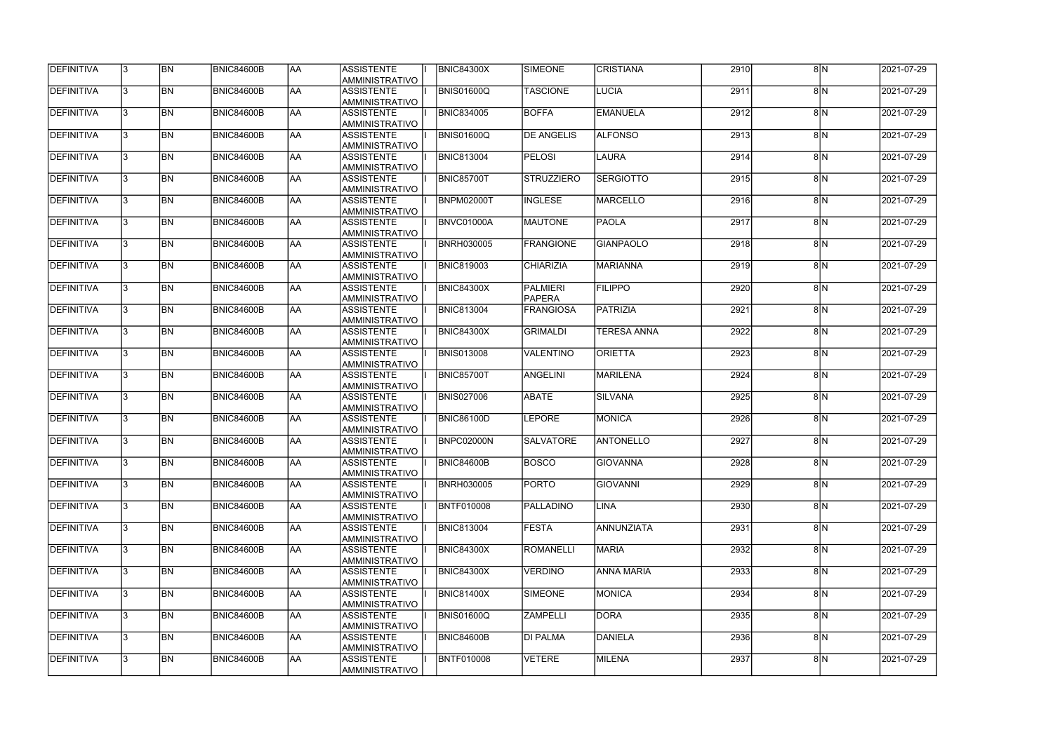| <b>DEFINITIVA</b> | 13. | <b>BN</b> | <b>BNIC84600B</b> | <b>AA</b> | ASSISTENTE<br>AMMINISTRATIVO        | <b>BNIC84300X</b> | SIMEONE                   | <b>CRISTIANA</b>   | 2910 | 8N  | 2021-07-29 |
|-------------------|-----|-----------|-------------------|-----------|-------------------------------------|-------------------|---------------------------|--------------------|------|-----|------------|
| DEFINITIVA        | 13. | <b>BN</b> | <b>BNIC84600B</b> | AA        | <b>ASSISTENTE</b><br>AMMINISTRATIVO | <b>BNIS01600Q</b> | <b>TASCIONE</b>           | <b>LUCIA</b>       | 2911 | 8N  | 2021-07-29 |
| DEFINITIVA        | 13. | <b>BN</b> | <b>BNIC84600B</b> | AA        | <b>ASSISTENTE</b><br>AMMINISTRATIVO | <b>BNIC834005</b> | <b>BOFFA</b>              | <b>EMANUELA</b>    | 2912 | 8 N | 2021-07-29 |
| DEFINITIVA        | l3. | <b>BN</b> | <b>BNIC84600B</b> | AA        | <b>ASSISTENTE</b><br>AMMINISTRATIVO | <b>BNIS01600Q</b> | <b>DE ANGELIS</b>         | <b>ALFONSO</b>     | 2913 | 8N  | 2021-07-29 |
| DEFINITIVA        | l3. | <b>BN</b> | <b>BNIC84600B</b> | <b>AA</b> | <b>ASSISTENTE</b><br>AMMINISTRATIVO | <b>BNIC813004</b> | <b>PELOSI</b>             | <b>LAURA</b>       | 2914 | 8N  | 2021-07-29 |
| DEFINITIVA        | l3. | <b>BN</b> | <b>BNIC84600B</b> | <b>AA</b> | <b>ASSISTENTE</b><br>AMMINISTRATIVO | <b>BNIC85700T</b> | <b>STRUZZIERO</b>         | <b>SERGIOTTO</b>   | 2915 | 8N  | 2021-07-29 |
| <b>DEFINITIVA</b> | 3   | <b>BN</b> | <b>BNIC84600B</b> | AA        | <b>ASSISTENTE</b><br>AMMINISTRATIVO | <b>BNPM02000T</b> | <b>INGLESE</b>            | <b>MARCELLO</b>    | 2916 | 8N  | 2021-07-29 |
| DEFINITIVA        |     | <b>BN</b> | <b>BNIC84600B</b> | AA        | <b>ASSISTENTE</b><br>AMMINISTRATIVO | BNVC01000A        | <b>MAUTONE</b>            | <b>PAOLA</b>       | 2917 | 8 N | 2021-07-29 |
| DEFINITIVA        |     | <b>BN</b> | <b>BNIC84600B</b> | AA        | <b>ASSISTENTE</b><br>AMMINISTRATIVO | <b>BNRH030005</b> | <b>FRANGIONE</b>          | <b>GIANPAOLO</b>   | 2918 | 8lN | 2021-07-29 |
| DEFINITIVA        |     | <b>BN</b> | <b>BNIC84600B</b> | laa       | <b>ASSISTENTE</b><br>AMMINISTRATIVO | <b>BNIC819003</b> | <b>CHIARIZIA</b>          | <b>MARIANNA</b>    | 2919 | 8 N | 2021-07-29 |
| DEFINITIVA        | l3. | <b>BN</b> | <b>BNIC84600B</b> | laa       | <b>ASSISTENTE</b><br>AMMINISTRATIVO | <b>BNIC84300X</b> | PALMIERI<br><b>PAPERA</b> | <b>FILIPPO</b>     | 2920 | 8 N | 2021-07-29 |
| DEFINITIVA        | l3. | <b>BN</b> | <b>BNIC84600B</b> | AA        | <b>ASSISTENTE</b><br>AMMINISTRATIVO | <b>BNIC813004</b> | <b>FRANGIOSA</b>          | PATRIZIA           | 2921 | 8 N | 2021-07-29 |
| DEFINITIVA        | 3   | <b>BN</b> | BNIC84600B        | AA        | <b>ASSISTENTE</b><br>AMMINISTRATIVO | <b>BNIC84300X</b> | GRIMALDI                  | <b>TERESA ANNA</b> | 2922 | 8lN | 2021-07-29 |
| DEFINITIVA        |     | <b>BN</b> | <b>BNIC84600B</b> | AA        | <b>ASSISTENTE</b><br>AMMINISTRATIVO | <b>BNIS013008</b> | <b>VALENTINO</b>          | <b>ORIETTA</b>     | 2923 | 8 N | 2021-07-29 |
| DEFINITIVA        | 3   | <b>BN</b> | <b>BNIC84600B</b> | AA        | <b>ASSISTENTE</b><br>AMMINISTRATIVO | <b>BNIC85700T</b> | ANGELINI                  | <b>MARILENA</b>    | 2924 | 8lN | 2021-07-29 |
| DEFINITIVA        | l3. | <b>BN</b> | <b>BNIC84600B</b> | AA        | <b>ASSISTENTE</b><br>AMMINISTRATIVO | <b>BNIS027006</b> | <b>ABATE</b>              | <b>SILVANA</b>     | 2925 | 8 N | 2021-07-29 |
| <b>DEFINITIVA</b> |     | <b>BN</b> | <b>BNIC84600B</b> | AA        | <b>ASSISTENTE</b><br>AMMINISTRATIVO | <b>BNIC86100D</b> | <b>LEPORE</b>             | <b>MONICA</b>      | 2926 | 8 N | 2021-07-29 |
| DEFINITIVA        |     | <b>BN</b> | <b>BNIC84600B</b> | AA        | <b>ASSISTENTE</b><br>AMMINISTRATIVO | <b>BNPC02000N</b> | <b>SALVATORE</b>          | <b>ANTONELLO</b>   | 2927 | 8 N | 2021-07-29 |
| <b>DEFINITIVA</b> | 13  | <b>BN</b> | <b>BNIC84600B</b> | AA        | ASSISTENTE <br>IAMMINISTRATIVO      | <b>BNIC84600B</b> | <b>BOSCO</b>              | <b>GIOVANNA</b>    | 2928 | 8 N | 2021-07-29 |
| DEFINITIVA        | 13. | <b>BN</b> | <b>BNIC84600B</b> | AA        | ASSISTENTE<br>AMMINISTRATIVO        | <b>BNRH030005</b> | <b>PORTO</b>              | <b>GIOVANNI</b>    | 2929 | 8 N | 2021-07-29 |
| DEFINITIVA        | I3. | <b>BN</b> | <b>BNIC84600B</b> | AA        | ASSISTENTE<br>AMMINISTRATIVO        | <b>BNTF010008</b> | PALLADINO                 | LINA               | 2930 | 8N  | 2021-07-29 |
| DEFINITIVA        | l3. | <b>BN</b> | <b>BNIC84600B</b> | <b>AA</b> | <b>ASSISTENTE</b><br>AMMINISTRATIVO | <b>BNIC813004</b> | <b>FESTA</b>              | <b>ANNUNZIATA</b>  | 2931 | 8N  | 2021-07-29 |
| DEFINITIVA        | 3   | <b>BN</b> | <b>BNIC84600B</b> | AA        | <b>ASSISTENTE</b><br>AMMINISTRATIVO | <b>BNIC84300X</b> | ROMANELLI                 | <b>MARIA</b>       | 2932 | 8N  | 2021-07-29 |
| DEFINITIVA        | l3. | <b>BN</b> | <b>BNIC84600B</b> | AA        | <b>ASSISTENTE</b><br>AMMINISTRATIVO | <b>BNIC84300X</b> | <b>VERDINO</b>            | <b>ANNA MARIA</b>  | 2933 | 8 N | 2021-07-29 |
| DEFINITIVA        |     | <b>BN</b> | <b>BNIC84600B</b> | AA        | <b>ASSISTENTE</b><br>AMMINISTRATIVO | <b>BNIC81400X</b> | SIMEONE                   | <b>MONICA</b>      | 2934 | 8N  | 2021-07-29 |
| DEFINITIVA        | I3. | <b>BN</b> | <b>BNIC84600B</b> | AA        | <b>ASSISTENTE</b><br>AMMINISTRATIVO | <b>BNIS01600Q</b> | <b>ZAMPELLI</b>           | <b>DORA</b>        | 2935 | 8 N | 2021-07-29 |
| DEFINITIVA        | 13. | <b>BN</b> | <b>BNIC84600B</b> | AA        | <b>ASSISTENTE</b><br>AMMINISTRATIVO | <b>BNIC84600B</b> | <b>DI PALMA</b>           | <b>DANIELA</b>     | 2936 | 8 N | 2021-07-29 |
| DEFINITIVA        |     | <b>BN</b> | <b>BNIC84600B</b> | AA        | <b>ASSISTENTE</b><br>AMMINISTRATIVO | <b>BNTF010008</b> | VETERE                    | <b>MILENA</b>      | 2937 | 8 N | 2021-07-29 |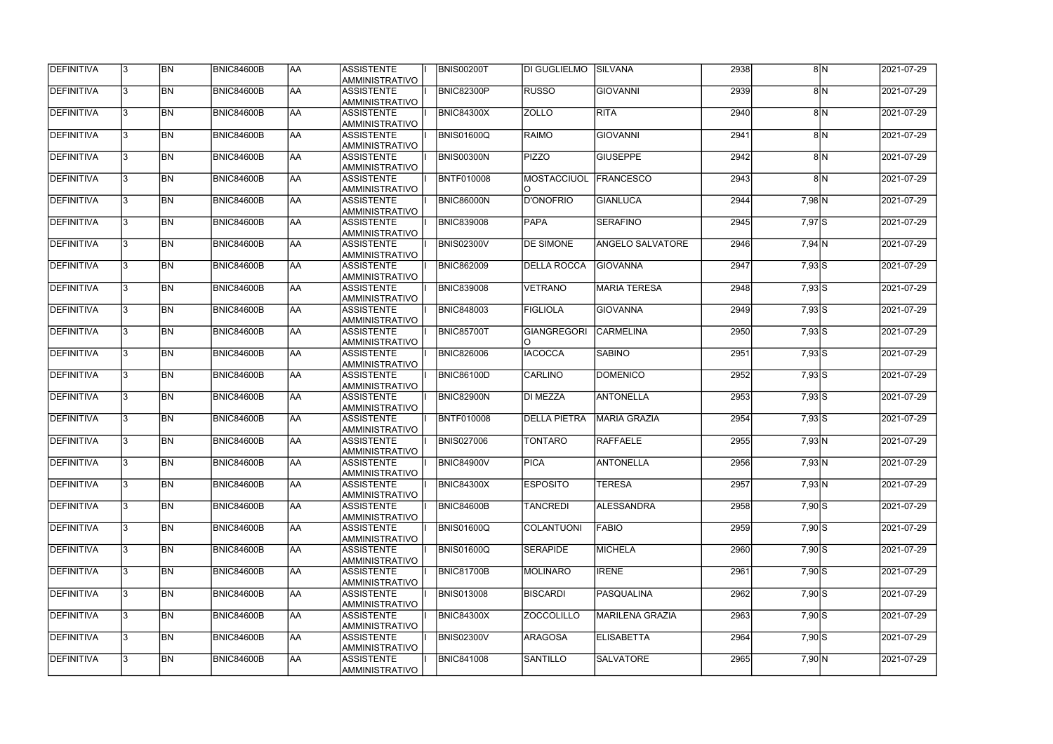| <b>DEFINITIVA</b> |              | <b>BN</b> | <b>BNIC84600B</b> | <b>AA</b>  | <b>ASSISTENTE</b><br><b>AMMINISTRATIVO</b> | <b>BNIS00200T</b> | DI GUGLIELMO        | <b>SILVANA</b>         | 2938 |            | 8N | 2021-07-29 |
|-------------------|--------------|-----------|-------------------|------------|--------------------------------------------|-------------------|---------------------|------------------------|------|------------|----|------------|
| DEFINITIVA        | 3            | <b>BN</b> | <b>BNIC84600B</b> | AA         | <b>ASSISTENTE</b><br>AMMINISTRATIVO        | BNIC82300P        | <b>RUSSO</b>        | <b>GIOVANNI</b>        | 2939 |            | 8N | 2021-07-29 |
| DEFINITIVA        | 3            | <b>BN</b> | <b>BNIC84600B</b> | AA         | ASSISTENTE<br>AMMINISTRATIVO               | <b>BNIC84300X</b> | <b>ZOLLO</b>        | <b>RITA</b>            | 2940 |            | 8N | 2021-07-29 |
| DEFINITIVA        |              | <b>BN</b> | <b>BNIC84600B</b> | <b>AA</b>  | <b>ASSISTENTE</b><br>AMMINISTRATIVO        | <b>BNIS01600Q</b> | RAIMO               | <b>GIOVANNI</b>        | 2941 |            | 8N | 2021-07-29 |
| DEFINITIVA        |              | <b>BN</b> | <b>BNIC84600B</b> | <b>AA</b>  | ASSISTENTE<br>AMMINISTRATIVO               | <b>BNIS00300N</b> | <b>PIZZO</b>        | <b>GIUSEPPE</b>        | 2942 |            | 8N | 2021-07-29 |
| <b>DEFINITIVA</b> |              | <b>BN</b> | BNIC84600B        | AA         | <b>ASSISTENTE</b><br><b>AMMINISTRATIVO</b> | <b>BNTF010008</b> | MOSTACCIUOL         | <b>FRANCESCO</b>       | 2943 |            | 8N | 2021-07-29 |
| <b>DEFINITIVA</b> |              | <b>BN</b> | BNIC84600B        | AA         | <b>ASSISTENTE</b><br><b>AMMINISTRATIVO</b> | <b>BNIC86000N</b> | <b>D'ONOFRIO</b>    | <b>GIANLUCA</b>        | 2944 | 7,98 N     |    | 2021-07-29 |
| DEFINITIVA        |              | <b>BN</b> | <b>BNIC84600B</b> | AA         | <b>ASSISTENTE</b><br><b>AMMINISTRATIVO</b> | <b>BNIC839008</b> | <b>PAPA</b>         | <b>SERAFINO</b>        | 2945 | 7,97 S     |    | 2021-07-29 |
| DEFINITIVA        |              | <b>BN</b> | BNIC84600B        | AA         | <b>ASSISTENTE</b><br>AMMINISTRATIVO        | <b>BNIS02300V</b> | <b>DE SIMONE</b>    | ANGELO SALVATORE       | 2946 | $7,94$ N   |    | 2021-07-29 |
| <b>DEFINITIVA</b> |              | <b>BN</b> | <b>BNIC84600B</b> | AA         | <b>ASSISTENTE</b><br>AMMINISTRATIVO        | <b>BNIC862009</b> | <b>DELLA ROCCA</b>  | <b>GIOVANNA</b>        | 2947 | $7,93$ S   |    | 2021-07-29 |
| DEFINITIVA        |              | <b>BN</b> | <b>BNIC84600B</b> | <b>JAA</b> | <b>ASSISTENTE</b><br>AMMINISTRATIVO        | <b>BNIC839008</b> | <b>VETRANO</b>      | <b>MARIA TERESA</b>    | 2948 | $7,93$ S   |    | 2021-07-29 |
| <b>DEFINITIVA</b> |              | <b>BN</b> | <b>BNIC84600B</b> | AA         | <b>ASSISTENTE</b><br>AMMINISTRATIVO        | <b>BNIC848003</b> | <b>FIGLIOLA</b>     | <b>GIOVANNA</b>        | 2949 | 7,93 S     |    | 2021-07-29 |
| DEFINITIVA        |              | <b>BN</b> | <b>BNIC84600B</b> | AA         | ASSISTENTE<br>AMMINISTRATIVO               | BNIC85700T        | <b>GIANGREGORI</b>  | <b>CARMELINA</b>       | 2950 | $7,93$ S   |    | 2021-07-29 |
| <b>DEFINITIVA</b> |              | <b>BN</b> | <b>BNIC84600B</b> | AA         | <b>ASSISTENTE</b><br><b>AMMINISTRATIVO</b> | <b>BNIC826006</b> | <b>IACOCCA</b>      | <b>SABINO</b>          | 2951 | $7,93$ S   |    | 2021-07-29 |
| <b>DEFINITIVA</b> |              | <b>BN</b> | <b>BNIC84600B</b> | AA         | <b>ASSISTENTE</b><br><b>AMMINISTRATIVO</b> | <b>BNIC86100D</b> | <b>CARLINO</b>      | <b>DOMENICO</b>        | 2952 | $7,93$ S   |    | 2021-07-29 |
| <b>DEFINITIVA</b> |              | <b>BN</b> | <b>BNIC84600B</b> | AA         | <b>ASSISTENTE</b><br><b>AMMINISTRATIVO</b> | <b>BNIC82900N</b> | DI MEZZA            | <b>ANTONELLA</b>       | 2953 | $7,93$ S   |    | 2021-07-29 |
| DEFINITIVA        |              | <b>BN</b> | <b>BNIC84600B</b> | AA         | <b>ASSISTENTE</b><br>AMMINISTRATIVO        | <b>BNTF010008</b> | <b>DELLA PIETRA</b> | <b>MARIA GRAZIA</b>    | 2954 | 7,93 S     |    | 2021-07-29 |
| DEFINITIVA        |              | <b>BN</b> | BNIC84600B        | AA         | <b>ASSISTENTE</b><br>AMMINISTRATIVO        | <b>BNIS027006</b> | <b>TONTARO</b>      | <b>RAFFAELE</b>        | 2955 | 7,93 N     |    | 2021-07-29 |
| <b>DEFINITIVA</b> | 13           | BN        | <b>BNIC84600B</b> | <b>JAA</b> | <b>ASSISTENTE</b><br><b>AMMINISTRATIVO</b> | <b>BNIC84900V</b> | <b>PICA</b>         | <b>ANTONELLA</b>       | 2956 | 7,93 N     |    | 2021-07-29 |
| DEFINITIVA        | l3.          | <b>BN</b> | <b>BNIC84600B</b> | AA         | ASSISTENTE<br>AMMINISTRATIVO               | <b>BNIC84300X</b> | <b>ESPOSITO</b>     | <b>TERESA</b>          | 2957 | 7,93 N     |    | 2021-07-29 |
| DEFINITIVA        | 3            | <b>BN</b> | <b>BNIC84600B</b> | AA         | ASSISTENTE<br>AMMINISTRATIVO               | BNIC84600B        | <b>TANCREDI</b>     | <b>ALESSANDRA</b>      | 2958 | $7,90$ S   |    | 2021-07-29 |
| <b>DEFINITIVA</b> | $\mathbf{3}$ | <b>BN</b> | <b>BNIC84600B</b> | AA         | <b>ASSISTENTE</b><br>AMMINISTRATIVO        | <b>BNIS01600Q</b> | <b>COLANTUONI</b>   | <b>FABIO</b>           | 2959 | $7,90$ S   |    | 2021-07-29 |
| DEFINITIVA        |              | <b>BN</b> | <b>BNIC84600B</b> | AA         | <b>ASSISTENTE</b><br><b>AMMINISTRATIVO</b> | <b>BNIS01600Q</b> | <b>SERAPIDE</b>     | <b>MICHELA</b>         | 2960 | $7,90$ S   |    | 2021-07-29 |
| DEFINITIVA        |              | <b>BN</b> | <b>BNIC84600B</b> | AA         | <b>ASSISTENTE</b><br><b>AMMINISTRATIVO</b> | <b>BNIC81700B</b> | MOLINARO            | <b>IRENE</b>           | 2961 | 7,90 S     |    | 2021-07-29 |
| DEFINITIVA        |              | <b>BN</b> | <b>BNIC84600B</b> | AA         | <b>ASSISTENTE</b><br>AMMINISTRATIVO        | <b>BNIS013008</b> | <b>BISCARDI</b>     | <b>PASQUALINA</b>      | 2962 | $7,90$ S   |    | 2021-07-29 |
| DEFINITIVA        |              | <b>BN</b> | BNIC84600B        | AA         | ASSISTENTE<br>AMMINISTRATIVO               | <b>BNIC84300X</b> | <b>ZOCCOLILLO</b>   | <b>MARILENA GRAZIA</b> | 2963 | 7,90 S     |    | 2021-07-29 |
| DEFINITIVA        | 3.           | <b>BN</b> | <b>BNIC84600B</b> | AA         | ASSISTENTE<br>AMMINISTRATIVO               | <b>BNIS02300V</b> | <b>ARAGOSA</b>      | <b>ELISABETTA</b>      | 2964 | 7,90 S     |    | 2021-07-29 |
| DEFINITIVA        |              | BN        | <b>BNIC84600B</b> | AA         | ASSISTENTE<br>AMMINISTRATIVO               | <b>BNIC841008</b> | <b>SANTILLO</b>     | <b>SALVATORE</b>       | 2965 | $7,90 \ N$ |    | 2021-07-29 |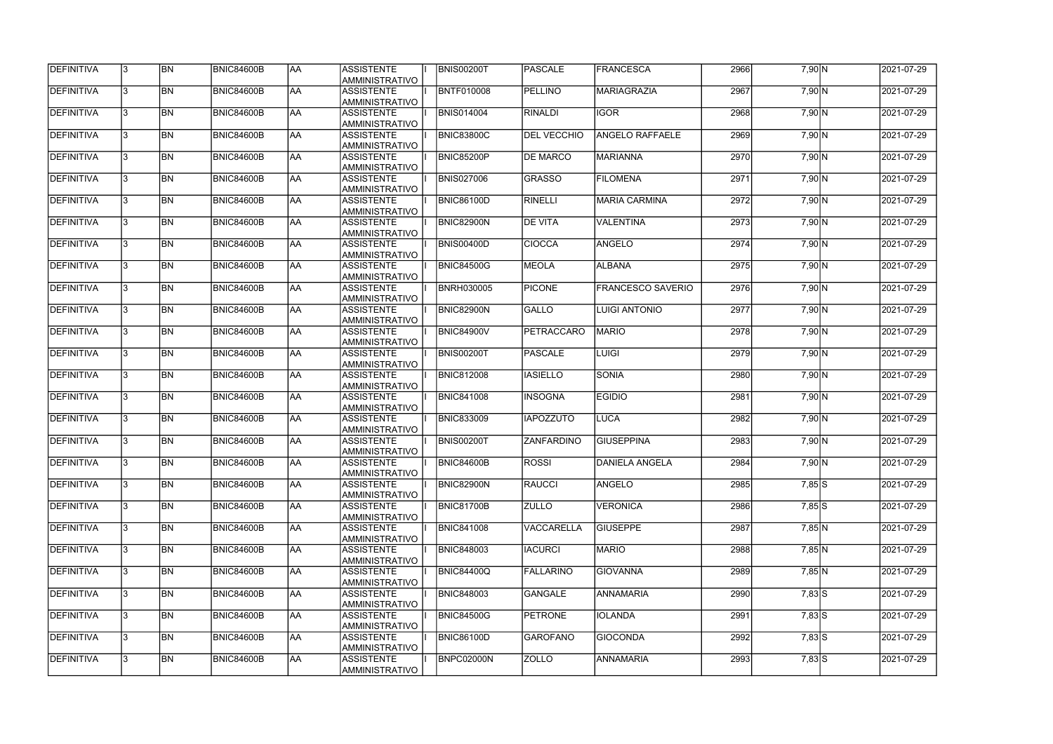| <b>DEFINITIVA</b> | 13. | <b>BN</b>      | <b>BNIC84600B</b> | laa        | ASSISTENTE<br>AMMINISTRATIVO        | <b>BNIS00200T</b> | <b>PASCALE</b>     | <b>FRANCESCA</b>         | 2966 | $7,90 \ N$ | 2021-07-29           |
|-------------------|-----|----------------|-------------------|------------|-------------------------------------|-------------------|--------------------|--------------------------|------|------------|----------------------|
| DEFINITIVA        | 13. | <b>BN</b>      | <b>BNIC84600B</b> | AA         | <b>ASSISTENTE</b><br>AMMINISTRATIVO | <b>BNTF010008</b> | <b>PELLINO</b>     | <b>MARIAGRAZIA</b>       | 2967 | $7,90 \ N$ | 2021-07-29           |
| DEFINITIVA        | l3. | <b>BN</b>      | <b>BNIC84600B</b> | AA         | <b>ASSISTENTE</b><br>AMMINISTRATIVO | <b>BNIS014004</b> | <b>RINALDI</b>     | <b>IGOR</b>              | 2968 | $7,90 \ N$ | 2021-07-29           |
| DEFINITIVA        | l3. | <b>BN</b>      | <b>BNIC84600B</b> | <b>AA</b>  | <b>ASSISTENTE</b><br>AMMINISTRATIVO | <b>BNIC83800C</b> | <b>DEL VECCHIO</b> | <b>ANGELO RAFFAELE</b>   | 2969 | $7,90$ N   | $\sqrt{2021-07}$ -29 |
| DEFINITIVA        | l3. | <b>BN</b>      | <b>BNIC84600B</b> | <b>AA</b>  | <b>ASSISTENTE</b><br>AMMINISTRATIVO | BNIC85200P        | <b>DE MARCO</b>    | <b>MARIANNA</b>          | 2970 | 7,90 N     | 2021-07-29           |
| DEFINITIVA        | 3   | <b>BN</b>      | <b>BNIC84600B</b> | AA         | <b>ASSISTENTE</b><br>AMMINISTRATIVO | <b>BNIS027006</b> | <b>GRASSO</b>      | <b>FILOMENA</b>          | 2971 | $7,90 \ N$ | 2021-07-29           |
| DEFINITIVA        |     | <b>BN</b>      | <b>BNIC84600B</b> | AA         | <b>ASSISTENTE</b><br>AMMINISTRATIVO | <b>BNIC86100D</b> | RINELLI            | <b>MARIA CARMINA</b>     | 2972 | $7,90 \ N$ | 2021-07-29           |
| DEFINITIVA        |     | <b>BN</b>      | <b>BNIC84600B</b> | AA         | <b>ASSISTENTE</b><br>AMMINISTRATIVO | <b>BNIC82900N</b> | <b>DE VITA</b>     | <b>VALENTINA</b>         | 2973 | $7,90 \ N$ | 2021-07-29           |
| DEFINITIVA        |     | <b>BN</b>      | <b>BNIC84600B</b> | laa        | <b>ASSISTENTE</b><br>AMMINISTRATIVO | <b>BNIS00400D</b> | <b>CIOCCA</b>      | ANGELO                   | 2974 | $7,90 \ N$ | 2021-07-29           |
| DEFINITIVA        |     | <b>BN</b>      | <b>BNIC84600B</b> | laa        | <b>ASSISTENTE</b><br>AMMINISTRATIVO | <b>BNIC84500G</b> | <b>MEOLA</b>       | <b>ALBANA</b>            | 2975 | $7,90 \ N$ | 2021-07-29           |
| DEFINITIVA        | l3. | <b>BN</b>      | <b>BNIC84600B</b> | AA         | <b>ASSISTENTE</b><br>AMMINISTRATIVO | <b>BNRH030005</b> | <b>PICONE</b>      | <b>FRANCESCO SAVERIO</b> | 2976 | $7,90 \ N$ | 2021-07-29           |
| DEFINITIVA        | 3   | <b>BN</b>      | BNIC84600B        | <b>AA</b>  | <b>ASSISTENTE</b><br>AMMINISTRATIVO | BNIC82900N        | GALLO              | LUIGI ANTONIO            | 2977 | $7,90$ N   | 2021-07-29           |
| DEFINITIVA        | l3. | <b>BN</b>      | <b>BNIC84600B</b> | AA         | <b>ASSISTENTE</b><br>AMMINISTRATIVO | <b>BNIC84900V</b> | PETRACCARO         | <b>MARIO</b>             | 2978 | $7,90 \ N$ | 2021-07-29           |
| DEFINITIVA        | 3   | <b>BN</b>      | <b>BNIC84600B</b> | AA         | <b>ASSISTENTE</b><br>AMMINISTRATIVO | <b>BNIS00200T</b> | PASCALE            | <b>LUIGI</b>             | 2979 | $7,90 \ N$ | 2021-07-29           |
| DEFINITIVA        |     | <b>BN</b>      | <b>BNIC84600B</b> | AA         | <b>ASSISTENTE</b><br>AMMINISTRATIVO | <b>BNIC812008</b> | <b>IASIELLO</b>    | <b>SONIA</b>             | 2980 | $7,90 \ N$ | 2021-07-29           |
| DEFINITIVA        |     | <b>BN</b>      | <b>BNIC84600B</b> | AA         | <b>ASSISTENTE</b><br>AMMINISTRATIVO | <b>BNIC841008</b> | <b>INSOGNA</b>     | <b>EGIDIO</b>            | 2981 | 7,90 N     | 2021-07-29           |
| DEFINITIVA        | 3   | <b>BN</b>      | <b>BNIC84600B</b> | AA         | <b>ASSISTENTE</b><br>AMMINISTRATIVO | <b>BNIC833009</b> | <b>IAPOZZUTO</b>   | LUCA                     | 2982 | $7,90 \ N$ | 2021-07-29           |
| DEFINITIVA        |     | <b>BN</b>      | <b>BNIC84600B</b> | AA         | <b>ASSISTENTE</b><br>AMMINISTRATIVO | <b>BNIS00200T</b> | <b>ZANFARDINO</b>  | <b>GIUSEPPINA</b>        | 2983 | $7,90 \ N$ | 2021-07-29           |
| DEFINITIVA        | 13  | BN             | <b>BNIC84600B</b> | <b>JAA</b> | <b>ASSISTENTE</b><br>AMMINISTRATIVO | <b>BNIC84600B</b> | ROSSI              | <b>DANIELA ANGELA</b>    | 2984 | $7,90 \ N$ | 2021-07-29           |
| <b>DEFINITIVA</b> | 13. | <b>BN</b>      | <b>BNIC84600B</b> | AA         | <b>ASSISTENTE</b><br>AMMINISTRATIVO | <b>BNIC82900N</b> | RAUCCI             | ANGELO                   | 2985 | $7,85$ S   | 2021-07-29           |
| DEFINITIVA        | l3. | <b>BN</b>      | <b>BNIC84600B</b> | <b>AA</b>  | <b>ASSISTENTE</b><br>AMMINISTRATIVO | <b>BNIC81700B</b> | <b>ZULLO</b>       | <b>VERONICA</b>          | 2986 | 7,85S      | 2021-07-29           |
| DEFINITIVA        | l3. | <b>BN</b>      | <b>BNIC84600B</b> | <b>AA</b>  | <b>ASSISTENTE</b><br>AMMINISTRATIVO | <b>BNIC841008</b> | <b>VACCARELLA</b>  | <b>GIUSEPPE</b>          | 2987 | 7,85 N     | 2021-07-29           |
| DEFINITIVA        | l3. | <b>BN</b>      | <b>BNIC84600B</b> | <b>AA</b>  | <b>ASSISTENTE</b><br>AMMINISTRATIVO | <b>BNIC848003</b> | <b>IACURCI</b>     | <b>MARIO</b>             | 2988 | 7,85 N     | 2021-07-29           |
| DEFINITIVA        |     | <b>BN</b>      | <b>BNIC84600B</b> | AA         | <b>ASSISTENTE</b><br>AMMINISTRATIVO | <b>BNIC84400Q</b> | FALLARINO          | <b>GIOVANNA</b>          | 2989 | 7,85 N     | 2021-07-29           |
| DEFINITIVA        |     | <b>BN</b>      | <b>BNIC84600B</b> | <b>AA</b>  | <b>ASSISTENTE</b><br>AMMINISTRATIVO | <b>BNIC848003</b> | <b>GANGALE</b>     | <b>ANNAMARIA</b>         | 2990 | $7,83$ S   | 2021-07-29           |
| DEFINITIVA        | I3. | BN <sub></sub> | <b>BNIC84600B</b> | AA         | <b>ASSISTENTE</b><br>AMMINISTRATIVO | <b>BNIC84500G</b> | PETRONE            | <b>IOLANDA</b>           | 2991 | $7,83$ S   | 2021-07-29           |
| DEFINITIVA        | 13. | <b>BN</b>      | <b>BNIC84600B</b> | AA         | <b>ASSISTENTE</b><br>AMMINISTRATIVO | <b>BNIC86100D</b> | GAROFANO           | <b>GIOCONDA</b>          | 2992 | $7,83$ S   | 2021-07-29           |
| DEFINITIVA        |     | <b>BN</b>      | <b>BNIC84600B</b> | AA         | <b>ASSISTENTE</b><br>AMMINISTRATIVO | BNPC02000N        | <b>ZOLLO</b>       | <b>ANNAMARIA</b>         | 2993 | $7,83$ S   | 2021-07-29           |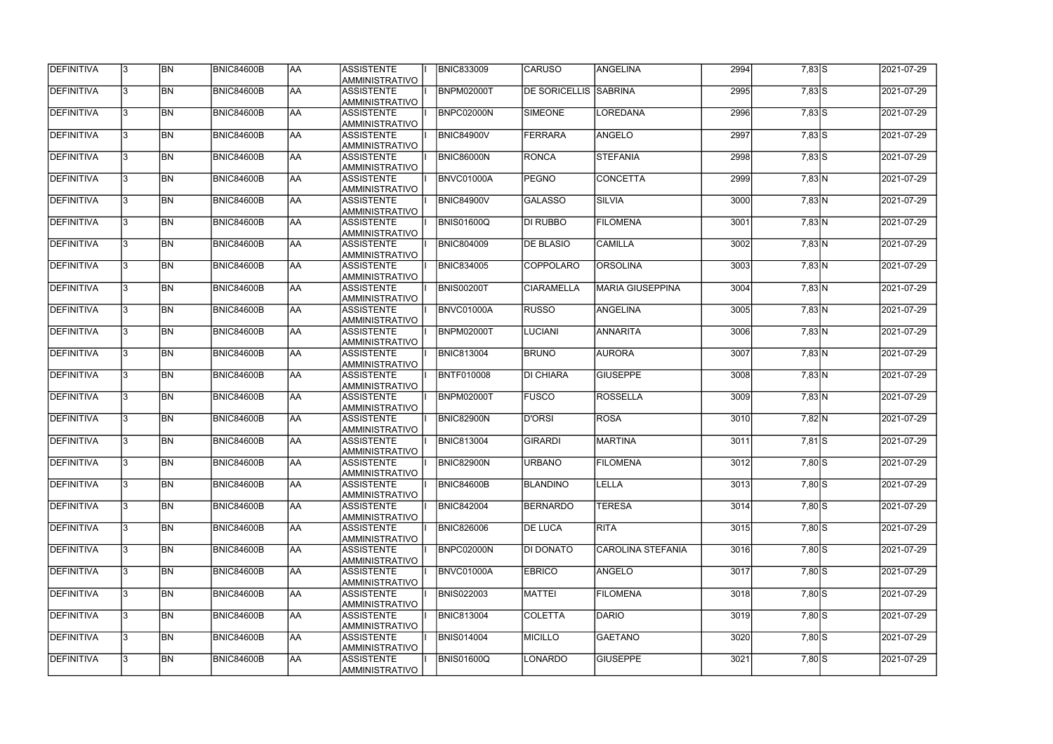| DEFINITIVA        | 13. | <b>BN</b> | <b>BNIC84600B</b> | AA        | <b>ASSISTENTE</b><br>AMMINISTRATIVO        | <b>BNIC833009</b> | <b>CARUSO</b>                | ANGELINA                 | 2994 | $7,83$ S | 2021-07-29 |
|-------------------|-----|-----------|-------------------|-----------|--------------------------------------------|-------------------|------------------------------|--------------------------|------|----------|------------|
| <b>DEFINITIVA</b> | 13. | <b>BN</b> | <b>BNIC84600B</b> | laa       | <b>ASSISTENTE</b><br>AMMINISTRATIVO        | BNPM02000T        | <b>DE SORICELLIS SABRINA</b> |                          | 2995 | $7,83$ S | 2021-07-29 |
| DEFINITIVA        | l3. | <b>BN</b> | <b>BNIC84600B</b> | AA        | <b>ASSISTENTE</b><br>AMMINISTRATIVO        | BNPC02000N        | <b>SIMEONE</b>               | <b>LOREDANA</b>          | 2996 | $7,83$ S | 2021-07-29 |
| <b>DEFINITIVA</b> | l3. | <b>BN</b> | BNIC84600B        | <b>AA</b> | <b>ASSISTENTE</b><br>AMMINISTRATIVO        | BNIC84900V        | FERRARA                      | <b>ANGELO</b>            | 2997 | $7,83$ S | 2021-07-29 |
| DEFINITIVA        | l3. | <b>BN</b> | <b>BNIC84600B</b> | laa       | <b>ASSISTENTE</b><br>AMMINISTRATIVO        | BNIC86000N        | RONCA                        | <b>STEFANIA</b>          | 2998 | $7,83$ S | 2021-07-29 |
| DEFINITIVA        | l3  | <b>BN</b> | <b>BNIC84600B</b> | laa       | <b>ASSISTENTE</b><br>AMMINISTRATIVO        | BNVC01000A        | PEGNO                        | <b>CONCETTA</b>          | 2999 | 7,83 N   | 2021-07-29 |
| DEFINITIVA        |     | <b>BN</b> | <b>BNIC84600B</b> | laa       | <b>ASSISTENTE</b><br><b>AMMINISTRATIVO</b> | <b>BNIC84900V</b> | <b>GALASSO</b>               | <b>SILVIA</b>            | 3000 | 7,83 N   | 2021-07-29 |
| DEFINITIVA        |     | <b>BN</b> | BNIC84600B        | laa       | <b>ASSISTENTE</b><br>AMMINISTRATIVO        | <b>BNIS01600Q</b> | DI RUBBO                     | <b>FILOMENA</b>          | 3001 | 7,83 N   | 2021-07-29 |
| DEFINITIVA        |     | <b>BN</b> | <b>BNIC84600B</b> | AA        | <b>ASSISTENTE</b><br>AMMINISTRATIVO        | <b>BNIC804009</b> | <b>DE BLASIO</b>             | <b>CAMILLA</b>           | 3002 | 7,83 N   | 2021-07-29 |
| DEFINITIVA        | l3. | <b>BN</b> | <b>BNIC84600B</b> | laa       | <b>ASSISTENTE</b><br>AMMINISTRATIVO        | <b>BNIC834005</b> | <b>COPPOLARO</b>             | <b>ORSOLINA</b>          | 3003 | 7,83 N   | 2021-07-29 |
| DEFINITIVA        | l3  | <b>BN</b> | <b>BNIC84600B</b> | AA        | <b>ASSISTENTE</b><br>AMMINISTRATIVO        | <b>BNIS00200T</b> | <b>CIARAMELLA</b>            | <b>MARIA GIUSEPPINA</b>  | 3004 | 7,83 N   | 2021-07-29 |
| <b>DEFINITIVA</b> | 3   | <b>BN</b> | BNIC84600B        | <b>AA</b> | <b>ASSISTENTE</b><br>AMMINISTRATIVO        | BNVC01000A        | <b>RUSSO</b>                 | <b>ANGELINA</b>          | 3005 | 7,83 N   | 2021-07-29 |
| DEFINITIVA        | 3   | <b>BN</b> | <b>BNIC84600B</b> | laa       | <b>ASSISTENTE</b><br>AMMINISTRATIVO        | BNPM02000T        | <b>LUCIANI</b>               | ANNARITA                 | 3006 | 7,83 N   | 2021-07-29 |
| DEFINITIVA        | 3   | <b>BN</b> | <b>BNIC84600B</b> | laa       | <b>ASSISTENTE</b><br>AMMINISTRATIVO        | <b>BNIC813004</b> | <b>BRUNO</b>                 | <b>AURORA</b>            | 3007 | 7,83 N   | 2021-07-29 |
| DEFINITIVA        | 3   | <b>BN</b> | <b>BNIC84600B</b> | laa       | <b>ASSISTENTE</b><br><b>AMMINISTRATIVO</b> | <b>BNTF010008</b> | <b>DI CHIARA</b>             | <b>GIUSEPPE</b>          | 3008 | 7,83 N   | 2021-07-29 |
| DEFINITIVA        | 3   | <b>BN</b> | <b>BNIC84600B</b> | laa       | <b>ASSISTENTE</b><br>AMMINISTRATIVO        | BNPM02000T        | <b>FUSCO</b>                 | <b>ROSSELLA</b>          | 3009 | 7,83 N   | 2021-07-29 |
| DEFINITIVA        | l3. | <b>BN</b> | <b>BNIC84600B</b> | laa       | <b>ASSISTENTE</b><br>AMMINISTRATIVO        | <b>BNIC82900N</b> | D'ORSI                       | <b>ROSA</b>              | 3010 | 7,82 N   | 2021-07-29 |
| DEFINITIVA        | 3   | <b>BN</b> | <b>BNIC84600B</b> | AA        | <b>ASSISTENTE</b><br>AMMINISTRATIVO        | <b>BNIC813004</b> | <b>GIRARDI</b>               | <b>MARTINA</b>           | 3011 | $7,81$ S | 2021-07-29 |
| DEFINITIVA        | 13  | <b>BN</b> | <b>BNIC84600B</b> | <b>AA</b> | <b>ASSISTENTE</b><br>AMMINISTRATIVO        | BNIC82900N        | <b>URBANO</b>                | <b>FILOMENA</b>          | 3012 | $7,80$ S | 2021-07-29 |
| <b>DEFINITIVA</b> | I3. | <b>BN</b> | <b>BNIC84600B</b> | AA        | <b>ASSISTENTE</b><br>AMMINISTRATIVO        | BNIC84600B        | BLANDINO                     | <b>LELLA</b>             | 3013 | $7,80$ S | 2021-07-29 |
| DEFINITIVA        | 13. | <b>BN</b> | <b>BNIC84600B</b> | AA        | <b>ASSISTENTE</b><br>AMMINISTRATIVO        | <b>BNIC842004</b> | <b>BERNARDO</b>              | <b>TERESA</b>            | 3014 | $7,80$ S | 2021-07-29 |
| DEFINITIVA        | 3   | <b>BN</b> | <b>BNIC84600B</b> | laa       | <b>ASSISTENTE</b><br>AMMINISTRATIVO        | <b>BNIC826006</b> | <b>DE LUCA</b>               | <b>RITA</b>              | 3015 | $7,80$ S | 2021-07-29 |
| DEFINITIVA        |     | <b>BN</b> | <b>BNIC84600B</b> | AA        | <b>ASSISTENTE</b><br>AMMINISTRATIVO        | BNPC02000N        | <b>DI DONATO</b>             | <b>CAROLINA STEFANIA</b> | 3016 | $7,80$ S | 2021-07-29 |
| DEFINITIVA        |     | <b>BN</b> | <b>BNIC84600B</b> | AA        | <b>ASSISTENTE</b><br>AMMINISTRATIVO        | BNVC01000A        | <b>EBRICO</b>                | <b>ANGELO</b>            | 3017 | 7,80 S   | 2021-07-29 |
| DEFINITIVA        | I3. | <b>BN</b> | BNIC84600B        | laa       | <b>ASSISTENTE</b><br>AMMINISTRATIVO        | <b>BNIS022003</b> | <b>MATTEI</b>                | <b>FILOMENA</b>          | 3018 | $7,80$ S | 2021-07-29 |
| DEFINITIVA        | 13. | <b>BN</b> | <b>BNIC84600B</b> | AA        | <b>ASSISTENTE</b><br>AMMINISTRATIVO        | <b>BNIC813004</b> | <b>COLETTA</b>               | <b>DARIO</b>             | 3019 | $7,80$ S | 2021-07-29 |
| DEFINITIVA        | 13. | <b>BN</b> | <b>BNIC84600B</b> | AA        | <b>ASSISTENTE</b><br>AMMINISTRATIVO        | <b>BNIS014004</b> | MICILLO                      | <b>GAETANO</b>           | 3020 | $7,80$ S | 2021-07-29 |
| DEFINITIVA        |     | <b>BN</b> | <b>BNIC84600B</b> | AA        | <b>ASSISTENTE</b><br>AMMINISTRATIVO        | <b>BNIS01600Q</b> | <b>LONARDO</b>               | <b>GIUSEPPE</b>          | 3021 | $7,80$ S | 2021-07-29 |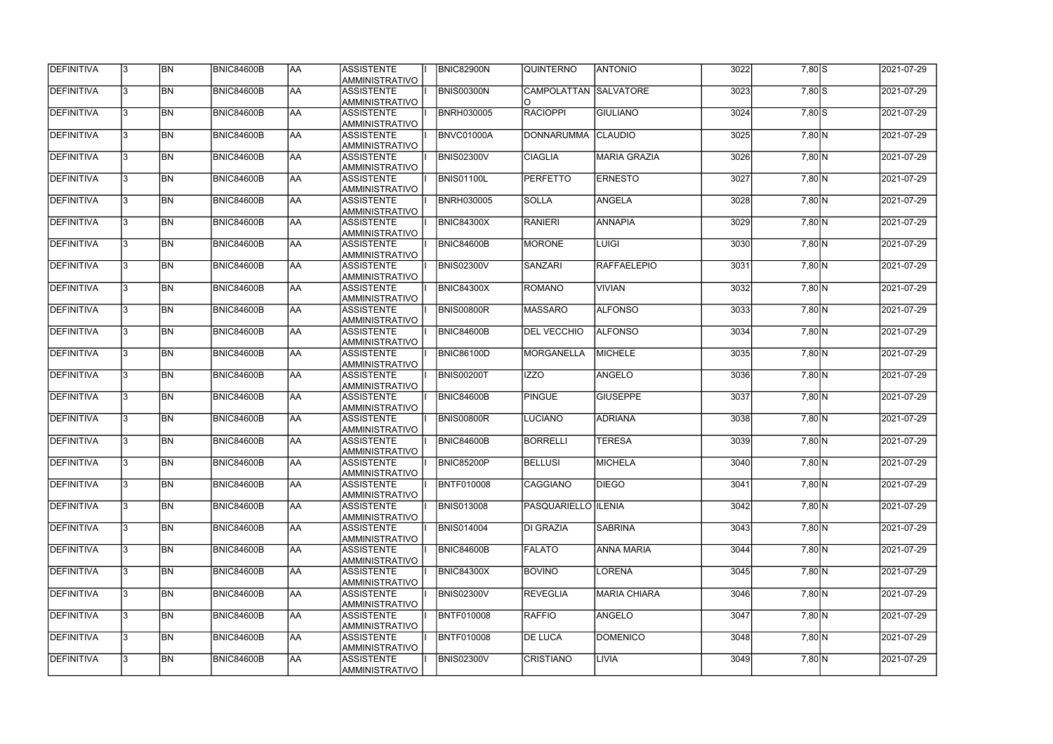| DEFINITIVA        |   | <b>BN</b> | <b>BNIC84600B</b> | AA              | ASSISTENTE<br>AMMINISTRATIVO        | <b>BNIC82900N</b> | <b>QUINTERNO</b>      | Iantonio            | 3022 | $7,80$ S       | 2021-07-29 |
|-------------------|---|-----------|-------------------|-----------------|-------------------------------------|-------------------|-----------------------|---------------------|------|----------------|------------|
| <b>DEFINITIVA</b> | 3 | <b>BN</b> | <b>BNIC84600B</b> | AA              | <b>ASSISTENTE</b><br>AMMINISTRATIVO | <b>BNIS00300N</b> | CAMPOLATTAN SALVATORE |                     | 3023 | $7,80$ S       | 2021-07-29 |
| DEFINITIVA        |   | <b>BN</b> | <b>BNIC84600B</b> | AA              | <b>ASSISTENTE</b><br>AMMINISTRATIVO | <b>BNRH030005</b> | <b>RACIOPPI</b>       | <b>GIULIANO</b>     | 3024 | $7,80$ S       | 2021-07-29 |
| DEFINITIVA        |   | <b>BN</b> | BNIC84600B        | AA              | <b>ASSISTENTE</b><br>AMMINISTRATIVO | BNVC01000A        | DONNARUMMA CLAUDIO    |                     | 3025 | 7,80 N         | 2021-07-29 |
| <b>DEFINITIVA</b> |   | <b>BN</b> | BNIC84600B        | AA              | <b>ASSISTENTE</b><br>AMMINISTRATIVO | <b>BNIS02300V</b> | <b>CIAGLIA</b>        | <b>MARIA GRAZIA</b> | 3026 | 7,80 N         | 2021-07-29 |
| DEFINITIVA        |   | <b>BN</b> | <b>BNIC84600B</b> | AA              | <b>ASSISTENTE</b><br>AMMINISTRATIVO | <b>BNIS01100L</b> | <b>PERFETTO</b>       | <b>ERNESTO</b>      | 3027 | 7,80 N         | 2021-07-29 |
| DEFINITIVA        |   | <b>BN</b> | <b>BNIC84600B</b> | AA              | <b>ASSISTENTE</b><br>AMMINISTRATIVO | <b>BNRH030005</b> | <b>SOLLA</b>          | <b>ANGELA</b>       | 3028 | $7,80 \ N$     | 2021-07-29 |
| <b>DEFINITIVA</b> |   | <b>BN</b> | <b>BNIC84600B</b> | AA              | <b>ASSISTENTE</b><br>AMMINISTRATIVO | <b>BNIC84300X</b> | RANIERI               | <b>ANNAPIA</b>      | 3029 | 7,80 N         | 2021-07-29 |
| DEFINITIVA        |   | <b>BN</b> | <b>BNIC84600B</b> | AA              | <b>ASSISTENTE</b><br>AMMINISTRATIVO | <b>BNIC84600B</b> | <b>MORONE</b>         | <b>LUIGI</b>        | 3030 | 7,80 N         | 2021-07-29 |
| DEFINITIVA        |   | <b>BN</b> | <b>BNIC84600B</b> | AA              | <b>ASSISTENTE</b><br>AMMINISTRATIVO | <b>BNIS02300V</b> | <b>SANZARI</b>        | <b>RAFFAELEPIO</b>  | 3031 | $7,80\ N$      | 2021-07-29 |
| <b>DEFINITIVA</b> |   | <b>BN</b> | BNIC84600B        | AA              | <b>ASSISTENTE</b><br>AMMINISTRATIVO | <b>BNIC84300X</b> | ROMANO                | <b>VIVIAN</b>       | 3032 | 7,80 N         | 2021-07-29 |
| <b>DEFINITIVA</b> |   | <b>BN</b> | BNIC84600B        | AA              | <b>ASSISTENTE</b><br>AMMINISTRATIVO | <b>BNIS00800R</b> | <b>MASSARO</b>        | <b>ALFONSO</b>      | 3033 | 7,80 N         | 2021-07-29 |
| DEFINITIVA        |   | <b>BN</b> | <b>BNIC84600B</b> | $\overline{AA}$ | <b>ASSISTENTE</b><br>AMMINISTRATIVO | <b>BNIC84600B</b> | <b>DEL VECCHIO</b>    | <b>ALFONSO</b>      | 3034 | 7,80 N         | 2021-07-29 |
| <b>DEFINITIVA</b> |   | <b>BN</b> | BNIC84600B        | AA              | <b>ASSISTENTE</b><br>AMMINISTRATIVO | <b>BNIC86100D</b> | <b>MORGANELLA</b>     | <b>MICHELE</b>      | 3035 | $7,80$ N       | 2021-07-29 |
| <b>DEFINITIVA</b> |   | <b>BN</b> | BNIC84600B        | AA              | <b>ASSISTENTE</b><br>AMMINISTRATIVO | <b>BNIS00200T</b> | <b>IZZO</b>           | <b>ANGELO</b>       | 3036 | $7,80 \ N$     | 2021-07-29 |
| <b>DEFINITIVA</b> |   | <b>BN</b> | BNIC84600B        | AA              | <b>ASSISTENTE</b><br>AMMINISTRATIVO | <b>BNIC84600B</b> | PINGUE                | <b>GIUSEPPE</b>     | 3037 | $7,80 \ N$     | 2021-07-29 |
| <b>DEFINITIVA</b> |   | <b>BN</b> | BNIC84600B        | AA              | <b>ASSISTENTE</b><br>AMMINISTRATIVO | <b>BNIS00800R</b> | <b>LUCIANO</b>        | <b>ADRIANA</b>      | 3038 | 7,80 N         | 2021-07-29 |
| DEFINITIVA        |   | <b>BN</b> | BNIC84600B        | AA              | <b>ASSISTENTE</b><br>AMMINISTRATIVO | <b>BNIC84600B</b> | <b>BORRELLI</b>       | <b>TERESA</b>       | 3039 | $7,80 \vert N$ | 2021-07-29 |
| <b>DEFINITIVA</b> |   | <b>BN</b> | <b>BNIC84600B</b> | AA              | ASSISTENTE<br>AMMINISTRATIVO        | BNIC85200P        | <b>BELLUSI</b>        | <b>MICHELA</b>      | 3040 | $7,80 \ N$     | 2021-07-29 |
| <b>DEFINITIVA</b> |   | <b>BN</b> | <b>BNIC84600B</b> | AA              | <b>ASSISTENTE</b><br>AMMINISTRATIVO | <b>BNTF010008</b> | CAGGIANO              | <b>DIEGO</b>        | 3041 | $7,80 \ N$     | 2021-07-29 |
| DEFINITIVA        |   | <b>BN</b> | <b>BNIC84600B</b> | AA              | ASSISTENTE<br>AMMINISTRATIVO        | <b>BNIS013008</b> | PASQUARIELLO  ILENIA  |                     | 3042 | $7,80 \ N$     | 2021-07-29 |
| <b>DEFINITIVA</b> |   | <b>BN</b> | <b>BNIC84600B</b> | AA              | ASSISTENTE<br>AMMINISTRATIVO        | <b>BNIS014004</b> | DI GRAZIA             | <b>SABRINA</b>      | 3043 | 7,80 N         | 2021-07-29 |
| <b>DEFINITIVA</b> |   | <b>BN</b> | <b>BNIC84600B</b> | AA              | ASSISTENTE<br>AMMINISTRATIVO        | <b>BNIC84600B</b> | <b>FALATO</b>         | <b>ANNA MARIA</b>   | 3044 | $7,80 \ N$     | 2021-07-29 |
| <b>DEFINITIVA</b> |   | <b>BN</b> | <b>BNIC84600B</b> | AA              | <b>ASSISTENTE</b><br>AMMINISTRATIVO | <b>BNIC84300X</b> | <b>BOVINO</b>         | LORENA              | 3045 | $7,80 \ N$     | 2021-07-29 |
| DEFINITIVA        |   | <b>BN</b> | <b>BNIC84600B</b> | AA              | <b>ASSISTENTE</b><br>AMMINISTRATIVO | <b>BNIS02300V</b> | <b>REVEGLIA</b>       | <b>MARIA CHIARA</b> | 3046 | $7,80 \ N$     | 2021-07-29 |
| DEFINITIVA        |   | <b>BN</b> | <b>BNIC84600B</b> | AA              | <b>ASSISTENTE</b><br>AMMINISTRATIVO | <b>BNTF010008</b> | RAFFIO                | <b>ANGELO</b>       | 3047 | $7,80 \ N$     | 2021-07-29 |
| <b>DEFINITIVA</b> |   | <b>BN</b> | <b>BNIC84600B</b> | AA              | <b>ASSISTENTE</b><br>AMMINISTRATIVO | <b>BNTF010008</b> | <b>DE LUCA</b>        | <b>DOMENICO</b>     | 3048 | 7,80 N         | 2021-07-29 |
| <b>DEFINITIVA</b> |   | <b>BN</b> | <b>BNIC84600B</b> | AA              | ASSISTENTE<br>AMMINISTRATIVO        | <b>BNIS02300V</b> | <b>CRISTIANO</b>      | LIVIA               | 3049 | 7,80 N         | 2021-07-29 |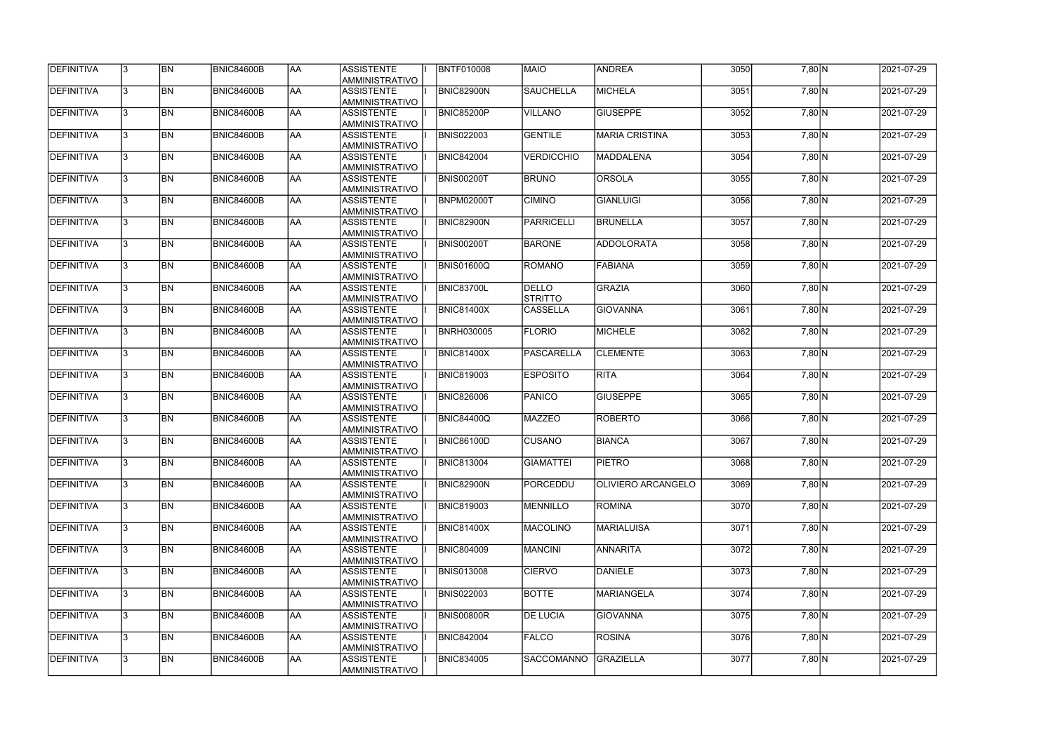| DEFINITIVA        |              | BN        | <b>BNIC84600B</b> | laa       | <b>ASSISTENTE</b><br>AMMINISTRATIVO        | <b>BNTF010008</b> | <b>MAIO</b>                    | <b>ANDREA</b>             | 3050 | 7,80 N   | 2021-07-29 |
|-------------------|--------------|-----------|-------------------|-----------|--------------------------------------------|-------------------|--------------------------------|---------------------------|------|----------|------------|
| DEFINITIVA        | $\mathbf{3}$ | <b>BN</b> | BNIC84600B        | <b>AA</b> | <b>ASSISTENTE</b><br>AMMINISTRATIVO        | <b>BNIC82900N</b> | SAUCHELLA                      | <b>MICHELA</b>            | 3051 | 7,80 N   | 2021-07-29 |
| DEFINITIVA        | $\mathbf{3}$ | <b>BN</b> | <b>BNIC84600B</b> | laa       | <b>ASSISTENTE</b><br>AMMINISTRATIVO        | <b>BNIC85200P</b> | VILLANO                        | <b>GIUSEPPE</b>           | 3052 | 7,80 N   | 2021-07-29 |
| DEFINITIVA        | l3.          | <b>BN</b> | <b>BNIC84600B</b> | laa       | <b>ASSISTENTE</b><br>AMMINISTRATIVO        | <b>BNIS022003</b> | GENTILE                        | <b>MARIA CRISTINA</b>     | 3053 | 7,80 N   | 2021-07-29 |
| DEFINITIVA        | l3.          | <b>BN</b> | <b>BNIC84600B</b> | <b>AA</b> | <b>ASSISTENTE</b><br>AMMINISTRATIVO        | <b>BNIC842004</b> | <b>VERDICCHIO</b>              | MADDALENA                 | 3054 | 7,80 N   | 2021-07-29 |
| DEFINITIVA        | l3.          | <b>BN</b> | BNIC84600B        | <b>AA</b> | <b>ASSISTENTE</b><br>AMMINISTRATIVO        | <b>BNIS00200T</b> | <b>BRUNO</b>                   | <b>ORSOLA</b>             | 3055 | $7,80$ N | 2021-07-29 |
| <b>DEFINITIVA</b> | l3.          | BN        | BNIC84600B        | <b>AA</b> | <b>ASSISTENTE</b><br>AMMINISTRATIVO        | <b>BNPM02000T</b> | <b>CIMINO</b>                  | <b>GIANLUIGI</b>          | 3056 | $7,80$ N | 2021-07-29 |
| DEFINITIVA        | l3.          | <b>BN</b> | BNIC84600B        | laa       | <b>ASSISTENTE</b><br><b>AMMINISTRATIVO</b> | <b>BNIC82900N</b> | PARRICELLI                     | BRUNELLA                  | 3057 | $7,80$ N | 2021-07-29 |
| DEFINITIVA        |              | BN        | <b>BNIC84600B</b> | laa       | <b>ASSISTENTE</b><br><b>AMMINISTRATIVO</b> | <b>BNIS00200T</b> | <b>BARONE</b>                  | ADDOLORATA                | 3058 | 7,80 N   | 2021-07-29 |
| DEFINITIVA        |              | BN        | BNIC84600B        | AA        | <b>ASSISTENTE</b><br>AMMINISTRATIVO        | <b>BNIS01600Q</b> | ROMANO                         | FABIANA                   | 3059 | 7,80 N   | 2021-07-29 |
| DEFINITIVA        |              | <b>BN</b> | <b>BNIC84600B</b> | laa       | <b>ASSISTENTE</b><br>AMMINISTRATIVO        | <b>BNIC83700L</b> | <b>DELLO</b><br><b>STRITTO</b> | GRAZIA                    | 3060 | 7,80 N   | 2021-07-29 |
| DEFINITIVA        | l3.          | <b>BN</b> | <b>BNIC84600B</b> | laa       | <b>ASSISTENTE</b><br><b>AMMINISTRATIVO</b> | <b>BNIC81400X</b> | <b>CASSELLA</b>                | <b>GIOVANNA</b>           | 3061 | 7,80 N   | 2021-07-29 |
| DEFINITIVA        | l3.          | <b>BN</b> | <b>BNIC84600B</b> | <b>AA</b> | <b>ASSISTENTE</b><br>AMMINISTRATIVO        | <b>BNRH030005</b> | <b>FLORIO</b>                  | MICHELE                   | 3062 | 7,80 N   | 2021-07-29 |
| DEFINITIVA        | l3.          | <b>BN</b> | <b>BNIC84600B</b> | <b>AA</b> | <b>ASSISTENTE</b><br>AMMINISTRATIVO        | <b>BNIC81400X</b> | PASCARELLA                     | <b>CLEMENTE</b>           | 3063 | 7,80 N   | 2021-07-29 |
| DEFINITIVA        | 3            | <b>BN</b> | <b>BNIC84600B</b> | laa       | <b>ASSISTENTE</b><br>AMMINISTRATIVO        | <b>BNIC819003</b> | <b>ESPOSITO</b>                | <b>RITA</b>               | 3064 | 7,80 N   | 2021-07-29 |
| DEFINITIVA        | ା୧           | <b>BN</b> | <b>BNIC84600B</b> | <b>AA</b> | <b>ASSISTENTE</b><br>AMMINISTRATIVO        | <b>BNIC826006</b> | PANICO                         | <b>GIUSEPPE</b>           | 3065 | 7,80 N   | 2021-07-29 |
| DEFINITIVA        | l3.          | <b>BN</b> | <b>BNIC84600B</b> | laa       | <b>ASSISTENTE</b><br>AMMINISTRATIVO        | <b>BNIC84400Q</b> | <b>MAZZEO</b>                  | <b>ROBERTO</b>            | 3066 | 7,80 N   | 2021-07-29 |
| DEFINITIVA        |              | <b>BN</b> | <b>BNIC84600B</b> | <b>AA</b> | <b>ASSISTENTE</b><br><b>AMMINISTRATIVO</b> | <b>BNIC86100D</b> | <b>CUSANO</b>                  | <b>BIANCA</b>             | 3067 | 7,80 N   | 2021-07-29 |
| <b>DEFINITIVA</b> | 13.          | <b>BN</b> | BNIC84600B        | IAA.      | <b>ASSISTENTE</b><br>AMMINISTRATIVO        | <b>BNIC813004</b> | <b>GIAMATTEI</b>               | <b>PIETRO</b>             | 3068 | $7,80$ N | 2021-07-29 |
| DEFINITIVA        | l3.          | <b>BN</b> | <b>BNIC84600B</b> | laa       | <b>ASSISTENTE</b><br>AMMINISTRATIVO        | BNIC82900N        | PORCEDDU                       | <b>OLIVIERO ARCANGELO</b> | 3069 | 7,80 N   | 2021-07-29 |
| DEFINITIVA        | I3.          | <b>BN</b> | <b>BNIC84600B</b> | laa       | ASSISTENTE<br>AMMINISTRATIVO               | <b>BNIC819003</b> | MENNILLO                       | ROMINA                    | 3070 | 7,80 N   | 2021-07-29 |
| DEFINITIVA        | l3.          | <b>BN</b> | <b>BNIC84600B</b> | laa       | <b>ASSISTENTE</b><br>AMMINISTRATIVO        | <b>BNIC81400X</b> | <b>MACOLINO</b>                | <b>MARIALUISA</b>         | 3071 | 7,80 N   | 2021-07-29 |
| DEFINITIVA        | l3.          | <b>BN</b> | <b>BNIC84600B</b> | laa       | <b>ASSISTENTE</b><br>AMMINISTRATIVO        | <b>BNIC804009</b> | <b>MANCINI</b>                 | ANNARITA                  | 3072 | 7,80 N   | 2021-07-29 |
| DEFINITIVA        | l٩.          | <b>BN</b> | <b>BNIC84600B</b> | laa       | <b>ASSISTENTE</b><br><b>AMMINISTRATIVO</b> | <b>BNIS013008</b> | <b>CIERVO</b>                  | DANIELE                   | 3073 | 7,80 N   | 2021-07-29 |
| DEFINITIVA        | 3.           | <b>BN</b> | <b>BNIC84600B</b> | laa       | <b>ASSISTENTE</b><br>AMMINISTRATIVO        | <b>BNIS022003</b> | <b>BOTTE</b>                   | <b>MARIANGELA</b>         | 3074 | 7,80 N   | 2021-07-29 |
| DEFINITIVA        |              | <b>BN</b> | BNIC84600B        | <b>AA</b> | <b>ASSISTENTE</b><br>AMMINISTRATIVO        | <b>BNIS00800R</b> | <b>DE LUCIA</b>                | <b>GIOVANNA</b>           | 3075 | 7,80 N   | 2021-07-29 |
| DEFINITIVA        |              | <b>BN</b> | BNIC84600B        | laa       | <b>ASSISTENTE</b><br>AMMINISTRATIVO        | <b>BNIC842004</b> | <b>FALCO</b>                   | <b>ROSINA</b>             | 3076 | 7,80 N   | 2021-07-29 |
| DEFINITIVA        |              | BN        | BNIC84600B        | AA        | <b>ASSISTENTE</b><br>AMMINISTRATIVO        | <b>BNIC834005</b> | <b>SACCOMANNO</b>              | GRAZIELLA                 | 3077 | 7,80 N   | 2021-07-29 |

| 7,80 N              |                         | 2021-07-29       |
|---------------------|-------------------------|------------------|
| 7,80 N              |                         | 2021-07-29       |
| 7,80 N              |                         | 2021-07-29       |
| 7,80 N              |                         | 2021-07-29       |
| $7,80$ N            |                         | 2021-07-29       |
| 7,80 N              |                         | 2021-07-29       |
| 7,80 N              |                         | 2021-07-29       |
| 7,80 N              |                         | 2021-07-29       |
| $7,80$ N            |                         | 2021-07-29       |
| $7,80$ N            |                         | 2021-07-29       |
| $7,80$ N            |                         | 2021-07-29       |
| $7,80$ N            |                         | 2021-07-29       |
| 7,80 N              |                         | 2021-07-29       |
| $7,80 \overline{N}$ |                         | 2021-07-29       |
| $7,80 \overline{N}$ |                         | 2021-07-29       |
| $7,80 \overline{N}$ |                         | $2021 - 07 - 29$ |
| 7,80 N              |                         | 2021-07-29       |
| $\frac{1}{7}$ ,80 N |                         | 2021-07-29       |
| 7,80 N              |                         | 2021-07-29       |
| 7,80 N              |                         | 2021-07-29       |
| 7,80 N              |                         | 2021-07-29       |
| $7,80$ N            |                         | 2021-07-29       |
| $7,80 \overline{N}$ |                         | 2021-07-29       |
| 7,80                | N                       | 2021-07-29       |
| 7,80                | N                       | 2021-07-29       |
| 7,80                | N                       | 2021-07-29       |
| 7,80                | N                       | 2021-07-29       |
| 7,80                | $\overline{\mathsf{N}}$ | 2021-07-29       |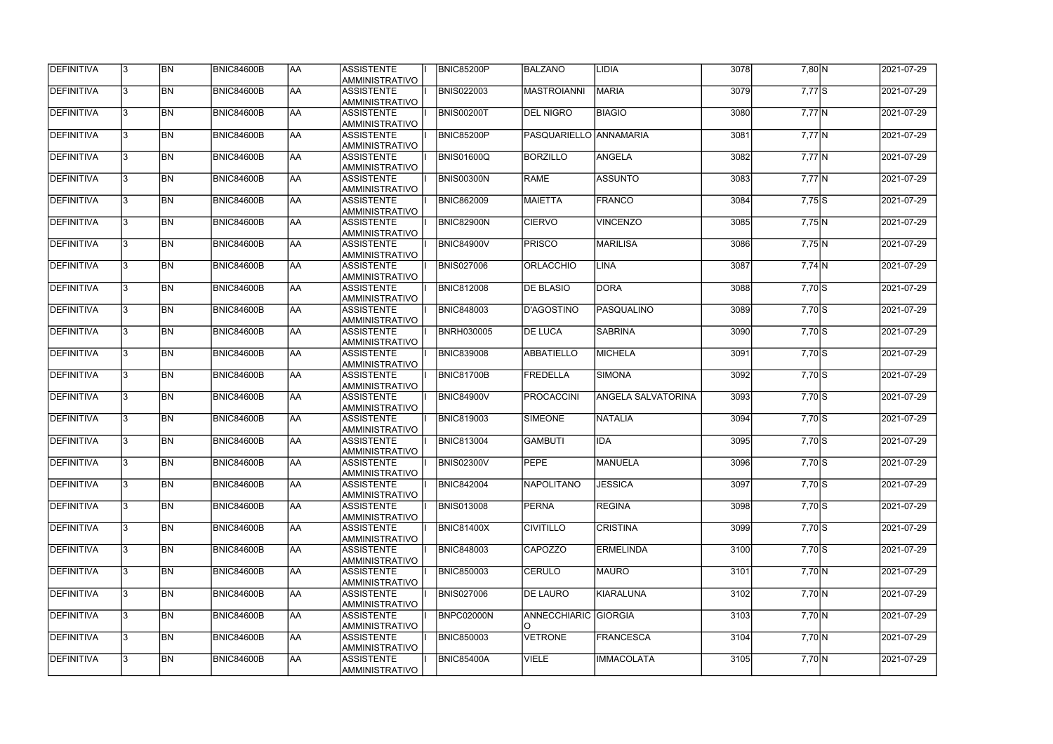| <b>DEFINITIVA</b> | <b>BN</b> | <b>BNIC84600B</b> | AA        | <b>ASSISTENTE</b><br>AMMINISTRATIVO | <b>BNIC85200P</b> | BALZANO                       | <b>LIDIA</b>              | 3078 | 7,80 N   | 2021-07-29 |
|-------------------|-----------|-------------------|-----------|-------------------------------------|-------------------|-------------------------------|---------------------------|------|----------|------------|
| <b>DEFINITIVA</b> | <b>BN</b> | <b>BNIC84600B</b> | <b>AA</b> | <b>ASSISTENTE</b><br>AMMINISTRATIVO | <b>BNIS022003</b> | <b>MASTROIANNI</b>            | MARIA                     | 3079 | $7,77$ S | 2021-07-29 |
| <b>DEFINITIVA</b> | <b>BN</b> | <b>BNIC84600B</b> | laa       | <b>ASSISTENTE</b><br>AMMINISTRATIVO | <b>BNIS00200T</b> | <b>DEL NIGRO</b>              | <b>BIAGIO</b>             | 3080 | $7,77$ N | 2021-07-29 |
| <b>DEFINITIVA</b> | <b>BN</b> | <b>BNIC84600B</b> | laa       | <b>ASSISTENTE</b><br>AMMINISTRATIVO | BNIC85200P        | <b>PASQUARIELLO ANNAMARIA</b> |                           | 3081 | $7,77$ N | 2021-07-29 |
| <b>DEFINITIVA</b> | <b>BN</b> | <b>BNIC84600B</b> | laa       | ASSISTENTE<br>AMMINISTRATIVO        | BNIS01600Q        | BORZILLO                      | ANGELA                    | 3082 | $7,77$ N | 2021-07-29 |
| <b>DEFINITIVA</b> | <b>BN</b> | <b>BNIC84600B</b> | <b>AA</b> | ASSISTENTE<br>AMMINISTRATIVO        | <b>BNIS00300N</b> | RAME                          | <b>ASSUNTO</b>            | 3083 | $7,77$ N | 2021-07-29 |
| <b>DEFINITIVA</b> | <b>BN</b> | BNIC84600B        | laa       | <b>ASSISTENTE</b><br>AMMINISTRATIVO | <b>BNIC862009</b> | MAIETTA                       | <b>FRANCO</b>             | 3084 | $7,75$ S | 2021-07-29 |
| <b>DEFINITIVA</b> | <b>BN</b> | BNIC84600B        | laa       | <b>ASSISTENTE</b><br>AMMINISTRATIVO | BNIC82900N        | <b>CIERVO</b>                 | VINCENZO                  | 3085 | $7,75$ N | 2021-07-29 |
| <b>DEFINITIVA</b> | <b>BN</b> | <b>BNIC84600B</b> | laa       | <b>ASSISTENTE</b><br>AMMINISTRATIVO | <b>BNIC84900V</b> | <b>PRISCO</b>                 | <b>MARILISA</b>           | 3086 | $7,75$ N | 2021-07-29 |
| <b>DEFINITIVA</b> | <b>BN</b> | <b>BNIC84600B</b> | laa       | <b>ASSISTENTE</b><br>AMMINISTRATIVO | <b>BNIS027006</b> | <b>ORLACCHIO</b>              | <b>LINA</b>               | 3087 | $7,74$ N | 2021-07-29 |
| <b>DEFINITIVA</b> | <b>BN</b> | <b>BNIC84600B</b> | laa       | <b>ASSISTENTE</b><br>AMMINISTRATIVO | <b>BNIC812008</b> | <b>DE BLASIO</b>              | <b>DORA</b>               | 3088 | $7,70$ S | 2021-07-29 |
| <b>DEFINITIVA</b> | <b>BN</b> | <b>BNIC84600B</b> | laa       | ASSISTENTE<br>AMMINISTRATIVO        | <b>BNIC848003</b> | D'AGOSTINO                    | PASQUALINO                | 3089 | $7,70$ S | 2021-07-29 |
| <b>DEFINITIVA</b> | <b>BN</b> | <b>BNIC84600B</b> | laa       | ASSISTENTE<br>AMMINISTRATIVO        | <b>BNRH030005</b> | <b>DE LUCA</b>                | SABRINA                   | 3090 | $7,70$ S | 2021-07-29 |
| <b>DEFINITIVA</b> | <b>BN</b> | <b>BNIC84600B</b> | laa       | ASSISTENTE<br>AMMINISTRATIVO        | <b>BNIC839008</b> | ABBATIELLO                    | MICHELA                   | 3091 | $7,70$ S | 2021-07-29 |
| <b>DEFINITIVA</b> | <b>BN</b> | <b>BNIC84600B</b> | laa       | <b>ASSISTENTE</b><br>AMMINISTRATIVO | <b>BNIC81700B</b> | FREDELLA                      | SIMONA                    | 3092 | $7,70$ S | 2021-07-29 |
| <b>DEFINITIVA</b> | <b>BN</b> | <b>BNIC84600B</b> | laa       | <b>ASSISTENTE</b><br>AMMINISTRATIVO | <b>BNIC84900V</b> | PROCACCINI                    | <b>ANGELA SALVATORINA</b> | 3093 | $7,70$ S | 2021-07-29 |
| <b>DEFINITIVA</b> | <b>BN</b> | <b>BNIC84600B</b> | laa       | <b>ASSISTENTE</b><br>AMMINISTRATIVO | <b>BNIC819003</b> | <b>SIMEONE</b>                | <b>NATALIA</b>            | 3094 | $7,70$ S | 2021-07-29 |
| <b>DEFINITIVA</b> | <b>BN</b> | <b>BNIC84600B</b> | laa       | <b>ASSISTENTE</b><br>AMMINISTRATIVO | <b>BNIC813004</b> | <b>GAMBUTI</b>                | <b>IDA</b>                | 3095 | $7,70$ S | 2021-07-29 |
| <b>DEFINITIVA</b> | BN        | BNIC84600B        | IAA.      | <b>ASSISTENTE</b><br>AMMINISTRATIVO | <b>BNIS02300V</b> | <b>PEPE</b>                   | MANUELA                   | 3096 | $7,70$ S | 2021-07-29 |
| <b>DEFINITIVA</b> | <b>BN</b> | <b>BNIC84600B</b> | laa       | ASSISTENTE<br>AMMINISTRATIVO        | <b>BNIC842004</b> | <b>NAPOLITANO</b>             | <b>JESSICA</b>            | 3097 | $7,70$ S | 2021-07-29 |
| DEFINITIVA        | <b>BN</b> | <b>BNIC84600B</b> | laa       | ASSISTENTE<br>AMMINISTRATIVO        | <b>BNIS013008</b> | <b>PERNA</b>                  | <b>REGINA</b>             | 3098 | $7,70$ S | 2021-07-29 |
| <b>DEFINITIVA</b> | <b>BN</b> | <b>BNIC84600B</b> | laa       | <b>ASSISTENTE</b><br>AMMINISTRATIVO | <b>BNIC81400X</b> | <b>CIVITILLO</b>              | <b>CRISTINA</b>           | 3099 | $7,70$ S | 2021-07-29 |
| <b>DEFINITIVA</b> | <b>BN</b> | <b>BNIC84600B</b> | <b>AA</b> | ASSISTENTE<br>AMMINISTRATIVO        | <b>BNIC848003</b> | <b>CAPOZZO</b>                | <b>ERMELINDA</b>          | 3100 | $7,70$ S | 2021-07-29 |
| <b>DEFINITIVA</b> | <b>BN</b> | <b>BNIC84600B</b> | laa       | <b>ASSISTENTE</b><br>AMMINISTRATIVO | <b>BNIC850003</b> | <b>CERULO</b>                 | <b>MAURO</b>              | 3101 | 7,70 N   | 2021-07-29 |
| <b>DEFINITIVA</b> | <b>BN</b> | <b>BNIC84600B</b> | laa       | <b>ASSISTENTE</b><br>AMMINISTRATIVO | <b>BNIS027006</b> | <b>DE LAURO</b>               | KIARALUNA                 | 3102 | $7,70$ N | 2021-07-29 |
| <b>DEFINITIVA</b> | <b>BN</b> | <b>BNIC84600B</b> | laa       | <b>ASSISTENTE</b><br>AMMINISTRATIVO | BNPC02000N        | <b>ANNECCHIARIC GIORGIA</b>   |                           | 3103 | 7,70 N   | 2021-07-29 |
| <b>DEFINITIVA</b> | <b>BN</b> | <b>BNIC84600B</b> | laa       | ASSISTENTE<br>AMMINISTRATIVO        | <b>BNIC850003</b> | <b>VETRONE</b>                | <b>FRANCESCA</b>          | 3104 | 7,70 N   | 2021-07-29 |
| <b>DEFINITIVA</b> | <b>BN</b> | <b>BNIC84600B</b> | AA        | ASSISTENTE<br>AMMINISTRATIVO        | <b>BNIC85400A</b> | VIELE                         | <b>IMMACOLATA</b>         | 3105 | 7,70 N   | 2021-07-29 |

| $7,80$ N          |                | 2021-07-29 |
|-------------------|----------------|------------|
| $7,77$ S          |                | 2021-07-29 |
| $7,77$ N          |                | 2021-07-29 |
| $7,77$ N          |                | 2021-07-29 |
| $7,77$ N          |                | 2021-07-29 |
| $7,77$ N          |                | 2021-07-29 |
| $7,75$ S          |                | 2021-07-29 |
| $7,75$ N          |                | 2021-07-29 |
| $7,75$ N          |                | 2021-07-29 |
| $7,74$ N          |                | 2021-07-29 |
| $7,70$ S          |                | 2021-07-29 |
| $7,70$ S          |                | 2021-07-29 |
| $7,70$ S          |                | 2021-07-29 |
| $7,70$ S          |                | 2021-07-29 |
| $7,70$ S          |                | 2021-07-29 |
| $7,70$ S          |                | 2021-07-29 |
| $7,70$ S          |                | 2021-07-29 |
| $7,70$ S          |                | 2021-07-29 |
| 7,70 S            |                | 2021-07-29 |
| $7,70$ S          |                | 2021-07-29 |
| 7,70              | $\overline{s}$ | 2021-07-29 |
| 7,70              | $\overline{s}$ | 2021-07-29 |
| 7,70              | <sub>S</sub>   | 2021-07-29 |
| 7,70 N            |                | 2021-07-29 |
| 7,70 N            |                | 2021-07-29 |
| $7,70$ N          |                | 2021-07-29 |
| $7,70$ N          |                | 2021-07-29 |
| $\overline{7,70}$ | N              | 2021-07-29 |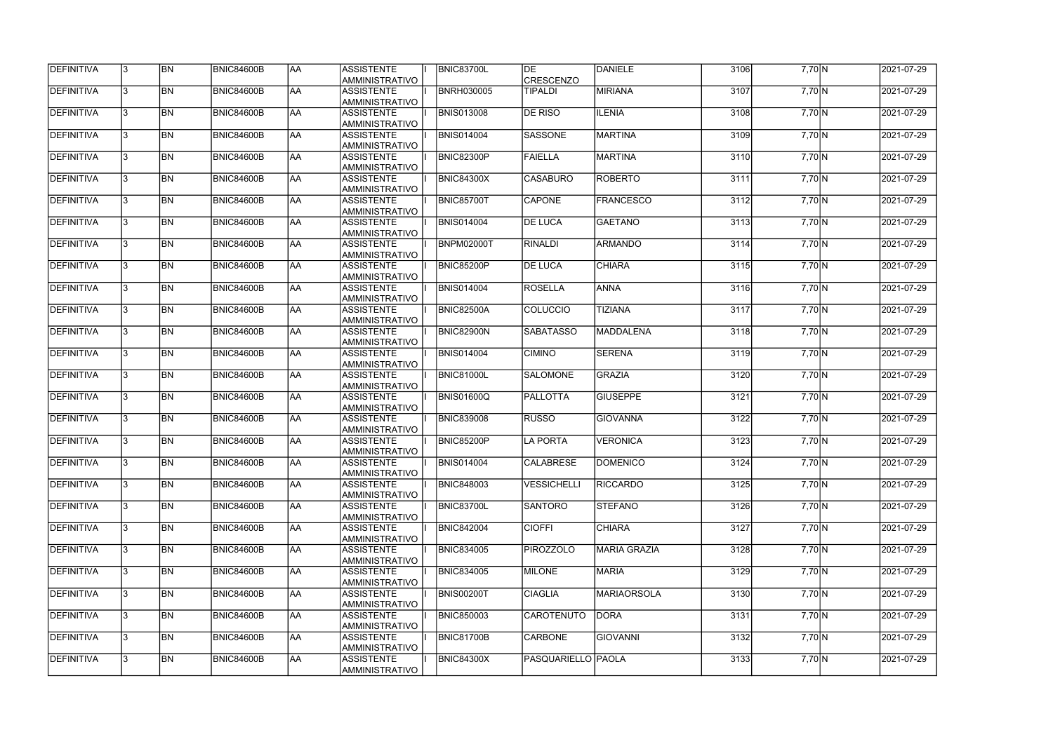| DEFINITIVA        | 13. | <b>BN</b> | <b>BNIC84600B</b> | AA         | ASSISTENTE<br>AMMINISTRATIVO        | <b>BNIC83700L</b> | DE<br><b>CRESCENZO</b> | <b>DANIELE</b>      | 3106 | 7,70 N        | 2021-07-29 |
|-------------------|-----|-----------|-------------------|------------|-------------------------------------|-------------------|------------------------|---------------------|------|---------------|------------|
| <b>DEFINITIVA</b> | 13. | <b>BN</b> | BNIC84600B        | laa        | <b>ASSISTENTE</b><br>AMMINISTRATIVO | <b>BNRH030005</b> | <b>TIPALDI</b>         | <b>MIRIANA</b>      | 3107 | 7,70 N        | 2021-07-29 |
| DEFINITIVA        | l3. | <b>BN</b> | <b>BNIC84600B</b> | AA         | <b>ASSISTENTE</b><br>AMMINISTRATIVO | <b>BNIS013008</b> | DE RISO                | <b>ILENIA</b>       | 3108 | 7,70 N        | 2021-07-29 |
| <b>DEFINITIVA</b> | l3. | <b>BN</b> | BNIC84600B        | <b>AA</b>  | <b>ASSISTENTE</b><br>AMMINISTRATIVO | <b>BNIS014004</b> | SASSONE                | <b>MARTINA</b>      | 3109 | $7,70$ N      | 2021-07-29 |
| DEFINITIVA        | l3. | <b>BN</b> | <b>BNIC84600B</b> | AA         | <b>ASSISTENTE</b><br>AMMINISTRATIVO | <b>BNIC82300P</b> | <b>FAIELLA</b>         | <b>MARTINA</b>      | 3110 | 7,70 N        | 2021-07-29 |
| DEFINITIVA        | l3  | <b>BN</b> | <b>BNIC84600B</b> | laa        | <b>ASSISTENTE</b><br>AMMINISTRATIVO | <b>BNIC84300X</b> | <b>CASABURO</b>        | <b>ROBERTO</b>      | 3111 | $7,70\vert N$ | 2021-07-29 |
| DEFINITIVA        |     | <b>BN</b> | <b>BNIC84600B</b> | AA         | <b>ASSISTENTE</b><br>AMMINISTRATIVO | <b>BNIC85700T</b> | <b>CAPONE</b>          | <b>FRANCESCO</b>    | 3112 | $7,70\vert N$ | 2021-07-29 |
| DEFINITIVA        |     | <b>BN</b> | <b>BNIC84600B</b> | laa        | <b>ASSISTENTE</b><br>AMMINISTRATIVO | <b>BNIS014004</b> | <b>DE LUCA</b>         | <b>GAETANO</b>      | 3113 | $7,70\vert N$ | 2021-07-29 |
| DEFINITIVA        |     | <b>BN</b> | <b>BNIC84600B</b> | laa        | <b>ASSISTENTE</b><br>AMMINISTRATIVO | <b>BNPM02000T</b> | <b>RINALDI</b>         | <b>ARMANDO</b>      | 3114 | 7,70 N        | 2021-07-29 |
| DEFINITIVA        | l3. | <b>BN</b> | BNIC84600B        | laa        | <b>ASSISTENTE</b><br>AMMINISTRATIVO | <b>BNIC85200P</b> | <b>DE LUCA</b>         | <b>CHIARA</b>       | 3115 | $7,70\vert N$ | 2021-07-29 |
| DEFINITIVA        | l3. | <b>BN</b> | <b>BNIC84600B</b> | AA         | <b>ASSISTENTE</b><br>AMMINISTRATIVO | <b>BNIS014004</b> | ROSELLA                | <b>ANNA</b>         | 3116 | $7,70 \ N$    | 2021-07-29 |
| <b>DEFINITIVA</b> | l3. | <b>BN</b> | <b>BNIC84600B</b> | <b>AA</b>  | ASSISTENTE<br>AMMINISTRATIVO        | BNIC82500A        | COLUCCIO               | <b>TIZIANA</b>      | 3117 | $7,70$ N      | 2021-07-29 |
| DEFINITIVA        | 3   | <b>BN</b> | <b>BNIC84600B</b> | AA         | <b>ASSISTENTE</b><br>AMMINISTRATIVO | <b>BNIC82900N</b> | <b>SABATASSO</b>       | <b>MADDALENA</b>    | 3118 | 7,70 N        | 2021-07-29 |
| DEFINITIVA        | 3   | <b>BN</b> | <b>BNIC84600B</b> | AA         | <b>ASSISTENTE</b><br>AMMINISTRATIVO | <b>BNIS014004</b> | <b>CIMINO</b>          | <b>SERENA</b>       | 3119 | 7,70 N        | 2021-07-29 |
| DEFINITIVA        |     | <b>BN</b> | <b>BNIC84600B</b> | AA         | <b>ASSISTENTE</b><br>AMMINISTRATIVO | <b>BNIC81000L</b> | <b>SALOMONE</b>        | <b>GRAZIA</b>       | 3120 | 7,70 N        | 2021-07-29 |
| DEFINITIVA        | 3   | <b>BN</b> | <b>BNIC84600B</b> | AA         | <b>ASSISTENTE</b><br>AMMINISTRATIVO | <b>BNIS01600Q</b> | <b>PALLOTTA</b>        | <b>GIUSEPPE</b>     | 3121 | $7,70 \ N$    | 2021-07-29 |
| DEFINITIVA        | l3. | <b>BN</b> | <b>BNIC84600B</b> | laa        | <b>ASSISTENTE</b><br>AMMINISTRATIVO | <b>BNIC839008</b> | RUSSO                  | <b>GIOVANNA</b>     | 3122 | $7,70\vert N$ | 2021-07-29 |
| DEFINITIVA        |     | <b>BN</b> | BNIC84600B        | AA         | <b>ASSISTENTE</b><br>AMMINISTRATIVO | <b>BNIC85200P</b> | <b>LA PORTA</b>        | <b>VERONICA</b>     | 3123 | $7,70\vert N$ | 2021-07-29 |
| DEFINITIVA        | 13. | <b>BN</b> | <b>BNIC84600B</b> | <b>JAA</b> | <b>ASSISTENTE</b><br>AMMINISTRATIVO | <b>BNIS014004</b> | <b>CALABRESE</b>       | <b>DOMENICO</b>     | 3124 | $7,70\vert N$ | 2021-07-29 |
| <b>DEFINITIVA</b> | l3. | <b>BN</b> | <b>BNIC84600B</b> | AA         | ASSISTENTE<br>AMMINISTRATIVO        | <b>BNIC848003</b> | VESSICHELLI            | RICCARDO            | 3125 | $7,70$ N      | 2021-07-29 |
| DEFINITIVA        | 13. | <b>BN</b> | <b>BNIC84600B</b> | AA         | ASSISTENTE<br>AMMINISTRATIVO        | BNIC83700L        | <b>SANTORO</b>         | <b>STEFANO</b>      | 3126 | 7,70 N        | 2021-07-29 |
| DEFINITIVA        | 3   | <b>BN</b> | <b>BNIC84600B</b> | AA         | ASSISTENTE<br>AMMINISTRATIVO        | <b>BNIC842004</b> | <b>CIOFFI</b>          | <b>CHIARA</b>       | 3127 | $7,70\vert N$ | 2021-07-29 |
| DEFINITIVA        |     | <b>BN</b> | <b>BNIC84600B</b> | AA         | <b>ASSISTENTE</b><br>AMMINISTRATIVO | <b>BNIC834005</b> | PIROZZOLO              | <b>MARIA GRAZIA</b> | 3128 | $7,70\vert N$ | 2021-07-29 |
| DEFINITIVA        |     | <b>BN</b> | <b>BNIC84600B</b> | AA         | <b>ASSISTENTE</b><br>AMMINISTRATIVO | <b>BNIC834005</b> | MILONE                 | <b>MARIA</b>        | 3129 | $7,70\vert N$ | 2021-07-29 |
| DEFINITIVA        | I3. | <b>BN</b> | BNIC84600B        | AA         | <b>ASSISTENTE</b><br>AMMINISTRATIVO | <b>BNIS00200T</b> | <b>CIAGLIA</b>         | <b>MARIAORSOLA</b>  | 3130 | $7,70\vert N$ | 2021-07-29 |
| DEFINITIVA        | I3. | <b>BN</b> | <b>BNIC84600B</b> | AA         | <b>ASSISTENTE</b><br>AMMINISTRATIVO | <b>BNIC850003</b> | <b>CAROTENUTO</b>      | <b>DORA</b>         | 3131 | $7,70\vert N$ | 2021-07-29 |
| DEFINITIVA        | 13. | <b>BN</b> | <b>BNIC84600B</b> | AA         | <b>ASSISTENTE</b><br>AMMINISTRATIVO | <b>BNIC81700B</b> | CARBONE                | <b>GIOVANNI</b>     | 3132 | $7,70\vert N$ | 2021-07-29 |
| DEFINITIVA        |     | <b>BN</b> | <b>BNIC84600B</b> | AA         | <b>ASSISTENTE</b><br>AMMINISTRATIVO | <b>BNIC84300X</b> | PASQUARIELLO PAOLA     |                     | 3133 | $7,70$ N      | 2021-07-29 |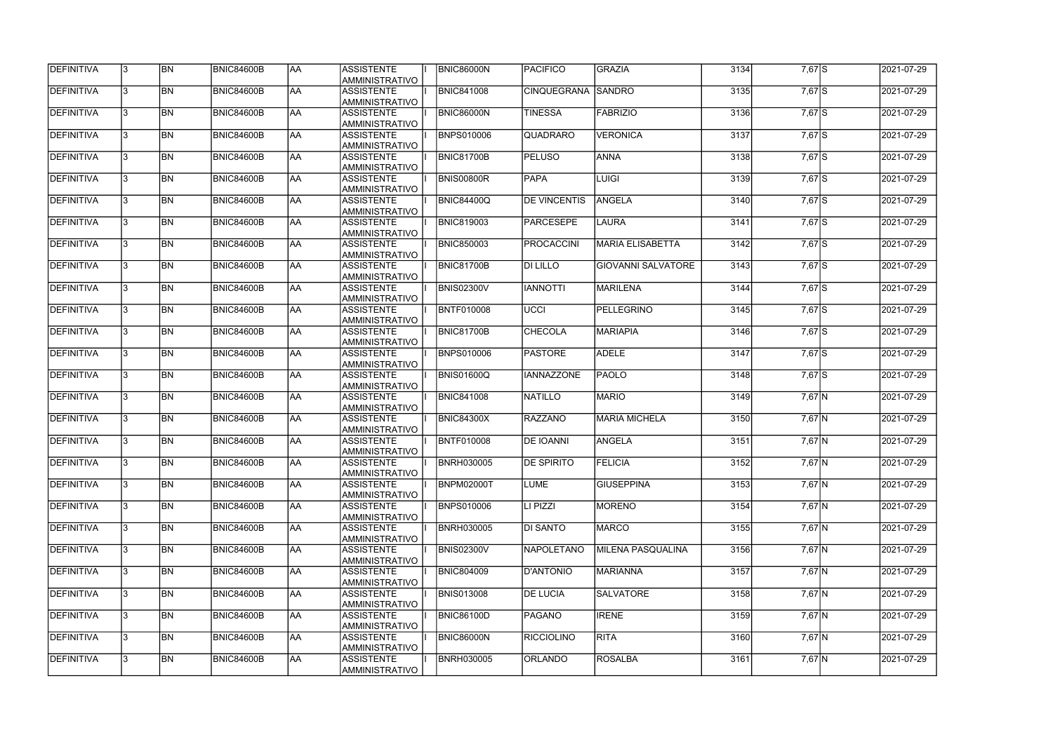| DEFINITIVA        |   | <b>BN</b> | <b>BNIC84600B</b> | laa       | <b>ASSISTENTE</b><br><b>AMMINISTRATIVO</b> | <b>BNIC86000N</b> | <b>PACIFICO</b>     | GRAZIA                    | 3134 | 7,67 S   | 2021-07-29 |
|-------------------|---|-----------|-------------------|-----------|--------------------------------------------|-------------------|---------------------|---------------------------|------|----------|------------|
| <b>DEFINITIVA</b> | 3 | <b>BN</b> | <b>BNIC84600B</b> | AA        | <b>ASSISTENTE</b><br><b>AMMINISTRATIVO</b> | <b>BNIC841008</b> | CINQUEGRANA         | <b>SANDRO</b>             | 3135 | 7,67 S   | 2021-07-29 |
| DEFINITIVA        |   | <b>BN</b> | <b>BNIC84600B</b> | AA        | <b>ASSISTENTE</b><br>AMMINISTRATIVO        | <b>BNIC86000N</b> | <b>TINESSA</b>      | FABRIZIO                  | 3136 | 7,67 S   | 2021-07-29 |
| DEFINITIVA        |   | <b>BN</b> | BNIC84600B        | AA        | <b>ASSISTENTE</b><br><b>AMMINISTRATIVO</b> | <b>BNPS010006</b> | <b>QUADRARO</b>     | <b>VERONICA</b>           | 3137 | $7,67$ S | 2021-07-29 |
| DEFINITIVA        |   | <b>BN</b> | <b>BNIC84600B</b> | <b>AA</b> | ASSISTENTE<br><b>AMMINISTRATIVO</b>        | <b>BNIC81700B</b> | <b>PELUSO</b>       | <b>ANNA</b>               | 3138 | $7,67$ S | 2021-07-29 |
| DEFINITIVA        |   | <b>BN</b> | <b>BNIC84600B</b> | AA        | <b>ASSISTENTE</b><br><b>AMMINISTRATIVO</b> | <b>BNIS00800R</b> | PAPA                | <b>LUIGI</b>              | 3139 | 7,67 S   | 2021-07-29 |
| DEFINITIVA        |   | <b>BN</b> | <b>BNIC84600B</b> | AA        | <b>ASSISTENTE</b><br><b>AMMINISTRATIVO</b> | <b>BNIC84400Q</b> | <b>DE VINCENTIS</b> | <b>ANGELA</b>             | 3140 | 7,67 S   | 2021-07-29 |
| <b>DEFINITIVA</b> |   | <b>BN</b> | BNIC84600B        | AA        | <b>ASSISTENTE</b><br><b>AMMINISTRATIVO</b> | <b>BNIC819003</b> | <b>PARCESEPE</b>    | <b>LAURA</b>              | 3141 | 7,67 S   | 2021-07-29 |
| DEFINITIVA        |   | <b>BN</b> | <b>BNIC84600B</b> | laa       | <b>ASSISTENTE</b><br><b>AMMINISTRATIVO</b> | <b>BNIC850003</b> | <b>PROCACCINI</b>   | MARIA ELISABETTA          | 3142 | 7,67 S   | 2021-07-29 |
| <b>DEFINITIVA</b> |   | <b>BN</b> | <b>BNIC84600B</b> | AA        | <b>ASSISTENTE</b><br>AMMINISTRATIVO        | BNIC81700B        | <b>DI LILLO</b>     | <b>GIOVANNI SALVATORE</b> | 3143 | 7,67 S   | 2021-07-29 |
| DEFINITIVA        |   | <b>BN</b> | <b>BNIC84600B</b> | AA        | <b>ASSISTENTE</b><br>AMMINISTRATIVO        | <b>BNIS02300V</b> | <b>IANNOTTI</b>     | MARILENA                  | 3144 | $7,67$ S | 2021-07-29 |
| <b>DEFINITIVA</b> |   | <b>BN</b> | BNIC84600B        | AA        | <b>ASSISTENTE</b><br><b>AMMINISTRATIVO</b> | <b>BNTF010008</b> | <b>UCCI</b>         | PELLEGRINO                | 3145 | 7,67 S   | 2021-07-29 |
| DEFINITIVA        |   | <b>BN</b> | <b>BNIC84600B</b> | AA        | <b>ASSISTENTE</b><br><b>AMMINISTRATIVO</b> | <b>BNIC81700B</b> | <b>CHECOLA</b>      | <b>MARIAPIA</b>           | 3146 | $7,67$ S | 2021-07-29 |
| DEFINITIVA        |   | <b>BN</b> | <b>BNIC84600B</b> | AA        | <b>ASSISTENTE</b><br><b>AMMINISTRATIVO</b> | <b>BNPS010006</b> | <b>PASTORE</b>      | <b>ADELE</b>              | 3147 | 7,67 S   | 2021-07-29 |
| <b>DEFINITIVA</b> |   | <b>BN</b> | <b>BNIC84600B</b> | AA        | <b>ASSISTENTE</b><br><b>AMMINISTRATIVO</b> | <b>BNIS01600Q</b> | <b>IANNAZZONE</b>   | PAOLO                     | 3148 | 7,67 S   | 2021-07-29 |
| <b>DEFINITIVA</b> |   | <b>BN</b> | BNIC84600B        | AA        | <b>ASSISTENTE</b><br><b>AMMINISTRATIVO</b> | <b>BNIC841008</b> | <b>NATILLO</b>      | <b>MARIO</b>              | 3149 | $7,67$ N | 2021-07-29 |
| <b>DEFINITIVA</b> |   | <b>BN</b> | <b>BNIC84600B</b> | AA        | <b>ASSISTENTE</b><br><b>AMMINISTRATIVO</b> | <b>BNIC84300X</b> | <b>RAZZANO</b>      | <b>MARIA MICHELA</b>      | 3150 | $7,67$ N | 2021-07-29 |
| DEFINITIVA        |   | <b>BN</b> | BNIC84600B        | AA        | <b>ASSISTENTE</b><br><b>AMMINISTRATIVO</b> | <b>BNTF010008</b> | <b>DE IOANNI</b>    | ANGELA                    | 3151 | $7,67$ N | 2021-07-29 |
| DEFINITIVA        |   | BN        | <b>BNIC84600B</b> | AA        | ASSISTENTE<br><b>AMMINISTRATIVO</b>        | <b>BNRH030005</b> | <b>DE SPIRITO</b>   | <b>FELICIA</b>            | 3152 | $7,67$ N | 2021-07-29 |
| <b>DEFINITIVA</b> |   | BN        | <b>BNIC84600B</b> | AA        | <b>ASSISTENTE</b><br>AMMINISTRATIVO        | <b>BNPM02000T</b> | <b>LUME</b>         | <b>GIUSEPPINA</b>         | 3153 | $7,67$ N | 2021-07-29 |
| DEFINITIVA        |   | <b>BN</b> | <b>BNIC84600B</b> | AA        | <b>ASSISTENTE</b><br><b>AMMINISTRATIVO</b> | <b>BNPS010006</b> | LI PIZZI            | <b>MORENO</b>             | 3154 | $7,67$ N | 2021-07-29 |
| <b>DEFINITIVA</b> |   | BN        | <b>BNIC84600B</b> | AA        | ASSISTENTE<br><b>AMMINISTRATIVO</b>        | <b>BNRH030005</b> | DI SANTO            | MARCO                     | 3155 | $7,67$ N | 2021-07-29 |
| <b>DEFINITIVA</b> |   | <b>BN</b> | <b>BNIC84600B</b> | AA        | ASSISTENTE<br><b>AMMINISTRATIVO</b>        | <b>BNIS02300V</b> | NAPOLETANO          | MILENA PASQUALINA         | 3156 | $7,67$ N | 2021-07-29 |
| <b>DEFINITIVA</b> |   | BN        | BNIC84600B        | AA        | <b>ASSISTENTE</b><br><b>AMMINISTRATIVO</b> | <b>BNIC804009</b> | D'ANTONIO           | MARIANNA                  | 3157 | $7,67$ N | 2021-07-29 |
| DEFINITIVA        |   | <b>BN</b> | <b>BNIC84600B</b> | AA        | <b>ASSISTENTE</b><br><b>AMMINISTRATIVO</b> | <b>BNIS013008</b> | <b>DE LUCIA</b>     | <b>SALVATORE</b>          | 3158 | $7,67$ N | 2021-07-29 |
| <b>DEFINITIVA</b> |   | BN        | BNIC84600B        | AA        | <b>ASSISTENTE</b><br><b>AMMINISTRATIVO</b> | <b>BNIC86100D</b> | <b>PAGANO</b>       | <b>IRENE</b>              | 3159 | $7,67$ N | 2021-07-29 |
| <b>DEFINITIVA</b> |   | <b>BN</b> | BNIC84600B        | AA        | ASSISTENTE<br>AMMINISTRATIVO               | <b>BNIC86000N</b> | RICCIOLINO          | RITA                      | 3160 | $7,67$ N | 2021-07-29 |
| <b>DEFINITIVA</b> |   | BN        | <b>BNIC84600B</b> | AA        | <b>ASSISTENTE</b><br><b>AMMINISTRATIVO</b> | <b>BNRH030005</b> | <b>ORLANDO</b>      | <b>ROSALBA</b>            | 3161 | $7,67$ N | 2021-07-29 |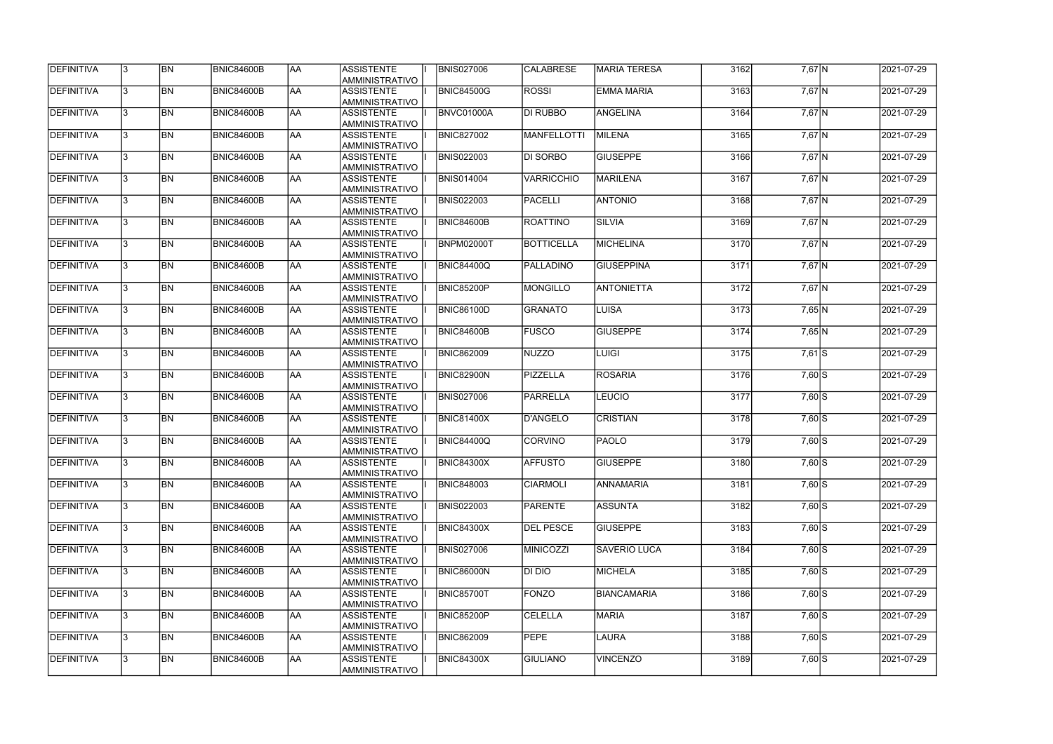| DEFINITIVA        | 13.          | <b>BN</b>       | <b>BNIC84600B</b> | <b>JAA</b> | ASSISTENTE<br>AMMINISTRATIVO               | <b>BNIS027006</b> | <b>CALABRESE</b>  | <b>MARIA TERESA</b> | 3162 | $7,67$ N | 2021-07-29 |
|-------------------|--------------|-----------------|-------------------|------------|--------------------------------------------|-------------------|-------------------|---------------------|------|----------|------------|
| <b>DEFINITIVA</b> | l3.          | <b>BN</b>       | BNIC84600B        | <b>JAA</b> | <b>ASSISTENTE</b><br>AMMINISTRATIVO        | <b>BNIC84500G</b> | <b>ROSSI</b>      | <b>EMMA MARIA</b>   | 3163 | $7,67$ N | 2021-07-29 |
| DEFINITIVA        |              | <b>BN</b>       | <b>BNIC84600B</b> | AA         | <b>ASSISTENTE</b><br>AMMINISTRATIVO        | BNVC01000A        | DI RUBBO          | <b>ANGELINA</b>     | 3164 | $7,67$ N | 2021-07-29 |
| <b>DEFINITIVA</b> | $\mathbf{3}$ | <b>BN</b>       | BNIC84600B        | <b>AA</b>  | ASSISTENTE<br>AMMINISTRATIVO               | <b>BNIC827002</b> | MANFELLOTTI       | <b>MILENA</b>       | 3165 | $7,67$ N | 2021-07-29 |
| <b>DEFINITIVA</b> |              | <b>BN</b>       | BNIC84600B        | AA         | ASSISTENTE<br><b>AMMINISTRATIVO</b>        | <b>BNIS022003</b> | <b>DI SORBO</b>   | <b>GIUSEPPE</b>     | 3166 | $7,67$ N | 2021-07-29 |
| DEFINITIVA        |              | <b>BN</b>       | BNIC84600B        | <b>JAA</b> | <b>ASSISTENTE</b><br>AMMINISTRATIVO        | <b>BNIS014004</b> | <b>VARRICCHIO</b> | <b>MARILENA</b>     | 3167 | $7,67$ N | 2021-07-29 |
| DEFINITIVA        |              | <b>BN</b>       | <b>BNIC84600B</b> | AA         | <b>ASSISTENTE</b><br><b>AMMINISTRATIVO</b> | <b>BNIS022003</b> | PACELLI           | <b>ANTONIO</b>      | 3168 | $7,67$ N | 2021-07-29 |
| DEFINITIVA        |              | <b>BN</b>       | BNIC84600B        | AA         | <b>ASSISTENTE</b><br>AMMINISTRATIVO        | BNIC84600B        | ROATTINO          | <b>SILVIA</b>       | 3169 | $7,67$ N | 2021-07-29 |
| <b>DEFINITIVA</b> |              | <b>BN</b>       | <b>BNIC84600B</b> | <b>JAA</b> | <b>ASSISTENTE</b><br><b>AMMINISTRATIVO</b> | BNPM02000T        | <b>BOTTICELLA</b> | <b>MICHELINA</b>    | 3170 | 7,67 N   | 2021-07-29 |
| DEFINITIVA        |              | <b>BN</b>       | BNIC84600B        | <b>JAA</b> | ASSISTENTE<br>AMMINISTRATIVO               | BNIC84400Q        | PALLADINO         | <b>GIUSEPPINA</b>   | 3171 | $7,67$ N | 2021-07-29 |
| DEFINITIVA        |              | <b>BN</b>       | <b>BNIC84600B</b> | AA         | ASSISTENTE<br>AMMINISTRATIVO               | BNIC85200P        | <b>MONGILLO</b>   | <b>ANTONIETTA</b>   | 3172 | 7,67 N   | 2021-07-29 |
| DEFINITIVA        |              | <b>BN</b>       | BNIC84600B        | <b>AA</b>  | ASSISTENTE<br>AMMINISTRATIVO               | <b>BNIC86100D</b> | <b>GRANATO</b>    | LUISA               | 3173 | $7,65$ N | 2021-07-29 |
| <b>DEFINITIVA</b> |              | <b>BN</b>       | <b>BNIC84600B</b> | AA         | ASSISTENTE<br>AMMINISTRATIVO               | <b>BNIC84600B</b> | <b>FUSCO</b>      | <b>GIUSEPPE</b>     | 3174 | $7,65$ N | 2021-07-29 |
| <b>DEFINITIVA</b> |              | <b>BN</b>       | <b>BNIC84600B</b> | <b>JAA</b> | <b>ASSISTENTE</b><br><b>AMMINISTRATIVO</b> | <b>BNIC862009</b> | <b>NUZZO</b>      | LUIGI               | 3175 | $7,61$ S | 2021-07-29 |
| <b>DEFINITIVA</b> |              | <b>BN</b>       | <b>BNIC84600B</b> | AA         | <b>ASSISTENTE</b><br><b>AMMINISTRATIVO</b> | <b>BNIC82900N</b> | PIZZELLA          | <b>ROSARIA</b>      | 3176 | $7,60$ S | 2021-07-29 |
| DEFINITIVA        |              | <b>BN</b>       | <b>BNIC84600B</b> | <b>JAA</b> | <b>ASSISTENTE</b><br>AMMINISTRATIVO        | <b>BNIS027006</b> | PARRELLA          | <b>LEUCIO</b>       | 3177 | 7,60 S   | 2021-07-29 |
| DEFINITIVA        | 3            | <b>BN</b>       | BNIC84600B        | AA         | <b>ASSISTENTE</b><br>AMMINISTRATIVO        | <b>BNIC81400X</b> | D'ANGELO          | <b>CRISTIAN</b>     | 3178 | $7,60$ S | 2021-07-29 |
| DEFINITIVA        |              | <b>BN</b>       | <b>BNIC84600B</b> | AA         | <b>ASSISTENTE</b><br>AMMINISTRATIVO        | <b>BNIC84400Q</b> | <b>CORVINO</b>    | <b>PAOLO</b>        | 3179 | $7,60$ S | 2021-07-29 |
| DEFINITIVA        | 13.          | <b>BN</b>       | <b>BNIC84600B</b> | <b>JAA</b> | <b>ASSISTENTE</b><br>AMMINISTRATIVO        | <b>BNIC84300X</b> | <b>AFFUSTO</b>    | <b>GIUSEPPE</b>     | 3180 | $7,60$ S | 2021-07-29 |
| <b>DEFINITIVA</b> | l3.          | $\overline{BN}$ | <b>BNIC84600B</b> | AA         | ASSISTENTE<br><b>AMMINISTRATIVO</b>        | <b>BNIC848003</b> | <b>CIARMOLI</b>   | <b>ANNAMARIA</b>    | 3181 | $7,60$ S | 2021-07-29 |
| <b>DEFINITIVA</b> | 13.          | <b>BN</b>       | <b>BNIC84600B</b> | AA         | <b>ASSISTENTE</b><br>AMMINISTRATIVO        | <b>BNIS022003</b> | <b>PARENTE</b>    | ASSUNTA             | 3182 | $7,60$ S | 2021-07-29 |
| DEFINITIVA        |              | <b>BN</b>       | <b>BNIC84600B</b> | AA         | ASSISTENTE<br>AMMINISTRATIVO               | <b>BNIC84300X</b> | <b>DEL PESCE</b>  | <b>GIUSEPPE</b>     | 3183 | 7,60 S   | 2021-07-29 |
| DEFINITIVA        |              | <b>BN</b>       | <b>BNIC84600B</b> | AA         | ASSISTENTE<br><b>AMMINISTRATIVO</b>        | <b>BNIS027006</b> | <b>MINICOZZI</b>  | <b>SAVERIO LUCA</b> | 3184 | 7,60 S   | 2021-07-29 |
| DEFINITIVA        |              | <b>BN</b>       | <b>BNIC84600B</b> | AA         | ASSISTENTE<br>AMMINISTRATIVO               | BNIC86000N        | DI DIO            | <b>MICHELA</b>      | 3185 | 7,60 S   | 2021-07-29 |
| DEFINITIVA        |              | <b>BN</b>       | <b>BNIC84600B</b> | AA         | ASSISTENTE<br>AMMINISTRATIVO               | BNIC85700T        | FONZO             | <b>BIANCAMARIA</b>  | 3186 | 7,60 S   | 2021-07-29 |
| DEFINITIVA        |              | <b>BN</b>       | BNIC84600B        | AA         | ASSISTENTE<br>AMMINISTRATIVO               | <b>BNIC85200P</b> | <b>CELELLA</b>    | <b>MARIA</b>        | 3187 | $7,60$ S | 2021-07-29 |
| <b>DEFINITIVA</b> | 13.          | <b>BN</b>       | <b>BNIC84600B</b> | AA         | ASSISTENTE<br>AMMINISTRATIVO               | <b>BNIC862009</b> | <b>PEPE</b>       | <b>LAURA</b>        | 3188 | 7,60 S   | 2021-07-29 |
| <b>DEFINITIVA</b> |              | <b>BN</b>       | <b>BNIC84600B</b> | <b>AA</b>  | <b>ASSISTENTE</b><br>AMMINISTRATIVO        | <b>BNIC84300X</b> | <b>GIULIANO</b>   | <b>VINCENZO</b>     | 3189 | $7,60$ S | 2021-07-29 |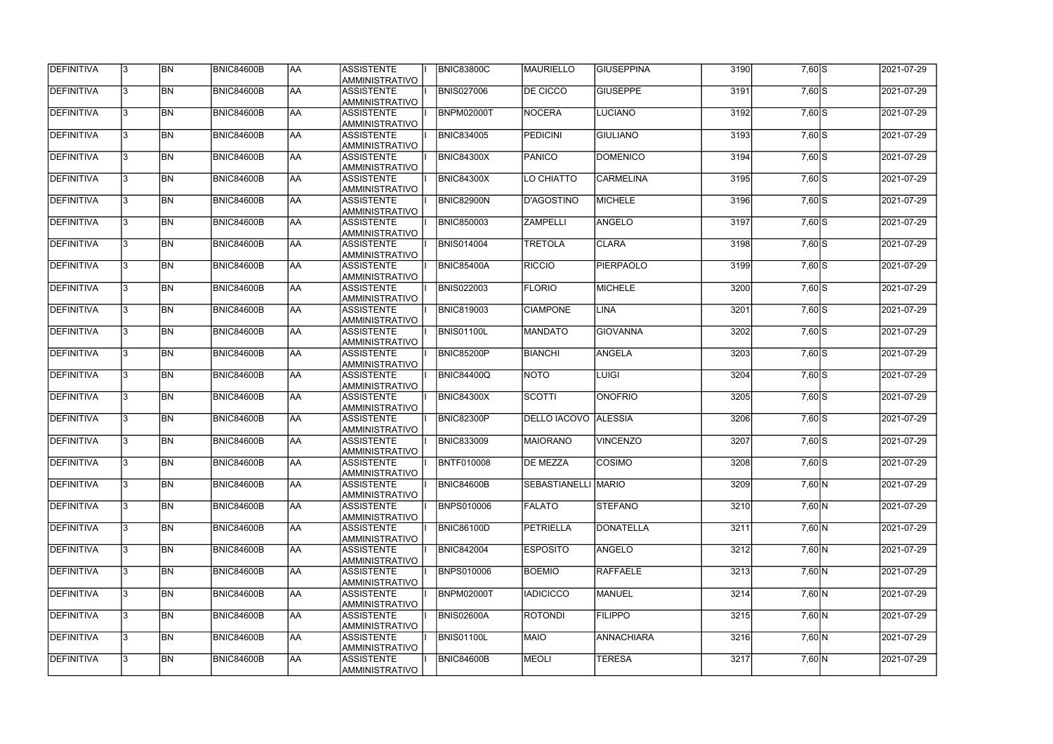| <b>DEFINITIVA</b> | 13. | <b>BN</b> | <b>BNIC84600B</b> | <b>AA</b> | ASSISTENTE<br>AMMINISTRATIVO         | <b>BNIC83800C</b> | <b>IMAURIELLO</b>    | <b>GIUSEPPINA</b> | 3190 | $7,60$ S       | 2021-07-29 |
|-------------------|-----|-----------|-------------------|-----------|--------------------------------------|-------------------|----------------------|-------------------|------|----------------|------------|
| DEFINITIVA        | 13. | <b>BN</b> | <b>BNIC84600B</b> | AA        | <b>ASSISTENTE</b><br>AMMINISTRATIVO  | <b>BNIS027006</b> | <b>DE CICCO</b>      | <b>GIUSEPPE</b>   | 3191 | $7,60$ S       | 2021-07-29 |
| DEFINITIVA        | 13. | <b>BN</b> | <b>BNIC84600B</b> | AA        | <b>ASSISTENTE</b><br>AMMINISTRATIVO  | <b>BNPM02000T</b> | NOCERA               | <b>LUCIANO</b>    | 3192 | $7,60$ S       | 2021-07-29 |
| DEFINITIVA        | l3. | <b>BN</b> | <b>BNIC84600B</b> | AA        | <b>ASSISTENTE</b><br>AMMINISTRATIVO  | <b>BNIC834005</b> | PEDICINI             | <b>GIULIANO</b>   | 3193 | $7,60$ S       | 2021-07-29 |
| DEFINITIVA        | l3. | <b>BN</b> | <b>BNIC84600B</b> | <b>AA</b> | <b>ASSISTENTE</b><br>AMMINISTRATIVO  | <b>BNIC84300X</b> | PANICO               | <b>DOMENICO</b>   | 3194 | $7,60$ S       | 2021-07-29 |
| DEFINITIVA        | l3. | <b>BN</b> | <b>BNIC84600B</b> | <b>AA</b> | <b>ASSISTENTE</b><br>AMMINISTRATIVO  | <b>BNIC84300X</b> | LO CHIATTO           | <b>CARMELINA</b>  | 3195 | $7,60$ S       | 2021-07-29 |
| <b>DEFINITIVA</b> | 3   | <b>BN</b> | <b>BNIC84600B</b> | AA        | <b>ASSISTENTE</b><br>AMMINISTRATIVO  | BNIC82900N        | D'AGOSTINO           | <b>MICHELE</b>    | 3196 | $7,60$ S       | 2021-07-29 |
| DEFINITIVA        |     | <b>BN</b> | <b>BNIC84600B</b> | AA        | <b>ASSISTENTE</b><br>AMMINISTRATIVO  | <b>BNIC850003</b> | <b>ZAMPELLI</b>      | ANGELO            | 3197 | $7,60$ S       | 2021-07-29 |
| DEFINITIVA        |     | <b>BN</b> | <b>BNIC84600B</b> | AA        | <b>ASSISTENTE</b><br>AMMINISTRATIVO  | <b>BNIS014004</b> | <b>TRETOLA</b>       | <b>CLARA</b>      | 3198 | $7,60$ S       | 2021-07-29 |
| DEFINITIVA        |     | <b>BN</b> | <b>BNIC84600B</b> | laa       | <b>ASSISTENTE</b><br>AMMINISTRATIVO  | <b>BNIC85400A</b> | <b>RICCIO</b>        | <b>PIERPAOLO</b>  | 3199 | $7,60$ S       | 2021-07-29 |
| DEFINITIVA        | l3. | <b>BN</b> | <b>BNIC84600B</b> | laa       | <b>ASSISTENTE</b><br>Iamministrativo | <b>BNIS022003</b> | <b>FLORIO</b>        | <b>MICHELE</b>    | 3200 | $7,60$ S       | 2021-07-29 |
| DEFINITIVA        | l3. | <b>BN</b> | <b>BNIC84600B</b> | AA        | <b>ASSISTENTE</b><br>AMMINISTRATIVO  | <b>BNIC819003</b> | <b>CIAMPONE</b>      | LINA              | 3201 | $7,60$ S       | 2021-07-29 |
| DEFINITIVA        | 3   | <b>BN</b> | BNIC84600B        | AA        | <b>ASSISTENTE</b><br>AMMINISTRATIVO  | <b>BNIS01100L</b> | <b>MANDATO</b>       | <b>GIOVANNA</b>   | 3202 | $7,60$ S       | 2021-07-29 |
| DEFINITIVA        |     | <b>BN</b> | <b>BNIC84600B</b> | laa       | <b>ASSISTENTE</b><br>AMMINISTRATIVO  | <b>BNIC85200P</b> | BIANCHI              | ANGELA            | 3203 | $7,60$ S       | 2021-07-29 |
| DEFINITIVA        | l3. | <b>BN</b> | <b>BNIC84600B</b> | AA        | <b>ASSISTENTE</b><br>AMMINISTRATIVO  | <b>BNIC84400Q</b> | <b>NOTO</b>          | <b>LUIGI</b>      | 3204 | $7,60$ S       | 2021-07-29 |
| DEFINITIVA        | l3. | <b>BN</b> | <b>BNIC84600B</b> | AA        | <b>ASSISTENTE</b><br>AMMINISTRATIVO  | <b>BNIC84300X</b> | SCOTTI               | <b>ONOFRIO</b>    | 3205 | $7,60$ S       | 2021-07-29 |
| <b>DEFINITIVA</b> |     | <b>BN</b> | <b>BNIC84600B</b> | AA        | <b>ASSISTENTE</b><br>AMMINISTRATIVO  | <b>BNIC82300P</b> | DELLO IACOVO ALESSIA |                   | 3206 | $7,60$ S       | 2021-07-29 |
| DEFINITIVA        |     | <b>BN</b> | <b>BNIC84600B</b> | AA        | <b>ASSISTENTE</b><br>AMMINISTRATIVO  | <b>BNIC833009</b> | <b>MAIORANO</b>      | <b>VINCENZO</b>   | 3207 | $7,60$ S       | 2021-07-29 |
| <b>DEFINITIVA</b> | 13  | <b>BN</b> | <b>BNIC84600B</b> | AA        | ASSISTENTE <br>IAMMINISTRATIVO       | <b>BNTF010008</b> | <b>DE MEZZA</b>      | <b>COSIMO</b>     | 3208 | $7,60$ S       | 2021-07-29 |
| DEFINITIVA        | 13. | <b>BN</b> | <b>BNIC84600B</b> | AA        | ASSISTENTE<br>AMMINISTRATIVO         | <b>BNIC84600B</b> | SEBASTIANELLI MARIO  |                   | 3209 | 7,60 N         | 2021-07-29 |
| DEFINITIVA        | I3. | <b>BN</b> | <b>BNIC84600B</b> | AA        | ASSISTENTE<br>AMMINISTRATIVO         | <b>BNPS010006</b> | <b>FALATO</b>        | <b>STEFANO</b>    | 3210 | 7,60 N         | 2021-07-29 |
| DEFINITIVA        | l3. | <b>BN</b> | <b>BNIC84600B</b> | <b>AA</b> | <b>ASSISTENTE</b><br>AMMINISTRATIVO  | <b>BNIC86100D</b> | PETRIELLA            | DONATELLA         | 3211 | $7,60 \ N$     | 2021-07-29 |
| DEFINITIVA        | 3   | <b>BN</b> | <b>BNIC84600B</b> | AA        | <b>ASSISTENTE</b><br>AMMINISTRATIVO  | <b>BNIC842004</b> | <b>ESPOSITO</b>      | ANGELO            | 3212 | $7,60\vert N$  | 2021-07-29 |
| DEFINITIVA        | l3. | <b>BN</b> | <b>BNIC84600B</b> | AA        | <b>ASSISTENTE</b><br>AMMINISTRATIVO  | <b>BNPS010006</b> | <b>BOEMIO</b>        | RAFFAELE          | 3213 | $7,60\vert N$  | 2021-07-29 |
| DEFINITIVA        |     | <b>BN</b> | <b>BNIC84600B</b> | AA        | <b>ASSISTENTE</b><br>AMMINISTRATIVO  | <b>BNPM02000T</b> | <b>IADICICCO</b>     | <b>MANUEL</b>     | 3214 | $7,60 \vert N$ | 2021-07-29 |
| DEFINITIVA        | I3. | <b>BN</b> | <b>BNIC84600B</b> | AA        | <b>ASSISTENTE</b><br>AMMINISTRATIVO  | <b>BNIS02600A</b> | <b>ROTONDI</b>       | <b>FILIPPO</b>    | 3215 | $7,60\vert N$  | 2021-07-29 |
| DEFINITIVA        | 13. | <b>BN</b> | <b>BNIC84600B</b> | AA        | <b>ASSISTENTE</b><br>AMMINISTRATIVO  | <b>BNIS01100L</b> | MAIO                 | <b>ANNACHIARA</b> | 3216 | $7,60\vert N$  | 2021-07-29 |
| DEFINITIVA        |     | <b>BN</b> | <b>BNIC84600B</b> | AA        | <b>ASSISTENTE</b><br>AMMINISTRATIVO  | <b>BNIC84600B</b> | <b>MEOLI</b>         | <b>TERESA</b>     | 3217 | $7,60\vert N$  | 2021-07-29 |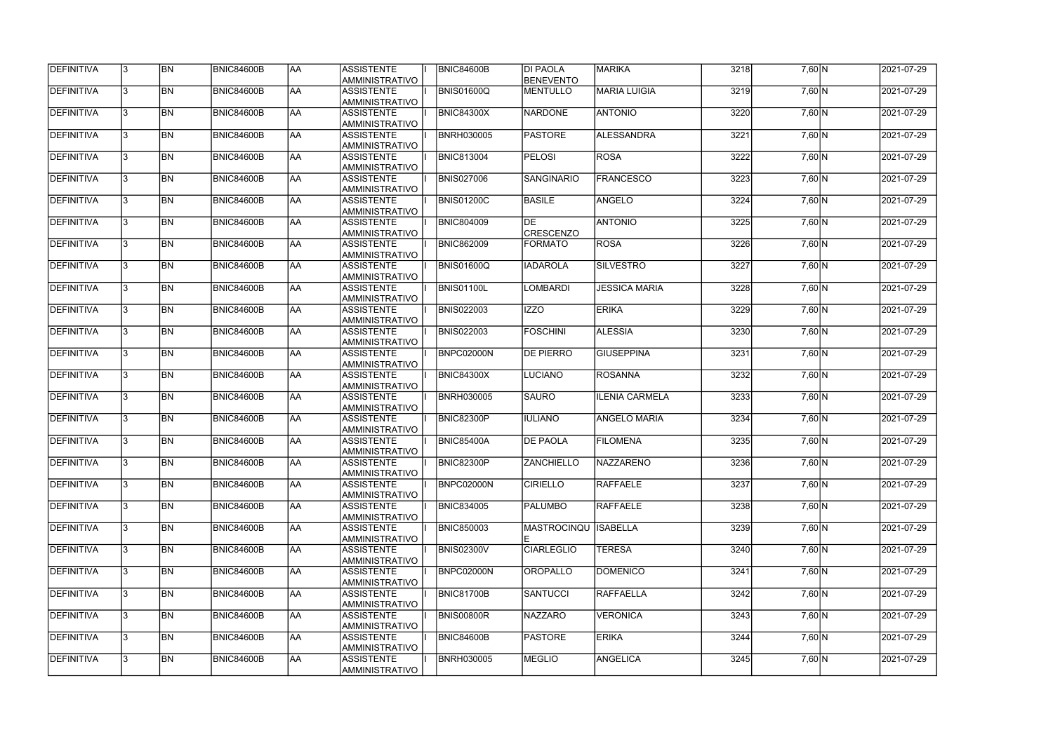| <b>DEFINITIVA</b> | 13. | <b>BN</b> | <b>BNIC84600B</b> | AA        | <b>ASSISTENTE</b><br>AMMINISTRATIVO        | <b>BNIC84600B</b> | <b>DI PAOLA</b><br><b>BENEVENTO</b> | <b>MARIKA</b>         | 3218 | $7,60 \vert N$ | 2021-07-29 |
|-------------------|-----|-----------|-------------------|-----------|--------------------------------------------|-------------------|-------------------------------------|-----------------------|------|----------------|------------|
| <b>DEFINITIVA</b> | 13. | <b>BN</b> | <b>BNIC84600B</b> | laa       | <b>ASSISTENTE</b><br>AMMINISTRATIVO        | <b>BNIS01600Q</b> | <b>MENTULLO</b>                     | <b>MARIA LUIGIA</b>   | 3219 | $7,60 \ N$     | 2021-07-29 |
| DEFINITIVA        | l3. | <b>BN</b> | <b>BNIC84600B</b> | AA        | <b>ASSISTENTE</b><br>AMMINISTRATIVO        | <b>BNIC84300X</b> | <b>NARDONE</b>                      | <b>ANTONIO</b>        | 3220 | $7,60$ N       | 2021-07-29 |
| <b>DEFINITIVA</b> | l3. | <b>BN</b> | BNIC84600B        | <b>AA</b> | <b>ASSISTENTE</b><br>AMMINISTRATIVO        | <b>BNRH030005</b> | <b>PASTORE</b>                      | <b>ALESSANDRA</b>     | 3221 | $7,60$ N       | 2021-07-29 |
| DEFINITIVA        | l3. | <b>BN</b> | <b>BNIC84600B</b> | laa       | <b>ASSISTENTE</b><br>AMMINISTRATIVO        | <b>BNIC813004</b> | <b>PELOSI</b>                       | <b>ROSA</b>           | 3222 | $7,60$ N       | 2021-07-29 |
| DEFINITIVA        | 3   | <b>BN</b> | <b>BNIC84600B</b> | laa       | <b>ASSISTENTE</b><br>AMMINISTRATIVO        | <b>BNIS027006</b> | <b>SANGINARIO</b>                   | <b>FRANCESCO</b>      | 3223 | $7,60 \vert N$ | 2021-07-29 |
| DEFINITIVA        |     | <b>BN</b> | <b>BNIC84600B</b> | laa       | <b>ASSISTENTE</b><br><b>AMMINISTRATIVO</b> | <b>BNIS01200C</b> | <b>BASILE</b>                       | <b>ANGELO</b>         | 3224 | $7,60 \ N$     | 2021-07-29 |
| DEFINITIVA        |     | <b>BN</b> | BNIC84600B        | laa       | <b>ASSISTENTE</b><br>AMMINISTRATIVO        | <b>BNIC804009</b> | <b>IDE</b><br><b>CRESCENZO</b>      | <b>ANTONIO</b>        | 3225 | $7,60 \ N$     | 2021-07-29 |
| DEFINITIVA        |     | <b>BN</b> | <b>BNIC84600B</b> | AA        | <b>ASSISTENTE</b><br>AMMINISTRATIVO        | <b>BNIC862009</b> | <b>FORMATO</b>                      | <b>ROSA</b>           | 3226 | 7,60 N         | 2021-07-29 |
| DEFINITIVA        | l3. | <b>BN</b> | <b>BNIC84600B</b> | laa       | <b>ASSISTENTE</b><br>AMMINISTRATIVO        | BNIS01600Q        | <b>IADAROLA</b>                     | <b>SILVESTRO</b>      | 3227 | 7,60 N         | 2021-07-29 |
| DEFINITIVA        | l3  | <b>BN</b> | <b>BNIC84600B</b> | AA        | <b>ASSISTENTE</b><br>AMMINISTRATIVO        | BNIS01100L        | <b>LOMBARDI</b>                     | <b>JESSICA MARIA</b>  | 3228 | $7,60 \vert N$ | 2021-07-29 |
| DEFINITIVA        | 3   | <b>BN</b> | <b>BNIC84600B</b> | <b>AA</b> | <b>ASSISTENTE</b><br>AMMINISTRATIVO        | <b>BNIS022003</b> | <b>IZZO</b>                         | <b>ERIKA</b>          | 3229 | $7,60 \vert N$ | 2021-07-29 |
| DEFINITIVA        | 3   | <b>BN</b> | <b>BNIC84600B</b> | laa       | <b>ASSISTENTE</b><br>AMMINISTRATIVO        | <b>BNIS022003</b> | <b>FOSCHINI</b>                     | <b>ALESSIA</b>        | 3230 | 7,60 N         | 2021-07-29 |
| DEFINITIVA        | 3   | <b>BN</b> | <b>BNIC84600B</b> | laa       | <b>ASSISTENTE</b><br>AMMINISTRATIVO        | BNPC02000N        | <b>DE PIERRO</b>                    | <b>GIUSEPPINA</b>     | 3231 | 7,60 N         | 2021-07-29 |
| DEFINITIVA        |     | <b>BN</b> | <b>BNIC84600B</b> | laa       | <b>ASSISTENTE</b><br><b>AMMINISTRATIVO</b> | <b>BNIC84300X</b> | <b>LUCIANO</b>                      | <b>ROSANNA</b>        | 3232 | $7,60 \ N$     | 2021-07-29 |
| DEFINITIVA        | 3   | <b>BN</b> | <b>BNIC84600B</b> | laa       | <b>ASSISTENTE</b><br>AMMINISTRATIVO        | <b>BNRH030005</b> | <b>SAURO</b>                        | <b>ILENIA CARMELA</b> | 3233 | $7,60 \ N$     | 2021-07-29 |
| DEFINITIVA        | l3. | <b>BN</b> | <b>BNIC84600B</b> | laa       | <b>ASSISTENTE</b><br>AMMINISTRATIVO        | <b>BNIC82300P</b> | <b>IULIANO</b>                      | <b>ANGELO MARIA</b>   | 3234 | $7,60 \vert N$ | 2021-07-29 |
| DEFINITIVA        | 3   | <b>BN</b> | <b>BNIC84600B</b> | AA        | <b>ASSISTENTE</b><br>AMMINISTRATIVO        | <b>BNIC85400A</b> | <b>DE PAOLA</b>                     | <b>FILOMENA</b>       | 3235 | 7,60 N         | 2021-07-29 |
| DEFINITIVA        | 13  | <b>BN</b> | <b>BNIC84600B</b> | <b>AA</b> | <b>ASSISTENTE</b><br>AMMINISTRATIVO        | <b>BNIC82300P</b> | <b>ZANCHIELLO</b>                   | NAZZARENO             | 3236 | $7,60 \vert N$ | 2021-07-29 |
| <b>DEFINITIVA</b> | l3. | <b>BN</b> | <b>BNIC84600B</b> | AA        | <b>ASSISTENTE</b><br>AMMINISTRATIVO        | BNPC02000N        | <b>CIRIELLO</b>                     | RAFFAELE              | 3237 | $7,60 \ N$     | 2021-07-29 |
| DEFINITIVA        | 13. | <b>BN</b> | <b>BNIC84600B</b> | AA        | <b>ASSISTENTE</b><br>AMMINISTRATIVO        | <b>BNIC834005</b> | <b>PALUMBO</b>                      | RAFFAELE              | 3238 | 7,60 N         | 2021-07-29 |
| DEFINITIVA        | 3   | <b>BN</b> | <b>BNIC84600B</b> | laa       | <b>ASSISTENTE</b><br>AMMINISTRATIVO        | <b>BNIC850003</b> | MASTROCINQU                         | <b>ISABELLA</b>       | 3239 | $7,60 \ N$     | 2021-07-29 |
| DEFINITIVA        |     | <b>BN</b> | <b>BNIC84600B</b> | AA        | <b>ASSISTENTE</b><br>AMMINISTRATIVO        | <b>BNIS02300V</b> | <b>CIARLEGLIO</b>                   | <b>TERESA</b>         | 3240 | $7,60 \ N$     | 2021-07-29 |
| DEFINITIVA        |     | <b>BN</b> | <b>BNIC84600B</b> | AA        | <b>ASSISTENTE</b><br>AMMINISTRATIVO        | BNPC02000N        | <b>OROPALLO</b>                     | <b>DOMENICO</b>       | 3241 | 7,60 N         | 2021-07-29 |
| DEFINITIVA        | I3. | <b>BN</b> | BNIC84600B        | laa       | <b>ASSISTENTE</b><br>AMMINISTRATIVO        | <b>BNIC81700B</b> | SANTUCCI                            | <b>RAFFAELLA</b>      | 3242 | $7,60 \ N$     | 2021-07-29 |
| DEFINITIVA        | I3. | <b>BN</b> | <b>BNIC84600B</b> | AA        | <b>ASSISTENTE</b><br>AMMINISTRATIVO        | BNIS00800R        | <b>NAZZARO</b>                      | <b>VERONICA</b>       | 3243 | 7,60 N         | 2021-07-29 |
| DEFINITIVA        | 13. | <b>BN</b> | <b>BNIC84600B</b> | AA        | <b>ASSISTENTE</b><br>AMMINISTRATIVO        | <b>BNIC84600B</b> | <b>PASTORE</b>                      | <b>ERIKA</b>          | 3244 | 7,60 N         | 2021-07-29 |
| DEFINITIVA        |     | <b>BN</b> | <b>BNIC84600B</b> | AA        | <b>ASSISTENTE</b><br>AMMINISTRATIVO        | <b>BNRH030005</b> | <b>MEGLIO</b>                       | <b>ANGELICA</b>       | 3245 | $7,60$ N       | 2021-07-29 |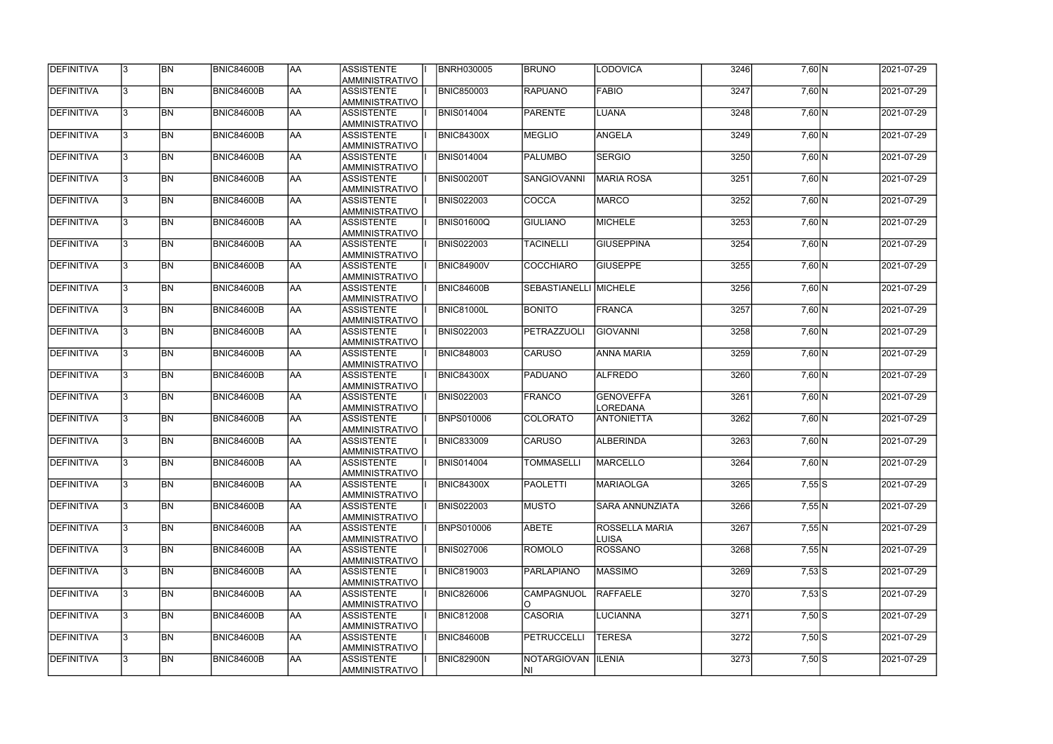| DEFINITIVA        | 13. | <b>BN</b> | <b>BNIC84600B</b> | AA        | <b>ASSISTENTE</b><br>AMMINISTRATIVO        | <b>BNRH030005</b> | <b>BRUNO</b>       | LODOVICA                     | 3246 | $7,60 \vert N$ | 2021-07-29 |
|-------------------|-----|-----------|-------------------|-----------|--------------------------------------------|-------------------|--------------------|------------------------------|------|----------------|------------|
| <b>DEFINITIVA</b> | 13. | <b>BN</b> | <b>BNIC84600B</b> | laa       | <b>ASSISTENTE</b><br>AMMINISTRATIVO        | <b>BNIC850003</b> | <b>RAPUANO</b>     | <b>FABIO</b>                 | 3247 | 7,60 N         | 2021-07-29 |
| DEFINITIVA        | l3. | <b>BN</b> | <b>BNIC84600B</b> | AA        | <b>ASSISTENTE</b><br>AMMINISTRATIVO        | <b>BNIS014004</b> | PARENTE            | LUANA                        | 3248 | $7,60$ N       | 2021-07-29 |
| <b>DEFINITIVA</b> | l3. | <b>BN</b> | BNIC84600B        | <b>AA</b> | <b>ASSISTENTE</b><br>AMMINISTRATIVO        | <b>BNIC84300X</b> | MEGLIO             | <b>ANGELA</b>                | 3249 | $7,60$ N       | 2021-07-29 |
| DEFINITIVA        | l3. | <b>BN</b> | <b>BNIC84600B</b> | laa       | <b>ASSISTENTE</b><br>AMMINISTRATIVO        | <b>BNIS014004</b> | PALUMBO            | <b>SERGIO</b>                | 3250 | $7,60$ N       | 2021-07-29 |
| DEFINITIVA        | l3  | <b>BN</b> | <b>BNIC84600B</b> | laa       | <b>ASSISTENTE</b><br>AMMINISTRATIVO        | <b>BNIS00200T</b> | <b>SANGIOVANNI</b> | <b>MARIA ROSA</b>            | 3251 | $7,60 \vert N$ | 2021-07-29 |
| DEFINITIVA        |     | <b>BN</b> | <b>BNIC84600B</b> | laa       | <b>ASSISTENTE</b><br><b>AMMINISTRATIVO</b> | <b>BNIS022003</b> | COCCA              | <b>MARCO</b>                 | 3252 | $7,60 \ N$     | 2021-07-29 |
| DEFINITIVA        |     | <b>BN</b> | BNIC84600B        | laa       | <b>ASSISTENTE</b><br>AMMINISTRATIVO        | <b>BNIS01600Q</b> | <b>GIULIANO</b>    | <b>MICHELE</b>               | 3253 | $7,60 \ N$     | 2021-07-29 |
| DEFINITIVA        | l3. | <b>BN</b> | <b>BNIC84600B</b> | AA        | <b>ASSISTENTE</b><br>AMMINISTRATIVO        | <b>BNIS022003</b> | <b>TACINELLI</b>   | <b>GIUSEPPINA</b>            | 3254 | 7,60 N         | 2021-07-29 |
| DEFINITIVA        | l3. | <b>BN</b> | <b>BNIC84600B</b> | laa       | <b>ASSISTENTE</b><br>AMMINISTRATIVO        | BNIC84900V        | <b>COCCHIARO</b>   | <b>GIUSEPPE</b>              | 3255 | 7,60 N         | 2021-07-29 |
| DEFINITIVA        | l3. | <b>BN</b> | <b>BNIC84600B</b> | AA        | <b>ASSISTENTE</b><br>AMMINISTRATIVO        | BNIC84600B        | SEBASTIANELLI      | <b>MICHELE</b>               | 3256 | $7,60 \vert N$ | 2021-07-29 |
| DEFINITIVA        | 3   | <b>BN</b> | BNIC84600B        | <b>AA</b> | <b>ASSISTENTE</b><br>AMMINISTRATIVO        | BNIC81000L        | <b>BONITO</b>      | <b>FRANCA</b>                | 3257 | $7,60 \vert N$ | 2021-07-29 |
| DEFINITIVA        | l3. | <b>BN</b> | <b>BNIC84600B</b> | laa       | <b>ASSISTENTE</b><br>AMMINISTRATIVO        | <b>BNIS022003</b> | PETRAZZUOLI        | <b>GIOVANNI</b>              | 3258 | 7,60 N         | 2021-07-29 |
| DEFINITIVA        | 3   | <b>BN</b> | <b>BNIC84600B</b> | laa       | <b>ASSISTENTE</b><br>AMMINISTRATIVO        | <b>BNIC848003</b> | <b>CARUSO</b>      | <b>ANNA MARIA</b>            | 3259 | $7,60 \vert N$ | 2021-07-29 |
| DEFINITIVA        | 3   | <b>BN</b> | <b>BNIC84600B</b> | laa       | <b>ASSISTENTE</b><br><b>AMMINISTRATIVO</b> | <b>BNIC84300X</b> | PADUANO            | ALFREDO                      | 3260 | $7,60 \ N$     | 2021-07-29 |
| DEFINITIVA        | 3   | <b>BN</b> | <b>BNIC84600B</b> | laa       | <b>ASSISTENTE</b><br>AMMINISTRATIVO        | <b>BNIS022003</b> | <b>FRANCO</b>      | <b>GENOVEFFA</b><br>LOREDANA | 3261 | $7,60 \ N$     | 2021-07-29 |
| DEFINITIVA        | l3. | <b>BN</b> | <b>BNIC84600B</b> | laa       | <b>ASSISTENTE</b><br>AMMINISTRATIVO        | <b>BNPS010006</b> | <b>COLORATO</b>    | <b>ANTONIETTA</b>            | 3262 | $7,60 \vert N$ | 2021-07-29 |
| DEFINITIVA        | 3   | <b>BN</b> | <b>BNIC84600B</b> | AA        | <b>ASSISTENTE</b><br>AMMINISTRATIVO        | <b>BNIC833009</b> | <b>CARUSO</b>      | <b>ALBERINDA</b>             | 3263 | $7,60 \ N$     | 2021-07-29 |
| DEFINITIVA        | 13  | <b>BN</b> | <b>BNIC84600B</b> | <b>AA</b> | <b>ASSISTENTE</b><br>AMMINISTRATIVO        | <b>BNIS014004</b> | <b>TOMMASELLI</b>  | <b>MARCELLO</b>              | 3264 | 7,60 N         | 2021-07-29 |
| <b>DEFINITIVA</b> | l3. | <b>BN</b> | <b>BNIC84600B</b> | AA        | <b>ASSISTENTE</b><br>AMMINISTRATIVO        | <b>BNIC84300X</b> | PAOLETTI           | <b>MARIAOLGA</b>             | 3265 | $7,55$ S       | 2021-07-29 |
| DEFINITIVA        | 13. | <b>BN</b> | <b>BNIC84600B</b> | AA        | <b>ASSISTENTE</b><br>AMMINISTRATIVO        | <b>BNIS022003</b> | MUSTO              | <b>SARA ANNUNZIATA</b>       | 3266 | $7,55$ N       | 2021-07-29 |
| DEFINITIVA        | 3   | <b>BN</b> | <b>BNIC84600B</b> | laa       | <b>ASSISTENTE</b><br>AMMINISTRATIVO        | <b>BNPS010006</b> | ABETE              | ROSSELLA MARIA<br>LUISA      | 3267 | $7,55$ N       | 2021-07-29 |
| DEFINITIVA        |     | <b>BN</b> | <b>BNIC84600B</b> | AA        | <b>ASSISTENTE</b><br>AMMINISTRATIVO        | <b>BNIS027006</b> | ROMOLO             | <b>ROSSANO</b>               | 3268 | $7,55$ N       | 2021-07-29 |
| DEFINITIVA        |     | <b>BN</b> | <b>BNIC84600B</b> | AA        | <b>ASSISTENTE</b><br>AMMINISTRATIVO        | <b>BNIC819003</b> | PARLAPIANO         | <b>MASSIMO</b>               | 3269 | $7,53$ S       | 2021-07-29 |
| DEFINITIVA        | I3. | <b>BN</b> | BNIC84600B        | laa       | <b>ASSISTENTE</b><br>AMMINISTRATIVO        | <b>BNIC826006</b> | <b>CAMPAGNUOL</b>  | <b>RAFFAELE</b>              | 3270 | $7,53$ S       | 2021-07-29 |
| DEFINITIVA        | I3. | <b>BN</b> | <b>BNIC84600B</b> | AA        | <b>ASSISTENTE</b><br>AMMINISTRATIVO        | <b>BNIC812008</b> | <b>CASORIA</b>     | <b>LUCIANNA</b>              | 3271 | $7,50$ S       | 2021-07-29 |
| DEFINITIVA        | 13. | <b>BN</b> | <b>BNIC84600B</b> | AA        | <b>ASSISTENTE</b><br>AMMINISTRATIVO        | <b>BNIC84600B</b> | PETRUCCELLI        | <b>TERESA</b>                | 3272 | $7,50$ S       | 2021-07-29 |
| DEFINITIVA        |     | <b>BN</b> | <b>BNIC84600B</b> | AA        | <b>ASSISTENTE</b><br>AMMINISTRATIVO        | <b>BNIC82900N</b> | NOTARGIOVAN<br>NI  | <b>ILENIA</b>                | 3273 | $7,50$ S       | 2021-07-29 |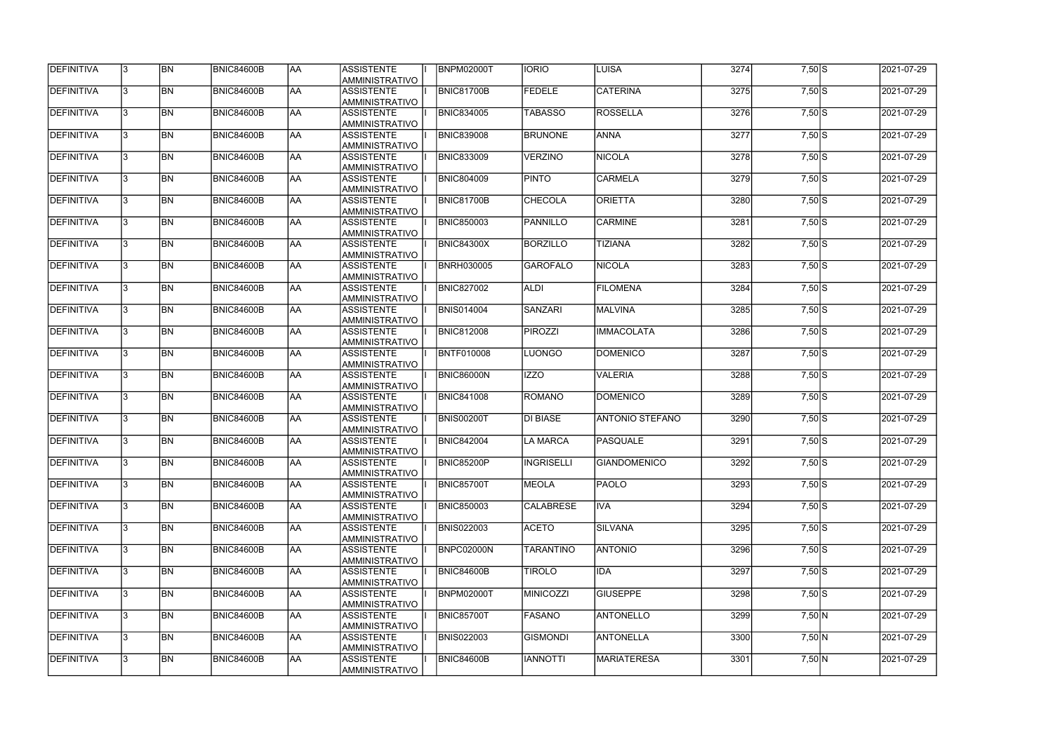| <b>DEFINITIVA</b> | 13. | <b>BN</b> | <b>BNIC84600B</b> | <b>AA</b> | ASSISTENTE<br>AMMINISTRATIVO         | <b>BNPM02000T</b> | <b>IORIO</b>      | LUISA                  | 3274 | $7,50$ S      | 2021-07-29 |
|-------------------|-----|-----------|-------------------|-----------|--------------------------------------|-------------------|-------------------|------------------------|------|---------------|------------|
| DEFINITIVA        | 13. | <b>BN</b> | <b>BNIC84600B</b> | AA        | <b>ASSISTENTE</b><br>AMMINISTRATIVO  | <b>BNIC81700B</b> | <b>FEDELE</b>     | <b>CATERINA</b>        | 3275 | $7,50$ S      | 2021-07-29 |
| DEFINITIVA        | 13. | <b>BN</b> | <b>BNIC84600B</b> | AA        | <b>ASSISTENTE</b><br>AMMINISTRATIVO  | <b>BNIC834005</b> | <b>TABASSO</b>    | <b>ROSSELLA</b>        | 3276 | $7,50$ S      | 2021-07-29 |
| DEFINITIVA        | l3. | <b>BN</b> | <b>BNIC84600B</b> | AA        | <b>ASSISTENTE</b><br>AMMINISTRATIVO  | <b>BNIC839008</b> | <b>BRUNONE</b>    | <b>ANNA</b>            | 3277 | $7,50$ S      | 2021-07-29 |
| DEFINITIVA        | l3. | <b>BN</b> | <b>BNIC84600B</b> | <b>AA</b> | <b>ASSISTENTE</b><br>AMMINISTRATIVO  | <b>BNIC833009</b> | <b>VERZINO</b>    | <b>NICOLA</b>          | 3278 | $7,50$ S      | 2021-07-29 |
| DEFINITIVA        | l3. | <b>BN</b> | <b>BNIC84600B</b> | <b>AA</b> | <b>ASSISTENTE</b><br>AMMINISTRATIVO  | <b>BNIC804009</b> | <b>PINTO</b>      | <b>CARMELA</b>         | 3279 | $7,50$ S      | 2021-07-29 |
| DEFINITIVA        | l3  | <b>BN</b> | <b>BNIC84600B</b> | AA        | <b>ASSISTENTE</b><br>AMMINISTRATIVO  | <b>BNIC81700B</b> | CHECOLA           | <b>ORIETTA</b>         | 3280 | $7,50$ S      | 2021-07-29 |
| DEFINITIVA        |     | <b>BN</b> | <b>BNIC84600B</b> | AA        | <b>ASSISTENTE</b><br>AMMINISTRATIVO  | <b>BNIC850003</b> | PANNILLO          | <b>CARMINE</b>         | 3281 | $7,50$ S      | 2021-07-29 |
| DEFINITIVA        |     | <b>BN</b> | <b>BNIC84600B</b> | AA        | <b>ASSISTENTE</b><br>AMMINISTRATIVO  | <b>BNIC84300X</b> | BORZILLO          | <b>TIZIANA</b>         | 3282 | $7,50$ S      | 2021-07-29 |
| DEFINITIVA        |     | <b>BN</b> | <b>BNIC84600B</b> | laa       | <b>ASSISTENTE</b><br>AMMINISTRATIVO  | <b>BNRH030005</b> | <b>GAROFALO</b>   | <b>NICOLA</b>          | 3283 | $7,50$ S      | 2021-07-29 |
| DEFINITIVA        | l3. | <b>BN</b> | <b>BNIC84600B</b> | laa       | <b>ASSISTENTE</b><br>Iamministrativo | <b>BNIC827002</b> | <b>ALDI</b>       | <b>FILOMENA</b>        | 3284 | $7,50$ S      | 2021-07-29 |
| DEFINITIVA        | l3. | <b>BN</b> | <b>BNIC84600B</b> | AA        | <b>ASSISTENTE</b><br>AMMINISTRATIVO  | <b>BNIS014004</b> | <b>SANZARI</b>    | MALVINA                | 3285 | $7,50$ S      | 2021-07-29 |
| DEFINITIVA        | 3   | <b>BN</b> | BNIC84600B        | AA        | <b>ASSISTENTE</b><br>AMMINISTRATIVO  | <b>BNIC812008</b> | <b>PIROZZI</b>    | <b>IMMACOLATA</b>      | 3286 | $7,50$ S      | 2021-07-29 |
| DEFINITIVA        |     | <b>BN</b> | <b>BNIC84600B</b> | laa       | <b>ASSISTENTE</b><br>AMMINISTRATIVO  | <b>BNTF010008</b> | <b>LUONGO</b>     | <b>DOMENICO</b>        | 3287 | $7,50$ S      | 2021-07-29 |
| DEFINITIVA        | l3. | <b>BN</b> | <b>BNIC84600B</b> | AA        | <b>ASSISTENTE</b><br>AMMINISTRATIVO  | <b>BNIC86000N</b> | <b>IZZO</b>       | <b>VALERIA</b>         | 3288 | $7,50$ S      | 2021-07-29 |
| DEFINITIVA        | l3. | <b>BN</b> | <b>BNIC84600B</b> | AA        | <b>ASSISTENTE</b><br>AMMINISTRATIVO  | <b>BNIC841008</b> | <b>ROMANO</b>     | <b>DOMENICO</b>        | 3289 | $7,50$ S      | 2021-07-29 |
| <b>DEFINITIVA</b> |     | <b>BN</b> | <b>BNIC84600B</b> | AA        | <b>ASSISTENTE</b><br>AMMINISTRATIVO  | <b>BNIS00200T</b> | DI BIASE          | <b>ANTONIO STEFANO</b> | 3290 | $7,50$ S      | 2021-07-29 |
| DEFINITIVA        |     | <b>BN</b> | <b>BNIC84600B</b> | AA        | <b>ASSISTENTE</b><br>AMMINISTRATIVO  | <b>BNIC842004</b> | <b>LA MARCA</b>   | <b>PASQUALE</b>        | 3291 | $7,50$ S      | 2021-07-29 |
| <b>DEFINITIVA</b> | 13  | <b>BN</b> | <b>BNIC84600B</b> | AA        | ASSISTENTE <br>IAMMINISTRATIVO       | <b>BNIC85200P</b> | <b>INGRISELLI</b> | <b>GIANDOMENICO</b>    | 3292 | $7,50$ S      | 2021-07-29 |
| DEFINITIVA        | 13. | <b>BN</b> | <b>BNIC84600B</b> | AA        | ASSISTENTE<br>AMMINISTRATIVO         | <b>BNIC85700T</b> | MEOLA             | <b>PAOLO</b>           | 3293 | $7,50$ S      | 2021-07-29 |
| DEFINITIVA        | l3. | <b>BN</b> | <b>BNIC84600B</b> | AA        | ASSISTENTE<br>AMMINISTRATIVO         | <b>BNIC850003</b> | <b>CALABRESE</b>  | IVA                    | 3294 | $7,50$ S      | 2021-07-29 |
| DEFINITIVA        | 13. | <b>BN</b> | <b>BNIC84600B</b> | <b>AA</b> | <b>ASSISTENTE</b><br>AMMINISTRATIVO  | <b>BNIS022003</b> | <b>ACETO</b>      | <b>SILVANA</b>         | 3295 | $7,50$ S      | 2021-07-29 |
| DEFINITIVA        | 3   | <b>BN</b> | <b>BNIC84600B</b> | AA        | <b>ASSISTENTE</b><br>AMMINISTRATIVO  | BNPC02000N        | <b>TARANTINO</b>  | <b>ANTONIO</b>         | 3296 | $7,50$ S      | 2021-07-29 |
| DEFINITIVA        | l3. | <b>BN</b> | <b>BNIC84600B</b> | AA        | ASSISTENTE<br>AMMINISTRATIVO         | <b>BNIC84600B</b> | <b>TIROLO</b>     | <b>IDA</b>             | 3297 | $7,50$ S      | 2021-07-29 |
| DEFINITIVA        |     | <b>BN</b> | <b>BNIC84600B</b> | AA        | <b>ASSISTENTE</b><br>AMMINISTRATIVO  | <b>BNPM02000T</b> | <b>MINICOZZI</b>  | <b>GIUSEPPE</b>        | 3298 | $7,50$ S      | 2021-07-29 |
| DEFINITIVA        | I3. | <b>BN</b> | <b>BNIC84600B</b> | AA        | <b>ASSISTENTE</b><br>AMMINISTRATIVO  | <b>BNIC85700T</b> | FASANO            | <b>ANTONELLO</b>       | 3299 | $7,50\vert N$ | 2021-07-29 |
| DEFINITIVA        | 13. | <b>BN</b> | <b>BNIC84600B</b> | AA        | <b>ASSISTENTE</b><br>AMMINISTRATIVO  | <b>BNIS022003</b> | <b>GISMONDI</b>   | <b>ANTONELLA</b>       | 3300 | $7,50\vert N$ | 2021-07-29 |
| DEFINITIVA        |     | <b>BN</b> | <b>BNIC84600B</b> | AA        | <b>ASSISTENTE</b><br>AMMINISTRATIVO  | <b>BNIC84600B</b> | <b>IANNOTTI</b>   | <b>MARIATERESA</b>     | 3301 | 7,50 N        | 2021-07-29 |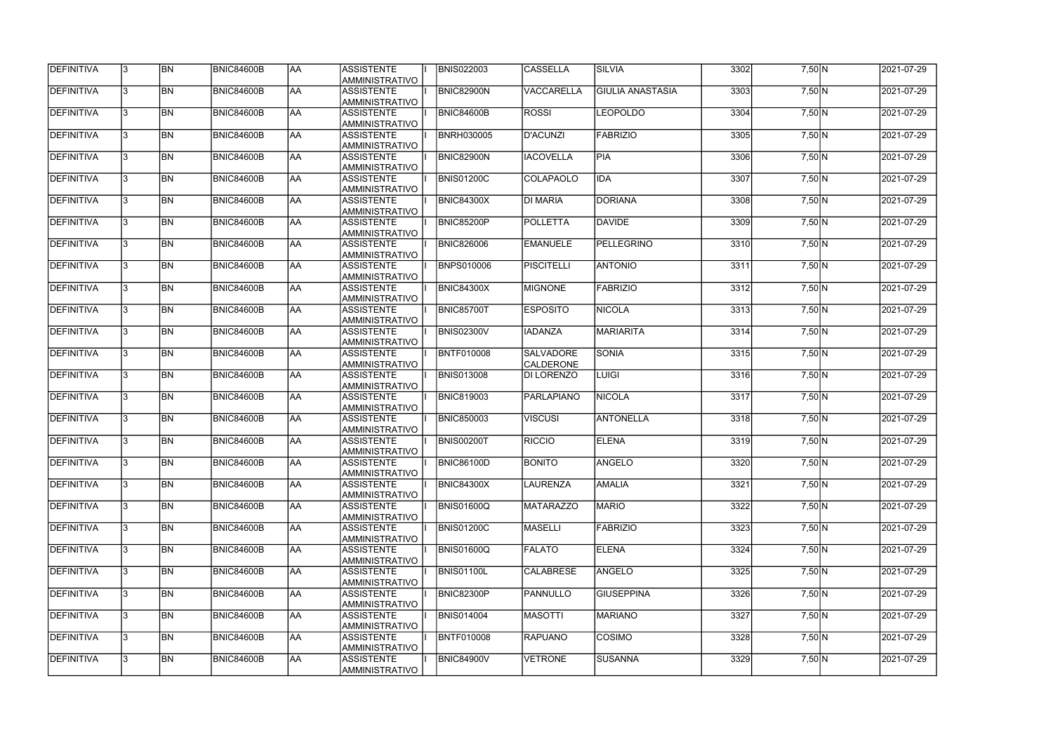| DEFINITIVA<br><b>DEFINITIVA</b><br>DEFINITIVA | 13.<br>13.<br>l3. | <b>BN</b><br><b>BN</b> | <b>BNIC84600B</b><br><b>BNIC84600B</b> | AA<br>laa | <b>ASSISTENTE</b><br>AMMINISTRATIVO        | <b>BNIS022003</b> | <b>CASSELLA</b>                      | <b>SILVIA</b>           | 3302 | 7,50 N        | 2021-07-29 |
|-----------------------------------------------|-------------------|------------------------|----------------------------------------|-----------|--------------------------------------------|-------------------|--------------------------------------|-------------------------|------|---------------|------------|
|                                               |                   |                        |                                        |           |                                            |                   |                                      |                         |      |               |            |
|                                               |                   |                        |                                        |           | <b>ASSISTENTE</b><br>AMMINISTRATIVO        | BNIC82900N        | VACCARELLA                           | <b>GIULIA ANASTASIA</b> | 3303 | 7,50 N        | 2021-07-29 |
|                                               |                   | <b>BN</b>              | <b>BNIC84600B</b>                      | AA        | <b>ASSISTENTE</b><br>AMMINISTRATIVO        | BNIC84600B        | <b>ROSSI</b>                         | <b>LEOPOLDO</b>         | 3304 | 7,50 N        | 2021-07-29 |
| <b>DEFINITIVA</b>                             | l3.               | <b>BN</b>              | BNIC84600B                             | <b>AA</b> | <b>ASSISTENTE</b><br>AMMINISTRATIVO        | <b>BNRH030005</b> | <b>D'ACUNZI</b>                      | <b>FABRIZIO</b>         | 3305 | $7,50$ N      | 2021-07-29 |
| DEFINITIVA                                    | l3.               | <b>BN</b>              | <b>BNIC84600B</b>                      | laa       | <b>ASSISTENTE</b><br>AMMINISTRATIVO        | BNIC82900N        | <b>IACOVELLA</b>                     | <b>PIA</b>              | 3306 | $7,50$ N      | 2021-07-29 |
| DEFINITIVA                                    | 3                 | <b>BN</b>              | <b>BNIC84600B</b>                      | laa       | <b>ASSISTENTE</b><br>AMMINISTRATIVO        | <b>BNIS01200C</b> | COLAPAOLO                            | <b>IDA</b>              | 3307 | 7,50 N        | 2021-07-29 |
| DEFINITIVA                                    |                   | <b>BN</b>              | <b>BNIC84600B</b>                      | laa       | <b>ASSISTENTE</b><br><b>AMMINISTRATIVO</b> | <b>BNIC84300X</b> | <b>DI MARIA</b>                      | <b>DORIANA</b>          | 3308 | 7,50 N        | 2021-07-29 |
| DEFINITIVA                                    |                   | <b>BN</b>              | BNIC84600B                             | laa       | <b>ASSISTENTE</b><br>AMMINISTRATIVO        | BNIC85200P        | POLLETTA                             | <b>DAVIDE</b>           | 3309 | $7,50 \ N$    | 2021-07-29 |
| DEFINITIVA                                    |                   | <b>BN</b>              | <b>BNIC84600B</b>                      | AA        | <b>ASSISTENTE</b><br>AMMINISTRATIVO        | <b>BNIC826006</b> | <b>EMANUELE</b>                      | <b>PELLEGRINO</b>       | 3310 | 7,50 N        | 2021-07-29 |
| DEFINITIVA                                    | l3.               | <b>BN</b>              | <b>BNIC84600B</b>                      | laa       | <b>ASSISTENTE</b><br>AMMINISTRATIVO        | <b>BNPS010006</b> | <b>PISCITELLI</b>                    | <b>ANTONIO</b>          | 3311 | 7,50 N        | 2021-07-29 |
| DEFINITIVA                                    | l3                | <b>BN</b>              | <b>BNIC84600B</b>                      | AA        | <b>ASSISTENTE</b><br>AMMINISTRATIVO        | <b>BNIC84300X</b> | <b>MIGNONE</b>                       | <b>FABRIZIO</b>         | 3312 | 7,50 N        | 2021-07-29 |
| <b>DEFINITIVA</b>                             | 3                 | <b>BN</b>              | <b>BNIC84600B</b>                      | <b>AA</b> | <b>ASSISTENTE</b><br>AMMINISTRATIVO        | BNIC85700T        | <b>ESPOSITO</b>                      | <b>NICOLA</b>           | 3313 | 7,50 N        | 2021-07-29 |
| DEFINITIVA                                    | 3                 | <b>BN</b>              | <b>BNIC84600B</b>                      | laa       | <b>ASSISTENTE</b><br>AMMINISTRATIVO        | <b>BNIS02300V</b> | <b>IADANZA</b>                       | <b>MARIARITA</b>        | 3314 | 7,50 N        | 2021-07-29 |
| DEFINITIVA                                    | 3                 | <b>BN</b>              | <b>BNIC84600B</b>                      | laa       | <b>ASSISTENTE</b><br>AMMINISTRATIVO        | <b>BNTF010008</b> | <b>SALVADORE</b><br><b>CALDERONE</b> | <b>SONIA</b>            | 3315 | 7,50 N        | 2021-07-29 |
| DEFINITIVA                                    |                   | <b>BN</b>              | <b>BNIC84600B</b>                      | laa       | <b>ASSISTENTE</b><br><b>AMMINISTRATIVO</b> | <b>BNIS013008</b> | <b>DI LORENZO</b>                    | <b>LUIGI</b>            | 3316 | $7,50\ N$     | 2021-07-29 |
| DEFINITIVA                                    | 3                 | <b>BN</b>              | <b>BNIC84600B</b>                      | laa       | <b>ASSISTENTE</b><br>AMMINISTRATIVO        | <b>BNIC819003</b> | PARLAPIANO                           | <b>NICOLA</b>           | 3317 | $7,50\ N$     | 2021-07-29 |
| DEFINITIVA                                    | l3.               | <b>BN</b>              | <b>BNIC84600B</b>                      | laa       | <b>ASSISTENTE</b><br>AMMINISTRATIVO        | <b>BNIC850003</b> | <b>VISCUSI</b>                       | <b>ANTONELLA</b>        | 3318 | 7,50 N        | 2021-07-29 |
| DEFINITIVA                                    | 3                 | <b>BN</b>              | <b>BNIC84600B</b>                      | AA        | <b>ASSISTENTE</b><br>AMMINISTRATIVO        | <b>BNIS00200T</b> | <b>RICCIO</b>                        | <b>ELENA</b>            | 3319 | 7,50 N        | 2021-07-29 |
| DEFINITIVA                                    | 13                | <b>BN</b>              | <b>BNIC84600B</b>                      | <b>AA</b> | <b>ASSISTENTE</b><br>AMMINISTRATIVO        | <b>BNIC86100D</b> | <b>BONITO</b>                        | ANGELO                  | 3320 | 7,50 N        | 2021-07-29 |
| <b>DEFINITIVA</b>                             | I3.               | <b>BN</b>              | <b>BNIC84600B</b>                      | AA        | <b>ASSISTENTE</b><br>AMMINISTRATIVO        | <b>BNIC84300X</b> | <b>LAURENZA</b>                      | <b>AMALIA</b>           | 3321 | 7,50 N        | 2021-07-29 |
| DEFINITIVA                                    | 13.               | <b>BN</b>              | <b>BNIC84600B</b>                      | AA        | <b>ASSISTENTE</b><br>AMMINISTRATIVO        | <b>BNIS01600Q</b> | <b>MATARAZZO</b>                     | <b>MARIO</b>            | 3322 | 7,50 N        | 2021-07-29 |
| DEFINITIVA                                    | 3                 | <b>BN</b>              | <b>BNIC84600B</b>                      | laa       | <b>ASSISTENTE</b><br>AMMINISTRATIVO        | <b>BNIS01200C</b> | MASELLI                              | <b>FABRIZIO</b>         | 3323 | $7,50 \ N$    | 2021-07-29 |
| DEFINITIVA                                    |                   | <b>BN</b>              | <b>BNIC84600B</b>                      | AA        | <b>ASSISTENTE</b><br>AMMINISTRATIVO        | BNIS01600Q        | <b>FALATO</b>                        | <b>ELENA</b>            | 3324 | 7,50 N        | 2021-07-29 |
| DEFINITIVA                                    |                   | <b>BN</b>              | <b>BNIC84600B</b>                      | AA        | <b>ASSISTENTE</b><br>AMMINISTRATIVO        | <b>BNIS01100L</b> | <b>CALABRESE</b>                     | <b>ANGELO</b>           | 3325 | $7,50 \, N$   | 2021-07-29 |
| DEFINITIVA                                    | I3.               | <b>BN</b>              | BNIC84600B                             | laa       | <b>ASSISTENTE</b><br>AMMINISTRATIVO        | BNIC82300P        | PANNULLO                             | <b>GIUSEPPINA</b>       | 3326 | 7,50 N        | 2021-07-29 |
| DEFINITIVA                                    | 13.               | <b>BN</b>              | <b>BNIC84600B</b>                      | AA        | <b>ASSISTENTE</b><br>AMMINISTRATIVO        | <b>BNIS014004</b> | <b>MASOTTI</b>                       | <b>MARIANO</b>          | 3327 | 7,50 N        | 2021-07-29 |
| DEFINITIVA                                    | 13.               | <b>BN</b>              | <b>BNIC84600B</b>                      | AA        | <b>ASSISTENTE</b><br>AMMINISTRATIVO        | <b>BNTF010008</b> | RAPUANO                              | <b>COSIMO</b>           | 3328 | 7,50 N        | 2021-07-29 |
| DEFINITIVA                                    |                   | <b>BN</b>              | <b>BNIC84600B</b>                      | AA        | <b>ASSISTENTE</b><br>AMMINISTRATIVO        | <b>BNIC84900V</b> | <b>VETRONE</b>                       | <b>SUSANNA</b>          | 3329 | $7,50\vert N$ | 2021-07-29 |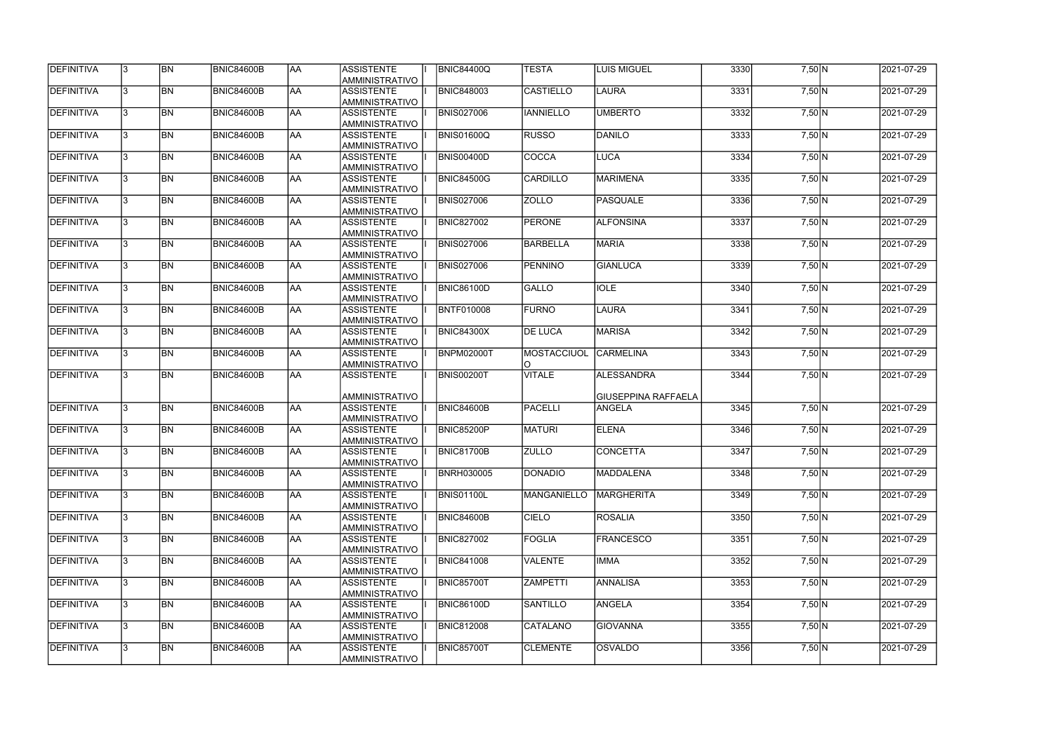| DEFINITIVA        | l3 | BN        | <b>BNIC84600B</b> | laa | ASSISTENTE<br><b>AMMINISTRATIVO</b>        | <b>BNIC84400Q</b> | <b>TESTA</b>            | <b>LUIS MIGUEL</b>         | 3330 | 7,50 N        | 2021-07-29 |
|-------------------|----|-----------|-------------------|-----|--------------------------------------------|-------------------|-------------------------|----------------------------|------|---------------|------------|
| DEFINITIVA        | 3  | <b>BN</b> | BNIC84600B        | AA  | <b>ASSISTENTE</b><br><b>AMMINISTRATIVO</b> | <b>BNIC848003</b> | ICASTIELLO              | <b>LAURA</b>               | 3331 | 7,50 N        | 2021-07-29 |
| DEFINITIVA        |    | <b>BN</b> | <b>BNIC84600B</b> | AA  | <b>ASSISTENTE</b><br>AMMINISTRATIVO        | <b>BNIS027006</b> | <b>IANNIELLO</b>        | <b>UMBERTO</b>             | 3332 | 7,50 N        | 2021-07-29 |
| <b>DEFINITIVA</b> |    | <b>BN</b> | BNIC84600B        | AA  | ASSISTENTE<br><b>AMMINISTRATIVO</b>        | <b>BNIS01600Q</b> | <b>RUSSO</b>            | DANILO                     | 3333 | 7,50 N        | 2021-07-29 |
| DEFINITIVA        |    | <b>BN</b> | BNIC84600B        | AA  | ASSISTENTE<br><b>AMMINISTRATIVO</b>        | <b>BNIS00400D</b> | <b>COCCA</b>            | <b>LUCA</b>                | 3334 | 7,50 N        | 2021-07-29 |
| DEFINITIVA        |    | <b>BN</b> | <b>BNIC84600B</b> | AA  | <b>ASSISTENTE</b><br><b>AMMINISTRATIVO</b> | <b>BNIC84500G</b> | CARDILLO                | <b>MARIMENA</b>            | 3335 | 7,50 N        | 2021-07-29 |
| DEFINITIVA        |    | <b>BN</b> | <b>BNIC84600B</b> | AA  | <b>ASSISTENTE</b><br><b>AMMINISTRATIVO</b> | <b>BNIS027006</b> | <b>ZOLLO</b>            | PASQUALE                   | 3336 | 7,50 N        | 2021-07-29 |
| DEFINITIVA        |    | <b>BN</b> | BNIC84600B        | AA  | <b>ASSISTENTE</b><br><b>AMMINISTRATIVO</b> | <b>BNIC827002</b> | PERONE                  | <b>ALFONSINA</b>           | 3337 | 7,50 N        | 2021-07-29 |
| DEFINITIVA        |    | BN        | BNIC84600B        | AA  | <b>ASSISTENTE</b><br><b>AMMINISTRATIVO</b> | <b>BNIS027006</b> | <b>BARBELLA</b>         | <b>MARIA</b>               | 3338 | 7,50 N        | 2021-07-29 |
| <b>DEFINITIVA</b> |    | <b>BN</b> | BNIC84600B        | AA  | <b>ASSISTENTE</b><br><b>AMMINISTRATIVO</b> | <b>BNIS027006</b> | PENNINO                 | GIANLUCA                   | 3339 | 7,50 N        | 2021-07-29 |
| DEFINITIVA        |    | <b>BN</b> | BNIC84600B        | AA  | <b>ASSISTENTE</b><br>AMMINISTRATIVO        | <b>BNIC86100D</b> | <b>GALLO</b>            | <b>IOLE</b>                | 3340 | 7,50 N        | 2021-07-29 |
| <b>DEFINITIVA</b> |    | <b>BN</b> | BNIC84600B        | AA  | ASSISTENTE<br><b>AMMINISTRATIVO</b>        | <b>BNTF010008</b> | FURNO                   | <b>LAURA</b>               | 3341 | 7,50 N        | 2021-07-29 |
| DEFINITIVA        |    | <b>BN</b> | <b>BNIC84600B</b> | AA  | <b>ASSISTENTE</b><br><b>AMMINISTRATIVO</b> | <b>BNIC84300X</b> | <b>DE LUCA</b>          | MARISA                     | 3342 | 7,50 N        | 2021-07-29 |
| DEFINITIVA        |    | <b>BN</b> | <b>BNIC84600B</b> | AA  | <b>ASSISTENTE</b><br><b>AMMINISTRATIVO</b> | <b>BNPM02000T</b> | <b>MOSTACCIUOL</b><br>O | <b>CARMELINA</b>           | 3343 | 7,50 N        | 2021-07-29 |
| DEFINITIVA        |    | <b>BN</b> | <b>BNIC84600B</b> | AA  | <b>ASSISTENTE</b>                          | <b>BNIS00200T</b> | VITALE                  | ALESSANDRA                 | 3344 | 7,50 N        | 2021-07-29 |
|                   |    |           |                   |     | <b>AMMINISTRATIVO</b>                      |                   |                         | <b>GIUSEPPINA RAFFAELA</b> |      |               |            |
| DEFINITIVA        |    | <b>BN</b> | <b>BNIC84600B</b> | AA  | <b>ASSISTENTE</b><br><b>AMMINISTRATIVO</b> | <b>BNIC84600B</b> | PACELLI                 | ANGELA                     | 3345 | 7,50 N        | 2021-07-29 |
| DEFINITIVA        |    | <b>BN</b> | <b>BNIC84600B</b> | AA  | <b>ASSISTENTE</b><br><b>AMMINISTRATIVO</b> | <b>BNIC85200P</b> | <b>MATURI</b>           | <b>ELENA</b>               | 3346 | 7,50 N        | 2021-07-29 |
| <b>DEFINITIVA</b> |    | <b>BN</b> | <b>BNIC84600B</b> | AA  | <b>ASSISTENTE</b><br>AMMINISTRATIVO        | <b>BNIC81700B</b> | <b>ZULLO</b>            | <b>CONCETTA</b>            | 3347 | 7,50 N        | 2021-07-29 |
| DEFINITIVA        |    | <b>BN</b> | <b>BNIC84600B</b> | AA  | <b>ASSISTENTE</b><br>AMMINISTRATIVO        | <b>BNRH030005</b> | <b>DONADIO</b>          | <b>MADDALENA</b>           | 3348 | $7,50$ N      | 2021-07-29 |
| DEFINITIVA        |    | <b>BN</b> | BNIC84600B        | AA  | ASSISTENTE<br><b>AMMINISTRATIVO</b>        | <b>BNIS01100L</b> | <b>MANGANIELLO</b>      | <b>MARGHERITA</b>          | 3349 | $7,50\vert N$ | 2021-07-29 |
| <b>DEFINITIVA</b> |    | BN        | <b>BNIC84600B</b> | AA  | ASSISTENTE<br><b>AMMINISTRATIVO</b>        | <b>BNIC84600B</b> | <b>CIELO</b>            | <b>ROSALIA</b>             | 3350 | 7,50 N        | 2021-07-29 |
| <b>DEFINITIVA</b> |    | BN        | <b>BNIC84600B</b> | AA  | <b>ASSISTENTE</b><br><b>AMMINISTRATIVO</b> | <b>BNIC827002</b> | FOGLIA                  | <b>FRANCESCO</b>           | 3351 | $7,50\vert N$ | 2021-07-29 |
| <b>DEFINITIVA</b> |    | <b>BN</b> | <b>BNIC84600B</b> | AA  | <b>ASSISTENTE</b><br><b>AMMINISTRATIVO</b> | <b>BNIC841008</b> | <b>VALENTE</b>          | <b>IMMA</b>                | 3352 | $7,50\vert N$ | 2021-07-29 |
| DEFINITIVA        |    | BN        | BNIC84600B        | AA  | <b>ASSISTENTE</b><br><b>AMMINISTRATIVO</b> | <b>BNIC85700T</b> | <b>ZAMPETTI</b>         | ANNALISA                   | 3353 | $7,50 \, N$   | 2021-07-29 |
| DEFINITIVA        |    | BN        | <b>BNIC84600B</b> | AA  | <b>ASSISTENTE</b><br> AMMINISTRATIVO       | <b>BNIC86100D</b> | <b>SANTILLO</b>         | ANGELA                     | 3354 | $7,50\vert N$ | 2021-07-29 |
| DEFINITIVA        |    | BN        | <b>BNIC84600B</b> | AA  | ASSISTENTE<br>AMMINISTRATIVO               | <b>BNIC812008</b> | CATALANO                | <b>GIOVANNA</b>            | 3355 | $7,50\vert N$ | 2021-07-29 |
| <b>DEFINITIVA</b> |    | BN        | BNIC84600B        | AA  | ASSISTENTE<br><b>AMMINISTRATIVO</b>        | <b>BNIC85700T</b> | <b>CLEMENTE</b>         | <b>OSVALDO</b>             | 3356 | $7,50\vert N$ | 2021-07-29 |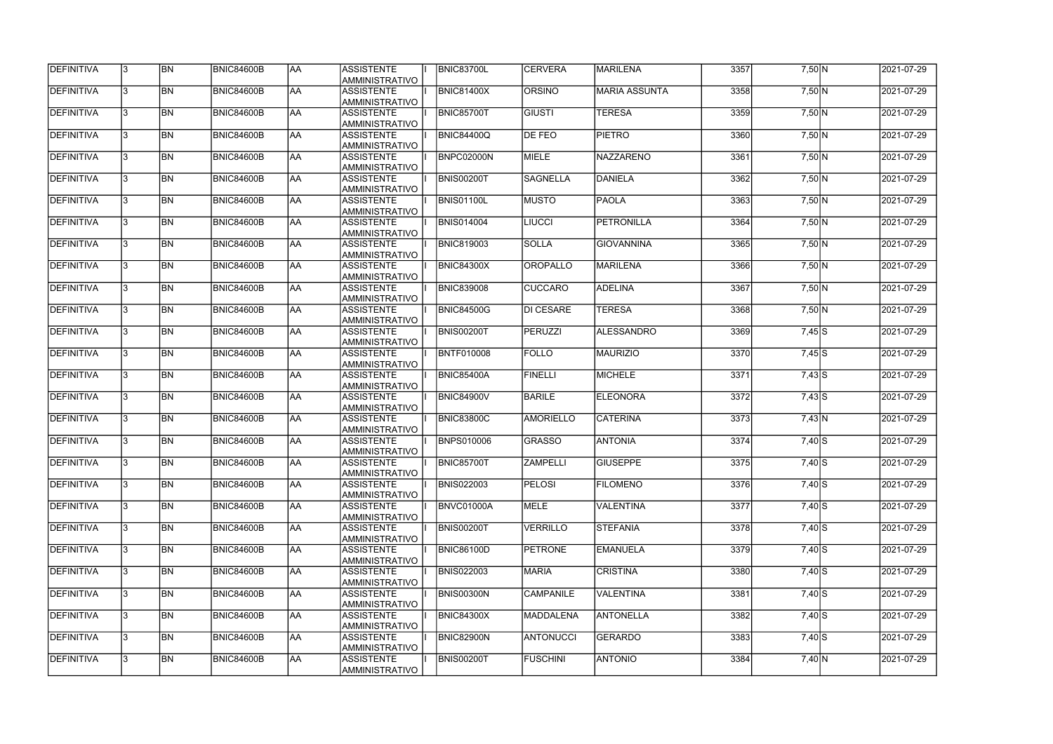| DEFINITIVA        | 13  | <b>BN</b> | <b>BNIC84600B</b> | AA         | <b>ASSISTENTE</b><br>AMMINISTRATIVO        | BNIC83700L        | <b>CERVERA</b>   | <b>MARILENA</b>      | 3357 | 7,50 N        | 2021-07-29 |
|-------------------|-----|-----------|-------------------|------------|--------------------------------------------|-------------------|------------------|----------------------|------|---------------|------------|
| DEFINITIVA        | 13. | <b>BN</b> | <b>BNIC84600B</b> | laa        | <b>ASSISTENTE</b><br>AMMINISTRATIVO        | <b>BNIC81400X</b> | <b>ORSINO</b>    | <b>MARIA ASSUNTA</b> | 3358 | 7,50 N        | 2021-07-29 |
| DEFINITIVA        | 13. | <b>BN</b> | <b>BNIC84600B</b> | laa        | <b>ASSISTENTE</b><br>AMMINISTRATIVO        | BNIC85700T        | <b>GIUSTI</b>    | <b>TERESA</b>        | 3359 | $7,50\ N$     | 2021-07-29 |
| DEFINITIVA        | l3. | <b>BN</b> | <b>BNIC84600B</b> | laa        | <b>ASSISTENTE</b><br>AMMINISTRATIVO        | <b>BNIC84400Q</b> | <b>DE FEO</b>    | <b>PIETRO</b>        | 3360 | $7,50$ N      | 2021-07-29 |
| DEFINITIVA        | 13. | <b>BN</b> | <b>BNIC84600B</b> | laa        | <b>ASSISTENTE</b><br>AMMINISTRATIVO        | BNPC02000N        | MIELE            | <b>NAZZARENO</b>     | 3361 | $7,50$ N      | 2021-07-29 |
| DEFINITIVA        | 3   | <b>BN</b> | <b>BNIC84600B</b> | laa        | <b>ASSISTENTE</b><br>AMMINISTRATIVO        | <b>BNIS00200T</b> | SAGNELLA         | <b>DANIELA</b>       | 3362 | 7,50 N        | 2021-07-29 |
| DEFINITIVA        |     | <b>BN</b> | <b>BNIC84600B</b> | laa        | <b>ASSISTENTE</b><br><b>AMMINISTRATIVO</b> | <b>BNIS01100L</b> | <b>MUSTO</b>     | <b>PAOLA</b>         | 3363 | $7,50 \ N$    | 2021-07-29 |
| DEFINITIVA        |     | <b>BN</b> | <b>BNIC84600B</b> | laa        | <b>ASSISTENTE</b><br>AMMINISTRATIVO        | <b>BNIS014004</b> | <b>LIUCCI</b>    | PETRONILLA           | 3364 | $7,50\ N$     | 2021-07-29 |
| DEFINITIVA        |     | <b>BN</b> | <b>BNIC84600B</b> | laa        | <b>ASSISTENTE</b><br>AMMINISTRATIVO        | <b>BNIC819003</b> | <b>SOLLA</b>     | <b>GIOVANNINA</b>    | 3365 | $7,50 \ N$    | 2021-07-29 |
| DEFINITIVA        | l3. | <b>BN</b> | <b>BNIC84600B</b> | laa        | <b>ASSISTENTE</b><br>AMMINISTRATIVO        | <b>BNIC84300X</b> | <b>OROPALLO</b>  | <b>MARILENA</b>      | 3366 | 7,50 N        | 2021-07-29 |
| DEFINITIVA        | 13. | <b>BN</b> | <b>BNIC84600B</b> | laa        | <b>ASSISTENTE</b><br>AMMINISTRATIVO        | <b>BNIC839008</b> | <b>CUCCARO</b>   | ADELINA              | 3367 | $7,50\vert N$ | 2021-07-29 |
| DEFINITIVA        | 3   | <b>BN</b> | BNIC84600B        | <b>AA</b>  | <b>ASSISTENTE</b><br>AMMINISTRATIVO        | BNIC84500G        | DI CESARE        | <b>TERESA</b>        | 3368 | $7,50$ N      | 2021-07-29 |
| DEFINITIVA        | l3. | <b>BN</b> | <b>BNIC84600B</b> | laa        | <b>ASSISTENTE</b><br>AMMINISTRATIVO        | <b>BNIS00200T</b> | PERUZZI          | <b>ALESSANDRO</b>    | 3369 | $7,45$ S      | 2021-07-29 |
| DEFINITIVA        | 3   | <b>BN</b> | <b>BNIC84600B</b> | AA         | <b>ASSISTENTE</b><br>AMMINISTRATIVO        | <b>BNTF010008</b> | FOLLO            | <b>MAURIZIO</b>      | 3370 | $7,45$ S      | 2021-07-29 |
| DEFINITIVA        |     | <b>BN</b> | <b>BNIC84600B</b> | AA         | <b>ASSISTENTE</b><br><b>AMMINISTRATIVO</b> | <b>BNIC85400A</b> | <b>FINELLI</b>   | <b>MICHELE</b>       | 3371 | $7,43$ S      | 2021-07-29 |
| DEFINITIVA        |     | <b>BN</b> | <b>BNIC84600B</b> | AA         | <b>ASSISTENTE</b><br>AMMINISTRATIVO        | <b>BNIC84900V</b> | <b>BARILE</b>    | <b>ELEONORA</b>      | 3372 | $7,43$ S      | 2021-07-29 |
| DEFINITIVA        | 3   | <b>BN</b> | <b>BNIC84600B</b> | laa        | <b>ASSISTENTE</b><br>AMMINISTRATIVO        | <b>BNIC83800C</b> | AMORIELLO        | <b>CATERINA</b>      | 3373 | 7,43 N        | 2021-07-29 |
| DEFINITIVA        |     | <b>BN</b> | <b>BNIC84600B</b> | AA         | <b>ASSISTENTE</b><br>AMMINISTRATIVO        | <b>BNPS010006</b> | <b>GRASSO</b>    | <b>ANTONIA</b>       | 3374 | $7,40$ S      | 2021-07-29 |
| DEFINITIVA        | 13  | <b>BN</b> | <b>BNIC84600B</b> | <b>JAA</b> | <b>ASSISTENTE</b><br>AMMINISTRATIVO        | <b>BNIC85700T</b> | <b>ZAMPELLI</b>  | <b>GIUSEPPE</b>      | 3375 | $7,40$ S      | 2021-07-29 |
| <b>DEFINITIVA</b> | I3. | <b>BN</b> | <b>BNIC84600B</b> | <b>AA</b>  | <b>ASSISTENTE</b><br>AMMINISTRATIVO        | <b>BNIS022003</b> | <b>PELOSI</b>    | <b>FILOMENO</b>      | 3376 | $7,40$ S      | 2021-07-29 |
| DEFINITIVA        | l3. | <b>BN</b> | <b>BNIC84600B</b> | <b>AA</b>  | <b>ASSISTENTE</b><br>AMMINISTRATIVO        | BNVC01000A        | MELE             | <b>VALENTINA</b>     | 3377 | $7,40$ S      | 2021-07-29 |
| DEFINITIVA        | l3. | <b>BN</b> | <b>BNIC84600B</b> | AA         | <b>ASSISTENTE</b><br>AMMINISTRATIVO        | <b>BNIS00200T</b> | <b>VERRILLO</b>  | <b>STEFANIA</b>      | 3378 | $7,40$ S      | 2021-07-29 |
| <b>DEFINITIVA</b> | l3. | <b>BN</b> | <b>BNIC84600B</b> | AA         | <b>ASSISTENTE</b><br>AMMINISTRATIVO        | <b>BNIC86100D</b> | <b>PETRONE</b>   | EMANUELA             | 3379 | $7,40$ S      | 2021-07-29 |
| DEFINITIVA        |     | <b>BN</b> | <b>BNIC84600B</b> | AA         | <b>ASSISTENTE</b><br>AMMINISTRATIVO        | <b>BNIS022003</b> | <b>MARIA</b>     | <b>CRISTINA</b>      | 3380 | $7,40$ S      | 2021-07-29 |
| DEFINITIVA        |     | <b>BN</b> | <b>BNIC84600B</b> | AA         | <b>ASSISTENTE</b><br>AMMINISTRATIVO        | BNIS00300N        | <b>CAMPANILE</b> | <b>VALENTINA</b>     | 3381 | $7,40$ S      | 2021-07-29 |
| DEFINITIVA        | I3. | <b>BN</b> | BNIC84600B        | AA         | <b>ASSISTENTE</b><br>AMMINISTRATIVO        | <b>BNIC84300X</b> | <b>MADDALENA</b> | <b>ANTONELLA</b>     | 3382 | $7,40$ S      | 2021-07-29 |
| DEFINITIVA        | 13. | <b>BN</b> | <b>BNIC84600B</b> | laa        | <b>ASSISTENTE</b><br>AMMINISTRATIVO        | BNIC82900N        | <b>ANTONUCCI</b> | <b>GERARDO</b>       | 3383 | $7,40$ S      | 2021-07-29 |
| DEFINITIVA        |     | <b>BN</b> | <b>BNIC84600B</b> | AA         | <b>ASSISTENTE</b><br>AMMINISTRATIVO        | <b>BNIS00200T</b> | <b>FUSCHINI</b>  | <b>ANTONIO</b>       | 3384 | $7,40 \ N$    | 2021-07-29 |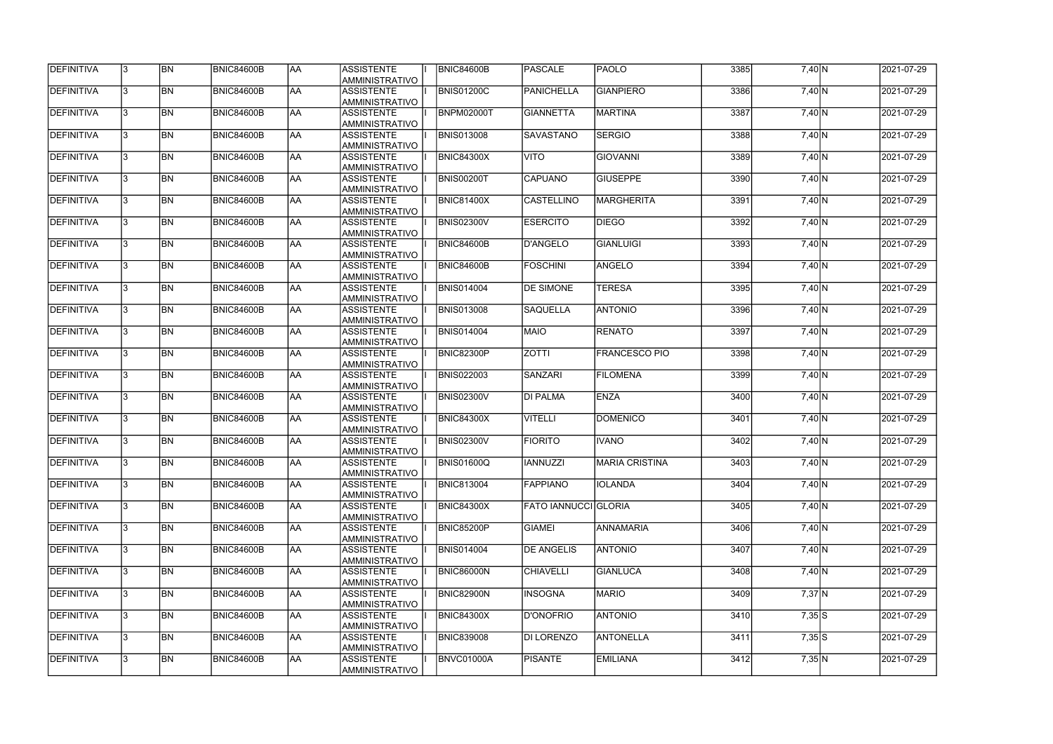| DEFINITIVA        | 13. | <b>BN</b> | <b>BNIC84600B</b> | AA         | ASSISTENTE<br>AMMINISTRATIVO        | <b>BNIC84600B</b> | PASCALE                     | <b>PAOLO</b>          | 3385 | 7,40 N         | 2021-07-29 |
|-------------------|-----|-----------|-------------------|------------|-------------------------------------|-------------------|-----------------------------|-----------------------|------|----------------|------------|
| <b>DEFINITIVA</b> | 13. | <b>BN</b> | <b>BNIC84600B</b> | laa        | <b>ASSISTENTE</b><br>AMMINISTRATIVO | <b>BNIS01200C</b> | PANICHELLA                  | <b>GIANPIERO</b>      | 3386 | 7,40 N         | 2021-07-29 |
| DEFINITIVA        | l3. | <b>BN</b> | <b>BNIC84600B</b> | AA         | <b>ASSISTENTE</b><br>AMMINISTRATIVO | <b>BNPM02000T</b> | <b>GIANNETTA</b>            | <b>MARTINA</b>        | 3387 | 7,40 N         | 2021-07-29 |
| <b>DEFINITIVA</b> | l3. | <b>BN</b> | BNIC84600B        | <b>AA</b>  | <b>ASSISTENTE</b><br>AMMINISTRATIVO | <b>BNIS013008</b> | SAVASTANO                   | <b>SERGIO</b>         | 3388 | 7,40 N         | 2021-07-29 |
| DEFINITIVA        | l3. | <b>BN</b> | <b>BNIC84600B</b> | AA         | <b>ASSISTENTE</b><br>AMMINISTRATIVO | <b>BNIC84300X</b> | <b>VITO</b>                 | <b>GIOVANNI</b>       | 3389 | $7,40 \ N$     | 2021-07-29 |
| DEFINITIVA        | l3  | <b>BN</b> | <b>BNIC84600B</b> | AA         | <b>ASSISTENTE</b><br>AMMINISTRATIVO | <b>BNIS00200T</b> | CAPUANO                     | <b>GIUSEPPE</b>       | 3390 | $7,40 \ N$     | 2021-07-29 |
| DEFINITIVA        |     | <b>BN</b> | <b>BNIC84600B</b> | AA         | <b>ASSISTENTE</b><br>AMMINISTRATIVO | <b>BNIC81400X</b> | <b>CASTELLINO</b>           | <b>MARGHERITA</b>     | 3391 | $7,40 \ N$     | 2021-07-29 |
| DEFINITIVA        |     | <b>BN</b> | <b>BNIC84600B</b> | laa        | <b>ASSISTENTE</b><br>AMMINISTRATIVO | <b>BNIS02300V</b> | <b>ESERCITO</b>             | <b>DIEGO</b>          | 3392 | $7,40 \ N$     | 2021-07-29 |
| DEFINITIVA        |     | <b>BN</b> | <b>BNIC84600B</b> | laa        | <b>ASSISTENTE</b><br>AMMINISTRATIVO | <b>BNIC84600B</b> | D'ANGELO                    | <b>GIANLUIGI</b>      | 3393 | $7,40 \vert N$ | 2021-07-29 |
| DEFINITIVA        | l3. | <b>BN</b> | BNIC84600B        | laa        | <b>ASSISTENTE</b><br>AMMINISTRATIVO | <b>BNIC84600B</b> | <b>FOSCHINI</b>             | <b>ANGELO</b>         | 3394 | $7,40 \ N$     | 2021-07-29 |
| DEFINITIVA        | l3. | <b>BN</b> | <b>BNIC84600B</b> | AA         | <b>ASSISTENTE</b><br>AMMINISTRATIVO | <b>BNIS014004</b> | <b>DE SIMONE</b>            | <b>TERESA</b>         | 3395 | 7,40 N         | 2021-07-29 |
| <b>DEFINITIVA</b> | l3. | <b>BN</b> | <b>BNIC84600B</b> | <b>AA</b>  | <b>ASSISTENTE</b><br>AMMINISTRATIVO | <b>BNIS013008</b> | <b>SAQUELLA</b>             | <b>ANTONIO</b>        | 3396 | $7,40 \ N$     | 2021-07-29 |
| DEFINITIVA        | l3. | <b>BN</b> | <b>BNIC84600B</b> | AA         | <b>ASSISTENTE</b><br>AMMINISTRATIVO | <b>BNIS014004</b> | <b>MAIO</b>                 | <b>RENATO</b>         | 3397 | $7,40$ N       | 2021-07-29 |
| DEFINITIVA        | 3   | <b>BN</b> | <b>BNIC84600B</b> | AA         | <b>ASSISTENTE</b><br>AMMINISTRATIVO | <b>BNIC82300P</b> | <b>ZOTTI</b>                | <b>FRANCESCO PIO</b>  | 3398 | $7,40 \ N$     | 2021-07-29 |
| DEFINITIVA        |     | <b>BN</b> | <b>BNIC84600B</b> | AA         | <b>ASSISTENTE</b><br>AMMINISTRATIVO | <b>BNIS022003</b> | <b>SANZARI</b>              | <b>FILOMENA</b>       | 3399 | $7,40 \ N$     | 2021-07-29 |
| DEFINITIVA        | 3   | <b>BN</b> | <b>BNIC84600B</b> | AA         | <b>ASSISTENTE</b><br>AMMINISTRATIVO | <b>BNIS02300V</b> | <b>DI PALMA</b>             | <b>ENZA</b>           | 3400 | $7,40 \ N$     | 2021-07-29 |
| DEFINITIVA        | l3. | <b>BN</b> | <b>BNIC84600B</b> | AA         | <b>ASSISTENTE</b><br>AMMINISTRATIVO | <b>BNIC84300X</b> | VITELLI                     | <b>DOMENICO</b>       | 3401 | $7,40 \ N$     | 2021-07-29 |
| DEFINITIVA        |     | <b>BN</b> | BNIC84600B        | AA         | <b>ASSISTENTE</b><br>AMMINISTRATIVO | <b>BNIS02300V</b> | <b>FIORITO</b>              | <b>IVANO</b>          | 3402 | $7,40 \ N$     | 2021-07-29 |
| DEFINITIVA        | 13. | <b>BN</b> | <b>BNIC84600B</b> | <b>JAA</b> | <b>ASSISTENTE</b><br>AMMINISTRATIVO | <b>BNIS01600Q</b> | <b>IANNUZZI</b>             | <b>MARIA CRISTINA</b> | 3403 | $7,40 \ N$     | 2021-07-29 |
| <b>DEFINITIVA</b> | I3. | <b>BN</b> | <b>BNIC84600B</b> | AA         | ASSISTENTE<br>AMMINISTRATIVO        | <b>BNIC813004</b> | FAPPIANO                    | <b>IOLANDA</b>        | 3404 | $7,40 \ N$     | 2021-07-29 |
| DEFINITIVA        | 13. | <b>BN</b> | <b>BNIC84600B</b> | AA         | ASSISTENTE<br>AMMINISTRATIVO        | <b>BNIC84300X</b> | <b>FATO IANNUCCI GLORIA</b> |                       | 3405 | $7,40 \ N$     | 2021-07-29 |
| DEFINITIVA        | 3   | <b>BN</b> | <b>BNIC84600B</b> | AA         | <b>ASSISTENTE</b><br>AMMINISTRATIVO | <b>BNIC85200P</b> | GIAMEI                      | <b>ANNAMARIA</b>      | 3406 | $7,40 \ N$     | 2021-07-29 |
| DEFINITIVA        |     | <b>BN</b> | <b>BNIC84600B</b> | AA         | ASSISTENTE<br>AMMINISTRATIVO        | <b>BNIS014004</b> | <b>DE ANGELIS</b>           | <b>ANTONIO</b>        | 3407 | $7,40 \ N$     | 2021-07-29 |
| DEFINITIVA        |     | <b>BN</b> | <b>BNIC84600B</b> | AA         | <b>ASSISTENTE</b><br>AMMINISTRATIVO | <b>BNIC86000N</b> | <b>CHIAVELLI</b>            | <b>GIANLUCA</b>       | 3408 | $7,40 \ N$     | 2021-07-29 |
| DEFINITIVA        | I3. | <b>BN</b> | BNIC84600B        | AA         | <b>ASSISTENTE</b><br>AMMINISTRATIVO | <b>BNIC82900N</b> | <b>INSOGNA</b>              | <b>MARIO</b>          | 3409 | $7,37$ N       | 2021-07-29 |
| DEFINITIVA        | 13. | <b>BN</b> | <b>BNIC84600B</b> | AA         | <b>ASSISTENTE</b><br>AMMINISTRATIVO | <b>BNIC84300X</b> | D'ONOFRIO                   | <b>ANTONIO</b>        | 3410 | $7,35$ S       | 2021-07-29 |
| DEFINITIVA        | 13. | <b>BN</b> | <b>BNIC84600B</b> | AA         | <b>ASSISTENTE</b><br>AMMINISTRATIVO | <b>BNIC839008</b> | DI LORENZO                  | ANTONELLA             | 3411 | $7,35$ S       | 2021-07-29 |
| DEFINITIVA        |     | <b>BN</b> | <b>BNIC84600B</b> | AA         | <b>ASSISTENTE</b><br>AMMINISTRATIVO | BNVC01000A        | <b>PISANTE</b>              | <b>EMILIANA</b>       | 3412 | $7,35$ N       | 2021-07-29 |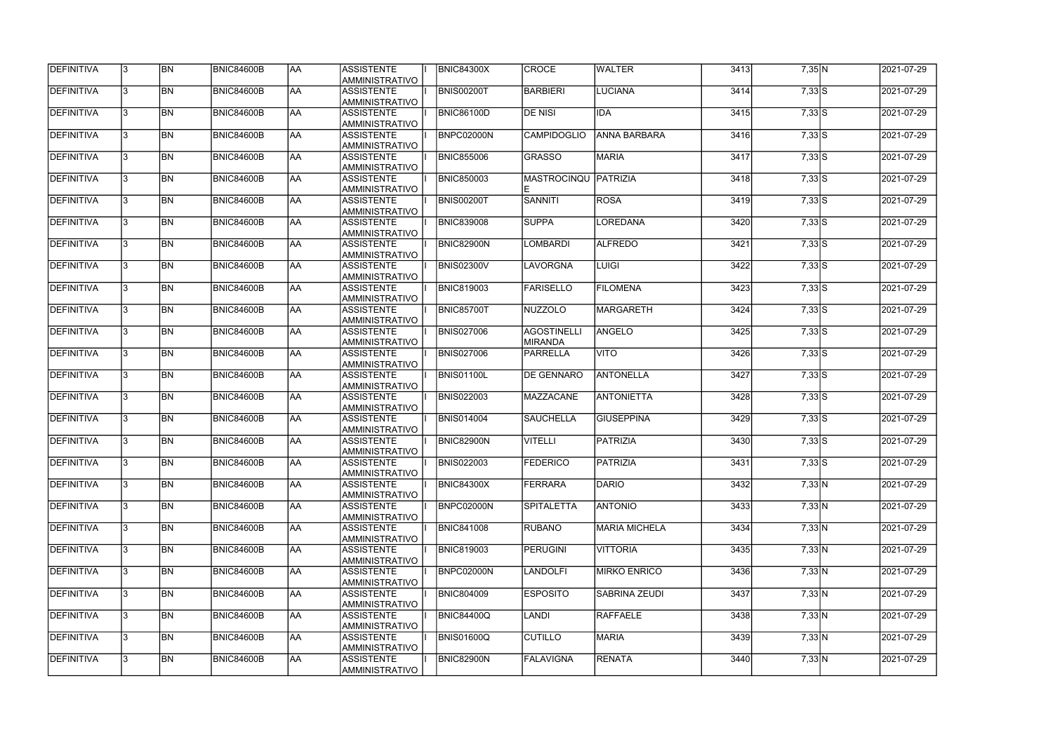| DEFINITIVA        | 13.          | <b>BN</b>       | <b>BNIC84600B</b> | <b>AA</b>  | <b>ASSISTENTE</b><br>AMMINISTRATIVO        | <b>BNIC84300X</b> | <b>CROCE</b>                         | <b>WALTER</b>        | 3413 | 7,35 N   | 2021-07-29 |
|-------------------|--------------|-----------------|-------------------|------------|--------------------------------------------|-------------------|--------------------------------------|----------------------|------|----------|------------|
| <b>DEFINITIVA</b> | l3.          | <b>BN</b>       | BNIC84600B        | <b>JAA</b> | <b>ASSISTENTE</b><br>AMMINISTRATIVO        | <b>BNIS00200T</b> | <b>BARBIERI</b>                      | <b>LUCIANA</b>       | 3414 | $7,33$ S | 2021-07-29 |
| DEFINITIVA        |              | <b>BN</b>       | <b>BNIC84600B</b> | AA         | <b>ASSISTENTE</b><br>AMMINISTRATIVO        | <b>BNIC86100D</b> | <b>DE NISI</b>                       | <b>IDA</b>           | 3415 | $7,33$ S | 2021-07-29 |
| <b>DEFINITIVA</b> | $\mathbf{3}$ | <b>BN</b>       | BNIC84600B        | <b>AA</b>  | ASSISTENTE<br>AMMINISTRATIVO               | BNPC02000N        | <b>CAMPIDOGLIO</b>                   | <b>ANNA BARBARA</b>  | 3416 | $7,33$ S | 2021-07-29 |
| <b>DEFINITIVA</b> |              | <b>BN</b>       | BNIC84600B        | AA         | ASSISTENTE<br><b>AMMINISTRATIVO</b>        | <b>BNIC855006</b> | <b>GRASSO</b>                        | <b>MARIA</b>         | 3417 | $7,33$ S | 2021-07-29 |
| DEFINITIVA        |              | <b>BN</b>       | BNIC84600B        | <b>JAA</b> | <b>ASSISTENTE</b><br>AMMINISTRATIVO        | <b>BNIC850003</b> | MASTROCINQU PATRIZIA<br>E.           |                      | 3418 | $7,33$ S | 2021-07-29 |
| DEFINITIVA        |              | <b>BN</b>       | <b>BNIC84600B</b> | AA         | <b>ASSISTENTE</b><br><b>AMMINISTRATIVO</b> | <b>BNIS00200T</b> | <b>SANNITI</b>                       | <b>ROSA</b>          | 3419 | $7,33$ S | 2021-07-29 |
| DEFINITIVA        |              | <b>BN</b>       | BNIC84600B        | AA         | <b>ASSISTENTE</b><br>AMMINISTRATIVO        | <b>BNIC839008</b> | <b>SUPPA</b>                         | LOREDANA             | 3420 | $7,33$ S | 2021-07-29 |
| <b>DEFINITIVA</b> |              | <b>BN</b>       | <b>BNIC84600B</b> | <b>JAA</b> | <b>ASSISTENTE</b><br>AMMINISTRATIVO        | <b>BNIC82900N</b> | <b>LOMBARDI</b>                      | <b>ALFREDO</b>       | 3421 | $7,33$ S | 2021-07-29 |
| DEFINITIVA        |              | <b>BN</b>       | BNIC84600B        | <b>JAA</b> | ASSISTENTE<br>AMMINISTRATIVO               | <b>BNIS02300V</b> | <b>LAVORGNA</b>                      | <b>LUIGI</b>         | 3422 | $7,33$ S | 2021-07-29 |
| DEFINITIVA        |              | <b>BN</b>       | <b>BNIC84600B</b> | AA         | ASSISTENTE<br>AMMINISTRATIVO               | <b>BNIC819003</b> | <b>FARISELLO</b>                     | <b>FILOMENA</b>      | 3423 | $7,33$ S | 2021-07-29 |
| DEFINITIVA        |              | <b>BN</b>       | BNIC84600B        | <b>AA</b>  | ASSISTENTE<br>AMMINISTRATIVO               | BNIC85700T        | NUZZOLO                              | <b>MARGARETH</b>     | 3424 | $7,33$ S | 2021-07-29 |
| <b>DEFINITIVA</b> |              | <b>BN</b>       | <b>BNIC84600B</b> | AA         | ASSISTENTE<br>AMMINISTRATIVO               | <b>BNIS027006</b> | <b>AGOSTINELLI</b><br><b>MIRANDA</b> | <b>ANGELO</b>        | 3425 | $7,33$ S | 2021-07-29 |
| <b>DEFINITIVA</b> |              | <b>BN</b>       | <b>BNIC84600B</b> | <b>JAA</b> | <b>ASSISTENTE</b><br><b>AMMINISTRATIVO</b> | <b>BNIS027006</b> | PARRELLA                             | <b>VITO</b>          | 3426 | $7,33$ S | 2021-07-29 |
| <b>DEFINITIVA</b> |              | <b>BN</b>       | <b>BNIC84600B</b> | AA         | <b>ASSISTENTE</b><br><b>AMMINISTRATIVO</b> | BNIS01100L        | <b>DE GENNARO</b>                    | <b>ANTONELLA</b>     | 3427 | $7,33$ S | 2021-07-29 |
| DEFINITIVA        |              | <b>BN</b>       | <b>BNIC84600B</b> | <b>JAA</b> | <b>ASSISTENTE</b><br>AMMINISTRATIVO        | <b>BNIS022003</b> | MAZZACANE                            | <b>ANTONIETTA</b>    | 3428 | $7,33$ S | 2021-07-29 |
| DEFINITIVA        | 3            | <b>BN</b>       | BNIC84600B        | AA         | <b>ASSISTENTE</b><br>AMMINISTRATIVO        | <b>BNIS014004</b> | <b>SAUCHELLA</b>                     | <b>GIUSEPPINA</b>    | 3429 | $7,33$ S | 2021-07-29 |
| DEFINITIVA        |              | <b>BN</b>       | <b>BNIC84600B</b> | AA         | <b>ASSISTENTE</b><br>AMMINISTRATIVO        | BNIC82900N        | <b>VITELLI</b>                       | PATRIZIA             | 3430 | $7,33$ S | 2021-07-29 |
| DEFINITIVA        | 13.          | <b>BN</b>       | <b>BNIC84600B</b> | <b>JAA</b> | <b>ASSISTENTE</b><br>AMMINISTRATIVO        | <b>BNIS022003</b> | <b>FEDERICO</b>                      | PATRIZIA             | 3431 | $7,33$ S | 2021-07-29 |
| <b>DEFINITIVA</b> | $\mathbf{3}$ | $\overline{BN}$ | <b>BNIC84600B</b> | AA         | ASSISTENTE<br><b>AMMINISTRATIVO</b>        | <b>BNIC84300X</b> | FERRARA                              | <b>DARIO</b>         | 3432 | $7,33$ N | 2021-07-29 |
| <b>DEFINITIVA</b> | 13.          | <b>BN</b>       | <b>BNIC84600B</b> | AA         | <b>ASSISTENTE</b><br>AMMINISTRATIVO        | BNPC02000N        | <b>SPITALETTA</b>                    | ANTONIO              | 3433 | 7,33 N   | 2021-07-29 |
| DEFINITIVA        |              | <b>BN</b>       | <b>BNIC84600B</b> | AA         | ASSISTENTE<br><b>AMMINISTRATIVO</b>        | <b>BNIC841008</b> | <b>RUBANO</b>                        | <b>MARIA MICHELA</b> | 3434 | 7,33 N   | 2021-07-29 |
| DEFINITIVA        |              | <b>BN</b>       | <b>BNIC84600B</b> | AA         | ASSISTENTE<br><b>AMMINISTRATIVO</b>        | <b>BNIC819003</b> | <b>PERUGINI</b>                      | <b>VITTORIA</b>      | 3435 | 7,33 N   | 2021-07-29 |
| DEFINITIVA        |              | <b>BN</b>       | <b>BNIC84600B</b> | AA         | <b>ASSISTENTE</b><br>AMMINISTRATIVO        | BNPC02000N        | LANDOLFI                             | <b>MIRKO ENRICO</b>  | 3436 | 7,33 N   | 2021-07-29 |
| DEFINITIVA        |              | <b>BN</b>       | <b>BNIC84600B</b> | AA         | ASSISTENTE<br>AMMINISTRATIVO               | <b>BNIC804009</b> | <b>ESPOSITO</b>                      | SABRINA ZEUDI        | 3437 | 7,33 N   | 2021-07-29 |
| DEFINITIVA        |              | <b>BN</b>       | <b>BNIC84600B</b> | AA         | ASSISTENTE<br>AMMINISTRATIVO               | <b>BNIC84400Q</b> | LANDI                                | <b>RAFFAELE</b>      | 3438 | 7,33 N   | 2021-07-29 |
| <b>DEFINITIVA</b> | 13.          | <b>BN</b>       | BNIC84600B        | AA         | ASSISTENTE<br>AMMINISTRATIVO               | <b>BNIS01600Q</b> | <b>CUTILLO</b>                       | <b>MARIA</b>         | 3439 | 7,33 N   | 2021-07-29 |
| <b>DEFINITIVA</b> |              | <b>BN</b>       | <b>BNIC84600B</b> | <b>AA</b>  | <b>ASSISTENTE</b><br>AMMINISTRATIVO        | BNIC82900N        | FALAVIGNA                            | <b>RENATA</b>        | 3440 | $7,33$ N | 2021-07-29 |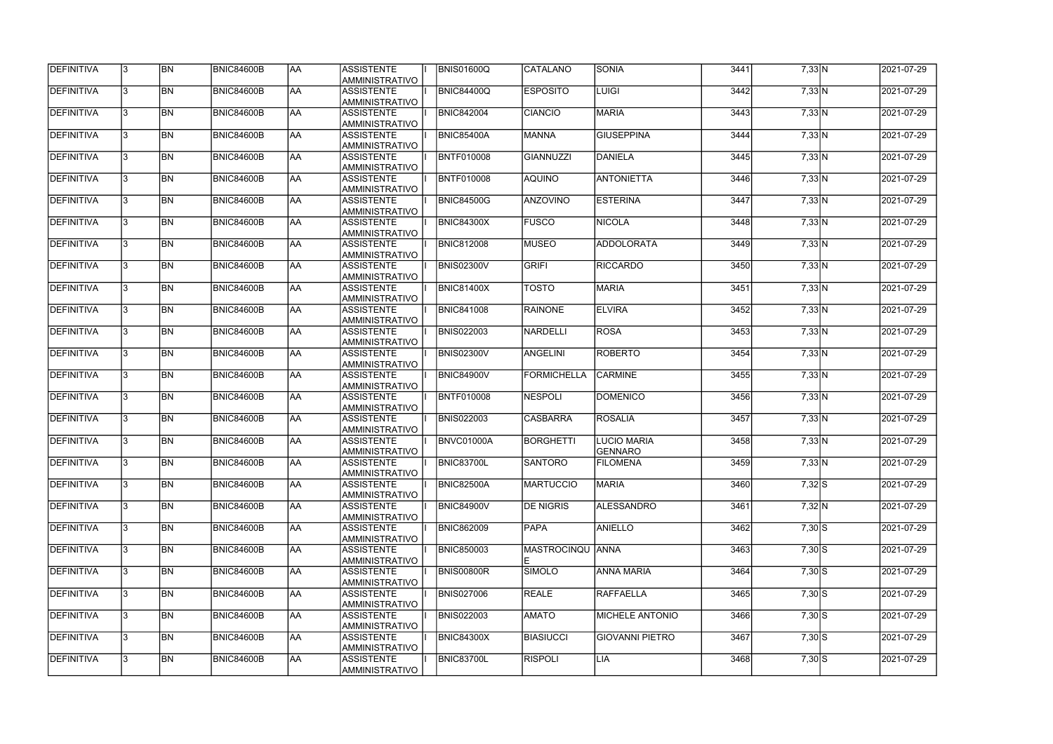| DEFINITIVA        | l3 | <b>BN</b> | <b>BNIC84600B</b> | laa | ASSISTENTE<br><b>AMMINISTRATIVO</b>        | <b>BNIS01600Q</b> | CATALANO                | SONIA                         | 3441 | 7,33 N   | 2021-07-29 |
|-------------------|----|-----------|-------------------|-----|--------------------------------------------|-------------------|-------------------------|-------------------------------|------|----------|------------|
| DEFINITIVA        | 3  | <b>BN</b> | BNIC84600B        | AA  | <b>ASSISTENTE</b><br><b>AMMINISTRATIVO</b> | <b>BNIC84400Q</b> | <b>ESPOSITO</b>         | <b>LUIGI</b>                  | 3442 | 7,33 N   | 2021-07-29 |
| DEFINITIVA        |    | <b>BN</b> | BNIC84600B        | AA  | <b>ASSISTENTE</b><br>AMMINISTRATIVO        | <b>BNIC842004</b> | <b>CIANCIO</b>          | MARIA                         | 3443 | 7,33 N   | 2021-07-29 |
| <b>DEFINITIVA</b> |    | <b>BN</b> | BNIC84600B        | AA  | ASSISTENTE<br><b>AMMINISTRATIVO</b>        | <b>BNIC85400A</b> | MANNA                   | <b>GIUSEPPINA</b>             | 3444 | 7,33 N   | 2021-07-29 |
| DEFINITIVA        |    | <b>BN</b> | BNIC84600B        | AA  | <b>ASSISTENTE</b><br><b>AMMINISTRATIVO</b> | <b>BNTF010008</b> | GIANNUZZI               | DANIELA                       | 3445 | 7,33 N   | 2021-07-29 |
| DEFINITIVA        |    | <b>BN</b> | BNIC84600B        | AA  | <b>ASSISTENTE</b><br><b>AMMINISTRATIVO</b> | <b>BNTF010008</b> | AQUINO                  | <b>ANTONIETTA</b>             | 3446 | 7,33 N   | 2021-07-29 |
| DEFINITIVA        |    | <b>BN</b> | BNIC84600B        | AA  | <b>ASSISTENTE</b><br><b>AMMINISTRATIVO</b> | <b>BNIC84500G</b> | ANZOVINO                | <b>ESTERINA</b>               | 3447 | 7,33 N   | 2021-07-29 |
| <b>DEFINITIVA</b> |    | <b>BN</b> | BNIC84600B        | AA  | <b>ASSISTENTE</b><br><b>AMMINISTRATIVO</b> | <b>BNIC84300X</b> | <b>FUSCO</b>            | <b>NICOLA</b>                 | 3448 | 7,33 N   | 2021-07-29 |
| DEFINITIVA        |    | BN        | BNIC84600B        | AA  | <b>ASSISTENTE</b><br><b>AMMINISTRATIVO</b> | <b>BNIC812008</b> | <b>MUSEO</b>            | ADDOLORATA                    | 3449 | 7,33 N   | 2021-07-29 |
| <b>DEFINITIVA</b> |    | <b>BN</b> | BNIC84600B        | AA  | <b>ASSISTENTE</b><br><b>AMMINISTRATIVO</b> | <b>BNIS02300V</b> | GRIFI                   | RICCARDO                      | 3450 | 7,33 N   | 2021-07-29 |
| DEFINITIVA        |    | <b>BN</b> | BNIC84600B        | AA  | <b>ASSISTENTE</b><br>AMMINISTRATIVO        | <b>BNIC81400X</b> | <b>TOSTO</b>            | <b>MARIA</b>                  | 3451 | 7,33 N   | 2021-07-29 |
| <b>DEFINITIVA</b> |    | <b>BN</b> | BNIC84600B        | AA  | ASSISTENTE<br><b>AMMINISTRATIVO</b>        | <b>BNIC841008</b> | <b>RAINONE</b>          | <b>ELVIRA</b>                 | 3452 | 7,33 N   | 2021-07-29 |
| DEFINITIVA        |    | <b>BN</b> | BNIC84600B        | AA  | <b>ASSISTENTE</b><br><b>AMMINISTRATIVO</b> | <b>BNIS022003</b> | NARDELLI                | <b>ROSA</b>                   | 3453 | 7,33 N   | 2021-07-29 |
| DEFINITIVA        |    | <b>BN</b> | BNIC84600B        | AA  | <b>ASSISTENTE</b><br><b>AMMINISTRATIVO</b> | <b>BNIS02300V</b> | <b>ANGELINI</b>         | <b>ROBERTO</b>                | 3454 | 7,33 N   | 2021-07-29 |
| <b>DEFINITIVA</b> |    | <b>BN</b> | BNIC84600B        | AA  | <b>ASSISTENTE</b><br><b>AMMINISTRATIVO</b> | <b>BNIC84900V</b> | <b>FORMICHELLA</b>      | <b>CARMINE</b>                | 3455 | 7,33 N   | 2021-07-29 |
| <b>DEFINITIVA</b> |    | <b>BN</b> | BNIC84600B        | AA  | <b>ASSISTENTE</b><br><b>AMMINISTRATIVO</b> | <b>BNTF010008</b> | <b>NESPOLI</b>          | DOMENICO                      | 3456 | 7,33 N   | 2021-07-29 |
| DEFINITIVA        |    | BN        | BNIC84600B        | AA  | <b>ASSISTENTE</b><br><b>AMMINISTRATIVO</b> | <b>BNIS022003</b> | <b>CASBARRA</b>         | ROSALIA                       | 3457 | 7,33 N   | 2021-07-29 |
| DEFINITIVA        |    | <b>BN</b> | <b>BNIC84600B</b> | AA  | <b>ASSISTENTE</b><br><b>AMMINISTRATIVO</b> | BNVC01000A        | <b>BORGHETTI</b>        | <b>LUCIO MARIA</b><br>GENNARO | 3458 | 7,33 N   | 2021-07-29 |
| <b>DEFINITIVA</b> | IЗ | <b>BN</b> | <b>BNIC84600B</b> | AA  | <b>ASSISTENTE</b><br><b>AMMINISTRATIVO</b> | <b>BNIC83700L</b> | <b>SANTORO</b>          | <b>FILOMENA</b>               | 3459 | 7,33 N   | 2021-07-29 |
| <b>DEFINITIVA</b> |    | BN        | <b>BNIC84600B</b> | AA  | ASSISTENTE<br><b>AMMINISTRATIVO</b>        | <b>BNIC82500A</b> | <b>MARTUCCIO</b>        | <b>MARIA</b>                  | 3460 | $7,32$ S | 2021-07-29 |
| <b>DEFINITIVA</b> |    | <b>BN</b> | <b>BNIC84600B</b> | AA  | ASSISTENTE<br><b>AMMINISTRATIVO</b>        | <b>BNIC84900V</b> | <b>DE NIGRIS</b>        | ALESSANDRO                    | 3461 | 7,32 N   | 2021-07-29 |
| <b>DEFINITIVA</b> |    | <b>BN</b> | <b>BNIC84600B</b> | AA  | ASSISTENTE<br><b>AMMINISTRATIVO</b>        | <b>BNIC862009</b> | <b>PAPA</b>             | ANIELLO                       | 3462 | $7,30$ S | 2021-07-29 |
| <b>DEFINITIVA</b> |    | <b>BN</b> | BNIC84600B        | AA  | <b>ASSISTENTE</b><br><b>AMMINISTRATIVO</b> | <b>BNIC850003</b> | <b>MASTROCINQU ANNA</b> |                               | 3463 | $7,30$ S | 2021-07-29 |
| DEFINITIVA        |    | BN        | BNIC84600B        | AA  | <b>ASSISTENTE</b><br><b>AMMINISTRATIVO</b> | <b>BNIS00800R</b> | <b>SIMOLO</b>           | <b>ANNA MARIA</b>             | 3464 | $7,30$ S | 2021-07-29 |
| DEFINITIVA        |    | <b>BN</b> | BNIC84600B        | AA  | <b>ASSISTENTE</b><br><b>AMMINISTRATIVO</b> | <b>BNIS027006</b> | REALE                   | RAFFAELLA                     | 3465 | $7,30$ S | 2021-07-29 |
| <b>DEFINITIVA</b> |    | BN        | BNIC84600B        | AA  | ASSISTENTE<br>AMMINISTRATIVO               | <b>BNIS022003</b> | AMATO                   | <b>MICHELE ANTONIO</b>        | 3466 | $7,30$ S | 2021-07-29 |
| <b>DEFINITIVA</b> |    | BN        | <b>BNIC84600B</b> | AA  | ASSISTENTE<br>AMMINISTRATIVO               | <b>BNIC84300X</b> | <b>BIASIUCCI</b>        | <b>GIOVANNI PIETRO</b>        | 3467 | $7,30$ S | 2021-07-29 |
| <b>DEFINITIVA</b> |    | BN        | <b>BNIC84600B</b> | AA  | ASSISTENTE<br><b>AMMINISTRATIVO</b>        | BNIC83700L        | <b>RISPOLI</b>          | <b>LIA</b>                    | 3468 | $7,30$ S | 2021-07-29 |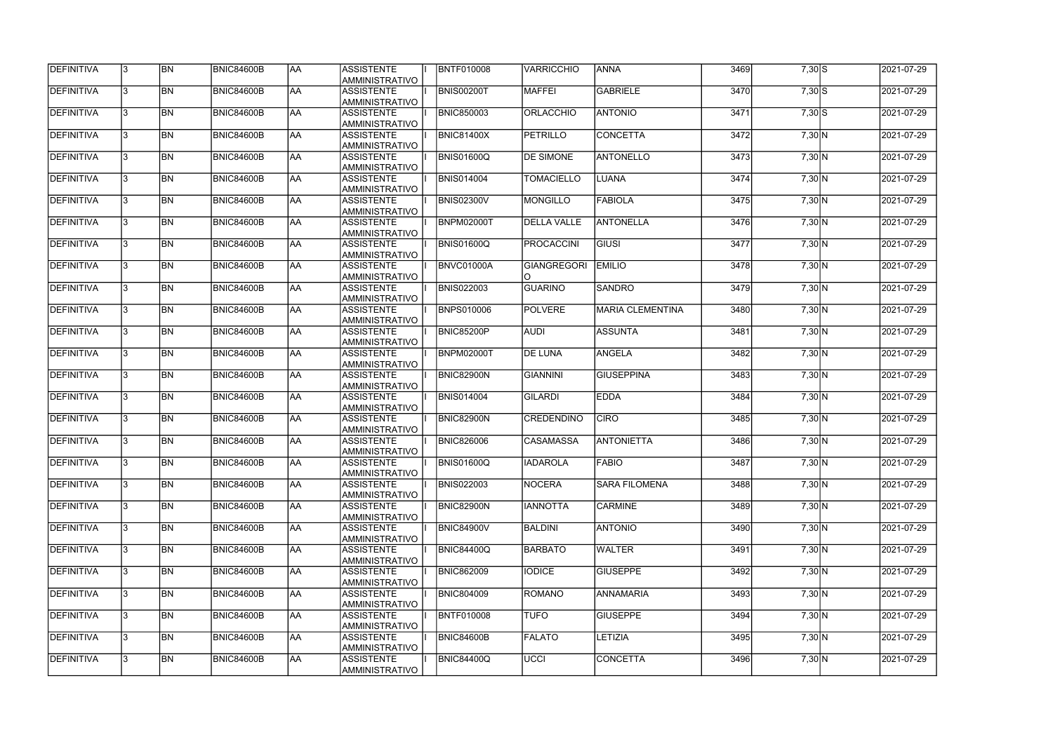| DEFINITIVA        | <b>BN</b> | BNIC84600B        | AA  | ASSISTENTE<br><b>AMMINISTRATIVO</b>        | <b>BNTF010008</b> | VARRICCHIO                | <b>ANNA</b>             | 3469 | $7,30$ S    | 2021-07-29 |
|-------------------|-----------|-------------------|-----|--------------------------------------------|-------------------|---------------------------|-------------------------|------|-------------|------------|
| DEFINITIVA        | <b>BN</b> | <b>BNIC84600B</b> | AA  | <b>ASSISTENTE</b><br>AMMINISTRATIVO        | <b>BNIS00200T</b> | <b>MAFFEI</b>             | <b>GABRIELE</b>         | 3470 | $7,30$ S    | 2021-07-29 |
| <b>DEFINITIVA</b> | <b>BN</b> | <b>BNIC84600B</b> | AA  | <b>ASSISTENTE</b><br><b>AMMINISTRATIVO</b> | <b>BNIC850003</b> | <b>ORLACCHIO</b>          | <b>ANTONIO</b>          | 3471 | $7,30$ S    | 2021-07-29 |
| DEFINITIVA        | <b>BN</b> | <b>BNIC84600B</b> | AA  | <b>ASSISTENTE</b><br>AMMINISTRATIVO        | <b>BNIC81400X</b> | PETRILLO                  | CONCETTA                | 3472 | $7,30$ N    | 2021-07-29 |
| <b>DEFINITIVA</b> | <b>BN</b> | <b>BNIC84600B</b> | AA  | ASSISTENTE<br><b>AMMINISTRATIVO</b>        | <b>BNIS01600Q</b> | <b>DE SIMONE</b>          | ANTONELLO               | 3473 | $7,30$ N    | 2021-07-29 |
| DEFINITIVA        | <b>BN</b> | BNIC84600B        | AA  | <b>ASSISTENTE</b><br><b>AMMINISTRATIVO</b> | <b>BNIS014004</b> | <b>TOMACIELLO</b>         | LUANA                   | 3474 | 7,30 N      | 2021-07-29 |
| <b>DEFINITIVA</b> | <b>BN</b> | BNIC84600B        | AA  | <b>ASSISTENTE</b><br><b>AMMINISTRATIVO</b> | <b>BNIS02300V</b> | <b>MONGILLO</b>           | FABIOLA                 | 3475 | 7,30 N      | 2021-07-29 |
| DEFINITIVA        | <b>BN</b> | <b>BNIC84600B</b> | AA  | <b>ASSISTENTE</b><br><b>AMMINISTRATIVO</b> | <b>BNPM02000T</b> | <b>DELLA VALLE</b>        | ANTONELLA               | 3476 | 7,30 N      | 2021-07-29 |
| <b>DEFINITIVA</b> | <b>BN</b> | BNIC84600B        | AA  | <b>ASSISTENTE</b><br><b>AMMINISTRATIVO</b> | <b>BNIS01600Q</b> | <b>PROCACCINI</b>         | <b>GIUSI</b>            | 3477 | 7,30 N      | 2021-07-29 |
| <b>DEFINITIVA</b> | BN        | BNIC84600B        | laa | <b>ASSISTENTE</b><br><b>AMMINISTRATIVO</b> | BNVC01000A        | <b>GIANGREGORI</b><br>IO. | <b>EMILIO</b>           | 3478 | 7,30 N      | 2021-07-29 |
| DEFINITIVA        | <b>BN</b> | <b>BNIC84600B</b> | AA  | <b>ASSISTENTE</b><br>AMMINISTRATIVO        | <b>BNIS022003</b> | <b>GUARINO</b>            | <b>SANDRO</b>           | 3479 | 7,30 N      | 2021-07-29 |
| DEFINITIVA        | <b>BN</b> | <b>BNIC84600B</b> | AA  | <b>ASSISTENTE</b><br>AMMINISTRATIVO        | <b>BNPS010006</b> | POLVERE                   | <b>MARIA CLEMENTINA</b> | 3480 | 7,30 N      | 2021-07-29 |
| <b>DEFINITIVA</b> | <b>BN</b> | BNIC84600B        | AA  | ASSISTENTE<br><b>AMMINISTRATIVO</b>        | BNIC85200P        | <b>AUDI</b>               | <b>ASSUNTA</b>          | 3481 | 7,30 N      | 2021-07-29 |
| DEFINITIVA        | <b>BN</b> | <b>BNIC84600B</b> | AA  | <b>ASSISTENTE</b><br><b>AMMINISTRATIVO</b> | <b>BNPM02000T</b> | <b>DE LUNA</b>            | ANGELA                  | 3482 | 7,30 N      | 2021-07-29 |
| <b>DEFINITIVA</b> | <b>BN</b> | BNIC84600B        | AA  | <b>ASSISTENTE</b><br><b>AMMINISTRATIVO</b> | <b>BNIC82900N</b> | <b>GIANNINI</b>           | <b>GIUSEPPINA</b>       | 3483 | 7,30 N      | 2021-07-29 |
| DEFINITIVA        | <b>BN</b> | <b>BNIC84600B</b> | AA  | <b>ASSISTENTE</b><br><b>AMMINISTRATIVO</b> | <b>BNIS014004</b> | <b>GILARDI</b>            | <b>EDDA</b>             | 3484 | 7,30 N      | 2021-07-29 |
| <b>DEFINITIVA</b> | <b>BN</b> | BNIC84600B        | AA  | <b>ASSISTENTE</b><br><b>AMMINISTRATIVO</b> | <b>BNIC82900N</b> | <b>CREDENDINO</b>         | <b>CIRO</b>             | 3485 | 7,30 N      | 2021-07-29 |
| DEFINITIVA        | BN        | BNIC84600B        | AA  | <b>ASSISTENTE</b><br><b>AMMINISTRATIVO</b> | <b>BNIC826006</b> | <b>CASAMASSA</b>          | <b>ANTONIETTA</b>       | 3486 | 7,30 N      | 2021-07-29 |
| DEFINITIVA        | BN        | <b>BNIC84600B</b> | lAA | ASSISTENTE <br><b>AMMINISTRATIVO</b>       | <b>BNIS01600Q</b> | <b>IADAROLA</b>           | <b>FABIO</b>            | 3487 | $7,30 \, N$ | 2021-07-29 |
| <b>DEFINITIVA</b> | BN        | <b>BNIC84600B</b> | AA  | ASSISTENTE<br>AMMINISTRATIVO               | <b>BNIS022003</b> | NOCERA                    | ISARA FILOMENA          | 3488 | 7,30 N      | 2021-07-29 |
| DEFINITIVA        | BN        | <b>BNIC84600B</b> | AA  | ASSISTENTE<br>AMMINISTRATIVO               | <b>BNIC82900N</b> | <b>IANNOTTA</b>           | <b>CARMINE</b>          | 3489 | 7,30 N      | 2021-07-29 |
| DEFINITIVA        | <b>BN</b> | <b>BNIC84600B</b> | AA  | <b>ASSISTENTE</b><br><b>AMMINISTRATIVO</b> | <b>BNIC84900V</b> | BALDINI                   | <b>ANTONIO</b>          | 3490 | 7,30 N      | 2021-07-29 |
| <b>DEFINITIVA</b> | BN        | <b>BNIC84600B</b> | AA  | ASSISTENTE<br>AMMINISTRATIVO               | <b>BNIC84400Q</b> | <b>BARBATO</b>            | <b>WALTER</b>           | 3491 | 7,30 N      | 2021-07-29 |
| <b>DEFINITIVA</b> | <b>BN</b> | <b>BNIC84600B</b> | AA  | <b>ASSISTENTE</b><br><b>AMMINISTRATIVO</b> | <b>BNIC862009</b> | <b>IODICE</b>             | <b>GIUSEPPE</b>         | 3492 | 7,30 N      | 2021-07-29 |
| <b>DEFINITIVA</b> | <b>BN</b> | BNIC84600B        | AA  | <b>ASSISTENTE</b><br><b>AMMINISTRATIVO</b> | <b>BNIC804009</b> | ROMANO                    | ANNAMARIA               | 3493 | 7,30 N      | 2021-07-29 |
| DEFINITIVA        | BN        | BNIC84600B        | AA  | <b>ASSISTENTE</b><br><b>AMMINISTRATIVO</b> | <b>BNTF010008</b> | <b>TUFO</b>               | <b>GIUSEPPE</b>         | 3494 | 7,30 N      | 2021-07-29 |
| <b>DEFINITIVA</b> | <b>BN</b> | <b>BNIC84600B</b> | AA  | <b>ASSISTENTE</b><br> AMMINISTRATIVO       | <b>BNIC84600B</b> | <b>FALATO</b>             | <b>LETIZIA</b>          | 3495 | 7,30 N      | 2021-07-29 |
| <b>DEFINITIVA</b> | BN        | BNIC84600B        | AA  | ASSISTENTE<br><b>AMMINISTRATIVO</b>        | <b>BNIC84400Q</b> | <b>UCCI</b>               | <b>CONCETTA</b>         | 3496 | 7,30 N      | 2021-07-29 |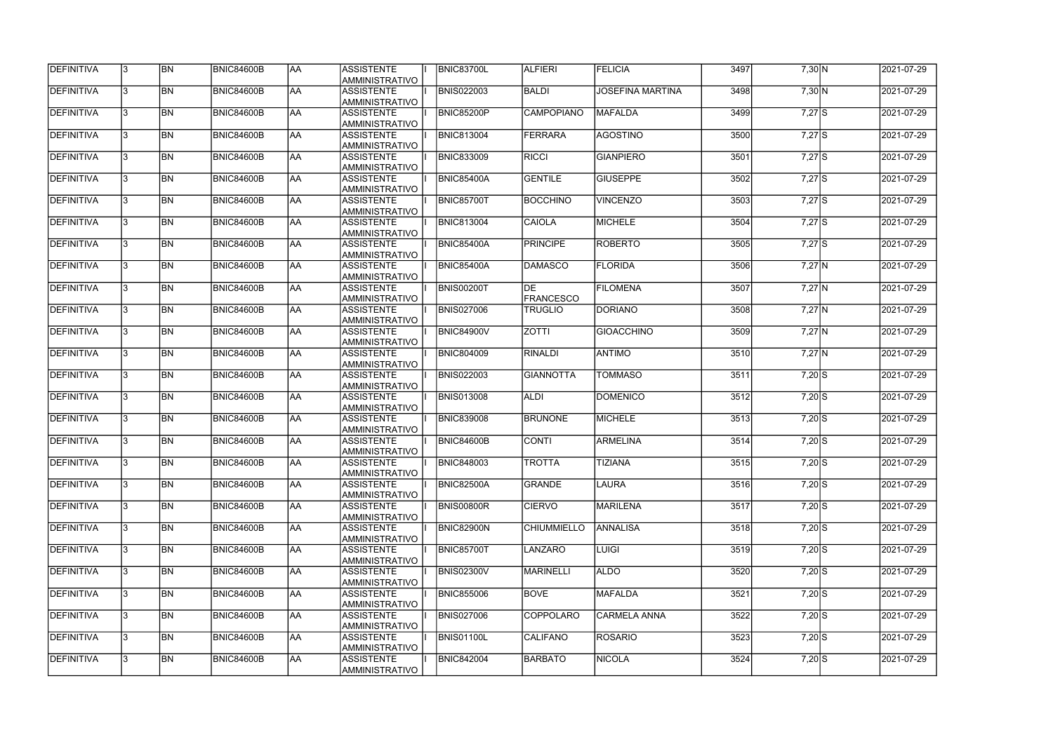| DEFINITIVA        | 13. | <b>BN</b> | <b>BNIC84600B</b> | AA         | <b>ASSISTENTE</b><br>AMMINISTRATIVO | <b>BNIC83700L</b> | <b>ALFIERI</b>          | <b>FELICIA</b>          | 3497 | 7,30 N   | 2021-07-29 |
|-------------------|-----|-----------|-------------------|------------|-------------------------------------|-------------------|-------------------------|-------------------------|------|----------|------------|
| <b>DEFINITIVA</b> | 13. | <b>BN</b> | <b>BNIC84600B</b> | laa        | <b>ASSISTENTE</b><br>AMMINISTRATIVO | <b>BNIS022003</b> | BALDI                   | <b>JOSEFINA MARTINA</b> | 3498 | 7,30 N   | 2021-07-29 |
| DEFINITIVA        | l3. | <b>BN</b> | <b>BNIC84600B</b> | AA         | <b>ASSISTENTE</b><br>AMMINISTRATIVO | <b>BNIC85200P</b> | <b>CAMPOPIANO</b>       | <b>MAFALDA</b>          | 3499 | $7,27$ S | 2021-07-29 |
| <b>DEFINITIVA</b> | l3. | <b>BN</b> | BNIC84600B        | <b>AA</b>  | <b>ASSISTENTE</b><br>AMMINISTRATIVO | <b>BNIC813004</b> | FERRARA                 | <b>AGOSTINO</b>         | 3500 | $7,27$ S | 2021-07-29 |
| DEFINITIVA        | l3. | <b>BN</b> | <b>BNIC84600B</b> | AA         | <b>ASSISTENTE</b><br>AMMINISTRATIVO | <b>BNIC833009</b> | <b>RICCI</b>            | <b>GIANPIERO</b>        | 3501 | $7,27$ S | 2021-07-29 |
| DEFINITIVA        | l3  | <b>BN</b> | <b>BNIC84600B</b> | laa        | <b>ASSISTENTE</b><br>AMMINISTRATIVO | <b>BNIC85400A</b> | <b>GENTILE</b>          | <b>GIUSEPPE</b>         | 3502 | $7,27$ S | 2021-07-29 |
| DEFINITIVA        |     | <b>BN</b> | <b>BNIC84600B</b> | AA         | <b>ASSISTENTE</b><br>AMMINISTRATIVO | <b>BNIC85700T</b> | <b>BOCCHINO</b>         | <b>VINCENZO</b>         | 3503 | 7,27 S   | 2021-07-29 |
| DEFINITIVA        |     | <b>BN</b> | <b>BNIC84600B</b> | laa        | <b>ASSISTENTE</b><br>AMMINISTRATIVO | <b>BNIC813004</b> | <b>CAIOLA</b>           | <b>MICHELE</b>          | 3504 | $7,27$ S | 2021-07-29 |
| DEFINITIVA        |     | <b>BN</b> | <b>BNIC84600B</b> | laa        | <b>ASSISTENTE</b><br>AMMINISTRATIVO | <b>BNIC85400A</b> | <b>PRINCIPE</b>         | <b>ROBERTO</b>          | 3505 | $7,27$ S | 2021-07-29 |
| DEFINITIVA        | l3. | <b>BN</b> | <b>BNIC84600B</b> | laa        | <b>ASSISTENTE</b><br>AMMINISTRATIVO | <b>BNIC85400A</b> | DAMASCO                 | FLORIDA                 | 3506 | $7,27$ N | 2021-07-29 |
| DEFINITIVA        | l3. | <b>BN</b> | <b>BNIC84600B</b> | AA         | <b>ASSISTENTE</b><br>AMMINISTRATIVO | <b>BNIS00200T</b> | DE.<br><b>FRANCESCO</b> | <b>FILOMENA</b>         | 3507 | $7,27$ N | 2021-07-29 |
| <b>DEFINITIVA</b> | l3. | <b>BN</b> | BNIC84600B        | <b>AA</b>  | <b>ASSISTENTE</b><br>AMMINISTRATIVO | <b>BNIS027006</b> | <b>TRUGLIO</b>          | <b>DORIANO</b>          | 3508 | $7,27$ N | 2021-07-29 |
| DEFINITIVA        | 3   | <b>BN</b> | <b>BNIC84600B</b> | AA         | <b>ASSISTENTE</b><br>AMMINISTRATIVO | <b>BNIC84900V</b> | ZOTTI                   | <b>GIOACCHINO</b>       | 3509 | $7,27$ N | 2021-07-29 |
| DEFINITIVA        | 3   | <b>BN</b> | <b>BNIC84600B</b> | AA         | <b>ASSISTENTE</b><br>AMMINISTRATIVO | <b>BNIC804009</b> | <b>RINALDI</b>          | <b>ANTIMO</b>           | 3510 | $7,27$ N | 2021-07-29 |
| DEFINITIVA        |     | <b>BN</b> | <b>BNIC84600B</b> | AA         | <b>ASSISTENTE</b><br>AMMINISTRATIVO | <b>BNIS022003</b> | <b>GIANNOTTA</b>        | <b>TOMMASO</b>          | 3511 | $7,20$ S | 2021-07-29 |
| DEFINITIVA        | 3   | <b>BN</b> | <b>BNIC84600B</b> | AA         | <b>ASSISTENTE</b><br>AMMINISTRATIVO | <b>BNIS013008</b> | <b>ALDI</b>             | <b>DOMENICO</b>         | 3512 | $7,20$ S | 2021-07-29 |
| DEFINITIVA        | l3. | <b>BN</b> | <b>BNIC84600B</b> | laa        | <b>ASSISTENTE</b><br>AMMINISTRATIVO | <b>BNIC839008</b> | <b>BRUNONE</b>          | <b>MICHELE</b>          | 3513 | $7,20$ S | 2021-07-29 |
| DEFINITIVA        |     | <b>BN</b> | BNIC84600B        | AA         | <b>ASSISTENTE</b><br>AMMINISTRATIVO | <b>BNIC84600B</b> | <b>CONTI</b>            | <b>ARMELINA</b>         | 3514 | $7,20$ S | 2021-07-29 |
| <b>DEFINITIVA</b> | 13. | <b>BN</b> | <b>BNIC84600B</b> | <b>JAA</b> | <b>ASSISTENTE</b><br>AMMINISTRATIVO | <b>BNIC848003</b> | <b>TROTTA</b>           | <b>TIZIANA</b>          | 3515 | $7,20$ S | 2021-07-29 |
| <b>DEFINITIVA</b> | l3. | <b>BN</b> | <b>BNIC84600B</b> | AA         | ASSISTENTE<br>AMMINISTRATIVO        | <b>BNIC82500A</b> | <b>GRANDE</b>           | <b>LAURA</b>            | 3516 | $7,20$ S | 2021-07-29 |
| DEFINITIVA        | 13. | <b>BN</b> | <b>BNIC84600B</b> | AA         | ASSISTENTE<br>AMMINISTRATIVO        | <b>BNIS00800R</b> | <b>CIERVO</b>           | <b>MARILENA</b>         | 3517 | $7,20$ S | 2021-07-29 |
| DEFINITIVA        | 3   | <b>BN</b> | <b>BNIC84600B</b> | AA         | ASSISTENTE<br>AMMINISTRATIVO        | <b>BNIC82900N</b> | <b>CHIUMMIELLO</b>      | <b>ANNALISA</b>         | 3518 | $7,20$ S | 2021-07-29 |
| DEFINITIVA        |     | <b>BN</b> | <b>BNIC84600B</b> | AA         | ASSISTENTE<br>AMMINISTRATIVO        | <b>BNIC85700T</b> | LANZARO                 | LUIGI                   | 3519 | 7,20 S   | 2021-07-29 |
| DEFINITIVA        |     | <b>BN</b> | <b>BNIC84600B</b> | AA         | <b>ASSISTENTE</b><br>AMMINISTRATIVO | <b>BNIS02300V</b> | MARINELLI               | <b>ALDO</b>             | 3520 | $7,20$ S | 2021-07-29 |
| DEFINITIVA        | I3. | <b>BN</b> | BNIC84600B        | AA         | <b>ASSISTENTE</b><br>AMMINISTRATIVO | <b>BNIC855006</b> | <b>BOVE</b>             | <b>MAFALDA</b>          | 3521 | $7,20$ S | 2021-07-29 |
| DEFINITIVA        | 13. | <b>BN</b> | <b>BNIC84600B</b> | AA         | <b>ASSISTENTE</b><br>AMMINISTRATIVO | <b>BNIS027006</b> | COPPOLARO               | <b>CARMELA ANNA</b>     | 3522 | $7,20$ S | 2021-07-29 |
| DEFINITIVA        | 13. | <b>BN</b> | <b>BNIC84600B</b> | AA         | <b>ASSISTENTE</b><br>AMMINISTRATIVO | <b>BNIS01100L</b> | <b>CALIFANO</b>         | <b>ROSARIO</b>          | 3523 | $7,20$ S | 2021-07-29 |
| DEFINITIVA        |     | <b>BN</b> | <b>BNIC84600B</b> | AA         | <b>ASSISTENTE</b><br>AMMINISTRATIVO | <b>BNIC842004</b> | <b>BARBATO</b>          | <b>NICOLA</b>           | 3524 | $7,20$ S | 2021-07-29 |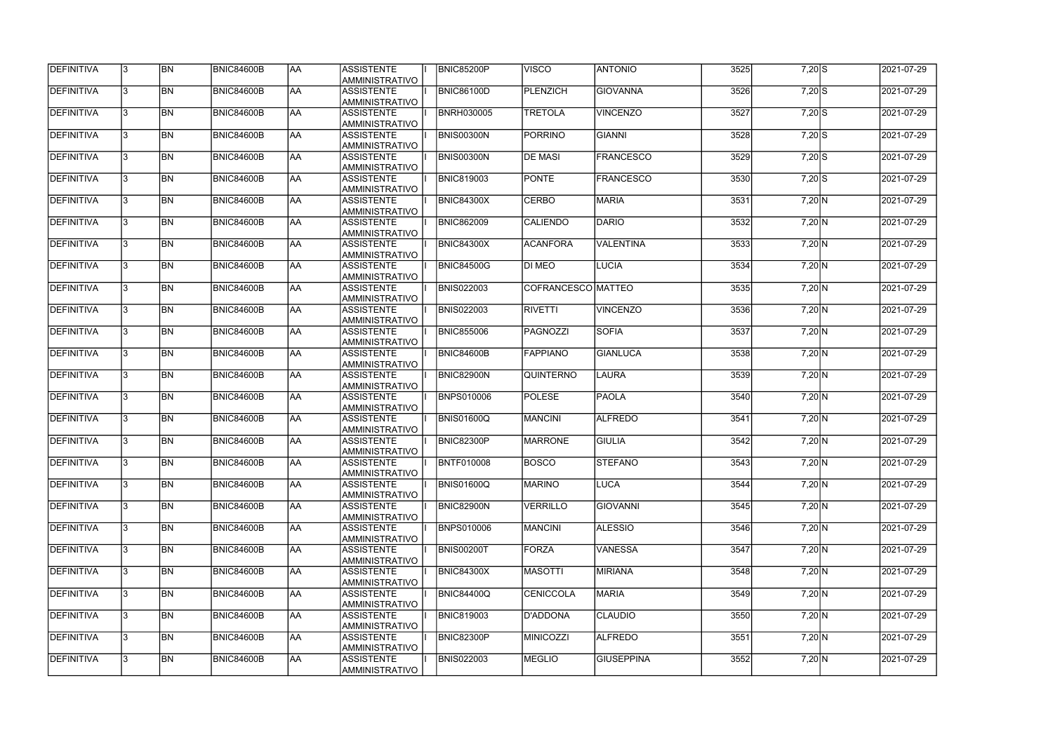| <b>DEFINITIVA</b> | 13. | <b>BN</b>      | <b>BNIC84600B</b> | laa        | ASSISTENTE<br>AMMINISTRATIVO        | <b>BNIC85200P</b> | <b>VISCO</b>       | <b>ANTONIO</b>    | 3525 | $7,20$ S    | 2021-07-29 |
|-------------------|-----|----------------|-------------------|------------|-------------------------------------|-------------------|--------------------|-------------------|------|-------------|------------|
| DEFINITIVA        | 13. | <b>BN</b>      | <b>BNIC84600B</b> | AA         | <b>ASSISTENTE</b><br>AMMINISTRATIVO | <b>BNIC86100D</b> | PLENZICH           | <b>GIOVANNA</b>   | 3526 | $7,20$ S    | 2021-07-29 |
| DEFINITIVA        | l3. | <b>BN</b>      | <b>BNIC84600B</b> | AA         | <b>ASSISTENTE</b><br>AMMINISTRATIVO | <b>BNRH030005</b> | <b>TRETOLA</b>     | <b>VINCENZO</b>   | 3527 | $7,20$ S    | 2021-07-29 |
| DEFINITIVA        | l3. | <b>BN</b>      | <b>BNIC84600B</b> | <b>AA</b>  | <b>ASSISTENTE</b><br>AMMINISTRATIVO | <b>BNIS00300N</b> | <b>PORRINO</b>     | <b>GIANNI</b>     | 3528 | $7,20$ S    | 2021-07-29 |
| DEFINITIVA        | l3. | <b>BN</b>      | <b>BNIC84600B</b> | <b>AA</b>  | <b>ASSISTENTE</b><br>AMMINISTRATIVO | <b>BNIS00300N</b> | <b>DE MASI</b>     | <b>FRANCESCO</b>  | 3529 | $7,20$ S    | 2021-07-29 |
| DEFINITIVA        | 3   | <b>BN</b>      | <b>BNIC84600B</b> | AA         | <b>ASSISTENTE</b><br>AMMINISTRATIVO | <b>BNIC819003</b> | <b>PONTE</b>       | <b>FRANCESCO</b>  | 3530 | $7,20$ S    | 2021-07-29 |
| DEFINITIVA        |     | <b>BN</b>      | <b>BNIC84600B</b> | AA         | <b>ASSISTENTE</b><br>AMMINISTRATIVO | <b>BNIC84300X</b> | <b>CERBO</b>       | <b>MARIA</b>      | 3531 | $7,20 \ N$  | 2021-07-29 |
| DEFINITIVA        |     | <b>BN</b>      | <b>BNIC84600B</b> | AA         | <b>ASSISTENTE</b><br>AMMINISTRATIVO | <b>BNIC862009</b> | <b>CALIENDO</b>    | <b>DARIO</b>      | 3532 | $7,20 \, N$ | 2021-07-29 |
| DEFINITIVA        |     | <b>BN</b>      | <b>BNIC84600B</b> | laa        | <b>ASSISTENTE</b><br>AMMINISTRATIVO | <b>BNIC84300X</b> | ACANFORA           | <b>VALENTINA</b>  | 3533 | $7,20 \ N$  | 2021-07-29 |
| DEFINITIVA        | l3. | <b>BN</b>      | <b>BNIC84600B</b> | laa        | <b>ASSISTENTE</b><br>AMMINISTRATIVO | <b>BNIC84500G</b> | DI MEO             | LUCIA             | 3534 | $7,20 \ N$  | 2021-07-29 |
| DEFINITIVA        | l3. | <b>BN</b>      | <b>BNIC84600B</b> | AA         | <b>ASSISTENTE</b><br>AMMINISTRATIVO | <b>BNIS022003</b> | COFRANCESCO MATTEO |                   | 3535 | $7,20 \ N$  | 2021-07-29 |
| DEFINITIVA        | 3   | <b>BN</b>      | BNIC84600B        | AA         | <b>ASSISTENTE</b><br>AMMINISTRATIVO | <b>BNIS022003</b> | RIVETTI            | <b>VINCENZO</b>   | 3536 | 7,20 N      | 2021-07-29 |
| DEFINITIVA        | l3. | <b>BN</b>      | <b>BNIC84600B</b> | AA         | <b>ASSISTENTE</b><br>AMMINISTRATIVO | <b>BNIC855006</b> | PAGNOZZI           | <b>SOFIA</b>      | 3537 | $7,20 \ N$  | 2021-07-29 |
| DEFINITIVA        | 3   | <b>BN</b>      | <b>BNIC84600B</b> | AA         | <b>ASSISTENTE</b><br>AMMINISTRATIVO | <b>BNIC84600B</b> | FAPPIANO           | <b>GIANLUCA</b>   | 3538 | $7,20 \ N$  | 2021-07-29 |
| DEFINITIVA        |     | <b>BN</b>      | <b>BNIC84600B</b> | AA         | <b>ASSISTENTE</b><br>AMMINISTRATIVO | <b>BNIC82900N</b> | <b>QUINTERNO</b>   | <b>LAURA</b>      | 3539 | $7,20 \ N$  | 2021-07-29 |
| DEFINITIVA        |     | <b>BN</b>      | <b>BNIC84600B</b> | AA         | <b>ASSISTENTE</b><br>AMMINISTRATIVO | <b>BNPS010006</b> | <b>POLESE</b>      | <b>PAOLA</b>      | 3540 | $7,20 \, N$ | 2021-07-29 |
| DEFINITIVA        | 3   | <b>BN</b>      | <b>BNIC84600B</b> | AA         | <b>ASSISTENTE</b><br>AMMINISTRATIVO | <b>BNIS01600Q</b> | <b>MANCINI</b>     | <b>ALFREDO</b>    | 3541 | $7,20 \, N$ | 2021-07-29 |
| DEFINITIVA        |     | <b>BN</b>      | <b>BNIC84600B</b> | AA         | <b>ASSISTENTE</b><br>AMMINISTRATIVO | <b>BNIC82300P</b> | <b>MARRONE</b>     | <b>GIULIA</b>     | 3542 | $7,20 \ N$  | 2021-07-29 |
| DEFINITIVA        | 13  | BN             | <b>BNIC84600B</b> | <b>JAA</b> | <b>ASSISTENTE</b><br>AMMINISTRATIVO | <b>BNTF010008</b> | <b>BOSCO</b>       | <b>STEFANO</b>    | 3543 | $7,20 \, N$ | 2021-07-29 |
| <b>DEFINITIVA</b> | 13. | <b>BN</b>      | <b>BNIC84600B</b> | AA         | <b>ASSISTENTE</b><br>AMMINISTRATIVO | <b>BNIS01600Q</b> | MARINO             | <b>LUCA</b>       | 3544 | $7,20$ N    | 2021-07-29 |
| DEFINITIVA        | l3. | <b>BN</b>      | <b>BNIC84600B</b> | <b>AA</b>  | <b>ASSISTENTE</b><br>AMMINISTRATIVO | <b>BNIC82900N</b> | <b>VERRILLO</b>    | <b>GIOVANNI</b>   | 3545 | 7,20 N      | 2021-07-29 |
| DEFINITIVA        | l3. | <b>BN</b>      | <b>BNIC84600B</b> | <b>AA</b>  | <b>ASSISTENTE</b><br>AMMINISTRATIVO | <b>BNPS010006</b> | <b>MANCINI</b>     | <b>ALESSIO</b>    | 3546 | $7,20 \ N$  | 2021-07-29 |
| DEFINITIVA        | l3. | <b>BN</b>      | <b>BNIC84600B</b> | <b>AA</b>  | <b>ASSISTENTE</b><br>AMMINISTRATIVO | <b>BNIS00200T</b> | FORZA              | <b>VANESSA</b>    | 3547 | $7,20 \ N$  | 2021-07-29 |
| DEFINITIVA        |     | <b>BN</b>      | <b>BNIC84600B</b> | AA         | <b>ASSISTENTE</b><br>AMMINISTRATIVO | <b>BNIC84300X</b> | <b>MASOTTI</b>     | <b>MIRIANA</b>    | 3548 | $7,20 \ N$  | 2021-07-29 |
| DEFINITIVA        |     | <b>BN</b>      | <b>BNIC84600B</b> | <b>AA</b>  | <b>ASSISTENTE</b><br>AMMINISTRATIVO | <b>BNIC84400Q</b> | <b>CENICCOLA</b>   | <b>MARIA</b>      | 3549 | $7,20 \ N$  | 2021-07-29 |
| DEFINITIVA        | 13. | BN <sub></sub> | <b>BNIC84600B</b> | AA         | <b>ASSISTENTE</b><br>AMMINISTRATIVO | <b>BNIC819003</b> | D'ADDONA           | <b>CLAUDIO</b>    | 3550 | $7,20 \ N$  | 2021-07-29 |
| DEFINITIVA        | 13. | <b>BN</b>      | <b>BNIC84600B</b> | AA         | <b>ASSISTENTE</b><br>AMMINISTRATIVO | <b>BNIC82300P</b> | <b>MINICOZZI</b>   | <b>ALFREDO</b>    | 3551 | $7,20 \, N$ | 2021-07-29 |
| DEFINITIVA        |     | <b>BN</b>      | <b>BNIC84600B</b> | AA         | <b>ASSISTENTE</b><br>AMMINISTRATIVO | <b>BNIS022003</b> | <b>MEGLIO</b>      | <b>GIUSEPPINA</b> | 3552 | $7,20 \, N$ | 2021-07-29 |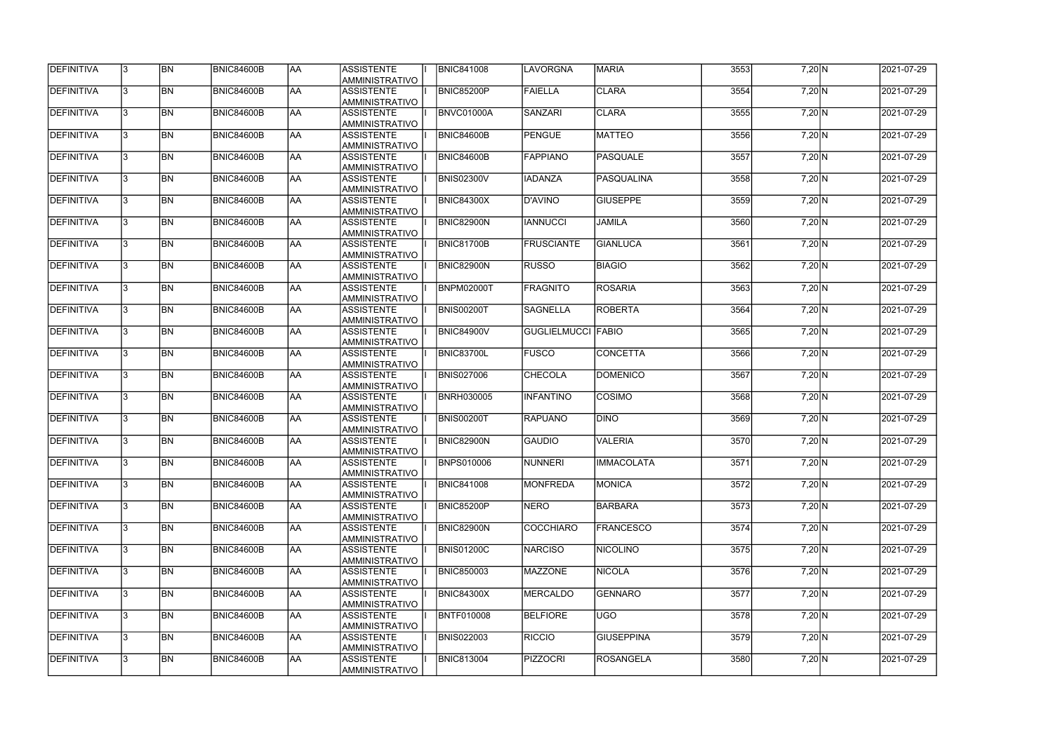| DEFINITIVA        | l3 | <b>BN</b> | <b>BNIC84600B</b> | <b>AA</b> | ASSISTENTE<br>AMMINISTRATIVO         | <b>BNIC841008</b> | LAVORGNA            | <b>MARIA</b>      | 3553 | $7,20 \ N$     | 2021-07-29 |
|-------------------|----|-----------|-------------------|-----------|--------------------------------------|-------------------|---------------------|-------------------|------|----------------|------------|
| DEFINITIVA        | 3  | <b>BN</b> | <b>BNIC84600B</b> | AA        | <b>ASSISTENTE</b><br>AMMINISTRATIVO  | <b>BNIC85200P</b> | FAIELLA             | <b>CLARA</b>      | 3554 | $7,20 \ N$     | 2021-07-29 |
| DEFINITIVA        |    | <b>BN</b> | <b>BNIC84600B</b> | AA        | <b>ASSISTENTE</b><br>AMMINISTRATIVO  | BNVC01000A        | <b>SANZARI</b>      | <b>CLARA</b>      | 3555 | $7,20$ N       | 2021-07-29 |
| <b>DEFINITIVA</b> |    | <b>BN</b> | BNIC84600B        | AA        | ASSISTENTE<br>AMMINISTRATIVO         | <b>BNIC84600B</b> | PENGUE              | <b>MATTEO</b>     | 3556 | $7,20$ N       | 2021-07-29 |
| DEFINITIVA        |    | <b>BN</b> | <b>BNIC84600B</b> | AA        | <b>ASSISTENTE</b><br>AMMINISTRATIVO  | <b>BNIC84600B</b> | FAPPIANO            | <b>PASQUALE</b>   | 3557 | $7,20 \ N$     | 2021-07-29 |
| <b>DEFINITIVA</b> |    | <b>BN</b> | <b>BNIC84600B</b> | AA        | ASSISTENTE<br>AMMINISTRATIVO         | <b>BNIS02300V</b> | <b>IADANZA</b>      | <b>PASQUALINA</b> | 3558 | $7,20$ N       | 2021-07-29 |
| <b>DEFINITIVA</b> |    | <b>BN</b> | <b>BNIC84600B</b> | AA        | <b>ASSISTENTE</b><br>AMMINISTRATIVO  | <b>BNIC84300X</b> | D'AVINO             | <b>GIUSEPPE</b>   | 3559 | $7,20 \ N$     | 2021-07-29 |
| <b>DEFINITIVA</b> |    | <b>BN</b> | <b>BNIC84600B</b> | AA        | <b>ASSISTENTE</b><br>AMMINISTRATIVO  | BNIC82900N        | <b>IANNUCCI</b>     | <b>JAMILA</b>     | 3560 | $7,20 \ N$     | 2021-07-29 |
| DEFINITIVA        |    | <b>BN</b> | <b>BNIC84600B</b> | AA        | <b>ASSISTENTE</b><br>AMMINISTRATIVO  | <b>BNIC81700B</b> | <b>FRUSCIANTE</b>   | <b>GIANLUCA</b>   | 3561 | $7,20 \ N$     | 2021-07-29 |
| <b>DEFINITIVA</b> |    | <b>BN</b> | <b>BNIC84600B</b> | AA        | <b>ASSISTENTE</b><br>Iamministrativo | <b>BNIC82900N</b> | RUSSO               | <b>BIAGIO</b>     | 3562 | $7,20 \ N$     | 2021-07-29 |
| DEFINITIVA        |    | <b>BN</b> | <b>BNIC84600B</b> | AA        | <b>ASSISTENTE</b><br>AMMINISTRATIVO  | <b>BNPM02000T</b> | <b>FRAGNITO</b>     | <b>ROSARIA</b>    | 3563 | $7,20 \ N$     | 2021-07-29 |
| <b>DEFINITIVA</b> |    | <b>BN</b> | BNIC84600B        | AA        | ASSISTENTE<br>AMMINISTRATIVO         | <b>BNIS00200T</b> | <b>SAGNELLA</b>     | <b>ROBERTA</b>    | 3564 | $7,20 \ N$     | 2021-07-29 |
| <b>DEFINITIVA</b> |    | <b>BN</b> | <b>BNIC84600B</b> | AA        | <b>ASSISTENTE</b><br>AMMINISTRATIVO  | <b>BNIC84900V</b> | GUGLIELMUCCI  FABIO |                   | 3565 | $7,20$ N       | 2021-07-29 |
| DEFINITIVA        |    | <b>BN</b> | <b>BNIC84600B</b> | AA        | <b>ASSISTENTE</b><br>AMMINISTRATIVO  | <b>BNIC83700L</b> | <b>FUSCO</b>        | <b>CONCETTA</b>   | 3566 | $7,20$ N       | 2021-07-29 |
| DEFINITIVA        |    | <b>BN</b> | <b>BNIC84600B</b> | AA        | <b>ASSISTENTE</b><br>AMMINISTRATIVO  | <b>BNIS027006</b> | <b>CHECOLA</b>      | <b>DOMENICO</b>   | 3567 | $7,20 \ N$     | 2021-07-29 |
| <b>DEFINITIVA</b> |    | <b>BN</b> | BNIC84600B        | AA        | <b>ASSISTENTE</b><br>AMMINISTRATIVO  | <b>BNRH030005</b> | <b>INFANTINO</b>    | <b>COSIMO</b>     | 3568 | $7,20 \ N$     | 2021-07-29 |
| DEFINITIVA        |    | <b>BN</b> | <b>BNIC84600B</b> | AA        | <b>ASSISTENTE</b><br>AMMINISTRATIVO  | <b>BNIS00200T</b> | <b>RAPUANO</b>      | <b>DINO</b>       | 3569 | $7,20 \ N$     | 2021-07-29 |
| DEFINITIVA        |    | <b>BN</b> | <b>BNIC84600B</b> | AA        | <b>ASSISTENTE</b><br>AMMINISTRATIVO  | <b>BNIC82900N</b> | <b>GAUDIO</b>       | <b>VALERIA</b>    | 3570 | $7,20 \vert N$ | 2021-07-29 |
| <b>DEFINITIVA</b> | 13 | <b>BN</b> | <b>BNIC84600B</b> | laa       | <b>ASSISTENTE</b><br>AMMINISTRATIVO  | <b>BNPS010006</b> | <b>NUNNERI</b>      | <b>IMMACOLATA</b> | 3571 | $7,20 \ N$     | 2021-07-29 |
| <b>DEFINITIVA</b> |    | <b>BN</b> | <b>BNIC84600B</b> | AA        | <b>ASSISTENTE</b><br>AMMINISTRATIVO  | <b>BNIC841008</b> | <b>MONFREDA</b>     | <b>MONICA</b>     | 3572 | $7,20 \ N$     | 2021-07-29 |
| <b>DEFINITIVA</b> |    | <b>BN</b> | <b>BNIC84600B</b> | AA        | ASSISTENTE<br>AMMINISTRATIVO         | BNIC85200P        | <b>NERO</b>         | <b>BARBARA</b>    | 3573 | $7,20$ N       | 2021-07-29 |
| <b>DEFINITIVA</b> |    | <b>BN</b> | <b>BNIC84600B</b> | AA        | <b>ASSISTENTE</b><br>AMMINISTRATIVO  | <b>BNIC82900N</b> | COCCHIARO           | <b>FRANCESCO</b>  | 3574 | $7,20 \ N$     | 2021-07-29 |
| <b>DEFINITIVA</b> |    | <b>BN</b> | <b>BNIC84600B</b> | AA        | <b>ASSISTENTE</b><br>AMMINISTRATIVO  | <b>BNIS01200C</b> | <b>NARCISO</b>      | <b>NICOLINO</b>   | 3575 | $7,20 \ N$     | 2021-07-29 |
| <b>DEFINITIVA</b> |    | <b>BN</b> | <b>BNIC84600B</b> | AA        | <b>ASSISTENTE</b><br>AMMINISTRATIVO  | <b>BNIC850003</b> | <b>MAZZONE</b>      | <b>NICOLA</b>     | 3576 | $7,20 \ N$     | 2021-07-29 |
| DEFINITIVA        |    | <b>BN</b> | <b>BNIC84600B</b> | AA        | <b>ASSISTENTE</b><br>AMMINISTRATIVO  | <b>BNIC84300X</b> | MERCALDO            | <b>GENNARO</b>    | 3577 | $7,20 \, N$    | 2021-07-29 |
| <b>DEFINITIVA</b> |    | <b>BN</b> | <b>BNIC84600B</b> | AA        | <b>ASSISTENTE</b><br>AMMINISTRATIVO  | <b>BNTF010008</b> | <b>BELFIORE</b>     | <b>UGO</b>        | 3578 | $7,20 \ N$     | 2021-07-29 |
| <b>DEFINITIVA</b> |    | <b>BN</b> | <b>BNIC84600B</b> | AA        | ASSISTENTE<br>AMMINISTRATIVO         | <b>BNIS022003</b> | <b>RICCIO</b>       | <b>GIUSEPPINA</b> | 3579 | 7,20 N         | 2021-07-29 |
| <b>DEFINITIVA</b> |    | <b>BN</b> | <b>BNIC84600B</b> | AA        | <b>ASSISTENTE</b><br>AMMINISTRATIVO  | <b>BNIC813004</b> | <b>PIZZOCRI</b>     | <b>ROSANGELA</b>  | 3580 | $7,20 \ N$     | 2021-07-29 |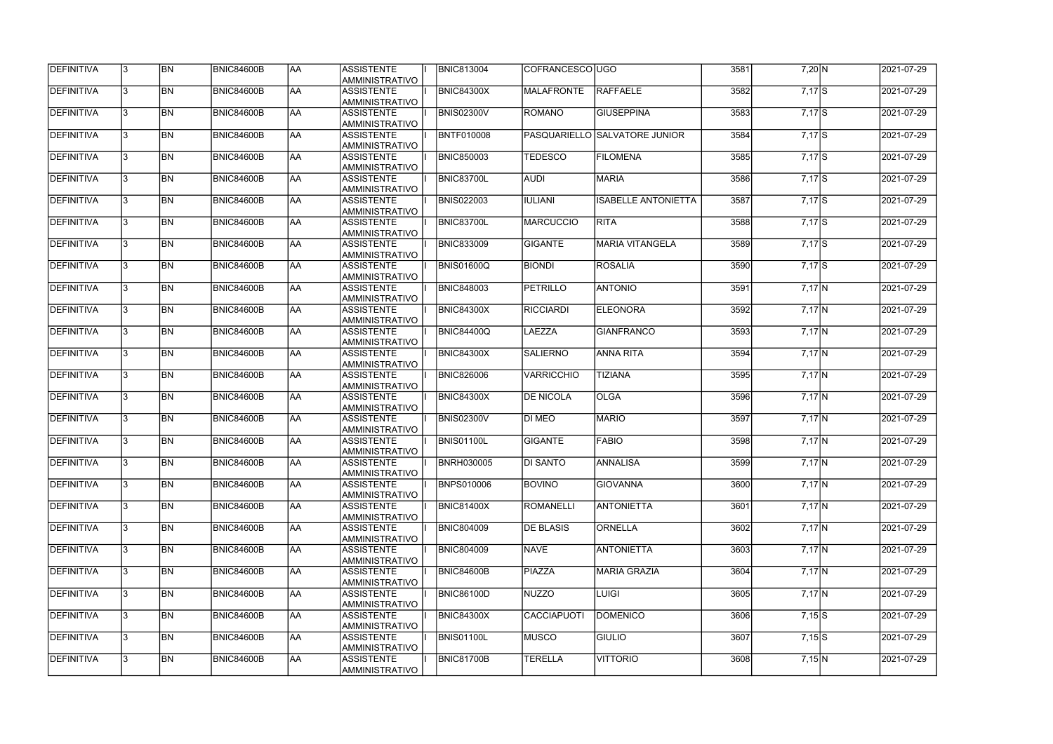| DEFINITIVA        |              | BN        | <b>BNIC84600B</b> | laa       | <b>ASSISTENTE</b><br>AMMINISTRATIVO        | <b>BNIC813004</b> | COFRANCESCO UGO    |                                      | 3581 | 7,20 N     | 2021-07-29 |
|-------------------|--------------|-----------|-------------------|-----------|--------------------------------------------|-------------------|--------------------|--------------------------------------|------|------------|------------|
| DEFINITIVA        | $\mathbf{3}$ | <b>BN</b> | BNIC84600B        | <b>AA</b> | <b>ASSISTENTE</b><br>AMMINISTRATIVO        | <b>BNIC84300X</b> | <b>MALAFRONTE</b>  | RAFFAELE                             | 3582 | $7,17$ S   | 2021-07-29 |
| DEFINITIVA        | 3            | <b>BN</b> | <b>BNIC84600B</b> | laa       | <b>ASSISTENTE</b><br>AMMINISTRATIVO        | <b>BNIS02300V</b> | <b>ROMANO</b>      | <b>GIUSEPPINA</b>                    | 3583 | $7,17$ S   | 2021-07-29 |
| DEFINITIVA        | l3.          | <b>BN</b> | <b>BNIC84600B</b> | laa       | <b>ASSISTENTE</b><br>AMMINISTRATIVO        | <b>BNTF010008</b> |                    | <b>PASQUARIELLO SALVATORE JUNIOR</b> | 3584 | $7,17$ S   | 2021-07-29 |
| DEFINITIVA        | l3           | <b>BN</b> | <b>BNIC84600B</b> | laa       | <b>ASSISTENTE</b><br>AMMINISTRATIVO        | <b>BNIC850003</b> | <b>TEDESCO</b>     | <b>FILOMENA</b>                      | 3585 | $7,17$ S   | 2021-07-29 |
| DEFINITIVA        | l3.          | <b>BN</b> | BNIC84600B        | <b>AA</b> | <b>ASSISTENTE</b><br>AMMINISTRATIVO        | <b>BNIC83700L</b> | <b>AUDI</b>        | <b>MARIA</b>                         | 3586 | $7,17$ S   | 2021-07-29 |
| <b>DEFINITIVA</b> | l3.          | BN        | BNIC84600B        | <b>AA</b> | <b>ASSISTENTE</b><br>AMMINISTRATIVO        | <b>BNIS022003</b> | <b>IULIANI</b>     | <b>ISABELLE ANTONIETTA</b>           | 3587 | $7,17$ S   | 2021-07-29 |
| DEFINITIVA        | l3.          | <b>BN</b> | BNIC84600B        | laa       | <b>ASSISTENTE</b><br><b>AMMINISTRATIVO</b> | BNIC83700L        | <b>MARCUCCIO</b>   | <b>RITA</b>                          | 3588 | $7,17$ S   | 2021-07-29 |
| DEFINITIVA        |              | BN        | BNIC84600B        | laa       | <b>ASSISTENTE</b><br><b>AMMINISTRATIVO</b> | <b>BNIC833009</b> | GIGANTE            | <b>MARIA VITANGELA</b>               | 3589 | $7,17$ S   | 2021-07-29 |
| DEFINITIVA        |              | BN        | BNIC84600B        | AA        | <b>ASSISTENTE</b><br>AMMINISTRATIVO        | <b>BNIS01600Q</b> | <b>BIONDI</b>      | <b>ROSALIA</b>                       | 3590 | $7,17$ S   | 2021-07-29 |
| DEFINITIVA        |              | <b>BN</b> | <b>BNIC84600B</b> | laa       | <b>ASSISTENTE</b><br>AMMINISTRATIVO        | <b>BNIC848003</b> | PETRILLO           | <b>ANTONIO</b>                       | 3591 | $7,17$ N   | 2021-07-29 |
| DEFINITIVA        | l3.          | <b>BN</b> | <b>BNIC84600B</b> | laa       | <b>ASSISTENTE</b><br>AMMINISTRATIVO        | <b>BNIC84300X</b> | <b>RICCIARDI</b>   | <b>ELEONORA</b>                      | 3592 | $7,17$ N   | 2021-07-29 |
| DEFINITIVA        | l3.          | <b>BN</b> | <b>BNIC84600B</b> | laa       | <b>ASSISTENTE</b><br>AMMINISTRATIVO        | <b>BNIC84400Q</b> | <b>LAEZZA</b>      | <b>GIANFRANCO</b>                    | 3593 | $7,17$ N   | 2021-07-29 |
| DEFINITIVA        | l3.          | <b>BN</b> | <b>BNIC84600B</b> | <b>AA</b> | <b>ASSISTENTE</b><br>AMMINISTRATIVO        | <b>BNIC84300X</b> | <b>SALIERNO</b>    | <b>ANNA RITA</b>                     | 3594 | $7,17$ N   | 2021-07-29 |
| DEFINITIVA        | ା୧           | <b>BN</b> | <b>BNIC84600B</b> | laa       | <b>ASSISTENTE</b><br>AMMINISTRATIVO        | <b>BNIC826006</b> | VARRICCHIO         | <b>TIZIANA</b>                       | 3595 | $7,17$ N   | 2021-07-29 |
| DEFINITIVA        |              | <b>BN</b> | <b>BNIC84600B</b> | laa       | <b>ASSISTENTE</b><br>AMMINISTRATIVO        | <b>BNIC84300X</b> | <b>DE NICOLA</b>   | <b>OLGA</b>                          | 3596 | $7,17$ N   | 2021-07-29 |
| DEFINITIVA        | R            | <b>BN</b> | <b>BNIC84600B</b> | laa       | <b>ASSISTENTE</b><br>AMMINISTRATIVO        | <b>BNIS02300V</b> | <b>DI MEO</b>      | <b>MARIO</b>                         | 3597 | $7,17$ N   | 2021-07-29 |
| DEFINITIVA        |              | <b>BN</b> | <b>BNIC84600B</b> | <b>AA</b> | <b>ASSISTENTE</b><br>AMMINISTRATIVO        | <b>BNIS01100L</b> | <b>GIGANTE</b>     | <b>FABIO</b>                         | 3598 | $7,17$ N   | 2021-07-29 |
| <b>DEFINITIVA</b> | 13.          | <b>BN</b> | BNIC84600B        | IAA.      | <b>ASSISTENTE</b><br>AMMINISTRATIVO        | <b>BNRH030005</b> | <b>DI SANTO</b>    | <b>ANNALISA</b>                      | 3599 | $7,17$ N   | 2021-07-29 |
| DEFINITIVA        | l3.          | <b>BN</b> | <b>BNIC84600B</b> | laa       | <b>ASSISTENTE</b><br>AMMINISTRATIVO        | <b>BNPS010006</b> | <b>BOVINO</b>      | <b>GIOVANNA</b>                      | 3600 | $7,17$ N   | 2021-07-29 |
| <b>DEFINITIVA</b> | I3.          | <b>BN</b> | <b>BNIC84600B</b> | laa       | ASSISTENTE<br>AMMINISTRATIVO               | <b>BNIC81400X</b> | <b>ROMANELLI</b>   | <b>ANTONIETTA</b>                    | 3601 | $7,17$ N   | 2021-07-29 |
| DEFINITIVA        | l3.          | <b>BN</b> | <b>BNIC84600B</b> | laa       | <b>ASSISTENTE</b><br>AMMINISTRATIVO        | <b>BNIC804009</b> | <b>DE BLASIS</b>   | <b>ORNELLA</b>                       | 3602 | $7,17$ N   | 2021-07-29 |
| DEFINITIVA        | l3.          | <b>BN</b> | <b>BNIC84600B</b> | laa       | <b>ASSISTENTE</b><br>AMMINISTRATIVO        | <b>BNIC804009</b> | <b>NAVE</b>        | <b>ANTONIETTA</b>                    | 3603 | $7,17$ N   | 2021-07-29 |
| DEFINITIVA        | l٩.          | <b>BN</b> | <b>BNIC84600B</b> | laa       | <b>ASSISTENTE</b><br><b>AMMINISTRATIVO</b> | <b>BNIC84600B</b> | PIAZZA             | MARIA GRAZIA                         | 3604 | $7,17$ N   | 2021-07-29 |
| DEFINITIVA        | 3.           | <b>BN</b> | <b>BNIC84600B</b> | laa       | <b>ASSISTENTE</b><br>AMMINISTRATIVO        | <b>BNIC86100D</b> | NUZZO              | <b>LUIGI</b>                         | 3605 | $7,17$ N   | 2021-07-29 |
| DEFINITIVA        |              | <b>BN</b> | BNIC84600B        | <b>AA</b> | <b>ASSISTENTE</b><br>AMMINISTRATIVO        | <b>BNIC84300X</b> | <b>CACCIAPUOTI</b> | <b>DOMENICO</b>                      | 3606 | $7,15$ S   | 2021-07-29 |
| DEFINITIVA        |              | <b>BN</b> | BNIC84600B        | laa       | <b>ASSISTENTE</b><br>AMMINISTRATIVO        | <b>BNIS01100L</b> | <b>MUSCO</b>       | <b>GIULIO</b>                        | 3607 | $7,15$ $S$ | 2021-07-29 |
| DEFINITIVA        |              | BN        | BNIC84600B        | AA        | <b>ASSISTENTE</b><br>AMMINISTRATIVO        | <b>BNIC81700B</b> | <b>TERELLA</b>     | VITTORIO                             | 3608 | 7,15 N     | 2021-07-29 |

| $\overline{7,20}$ N |    | 2021-07-29 |
|---------------------|----|------------|
|                     |    |            |
| $7,17$ S            |    | 2021-07-29 |
| $\overline{7,17}$ S |    | 2021-07-29 |
| $7,17$ S            |    | 2021-07-29 |
| $7,17$ S            |    | 2021-07-29 |
| $7,17$ S            |    | 2021-07-29 |
| 7,17S               |    | 2021-07-29 |
| $7,17$ S            |    | 2021-07-29 |
| $7,17$ S            |    | 2021-07-29 |
| $7,17$ S            |    | 2021-07-29 |
| $7,17$ <sub>N</sub> |    | 2021-07-29 |
| $7,17$ N            |    | 2021-07-29 |
| $7,17$ N            |    | 2021-07-29 |
| $7,17$ N            |    | 2021-07-29 |
| $7,17$ N            |    | 2021-07-29 |
| $7,17$ N            |    | 2021-07-29 |
| $7,17$ N            |    | 2021-07-29 |
| $7,17$ N            |    | 2021-07-29 |
| 7,17 N              |    | 2021-07-29 |
| $7,17$ N            |    | 2021-07-29 |
| $7,17$ N            |    | 2021-07-29 |
| $7,17$ N            |    | 2021-07-29 |
| $7,17$ <sub>N</sub> |    | 2021-07-29 |
| 7,17                | N  | 2021-07-29 |
| $7,17$ N            |    | 2021-07-29 |
| 7,15                | ls | 2021-07-29 |
| 7,15                | ls | 2021-07-29 |
| 7,15                | N  | 2021-07-29 |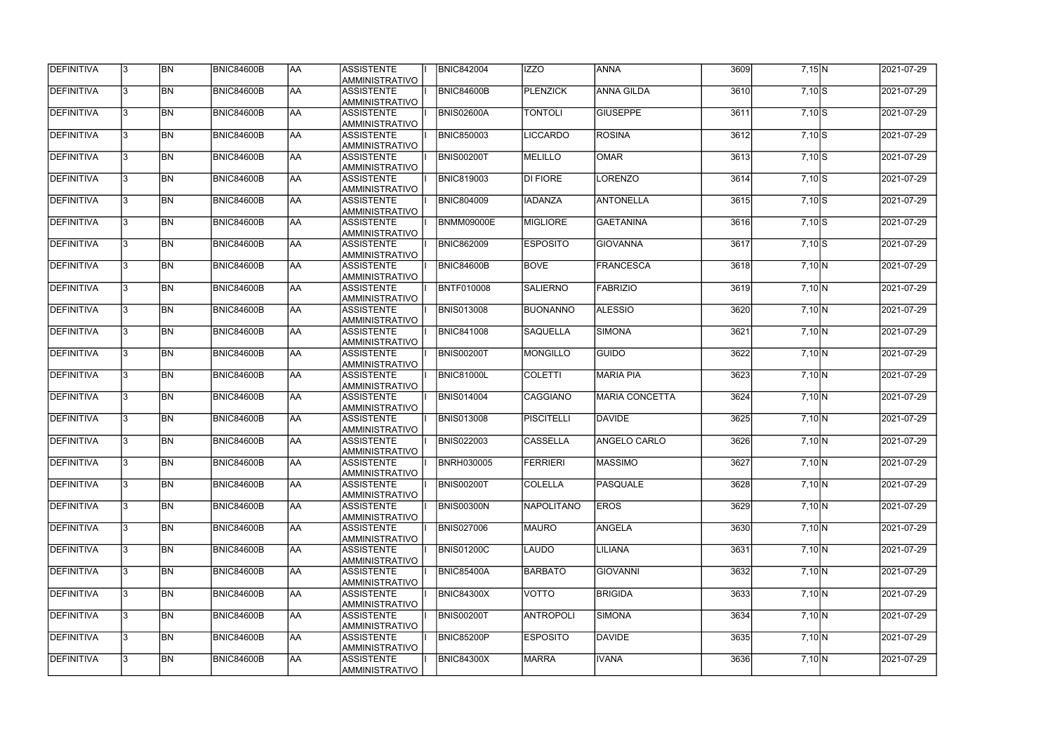| DEFINITIVA        | 13. | <b>BN</b>      | <b>BNIC84600B</b> | laa        | ASSISTENTE<br>AMMINISTRATIVO        | <b>BNIC842004</b> | <b>IZZO</b>       | <b>ANNA</b>           | 3609 | 7,15 N         | 2021-07-29 |
|-------------------|-----|----------------|-------------------|------------|-------------------------------------|-------------------|-------------------|-----------------------|------|----------------|------------|
| DEFINITIVA        | 13. | <b>BN</b>      | <b>BNIC84600B</b> | AA         | <b>ASSISTENTE</b><br>AMMINISTRATIVO | BNIC84600B        | PLENZICK          | <b>ANNA GILDA</b>     | 3610 | $7,10$ S       | 2021-07-29 |
| DEFINITIVA        | 13. | <b>BN</b>      | <b>BNIC84600B</b> | AA         | <b>ASSISTENTE</b><br>AMMINISTRATIVO | <b>BNIS02600A</b> | <b>TONTOLI</b>    | <b>GIUSEPPE</b>       | 3611 | $7,10$ S       | 2021-07-29 |
| DEFINITIVA        | l3. | <b>BN</b>      | <b>BNIC84600B</b> | <b>AA</b>  | <b>ASSISTENTE</b><br>AMMINISTRATIVO | <b>BNIC850003</b> | <b>LICCARDO</b>   | <b>ROSINA</b>         | 3612 | $7,10$ $S$     | 2021-07-29 |
| DEFINITIVA        | l3. | <b>BN</b>      | <b>BNIC84600B</b> | <b>AA</b>  | <b>ASSISTENTE</b><br>AMMINISTRATIVO | <b>BNIS00200T</b> | <b>MELILLO</b>    | <b>OMAR</b>           | 3613 | $7,10$ S       | 2021-07-29 |
| DEFINITIVA        | 3   | <b>BN</b>      | <b>BNIC84600B</b> | AA         | <b>ASSISTENTE</b><br>AMMINISTRATIVO | <b>BNIC819003</b> | <b>DI FIORE</b>   | <b>LORENZO</b>        | 3614 | $7,10$ S       | 2021-07-29 |
| DEFINITIVA        |     | <b>BN</b>      | <b>BNIC84600B</b> | AA         | <b>ASSISTENTE</b><br>AMMINISTRATIVO | <b>BNIC804009</b> | <b>IADANZA</b>    | ANTONELLA             | 3615 | $7,10$ S       | 2021-07-29 |
| DEFINITIVA        |     | <b>BN</b>      | <b>BNIC84600B</b> | AA         | <b>ASSISTENTE</b><br>AMMINISTRATIVO | <b>BNMM09000E</b> | MIGLIORE          | <b>GAETANINA</b>      | 3616 | $7,10$ S       | 2021-07-29 |
| DEFINITIVA        |     | <b>BN</b>      | <b>BNIC84600B</b> | laa        | <b>ASSISTENTE</b><br>AMMINISTRATIVO | <b>BNIC862009</b> | <b>ESPOSITO</b>   | <b>GIOVANNA</b>       | 3617 | $7,10$ S       | 2021-07-29 |
| DEFINITIVA        | l3. | <b>BN</b>      | <b>BNIC84600B</b> | laa        | <b>ASSISTENTE</b><br>AMMINISTRATIVO | <b>BNIC84600B</b> | <b>BOVE</b>       | <b>FRANCESCA</b>      | 3618 | $7,10 \ N$     | 2021-07-29 |
| DEFINITIVA        | l3. | <b>BN</b>      | <b>BNIC84600B</b> | AA         | <b>ASSISTENTE</b><br>AMMINISTRATIVO | <b>BNTF010008</b> | SALIERNO          | <b>FABRIZIO</b>       | 3619 | $7,10 \ N$     | 2021-07-29 |
| DEFINITIVA        | 3   | <b>BN</b>      | BNIC84600B        | <b>AA</b>  | <b>ASSISTENTE</b><br>AMMINISTRATIVO | <b>BNIS013008</b> | BUONANNO          | <b>ALESSIO</b>        | 3620 | $7,10 \ N$     | 2021-07-29 |
| DEFINITIVA        | l3. | <b>BN</b>      | <b>BNIC84600B</b> | AA         | <b>ASSISTENTE</b><br>AMMINISTRATIVO | <b>BNIC841008</b> | <b>SAQUELLA</b>   | <b>SIMONA</b>         | 3621 | 7,10 N         | 2021-07-29 |
| DEFINITIVA        | 3   | <b>BN</b>      | <b>BNIC84600B</b> | AA         | <b>ASSISTENTE</b><br>AMMINISTRATIVO | <b>BNIS00200T</b> | <b>MONGILLO</b>   | <b>GUIDO</b>          | 3622 | $7,10 \ N$     | 2021-07-29 |
| DEFINITIVA        |     | <b>BN</b>      | <b>BNIC84600B</b> | AA         | <b>ASSISTENTE</b><br>AMMINISTRATIVO | <b>BNIC81000L</b> | <b>COLETTI</b>    | <b>MARIA PIA</b>      | 3623 | $7,10 \ N$     | 2021-07-29 |
| DEFINITIVA        |     | <b>BN</b>      | <b>BNIC84600B</b> | AA         | <b>ASSISTENTE</b><br>AMMINISTRATIVO | <b>BNIS014004</b> | <b>CAGGIANO</b>   | <b>MARIA CONCETTA</b> | 3624 | $7,10 \vert N$ | 2021-07-29 |
| DEFINITIVA        | 3   | <b>BN</b>      | <b>BNIC84600B</b> | AA         | <b>ASSISTENTE</b><br>AMMINISTRATIVO | <b>BNIS013008</b> | <b>PISCITELLI</b> | <b>DAVIDE</b>         | 3625 | $7,10 \ N$     | 2021-07-29 |
| DEFINITIVA        |     | <b>BN</b>      | <b>BNIC84600B</b> | AA         | <b>ASSISTENTE</b><br>AMMINISTRATIVO | <b>BNIS022003</b> | <b>CASSELLA</b>   | ANGELO CARLO          | 3626 | 7,10 N         | 2021-07-29 |
| DEFINITIVA        | 13  | BN             | <b>BNIC84600B</b> | <b>JAA</b> | <b>ASSISTENTE</b><br>AMMINISTRATIVO | <b>BNRH030005</b> | <b>FERRIERI</b>   | <b>MASSIMO</b>        | 3627 | $7,10 \vert N$ | 2021-07-29 |
| <b>DEFINITIVA</b> | 13. | <b>BN</b>      | <b>BNIC84600B</b> | AA         | <b>ASSISTENTE</b><br>AMMINISTRATIVO | <b>BNIS00200T</b> | <b>COLELLA</b>    | PASQUALE              | 3628 | $7,10$ N       | 2021-07-29 |
| DEFINITIVA        | l3. | <b>BN</b>      | <b>BNIC84600B</b> | <b>AA</b>  | <b>ASSISTENTE</b><br>AMMINISTRATIVO | <b>BNIS00300N</b> | <b>NAPOLITANO</b> | <b>EROS</b>           | 3629 | $7,10$ N       | 2021-07-29 |
| DEFINITIVA        | l3. | <b>BN</b>      | <b>BNIC84600B</b> | <b>AA</b>  | <b>ASSISTENTE</b><br>AMMINISTRATIVO | <b>BNIS027006</b> | <b>MAURO</b>      | <b>ANGELA</b>         | 3630 | $7,10 \ N$     | 2021-07-29 |
| DEFINITIVA        | l3. | <b>BN</b>      | <b>BNIC84600B</b> | <b>AA</b>  | <b>ASSISTENTE</b><br>AMMINISTRATIVO | <b>BNIS01200C</b> | <b>LAUDO</b>      | <b>LILIANA</b>        | 3631 | $7,10 \ N$     | 2021-07-29 |
| DEFINITIVA        |     | <b>BN</b>      | <b>BNIC84600B</b> | AA         | <b>ASSISTENTE</b><br>AMMINISTRATIVO | <b>BNIC85400A</b> | <b>BARBATO</b>    | <b>GIOVANNI</b>       | 3632 | $7,10 \ N$     | 2021-07-29 |
| DEFINITIVA        |     | <b>BN</b>      | <b>BNIC84600B</b> | <b>AA</b>  | <b>ASSISTENTE</b><br>AMMINISTRATIVO | <b>BNIC84300X</b> | VOTTO             | <b>BRIGIDA</b>        | 3633 | $7,10 \ N$     | 2021-07-29 |
| DEFINITIVA        | 13. | BN <sub></sub> | <b>BNIC84600B</b> | AA         | <b>ASSISTENTE</b><br>AMMINISTRATIVO | <b>BNIS00200T</b> | ANTROPOLI         | <b>SIMONA</b>         | 3634 | $7,10 \ N$     | 2021-07-29 |
| DEFINITIVA        | 13. | <b>BN</b>      | <b>BNIC84600B</b> | AA         | <b>ASSISTENTE</b><br>AMMINISTRATIVO | <b>BNIC85200P</b> | <b>ESPOSITO</b>   | <b>DAVIDE</b>         | 3635 | $7,10 \ N$     | 2021-07-29 |
| DEFINITIVA        |     | <b>BN</b>      | <b>BNIC84600B</b> | AA         | <b>ASSISTENTE</b><br>AMMINISTRATIVO | <b>BNIC84300X</b> | MARRA             | <b>IVANA</b>          | 3636 | $7,10 \ N$     | 2021-07-29 |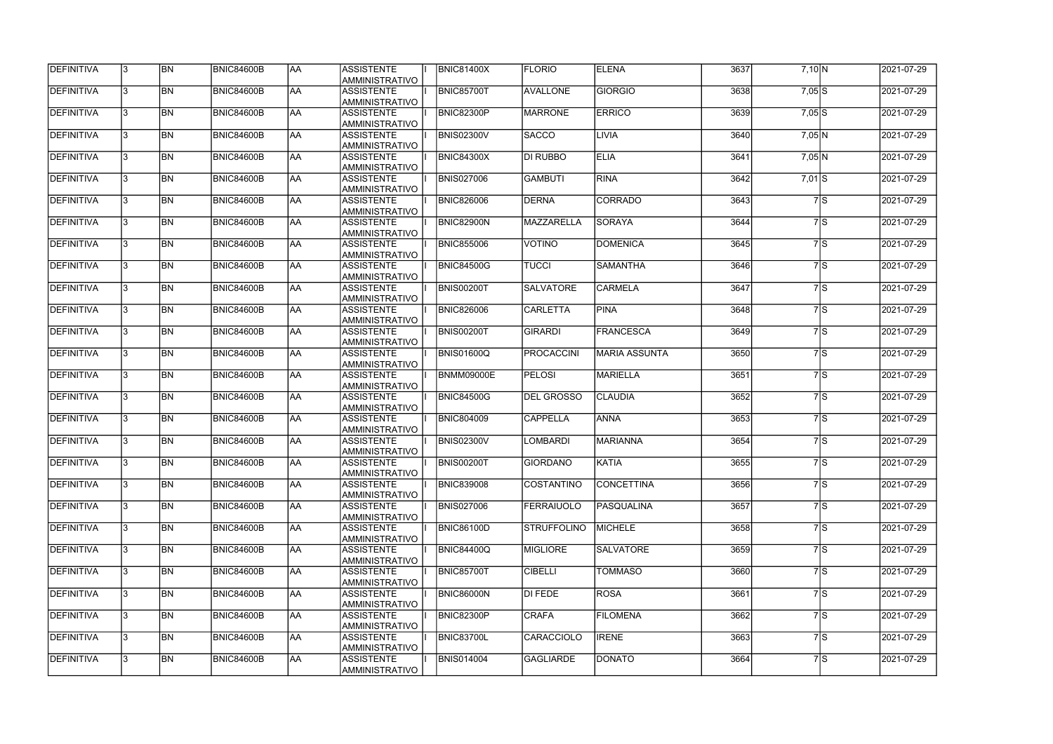| DEFINITIVA         | 13.          | <b>BN</b> | <b>BNIC84600B</b> | AA        | <b>ASSISTENTE</b><br>AMMINISTRATIVO        | <b>BNIC81400X</b> | <b>FLORIO</b>     | <b>ELENA</b>         | 3637 | $7,10 \ N$ |                  | 2021-07-29 |
|--------------------|--------------|-----------|-------------------|-----------|--------------------------------------------|-------------------|-------------------|----------------------|------|------------|------------------|------------|
| <b>DEFINITIVA</b>  | l3.          | <b>BN</b> | BNIC84600B        | AA        | <b>ASSISTENTE</b><br>AMMINISTRATIVO        | <b>BNIC85700T</b> | AVALLONE          | <b>GIORGIO</b>       | 3638 | $7,05$ S   |                  | 2021-07-29 |
| DEFINITIVA         |              | <b>BN</b> | <b>BNIC84600B</b> | <b>AA</b> | <b>ASSISTENTE</b><br>AMMINISTRATIVO        | <b>BNIC82300P</b> | <b>MARRONE</b>    | <b>ERRICO</b>        | 3639 | $7,05$ S   |                  | 2021-07-29 |
| <b>DEFINITIVA</b>  | $\mathbf{3}$ | <b>BN</b> | BNIC84600B        | <b>AA</b> | <b>ASSISTENTE</b><br>AMMINISTRATIVO        | <b>BNIS02300V</b> | <b>SACCO</b>      | <b>LIVIA</b>         | 3640 | $7,05$ N   |                  | 2021-07-29 |
| <b>DEFINITIVA</b>  |              | <b>BN</b> | BNIC84600B        | AA        | <b>ASSISTENTE</b><br>AMMINISTRATIVO        | <b>BNIC84300X</b> | <b>DI RUBBO</b>   | <b>ELIA</b>          | 3641 | 7,05 N     |                  | 2021-07-29 |
| DEFINITIVA         |              | <b>BN</b> | BNIC84600B        | laa       | <b>ASSISTENTE</b><br><b>AMMINISTRATIVO</b> | <b>BNIS027006</b> | GAMBUTI           | <b>RINA</b>          | 3642 | $7,01$ S   |                  | 2021-07-29 |
| DEFINITIVA         |              | <b>BN</b> | <b>BNIC84600B</b> | <b>AA</b> | <b>ASSISTENTE</b><br><b>AMMINISTRATIVO</b> | <b>BNIC826006</b> | <b>DERNA</b>      | <b>CORRADO</b>       | 3643 |            | 7s               | 2021-07-29 |
| DEFINITIVA         |              | <b>BN</b> | BNIC84600B        | <b>AA</b> | <b>ASSISTENTE</b><br>AMMINISTRATIVO        | <b>BNIC82900N</b> | <b>MAZZARELLA</b> | SORAYA               | 3644 |            | $7$ S            | 2021-07-29 |
| DEFINITIVA         |              | <b>BN</b> | <b>BNIC84600B</b> | <b>AA</b> | <b>ASSISTENTE</b><br>AMMINISTRATIVO        | <b>BNIC855006</b> | <b>VOTINO</b>     | <b>DOMENICA</b>      | 3645 |            | 7S               | 2021-07-29 |
| DEFINITIVA         |              | <b>BN</b> | BNIC84600B        | <b>AA</b> | <b>ASSISTENTE</b><br>AMMINISTRATIVO        | <b>BNIC84500G</b> | <b>TUCCI</b>      | <b>SAMANTHA</b>      | 3646 |            | $\overline{7}$ s | 2021-07-29 |
| DEFINITIVA         |              | <b>BN</b> | <b>BNIC84600B</b> | <b>AA</b> | <b>ASSISTENTE</b><br>AMMINISTRATIVO        | <b>BNIS00200T</b> | <b>SALVATORE</b>  | <b>CARMELA</b>       | 3647 |            | $7$ S            | 2021-07-29 |
| <b>IDEFINITIVA</b> |              | <b>BN</b> | BNIC84600B        | <b>AA</b> | <b>ASSISTENTE</b><br>AMMINISTRATIVO        | <b>BNIC826006</b> | <b>CARLETTA</b>   | <b>PINA</b>          | 3648 |            | $\overline{7}$ s | 2021-07-29 |
| DEFINITIVA         |              | <b>BN</b> | <b>BNIC84600B</b> | <b>AA</b> | <b>ASSISTENTE</b><br>AMMINISTRATIVO        | <b>BNIS00200T</b> | GIRARDI           | <b>FRANCESCA</b>     | 3649 |            | 7ls              | 2021-07-29 |
| DEFINITIVA         |              | <b>BN</b> | <b>BNIC84600B</b> | <b>AA</b> | <b>ASSISTENTE</b><br><b>AMMINISTRATIVO</b> | <b>BNIS01600Q</b> | <b>PROCACCINI</b> | <b>MARIA ASSUNTA</b> | 3650 |            | 7ls              | 2021-07-29 |
| DEFINITIVA         |              | <b>BN</b> | <b>BNIC84600B</b> | <b>AA</b> | <b>ASSISTENTE</b><br><b>AMMINISTRATIVO</b> | <b>BNMM09000E</b> | PELOSI            | <b>MARIELLA</b>      | 3651 |            | 7ls              | 2021-07-29 |
| DEFINITIVA         |              | <b>BN</b> | BNIC84600B        | laa       | <b>ASSISTENTE</b><br>AMMINISTRATIVO        | <b>BNIC84500G</b> | <b>DEL GROSSO</b> | <b>CLAUDIA</b>       | 3652 |            | 7s               | 2021-07-29 |
| DEFINITIVA         | $\mathbf{R}$ | <b>BN</b> | BNIC84600B        | laa       | <b>ASSISTENTE</b><br>AMMINISTRATIVO        | <b>BNIC804009</b> | <b>CAPPELLA</b>   | <b>ANNA</b>          | 3653 |            | 7lS              | 2021-07-29 |
| DEFINITIVA         |              | <b>BN</b> | <b>BNIC84600B</b> | <b>AA</b> | <b>ASSISTENTE</b><br>AMMINISTRATIVO        | <b>BNIS02300V</b> | LOMBARDI          | <b>MARIANNA</b>      | 3654 |            | 7S               | 2021-07-29 |
| <b>DEFINITIVA</b>  | 13.          | <b>BN</b> | <b>BNIC84600B</b> | AA        | <b>ASSISTENTE</b><br>AMMINISTRATIVO        | <b>BNIS00200T</b> | GIORDANO          | KATIA                | 3655 |            | 7 S              | 2021-07-29 |
| <b>DEFINITIVA</b>  |              | <b>BN</b> | BNIC84600B        | AA        | <b>ASSISTENTE</b><br>AMMINISTRATIVO        | <b>BNIC839008</b> | COSTANTINO        | <b>CONCETTINA</b>    | 3656 |            | 7s               | 2021-07-29 |
| <b>DEFINITIVA</b>  | l3.          | <b>BN</b> | BNIC84600B        | AA        | <b>ASSISTENTE</b><br>AMMINISTRATIVO        | <b>BNIS027006</b> | FERRAIUOLO        | PASQUALINA           | 3657 |            | 7s               | 2021-07-29 |
| DEFINITIVA         |              | <b>BN</b> | BNIC84600B        | <b>AA</b> | <b>ASSISTENTE</b><br>AMMINISTRATIVO        | <b>BNIC86100D</b> | STRUFFOLINO       | <b>MICHELE</b>       | 3658 |            | $\overline{7}$ S | 2021-07-29 |
| DEFINITIVA         |              | <b>BN</b> | BNIC84600B        | <b>AA</b> | <b>ASSISTENTE</b><br>AMMINISTRATIVO        | <b>BNIC84400Q</b> | MIGLIORE          | <b>SALVATORE</b>     | 3659 |            | $\overline{7}$ s | 2021-07-29 |
| DEFINITIVA         |              | <b>BN</b> | BNIC84600B        | AA        | <b>ASSISTENTE</b><br>AMMINISTRATIVO        | <b>BNIC85700T</b> | <b>CIBELLI</b>    | <b>TOMMASO</b>       | 3660 |            | 7S               | 2021-07-29 |
| DEFINITIVA         |              | <b>BN</b> | BNIC84600B        | <b>AA</b> | ASSISTENTE<br>AMMINISTRATIVO               | <b>BNIC86000N</b> | DI FEDE           | <b>ROSA</b>          | 3661 |            | 7s               | 2021-07-29 |
| DEFINITIVA         |              | <b>BN</b> | BNIC84600B        | <b>AA</b> | ASSISTENTE<br>AMMINISTRATIVO               | <b>BNIC82300P</b> | <b>CRAFA</b>      | <b>FILOMENA</b>      | 3662 |            | 7S               | 2021-07-29 |
| <b>DEFINITIVA</b>  |              | <b>BN</b> | BNIC84600B        | <b>AA</b> | ASSISTENTE<br>AMMINISTRATIVO               | <b>BNIC83700L</b> | CARACCIOLO        | <b>IRENE</b>         | 3663 |            | 7ls              | 2021-07-29 |
| <b>DEFINITIVA</b>  |              | <b>BN</b> | BNIC84600B        | <b>AA</b> | <b>ASSISTENTE</b><br>AMMINISTRATIVO        | <b>BNIS014004</b> | GAGLIARDE         | <b>DONATO</b>        | 3664 |            | 7ls              | 2021-07-29 |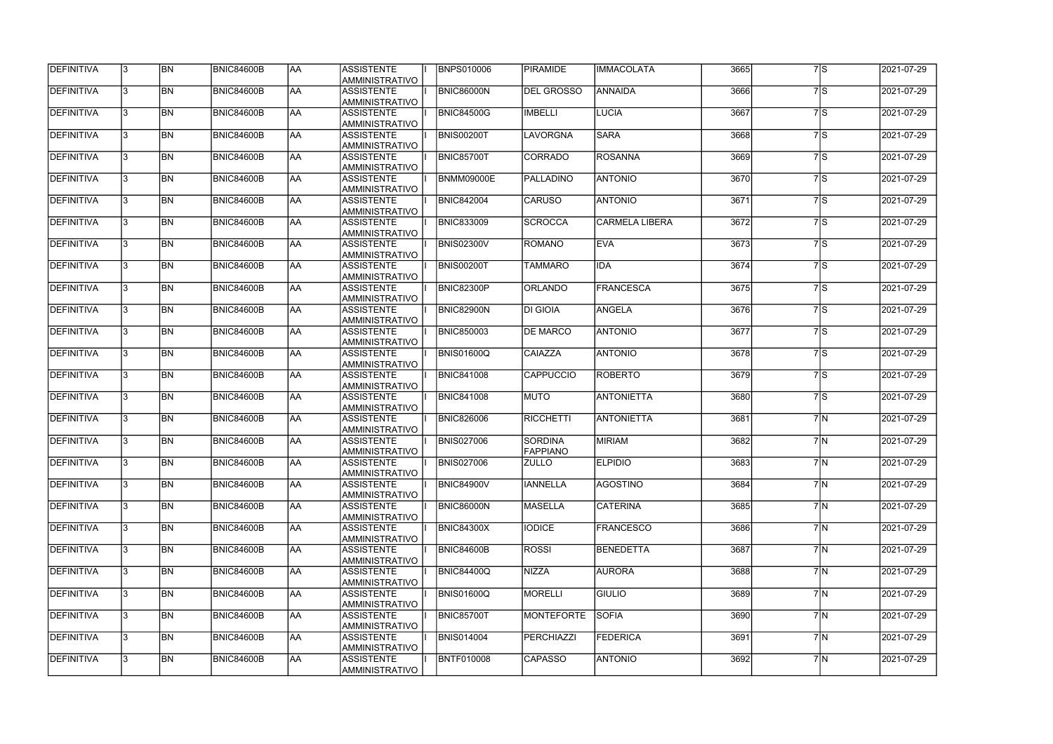| <b>DEFINITIVA</b> |     | <b>BN</b> | <b>BNIC84600B</b> | laa | <b>ASSISTENTE</b><br><b>AMMINISTRATIVO</b> | <b>BNPS010006</b> | <b>PIRAMIDE</b>                   | <b>IMMACOLATA</b>     | 3665 | $\overline{7}$ s | 2021-07-29 |
|-------------------|-----|-----------|-------------------|-----|--------------------------------------------|-------------------|-----------------------------------|-----------------------|------|------------------|------------|
| <b>DEFINITIVA</b> |     | <b>BN</b> | BNIC84600B        | AA  | <b>ASSISTENTE</b><br><b>AMMINISTRATIVO</b> | BNIC86000N        | <b>DEL GROSSO</b>                 | <b>ANNAIDA</b>        | 3666 | $\overline{7}$ s | 2021-07-29 |
| DEFINITIVA        |     | <b>BN</b> | <b>BNIC84600B</b> | AA  | <b>ASSISTENTE</b><br>AMMINISTRATIVO        | <b>BNIC84500G</b> | <b>IMBELLI</b>                    | <b>LUCIA</b>          | 3667 | 7lS              | 2021-07-29 |
| <b>DEFINITIVA</b> |     | <b>BN</b> | BNIC84600B        | AA  | ASSISTENTE<br><b>AMMINISTRATIVO</b>        | <b>BNIS00200T</b> | <b>LAVORGNA</b>                   | <b>SARA</b>           | 3668 | $\overline{7}$ s | 2021-07-29 |
| <b>DEFINITIVA</b> |     | <b>BN</b> | BNIC84600B        | AA  | <b>ASSISTENTE</b><br><b>AMMINISTRATIVO</b> | <b>BNIC85700T</b> | CORRADO                           | <b>ROSANNA</b>        | 3669 | 7lS              | 2021-07-29 |
| DEFINITIVA        |     | <b>BN</b> | <b>BNIC84600B</b> | AA  | <b>ASSISTENTE</b><br><b>AMMINISTRATIVO</b> | <b>BNMM09000E</b> | PALLADINO                         | <b>ANTONIO</b>        | 3670 | 7s               | 2021-07-29 |
| <b>DEFINITIVA</b> |     | <b>BN</b> | <b>BNIC84600B</b> | AA  | <b>ASSISTENTE</b><br><b>AMMINISTRATIVO</b> | <b>BNIC842004</b> | <b>CARUSO</b>                     | <b>ANTONIO</b>        | 3671 | 7s               | 2021-07-29 |
| <b>DEFINITIVA</b> |     | <b>BN</b> | BNIC84600B        | AA  | <b>ASSISTENTE</b><br><b>AMMINISTRATIVO</b> | <b>BNIC833009</b> | <b>SCROCCA</b>                    | <b>CARMELA LIBERA</b> | 3672 | 7lS              | 2021-07-29 |
| DEFINITIVA        |     | BN        | BNIC84600B        | AA  | <b>ASSISTENTE</b><br><b>AMMINISTRATIVO</b> | <b>BNIS02300V</b> | <b>ROMANO</b>                     | <b>EVA</b>            | 3673 | 7lS              | 2021-07-29 |
| <b>DEFINITIVA</b> |     | <b>BN</b> | BNIC84600B        | AA  | <b>ASSISTENTE</b><br><b>AMMINISTRATIVO</b> | <b>BNIS00200T</b> | <b>TAMMARO</b>                    | <b>IDA</b>            | 3674 | $7$ S            | 2021-07-29 |
| DEFINITIVA        |     | <b>BN</b> | BNIC84600B        | AA  | <b>ASSISTENTE</b><br>AMMINISTRATIVO        | <b>BNIC82300P</b> | <b>ORLANDO</b>                    | <b>FRANCESCA</b>      | 3675 | 7lS              | 2021-07-29 |
| <b>DEFINITIVA</b> |     | <b>BN</b> | BNIC84600B        | AA  | ASSISTENTE<br><b>AMMINISTRATIVO</b>        | BNIC82900N        | DI GIOIA                          | <b>ANGELA</b>         | 3676 | 7ls              | 2021-07-29 |
| DEFINITIVA        |     | <b>BN</b> | <b>BNIC84600B</b> | AA  | <b>ASSISTENTE</b><br><b>AMMINISTRATIVO</b> | <b>BNIC850003</b> | <b>DE MARCO</b>                   | <b>ANTONIO</b>        | 3677 | 7lS              | 2021-07-29 |
| DEFINITIVA        |     | <b>BN</b> | <b>BNIC84600B</b> | AA  | <b>ASSISTENTE</b><br><b>AMMINISTRATIVO</b> | <b>BNIS01600Q</b> | <b>CAIAZZA</b>                    | <b>ANTONIO</b>        | 3678 | 7ls              | 2021-07-29 |
| <b>DEFINITIVA</b> |     | <b>BN</b> | <b>BNIC84600B</b> | AA  | <b>ASSISTENTE</b><br><b>AMMINISTRATIVO</b> | <b>BNIC841008</b> | <b>CAPPUCCIO</b>                  | <b>ROBERTO</b>        | 3679 | 7lS              | 2021-07-29 |
| <b>DEFINITIVA</b> |     | <b>BN</b> | BNIC84600B        | AA  | <b>ASSISTENTE</b><br><b>AMMINISTRATIVO</b> | <b>BNIC841008</b> | <b>IMUTO</b>                      | <b>ANTONIETTA</b>     | 3680 | 7lS              | 2021-07-29 |
| DEFINITIVA        |     | <b>BN</b> | BNIC84600B        | AA  | <b>ASSISTENTE</b><br><b>AMMINISTRATIVO</b> | <b>BNIC826006</b> | <b>RICCHETTI</b>                  | <b>ANTONIETTA</b>     | 3681 | 7M               | 2021-07-29 |
| DEFINITIVA        |     | <b>BN</b> | <b>BNIC84600B</b> | AA  | <b>ASSISTENTE</b><br><b>AMMINISTRATIVO</b> | <b>BNIS027006</b> | <b>SORDINA</b><br><b>FAPPIANO</b> | MIRIAM                | 3682 | 7M               | 2021-07-29 |
| <b>DEFINITIVA</b> | 13. | <b>BN</b> | <b>BNIC84600B</b> | AA  | <b>ASSISTENTE</b><br>AMMINISTRATIVO        | <b>BNIS027006</b> | <b>ZULLO</b>                      | <b>ELPIDIO</b>        | 3683 | 7N               | 2021-07-29 |
| <b>DEFINITIVA</b> |     | <b>BN</b> | <b>BNIC84600B</b> | AA  | ASSISTENTE<br>AMMINISTRATIVO               | <b>BNIC84900V</b> | <b>IANNELLA</b>                   | <b>AGOSTINO</b>       | 3684 | 7N               | 2021-07-29 |
| <b>DEFINITIVA</b> |     | <b>BN</b> | <b>BNIC84600B</b> | AA  | ASSISTENTE<br><b>AMMINISTRATIVO</b>        | <b>BNIC86000N</b> | <b>MASELLA</b>                    | <b>CATERINA</b>       | 3685 | 7N               | 2021-07-29 |
| <b>DEFINITIVA</b> |     | <b>BN</b> | <b>BNIC84600B</b> | AA  | ASSISTENTE<br><b>AMMINISTRATIVO</b>        | <b>BNIC84300X</b> | <b>IODICE</b>                     | <b>FRANCESCO</b>      | 3686 | 7N               | 2021-07-29 |
| <b>DEFINITIVA</b> |     | <b>BN</b> | BNIC84600B        | AA  | <b>ASSISTENTE</b><br><b>AMMINISTRATIVO</b> | <b>BNIC84600B</b> | <b>ROSSI</b>                      | <b>BENEDETTA</b>      | 3687 | 7M               | 2021-07-29 |
| <b>DEFINITIVA</b> |     | <b>BN</b> | BNIC84600B        | AA  | <b>ASSISTENTE</b><br><b>AMMINISTRATIVO</b> | <b>BNIC84400Q</b> | NIZZA                             | AURORA                | 3688 | 7M               | 2021-07-29 |
| DEFINITIVA        |     | <b>BN</b> | BNIC84600B        | AA  | <b>ASSISTENTE</b><br><b>AMMINISTRATIVO</b> | <b>BNIS01600Q</b> | MORELLI                           | <b>GIULIO</b>         | 3689 | 7 <sub>N</sub>   | 2021-07-29 |
| <b>DEFINITIVA</b> |     | BN        | <b>BNIC84600B</b> | AA  | ASSISTENTE<br>AMMINISTRATIVO               | <b>BNIC85700T</b> | MONTEFORTE                        | <b>SOFIA</b>          | 3690 | 7M               | 2021-07-29 |
| <b>DEFINITIVA</b> |     | BN        | <b>BNIC84600B</b> | AA  | ASSISTENTE<br>AMMINISTRATIVO               | <b>BNIS014004</b> | <b>PERCHIAZZI</b>                 | FEDERICA              | 3691 | 7M               | 2021-07-29 |
| <b>DEFINITIVA</b> |     | <b>BN</b> | <b>BNIC84600B</b> | AA  | ASSISTENTE<br>AMMINISTRATIVO               | <b>BNTF010008</b> | <b>CAPASSO</b>                    | <b>ANTONIO</b>        | 3692 | 7 N              | 2021-07-29 |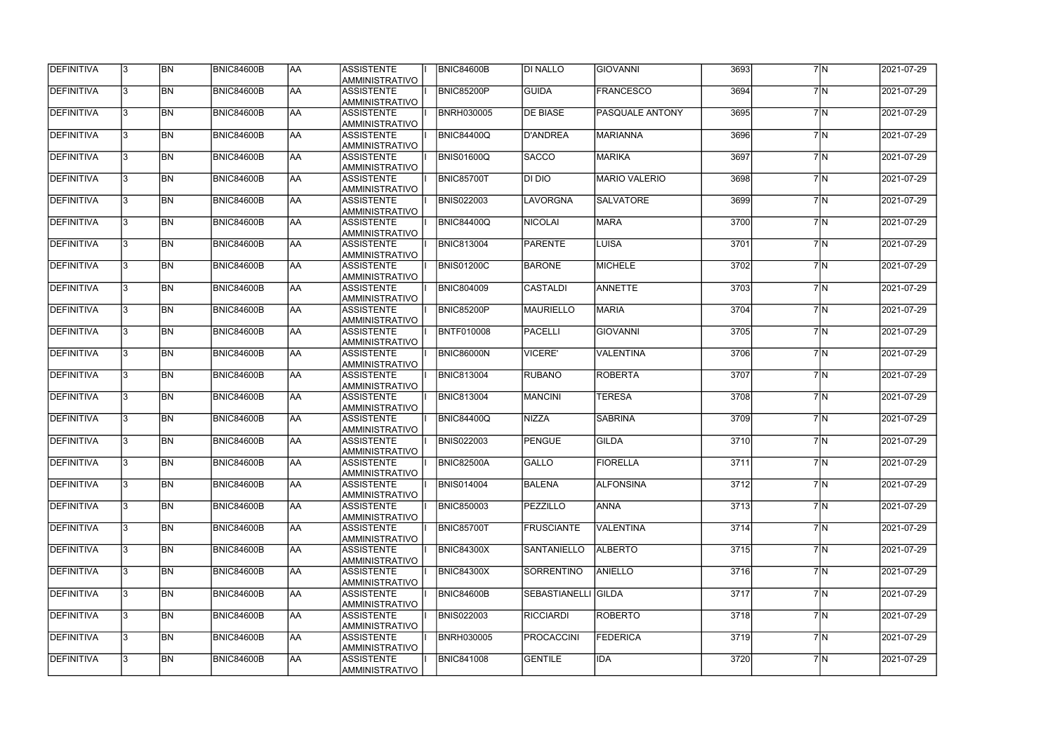| DEFINITIVA        | 13. | <b>BN</b>      | <b>BNIC84600B</b> | laa        | ASSISTENTE<br>AMMINISTRATIVO        | <b>BNIC84600B</b> | <b>DI NALLO</b>     | <b>GIOVANNI</b>      | 3693 | 7N  | 2021-07-29 |
|-------------------|-----|----------------|-------------------|------------|-------------------------------------|-------------------|---------------------|----------------------|------|-----|------------|
| DEFINITIVA        | 13. | <b>BN</b>      | <b>BNIC84600B</b> | AA         | <b>ASSISTENTE</b><br>AMMINISTRATIVO | <b>BNIC85200P</b> | <b>GUIDA</b>        | <b>FRANCESCO</b>     | 3694 | 7M  | 2021-07-29 |
| DEFINITIVA        | l3. | <b>BN</b>      | <b>BNIC84600B</b> | AA         | <b>ASSISTENTE</b><br>AMMINISTRATIVO | <b>BNRH030005</b> | <b>DE BIASE</b>     | PASQUALE ANTONY      | 3695 | 7M  | 2021-07-29 |
| DEFINITIVA        | l3. | <b>BN</b>      | <b>BNIC84600B</b> | <b>AA</b>  | <b>ASSISTENTE</b><br>AMMINISTRATIVO | <b>BNIC84400Q</b> | D'ANDREA            | <b>MARIANNA</b>      | 3696 | 7N  | 2021-07-29 |
| DEFINITIVA        | l3. | <b>BN</b>      | <b>BNIC84600B</b> | <b>AA</b>  | <b>ASSISTENTE</b><br>AMMINISTRATIVO | <b>BNIS01600Q</b> | <b>SACCO</b>        | <b>MARIKA</b>        | 3697 | 7N  | 2021-07-29 |
| DEFINITIVA        | 3   | <b>BN</b>      | <b>BNIC84600B</b> | AA         | <b>ASSISTENTE</b><br>AMMINISTRATIVO | <b>BNIC85700T</b> | DI DIO              | <b>MARIO VALERIO</b> | 3698 | 7N  | 2021-07-29 |
| DEFINITIVA        |     | <b>BN</b>      | <b>BNIC84600B</b> | AA         | <b>ASSISTENTE</b><br>AMMINISTRATIVO | <b>BNIS022003</b> | <b>LAVORGNA</b>     | <b>SALVATORE</b>     | 3699 | 7M  | 2021-07-29 |
| DEFINITIVA        |     | <b>BN</b>      | <b>BNIC84600B</b> | AA         | <b>ASSISTENTE</b><br>AMMINISTRATIVO | <b>BNIC84400Q</b> | <b>NICOLAI</b>      | <b>MARA</b>          | 3700 | 7M  | 2021-07-29 |
| DEFINITIVA        |     | <b>BN</b>      | <b>BNIC84600B</b> | laa        | <b>ASSISTENTE</b><br>AMMINISTRATIVO | <b>BNIC813004</b> | <b>PARENTE</b>      | LUISA                | 3701 | 7M  | 2021-07-29 |
| DEFINITIVA        |     | <b>BN</b>      | <b>BNIC84600B</b> | laa        | <b>ASSISTENTE</b><br>AMMINISTRATIVO | <b>BNIS01200C</b> | <b>BARONE</b>       | <b>MICHELE</b>       | 3702 | 7M  | 2021-07-29 |
| DEFINITIVA        | l3. | <b>BN</b>      | <b>BNIC84600B</b> | AA         | <b>ASSISTENTE</b><br>AMMINISTRATIVO | <b>BNIC804009</b> | ICASTALDI           | ANNETTE              | 3703 | 7M  | 2021-07-29 |
| DEFINITIVA        |     | <b>BN</b>      | <b>BNIC84600B</b> | AA         | <b>ASSISTENTE</b><br>AMMINISTRATIVO | <b>BNIC85200P</b> | <b>MAURIELLO</b>    | <b>MARIA</b>         | 3704 | 7 N | 2021-07-29 |
| DEFINITIVA        | 3   | <b>BN</b>      | <b>BNIC84600B</b> | AA         | <b>ASSISTENTE</b><br>AMMINISTRATIVO | <b>BNTF010008</b> | <b>PACELLI</b>      | <b>GIOVANNI</b>      | 3705 | 7N  | 2021-07-29 |
| DEFINITIVA        | 3   | <b>BN</b>      | <b>BNIC84600B</b> | AA         | <b>ASSISTENTE</b><br>AMMINISTRATIVO | <b>BNIC86000N</b> | <b>VICERE'</b>      | VALENTINA            | 3706 | 7N  | 2021-07-29 |
| DEFINITIVA        |     | <b>BN</b>      | <b>BNIC84600B</b> | AA         | <b>ASSISTENTE</b><br>AMMINISTRATIVO | <b>BNIC813004</b> | <b>RUBANO</b>       | <b>ROBERTA</b>       | 3707 | 7M  | 2021-07-29 |
| DEFINITIVA        |     | <b>BN</b>      | <b>BNIC84600B</b> | AA         | <b>ASSISTENTE</b><br>AMMINISTRATIVO | <b>BNIC813004</b> | <b>MANCINI</b>      | <b>TERESA</b>        | 3708 | 7M  | 2021-07-29 |
| DEFINITIVA        |     | <b>BN</b>      | <b>BNIC84600B</b> | AA         | <b>ASSISTENTE</b><br>AMMINISTRATIVO | <b>BNIC84400Q</b> | <b>NIZZA</b>        | <b>SABRINA</b>       | 3709 | 7M  | 2021-07-29 |
| DEFINITIVA        |     | <b>BN</b>      | <b>BNIC84600B</b> | AA         | <b>ASSISTENTE</b><br>AMMINISTRATIVO | <b>BNIS022003</b> | PENGUE              | <b>GILDA</b>         | 3710 | 7M  | 2021-07-29 |
| DEFINITIVA        | 13  | BN             | <b>BNIC84600B</b> | <b>JAA</b> | <b>ASSISTENTE</b><br>AMMINISTRATIVO | <b>BNIC82500A</b> | <b>GALLO</b>        | <b>FIORELLA</b>      | 3711 | 7 N | 2021-07-29 |
| <b>DEFINITIVA</b> | 13. | <b>BN</b>      | <b>BNIC84600B</b> | AA         | <b>ASSISTENTE</b><br>AMMINISTRATIVO | <b>BNIS014004</b> | BALENA              | <b>ALFONSINA</b>     | 3712 | 7N  | 2021-07-29 |
| DEFINITIVA        | l3. | <b>BN</b>      | <b>BNIC84600B</b> | <b>AA</b>  | <b>ASSISTENTE</b><br>AMMINISTRATIVO | <b>BNIC850003</b> | PEZZILLO            | <b>ANNA</b>          | 3713 | 7N  | 2021-07-29 |
| DEFINITIVA        | 3   | <b>BN</b>      | <b>BNIC84600B</b> | <b>AA</b>  | <b>ASSISTENTE</b><br>AMMINISTRATIVO | <b>BNIC85700T</b> | <b>FRUSCIANTE</b>   | <b>VALENTINA</b>     | 3714 | 7N  | 2021-07-29 |
| <b>DEFINITIVA</b> | l3. | <b>BN</b>      | <b>BNIC84600B</b> | <b>AA</b>  | <b>ASSISTENTE</b><br>AMMINISTRATIVO | <b>BNIC84300X</b> | SANTANIELLO         | <b>ALBERTO</b>       | 3715 | 7N  | 2021-07-29 |
| DEFINITIVA        |     | <b>BN</b>      | <b>BNIC84600B</b> | AA         | <b>ASSISTENTE</b><br>AMMINISTRATIVO | <b>BNIC84300X</b> | SORRENTINO          | <b>ANIELLO</b>       | 3716 | 7M  | 2021-07-29 |
| DEFINITIVA        |     | <b>BN</b>      | <b>BNIC84600B</b> | <b>AA</b>  | <b>ASSISTENTE</b><br>AMMINISTRATIVO | <b>BNIC84600B</b> | SEBASTIANELLI GILDA |                      | 3717 | 7M  | 2021-07-29 |
| DEFINITIVA        | I3. | BN <sub></sub> | <b>BNIC84600B</b> | AA         | <b>ASSISTENTE</b><br>AMMINISTRATIVO | <b>BNIS022003</b> | <b>RICCIARDI</b>    | <b>ROBERTO</b>       | 3718 | 7M  | 2021-07-29 |
| DEFINITIVA        | 13. | <b>BN</b>      | <b>BNIC84600B</b> | AA         | <b>ASSISTENTE</b><br>AMMINISTRATIVO | <b>BNRH030005</b> | <b>PROCACCINI</b>   | FEDERICA             | 3719 | 7M  | 2021-07-29 |
| DEFINITIVA        |     | <b>BN</b>      | <b>BNIC84600B</b> | AA         | <b>ASSISTENTE</b><br>AMMINISTRATIVO | <b>BNIC841008</b> | <b>GENTILE</b>      | <b>IDA</b>           | 3720 | 7M  | 2021-07-29 |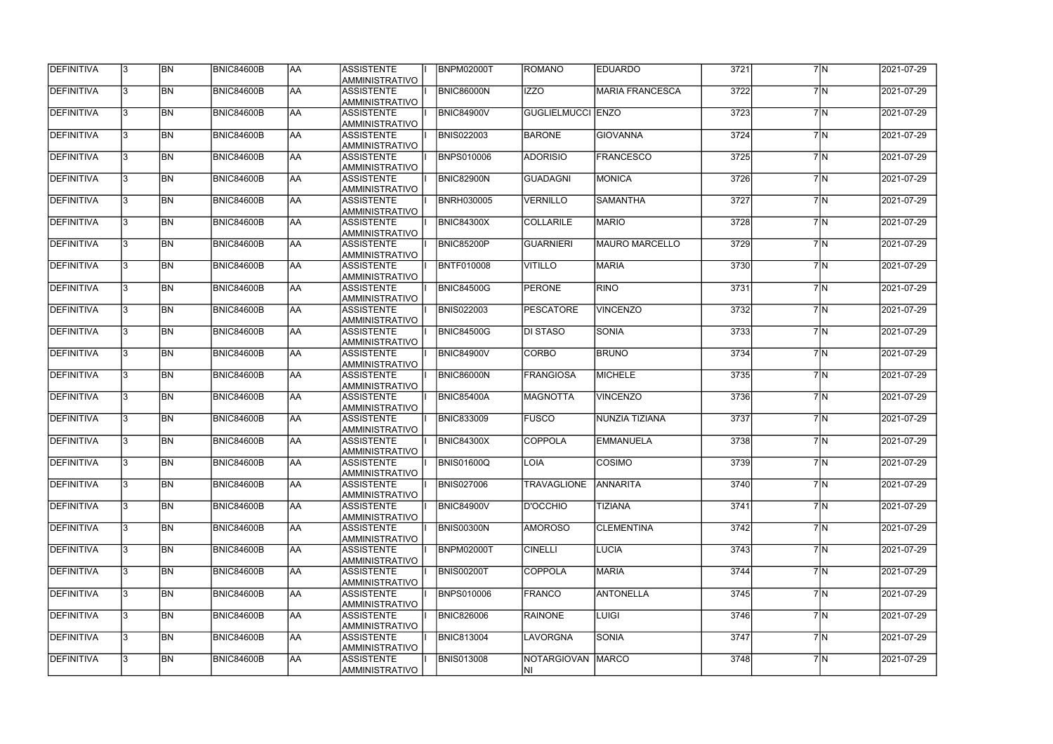| DEFINITIVA        | <b>BN</b> | BNIC84600B        | AA  | ASSISTENTE<br><b>AMMINISTRATIVO</b>        | <b>BNPM02000T</b> | ROMANO                   | <b>EDUARDO</b>        | 3721 | 7N  | 2021-07-29 |
|-------------------|-----------|-------------------|-----|--------------------------------------------|-------------------|--------------------------|-----------------------|------|-----|------------|
| DEFINITIVA        | <b>BN</b> | <b>BNIC84600B</b> | AA  | <b>ASSISTENTE</b><br>AMMINISTRATIVO        | BNIC86000N        | <b>IZZO</b>              | MARIA FRANCESCA       | 3722 | 7M  | 2021-07-29 |
| <b>DEFINITIVA</b> | <b>BN</b> | <b>BNIC84600B</b> | AA  | <b>ASSISTENTE</b><br><b>AMMINISTRATIVO</b> | <b>BNIC84900V</b> | <b>GUGLIELMUCCI ENZO</b> |                       | 3723 | 7M  | 2021-07-29 |
| DEFINITIVA        | <b>BN</b> | <b>BNIC84600B</b> | AA  | <b>ASSISTENTE</b><br>AMMINISTRATIVO        | <b>BNIS022003</b> | <b>BARONE</b>            | GIOVANNA              | 3724 | 7N  | 2021-07-29 |
| <b>DEFINITIVA</b> | <b>BN</b> | BNIC84600B        | AA  | ASSISTENTE<br><b>AMMINISTRATIVO</b>        | <b>BNPS010006</b> | <b>ADORISIO</b>          | FRANCESCO             | 3725 | 7N  | 2021-07-29 |
| DEFINITIVA        | <b>BN</b> | BNIC84600B        | AA  | <b>ASSISTENTE</b><br><b>AMMINISTRATIVO</b> | <b>BNIC82900N</b> | <b>GUADAGNI</b>          | <b>MONICA</b>         | 3726 | 7N  | 2021-07-29 |
| <b>DEFINITIVA</b> | <b>BN</b> | BNIC84600B        | AA  | <b>ASSISTENTE</b><br><b>AMMINISTRATIVO</b> | <b>BNRH030005</b> | VERNILLO                 | <b>SAMANTHA</b>       | 3727 | 7M  | 2021-07-29 |
| <b>DEFINITIVA</b> | <b>BN</b> | BNIC84600B        | AA  | <b>ASSISTENTE</b><br><b>AMMINISTRATIVO</b> | <b>BNIC84300X</b> | <b>COLLARILE</b>         | <b>MARIO</b>          | 3728 | 7M  | 2021-07-29 |
| <b>DEFINITIVA</b> | <b>BN</b> | BNIC84600B        | AA  | <b>ASSISTENTE</b><br><b>AMMINISTRATIVO</b> | BNIC85200P        | <b>GUARNIERI</b>         | <b>MAURO MARCELLO</b> | 3729 | 7M  | 2021-07-29 |
| <b>DEFINITIVA</b> | <b>BN</b> | BNIC84600B        | laa | <b>ASSISTENTE</b><br><b>AMMINISTRATIVO</b> | <b>BNTF010008</b> | <b>VITILLO</b>           | <b>MARIA</b>          | 3730 | 7M  | 2021-07-29 |
| <b>DEFINITIVA</b> | <b>BN</b> | BNIC84600B        | AA  | <b>ASSISTENTE</b><br>AMMINISTRATIVO        | <b>BNIC84500G</b> | <b>PERONE</b>            | RINO                  | 3731 | 7M  | 2021-07-29 |
| DEFINITIVA        | <b>BN</b> | BNIC84600B        | AA  | <b>ASSISTENTE</b><br>AMMINISTRATIVO        | <b>BNIS022003</b> | <b>PESCATORE</b>         | <b>VINCENZO</b>       | 3732 | 7 N | 2021-07-29 |
| <b>DEFINITIVA</b> | <b>BN</b> | BNIC84600B        | AA  | ASSISTENTE<br><b>AMMINISTRATIVO</b>        | <b>BNIC84500G</b> | DI STASO                 | <b>SONIA</b>          | 3733 | 7M  | 2021-07-29 |
| DEFINITIVA        | <b>BN</b> | BNIC84600B        | AA  | <b>ASSISTENTE</b><br>AMMINISTRATIVO        | <b>BNIC84900V</b> | <b>CORBO</b>             | <b>BRUNO</b>          | 3734 | 7M  | 2021-07-29 |
| <b>DEFINITIVA</b> | <b>BN</b> | BNIC84600B        | AA  | <b>ASSISTENTE</b><br><b>AMMINISTRATIVO</b> | BNIC86000N        | <b>FRANGIOSA</b>         | <b>MICHELE</b>        | 3735 | 7M  | 2021-07-29 |
| <b>DEFINITIVA</b> | <b>BN</b> | BNIC84600B        | AA  | <b>ASSISTENTE</b><br><b>AMMINISTRATIVO</b> | <b>BNIC85400A</b> | <b>MAGNOTTA</b>          | <b>VINCENZO</b>       | 3736 | 7M  | 2021-07-29 |
| <b>DEFINITIVA</b> | <b>BN</b> | BNIC84600B        | AA  | <b>ASSISTENTE</b><br><b>AMMINISTRATIVO</b> | <b>BNIC833009</b> | <b>FUSCO</b>             | NUNZIA TIZIANA        | 3737 | 7M  | 2021-07-29 |
| DEFINITIVA        | BN        | BNIC84600B        | AA  | <b>ASSISTENTE</b><br><b>AMMINISTRATIVO</b> | <b>BNIC84300X</b> | <b>COPPOLA</b>           | <b>EMMANUELA</b>      | 3738 | 7M  | 2021-07-29 |
| DEFINITIVA        | BN        | <b>BNIC84600B</b> | lAA | ASSISTENTE <br><b>AMMINISTRATIVO</b>       | <b>BNIS01600Q</b> | LOIA                     | COSIMO                | 3739 | 7 N | 2021-07-29 |
| DEFINITIVA        | BN        | <b>BNIC84600B</b> | AA  | ASSISTENTE<br>AMMINISTRATIVO               | <b>BNIS027006</b> | <b>TRAVAGLIONE</b>       | ANNARITA              | 3740 | 7M  | 2021-07-29 |
| <b>DEFINITIVA</b> | BN        | <b>BNIC84600B</b> | AA  | IASSISTENTE<br>AMMINISTRATIVO              | <b>BNIC84900V</b> | D'OCCHIO                 | <b>TIZIANA</b>        | 3741 | 7N  | 2021-07-29 |
| DEFINITIVA        | <b>BN</b> | <b>BNIC84600B</b> | AA  | <b>ASSISTENTE</b><br><b>AMMINISTRATIVO</b> | <b>BNIS00300N</b> | <b>AMOROSO</b>           | <b>CLEMENTINA</b>     | 3742 | 7N  | 2021-07-29 |
| <b>DEFINITIVA</b> | BN        | <b>BNIC84600B</b> | AA  | <b>ASSISTENTE</b><br><b>AMMINISTRATIVO</b> | <b>BNPM02000T</b> | <b>CINELLI</b>           | <b>LUCIA</b>          | 3743 | 7N  | 2021-07-29 |
| <b>DEFINITIVA</b> | <b>BN</b> | <b>BNIC84600B</b> | AA  | <b>ASSISTENTE</b><br><b>AMMINISTRATIVO</b> | <b>BNIS00200T</b> | <b>COPPOLA</b>           | <b>MARIA</b>          | 3744 | 7M  | 2021-07-29 |
| <b>DEFINITIVA</b> | BN        | BNIC84600B        | AA  | <b>ASSISTENTE</b><br><b>AMMINISTRATIVO</b> | <b>BNPS010006</b> | <b>FRANCO</b>            | <b>ANTONELLA</b>      | 3745 | 7M  | 2021-07-29 |
| DEFINITIVA        | BN        | <b>BNIC84600B</b> | AA  | <b>ASSISTENTE</b><br><b>AMMINISTRATIVO</b> | <b>BNIC826006</b> | RAINONE                  | <b>LUIGI</b>          | 3746 | 7M  | 2021-07-29 |
| DEFINITIVA        | <b>BN</b> | <b>BNIC84600B</b> | AA  | <b>ASSISTENTE</b><br>AMMINISTRATIVO        | <b>BNIC813004</b> | <b>LAVORGNA</b>          | <b>SONIA</b>          | 3747 | 7M  | 2021-07-29 |
| <b>DEFINITIVA</b> | BN        | BNIC84600B        | AA  | ASSISTENTE<br>AMMINISTRATIVO               | <b>BNIS013008</b> | NOTARGIOVAN MARCO<br>NI  |                       | 3748 | 7M  | 2021-07-29 |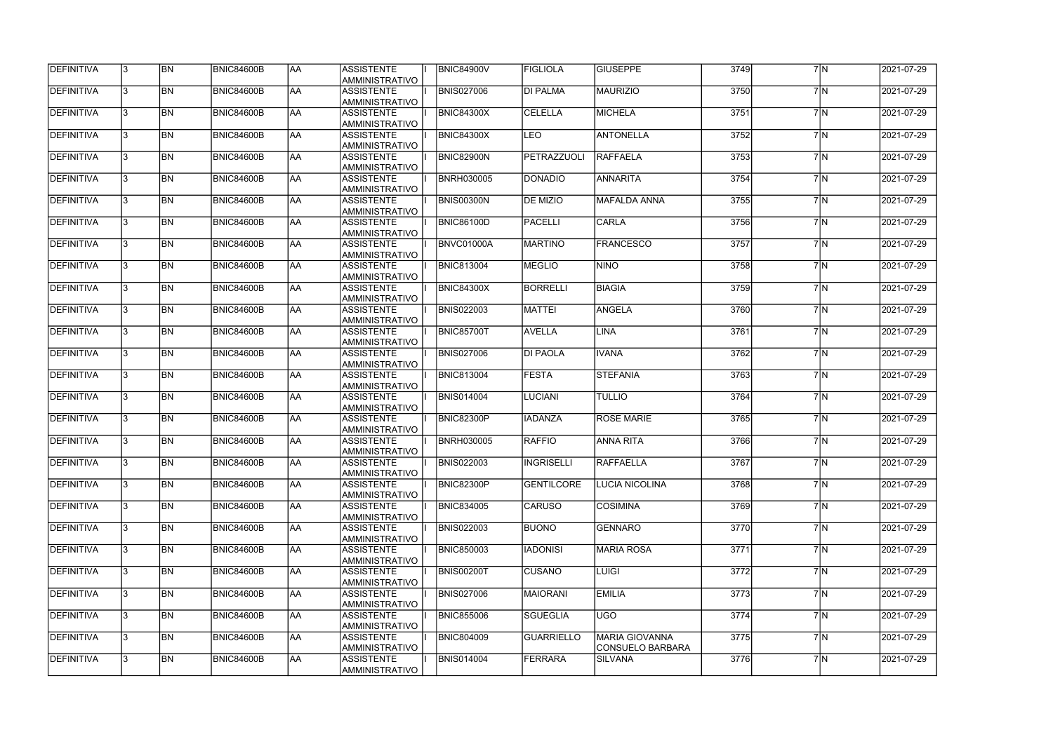| <b>DEFINITIVA</b> | 13.          | <b>BN</b> | <b>BNIC84600B</b> | <b>AA</b>  | <b>ASSISTENTE</b><br><b>AMMINISTRATIVO</b> | <b>BNIC84900V</b> | <b>FIGLIOLA</b>   | <b>GIUSEPPE</b>                                  | 3749 | 7N             | 2021-07-29 |
|-------------------|--------------|-----------|-------------------|------------|--------------------------------------------|-------------------|-------------------|--------------------------------------------------|------|----------------|------------|
| DEFINITIVA        | 3            | <b>BN</b> | <b>BNIC84600B</b> | AA         | ASSISTENTE<br>AMMINISTRATIVO               | <b>BNIS027006</b> | <b>DI PALMA</b>   | <b>MAURIZIO</b>                                  | 3750 | 7M             | 2021-07-29 |
| DEFINITIVA        | 3            | <b>BN</b> | <b>BNIC84600B</b> | AA         | ASSISTENTE<br>AMMINISTRATIVO               | <b>BNIC84300X</b> | <b>CELELLA</b>    | <b>MICHELA</b>                                   | 3751 | 7M             | 2021-07-29 |
| DEFINITIVA        |              | <b>BN</b> | <b>BNIC84600B</b> | <b>AA</b>  | <b>ASSISTENTE</b><br>AMMINISTRATIVO        | <b>BNIC84300X</b> | <b>LEO</b>        | <b>ANTONELLA</b>                                 | 3752 | 7N             | 2021-07-29 |
| DEFINITIVA        |              | <b>BN</b> | <b>BNIC84600B</b> | <b>AA</b>  | ASSISTENTE<br>AMMINISTRATIVO               | <b>BNIC82900N</b> | PETRAZZUOLI       | RAFFAELA                                         | 3753 | 7N             | 2021-07-29 |
| <b>DEFINITIVA</b> |              | <b>BN</b> | BNIC84600B        | AA         | <b>ASSISTENTE</b><br><b>AMMINISTRATIVO</b> | <b>BNRH030005</b> | DONADIO           | <b>ANNARITA</b>                                  | 3754 | 7N             | 2021-07-29 |
| <b>DEFINITIVA</b> |              | <b>BN</b> | BNIC84600B        | AA         | <b>ASSISTENTE</b><br><b>AMMINISTRATIVO</b> | <b>BNIS00300N</b> | <b>DE MIZIO</b>   | <b>MAFALDA ANNA</b>                              | 3755 | 7N             | 2021-07-29 |
| DEFINITIVA        |              | <b>BN</b> | <b>BNIC84600B</b> | AA         | <b>ASSISTENTE</b><br><b>AMMINISTRATIVO</b> | <b>BNIC86100D</b> | PACELLI           | <b>CARLA</b>                                     | 3756 | 7M             | 2021-07-29 |
| DEFINITIVA        |              | <b>BN</b> | BNIC84600B        | AA         | <b>ASSISTENTE</b><br>AMMINISTRATIVO        | BNVC01000A        | <b>MARTINO</b>    | <b>FRANCESCO</b>                                 | 3757 | 7N             | 2021-07-29 |
| <b>DEFINITIVA</b> |              | <b>BN</b> | <b>BNIC84600B</b> | AA         | <b>ASSISTENTE</b><br>AMMINISTRATIVO        | <b>BNIC813004</b> | MEGLIO            | <b>NINO</b>                                      | 3758 | 7M             | 2021-07-29 |
| <b>DEFINITIVA</b> |              | <b>BN</b> | <b>BNIC84600B</b> | AA         | <b>ASSISTENTE</b><br>AMMINISTRATIVO        | <b>BNIC84300X</b> | <b>BORRELLI</b>   | <b>BIAGIA</b>                                    | 3759 | 7 N            | 2021-07-29 |
| <b>DEFINITIVA</b> |              | <b>BN</b> | <b>BNIC84600B</b> | AA         | <b>ASSISTENTE</b><br>AMMINISTRATIVO        | <b>BNIS022003</b> | <b>MATTEI</b>     | <b>ANGELA</b>                                    | 3760 | 7M             | 2021-07-29 |
| DEFINITIVA        |              | <b>BN</b> | <b>BNIC84600B</b> | AA         | ASSISTENTE<br>AMMINISTRATIVO               | BNIC85700T        | AVELLA            | <b>LINA</b>                                      | 3761 | 7N             | 2021-07-29 |
| <b>DEFINITIVA</b> |              | <b>BN</b> | <b>BNIC84600B</b> | AA         | ASSISTENTE<br><b>AMMINISTRATIVO</b>        | <b>BNIS027006</b> | <b>DI PAOLA</b>   | <b>IVANA</b>                                     | 3762 | 7M             | 2021-07-29 |
| <b>DEFINITIVA</b> |              | <b>BN</b> | <b>BNIC84600B</b> | AA         | ASSISTENTE<br><b>AMMINISTRATIVO</b>        | <b>BNIC813004</b> | <b>FESTA</b>      | <b>STEFANIA</b>                                  | 3763 | 7M             | 2021-07-29 |
| <b>DEFINITIVA</b> |              | <b>BN</b> | <b>BNIC84600B</b> | AA         | <b>ASSISTENTE</b><br><b>AMMINISTRATIVO</b> | <b>BNIS014004</b> | <b>LUCIANI</b>    | <b>TULLIO</b>                                    | 3764 | 7M             | 2021-07-29 |
| DEFINITIVA        |              | <b>BN</b> | <b>BNIC84600B</b> | AA         | <b>ASSISTENTE</b><br>AMMINISTRATIVO        | BNIC82300P        | <b>IADANZA</b>    | <b>ROSE MARIE</b>                                | 3765 | 7M             | 2021-07-29 |
| DEFINITIVA        |              | <b>BN</b> | BNIC84600B        | AA         | <b>ASSISTENTE</b><br>AMMINISTRATIVO        | <b>BNRH030005</b> | <b>RAFFIO</b>     | <b>ANNA RITA</b>                                 | 3766 | 7M             | 2021-07-29 |
| DEFINITIVA        | 13           | BN        | <b>BNIC84600B</b> | <b>JAA</b> | <b>ASSISTENTE</b><br>AMMINISTRATIVO        | <b>BNIS022003</b> | <b>INGRISELLI</b> | <b>RAFFAELLA</b>                                 | 3767 | 7 N            | 2021-07-29 |
| <b>DEFINITIVA</b> |              | <b>BN</b> | <b>BNIC84600B</b> | AA         | <b>ASSISTENTE</b><br>AMMINISTRATIVO        | BNIC82300P        | <b>GENTILCORE</b> | <b>LUCIA NICOLINA</b>                            | 3768 | 7M             | 2021-07-29 |
| DEFINITIVA        | $\mathbf{3}$ | <b>BN</b> | <b>BNIC84600B</b> | AA         | ASSISTENTE<br>AMMINISTRATIVO               | <b>BNIC834005</b> | <b>CARUSO</b>     | <b>COSIMINA</b>                                  | 3769 | 7N             | 2021-07-29 |
| <b>DEFINITIVA</b> | 3.           | <b>BN</b> | <b>BNIC84600B</b> | AA         | <b>ASSISTENTE</b><br>AMMINISTRATIVO        | <b>BNIS022003</b> | <b>BUONO</b>      | <b>GENNARO</b>                                   | 3770 | 7N             | 2021-07-29 |
| DEFINITIVA        |              | <b>BN</b> | <b>BNIC84600B</b> | AA         | <b>ASSISTENTE</b><br><b>AMMINISTRATIVO</b> | <b>BNIC850003</b> | <b>IADONISI</b>   | <b>MARIA ROSA</b>                                | 3771 | 7N             | 2021-07-29 |
| <b>DEFINITIVA</b> |              | <b>BN</b> | <b>BNIC84600B</b> | AA         | <b>ASSISTENTE</b><br><b>AMMINISTRATIVO</b> | <b>BNIS00200T</b> | <b>CUSANO</b>     | <b>LUIGI</b>                                     | 3772 | 7M             | 2021-07-29 |
| DEFINITIVA        |              | <b>BN</b> | <b>BNIC84600B</b> | AA         | <b>ASSISTENTE</b><br>AMMINISTRATIVO        | <b>BNIS027006</b> | MAIORANI          | <b>EMILIA</b>                                    | 3773 | 7N             | 2021-07-29 |
| DEFINITIVA        |              | <b>BN</b> | BNIC84600B        | AA         | ASSISTENTE<br>AMMINISTRATIVO               | <b>BNIC855006</b> | <b>SGUEGLIA</b>   | <b>UGO</b>                                       | 3774 | 7M             | 2021-07-29 |
| DEFINITIVA        |              | <b>BN</b> | <b>BNIC84600B</b> | AA         | ASSISTENTE<br>AMMINISTRATIVO               | <b>BNIC804009</b> | <b>GUARRIELLO</b> | <b>MARIA GIOVANNA</b><br><b>CONSUELO BARBARA</b> | 3775 | 7 <sub>N</sub> | 2021-07-29 |
| DEFINITIVA        |              | BN        | <b>BNIC84600B</b> | AA         | ASSISTENTE<br>AMMINISTRATIVO               | <b>BNIS014004</b> | <b>FERRARA</b>    | <b>SILVANA</b>                                   | 3776 | 7M             | 2021-07-29 |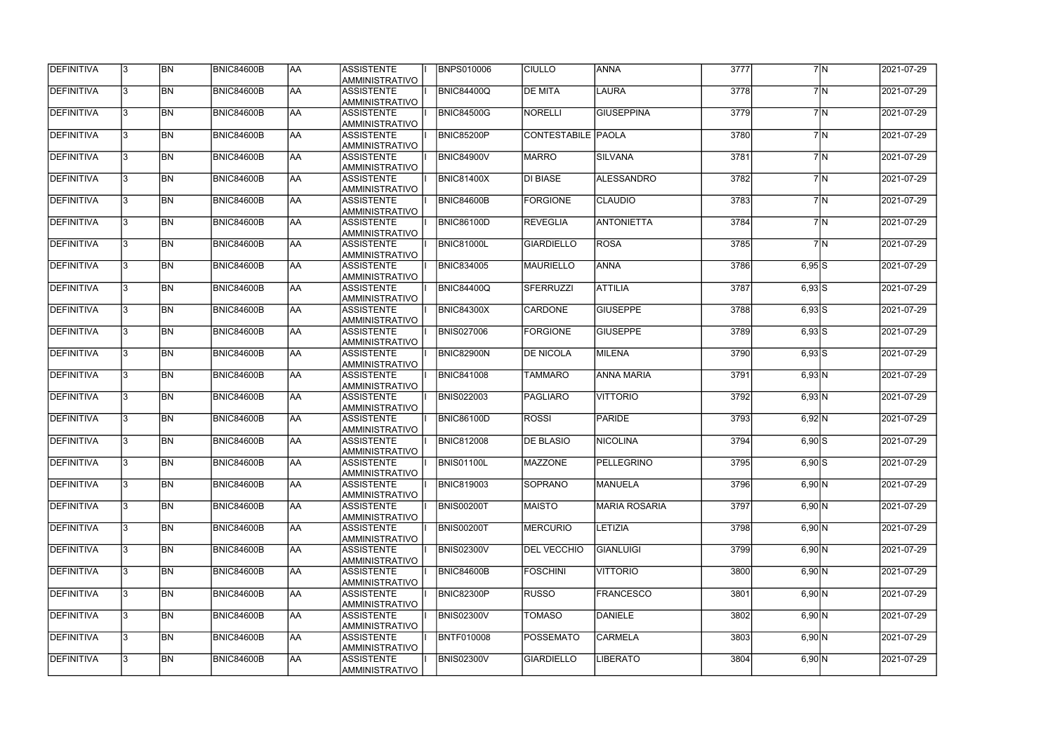| <b>DEFINITIVA</b> | 13. | <b>BN</b> | <b>BNIC84600B</b> | <b>AA</b> | ASSISTENTE<br>AMMINISTRATIVO         | <b>BNPS010006</b> | <b>CIULLO</b>      | <b>ANNA</b>          | 3777 |          | 7N | 2021-07-29 |
|-------------------|-----|-----------|-------------------|-----------|--------------------------------------|-------------------|--------------------|----------------------|------|----------|----|------------|
| DEFINITIVA        | l3. | <b>BN</b> | <b>BNIC84600B</b> | AA        | <b>ASSISTENTE</b><br>AMMINISTRATIVO  | <b>BNIC84400Q</b> | <b>DE MITA</b>     | <b>LAURA</b>         | 3778 |          | 7M | 2021-07-29 |
| DEFINITIVA        | 13. | <b>BN</b> | <b>BNIC84600B</b> | AA        | <b>ASSISTENTE</b><br>AMMINISTRATIVO  | <b>BNIC84500G</b> | <b>NORELLI</b>     | <b>GIUSEPPINA</b>    | 3779 |          | 7M | 2021-07-29 |
| DEFINITIVA        | l3. | <b>BN</b> | <b>BNIC84600B</b> | AA        | <b>ASSISTENTE</b><br>AMMINISTRATIVO  | <b>BNIC85200P</b> | CONTESTABILE PAOLA |                      | 3780 |          | 7N | 2021-07-29 |
| DEFINITIVA        | l3. | <b>BN</b> | <b>BNIC84600B</b> | <b>AA</b> | <b>ASSISTENTE</b><br>AMMINISTRATIVO  | <b>BNIC84900V</b> | MARRO              | <b>SILVANA</b>       | 3781 |          | 7N | 2021-07-29 |
| DEFINITIVA        | l3. | <b>BN</b> | <b>BNIC84600B</b> | <b>AA</b> | <b>ASSISTENTE</b><br>AMMINISTRATIVO  | <b>BNIC81400X</b> | <b>DI BIASE</b>    | ALESSANDRO           | 3782 |          | 7N | 2021-07-29 |
| <b>DEFINITIVA</b> | 3   | <b>BN</b> | BNIC84600B        | laa       | <b>ASSISTENTE</b><br>AMMINISTRATIVO  | <b>BNIC84600B</b> | FORGIONE           | <b>CLAUDIO</b>       | 3783 |          | 7M | 2021-07-29 |
| DEFINITIVA        |     | <b>BN</b> | <b>BNIC84600B</b> | AA        | <b>ASSISTENTE</b><br>AMMINISTRATIVO  | <b>BNIC86100D</b> | <b>REVEGLIA</b>    | <b>ANTONIETTA</b>    | 3784 |          | 7M | 2021-07-29 |
| DEFINITIVA        |     | <b>BN</b> | <b>BNIC84600B</b> | AA        | <b>ASSISTENTE</b><br>AMMINISTRATIVO  | <b>BNIC81000L</b> | <b>GIARDIELLO</b>  | ROSA                 | 3785 |          | 7M | 2021-07-29 |
| DEFINITIVA        |     | <b>BN</b> | <b>BNIC84600B</b> | laa       | <b>ASSISTENTE</b><br>AMMINISTRATIVO  | <b>BNIC834005</b> | <b>MAURIELLO</b>   | <b>ANNA</b>          | 3786 | $6,95$ S |    | 2021-07-29 |
| DEFINITIVA        | l3. | <b>BN</b> | <b>BNIC84600B</b> | laa       | <b>ASSISTENTE</b><br>Iamministrativo | <b>BNIC84400Q</b> | <b>SFERRUZZI</b>   | ATTILIA              | 3787 | $6,93$ S |    | 2021-07-29 |
| DEFINITIVA        | l3. | <b>BN</b> | <b>BNIC84600B</b> | AA        | <b>ASSISTENTE</b><br>AMMINISTRATIVO  | <b>BNIC84300X</b> | <b>CARDONE</b>     | <b>GIUSEPPE</b>      | 3788 | $6,93$ S |    | 2021-07-29 |
| DEFINITIVA        | 3   | <b>BN</b> | BNIC84600B        | AA        | <b>ASSISTENTE</b><br>AMMINISTRATIVO  | <b>BNIS027006</b> | <b>FORGIONE</b>    | <b>GIUSEPPE</b>      | 3789 | $6,93$ S |    | 2021-07-29 |
| DEFINITIVA        |     | <b>BN</b> | <b>BNIC84600B</b> | AA        | <b>ASSISTENTE</b><br>AMMINISTRATIVO  | <b>BNIC82900N</b> | <b>DE NICOLA</b>   | <b>MILENA</b>        | 3790 | $6,93$ S |    | 2021-07-29 |
| DEFINITIVA        | 3   | <b>BN</b> | <b>BNIC84600B</b> | AA        | <b>ASSISTENTE</b><br>AMMINISTRATIVO  | <b>BNIC841008</b> | <b>TAMMARO</b>     | <b>ANNA MARIA</b>    | 3791 | 6,93 N   |    | 2021-07-29 |
| DEFINITIVA        | l3. | <b>BN</b> | <b>BNIC84600B</b> | AA        | <b>ASSISTENTE</b><br>AMMINISTRATIVO  | <b>BNIS022003</b> | <b>PAGLIARO</b>    | <b>VITTORIO</b>      | 3792 | 6,93 N   |    | 2021-07-29 |
| DEFINITIVA        |     | <b>BN</b> | <b>BNIC84600B</b> | AA        | <b>ASSISTENTE</b><br>AMMINISTRATIVO  | <b>BNIC86100D</b> | ROSSI              | PARIDE               | 3793 | 6,92 N   |    | 2021-07-29 |
| DEFINITIVA        |     | <b>BN</b> | <b>BNIC84600B</b> | AA        | <b>ASSISTENTE</b><br>AMMINISTRATIVO  | <b>BNIC812008</b> | <b>DE BLASIO</b>   | NICOLINA             | 3794 | $6,90$ S |    | 2021-07-29 |
| <b>DEFINITIVA</b> | 13  | <b>BN</b> | <b>BNIC84600B</b> | AA        | ASSISTENTE <br>IAMMINISTRATIVO       | <b>BNIS01100L</b> | <b>MAZZONE</b>     | <b>PELLEGRINO</b>    | 3795 | $6,90$ S |    | 2021-07-29 |
| DEFINITIVA        | 13. | <b>BN</b> | <b>BNIC84600B</b> | AA        | ASSISTENTE<br>AMMINISTRATIVO         | <b>BNIC819003</b> | <b>SOPRANO</b>     | <b>MANUELA</b>       | 3796 | 6,90 N   |    | 2021-07-29 |
| DEFINITIVA        | l3. | <b>BN</b> | <b>BNIC84600B</b> | AA        | ASSISTENTE<br>AMMINISTRATIVO         | <b>BNIS00200T</b> | <b>MAISTO</b>      | <b>MARIA ROSARIA</b> | 3797 | 6,90 N   |    | 2021-07-29 |
| DEFINITIVA        | l3. | <b>BN</b> | <b>BNIC84600B</b> | AA        | <b>ASSISTENTE</b><br>AMMINISTRATIVO  | <b>BNIS00200T</b> | <b>MERCURIO</b>    | <b>LETIZIA</b>       | 3798 | 6,90 N   |    | 2021-07-29 |
| DEFINITIVA        | 3   | <b>BN</b> | <b>BNIC84600B</b> | AA        | <b>ASSISTENTE</b><br>AMMINISTRATIVO  | <b>BNIS02300V</b> | <b>DEL VECCHIO</b> | <b>GIANLUIGI</b>     | 3799 | 6,90 N   |    | 2021-07-29 |
| DEFINITIVA        | l3. | <b>BN</b> | <b>BNIC84600B</b> | AA        | ASSISTENTE<br>AMMINISTRATIVO         | <b>BNIC84600B</b> | <b>FOSCHINI</b>    | <b>VITTORIO</b>      | 3800 | 6,90 N   |    | 2021-07-29 |
| DEFINITIVA        |     | BN        | <b>BNIC84600B</b> | AA        | <b>ASSISTENTE</b><br>AMMINISTRATIVO  | <b>BNIC82300P</b> | RUSSO              | <b>FRANCESCO</b>     | 3801 | 6,90 N   |    | 2021-07-29 |
| DEFINITIVA        | I3. | <b>BN</b> | <b>BNIC84600B</b> | AA        | <b>ASSISTENTE</b><br>AMMINISTRATIVO  | <b>BNIS02300V</b> | <b>TOMASO</b>      | <b>DANIELE</b>       | 3802 | 6,90 N   |    | 2021-07-29 |
| DEFINITIVA        | 13. | <b>BN</b> | <b>BNIC84600B</b> | AA        | <b>ASSISTENTE</b><br>AMMINISTRATIVO  | <b>BNTF010008</b> | POSSEMATO          | <b>CARMELA</b>       | 3803 | 6,90 N   |    | 2021-07-29 |
| DEFINITIVA        |     | <b>BN</b> | <b>BNIC84600B</b> | AA        | ASSISTENTE<br>AMMINISTRATIVO         | <b>BNIS02300V</b> | GIARDIELLO         | LIBERATO             | 3804 | 6,90 N   |    | 2021-07-29 |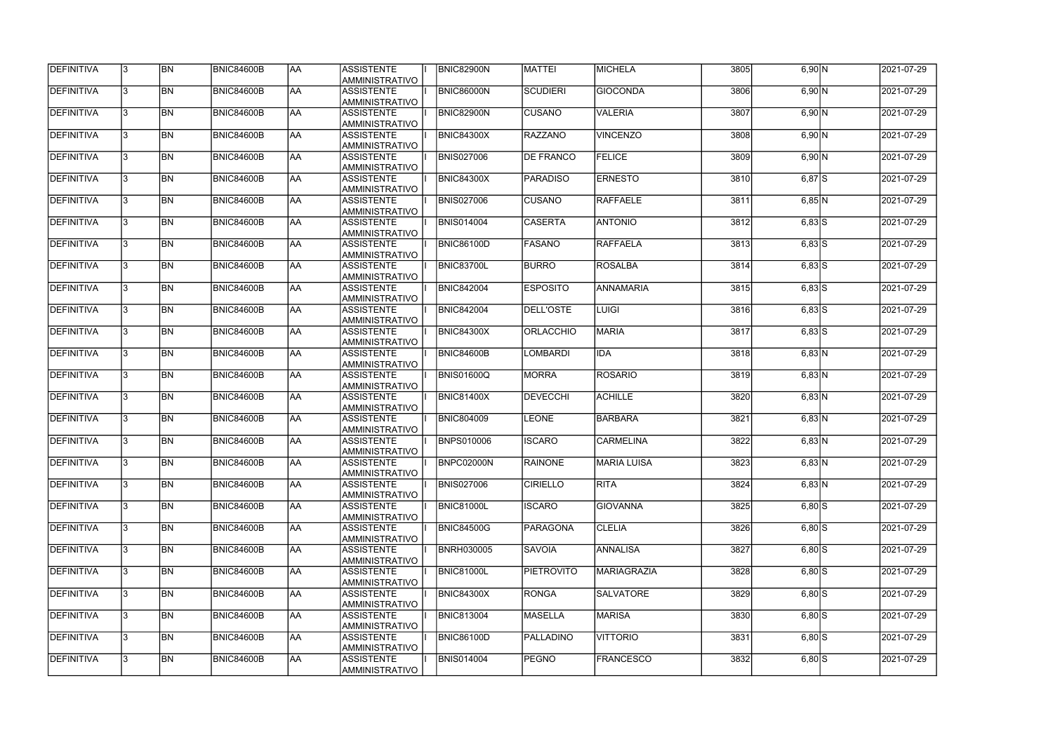| DEFINITIVA        | 13. | <b>BN</b> | <b>BNIC84600B</b> | AA        | <b>ASSISTENTE</b><br>AMMINISTRATIVO        | <b>BNIC82900N</b> | <b>MATTEI</b>    | <b>MICHELA</b>     | 3805 | 6,90 N   | 2021-07-29 |
|-------------------|-----|-----------|-------------------|-----------|--------------------------------------------|-------------------|------------------|--------------------|------|----------|------------|
| <b>DEFINITIVA</b> | 13. | <b>BN</b> | <b>BNIC84600B</b> | laa       | <b>ASSISTENTE</b><br>AMMINISTRATIVO        | <b>BNIC86000N</b> | <b>SCUDIERI</b>  | <b>GIOCONDA</b>    | 3806 | 6,90 N   | 2021-07-29 |
| DEFINITIVA        | l3. | <b>BN</b> | <b>BNIC84600B</b> | AA        | <b>ASSISTENTE</b><br>AMMINISTRATIVO        | <b>BNIC82900N</b> | <b>CUSANO</b>    | <b>VALERIA</b>     | 3807 | 6,90 N   | 2021-07-29 |
| <b>DEFINITIVA</b> | l3. | <b>BN</b> | BNIC84600B        | <b>AA</b> | <b>ASSISTENTE</b><br>AMMINISTRATIVO        | <b>BNIC84300X</b> | RAZZANO          | <b>VINCENZO</b>    | 3808 | $6,90$ N | 2021-07-29 |
| DEFINITIVA        | l3. | <b>BN</b> | <b>BNIC84600B</b> | laa       | <b>ASSISTENTE</b><br>AMMINISTRATIVO        | <b>BNIS027006</b> | <b>DE FRANCO</b> | <b>FELICE</b>      | 3809 | $6,90$ N | 2021-07-29 |
| DEFINITIVA        | l3  | <b>BN</b> | <b>BNIC84600B</b> | laa       | <b>ASSISTENTE</b><br>AMMINISTRATIVO        | BNIC84300X        | <b>PARADISO</b>  | <b>ERNESTO</b>     | 3810 | $6,87$ S | 2021-07-29 |
| DEFINITIVA        |     | <b>BN</b> | <b>BNIC84600B</b> | laa       | <b>ASSISTENTE</b><br><b>AMMINISTRATIVO</b> | <b>BNIS027006</b> | <b>CUSANO</b>    | RAFFAELE           | 3811 | $6,85$ N | 2021-07-29 |
| DEFINITIVA        |     | <b>BN</b> | BNIC84600B        | laa       | <b>ASSISTENTE</b><br>AMMINISTRATIVO        | <b>BNIS014004</b> | <b>CASERTA</b>   | <b>ANTONIO</b>     | 3812 | $6,83$ S | 2021-07-29 |
| DEFINITIVA        | l3. | <b>BN</b> | <b>BNIC84600B</b> | AA        | <b>ASSISTENTE</b><br>AMMINISTRATIVO        | <b>BNIC86100D</b> | <b>FASANO</b>    | <b>RAFFAELA</b>    | 3813 | $6,83$ S | 2021-07-29 |
| DEFINITIVA        | l3. | <b>BN</b> | <b>BNIC84600B</b> | laa       | <b>ASSISTENTE</b><br>AMMINISTRATIVO        | BNIC83700L        | <b>BURRO</b>     | <b>ROSALBA</b>     | 3814 | $6,83$ S | 2021-07-29 |
| DEFINITIVA        | l3. | <b>BN</b> | <b>BNIC84600B</b> | AA        | <b>ASSISTENTE</b><br>AMMINISTRATIVO        | <b>BNIC842004</b> | <b>ESPOSITO</b>  | <b>ANNAMARIA</b>   | 3815 | $6,83$ S | 2021-07-29 |
| <b>DEFINITIVA</b> | 3   | <b>BN</b> | <b>BNIC84600B</b> | <b>AA</b> | <b>ASSISTENTE</b><br>AMMINISTRATIVO        | <b>BNIC842004</b> | <b>DELL'OSTE</b> | <b>LUIGI</b>       | 3816 | $6,83$ S | 2021-07-29 |
| DEFINITIVA        | 3   | <b>BN</b> | <b>BNIC84600B</b> | laa       | <b>ASSISTENTE</b><br>AMMINISTRATIVO        | <b>BNIC84300X</b> | <b>ORLACCHIO</b> | <b>MARIA</b>       | 3817 | $6,83$ S | 2021-07-29 |
| DEFINITIVA        | 3   | <b>BN</b> | <b>BNIC84600B</b> | laa       | <b>ASSISTENTE</b><br>AMMINISTRATIVO        | <b>BNIC84600B</b> | <b>LOMBARDI</b>  | <b>IDA</b>         | 3818 | 6,83 N   | 2021-07-29 |
| DEFINITIVA        |     | <b>BN</b> | <b>BNIC84600B</b> | laa       | <b>ASSISTENTE</b><br><b>AMMINISTRATIVO</b> | <b>BNIS01600Q</b> | <b>MORRA</b>     | <b>ROSARIO</b>     | 3819 | 6,83 N   | 2021-07-29 |
| DEFINITIVA        | 3   | <b>BN</b> | <b>BNIC84600B</b> | laa       | <b>ASSISTENTE</b><br>AMMINISTRATIVO        | <b>BNIC81400X</b> | <b>DEVECCHI</b>  | <b>ACHILLE</b>     | 3820 | 6,83 N   | 2021-07-29 |
| DEFINITIVA        | l3. | <b>BN</b> | <b>BNIC84600B</b> | laa       | <b>ASSISTENTE</b><br>AMMINISTRATIVO        | <b>BNIC804009</b> | <b>LEONE</b>     | <b>BARBARA</b>     | 3821 | 6,83 N   | 2021-07-29 |
| DEFINITIVA        | l3. | <b>BN</b> | <b>BNIC84600B</b> | AA        | <b>ASSISTENTE</b><br>AMMINISTRATIVO        | <b>BNPS010006</b> | <b>ISCARO</b>    | <b>CARMELINA</b>   | 3822 | 6,83 N   | 2021-07-29 |
| DEFINITIVA        | 13  | <b>BN</b> | <b>BNIC84600B</b> | <b>AA</b> | <b>ASSISTENTE</b><br>AMMINISTRATIVO        | BNPC02000N        | <b>RAINONE</b>   | MARIA LUISA        | 3823 | 6,83 N   | 2021-07-29 |
| <b>DEFINITIVA</b> | l3. | <b>BN</b> | <b>BNIC84600B</b> | AA        | <b>ASSISTENTE</b><br>AMMINISTRATIVO        | <b>BNIS027006</b> | <b>CIRIELLO</b>  | RITA               | 3824 | 6,83 N   | 2021-07-29 |
| DEFINITIVA        | 13. | <b>BN</b> | <b>BNIC84600B</b> | AA        | <b>ASSISTENTE</b><br>AMMINISTRATIVO        | <b>BNIC81000L</b> | <b>ISCARO</b>    | <b>GIOVANNA</b>    | 3825 | $6,80$ S | 2021-07-29 |
| DEFINITIVA        | 3   | <b>BN</b> | <b>BNIC84600B</b> | laa       | <b>ASSISTENTE</b><br>AMMINISTRATIVO        | <b>BNIC84500G</b> | PARAGONA         | <b>CLELIA</b>      | 3826 | $6,80$ S | 2021-07-29 |
| DEFINITIVA        |     | <b>BN</b> | <b>BNIC84600B</b> | AA        | <b>ASSISTENTE</b><br>AMMINISTRATIVO        | <b>BNRH030005</b> | <b>SAVOIA</b>    | <b>ANNALISA</b>    | 3827 | $6,80$ S | 2021-07-29 |
| DEFINITIVA        |     | <b>BN</b> | <b>BNIC84600B</b> | AA        | <b>ASSISTENTE</b><br>AMMINISTRATIVO        | BNIC81000L        | PIETROVITO       | <b>MARIAGRAZIA</b> | 3828 | $6,80$ S | 2021-07-29 |
| DEFINITIVA        | I3. | <b>BN</b> | BNIC84600B        | laa       | <b>ASSISTENTE</b><br>AMMINISTRATIVO        | <b>BNIC84300X</b> | <b>RONGA</b>     | <b>SALVATORE</b>   | 3829 | $6,80$ S | 2021-07-29 |
| DEFINITIVA        | 13. | <b>BN</b> | <b>BNIC84600B</b> | AA        | <b>ASSISTENTE</b><br>AMMINISTRATIVO        | <b>BNIC813004</b> | <b>MASELLA</b>   | <b>MARISA</b>      | 3830 | $6,80$ S | 2021-07-29 |
| DEFINITIVA        | 13. | <b>BN</b> | <b>BNIC84600B</b> | AA        | <b>ASSISTENTE</b><br>AMMINISTRATIVO        | <b>BNIC86100D</b> | PALLADINO        | <b>VITTORIO</b>    | 3831 | $6,80$ S | 2021-07-29 |
| DEFINITIVA        |     | <b>BN</b> | <b>BNIC84600B</b> | AA        | <b>ASSISTENTE</b><br>AMMINISTRATIVO        | <b>BNIS014004</b> | PEGNO            | <b>FRANCESCO</b>   | 3832 | $6,80$ S | 2021-07-29 |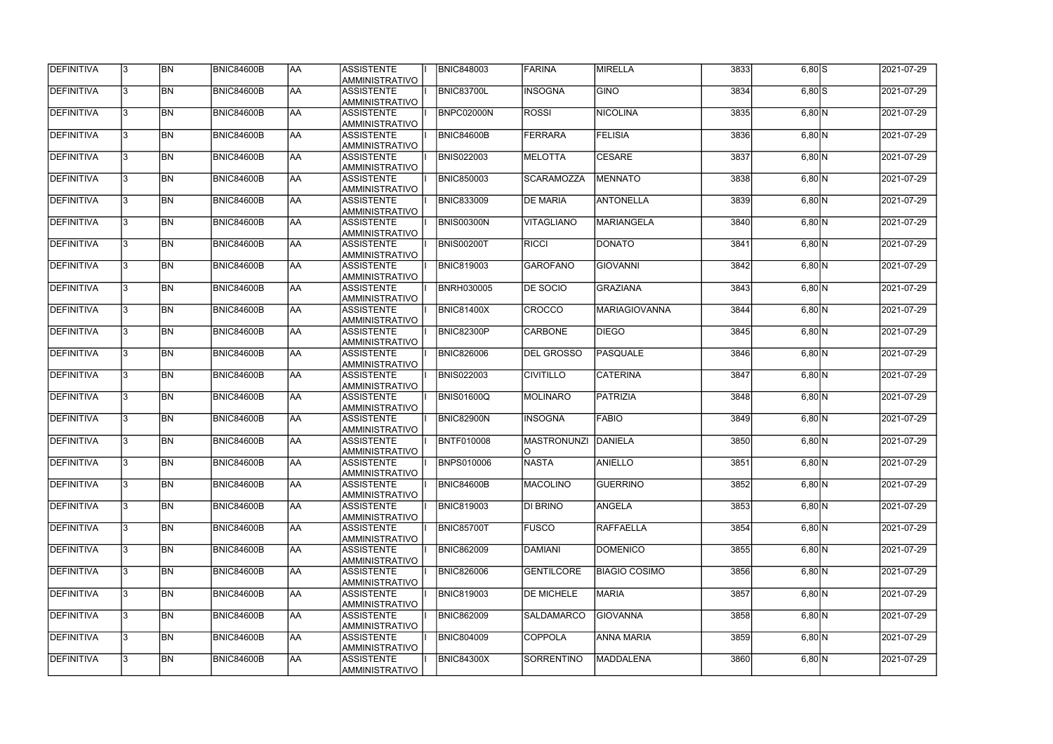| DEFINITIVA        |   | <b>BN</b> | <b>BNIC84600B</b> | AA        | ASSISTENTE<br>AMMINISTRATIVO         | <b>BNIC848003</b> | FARINA            | <b>MIRELLA</b>       | 3833 | $6,80$ S  | 2021-07-29 |
|-------------------|---|-----------|-------------------|-----------|--------------------------------------|-------------------|-------------------|----------------------|------|-----------|------------|
| <b>DEFINITIVA</b> | 3 | <b>BN</b> | <b>BNIC84600B</b> | AA        | <b>ASSISTENTE</b><br>AMMINISTRATIVO  | <b>BNIC83700L</b> | <b>INSOGNA</b>    | <b>GINO</b>          | 3834 | $6,80$ S  | 2021-07-29 |
| DEFINITIVA        |   | <b>BN</b> | <b>BNIC84600B</b> | AA        | <b>ASSISTENTE</b><br>AMMINISTRATIVO  | BNPC02000N        | <b>ROSSI</b>      | <b>NICOLINA</b>      | 3835 | $6,80$ N  | 2021-07-29 |
| DEFINITIVA        |   | <b>BN</b> | BNIC84600B        | AA        | <b>ASSISTENTE</b><br>AMMINISTRATIVO  | <b>BNIC84600B</b> | FERRARA           | <b>FELISIA</b>       | 3836 | 6,80 N    | 2021-07-29 |
| <b>DEFINITIVA</b> |   | <b>BN</b> | BNIC84600B        | AA        | <b>ASSISTENTE</b><br>AMMINISTRATIVO  | <b>BNIS022003</b> | <b>MELOTTA</b>    | <b>CESARE</b>        | 3837 | 6,80 N    | 2021-07-29 |
| DEFINITIVA        |   | <b>BN</b> | <b>BNIC84600B</b> | AA        | <b>ASSISTENTE</b><br>AMMINISTRATIVO  | <b>BNIC850003</b> | <b>SCARAMOZZA</b> | <b>MENNATO</b>       | 3838 | 6,80 N    | 2021-07-29 |
| DEFINITIVA        |   | <b>BN</b> | <b>BNIC84600B</b> | AA        | <b>ASSISTENTE</b><br>AMMINISTRATIVO  | <b>BNIC833009</b> | <b>DE MARIA</b>   | <b>ANTONELLA</b>     | 3839 | 6,80 N    | 2021-07-29 |
| <b>DEFINITIVA</b> |   | <b>BN</b> | <b>BNIC84600B</b> | AA        | <b>ASSISTENTE</b><br>AMMINISTRATIVO  | <b>BNIS00300N</b> | <b>VITAGLIANO</b> | <b>MARIANGELA</b>    | 3840 | 6,80 N    | 2021-07-29 |
| DEFINITIVA        |   | <b>BN</b> | <b>BNIC84600B</b> | AA        | <b>ASSISTENTE</b><br>AMMINISTRATIVO  | <b>BNIS00200T</b> | <b>RICCI</b>      | <b>DONATO</b>        | 3841 | 6,80 N    | 2021-07-29 |
| DEFINITIVA        |   | <b>BN</b> | <b>BNIC84600B</b> | AA        | <b>ASSISTENTE</b><br>AMMINISTRATIVO  | <b>BNIC819003</b> | <b>GAROFANO</b>   | <b>GIOVANNI</b>      | 3842 | $6,80\,N$ | 2021-07-29 |
| DEFINITIVA        |   | <b>BN</b> | BNIC84600B        | AA        | <b>ASSISTENTE</b><br>AMMINISTRATIVO  | <b>BNRH030005</b> | <b>DE SOCIO</b>   | <b>GRAZIANA</b>      | 3843 | 6,80 N    | 2021-07-29 |
| <b>DEFINITIVA</b> |   | <b>BN</b> | BNIC84600B        | AA        | <b>ASSISTENTE</b><br>AMMINISTRATIVO  | <b>BNIC81400X</b> | CROCCO            | <b>MARIAGIOVANNA</b> | 3844 | 6,80 N    | 2021-07-29 |
| DEFINITIVA        |   | <b>BN</b> | <b>BNIC84600B</b> | <b>AA</b> | <b>ASSISTENTE</b><br>AMMINISTRATIVO  | <b>BNIC82300P</b> | <b>CARBONE</b>    | <b>DIEGO</b>         | 3845 | 6,80 N    | 2021-07-29 |
| <b>DEFINITIVA</b> |   | <b>BN</b> | BNIC84600B        | AA        | <b>ASSISTENTE</b><br>AMMINISTRATIVO  | <b>BNIC826006</b> | <b>DEL GROSSO</b> | <b>PASQUALE</b>      | 3846 | $6,80\,N$ | 2021-07-29 |
| <b>DEFINITIVA</b> |   | <b>BN</b> | BNIC84600B        | AA        | <b>ASSISTENTE</b><br>AMMINISTRATIVO  | <b>BNIS022003</b> | <b>CIVITILLO</b>  | <b>CATERINA</b>      | 3847 | $6,80$ N  | 2021-07-29 |
| <b>DEFINITIVA</b> |   | <b>BN</b> | BNIC84600B        | AA        | <b>ASSISTENTE</b><br>AMMINISTRATIVO  | <b>BNIS01600Q</b> | <b>MOLINARO</b>   | <b>PATRIZIA</b>      | 3848 | 6,80 N    | 2021-07-29 |
| <b>DEFINITIVA</b> |   | <b>BN</b> | BNIC84600B        | <b>AA</b> | <b>ASSISTENTE</b><br>AMMINISTRATIVO  | <b>BNIC82900N</b> | <b>INSOGNA</b>    | <b>FABIO</b>         | 3849 | 6,80 N    | 2021-07-29 |
| DEFINITIVA        |   | <b>BN</b> | BNIC84600B        | AA        | <b>ASSISTENTE</b><br>AMMINISTRATIVO  | <b>BNTF010008</b> | MASTRONUNZI<br>O  | <b>DANIELA</b>       | 3850 | 6,80 N    | 2021-07-29 |
| <b>DEFINITIVA</b> |   | <b>BN</b> | <b>BNIC84600B</b> | AA        | <b>ASSISTENTE</b><br> AMMINISTRATIVO | <b>BNPS010006</b> | NASTA             | ANIELLO              | 3851 | 6,80 N    | 2021-07-29 |
| <b>DEFINITIVA</b> |   | <b>BN</b> | BNIC84600B        | AA        | <b>ASSISTENTE</b><br>AMMINISTRATIVO  | <b>BNIC84600B</b> | MACOLINO          | <b>GUERRINO</b>      | 3852 | 6,80 N    | 2021-07-29 |
| DEFINITIVA        |   | <b>BN</b> | <b>BNIC84600B</b> | AA        | ASSISTENTE<br>AMMINISTRATIVO         | <b>BNIC819003</b> | <b>DI BRINO</b>   | ANGELA               | 3853 | 6,80 N    | 2021-07-29 |
| <b>DEFINITIVA</b> |   | <b>BN</b> | <b>BNIC84600B</b> | AA        | <b>ASSISTENTE</b><br>AMMINISTRATIVO  | BNIC85700T        | <b>FUSCO</b>      | <b>RAFFAELLA</b>     | 3854 | 6,80 N    | 2021-07-29 |
| <b>DEFINITIVA</b> |   | <b>BN</b> | <b>BNIC84600B</b> | AA        | ASSISTENTE<br>AMMINISTRATIVO         | <b>BNIC862009</b> | <b>DAMIANI</b>    | <b>DOMENICO</b>      | 3855 | 6,80 N    | 2021-07-29 |
| <b>DEFINITIVA</b> |   | <b>BN</b> | <b>BNIC84600B</b> | AA        | <b>ASSISTENTE</b><br>AMMINISTRATIVO  | <b>BNIC826006</b> | <b>GENTILCORE</b> | <b>BIAGIO COSIMO</b> | 3856 | 6,80 N    | 2021-07-29 |
| DEFINITIVA        |   | <b>BN</b> | <b>BNIC84600B</b> | AA        | <b>ASSISTENTE</b><br>AMMINISTRATIVO  | <b>BNIC819003</b> | <b>DE MICHELE</b> | <b>MARIA</b>         | 3857 | 6,80 N    | 2021-07-29 |
| DEFINITIVA        |   | <b>BN</b> | <b>BNIC84600B</b> | AA        | <b>ASSISTENTE</b><br>AMMINISTRATIVO  | <b>BNIC862009</b> | <b>SALDAMARCO</b> | <b>GIOVANNA</b>      | 3858 | 6,80 N    | 2021-07-29 |
| <b>DEFINITIVA</b> |   | <b>BN</b> | <b>BNIC84600B</b> | AA        | <b>ASSISTENTE</b><br>AMMINISTRATIVO  | <b>BNIC804009</b> | <b>COPPOLA</b>    | <b>ANNA MARIA</b>    | 3859 | $6,80$ N  | 2021-07-29 |
| <b>DEFINITIVA</b> |   | <b>BN</b> | <b>BNIC84600B</b> | AA        | <b>ASSISTENTE</b><br>AMMINISTRATIVO  | <b>BNIC84300X</b> | SORRENTINO        | <b>MADDALENA</b>     | 3860 | $6,80$ N  | 2021-07-29 |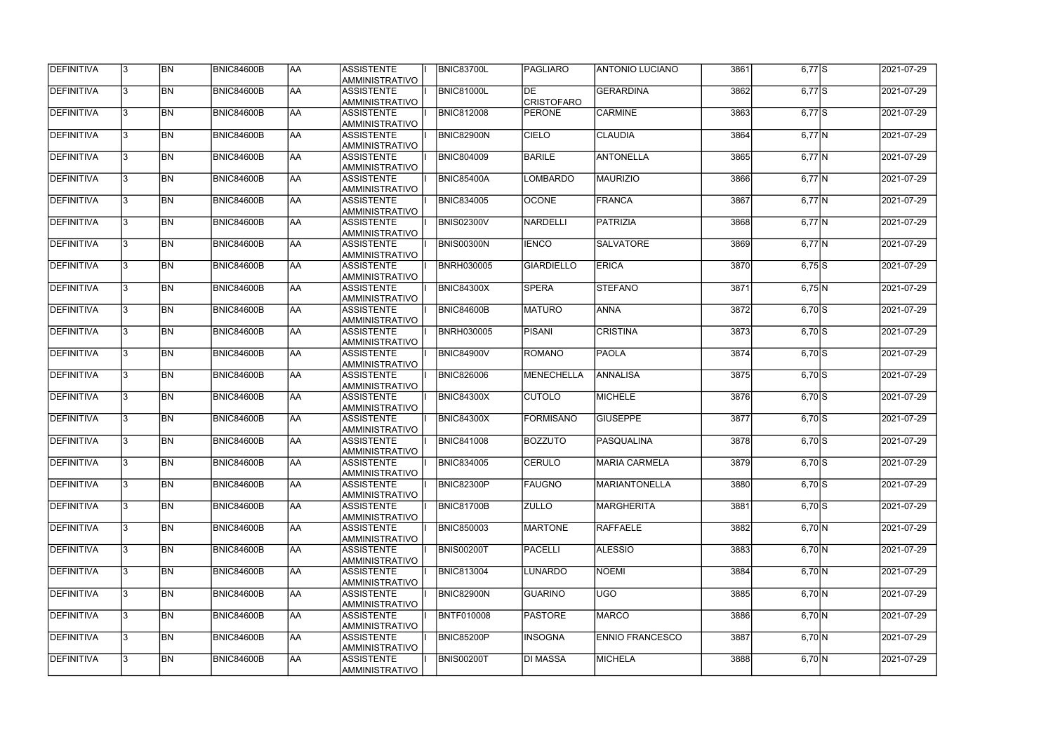| DEFINITIVA        | 13. | <b>BN</b> | <b>BNIC84600B</b> | AA        | <b>ASSISTENTE</b><br>AMMINISTRATIVO        | BNIC83700L        | <b>PAGLIARO</b>                 | <b>ANTONIO LUCIANO</b> | 3861 | $6,77$ S | 2021-07-29 |
|-------------------|-----|-----------|-------------------|-----------|--------------------------------------------|-------------------|---------------------------------|------------------------|------|----------|------------|
| <b>DEFINITIVA</b> | 13. | <b>BN</b> | <b>BNIC84600B</b> | laa       | <b>ASSISTENTE</b><br>AMMINISTRATIVO        | BNIC81000L        | <b>IDE</b><br><b>CRISTOFARO</b> | <b>GERARDINA</b>       | 3862 | $6,77$ S | 2021-07-29 |
| DEFINITIVA        | l3. | <b>BN</b> | <b>BNIC84600B</b> | AA        | <b>ASSISTENTE</b><br>AMMINISTRATIVO        | <b>BNIC812008</b> | PERONE                          | <b>CARMINE</b>         | 3863 | $6,77$ S | 2021-07-29 |
| <b>DEFINITIVA</b> | l3. | <b>BN</b> | BNIC84600B        | <b>AA</b> | <b>ASSISTENTE</b><br>AMMINISTRATIVO        | BNIC82900N        | <b>CIELO</b>                    | <b>CLAUDIA</b>         | 3864 | $6,77$ N | 2021-07-29 |
| DEFINITIVA        | l3. | <b>BN</b> | <b>BNIC84600B</b> | laa       | <b>ASSISTENTE</b><br>AMMINISTRATIVO        | <b>BNIC804009</b> | <b>BARILE</b>                   | ANTONELLA              | 3865 | $6,77$ N | 2021-07-29 |
| DEFINITIVA        | 3   | <b>BN</b> | <b>BNIC84600B</b> | laa       | <b>ASSISTENTE</b><br>AMMINISTRATIVO        | BNIC85400A        | <b>LOMBARDO</b>                 | <b>MAURIZIO</b>        | 3866 | $6,77$ N | 2021-07-29 |
| DEFINITIVA        |     | <b>BN</b> | <b>BNIC84600B</b> | laa       | <b>ASSISTENTE</b><br><b>AMMINISTRATIVO</b> | <b>BNIC834005</b> | <b>OCONE</b>                    | FRANCA                 | 3867 | $6,77$ N | 2021-07-29 |
| DEFINITIVA        |     | <b>BN</b> | BNIC84600B        | laa       | <b>ASSISTENTE</b><br>AMMINISTRATIVO        | <b>BNIS02300V</b> | NARDELLI                        | <b>PATRIZIA</b>        | 3868 | $6,77$ N | 2021-07-29 |
| DEFINITIVA        |     | <b>BN</b> | <b>BNIC84600B</b> | AA        | <b>ASSISTENTE</b><br>AMMINISTRATIVO        | BNIS00300N        | <b>IENCO</b>                    | <b>SALVATORE</b>       | 3869 | $6,77$ N | 2021-07-29 |
| DEFINITIVA        | l3. | <b>BN</b> | <b>BNIC84600B</b> | laa       | <b>ASSISTENTE</b><br>AMMINISTRATIVO        | <b>BNRH030005</b> | <b>GIARDIELLO</b>               | <b>ERICA</b>           | 3870 | $6,75$ S | 2021-07-29 |
| DEFINITIVA        | l3. | <b>BN</b> | <b>BNIC84600B</b> | AA        | <b>ASSISTENTE</b><br>AMMINISTRATIVO        | <b>BNIC84300X</b> | <b>SPERA</b>                    | <b>STEFANO</b>         | 3871 | $6,75$ N | 2021-07-29 |
| <b>DEFINITIVA</b> | 3   | <b>BN</b> | BNIC84600B        | <b>AA</b> | <b>ASSISTENTE</b><br>AMMINISTRATIVO        | BNIC84600B        | <b>MATURO</b>                   | <b>ANNA</b>            | 3872 | $6,70$ S | 2021-07-29 |
| DEFINITIVA        | 3   | <b>BN</b> | <b>BNIC84600B</b> | laa       | <b>ASSISTENTE</b><br>AMMINISTRATIVO        | <b>BNRH030005</b> | <b>PISANI</b>                   | <b>CRISTINA</b>        | 3873 | $6,70$ S | 2021-07-29 |
| DEFINITIVA        | 3   | <b>BN</b> | <b>BNIC84600B</b> | laa       | <b>ASSISTENTE</b><br>AMMINISTRATIVO        | <b>BNIC84900V</b> | ROMANO                          | <b>PAOLA</b>           | 3874 | $6,70$ S | 2021-07-29 |
| DEFINITIVA        |     | <b>BN</b> | <b>BNIC84600B</b> | laa       | <b>ASSISTENTE</b><br><b>AMMINISTRATIVO</b> | <b>BNIC826006</b> | MENECHELLA                      | <b>ANNALISA</b>        | 3875 | $6,70$ S | 2021-07-29 |
| DEFINITIVA        | 3   | <b>BN</b> | <b>BNIC84600B</b> | laa       | <b>ASSISTENTE</b><br>AMMINISTRATIVO        | <b>BNIC84300X</b> | <b>CUTOLO</b>                   | <b>MICHELE</b>         | 3876 | $6,70$ S | 2021-07-29 |
| DEFINITIVA        | l3. | <b>BN</b> | <b>BNIC84600B</b> | laa       | <b>ASSISTENTE</b><br>AMMINISTRATIVO        | <b>BNIC84300X</b> | <b>FORMISANO</b>                | <b>GIUSEPPE</b>        | 3877 | $6,70$ S | 2021-07-29 |
| DEFINITIVA        | 3   | <b>BN</b> | <b>BNIC84600B</b> | AA        | <b>ASSISTENTE</b><br>AMMINISTRATIVO        | <b>BNIC841008</b> | <b>BOZZUTO</b>                  | PASQUALINA             | 3878 | $6,70$ S | 2021-07-29 |
| DEFINITIVA        | 13  | <b>BN</b> | <b>BNIC84600B</b> | <b>AA</b> | <b>ASSISTENTE</b><br>AMMINISTRATIVO        | <b>BNIC834005</b> | <b>CERULO</b>                   | MARIA CARMELA          | 3879 | $6,70$ S | 2021-07-29 |
| <b>DEFINITIVA</b> | l3. | <b>BN</b> | <b>BNIC84600B</b> | AA        | <b>ASSISTENTE</b><br>AMMINISTRATIVO        | BNIC82300P        | FAUGNO                          | <b>MARIANTONELLA</b>   | 3880 | $6,70$ S | 2021-07-29 |
| DEFINITIVA        | 13. | <b>BN</b> | <b>BNIC84600B</b> | AA        | <b>ASSISTENTE</b><br>AMMINISTRATIVO        | <b>BNIC81700B</b> | <b>ZULLO</b>                    | <b>MARGHERITA</b>      | 3881 | $6,70$ S | 2021-07-29 |
| DEFINITIVA        | 3   | <b>BN</b> | <b>BNIC84600B</b> | laa       | <b>ASSISTENTE</b><br>AMMINISTRATIVO        | <b>BNIC850003</b> | <b>MARTONE</b>                  | <b>RAFFAELE</b>        | 3882 | 6,70 N   | 2021-07-29 |
| DEFINITIVA        |     | <b>BN</b> | BNIC84600B        | AA        | <b>ASSISTENTE</b><br>AMMINISTRATIVO        | <b>BNIS00200T</b> | PACELLI                         | <b>ALESSIO</b>         | 3883 | 6,70 N   | 2021-07-29 |
| DEFINITIVA        |     | <b>BN</b> | <b>BNIC84600B</b> | AA        | <b>ASSISTENTE</b><br>AMMINISTRATIVO        | <b>BNIC813004</b> | <b>LUNARDO</b>                  | <b>NOEMI</b>           | 3884 | 6,70 N   | 2021-07-29 |
| DEFINITIVA        | l3. | <b>BN</b> | BNIC84600B        | laa       | <b>ASSISTENTE</b><br>AMMINISTRATIVO        | BNIC82900N        | GUARINO                         | <b>UGO</b>             | 3885 | 6,70 N   | 2021-07-29 |
| DEFINITIVA        | 13. | <b>BN</b> | <b>BNIC84600B</b> | laa       | <b>ASSISTENTE</b><br>AMMINISTRATIVO        | <b>BNTF010008</b> | <b>PASTORE</b>                  | <b>MARCO</b>           | 3886 | 6,70 N   | 2021-07-29 |
| DEFINITIVA        | 13. | <b>BN</b> | <b>BNIC84600B</b> | AA        | <b>ASSISTENTE</b><br>AMMINISTRATIVO        | <b>BNIC85200P</b> | <b>INSOGNA</b>                  | <b>ENNIO FRANCESCO</b> | 3887 | 6,70 N   | 2021-07-29 |
| DEFINITIVA        |     | <b>BN</b> | <b>BNIC84600B</b> | AA        | <b>ASSISTENTE</b><br>AMMINISTRATIVO        | <b>BNIS00200T</b> | <b>DI MASSA</b>                 | <b>MICHELA</b>         | 3888 | 6,70 N   | 2021-07-29 |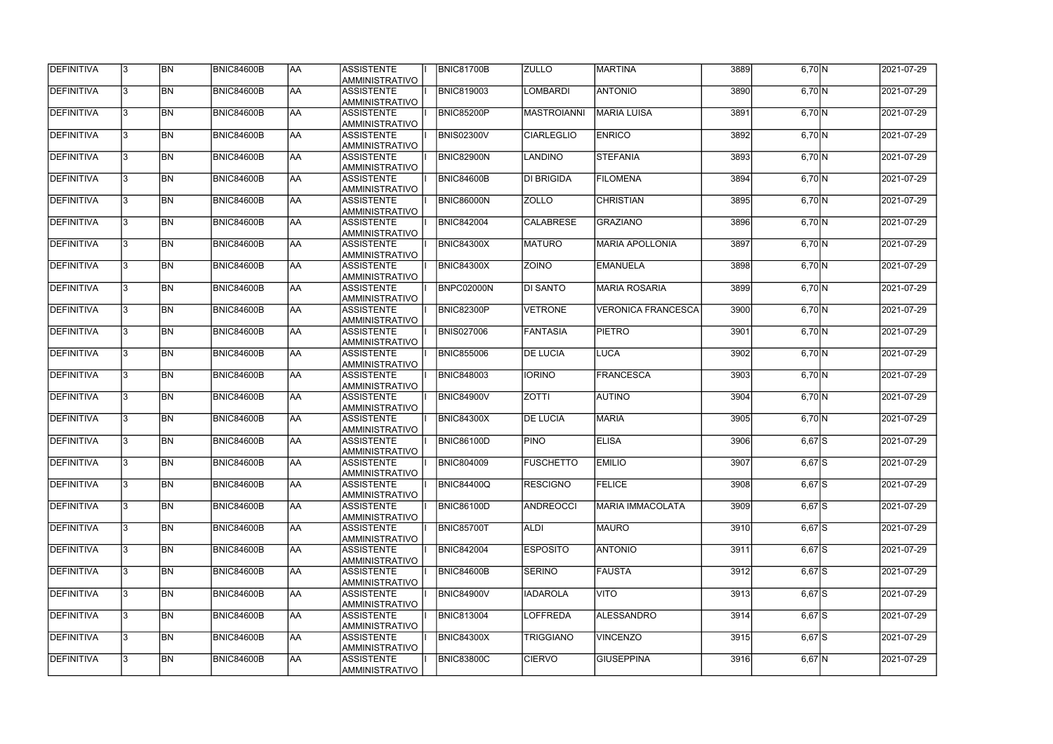| DEFINITIVA        |              | BN        | <b>BNIC84600B</b> | laa       | <b>ASSISTENTE</b><br><b>AMMINISTRATIVO</b> | <b>BNIC81700B</b> | <b>ZULLO</b>       | <b>MARTINA</b>            | 3889 | 6,70 N              | 2021-07-29 |
|-------------------|--------------|-----------|-------------------|-----------|--------------------------------------------|-------------------|--------------------|---------------------------|------|---------------------|------------|
| DEFINITIVA        | $\mathbf{3}$ | <b>BN</b> | BNIC84600B        | <b>AA</b> | <b>ASSISTENTE</b><br>AMMINISTRATIVO        | <b>BNIC819003</b> | LOMBARDI           | <b>ANTONIO</b>            | 3890 | 6,70 N              | 2021-07-29 |
| DEFINITIVA        | 3            | <b>BN</b> | <b>BNIC84600B</b> | laa       | <b>ASSISTENTE</b><br>AMMINISTRATIVO        | BNIC85200P        | <b>MASTROIANNI</b> | <b>MARIA LUISA</b>        | 3891 | 6,70 N              | 2021-07-29 |
| DEFINITIVA        | l3.          | <b>BN</b> | <b>BNIC84600B</b> | laa       | <b>ASSISTENTE</b><br>AMMINISTRATIVO        | <b>BNIS02300V</b> | <b>CIARLEGLIO</b>  | <b>ENRICO</b>             | 3892 | $6,70$ N            | 2021-07-29 |
| DEFINITIVA        | l3           | <b>BN</b> | BNIC84600B        | <b>AA</b> | <b>ASSISTENTE</b><br>AMMINISTRATIVO        | BNIC82900N        | <b>LANDINO</b>     | <b>STEFANIA</b>           | 3893 | 6,70 N              | 2021-07-29 |
| DEFINITIVA        | l3.          | <b>BN</b> | BNIC84600B        | <b>AA</b> | <b>ASSISTENTE</b><br>AMMINISTRATIVO        | <b>BNIC84600B</b> | <b>DI BRIGIDA</b>  | <b>FILOMENA</b>           | 3894 | 6,70 N              | 2021-07-29 |
| <b>DEFINITIVA</b> | l3.          | BN        | BNIC84600B        | <b>AA</b> | <b>ASSISTENTE</b><br>AMMINISTRATIVO        | <b>BNIC86000N</b> | <b>ZOLLO</b>       | <b>CHRISTIAN</b>          | 3895 | $6,70$ N            | 2021-07-29 |
| DEFINITIVA        | l3.          | <b>BN</b> | BNIC84600B        | laa       | <b>ASSISTENTE</b><br><b>AMMINISTRATIVO</b> | <b>BNIC842004</b> | <b>CALABRESE</b>   | <b>GRAZIANO</b>           | 3896 | $6,70$ N            | 2021-07-29 |
| DEFINITIVA        |              | BN        | <b>BNIC84600B</b> | laa       | <b>ASSISTENTE</b><br><b>AMMINISTRATIVO</b> | <b>BNIC84300X</b> | <b>MATURO</b>      | <b>MARIA APOLLONIA</b>    | 3897 | $6,70$ N            | 2021-07-29 |
| DEFINITIVA        |              | BN        | BNIC84600B        | AA        | <b>ASSISTENTE</b><br>AMMINISTRATIVO        | <b>BNIC84300X</b> | <b>ZOINO</b>       | <b>EMANUELA</b>           | 3898 | 6,70 N              | 2021-07-29 |
| DEFINITIVA        |              | <b>BN</b> | <b>BNIC84600B</b> | laa       | <b>ASSISTENTE</b><br>AMMINISTRATIVO        | BNPC02000N        | <b>DI SANTO</b>    | <b>MARIA ROSARIA</b>      | 3899 | 6,70 N              | 2021-07-29 |
| DEFINITIVA        | l3.          | <b>BN</b> | <b>BNIC84600B</b> | laa       | <b>ASSISTENTE</b><br>AMMINISTRATIVO        | <b>BNIC82300P</b> | <b>VETRONE</b>     | <b>VERONICA FRANCESCA</b> | 3900 | 6,70 N              | 2021-07-29 |
| DEFINITIVA        | l3.          | <b>BN</b> | <b>BNIC84600B</b> | <b>AA</b> | <b>ASSISTENTE</b><br>AMMINISTRATIVO        | <b>BNIS027006</b> | <b>FANTASIA</b>    | <b>PIETRO</b>             | 3901 | 6,70 N              | 2021-07-29 |
| DEFINITIVA        | l3.          | <b>BN</b> | <b>BNIC84600B</b> | <b>AA</b> | <b>ASSISTENTE</b><br>AMMINISTRATIVO        | <b>BNIC855006</b> | <b>DE LUCIA</b>    | <b>LUCA</b>               | 3902 | 6,70 N              | 2021-07-29 |
| DEFINITIVA        | 3            | <b>BN</b> | <b>BNIC84600B</b> | laa       | <b>ASSISTENTE</b><br>AMMINISTRATIVO        | <b>BNIC848003</b> | <b>IORINO</b>      | <b>FRANCESCA</b>          | 3903 | 6,70 N              | 2021-07-29 |
| DEFINITIVA        | ା୧           | <b>BN</b> | <b>BNIC84600B</b> | laa       | <b>ASSISTENTE</b><br>AMMINISTRATIVO        | <b>BNIC84900V</b> | <b>ZOTTI</b>       | <b>AUTINO</b>             | 3904 | 6,70 N              | 2021-07-29 |
| DEFINITIVA        | l3.          | <b>BN</b> | <b>BNIC84600B</b> | laa       | <b>ASSISTENTE</b><br>AMMINISTRATIVO        | <b>BNIC84300X</b> | <b>DE LUCIA</b>    | <b>MARIA</b>              | 3905 | 6,70 N              | 2021-07-29 |
| DEFINITIVA        |              | <b>BN</b> | <b>BNIC84600B</b> | <b>AA</b> | <b>ASSISTENTE</b><br><b>AMMINISTRATIVO</b> | <b>BNIC86100D</b> | <b>PINO</b>        | <b>ELISA</b>              | 3906 | $6,67$ $S$          | 2021-07-29 |
| <b>DEFINITIVA</b> | 13.          | <b>BN</b> | BNIC84600B        | IAA.      | <b>ASSISTENTE</b><br>AMMINISTRATIVO        | <b>BNIC804009</b> | <b>FUSCHETTO</b>   | <b>EMILIO</b>             | 3907 | $\overline{6,67}$ S | 2021-07-29 |
| DEFINITIVA        | I3.          | <b>BN</b> | <b>BNIC84600B</b> | laa       | <b>ASSISTENTE</b><br>AMMINISTRATIVO        | <b>BNIC84400Q</b> | <b>RESCIGNO</b>    | <b>FELICE</b>             | 3908 | $6,67$ S            | 2021-07-29 |
| <b>DEFINITIVA</b> | I3.          | <b>BN</b> | <b>BNIC84600B</b> | laa       | ASSISTENTE<br>AMMINISTRATIVO               | <b>BNIC86100D</b> | <b>ANDREOCCI</b>   | MARIA IMMACOLATA          | 3909 | $6,67$ $S$          | 2021-07-29 |
| DEFINITIVA        | l3.          | <b>BN</b> | <b>BNIC84600B</b> | laa       | <b>ASSISTENTE</b><br>AMMINISTRATIVO        | BNIC85700T        | <b>ALDI</b>        | <b>MAURO</b>              | 3910 | $6,67$ $S$          | 2021-07-29 |
| DEFINITIVA        | l3.          | <b>BN</b> | <b>BNIC84600B</b> | laa       | <b>ASSISTENTE</b><br>AMMINISTRATIVO        | <b>BNIC842004</b> | <b>ESPOSITO</b>    | <b>ANTONIO</b>            | 3911 | $6,67$ $S$          | 2021-07-29 |
| DEFINITIVA        | l٩.          | <b>BN</b> | <b>BNIC84600B</b> | laa       | <b>ASSISTENTE</b><br><b>AMMINISTRATIVO</b> | <b>BNIC84600B</b> | <b>SERINO</b>      | <b>FAUSTA</b>             | 3912 | $6,67$ S            | 2021-07-29 |
| DEFINITIVA        | 3.           | <b>BN</b> | <b>BNIC84600B</b> | laa       | <b>ASSISTENTE</b><br>AMMINISTRATIVO        | <b>BNIC84900V</b> | <b>IADAROLA</b>    | <b>VITO</b>               | 3913 | $6,67$ $S$          | 2021-07-29 |
| DEFINITIVA        |              | <b>BN</b> | BNIC84600B        | <b>AA</b> | <b>ASSISTENTE</b><br>AMMINISTRATIVO        | <b>BNIC813004</b> | LOFFREDA           | ALESSANDRO                | 3914 | $6,67$ $S$          | 2021-07-29 |
| DEFINITIVA        |              | <b>BN</b> | BNIC84600B        | laa       | <b>ASSISTENTE</b><br>AMMINISTRATIVO        | <b>BNIC84300X</b> | <b>TRIGGIANO</b>   | <b>VINCENZO</b>           | 3915 | $6,67$ $S$          | 2021-07-29 |
| DEFINITIVA        |              | BN        | BNIC84600B        | AA        | <b>ASSISTENTE</b><br>AMMINISTRATIVO        | <b>BNIC83800C</b> | <b>CIERVO</b>      | <b>GIUSEPPINA</b>         | 3916 | $6,67$ N            | 2021-07-29 |

| $6,70$ N               |    | 2021-07-29       |
|------------------------|----|------------------|
| 6,70 N                 |    | 2021-07-29       |
| $6,70$ N               |    | 2021-07-29       |
| 6,70 N                 |    | 2021-07-29       |
| $6,70$ N               |    | 2021-07-29       |
| $6,70\overline{\rm N}$ |    | 2021-07-29       |
| 6,70 N                 |    | 2021-07-29       |
| $6,70$ N               |    | 2021-07-29       |
| $6,70$ N               |    | 2021-07-29       |
| $6,70$ N               |    | 2021-07-29       |
| $6,70$ <sub>N</sub>    |    | 2021-07-29       |
| $6,70$ N               |    | 2021-07-29       |
| $6,70$ <sub>N</sub>    |    | 2021-07-29       |
| $6,70$ <sub>N</sub>    |    | 2021-07-29       |
| $6,70 \overline{N}$    |    | 2021-07-29       |
| $6,70 \overline{N}$    |    | 2021-07-29       |
| $6,70$ N               |    | 2021-07-29       |
| $6,67$ S               |    | 2021-07-29       |
| $6,67$ S               |    | 2021-07-29       |
| $6,67$ $S$             |    | 2021-07-29       |
| $6,67$ S               |    | 2021-07-29       |
| $6,67$ S               |    | 2021-07-29       |
| 6,67                   | ls | $2021 - 07 - 29$ |
| 6,67                   | lS | 2021-07-29       |
| 6,67                   | ls | 2021-07-29       |
| 6,67                   | ls | 2021-07-29       |
| 6,67                   | ls | 2021-07-29       |
| 6,67                   | N  | 2021-07-29       |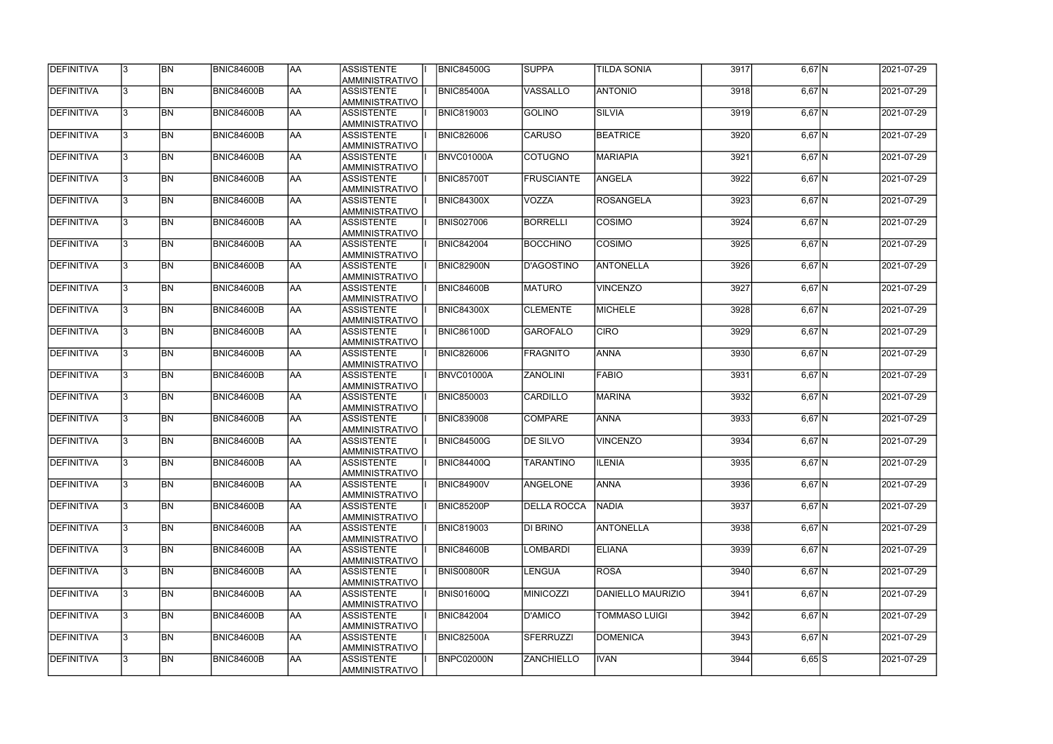| DEFINITIVA        | 13.          | <b>BN</b>       | <b>BNIC84600B</b> | <b>JAA</b> | ASSISTENTE<br>AMMINISTRATIVO               | <b>BNIC84500G</b> | <b>SUPPA</b>       | <b>TILDA SONIA</b>   | 3917 | $6,67$ N | 2021-07-29 |
|-------------------|--------------|-----------------|-------------------|------------|--------------------------------------------|-------------------|--------------------|----------------------|------|----------|------------|
| <b>DEFINITIVA</b> | l3.          | <b>BN</b>       | BNIC84600B        | <b>JAA</b> | <b>ASSISTENTE</b><br>AMMINISTRATIVO        | BNIC85400A        | <b>VASSALLO</b>    | <b>ANTONIO</b>       | 3918 | $6,67$ N | 2021-07-29 |
| DEFINITIVA        |              | <b>BN</b>       | <b>BNIC84600B</b> | AA         | <b>ASSISTENTE</b><br>AMMINISTRATIVO        | <b>BNIC819003</b> | <b>GOLINO</b>      | <b>SILVIA</b>        | 3919 | $6,67$ N | 2021-07-29 |
| <b>DEFINITIVA</b> | $\mathbf{3}$ | <b>BN</b>       | BNIC84600B        | <b>AA</b>  | ASSISTENTE<br>AMMINISTRATIVO               | <b>BNIC826006</b> | <b>CARUSO</b>      | <b>BEATRICE</b>      | 3920 | $6,67$ N | 2021-07-29 |
| <b>DEFINITIVA</b> |              | <b>BN</b>       | BNIC84600B        | AA         | ASSISTENTE<br>AMMINISTRATIVO               | BNVC01000A        | <b>COTUGNO</b>     | <b>MARIAPIA</b>      | 3921 | $6,67$ N | 2021-07-29 |
| DEFINITIVA        |              | <b>BN</b>       | BNIC84600B        | <b>JAA</b> | <b>ASSISTENTE</b><br>AMMINISTRATIVO        | <b>BNIC85700T</b> | <b>FRUSCIANTE</b>  | <b>ANGELA</b>        | 3922 | $6,67$ N | 2021-07-29 |
| DEFINITIVA        |              | <b>BN</b>       | <b>BNIC84600B</b> | AA         | <b>ASSISTENTE</b><br><b>AMMINISTRATIVO</b> | <b>BNIC84300X</b> | VOZZA              | <b>ROSANGELA</b>     | 3923 | $6,67$ N | 2021-07-29 |
| DEFINITIVA        |              | <b>BN</b>       | BNIC84600B        | AA         | <b>ASSISTENTE</b><br>AMMINISTRATIVO        | <b>BNIS027006</b> | <b>BORRELLI</b>    | <b>COSIMO</b>        | 3924 | $6,67$ N | 2021-07-29 |
| <b>DEFINITIVA</b> |              | <b>BN</b>       | <b>BNIC84600B</b> | <b>JAA</b> | <b>ASSISTENTE</b><br>AMMINISTRATIVO        | <b>BNIC842004</b> | <b>BOCCHINO</b>    | <b>COSIMO</b>        | 3925 | $6,67$ N | 2021-07-29 |
| DEFINITIVA        |              | <b>BN</b>       | BNIC84600B        | <b>JAA</b> | <b>ASSISTENTE</b><br>AMMINISTRATIVO        | BNIC82900N        | D'AGOSTINO         | <b>ANTONELLA</b>     | 3926 | $6,67$ N | 2021-07-29 |
| DEFINITIVA        |              | <b>BN</b>       | <b>BNIC84600B</b> | AA         | ASSISTENTE<br>AMMINISTRATIVO               | <b>BNIC84600B</b> | <b>MATURO</b>      | <b>VINCENZO</b>      | 3927 | $6,67$ N | 2021-07-29 |
| DEFINITIVA        |              | <b>BN</b>       | BNIC84600B        | <b>AA</b>  | ASSISTENTE<br>AMMINISTRATIVO               | <b>BNIC84300X</b> | <b>CLEMENTE</b>    | <b>MICHELE</b>       | 3928 | $6,67$ N | 2021-07-29 |
| <b>DEFINITIVA</b> |              | <b>BN</b>       | <b>BNIC84600B</b> | AA         | ASSISTENTE<br>AMMINISTRATIVO               | <b>BNIC86100D</b> | <b>GAROFALO</b>    | <b>CIRO</b>          | 3929 | $6,67$ N | 2021-07-29 |
| <b>DEFINITIVA</b> |              | <b>BN</b>       | <b>BNIC84600B</b> | <b>JAA</b> | <b>ASSISTENTE</b><br><b>AMMINISTRATIVO</b> | <b>BNIC826006</b> | <b>FRAGNITO</b>    | <b>ANNA</b>          | 3930 | $6,67$ N | 2021-07-29 |
| <b>DEFINITIVA</b> |              | <b>BN</b>       | <b>BNIC84600B</b> | AA         | <b>ASSISTENTE</b><br><b>AMMINISTRATIVO</b> | BNVC01000A        | <b>ZANOLINI</b>    | <b>FABIO</b>         | 3931 | $6,67$ N | 2021-07-29 |
| DEFINITIVA        |              | <b>BN</b>       | <b>BNIC84600B</b> | <b>JAA</b> | <b>ASSISTENTE</b><br>AMMINISTRATIVO        | <b>BNIC850003</b> | <b>CARDILLO</b>    | <b>MARINA</b>        | 3932 | $6,67$ N | 2021-07-29 |
| DEFINITIVA        | 3            | <b>BN</b>       | BNIC84600B        | AA         | <b>ASSISTENTE</b><br>AMMINISTRATIVO        | <b>BNIC839008</b> | <b>COMPARE</b>     | <b>ANNA</b>          | 3933 | $6,67$ N | 2021-07-29 |
| DEFINITIVA        |              | <b>BN</b>       | <b>BNIC84600B</b> | AA         | <b>ASSISTENTE</b><br>AMMINISTRATIVO        | <b>BNIC84500G</b> | <b>DE SILVO</b>    | <b>VINCENZO</b>      | 3934 | $6,67$ N | 2021-07-29 |
| DEFINITIVA        | 13.          | <b>BN</b>       | <b>BNIC84600B</b> | <b>JAA</b> | <b>ASSISTENTE</b><br>AMMINISTRATIVO        | <b>BNIC84400Q</b> | <b>TARANTINO</b>   | <b>ILENIA</b>        | 3935 | $6,67$ N | 2021-07-29 |
| <b>DEFINITIVA</b> | $\mathbf{3}$ | $\overline{BN}$ | <b>BNIC84600B</b> | AA         | ASSISTENTE<br><b>AMMINISTRATIVO</b>        | BNIC84900V        | ANGELONE           | <b>ANNA</b>          | 3936 | $6,67$ N | 2021-07-29 |
| <b>DEFINITIVA</b> | 13.          | <b>BN</b>       | <b>BNIC84600B</b> | AA         | <b>ASSISTENTE</b><br>AMMINISTRATIVO        | <b>BNIC85200P</b> | <b>DELLA ROCCA</b> | <b>NADIA</b>         | 3937 | $6,67$ N | 2021-07-29 |
| DEFINITIVA        |              | <b>BN</b>       | <b>BNIC84600B</b> | AA         | ASSISTENTE<br>AMMINISTRATIVO               | <b>BNIC819003</b> | DI BRINO           | <b>ANTONELLA</b>     | 3938 | $6,67$ N | 2021-07-29 |
| DEFINITIVA        |              | <b>BN</b>       | <b>BNIC84600B</b> | AA         | ASSISTENTE<br><b>AMMINISTRATIVO</b>        | <b>BNIC84600B</b> | <b>LOMBARDI</b>    | <b>ELIANA</b>        | 3939 | $6,67$ N | 2021-07-29 |
| DEFINITIVA        |              | <b>BN</b>       | <b>BNIC84600B</b> | AA         | <b>ASSISTENTE</b><br>AMMINISTRATIVO        | BNIS00800R        | <b>LENGUA</b>      | <b>ROSA</b>          | 3940 | $6,67$ N | 2021-07-29 |
| DEFINITIVA        |              | <b>BN</b>       | <b>BNIC84600B</b> | AA         | ASSISTENTE<br>AMMINISTRATIVO               | <b>BNIS01600Q</b> | <b>MINICOZZI</b>   | DANIELLO MAURIZIO    | 3941 | $6,67$ N | 2021-07-29 |
| DEFINITIVA        |              | <b>BN</b>       | BNIC84600B        | AA         | ASSISTENTE<br>AMMINISTRATIVO               | <b>BNIC842004</b> | D'AMICO            | <b>TOMMASO LUIGI</b> | 3942 | $6,67$ N | 2021-07-29 |
| <b>DEFINITIVA</b> | l3.          | <b>BN</b>       | BNIC84600B        | AA         | ASSISTENTE<br>AMMINISTRATIVO               | <b>BNIC82500A</b> | SFERRUZZI          | <b>DOMENICA</b>      | 3943 | $6,67$ N | 2021-07-29 |
| <b>DEFINITIVA</b> |              | <b>BN</b>       | BNIC84600B        | <b>AA</b>  | <b>ASSISTENTE</b><br>AMMINISTRATIVO        | <b>BNPC02000N</b> | <b>ZANCHIELLO</b>  | <b>IVAN</b>          | 3944 | $6,65$ S | 2021-07-29 |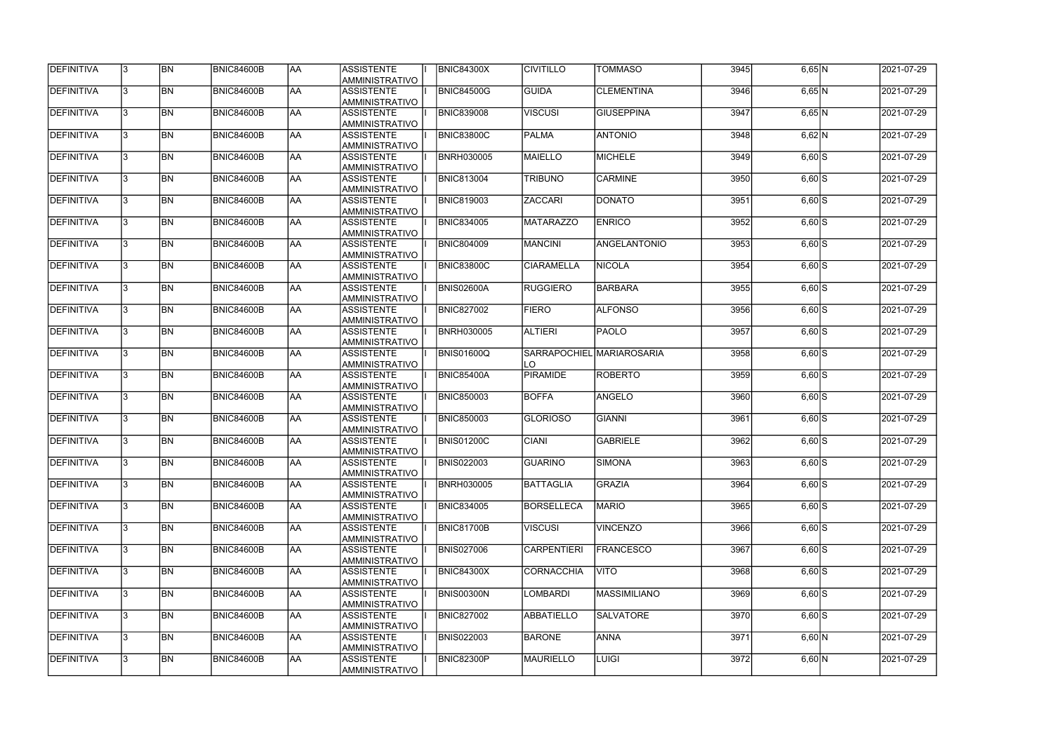| <b>DEFINITIVA</b> | 13. | <b>BN</b> | <b>BNIC84600B</b> | AA         | <b>ASSISTENTE</b><br>AMMINISTRATIVO        | <b>BNIC84300X</b> | <b>CIVITILLO</b>   | <b>TOMMASO</b>            | 3945 | 6,65 N   | 2021-07-29 |
|-------------------|-----|-----------|-------------------|------------|--------------------------------------------|-------------------|--------------------|---------------------------|------|----------|------------|
| DEFINITIVA        | 13. | <b>BN</b> | <b>BNIC84600B</b> | laa        | <b>ASSISTENTE</b><br>AMMINISTRATIVO        | <b>BNIC84500G</b> | <b>GUIDA</b>       | <b>CLEMENTINA</b>         | 3946 | $6,65$ N | 2021-07-29 |
| DEFINITIVA        | 13. | <b>BN</b> | <b>BNIC84600B</b> | laa        | <b>ASSISTENTE</b><br>AMMINISTRATIVO        | <b>BNIC839008</b> | <b>VISCUSI</b>     | <b>GIUSEPPINA</b>         | 3947 | $6,65$ N | 2021-07-29 |
| DEFINITIVA        | l3. | <b>BN</b> | <b>BNIC84600B</b> | laa        | <b>ASSISTENTE</b><br>AMMINISTRATIVO        | <b>BNIC83800C</b> | PALMA              | <b>ANTONIO</b>            | 3948 | $6,62$ N | 2021-07-29 |
| DEFINITIVA        | 13. | <b>BN</b> | <b>BNIC84600B</b> | laa        | <b>ASSISTENTE</b><br>AMMINISTRATIVO        | <b>BNRH030005</b> | MAIELLO            | <b>MICHELE</b>            | 3949 | $6,60$ S | 2021-07-29 |
| DEFINITIVA        | 3   | <b>BN</b> | <b>BNIC84600B</b> | laa        | <b>ASSISTENTE</b><br>AMMINISTRATIVO        | <b>BNIC813004</b> | <b>TRIBUNO</b>     | <b>CARMINE</b>            | 3950 | $6,60$ S | 2021-07-29 |
| DEFINITIVA        |     | <b>BN</b> | <b>BNIC84600B</b> | laa        | <b>ASSISTENTE</b><br><b>AMMINISTRATIVO</b> | <b>BNIC819003</b> | <b>ZACCARI</b>     | <b>DONATO</b>             | 3951 | $6,60$ S | 2021-07-29 |
| DEFINITIVA        |     | <b>BN</b> | <b>BNIC84600B</b> | laa        | <b>ASSISTENTE</b><br>AMMINISTRATIVO        | <b>BNIC834005</b> | <b>MATARAZZO</b>   | <b>ENRICO</b>             | 3952 | $6,60$ S | 2021-07-29 |
| DEFINITIVA        |     | <b>BN</b> | <b>BNIC84600B</b> | laa        | <b>ASSISTENTE</b><br>AMMINISTRATIVO        | <b>BNIC804009</b> | MANCINI            | <b>ANGELANTONIO</b>       | 3953 | $6,60$ S | 2021-07-29 |
| DEFINITIVA        | l3. | <b>BN</b> | <b>BNIC84600B</b> | laa        | <b>ASSISTENTE</b><br>AMMINISTRATIVO        | <b>BNIC83800C</b> | <b>CIARAMELLA</b>  | <b>NICOLA</b>             | 3954 | $6,60$ S | 2021-07-29 |
| DEFINITIVA        | 13. | <b>BN</b> | <b>BNIC84600B</b> | laa        | <b>ASSISTENTE</b><br>AMMINISTRATIVO        | BNIS02600A        | <b>RUGGIERO</b>    | BARBARA                   | 3955 | $6,60$ S | 2021-07-29 |
| DEFINITIVA        | 3   | <b>BN</b> | <b>BNIC84600B</b> | <b>AA</b>  | <b>ASSISTENTE</b><br>AMMINISTRATIVO        | <b>BNIC827002</b> | <b>FIERO</b>       | <b>ALFONSO</b>            | 3956 | $6,60$ S | 2021-07-29 |
| DEFINITIVA        | l3. | <b>BN</b> | <b>BNIC84600B</b> | laa        | <b>ASSISTENTE</b><br>AMMINISTRATIVO        | <b>BNRH030005</b> | <b>ALTIERI</b>     | <b>PAOLO</b>              | 3957 | $6,60$ S | 2021-07-29 |
| DEFINITIVA        | 3   | <b>BN</b> | <b>BNIC84600B</b> | AA         | <b>ASSISTENTE</b><br>AMMINISTRATIVO        | <b>BNIS01600Q</b> | LO.                | SARRAPOCHIEL MARIAROSARIA | 3958 | $6,60$ S | 2021-07-29 |
| DEFINITIVA        |     | <b>BN</b> | <b>BNIC84600B</b> | AA         | <b>ASSISTENTE</b><br><b>AMMINISTRATIVO</b> | <b>BNIC85400A</b> | <b>PIRAMIDE</b>    | <b>ROBERTO</b>            | 3959 | $6,60$ S | 2021-07-29 |
| DEFINITIVA        |     | <b>BN</b> | <b>BNIC84600B</b> | AA         | <b>ASSISTENTE</b><br><b>AMMINISTRATIVO</b> | <b>BNIC850003</b> | <b>BOFFA</b>       | <b>ANGELO</b>             | 3960 | $6,60$ S | 2021-07-29 |
| DEFINITIVA        | 3   | <b>BN</b> | <b>BNIC84600B</b> | laa        | <b>ASSISTENTE</b><br>AMMINISTRATIVO        | <b>BNIC850003</b> | <b>GLORIOSO</b>    | <b>GIANNI</b>             | 3961 | $6,60$ S | 2021-07-29 |
| DEFINITIVA        |     | <b>BN</b> | <b>BNIC84600B</b> | AA         | <b>ASSISTENTE</b><br>AMMINISTRATIVO        | <b>BNIS01200C</b> | <b>CIANI</b>       | <b>GABRIELE</b>           | 3962 | $6,60$ S | 2021-07-29 |
| DEFINITIVA        | 13  | BN        | <b>BNIC84600B</b> | <b>JAA</b> | <b>ASSISTENTE</b><br>AMMINISTRATIVO        | <b>BNIS022003</b> | <b>GUARINO</b>     | <b>SIMONA</b>             | 3963 | $6,60$ S | 2021-07-29 |
| <b>DEFINITIVA</b> | 13. | <b>BN</b> | <b>BNIC84600B</b> | <b>AA</b>  | <b>ASSISTENTE</b><br>AMMINISTRATIVO        | <b>BNRH030005</b> | <b>BATTAGLIA</b>   | <b>GRAZIA</b>             | 3964 | $6,60$ S | 2021-07-29 |
| DEFINITIVA        | l3. | <b>BN</b> | <b>BNIC84600B</b> | <b>AA</b>  | <b>ASSISTENTE</b><br>AMMINISTRATIVO        | <b>BNIC834005</b> | <b>BORSELLECA</b>  | <b>MARIO</b>              | 3965 | $6,60$ S | 2021-07-29 |
| DEFINITIVA        | l3. | <b>BN</b> | <b>BNIC84600B</b> | AA         | <b>ASSISTENTE</b><br>AMMINISTRATIVO        | <b>BNIC81700B</b> | <b>VISCUSI</b>     | <b>VINCENZO</b>           | 3966 | $6,60$ S | 2021-07-29 |
| <b>DEFINITIVA</b> | l3. | <b>BN</b> | <b>BNIC84600B</b> | AA         | <b>ASSISTENTE</b><br>AMMINISTRATIVO        | <b>BNIS027006</b> | <b>CARPENTIERI</b> | <b>FRANCESCO</b>          | 3967 | $6,60$ S | 2021-07-29 |
| DEFINITIVA        |     | <b>BN</b> | <b>BNIC84600B</b> | AA         | <b>ASSISTENTE</b><br>AMMINISTRATIVO        | <b>BNIC84300X</b> | <b>CORNACCHIA</b>  | <b>VITO</b>               | 3968 | $6,60$ S | 2021-07-29 |
| DEFINITIVA        |     | <b>BN</b> | <b>BNIC84600B</b> | AA         | <b>ASSISTENTE</b><br>AMMINISTRATIVO        | BNIS00300N        | LOMBARDI           | <b>MASSIMILIANO</b>       | 3969 | $6,60$ S | 2021-07-29 |
| DEFINITIVA        | 13. | <b>BN</b> | BNIC84600B        | AA         | <b>ASSISTENTE</b><br>AMMINISTRATIVO        | <b>BNIC827002</b> | <b>ABBATIELLO</b>  | <b>SALVATORE</b>          | 3970 | $6,60$ S | 2021-07-29 |
| DEFINITIVA        | 13. | <b>BN</b> | <b>BNIC84600B</b> | laa        | <b>ASSISTENTE</b><br>AMMINISTRATIVO        | <b>BNIS022003</b> | <b>BARONE</b>      | <b>ANNA</b>               | 3971 | 6,60 N   | 2021-07-29 |
| DEFINITIVA        |     | <b>BN</b> | <b>BNIC84600B</b> | AA         | <b>ASSISTENTE</b><br>AMMINISTRATIVO        | <b>BNIC82300P</b> | MAURIELLO          | LUIGI                     | 3972 | 6,60 N   | 2021-07-29 |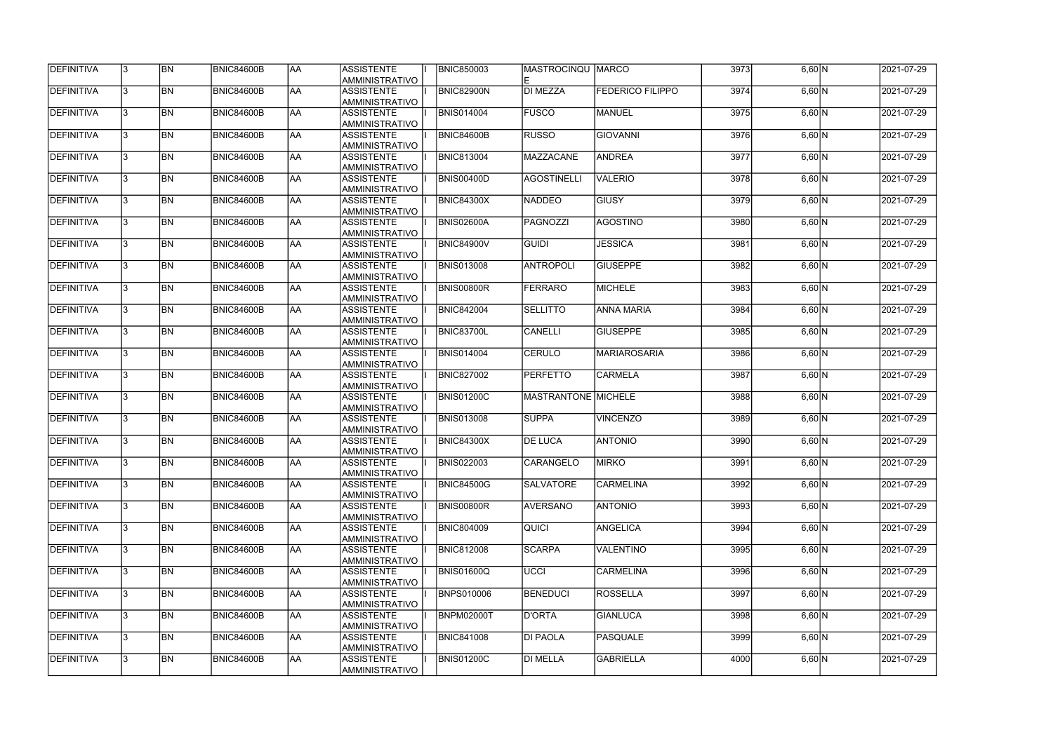| DEFINITIVA        | 13.          | <b>BN</b> | <b>BNIC84600B</b> | AA        | <b>ASSISTENTE</b><br>AMMINISTRATIVO        | <b>BNIC850003</b> | MASTROCINQU   MARCO         |                         | 3973 | 6,60 N   | 2021-07-29 |
|-------------------|--------------|-----------|-------------------|-----------|--------------------------------------------|-------------------|-----------------------------|-------------------------|------|----------|------------|
| <b>DEFINITIVA</b> | l3.          | <b>BN</b> | BNIC84600B        | AA        | <b>ASSISTENTE</b><br>AMMINISTRATIVO        | <b>BNIC82900N</b> | <b>DI MEZZA</b>             | <b>FEDERICO FILIPPO</b> | 3974 | 6,60 N   | 2021-07-29 |
| DEFINITIVA        |              | <b>BN</b> | BNIC84600B        | <b>AA</b> | <b>ASSISTENTE</b><br>AMMINISTRATIVO        | <b>BNIS014004</b> | <b>FUSCO</b>                | <b>MANUEL</b>           | 3975 | $6,60$ N | 2021-07-29 |
| <b>DEFINITIVA</b> | $\mathbf{3}$ | <b>BN</b> | BNIC84600B        | <b>AA</b> | <b>ASSISTENTE</b><br>AMMINISTRATIVO        | <b>BNIC84600B</b> | <b>RUSSO</b>                | <b>GIOVANNI</b>         | 3976 | 6,60 N   | 2021-07-29 |
| <b>DEFINITIVA</b> |              | <b>BN</b> | BNIC84600B        | laa       | <b>ASSISTENTE</b><br><b>AMMINISTRATIVO</b> | <b>BNIC813004</b> | MAZZACANE                   | ANDREA                  | 3977 | 6,60 N   | 2021-07-29 |
| DEFINITIVA        |              | <b>BN</b> | BNIC84600B        | laa       | <b>ASSISTENTE</b><br><b>AMMINISTRATIVO</b> | <b>BNIS00400D</b> | AGOSTINELLI                 | <b>VALERIO</b>          | 3978 | 6,60 N   | 2021-07-29 |
| DEFINITIVA        |              | <b>BN</b> | <b>BNIC84600B</b> | <b>AA</b> | <b>ASSISTENTE</b><br><b>AMMINISTRATIVO</b> | <b>BNIC84300X</b> | <b>NADDEO</b>               | GIUSY                   | 3979 | 6,60 N   | 2021-07-29 |
| DEFINITIVA        |              | <b>BN</b> | BNIC84600B        | AA        | <b>ASSISTENTE</b><br>AMMINISTRATIVO        | <b>BNIS02600A</b> | PAGNOZZI                    | <b>AGOSTINO</b>         | 3980 | 6,60 N   | 2021-07-29 |
| DEFINITIVA        |              | <b>BN</b> | BNIC84600B        | AA        | <b>ASSISTENTE</b><br><b>AMMINISTRATIVO</b> | <b>BNIC84900V</b> | <b>GUIDI</b>                | <b>JESSICA</b>          | 3981 | 6,60 N   | 2021-07-29 |
| DEFINITIVA        |              | <b>BN</b> | BNIC84600B        | AA        | <b>ASSISTENTE</b><br>AMMINISTRATIVO        | <b>BNIS013008</b> | <b>ANTROPOLI</b>            | <b>GIUSEPPE</b>         | 3982 | 6,60 N   | 2021-07-29 |
| DEFINITIVA        |              | <b>BN</b> | <b>BNIC84600B</b> | <b>AA</b> | <b>ASSISTENTE</b><br>AMMINISTRATIVO        | <b>BNIS00800R</b> | FERRARO                     | <b>MICHELE</b>          | 3983 | 6,60 N   | 2021-07-29 |
| DEFINITIVA        |              | <b>BN</b> | BNIC84600B        | <b>AA</b> | <b>ASSISTENTE</b><br>AMMINISTRATIVO        | <b>BNIC842004</b> | <b>SELLITTO</b>             | <b>ANNA MARIA</b>       | 3984 | 6,60 N   | 2021-07-29 |
| DEFINITIVA        |              | <b>BN</b> | <b>BNIC84600B</b> | laa       | <b>ASSISTENTE</b><br>AMMINISTRATIVO        | <b>BNIC83700L</b> | CANELLI                     | <b>GIUSEPPE</b>         | 3985 | 6,60 N   | 2021-07-29 |
| DEFINITIVA        |              | <b>BN</b> | <b>BNIC84600B</b> | <b>AA</b> | <b>ASSISTENTE</b><br><b>AMMINISTRATIVO</b> | <b>BNIS014004</b> | <b>CERULO</b>               | <b>MARIAROSARIA</b>     | 3986 | 6,60 N   | 2021-07-29 |
| DEFINITIVA        |              | <b>BN</b> | <b>BNIC84600B</b> | <b>AA</b> | <b>ASSISTENTE</b><br><b>AMMINISTRATIVO</b> | <b>BNIC827002</b> | <b>PERFETTO</b>             | <b>CARMELA</b>          | 3987 | 6,60 N   | 2021-07-29 |
| DEFINITIVA        |              | <b>BN</b> | BNIC84600B        | laa       | <b>ASSISTENTE</b><br>AMMINISTRATIVO        | <b>BNIS01200C</b> | <b>IMASTRANTONE MICHELE</b> |                         | 3988 | 6,60 N   | 2021-07-29 |
| DEFINITIVA        | 3            | <b>BN</b> | BNIC84600B        | laa       | <b>ASSISTENTE</b><br>AMMINISTRATIVO        | <b>BNIS013008</b> | <b>SUPPA</b>                | <b>VINCENZO</b>         | 3989 | 6,60 N   | 2021-07-29 |
| DEFINITIVA        |              | <b>BN</b> | <b>BNIC84600B</b> | <b>AA</b> | <b>ASSISTENTE</b><br>AMMINISTRATIVO        | <b>BNIC84300X</b> | <b>DE LUCA</b>              | <b>ANTONIO</b>          | 3990 | 6,60 N   | 2021-07-29 |
| DEFINITIVA        | 13.          | <b>BN</b> | <b>BNIC84600B</b> | AA        | <b>ASSISTENTE</b><br>AMMINISTRATIVO        | <b>BNIS022003</b> | CARANGELO                   | <b>MIRKO</b>            | 3991 | 6,60 N   | 2021-07-29 |
| <b>DEFINITIVA</b> | $\mathbf{3}$ | <b>BN</b> | BNIC84600B        | <b>AA</b> | ASSISTENTE<br>AMMINISTRATIVO               | <b>BNIC84500G</b> | <b>SALVATORE</b>            | <b>CARMELINA</b>        | 3992 | 6,60 N   | 2021-07-29 |
| <b>DEFINITIVA</b> | 13.          | <b>BN</b> | BNIC84600B        | AA        | <b>ASSISTENTE</b><br>AMMINISTRATIVO        | <b>BNIS00800R</b> | AVERSANO                    | <b>ANTONIO</b>          | 3993 | 6,60 N   | 2021-07-29 |
| DEFINITIVA        |              | <b>BN</b> | BNIC84600B        | <b>AA</b> | <b>ASSISTENTE</b><br>AMMINISTRATIVO        | <b>BNIC804009</b> | <b>QUICI</b>                | <b>ANGELICA</b>         | 3994 | 6,60 N   | 2021-07-29 |
| DEFINITIVA        |              | <b>BN</b> | BNIC84600B        | <b>AA</b> | <b>ASSISTENTE</b><br>AMMINISTRATIVO        | <b>BNIC812008</b> | <b>SCARPA</b>               | <b>VALENTINO</b>        | 3995 | 6,60 N   | 2021-07-29 |
| DEFINITIVA        |              | <b>BN</b> | BNIC84600B        | <b>AA</b> | <b>ASSISTENTE</b><br>AMMINISTRATIVO        | <b>BNIS01600Q</b> | <b>IUCCI</b>                | <b>CARMELINA</b>        | 3996 | 6,60 N   | 2021-07-29 |
| DEFINITIVA        |              | <b>BN</b> | BNIC84600B        | <b>AA</b> | ASSISTENTE<br>AMMINISTRATIVO               | <b>BNPS010006</b> | BENEDUCI                    | <b>ROSSELLA</b>         | 3997 | 6,60 N   | 2021-07-29 |
| DEFINITIVA        |              | <b>BN</b> | BNIC84600B        | <b>AA</b> | ASSISTENTE<br>AMMINISTRATIVO               | <b>BNPM02000T</b> | D'ORTA                      | <b>GIANLUCA</b>         | 3998 | 6,60 N   | 2021-07-29 |
| <b>DEFINITIVA</b> | l3.          | <b>BN</b> | BNIC84600B        | <b>AA</b> | ASSISTENTE<br>AMMINISTRATIVO               | <b>BNIC841008</b> | <b>DI PAOLA</b>             | PASQUALE                | 3999 | 6,60 N   | 2021-07-29 |
| <b>DEFINITIVA</b> |              | <b>BN</b> | BNIC84600B        | <b>AA</b> | <b>ASSISTENTE</b><br>AMMINISTRATIVO        | <b>BNIS01200C</b> | <b>DI MELLA</b>             | <b>GABRIELLA</b>        | 4000 | 6,60 N   | 2021-07-29 |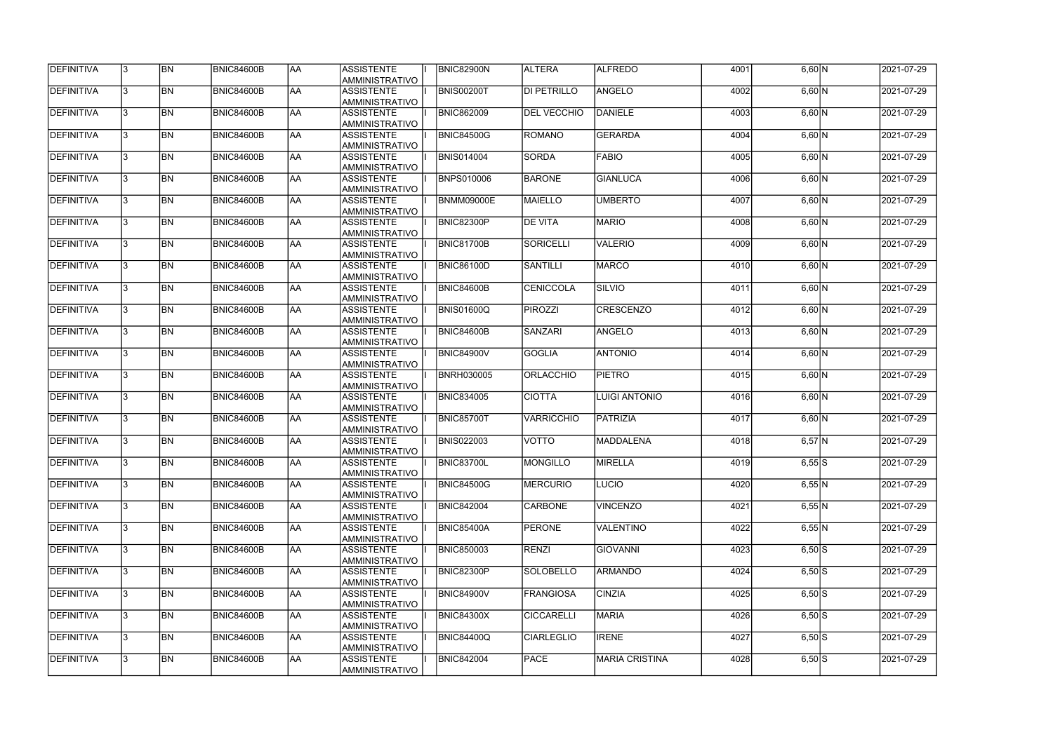| DEFINITIVA        |   | <b>BN</b> | <b>BNIC84600B</b> | AA              | ASSISTENTE<br>AMMINISTRATIVO         | BNIC82900N        | <b>ALTERA</b>      | <b>ALFREDO</b>        | 4001 | 6,60 N   | 2021-07-29 |
|-------------------|---|-----------|-------------------|-----------------|--------------------------------------|-------------------|--------------------|-----------------------|------|----------|------------|
| <b>DEFINITIVA</b> | 3 | <b>BN</b> | <b>BNIC84600B</b> | AA              | <b>ASSISTENTE</b><br>AMMINISTRATIVO  | <b>BNIS00200T</b> | DI PETRILLO        | <b>ANGELO</b>         | 4002 | 6,60 N   | 2021-07-29 |
| DEFINITIVA        |   | <b>BN</b> | <b>BNIC84600B</b> | AA              | <b>ASSISTENTE</b><br>AMMINISTRATIVO  | <b>BNIC862009</b> | <b>DEL VECCHIO</b> | <b>DANIELE</b>        | 4003 | 6,60 N   | 2021-07-29 |
| DEFINITIVA        |   | <b>BN</b> | BNIC84600B        | AA              | <b>ASSISTENTE</b><br>AMMINISTRATIVO  | <b>BNIC84500G</b> | ROMANO             | <b>GERARDA</b>        | 4004 | 6,60 N   | 2021-07-29 |
| <b>DEFINITIVA</b> |   | <b>BN</b> | BNIC84600B        | AA              | <b>ASSISTENTE</b><br>AMMINISTRATIVO  | <b>BNIS014004</b> | <b>SORDA</b>       | <b>FABIO</b>          | 4005 | $6,60$ N | 2021-07-29 |
| DEFINITIVA        |   | <b>BN</b> | <b>BNIC84600B</b> | AA              | <b>ASSISTENTE</b><br>AMMINISTRATIVO  | <b>BNPS010006</b> | <b>BARONE</b>      | <b>GIANLUCA</b>       | 4006 | $6,60$ N | 2021-07-29 |
| DEFINITIVA        |   | <b>BN</b> | <b>BNIC84600B</b> | AA              | <b>ASSISTENTE</b><br>AMMINISTRATIVO  | <b>BNMM09000E</b> | MAIELLO            | <b>UMBERTO</b>        | 4007 | 6,60 N   | 2021-07-29 |
| <b>DEFINITIVA</b> |   | <b>BN</b> | <b>BNIC84600B</b> | AA              | <b>ASSISTENTE</b><br>AMMINISTRATIVO  | <b>BNIC82300P</b> | <b>DE VITA</b>     | <b>MARIO</b>          | 4008 | 6,60 N   | 2021-07-29 |
| DEFINITIVA        |   | <b>BN</b> | <b>BNIC84600B</b> | AA              | <b>ASSISTENTE</b><br>AMMINISTRATIVO  | <b>BNIC81700B</b> | SORICELLI          | <b>VALERIO</b>        | 4009 | 6,60 N   | 2021-07-29 |
| DEFINITIVA        |   | <b>BN</b> | <b>BNIC84600B</b> | AA              | <b>ASSISTENTE</b><br>AMMINISTRATIVO  | <b>BNIC86100D</b> | <b>SANTILLI</b>    | <b>MARCO</b>          | 4010 | 6,60 N   | 2021-07-29 |
| DEFINITIVA        |   | <b>BN</b> | <b>BNIC84600B</b> | AA              | <b>ASSISTENTE</b><br>AMMINISTRATIVO  | <b>BNIC84600B</b> | <b>CENICCOLA</b>   | SILVIO                | 4011 | 6,60 N   | 2021-07-29 |
| <b>DEFINITIVA</b> |   | <b>BN</b> | BNIC84600B        | AA              | <b>ASSISTENTE</b><br>AMMINISTRATIVO  | <b>BNIS01600Q</b> | PIROZZI            | <b>CRESCENZO</b>      | 4012 | 6,60 N   | 2021-07-29 |
| DEFINITIVA        |   | <b>BN</b> | <b>BNIC84600B</b> | $\overline{AA}$ | <b>ASSISTENTE</b><br>AMMINISTRATIVO  | <b>BNIC84600B</b> | <b>SANZARI</b>     | ANGELO                | 4013 | 6,60 N   | 2021-07-29 |
| <b>DEFINITIVA</b> |   | <b>BN</b> | <b>BNIC84600B</b> | AA              | <b>ASSISTENTE</b><br>AMMINISTRATIVO  | <b>BNIC84900V</b> | <b>GOGLIA</b>      | <b>ANTONIO</b>        | 4014 | 6,60 N   | 2021-07-29 |
| <b>DEFINITIVA</b> |   | <b>BN</b> | <b>BNIC84600B</b> | AA              | <b>ASSISTENTE</b><br>AMMINISTRATIVO  | <b>BNRH030005</b> | <b>ORLACCHIO</b>   | <b>PIETRO</b>         | 4015 | 6,60 N   | 2021-07-29 |
| <b>DEFINITIVA</b> |   | <b>BN</b> | <b>BNIC84600B</b> | AA              | <b>ASSISTENTE</b><br>AMMINISTRATIVO  | <b>BNIC834005</b> | <b>CIOTTA</b>      | LUIGI ANTONIO         | 4016 | 6,60 N   | 2021-07-29 |
| <b>DEFINITIVA</b> |   | <b>BN</b> | BNIC84600B        | <b>AA</b>       | <b>ASSISTENTE</b><br>AMMINISTRATIVO  | <b>BNIC85700T</b> | <b>VARRICCHIO</b>  | <b>PATRIZIA</b>       | 4017 | 6,60 N   | 2021-07-29 |
| DEFINITIVA        |   | <b>BN</b> | BNIC84600B        | AA              | <b>ASSISTENTE</b><br>AMMINISTRATIVO  | <b>BNIS022003</b> | <b>VOTTO</b>       | <b>MADDALENA</b>      | 4018 | $6,57$ N | 2021-07-29 |
| <b>DEFINITIVA</b> |   | <b>BN</b> | <b>BNIC84600B</b> | AA              | <b>ASSISTENTE</b><br>IAMMINISTRATIVO | <b>BNIC83700L</b> | <b>MONGILLO</b>    | <b>MIRELLA</b>        | 4019 | $6,55$ S | 2021-07-29 |
| <b>DEFINITIVA</b> |   | <b>BN</b> | <b>BNIC84600B</b> | AA              | <b>ASSISTENTE</b><br>AMMINISTRATIVO  | <b>BNIC84500G</b> | MERCURIO           | <b>LUCIO</b>          | 4020 | $6,55$ N | 2021-07-29 |
| DEFINITIVA        |   | <b>BN</b> | <b>BNIC84600B</b> | AA              | ASSISTENTE<br>AMMINISTRATIVO         | <b>BNIC842004</b> | <b>CARBONE</b>     | <b>VINCENZO</b>       | 4021 | $6,55$ N | 2021-07-29 |
| <b>DEFINITIVA</b> |   | <b>BN</b> | <b>BNIC84600B</b> | AA              | ASSISTENTE<br>AMMINISTRATIVO         | <b>BNIC85400A</b> | <b>PERONE</b>      | <b>VALENTINO</b>      | 4022 | $6,55$ N | 2021-07-29 |
| <b>DEFINITIVA</b> |   | <b>BN</b> | <b>BNIC84600B</b> | AA              | ASSISTENTE<br>AMMINISTRATIVO         | <b>BNIC850003</b> | RENZI              | <b>GIOVANNI</b>       | 4023 | $6,50$ S | 2021-07-29 |
| <b>DEFINITIVA</b> |   | <b>BN</b> | <b>BNIC84600B</b> | AA              | <b>ASSISTENTE</b><br>AMMINISTRATIVO  | <b>BNIC82300P</b> | SOLOBELLO          | <b>ARMANDO</b>        | 4024 | $6,50$ S | 2021-07-29 |
| DEFINITIVA        |   | <b>BN</b> | <b>BNIC84600B</b> | AA              | <b>ASSISTENTE</b><br>AMMINISTRATIVO  | <b>BNIC84900V</b> | <b>FRANGIOSA</b>   | <b>CINZIA</b>         | 4025 | $6,50$ S | 2021-07-29 |
| DEFINITIVA        |   | <b>BN</b> | <b>BNIC84600B</b> | AA              | <b>ASSISTENTE</b><br>AMMINISTRATIVO  | <b>BNIC84300X</b> | <b>CICCARELLI</b>  | <b>MARIA</b>          | 4026 | $6,50$ S | 2021-07-29 |
| <b>DEFINITIVA</b> |   | <b>BN</b> | <b>BNIC84600B</b> | AA              | <b>ASSISTENTE</b><br>AMMINISTRATIVO  | <b>BNIC84400Q</b> | <b>CIARLEGLIO</b>  | <b>IRENE</b>          | 4027 | $6,50$ S | 2021-07-29 |
| <b>DEFINITIVA</b> |   | <b>BN</b> | <b>BNIC84600B</b> | AA              | ASSISTENTE<br>AMMINISTRATIVO         | <b>BNIC842004</b> | PACE               | <b>MARIA CRISTINA</b> | 4028 | $6,50$ S | 2021-07-29 |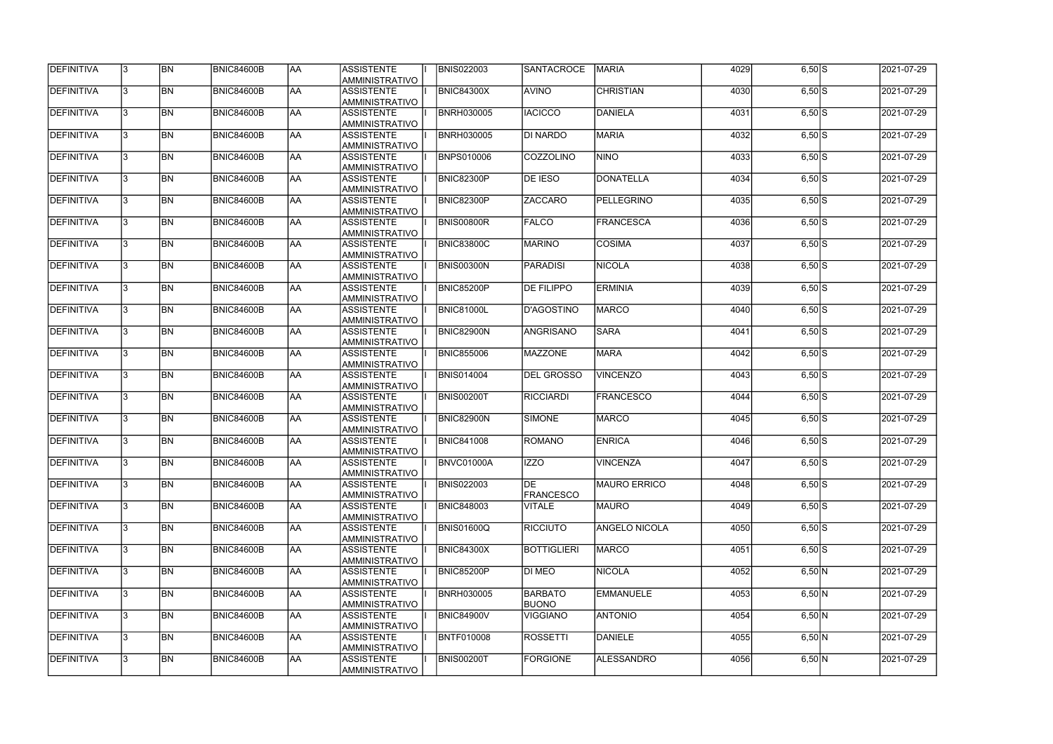| DEFINITIVA        | 13. | <b>BN</b> | BNIC84600B        | <b>AA</b> | <b>ASSISTENTE</b><br>AMMINISTRATIVO        | <b>BNIS022003</b> | <b>SANTACROCE</b>              | <b>MARIA</b>         | 4029 | $6,50$ S | 2021-07-29 |
|-------------------|-----|-----------|-------------------|-----------|--------------------------------------------|-------------------|--------------------------------|----------------------|------|----------|------------|
| DEFINITIVA        | 13. | <b>BN</b> | <b>BNIC84600B</b> | laa       | <b>ASSISTENTE</b><br>AMMINISTRATIVO        | <b>BNIC84300X</b> | <b>AVINO</b>                   | <b>CHRISTIAN</b>     | 4030 | $6,50$ S | 2021-07-29 |
| DEFINITIVA        | 13. | <b>BN</b> | <b>BNIC84600B</b> | laa       | <b>ASSISTENTE</b><br>AMMINISTRATIVO        | <b>BNRH030005</b> | <b>IACICCO</b>                 | <b>DANIELA</b>       | 4031 | $6,50$ S | 2021-07-29 |
| DEFINITIVA        | l3. | <b>BN</b> | <b>BNIC84600B</b> | AA        | <b>ASSISTENTE</b><br>AMMINISTRATIVO        | <b>BNRH030005</b> | <b>DI NARDO</b>                | <b>MARIA</b>         | 4032 | $6,50$ S | 2021-07-29 |
| DEFINITIVA        | l3. | <b>BN</b> | BNIC84600B        | <b>AA</b> | <b>ASSISTENTE</b><br>AMMINISTRATIVO        | <b>BNPS010006</b> | <b>COZZOLINO</b>               | <b>NINO</b>          | 4033 | $6,50$ S | 2021-07-29 |
| DEFINITIVA        | l3. | <b>BN</b> | BNIC84600B        | laa       | <b>ASSISTENTE</b><br>AMMINISTRATIVO        | BNIC82300P        | <b>DE IESO</b>                 | <b>DONATELLA</b>     | 4034 | $6,50$ S | 2021-07-29 |
| <b>DEFINITIVA</b> | 3   | <b>BN</b> | <b>BNIC84600B</b> | laa       | <b>ASSISTENTE</b><br>AMMINISTRATIVO        | BNIC82300P        | <b>ZACCARO</b>                 | <b>PELLEGRINO</b>    | 4035 | $6,50$ S | 2021-07-29 |
| DEFINITIVA        |     | <b>BN</b> | <b>BNIC84600B</b> | laa       | <b>ASSISTENTE</b><br><b>AMMINISTRATIVO</b> | BNIS00800R        | <b>FALCO</b>                   | <b>FRANCESCA</b>     | 4036 | $6,50$ S | 2021-07-29 |
| DEFINITIVA        |     | <b>BN</b> | <b>BNIC84600B</b> | laa       | <b>ASSISTENTE</b><br>AMMINISTRATIVO        | BNIC83800C        | <b>MARINO</b>                  | <b>COSIMA</b>        | 4037 | $6,50$ S | 2021-07-29 |
| DEFINITIVA        | l3. | <b>BN</b> | <b>BNIC84600B</b> | laa       | <b>ASSISTENTE</b><br>AMMINISTRATIVO        | BNIS00300N        | PARADISI                       | <b>NICOLA</b>        | 4038 | $6,50$ S | 2021-07-29 |
| DEFINITIVA        | l3. | <b>BN</b> | <b>BNIC84600B</b> | AA        | <b>ASSISTENTE</b><br>AMMINISTRATIVO        | <b>BNIC85200P</b> | <b>DE FILIPPO</b>              | <b>ERMINIA</b>       | 4039 | $6,50$ S | 2021-07-29 |
| DEFINITIVA        | l3. | <b>BN</b> | <b>BNIC84600B</b> | AA        | <b>ASSISTENTE</b><br>AMMINISTRATIVO        | BNIC81000L        | D'AGOSTINO                     | <b>MARCO</b>         | 4040 | $6,50$ S | 2021-07-29 |
| DEFINITIVA        | 3   | <b>BN</b> | BNIC84600B        | laa       | <b>ASSISTENTE</b><br>AMMINISTRATIVO        | <b>BNIC82900N</b> | ANGRISANO                      | <b>SARA</b>          | 4041 | $6,50$ S | 2021-07-29 |
| DEFINITIVA        | 3   | <b>BN</b> | <b>BNIC84600B</b> | AA        | <b>ASSISTENTE</b><br>AMMINISTRATIVO        | <b>BNIC855006</b> | <b>MAZZONE</b>                 | <b>MARA</b>          | 4042 | $6,50$ S | 2021-07-29 |
| DEFINITIVA        | 3   | <b>BN</b> | <b>BNIC84600B</b> | laa       | <b>ASSISTENTE</b><br>AMMINISTRATIVO        | <b>BNIS014004</b> | <b>DEL GROSSO</b>              | <b>VINCENZO</b>      | 4043 | $6,50$ S | 2021-07-29 |
| DEFINITIVA        | l3. | <b>BN</b> | <b>BNIC84600B</b> | laa       | <b>ASSISTENTE</b><br>AMMINISTRATIVO        | <b>BNIS00200T</b> | <b>RICCIARDI</b>               | <b>FRANCESCO</b>     | 4044 | $6,50$ S | 2021-07-29 |
| DEFINITIVA        |     | <b>BN</b> | <b>BNIC84600B</b> | laa       | <b>ASSISTENTE</b><br>AMMINISTRATIVO        | <b>BNIC82900N</b> | <b>SIMONE</b>                  | <b>MARCO</b>         | 4045 | $6,50$ S | 2021-07-29 |
| DEFINITIVA        | l3. | <b>BN</b> | <b>BNIC84600B</b> | AA        | <b>ASSISTENTE</b><br>AMMINISTRATIVO        | <b>BNIC841008</b> | ROMANO                         | <b>ENRICA</b>        | 4046 | $6,50$ S | 2021-07-29 |
| <b>DEFINITIVA</b> | 13  | <b>BN</b> | <b>BNIC84600B</b> | AA        | <b>ASSISTENTE</b><br>AMMINISTRATIVO        | BNVC01000A        | <b>IZZO</b>                    | <b>VINCENZA</b>      | 4047 | $6,50$ S | 2021-07-29 |
| DEFINITIVA        | 13. | <b>BN</b> | <b>BNIC84600B</b> | AA        | <b>ASSISTENTE</b><br>AMMINISTRATIVO        | <b>BNIS022003</b> | <b>IDE</b><br>FRANCESCO        | IMAURO ERRICO        | 4048 | $6,50$ S | 2021-07-29 |
| DEFINITIVA        | I3. | <b>BN</b> | <b>BNIC84600B</b> | AA        | <b>ASSISTENTE</b><br>AMMINISTRATIVO        | <b>BNIC848003</b> | <b>VITALE</b>                  | <b>MAURO</b>         | 4049 | $6,50$ S | 2021-07-29 |
| DEFINITIVA        | l3. | <b>BN</b> | <b>BNIC84600B</b> | AA        | <b>ASSISTENTE</b><br>AMMINISTRATIVO        | <b>BNIS01600Q</b> | <b>RICCIUTO</b>                | <b>ANGELO NICOLA</b> | 4050 | $6,50$ S | 2021-07-29 |
| DEFINITIVA        | 3   | <b>BN</b> | <b>BNIC84600B</b> | laa       | <b>ASSISTENTE</b><br>AMMINISTRATIVO        | <b>BNIC84300X</b> | <b>BOTTIGLIERI</b>             | <b>MARCO</b>         | 4051 | $6,50$ S | 2021-07-29 |
| DEFINITIVA        | l3. | <b>BN</b> | <b>BNIC84600B</b> | AA        | <b>ASSISTENTE</b><br>AMMINISTRATIVO        | BNIC85200P        | DI MEO                         | <b>NICOLA</b>        | 4052 | 6,50 N   | 2021-07-29 |
| DEFINITIVA        |     | <b>BN</b> | <b>BNIC84600B</b> | AA        | <b>ASSISTENTE</b><br>AMMINISTRATIVO        | <b>BNRH030005</b> | <b>BARBATO</b><br><b>BUONO</b> | <b>EMMANUELE</b>     | 4053 | 6,50 N   | 2021-07-29 |
| DEFINITIVA        | I3. | <b>BN</b> | BNIC84600B        | laa       | <b>ASSISTENTE</b><br>AMMINISTRATIVO        | <b>BNIC84900V</b> | <b>VIGGIANO</b>                | <b>ANTONIO</b>       | 4054 | 6,50 N   | 2021-07-29 |
| DEFINITIVA        | 13. | <b>BN</b> | <b>BNIC84600B</b> | AA        | <b>ASSISTENTE</b><br>AMMINISTRATIVO        | <b>BNTF010008</b> | <b>ROSSETTI</b>                | <b>DANIELE</b>       | 4055 | 6,50 N   | 2021-07-29 |
| DEFINITIVA        |     | <b>BN</b> | <b>BNIC84600B</b> | AA        | <b>ASSISTENTE</b><br>AMMINISTRATIVO        | <b>BNIS00200T</b> | <b>FORGIONE</b>                | <b>ALESSANDRO</b>    | 4056 | 6,50 N   | 2021-07-29 |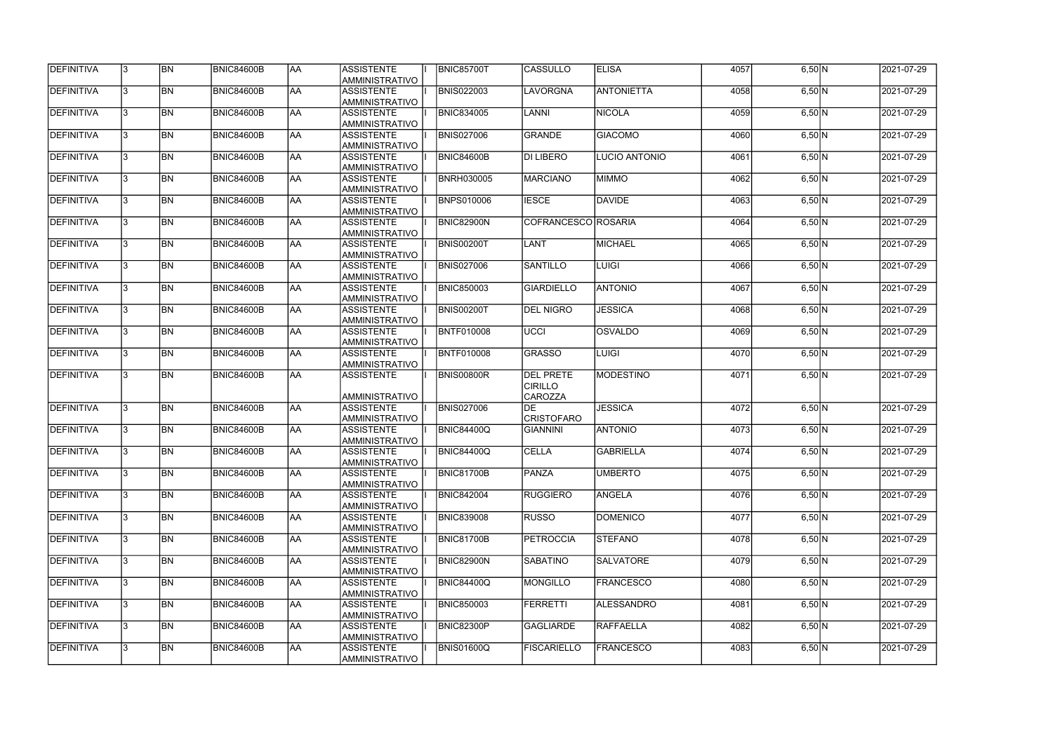| <b>DEFINITIVA</b> | IЗ | <b>BN</b> | <b>BNIC84600B</b> | <b>AA</b> | ASSISTENTE<br>AMMINISTRATIVO         | <b>BNIC85700T</b> | CASSULLO                                      | <b>ELISA</b>      | 4057 | 6,50 N | 2021-07-29 |
|-------------------|----|-----------|-------------------|-----------|--------------------------------------|-------------------|-----------------------------------------------|-------------------|------|--------|------------|
| <b>DEFINITIVA</b> | З  | <b>BN</b> | <b>BNIC84600B</b> | AA        | <b>ASSISTENTE</b><br>AMMINISTRATIVO  | <b>BNIS022003</b> | <b>LAVORGNA</b>                               | <b>ANTONIETTA</b> | 4058 | 6,50 N | 2021-07-29 |
| DEFINITIVA        |    | <b>BN</b> | <b>BNIC84600B</b> | AA        | <b>ASSISTENTE</b><br>AMMINISTRATIVO  | <b>BNIC834005</b> | <b>LANNI</b>                                  | <b>NICOLA</b>     | 4059 | 6,50 N | 2021-07-29 |
| <b>DEFINITIVA</b> |    | lbn       | BNIC84600B        | AA        | ASSISTENTE<br>AMMINISTRATIVO         | <b>BNIS027006</b> | <b>GRANDE</b>                                 | <b>GIACOMO</b>    | 4060 | 6,50 N | 2021-07-29 |
| DEFINITIVA        |    | <b>BN</b> | <b>BNIC84600B</b> | AA        | <b>ASSISTENTE</b><br>AMMINISTRATIVO  | <b>BNIC84600B</b> | <b>DI LIBERO</b>                              | LUCIO ANTONIO     | 4061 | 6,50 N | 2021-07-29 |
| <b>DEFINITIVA</b> |    | <b>BN</b> | <b>BNIC84600B</b> | AA        | ASSISTENTE<br>AMMINISTRATIVO         | <b>BNRH030005</b> | MARCIANO                                      | <b>MIMMO</b>      | 4062 | 6,50 N | 2021-07-29 |
| DEFINITIVA        |    | <b>BN</b> | <b>BNIC84600B</b> | AA        | <b>ASSISTENTE</b><br>AMMINISTRATIVO  | <b>BNPS010006</b> | <b>IESCE</b>                                  | <b>DAVIDE</b>     | 4063 | 6,50 N | 2021-07-29 |
| <b>DEFINITIVA</b> |    | <b>BN</b> | <b>BNIC84600B</b> | AA        | <b>ASSISTENTE</b><br>AMMINISTRATIVO  | BNIC82900N        | COFRANCESCO ROSARIA                           |                   | 4064 | 6,50 N | 2021-07-29 |
| DEFINITIVA        |    | <b>BN</b> | <b>BNIC84600B</b> | AA        | <b>ASSISTENTE</b><br>AMMINISTRATIVO  | <b>BNIS00200T</b> | <b>LANT</b>                                   | <b>MICHAEL</b>    | 4065 | 6,50 N | 2021-07-29 |
| DEFINITIVA        |    | <b>BN</b> | <b>BNIC84600B</b> | AA        | <b>ASSISTENTE</b><br>Iamministrativo | <b>BNIS027006</b> | <b>SANTILLO</b>                               | <b>LUIGI</b>      | 4066 | 6,50 N | 2021-07-29 |
| DEFINITIVA        |    | <b>BN</b> | BNIC84600B        | AA        | <b>ASSISTENTE</b><br>AMMINISTRATIVO  | <b>BNIC850003</b> | <b>GIARDIELLO</b>                             | <b>ANTONIO</b>    | 4067 | 6,50 N | 2021-07-29 |
| <b>DEFINITIVA</b> |    | <b>BN</b> | BNIC84600B        | AA        | ASSISTENTE<br>AMMINISTRATIVO         | <b>BNIS00200T</b> | <b>DEL NIGRO</b>                              | <b>JESSICA</b>    | 4068 | 6,50 N | 2021-07-29 |
| <b>DEFINITIVA</b> |    | <b>BN</b> | <b>BNIC84600B</b> | AA        | <b>ASSISTENTE</b><br>AMMINISTRATIVO  | <b>BNTF010008</b> | <b>UCCI</b>                                   | <b>OSVALDO</b>    | 4069 | 6,50 N | 2021-07-29 |
| DEFINITIVA        |    | <b>BN</b> | <b>BNIC84600B</b> | AA        | <b>ASSISTENTE</b><br>AMMINISTRATIVO  | <b>BNTF010008</b> | <b>GRASSO</b>                                 | LUIGI             | 4070 | 6,50 N | 2021-07-29 |
| DEFINITIVA        |    | <b>BN</b> | <b>BNIC84600B</b> | AA        | <b>ASSISTENTE</b><br>AMMINISTRATIVO  | <b>BNIS00800R</b> | <b>DEL PRETE</b><br><b>CIRILLO</b><br>CAROZZA | <b>MODESTINO</b>  | 4071 | 6,50 N | 2021-07-29 |
| DEFINITIVA        |    | <b>BN</b> | <b>BNIC84600B</b> | AA        | <b>ASSISTENTE</b><br>AMMINISTRATIVO  | <b>BNIS027006</b> | <b>DE</b><br><b>CRISTOFARO</b>                | <b>JESSICA</b>    | 4072 | 6,50 N | 2021-07-29 |
| DEFINITIVA        |    | <b>BN</b> | <b>BNIC84600B</b> | AA        | <b>ASSISTENTE</b><br>AMMINISTRATIVO  | <b>BNIC84400Q</b> | <b>GIANNINI</b>                               | <b>ANTONIO</b>    | 4073 | 6,50 N | 2021-07-29 |
| <b>DEFINITIVA</b> |    | <b>BN</b> | <b>BNIC84600B</b> | AA        | <b>ASSISTENTE</b><br>AMMINISTRATIVO  | <b>BNIC84400Q</b> | <b>CELLA</b>                                  | <b>GABRIELLA</b>  | 4074 | 6,50 N | 2021-07-29 |
| DEFINITIVA        |    | <b>BN</b> | <b>BNIC84600B</b> | AA        | <b>ASSISTENTE</b><br> AMMINISTRATIVO | <b>BNIC81700B</b> | <b>PANZA</b>                                  | <b>UMBERTO</b>    | 4075 | 6,50 N | 2021-07-29 |
| DEFINITIVA        |    | <b>BN</b> | BNIC84600B        | AA        | ASSISTENTE<br>AMMINISTRATIVO         | <b>BNIC842004</b> | <b>RUGGIERO</b>                               | ANGELA            | 4076 | 6,50 N | 2021-07-29 |
| <b>DEFINITIVA</b> |    | <b>BN</b> | <b>BNIC84600B</b> | AA        | <b>ASSISTENTE</b><br>AMMINISTRATIVO  | <b>BNIC839008</b> | <b>RUSSO</b>                                  | <b>DOMENICO</b>   | 4077 | 6,50 N | 2021-07-29 |
| <b>DEFINITIVA</b> |    | <b>BN</b> | <b>BNIC84600B</b> | AA        | ASSISTENTE<br>AMMINISTRATIVO         | <b>BNIC81700B</b> | <b>PETROCCIA</b>                              | <b>STEFANO</b>    | 4078 | 6,50 N | 2021-07-29 |
| <b>DEFINITIVA</b> |    | <b>BN</b> | BNIC84600B        | AA        | <b>ASSISTENTE</b><br>AMMINISTRATIVO  | <b>BNIC82900N</b> | <b>SABATINO</b>                               | <b>SALVATORE</b>  | 4079 | 6,50 N | 2021-07-29 |
| DEFINITIVA        |    | <b>BN</b> | <b>BNIC84600B</b> | AA        | <b>ASSISTENTE</b><br>AMMINISTRATIVO  | <b>BNIC84400Q</b> | <b>MONGILLO</b>                               | <b>FRANCESCO</b>  | 4080 | 6,50 N | 2021-07-29 |
| DEFINITIVA        |    | <b>BN</b> | <b>BNIC84600B</b> | AA        | <b>ASSISTENTE</b><br>AMMINISTRATIVO  | <b>BNIC850003</b> | <b>FERRETTI</b>                               | <b>ALESSANDRO</b> | 4081 | 6,50 N | 2021-07-29 |
| <b>DEFINITIVA</b> |    | <b>BN</b> | <b>BNIC84600B</b> | AA        | ASSISTENTE<br>AMMINISTRATIVO         | <b>BNIC82300P</b> | <b>GAGLIARDE</b>                              | <b>RAFFAELLA</b>  | 4082 | 6,50 N | 2021-07-29 |
| <b>DEFINITIVA</b> |    | <b>BN</b> | <b>BNIC84600B</b> | AA        | <b>ASSISTENTE</b><br>AMMINISTRATIVO  | <b>BNIS01600Q</b> | <b>FISCARIELLO</b>                            | <b>FRANCESCO</b>  | 4083 | 6,50 N | 2021-07-29 |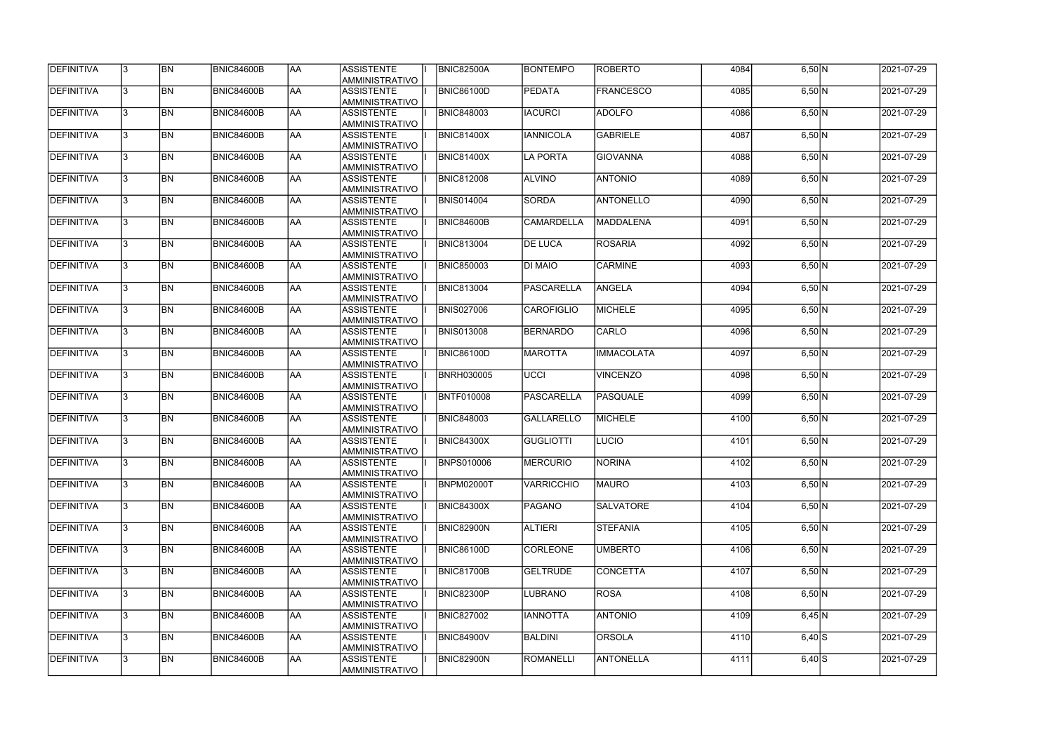| <b>DEFINITIVA</b> | 13. | <b>BN</b> | <b>BNIC84600B</b> | AA        | <b>ASSISTENTE</b><br>AMMINISTRATIVO        | <b>BNIC82500A</b> | <b>BONTEMPO</b>   | <b>ROBERTO</b>    | 4084 | 6,50 N   | 2021-07-29 |
|-------------------|-----|-----------|-------------------|-----------|--------------------------------------------|-------------------|-------------------|-------------------|------|----------|------------|
| <b>DEFINITIVA</b> | 13. | <b>BN</b> | <b>BNIC84600B</b> | laa       | <b>ASSISTENTE</b><br>AMMINISTRATIVO        | <b>BNIC86100D</b> | PEDATA            | <b>FRANCESCO</b>  | 4085 | 6,50 N   | 2021-07-29 |
| DEFINITIVA        | l3. | <b>BN</b> | <b>BNIC84600B</b> | AA        | <b>ASSISTENTE</b><br>AMMINISTRATIVO        | <b>BNIC848003</b> | <b>IACURCI</b>    | <b>ADOLFO</b>     | 4086 | 6,50 N   | 2021-07-29 |
| <b>DEFINITIVA</b> | l3. | <b>BN</b> | BNIC84600B        | <b>AA</b> | <b>ASSISTENTE</b><br>AMMINISTRATIVO        | <b>BNIC81400X</b> | <b>IANNICOLA</b>  | <b>GABRIELE</b>   | 4087 | $6,50$ N | 2021-07-29 |
| DEFINITIVA        | l3. | <b>BN</b> | <b>BNIC84600B</b> | laa       | <b>ASSISTENTE</b><br>AMMINISTRATIVO        | BNIC81400X        | <b>LA PORTA</b>   | <b>GIOVANNA</b>   | 4088 | 6,50 N   | 2021-07-29 |
| DEFINITIVA        | l3  | <b>BN</b> | <b>BNIC84600B</b> | laa       | <b>ASSISTENTE</b><br>AMMINISTRATIVO        | <b>BNIC812008</b> | <b>ALVINO</b>     | <b>ANTONIO</b>    | 4089 | 6,50 N   | 2021-07-29 |
| DEFINITIVA        |     | <b>BN</b> | <b>BNIC84600B</b> | laa       | <b>ASSISTENTE</b><br><b>AMMINISTRATIVO</b> | <b>BNIS014004</b> | SORDA             | <b>ANTONELLO</b>  | 4090 | 6,50 N   | 2021-07-29 |
| DEFINITIVA        |     | <b>BN</b> | <b>BNIC84600B</b> | laa       | <b>ASSISTENTE</b><br>AMMINISTRATIVO        | BNIC84600B        | <b>CAMARDELLA</b> | <b>MADDALENA</b>  | 4091 | 6,50 N   | 2021-07-29 |
| DEFINITIVA        | l3. | <b>BN</b> | <b>BNIC84600B</b> | AA        | <b>ASSISTENTE</b><br>AMMINISTRATIVO        | <b>BNIC813004</b> | <b>DE LUCA</b>    | <b>ROSARIA</b>    | 4092 | 6,50 N   | 2021-07-29 |
| DEFINITIVA        | l3. | <b>BN</b> | <b>BNIC84600B</b> | laa       | <b>ASSISTENTE</b><br>AMMINISTRATIVO        | <b>BNIC850003</b> | <b>DI MAIO</b>    | <b>CARMINE</b>    | 4093 | 6,50 N   | 2021-07-29 |
| DEFINITIVA        | l3. | <b>BN</b> | <b>BNIC84600B</b> | AA        | <b>ASSISTENTE</b><br>AMMINISTRATIVO        | <b>BNIC813004</b> | PASCARELLA        | <b>ANGELA</b>     | 4094 | 6,50 N   | 2021-07-29 |
| DEFINITIVA        | 3   | <b>BN</b> | <b>BNIC84600B</b> | <b>AA</b> | <b>ASSISTENTE</b><br>AMMINISTRATIVO        | <b>BNIS027006</b> | <b>CAROFIGLIO</b> | <b>MICHELE</b>    | 4095 | 6,50 N   | 2021-07-29 |
| DEFINITIVA        | l3. | <b>BN</b> | <b>BNIC84600B</b> | laa       | <b>ASSISTENTE</b><br>AMMINISTRATIVO        | <b>BNIS013008</b> | <b>BERNARDO</b>   | CARLO             | 4096 | 6,50 N   | 2021-07-29 |
| DEFINITIVA        | 3   | <b>BN</b> | <b>BNIC84600B</b> | laa       | <b>ASSISTENTE</b><br>AMMINISTRATIVO        | <b>BNIC86100D</b> | <b>MAROTTA</b>    | <b>IMMACOLATA</b> | 4097 | 6,50 N   | 2021-07-29 |
| DEFINITIVA        | 3   | <b>BN</b> | <b>BNIC84600B</b> | laa       | <b>ASSISTENTE</b><br><b>AMMINISTRATIVO</b> | <b>BNRH030005</b> | UCCI              | <b>VINCENZO</b>   | 4098 | 6,50 N   | 2021-07-29 |
| DEFINITIVA        | 3   | <b>BN</b> | <b>BNIC84600B</b> | laa       | <b>ASSISTENTE</b><br>AMMINISTRATIVO        | <b>BNTF010008</b> | <b>PASCARELLA</b> | <b>PASQUALE</b>   | 4099 | 6,50 N   | 2021-07-29 |
| DEFINITIVA        | l3. | <b>BN</b> | <b>BNIC84600B</b> | laa       | <b>ASSISTENTE</b><br>AMMINISTRATIVO        | <b>BNIC848003</b> | <b>GALLARELLO</b> | <b>MICHELE</b>    | 4100 | 6,50 N   | 2021-07-29 |
| DEFINITIVA        | l3. | <b>BN</b> | <b>BNIC84600B</b> | AA        | <b>ASSISTENTE</b><br>AMMINISTRATIVO        | <b>BNIC84300X</b> | <b>GUGLIOTTI</b>  | <b>LUCIO</b>      | 4101 | 6,50 N   | 2021-07-29 |
| DEFINITIVA        | 13  | <b>BN</b> | <b>BNIC84600B</b> | <b>AA</b> | <b>ASSISTENTE</b><br>AMMINISTRATIVO        | <b>BNPS010006</b> | <b>MERCURIO</b>   | NORINA            | 4102 | 6,50 N   | 2021-07-29 |
| <b>DEFINITIVA</b> | l3. | <b>BN</b> | <b>BNIC84600B</b> | AA        | <b>ASSISTENTE</b><br>AMMINISTRATIVO        | BNPM02000T        | <b>VARRICCHIO</b> | <b>MAURO</b>      | 4103 | 6,50 N   | 2021-07-29 |
| DEFINITIVA        | 13. | <b>BN</b> | <b>BNIC84600B</b> | AA        | <b>ASSISTENTE</b><br>AMMINISTRATIVO        | <b>BNIC84300X</b> | PAGANO            | <b>SALVATORE</b>  | 4104 | 6,50 N   | 2021-07-29 |
| DEFINITIVA        | 3   | <b>BN</b> | <b>BNIC84600B</b> | laa       | <b>ASSISTENTE</b><br>AMMINISTRATIVO        | BNIC82900N        | <b>ALTIERI</b>    | <b>STEFANIA</b>   | 4105 | 6,50 N   | 2021-07-29 |
| DEFINITIVA        |     | <b>BN</b> | BNIC84600B        | AA        | <b>ASSISTENTE</b><br>AMMINISTRATIVO        | <b>BNIC86100D</b> | <b>CORLEONE</b>   | <b>UMBERTO</b>    | 4106 | 6,50 N   | 2021-07-29 |
| DEFINITIVA        |     | <b>BN</b> | <b>BNIC84600B</b> | AA        | <b>ASSISTENTE</b><br>AMMINISTRATIVO        | <b>BNIC81700B</b> | <b>GELTRUDE</b>   | <b>CONCETTA</b>   | 4107 | 6,50 N   | 2021-07-29 |
| DEFINITIVA        | I3. | <b>BN</b> | BNIC84600B        | laa       | <b>ASSISTENTE</b><br>AMMINISTRATIVO        | BNIC82300P        | <b>LUBRANO</b>    | <b>ROSA</b>       | 4108 | 6,50 N   | 2021-07-29 |
| DEFINITIVA        | 13. | <b>BN</b> | <b>BNIC84600B</b> | AA        | <b>ASSISTENTE</b><br>AMMINISTRATIVO        | <b>BNIC827002</b> | <b>IANNOTTA</b>   | <b>ANTONIO</b>    | 4109 | $6,45$ N | 2021-07-29 |
| DEFINITIVA        | 13. | <b>BN</b> | <b>BNIC84600B</b> | AA        | <b>ASSISTENTE</b><br>AMMINISTRATIVO        | <b>BNIC84900V</b> | BALDINI           | <b>ORSOLA</b>     | 4110 | $6,40$ S | 2021-07-29 |
| DEFINITIVA        |     | <b>BN</b> | <b>BNIC84600B</b> | AA        | <b>ASSISTENTE</b><br>AMMINISTRATIVO        | <b>BNIC82900N</b> | ROMANELLI         | <b>ANTONELLA</b>  | 4111 | $6,40$ S | 2021-07-29 |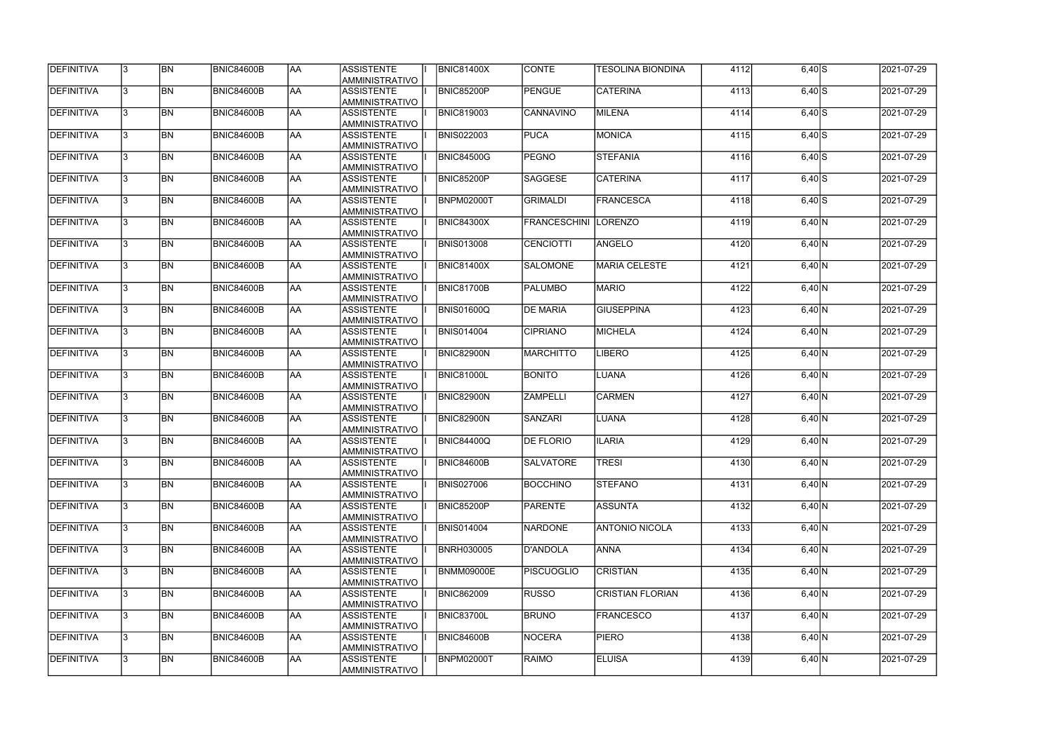| <b>DEFINITIVA</b> | 13. | <b>BN</b> | <b>BNIC84600B</b> | AA         | <b>ASSISTENTE</b><br>AMMINISTRATIVO        | <b>BNIC81400X</b> | <b>CONTE</b>      | TESOLINA BIONDINA       | 4112 | $6,40$ $S$         | 2021-07-29 |
|-------------------|-----|-----------|-------------------|------------|--------------------------------------------|-------------------|-------------------|-------------------------|------|--------------------|------------|
| DEFINITIVA        | 13. | <b>BN</b> | <b>BNIC84600B</b> | laa        | <b>ASSISTENTE</b><br>AMMINISTRATIVO        | <b>BNIC85200P</b> | PENGUE            | <b>CATERINA</b>         | 4113 | $6,40$ S           | 2021-07-29 |
| DEFINITIVA        | 13. | <b>BN</b> | <b>BNIC84600B</b> | laa        | <b>ASSISTENTE</b><br>AMMINISTRATIVO        | <b>BNIC819003</b> | <b>CANNAVINO</b>  | <b>MILENA</b>           | 4114 | $6,40$ S           | 2021-07-29 |
| DEFINITIVA        | l3. | <b>BN</b> | <b>BNIC84600B</b> | laa        | <b>ASSISTENTE</b><br>AMMINISTRATIVO        | <b>BNIS022003</b> | <b>PUCA</b>       | <b>MONICA</b>           | 4115 | $6,40$ $S$         | 2021-07-29 |
| DEFINITIVA        | 13. | <b>BN</b> | <b>BNIC84600B</b> | laa        | <b>ASSISTENTE</b><br>AMMINISTRATIVO        | <b>BNIC84500G</b> | PEGNO             | <b>STEFANIA</b>         | 4116 | $6,40$ S           | 2021-07-29 |
| DEFINITIVA        | 3   | <b>BN</b> | <b>BNIC84600B</b> | laa        | <b>ASSISTENTE</b><br>AMMINISTRATIVO        | BNIC85200P        | <b>SAGGESE</b>    | <b>CATERINA</b>         | 4117 | $6,40\overline{S}$ | 2021-07-29 |
| DEFINITIVA        |     | <b>BN</b> | <b>BNIC84600B</b> | laa        | <b>ASSISTENTE</b><br><b>AMMINISTRATIVO</b> | <b>BNPM02000T</b> | <b>GRIMALDI</b>   | <b>FRANCESCA</b>        | 4118 | $6,40$ S           | 2021-07-29 |
| DEFINITIVA        |     | <b>BN</b> | <b>BNIC84600B</b> | laa        | <b>ASSISTENTE</b><br>AMMINISTRATIVO        | <b>BNIC84300X</b> | FRANCESCHINI      | <b>LORENZO</b>          | 4119 | 6,40 N             | 2021-07-29 |
| DEFINITIVA        |     | <b>BN</b> | <b>BNIC84600B</b> | laa        | <b>ASSISTENTE</b><br>AMMINISTRATIVO        | <b>BNIS013008</b> | <b>CENCIOTTI</b>  | <b>ANGELO</b>           | 4120 | 6,40 N             | 2021-07-29 |
| DEFINITIVA        | l3. | <b>BN</b> | <b>BNIC84600B</b> | laa        | <b>ASSISTENTE</b><br>AMMINISTRATIVO        | <b>BNIC81400X</b> | <b>SALOMONE</b>   | <b>MARIA CELESTE</b>    | 4121 | 6,40 N             | 2021-07-29 |
| DEFINITIVA        | 13. | <b>BN</b> | <b>BNIC84600B</b> | laa        | <b>ASSISTENTE</b><br>AMMINISTRATIVO        | BNIC81700B        | PALUMBO           | <b>MARIO</b>            | 4122 | 6,40 N             | 2021-07-29 |
| DEFINITIVA        | 3   | <b>BN</b> | <b>BNIC84600B</b> | <b>AA</b>  | <b>ASSISTENTE</b><br>AMMINISTRATIVO        | <b>BNIS01600Q</b> | <b>DE MARIA</b>   | <b>GIUSEPPINA</b>       | 4123 | 6,40 N             | 2021-07-29 |
| DEFINITIVA        | l3. | <b>BN</b> | <b>BNIC84600B</b> | laa        | <b>ASSISTENTE</b><br>AMMINISTRATIVO        | <b>BNIS014004</b> | <b>CIPRIANO</b>   | <b>MICHELA</b>          | 4124 | 6,40 N             | 2021-07-29 |
| DEFINITIVA        | 3   | <b>BN</b> | <b>BNIC84600B</b> | AA         | <b>ASSISTENTE</b><br>AMMINISTRATIVO        | BNIC82900N        | <b>MARCHITTO</b>  | <b>IBERO</b>            | 4125 | 6,40 N             | 2021-07-29 |
| DEFINITIVA        |     | <b>BN</b> | <b>BNIC84600B</b> | AA         | <b>ASSISTENTE</b><br><b>AMMINISTRATIVO</b> | <b>BNIC81000L</b> | <b>BONITO</b>     | LUANA                   | 4126 | 6,40 N             | 2021-07-29 |
| DEFINITIVA        |     | <b>BN</b> | <b>BNIC84600B</b> | AA         | <b>ASSISTENTE</b><br>AMMINISTRATIVO        | <b>BNIC82900N</b> | <b>ZAMPELLI</b>   | <b>CARMEN</b>           | 4127 | 6,40 N             | 2021-07-29 |
| DEFINITIVA        | 3   | <b>BN</b> | <b>BNIC84600B</b> | laa        | <b>ASSISTENTE</b><br>AMMINISTRATIVO        | BNIC82900N        | <b>SANZARI</b>    | LUANA                   | 4128 | 6,40 N             | 2021-07-29 |
| DEFINITIVA        |     | <b>BN</b> | <b>BNIC84600B</b> | AA         | <b>ASSISTENTE</b><br>AMMINISTRATIVO        | <b>BNIC84400Q</b> | <b>DE FLORIO</b>  | LARIA                   | 4129 | 6,40 N             | 2021-07-29 |
| DEFINITIVA        | 13  | BN        | <b>BNIC84600B</b> | <b>JAA</b> | <b>ASSISTENTE</b><br>AMMINISTRATIVO        | <b>BNIC84600B</b> | <b>SALVATORE</b>  | <b>TRESI</b>            | 4130 | 6,40 N             | 2021-07-29 |
| <b>DEFINITIVA</b> | I3. | <b>BN</b> | <b>BNIC84600B</b> | <b>AA</b>  | <b>ASSISTENTE</b><br>AMMINISTRATIVO        | <b>BNIS027006</b> | <b>BOCCHINO</b>   | <b>STEFANO</b>          | 4131 | 6,40 N             | 2021-07-29 |
| DEFINITIVA        | l3. | <b>BN</b> | <b>BNIC84600B</b> | <b>AA</b>  | <b>ASSISTENTE</b><br>AMMINISTRATIVO        | <b>BNIC85200P</b> | <b>PARENTE</b>    | <b>ASSUNTA</b>          | 4132 | 6,40 N             | 2021-07-29 |
| DEFINITIVA        | 3   | <b>BN</b> | <b>BNIC84600B</b> | AA         | <b>ASSISTENTE</b><br>AMMINISTRATIVO        | <b>BNIS014004</b> | <b>NARDONE</b>    | <b>ANTONIO NICOLA</b>   | 4133 | 6,40 N             | 2021-07-29 |
| <b>DEFINITIVA</b> | 3   | <b>BN</b> | <b>BNIC84600B</b> | AA         | <b>ASSISTENTE</b><br>AMMINISTRATIVO        | <b>BNRH030005</b> | <b>D'ANDOLA</b>   | <b>ANNA</b>             | 4134 | 6,40 N             | 2021-07-29 |
| DEFINITIVA        |     | <b>BN</b> | <b>BNIC84600B</b> | AA         | <b>ASSISTENTE</b><br>AMMINISTRATIVO        | <b>BNMM09000E</b> | <b>PISCUOGLIO</b> | <b>CRISTIAN</b>         | 4135 | 6,40 N             | 2021-07-29 |
| DEFINITIVA        |     | <b>BN</b> | <b>BNIC84600B</b> | AA         | <b>ASSISTENTE</b><br>AMMINISTRATIVO        | <b>BNIC862009</b> | <b>RUSSO</b>      | <b>CRISTIAN FLORIAN</b> | 4136 | 6,40 N             | 2021-07-29 |
| DEFINITIVA        | I3. | <b>BN</b> | BNIC84600B        | AA         | <b>ASSISTENTE</b><br>AMMINISTRATIVO        | BNIC83700L        | <b>BRUNO</b>      | <b>FRANCESCO</b>        | 4137 | 6,40 N             | 2021-07-29 |
| DEFINITIVA        | 13. | <b>BN</b> | <b>BNIC84600B</b> | laa        | <b>ASSISTENTE</b><br>AMMINISTRATIVO        | BNIC84600B        | <b>NOCERA</b>     | <b>PIERO</b>            | 4138 | 6,40 N             | 2021-07-29 |
| DEFINITIVA        |     | <b>BN</b> | <b>BNIC84600B</b> | <b>AA</b>  | <b>ASSISTENTE</b><br>AMMINISTRATIVO        | <b>BNPM02000T</b> | RAIMO             | <b>ELUISA</b>           | 4139 | 6,40 N             | 2021-07-29 |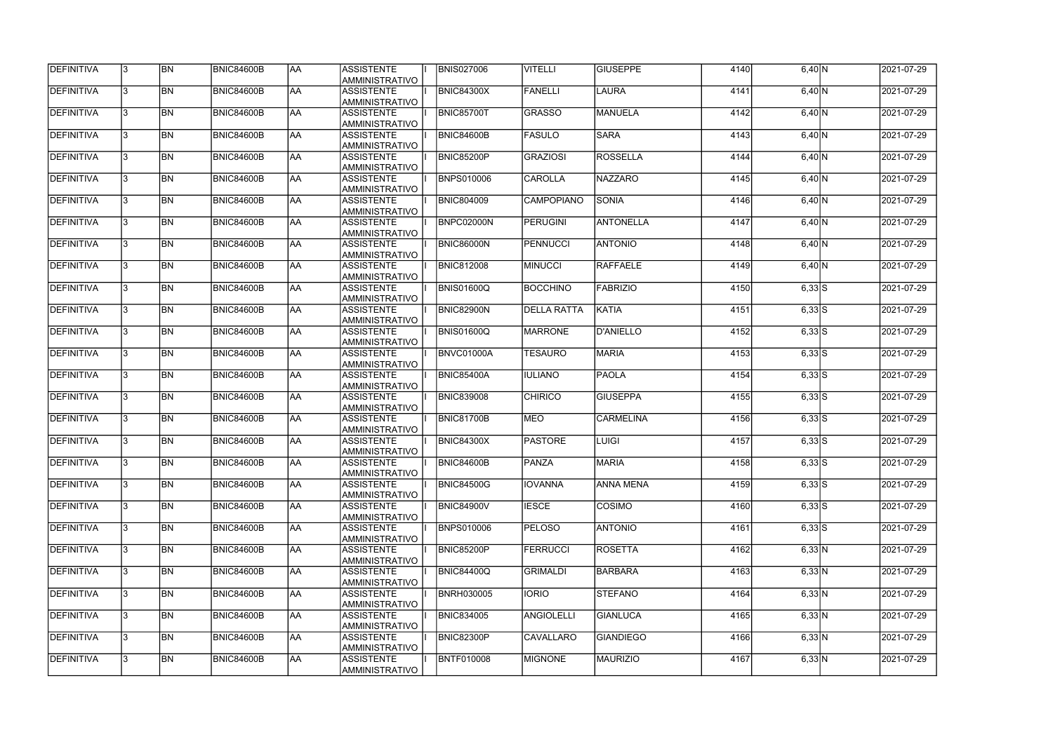| DEFINITIVA         | 13.          | <b>BN</b> | <b>BNIC84600B</b> | AA        | <b>ASSISTENTE</b><br>AMMINISTRATIVO        | <b>BNIS027006</b> | <b>VITELLI</b>     | <b>GIUSEPPE</b>  | 4140 | 6,40 N   | 2021-07-29 |
|--------------------|--------------|-----------|-------------------|-----------|--------------------------------------------|-------------------|--------------------|------------------|------|----------|------------|
| <b>DEFINITIVA</b>  | l3.          | <b>BN</b> | BNIC84600B        | AA        | <b>ASSISTENTE</b><br>AMMINISTRATIVO        | <b>BNIC84300X</b> | FANELLI            | <b>LAURA</b>     | 4141 | 6,40 N   | 2021-07-29 |
| DEFINITIVA         |              | <b>BN</b> | <b>BNIC84600B</b> | <b>AA</b> | <b>ASSISTENTE</b><br>AMMINISTRATIVO        | <b>BNIC85700T</b> | <b>GRASSO</b>      | <b>MANUELA</b>   | 4142 | $6,40$ N | 2021-07-29 |
| <b>DEFINITIVA</b>  | $\mathbf{3}$ | <b>BN</b> | BNIC84600B        | <b>AA</b> | <b>ASSISTENTE</b><br>AMMINISTRATIVO        | <b>BNIC84600B</b> | FASULO             | <b>SARA</b>      | 4143 | 6,40 N   | 2021-07-29 |
| <b>DEFINITIVA</b>  |              | <b>BN</b> | BNIC84600B        | AA        | <b>ASSISTENTE</b><br>AMMINISTRATIVO        | <b>BNIC85200P</b> | GRAZIOSI           | <b>ROSSELLA</b>  | 4144 | 6,40 N   | 2021-07-29 |
| <b>DEFINITIVA</b>  |              | <b>BN</b> | BNIC84600B        | laa       | <b>ASSISTENTE</b><br><b>AMMINISTRATIVO</b> | BNPS010006        | CAROLLA            | <b>NAZZARO</b>   | 4145 | 6,40 N   | 2021-07-29 |
| DEFINITIVA         |              | <b>BN</b> | <b>BNIC84600B</b> | <b>AA</b> | <b>ASSISTENTE</b><br>AMMINISTRATIVO        | <b>BNIC804009</b> | <b>CAMPOPIANO</b>  | <b>SONIA</b>     | 4146 | 6,40 N   | 2021-07-29 |
| DEFINITIVA         |              | <b>BN</b> | BNIC84600B        | <b>AA</b> | <b>ASSISTENTE</b><br>AMMINISTRATIVO        | <b>BNPC02000N</b> | PERUGINI           | <b>ANTONELLA</b> | 4147 | 6,40 N   | 2021-07-29 |
| DEFINITIVA         |              | <b>BN</b> | BNIC84600B        | <b>AA</b> | <b>ASSISTENTE</b><br>AMMINISTRATIVO        | <b>BNIC86000N</b> | PENNUCCI           | <b>ANTONIO</b>   | 4148 | 6,40 N   | 2021-07-29 |
| DEFINITIVA         |              | <b>BN</b> | BNIC84600B        | <b>AA</b> | <b>ASSISTENTE</b><br>AMMINISTRATIVO        | <b>BNIC812008</b> | <b>MINUCCI</b>     | <b>RAFFAELE</b>  | 4149 | 6,40 N   | 2021-07-29 |
| DEFINITIVA         |              | <b>BN</b> | BNIC84600B        | <b>AA</b> | <b>ASSISTENTE</b><br>AMMINISTRATIVO        | <b>BNIS01600Q</b> | <b>BOCCHINO</b>    | <b>FABRIZIO</b>  | 4150 | $6,33$ S | 2021-07-29 |
| <b>IDEFINITIVA</b> |              | <b>BN</b> | BNIC84600B        | <b>AA</b> | <b>ASSISTENTE</b><br>AMMINISTRATIVO        | <b>BNIC82900N</b> | <b>DELLA RATTA</b> | <b>KATIA</b>     | 4151 | $6,33$ S | 2021-07-29 |
| DEFINITIVA         |              | <b>BN</b> | BNIC84600B        | <b>AA</b> | <b>ASSISTENTE</b><br>AMMINISTRATIVO        | <b>BNIS01600Q</b> | <b>MARRONE</b>     | <b>D'ANIELLO</b> | 4152 | $6,33$ S | 2021-07-29 |
| DEFINITIVA         |              | <b>BN</b> | <b>BNIC84600B</b> | <b>AA</b> | <b>ASSISTENTE</b><br><b>AMMINISTRATIVO</b> | <b>BNVC01000A</b> | <b>TESAURO</b>     | MARIA            | 4153 | $6,33$ S | 2021-07-29 |
| DEFINITIVA         |              | <b>BN</b> | BNIC84600B        | <b>AA</b> | <b>ASSISTENTE</b><br>AMMINISTRATIVO        | <b>BNIC85400A</b> | <b>IULIANO</b>     | PAOLA            | 4154 | $6,33$ S | 2021-07-29 |
| DEFINITIVA         |              | <b>BN</b> | <b>BNIC84600B</b> | laa       | <b>ASSISTENTE</b><br>AMMINISTRATIVO        | <b>BNIC839008</b> | <b>CHIRICO</b>     | <b>GIUSEPPA</b>  | 4155 | $6,33$ S | 2021-07-29 |
| DEFINITIVA         | $\mathbf{R}$ | <b>BN</b> | BNIC84600B        | laa       | <b>ASSISTENTE</b><br>AMMINISTRATIVO        | <b>BNIC81700B</b> | MEO                | <b>CARMELINA</b> | 4156 | $6,33$ S | 2021-07-29 |
| DEFINITIVA         |              | <b>BN</b> | BNIC84600B        | <b>AA</b> | <b>ASSISTENTE</b><br>AMMINISTRATIVO        | <b>BNIC84300X</b> | <b>PASTORE</b>     | <b>LUIGI</b>     | 4157 | $6,33$ S | 2021-07-29 |
| DEFINITIVA         | 13.          | <b>BN</b> | <b>BNIC84600B</b> | AA        | <b>ASSISTENTE</b><br>AMMINISTRATIVO        | <b>BNIC84600B</b> | PANZA              | <b>MARIA</b>     | 4158 | $6,33$ S | 2021-07-29 |
| <b>DEFINITIVA</b>  | $\mathbf{3}$ | <b>BN</b> | BNIC84600B        | <b>AA</b> | ASSISTENTE<br>AMMINISTRATIVO               | <b>BNIC84500G</b> | <b>IOVANNA</b>     | <b>ANNA MENA</b> | 4159 | $6,33$ S | 2021-07-29 |
| <b>DEFINITIVA</b>  | 13.          | <b>BN</b> | BNIC84600B        | AA        | <b>ASSISTENTE</b><br>AMMINISTRATIVO        | <b>BNIC84900V</b> | <b>IESCE</b>       | <b>COSIMO</b>    | 4160 | $6,33$ S | 2021-07-29 |
| DEFINITIVA         |              | <b>BN</b> | BNIC84600B        | <b>AA</b> | <b>ASSISTENTE</b><br>AMMINISTRATIVO        | <b>BNPS010006</b> | <b>PELOSO</b>      | <b>ANTONIO</b>   | 4161 | $6,33$ S | 2021-07-29 |
| DEFINITIVA         |              | <b>BN</b> | BNIC84600B        | <b>AA</b> | ASSISTENTE<br>AMMINISTRATIVO               | <b>BNIC85200P</b> | FERRUCCI           | <b>ROSETTA</b>   | 4162 | 6,33 N   | 2021-07-29 |
| DEFINITIVA         |              | <b>BN</b> | BNIC84600B        | <b>AA</b> | <b>ASSISTENTE</b><br>AMMINISTRATIVO        | <b>BNIC84400Q</b> | GRIMALDI           | <b>BARBARA</b>   | 4163 | 6,33 N   | 2021-07-29 |
| DEFINITIVA         |              | <b>BN</b> | BNIC84600B        | <b>AA</b> | ASSISTENTE<br>AMMINISTRATIVO               | <b>BNRH030005</b> | <b>IORIO</b>       | <b>STEFANO</b>   | 4164 | 6,33 N   | 2021-07-29 |
| DEFINITIVA         |              | <b>BN</b> | BNIC84600B        | <b>AA</b> | ASSISTENTE<br>AMMINISTRATIVO               | <b>BNIC834005</b> | ANGIOLELLI         | <b>GIANLUCA</b>  | 4165 | 6,33 N   | 2021-07-29 |
| <b>DEFINITIVA</b>  | l3.          | <b>BN</b> | BNIC84600B        | <b>AA</b> | ASSISTENTE<br>AMMINISTRATIVO               | BNIC82300P        | CAVALLARO          | <b>GIANDIEGO</b> | 4166 | 6,33 N   | 2021-07-29 |
| <b>DEFINITIVA</b>  |              | <b>BN</b> | BNIC84600B        | <b>AA</b> | <b>ASSISTENTE</b><br>AMMINISTRATIVO        | BNTF010008        | <b>MIGNONE</b>     | <b>MAURIZIO</b>  | 4167 | 6,33 N   | 2021-07-29 |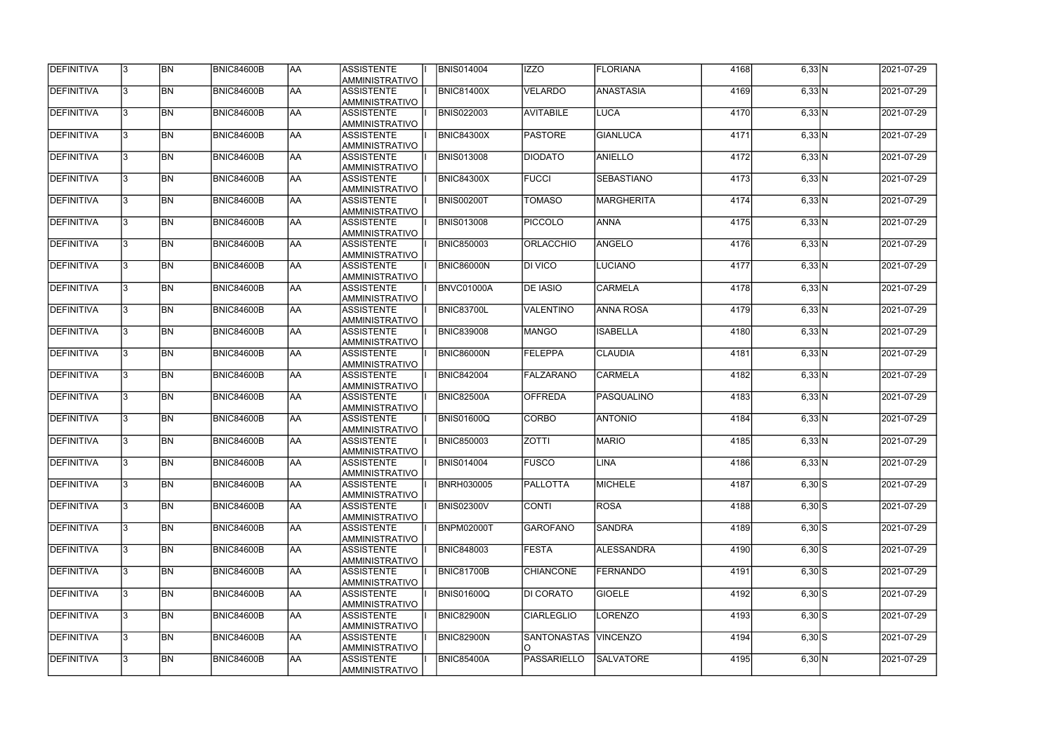| DEFINITIVA         | 13.          | <b>BN</b> | <b>BNIC84600B</b> | AA        | <b>ASSISTENTE</b><br>IAMMINISTRATIVO       | <b>BNIS014004</b> | IZZO                 | <b>FLORIANA</b>   | 4168 | 6,33 N             | 2021-07-29 |
|--------------------|--------------|-----------|-------------------|-----------|--------------------------------------------|-------------------|----------------------|-------------------|------|--------------------|------------|
| <b>DEFINITIVA</b>  | l3.          | <b>BN</b> | BNIC84600B        | AA        | <b>ASSISTENTE</b><br>AMMINISTRATIVO        | <b>BNIC81400X</b> | <b>VELARDO</b>       | <b>ANASTASIA</b>  | 4169 | 6,33 N             | 2021-07-29 |
| DEFINITIVA         |              | <b>BN</b> | BNIC84600B        | <b>AA</b> | <b>ASSISTENTE</b><br>AMMINISTRATIVO        | <b>BNIS022003</b> | <b>AVITABILE</b>     | <b>LUCA</b>       | 4170 | $6,33$ N           | 2021-07-29 |
| <b>DEFINITIVA</b>  | $\mathbf{3}$ | <b>BN</b> | BNIC84600B        | <b>AA</b> | <b>ASSISTENTE</b><br>AMMINISTRATIVO        | <b>BNIC84300X</b> | <b>PASTORE</b>       | <b>GIANLUCA</b>   | 4171 | $6,33$ N           | 2021-07-29 |
| <b>DEFINITIVA</b>  |              | <b>BN</b> | BNIC84600B        | <b>AA</b> | <b>ASSISTENTE</b><br>AMMINISTRATIVO        | <b>BNIS013008</b> | <b>DIODATO</b>       | ANIELLO           | 4172 | 6,33 N             | 2021-07-29 |
| <b>DEFINITIVA</b>  |              | <b>BN</b> | BNIC84600B        | laa       | <b>ASSISTENTE</b><br><b>AMMINISTRATIVO</b> | <b>BNIC84300X</b> | <b>FUCCI</b>         | <b>SEBASTIANO</b> | 4173 | 6,33 N             | 2021-07-29 |
| DEFINITIVA         |              | <b>BN</b> | <b>BNIC84600B</b> | <b>AA</b> | <b>ASSISTENTE</b><br>AMMINISTRATIVO        | <b>BNIS00200T</b> | <b>TOMASO</b>        | <b>MARGHERITA</b> | 4174 | 6,33 N             | 2021-07-29 |
| DEFINITIVA         |              | <b>BN</b> | BNIC84600B        | <b>AA</b> | <b>ASSISTENTE</b><br>AMMINISTRATIVO        | <b>BNIS013008</b> | <b>PICCOLO</b>       | <b>ANNA</b>       | 4175 | 6,33 N             | 2021-07-29 |
| DEFINITIVA         |              | <b>BN</b> | BNIC84600B        | <b>AA</b> | <b>ASSISTENTE</b><br>AMMINISTRATIVO        | <b>BNIC850003</b> | <b>ORLACCHIO</b>     | <b>ANGELO</b>     | 4176 | 6,33 N             | 2021-07-29 |
| DEFINITIVA         |              | <b>BN</b> | BNIC84600B        | <b>AA</b> | <b>ASSISTENTE</b><br>AMMINISTRATIVO        | <b>BNIC86000N</b> | <b>DI VICO</b>       | LUCIANO           | 4177 | 6,33 N             | 2021-07-29 |
| DEFINITIVA         |              | <b>BN</b> | BNIC84600B        | <b>AA</b> | <b>ASSISTENTE</b><br>AMMINISTRATIVO        | <b>BNVC01000A</b> | <b>DE IASIO</b>      | <b>CARMELA</b>    | 4178 | $6,33$ N           | 2021-07-29 |
| <b>IDEFINITIVA</b> |              | <b>BN</b> | BNIC84600B        | <b>AA</b> | <b>ASSISTENTE</b><br>AMMINISTRATIVO        | <b>BNIC83700L</b> | <b>VALENTINO</b>     | <b>ANNA ROSA</b>  | 4179 | 6,33 N             | 2021-07-29 |
| DEFINITIVA         |              | <b>BN</b> | BNIC84600B        | <b>AA</b> | <b>ASSISTENTE</b><br>AMMINISTRATIVO        | <b>BNIC839008</b> | <b>MANGO</b>         | <b>ISABELLA</b>   | 4180 | 6,33 N             | 2021-07-29 |
| DEFINITIVA         |              | <b>BN</b> | <b>BNIC84600B</b> | <b>AA</b> | <b>ASSISTENTE</b><br><b>AMMINISTRATIVO</b> | <b>BNIC86000N</b> | <b>FELEPPA</b>       | <b>CLAUDIA</b>    | 4181 | 6,33 N             | 2021-07-29 |
| DEFINITIVA         |              | <b>BN</b> | BNIC84600B        | <b>AA</b> | <b>ASSISTENTE</b><br>AMMINISTRATIVO        | <b>BNIC842004</b> | FALZARANO            | <b>CARMELA</b>    | 4182 | 6,33 N             | 2021-07-29 |
| DEFINITIVA         |              | <b>BN</b> | <b>BNIC84600B</b> | laa       | <b>ASSISTENTE</b><br>AMMINISTRATIVO        | <b>BNIC82500A</b> | <b>OFFREDA</b>       | PASQUALINO        | 4183 | 6,33 N             | 2021-07-29 |
| DEFINITIVA         | $\mathbf{R}$ | <b>BN</b> | BNIC84600B        | laa       | <b>ASSISTENTE</b><br>AMMINISTRATIVO        | <b>BNIS01600Q</b> | <b>CORBO</b>         | <b>ANTONIO</b>    | 4184 | 6,33 N             | 2021-07-29 |
| DEFINITIVA         |              | <b>BN</b> | BNIC84600B        | <b>AA</b> | <b>ASSISTENTE</b><br>AMMINISTRATIVO        | <b>BNIC850003</b> | <b>ZOTTI</b>         | <b>MARIO</b>      | 4185 | 6,33 N             | 2021-07-29 |
| <b>DEFINITIVA</b>  | 13.          | <b>BN</b> | <b>BNIC84600B</b> | AA        | <b>ASSISTENTE</b><br>AMMINISTRATIVO        | <b>BNIS014004</b> | <b>FUSCO</b>         | <b>LINA</b>       | 4186 | 6,33 N             | 2021-07-29 |
| <b>DEFINITIVA</b>  |              | <b>BN</b> | BNIC84600B        | AA        | <b>ASSISTENTE</b><br>AMMINISTRATIVO        | BNRH030005        | <b>PALLOTTA</b>      | <b>MICHELE</b>    | 4187 | $6,30$ S           | 2021-07-29 |
| <b>DEFINITIVA</b>  | 13.          | <b>BN</b> | BNIC84600B        | AA        | <b>ASSISTENTE</b><br>AMMINISTRATIVO        | <b>BNIS02300V</b> | <b>CONTI</b>         | <b>ROSA</b>       | 4188 | $6,30$ $S$         | 2021-07-29 |
| DEFINITIVA         |              | <b>BN</b> | BNIC84600B        | <b>AA</b> | <b>ASSISTENTE</b><br>AMMINISTRATIVO        | <b>BNPM02000T</b> | <b>GAROFANO</b>      | <b>SANDRA</b>     | 4189 | $6,30$ S           | 2021-07-29 |
| DEFINITIVA         |              | <b>BN</b> | BNIC84600B        | <b>AA</b> | <b>ASSISTENTE</b><br>AMMINISTRATIVO        | <b>BNIC848003</b> | <b>FESTA</b>         | <b>ALESSANDRA</b> | 4190 | $6,30$ S           | 2021-07-29 |
| DEFINITIVA         |              | <b>BN</b> | BNIC84600B        | AA        | <b>ASSISTENTE</b><br>AMMINISTRATIVO        | <b>BNIC81700B</b> | <b>CHIANCONE</b>     | <b>FERNANDO</b>   | 4191 | $6,30\overline{S}$ | 2021-07-29 |
| DEFINITIVA         |              | <b>BN</b> | BNIC84600B        | <b>AA</b> | ASSISTENTE<br>AMMINISTRATIVO               | <b>BNIS01600Q</b> | <b>DI CORATO</b>     | <b>GIOELE</b>     | 4192 | $6,30$ S           | 2021-07-29 |
| DEFINITIVA         |              | <b>BN</b> | BNIC84600B        | <b>AA</b> | ASSISTENTE<br>AMMINISTRATIVO               | <b>BNIC82900N</b> | <b>CIARLEGLIO</b>    | <b>LORENZO</b>    | 4193 | $6,30$ S           | 2021-07-29 |
| <b>DEFINITIVA</b>  |              | <b>BN</b> | BNIC84600B        | <b>AA</b> | ASSISTENTE<br>AMMINISTRATIVO               | <b>BNIC82900N</b> | SANTONASTAS VINCENZO |                   | 4194 | $6,30$ S           | 2021-07-29 |
| <b>DEFINITIVA</b>  |              | <b>BN</b> | BNIC84600B        | <b>AA</b> | <b>ASSISTENTE</b><br>AMMINISTRATIVO        | <b>BNIC85400A</b> | PASSARIELLO          | <b>SALVATORE</b>  | 4195 | 6,30 N             | 2021-07-29 |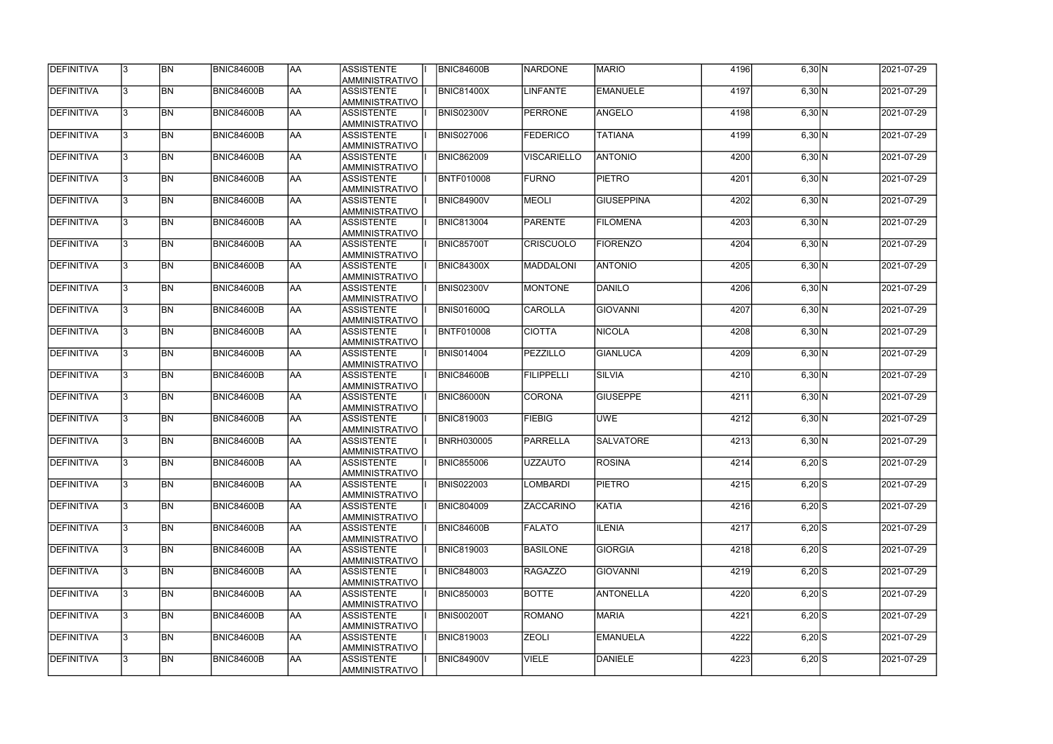| DEFINITIVA        |   | <b>BN</b> | <b>BNIC84600B</b> | AA              | ASSISTENTE<br>AMMINISTRATIVO        | <b>BNIC84600B</b> | <b>NARDONE</b>     | <b>MARIO</b>      | 4196 | 6,30 N   | 2021-07-29 |
|-------------------|---|-----------|-------------------|-----------------|-------------------------------------|-------------------|--------------------|-------------------|------|----------|------------|
| <b>DEFINITIVA</b> | 3 | <b>BN</b> | <b>BNIC84600B</b> | AA              | <b>ASSISTENTE</b><br>AMMINISTRATIVO | BNIC81400X        | <b>LINFANTE</b>    | <b>EMANUELE</b>   | 4197 | 6,30 N   | 2021-07-29 |
| DEFINITIVA        |   | <b>BN</b> | <b>BNIC84600B</b> | AA              | <b>ASSISTENTE</b><br>AMMINISTRATIVO | <b>BNIS02300V</b> | PERRONE            | <b>ANGELO</b>     | 4198 | 6,30 N   | 2021-07-29 |
| DEFINITIVA        |   | <b>BN</b> | BNIC84600B        | AA              | <b>ASSISTENTE</b><br>AMMINISTRATIVO | <b>BNIS027006</b> | <b>FEDERICO</b>    | <b>TATIANA</b>    | 4199 | 6,30 N   | 2021-07-29 |
| <b>DEFINITIVA</b> |   | <b>BN</b> | BNIC84600B        | AA              | <b>ASSISTENTE</b><br>AMMINISTRATIVO | <b>BNIC862009</b> | <b>VISCARIELLO</b> | <b>ANTONIO</b>    | 4200 | 6,30 N   | 2021-07-29 |
| DEFINITIVA        |   | <b>BN</b> | <b>BNIC84600B</b> | AA              | <b>ASSISTENTE</b><br>AMMINISTRATIVO | <b>BNTF010008</b> | <b>FURNO</b>       | <b>PIETRO</b>     | 4201 | 6,30 N   | 2021-07-29 |
| DEFINITIVA        |   | <b>BN</b> | <b>BNIC84600B</b> | AA              | <b>ASSISTENTE</b><br>AMMINISTRATIVO | <b>BNIC84900V</b> | MEOLI              | <b>GIUSEPPINA</b> | 4202 | 6,30 N   | 2021-07-29 |
| <b>DEFINITIVA</b> |   | <b>BN</b> | <b>BNIC84600B</b> | AA              | <b>ASSISTENTE</b><br>AMMINISTRATIVO | <b>BNIC813004</b> | PARENTE            | <b>FILOMENA</b>   | 4203 | 6,30 N   | 2021-07-29 |
| DEFINITIVA        |   | <b>BN</b> | <b>BNIC84600B</b> | AA              | <b>ASSISTENTE</b><br>AMMINISTRATIVO | <b>BNIC85700T</b> | <b>CRISCUOLO</b>   | <b>FIORENZO</b>   | 4204 | 6,30 N   | 2021-07-29 |
| DEFINITIVA        |   | <b>BN</b> | <b>BNIC84600B</b> | AA              | <b>ASSISTENTE</b><br>AMMINISTRATIVO | <b>BNIC84300X</b> | <b>MADDALONI</b>   | <b>ANTONIO</b>    | 4205 | 6,30 N   | 2021-07-29 |
| <b>DEFINITIVA</b> |   | <b>BN</b> | <b>BNIC84600B</b> | AA              | <b>ASSISTENTE</b><br>AMMINISTRATIVO | <b>BNIS02300V</b> | <b>MONTONE</b>     | <b>DANILO</b>     | 4206 | 6,30 N   | 2021-07-29 |
| <b>DEFINITIVA</b> |   | <b>BN</b> | BNIC84600B        | AA              | <b>ASSISTENTE</b><br>AMMINISTRATIVO | <b>BNIS01600Q</b> | <b>CAROLLA</b>     | <b>GIOVANNI</b>   | 4207 | 6,30 N   | 2021-07-29 |
| DEFINITIVA        |   | <b>BN</b> | <b>BNIC84600B</b> | $\overline{AA}$ | <b>ASSISTENTE</b><br>AMMINISTRATIVO | <b>BNTF010008</b> | <b>CIOTTA</b>      | <b>NICOLA</b>     | 4208 | 6,30 N   | 2021-07-29 |
| <b>DEFINITIVA</b> |   | <b>BN</b> | BNIC84600B        | AA              | <b>ASSISTENTE</b><br>AMMINISTRATIVO | <b>BNIS014004</b> | PEZZILLO           | <b>GIANLUCA</b>   | 4209 | 6,30 N   | 2021-07-29 |
| <b>DEFINITIVA</b> |   | <b>BN</b> | <b>BNIC84600B</b> | AA              | <b>ASSISTENTE</b><br>AMMINISTRATIVO | <b>BNIC84600B</b> | <b>FILIPPELLI</b>  | <b>SILVIA</b>     | 4210 | 6,30 N   | 2021-07-29 |
| <b>DEFINITIVA</b> |   | <b>BN</b> | BNIC84600B        | AA              | <b>ASSISTENTE</b><br>AMMINISTRATIVO | <b>BNIC86000N</b> | CORONA             | <b>GIUSEPPE</b>   | 4211 | 6,30 N   | 2021-07-29 |
| <b>DEFINITIVA</b> |   | <b>BN</b> | BNIC84600B        | <b>AA</b>       | <b>ASSISTENTE</b><br>AMMINISTRATIVO | <b>BNIC819003</b> | <b>FIEBIG</b>      | <b>UWE</b>        | 4212 | 6,30 N   | 2021-07-29 |
| DEFINITIVA        |   | <b>BN</b> | BNIC84600B        | AA              | <b>ASSISTENTE</b><br>AMMINISTRATIVO | <b>BNRH030005</b> | PARRELLA           | <b>SALVATORE</b>  | 4213 | 6,30 N   | 2021-07-29 |
| <b>DEFINITIVA</b> |   | <b>BN</b> | <b>BNIC84600B</b> | AA              | ASSISTENTE<br>AMMINISTRATIVO        | <b>BNIC855006</b> | UZZAUTO            | <b>ROSINA</b>     | 4214 | $6,20$ S | 2021-07-29 |
| <b>DEFINITIVA</b> |   | <b>BN</b> | <b>BNIC84600B</b> | AA              | <b>ASSISTENTE</b><br>AMMINISTRATIVO | <b>BNIS022003</b> | <b>LOMBARDI</b>    | <b>PIETRO</b>     | 4215 | $6,20$ S | 2021-07-29 |
| DEFINITIVA        |   | <b>BN</b> | <b>BNIC84600B</b> | AA              | ASSISTENTE<br>AMMINISTRATIVO        | <b>BNIC804009</b> | <b>ZACCARINO</b>   | <b>KATIA</b>      | 4216 | $6,20$ S | 2021-07-29 |
| <b>DEFINITIVA</b> |   | <b>BN</b> | <b>BNIC84600B</b> | AA              | ASSISTENTE<br>AMMINISTRATIVO        | <b>BNIC84600B</b> | <b>FALATO</b>      | <b>ILENIA</b>     | 4217 | $6,20$ S | 2021-07-29 |
| <b>DEFINITIVA</b> |   | <b>BN</b> | <b>BNIC84600B</b> | AA              | ASSISTENTE<br>AMMINISTRATIVO        | <b>BNIC819003</b> | <b>BASILONE</b>    | <b>GIORGIA</b>    | 4218 | $6,20$ S | 2021-07-29 |
| <b>DEFINITIVA</b> |   | <b>BN</b> | <b>BNIC84600B</b> | AA              | <b>ASSISTENTE</b><br>AMMINISTRATIVO | <b>BNIC848003</b> | RAGAZZO            | <b>GIOVANNI</b>   | 4219 | $6,20$ S | 2021-07-29 |
| DEFINITIVA        |   | <b>BN</b> | <b>BNIC84600B</b> | AA              | <b>ASSISTENTE</b><br>AMMINISTRATIVO | <b>BNIC850003</b> | <b>BOTTE</b>       | <b>ANTONELLA</b>  | 4220 | $6,20$ S | 2021-07-29 |
| DEFINITIVA        |   | <b>BN</b> | <b>BNIC84600B</b> | AA              | <b>ASSISTENTE</b><br>AMMINISTRATIVO | <b>BNIS00200T</b> | <b>ROMANO</b>      | <b>MARIA</b>      | 4221 | $6,20$ S | 2021-07-29 |
| <b>DEFINITIVA</b> |   | <b>BN</b> | <b>BNIC84600B</b> | AA              | ASSISTENTE<br>AMMINISTRATIVO        | <b>BNIC819003</b> | <b>ZEOLI</b>       | <b>EMANUELA</b>   | 4222 | $6,20$ S | 2021-07-29 |
| <b>DEFINITIVA</b> |   | <b>BN</b> | <b>BNIC84600B</b> | AA              | <b>ASSISTENTE</b><br>AMMINISTRATIVO | <b>BNIC84900V</b> | <b>VIELE</b>       | <b>DANIELE</b>    | 4223 | $6,20$ S | 2021-07-29 |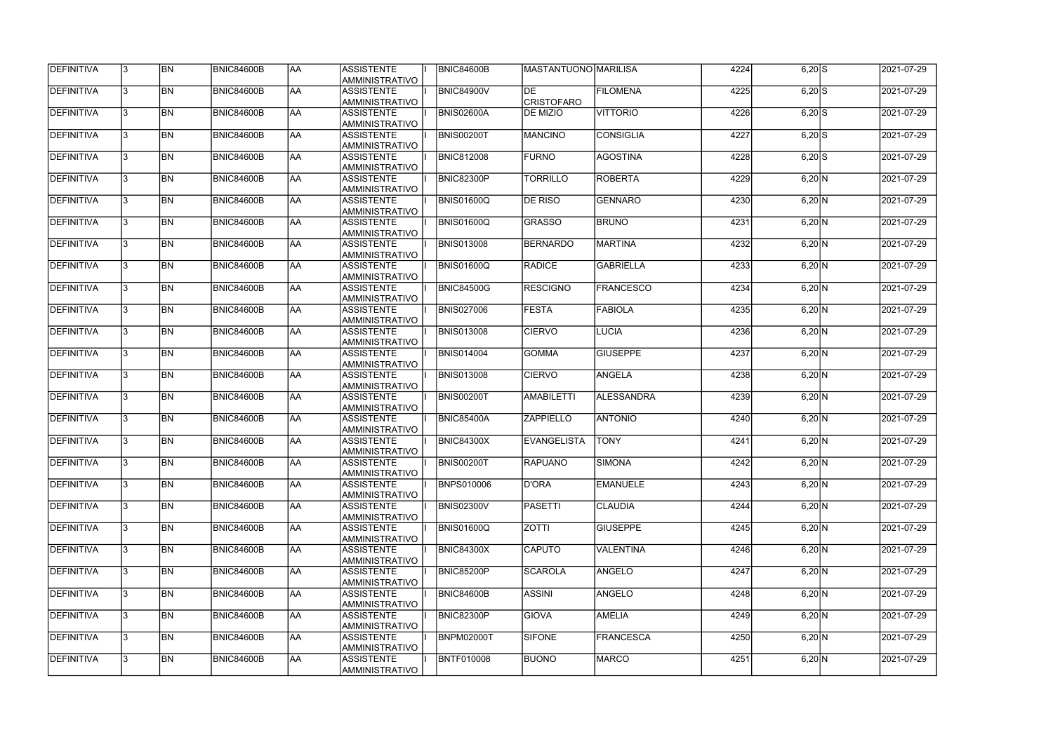| DEFINITIVA        | 13.          | <b>BN</b> | <b>BNIC84600B</b> | <b>AA</b> | <b>ASSISTENTE</b><br>AMMINISTRATIVO        | <b>BNIC84600B</b> | MASTANTUONO MARILISA                 |                   | 4224 | $6,20$ S | 2021-07-29 |
|-------------------|--------------|-----------|-------------------|-----------|--------------------------------------------|-------------------|--------------------------------------|-------------------|------|----------|------------|
| <b>DEFINITIVA</b> | l3.          | <b>BN</b> | <b>BNIC84600B</b> | AA        | <b>ASSISTENTE</b><br>AMMINISTRATIVO        | <b>BNIC84900V</b> | $\overline{DE}$<br><b>CRISTOFARO</b> | <b>FILOMENA</b>   | 4225 | $6,20$ S | 2021-07-29 |
| DEFINITIVA        |              | <b>BN</b> | <b>BNIC84600B</b> | <b>AA</b> | <b>ASSISTENTE</b><br>AMMINISTRATIVO        | <b>BNIS02600A</b> | <b>DE MIZIO</b>                      | <b>VITTORIO</b>   | 4226 | $6,20$ S | 2021-07-29 |
| <b>DEFINITIVA</b> | $\mathbf{3}$ | <b>BN</b> | BNIC84600B        | <b>AA</b> | <b>ASSISTENTE</b><br>AMMINISTRATIVO        | <b>BNIS00200T</b> | MANCINO                              | <b>CONSIGLIA</b>  | 4227 | $6,20$ S | 2021-07-29 |
| <b>DEFINITIVA</b> |              | <b>BN</b> | BNIC84600B        | AA        | <b>ASSISTENTE</b><br><b>AMMINISTRATIVO</b> | <b>BNIC812008</b> | <b>FURNO</b>                         | AGOSTINA          | 4228 | $6,20$ S | 2021-07-29 |
| DEFINITIVA        |              | <b>BN</b> | BNIC84600B        | AA        | <b>ASSISTENTE</b><br><b>AMMINISTRATIVO</b> | <b>BNIC82300P</b> | <b>TORRILLO</b>                      | <b>ROBERTA</b>    | 4229 | 6,20 N   | 2021-07-29 |
| DEFINITIVA        |              | <b>BN</b> | <b>BNIC84600B</b> | <b>AA</b> | <b>ASSISTENTE</b><br><b>AMMINISTRATIVO</b> | <b>BNIS01600Q</b> | <b>DE RISO</b>                       | <b>GENNARO</b>    | 4230 | 6,20 N   | 2021-07-29 |
| DEFINITIVA        |              | <b>BN</b> | BNIC84600B        | AA        | <b>ASSISTENTE</b><br>AMMINISTRATIVO        | <b>BNIS01600Q</b> | <b>GRASSO</b>                        | <b>BRUNO</b>      | 4231 | 6,20 N   | 2021-07-29 |
| DEFINITIVA        |              | <b>BN</b> | <b>BNIC84600B</b> | <b>AA</b> | <b>ASSISTENTE</b><br>AMMINISTRATIVO        | <b>BNIS013008</b> | BERNARDO                             | <b>MARTINA</b>    | 4232 | 6,20 N   | 2021-07-29 |
| DEFINITIVA        |              | <b>BN</b> | BNIC84600B        | <b>AA</b> | <b>ASSISTENTE</b><br>AMMINISTRATIVO        | <b>BNIS01600Q</b> | <b>RADICE</b>                        | <b>GABRIELLA</b>  | 4233 | 6,20 N   | 2021-07-29 |
| DEFINITIVA        |              | <b>BN</b> | <b>BNIC84600B</b> | <b>AA</b> | <b>ASSISTENTE</b><br>AMMINISTRATIVO        | <b>BNIC84500G</b> | <b>RESCIGNO</b>                      | <b>FRANCESCO</b>  | 4234 | 6,20 N   | 2021-07-29 |
| DEFINITIVA        |              | <b>BN</b> | BNIC84600B        | <b>AA</b> | <b>ASSISTENTE</b><br>AMMINISTRATIVO        | <b>BNIS027006</b> | <b>FESTA</b>                         | <b>FABIOLA</b>    | 4235 | 6,20 N   | 2021-07-29 |
| DEFINITIVA        |              | <b>BN</b> | <b>BNIC84600B</b> | <b>AA</b> | <b>ASSISTENTE</b><br>AMMINISTRATIVO        | <b>BNIS013008</b> | <b>CIERVO</b>                        | <b>LUCIA</b>      | 4236 | 6,20 N   | 2021-07-29 |
| <b>DEFINITIVA</b> |              | <b>BN</b> | <b>BNIC84600B</b> | <b>AA</b> | <b>ASSISTENTE</b><br><b>AMMINISTRATIVO</b> | <b>BNIS014004</b> | <b>GOMMA</b>                         | <b>GIUSEPPE</b>   | 4237 | 6,20 N   | 2021-07-29 |
| DEFINITIVA        |              | <b>BN</b> | <b>BNIC84600B</b> | <b>AA</b> | <b>ASSISTENTE</b><br><b>AMMINISTRATIVO</b> | <b>BNIS013008</b> | <b>CIERVO</b>                        | ANGELA            | 4238 | 6,20 N   | 2021-07-29 |
| DEFINITIVA        |              | <b>BN</b> | BNIC84600B        | laa       | <b>ASSISTENTE</b><br>AMMINISTRATIVO        | <b>BNIS00200T</b> | AMABILETTI                           | <b>ALESSANDRA</b> | 4239 | 6,20 N   | 2021-07-29 |
| DEFINITIVA        | 3            | <b>BN</b> | BNIC84600B        | laa       | <b>ASSISTENTE</b><br>AMMINISTRATIVO        | <b>BNIC85400A</b> | <b>ZAPPIELLO</b>                     | <b>ANTONIO</b>    | 4240 | 6,20 N   | 2021-07-29 |
| DEFINITIVA        |              | <b>BN</b> | <b>BNIC84600B</b> | <b>AA</b> | <b>ASSISTENTE</b><br>AMMINISTRATIVO        | <b>BNIC84300X</b> | <b>EVANGELISTA</b>                   | <b>TONY</b>       | 4241 | 6,20 N   | 2021-07-29 |
| DEFINITIVA        | 13.          | <b>BN</b> | <b>BNIC84600B</b> | AA        | <b>ASSISTENTE</b><br>AMMINISTRATIVO        | <b>BNIS00200T</b> | <b>RAPUANO</b>                       | SIMONA            | 4242 | 6,20 N   | 2021-07-29 |
| <b>DEFINITIVA</b> | $\mathbf{3}$ | <b>BN</b> | BNIC84600B        | AA        | <b>ASSISTENTE</b><br>AMMINISTRATIVO        | BNPS010006        | D'ORA                                | <b>EMANUELE</b>   | 4243 | 6,20 N   | 2021-07-29 |
| <b>DEFINITIVA</b> | 13.          | <b>BN</b> | BNIC84600B        | AA        | <b>ASSISTENTE</b><br>AMMINISTRATIVO        | <b>BNIS02300V</b> | PASETTI                              | <b>CLAUDIA</b>    | 4244 | 6,20 N   | 2021-07-29 |
| DEFINITIVA        |              | <b>BN</b> | BNIC84600B        | <b>AA</b> | <b>ASSISTENTE</b><br>AMMINISTRATIVO        | <b>BNIS01600Q</b> | $\overline{\text{ZOT}}$ I            | <b>GIUSEPPE</b>   | 4245 | 6,20 N   | 2021-07-29 |
| DEFINITIVA        |              | <b>BN</b> | BNIC84600B        | <b>AA</b> | <b>ASSISTENTE</b><br>AMMINISTRATIVO        | <b>BNIC84300X</b> | CAPUTO                               | <b>VALENTINA</b>  | 4246 | 6,20 N   | 2021-07-29 |
| DEFINITIVA        |              | <b>BN</b> | BNIC84600B        | AA        | <b>ASSISTENTE</b><br>AMMINISTRATIVO        | <b>BNIC85200P</b> | SCAROLA                              | ANGELO            | 4247 | 6,20 N   | 2021-07-29 |
| DEFINITIVA        |              | <b>BN</b> | BNIC84600B        | <b>AA</b> | ASSISTENTE<br>AMMINISTRATIVO               | <b>BNIC84600B</b> | <b>ASSINI</b>                        | ANGELO            | 4248 | 6,20 N   | 2021-07-29 |
| DEFINITIVA        |              | <b>BN</b> | BNIC84600B        | <b>AA</b> | ASSISTENTE<br>AMMINISTRATIVO               | <b>BNIC82300P</b> | <b>GIOVA</b>                         | AMELIA            | 4249 | 6,20 N   | 2021-07-29 |
| <b>DEFINITIVA</b> | l3.          | <b>BN</b> | BNIC84600B        | <b>AA</b> | ASSISTENTE<br>AMMINISTRATIVO               | <b>BNPM02000T</b> | <b>SIFONE</b>                        | <b>FRANCESCA</b>  | 4250 | 6,20 N   | 2021-07-29 |
| <b>DEFINITIVA</b> |              | <b>BN</b> | BNIC84600B        | <b>AA</b> | <b>ASSISTENTE</b><br>AMMINISTRATIVO        | BNTF010008        | <b>BUONO</b>                         | <b>MARCO</b>      | 4251 | 6,20 N   | 2021-07-29 |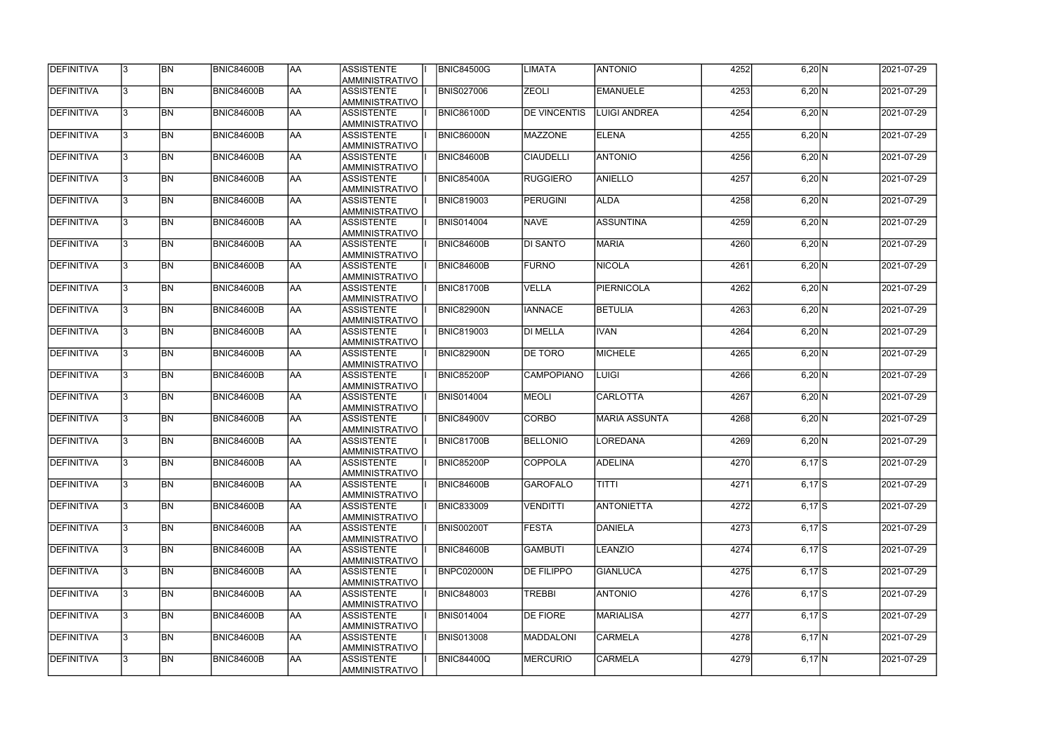| DEFINITIVA        | 13. | <b>BN</b> | <b>BNIC84600B</b> | <b>AA</b>  | ASSISTENTE<br>AMMINISTRATIVO        | <b>BNIC84500G</b> | <b>LIMATA</b>       | <b>ANTONIO</b>       | 4252 | 6,20 N     | 2021-07-29 |
|-------------------|-----|-----------|-------------------|------------|-------------------------------------|-------------------|---------------------|----------------------|------|------------|------------|
| <b>DEFINITIVA</b> | 13. | <b>BN</b> | BNIC84600B        | laa        | <b>ASSISTENTE</b><br>AMMINISTRATIVO | <b>BNIS027006</b> | <b>ZEOLI</b>        | <b>EMANUELE</b>      | 4253 | 6,20 N     | 2021-07-29 |
| DEFINITIVA        | l3. | <b>BN</b> | <b>BNIC84600B</b> | AA         | <b>ASSISTENTE</b><br>AMMINISTRATIVO | <b>BNIC86100D</b> | <b>DE VINCENTIS</b> | LUIGI ANDREA         | 4254 | 6,20 N     | 2021-07-29 |
| <b>DEFINITIVA</b> | l3. | <b>BN</b> | BNIC84600B        | <b>AA</b>  | <b>ASSISTENTE</b><br>AMMINISTRATIVO | <b>BNIC86000N</b> | MAZZONE             | <b>ELENA</b>         | 4255 | 6,20 N     | 2021-07-29 |
| DEFINITIVA        | l3. | <b>BN</b> | <b>BNIC84600B</b> | AA         | <b>ASSISTENTE</b><br>AMMINISTRATIVO | <b>BNIC84600B</b> | <b>CIAUDELLI</b>    | <b>ANTONIO</b>       | 4256 | 6,20 N     | 2021-07-29 |
| DEFINITIVA        | l3  | <b>BN</b> | <b>BNIC84600B</b> | laa        | <b>ASSISTENTE</b><br>AMMINISTRATIVO | <b>BNIC85400A</b> | <b>RUGGIERO</b>     | ANIELLO              | 4257 | 6,20 N     | 2021-07-29 |
| DEFINITIVA        |     | <b>BN</b> | <b>BNIC84600B</b> | AA         | <b>ASSISTENTE</b><br>AMMINISTRATIVO | <b>BNIC819003</b> | <b>PERUGINI</b>     | <b>ALDA</b>          | 4258 | 6,20 N     | 2021-07-29 |
| DEFINITIVA        |     | <b>BN</b> | <b>BNIC84600B</b> | laa        | <b>ASSISTENTE</b><br>AMMINISTRATIVO | <b>BNIS014004</b> | <b>NAVE</b>         | <b>ASSUNTINA</b>     | 4259 | 6,20 N     | 2021-07-29 |
| DEFINITIVA        |     | <b>BN</b> | <b>BNIC84600B</b> | laa        | <b>ASSISTENTE</b><br>AMMINISTRATIVO | <b>BNIC84600B</b> | DI SANTO            | <b>MARIA</b>         | 4260 | 6,20 N     | 2021-07-29 |
| DEFINITIVA        | l3. | <b>BN</b> | BNIC84600B        | laa        | <b>ASSISTENTE</b><br>AMMINISTRATIVO | <b>BNIC84600B</b> | FURNO               | <b>NICOLA</b>        | 4261 | 6,20 N     | 2021-07-29 |
| DEFINITIVA        | l3. | <b>BN</b> | <b>BNIC84600B</b> | AA         | <b>ASSISTENTE</b><br>AMMINISTRATIVO | <b>BNIC81700B</b> | <b>VELLA</b>        | PIERNICOLA           | 4262 | 6,20 N     | 2021-07-29 |
| <b>DEFINITIVA</b> | 3   | <b>BN</b> | <b>BNIC84600B</b> | <b>AA</b>  | <b>ASSISTENTE</b><br>AMMINISTRATIVO | BNIC82900N        | <b>IANNACE</b>      | <b>BETULIA</b>       | 4263 | 6,20 N     | 2021-07-29 |
| DEFINITIVA        | 3   | <b>BN</b> | <b>BNIC84600B</b> | AA         | <b>ASSISTENTE</b><br>AMMINISTRATIVO | <b>BNIC819003</b> | DI MELLA            | <b>IVAN</b>          | 4264 | 6,20 N     | 2021-07-29 |
| DEFINITIVA        | 3   | <b>BN</b> | <b>BNIC84600B</b> | AA         | <b>ASSISTENTE</b><br>AMMINISTRATIVO | <b>BNIC82900N</b> | <b>DE TORO</b>      | <b>MICHELE</b>       | 4265 | 6,20 N     | 2021-07-29 |
| DEFINITIVA        |     | <b>BN</b> | <b>BNIC84600B</b> | AA         | <b>ASSISTENTE</b><br>AMMINISTRATIVO | <b>BNIC85200P</b> | <b>CAMPOPIANO</b>   | <b>LUIGI</b>         | 4266 | 6,20 N     | 2021-07-29 |
| DEFINITIVA        |     | <b>BN</b> | <b>BNIC84600B</b> | AA         | <b>ASSISTENTE</b><br>AMMINISTRATIVO | <b>BNIS014004</b> | <b>MEOLI</b>        | <b>CARLOTTA</b>      | 4267 | 6,20 N     | 2021-07-29 |
| DEFINITIVA        | l3. | <b>BN</b> | <b>BNIC84600B</b> | laa        | <b>ASSISTENTE</b><br>AMMINISTRATIVO | <b>BNIC84900V</b> | CORBO               | <b>MARIA ASSUNTA</b> | 4268 | 6,20 N     | 2021-07-29 |
| DEFINITIVA        | l3. | <b>BN</b> | BNIC84600B        | AA         | <b>ASSISTENTE</b><br>AMMINISTRATIVO | <b>BNIC81700B</b> | <b>BELLONIO</b>     | LOREDANA             | 4269 | 6,20 N     | 2021-07-29 |
| DEFINITIVA        | 13. | <b>BN</b> | <b>BNIC84600B</b> | <b>JAA</b> | <b>ASSISTENTE</b><br>AMMINISTRATIVO | <b>BNIC85200P</b> | <b>COPPOLA</b>      | <b>ADELINA</b>       | 4270 | $6,17$ S   | 2021-07-29 |
| <b>DEFINITIVA</b> | l3. | <b>BN</b> | <b>BNIC84600B</b> | AA         | ASSISTENTE<br>AMMINISTRATIVO        | <b>BNIC84600B</b> | <b>GAROFALO</b>     | TITTI                | 4271 | $6,17$ S   | 2021-07-29 |
| DEFINITIVA        | 13. | <b>BN</b> | <b>BNIC84600B</b> | AA         | ASSISTENTE<br>AMMINISTRATIVO        | <b>BNIC833009</b> | <b>VENDITTI</b>     | <b>ANTONIETTA</b>    | 4272 | $6,17$ S   | 2021-07-29 |
| DEFINITIVA        | 3   | <b>BN</b> | <b>BNIC84600B</b> | AA         | <b>ASSISTENTE</b><br>AMMINISTRATIVO | <b>BNIS00200T</b> | <b>FESTA</b>        | <b>DANIELA</b>       | 4273 | $6,17$ $S$ | 2021-07-29 |
| DEFINITIVA        |     | <b>BN</b> | <b>BNIC84600B</b> | AA         | ASSISTENTE<br>AMMINISTRATIVO        | <b>BNIC84600B</b> | <b>GAMBUTI</b>      | LEANZIO              | 4274 | $6,17$ $S$ | 2021-07-29 |
| DEFINITIVA        |     | <b>BN</b> | <b>BNIC84600B</b> | AA         | <b>ASSISTENTE</b><br>AMMINISTRATIVO | BNPC02000N        | <b>DE FILIPPO</b>   | <b>GIANLUCA</b>      | 4275 | $6,17$ $S$ | 2021-07-29 |
| DEFINITIVA        | I3. | <b>BN</b> | BNIC84600B        | AA         | <b>ASSISTENTE</b><br>AMMINISTRATIVO | <b>BNIC848003</b> | <b>TREBBI</b>       | <b>ANTONIO</b>       | 4276 | $6,17$ $S$ | 2021-07-29 |
| DEFINITIVA        | I3. | <b>BN</b> | <b>BNIC84600B</b> | AA         | <b>ASSISTENTE</b><br>AMMINISTRATIVO | <b>BNIS014004</b> | <b>DE FIORE</b>     | <b>MARIALISA</b>     | 4277 | $6,17$ $S$ | 2021-07-29 |
| DEFINITIVA        | 13. | <b>BN</b> | <b>BNIC84600B</b> | AA         | <b>ASSISTENTE</b><br>AMMINISTRATIVO | <b>BNIS013008</b> | MADDALONI           | <b>CARMELA</b>       | 4278 | $6,17$ N   | 2021-07-29 |
| DEFINITIVA        |     | <b>BN</b> | <b>BNIC84600B</b> | AA         | <b>ASSISTENTE</b><br>AMMINISTRATIVO | <b>BNIC84400Q</b> | MERCURIO            | <b>CARMELA</b>       | 4279 | $6,17$ N   | 2021-07-29 |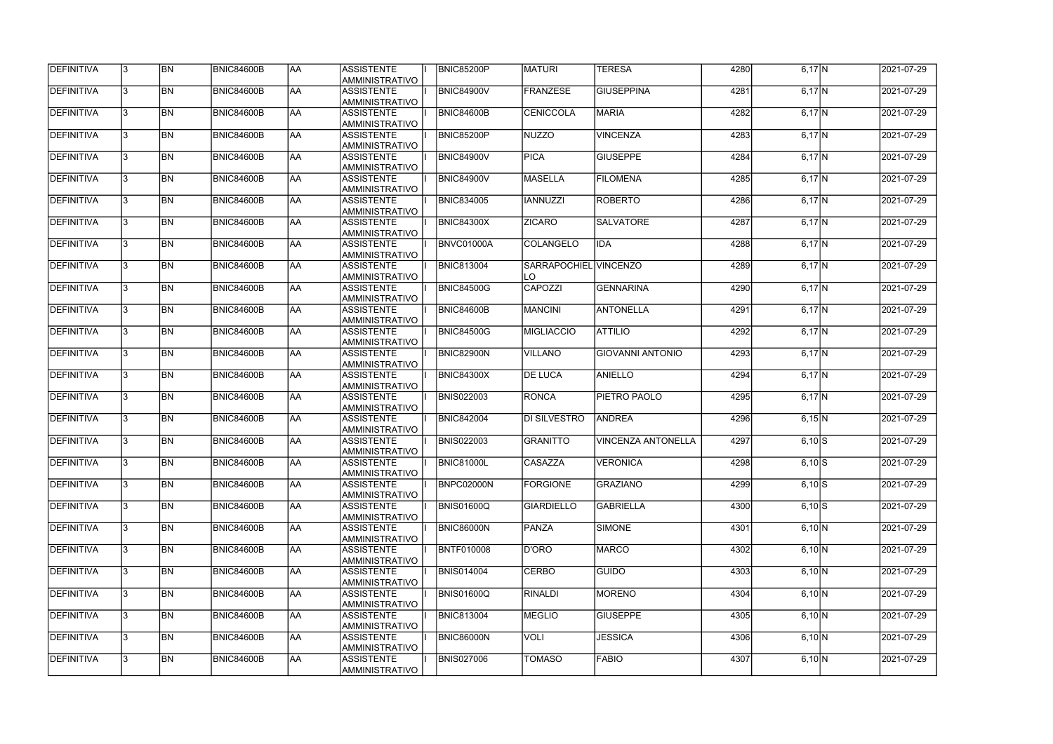| DEFINITIVA        | 13.          | <b>BN</b>       | <b>BNIC84600B</b> | <b>JAA</b> | <b>ASSISTENTE</b>                          | <b>BNIC85200P</b> | <b>MATURI</b>               | <b>TERESA</b>           | 4280 | $6,17$ N   | 2021-07-29 |
|-------------------|--------------|-----------------|-------------------|------------|--------------------------------------------|-------------------|-----------------------------|-------------------------|------|------------|------------|
|                   |              |                 |                   |            | AMMINISTRATIVO                             |                   |                             |                         |      |            |            |
| <b>DEFINITIVA</b> | l3.          | <b>BN</b>       | BNIC84600B        | <b>JAA</b> | <b>ASSISTENTE</b><br>AMMINISTRATIVO        | BNIC84900V        | FRANZESE                    | <b>GIUSEPPINA</b>       | 4281 | $6.17$ N   | 2021-07-29 |
| DEFINITIVA        |              | <b>BN</b>       | <b>BNIC84600B</b> | AA         | <b>ASSISTENTE</b><br>AMMINISTRATIVO        | <b>BNIC84600B</b> | <b>CENICCOLA</b>            | <b>MARIA</b>            | 4282 | $6,17$ N   | 2021-07-29 |
| <b>DEFINITIVA</b> | $\mathbf{3}$ | <b>BN</b>       | BNIC84600B        | <b>AA</b>  | ASSISTENTE<br>AMMINISTRATIVO               | BNIC85200P        | NUZZO                       | <b>VINCENZA</b>         | 4283 | $6,17$ N   | 2021-07-29 |
| <b>DEFINITIVA</b> |              | <b>BN</b>       | BNIC84600B        | AA         | ASSISTENTE<br>AMMINISTRATIVO               | <b>BNIC84900V</b> | <b>PICA</b>                 | <b>GIUSEPPE</b>         | 4284 | $6,17$ N   | 2021-07-29 |
| DEFINITIVA        |              | <b>BN</b>       | BNIC84600B        | <b>JAA</b> | <b>ASSISTENTE</b><br>AMMINISTRATIVO        | BNIC84900V        | <b>MASELLA</b>              | <b>FILOMENA</b>         | 4285 | $6,17$ N   | 2021-07-29 |
| DEFINITIVA        |              | <b>BN</b>       | <b>BNIC84600B</b> | AA         | <b>ASSISTENTE</b><br><b>AMMINISTRATIVO</b> | <b>BNIC834005</b> | <b>IANNUZZI</b>             | <b>ROBERTO</b>          | 4286 | $6,17$ N   | 2021-07-29 |
| DEFINITIVA        |              | <b>BN</b>       | BNIC84600B        | AA         | <b>ASSISTENTE</b><br>AMMINISTRATIVO        | <b>BNIC84300X</b> | <b>ZICARO</b>               | <b>SALVATORE</b>        | 4287 | $6,17$ N   | 2021-07-29 |
| <b>DEFINITIVA</b> |              | <b>BN</b>       | <b>BNIC84600B</b> | <b>JAA</b> | <b>ASSISTENTE</b><br><b>AMMINISTRATIVO</b> | BNVC01000A        | <b>COLANGELO</b>            | <b>IDA</b>              | 4288 | $6,17$ N   | 2021-07-29 |
| DEFINITIVA        |              | <b>BN</b>       | BNIC84600B        | <b>JAA</b> | <b>ASSISTENTE</b><br>AMMINISTRATIVO        | <b>BNIC813004</b> | SARRAPOCHIEL VINCENZO<br>LO |                         | 4289 | $6.17$ N   | 2021-07-29 |
| DEFINITIVA        |              | <b>BN</b>       | <b>BNIC84600B</b> | AA         | ASSISTENTE<br>AMMINISTRATIVO               | <b>BNIC84500G</b> | <b>CAPOZZI</b>              | <b>GENNARINA</b>        | 4290 | $6,17$ N   | 2021-07-29 |
| DEFINITIVA        |              | <b>BN</b>       | BNIC84600B        | <b>AA</b>  | ASSISTENTE<br>AMMINISTRATIVO               | <b>BNIC84600B</b> | <b>MANCINI</b>              | <b>ANTONELLA</b>        | 4291 | $6,17$ N   | 2021-07-29 |
| <b>DEFINITIVA</b> |              | <b>BN</b>       | <b>BNIC84600B</b> | AA         | ASSISTENTE<br>AMMINISTRATIVO               | <b>BNIC84500G</b> | <b>MIGLIACCIO</b>           | ATTILIO                 | 4292 | $6,17$ N   | 2021-07-29 |
| <b>DEFINITIVA</b> |              | <b>BN</b>       | <b>BNIC84600B</b> | <b>JAA</b> | <b>ASSISTENTE</b><br><b>AMMINISTRATIVO</b> | <b>BNIC82900N</b> | <b>VILLANO</b>              | <b>GIOVANNI ANTONIO</b> | 4293 | $6,17$ N   | 2021-07-29 |
| <b>DEFINITIVA</b> |              | <b>BN</b>       | <b>BNIC84600B</b> | AA         | <b>ASSISTENTE</b><br><b>AMMINISTRATIVO</b> | <b>BNIC84300X</b> | <b>DE LUCA</b>              | <b>ANIELLO</b>          | 4294 | $6,17$ N   | 2021-07-29 |
| DEFINITIVA        |              | <b>BN</b>       | <b>BNIC84600B</b> | <b>JAA</b> | <b>ASSISTENTE</b><br>AMMINISTRATIVO        | <b>BNIS022003</b> | RONCA                       | PIETRO PAOLO            | 4295 | $6,17$ N   | 2021-07-29 |
| DEFINITIVA        | 3            | <b>BN</b>       | BNIC84600B        | <b>JAA</b> | <b>ASSISTENTE</b><br>AMMINISTRATIVO        | <b>BNIC842004</b> | <b>DI SILVESTRO</b>         | <b>ANDREA</b>           | 4296 | 6,15 N     | 2021-07-29 |
| DEFINITIVA        |              | <b>BN</b>       | <b>BNIC84600B</b> | AA         | <b>ASSISTENTE</b><br>AMMINISTRATIVO        | <b>BNIS022003</b> | <b>GRANITTO</b>             | VINCENZA ANTONELLA      | 4297 | $6,10$ $S$ | 2021-07-29 |
| DEFINITIVA        | 13.          | <b>BN</b>       | <b>BNIC84600B</b> | <b>JAA</b> | <b>ASSISTENTE</b><br>AMMINISTRATIVO        | <b>BNIC81000L</b> | CASAZZA                     | <b>VERONICA</b>         | 4298 | $6,10$ $S$ | 2021-07-29 |
| <b>DEFINITIVA</b> | l3.          | $\overline{BN}$ | <b>BNIC84600B</b> | AA         | ASSISTENTE<br><b>AMMINISTRATIVO</b>        | <b>BNPC02000N</b> | <b>FORGIONE</b>             | <b>GRAZIANO</b>         | 4299 | $6,10$ $S$ | 2021-07-29 |
| <b>DEFINITIVA</b> | 13.          | <b>BN</b>       | <b>BNIC84600B</b> | AA         | <b>ASSISTENTE</b><br>AMMINISTRATIVO        | <b>BNIS01600Q</b> | GIARDIELLO                  | <b>GABRIELLA</b>        | 4300 | $6,10$ S   | 2021-07-29 |
| DEFINITIVA        |              | <b>BN</b>       | <b>BNIC84600B</b> | AA         | ASSISTENTE<br>AMMINISTRATIVO               | <b>BNIC86000N</b> | PANZA                       | <b>SIMONE</b>           | 4301 | 6,10 N     | 2021-07-29 |
| DEFINITIVA        |              | <b>BN</b>       | <b>BNIC84600B</b> | AA         | ASSISTENTE<br><b>AMMINISTRATIVO</b>        | <b>BNTF010008</b> | D'ORO                       | <b>MARCO</b>            | 4302 | 6,10 N     | 2021-07-29 |
| DEFINITIVA        |              | <b>BN</b>       | <b>BNIC84600B</b> | AA         | ASSISTENTE<br>AMMINISTRATIVO               | <b>BNIS014004</b> | <b>CERBO</b>                | <b>GUIDO</b>            | 4303 | 6,10 N     | 2021-07-29 |
| DEFINITIVA        |              | <b>BN</b>       | <b>BNIC84600B</b> | AA         | ASSISTENTE<br>AMMINISTRATIVO               | <b>BNIS01600Q</b> | <b>RINALDI</b>              | <b>MORENO</b>           | 4304 | 6,10 N     | 2021-07-29 |
| DEFINITIVA        |              | <b>BN</b>       | BNIC84600B        | AA         | ASSISTENTE<br>AMMINISTRATIVO               | <b>BNIC813004</b> | MEGLIO                      | <b>GIUSEPPE</b>         | 4305 | 6,10 N     | 2021-07-29 |
| <b>DEFINITIVA</b> | 13.          | <b>BN</b>       | BNIC84600B        | AA         | ASSISTENTE<br>AMMINISTRATIVO               | <b>BNIC86000N</b> | <b>VOLI</b>                 | <b>JESSICA</b>          | 4306 | 6,10 N     | 2021-07-29 |
| <b>DEFINITIVA</b> |              | <b>BN</b>       | <b>BNIC84600B</b> | <b>AA</b>  | <b>ASSISTENTE</b><br>AMMINISTRATIVO        | <b>BNIS027006</b> | <b>TOMASO</b>               | <b>FABIO</b>            | 4307 | 6,10 N     | 2021-07-29 |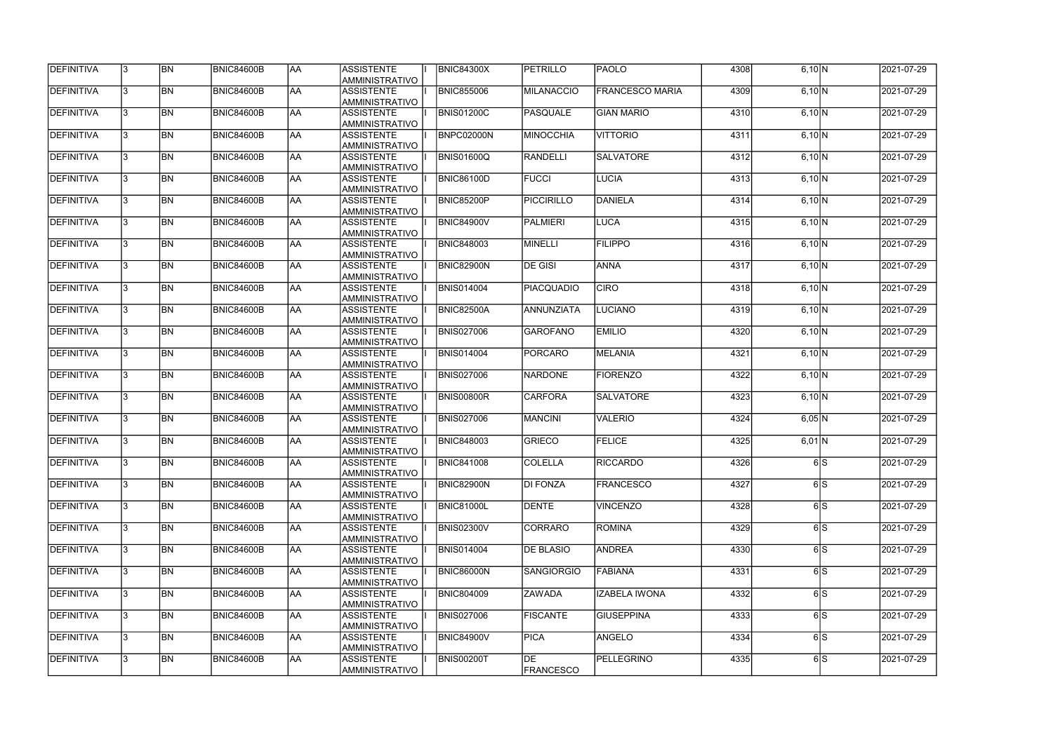| DEFINITIVA        | 13. | <b>BN</b> | <b>BNIC84600B</b> | laa        | <b>ASSISTENTE</b><br>AMMINISTRATIVO | <b>BNIC84300X</b> | PETRILLO                 | <b>PAOLO</b>           | 4308 | 6,10 N                |     | 2021-07-29 |
|-------------------|-----|-----------|-------------------|------------|-------------------------------------|-------------------|--------------------------|------------------------|------|-----------------------|-----|------------|
| DEFINITIVA        | 13. | <b>BN</b> | <b>BNIC84600B</b> | AA         | <b>ASSISTENTE</b><br>AMMINISTRATIVO | <b>BNIC855006</b> | MILANACCIO               | <b>FRANCESCO MARIA</b> | 4309 | 6,10 N                |     | 2021-07-29 |
| DEFINITIVA        | l3. | <b>BN</b> | <b>BNIC84600B</b> | AA         | <b>ASSISTENTE</b><br>AMMINISTRATIVO | <b>BNIS01200C</b> | <b>PASQUALE</b>          | <b>GIAN MARIO</b>      | 4310 | 6,10 N                |     | 2021-07-29 |
| DEFINITIVA        | l3. | <b>BN</b> | <b>BNIC84600B</b> | laa        | <b>ASSISTENTE</b><br>AMMINISTRATIVO | BNPC02000N        | MINOCCHIA                | <b>VITTORIO</b>        | 4311 | 6,10 N                |     | 2021-07-29 |
| DEFINITIVA        | 3   | <b>BN</b> | <b>BNIC84600B</b> | laa        | <b>ASSISTENTE</b><br>AMMINISTRATIVO | <b>BNIS01600Q</b> | RANDELLI                 | <b>SALVATORE</b>       | 4312 | 6,10 N                |     | 2021-07-29 |
| <b>DEFINITIVA</b> | l3. | <b>BN</b> | <b>BNIC84600B</b> | laa        | <b>ASSISTENTE</b><br>AMMINISTRATIVO | <b>BNIC86100D</b> | <b>FUCCI</b>             | <b>LUCIA</b>           | 4313 | 6,10 N                |     | 2021-07-29 |
| DEFINITIVA        |     | <b>BN</b> | <b>BNIC84600B</b> | laa        | <b>ASSISTENTE</b><br>AMMINISTRATIVO | <b>BNIC85200P</b> | PICCIRILLO               | <b>DANIELA</b>         | 4314 | 6,10 N                |     | 2021-07-29 |
| DEFINITIVA        | l3. | <b>BN</b> | <b>BNIC84600B</b> | laa        | <b>ASSISTENTE</b><br>AMMINISTRATIVO | <b>BNIC84900V</b> | PALMIERI                 | <b>LUCA</b>            | 4315 | 6,10 N                |     | 2021-07-29 |
| DEFINITIVA        | l3. | <b>BN</b> | <b>BNIC84600B</b> | laa        | <b>ASSISTENTE</b><br>AMMINISTRATIVO | <b>BNIC848003</b> | MINELLI                  | <b>FILIPPO</b>         | 4316 | 6,10 N                |     | 2021-07-29 |
| DEFINITIVA        | l3. | <b>BN</b> | <b>BNIC84600B</b> | AA         | <b>ASSISTENTE</b><br>AMMINISTRATIVO | BNIC82900N        | <b>DE GISI</b>           | <b>ANNA</b>            | 4317 | 6,10 N                |     | 2021-07-29 |
| DEFINITIVA        | l3. | <b>BN</b> | <b>BNIC84600B</b> | AA         | <b>ASSISTENTE</b><br>AMMINISTRATIVO | <b>BNIS014004</b> | PIACQUADIO               | <b>CIRO</b>            | 4318 | 6,10 N                |     | 2021-07-29 |
| DEFINITIVA        | l3  | <b>BN</b> | <b>BNIC84600B</b> | <b>AA</b>  | <b>ASSISTENTE</b><br>AMMINISTRATIVO | BNIC82500A        | ANNUNZIATA               | <b>LUCIANO</b>         | 4319 | 6,10 N                |     | 2021-07-29 |
| DEFINITIVA        |     | <b>BN</b> | <b>BNIC84600B</b> | laa        | <b>ASSISTENTE</b><br>AMMINISTRATIVO | <b>BNIS027006</b> | <b>GAROFANO</b>          | <b>EMILIO</b>          | 4320 | 6,10 N                |     | 2021-07-29 |
| DEFINITIVA        | l3. | <b>BN</b> | <b>BNIC84600B</b> | laa        | <b>ASSISTENTE</b><br>AMMINISTRATIVO | <b>BNIS014004</b> | PORCARO                  | <b>MELANIA</b>         | 4321 | 6,10 N                |     | 2021-07-29 |
| DEFINITIVA        |     | <b>BN</b> | <b>BNIC84600B</b> | laa        | <b>ASSISTENTE</b><br>AMMINISTRATIVO | <b>BNIS027006</b> | <b>NARDONE</b>           | <b>FIORENZO</b>        | 4322 | 6,10 N                |     | 2021-07-29 |
| DEFINITIVA        | l3. | <b>BN</b> | <b>BNIC84600B</b> | laa        | <b>ASSISTENTE</b><br>AMMINISTRATIVO | <b>BNIS00800R</b> | <b>CARFORA</b>           | <b>SALVATORE</b>       | 4323 | $\overline{6}$ , 10 N |     | 2021-07-29 |
| DEFINITIVA        | l3. | <b>BN</b> | <b>BNIC84600B</b> | laa        | <b>ASSISTENTE</b><br>AMMINISTRATIVO | <b>BNIS027006</b> | <b>MANCINI</b>           | <b>VALERIO</b>         | 4324 | $6,05$ N              |     | 2021-07-29 |
| <b>DEFINITIVA</b> | l3. | <b>BN</b> | <b>BNIC84600B</b> | laa        | <b>ASSISTENTE</b><br>AMMINISTRATIVO | <b>BNIC848003</b> | <b>GRIECO</b>            | <b>FELICE</b>          | 4325 | $6,01$ N              |     | 2021-07-29 |
| DEFINITIVA        | 13  | <b>BN</b> | <b>BNIC84600B</b> | <b>JAA</b> | <b>ASSISTENTE</b><br>AMMINISTRATIVO | <b>BNIC841008</b> | <b>COLELLA</b>           | <b>RICCARDO</b>        | 4326 |                       | 6S  | 2021-07-29 |
| <b>DEFINITIVA</b> | l3. | <b>BN</b> | <b>BNIC84600B</b> | <b>AA</b>  | <b>ASSISTENTE</b><br>AMMINISTRATIVO | BNIC82900N        | <b>DI FONZA</b>          | <b>FRANCESCO</b>       | 4327 |                       | 6S  | 2021-07-29 |
| <b>DEFINITIVA</b> | l3. | <b>BN</b> | <b>BNIC84600B</b> | AA         | <b>ASSISTENTE</b><br>AMMINISTRATIVO | <b>BNIC81000L</b> | <b>DENTE</b>             | <b>VINCENZO</b>        | 4328 |                       | 6S  | 2021-07-29 |
| DEFINITIVA        | 3   | <b>BN</b> | <b>BNIC84600B</b> | laa        | <b>ASSISTENTE</b><br>AMMINISTRATIVO | <b>BNIS02300V</b> | <b>CORRARO</b>           | <b>ROMINA</b>          | 4329 |                       | 6S  | 2021-07-29 |
| DEFINITIVA        |     | <b>BN</b> | <b>BNIC84600B</b> | AA         | <b>ASSISTENTE</b><br>AMMINISTRATIVO | <b>BNIS014004</b> | <b>DE BLASIO</b>         | <b>ANDREA</b>          | 4330 |                       | 6S  | 2021-07-29 |
| DEFINITIVA        |     | <b>BN</b> | BNIC84600B        | laa        | <b>ASSISTENTE</b><br>AMMINISTRATIVO | <b>BNIC86000N</b> | <b>SANGIORGIO</b>        | <b>FABIANA</b>         | 4331 |                       | 6S  | 2021-07-29 |
| DEFINITIVA        | l3. | <b>BN</b> | <b>BNIC84600B</b> | AA         | <b>ASSISTENTE</b><br>AMMINISTRATIVO | <b>BNIC804009</b> | <b>ZAWADA</b>            | <b>IZABELA IWONA</b>   | 4332 |                       | 6S  | 2021-07-29 |
| <b>DEFINITIVA</b> | 13. | <b>BN</b> | <b>BNIC84600B</b> | laa        | <b>ASSISTENTE</b><br>AMMINISTRATIVO | <b>BNIS027006</b> | <b>FISCANTE</b>          | <b>GIUSEPPINA</b>      | 4333 |                       | 6lS | 2021-07-29 |
| DEFINITIVA        | l3. | <b>BN</b> | <b>BNIC84600B</b> | AA         | <b>ASSISTENTE</b><br>AMMINISTRATIVO | <b>BNIC84900V</b> | <b>PICA</b>              | <b>ANGELO</b>          | 4334 |                       | 6lS | 2021-07-29 |
| DEFINITIVA        |     | <b>BN</b> | <b>BNIC84600B</b> | AA         | <b>ASSISTENTE</b><br>AMMINISTRATIVO | <b>BNIS00200T</b> | lde.<br><b>FRANCESCO</b> | <b>PELLEGRINO</b>      | 4335 |                       | 6S  | 2021-07-29 |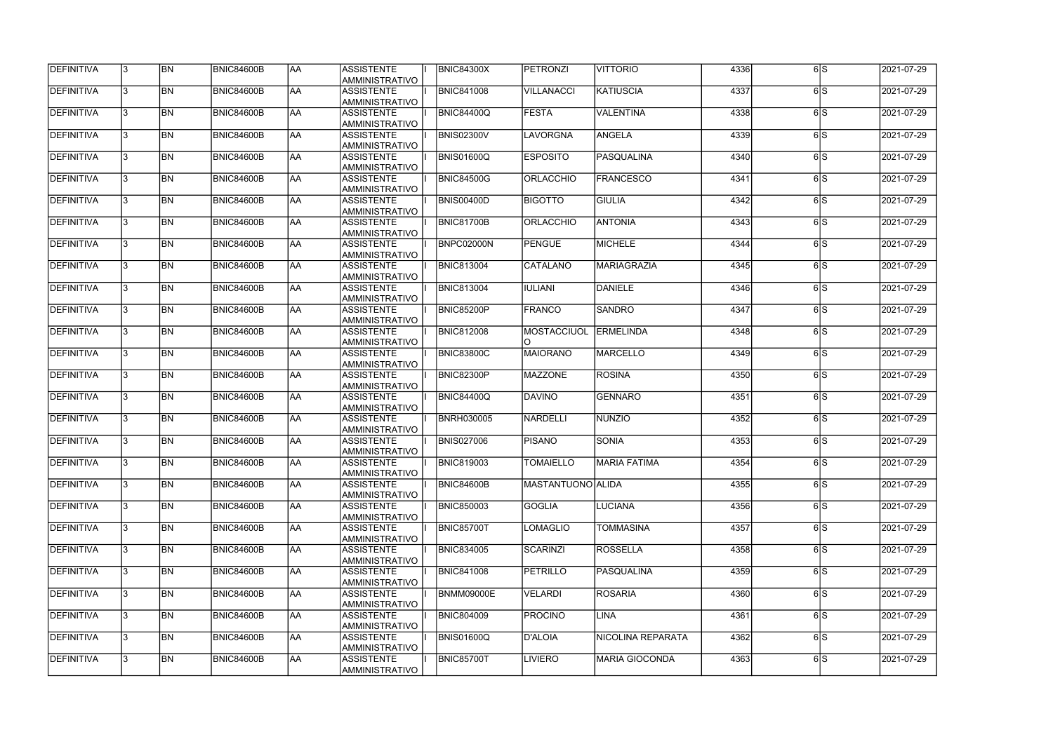| DEFINITIVA        | 13. | <b>BN</b> | <b>BNIC84600B</b> | laa       | ASSISTENTE<br>AMMINISTRATIVO        | <b>BNIC84300X</b> | PETRONZI          | <b>VITTORIO</b>       | 4336 | $\overline{6}$ s | 2021-07-29 |
|-------------------|-----|-----------|-------------------|-----------|-------------------------------------|-------------------|-------------------|-----------------------|------|------------------|------------|
| DEFINITIVA        | 13. | <b>BN</b> | <b>BNIC84600B</b> | AA        | <b>ASSISTENTE</b><br>AMMINISTRATIVO | <b>BNIC841008</b> | <b>VILLANACCI</b> | <b>KATIUSCIA</b>      | 4337 | 6S               | 2021-07-29 |
| DEFINITIVA        | l3. | <b>BN</b> | <b>BNIC84600B</b> | AA        | <b>ASSISTENTE</b><br>AMMINISTRATIVO | <b>BNIC84400Q</b> | <b>FESTA</b>      | <b>VALENTINA</b>      | 4338 | 6lS              | 2021-07-29 |
| DEFINITIVA        | l3. | <b>BN</b> | <b>BNIC84600B</b> | <b>AA</b> | <b>ASSISTENTE</b><br>AMMINISTRATIVO | <b>BNIS02300V</b> | <b>LAVORGNA</b>   | <b>ANGELA</b>         | 4339 | 6S               | 2021-07-29 |
| DEFINITIVA        | l3. | <b>BN</b> | BNIC84600B        | <b>AA</b> | <b>ASSISTENTE</b><br>AMMINISTRATIVO | <b>BNIS01600Q</b> | <b>ESPOSITO</b>   | PASQUALINA            | 4340 | 6S               | 2021-07-29 |
| DEFINITIVA        | 3   | <b>BN</b> | <b>BNIC84600B</b> | AA        | <b>ASSISTENTE</b><br>AMMINISTRATIVO | <b>BNIC84500G</b> | ORLACCHIO         | <b>FRANCESCO</b>      | 4341 | 6S               | 2021-07-29 |
| DEFINITIVA        |     | <b>BN</b> | <b>BNIC84600B</b> | AA        | <b>ASSISTENTE</b><br>AMMINISTRATIVO | <b>BNIS00400D</b> | <b>BIGOTTO</b>    | <b>GIULIA</b>         | 4342 | 6lS              | 2021-07-29 |
| DEFINITIVA        |     | <b>BN</b> | <b>BNIC84600B</b> | AA        | <b>ASSISTENTE</b><br>AMMINISTRATIVO | <b>BNIC81700B</b> | <b>ORLACCHIO</b>  | <b>ANTONIA</b>        | 4343 | 6S               | 2021-07-29 |
| DEFINITIVA        |     | <b>BN</b> | <b>BNIC84600B</b> | laa       | <b>ASSISTENTE</b><br>AMMINISTRATIVO | BNPC02000N        | PENGUE            | <b>MICHELE</b>        | 4344 | 6S               | 2021-07-29 |
| DEFINITIVA        |     | <b>BN</b> | <b>BNIC84600B</b> | laa       | <b>ASSISTENTE</b><br>AMMINISTRATIVO | <b>BNIC813004</b> | CATALANO          | <b>MARIAGRAZIA</b>    | 4345 | 6S               | 2021-07-29 |
| DEFINITIVA        | l3. | <b>BN</b> | <b>BNIC84600B</b> | AA        | <b>ASSISTENTE</b><br>AMMINISTRATIVO | <b>BNIC813004</b> | <b>IULIANI</b>    | DANIELE               | 4346 | 6S               | 2021-07-29 |
| DEFINITIVA        |     | <b>BN</b> | <b>BNIC84600B</b> | <b>AA</b> | <b>ASSISTENTE</b><br>AMMINISTRATIVO | <b>BNIC85200P</b> | FRANCO            | <b>SANDRO</b>         | 4347 | 6 <sub>IS</sub>  | 2021-07-29 |
| DEFINITIVA        | 3   | <b>BN</b> | <b>BNIC84600B</b> | AA        | <b>ASSISTENTE</b><br>AMMINISTRATIVO | <b>BNIC812008</b> | MOSTACCIUOL       | <b>ERMELINDA</b>      | 4348 | 6S               | 2021-07-29 |
| DEFINITIVA        | 3   | <b>BN</b> | <b>BNIC84600B</b> | AA        | <b>ASSISTENTE</b><br>AMMINISTRATIVO | <b>BNIC83800C</b> | <b>MAIORANO</b>   | <b>MARCELLO</b>       | 4349 | 6lS              | 2021-07-29 |
| DEFINITIVA        |     | <b>BN</b> | <b>BNIC84600B</b> | AA        | <b>ASSISTENTE</b><br>AMMINISTRATIVO | <b>BNIC82300P</b> | <b>MAZZONE</b>    | <b>ROSINA</b>         | 4350 | 6S               | 2021-07-29 |
| DEFINITIVA        |     | <b>BN</b> | <b>BNIC84600B</b> | AA        | <b>ASSISTENTE</b><br>AMMINISTRATIVO | <b>BNIC84400Q</b> | DAVINO            | <b>GENNARO</b>        | 4351 | 6IS              | 2021-07-29 |
| DEFINITIVA        |     | <b>BN</b> | <b>BNIC84600B</b> | AA        | <b>ASSISTENTE</b><br>AMMINISTRATIVO | <b>BNRH030005</b> | <b>NARDELLI</b>   | <b>NUNZIO</b>         | 4352 | 6lS              | 2021-07-29 |
| DEFINITIVA        |     | <b>BN</b> | <b>BNIC84600B</b> | AA        | <b>ASSISTENTE</b><br>AMMINISTRATIVO | <b>BNIS027006</b> | <b>PISANO</b>     | <b>SONIA</b>          | 4353 | 6lS              | 2021-07-29 |
| DEFINITIVA        | 13  | BN        | <b>BNIC84600B</b> | AA        | <b>ASSISTENTE</b><br>AMMINISTRATIVO | <b>BNIC819003</b> | <b>TOMAIELLO</b>  | <b>MARIA FATIMA</b>   | 4354 | 6S               | 2021-07-29 |
| <b>DEFINITIVA</b> | l3. | <b>BN</b> | <b>BNIC84600B</b> | AA        | <b>ASSISTENTE</b><br>AMMINISTRATIVO | <b>BNIC84600B</b> | MASTANTUONO ALIDA |                       | 4355 | 6lS              | 2021-07-29 |
| DEFINITIVA        | l3. | <b>BN</b> | <b>BNIC84600B</b> | <b>AA</b> | ASSISTENTE<br>AMMINISTRATIVO        | <b>BNIC850003</b> | GOGLIA            | <b>LUCIANA</b>        | 4356 | 6S               | 2021-07-29 |
| DEFINITIVA        |     | <b>BN</b> | <b>BNIC84600B</b> | <b>AA</b> | <b>ASSISTENTE</b><br>AMMINISTRATIVO | BNIC85700T        | LOMAGLIO          | <b>TOMMASINA</b>      | 4357 | 6S               | 2021-07-29 |
| <b>DEFINITIVA</b> | l3. | <b>BN</b> | <b>BNIC84600B</b> | <b>AA</b> | ASSISTENTE<br>AMMINISTRATIVO        | <b>BNIC834005</b> | SCARINZI          | <b>ROSSELLA</b>       | 4358 | 6S               | 2021-07-29 |
| DEFINITIVA        |     | <b>BN</b> | <b>BNIC84600B</b> | AA        | <b>ASSISTENTE</b><br>AMMINISTRATIVO | <b>BNIC841008</b> | PETRILLO          | PASQUALINA            | 4359 | 6lS              | 2021-07-29 |
| DEFINITIVA        |     | <b>BN</b> | <b>BNIC84600B</b> | <b>AA</b> | <b>ASSISTENTE</b><br>AMMINISTRATIVO | <b>BNMM09000E</b> | VELARDI           | <b>ROSARIA</b>        | 4360 | 6lS              | 2021-07-29 |
| DEFINITIVA        | I3. | <b>BN</b> | <b>BNIC84600B</b> | AA        | <b>ASSISTENTE</b><br>AMMINISTRATIVO | <b>BNIC804009</b> | <b>PROCINO</b>    | LINA                  | 4361 | 6lS              | 2021-07-29 |
| DEFINITIVA        | 13. | <b>BN</b> | <b>BNIC84600B</b> | AA        | <b>ASSISTENTE</b><br>AMMINISTRATIVO | <b>BNIS01600Q</b> | D'ALOIA           | NICOLINA REPARATA     | 4362 | 6S               | 2021-07-29 |
| DEFINITIVA        |     | <b>BN</b> | <b>BNIC84600B</b> | AA        | <b>ASSISTENTE</b><br>AMMINISTRATIVO | <b>BNIC85700T</b> | <b>LIVIERO</b>    | <b>MARIA GIOCONDA</b> | 4363 | 6lS              | 2021-07-29 |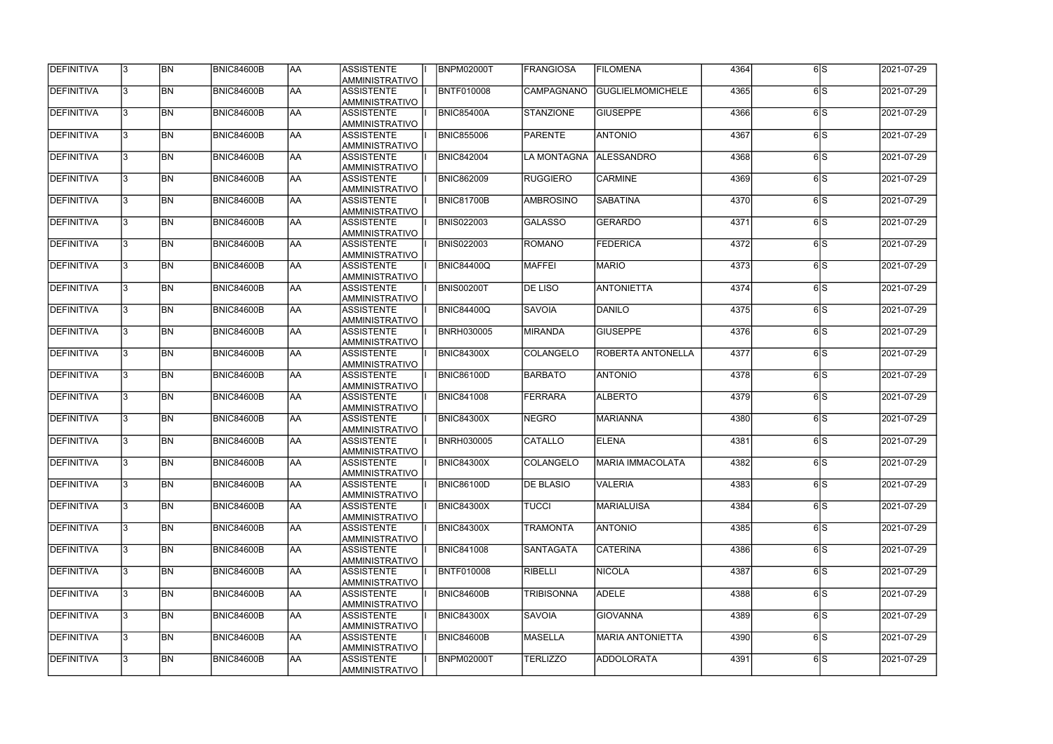| DEFINITIVA        | 13. | <b>BN</b> | <b>BNIC84600B</b> | laa       | ASSISTENTE<br>AMMINISTRATIVO        | <b>BNPM02000T</b> | <b>FRANGIOSA</b>       | <b>FILOMENA</b>          | 4364 | $\overline{6}$   | 2021-07-29 |
|-------------------|-----|-----------|-------------------|-----------|-------------------------------------|-------------------|------------------------|--------------------------|------|------------------|------------|
| DEFINITIVA        | 13. | <b>BN</b> | <b>BNIC84600B</b> | AA        | <b>ASSISTENTE</b><br>AMMINISTRATIVO | <b>BNTF010008</b> | <b>CAMPAGNANO</b>      | <b>GUGLIELMOMICHELE</b>  | 4365 | 6S               | 2021-07-29 |
| DEFINITIVA        | l3. | <b>BN</b> | <b>BNIC84600B</b> | AA        | <b>ASSISTENTE</b><br>AMMINISTRATIVO | <b>BNIC85400A</b> | <b>STANZIONE</b>       | <b>GIUSEPPE</b>          | 4366 | 6lS              | 2021-07-29 |
| DEFINITIVA        | l3. | <b>BN</b> | <b>BNIC84600B</b> | <b>AA</b> | <b>ASSISTENTE</b><br>AMMINISTRATIVO | <b>BNIC855006</b> | PARENTE                | <b>ANTONIO</b>           | 4367 | $\overline{6}$ s | 2021-07-29 |
| DEFINITIVA        | l3. | <b>BN</b> | <b>BNIC84600B</b> | <b>AA</b> | <b>ASSISTENTE</b><br>AMMINISTRATIVO | <b>BNIC842004</b> | LA MONTAGNA ALESSANDRO |                          | 4368 | 6S               | 2021-07-29 |
| DEFINITIVA        | 3   | <b>BN</b> | <b>BNIC84600B</b> | AA        | <b>ASSISTENTE</b><br>AMMINISTRATIVO | <b>BNIC862009</b> | RUGGIERO               | <b>CARMINE</b>           | 4369 | 6S               | 2021-07-29 |
| DEFINITIVA        |     | <b>BN</b> | <b>BNIC84600B</b> | AA        | <b>ASSISTENTE</b><br>AMMINISTRATIVO | <b>BNIC81700B</b> | AMBROSINO              | <b>SABATINA</b>          | 4370 | 6lS              | 2021-07-29 |
| DEFINITIVA        |     | <b>BN</b> | <b>BNIC84600B</b> | AA        | <b>ASSISTENTE</b><br>AMMINISTRATIVO | <b>BNIS022003</b> | <b>GALASSO</b>         | <b>GERARDO</b>           | 4371 | 6S               | 2021-07-29 |
| DEFINITIVA        |     | <b>BN</b> | <b>BNIC84600B</b> | laa       | <b>ASSISTENTE</b><br>AMMINISTRATIVO | <b>BNIS022003</b> | ROMANO                 | <b>FEDERICA</b>          | 4372 | 6S               | 2021-07-29 |
| DEFINITIVA        |     | <b>BN</b> | <b>BNIC84600B</b> | laa       | <b>ASSISTENTE</b><br>AMMINISTRATIVO | <b>BNIC84400Q</b> | <b>MAFFEI</b>          | <b>MARIO</b>             | 4373 | 6S               | 2021-07-29 |
| DEFINITIVA        | l3. | <b>BN</b> | <b>BNIC84600B</b> | AA        | <b>ASSISTENTE</b><br>AMMINISTRATIVO | <b>BNIS00200T</b> | <b>DE LISO</b>         | <b>ANTONIETTA</b>        | 4374 | 6S               | 2021-07-29 |
| DEFINITIVA        |     | <b>BN</b> | <b>BNIC84600B</b> | <b>AA</b> | <b>ASSISTENTE</b><br>AMMINISTRATIVO | BNIC84400Q        | <b>SAVOIA</b>          | <b>DANILO</b>            | 4375 | 6 <sub>IS</sub>  | 2021-07-29 |
| DEFINITIVA        | 3   | <b>BN</b> | <b>BNIC84600B</b> | AA        | <b>ASSISTENTE</b><br>AMMINISTRATIVO | <b>BNRH030005</b> | <b>MIRANDA</b>         | <b>GIUSEPPE</b>          | 4376 | 6S               | 2021-07-29 |
| DEFINITIVA        | 3   | <b>BN</b> | <b>BNIC84600B</b> | AA        | <b>ASSISTENTE</b><br>AMMINISTRATIVO | <b>BNIC84300X</b> | COLANGELO              | <b>ROBERTA ANTONELLA</b> | 4377 | 6lS              | 2021-07-29 |
| DEFINITIVA        |     | <b>BN</b> | <b>BNIC84600B</b> | AA        | <b>ASSISTENTE</b><br>AMMINISTRATIVO | <b>BNIC86100D</b> | <b>BARBATO</b>         | <b>ANTONIO</b>           | 4378 | 6S               | 2021-07-29 |
| DEFINITIVA        |     | <b>BN</b> | <b>BNIC84600B</b> | AA        | <b>ASSISTENTE</b><br>AMMINISTRATIVO | <b>BNIC841008</b> | FERRARA                | <b>ALBERTO</b>           | 4379 | 6lS              | 2021-07-29 |
| DEFINITIVA        |     | <b>BN</b> | <b>BNIC84600B</b> | AA        | <b>ASSISTENTE</b><br>AMMINISTRATIVO | <b>BNIC84300X</b> | <b>NEGRO</b>           | <b>MARIANNA</b>          | 4380 | 6lS              | 2021-07-29 |
| DEFINITIVA        |     | <b>BN</b> | <b>BNIC84600B</b> | AA        | <b>ASSISTENTE</b><br>AMMINISTRATIVO | <b>BNRH030005</b> | <b>CATALLO</b>         | <b>ELENA</b>             | 4381 | 6lS              | 2021-07-29 |
| DEFINITIVA        | 13  | BN        | <b>BNIC84600B</b> | AA        | <b>ASSISTENTE</b><br>AMMINISTRATIVO | <b>BNIC84300X</b> | <b>COLANGELO</b>       | MARIA IMMACOLATA         | 4382 | 6S               | 2021-07-29 |
| <b>DEFINITIVA</b> | l3. | <b>BN</b> | BNIC84600B        | AA        | <b>ASSISTENTE</b><br>AMMINISTRATIVO | <b>BNIC86100D</b> | <b>DE BLASIO</b>       | <b>VALERIA</b>           | 4383 | 6S               | 2021-07-29 |
| DEFINITIVA        | l3. | <b>BN</b> | <b>BNIC84600B</b> | <b>AA</b> | ASSISTENTE<br>AMMINISTRATIVO        | <b>BNIC84300X</b> | <b>TUCCI</b>           | <b>MARIALUISA</b>        | 4384 | $\overline{6}$ S | 2021-07-29 |
| DEFINITIVA        |     | <b>BN</b> | <b>BNIC84600B</b> | <b>AA</b> | <b>ASSISTENTE</b><br>AMMINISTRATIVO | <b>BNIC84300X</b> | <b>TRAMONTA</b>        | <b>ANTONIO</b>           | 4385 | 6S               | 2021-07-29 |
| <b>DEFINITIVA</b> | l3. | <b>BN</b> | <b>BNIC84600B</b> | <b>AA</b> | ASSISTENTE<br>AMMINISTRATIVO        | <b>BNIC841008</b> | <b>SANTAGATA</b>       | <b>CATERINA</b>          | 4386 | 6S               | 2021-07-29 |
| DEFINITIVA        |     | <b>BN</b> | <b>BNIC84600B</b> | AA        | <b>ASSISTENTE</b><br>AMMINISTRATIVO | <b>BNTF010008</b> | <b>RIBELLI</b>         | <b>NICOLA</b>            | 4387 | 6lS              | 2021-07-29 |
| DEFINITIVA        |     | <b>BN</b> | <b>BNIC84600B</b> | <b>AA</b> | <b>ASSISTENTE</b><br>AMMINISTRATIVO | <b>BNIC84600B</b> | <b>TRIBISONNA</b>      | <b>ADELE</b>             | 4388 | 6lS              | 2021-07-29 |
| DEFINITIVA        | I3. | <b>BN</b> | <b>BNIC84600B</b> | AA        | <b>ASSISTENTE</b><br>AMMINISTRATIVO | <b>BNIC84300X</b> | <b>SAVOIA</b>          | <b>GIOVANNA</b>          | 4389 | 6lS              | 2021-07-29 |
| DEFINITIVA        | 13. | <b>BN</b> | <b>BNIC84600B</b> | AA        | <b>ASSISTENTE</b><br>AMMINISTRATIVO | <b>BNIC84600B</b> | <b>MASELLA</b>         | <b>MARIA ANTONIETTA</b>  | 4390 | 6S               | 2021-07-29 |
| DEFINITIVA        |     | <b>BN</b> | <b>BNIC84600B</b> | AA        | <b>ASSISTENTE</b><br>AMMINISTRATIVO | <b>BNPM02000T</b> | <b>TERLIZZO</b>        | ADDOLORATA               | 4391 | 6lS              | 2021-07-29 |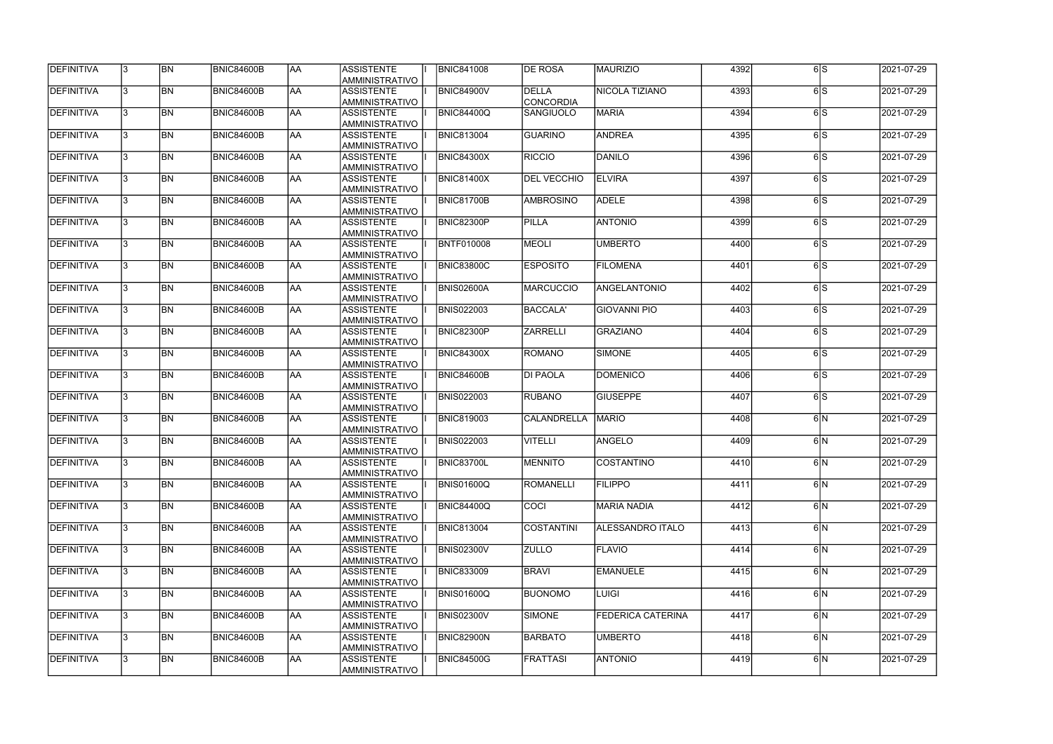| DEFINITIVA        | 13.          | <b>BN</b>       | <b>BNIC84600B</b> | <b>AA</b>  | ASSISTENTE<br>AMMINISTRATIVO               | <b>BNIC841008</b> | <b>DE ROSA</b>                   | <b>MAURIZIO</b>     | 4392 | 6S  | 2021-07-29 |
|-------------------|--------------|-----------------|-------------------|------------|--------------------------------------------|-------------------|----------------------------------|---------------------|------|-----|------------|
| <b>DEFINITIVA</b> | l3.          | <b>BN</b>       | BNIC84600B        | <b>JAA</b> | <b>ASSISTENTE</b><br>AMMINISTRATIVO        | BNIC84900V        | <b>DELLA</b><br><b>CONCORDIA</b> | NICOLA TIZIANO      | 4393 | 6lS | 2021-07-29 |
| DEFINITIVA        |              | <b>BN</b>       | <b>BNIC84600B</b> | AA         | <b>ASSISTENTE</b><br>AMMINISTRATIVO        | <b>BNIC84400Q</b> | <b>SANGIUOLO</b>                 | <b>MARIA</b>        | 4394 | 6lS | 2021-07-29 |
| <b>DEFINITIVA</b> | $\mathbf{3}$ | <b>BN</b>       | BNIC84600B        | <b>AA</b>  | ASSISTENTE<br>AMMINISTRATIVO               | <b>BNIC813004</b> | <b>GUARINO</b>                   | <b>ANDREA</b>       | 4395 | 6S  | 2021-07-29 |
| <b>DEFINITIVA</b> |              | <b>BN</b>       | BNIC84600B        | AA         | ASSISTENTE<br><b>AMMINISTRATIVO</b>        | <b>BNIC84300X</b> | <b>RICCIO</b>                    | <b>DANILO</b>       | 4396 | 6S  | 2021-07-29 |
| DEFINITIVA        |              | <b>BN</b>       | <b>BNIC84600B</b> | <b>JAA</b> | <b>ASSISTENTE</b><br>AMMINISTRATIVO        | BNIC81400X        | <b>DEL VECCHIO</b>               | <b>ELVIRA</b>       | 4397 | 6lS | 2021-07-29 |
| DEFINITIVA        |              | <b>BN</b>       | <b>BNIC84600B</b> | AA         | <b>ASSISTENTE</b><br><b>AMMINISTRATIVO</b> | <b>BNIC81700B</b> | <b>AMBROSINO</b>                 | <b>ADELE</b>        | 4398 | 6lS | 2021-07-29 |
| DEFINITIVA        |              | <b>BN</b>       | BNIC84600B        | AA         | <b>ASSISTENTE</b><br>AMMINISTRATIVO        | BNIC82300P        | <b>PILLA</b>                     | <b>ANTONIO</b>      | 4399 | 6lS | 2021-07-29 |
| <b>DEFINITIVA</b> |              | <b>BN</b>       | <b>BNIC84600B</b> | <b>JAA</b> | <b>ASSISTENTE</b><br>AMMINISTRATIVO        | <b>BNTF010008</b> | <b>MEOLI</b>                     | <b>UMBERTO</b>      | 4400 | 6S  | 2021-07-29 |
| DEFINITIVA        |              | <b>BN</b>       | BNIC84600B        | <b>JAA</b> | <b>ASSISTENTE</b><br>AMMINISTRATIVO        | <b>BNIC83800C</b> | <b>ESPOSITO</b>                  | <b>FILOMENA</b>     | 4401 | 6 S | 2021-07-29 |
| DEFINITIVA        |              | <b>BN</b>       | <b>BNIC84600B</b> | AA         | ASSISTENTE<br>AMMINISTRATIVO               | <b>BNIS02600A</b> | <b>MARCUCCIO</b>                 | <b>ANGELANTONIO</b> | 4402 | 6lS | 2021-07-29 |
| DEFINITIVA        |              | <b>BN</b>       | BNIC84600B        | <b>AA</b>  | <b>ASSISTENTE</b><br>AMMINISTRATIVO        | <b>BNIS022003</b> | BACCALA'                         | <b>GIOVANNI PIO</b> | 4403 | 6lS | 2021-07-29 |
| <b>DEFINITIVA</b> |              | <b>BN</b>       | <b>BNIC84600B</b> | AA         | ASSISTENTE<br>AMMINISTRATIVO               | BNIC82300P        | <b>ZARRELLI</b>                  | <b>GRAZIANO</b>     | 4404 | 6lS | 2021-07-29 |
| <b>DEFINITIVA</b> |              | <b>BN</b>       | <b>BNIC84600B</b> | <b>JAA</b> | <b>ASSISTENTE</b><br><b>AMMINISTRATIVO</b> | <b>BNIC84300X</b> | ROMANO                           | <b>SIMONE</b>       | 4405 | 6lS | 2021-07-29 |
| <b>DEFINITIVA</b> |              | <b>BN</b>       | <b>BNIC84600B</b> | AA         | <b>ASSISTENTE</b><br><b>AMMINISTRATIVO</b> | BNIC84600B        | <b>DI PAOLA</b>                  | <b>DOMENICO</b>     | 4406 | 6lS | 2021-07-29 |
| DEFINITIVA        |              | <b>BN</b>       | <b>BNIC84600B</b> | AA         | <b>ASSISTENTE</b><br>AMMINISTRATIVO        | <b>BNIS022003</b> | <b>RUBANO</b>                    | <b>GIUSEPPE</b>     | 4407 | 6lS | 2021-07-29 |
| DEFINITIVA        | 3            | <b>BN</b>       | BNIC84600B        | AA         | <b>ASSISTENTE</b><br>AMMINISTRATIVO        | <b>BNIC819003</b> | <b>CALANDRELLA</b>               | <b>MARIO</b>        | 4408 | 6lN | 2021-07-29 |
| DEFINITIVA        |              | <b>BN</b>       | <b>BNIC84600B</b> | AA         | <b>ASSISTENTE</b><br>AMMINISTRATIVO        | <b>BNIS022003</b> | <b>VITELLI</b>                   | <b>ANGELO</b>       | 4409 | 6lN | 2021-07-29 |
| <b>DEFINITIVA</b> | 13.          | <b>BN</b>       | <b>BNIC84600B</b> | <b>JAA</b> | <b>ASSISTENTE</b><br>AMMINISTRATIVO        | BNIC83700L        | <b>MENNITO</b>                   | <b>COSTANTINO</b>   | 4410 | 6 N | 2021-07-29 |
| <b>DEFINITIVA</b> | $\mathbf{3}$ | $\overline{BN}$ | <b>BNIC84600B</b> | AA         | ASSISTENTE<br><b>AMMINISTRATIVO</b>        | <b>BNIS01600Q</b> | ROMANELLI                        | <b>FILIPPO</b>      | 4411 | 6N  | 2021-07-29 |
| <b>DEFINITIVA</b> | 13.          | <b>BN</b>       | <b>BNIC84600B</b> | AA         | <b>ASSISTENTE</b><br>AMMINISTRATIVO        | BNIC84400Q        | <b>COCI</b>                      | <b>MARIA NADIA</b>  | 4412 | 6N  | 2021-07-29 |
| DEFINITIVA        |              | <b>BN</b>       | <b>BNIC84600B</b> | AA         | ASSISTENTE<br>AMMINISTRATIVO               | <b>BNIC813004</b> | <b>COSTANTINI</b>                | ALESSANDRO ITALO    | 4413 | 6N  | 2021-07-29 |
| DEFINITIVA        |              | <b>BN</b>       | <b>BNIC84600B</b> | AA         | ASSISTENTE<br><b>AMMINISTRATIVO</b>        | <b>BNIS02300V</b> | <b>ZULLO</b>                     | <b>FLAVIO</b>       | 4414 | 6lN | 2021-07-29 |
| DEFINITIVA        |              | <b>BN</b>       | <b>BNIC84600B</b> | AA         | <b>ASSISTENTE</b><br>AMMINISTRATIVO        | <b>BNIC833009</b> | <b>BRAVI</b>                     | <b>EMANUELE</b>     | 4415 | 6N  | 2021-07-29 |
| DEFINITIVA        |              | <b>BN</b>       | <b>BNIC84600B</b> | AA         | ASSISTENTE<br>AMMINISTRATIVO               | <b>BNIS01600Q</b> | <b>BUONOMO</b>                   | <b>LUIGI</b>        | 4416 | 6N  | 2021-07-29 |
| DEFINITIVA        |              | <b>BN</b>       | <b>BNIC84600B</b> | AA         | ASSISTENTE<br>AMMINISTRATIVO               | <b>BNIS02300V</b> | SIMONE                           | FEDERICA CATERINA   | 4417 | 6N  | 2021-07-29 |
| DEFINITIVA        | l3.          | <b>BN</b>       | BNIC84600B        | AA         | ASSISTENTE<br>AMMINISTRATIVO               | BNIC82900N        | <b>BARBATO</b>                   | <b>UMBERTO</b>      | 4418 | 6lN | 2021-07-29 |
| <b>DEFINITIVA</b> |              | <b>BN</b>       | <b>BNIC84600B</b> | <b>AA</b>  | <b>ASSISTENTE</b><br>AMMINISTRATIVO        | <b>BNIC84500G</b> | <b>FRATTASI</b>                  | <b>ANTONIO</b>      | 4419 | 6lN | 2021-07-29 |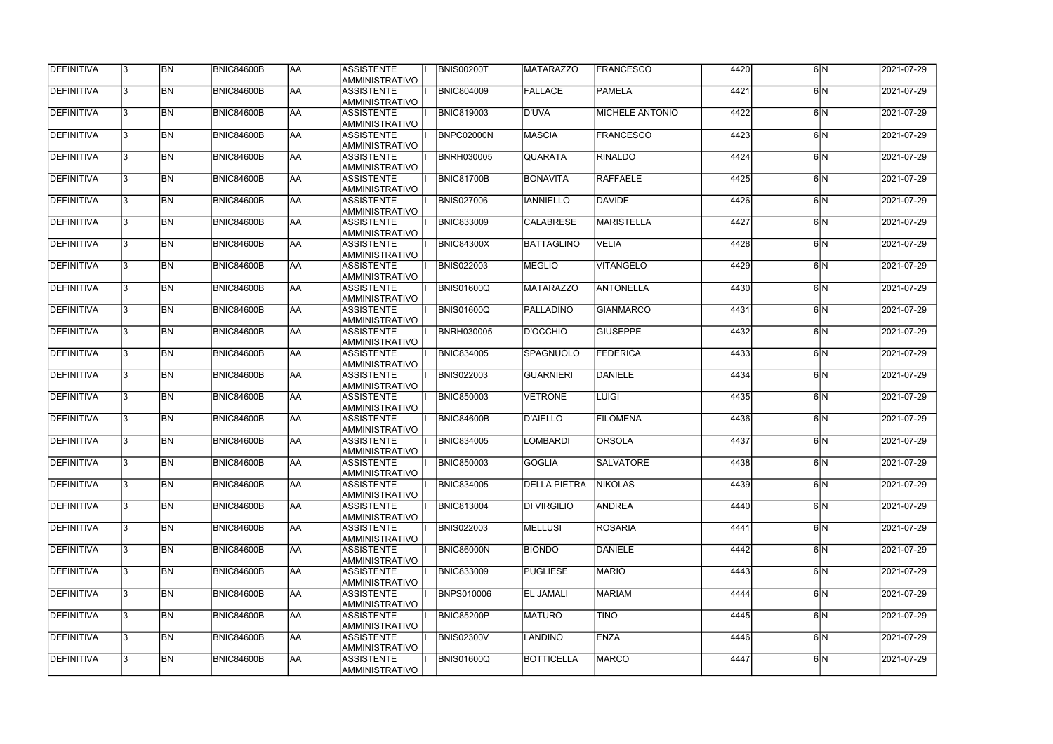| <b>DEFINITIVA</b> | 13. | <b>BN</b> | <b>BNIC84600B</b> | <b>AA</b> | <b>ASSISTENTE</b><br>AMMINISTRATIVO        | <b>BNIS00200T</b> | <b>MATARAZZO</b>    | <b>FRANCESCO</b>  | 4420 | 6N              | 2021-07-29 |
|-------------------|-----|-----------|-------------------|-----------|--------------------------------------------|-------------------|---------------------|-------------------|------|-----------------|------------|
| DEFINITIVA        | l3. | <b>BN</b> | <b>BNIC84600B</b> | laa       | <b>ASSISTENTE</b><br>AMMINISTRATIVO        | <b>BNIC804009</b> | FALLACE             | <b>PAMELA</b>     | 4421 | 6N              | 2021-07-29 |
| DEFINITIVA        | 13. | <b>BN</b> | <b>BNIC84600B</b> | laa       | <b>ASSISTENTE</b><br>AMMINISTRATIVO        | <b>BNIC819003</b> | <b>D'UVA</b>        | MICHELE ANTONIO   | 4422 | 6IN             | 2021-07-29 |
| DEFINITIVA        | l3. | <b>BN</b> | <b>BNIC84600B</b> | AA        | <b>ASSISTENTE</b><br>AMMINISTRATIVO        | BNPC02000N        | <b>MASCIA</b>       | <b>FRANCESCO</b>  | 4423 | 6N              | 2021-07-29 |
| DEFINITIVA        | 3   | <b>BN</b> | <b>BNIC84600B</b> | <b>AA</b> | <b>ASSISTENTE</b><br>AMMINISTRATIVO        | <b>BNRH030005</b> | <b>QUARATA</b>      | <b>RINALDO</b>    | 4424 | 6N              | 2021-07-29 |
| DEFINITIVA        | l3. | <b>BN</b> | BNIC84600B        | laa       | <b>ASSISTENTE</b><br>AMMINISTRATIVO        | BNIC81700B        | BONAVITA            | <b>RAFFAELE</b>   | 4425 | 6N              | 2021-07-29 |
| <b>DEFINITIVA</b> | 3   | <b>BN</b> | <b>BNIC84600B</b> | laa       | <b>ASSISTENTE</b><br>AMMINISTRATIVO        | <b>BNIS027006</b> | <b>IANNIELLO</b>    | <b>DAVIDE</b>     | 4426 | 6N              | 2021-07-29 |
| DEFINITIVA        |     | <b>BN</b> | <b>BNIC84600B</b> | laa       | <b>ASSISTENTE</b><br><b>AMMINISTRATIVO</b> | <b>BNIC833009</b> | <b>CALABRESE</b>    | <b>MARISTELLA</b> | 4427 | 6N              | 2021-07-29 |
| DEFINITIVA        |     | <b>BN</b> | <b>BNIC84600B</b> | laa       | <b>ASSISTENTE</b><br>AMMINISTRATIVO        | <b>BNIC84300X</b> | BATTAGLINO          | <b>VELIA</b>      | 4428 | 6N              | 2021-07-29 |
| DEFINITIVA        |     | <b>BN</b> | <b>BNIC84600B</b> | laa       | <b>ASSISTENTE</b><br>AMMINISTRATIVO        | <b>BNIS022003</b> | MEGLIO              | <b>VITANGELO</b>  | 4429 | 6N              | 2021-07-29 |
| DEFINITIVA        | l3. | <b>BN</b> | <b>BNIC84600B</b> | AA        | <b>ASSISTENTE</b><br>AMMINISTRATIVO        | BNIS01600Q        | <b>MATARAZZO</b>    | ANTONELLA         | 4430 | $6\text{N}$     | 2021-07-29 |
| DEFINITIVA        | l3. | <b>BN</b> | <b>BNIC84600B</b> | AA        | <b>ASSISTENTE</b><br>AMMINISTRATIVO        | <b>BNIS01600Q</b> | PALLADINO           | <b>GIANMARCO</b>  | 4431 | 6N              | 2021-07-29 |
| DEFINITIVA        | 3   | <b>BN</b> | BNIC84600B        | AA        | <b>ASSISTENTE</b><br>AMMINISTRATIVO        | <b>BNRH030005</b> | <b>D'OCCHIO</b>     | <b>GIUSEPPE</b>   | 4432 | 6lN             | 2021-07-29 |
| DEFINITIVA        |     | <b>BN</b> | <b>BNIC84600B</b> | AA        | <b>ASSISTENTE</b><br>AMMINISTRATIVO        | <b>BNIC834005</b> | SPAGNUOLO           | <b>FEDERICA</b>   | 4433 | 6N              | 2021-07-29 |
| DEFINITIVA        | 3   | <b>BN</b> | <b>BNIC84600B</b> | laa       | <b>ASSISTENTE</b><br>AMMINISTRATIVO        | <b>BNIS022003</b> | <b>GUARNIERI</b>    | <b>DANIELE</b>    | 4434 | 6 <sup>IN</sup> | 2021-07-29 |
| DEFINITIVA        | l3. | <b>BN</b> | <b>BNIC84600B</b> | laa       | <b>ASSISTENTE</b><br>AMMINISTRATIVO        | <b>BNIC850003</b> | <b>VETRONE</b>      | <b>LUIGI</b>      | 4435 | 6IN             | 2021-07-29 |
| DEFINITIVA        |     | <b>BN</b> | <b>BNIC84600B</b> | laa       | <b>ASSISTENTE</b><br>AMMINISTRATIVO        | BNIC84600B        | D'AIELLO            | <b>FILOMENA</b>   | 4436 | 6N              | 2021-07-29 |
| DEFINITIVA        |     | <b>BN</b> | <b>BNIC84600B</b> | AA        | <b>ASSISTENTE</b><br>AMMINISTRATIVO        | <b>BNIC834005</b> | LOMBARDI            | <b>ORSOLA</b>     | 4437 | 6IN             | 2021-07-29 |
| <b>DEFINITIVA</b> | 13  | <b>BN</b> | <b>BNIC84600B</b> | AA        | <b>ASSISTENTE</b><br>AMMINISTRATIVO        | <b>BNIC850003</b> | <b>GOGLIA</b>       | <b>SALVATORE</b>  | 4438 | 6 N             | 2021-07-29 |
| DEFINITIVA        | 13. | <b>BN</b> | <b>BNIC84600B</b> | AA        | <b>ASSISTENTE</b><br>AMMINISTRATIVO        | <b>BNIC834005</b> | <b>DELLA PIETRA</b> | <b>NIKOLAS</b>    | 4439 | 6N              | 2021-07-29 |
| DEFINITIVA        | I3. | <b>BN</b> | <b>BNIC84600B</b> | AA        | <b>ASSISTENTE</b><br>AMMINISTRATIVO        | <b>BNIC813004</b> | <b>DI VIRGILIO</b>  | <b>ANDREA</b>     | 4440 | 6N              | 2021-07-29 |
| DEFINITIVA        | l3. | <b>BN</b> | <b>BNIC84600B</b> | laa       | <b>ASSISTENTE</b><br>AMMINISTRATIVO        | <b>BNIS022003</b> | MELLUSI             | <b>ROSARIA</b>    | 4441 | 6N              | 2021-07-29 |
| DEFINITIVA        | 3   | <b>BN</b> | <b>BNIC84600B</b> | laa       | <b>ASSISTENTE</b><br>AMMINISTRATIVO        | BNIC86000N        | <b>BIONDO</b>       | <b>DANIELE</b>    | 4442 | 6N              | 2021-07-29 |
| DEFINITIVA        | l3. | <b>BN</b> | <b>BNIC84600B</b> | AA        | <b>ASSISTENTE</b><br>AMMINISTRATIVO        | <b>BNIC833009</b> | <b>PUGLIESE</b>     | <b>MARIO</b>      | 4443 | 6IN             | 2021-07-29 |
| DEFINITIVA        |     | <b>BN</b> | <b>BNIC84600B</b> | laa       | <b>ASSISTENTE</b><br>AMMINISTRATIVO        | <b>BNPS010006</b> | <b>EL JAMALI</b>    | <b>MARIAM</b>     | 4444 | 6N              | 2021-07-29 |
| DEFINITIVA        | I3. | <b>BN</b> | <b>BNIC84600B</b> | laa       | <b>ASSISTENTE</b><br>AMMINISTRATIVO        | <b>BNIC85200P</b> | <b>MATURO</b>       | <b>TINO</b>       | 4445 | 6N              | 2021-07-29 |
| DEFINITIVA        | 13. | <b>BN</b> | <b>BNIC84600B</b> | laa       | <b>ASSISTENTE</b><br>AMMINISTRATIVO        | <b>BNIS02300V</b> | <b>LANDINO</b>      | <b>ENZA</b>       | 4446 | 6N              | 2021-07-29 |
| DEFINITIVA        |     | <b>BN</b> | <b>BNIC84600B</b> | AA        | <b>ASSISTENTE</b><br>AMMINISTRATIVO        | <b>BNIS01600Q</b> | <b>BOTTICELLA</b>   | <b>MARCO</b>      | 4447 | 6N              | 2021-07-29 |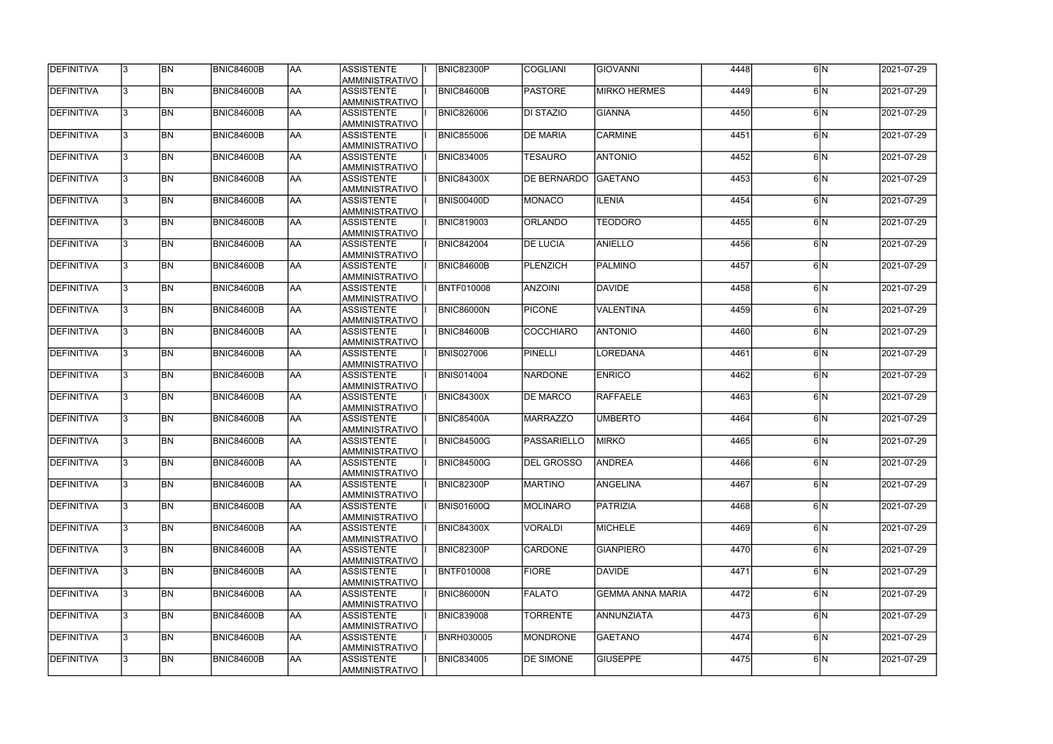| DEFINITIVA        | 13. | <b>BN</b>      | <b>BNIC84600B</b> | <b>AA</b> | ASSISTENTE<br>AMMINISTRATIVO        | <b>BNIC82300P</b> | <b>COGLIANI</b>    | <b>GIOVANNI</b>         | 4448 | 6N  | 2021-07-29 |
|-------------------|-----|----------------|-------------------|-----------|-------------------------------------|-------------------|--------------------|-------------------------|------|-----|------------|
| DEFINITIVA        | 13. | <b>BN</b>      | <b>BNIC84600B</b> | AA        | <b>ASSISTENTE</b><br>AMMINISTRATIVO | <b>BNIC84600B</b> | <b>PASTORE</b>     | <b>MIRKO HERMES</b>     | 4449 | 6N  | 2021-07-29 |
| DEFINITIVA        | 13. | <b>BN</b>      | <b>BNIC84600B</b> | AA        | <b>ASSISTENTE</b><br>AMMINISTRATIVO | <b>BNIC826006</b> | DI STAZIO          | <b>GIANNA</b>           | 4450 | 6lN | 2021-07-29 |
| DEFINITIVA        | l3. | <b>BN</b>      | <b>BNIC84600B</b> | AA        | <b>ASSISTENTE</b><br>AMMINISTRATIVO | <b>BNIC855006</b> | <b>DE MARIA</b>    | <b>CARMINE</b>          | 4451 | 6N  | 2021-07-29 |
| DEFINITIVA        | l3. | <b>BN</b>      | <b>BNIC84600B</b> | <b>AA</b> | <b>ASSISTENTE</b><br>AMMINISTRATIVO | <b>BNIC834005</b> | <b>TESAURO</b>     | ANTONIO                 | 4452 | 6N  | 2021-07-29 |
| DEFINITIVA        | l3. | <b>BN</b>      | <b>BNIC84600B</b> | <b>AA</b> | <b>ASSISTENTE</b><br>AMMINISTRATIVO | <b>BNIC84300X</b> | <b>DE BERNARDO</b> | <b>GAETANO</b>          | 4453 | 6N  | 2021-07-29 |
| <b>DEFINITIVA</b> | 3   | <b>BN</b>      | <b>BNIC84600B</b> | AA        | <b>ASSISTENTE</b><br>AMMINISTRATIVO | <b>BNIS00400D</b> | MONACO             | <b>ILENIA</b>           | 4454 | 6N  | 2021-07-29 |
| DEFINITIVA        |     | <b>BN</b>      | <b>BNIC84600B</b> | AA        | <b>ASSISTENTE</b><br>AMMINISTRATIVO | <b>BNIC819003</b> | <b>ORLANDO</b>     | <b>TEODORO</b>          | 4455 | 6lN | 2021-07-29 |
| DEFINITIVA        |     | <b>BN</b>      | <b>BNIC84600B</b> | AA        | <b>ASSISTENTE</b><br>AMMINISTRATIVO | <b>BNIC842004</b> | <b>DE LUCIA</b>    | ANIELLO                 | 4456 | 6lN | 2021-07-29 |
| DEFINITIVA        |     | <b>BN</b>      | <b>BNIC84600B</b> | laa       | <b>ASSISTENTE</b><br>AMMINISTRATIVO | <b>BNIC84600B</b> | PLENZICH           | <b>PALMINO</b>          | 4457 | 6N  | 2021-07-29 |
| DEFINITIVA        | l3. | <b>BN</b>      | <b>BNIC84600B</b> | laa       | <b>ASSISTENTE</b><br>AMMINISTRATIVO | <b>BNTF010008</b> | <b>ANZOINI</b>     | <b>DAVIDE</b>           | 4458 | 6N  | 2021-07-29 |
| DEFINITIVA        | l3. | <b>BN</b>      | <b>BNIC84600B</b> | AA        | <b>ASSISTENTE</b><br>AMMINISTRATIVO | <b>BNIC86000N</b> | <b>PICONE</b>      | <b>VALENTINA</b>        | 4459 | 6lN | 2021-07-29 |
| DEFINITIVA        | 3   | <b>BN</b>      | BNIC84600B        | AA        | <b>ASSISTENTE</b><br>AMMINISTRATIVO | BNIC84600B        | COCCHIARO          | ANTONIO                 | 4460 | 6lN | 2021-07-29 |
| DEFINITIVA        |     | <b>BN</b>      | <b>BNIC84600B</b> | AA        | <b>ASSISTENTE</b><br>AMMINISTRATIVO | <b>BNIS027006</b> | PINELLI            | LOREDANA                | 4461 | 6N  | 2021-07-29 |
| DEFINITIVA        | 3   | <b>BN</b>      | <b>BNIC84600B</b> | AA        | <b>ASSISTENTE</b><br>AMMINISTRATIVO | <b>BNIS014004</b> | <b>NARDONE</b>     | <b>ENRICO</b>           | 4462 | 6lN | 2021-07-29 |
| DEFINITIVA        | l3. | <b>BN</b>      | <b>BNIC84600B</b> | AA        | <b>ASSISTENTE</b><br>AMMINISTRATIVO | <b>BNIC84300X</b> | <b>DE MARCO</b>    | RAFFAELE                | 4463 | 6lN | 2021-07-29 |
| <b>DEFINITIVA</b> |     | <b>BN</b>      | <b>BNIC84600B</b> | AA        | <b>ASSISTENTE</b><br>AMMINISTRATIVO | <b>BNIC85400A</b> | <b>MARRAZZO</b>    | <b>UMBERTO</b>          | 4464 | 6lN | 2021-07-29 |
| DEFINITIVA        |     | <b>BN</b>      | <b>BNIC84600B</b> | AA        | <b>ASSISTENTE</b><br>AMMINISTRATIVO | <b>BNIC84500G</b> | <b>PASSARIELLO</b> | <b>MIRKO</b>            | 4465 | 6lN | 2021-07-29 |
| <b>DEFINITIVA</b> | 13  | <b>BN</b>      | <b>BNIC84600B</b> | AA        | ASSISTENTE <br>IAMMINISTRATIVO      | <b>BNIC84500G</b> | <b>DEL GROSSO</b>  | <b>ANDREA</b>           | 4466 | 6 N | 2021-07-29 |
| DEFINITIVA        | 13. | <b>BN</b>      | <b>BNIC84600B</b> | AA        | ASSISTENTE<br>AMMINISTRATIVO        | <b>BNIC82300P</b> | <b>MARTINO</b>     | ANGELINA                | 4467 | 6N  | 2021-07-29 |
| DEFINITIVA        | l3. | <b>BN</b>      | <b>BNIC84600B</b> | AA        | ASSISTENTE<br>AMMINISTRATIVO        | <b>BNIS01600Q</b> | MOLINARO           | PATRIZIA                | 4468 | 6N  | 2021-07-29 |
| DEFINITIVA        | l3. | <b>BN</b>      | <b>BNIC84600B</b> | <b>AA</b> | <b>ASSISTENTE</b><br>AMMINISTRATIVO | <b>BNIC84300X</b> | <b>VORALDI</b>     | MICHELE                 | 4469 | 6N  | 2021-07-29 |
| DEFINITIVA        | 3   | <b>BN</b>      | <b>BNIC84600B</b> | AA        | <b>ASSISTENTE</b><br>AMMINISTRATIVO | <b>BNIC82300P</b> | <b>CARDONE</b>     | <b>GIANPIERO</b>        | 4470 | 6N  | 2021-07-29 |
| DEFINITIVA        | l3. | <b>BN</b>      | <b>BNIC84600B</b> | AA        | <b>ASSISTENTE</b><br>AMMINISTRATIVO | <b>BNTF010008</b> | <b>FIORE</b>       | <b>DAVIDE</b>           | 4471 | 6lN | 2021-07-29 |
| DEFINITIVA        |     | <b>BN</b>      | <b>BNIC84600B</b> | AA        | <b>ASSISTENTE</b><br>AMMINISTRATIVO | <b>BNIC86000N</b> | <b>FALATO</b>      | <b>GEMMA ANNA MARIA</b> | 4472 | 6N  | 2021-07-29 |
| DEFINITIVA        | l3. | <b>BN</b>      | <b>BNIC84600B</b> | AA        | <b>ASSISTENTE</b><br>AMMINISTRATIVO | <b>BNIC839008</b> | <b>TORRENTE</b>    | ANNUNZIATA              | 4473 | 6lN | 2021-07-29 |
| DEFINITIVA        | 13. | <b>BN</b>      | <b>BNIC84600B</b> | AA        | <b>ASSISTENTE</b><br>AMMINISTRATIVO | <b>BNRH030005</b> | <b>MONDRONE</b>    | <b>GAETANO</b>          | 4474 | 6lN | 2021-07-29 |
| DEFINITIVA        |     | BN <sub></sub> | <b>BNIC84600B</b> | AA        | <b>ASSISTENTE</b><br>AMMINISTRATIVO | <b>BNIC834005</b> | <b>DE SIMONE</b>   | <b>GIUSEPPE</b>         | 4475 | 6lN | 2021-07-29 |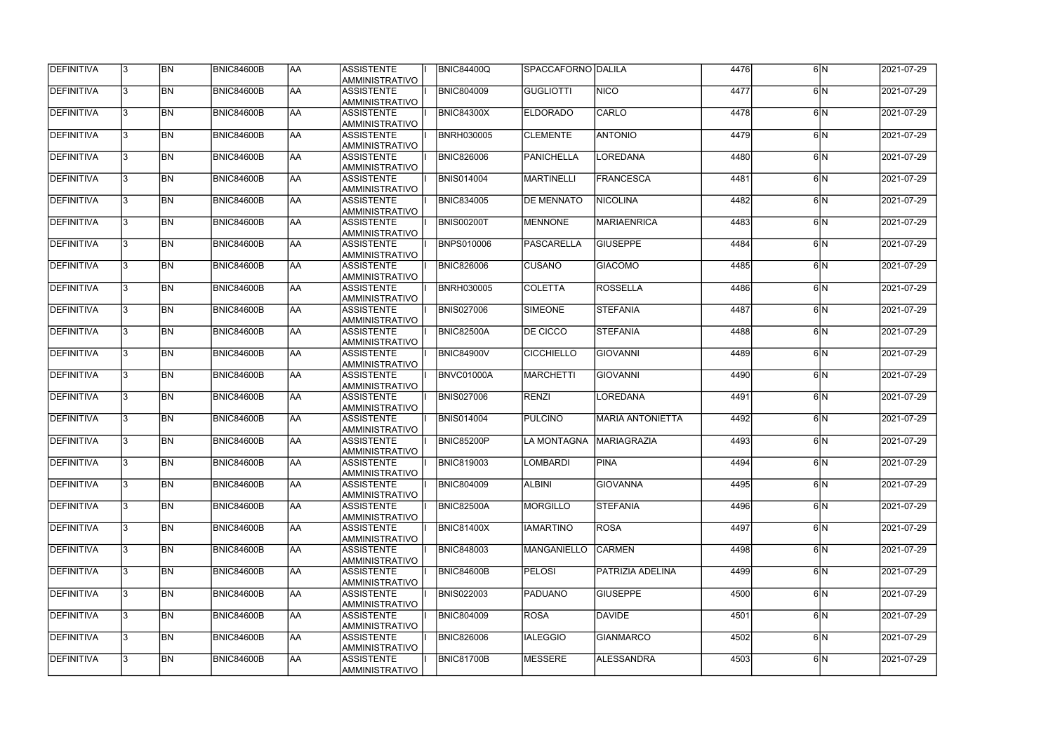| <b>DEFINITIVA</b> | 13. | <b>BN</b> | <b>BNIC84600B</b> | <b>AA</b>  | <b>ASSISTENTE</b><br>AMMINISTRATIVO        | <b>BNIC84400Q</b> | SPACCAFORNO DALILA |                         | 4476 | 6N              | 2021-07-29 |
|-------------------|-----|-----------|-------------------|------------|--------------------------------------------|-------------------|--------------------|-------------------------|------|-----------------|------------|
| DEFINITIVA        | 3   | <b>BN</b> | BNIC84600B        | <b>AA</b>  | <b>ASSISTENTE</b><br>AMMINISTRATIVO        | <b>BNIC804009</b> | <b>GUGLIOTTI</b>   | <b>NICO</b>             | 4477 | 6N              | 2021-07-29 |
| <b>DEFINITIVA</b> | 3   | <b>BN</b> | <b>BNIC84600B</b> | <b>AA</b>  | <b>ASSISTENTE</b><br>AMMINISTRATIVO        | <b>BNIC84300X</b> | <b>ELDORADO</b>    | <b>CARLO</b>            | 4478 | 6N              | 2021-07-29 |
| DEFINITIVA        |     | <b>BN</b> | <b>BNIC84600B</b> | <b>AA</b>  | <b>ASSISTENTE</b><br>AMMINISTRATIVO        | BNRH030005        | <b>CLEMENTE</b>    | <b>ANTONIO</b>          | 4479 | 6N              | 2021-07-29 |
| DEFINITIVA        |     | <b>BN</b> | BNIC84600B        | <b>AA</b>  | <b>ASSISTENTE</b><br>AMMINISTRATIVO        | <b>BNIC826006</b> | PANICHELLA         | LOREDANA                | 4480 | 6N              | 2021-07-29 |
| <b>DEFINITIVA</b> |     | <b>BN</b> | BNIC84600B        | AA         | <b>ASSISTENTE</b><br>AMMINISTRATIVO        | <b>BNIS014004</b> | MARTINELLI         | <b>FRANCESCA</b>        | 4481 | 6N              | 2021-07-29 |
| <b>DEFINITIVA</b> |     | <b>BN</b> | BNIC84600B        | <b>AA</b>  | <b>ASSISTENTE</b><br>AMMINISTRATIVO        | <b>BNIC834005</b> | <b>DE MENNATO</b>  | <b>NICOLINA</b>         | 4482 | 6N              | 2021-07-29 |
| DEFINITIVA        |     | <b>BN</b> | <b>BNIC84600B</b> | <b>AA</b>  | <b>ASSISTENTE</b><br><b>AMMINISTRATIVO</b> | <b>BNIS00200T</b> | <b>MENNONE</b>     | <b>MARIAENRICA</b>      | 4483 | 6N              | 2021-07-29 |
| DEFINITIVA        |     | <b>BN</b> | BNIC84600B        | laa        | <b>ASSISTENTE</b><br>AMMINISTRATIVO        | BNPS010006        | PASCARELLA         | <b>GIUSEPPE</b>         | 4484 | 6N              | 2021-07-29 |
| DEFINITIVA        |     | <b>BN</b> | <b>BNIC84600B</b> | <b>AA</b>  | <b>ASSISTENTE</b><br>AMMINISTRATIVO        | <b>BNIC826006</b> | <b>CUSANO</b>      | <b>GIACOMO</b>          | 4485 | 6N              | 2021-07-29 |
| DEFINITIVA        |     | <b>BN</b> | <b>BNIC84600B</b> | <b>AA</b>  | <b>ASSISTENTE</b><br>AMMINISTRATIVO        | BNRH030005        | <b>COLETTA</b>     | <b>ROSSELLA</b>         | 4486 | 6N              | 2021-07-29 |
| DEFINITIVA        |     | <b>BN</b> | <b>BNIC84600B</b> | <b>AA</b>  | <b>ASSISTENTE</b><br>AMMINISTRATIVO        | <b>BNIS027006</b> | SIMEONE            | <b>STEFANIA</b>         | 4487 | 6N              | 2021-07-29 |
| DEFINITIVA        |     | <b>BN</b> | BNIC84600B        | <b>AA</b>  | <b>ASSISTENTE</b><br>AMMINISTRATIVO        | <b>BNIC82500A</b> | <b>DE CICCO</b>    | STEFANIA                | 4488 | 6lN             | 2021-07-29 |
| <b>DEFINITIVA</b> |     | <b>BN</b> | <b>BNIC84600B</b> | AA         | <b>ASSISTENTE</b><br>AMMINISTRATIVO        | <b>BNIC84900V</b> | <b>CICCHIELLO</b>  | GIOVANNI                | 4489 | 6N              | 2021-07-29 |
| DEFINITIVA        |     | <b>BN</b> | <b>BNIC84600B</b> | <b>AA</b>  | <b>ASSISTENTE</b><br>AMMINISTRATIVO        | <b>BNVC01000A</b> | MARCHETTI          | <b>GIOVANNI</b>         | 4490 | 6 <sup>IN</sup> | 2021-07-29 |
| DEFINITIVA        |     | <b>BN</b> | <b>BNIC84600B</b> | laa        | <b>ASSISTENTE</b><br>AMMINISTRATIVO        | <b>BNIS027006</b> | <b>RENZI</b>       | LOREDANA                | 4491 | 6IN             | 2021-07-29 |
| DEFINITIVA        |     | <b>BN</b> | BNIC84600B        | <b>AA</b>  | <b>ASSISTENTE</b><br>AMMINISTRATIVO        | <b>BNIS014004</b> | <b>PULCINO</b>     | <b>MARIA ANTONIETTA</b> | 4492 | 6IN             | 2021-07-29 |
| DEFINITIVA        |     | <b>BN</b> | BNIC84600B        | <b>AA</b>  | <b>ASSISTENTE</b><br>AMMINISTRATIVO        | <b>BNIC85200P</b> | LA MONTAGNA        | <b>MARIAGRAZIA</b>      | 4493 | 6IN             | 2021-07-29 |
| DEFINITIVA        | 13  | BN        | BNIC84600B        | <b>JAA</b> | <b>ASSISTENTE</b><br>AMMINISTRATIVO        | <b>BNIC819003</b> | <b>LOMBARDI</b>    | <b>PINA</b>             | 4494 | 6 N             | 2021-07-29 |
| DEFINITIVA        |     | <b>BN</b> | BNIC84600B        | <b>AA</b>  | <b>ASSISTENTE</b><br>AMMINISTRATIVO        | <b>BNIC804009</b> | <b>ALBINI</b>      | <b>GIOVANNA</b>         | 4495 | 6N              | 2021-07-29 |
| DEFINITIVA        | 3.  | <b>BN</b> | <b>BNIC84600B</b> | <b>AA</b>  | <b>ASSISTENTE</b><br>AMMINISTRATIVO        | <b>BNIC82500A</b> | <b>MORGILLO</b>    | <b>STEFANIA</b>         | 4496 | 6N              | 2021-07-29 |
| <b>DEFINITIVA</b> | 3.  | <b>BN</b> | BNIC84600B        | <b>AA</b>  | <b>ASSISTENTE</b><br>AMMINISTRATIVO        | <b>BNIC81400X</b> | <b>IAMARTINO</b>   | <b>ROSA</b>             | 4497 | 6N              | 2021-07-29 |
| DEFINITIVA        |     | <b>BN</b> | BNIC84600B        | AA         | <b>ASSISTENTE</b><br>AMMINISTRATIVO        | <b>BNIC848003</b> | <b>MANGANIELLO</b> | <b>CARMEN</b>           | 4498 | 6N              | 2021-07-29 |
| DEFINITIVA        |     | <b>BN</b> | BNIC84600B        | <b>AA</b>  | <b>ASSISTENTE</b><br>AMMINISTRATIVO        | <b>BNIC84600B</b> | <b>PELOSI</b>      | PATRIZIA ADELINA        | 4499 | 6IN             | 2021-07-29 |
| DEFINITIVA        |     | <b>BN</b> | BNIC84600B        | AA         | ASSISTENTE<br>AMMINISTRATIVO               | <b>BNIS022003</b> | PADUANO            | <b>GIUSEPPE</b>         | 4500 | 6N              | 2021-07-29 |
| DEFINITIVA        |     | <b>BN</b> | BNIC84600B        | <b>AA</b>  | ASSISTENTE<br>AMMINISTRATIVO               | <b>BNIC804009</b> | ROSA               | <b>DAVIDE</b>           | 4501 | 6IN             | 2021-07-29 |
| DEFINITIVA        |     | <b>BN</b> | BNIC84600B        | <b>AA</b>  | ASSISTENTE<br>AMMINISTRATIVO               | <b>BNIC826006</b> | <b>IALEGGIO</b>    | <b>GIANMARCO</b>        | 4502 | 6N              | 2021-07-29 |
| DEFINITIVA        |     | BN        | BNIC84600B        | <b>AA</b>  | <b>ASSISTENTE</b><br>AMMINISTRATIVO        | <b>BNIC81700B</b> | MESSERE            | ALESSANDRA              | 4503 | 6N              | 2021-07-29 |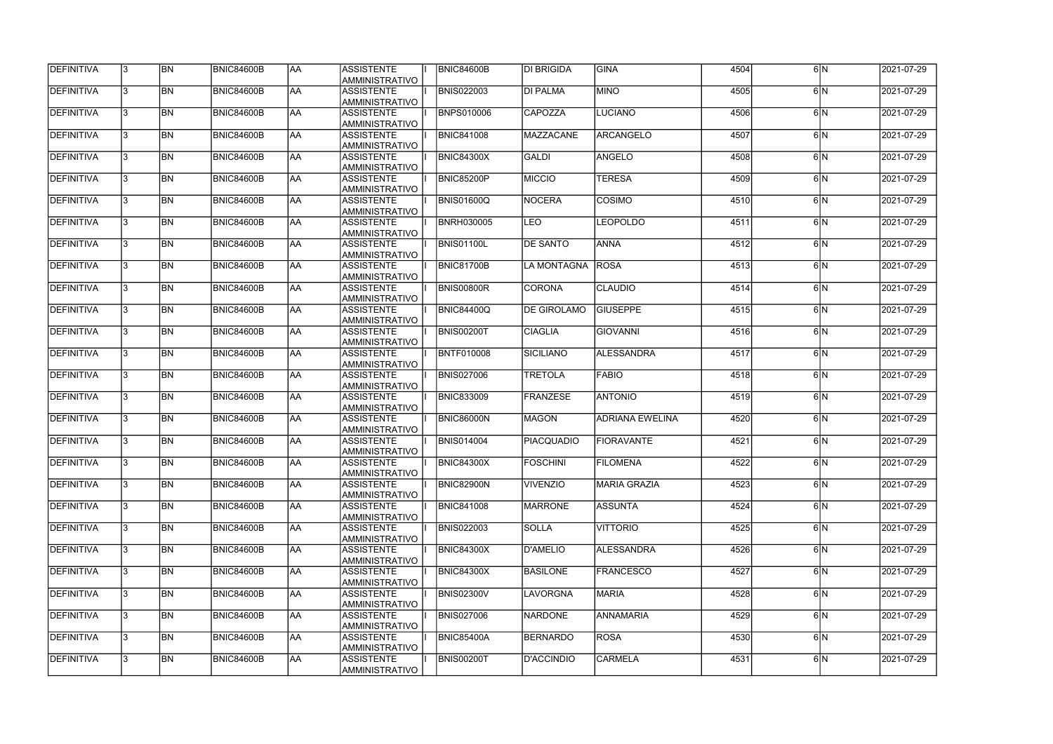| <b>DEFINITIVA</b> | 13. | <b>BN</b>      | <b>BNIC84600B</b> | <b>AA</b> | ASSISTENTE<br>AMMINISTRATIVO         | BNIC84600B        | DI BRIGIDA         | <b>GINA</b>            | 4504 | 6N  | 2021-07-29 |
|-------------------|-----|----------------|-------------------|-----------|--------------------------------------|-------------------|--------------------|------------------------|------|-----|------------|
| DEFINITIVA        | 13. | <b>BN</b>      | <b>BNIC84600B</b> | AA        | <b>ASSISTENTE</b><br>AMMINISTRATIVO  | <b>BNIS022003</b> | <b>DI PALMA</b>    | <b>MINO</b>            | 4505 | 6N  | 2021-07-29 |
| DEFINITIVA        | 13. | <b>BN</b>      | <b>BNIC84600B</b> | AA        | <b>ASSISTENTE</b><br>AMMINISTRATIVO  | <b>BNPS010006</b> | CAPOZZA            | <b>LUCIANO</b>         | 4506 | 6lN | 2021-07-29 |
| DEFINITIVA        | l3. | <b>BN</b>      | <b>BNIC84600B</b> | AA        | <b>ASSISTENTE</b><br>AMMINISTRATIVO  | <b>BNIC841008</b> | MAZZACANE          | <b>ARCANGELO</b>       | 4507 | 6N  | 2021-07-29 |
| DEFINITIVA        | l3. | <b>BN</b>      | <b>BNIC84600B</b> | <b>AA</b> | <b>ASSISTENTE</b><br>AMMINISTRATIVO  | <b>BNIC84300X</b> | GALDI              | ANGELO                 | 4508 | 6N  | 2021-07-29 |
| DEFINITIVA        | l3. | <b>BN</b>      | <b>BNIC84600B</b> | <b>AA</b> | <b>ASSISTENTE</b><br>AMMINISTRATIVO  | <b>BNIC85200P</b> | <b>MICCIO</b>      | <b>TERESA</b>          | 4509 | 6N  | 2021-07-29 |
| <b>DEFINITIVA</b> | 3   | <b>BN</b>      | BNIC84600B        | laa       | <b>ASSISTENTE</b><br>AMMINISTRATIVO  | <b>BNIS01600Q</b> | NOCERA             | <b>COSIMO</b>          | 4510 | 6N  | 2021-07-29 |
| DEFINITIVA        |     | <b>BN</b>      | <b>BNIC84600B</b> | AA        | <b>ASSISTENTE</b><br>AMMINISTRATIVO  | <b>BNRH030005</b> | <b>LEO</b>         | <b>LEOPOLDO</b>        | 4511 | 6lN | 2021-07-29 |
| DEFINITIVA        |     | <b>BN</b>      | <b>BNIC84600B</b> | AA        | <b>ASSISTENTE</b><br>AMMINISTRATIVO  | <b>BNIS01100L</b> | <b>DE SANTO</b>    | <b>ANNA</b>            | 4512 | 6lN | 2021-07-29 |
| DEFINITIVA        |     | <b>BN</b>      | <b>BNIC84600B</b> | laa       | <b>ASSISTENTE</b><br>AMMINISTRATIVO  | <b>BNIC81700B</b> | LA MONTAGNA        | <b>ROSA</b>            | 4513 | 6N  | 2021-07-29 |
| DEFINITIVA        | l3. | <b>BN</b>      | <b>BNIC84600B</b> | laa       | <b>ASSISTENTE</b><br>Iamministrativo | <b>BNIS00800R</b> | <b>CORONA</b>      | <b>CLAUDIO</b>         | 4514 | 6N  | 2021-07-29 |
| DEFINITIVA        | l3. | <b>BN</b>      | <b>BNIC84600B</b> | AA        | <b>ASSISTENTE</b><br>AMMINISTRATIVO  | <b>BNIC84400Q</b> | <b>DE GIROLAMO</b> | <b>GIUSEPPE</b>        | 4515 | 6lN | 2021-07-29 |
| DEFINITIVA        | 3   | <b>BN</b>      | BNIC84600B        | AA        | <b>ASSISTENTE</b><br>AMMINISTRATIVO  | <b>BNIS00200T</b> | <b>CIAGLIA</b>     | <b>GIOVANNI</b>        | 4516 | 6lN | 2021-07-29 |
| DEFINITIVA        |     | <b>BN</b>      | <b>BNIC84600B</b> | laa       | <b>ASSISTENTE</b><br>AMMINISTRATIVO  | <b>BNTF010008</b> | <b>SICILIANO</b>   | <b>ALESSANDRA</b>      | 4517 | 6N  | 2021-07-29 |
| DEFINITIVA        | 3   | <b>BN</b>      | <b>BNIC84600B</b> | AA        | <b>ASSISTENTE</b><br>AMMINISTRATIVO  | <b>BNIS027006</b> | <b>TRETOLA</b>     | <b>FABIO</b>           | 4518 | 6lN | 2021-07-29 |
| DEFINITIVA        | l3. | <b>BN</b>      | <b>BNIC84600B</b> | AA        | <b>ASSISTENTE</b><br>AMMINISTRATIVO  | <b>BNIC833009</b> | <b>FRANZESE</b>    | <b>ANTONIO</b>         | 4519 | 6lN | 2021-07-29 |
| DEFINITIVA        |     | <b>BN</b>      | <b>BNIC84600B</b> | AA        | <b>ASSISTENTE</b><br>AMMINISTRATIVO  | <b>BNIC86000N</b> | <b>MAGON</b>       | <b>ADRIANA EWELINA</b> | 4520 | 6lN | 2021-07-29 |
| DEFINITIVA        |     | <b>BN</b>      | <b>BNIC84600B</b> | AA        | <b>ASSISTENTE</b><br>AMMINISTRATIVO  | <b>BNIS014004</b> | <b>PIACQUADIO</b>  | <b>FIORAVANTE</b>      | 4521 | 6lN | 2021-07-29 |
| <b>DEFINITIVA</b> | 13  | <b>BN</b>      | <b>BNIC84600B</b> | AA        | ASSISTENTE <br>IAMMINISTRATIVO       | <b>BNIC84300X</b> | <b>FOSCHINI</b>    | FILOMENA               | 4522 | 6 N | 2021-07-29 |
| DEFINITIVA        | 13. | <b>BN</b>      | <b>BNIC84600B</b> | AA        | ASSISTENTE<br>AMMINISTRATIVO         | <b>BNIC82900N</b> | VIVENZIO           | <b>MARIA GRAZIA</b>    | 4523 | 6N  | 2021-07-29 |
| DEFINITIVA        | l3. | <b>BN</b>      | <b>BNIC84600B</b> | AA        | ASSISTENTE<br>AMMINISTRATIVO         | <b>BNIC841008</b> | <b>MARRONE</b>     | <b>ASSUNTA</b>         | 4524 | 6N  | 2021-07-29 |
| DEFINITIVA        | l3. | <b>BN</b>      | <b>BNIC84600B</b> | <b>AA</b> | <b>ASSISTENTE</b><br>AMMINISTRATIVO  | <b>BNIS022003</b> | <b>SOLLA</b>       | <b>VITTORIO</b>        | 4525 | 6N  | 2021-07-29 |
| DEFINITIVA        | 3   | <b>BN</b>      | <b>BNIC84600B</b> | AA        | <b>ASSISTENTE</b><br>AMMINISTRATIVO  | <b>BNIC84300X</b> | D'AMELIO           | ALESSANDRA             | 4526 | 6N  | 2021-07-29 |
| DEFINITIVA        | l3. | <b>BN</b>      | <b>BNIC84600B</b> | AA        | <b>ASSISTENTE</b><br>AMMINISTRATIVO  | <b>BNIC84300X</b> | BASILONE           | <b>FRANCESCO</b>       | 4527 | 6lN | 2021-07-29 |
| DEFINITIVA        |     | <b>BN</b>      | <b>BNIC84600B</b> | AA        | <b>ASSISTENTE</b><br>AMMINISTRATIVO  | <b>BNIS02300V</b> | LAVORGNA           | <b>MARIA</b>           | 4528 | 6N  | 2021-07-29 |
| DEFINITIVA        | l3. | <b>BN</b>      | <b>BNIC84600B</b> | AA        | <b>ASSISTENTE</b><br>AMMINISTRATIVO  | <b>BNIS027006</b> | <b>NARDONE</b>     | <b>ANNAMARIA</b>       | 4529 | 6lN | 2021-07-29 |
| DEFINITIVA        | 13. | <b>BN</b>      | <b>BNIC84600B</b> | AA        | <b>ASSISTENTE</b><br>AMMINISTRATIVO  | <b>BNIC85400A</b> | <b>BERNARDO</b>    | <b>ROSA</b>            | 4530 | 6lN | 2021-07-29 |
| DEFINITIVA        |     | BN <sub></sub> | <b>BNIC84600B</b> | AA        | <b>ASSISTENTE</b><br>AMMINISTRATIVO  | <b>BNIS00200T</b> | D'ACCINDIO         | <b>CARMELA</b>         | 4531 | 6lN | 2021-07-29 |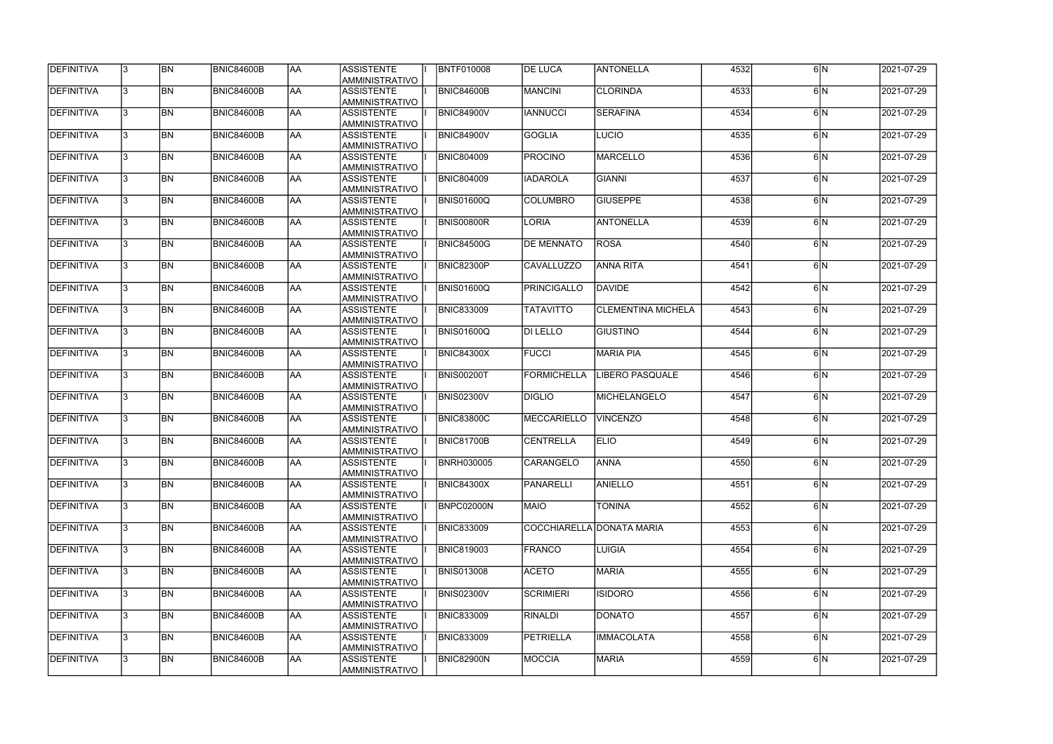| <b>DEFINITIVA</b> | 13. | <b>BN</b> | <b>BNIC84600B</b> | <b>AA</b> | ASSISTENTE<br>AMMINISTRATIVO        | <b>BNTF010008</b> | <b>DE LUCA</b>     | <b>ANTONELLA</b>          | 4532 | 6N  | 2021-07-29 |
|-------------------|-----|-----------|-------------------|-----------|-------------------------------------|-------------------|--------------------|---------------------------|------|-----|------------|
| DEFINITIVA        | l3. | <b>BN</b> | <b>BNIC84600B</b> | AA        | <b>ASSISTENTE</b><br>AMMINISTRATIVO | <b>BNIC84600B</b> | <b>MANCINI</b>     | <b>CLORINDA</b>           | 4533 | 6N  | 2021-07-29 |
| DEFINITIVA        | 13. | <b>BN</b> | <b>BNIC84600B</b> | AA        | <b>ASSISTENTE</b><br>AMMINISTRATIVO | <b>BNIC84900V</b> | <b>IANNUCCI</b>    | <b>SERAFINA</b>           | 4534 | 6lN | 2021-07-29 |
| DEFINITIVA        | l3. | <b>BN</b> | <b>BNIC84600B</b> | AA        | <b>ASSISTENTE</b><br>AMMINISTRATIVO | <b>BNIC84900V</b> | GOGLIA             | <b>LUCIO</b>              | 4535 | 6N  | 2021-07-29 |
| DEFINITIVA        | l3. | <b>BN</b> | <b>BNIC84600B</b> | <b>AA</b> | <b>ASSISTENTE</b><br>AMMINISTRATIVO | <b>BNIC804009</b> | <b>FROCINO</b>     | <b>MARCELLO</b>           | 4536 | 6N  | 2021-07-29 |
| DEFINITIVA        |     | <b>BN</b> | <b>BNIC84600B</b> | <b>AA</b> | <b>ASSISTENTE</b><br>AMMINISTRATIVO | <b>BNIC804009</b> | <b>IADAROLA</b>    | <b>GIANNI</b>             | 4537 | 6N  | 2021-07-29 |
| <b>DEFINITIVA</b> | 3   | <b>BN</b> | <b>BNIC84600B</b> | laa       | <b>ASSISTENTE</b><br>AMMINISTRATIVO | <b>BNIS01600Q</b> | <b>COLUMBRO</b>    | <b>GIUSEPPE</b>           | 4538 | 6N  | 2021-07-29 |
| DEFINITIVA        |     | <b>BN</b> | <b>BNIC84600B</b> | AA        | <b>ASSISTENTE</b><br>AMMINISTRATIVO | <b>BNIS00800R</b> | LORIA              | <b>ANTONELLA</b>          | 4539 | 6lN | 2021-07-29 |
| DEFINITIVA        |     | <b>BN</b> | <b>BNIC84600B</b> | AA        | <b>ASSISTENTE</b><br>AMMINISTRATIVO | <b>BNIC84500G</b> | <b>DE MENNATO</b>  | <b>ROSA</b>               | 4540 | 6lN | 2021-07-29 |
| DEFINITIVA        |     | <b>BN</b> | <b>BNIC84600B</b> | laa       | <b>ASSISTENTE</b><br>AMMINISTRATIVO | <b>BNIC82300P</b> | <b>CAVALLUZZO</b>  | <b>ANNA RITA</b>          | 4541 | 6N  | 2021-07-29 |
| DEFINITIVA        | l3. | <b>BN</b> | <b>BNIC84600B</b> | laa       | <b>ASSISTENTE</b><br>AMMINISTRATIVO | <b>BNIS01600Q</b> | PRINCIGALLO        | <b>DAVIDE</b>             | 4542 | 6N  | 2021-07-29 |
| DEFINITIVA        | l3. | <b>BN</b> | <b>BNIC84600B</b> | AA        | <b>ASSISTENTE</b><br>AMMINISTRATIVO | <b>BNIC833009</b> | <b>TATAVITTO</b>   | <b>CLEMENTINA MICHELA</b> | 4543 | 6lN | 2021-07-29 |
| DEFINITIVA        | 3   | <b>BN</b> | BNIC84600B        | AA        | <b>ASSISTENTE</b><br>AMMINISTRATIVO | <b>BNIS01600Q</b> | DI LELLO           | <b>GIUSTINO</b>           | 4544 | 6lN | 2021-07-29 |
| DEFINITIVA        |     | <b>BN</b> | <b>BNIC84600B</b> | AA        | <b>ASSISTENTE</b><br>AMMINISTRATIVO | <b>BNIC84300X</b> | <b>FUCCI</b>       | <b>MARIA PIA</b>          | 4545 | 6lN | 2021-07-29 |
| DEFINITIVA        | 3   | <b>BN</b> | <b>BNIC84600B</b> | AA        | <b>ASSISTENTE</b><br>AMMINISTRATIVO | <b>BNIS00200T</b> | <b>FORMICHELLA</b> | <b>IBERO PASQUALE</b>     | 4546 | 6lN | 2021-07-29 |
| DEFINITIVA        | l3. | <b>BN</b> | <b>BNIC84600B</b> | AA        | <b>ASSISTENTE</b><br>AMMINISTRATIVO | <b>BNIS02300V</b> | <b>DIGLIO</b>      | <b>MICHELANGELO</b>       | 4547 | 6lN | 2021-07-29 |
| <b>DEFINITIVA</b> |     | <b>BN</b> | <b>BNIC84600B</b> | AA        | <b>ASSISTENTE</b><br>AMMINISTRATIVO | <b>BNIC83800C</b> | <b>MECCARIELLO</b> | <b>VINCENZO</b>           | 4548 | 6lN | 2021-07-29 |
| DEFINITIVA        |     | <b>BN</b> | <b>BNIC84600B</b> | AA        | <b>ASSISTENTE</b><br>AMMINISTRATIVO | <b>BNIC81700B</b> | <b>CENTRELLA</b>   | <b>ELIO</b>               | 4549 | 6lN | 2021-07-29 |
| <b>DEFINITIVA</b> | 13  | <b>BN</b> | <b>BNIC84600B</b> | AA        | ASSISTENTE <br>IAMMINISTRATIVO      | <b>BNRH030005</b> | CARANGELO          | <b>ANNA</b>               | 4550 | 6 N | 2021-07-29 |
| DEFINITIVA        | 13. | <b>BN</b> | <b>BNIC84600B</b> | AA        | ASSISTENTE<br>AMMINISTRATIVO        | <b>BNIC84300X</b> | <b>PANARELLI</b>   | ANIELLO                   | 4551 | 6N  | 2021-07-29 |
| DEFINITIVA        | l3. | <b>BN</b> | <b>BNIC84600B</b> | AA        | ASSISTENTE<br>AMMINISTRATIVO        | BNPC02000N        | <b>MAIO</b>        | <b>TONINA</b>             | 4552 | 6N  | 2021-07-29 |
| DEFINITIVA        | l3. | <b>BN</b> | <b>BNIC84600B</b> | <b>AA</b> | <b>ASSISTENTE</b><br>AMMINISTRATIVO | <b>BNIC833009</b> |                    | COCCHIARELLA DONATA MARIA | 4553 | 6N  | 2021-07-29 |
| DEFINITIVA        | 3   | <b>BN</b> | <b>BNIC84600B</b> | AA        | <b>ASSISTENTE</b><br>AMMINISTRATIVO | <b>BNIC819003</b> | FRANCO             | LUIGIA                    | 4554 | 6N  | 2021-07-29 |
| DEFINITIVA        | l3. | <b>BN</b> | <b>BNIC84600B</b> | AA        | <b>ASSISTENTE</b><br>AMMINISTRATIVO | <b>BNIS013008</b> | <b>ACETO</b>       | <b>MARIA</b>              | 4555 | 6lN | 2021-07-29 |
| DEFINITIVA        |     | <b>BN</b> | <b>BNIC84600B</b> | AA        | <b>ASSISTENTE</b><br>AMMINISTRATIVO | <b>BNIS02300V</b> | <b>SCRIMIERI</b>   | <b>ISIDORO</b>            | 4556 | 6N  | 2021-07-29 |
| DEFINITIVA        | l3. | <b>BN</b> | <b>BNIC84600B</b> | AA        | <b>ASSISTENTE</b><br>AMMINISTRATIVO | <b>BNIC833009</b> | <b>RINALDI</b>     | <b>DONATO</b>             | 4557 | 6lN | 2021-07-29 |
| DEFINITIVA        | 13. | <b>BN</b> | <b>BNIC84600B</b> | AA        | <b>ASSISTENTE</b><br>AMMINISTRATIVO | <b>BNIC833009</b> | PETRIELLA          | <b>IMMACOLATA</b>         | 4558 | 6lN | 2021-07-29 |
| DEFINITIVA        |     | <b>BN</b> | <b>BNIC84600B</b> | AA        | <b>ASSISTENTE</b><br>AMMINISTRATIVO | <b>BNIC82900N</b> | <b>MOCCIA</b>      | <b>MARIA</b>              | 4559 | 6lN | 2021-07-29 |